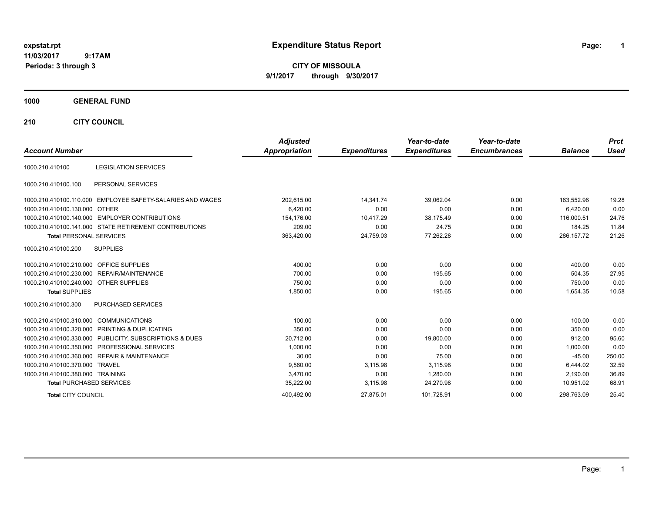# **expstat.rpt Expenditure Status Report Page:**

**1**

**CITY OF MISSOULA 9/1/2017 through 9/30/2017**

### **1000 GENERAL FUND**

**210 CITY COUNCIL**

| <b>Account Number</b>                  |                                                         | <b>Adjusted</b><br><b>Appropriation</b> | <b>Expenditures</b> | Year-to-date<br><b>Expenditures</b> | Year-to-date<br><b>Encumbrances</b> | <b>Balance</b> | <b>Prct</b><br><b>Used</b> |
|----------------------------------------|---------------------------------------------------------|-----------------------------------------|---------------------|-------------------------------------|-------------------------------------|----------------|----------------------------|
|                                        |                                                         |                                         |                     |                                     |                                     |                |                            |
| 1000.210.410100                        | <b>LEGISLATION SERVICES</b>                             |                                         |                     |                                     |                                     |                |                            |
| 1000.210.410100.100                    | PERSONAL SERVICES                                       |                                         |                     |                                     |                                     |                |                            |
| 1000.210.410100.110.000                | EMPLOYEE SAFETY-SALARIES AND WAGES                      | 202.615.00                              | 14.341.74           | 39.062.04                           | 0.00                                | 163,552.96     | 19.28                      |
| 1000.210.410100.130.000                | OTHER                                                   | 6,420.00                                | 0.00                | 0.00                                | 0.00                                | 6,420.00       | 0.00                       |
|                                        | 1000.210.410100.140.000 EMPLOYER CONTRIBUTIONS          | 154,176.00                              | 10,417.29           | 38,175.49                           | 0.00                                | 116,000.51     | 24.76                      |
|                                        | 1000.210.410100.141.000 STATE RETIREMENT CONTRIBUTIONS  | 209.00                                  | 0.00                | 24.75                               | 0.00                                | 184.25         | 11.84                      |
| <b>Total PERSONAL SERVICES</b>         |                                                         | 363,420.00                              | 24,759.03           | 77,262.28                           | 0.00                                | 286, 157. 72   | 21.26                      |
| 1000.210.410100.200                    | <b>SUPPLIES</b>                                         |                                         |                     |                                     |                                     |                |                            |
| 1000.210.410100.210.000                | <b>OFFICE SUPPLIES</b>                                  | 400.00                                  | 0.00                | 0.00                                | 0.00                                | 400.00         | 0.00                       |
|                                        | 1000.210.410100.230.000 REPAIR/MAINTENANCE              | 700.00                                  | 0.00                | 195.65                              | 0.00                                | 504.35         | 27.95                      |
| 1000.210.410100.240.000 OTHER SUPPLIES |                                                         | 750.00                                  | 0.00                | 0.00                                | 0.00                                | 750.00         | 0.00                       |
| <b>Total SUPPLIES</b>                  |                                                         | 1,850.00                                | 0.00                | 195.65                              | 0.00                                | 1,654.35       | 10.58                      |
| 1000.210.410100.300                    | <b>PURCHASED SERVICES</b>                               |                                         |                     |                                     |                                     |                |                            |
| 1000.210.410100.310.000                | <b>COMMUNICATIONS</b>                                   | 100.00                                  | 0.00                | 0.00                                | 0.00                                | 100.00         | 0.00                       |
|                                        | 1000.210.410100.320.000 PRINTING & DUPLICATING          | 350.00                                  | 0.00                | 0.00                                | 0.00                                | 350.00         | 0.00                       |
|                                        | 1000.210.410100.330.000 PUBLICITY, SUBSCRIPTIONS & DUES | 20,712.00                               | 0.00                | 19,800.00                           | 0.00                                | 912.00         | 95.60                      |
|                                        | 1000.210.410100.350.000 PROFESSIONAL SERVICES           | 1,000.00                                | 0.00                | 0.00                                | 0.00                                | 1,000.00       | 0.00                       |
|                                        | 1000.210.410100.360.000 REPAIR & MAINTENANCE            | 30.00                                   | 0.00                | 75.00                               | 0.00                                | $-45.00$       | 250.00                     |
| 1000.210.410100.370.000 TRAVEL         |                                                         | 9,560.00                                | 3,115.98            | 3,115.98                            | 0.00                                | 6.444.02       | 32.59                      |
| 1000.210.410100.380.000 TRAINING       |                                                         | 3.470.00                                | 0.00                | 1,280.00                            | 0.00                                | 2.190.00       | 36.89                      |
| <b>Total PURCHASED SERVICES</b>        |                                                         | 35,222.00                               | 3,115.98            | 24.270.98                           | 0.00                                | 10.951.02      | 68.91                      |
| <b>Total CITY COUNCIL</b>              |                                                         | 400.492.00                              | 27.875.01           | 101.728.91                          | 0.00                                | 298.763.09     | 25.40                      |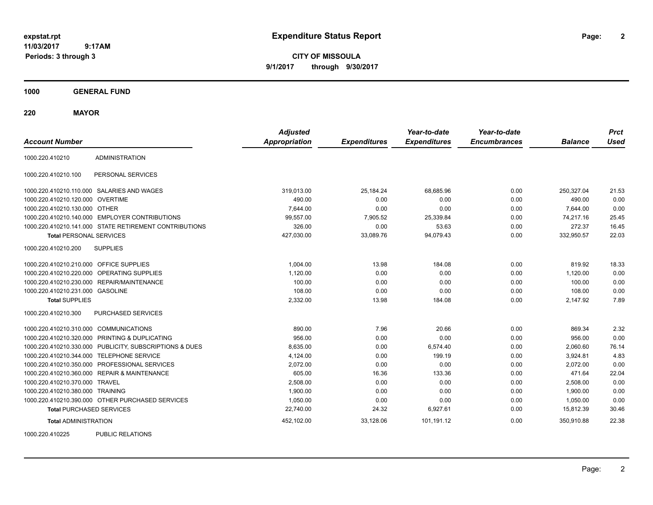**2**

**CITY OF MISSOULA 9/1/2017 through 9/30/2017**

**1000 GENERAL FUND**

**220 MAYOR**

| <b>Account Number</b>                   |                                                         | <b>Adjusted</b><br><b>Appropriation</b> | <b>Expenditures</b> | Year-to-date<br><b>Expenditures</b> | Year-to-date<br><b>Encumbrances</b> | <b>Balance</b> | <b>Prct</b><br><b>Used</b> |
|-----------------------------------------|---------------------------------------------------------|-----------------------------------------|---------------------|-------------------------------------|-------------------------------------|----------------|----------------------------|
|                                         |                                                         |                                         |                     |                                     |                                     |                |                            |
| 1000.220.410210                         | <b>ADMINISTRATION</b>                                   |                                         |                     |                                     |                                     |                |                            |
| 1000.220.410210.100                     | PERSONAL SERVICES                                       |                                         |                     |                                     |                                     |                |                            |
|                                         | 1000.220.410210.110.000 SALARIES AND WAGES              | 319,013.00                              | 25,184.24           | 68.685.96                           | 0.00                                | 250.327.04     | 21.53                      |
| 1000.220.410210.120.000 OVERTIME        |                                                         | 490.00                                  | 0.00                | 0.00                                | 0.00                                | 490.00         | 0.00                       |
| 1000.220.410210.130.000 OTHER           |                                                         | 7.644.00                                | 0.00                | 0.00                                | 0.00                                | 7.644.00       | 0.00                       |
|                                         | 1000.220.410210.140.000 EMPLOYER CONTRIBUTIONS          | 99,557.00                               | 7,905.52            | 25,339.84                           | 0.00                                | 74,217.16      | 25.45                      |
|                                         | 1000.220.410210.141.000 STATE RETIREMENT CONTRIBUTIONS  | 326.00                                  | 0.00                | 53.63                               | 0.00                                | 272.37         | 16.45                      |
| <b>Total PERSONAL SERVICES</b>          |                                                         | 427,030.00                              | 33,089.76           | 94,079.43                           | 0.00                                | 332,950.57     | 22.03                      |
| 1000.220.410210.200                     | <b>SUPPLIES</b>                                         |                                         |                     |                                     |                                     |                |                            |
| 1000.220.410210.210.000 OFFICE SUPPLIES |                                                         | 1,004.00                                | 13.98               | 184.08                              | 0.00                                | 819.92         | 18.33                      |
|                                         | 1000.220.410210.220.000 OPERATING SUPPLIES              | 1,120.00                                | 0.00                | 0.00                                | 0.00                                | 1,120.00       | 0.00                       |
|                                         | 1000.220.410210.230.000 REPAIR/MAINTENANCE              | 100.00                                  | 0.00                | 0.00                                | 0.00                                | 100.00         | 0.00                       |
| 1000.220.410210.231.000 GASOLINE        |                                                         | 108.00                                  | 0.00                | 0.00                                | 0.00                                | 108.00         | 0.00                       |
| <b>Total SUPPLIES</b>                   |                                                         | 2,332.00                                | 13.98               | 184.08                              | 0.00                                | 2,147.92       | 7.89                       |
| 1000.220.410210.300                     | PURCHASED SERVICES                                      |                                         |                     |                                     |                                     |                |                            |
| 1000.220.410210.310.000 COMMUNICATIONS  |                                                         | 890.00                                  | 7.96                | 20.66                               | 0.00                                | 869.34         | 2.32                       |
|                                         | 1000.220.410210.320.000 PRINTING & DUPLICATING          | 956.00                                  | 0.00                | 0.00                                | 0.00                                | 956.00         | 0.00                       |
|                                         | 1000.220.410210.330.000 PUBLICITY, SUBSCRIPTIONS & DUES | 8,635.00                                | 0.00                | 6,574.40                            | 0.00                                | 2,060.60       | 76.14                      |
|                                         | 1000.220.410210.344.000 TELEPHONE SERVICE               | 4,124.00                                | 0.00                | 199.19                              | 0.00                                | 3,924.81       | 4.83                       |
|                                         | 1000.220.410210.350.000 PROFESSIONAL SERVICES           | 2,072.00                                | 0.00                | 0.00                                | 0.00                                | 2,072.00       | 0.00                       |
|                                         | 1000.220.410210.360.000 REPAIR & MAINTENANCE            | 605.00                                  | 16.36               | 133.36                              | 0.00                                | 471.64         | 22.04                      |
| 1000.220.410210.370.000 TRAVEL          |                                                         | 2,508.00                                | 0.00                | 0.00                                | 0.00                                | 2,508.00       | 0.00                       |
| 1000.220.410210.380.000 TRAINING        |                                                         | 1,900.00                                | 0.00                | 0.00                                | 0.00                                | 1,900.00       | 0.00                       |
|                                         | 1000.220.410210.390.000 OTHER PURCHASED SERVICES        | 1,050.00                                | 0.00                | 0.00                                | 0.00                                | 1,050.00       | 0.00                       |
| <b>Total PURCHASED SERVICES</b>         |                                                         | 22,740.00                               | 24.32               | 6,927.61                            | 0.00                                | 15,812.39      | 30.46                      |
| <b>Total ADMINISTRATION</b>             |                                                         | 452,102.00                              | 33,128.06           | 101,191.12                          | 0.00                                | 350,910.88     | 22.38                      |
| 1000000110005                           | <b>DUDLIO DEL ATIONO</b>                                |                                         |                     |                                     |                                     |                |                            |

1000.220.410225 PUBLIC RELATIONS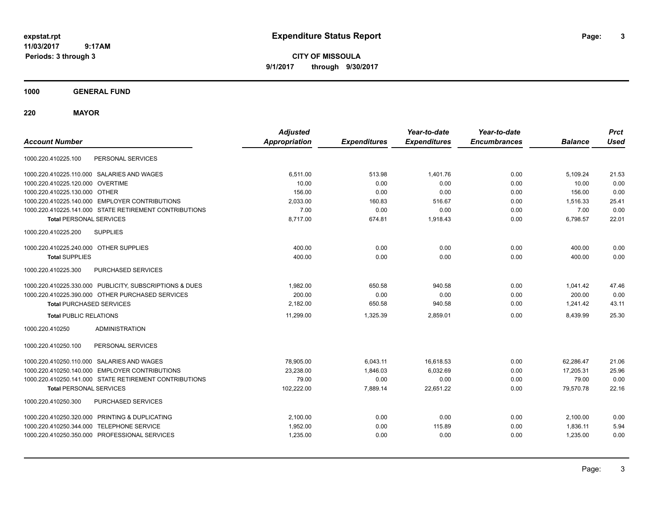**CITY OF MISSOULA 9/1/2017 through 9/30/2017**

**1000 GENERAL FUND**

**220 MAYOR**

| <b>Account Number</b>                          |                                                         | <b>Adjusted</b><br><b>Appropriation</b> | <b>Expenditures</b> | Year-to-date<br><b>Expenditures</b> | Year-to-date<br><b>Encumbrances</b> | <b>Balance</b> | <b>Prct</b><br><b>Used</b> |
|------------------------------------------------|---------------------------------------------------------|-----------------------------------------|---------------------|-------------------------------------|-------------------------------------|----------------|----------------------------|
| 1000.220.410225.100                            | PERSONAL SERVICES                                       |                                         |                     |                                     |                                     |                |                            |
| 1000.220.410225.110.000 SALARIES AND WAGES     |                                                         | 6,511.00                                | 513.98              | 1,401.76                            | 0.00                                | 5,109.24       | 21.53                      |
| 1000.220.410225.120.000 OVERTIME               |                                                         | 10.00                                   | 0.00                | 0.00                                | 0.00                                | 10.00          | 0.00                       |
| 1000.220.410225.130.000 OTHER                  |                                                         | 156.00                                  | 0.00                | 0.00                                | 0.00                                | 156.00         | 0.00                       |
|                                                | 1000.220.410225.140.000 EMPLOYER CONTRIBUTIONS          | 2,033.00                                | 160.83              | 516.67                              | 0.00                                | 1,516.33       | 25.41                      |
|                                                | 1000.220.410225.141.000 STATE RETIREMENT CONTRIBUTIONS  | 7.00                                    | 0.00                | 0.00                                | 0.00                                | 7.00           | 0.00                       |
| <b>Total PERSONAL SERVICES</b>                 |                                                         | 8,717.00                                | 674.81              | 1,918.43                            | 0.00                                | 6,798.57       | 22.01                      |
| 1000.220.410225.200                            | <b>SUPPLIES</b>                                         |                                         |                     |                                     |                                     |                |                            |
| 1000.220.410225.240.000 OTHER SUPPLIES         |                                                         | 400.00                                  | 0.00                | 0.00                                | 0.00                                | 400.00         | 0.00                       |
| <b>Total SUPPLIES</b>                          |                                                         | 400.00                                  | 0.00                | 0.00                                | 0.00                                | 400.00         | 0.00                       |
| 1000.220.410225.300                            | PURCHASED SERVICES                                      |                                         |                     |                                     |                                     |                |                            |
|                                                | 1000.220.410225.330.000 PUBLICITY, SUBSCRIPTIONS & DUES | 1.982.00                                | 650.58              | 940.58                              | 0.00                                | 1.041.42       | 47.46                      |
|                                                | 1000.220.410225.390.000 OTHER PURCHASED SERVICES        | 200.00                                  | 0.00                | 0.00                                | 0.00                                | 200.00         | 0.00                       |
| <b>Total PURCHASED SERVICES</b>                |                                                         | 2,182.00                                | 650.58              | 940.58                              | 0.00                                | 1,241.42       | 43.11                      |
| <b>Total PUBLIC RELATIONS</b>                  |                                                         | 11,299.00                               | 1.325.39            | 2,859.01                            | 0.00                                | 8,439.99       | 25.30                      |
| 1000.220.410250                                | <b>ADMINISTRATION</b>                                   |                                         |                     |                                     |                                     |                |                            |
| 1000.220.410250.100                            | PERSONAL SERVICES                                       |                                         |                     |                                     |                                     |                |                            |
| 1000.220.410250.110.000 SALARIES AND WAGES     |                                                         | 78,905.00                               | 6,043.11            | 16,618.53                           | 0.00                                | 62,286.47      | 21.06                      |
|                                                | 1000.220.410250.140.000 EMPLOYER CONTRIBUTIONS          | 23,238.00                               | 1,846.03            | 6,032.69                            | 0.00                                | 17,205.31      | 25.96                      |
|                                                | 1000.220.410250.141.000 STATE RETIREMENT CONTRIBUTIONS  | 79.00                                   | 0.00                | 0.00                                | 0.00                                | 79.00          | 0.00                       |
| <b>Total PERSONAL SERVICES</b>                 |                                                         | 102,222.00                              | 7,889.14            | 22,651.22                           | 0.00                                | 79,570.78      | 22.16                      |
| 1000.220.410250.300                            | PURCHASED SERVICES                                      |                                         |                     |                                     |                                     |                |                            |
| 1000.220.410250.320.000 PRINTING & DUPLICATING |                                                         | 2,100.00                                | 0.00                | 0.00                                | 0.00                                | 2,100.00       | 0.00                       |
| 1000.220.410250.344.000                        | <b>TELEPHONE SERVICE</b>                                | 1,952.00                                | 0.00                | 115.89                              | 0.00                                | 1,836.11       | 5.94                       |
| 1000.220.410250.350.000 PROFESSIONAL SERVICES  |                                                         | 1,235.00                                | 0.00                | 0.00                                | 0.00                                | 1,235.00       | 0.00                       |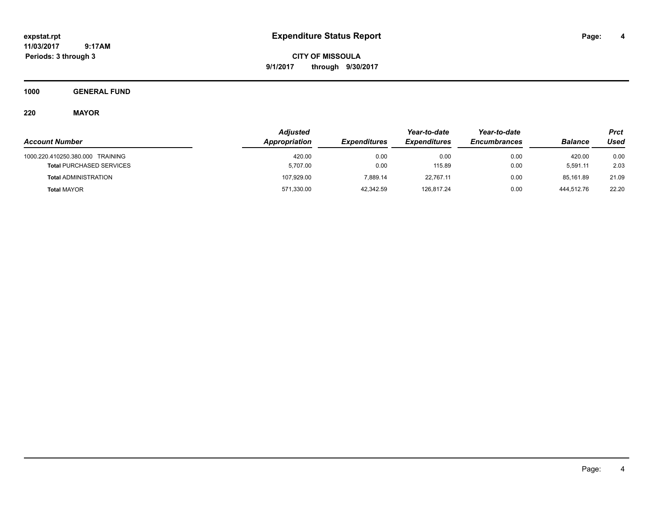**CITY OF MISSOULA 9/1/2017 through 9/30/2017**

**1000 GENERAL FUND**

## **220 MAYOR**

|                                  | <b>Adjusted</b> |                     |                     | Year-to-date        |                | Prct        |
|----------------------------------|-----------------|---------------------|---------------------|---------------------|----------------|-------------|
| <b>Account Number</b>            | Appropriation   | <b>Expenditures</b> | <b>Expenditures</b> | <b>Encumbrances</b> | <b>Balance</b> | <b>Used</b> |
| 1000.220.410250.380.000 TRAINING | 420.00          | 0.00                | 0.00                | 0.00                | 420.00         | 0.00        |
| <b>Total PURCHASED SERVICES</b>  | 5,707.00        | 0.00                | 115.89              | 0.00                | 5.591.11       | 2.03        |
| <b>Total ADMINISTRATION</b>      | 107.929.00      | 7.889.14            | 22.767.11           | 0.00                | 85.161.89      | 21.09       |
| <b>Total MAYOR</b>               | 571,330.00      | 42.342.59           | 126.817.24          | 0.00                | 444.512.76     | 22.20       |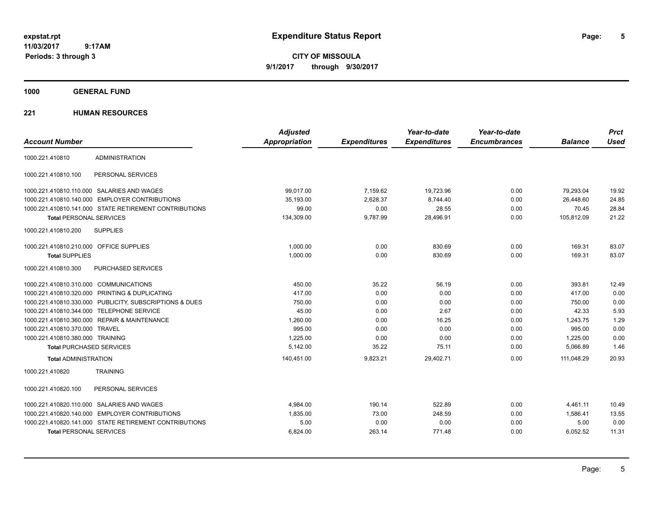**CITY OF MISSOULA 9/1/2017 through 9/30/2017**

**1000 GENERAL FUND**

### **221 HUMAN RESOURCES**

|                                         |                                                         | <b>Adjusted</b>      |                     | Year-to-date        | Year-to-date        |                | <b>Prct</b> |
|-----------------------------------------|---------------------------------------------------------|----------------------|---------------------|---------------------|---------------------|----------------|-------------|
| <b>Account Number</b>                   |                                                         | <b>Appropriation</b> | <b>Expenditures</b> | <b>Expenditures</b> | <b>Encumbrances</b> | <b>Balance</b> | <b>Used</b> |
| 1000.221.410810                         | <b>ADMINISTRATION</b>                                   |                      |                     |                     |                     |                |             |
| 1000.221.410810.100                     | PERSONAL SERVICES                                       |                      |                     |                     |                     |                |             |
|                                         | 1000.221.410810.110.000 SALARIES AND WAGES              | 99.017.00            | 7,159.62            | 19,723.96           | 0.00                | 79,293.04      | 19.92       |
|                                         | 1000.221.410810.140.000 EMPLOYER CONTRIBUTIONS          | 35.193.00            | 2.628.37            | 8.744.40            | 0.00                | 26.448.60      | 24.85       |
|                                         | 1000.221.410810.141.000 STATE RETIREMENT CONTRIBUTIONS  | 99.00                | 0.00                | 28.55               | 0.00                | 70.45          | 28.84       |
| <b>Total PERSONAL SERVICES</b>          |                                                         | 134,309.00           | 9,787.99            | 28,496.91           | 0.00                | 105,812.09     | 21.22       |
| 1000.221.410810.200                     | <b>SUPPLIES</b>                                         |                      |                     |                     |                     |                |             |
| 1000.221.410810.210.000 OFFICE SUPPLIES |                                                         | 1.000.00             | 0.00                | 830.69              | 0.00                | 169.31         | 83.07       |
| <b>Total SUPPLIES</b>                   |                                                         | 1,000.00             | 0.00                | 830.69              | 0.00                | 169.31         | 83.07       |
| 1000.221.410810.300                     | PURCHASED SERVICES                                      |                      |                     |                     |                     |                |             |
| 1000.221.410810.310.000 COMMUNICATIONS  |                                                         | 450.00               | 35.22               | 56.19               | 0.00                | 393.81         | 12.49       |
|                                         | 1000.221.410810.320.000 PRINTING & DUPLICATING          | 417.00               | 0.00                | 0.00                | 0.00                | 417.00         | 0.00        |
|                                         | 1000.221.410810.330.000 PUBLICITY, SUBSCRIPTIONS & DUES | 750.00               | 0.00                | 0.00                | 0.00                | 750.00         | 0.00        |
|                                         | 1000.221.410810.344.000 TELEPHONE SERVICE               | 45.00                | 0.00                | 2.67                | 0.00                | 42.33          | 5.93        |
|                                         | 1000.221.410810.360.000 REPAIR & MAINTENANCE            | 1.260.00             | 0.00                | 16.25               | 0.00                | 1,243.75       | 1.29        |
| 1000.221.410810.370.000 TRAVEL          |                                                         | 995.00               | 0.00                | 0.00                | 0.00                | 995.00         | 0.00        |
| 1000.221.410810.380.000 TRAINING        |                                                         | 1,225.00             | 0.00                | 0.00                | 0.00                | 1,225.00       | 0.00        |
| <b>Total PURCHASED SERVICES</b>         |                                                         | 5.142.00             | 35.22               | 75.11               | 0.00                | 5,066.89       | 1.46        |
| <b>Total ADMINISTRATION</b>             |                                                         | 140,451.00           | 9,823.21            | 29,402.71           | 0.00                | 111,048.29     | 20.93       |
| 1000.221.410820                         | <b>TRAINING</b>                                         |                      |                     |                     |                     |                |             |
| 1000.221.410820.100                     | PERSONAL SERVICES                                       |                      |                     |                     |                     |                |             |
|                                         | 1000.221.410820.110.000 SALARIES AND WAGES              | 4,984.00             | 190.14              | 522.89              | 0.00                | 4,461.11       | 10.49       |
|                                         | 1000.221.410820.140.000 EMPLOYER CONTRIBUTIONS          | 1,835.00             | 73.00               | 248.59              | 0.00                | 1,586.41       | 13.55       |
|                                         | 1000.221.410820.141.000 STATE RETIREMENT CONTRIBUTIONS  | 5.00                 | 0.00                | 0.00                | 0.00                | 5.00           | 0.00        |
| <b>Total PERSONAL SERVICES</b>          |                                                         | 6,824.00             | 263.14              | 771.48              | 0.00                | 6,052.52       | 11.31       |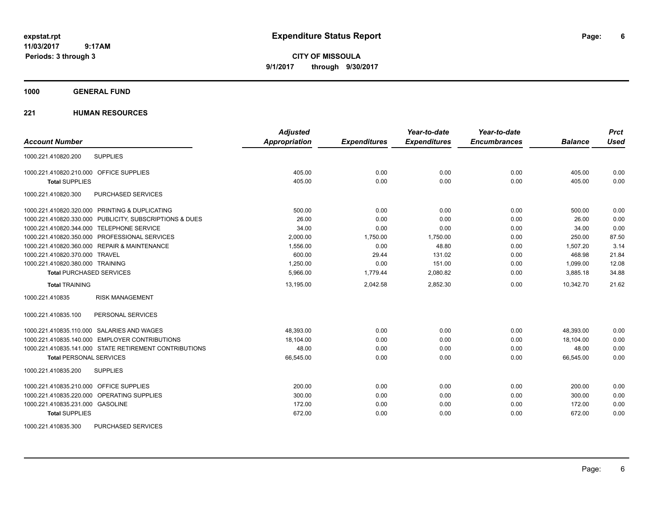**CITY OF MISSOULA 9/1/2017 through 9/30/2017**

### **1000 GENERAL FUND**

### **221 HUMAN RESOURCES**

|                                                         | <b>Adjusted</b>      |                     | Year-to-date        | Year-to-date        |                | <b>Prct</b> |
|---------------------------------------------------------|----------------------|---------------------|---------------------|---------------------|----------------|-------------|
| <b>Account Number</b>                                   | <b>Appropriation</b> | <b>Expenditures</b> | <b>Expenditures</b> | <b>Encumbrances</b> | <b>Balance</b> | <b>Used</b> |
| <b>SUPPLIES</b><br>1000.221.410820.200                  |                      |                     |                     |                     |                |             |
| 1000.221.410820.210.000 OFFICE SUPPLIES                 | 405.00               | 0.00                | 0.00                | 0.00                | 405.00         | 0.00        |
| <b>Total SUPPLIES</b>                                   | 405.00               | 0.00                | 0.00                | 0.00                | 405.00         | 0.00        |
| 1000.221.410820.300<br>PURCHASED SERVICES               |                      |                     |                     |                     |                |             |
| 1000.221.410820.320.000 PRINTING & DUPLICATING          | 500.00               | 0.00                | 0.00                | 0.00                | 500.00         | 0.00        |
| 1000.221.410820.330.000 PUBLICITY, SUBSCRIPTIONS & DUES | 26.00                | 0.00                | 0.00                | 0.00                | 26.00          | 0.00        |
| 1000.221.410820.344.000 TELEPHONE SERVICE               | 34.00                | 0.00                | 0.00                | 0.00                | 34.00          | 0.00        |
| 1000.221.410820.350.000 PROFESSIONAL SERVICES           | 2,000.00             | 1,750.00            | 1,750.00            | 0.00                | 250.00         | 87.50       |
| 1000.221.410820.360.000 REPAIR & MAINTENANCE            | 1,556.00             | 0.00                | 48.80               | 0.00                | 1,507.20       | 3.14        |
| 1000.221.410820.370.000 TRAVEL                          | 600.00               | 29.44               | 131.02              | 0.00                | 468.98         | 21.84       |
| 1000.221.410820.380.000 TRAINING                        | 1,250.00             | 0.00                | 151.00              | 0.00                | 1,099.00       | 12.08       |
| <b>Total PURCHASED SERVICES</b>                         | 5,966.00             | 1,779.44            | 2,080.82            | 0.00                | 3,885.18       | 34.88       |
| <b>Total TRAINING</b>                                   | 13,195.00            | 2,042.58            | 2,852.30            | 0.00                | 10,342.70      | 21.62       |
| <b>RISK MANAGEMENT</b><br>1000.221.410835               |                      |                     |                     |                     |                |             |
| 1000.221.410835.100<br>PERSONAL SERVICES                |                      |                     |                     |                     |                |             |
| 1000.221.410835.110.000 SALARIES AND WAGES              | 48,393.00            | 0.00                | 0.00                | 0.00                | 48,393.00      | 0.00        |
| 1000.221.410835.140.000 EMPLOYER CONTRIBUTIONS          | 18,104.00            | 0.00                | 0.00                | 0.00                | 18,104.00      | 0.00        |
| 1000.221.410835.141.000 STATE RETIREMENT CONTRIBUTIONS  | 48.00                | 0.00                | 0.00                | 0.00                | 48.00          | 0.00        |
| <b>Total PERSONAL SERVICES</b>                          | 66,545.00            | 0.00                | 0.00                | 0.00                | 66,545.00      | 0.00        |
| <b>SUPPLIES</b><br>1000.221.410835.200                  |                      |                     |                     |                     |                |             |
| 1000.221.410835.210.000 OFFICE SUPPLIES                 | 200.00               | 0.00                | 0.00                | 0.00                | 200.00         | 0.00        |
| 1000.221.410835.220.000 OPERATING SUPPLIES              | 300.00               | 0.00                | 0.00                | 0.00                | 300.00         | 0.00        |
| 1000.221.410835.231.000 GASOLINE                        | 172.00               | 0.00                | 0.00                | 0.00                | 172.00         | 0.00        |
| <b>Total SUPPLIES</b>                                   | 672.00               | 0.00                | 0.00                | 0.00                | 672.00         | 0.00        |
| <b>PURCHASED SERVICES</b><br>1000.221.410835.300        |                      |                     |                     |                     |                |             |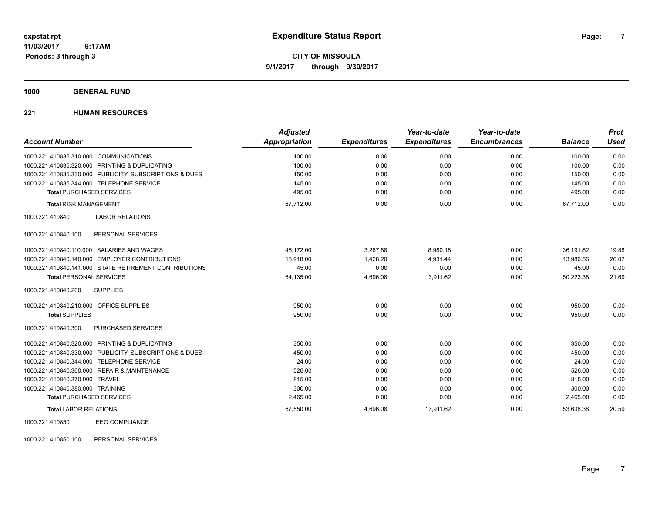**CITY OF MISSOULA 9/1/2017 through 9/30/2017**

**1000 GENERAL FUND**

### **221 HUMAN RESOURCES**

| <b>Account Number</b>                     |                                                         | <b>Adjusted</b><br>Appropriation | <b>Expenditures</b> | Year-to-date<br><b>Expenditures</b> | Year-to-date<br><b>Encumbrances</b> | <b>Balance</b> | <b>Prct</b><br><b>Used</b> |
|-------------------------------------------|---------------------------------------------------------|----------------------------------|---------------------|-------------------------------------|-------------------------------------|----------------|----------------------------|
|                                           |                                                         |                                  |                     |                                     |                                     |                |                            |
| 1000.221.410835.310.000 COMMUNICATIONS    |                                                         | 100.00                           | 0.00                | 0.00                                | 0.00                                | 100.00         | 0.00                       |
|                                           | 1000.221.410835.320.000 PRINTING & DUPLICATING          | 100.00                           | 0.00                | 0.00                                | 0.00                                | 100.00         | 0.00                       |
|                                           | 1000.221.410835.330.000 PUBLICITY, SUBSCRIPTIONS & DUES | 150.00                           | 0.00                | 0.00                                | 0.00                                | 150.00         | 0.00                       |
| 1000.221.410835.344.000 TELEPHONE SERVICE |                                                         | 145.00                           | 0.00                | 0.00                                | 0.00                                | 145.00         | 0.00                       |
| <b>Total PURCHASED SERVICES</b>           |                                                         | 495.00                           | 0.00                | 0.00                                | 0.00                                | 495.00         | 0.00                       |
| <b>Total RISK MANAGEMENT</b>              |                                                         | 67,712.00                        | 0.00                | 0.00                                | 0.00                                | 67,712.00      | 0.00                       |
| 1000.221.410840                           | <b>LABOR RELATIONS</b>                                  |                                  |                     |                                     |                                     |                |                            |
| 1000.221.410840.100                       | PERSONAL SERVICES                                       |                                  |                     |                                     |                                     |                |                            |
|                                           | 1000.221.410840.110.000 SALARIES AND WAGES              | 45,172.00                        | 3,267.88            | 8,980.18                            | 0.00                                | 36,191.82      | 19.88                      |
|                                           | 1000.221.410840.140.000 EMPLOYER CONTRIBUTIONS          | 18,918.00                        | 1,428.20            | 4,931.44                            | 0.00                                | 13.986.56      | 26.07                      |
|                                           | 1000.221.410840.141.000 STATE RETIREMENT CONTRIBUTIONS  | 45.00                            | 0.00                | 0.00                                | 0.00                                | 45.00          | 0.00                       |
| <b>Total PERSONAL SERVICES</b>            |                                                         | 64,135.00                        | 4,696.08            | 13,911.62                           | 0.00                                | 50,223.38      | 21.69                      |
| 1000.221.410840.200                       | <b>SUPPLIES</b>                                         |                                  |                     |                                     |                                     |                |                            |
| 1000.221.410840.210.000 OFFICE SUPPLIES   |                                                         | 950.00                           | 0.00                | 0.00                                | 0.00                                | 950.00         | 0.00                       |
| <b>Total SUPPLIES</b>                     |                                                         | 950.00                           | 0.00                | 0.00                                | 0.00                                | 950.00         | 0.00                       |
| 1000.221.410840.300                       | PURCHASED SERVICES                                      |                                  |                     |                                     |                                     |                |                            |
|                                           | 1000.221.410840.320.000 PRINTING & DUPLICATING          | 350.00                           | 0.00                | 0.00                                | 0.00                                | 350.00         | 0.00                       |
|                                           | 1000.221.410840.330.000 PUBLICITY, SUBSCRIPTIONS & DUES | 450.00                           | 0.00                | 0.00                                | 0.00                                | 450.00         | 0.00                       |
| 1000.221.410840.344.000 TELEPHONE SERVICE |                                                         | 24.00                            | 0.00                | 0.00                                | 0.00                                | 24.00          | 0.00                       |
|                                           | 1000.221.410840.360.000 REPAIR & MAINTENANCE            | 526.00                           | 0.00                | 0.00                                | 0.00                                | 526.00         | 0.00                       |
| 1000.221.410840.370.000 TRAVEL            |                                                         | 815.00                           | 0.00                | 0.00                                | 0.00                                | 815.00         | 0.00                       |
| 1000.221.410840.380.000 TRAINING          |                                                         | 300.00                           | 0.00                | 0.00                                | 0.00                                | 300.00         | 0.00                       |
| <b>Total PURCHASED SERVICES</b>           |                                                         | 2,465.00                         | 0.00                | 0.00                                | 0.00                                | 2,465.00       | 0.00                       |
| <b>Total LABOR RELATIONS</b>              |                                                         | 67,550.00                        | 4,696.08            | 13,911.62                           | 0.00                                | 53,638.38      | 20.59                      |
| 1000.221.410850                           | <b>EEO COMPLIANCE</b>                                   |                                  |                     |                                     |                                     |                |                            |

1000.221.410850.100 PERSONAL SERVICES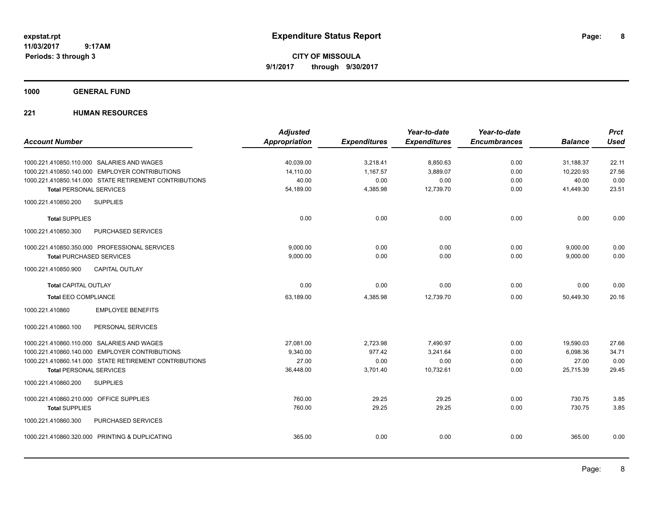**CITY OF MISSOULA 9/1/2017 through 9/30/2017**

**1000 GENERAL FUND**

### **221 HUMAN RESOURCES**

|                                                        | <b>Adjusted</b> |                     | Year-to-date        | Year-to-date        |                | <b>Prct</b> |
|--------------------------------------------------------|-----------------|---------------------|---------------------|---------------------|----------------|-------------|
| <b>Account Number</b>                                  | Appropriation   | <b>Expenditures</b> | <b>Expenditures</b> | <b>Encumbrances</b> | <b>Balance</b> | <b>Used</b> |
| 1000.221.410850.110.000 SALARIES AND WAGES             | 40,039.00       | 3,218.41            | 8,850.63            | 0.00                | 31,188.37      | 22.11       |
| 1000.221.410850.140.000 EMPLOYER CONTRIBUTIONS         | 14.110.00       | 1.167.57            | 3,889.07            | 0.00                | 10,220.93      | 27.56       |
| 1000.221.410850.141.000 STATE RETIREMENT CONTRIBUTIONS | 40.00           | 0.00                | 0.00                | 0.00                | 40.00          | 0.00        |
| <b>Total PERSONAL SERVICES</b>                         | 54,189.00       | 4,385.98            | 12,739.70           | 0.00                | 41,449.30      | 23.51       |
| 1000.221.410850.200<br><b>SUPPLIES</b>                 |                 |                     |                     |                     |                |             |
| <b>Total SUPPLIES</b>                                  | 0.00            | 0.00                | 0.00                | 0.00                | 0.00           | 0.00        |
| 1000.221.410850.300<br><b>PURCHASED SERVICES</b>       |                 |                     |                     |                     |                |             |
| 1000.221.410850.350.000 PROFESSIONAL SERVICES          | 9,000.00        | 0.00                | 0.00                | 0.00                | 9,000.00       | 0.00        |
| <b>Total PURCHASED SERVICES</b>                        | 9,000.00        | 0.00                | 0.00                | 0.00                | 9,000.00       | 0.00        |
| CAPITAL OUTLAY<br>1000.221.410850.900                  |                 |                     |                     |                     |                |             |
| <b>Total CAPITAL OUTLAY</b>                            | 0.00            | 0.00                | 0.00                | 0.00                | 0.00           | 0.00        |
| <b>Total EEO COMPLIANCE</b>                            | 63,189.00       | 4,385.98            | 12,739.70           | 0.00                | 50,449.30      | 20.16       |
| <b>EMPLOYEE BENEFITS</b><br>1000.221.410860            |                 |                     |                     |                     |                |             |
| 1000.221.410860.100<br>PERSONAL SERVICES               |                 |                     |                     |                     |                |             |
| 1000.221.410860.110.000 SALARIES AND WAGES             | 27,081.00       | 2,723.98            | 7,490.97            | 0.00                | 19,590.03      | 27.66       |
| 1000.221.410860.140.000 EMPLOYER CONTRIBUTIONS         | 9,340.00        | 977.42              | 3,241.64            | 0.00                | 6,098.36       | 34.71       |
| 1000.221.410860.141.000 STATE RETIREMENT CONTRIBUTIONS | 27.00           | 0.00                | 0.00                | 0.00                | 27.00          | 0.00        |
| <b>Total PERSONAL SERVICES</b>                         | 36,448.00       | 3,701.40            | 10,732.61           | 0.00                | 25,715.39      | 29.45       |
| 1000.221.410860.200<br><b>SUPPLIES</b>                 |                 |                     |                     |                     |                |             |
| 1000.221.410860.210.000 OFFICE SUPPLIES                | 760.00          | 29.25               | 29.25               | 0.00                | 730.75         | 3.85        |
| <b>Total SUPPLIES</b>                                  | 760.00          | 29.25               | 29.25               | 0.00                | 730.75         | 3.85        |
| 1000.221.410860.300<br>PURCHASED SERVICES              |                 |                     |                     |                     |                |             |
| 1000.221.410860.320.000 PRINTING & DUPLICATING         | 365.00          | 0.00                | 0.00                | 0.00                | 365.00         | 0.00        |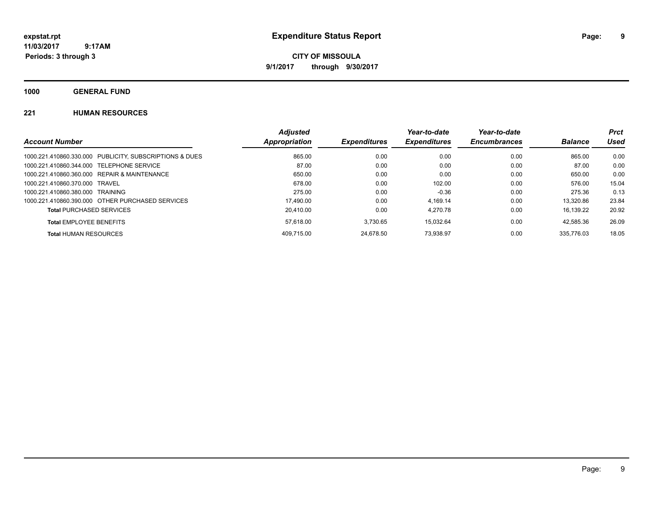**CITY OF MISSOULA 9/1/2017 through 9/30/2017**

**1000 GENERAL FUND**

### **221 HUMAN RESOURCES**

|                                                         | <b>Adjusted</b> |                     | Year-to-date        | Year-to-date        |                | <b>Prct</b> |
|---------------------------------------------------------|-----------------|---------------------|---------------------|---------------------|----------------|-------------|
| <b>Account Number</b>                                   | Appropriation   | <b>Expenditures</b> | <b>Expenditures</b> | <b>Encumbrances</b> | <b>Balance</b> | Used        |
| 1000.221.410860.330.000 PUBLICITY, SUBSCRIPTIONS & DUES | 865.00          | 0.00                | 0.00                | 0.00                | 865.00         | 0.00        |
| 1000.221.410860.344.000 TELEPHONE SERVICE               | 87.00           | 0.00                | 0.00                | 0.00                | 87.00          | 0.00        |
| 1000.221.410860.360.000 REPAIR & MAINTENANCE            | 650.00          | 0.00                | 0.00                | 0.00                | 650.00         | 0.00        |
| 1000.221.410860.370.000 TRAVEL                          | 678.00          | 0.00                | 102.00              | 0.00                | 576.00         | 15.04       |
| 1000.221.410860.380.000 TRAINING                        | 275.00          | 0.00                | $-0.36$             | 0.00                | 275.36         | 0.13        |
| 1000.221.410860.390.000 OTHER PURCHASED SERVICES        | 17.490.00       | 0.00                | 4.169.14            | 0.00                | 13.320.86      | 23.84       |
| <b>Total PURCHASED SERVICES</b>                         | 20.410.00       | 0.00                | 4.270.78            | 0.00                | 16.139.22      | 20.92       |
| <b>Total EMPLOYEE BENEFITS</b>                          | 57.618.00       | 3.730.65            | 15.032.64           | 0.00                | 42.585.36      | 26.09       |
| <b>Total HUMAN RESOURCES</b>                            | 409.715.00      | 24.678.50           | 73.938.97           | 0.00                | 335.776.03     | 18.05       |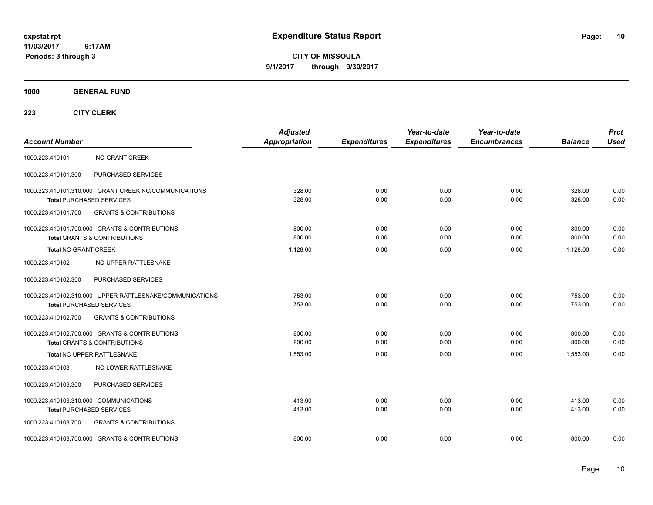**CITY OF MISSOULA 9/1/2017 through 9/30/2017**

### **1000 GENERAL FUND**

|                                                          | <b>Adjusted</b>      |                     | Year-to-date        | Year-to-date        |                | <b>Prct</b> |
|----------------------------------------------------------|----------------------|---------------------|---------------------|---------------------|----------------|-------------|
| <b>Account Number</b>                                    | <b>Appropriation</b> | <b>Expenditures</b> | <b>Expenditures</b> | <b>Encumbrances</b> | <b>Balance</b> | <b>Used</b> |
| <b>NC-GRANT CREEK</b><br>1000.223.410101                 |                      |                     |                     |                     |                |             |
| PURCHASED SERVICES<br>1000.223.410101.300                |                      |                     |                     |                     |                |             |
| 1000.223.410101.310.000 GRANT CREEK NC/COMMUNICATIONS    | 328.00               | 0.00                | 0.00                | 0.00                | 328.00         | 0.00        |
| <b>Total PURCHASED SERVICES</b>                          | 328.00               | 0.00                | 0.00                | 0.00                | 328.00         | 0.00        |
| <b>GRANTS &amp; CONTRIBUTIONS</b><br>1000.223.410101.700 |                      |                     |                     |                     |                |             |
| 1000.223.410101.700.000 GRANTS & CONTRIBUTIONS           | 800.00               | 0.00                | 0.00                | 0.00                | 800.00         | 0.00        |
| <b>Total GRANTS &amp; CONTRIBUTIONS</b>                  | 800.00               | 0.00                | 0.00                | 0.00                | 800.00         | 0.00        |
| <b>Total NC-GRANT CREEK</b>                              | 1,128.00             | 0.00                | 0.00                | 0.00                | 1,128.00       | 0.00        |
| 1000.223.410102<br>NC-UPPER RATTLESNAKE                  |                      |                     |                     |                     |                |             |
| PURCHASED SERVICES<br>1000.223.410102.300                |                      |                     |                     |                     |                |             |
| 1000.223.410102.310.000 UPPER RATTLESNAKE/COMMUNICATIONS | 753.00               | 0.00                | 0.00                | 0.00                | 753.00         | 0.00        |
| <b>Total PURCHASED SERVICES</b>                          | 753.00               | 0.00                | 0.00                | 0.00                | 753.00         | 0.00        |
| <b>GRANTS &amp; CONTRIBUTIONS</b><br>1000.223.410102.700 |                      |                     |                     |                     |                |             |
| 1000.223.410102.700.000 GRANTS & CONTRIBUTIONS           | 800.00               | 0.00                | 0.00                | 0.00                | 800.00         | 0.00        |
| <b>Total GRANTS &amp; CONTRIBUTIONS</b>                  | 800.00               | 0.00                | 0.00                | 0.00                | 800.00         | 0.00        |
| Total NC-UPPER RATTLESNAKE                               | 1,553.00             | 0.00                | 0.00                | 0.00                | 1,553.00       | 0.00        |
| 1000.223.410103<br><b>NC-LOWER RATTLESNAKE</b>           |                      |                     |                     |                     |                |             |
| 1000.223.410103.300<br>PURCHASED SERVICES                |                      |                     |                     |                     |                |             |
| 1000.223.410103.310.000 COMMUNICATIONS                   | 413.00               | 0.00                | 0.00                | 0.00                | 413.00         | 0.00        |
| <b>Total PURCHASED SERVICES</b>                          | 413.00               | 0.00                | 0.00                | 0.00                | 413.00         | 0.00        |
| 1000.223.410103.700<br><b>GRANTS &amp; CONTRIBUTIONS</b> |                      |                     |                     |                     |                |             |
| 1000.223.410103.700.000 GRANTS & CONTRIBUTIONS           | 800.00               | 0.00                | 0.00                | 0.00                | 800.00         | 0.00        |
|                                                          |                      |                     |                     |                     |                |             |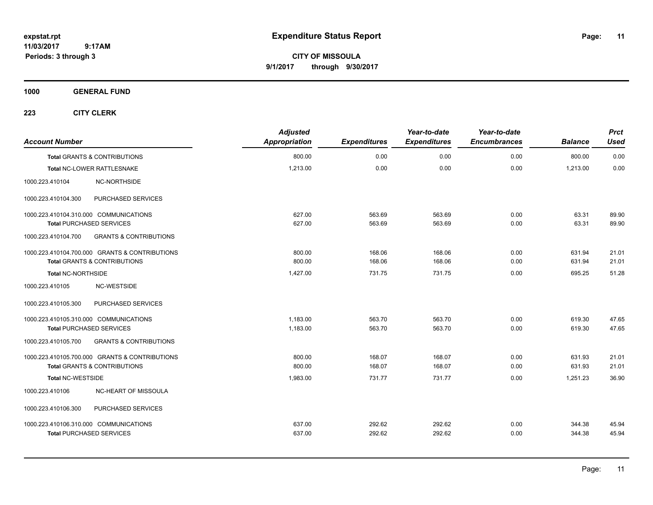**11**

**CITY OF MISSOULA 9/1/2017 through 9/30/2017**

**1000 GENERAL FUND**

| <b>Account Number</b>                  |                                                | <b>Adjusted</b><br>Appropriation | <b>Expenditures</b> | Year-to-date<br><b>Expenditures</b> | Year-to-date<br><b>Encumbrances</b> | <b>Balance</b> | <b>Prct</b><br><b>Used</b> |
|----------------------------------------|------------------------------------------------|----------------------------------|---------------------|-------------------------------------|-------------------------------------|----------------|----------------------------|
|                                        | <b>Total GRANTS &amp; CONTRIBUTIONS</b>        | 800.00                           | 0.00                | 0.00                                | 0.00                                | 800.00         | 0.00                       |
|                                        | Total NC-LOWER RATTLESNAKE                     | 1,213.00                         | 0.00                | 0.00                                | 0.00                                | 1,213.00       | 0.00                       |
| 1000.223.410104                        | NC-NORTHSIDE                                   |                                  |                     |                                     |                                     |                |                            |
| 1000.223.410104.300                    | PURCHASED SERVICES                             |                                  |                     |                                     |                                     |                |                            |
| 1000.223.410104.310.000 COMMUNICATIONS |                                                | 627.00                           | 563.69              | 563.69                              | 0.00                                | 63.31          | 89.90                      |
| <b>Total PURCHASED SERVICES</b>        |                                                | 627.00                           | 563.69              | 563.69                              | 0.00                                | 63.31          | 89.90                      |
| 1000.223.410104.700                    | <b>GRANTS &amp; CONTRIBUTIONS</b>              |                                  |                     |                                     |                                     |                |                            |
|                                        | 1000.223.410104.700.000 GRANTS & CONTRIBUTIONS | 800.00                           | 168.06              | 168.06                              | 0.00                                | 631.94         | 21.01                      |
|                                        | <b>Total GRANTS &amp; CONTRIBUTIONS</b>        | 800.00                           | 168.06              | 168.06                              | 0.00                                | 631.94         | 21.01                      |
| Total NC-NORTHSIDE                     |                                                | 1,427.00                         | 731.75              | 731.75                              | 0.00                                | 695.25         | 51.28                      |
| 1000.223.410105                        | NC-WESTSIDE                                    |                                  |                     |                                     |                                     |                |                            |
| 1000.223.410105.300                    | PURCHASED SERVICES                             |                                  |                     |                                     |                                     |                |                            |
| 1000.223.410105.310.000 COMMUNICATIONS |                                                | 1,183.00                         | 563.70              | 563.70                              | 0.00                                | 619.30         | 47.65                      |
| <b>Total PURCHASED SERVICES</b>        |                                                | 1,183.00                         | 563.70              | 563.70                              | 0.00                                | 619.30         | 47.65                      |
| 1000.223.410105.700                    | <b>GRANTS &amp; CONTRIBUTIONS</b>              |                                  |                     |                                     |                                     |                |                            |
|                                        | 1000.223.410105.700.000 GRANTS & CONTRIBUTIONS | 800.00                           | 168.07              | 168.07                              | 0.00                                | 631.93         | 21.01                      |
|                                        | <b>Total GRANTS &amp; CONTRIBUTIONS</b>        | 800.00                           | 168.07              | 168.07                              | 0.00                                | 631.93         | 21.01                      |
| <b>Total NC-WESTSIDE</b>               |                                                | 1,983.00                         | 731.77              | 731.77                              | 0.00                                | 1,251.23       | 36.90                      |
| 1000.223.410106                        | NC-HEART OF MISSOULA                           |                                  |                     |                                     |                                     |                |                            |
| 1000.223.410106.300                    | PURCHASED SERVICES                             |                                  |                     |                                     |                                     |                |                            |
| 1000.223.410106.310.000 COMMUNICATIONS |                                                | 637.00                           | 292.62              | 292.62                              | 0.00                                | 344.38         | 45.94                      |
| <b>Total PURCHASED SERVICES</b>        |                                                | 637.00                           | 292.62              | 292.62                              | 0.00                                | 344.38         | 45.94                      |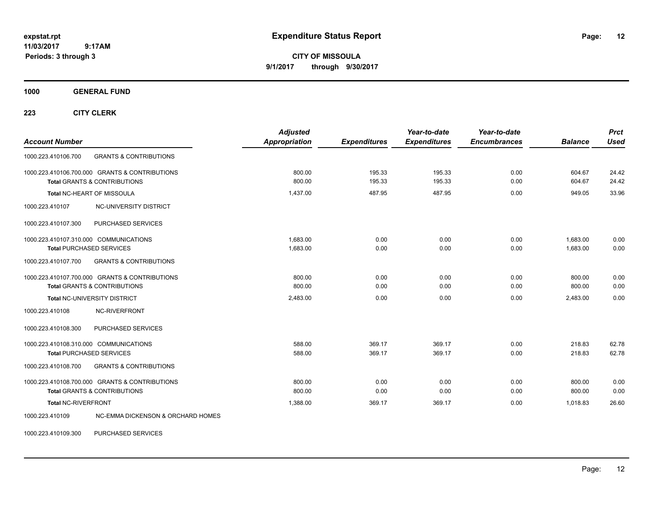**CITY OF MISSOULA 9/1/2017 through 9/30/2017**

**1000 GENERAL FUND**

**223 CITY CLERK**

| <b>Account Number</b>                                                                     |                                              | <b>Adjusted</b><br><b>Appropriation</b> | <b>Expenditures</b> | Year-to-date<br><b>Expenditures</b> | Year-to-date<br><b>Encumbrances</b> | <b>Balance</b> | <b>Prct</b><br><b>Used</b> |
|-------------------------------------------------------------------------------------------|----------------------------------------------|-----------------------------------------|---------------------|-------------------------------------|-------------------------------------|----------------|----------------------------|
| 1000.223.410106.700                                                                       | <b>GRANTS &amp; CONTRIBUTIONS</b>            |                                         |                     |                                     |                                     |                |                            |
| 1000.223.410106.700.000 GRANTS & CONTRIBUTIONS<br><b>Total GRANTS &amp; CONTRIBUTIONS</b> |                                              | 800.00                                  | 195.33              | 195.33                              | 0.00                                | 604.67         | 24.42                      |
|                                                                                           |                                              | 800.00                                  | 195.33              | 195.33                              | 0.00                                | 604.67         | 24.42                      |
| Total NC-HEART OF MISSOULA                                                                |                                              | 1,437.00                                | 487.95              | 487.95                              | 0.00                                | 949.05         | 33.96                      |
| 1000.223.410107                                                                           | NC-UNIVERSITY DISTRICT                       |                                         |                     |                                     |                                     |                |                            |
| 1000.223.410107.300                                                                       | PURCHASED SERVICES                           |                                         |                     |                                     |                                     |                |                            |
| 1000.223.410107.310.000 COMMUNICATIONS                                                    |                                              | 1.683.00                                | 0.00                | 0.00                                | 0.00                                | 1,683.00       | 0.00                       |
| <b>Total PURCHASED SERVICES</b>                                                           |                                              | 1,683.00                                | 0.00                | 0.00                                | 0.00                                | 1,683.00       | 0.00                       |
| 1000.223.410107.700                                                                       | <b>GRANTS &amp; CONTRIBUTIONS</b>            |                                         |                     |                                     |                                     |                |                            |
| 1000.223.410107.700.000 GRANTS & CONTRIBUTIONS                                            |                                              | 800.00                                  | 0.00                | 0.00                                | 0.00                                | 800.00         | 0.00                       |
| <b>Total GRANTS &amp; CONTRIBUTIONS</b>                                                   |                                              | 800.00                                  | 0.00                | 0.00                                | 0.00                                | 800.00         | 0.00                       |
| Total NC-UNIVERSITY DISTRICT                                                              |                                              | 2,483.00                                | 0.00                | 0.00                                | 0.00                                | 2,483.00       | 0.00                       |
| NC-RIVERFRONT<br>1000.223.410108                                                          |                                              |                                         |                     |                                     |                                     |                |                            |
| 1000.223.410108.300                                                                       | PURCHASED SERVICES                           |                                         |                     |                                     |                                     |                |                            |
| 1000.223.410108.310.000 COMMUNICATIONS                                                    |                                              | 588.00                                  | 369.17              | 369.17                              | 0.00                                | 218.83         | 62.78                      |
| <b>Total PURCHASED SERVICES</b>                                                           |                                              | 588.00                                  | 369.17              | 369.17                              | 0.00                                | 218.83         | 62.78                      |
| 1000.223.410108.700                                                                       | <b>GRANTS &amp; CONTRIBUTIONS</b>            |                                         |                     |                                     |                                     |                |                            |
| 1000.223.410108.700.000 GRANTS & CONTRIBUTIONS                                            |                                              | 800.00                                  | 0.00                | 0.00                                | 0.00                                | 800.00         | 0.00                       |
| <b>Total GRANTS &amp; CONTRIBUTIONS</b>                                                   |                                              | 800.00                                  | 0.00                | 0.00                                | 0.00                                | 800.00         | 0.00                       |
| <b>Total NC-RIVERFRONT</b>                                                                |                                              | 1,388.00                                | 369.17              | 369.17                              | 0.00                                | 1,018.83       | 26.60                      |
| 1000.223.410109                                                                           | <b>NC-EMMA DICKENSON &amp; ORCHARD HOMES</b> |                                         |                     |                                     |                                     |                |                            |

1000.223.410109.300 PURCHASED SERVICES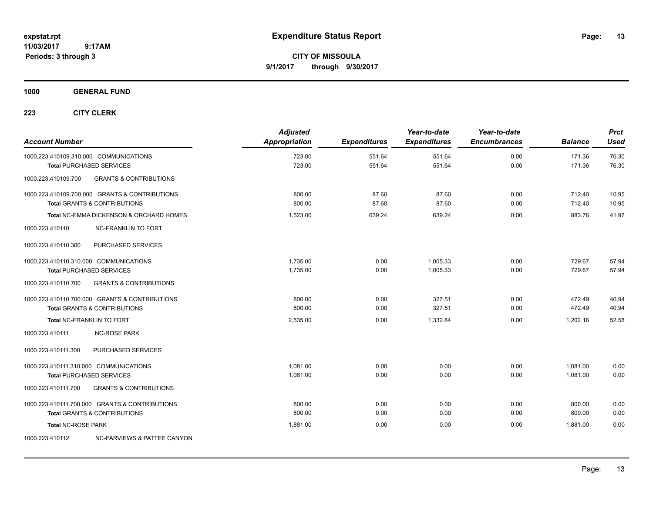**CITY OF MISSOULA 9/1/2017 through 9/30/2017**

**1000 GENERAL FUND**

| <b>Account Number</b>                  |                                                | <b>Adjusted</b><br>Appropriation | <b>Expenditures</b> | Year-to-date<br><b>Expenditures</b> | Year-to-date<br><b>Encumbrances</b> | <b>Balance</b> | <b>Prct</b><br><b>Used</b> |
|----------------------------------------|------------------------------------------------|----------------------------------|---------------------|-------------------------------------|-------------------------------------|----------------|----------------------------|
|                                        | 1000.223.410109.310.000 COMMUNICATIONS         | 723.00                           | 551.64              | 551.64                              | 0.00                                | 171.36         | 76.30                      |
|                                        | <b>Total PURCHASED SERVICES</b>                | 723.00                           | 551.64              | 551.64                              | 0.00                                | 171.36         | 76.30                      |
| 1000.223.410109.700                    | <b>GRANTS &amp; CONTRIBUTIONS</b>              |                                  |                     |                                     |                                     |                |                            |
|                                        | 1000.223.410109.700.000 GRANTS & CONTRIBUTIONS | 800.00                           | 87.60               | 87.60                               | 0.00                                | 712.40         | 10.95                      |
|                                        | <b>Total GRANTS &amp; CONTRIBUTIONS</b>        | 800.00                           | 87.60               | 87.60                               | 0.00                                | 712.40         | 10.95                      |
|                                        | Total NC-EMMA DICKENSON & ORCHARD HOMES        | 1,523.00                         | 639.24              | 639.24                              | 0.00                                | 883.76         | 41.97                      |
| 1000.223.410110                        | <b>NC-FRANKLIN TO FORT</b>                     |                                  |                     |                                     |                                     |                |                            |
| 1000.223.410110.300                    | PURCHASED SERVICES                             |                                  |                     |                                     |                                     |                |                            |
| 1000.223.410110.310.000 COMMUNICATIONS |                                                | 1,735.00                         | 0.00                | 1,005.33                            | 0.00                                | 729.67         | 57.94                      |
|                                        | <b>Total PURCHASED SERVICES</b>                | 1,735.00                         | 0.00                | 1,005.33                            | 0.00                                | 729.67         | 57.94                      |
| 1000.223.410110.700                    | <b>GRANTS &amp; CONTRIBUTIONS</b>              |                                  |                     |                                     |                                     |                |                            |
|                                        | 1000.223.410110.700.000 GRANTS & CONTRIBUTIONS | 800.00                           | 0.00                | 327.51                              | 0.00                                | 472.49         | 40.94                      |
|                                        | <b>Total GRANTS &amp; CONTRIBUTIONS</b>        | 800.00                           | 0.00                | 327.51                              | 0.00                                | 472.49         | 40.94                      |
| <b>Total NC-FRANKLIN TO FORT</b>       |                                                | 2,535.00                         | 0.00                | 1,332.84                            | 0.00                                | 1,202.16       | 52.58                      |
| 1000.223.410111                        | <b>NC-ROSE PARK</b>                            |                                  |                     |                                     |                                     |                |                            |
| 1000.223.410111.300                    | PURCHASED SERVICES                             |                                  |                     |                                     |                                     |                |                            |
| 1000.223.410111.310.000 COMMUNICATIONS |                                                | 1.081.00                         | 0.00                | 0.00                                | 0.00                                | 1.081.00       | 0.00                       |
|                                        | <b>Total PURCHASED SERVICES</b>                | 1,081.00                         | 0.00                | 0.00                                | 0.00                                | 1,081.00       | 0.00                       |
| 1000.223.410111.700                    | <b>GRANTS &amp; CONTRIBUTIONS</b>              |                                  |                     |                                     |                                     |                |                            |
|                                        | 1000.223.410111.700.000 GRANTS & CONTRIBUTIONS | 800.00                           | 0.00                | 0.00                                | 0.00                                | 800.00         | 0.00                       |
|                                        | <b>Total GRANTS &amp; CONTRIBUTIONS</b>        | 800.00                           | 0.00                | 0.00                                | 0.00                                | 800.00         | 0.00                       |
| <b>Total NC-ROSE PARK</b>              |                                                | 1,881.00                         | 0.00                | 0.00                                | 0.00                                | 1.881.00       | 0.00                       |
| 1000.223.410112                        | <b>NC-FARVIEWS &amp; PATTEE CANYON</b>         |                                  |                     |                                     |                                     |                |                            |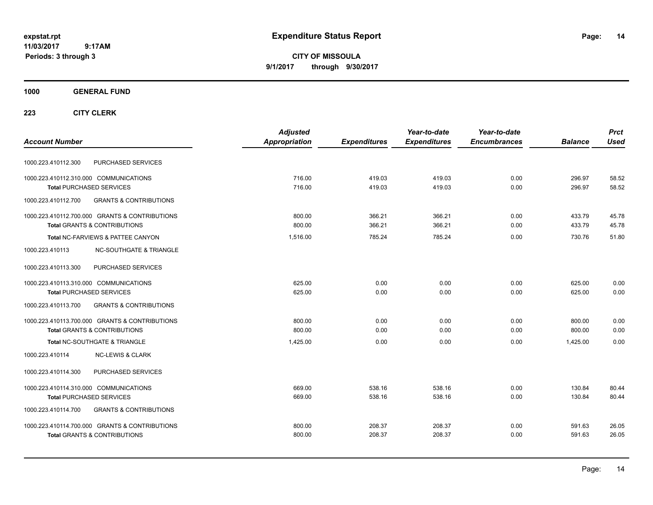**CITY OF MISSOULA 9/1/2017 through 9/30/2017**

### **1000 GENERAL FUND**

|                                                          | <b>Adjusted</b> |                     | Year-to-date        | Year-to-date        |                | <b>Prct</b> |
|----------------------------------------------------------|-----------------|---------------------|---------------------|---------------------|----------------|-------------|
| <b>Account Number</b>                                    | Appropriation   | <b>Expenditures</b> | <b>Expenditures</b> | <b>Encumbrances</b> | <b>Balance</b> | <b>Used</b> |
| PURCHASED SERVICES<br>1000.223.410112.300                |                 |                     |                     |                     |                |             |
| 1000.223.410112.310.000 COMMUNICATIONS                   | 716.00          | 419.03              | 419.03              | 0.00                | 296.97         | 58.52       |
| <b>Total PURCHASED SERVICES</b>                          | 716.00          | 419.03              | 419.03              | 0.00                | 296.97         | 58.52       |
| <b>GRANTS &amp; CONTRIBUTIONS</b><br>1000.223.410112.700 |                 |                     |                     |                     |                |             |
| 1000.223.410112.700.000 GRANTS & CONTRIBUTIONS           | 800.00          | 366.21              | 366.21              | 0.00                | 433.79         | 45.78       |
| <b>Total GRANTS &amp; CONTRIBUTIONS</b>                  | 800.00          | 366.21              | 366.21              | 0.00                | 433.79         | 45.78       |
| Total NC-FARVIEWS & PATTEE CANYON                        | 1,516.00        | 785.24              | 785.24              | 0.00                | 730.76         | 51.80       |
| <b>NC-SOUTHGATE &amp; TRIANGLE</b><br>1000.223.410113    |                 |                     |                     |                     |                |             |
| 1000.223.410113.300<br>PURCHASED SERVICES                |                 |                     |                     |                     |                |             |
| 1000.223.410113.310.000 COMMUNICATIONS                   | 625.00          | 0.00                | 0.00                | 0.00                | 625.00         | 0.00        |
| <b>Total PURCHASED SERVICES</b>                          | 625.00          | 0.00                | 0.00                | 0.00                | 625.00         | 0.00        |
| 1000.223.410113.700<br><b>GRANTS &amp; CONTRIBUTIONS</b> |                 |                     |                     |                     |                |             |
| 1000.223.410113.700.000 GRANTS & CONTRIBUTIONS           | 800.00          | 0.00                | 0.00                | 0.00                | 800.00         | 0.00        |
| <b>Total GRANTS &amp; CONTRIBUTIONS</b>                  | 800.00          | 0.00                | 0.00                | 0.00                | 800.00         | 0.00        |
| <b>Total NC-SOUTHGATE &amp; TRIANGLE</b>                 | 1,425.00        | 0.00                | 0.00                | 0.00                | 1,425.00       | 0.00        |
| 1000.223.410114<br><b>NC-LEWIS &amp; CLARK</b>           |                 |                     |                     |                     |                |             |
| PURCHASED SERVICES<br>1000.223.410114.300                |                 |                     |                     |                     |                |             |
| 1000.223.410114.310.000 COMMUNICATIONS                   | 669.00          | 538.16              | 538.16              | 0.00                | 130.84         | 80.44       |
| <b>Total PURCHASED SERVICES</b>                          | 669.00          | 538.16              | 538.16              | 0.00                | 130.84         | 80.44       |
| <b>GRANTS &amp; CONTRIBUTIONS</b><br>1000.223.410114.700 |                 |                     |                     |                     |                |             |
| 1000.223.410114.700.000 GRANTS & CONTRIBUTIONS           | 800.00          | 208.37              | 208.37              | 0.00                | 591.63         | 26.05       |
| <b>Total GRANTS &amp; CONTRIBUTIONS</b>                  | 800.00          | 208.37              | 208.37              | 0.00                | 591.63         | 26.05       |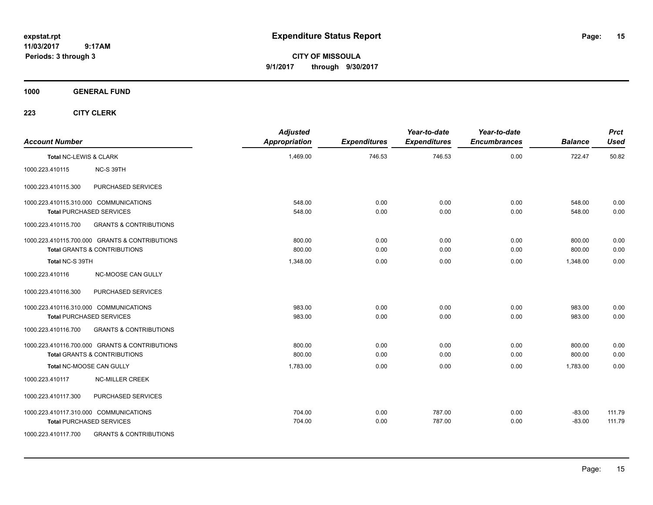**CITY OF MISSOULA 9/1/2017 through 9/30/2017**

**1000 GENERAL FUND**

| <b>Account Number</b>  |                                                | <b>Adjusted</b><br><b>Appropriation</b> | <b>Expenditures</b> | Year-to-date<br><b>Expenditures</b> | Year-to-date<br><b>Encumbrances</b> | <b>Balance</b> | <b>Prct</b><br><b>Used</b> |
|------------------------|------------------------------------------------|-----------------------------------------|---------------------|-------------------------------------|-------------------------------------|----------------|----------------------------|
| Total NC-LEWIS & CLARK |                                                | 1,469.00                                | 746.53              | 746.53                              | 0.00                                | 722.47         | 50.82                      |
| 1000.223.410115        | NC-S 39TH                                      |                                         |                     |                                     |                                     |                |                            |
| 1000.223.410115.300    | PURCHASED SERVICES                             |                                         |                     |                                     |                                     |                |                            |
|                        | 1000.223.410115.310.000 COMMUNICATIONS         | 548.00                                  | 0.00                | 0.00                                | 0.00                                | 548.00         | 0.00                       |
|                        | <b>Total PURCHASED SERVICES</b>                | 548.00                                  | 0.00                | 0.00                                | 0.00                                | 548.00         | 0.00                       |
| 1000.223.410115.700    | <b>GRANTS &amp; CONTRIBUTIONS</b>              |                                         |                     |                                     |                                     |                |                            |
|                        | 1000.223.410115.700.000 GRANTS & CONTRIBUTIONS | 800.00                                  | 0.00                | 0.00                                | 0.00                                | 800.00         | 0.00                       |
|                        | <b>Total GRANTS &amp; CONTRIBUTIONS</b>        | 800.00                                  | 0.00                | 0.00                                | 0.00                                | 800.00         | 0.00                       |
| Total NC-S 39TH        |                                                | 1.348.00                                | 0.00                | 0.00                                | 0.00                                | 1.348.00       | 0.00                       |
| 1000.223.410116        | <b>NC-MOOSE CAN GULLY</b>                      |                                         |                     |                                     |                                     |                |                            |
| 1000.223.410116.300    | <b>PURCHASED SERVICES</b>                      |                                         |                     |                                     |                                     |                |                            |
|                        | 1000.223.410116.310.000 COMMUNICATIONS         | 983.00                                  | 0.00                | 0.00                                | 0.00                                | 983.00         | 0.00                       |
|                        | <b>Total PURCHASED SERVICES</b>                | 983.00                                  | 0.00                | 0.00                                | 0.00                                | 983.00         | 0.00                       |
| 1000.223.410116.700    | <b>GRANTS &amp; CONTRIBUTIONS</b>              |                                         |                     |                                     |                                     |                |                            |
|                        | 1000.223.410116.700.000 GRANTS & CONTRIBUTIONS | 800.00                                  | 0.00                | 0.00                                | 0.00                                | 800.00         | 0.00                       |
|                        | <b>Total GRANTS &amp; CONTRIBUTIONS</b>        | 800.00                                  | 0.00                | 0.00                                | 0.00                                | 800.00         | 0.00                       |
|                        | Total NC-MOOSE CAN GULLY                       | 1,783.00                                | 0.00                | 0.00                                | 0.00                                | 1,783.00       | 0.00                       |
| 1000.223.410117        | <b>NC-MILLER CREEK</b>                         |                                         |                     |                                     |                                     |                |                            |
| 1000.223.410117.300    | PURCHASED SERVICES                             |                                         |                     |                                     |                                     |                |                            |
|                        | 1000.223.410117.310.000 COMMUNICATIONS         | 704.00                                  | 0.00                | 787.00                              | 0.00                                | $-83.00$       | 111.79                     |
|                        | <b>Total PURCHASED SERVICES</b>                | 704.00                                  | 0.00                | 787.00                              | 0.00                                | $-83.00$       | 111.79                     |
| 1000.223.410117.700    | <b>GRANTS &amp; CONTRIBUTIONS</b>              |                                         |                     |                                     |                                     |                |                            |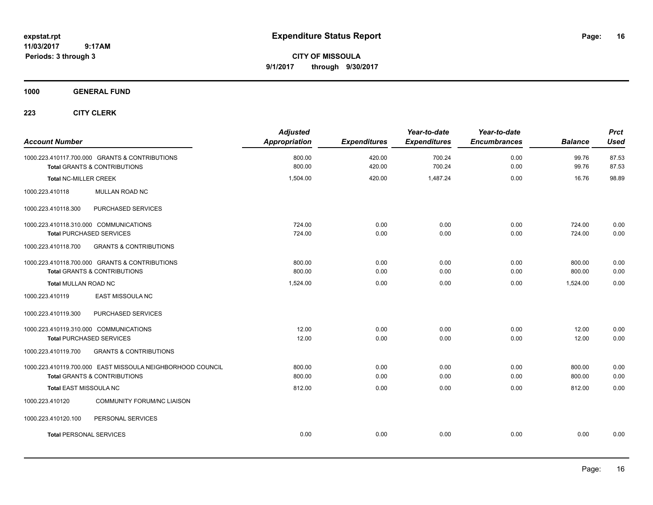**CITY OF MISSOULA 9/1/2017 through 9/30/2017**

### **1000 GENERAL FUND**

| <b>Account Number</b>                                                     |                                                                                                       | <b>Adjusted</b><br><b>Appropriation</b> | <b>Expenditures</b>  | Year-to-date<br><b>Expenditures</b> | Year-to-date<br><b>Encumbrances</b> | <b>Balance</b>             | <b>Prct</b><br><b>Used</b> |
|---------------------------------------------------------------------------|-------------------------------------------------------------------------------------------------------|-----------------------------------------|----------------------|-------------------------------------|-------------------------------------|----------------------------|----------------------------|
|                                                                           | 1000.223.410117.700.000 GRANTS & CONTRIBUTIONS<br><b>Total GRANTS &amp; CONTRIBUTIONS</b>             | 800.00<br>800.00                        | 420.00<br>420.00     | 700.24<br>700.24                    | 0.00<br>0.00                        | 99.76<br>99.76             | 87.53<br>87.53             |
| <b>Total NC-MILLER CREEK</b>                                              |                                                                                                       | 1,504.00                                | 420.00               | 1,487.24                            | 0.00                                | 16.76                      | 98.89                      |
| 1000.223.410118                                                           | MULLAN ROAD NC                                                                                        |                                         |                      |                                     |                                     |                            |                            |
| 1000.223.410118.300                                                       | PURCHASED SERVICES                                                                                    |                                         |                      |                                     |                                     |                            |                            |
| 1000.223.410118.310.000 COMMUNICATIONS<br><b>Total PURCHASED SERVICES</b> |                                                                                                       | 724.00<br>724.00                        | 0.00<br>0.00         | 0.00<br>0.00                        | 0.00<br>0.00                        | 724.00<br>724.00           | 0.00<br>0.00               |
| 1000.223.410118.700                                                       | <b>GRANTS &amp; CONTRIBUTIONS</b>                                                                     |                                         |                      |                                     |                                     |                            |                            |
|                                                                           | 1000.223.410118.700.000 GRANTS & CONTRIBUTIONS<br><b>Total GRANTS &amp; CONTRIBUTIONS</b>             | 800.00<br>800.00                        | 0.00<br>0.00         | 0.00<br>0.00                        | 0.00<br>0.00                        | 800.00<br>800.00           | 0.00<br>0.00               |
| Total MULLAN ROAD NC                                                      |                                                                                                       | 1,524.00                                | 0.00                 | 0.00                                | 0.00                                | 1,524.00                   | 0.00                       |
| 1000.223.410119                                                           | EAST MISSOULA NC                                                                                      |                                         |                      |                                     |                                     |                            |                            |
| 1000.223.410119.300                                                       | PURCHASED SERVICES                                                                                    |                                         |                      |                                     |                                     |                            |                            |
| 1000.223.410119.310.000 COMMUNICATIONS<br><b>Total PURCHASED SERVICES</b> |                                                                                                       | 12.00<br>12.00                          | 0.00<br>0.00         | 0.00<br>0.00                        | 0.00<br>0.00                        | 12.00<br>12.00             | 0.00<br>0.00               |
| 1000.223.410119.700                                                       | <b>GRANTS &amp; CONTRIBUTIONS</b>                                                                     |                                         |                      |                                     |                                     |                            |                            |
| <b>Total EAST MISSOULA NC</b>                                             | 1000.223.410119.700.000 EAST MISSOULA NEIGHBORHOOD COUNCIL<br><b>Total GRANTS &amp; CONTRIBUTIONS</b> | 800.00<br>800.00<br>812.00              | 0.00<br>0.00<br>0.00 | 0.00<br>0.00<br>0.00                | 0.00<br>0.00<br>0.00                | 800.00<br>800.00<br>812.00 | 0.00<br>0.00<br>0.00       |
| 1000.223.410120                                                           | <b>COMMUNITY FORUM/NC LIAISON</b>                                                                     |                                         |                      |                                     |                                     |                            |                            |
|                                                                           |                                                                                                       |                                         |                      |                                     |                                     |                            |                            |
| 1000.223.410120.100                                                       | PERSONAL SERVICES                                                                                     |                                         |                      |                                     |                                     |                            |                            |
| <b>Total PERSONAL SERVICES</b>                                            |                                                                                                       | 0.00                                    | 0.00                 | 0.00                                | 0.00                                | 0.00                       | 0.00                       |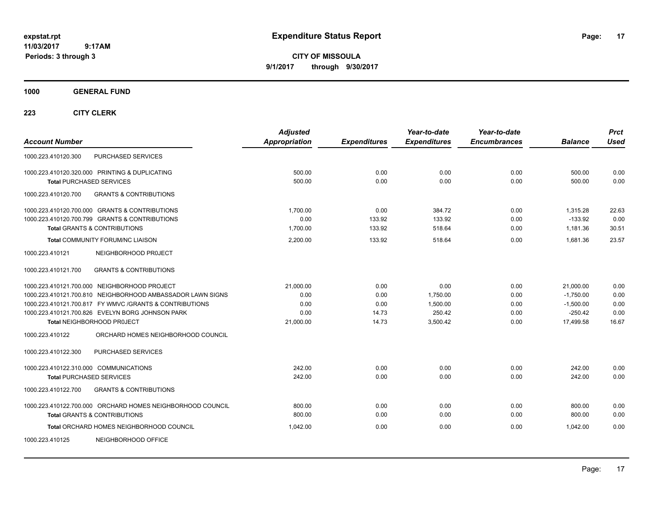**CITY OF MISSOULA 9/1/2017 through 9/30/2017**

**1000 GENERAL FUND**

| <b>Account Number</b>                                                             | <b>Adjusted</b><br><b>Appropriation</b> | <b>Expenditures</b> | Year-to-date<br><b>Expenditures</b> | Year-to-date<br><b>Encumbrances</b> | <b>Balance</b>   | <b>Prct</b><br><b>Used</b> |
|-----------------------------------------------------------------------------------|-----------------------------------------|---------------------|-------------------------------------|-------------------------------------|------------------|----------------------------|
| 1000.223.410120.300<br>PURCHASED SERVICES                                         |                                         |                     |                                     |                                     |                  |                            |
| 1000.223.410120.320.000 PRINTING & DUPLICATING<br><b>Total PURCHASED SERVICES</b> | 500.00<br>500.00                        | 0.00<br>0.00        | 0.00<br>0.00                        | 0.00<br>0.00                        | 500.00<br>500.00 | 0.00<br>0.00               |
| <b>GRANTS &amp; CONTRIBUTIONS</b><br>1000.223.410120.700                          |                                         |                     |                                     |                                     |                  |                            |
| 1000.223.410120.700.000 GRANTS & CONTRIBUTIONS                                    | 1,700.00                                | 0.00                | 384.72                              | 0.00                                | 1,315.28         | 22.63                      |
| 1000.223.410120.700.799 GRANTS & CONTRIBUTIONS                                    | 0.00                                    | 133.92              | 133.92                              | 0.00                                | $-133.92$        | 0.00                       |
| <b>Total GRANTS &amp; CONTRIBUTIONS</b>                                           | 1,700.00                                | 133.92              | 518.64                              | 0.00                                | 1,181.36         | 30.51                      |
| Total COMMUNITY FORUM/NC LIAISON                                                  | 2,200.00                                | 133.92              | 518.64                              | 0.00                                | 1,681.36         | 23.57                      |
| NEIGHBORHOOD PROJECT<br>1000.223.410121                                           |                                         |                     |                                     |                                     |                  |                            |
| <b>GRANTS &amp; CONTRIBUTIONS</b><br>1000.223.410121.700                          |                                         |                     |                                     |                                     |                  |                            |
| 1000.223.410121.700.000 NEIGHBORHOOD PROJECT                                      | 21,000.00                               | 0.00                | 0.00                                | 0.00                                | 21,000.00        | 0.00                       |
| 1000.223.410121.700.810 NEIGHBORHOOD AMBASSADOR LAWN SIGNS                        | 0.00                                    | 0.00                | 1,750.00                            | 0.00                                | $-1,750.00$      | 0.00                       |
| 1000.223.410121.700.817 FY WMVC / GRANTS & CONTRIBUTIONS                          | 0.00                                    | 0.00                | 1,500.00                            | 0.00                                | $-1,500.00$      | 0.00                       |
| 1000.223.410121.700.826 EVELYN BORG JOHNSON PARK                                  | 0.00                                    | 14.73               | 250.42                              | 0.00                                | $-250.42$        | 0.00                       |
| Total NEIGHBORHOOD PROJECT                                                        | 21,000.00                               | 14.73               | 3,500.42                            | 0.00                                | 17,499.58        | 16.67                      |
| 1000.223.410122<br>ORCHARD HOMES NEIGHBORHOOD COUNCIL                             |                                         |                     |                                     |                                     |                  |                            |
| PURCHASED SERVICES<br>1000.223.410122.300                                         |                                         |                     |                                     |                                     |                  |                            |
| 1000.223.410122.310.000 COMMUNICATIONS                                            | 242.00                                  | 0.00                | 0.00                                | 0.00                                | 242.00           | 0.00                       |
| <b>Total PURCHASED SERVICES</b>                                                   | 242.00                                  | 0.00                | 0.00                                | 0.00                                | 242.00           | 0.00                       |
| <b>GRANTS &amp; CONTRIBUTIONS</b><br>1000.223.410122.700                          |                                         |                     |                                     |                                     |                  |                            |
| 1000.223.410122.700.000 ORCHARD HOMES NEIGHBORHOOD COUNCIL                        | 800.00                                  | 0.00                | 0.00                                | 0.00                                | 800.00           | 0.00                       |
| <b>Total GRANTS &amp; CONTRIBUTIONS</b>                                           | 800.00                                  | 0.00                | 0.00                                | 0.00                                | 800.00           | 0.00                       |
| Total ORCHARD HOMES NEIGHBORHOOD COUNCIL                                          | 1,042.00                                | 0.00                | 0.00                                | 0.00                                | 1,042.00         | 0.00                       |
| NEIGHBORHOOD OFFICE<br>1000.223.410125                                            |                                         |                     |                                     |                                     |                  |                            |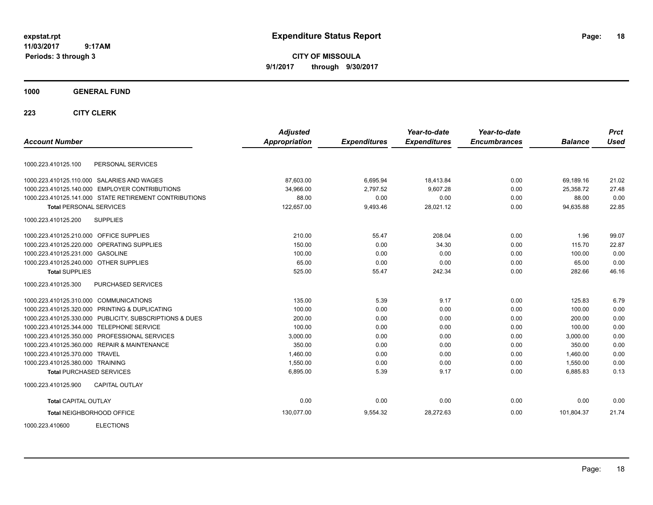**CITY OF MISSOULA 9/1/2017 through 9/30/2017**

### **1000 GENERAL FUND**

|                                         |                                                        | <b>Adjusted</b> |                     | Year-to-date        | Year-to-date        |                | <b>Prct</b> |
|-----------------------------------------|--------------------------------------------------------|-----------------|---------------------|---------------------|---------------------|----------------|-------------|
| <b>Account Number</b>                   |                                                        | Appropriation   | <b>Expenditures</b> | <b>Expenditures</b> | <b>Encumbrances</b> | <b>Balance</b> | <b>Used</b> |
| 1000.223.410125.100                     | PERSONAL SERVICES                                      |                 |                     |                     |                     |                |             |
|                                         | 1000.223.410125.110.000 SALARIES AND WAGES             | 87,603.00       | 6,695.94            | 18,413.84           | 0.00                | 69,189.16      | 21.02       |
|                                         | 1000.223.410125.140.000 EMPLOYER CONTRIBUTIONS         | 34,966.00       | 2,797.52            | 9,607.28            | 0.00                | 25,358.72      | 27.48       |
|                                         | 1000.223.410125.141.000 STATE RETIREMENT CONTRIBUTIONS | 88.00           | 0.00                | 0.00                | 0.00                | 88.00          | 0.00        |
| <b>Total PERSONAL SERVICES</b>          |                                                        | 122,657.00      | 9,493.46            | 28,021.12           | 0.00                | 94,635.88      | 22.85       |
| 1000.223.410125.200                     | <b>SUPPLIES</b>                                        |                 |                     |                     |                     |                |             |
| 1000.223.410125.210.000 OFFICE SUPPLIES |                                                        | 210.00          | 55.47               | 208.04              | 0.00                | 1.96           | 99.07       |
|                                         | 1000.223.410125.220.000 OPERATING SUPPLIES             | 150.00          | 0.00                | 34.30               | 0.00                | 115.70         | 22.87       |
| 1000.223.410125.231.000 GASOLINE        |                                                        | 100.00          | 0.00                | 0.00                | 0.00                | 100.00         | 0.00        |
| 1000.223.410125.240.000 OTHER SUPPLIES  |                                                        | 65.00           | 0.00                | 0.00                | 0.00                | 65.00          | 0.00        |
| <b>Total SUPPLIES</b>                   |                                                        | 525.00          | 55.47               | 242.34              | 0.00                | 282.66         | 46.16       |
| 1000.223.410125.300                     | PURCHASED SERVICES                                     |                 |                     |                     |                     |                |             |
| 1000.223.410125.310.000 COMMUNICATIONS  |                                                        | 135.00          | 5.39                | 9.17                | 0.00                | 125.83         | 6.79        |
| 1000.223.410125.320.000                 | PRINTING & DUPLICATING                                 | 100.00          | 0.00                | 0.00                | 0.00                | 100.00         | 0.00        |
| 1000.223.410125.330.000                 | PUBLICITY, SUBSCRIPTIONS & DUES                        | 200.00          | 0.00                | 0.00                | 0.00                | 200.00         | 0.00        |
| 1000.223.410125.344.000                 | <b>TELEPHONE SERVICE</b>                               | 100.00          | 0.00                | 0.00                | 0.00                | 100.00         | 0.00        |
| 1000.223.410125.350.000                 | PROFESSIONAL SERVICES                                  | 3,000.00        | 0.00                | 0.00                | 0.00                | 3,000.00       | 0.00        |
|                                         | 1000.223.410125.360.000 REPAIR & MAINTENANCE           | 350.00          | 0.00                | 0.00                | 0.00                | 350.00         | 0.00        |
| 1000.223.410125.370.000 TRAVEL          |                                                        | 1,460.00        | 0.00                | 0.00                | 0.00                | 1,460.00       | 0.00        |
| 1000.223.410125.380.000 TRAINING        |                                                        | 1,550.00        | 0.00                | 0.00                | 0.00                | 1,550.00       | 0.00        |
| <b>Total PURCHASED SERVICES</b>         |                                                        | 6,895.00        | 5.39                | 9.17                | 0.00                | 6,885.83       | 0.13        |
| 1000.223.410125.900                     | <b>CAPITAL OUTLAY</b>                                  |                 |                     |                     |                     |                |             |
| <b>Total CAPITAL OUTLAY</b>             |                                                        | 0.00            | 0.00                | 0.00                | 0.00                | 0.00           | 0.00        |
|                                         | <b>Total NEIGHBORHOOD OFFICE</b>                       | 130,077.00      | 9,554.32            | 28,272.63           | 0.00                | 101,804.37     | 21.74       |
| 1000.223.410600                         | <b>ELECTIONS</b>                                       |                 |                     |                     |                     |                |             |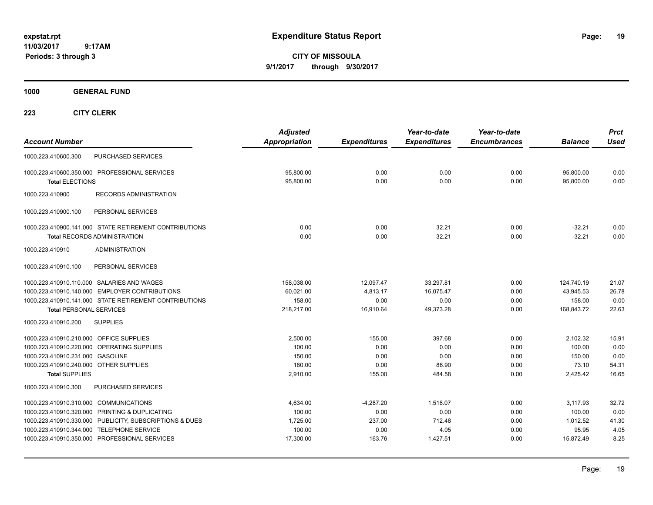**CITY OF MISSOULA 9/1/2017 through 9/30/2017**

**1000 GENERAL FUND**

| <b>Account Number</b>                                                                                                                                                                                                                             |                                            | <b>Adjusted</b><br><b>Appropriation</b>               | <b>Expenditures</b>                             | Year-to-date<br><b>Expenditures</b>            | Year-to-date<br><b>Encumbrances</b>  | <b>Balance</b>                                       | <b>Prct</b><br><b>Used</b>              |
|---------------------------------------------------------------------------------------------------------------------------------------------------------------------------------------------------------------------------------------------------|--------------------------------------------|-------------------------------------------------------|-------------------------------------------------|------------------------------------------------|--------------------------------------|------------------------------------------------------|-----------------------------------------|
| 1000.223.410600.300                                                                                                                                                                                                                               | PURCHASED SERVICES                         |                                                       |                                                 |                                                |                                      |                                                      |                                         |
| 1000.223.410600.350.000 PROFESSIONAL SERVICES<br><b>Total ELECTIONS</b>                                                                                                                                                                           |                                            | 95,800.00<br>95,800.00                                | 0.00<br>0.00                                    | 0.00<br>0.00                                   | 0.00<br>0.00                         | 95,800.00<br>95,800.00                               | 0.00<br>0.00                            |
| 1000.223.410900                                                                                                                                                                                                                                   | <b>RECORDS ADMINISTRATION</b>              |                                                       |                                                 |                                                |                                      |                                                      |                                         |
| 1000.223.410900.100                                                                                                                                                                                                                               | PERSONAL SERVICES                          |                                                       |                                                 |                                                |                                      |                                                      |                                         |
| 1000.223.410900.141.000 STATE RETIREMENT CONTRIBUTIONS<br><b>Total RECORDS ADMINISTRATION</b>                                                                                                                                                     |                                            | 0.00<br>0.00                                          | 0.00<br>0.00                                    | 32.21<br>32.21                                 | 0.00<br>0.00                         | $-32.21$<br>$-32.21$                                 | 0.00<br>0.00                            |
| 1000.223.410910<br>1000.223.410910.100                                                                                                                                                                                                            | <b>ADMINISTRATION</b><br>PERSONAL SERVICES |                                                       |                                                 |                                                |                                      |                                                      |                                         |
| 1000.223.410910.110.000 SALARIES AND WAGES<br>1000.223.410910.140.000 EMPLOYER CONTRIBUTIONS<br>1000.223.410910.141.000 STATE RETIREMENT CONTRIBUTIONS<br><b>Total PERSONAL SERVICES</b>                                                          |                                            | 158,038.00<br>60.021.00<br>158.00<br>218,217.00       | 12,097.47<br>4,813.17<br>0.00<br>16,910.64      | 33,297.81<br>16.075.47<br>0.00<br>49,373.28    | 0.00<br>0.00<br>0.00<br>0.00         | 124,740.19<br>43.945.53<br>158.00<br>168,843.72      | 21.07<br>26.78<br>0.00<br>22.63         |
| 1000.223.410910.200<br><b>SUPPLIES</b>                                                                                                                                                                                                            |                                            |                                                       |                                                 |                                                |                                      |                                                      |                                         |
| 1000.223.410910.210.000 OFFICE SUPPLIES<br>1000.223.410910.220.000 OPERATING SUPPLIES<br>1000.223.410910.231.000 GASOLINE<br>1000.223.410910.240.000 OTHER SUPPLIES<br><b>Total SUPPLIES</b>                                                      |                                            | 2,500.00<br>100.00<br>150.00<br>160.00<br>2.910.00    | 155.00<br>0.00<br>0.00<br>0.00<br>155.00        | 397.68<br>0.00<br>0.00<br>86.90<br>484.58      | 0.00<br>0.00<br>0.00<br>0.00<br>0.00 | 2,102.32<br>100.00<br>150.00<br>73.10<br>2.425.42    | 15.91<br>0.00<br>0.00<br>54.31<br>16.65 |
| 1000.223.410910.300                                                                                                                                                                                                                               | <b>PURCHASED SERVICES</b>                  |                                                       |                                                 |                                                |                                      |                                                      |                                         |
| 1000.223.410910.310.000 COMMUNICATIONS<br>1000.223.410910.320.000 PRINTING & DUPLICATING<br>1000.223.410910.330.000 PUBLICITY, SUBSCRIPTIONS & DUES<br>1000.223.410910.344.000 TELEPHONE SERVICE<br>1000.223.410910.350.000 PROFESSIONAL SERVICES |                                            | 4.634.00<br>100.00<br>1,725.00<br>100.00<br>17,300.00 | $-4,287.20$<br>0.00<br>237.00<br>0.00<br>163.76 | 1.516.07<br>0.00<br>712.48<br>4.05<br>1.427.51 | 0.00<br>0.00<br>0.00<br>0.00<br>0.00 | 3.117.93<br>100.00<br>1,012.52<br>95.95<br>15.872.49 | 32.72<br>0.00<br>41.30<br>4.05<br>8.25  |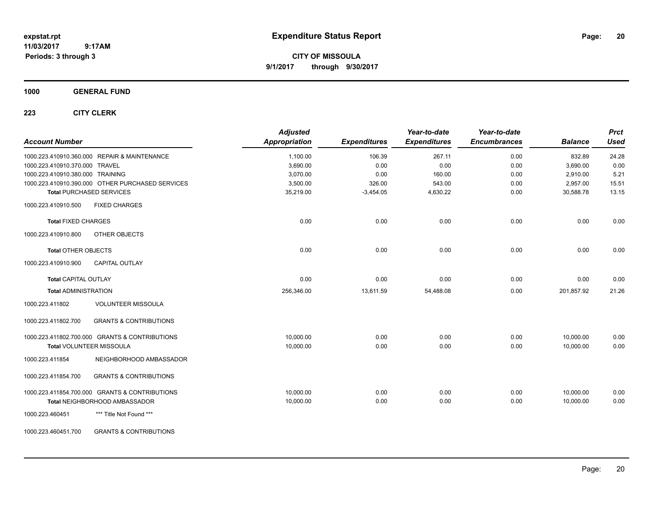**CITY OF MISSOULA 9/1/2017 through 9/30/2017**

### **1000 GENERAL FUND**

| <b>Account Number</b>            |                                                  | <b>Adjusted</b><br><b>Appropriation</b> | <b>Expenditures</b> | Year-to-date<br><b>Expenditures</b> | Year-to-date<br><b>Encumbrances</b> | <b>Balance</b> | <b>Prct</b><br><b>Used</b> |
|----------------------------------|--------------------------------------------------|-----------------------------------------|---------------------|-------------------------------------|-------------------------------------|----------------|----------------------------|
|                                  | 1000.223.410910.360.000 REPAIR & MAINTENANCE     | 1,100.00                                | 106.39              | 267.11                              | 0.00                                | 832.89         | 24.28                      |
| 1000.223.410910.370.000 TRAVEL   |                                                  | 3,690.00                                | 0.00                | 0.00                                | 0.00                                | 3,690.00       | 0.00                       |
| 1000.223.410910.380.000 TRAINING |                                                  | 3,070.00                                | 0.00                | 160.00                              | 0.00                                | 2,910.00       | 5.21                       |
|                                  | 1000.223.410910.390.000 OTHER PURCHASED SERVICES | 3,500.00                                | 326.00              | 543.00                              | 0.00                                | 2,957.00       | 15.51                      |
|                                  | <b>Total PURCHASED SERVICES</b>                  | 35,219.00                               | $-3,454.05$         | 4,630.22                            | 0.00                                | 30,588.78      | 13.15                      |
| 1000.223.410910.500              | <b>FIXED CHARGES</b>                             |                                         |                     |                                     |                                     |                |                            |
| <b>Total FIXED CHARGES</b>       |                                                  | 0.00                                    | 0.00                | 0.00                                | 0.00                                | 0.00           | 0.00                       |
| 1000.223.410910.800              | OTHER OBJECTS                                    |                                         |                     |                                     |                                     |                |                            |
| <b>Total OTHER OBJECTS</b>       |                                                  | 0.00                                    | 0.00                | 0.00                                | 0.00                                | 0.00           | 0.00                       |
| 1000.223.410910.900              | <b>CAPITAL OUTLAY</b>                            |                                         |                     |                                     |                                     |                |                            |
| <b>Total CAPITAL OUTLAY</b>      |                                                  | 0.00                                    | 0.00                | 0.00                                | 0.00                                | 0.00           | 0.00                       |
| <b>Total ADMINISTRATION</b>      |                                                  | 256,346.00                              | 13,611.59           | 54,488.08                           | 0.00                                | 201,857.92     | 21.26                      |
| 1000.223.411802                  | <b>VOLUNTEER MISSOULA</b>                        |                                         |                     |                                     |                                     |                |                            |
| 1000.223.411802.700              | <b>GRANTS &amp; CONTRIBUTIONS</b>                |                                         |                     |                                     |                                     |                |                            |
|                                  | 1000.223.411802.700.000 GRANTS & CONTRIBUTIONS   | 10.000.00                               | 0.00                | 0.00                                | 0.00                                | 10,000.00      | 0.00                       |
|                                  | Total VOLUNTEER MISSOULA                         | 10,000.00                               | 0.00                | 0.00                                | 0.00                                | 10,000.00      | 0.00                       |
| 1000.223.411854                  | NEIGHBORHOOD AMBASSADOR                          |                                         |                     |                                     |                                     |                |                            |
| 1000.223.411854.700              | <b>GRANTS &amp; CONTRIBUTIONS</b>                |                                         |                     |                                     |                                     |                |                            |
|                                  | 1000.223.411854.700.000 GRANTS & CONTRIBUTIONS   | 10.000.00                               | 0.00                | 0.00                                | 0.00                                | 10.000.00      | 0.00                       |
|                                  | Total NEIGHBORHOOD AMBASSADOR                    | 10,000.00                               | 0.00                | 0.00                                | 0.00                                | 10,000.00      | 0.00                       |
| 1000.223.460451                  | *** Title Not Found ***                          |                                         |                     |                                     |                                     |                |                            |
| 1000.223.460451.700              | <b>GRANTS &amp; CONTRIBUTIONS</b>                |                                         |                     |                                     |                                     |                |                            |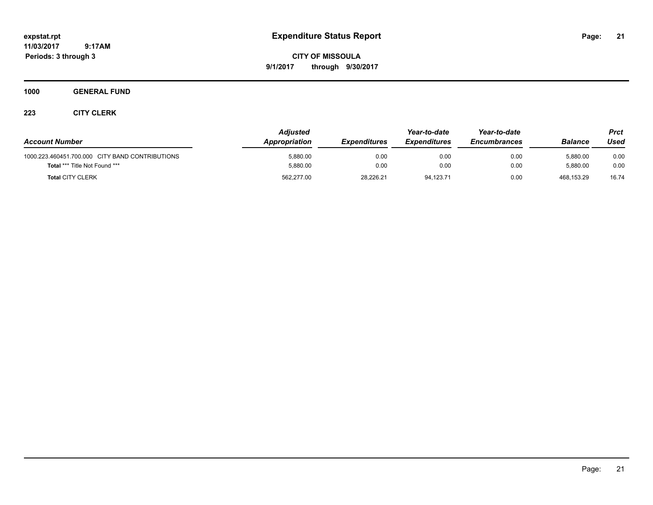**CITY OF MISSOULA 9/1/2017 through 9/30/2017**

### **1000 GENERAL FUND**

| <b>Account Number</b>                           | <b>Adjusted</b><br>Appropriation | <b>Expenditures</b> | Year-to-date<br><b>Expenditures</b> | Year-to-date<br><b>Encumbrances</b> | <b>Balance</b> | <b>Prct</b><br>Used |
|-------------------------------------------------|----------------------------------|---------------------|-------------------------------------|-------------------------------------|----------------|---------------------|
| 1000.223.460451.700.000 CITY BAND CONTRIBUTIONS | 5,880.00                         | 0.00                | 0.00                                | 0.00                                | 5,880.00       | 0.00                |
| <b>Total *** Title Not Found ***</b>            | 5,880.00                         | 0.00                | 0.00                                | 0.00                                | 5.880.00       | 0.00                |
| <b>Total CITY CLERK</b>                         | 562,277.00                       | 28.226.21           | 94.123.71                           | 0.00                                | 468.153.29     | 16.74               |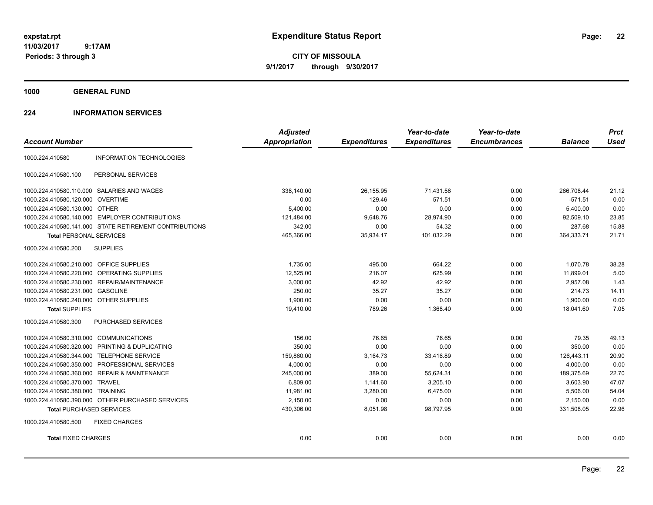**CITY OF MISSOULA 9/1/2017 through 9/30/2017**

**1000 GENERAL FUND**

### **224 INFORMATION SERVICES**

|                                                        | <b>Adjusted</b>      |                     | Year-to-date        | Year-to-date        |                | <b>Prct</b> |
|--------------------------------------------------------|----------------------|---------------------|---------------------|---------------------|----------------|-------------|
| <b>Account Number</b>                                  | <b>Appropriation</b> | <b>Expenditures</b> | <b>Expenditures</b> | <b>Encumbrances</b> | <b>Balance</b> | <b>Used</b> |
| <b>INFORMATION TECHNOLOGIES</b><br>1000.224.410580     |                      |                     |                     |                     |                |             |
| 1000.224.410580.100<br>PERSONAL SERVICES               |                      |                     |                     |                     |                |             |
| 1000.224.410580.110.000 SALARIES AND WAGES             | 338,140.00           | 26,155.95           | 71,431.56           | 0.00                | 266.708.44     | 21.12       |
| 1000.224.410580.120.000<br><b>OVERTIME</b>             | 0.00                 | 129.46              | 571.51              | 0.00                | $-571.51$      | 0.00        |
| 1000.224.410580.130.000 OTHER                          | 5,400.00             | 0.00                | 0.00                | 0.00                | 5,400.00       | 0.00        |
| 1000.224.410580.140.000 EMPLOYER CONTRIBUTIONS         | 121,484.00           | 9,648.76            | 28,974.90           | 0.00                | 92,509.10      | 23.85       |
| 1000.224.410580.141.000 STATE RETIREMENT CONTRIBUTIONS | 342.00               | 0.00                | 54.32               | 0.00                | 287.68         | 15.88       |
| <b>Total PERSONAL SERVICES</b>                         | 465,366.00           | 35,934.17           | 101,032.29          | 0.00                | 364,333.71     | 21.71       |
| <b>SUPPLIES</b><br>1000.224.410580.200                 |                      |                     |                     |                     |                |             |
| 1000.224.410580.210.000 OFFICE SUPPLIES                | 1.735.00             | 495.00              | 664.22              | 0.00                | 1.070.78       | 38.28       |
| 1000.224.410580.220.000<br>OPERATING SUPPLIES          | 12,525.00            | 216.07              | 625.99              | 0.00                | 11,899.01      | 5.00        |
| 1000.224.410580.230.000 REPAIR/MAINTENANCE             | 3,000.00             | 42.92               | 42.92               | 0.00                | 2,957.08       | 1.43        |
| 1000.224.410580.231.000 GASOLINE                       | 250.00               | 35.27               | 35.27               | 0.00                | 214.73         | 14.11       |
| 1000.224.410580.240.000 OTHER SUPPLIES                 | 1,900.00             | 0.00                | 0.00                | 0.00                | 1,900.00       | 0.00        |
| <b>Total SUPPLIES</b>                                  | 19,410.00            | 789.26              | 1,368.40            | 0.00                | 18,041.60      | 7.05        |
| 1000.224.410580.300<br><b>PURCHASED SERVICES</b>       |                      |                     |                     |                     |                |             |
| 1000.224.410580.310.000 COMMUNICATIONS                 | 156.00               | 76.65               | 76.65               | 0.00                | 79.35          | 49.13       |
| 1000.224.410580.320.000 PRINTING & DUPLICATING         | 350.00               | 0.00                | 0.00                | 0.00                | 350.00         | 0.00        |
| 1000.224.410580.344.000 TELEPHONE SERVICE              | 159,860.00           | 3,164.73            | 33,416.89           | 0.00                | 126,443.11     | 20.90       |
| 1000.224.410580.350.000 PROFESSIONAL SERVICES          | 4,000.00             | 0.00                | 0.00                | 0.00                | 4,000.00       | 0.00        |
| 1000.224.410580.360.000 REPAIR & MAINTENANCE           | 245,000.00           | 389.00              | 55,624.31           | 0.00                | 189,375.69     | 22.70       |
| 1000.224.410580.370.000 TRAVEL                         | 6,809.00             | 1,141.60            | 3,205.10            | 0.00                | 3,603.90       | 47.07       |
| 1000.224.410580.380.000<br><b>TRAINING</b>             | 11,981.00            | 3,280.00            | 6,475.00            | 0.00                | 5,506.00       | 54.04       |
| 1000.224.410580.390.000 OTHER PURCHASED SERVICES       | 2,150.00             | 0.00                | 0.00                | 0.00                | 2,150.00       | 0.00        |
| <b>Total PURCHASED SERVICES</b>                        | 430,306.00           | 8,051.98            | 98,797.95           | 0.00                | 331,508.05     | 22.96       |
| 1000.224.410580.500<br><b>FIXED CHARGES</b>            |                      |                     |                     |                     |                |             |
| <b>Total FIXED CHARGES</b>                             | 0.00                 | 0.00                | 0.00                | 0.00                | 0.00           | 0.00        |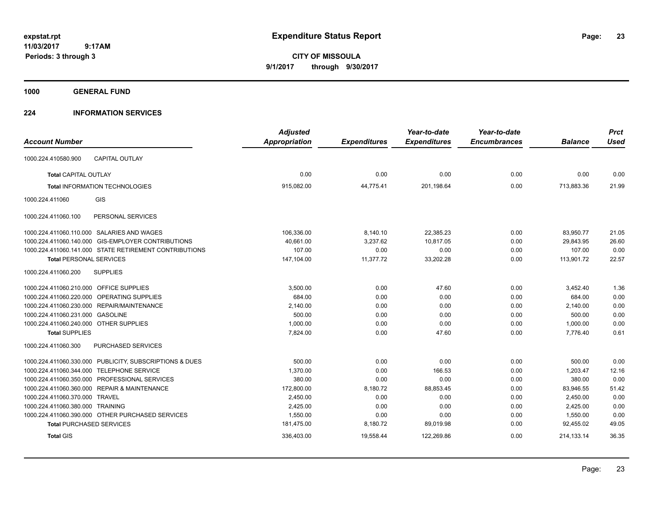**CITY OF MISSOULA 9/1/2017 through 9/30/2017**

**1000 GENERAL FUND**

### **224 INFORMATION SERVICES**

| <b>Account Number</b>                                   | <b>Adjusted</b><br><b>Appropriation</b> | <b>Expenditures</b> | Year-to-date<br><b>Expenditures</b> | Year-to-date<br><b>Encumbrances</b> | <b>Balance</b> | <b>Prct</b><br><b>Used</b> |
|---------------------------------------------------------|-----------------------------------------|---------------------|-------------------------------------|-------------------------------------|----------------|----------------------------|
|                                                         |                                         |                     |                                     |                                     |                |                            |
| 1000.224.410580.900<br><b>CAPITAL OUTLAY</b>            |                                         |                     |                                     |                                     |                |                            |
| <b>Total CAPITAL OUTLAY</b>                             | 0.00                                    | 0.00                | 0.00                                | 0.00                                | 0.00           | 0.00                       |
| <b>Total INFORMATION TECHNOLOGIES</b>                   | 915,082.00                              | 44,775.41           | 201,198.64                          | 0.00                                | 713,883.36     | 21.99                      |
| GIS<br>1000.224.411060                                  |                                         |                     |                                     |                                     |                |                            |
| PERSONAL SERVICES<br>1000.224.411060.100                |                                         |                     |                                     |                                     |                |                            |
| 1000.224.411060.110.000 SALARIES AND WAGES              | 106,336.00                              | 8,140.10            | 22,385.23                           | 0.00                                | 83,950.77      | 21.05                      |
| 1000.224.411060.140.000 GIS-EMPLOYER CONTRIBUTIONS      | 40,661.00                               | 3,237.62            | 10,817.05                           | 0.00                                | 29,843.95      | 26.60                      |
| 1000.224.411060.141.000 STATE RETIREMENT CONTRIBUTIONS  | 107.00                                  | 0.00                | 0.00                                | 0.00                                | 107.00         | 0.00                       |
| <b>Total PERSONAL SERVICES</b>                          | 147,104.00                              | 11,377.72           | 33,202.28                           | 0.00                                | 113,901.72     | 22.57                      |
| <b>SUPPLIES</b><br>1000.224.411060.200                  |                                         |                     |                                     |                                     |                |                            |
| 1000.224.411060.210.000 OFFICE SUPPLIES                 | 3,500.00                                | 0.00                | 47.60                               | 0.00                                | 3,452.40       | 1.36                       |
| 1000.224.411060.220.000 OPERATING SUPPLIES              | 684.00                                  | 0.00                | 0.00                                | 0.00                                | 684.00         | 0.00                       |
| 1000.224.411060.230.000 REPAIR/MAINTENANCE              | 2,140.00                                | 0.00                | 0.00                                | 0.00                                | 2,140.00       | 0.00                       |
| 1000.224.411060.231.000 GASOLINE                        | 500.00                                  | 0.00                | 0.00                                | 0.00                                | 500.00         | 0.00                       |
| 1000.224.411060.240.000 OTHER SUPPLIES                  | 1,000.00                                | 0.00                | 0.00                                | 0.00                                | 1,000.00       | 0.00                       |
| <b>Total SUPPLIES</b>                                   | 7,824.00                                | 0.00                | 47.60                               | 0.00                                | 7,776.40       | 0.61                       |
| 1000.224.411060.300<br><b>PURCHASED SERVICES</b>        |                                         |                     |                                     |                                     |                |                            |
| 1000.224.411060.330.000 PUBLICITY, SUBSCRIPTIONS & DUES | 500.00                                  | 0.00                | 0.00                                | 0.00                                | 500.00         | 0.00                       |
| <b>TELEPHONE SERVICE</b><br>1000.224.411060.344.000     | 1,370.00                                | 0.00                | 166.53                              | 0.00                                | 1,203.47       | 12.16                      |
| 1000.224.411060.350.000 PROFESSIONAL SERVICES           | 380.00                                  | 0.00                | 0.00                                | 0.00                                | 380.00         | 0.00                       |
| 1000.224.411060.360.000 REPAIR & MAINTENANCE            | 172,800.00                              | 8,180.72            | 88,853.45                           | 0.00                                | 83,946.55      | 51.42                      |
| 1000.224.411060.370.000 TRAVEL                          | 2,450.00                                | 0.00                | 0.00                                | 0.00                                | 2,450.00       | 0.00                       |
| 1000.224.411060.380.000 TRAINING                        | 2,425.00                                | 0.00                | 0.00                                | 0.00                                | 2,425.00       | 0.00                       |
| 1000.224.411060.390.000 OTHER PURCHASED SERVICES        | 1,550.00                                | 0.00                | 0.00                                | 0.00                                | 1,550.00       | 0.00                       |
| <b>Total PURCHASED SERVICES</b>                         | 181,475.00                              | 8,180.72            | 89,019.98                           | 0.00                                | 92,455.02      | 49.05                      |
| <b>Total GIS</b>                                        | 336,403.00                              | 19,558.44           | 122,269.86                          | 0.00                                | 214, 133. 14   | 36.35                      |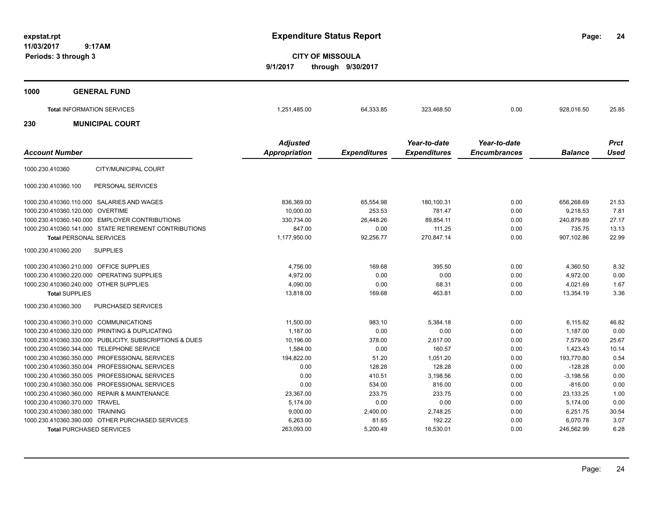**24**

**CITY OF MISSOULA 9/1/2017 through 9/30/2017**

| 1000                  | <b>GENERAL FUND</b>                                                                                                              |                                         |                                  |                                     |                                     |                                      |                        |
|-----------------------|----------------------------------------------------------------------------------------------------------------------------------|-----------------------------------------|----------------------------------|-------------------------------------|-------------------------------------|--------------------------------------|------------------------|
|                       | <b>Total INFORMATION SERVICES</b>                                                                                                | 1,251,485.00                            | 64,333.85                        | 323,468.50                          | 0.00                                | 928,016.50                           | 25.85                  |
| 230                   | <b>MUNICIPAL COURT</b>                                                                                                           |                                         |                                  |                                     |                                     |                                      |                        |
| <b>Account Number</b> |                                                                                                                                  | <b>Adjusted</b><br><b>Appropriation</b> | <b>Expenditures</b>              | Year-to-date<br><b>Expenditures</b> | Year-to-date<br><b>Encumbrances</b> | <b>Balance</b>                       | <b>Prct</b><br>Used    |
| 1000.230.410360       | CITY/MUNICIPAL COURT                                                                                                             |                                         |                                  |                                     |                                     |                                      |                        |
| 1000.230.410360.100   | PERSONAL SERVICES                                                                                                                |                                         |                                  |                                     |                                     |                                      |                        |
|                       | 1000.230.410360.110.000 SALARIES AND WAGES<br>1000.230.410360.120.000 OVERTIME<br>1000.230.410360.140.000 EMPLOYER CONTRIBUTIONS | 836,369.00<br>10,000.00<br>330,734.00   | 65,554.98<br>253.53<br>26,448.26 | 180,100.31<br>781.47<br>89,854.11   | 0.00<br>0.00<br>0.00                | 656,268.69<br>9,218.53<br>240,879.89 | 21.53<br>7.81<br>27.17 |

| 1000.230.410360.120.000 OVERTIME          |                                                         | 10,000.00    | 253.53    | 781.47     | 0.00 | 9,218.53    | 7.81  |
|-------------------------------------------|---------------------------------------------------------|--------------|-----------|------------|------|-------------|-------|
|                                           | 1000.230.410360.140.000 EMPLOYER CONTRIBUTIONS          | 330,734.00   | 26,448.26 | 89,854.11  | 0.00 | 240.879.89  | 27.17 |
|                                           | 1000.230.410360.141.000 STATE RETIREMENT CONTRIBUTIONS  | 847.00       | 0.00      | 111.25     | 0.00 | 735.75      | 13.13 |
| <b>Total PERSONAL SERVICES</b>            |                                                         | 1.177.950.00 | 92,256.77 | 270.847.14 | 0.00 | 907.102.86  | 22.99 |
| 1000.230.410360.200                       | <b>SUPPLIES</b>                                         |              |           |            |      |             |       |
| 1000.230.410360.210.000 OFFICE SUPPLIES   |                                                         | 4,756.00     | 169.68    | 395.50     | 0.00 | 4,360.50    | 8.32  |
|                                           | 1000.230.410360.220.000 OPERATING SUPPLIES              | 4,972.00     | 0.00      | 0.00       | 0.00 | 4,972.00    | 0.00  |
| 1000.230.410360.240.000 OTHER SUPPLIES    |                                                         | 4,090.00     | 0.00      | 68.31      | 0.00 | 4,021.69    | 1.67  |
| <b>Total SUPPLIES</b>                     |                                                         | 13,818.00    | 169.68    | 463.81     | 0.00 | 13.354.19   | 3.36  |
| 1000.230.410360.300                       | PURCHASED SERVICES                                      |              |           |            |      |             |       |
| 1000.230.410360.310.000 COMMUNICATIONS    |                                                         | 11,500.00    | 983.10    | 5,384.18   | 0.00 | 6,115.82    | 46.82 |
|                                           | 1000.230.410360.320.000 PRINTING & DUPLICATING          | 1.187.00     | 0.00      | 0.00       | 0.00 | 1.187.00    | 0.00  |
|                                           | 1000.230.410360.330.000 PUBLICITY, SUBSCRIPTIONS & DUES | 10,196.00    | 378.00    | 2,617.00   | 0.00 | 7,579.00    | 25.67 |
| 1000.230.410360.344.000 TELEPHONE SERVICE |                                                         | 1,584.00     | 0.00      | 160.57     | 0.00 | 1.423.43    | 10.14 |
|                                           | 1000.230.410360.350.000 PROFESSIONAL SERVICES           | 194,822.00   | 51.20     | 1,051.20   | 0.00 | 193.770.80  | 0.54  |
|                                           | 1000.230.410360.350.004 PROFESSIONAL SERVICES           | 0.00         | 128.28    | 128.28     | 0.00 | $-128.28$   | 0.00  |
|                                           | 1000.230.410360.350.005 PROFESSIONAL SERVICES           | 0.00         | 410.51    | 3,198.56   | 0.00 | $-3,198.56$ | 0.00  |
|                                           | 1000.230.410360.350.006 PROFESSIONAL SERVICES           | 0.00         | 534.00    | 816.00     | 0.00 | $-816.00$   | 0.00  |
|                                           | 1000.230.410360.360.000 REPAIR & MAINTENANCE            | 23,367.00    | 233.75    | 233.75     | 0.00 | 23,133.25   | 1.00  |
| 1000.230.410360.370.000 TRAVEL            |                                                         | 5,174.00     | 0.00      | 0.00       | 0.00 | 5,174.00    | 0.00  |
| 1000.230.410360.380.000 TRAINING          |                                                         | 9,000.00     | 2,400.00  | 2.748.25   | 0.00 | 6,251.75    | 30.54 |
|                                           | 1000.230.410360.390.000 OTHER PURCHASED SERVICES        | 6.263.00     | 81.65     | 192.22     | 0.00 | 6.070.78    | 3.07  |
| <b>Total PURCHASED SERVICES</b>           |                                                         | 263,093.00   | 5,200.49  | 16,530.01  | 0.00 | 246,562.99  | 6.28  |
|                                           |                                                         |              |           |            |      |             |       |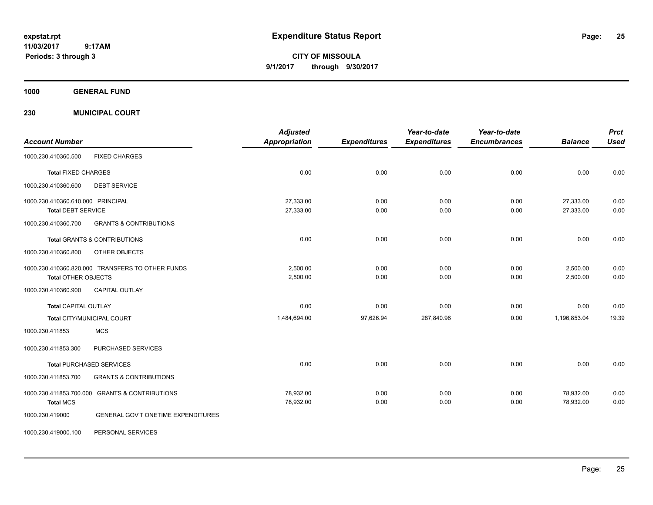**CITY OF MISSOULA 9/1/2017 through 9/30/2017**

**1000 GENERAL FUND**

**230 MUNICIPAL COURT**

|                                   |                                                  | <b>Adjusted</b>      |                     | Year-to-date        | Year-to-date        |                | <b>Prct</b> |
|-----------------------------------|--------------------------------------------------|----------------------|---------------------|---------------------|---------------------|----------------|-------------|
| <b>Account Number</b>             |                                                  | <b>Appropriation</b> | <b>Expenditures</b> | <b>Expenditures</b> | <b>Encumbrances</b> | <b>Balance</b> | <b>Used</b> |
| 1000.230.410360.500               | <b>FIXED CHARGES</b>                             |                      |                     |                     |                     |                |             |
| <b>Total FIXED CHARGES</b>        |                                                  | 0.00                 | 0.00                | 0.00                | 0.00                | 0.00           | 0.00        |
| 1000.230.410360.600               | <b>DEBT SERVICE</b>                              |                      |                     |                     |                     |                |             |
| 1000.230.410360.610.000 PRINCIPAL |                                                  | 27,333.00            | 0.00                | 0.00                | 0.00                | 27,333.00      | 0.00        |
| <b>Total DEBT SERVICE</b>         |                                                  | 27,333.00            | 0.00                | 0.00                | 0.00                | 27,333.00      | 0.00        |
| 1000.230.410360.700               | <b>GRANTS &amp; CONTRIBUTIONS</b>                |                      |                     |                     |                     |                |             |
|                                   | <b>Total GRANTS &amp; CONTRIBUTIONS</b>          | 0.00                 | 0.00                | 0.00                | 0.00                | 0.00           | 0.00        |
| 1000.230.410360.800               | <b>OTHER OBJECTS</b>                             |                      |                     |                     |                     |                |             |
|                                   | 1000.230.410360.820.000 TRANSFERS TO OTHER FUNDS | 2.500.00             | 0.00                | 0.00                | 0.00                | 2,500.00       | 0.00        |
| <b>Total OTHER OBJECTS</b>        |                                                  | 2,500.00             | 0.00                | 0.00                | 0.00                | 2,500.00       | 0.00        |
| 1000.230.410360.900               | <b>CAPITAL OUTLAY</b>                            |                      |                     |                     |                     |                |             |
| <b>Total CAPITAL OUTLAY</b>       |                                                  | 0.00                 | 0.00                | 0.00                | 0.00                | 0.00           | 0.00        |
|                                   | Total CITY/MUNICIPAL COURT                       | 1,484,694.00         | 97,626.94           | 287,840.96          | 0.00                | 1,196,853.04   | 19.39       |
| 1000.230.411853                   | <b>MCS</b>                                       |                      |                     |                     |                     |                |             |
| 1000.230.411853.300               | PURCHASED SERVICES                               |                      |                     |                     |                     |                |             |
|                                   | <b>Total PURCHASED SERVICES</b>                  | 0.00                 | 0.00                | 0.00                | 0.00                | 0.00           | 0.00        |
| 1000.230.411853.700               | <b>GRANTS &amp; CONTRIBUTIONS</b>                |                      |                     |                     |                     |                |             |
|                                   | 1000.230.411853.700.000 GRANTS & CONTRIBUTIONS   | 78,932.00            | 0.00                | 0.00                | 0.00                | 78,932.00      | 0.00        |
| <b>Total MCS</b>                  |                                                  | 78,932.00            | 0.00                | 0.00                | 0.00                | 78,932.00      | 0.00        |
| 1000.230.419000                   | GENERAL GOV'T ONETIME EXPENDITURES               |                      |                     |                     |                     |                |             |
| 1000.230.419000.100               | PERSONAL SERVICES                                |                      |                     |                     |                     |                |             |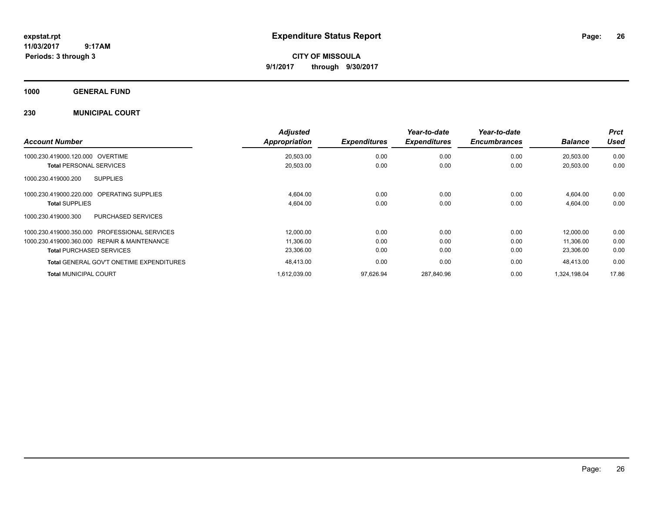**CITY OF MISSOULA 9/1/2017 through 9/30/2017**

**1000 GENERAL FUND**

### **230 MUNICIPAL COURT**

| <b>Account Number</b>                           | <b>Adjusted</b><br><b>Appropriation</b> | <b>Expenditures</b> | Year-to-date<br><b>Expenditures</b> | Year-to-date<br><b>Encumbrances</b> | <b>Balance</b> | <b>Prct</b><br>Used |
|-------------------------------------------------|-----------------------------------------|---------------------|-------------------------------------|-------------------------------------|----------------|---------------------|
| 1000.230.419000.120.000<br>OVERTIME             | 20,503.00                               | 0.00                | 0.00                                | 0.00                                | 20,503.00      | 0.00                |
| <b>Total PERSONAL SERVICES</b>                  | 20,503.00                               | 0.00                | 0.00                                | 0.00                                | 20,503.00      | 0.00                |
| 1000.230.419000.200<br><b>SUPPLIES</b>          |                                         |                     |                                     |                                     |                |                     |
| OPERATING SUPPLIES<br>1000.230.419000.220.000   | 4,604.00                                | 0.00                | 0.00                                | 0.00                                | 4,604.00       | 0.00                |
| <b>Total SUPPLIES</b>                           | 4,604.00                                | 0.00                | 0.00                                | 0.00                                | 4,604.00       | 0.00                |
| PURCHASED SERVICES<br>1000.230.419000.300       |                                         |                     |                                     |                                     |                |                     |
| 1000.230.419000.350.000 PROFESSIONAL SERVICES   | 12,000.00                               | 0.00                | 0.00                                | 0.00                                | 12.000.00      | 0.00                |
| 1000.230.419000.360.000 REPAIR & MAINTENANCE    | 11,306.00                               | 0.00                | 0.00                                | 0.00                                | 11.306.00      | 0.00                |
| <b>Total PURCHASED SERVICES</b>                 | 23,306.00                               | 0.00                | 0.00                                | 0.00                                | 23,306.00      | 0.00                |
| <b>Total GENERAL GOV'T ONETIME EXPENDITURES</b> | 48,413.00                               | 0.00                | 0.00                                | 0.00                                | 48.413.00      | 0.00                |
| <b>Total MUNICIPAL COURT</b>                    | 1,612,039.00                            | 97,626.94           | 287,840.96                          | 0.00                                | 1,324,198.04   | 17.86               |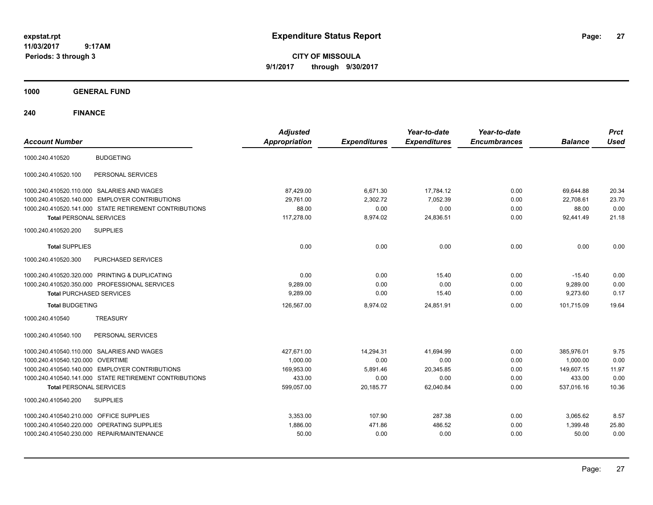**CITY OF MISSOULA 9/1/2017 through 9/30/2017**

**1000 GENERAL FUND**

| <b>Account Number</b>                                  | <b>Adjusted</b><br><b>Appropriation</b> | <b>Expenditures</b> | Year-to-date<br><b>Expenditures</b> | Year-to-date<br><b>Encumbrances</b> | <b>Balance</b> | <b>Prct</b><br><b>Used</b> |
|--------------------------------------------------------|-----------------------------------------|---------------------|-------------------------------------|-------------------------------------|----------------|----------------------------|
| <b>BUDGETING</b><br>1000.240.410520                    |                                         |                     |                                     |                                     |                |                            |
| PERSONAL SERVICES<br>1000.240.410520.100               |                                         |                     |                                     |                                     |                |                            |
| 1000.240.410520.110.000 SALARIES AND WAGES             | 87,429.00                               | 6,671.30            | 17,784.12                           | 0.00                                | 69,644.88      | 20.34                      |
| 1000.240.410520.140.000 EMPLOYER CONTRIBUTIONS         | 29,761.00                               | 2,302.72            | 7,052.39                            | 0.00                                | 22,708.61      | 23.70                      |
| 1000.240.410520.141.000 STATE RETIREMENT CONTRIBUTIONS | 88.00                                   | 0.00                | 0.00                                | 0.00                                | 88.00          | 0.00                       |
| <b>Total PERSONAL SERVICES</b>                         | 117,278.00                              | 8,974.02            | 24,836.51                           | 0.00                                | 92.441.49      | 21.18                      |
| 1000.240.410520.200<br><b>SUPPLIES</b>                 |                                         |                     |                                     |                                     |                |                            |
| <b>Total SUPPLIES</b>                                  | 0.00                                    | 0.00                | 0.00                                | 0.00                                | 0.00           | 0.00                       |
| 1000.240.410520.300<br>PURCHASED SERVICES              |                                         |                     |                                     |                                     |                |                            |
| 1000.240.410520.320.000 PRINTING & DUPLICATING         | 0.00                                    | 0.00                | 15.40                               | 0.00                                | $-15.40$       | 0.00                       |
| 1000.240.410520.350.000 PROFESSIONAL SERVICES          | 9,289.00                                | 0.00                | 0.00                                | 0.00                                | 9,289.00       | 0.00                       |
| <b>Total PURCHASED SERVICES</b>                        | 9.289.00                                | 0.00                | 15.40                               | 0.00                                | 9.273.60       | 0.17                       |
| <b>Total BUDGETING</b>                                 | 126,567.00                              | 8,974.02            | 24,851.91                           | 0.00                                | 101,715.09     | 19.64                      |
| 1000.240.410540<br><b>TREASURY</b>                     |                                         |                     |                                     |                                     |                |                            |
| PERSONAL SERVICES<br>1000.240.410540.100               |                                         |                     |                                     |                                     |                |                            |
| 1000.240.410540.110.000 SALARIES AND WAGES             | 427.671.00                              | 14.294.31           | 41.694.99                           | 0.00                                | 385.976.01     | 9.75                       |
| 1000.240.410540.120.000 OVERTIME                       | 1,000.00                                | 0.00                | 0.00                                | 0.00                                | 1,000.00       | 0.00                       |
| 1000.240.410540.140.000 EMPLOYER CONTRIBUTIONS         | 169.953.00                              | 5.891.46            | 20.345.85                           | 0.00                                | 149.607.15     | 11.97                      |
| 1000.240.410540.141.000 STATE RETIREMENT CONTRIBUTIONS | 433.00                                  | 0.00                | 0.00                                | 0.00                                | 433.00         | 0.00                       |
| <b>Total PERSONAL SERVICES</b>                         | 599,057.00                              | 20,185.77           | 62,040.84                           | 0.00                                | 537,016.16     | 10.36                      |
| 1000.240.410540.200<br><b>SUPPLIES</b>                 |                                         |                     |                                     |                                     |                |                            |
| 1000.240.410540.210.000 OFFICE SUPPLIES                | 3.353.00                                | 107.90              | 287.38                              | 0.00                                | 3,065.62       | 8.57                       |
| 1000.240.410540.220.000<br><b>OPERATING SUPPLIES</b>   | 1.886.00                                | 471.86              | 486.52                              | 0.00                                | 1,399.48       | 25.80                      |
| 1000.240.410540.230.000 REPAIR/MAINTENANCE             | 50.00                                   | 0.00                | 0.00                                | 0.00                                | 50.00          | 0.00                       |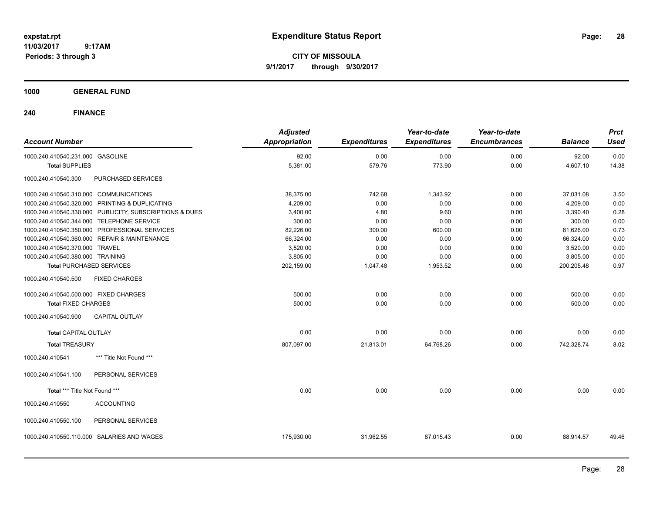**CITY OF MISSOULA 9/1/2017 through 9/30/2017**

### **1000 GENERAL FUND**

| <b>Account Number</b>                                   |                           | <b>Adjusted</b><br><b>Appropriation</b> | <b>Expenditures</b> | Year-to-date<br><b>Expenditures</b> | Year-to-date<br><b>Encumbrances</b> | <b>Balance</b> | <b>Prct</b><br><b>Used</b> |
|---------------------------------------------------------|---------------------------|-----------------------------------------|---------------------|-------------------------------------|-------------------------------------|----------------|----------------------------|
|                                                         |                           |                                         |                     |                                     |                                     |                |                            |
| 1000.240.410540.231.000 GASOLINE                        |                           | 92.00                                   | 0.00                | 0.00                                | 0.00                                | 92.00          | 0.00                       |
| <b>Total SUPPLIES</b>                                   |                           | 5,381.00                                | 579.76              | 773.90                              | 0.00                                | 4,607.10       | 14.38                      |
| 1000.240.410540.300                                     | <b>PURCHASED SERVICES</b> |                                         |                     |                                     |                                     |                |                            |
| 1000.240.410540.310.000 COMMUNICATIONS                  |                           | 38,375.00                               | 742.68              | 1,343.92                            | 0.00                                | 37,031.08      | 3.50                       |
| 1000.240.410540.320.000 PRINTING & DUPLICATING          |                           | 4,209.00                                | 0.00                | 0.00                                | 0.00                                | 4,209.00       | 0.00                       |
| 1000.240.410540.330.000 PUBLICITY, SUBSCRIPTIONS & DUES |                           | 3,400.00                                | 4.80                | 9.60                                | 0.00                                | 3,390.40       | 0.28                       |
| 1000.240.410540.344.000 TELEPHONE SERVICE               |                           | 300.00                                  | 0.00                | 0.00                                | 0.00                                | 300.00         | 0.00                       |
| 1000.240.410540.350.000 PROFESSIONAL SERVICES           |                           | 82,226.00                               | 300.00              | 600.00                              | 0.00                                | 81,626.00      | 0.73                       |
| 1000.240.410540.360.000 REPAIR & MAINTENANCE            |                           | 66,324.00                               | 0.00                | 0.00                                | 0.00                                | 66,324.00      | 0.00                       |
| 1000.240.410540.370.000 TRAVEL                          |                           | 3,520.00                                | 0.00                | 0.00                                | 0.00                                | 3,520.00       | 0.00                       |
| 1000.240.410540.380.000 TRAINING                        |                           | 3,805.00                                | 0.00                | 0.00                                | 0.00                                | 3,805.00       | 0.00                       |
| <b>Total PURCHASED SERVICES</b>                         |                           | 202,159.00                              | 1,047.48            | 1,953.52                            | 0.00                                | 200,205.48     | 0.97                       |
| 1000.240.410540.500<br><b>FIXED CHARGES</b>             |                           |                                         |                     |                                     |                                     |                |                            |
| 1000.240.410540.500.000 FIXED CHARGES                   |                           | 500.00                                  | 0.00                | 0.00                                | 0.00                                | 500.00         | 0.00                       |
| <b>Total FIXED CHARGES</b>                              |                           | 500.00                                  | 0.00                | 0.00                                | 0.00                                | 500.00         | 0.00                       |
| 1000.240.410540.900<br><b>CAPITAL OUTLAY</b>            |                           |                                         |                     |                                     |                                     |                |                            |
| <b>Total CAPITAL OUTLAY</b>                             |                           | 0.00                                    | 0.00                | 0.00                                | 0.00                                | 0.00           | 0.00                       |
| <b>Total TREASURY</b>                                   |                           | 807,097.00                              | 21,813.01           | 64,768.26                           | 0.00                                | 742,328.74     | 8.02                       |
| 1000.240.410541                                         | *** Title Not Found ***   |                                         |                     |                                     |                                     |                |                            |
| 1000.240.410541.100                                     | PERSONAL SERVICES         |                                         |                     |                                     |                                     |                |                            |
| Total *** Title Not Found ***                           |                           | 0.00                                    | 0.00                | 0.00                                | 0.00                                | 0.00           | 0.00                       |
| 1000.240.410550<br><b>ACCOUNTING</b>                    |                           |                                         |                     |                                     |                                     |                |                            |
| 1000.240.410550.100                                     | PERSONAL SERVICES         |                                         |                     |                                     |                                     |                |                            |
| 1000.240.410550.110.000                                 | SALARIES AND WAGES        | 175,930.00                              | 31,962.55           | 87,015.43                           | 0.00                                | 88,914.57      | 49.46                      |
|                                                         |                           |                                         |                     |                                     |                                     |                |                            |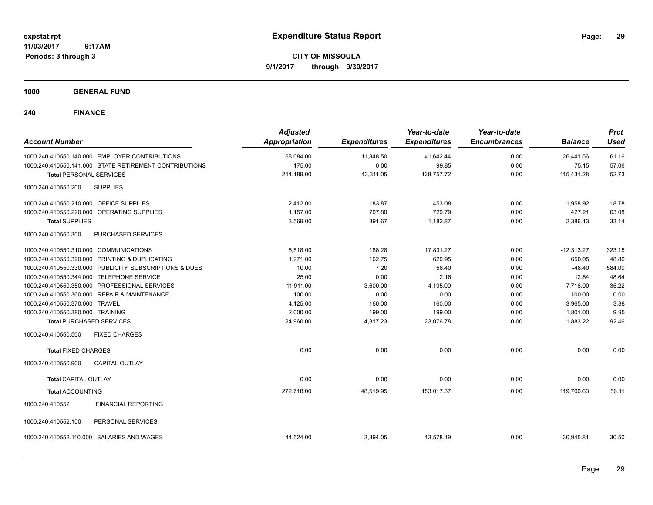**CITY OF MISSOULA 9/1/2017 through 9/30/2017**

**1000 GENERAL FUND**

| <b>Account Number</b>                      |                                                         | <b>Adjusted</b><br><b>Appropriation</b> | <b>Expenditures</b> | Year-to-date<br><b>Expenditures</b> | Year-to-date<br><b>Encumbrances</b> | <b>Balance</b> | <b>Prct</b><br><b>Used</b> |
|--------------------------------------------|---------------------------------------------------------|-----------------------------------------|---------------------|-------------------------------------|-------------------------------------|----------------|----------------------------|
|                                            | 1000.240.410550.140.000 EMPLOYER CONTRIBUTIONS          | 68,084.00                               | 11,348.50           | 41,642.44                           | 0.00                                | 26,441.56      | 61.16                      |
|                                            | 1000.240.410550.141.000 STATE RETIREMENT CONTRIBUTIONS  | 175.00                                  | 0.00                | 99.85                               | 0.00                                | 75.15          | 57.06                      |
| <b>Total PERSONAL SERVICES</b>             |                                                         | 244,189.00                              | 43,311.05           | 128,757.72                          | 0.00                                | 115,431.28     | 52.73                      |
| 1000.240.410550.200                        | <b>SUPPLIES</b>                                         |                                         |                     |                                     |                                     |                |                            |
| 1000.240.410550.210.000 OFFICE SUPPLIES    |                                                         | 2,412.00                                | 183.87              | 453.08                              | 0.00                                | 1,958.92       | 18.78                      |
| 1000.240.410550.220.000 OPERATING SUPPLIES |                                                         | 1,157.00                                | 707.80              | 729.79                              | 0.00                                | 427.21         | 63.08                      |
| <b>Total SUPPLIES</b>                      |                                                         | 3,569.00                                | 891.67              | 1,182.87                            | 0.00                                | 2,386.13       | 33.14                      |
| 1000.240.410550.300                        | <b>PURCHASED SERVICES</b>                               |                                         |                     |                                     |                                     |                |                            |
| 1000.240.410550.310.000 COMMUNICATIONS     |                                                         | 5,518.00                                | 188.28              | 17,831.27                           | 0.00                                | $-12,313.27$   | 323.15                     |
|                                            | 1000.240.410550.320.000 PRINTING & DUPLICATING          | 1.271.00                                | 162.75              | 620.95                              | 0.00                                | 650.05         | 48.86                      |
|                                            | 1000.240.410550.330.000 PUBLICITY, SUBSCRIPTIONS & DUES | 10.00                                   | 7.20                | 58.40                               | 0.00                                | $-48.40$       | 584.00                     |
| 1000.240.410550.344.000 TELEPHONE SERVICE  |                                                         | 25.00                                   | 0.00                | 12.16                               | 0.00                                | 12.84          | 48.64                      |
|                                            | 1000.240.410550.350.000 PROFESSIONAL SERVICES           | 11,911.00                               | 3,600.00            | 4,195.00                            | 0.00                                | 7,716.00       | 35.22                      |
|                                            | 1000.240.410550.360.000 REPAIR & MAINTENANCE            | 100.00                                  | 0.00                | 0.00                                | 0.00                                | 100.00         | 0.00                       |
| 1000.240.410550.370.000 TRAVEL             |                                                         | 4,125.00                                | 160.00              | 160.00                              | 0.00                                | 3,965.00       | 3.88                       |
| 1000.240.410550.380.000 TRAINING           |                                                         | 2,000.00                                | 199.00              | 199.00                              | 0.00                                | 1,801.00       | 9.95                       |
| <b>Total PURCHASED SERVICES</b>            |                                                         | 24,960.00                               | 4,317.23            | 23,076.78                           | 0.00                                | 1,883.22       | 92.46                      |
| 1000.240.410550.500                        | <b>FIXED CHARGES</b>                                    |                                         |                     |                                     |                                     |                |                            |
| <b>Total FIXED CHARGES</b>                 |                                                         | 0.00                                    | 0.00                | 0.00                                | 0.00                                | 0.00           | 0.00                       |
| 1000.240.410550.900                        | <b>CAPITAL OUTLAY</b>                                   |                                         |                     |                                     |                                     |                |                            |
| <b>Total CAPITAL OUTLAY</b>                |                                                         | 0.00                                    | 0.00                | 0.00                                | 0.00                                | 0.00           | 0.00                       |
| <b>Total ACCOUNTING</b>                    |                                                         | 272,718.00                              | 48,519.95           | 153,017.37                          | 0.00                                | 119,700.63     | 56.11                      |
| 1000.240.410552                            | <b>FINANCIAL REPORTING</b>                              |                                         |                     |                                     |                                     |                |                            |
| 1000.240.410552.100                        | PERSONAL SERVICES                                       |                                         |                     |                                     |                                     |                |                            |
| 1000.240.410552.110.000                    | SALARIES AND WAGES                                      | 44,524.00                               | 3,394.05            | 13,578.19                           | 0.00                                | 30,945.81      | 30.50                      |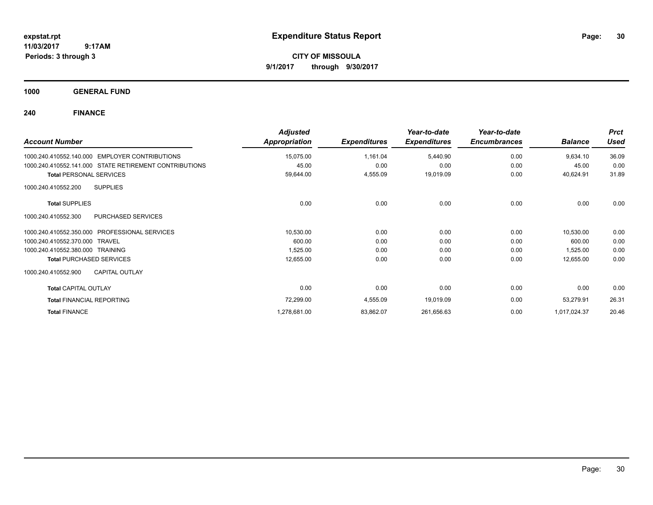**CITY OF MISSOULA 9/1/2017 through 9/30/2017**

**1000 GENERAL FUND**

| <b>Account Number</b>                                    | <b>Adjusted</b><br><b>Appropriation</b> | <b>Expenditures</b> | Year-to-date<br><b>Expenditures</b> | Year-to-date<br><b>Encumbrances</b> | <b>Balance</b> | <b>Prct</b><br><b>Used</b> |
|----------------------------------------------------------|-----------------------------------------|---------------------|-------------------------------------|-------------------------------------|----------------|----------------------------|
| <b>EMPLOYER CONTRIBUTIONS</b><br>1000.240.410552.140.000 | 15,075.00                               | 1,161.04            | 5,440.90                            | 0.00                                | 9,634.10       | 36.09                      |
| 1000.240.410552.141.000 STATE RETIREMENT CONTRIBUTIONS   | 45.00                                   | 0.00                | 0.00                                | 0.00                                | 45.00          | 0.00                       |
| <b>Total PERSONAL SERVICES</b>                           | 59,644.00                               | 4,555.09            | 19,019.09                           | 0.00                                | 40,624.91      | 31.89                      |
| <b>SUPPLIES</b><br>1000.240.410552.200                   |                                         |                     |                                     |                                     |                |                            |
| <b>Total SUPPLIES</b>                                    | 0.00                                    | 0.00                | 0.00                                | 0.00                                | 0.00           | 0.00                       |
| PURCHASED SERVICES<br>1000.240.410552.300                |                                         |                     |                                     |                                     |                |                            |
| <b>PROFESSIONAL SERVICES</b><br>1000.240.410552.350.000  | 10,530.00                               | 0.00                | 0.00                                | 0.00                                | 10,530.00      | 0.00                       |
| 1000.240.410552.370.000<br><b>TRAVEL</b>                 | 600.00                                  | 0.00                | 0.00                                | 0.00                                | 600.00         | 0.00                       |
| 1000.240.410552.380.000<br><b>TRAINING</b>               | 1,525.00                                | 0.00                | 0.00                                | 0.00                                | 1,525.00       | 0.00                       |
| <b>Total PURCHASED SERVICES</b>                          | 12,655.00                               | 0.00                | 0.00                                | 0.00                                | 12,655.00      | 0.00                       |
| <b>CAPITAL OUTLAY</b><br>1000.240.410552.900             |                                         |                     |                                     |                                     |                |                            |
| <b>Total CAPITAL OUTLAY</b>                              | 0.00                                    | 0.00                | 0.00                                | 0.00                                | 0.00           | 0.00                       |
| <b>Total FINANCIAL REPORTING</b>                         | 72,299.00                               | 4,555.09            | 19,019.09                           | 0.00                                | 53,279.91      | 26.31                      |
| <b>Total FINANCE</b>                                     | 1,278,681.00                            | 83,862.07           | 261,656.63                          | 0.00                                | 1,017,024.37   | 20.46                      |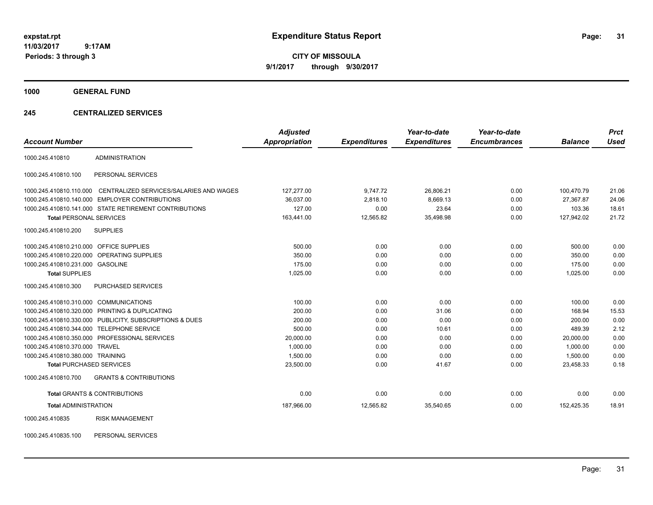**CITY OF MISSOULA 9/1/2017 through 9/30/2017**

**1000 GENERAL FUND**

### **245 CENTRALIZED SERVICES**

|                                         |                                                         | <b>Adjusted</b> |                     | Year-to-date        | Year-to-date        |                | <b>Prct</b> |
|-----------------------------------------|---------------------------------------------------------|-----------------|---------------------|---------------------|---------------------|----------------|-------------|
| <b>Account Number</b>                   |                                                         | Appropriation   | <b>Expenditures</b> | <b>Expenditures</b> | <b>Encumbrances</b> | <b>Balance</b> | <b>Used</b> |
| 1000.245.410810                         | <b>ADMINISTRATION</b>                                   |                 |                     |                     |                     |                |             |
| 1000.245.410810.100                     | PERSONAL SERVICES                                       |                 |                     |                     |                     |                |             |
| 1000.245.410810.110.000                 | CENTRALIZED SERVICES/SALARIES AND WAGES                 | 127,277.00      | 9,747.72            | 26,806.21           | 0.00                | 100,470.79     | 21.06       |
|                                         | 1000.245.410810.140.000 EMPLOYER CONTRIBUTIONS          | 36,037.00       | 2,818.10            | 8.669.13            | 0.00                | 27.367.87      | 24.06       |
|                                         | 1000.245.410810.141.000 STATE RETIREMENT CONTRIBUTIONS  | 127.00          | 0.00                | 23.64               | 0.00                | 103.36         | 18.61       |
| <b>Total PERSONAL SERVICES</b>          |                                                         | 163,441.00      | 12,565.82           | 35,498.98           | 0.00                | 127,942.02     | 21.72       |
| 1000.245.410810.200                     | <b>SUPPLIES</b>                                         |                 |                     |                     |                     |                |             |
| 1000.245.410810.210.000 OFFICE SUPPLIES |                                                         | 500.00          | 0.00                | 0.00                | 0.00                | 500.00         | 0.00        |
|                                         | 1000.245.410810.220.000 OPERATING SUPPLIES              | 350.00          | 0.00                | 0.00                | 0.00                | 350.00         | 0.00        |
| 1000.245.410810.231.000 GASOLINE        |                                                         | 175.00          | 0.00                | 0.00                | 0.00                | 175.00         | 0.00        |
| <b>Total SUPPLIES</b>                   |                                                         | 1.025.00        | 0.00                | 0.00                | 0.00                | 1.025.00       | 0.00        |
| 1000.245.410810.300                     | PURCHASED SERVICES                                      |                 |                     |                     |                     |                |             |
| 1000.245.410810.310.000 COMMUNICATIONS  |                                                         | 100.00          | 0.00                | 0.00                | 0.00                | 100.00         | 0.00        |
|                                         | 1000.245.410810.320.000 PRINTING & DUPLICATING          | 200.00          | 0.00                | 31.06               | 0.00                | 168.94         | 15.53       |
|                                         | 1000.245.410810.330.000 PUBLICITY, SUBSCRIPTIONS & DUES | 200.00          | 0.00                | 0.00                | 0.00                | 200.00         | 0.00        |
| 1000.245.410810.344.000                 | <b>TELEPHONE SERVICE</b>                                | 500.00          | 0.00                | 10.61               | 0.00                | 489.39         | 2.12        |
|                                         | 1000.245.410810.350.000 PROFESSIONAL SERVICES           | 20,000.00       | 0.00                | 0.00                | 0.00                | 20,000.00      | 0.00        |
| 1000.245.410810.370.000 TRAVEL          |                                                         | 1.000.00        | 0.00                | 0.00                | 0.00                | 1.000.00       | 0.00        |
| 1000.245.410810.380.000 TRAINING        |                                                         | 1,500.00        | 0.00                | 0.00                | 0.00                | 1,500.00       | 0.00        |
| <b>Total PURCHASED SERVICES</b>         |                                                         | 23,500.00       | 0.00                | 41.67               | 0.00                | 23,458.33      | 0.18        |
| 1000.245.410810.700                     | <b>GRANTS &amp; CONTRIBUTIONS</b>                       |                 |                     |                     |                     |                |             |
|                                         | <b>Total GRANTS &amp; CONTRIBUTIONS</b>                 | 0.00            | 0.00                | 0.00                | 0.00                | 0.00           | 0.00        |
| <b>Total ADMINISTRATION</b>             |                                                         | 187,966.00      | 12,565.82           | 35,540.65           | 0.00                | 152,425.35     | 18.91       |
| 1000.245.410835                         | <b>RISK MANAGEMENT</b>                                  |                 |                     |                     |                     |                |             |

1000.245.410835.100 PERSONAL SERVICES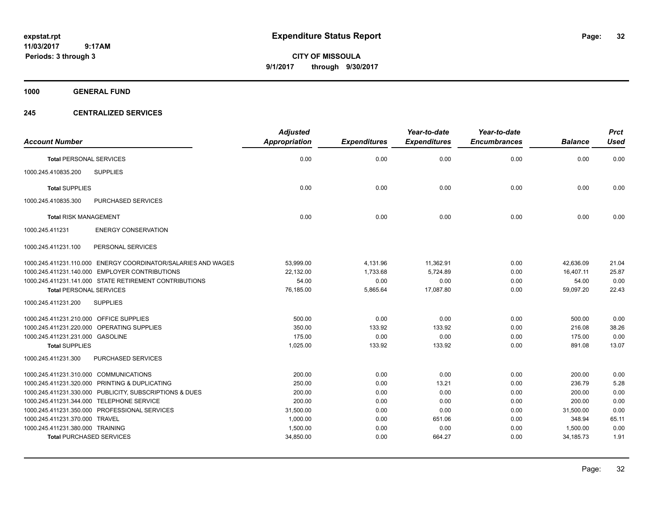**CITY OF MISSOULA 9/1/2017 through 9/30/2017**

**1000 GENERAL FUND**

### **245 CENTRALIZED SERVICES**

| <b>Account Number</b>                   |                                                               | <b>Adjusted</b><br><b>Appropriation</b> | <b>Expenditures</b> | Year-to-date<br><b>Expenditures</b> | Year-to-date<br><b>Encumbrances</b> | <b>Balance</b> | <b>Prct</b><br><b>Used</b> |
|-----------------------------------------|---------------------------------------------------------------|-----------------------------------------|---------------------|-------------------------------------|-------------------------------------|----------------|----------------------------|
|                                         |                                                               |                                         |                     |                                     |                                     |                |                            |
| <b>Total PERSONAL SERVICES</b>          |                                                               | 0.00                                    | 0.00                | 0.00                                | 0.00                                | 0.00           | 0.00                       |
| 1000.245.410835.200                     | <b>SUPPLIES</b>                                               |                                         |                     |                                     |                                     |                |                            |
| <b>Total SUPPLIES</b>                   |                                                               | 0.00                                    | 0.00                | 0.00                                | 0.00                                | 0.00           | 0.00                       |
| 1000.245.410835.300                     | <b>PURCHASED SERVICES</b>                                     |                                         |                     |                                     |                                     |                |                            |
| <b>Total RISK MANAGEMENT</b>            |                                                               | 0.00                                    | 0.00                | 0.00                                | 0.00                                | 0.00           | 0.00                       |
| 1000.245.411231                         | <b>ENERGY CONSERVATION</b>                                    |                                         |                     |                                     |                                     |                |                            |
| 1000.245.411231.100                     | PERSONAL SERVICES                                             |                                         |                     |                                     |                                     |                |                            |
|                                         | 1000.245.411231.110.000 ENERGY COORDINATOR/SALARIES AND WAGES | 53,999.00                               | 4,131.96            | 11,362.91                           | 0.00                                | 42,636.09      | 21.04                      |
|                                         | 1000.245.411231.140.000 EMPLOYER CONTRIBUTIONS                | 22,132.00                               | 1,733.68            | 5,724.89                            | 0.00                                | 16,407.11      | 25.87                      |
|                                         | 1000.245.411231.141.000 STATE RETIREMENT CONTRIBUTIONS        | 54.00                                   | 0.00                | 0.00                                | 0.00                                | 54.00          | 0.00                       |
| <b>Total PERSONAL SERVICES</b>          |                                                               | 76,185.00                               | 5,865.64            | 17,087.80                           | 0.00                                | 59,097.20      | 22.43                      |
| 1000.245.411231.200                     | <b>SUPPLIES</b>                                               |                                         |                     |                                     |                                     |                |                            |
| 1000.245.411231.210.000 OFFICE SUPPLIES |                                                               | 500.00                                  | 0.00                | 0.00                                | 0.00                                | 500.00         | 0.00                       |
|                                         | 1000.245.411231.220.000 OPERATING SUPPLIES                    | 350.00                                  | 133.92              | 133.92                              | 0.00                                | 216.08         | 38.26                      |
| 1000.245.411231.231.000 GASOLINE        |                                                               | 175.00                                  | 0.00                | 0.00                                | 0.00                                | 175.00         | 0.00                       |
| <b>Total SUPPLIES</b>                   |                                                               | 1,025.00                                | 133.92              | 133.92                              | 0.00                                | 891.08         | 13.07                      |
| 1000.245.411231.300                     | <b>PURCHASED SERVICES</b>                                     |                                         |                     |                                     |                                     |                |                            |
| 1000.245.411231.310.000 COMMUNICATIONS  |                                                               | 200.00                                  | 0.00                | 0.00                                | 0.00                                | 200.00         | 0.00                       |
|                                         | 1000.245.411231.320.000 PRINTING & DUPLICATING                | 250.00                                  | 0.00                | 13.21                               | 0.00                                | 236.79         | 5.28                       |
|                                         | 1000.245.411231.330.000 PUBLICITY, SUBSCRIPTIONS & DUES       | 200.00                                  | 0.00                | 0.00                                | 0.00                                | 200.00         | 0.00                       |
|                                         | 1000.245.411231.344.000 TELEPHONE SERVICE                     | 200.00                                  | 0.00                | 0.00                                | 0.00                                | 200.00         | 0.00                       |
|                                         | 1000.245.411231.350.000 PROFESSIONAL SERVICES                 | 31,500.00                               | 0.00                | 0.00                                | 0.00                                | 31,500.00      | 0.00                       |
| 1000.245.411231.370.000 TRAVEL          |                                                               | 1,000.00                                | 0.00                | 651.06                              | 0.00                                | 348.94         | 65.11                      |
| 1000.245.411231.380.000 TRAINING        |                                                               | 1,500.00                                | 0.00                | 0.00                                | 0.00                                | 1,500.00       | 0.00                       |
|                                         | <b>Total PURCHASED SERVICES</b>                               | 34,850.00                               | 0.00                | 664.27                              | 0.00                                | 34, 185. 73    | 1.91                       |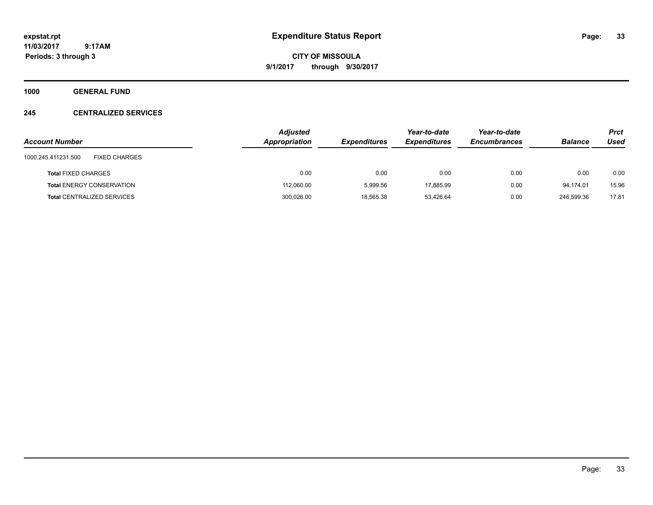**CITY OF MISSOULA 9/1/2017 through 9/30/2017**

**1000 GENERAL FUND**

### **245 CENTRALIZED SERVICES**

| <b>Account Number</b>                       | <b>Adjusted</b><br>Appropriation | <b>Expenditures</b> | Year-to-date<br><b>Expenditures</b> | Year-to-date<br><b>Encumbrances</b> | <b>Balance</b> | <b>Prct</b><br>Used |
|---------------------------------------------|----------------------------------|---------------------|-------------------------------------|-------------------------------------|----------------|---------------------|
| <b>FIXED CHARGES</b><br>1000.245.411231.500 |                                  |                     |                                     |                                     |                |                     |
| <b>Total FIXED CHARGES</b>                  | 0.00                             | 0.00                | 0.00                                | 0.00                                | 0.00           | 0.00                |
| <b>Total ENERGY CONSERVATION</b>            | 112,060.00                       | 5.999.56            | 17,885.99                           | 0.00                                | 94.174.01      | 15.96               |
| <b>Total CENTRALIZED SERVICES</b>           | 300,026.00                       | 18,565.38           | 53,426.64                           | 0.00                                | 246.599.36     | 17.81               |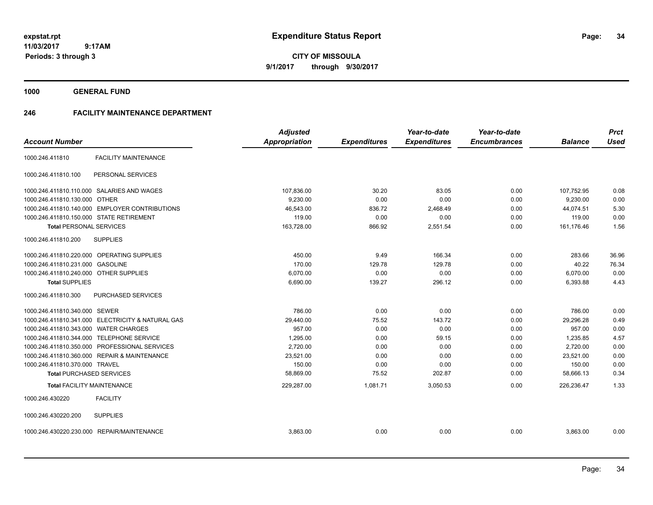**CITY OF MISSOULA 9/1/2017 through 9/30/2017**

**1000 GENERAL FUND**

### **246 FACILITY MAINTENANCE DEPARTMENT**

|                                          |                                                   | <b>Adjusted</b>      |                     | Year-to-date        | Year-to-date        |                | <b>Prct</b> |
|------------------------------------------|---------------------------------------------------|----------------------|---------------------|---------------------|---------------------|----------------|-------------|
| <b>Account Number</b>                    |                                                   | <b>Appropriation</b> | <b>Expenditures</b> | <b>Expenditures</b> | <b>Encumbrances</b> | <b>Balance</b> | <b>Used</b> |
| 1000.246.411810                          | <b>FACILITY MAINTENANCE</b>                       |                      |                     |                     |                     |                |             |
| 1000.246.411810.100                      | PERSONAL SERVICES                                 |                      |                     |                     |                     |                |             |
|                                          | 1000.246.411810.110.000 SALARIES AND WAGES        | 107,836.00           | 30.20               | 83.05               | 0.00                | 107,752.95     | 0.08        |
| 1000.246.411810.130.000 OTHER            |                                                   | 9.230.00             | 0.00                | 0.00                | 0.00                | 9,230.00       | 0.00        |
|                                          | 1000.246.411810.140.000 EMPLOYER CONTRIBUTIONS    | 46,543.00            | 836.72              | 2,468.49            | 0.00                | 44,074.51      | 5.30        |
| 1000.246.411810.150.000 STATE RETIREMENT |                                                   | 119.00               | 0.00                | 0.00                | 0.00                | 119.00         | 0.00        |
| <b>Total PERSONAL SERVICES</b>           |                                                   | 163,728.00           | 866.92              | 2,551.54            | 0.00                | 161,176.46     | 1.56        |
| 1000.246.411810.200                      | <b>SUPPLIES</b>                                   |                      |                     |                     |                     |                |             |
|                                          | 1000.246.411810.220.000 OPERATING SUPPLIES        | 450.00               | 9.49                | 166.34              | 0.00                | 283.66         | 36.96       |
| 1000.246.411810.231.000                  | <b>GASOLINE</b>                                   | 170.00               | 129.78              | 129.78              | 0.00                | 40.22          | 76.34       |
| 1000.246.411810.240.000 OTHER SUPPLIES   |                                                   | 6,070.00             | 0.00                | 0.00                | 0.00                | 6,070.00       | 0.00        |
| <b>Total SUPPLIES</b>                    |                                                   | 6,690.00             | 139.27              | 296.12              | 0.00                | 6,393.88       | 4.43        |
| 1000.246.411810.300                      | PURCHASED SERVICES                                |                      |                     |                     |                     |                |             |
| 1000.246.411810.340.000 SEWER            |                                                   | 786.00               | 0.00                | 0.00                | 0.00                | 786.00         | 0.00        |
|                                          | 1000.246.411810.341.000 ELECTRICITY & NATURAL GAS | 29,440.00            | 75.52               | 143.72              | 0.00                | 29,296.28      | 0.49        |
| 1000.246.411810.343.000 WATER CHARGES    |                                                   | 957.00               | 0.00                | 0.00                | 0.00                | 957.00         | 0.00        |
|                                          | 1000.246.411810.344.000 TELEPHONE SERVICE         | 1,295.00             | 0.00                | 59.15               | 0.00                | 1,235.85       | 4.57        |
| 1000.246.411810.350.000                  | PROFESSIONAL SERVICES                             | 2,720.00             | 0.00                | 0.00                | 0.00                | 2,720.00       | 0.00        |
| 1000.246.411810.360.000                  | <b>REPAIR &amp; MAINTENANCE</b>                   | 23,521.00            | 0.00                | 0.00                | 0.00                | 23,521.00      | 0.00        |
| 1000.246.411810.370.000 TRAVEL           |                                                   | 150.00               | 0.00                | 0.00                | 0.00                | 150.00         | 0.00        |
| <b>Total PURCHASED SERVICES</b>          |                                                   | 58,869.00            | 75.52               | 202.87              | 0.00                | 58,666.13      | 0.34        |
|                                          | <b>Total FACILITY MAINTENANCE</b>                 | 229,287.00           | 1,081.71            | 3,050.53            | 0.00                | 226,236.47     | 1.33        |
| 1000.246.430220                          | <b>FACILITY</b>                                   |                      |                     |                     |                     |                |             |
| 1000.246.430220.200                      | <b>SUPPLIES</b>                                   |                      |                     |                     |                     |                |             |
|                                          | 1000.246.430220.230.000 REPAIR/MAINTENANCE        | 3,863.00             | 0.00                | 0.00                | 0.00                | 3,863.00       | 0.00        |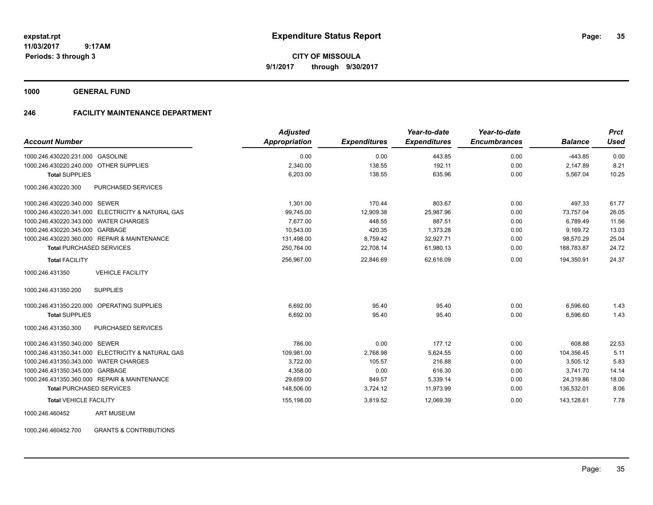**CITY OF MISSOULA 9/1/2017 through 9/30/2017**

**1000 GENERAL FUND**

### **246 FACILITY MAINTENANCE DEPARTMENT**

| <b>Account Number</b>                             | <b>Adjusted</b><br><b>Appropriation</b> | <b>Expenditures</b> | Year-to-date<br><b>Expenditures</b> | Year-to-date<br><b>Encumbrances</b> | <b>Balance</b> | <b>Prct</b><br><b>Used</b> |
|---------------------------------------------------|-----------------------------------------|---------------------|-------------------------------------|-------------------------------------|----------------|----------------------------|
| 1000.246.430220.231.000 GASOLINE                  | 0.00                                    | 0.00                | 443.85                              | 0.00                                | $-443.85$      | 0.00                       |
| 1000.246.430220.240.000 OTHER SUPPLIES            | 2.340.00                                | 138.55              | 192.11                              | 0.00                                | 2.147.89       | 8.21                       |
| <b>Total SUPPLIES</b>                             | 6,203.00                                | 138.55              | 635.96                              | 0.00                                | 5,567.04       | 10.25                      |
| 1000.246.430220.300<br><b>PURCHASED SERVICES</b>  |                                         |                     |                                     |                                     |                |                            |
| 1000.246.430220.340.000 SEWER                     | 1.301.00                                | 170.44              | 803.67                              | 0.00                                | 497.33         | 61.77                      |
| 1000.246.430220.341.000 ELECTRICITY & NATURAL GAS | 99,745.00                               | 12,909.38           | 25,987.96                           | 0.00                                | 73.757.04      | 26.05                      |
| 1000.246.430220.343.000 WATER CHARGES             | 7.677.00                                | 448.55              | 887.51                              | 0.00                                | 6,789.49       | 11.56                      |
| 1000.246.430220.345.000 GARBAGE                   | 10,543.00                               | 420.35              | 1,373.28                            | 0.00                                | 9,169.72       | 13.03                      |
| 1000.246.430220.360.000 REPAIR & MAINTENANCE      | 131,498.00                              | 8,759.42            | 32,927.71                           | 0.00                                | 98,570.29      | 25.04                      |
| <b>Total PURCHASED SERVICES</b>                   | 250,764.00                              | 22,708.14           | 61,980.13                           | 0.00                                | 188,783.87     | 24.72                      |
| <b>Total FACILITY</b>                             | 256,967.00                              | 22,846.69           | 62,616.09                           | 0.00                                | 194,350.91     | 24.37                      |
| <b>VEHICLE FACILITY</b><br>1000.246.431350        |                                         |                     |                                     |                                     |                |                            |
| <b>SUPPLIES</b><br>1000.246.431350.200            |                                         |                     |                                     |                                     |                |                            |
| OPERATING SUPPLIES<br>1000.246.431350.220.000     | 6,692.00                                | 95.40               | 95.40                               | 0.00                                | 6,596.60       | 1.43                       |
| <b>Total SUPPLIES</b>                             | 6,692.00                                | 95.40               | 95.40                               | 0.00                                | 6,596.60       | 1.43                       |
| 1000.246.431350.300<br>PURCHASED SERVICES         |                                         |                     |                                     |                                     |                |                            |
| 1000.246.431350.340.000 SEWER                     | 786.00                                  | 0.00                | 177.12                              | 0.00                                | 608.88         | 22.53                      |
| 1000.246.431350.341.000 ELECTRICITY & NATURAL GAS | 109,981.00                              | 2,768.98            | 5,624.55                            | 0.00                                | 104,356.45     | 5.11                       |
| 1000.246.431350.343.000 WATER CHARGES             | 3,722.00                                | 105.57              | 216.88                              | 0.00                                | 3,505.12       | 5.83                       |
| 1000.246.431350.345.000 GARBAGE                   | 4,358.00                                | 0.00                | 616.30                              | 0.00                                | 3,741.70       | 14.14                      |
| 1000.246.431350.360.000 REPAIR & MAINTENANCE      | 29,659.00                               | 849.57              | 5,339.14                            | 0.00                                | 24,319.86      | 18.00                      |
| <b>Total PURCHASED SERVICES</b>                   | 148,506.00                              | 3,724.12            | 11,973.99                           | 0.00                                | 136,532.01     | 8.06                       |
| <b>Total VEHICLE FACILITY</b>                     | 155,198.00                              | 3,819.52            | 12,069.39                           | 0.00                                | 143.128.61     | 7.78                       |
| <b>ART MUSEUM</b><br>1000.246.460452              |                                         |                     |                                     |                                     |                |                            |

1000.246.460452.700 GRANTS & CONTRIBUTIONS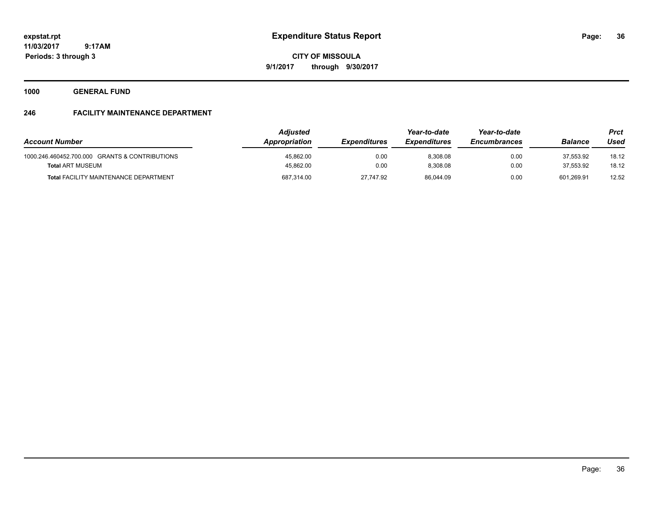**Periods: 3 through 3**

**CITY OF MISSOULA 9/1/2017 through 9/30/2017**

**1000 GENERAL FUND**

## **246 FACILITY MAINTENANCE DEPARTMENT**

| <b>Account Number</b>                          | <b>Adjusted</b><br><b>Appropriation</b> | <i><b>Expenditures</b></i> | Year-to-date<br><b>Expenditures</b> | Year-to-date<br><b>Encumbrances</b> | <b>Balance</b> | <b>Prct</b><br>Used |
|------------------------------------------------|-----------------------------------------|----------------------------|-------------------------------------|-------------------------------------|----------------|---------------------|
| 1000.246.460452.700.000 GRANTS & CONTRIBUTIONS | 45,862.00                               | 0.00                       | 8,308.08                            | 0.00                                | 37.553.92      | 18.12               |
| <b>Total ART MUSEUM</b>                        | 45.862.00                               | 0.00                       | 8.308.08                            | 0.00                                | 37.553.92      | 18.12               |
| <b>Total FACILITY MAINTENANCE DEPARTMENT</b>   | 687.314.00                              | 27.747.92                  | 86.044.09                           | 0.00                                | 601.269.91     | 12.52               |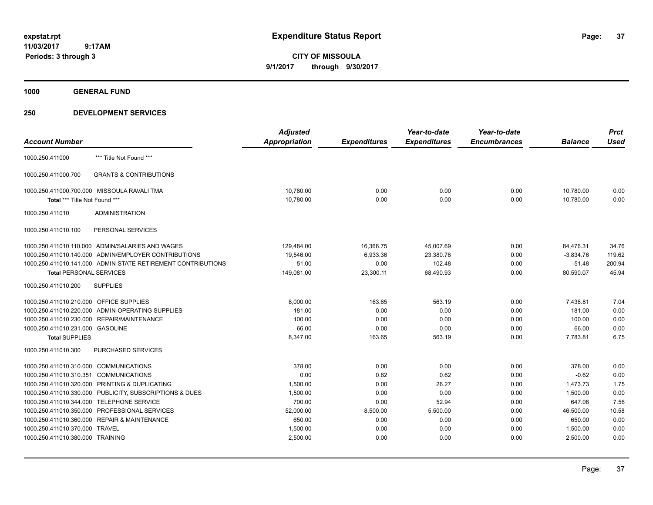**CITY OF MISSOULA 9/1/2017 through 9/30/2017**

**1000 GENERAL FUND**

|                                         |                                                              | <b>Adjusted</b> |                     | Year-to-date        | Year-to-date        |                | <b>Prct</b> |
|-----------------------------------------|--------------------------------------------------------------|-----------------|---------------------|---------------------|---------------------|----------------|-------------|
| <b>Account Number</b>                   |                                                              | Appropriation   | <b>Expenditures</b> | <b>Expenditures</b> | <b>Encumbrances</b> | <b>Balance</b> | <b>Used</b> |
| 1000.250.411000                         | *** Title Not Found ***                                      |                 |                     |                     |                     |                |             |
| 1000.250.411000.700                     | <b>GRANTS &amp; CONTRIBUTIONS</b>                            |                 |                     |                     |                     |                |             |
|                                         | 1000.250.411000.700.000 MISSOULA RAVALI TMA                  | 10,780.00       | 0.00                | 0.00                | 0.00                | 10.780.00      | 0.00        |
| Total *** Title Not Found ***           |                                                              | 10,780.00       | 0.00                | 0.00                | 0.00                | 10,780.00      | 0.00        |
| 1000.250.411010                         | <b>ADMINISTRATION</b>                                        |                 |                     |                     |                     |                |             |
| 1000.250.411010.100                     | PERSONAL SERVICES                                            |                 |                     |                     |                     |                |             |
|                                         | 1000.250.411010.110.000 ADMIN/SALARIES AND WAGES             | 129,484.00      | 16,366.75           | 45,007.69           | 0.00                | 84,476.31      | 34.76       |
|                                         | 1000.250.411010.140.000 ADMIN/EMPLOYER CONTRIBUTIONS         | 19,546.00       | 6,933.36            | 23,380.76           | 0.00                | $-3,834.76$    | 119.62      |
|                                         | 1000.250.411010.141.000 ADMIN-STATE RETIREMENT CONTRIBUTIONS | 51.00           | 0.00                | 102.48              | 0.00                | $-51.48$       | 200.94      |
| <b>Total PERSONAL SERVICES</b>          |                                                              | 149,081.00      | 23,300.11           | 68,490.93           | 0.00                | 80,590.07      | 45.94       |
| 1000.250.411010.200                     | <b>SUPPLIES</b>                                              |                 |                     |                     |                     |                |             |
| 1000.250.411010.210.000 OFFICE SUPPLIES |                                                              | 8,000.00        | 163.65              | 563.19              | 0.00                | 7,436.81       | 7.04        |
|                                         | 1000.250.411010.220.000 ADMIN-OPERATING SUPPLIES             | 181.00          | 0.00                | 0.00                | 0.00                | 181.00         | 0.00        |
|                                         | 1000.250.411010.230.000 REPAIR/MAINTENANCE                   | 100.00          | 0.00                | 0.00                | 0.00                | 100.00         | 0.00        |
| 1000.250.411010.231.000 GASOLINE        |                                                              | 66.00           | 0.00                | 0.00                | 0.00                | 66.00          | 0.00        |
| <b>Total SUPPLIES</b>                   |                                                              | 8,347.00        | 163.65              | 563.19              | 0.00                | 7,783.81       | 6.75        |
| 1000.250.411010.300                     | PURCHASED SERVICES                                           |                 |                     |                     |                     |                |             |
| 1000.250.411010.310.000 COMMUNICATIONS  |                                                              | 378.00          | 0.00                | 0.00                | 0.00                | 378.00         | 0.00        |
| 1000.250.411010.310.351 COMMUNICATIONS  |                                                              | 0.00            | 0.62                | 0.62                | 0.00                | $-0.62$        | 0.00        |
|                                         | 1000.250.411010.320.000 PRINTING & DUPLICATING               | 1,500.00        | 0.00                | 26.27               | 0.00                | 1,473.73       | 1.75        |
|                                         | 1000.250.411010.330.000 PUBLICITY, SUBSCRIPTIONS & DUES      | 1,500.00        | 0.00                | 0.00                | 0.00                | 1,500.00       | 0.00        |
|                                         | 1000.250.411010.344.000 TELEPHONE SERVICE                    | 700.00          | 0.00                | 52.94               | 0.00                | 647.06         | 7.56        |
|                                         | 1000.250.411010.350.000 PROFESSIONAL SERVICES                | 52,000.00       | 8,500.00            | 5,500.00            | 0.00                | 46,500.00      | 10.58       |
|                                         | 1000.250.411010.360.000 REPAIR & MAINTENANCE                 | 650.00          | 0.00                | 0.00                | 0.00                | 650.00         | 0.00        |
| 1000.250.411010.370.000 TRAVEL          |                                                              | 1,500.00        | 0.00                | 0.00                | 0.00                | 1,500.00       | 0.00        |
| 1000.250.411010.380.000 TRAINING        |                                                              | 2,500.00        | 0.00                | 0.00                | 0.00                | 2,500.00       | 0.00        |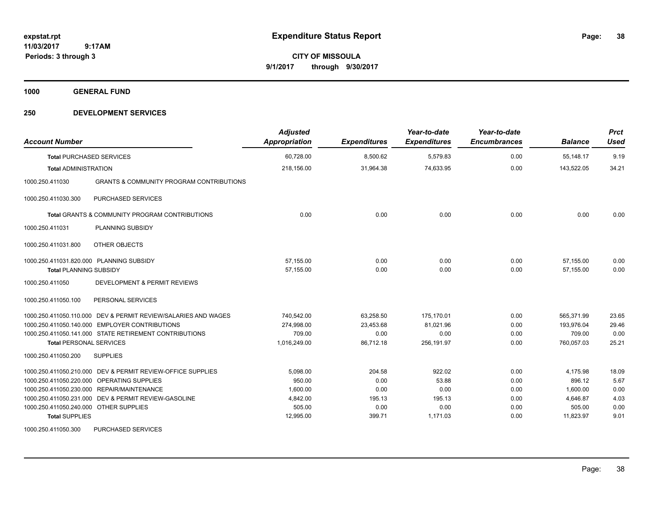**CITY OF MISSOULA 9/1/2017 through 9/30/2017**

**1000 GENERAL FUND**

### **250 DEVELOPMENT SERVICES**

| <b>Account Number</b>                                                                                                 |                                                                                                                                                                        | <b>Adjusted</b><br><b>Appropriation</b>                           | <b>Expenditures</b>                                | Year-to-date<br><b>Expenditures</b>                   | Year-to-date<br><b>Encumbrances</b>          | <b>Balance</b>                                                    | <b>Prct</b><br>Used                           |
|-----------------------------------------------------------------------------------------------------------------------|------------------------------------------------------------------------------------------------------------------------------------------------------------------------|-------------------------------------------------------------------|----------------------------------------------------|-------------------------------------------------------|----------------------------------------------|-------------------------------------------------------------------|-----------------------------------------------|
| <b>Total PURCHASED SERVICES</b>                                                                                       |                                                                                                                                                                        | 60,728.00                                                         | 8,500.62                                           | 5,579.83                                              | 0.00                                         | 55,148.17                                                         | 9.19                                          |
| <b>Total ADMINISTRATION</b>                                                                                           |                                                                                                                                                                        | 218,156.00                                                        | 31,964.38                                          | 74,633.95                                             | 0.00                                         | 143,522.05                                                        | 34.21                                         |
| 1000.250.411030                                                                                                       | <b>GRANTS &amp; COMMUNITY PROGRAM CONTRIBUTIONS</b>                                                                                                                    |                                                                   |                                                    |                                                       |                                              |                                                                   |                                               |
| 1000.250.411030.300                                                                                                   | <b>PURCHASED SERVICES</b>                                                                                                                                              |                                                                   |                                                    |                                                       |                                              |                                                                   |                                               |
|                                                                                                                       | <b>Total GRANTS &amp; COMMUNITY PROGRAM CONTRIBUTIONS</b>                                                                                                              | 0.00                                                              | 0.00                                               | 0.00                                                  | 0.00                                         | 0.00                                                              | 0.00                                          |
| 1000.250.411031                                                                                                       | PLANNING SUBSIDY                                                                                                                                                       |                                                                   |                                                    |                                                       |                                              |                                                                   |                                               |
| 1000.250.411031.800                                                                                                   | OTHER OBJECTS                                                                                                                                                          |                                                                   |                                                    |                                                       |                                              |                                                                   |                                               |
| 1000.250.411031.820.000 PLANNING SUBSIDY<br><b>Total PLANNING SUBSIDY</b>                                             |                                                                                                                                                                        | 57.155.00<br>57,155.00                                            | 0.00<br>0.00                                       | 0.00<br>0.00                                          | 0.00<br>0.00                                 | 57,155.00<br>57.155.00                                            | 0.00<br>0.00                                  |
| 1000.250.411050                                                                                                       | <b>DEVELOPMENT &amp; PERMIT REVIEWS</b>                                                                                                                                |                                                                   |                                                    |                                                       |                                              |                                                                   |                                               |
| 1000.250.411050.100                                                                                                   | PERSONAL SERVICES                                                                                                                                                      |                                                                   |                                                    |                                                       |                                              |                                                                   |                                               |
|                                                                                                                       | 1000.250.411050.110.000 DEV & PERMIT REVIEW/SALARIES AND WAGES<br>1000.250.411050.140.000 EMPLOYER CONTRIBUTIONS                                                       | 740.542.00<br>274,998.00                                          | 63,258.50<br>23.453.68                             | 175,170.01<br>81.021.96                               | 0.00<br>0.00                                 | 565.371.99<br>193.976.04                                          | 23.65<br>29.46                                |
| <b>Total PERSONAL SERVICES</b>                                                                                        | 1000.250.411050.141.000 STATE RETIREMENT CONTRIBUTIONS                                                                                                                 | 709.00<br>1,016,249.00                                            | 0.00<br>86.712.18                                  | 0.00<br>256,191.97                                    | 0.00<br>0.00                                 | 709.00<br>760.057.03                                              | 0.00<br>25.21                                 |
| 1000.250.411050.200                                                                                                   | <b>SUPPLIES</b>                                                                                                                                                        |                                                                   |                                                    |                                                       |                                              |                                                                   |                                               |
| 1000.250.411050.210.000<br>1000.250.411050.220.000<br>1000.250.411050.240.000 OTHER SUPPLIES<br><b>Total SUPPLIES</b> | DEV & PERMIT REVIEW-OFFICE SUPPLIES<br><b>OPERATING SUPPLIES</b><br>1000.250.411050.230.000 REPAIR/MAINTENANCE<br>1000.250.411050.231.000 DEV & PERMIT REVIEW-GASOLINE | 5,098.00<br>950.00<br>1,600.00<br>4,842.00<br>505.00<br>12,995.00 | 204.58<br>0.00<br>0.00<br>195.13<br>0.00<br>399.71 | 922.02<br>53.88<br>0.00<br>195.13<br>0.00<br>1,171.03 | 0.00<br>0.00<br>0.00<br>0.00<br>0.00<br>0.00 | 4,175.98<br>896.12<br>1,600.00<br>4,646.87<br>505.00<br>11,823.97 | 18.09<br>5.67<br>0.00<br>4.03<br>0.00<br>9.01 |
| 1000.250.411050.300                                                                                                   | <b>PURCHASED SERVICES</b>                                                                                                                                              |                                                                   |                                                    |                                                       |                                              |                                                                   |                                               |

Page: 38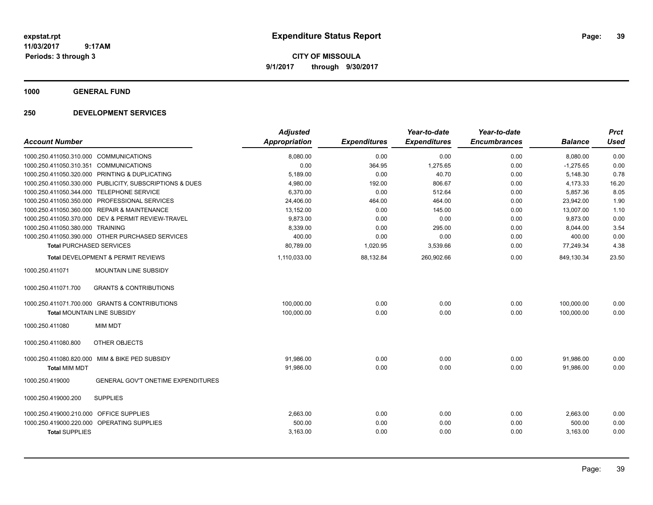**CITY OF MISSOULA 9/1/2017 through 9/30/2017**

**1000 GENERAL FUND**

| <b>Account Number</b>                                                                                | <b>Adjusted</b><br><b>Appropriation</b> | <b>Expenditures</b> | Year-to-date<br><b>Expenditures</b> | Year-to-date<br><b>Encumbrances</b> | <b>Balance</b>       | <b>Prct</b><br><b>Used</b> |
|------------------------------------------------------------------------------------------------------|-----------------------------------------|---------------------|-------------------------------------|-------------------------------------|----------------------|----------------------------|
| 1000.250.411050.310.000 COMMUNICATIONS                                                               | 8,080.00                                | 0.00                | 0.00                                | 0.00                                | 8,080.00             | 0.00                       |
| <b>COMMUNICATIONS</b><br>1000.250.411050.310.351                                                     | 0.00                                    | 364.95              | 1,275.65                            | 0.00                                | $-1,275.65$          |                            |
| 1000.250.411050.320.000 PRINTING & DUPLICATING                                                       | 5,189.00                                | 0.00                | 40.70                               | 0.00                                | 5,148.30             | 0.00<br>0.78               |
|                                                                                                      |                                         |                     | 806.67                              |                                     |                      |                            |
| 1000.250.411050.330.000 PUBLICITY, SUBSCRIPTIONS & DUES<br>1000.250.411050.344.000 TELEPHONE SERVICE | 4,980.00                                | 192.00<br>0.00      | 512.64                              | 0.00                                | 4,173.33<br>5,857.36 | 16.20                      |
| 1000.250.411050.350.000 PROFESSIONAL SERVICES                                                        | 6,370.00<br>24,406.00                   | 464.00              | 464.00                              | 0.00<br>0.00                        | 23,942.00            | 8.05<br>1.90               |
| 1000.250.411050.360.000 REPAIR & MAINTENANCE                                                         | 13,152.00                               | 0.00                | 145.00                              | 0.00                                | 13,007.00            | 1.10                       |
| 1000.250.411050.370.000 DEV & PERMIT REVIEW-TRAVEL                                                   | 9,873.00                                |                     | 0.00                                |                                     | 9,873.00             |                            |
| 1000.250.411050.380.000 TRAINING                                                                     |                                         | 0.00                | 295.00                              | 0.00<br>0.00                        | 8,044.00             | 0.00<br>3.54               |
| 1000.250.411050.390.000 OTHER PURCHASED SERVICES                                                     | 8,339.00                                | 0.00<br>0.00        | 0.00                                | 0.00                                | 400.00               | 0.00                       |
| <b>Total PURCHASED SERVICES</b>                                                                      | 400.00<br>80,789.00                     | 1,020.95            | 3,539.66                            | 0.00                                | 77,249.34            | 4.38                       |
|                                                                                                      |                                         |                     |                                     |                                     |                      |                            |
| <b>Total DEVELOPMENT &amp; PERMIT REVIEWS</b>                                                        | 1,110,033.00                            | 88,132.84           | 260,902.66                          | 0.00                                | 849,130.34           | 23.50                      |
| <b>MOUNTAIN LINE SUBSIDY</b><br>1000.250.411071                                                      |                                         |                     |                                     |                                     |                      |                            |
| <b>GRANTS &amp; CONTRIBUTIONS</b><br>1000.250.411071.700                                             |                                         |                     |                                     |                                     |                      |                            |
| 1000.250.411071.700.000 GRANTS & CONTRIBUTIONS                                                       | 100,000.00                              | 0.00                | 0.00                                | 0.00                                | 100,000.00           | 0.00                       |
| Total MOUNTAIN LINE SUBSIDY                                                                          | 100,000.00                              | 0.00                | 0.00                                | 0.00                                | 100,000.00           | 0.00                       |
| <b>MIM MDT</b><br>1000.250.411080                                                                    |                                         |                     |                                     |                                     |                      |                            |
| OTHER OBJECTS<br>1000.250.411080.800                                                                 |                                         |                     |                                     |                                     |                      |                            |
| 1000.250.411080.820.000 MIM & BIKE PED SUBSIDY                                                       | 91,986.00                               | 0.00                | 0.00                                | 0.00                                | 91,986.00            | 0.00                       |
| <b>Total MIM MDT</b>                                                                                 | 91,986.00                               | 0.00                | 0.00                                | 0.00                                | 91.986.00            | 0.00                       |
| <b>GENERAL GOV'T ONETIME EXPENDITURES</b><br>1000.250.419000                                         |                                         |                     |                                     |                                     |                      |                            |
| <b>SUPPLIES</b><br>1000.250.419000.200                                                               |                                         |                     |                                     |                                     |                      |                            |
| 1000.250.419000.210.000 OFFICE SUPPLIES                                                              | 2,663.00                                | 0.00                | 0.00                                | 0.00                                | 2,663.00             | 0.00                       |
| 1000.250.419000.220.000 OPERATING SUPPLIES                                                           | 500.00                                  | 0.00                | 0.00                                | 0.00                                | 500.00               | 0.00                       |
| <b>Total SUPPLIES</b>                                                                                | 3,163.00                                | 0.00                | 0.00                                | 0.00                                | 3,163.00             | 0.00                       |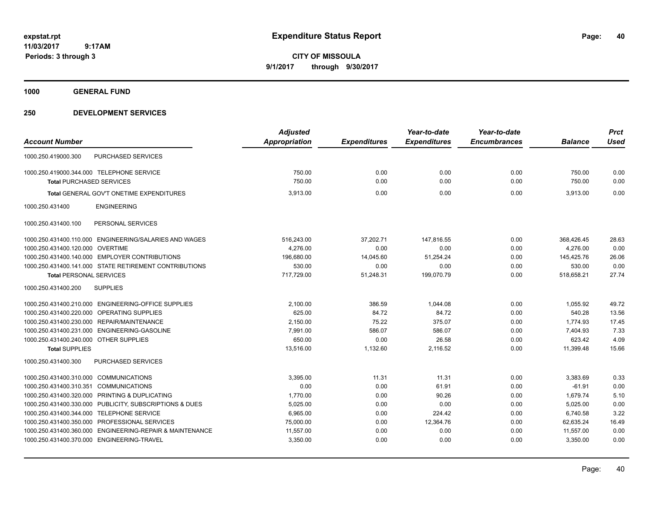**CITY OF MISSOULA 9/1/2017 through 9/30/2017**

**1000 GENERAL FUND**

|                                                                        | <b>Adjusted</b>      |                     | Year-to-date        | Year-to-date        |                | <b>Prct</b> |
|------------------------------------------------------------------------|----------------------|---------------------|---------------------|---------------------|----------------|-------------|
| <b>Account Number</b>                                                  | <b>Appropriation</b> | <b>Expenditures</b> | <b>Expenditures</b> | <b>Encumbrances</b> | <b>Balance</b> | <b>Used</b> |
| PURCHASED SERVICES<br>1000.250.419000.300                              |                      |                     |                     |                     |                |             |
| 1000.250.419000.344.000 TELEPHONE SERVICE                              | 750.00               | 0.00                | 0.00                | 0.00                | 750.00         | 0.00        |
| <b>Total PURCHASED SERVICES</b>                                        | 750.00               | 0.00                | 0.00                | 0.00                | 750.00         | 0.00        |
| Total GENERAL GOV'T ONETIME EXPENDITURES                               | 3,913.00             | 0.00                | 0.00                | 0.00                | 3,913.00       | 0.00        |
| 1000.250.431400<br><b>ENGINEERING</b>                                  |                      |                     |                     |                     |                |             |
| 1000.250.431400.100<br>PERSONAL SERVICES                               |                      |                     |                     |                     |                |             |
| ENGINEERING/SALARIES AND WAGES<br>1000.250.431400.110.000              | 516,243.00           | 37,202.71           | 147,816.55          | 0.00                | 368,426.45     | 28.63       |
| 1000.250.431400.120.000<br><b>OVERTIME</b>                             | 4,276.00             | 0.00                | 0.00                | 0.00                | 4,276.00       | 0.00        |
| 1000.250.431400.140.000 EMPLOYER CONTRIBUTIONS                         | 196,680.00           | 14,045.60           | 51,254.24           | 0.00                | 145,425.76     | 26.06       |
| 1000.250.431400.141.000 STATE RETIREMENT CONTRIBUTIONS                 | 530.00               | 0.00                | 0.00                | 0.00                | 530.00         | 0.00        |
| <b>Total PERSONAL SERVICES</b>                                         | 717,729.00           | 51,248.31           | 199,070.79          | 0.00                | 518,658.21     | 27.74       |
| <b>SUPPLIES</b><br>1000.250.431400.200                                 |                      |                     |                     |                     |                |             |
| 1000.250.431400.210.000 ENGINEERING-OFFICE SUPPLIES                    | 2,100.00             | 386.59              | 1,044.08            | 0.00                | 1,055.92       | 49.72       |
| OPERATING SUPPLIES<br>1000.250.431400.220.000                          | 625.00               | 84.72               | 84.72               | 0.00                | 540.28         | 13.56       |
| 1000.250.431400.230.000 REPAIR/MAINTENANCE                             | 2,150.00             | 75.22               | 375.07              | 0.00                | 1,774.93       | 17.45       |
| 1000.250.431400.231.000 ENGINEERING-GASOLINE                           | 7,991.00             | 586.07              | 586.07              | 0.00                | 7,404.93       | 7.33        |
| 1000.250.431400.240.000 OTHER SUPPLIES                                 | 650.00               | 0.00                | 26.58               | 0.00                | 623.42         | 4.09        |
| <b>Total SUPPLIES</b>                                                  | 13,516.00            | 1,132.60            | 2.116.52            | 0.00                | 11,399.48      | 15.66       |
| <b>PURCHASED SERVICES</b><br>1000.250.431400.300                       |                      |                     |                     |                     |                |             |
| 1000.250.431400.310.000<br><b>COMMUNICATIONS</b>                       | 3,395.00             | 11.31               | 11.31               | 0.00                | 3,383.69       | 0.33        |
| 1000.250.431400.310.351 COMMUNICATIONS                                 | 0.00                 | 0.00                | 61.91               | 0.00                | $-61.91$       | 0.00        |
| 1000.250.431400.320.000 PRINTING & DUPLICATING                         | 1,770.00             | 0.00                | 90.26               | 0.00                | 1,679.74       | 5.10        |
| 1000.250.431400.330.000 PUBLICITY, SUBSCRIPTIONS & DUES                | 5,025.00             | 0.00                | 0.00                | 0.00                | 5,025.00       | 0.00        |
| 1000.250.431400.344.000 TELEPHONE SERVICE                              | 6,965.00             | 0.00                | 224.42              | 0.00                | 6,740.58       | 3.22        |
| 1000.250.431400.350.000 PROFESSIONAL SERVICES                          | 75,000.00            | 0.00                | 12,364.76           | 0.00                | 62,635.24      | 16.49       |
| <b>ENGINEERING-REPAIR &amp; MAINTENANCE</b><br>1000.250.431400.360.000 | 11,557.00            | 0.00                | 0.00                | 0.00                | 11,557.00      | 0.00        |
| 1000.250.431400.370.000 ENGINEERING-TRAVEL                             | 3,350.00             | 0.00                | 0.00                | 0.00                | 3,350.00       | 0.00        |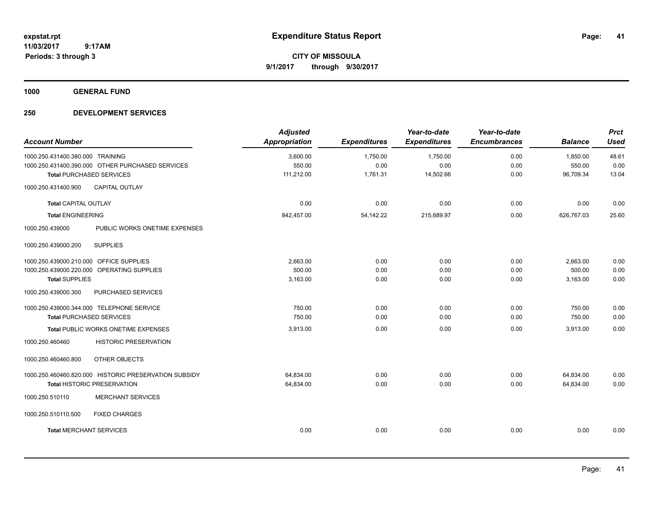**CITY OF MISSOULA 9/1/2017 through 9/30/2017**

**1000 GENERAL FUND**

| <b>Account Number</b>                                                                                                    | <b>Adjusted</b><br>Appropriation | <b>Expenditures</b>          | Year-to-date<br><b>Expenditures</b> | Year-to-date<br><b>Encumbrances</b> | <b>Balance</b>                  | <b>Prct</b><br><b>Used</b> |
|--------------------------------------------------------------------------------------------------------------------------|----------------------------------|------------------------------|-------------------------------------|-------------------------------------|---------------------------------|----------------------------|
| 1000.250.431400.380.000 TRAINING<br>1000.250.431400.390.000 OTHER PURCHASED SERVICES<br><b>Total PURCHASED SERVICES</b>  | 3,600.00<br>550.00<br>111,212.00 | 1,750.00<br>0.00<br>1,761.31 | 1,750.00<br>0.00<br>14,502.66       | 0.00<br>0.00<br>0.00                | 1,850.00<br>550.00<br>96,709.34 | 48.61<br>0.00<br>13.04     |
| <b>CAPITAL OUTLAY</b><br>1000.250.431400.900                                                                             |                                  |                              |                                     |                                     |                                 |                            |
| <b>Total CAPITAL OUTLAY</b>                                                                                              | 0.00                             | 0.00                         | 0.00                                | 0.00                                | 0.00                            | 0.00                       |
| <b>Total ENGINEERING</b>                                                                                                 | 842,457.00                       | 54,142.22                    | 215,689.97                          | 0.00                                | 626,767.03                      | 25.60                      |
| PUBLIC WORKS ONETIME EXPENSES<br>1000.250.439000                                                                         |                                  |                              |                                     |                                     |                                 |                            |
| <b>SUPPLIES</b><br>1000.250.439000.200                                                                                   |                                  |                              |                                     |                                     |                                 |                            |
| 1000.250.439000.210.000<br><b>OFFICE SUPPLIES</b><br>1000.250.439000.220.000 OPERATING SUPPLIES<br><b>Total SUPPLIES</b> | 2,663.00<br>500.00<br>3,163.00   | 0.00<br>0.00<br>0.00         | 0.00<br>0.00<br>0.00                | 0.00<br>0.00<br>0.00                | 2,663.00<br>500.00<br>3,163.00  | 0.00<br>0.00<br>0.00       |
| 1000.250.439000.300<br>PURCHASED SERVICES                                                                                |                                  |                              |                                     |                                     |                                 |                            |
| 1000.250.439000.344.000 TELEPHONE SERVICE<br><b>Total PURCHASED SERVICES</b>                                             | 750.00<br>750.00                 | 0.00<br>0.00                 | 0.00<br>0.00                        | 0.00<br>0.00                        | 750.00<br>750.00                | 0.00<br>0.00               |
| Total PUBLIC WORKS ONETIME EXPENSES                                                                                      | 3,913.00                         | 0.00                         | 0.00                                | 0.00                                | 3,913.00                        | 0.00                       |
| <b>HISTORIC PRESERVATION</b><br>1000.250.460460                                                                          |                                  |                              |                                     |                                     |                                 |                            |
| OTHER OBJECTS<br>1000.250.460460.800                                                                                     |                                  |                              |                                     |                                     |                                 |                            |
| 1000.250.460460.820.000 HISTORIC PRESERVATION SUBSIDY<br><b>Total HISTORIC PRESERVATION</b>                              | 64,834.00<br>64,834.00           | 0.00<br>0.00                 | 0.00<br>0.00                        | 0.00<br>0.00                        | 64,834.00<br>64,834.00          | 0.00<br>0.00               |
| <b>MERCHANT SERVICES</b><br>1000.250.510110                                                                              |                                  |                              |                                     |                                     |                                 |                            |
| 1000.250.510110.500<br><b>FIXED CHARGES</b>                                                                              |                                  |                              |                                     |                                     |                                 |                            |
| <b>Total MERCHANT SERVICES</b>                                                                                           | 0.00                             | 0.00                         | 0.00                                | 0.00                                | 0.00                            | 0.00                       |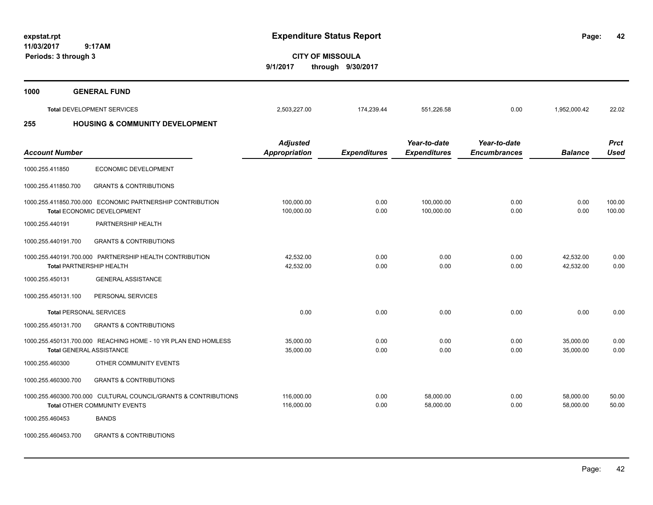**11/03/2017**

 **9:17AM Periods: 3 through 3**

**42**

**CITY OF MISSOULA 9/1/2017 through 9/30/2017**

| 1000 | <b>GENERAL FUND</b>                        |              |            |            |      |              |       |
|------|--------------------------------------------|--------------|------------|------------|------|--------------|-------|
|      | <b>Total DEVELOPMENT SERVICES</b>          | 2,503,227.00 | 174.239.44 | 551,226.58 | 0.00 | 1,952,000.42 | 22.02 |
| 255  | <b>HOUSING &amp; COMMUNITY DEVELOPMENT</b> |              |            |            |      |              |       |

| <b>Account Number</b>          |                                                                                                        | <b>Adjusted</b><br>Appropriation | <b>Expenditures</b> | Year-to-date<br><b>Expenditures</b> | Year-to-date<br><b>Encumbrances</b> | <b>Balance</b>         | <b>Prct</b><br><b>Used</b> |
|--------------------------------|--------------------------------------------------------------------------------------------------------|----------------------------------|---------------------|-------------------------------------|-------------------------------------|------------------------|----------------------------|
| 1000.255.411850                | ECONOMIC DEVELOPMENT                                                                                   |                                  |                     |                                     |                                     |                        |                            |
| 1000.255.411850.700            | <b>GRANTS &amp; CONTRIBUTIONS</b>                                                                      |                                  |                     |                                     |                                     |                        |                            |
|                                | 1000.255.411850.700.000 ECONOMIC PARTNERSHIP CONTRIBUTION<br>Total ECONOMIC DEVELOPMENT                | 100,000.00<br>100,000.00         | 0.00<br>0.00        | 100,000.00<br>100,000.00            | 0.00<br>0.00                        | 0.00<br>0.00           | 100.00<br>100.00           |
| 1000.255.440191                | PARTNERSHIP HEALTH                                                                                     |                                  |                     |                                     |                                     |                        |                            |
| 1000.255.440191.700            | <b>GRANTS &amp; CONTRIBUTIONS</b>                                                                      |                                  |                     |                                     |                                     |                        |                            |
|                                | 1000.255.440191.700.000 PARTNERSHIP HEALTH CONTRIBUTION<br><b>Total PARTNERSHIP HEALTH</b>             | 42,532.00<br>42,532.00           | 0.00<br>0.00        | 0.00<br>0.00                        | 0.00<br>0.00                        | 42,532.00<br>42,532.00 | 0.00<br>0.00               |
| 1000.255.450131                | <b>GENERAL ASSISTANCE</b>                                                                              |                                  |                     |                                     |                                     |                        |                            |
| 1000.255.450131.100            | PERSONAL SERVICES                                                                                      |                                  |                     |                                     |                                     |                        |                            |
| <b>Total PERSONAL SERVICES</b> |                                                                                                        | 0.00                             | 0.00                | 0.00                                | 0.00                                | 0.00                   | 0.00                       |
| 1000.255.450131.700            | <b>GRANTS &amp; CONTRIBUTIONS</b>                                                                      |                                  |                     |                                     |                                     |                        |                            |
|                                | 1000.255.450131.700.000 REACHING HOME - 10 YR PLAN END HOMLESS<br>Total GENERAL ASSISTANCE             | 35,000.00<br>35,000.00           | 0.00<br>0.00        | 0.00<br>0.00                        | 0.00<br>0.00                        | 35,000.00<br>35.000.00 | 0.00<br>0.00               |
| 1000.255.460300                | OTHER COMMUNITY EVENTS                                                                                 |                                  |                     |                                     |                                     |                        |                            |
| 1000.255.460300.700            | <b>GRANTS &amp; CONTRIBUTIONS</b>                                                                      |                                  |                     |                                     |                                     |                        |                            |
|                                | 1000.255.460300.700.000 CULTURAL COUNCIL/GRANTS & CONTRIBUTIONS<br><b>Total OTHER COMMUNITY EVENTS</b> | 116,000.00<br>116,000.00         | 0.00<br>0.00        | 58,000.00<br>58,000.00              | 0.00<br>0.00                        | 58,000.00<br>58.000.00 | 50.00<br>50.00             |
| 1000.255.460453                | <b>BANDS</b>                                                                                           |                                  |                     |                                     |                                     |                        |                            |

1000.255.460453.700 GRANTS & CONTRIBUTIONS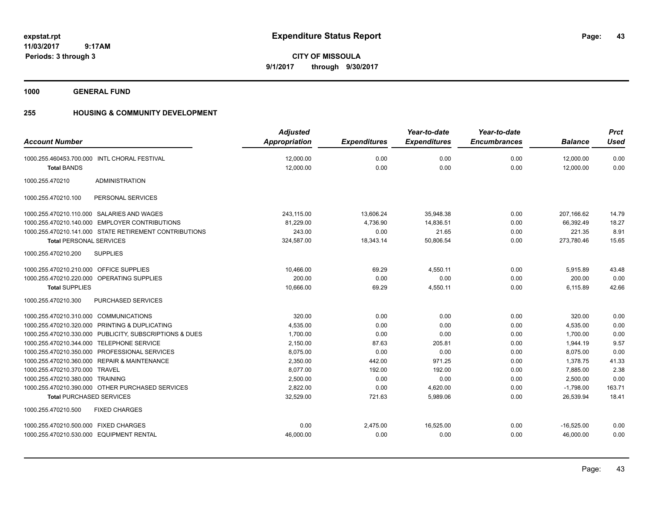**CITY OF MISSOULA 9/1/2017 through 9/30/2017**

**1000 GENERAL FUND**

# **255 HOUSING & COMMUNITY DEVELOPMENT**

|                                                          | <b>Adjusted</b>      |                     | Year-to-date        | Year-to-date        |                | <b>Prct</b> |
|----------------------------------------------------------|----------------------|---------------------|---------------------|---------------------|----------------|-------------|
| <b>Account Number</b>                                    | <b>Appropriation</b> | <b>Expenditures</b> | <b>Expenditures</b> | <b>Encumbrances</b> | <b>Balance</b> | <b>Used</b> |
| 1000.255.460453.700.000 INTL CHORAL FESTIVAL             | 12,000.00            | 0.00                | 0.00                | 0.00                | 12,000.00      | 0.00        |
| <b>Total BANDS</b>                                       | 12,000.00            | 0.00                | 0.00                | 0.00                | 12,000.00      | 0.00        |
| <b>ADMINISTRATION</b><br>1000.255.470210                 |                      |                     |                     |                     |                |             |
| PERSONAL SERVICES<br>1000.255.470210.100                 |                      |                     |                     |                     |                |             |
| SALARIES AND WAGES<br>1000.255.470210.110.000            | 243,115.00           | 13,606.24           | 35,948.38           | 0.00                | 207,166.62     | 14.79       |
| <b>EMPLOYER CONTRIBUTIONS</b><br>1000.255.470210.140.000 | 81,229.00            | 4,736.90            | 14,836.51           | 0.00                | 66,392.49      | 18.27       |
| 1000.255.470210.141.000 STATE RETIREMENT CONTRIBUTIONS   | 243.00               | 0.00                | 21.65               | 0.00                | 221.35         | 8.91        |
| <b>Total PERSONAL SERVICES</b>                           | 324,587.00           | 18,343.14           | 50,806.54           | 0.00                | 273,780.46     | 15.65       |
| <b>SUPPLIES</b><br>1000.255.470210.200                   |                      |                     |                     |                     |                |             |
| 1000.255.470210.210.000 OFFICE SUPPLIES                  | 10,466.00            | 69.29               | 4,550.11            | 0.00                | 5,915.89       | 43.48       |
| 1000.255.470210.220.000 OPERATING SUPPLIES               | 200.00               | 0.00                | 0.00                | 0.00                | 200.00         | 0.00        |
| <b>Total SUPPLIES</b>                                    | 10,666.00            | 69.29               | 4,550.11            | 0.00                | 6,115.89       | 42.66       |
| <b>PURCHASED SERVICES</b><br>1000.255.470210.300         |                      |                     |                     |                     |                |             |
| 1000.255.470210.310.000 COMMUNICATIONS                   | 320.00               | 0.00                | 0.00                | 0.00                | 320.00         | 0.00        |
| 1000.255.470210.320.000 PRINTING & DUPLICATING           | 4,535.00             | 0.00                | 0.00                | 0.00                | 4,535.00       | 0.00        |
| 1000.255.470210.330.000 PUBLICITY, SUBSCRIPTIONS & DUES  | 1,700.00             | 0.00                | 0.00                | 0.00                | 1,700.00       | 0.00        |
| 1000.255.470210.344.000 TELEPHONE SERVICE                | 2,150.00             | 87.63               | 205.81              | 0.00                | 1,944.19       | 9.57        |
| 1000.255.470210.350.000 PROFESSIONAL SERVICES            | 8,075.00             | 0.00                | 0.00                | 0.00                | 8,075.00       | 0.00        |
| 1000.255.470210.360.000 REPAIR & MAINTENANCE             | 2,350.00             | 442.00              | 971.25              | 0.00                | 1,378.75       | 41.33       |
| 1000.255.470210.370.000<br><b>TRAVEL</b>                 | 8,077.00             | 192.00              | 192.00              | 0.00                | 7,885.00       | 2.38        |
| 1000.255.470210.380.000 TRAINING                         | 2,500.00             | 0.00                | 0.00                | 0.00                | 2,500.00       | 0.00        |
| 1000.255.470210.390.000 OTHER PURCHASED SERVICES         | 2,822.00             | 0.00                | 4,620.00            | 0.00                | $-1,798.00$    | 163.71      |
| <b>Total PURCHASED SERVICES</b>                          | 32,529.00            | 721.63              | 5,989.06            | 0.00                | 26,539.94      | 18.41       |
| <b>FIXED CHARGES</b><br>1000.255.470210.500              |                      |                     |                     |                     |                |             |
| 1000.255.470210.500.000 FIXED CHARGES                    | 0.00                 | 2,475.00            | 16,525.00           | 0.00                | $-16,525.00$   | 0.00        |
| 1000.255.470210.530.000 EQUIPMENT RENTAL                 | 46,000.00            | 0.00                | 0.00                | 0.00                | 46,000.00      | 0.00        |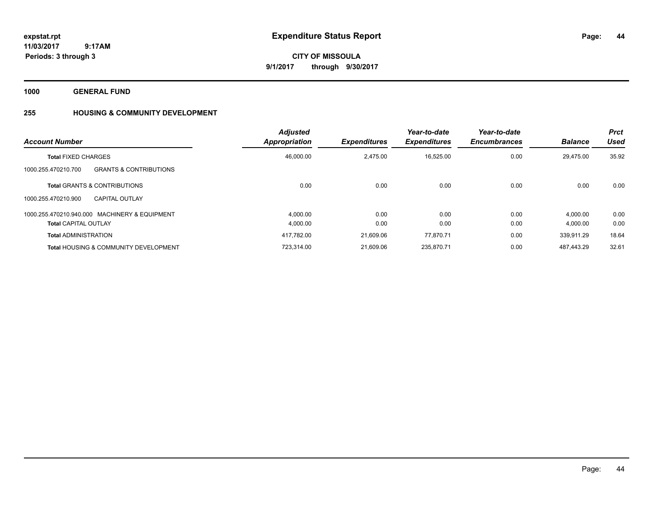**CITY OF MISSOULA 9/1/2017 through 9/30/2017**

**1000 GENERAL FUND**

# **255 HOUSING & COMMUNITY DEVELOPMENT**

| <b>Account Number</b>                                    | <b>Adjusted</b><br>Appropriation | <b>Expenditures</b> | Year-to-date<br><b>Expenditures</b> | Year-to-date<br><b>Encumbrances</b> | <b>Balance</b> | Prct<br><b>Used</b> |
|----------------------------------------------------------|----------------------------------|---------------------|-------------------------------------|-------------------------------------|----------------|---------------------|
| <b>Total FIXED CHARGES</b>                               | 46,000.00                        | 2,475.00            | 16,525.00                           | 0.00                                | 29.475.00      | 35.92               |
| <b>GRANTS &amp; CONTRIBUTIONS</b><br>1000.255.470210.700 |                                  |                     |                                     |                                     |                |                     |
| <b>Total GRANTS &amp; CONTRIBUTIONS</b>                  | 0.00                             | 0.00                | 0.00                                | 0.00                                | 0.00           | 0.00                |
| 1000.255.470210.900<br><b>CAPITAL OUTLAY</b>             |                                  |                     |                                     |                                     |                |                     |
| 1000.255.470210.940.000 MACHINERY & EQUIPMENT            | 4.000.00                         | 0.00                | 0.00                                | 0.00                                | 4.000.00       | 0.00                |
| <b>Total CAPITAL OUTLAY</b>                              | 4,000.00                         | 0.00                | 0.00                                | 0.00                                | 4,000.00       | 0.00                |
| <b>Total ADMINISTRATION</b>                              | 417.782.00                       | 21.609.06           | 77.870.71                           | 0.00                                | 339.911.29     | 18.64               |
| <b>Total HOUSING &amp; COMMUNITY DEVELOPMENT</b>         | 723.314.00                       | 21.609.06           | 235.870.71                          | 0.00                                | 487.443.29     | 32.61               |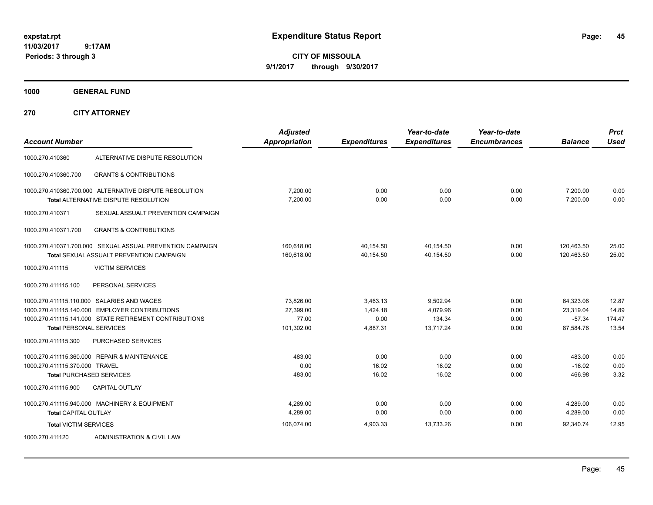**CITY OF MISSOULA 9/1/2017 through 9/30/2017**

**1000 GENERAL FUND**

| <b>Account Number</b>          |                                                                                                       | <b>Adjusted</b><br>Appropriation | <b>Expenditures</b>    | Year-to-date<br><b>Expenditures</b> | Year-to-date<br><b>Encumbrances</b> | <b>Balance</b>           | <b>Prct</b><br><b>Used</b> |
|--------------------------------|-------------------------------------------------------------------------------------------------------|----------------------------------|------------------------|-------------------------------------|-------------------------------------|--------------------------|----------------------------|
| 1000.270.410360                | ALTERNATIVE DISPUTE RESOLUTION                                                                        |                                  |                        |                                     |                                     |                          |                            |
| 1000.270.410360.700            | <b>GRANTS &amp; CONTRIBUTIONS</b>                                                                     |                                  |                        |                                     |                                     |                          |                            |
|                                | 1000.270.410360.700.000 ALTERNATIVE DISPUTE RESOLUTION<br><b>Total ALTERNATIVE DISPUTE RESOLUTION</b> | 7,200.00<br>7,200.00             | 0.00<br>0.00           | 0.00<br>0.00                        | 0.00<br>0.00                        | 7,200.00<br>7,200.00     | 0.00<br>0.00               |
| 1000.270.410371                | SEXUAL ASSUALT PREVENTION CAMPAIGN                                                                    |                                  |                        |                                     |                                     |                          |                            |
| 1000.270.410371.700            | <b>GRANTS &amp; CONTRIBUTIONS</b>                                                                     |                                  |                        |                                     |                                     |                          |                            |
|                                | 1000.270.410371.700.000 SEXUAL ASSUAL PREVENTION CAMPAIGN<br>Total SEXUAL ASSUALT PREVENTION CAMPAIGN | 160,618.00<br>160,618.00         | 40,154.50<br>40,154.50 | 40,154.50<br>40,154.50              | 0.00<br>0.00                        | 120,463.50<br>120,463.50 | 25.00<br>25.00             |
| 1000.270.411115                | <b>VICTIM SERVICES</b>                                                                                |                                  |                        |                                     |                                     |                          |                            |
| 1000.270.411115.100            | PERSONAL SERVICES                                                                                     |                                  |                        |                                     |                                     |                          |                            |
|                                | 1000.270.411115.110.000 SALARIES AND WAGES                                                            | 73,826.00                        | 3,463.13               | 9,502.94                            | 0.00                                | 64,323.06                | 12.87                      |
|                                | 1000.270.411115.140.000 EMPLOYER CONTRIBUTIONS                                                        | 27,399.00                        | 1,424.18               | 4,079.96                            | 0.00                                | 23,319.04                | 14.89                      |
|                                | 1000.270.411115.141.000 STATE RETIREMENT CONTRIBUTIONS                                                | 77.00                            | 0.00                   | 134.34                              | 0.00                                | $-57.34$                 | 174.47                     |
| <b>Total PERSONAL SERVICES</b> |                                                                                                       | 101,302.00                       | 4,887.31               | 13,717.24                           | 0.00                                | 87,584.76                | 13.54                      |
| 1000.270.411115.300            | <b>PURCHASED SERVICES</b>                                                                             |                                  |                        |                                     |                                     |                          |                            |
|                                | 1000.270.411115.360.000 REPAIR & MAINTENANCE                                                          | 483.00                           | 0.00                   | 0.00                                | 0.00                                | 483.00                   | 0.00                       |
| 1000.270.411115.370.000 TRAVEL |                                                                                                       | 0.00                             | 16.02                  | 16.02                               | 0.00                                | $-16.02$                 | 0.00                       |
|                                | <b>Total PURCHASED SERVICES</b>                                                                       | 483.00                           | 16.02                  | 16.02                               | 0.00                                | 466.98                   | 3.32                       |
| 1000.270.411115.900            | <b>CAPITAL OUTLAY</b>                                                                                 |                                  |                        |                                     |                                     |                          |                            |
|                                | 1000.270.411115.940.000 MACHINERY & EQUIPMENT                                                         | 4.289.00                         | 0.00                   | 0.00                                | 0.00                                | 4,289.00                 | 0.00                       |
| Total CAPITAL OUTLAY           |                                                                                                       | 4,289.00                         | 0.00                   | 0.00                                | 0.00                                | 4,289.00                 | 0.00                       |
| <b>Total VICTIM SERVICES</b>   |                                                                                                       | 106,074.00                       | 4,903.33               | 13,733.26                           | 0.00                                | 92,340.74                | 12.95                      |
| 1000.270.411120                | ADMINISTRATION & CIVIL LAW                                                                            |                                  |                        |                                     |                                     |                          |                            |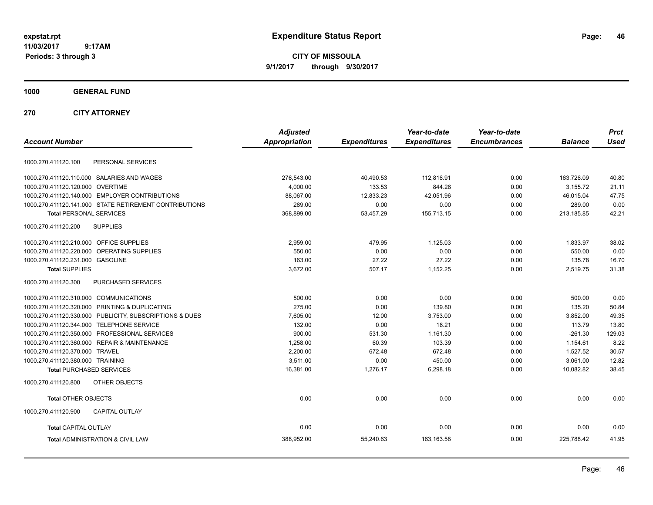**CITY OF MISSOULA 9/1/2017 through 9/30/2017**

**1000 GENERAL FUND**

| <b>Account Number</b>                                   | <b>Adjusted</b><br><b>Appropriation</b> | <b>Expenditures</b> | Year-to-date<br><b>Expenditures</b> | Year-to-date<br><b>Encumbrances</b> | <b>Balance</b> | <b>Prct</b><br><b>Used</b> |
|---------------------------------------------------------|-----------------------------------------|---------------------|-------------------------------------|-------------------------------------|----------------|----------------------------|
|                                                         |                                         |                     |                                     |                                     |                |                            |
| PERSONAL SERVICES<br>1000.270.411120.100                |                                         |                     |                                     |                                     |                |                            |
| 1000.270.411120.110.000 SALARIES AND WAGES              | 276,543.00                              | 40,490.53           | 112,816.91                          | 0.00                                | 163,726.09     | 40.80                      |
| 1000.270.411120.120.000 OVERTIME                        | 4.000.00                                | 133.53              | 844.28                              | 0.00                                | 3.155.72       | 21.11                      |
| 1000.270.411120.140.000 EMPLOYER CONTRIBUTIONS          | 88,067.00                               | 12,833.23           | 42,051.96                           | 0.00                                | 46,015.04      | 47.75                      |
| 1000.270.411120.141.000 STATE RETIREMENT CONTRIBUTIONS  | 289.00                                  | 0.00                | 0.00                                | 0.00                                | 289.00         | 0.00                       |
| <b>Total PERSONAL SERVICES</b>                          | 368,899.00                              | 53,457.29           | 155,713.15                          | 0.00                                | 213,185.85     | 42.21                      |
| 1000.270.411120.200<br><b>SUPPLIES</b>                  |                                         |                     |                                     |                                     |                |                            |
| 1000.270.411120.210.000 OFFICE SUPPLIES                 | 2,959.00                                | 479.95              | 1,125.03                            | 0.00                                | 1,833.97       | 38.02                      |
| 1000.270.411120.220.000 OPERATING SUPPLIES              | 550.00                                  | 0.00                | 0.00                                | 0.00                                | 550.00         | 0.00                       |
| 1000.270.411120.231.000 GASOLINE                        | 163.00                                  | 27.22               | 27.22                               | 0.00                                | 135.78         | 16.70                      |
| <b>Total SUPPLIES</b>                                   | 3,672.00                                | 507.17              | 1,152.25                            | 0.00                                | 2,519.75       | 31.38                      |
| 1000.270.411120.300<br>PURCHASED SERVICES               |                                         |                     |                                     |                                     |                |                            |
| 1000.270.411120.310.000 COMMUNICATIONS                  | 500.00                                  | 0.00                | 0.00                                | 0.00                                | 500.00         | 0.00                       |
| 1000.270.411120.320.000 PRINTING & DUPLICATING          | 275.00                                  | 0.00                | 139.80                              | 0.00                                | 135.20         | 50.84                      |
| 1000.270.411120.330.000 PUBLICITY, SUBSCRIPTIONS & DUES | 7,605.00                                | 12.00               | 3,753.00                            | 0.00                                | 3,852.00       | 49.35                      |
| 1000.270.411120.344.000 TELEPHONE SERVICE               | 132.00                                  | 0.00                | 18.21                               | 0.00                                | 113.79         | 13.80                      |
| 1000.270.411120.350.000 PROFESSIONAL SERVICES           | 900.00                                  | 531.30              | 1,161.30                            | 0.00                                | $-261.30$      | 129.03                     |
| 1000.270.411120.360.000 REPAIR & MAINTENANCE            | 1,258.00                                | 60.39               | 103.39                              | 0.00                                | 1,154.61       | 8.22                       |
| 1000.270.411120.370.000 TRAVEL                          | 2,200.00                                | 672.48              | 672.48                              | 0.00                                | 1,527.52       | 30.57                      |
| 1000.270.411120.380.000 TRAINING                        | 3,511.00                                | 0.00                | 450.00                              | 0.00                                | 3,061.00       | 12.82                      |
| <b>Total PURCHASED SERVICES</b>                         | 16,381.00                               | 1,276.17            | 6,298.18                            | 0.00                                | 10,082.82      | 38.45                      |
| OTHER OBJECTS<br>1000.270.411120.800                    |                                         |                     |                                     |                                     |                |                            |
| <b>Total OTHER OBJECTS</b>                              | 0.00                                    | 0.00                | 0.00                                | 0.00                                | 0.00           | 0.00                       |
| 1000.270.411120.900<br><b>CAPITAL OUTLAY</b>            |                                         |                     |                                     |                                     |                |                            |
| <b>Total CAPITAL OUTLAY</b>                             | 0.00                                    | 0.00                | 0.00                                | 0.00                                | 0.00           | 0.00                       |
| <b>Total ADMINISTRATION &amp; CIVIL LAW</b>             | 388,952.00                              | 55,240.63           | 163,163.58                          | 0.00                                | 225,788.42     | 41.95                      |
|                                                         |                                         |                     |                                     |                                     |                |                            |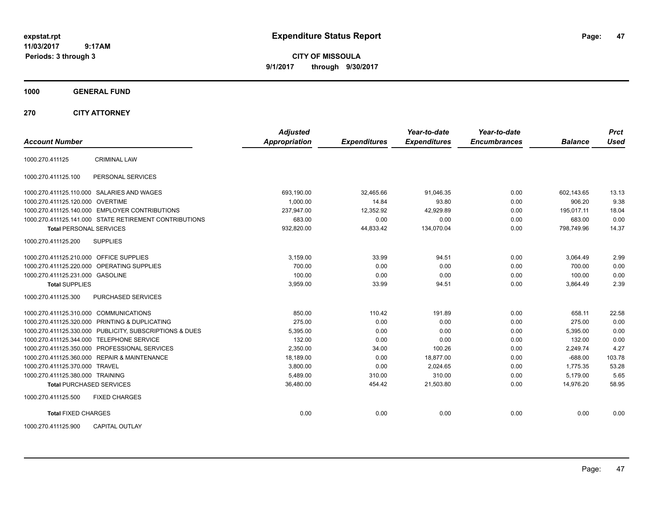**CITY OF MISSOULA 9/1/2017 through 9/30/2017**

**1000 GENERAL FUND**

| <b>Account Number</b>                   |                                                         | <b>Adjusted</b><br><b>Appropriation</b> | <b>Expenditures</b> | Year-to-date<br><b>Expenditures</b> | Year-to-date<br><b>Encumbrances</b> | <b>Balance</b> | <b>Prct</b><br><b>Used</b> |
|-----------------------------------------|---------------------------------------------------------|-----------------------------------------|---------------------|-------------------------------------|-------------------------------------|----------------|----------------------------|
| 1000.270.411125                         | <b>CRIMINAL LAW</b>                                     |                                         |                     |                                     |                                     |                |                            |
| 1000.270.411125.100                     | PERSONAL SERVICES                                       |                                         |                     |                                     |                                     |                |                            |
|                                         | 1000.270.411125.110.000 SALARIES AND WAGES              | 693,190.00                              | 32,465.66           | 91,046.35                           | 0.00                                | 602,143.65     | 13.13                      |
| 1000.270.411125.120.000 OVERTIME        |                                                         | 1,000.00                                | 14.84               | 93.80                               | 0.00                                | 906.20         | 9.38                       |
|                                         | 1000.270.411125.140.000 EMPLOYER CONTRIBUTIONS          | 237,947.00                              | 12,352.92           | 42,929.89                           | 0.00                                | 195,017.11     | 18.04                      |
|                                         | 1000.270.411125.141.000 STATE RETIREMENT CONTRIBUTIONS  | 683.00                                  | 0.00                | 0.00                                | 0.00                                | 683.00         | 0.00                       |
| <b>Total PERSONAL SERVICES</b>          |                                                         | 932,820.00                              | 44,833.42           | 134,070.04                          | 0.00                                | 798,749.96     | 14.37                      |
| 1000.270.411125.200                     | <b>SUPPLIES</b>                                         |                                         |                     |                                     |                                     |                |                            |
| 1000.270.411125.210.000 OFFICE SUPPLIES |                                                         | 3,159.00                                | 33.99               | 94.51                               | 0.00                                | 3,064.49       | 2.99                       |
|                                         | 1000.270.411125.220.000 OPERATING SUPPLIES              | 700.00                                  | 0.00                | 0.00                                | 0.00                                | 700.00         | 0.00                       |
| 1000.270.411125.231.000 GASOLINE        |                                                         | 100.00                                  | 0.00                | 0.00                                | 0.00                                | 100.00         | 0.00                       |
| <b>Total SUPPLIES</b>                   |                                                         | 3,959.00                                | 33.99               | 94.51                               | 0.00                                | 3,864.49       | 2.39                       |
| 1000.270.411125.300                     | PURCHASED SERVICES                                      |                                         |                     |                                     |                                     |                |                            |
| 1000.270.411125.310.000 COMMUNICATIONS  |                                                         | 850.00                                  | 110.42              | 191.89                              | 0.00                                | 658.11         | 22.58                      |
|                                         | 1000.270.411125.320.000 PRINTING & DUPLICATING          | 275.00                                  | 0.00                | 0.00                                | 0.00                                | 275.00         | 0.00                       |
|                                         | 1000.270.411125.330.000 PUBLICITY, SUBSCRIPTIONS & DUES | 5,395.00                                | 0.00                | 0.00                                | 0.00                                | 5,395.00       | 0.00                       |
|                                         | 1000.270.411125.344.000 TELEPHONE SERVICE               | 132.00                                  | 0.00                | 0.00                                | 0.00                                | 132.00         | 0.00                       |
|                                         | 1000.270.411125.350.000 PROFESSIONAL SERVICES           | 2,350.00                                | 34.00               | 100.26                              | 0.00                                | 2,249.74       | 4.27                       |
|                                         | 1000.270.411125.360.000 REPAIR & MAINTENANCE            | 18,189.00                               | 0.00                | 18,877.00                           | 0.00                                | $-688.00$      | 103.78                     |
| 1000.270.411125.370.000 TRAVEL          |                                                         | 3,800.00                                | 0.00                | 2,024.65                            | 0.00                                | 1,775.35       | 53.28                      |
| 1000.270.411125.380.000 TRAINING        |                                                         | 5,489.00                                | 310.00              | 310.00                              | 0.00                                | 5,179.00       | 5.65                       |
| <b>Total PURCHASED SERVICES</b>         |                                                         | 36,480.00                               | 454.42              | 21,503.80                           | 0.00                                | 14,976.20      | 58.95                      |
| 1000.270.411125.500                     | <b>FIXED CHARGES</b>                                    |                                         |                     |                                     |                                     |                |                            |
| <b>Total FIXED CHARGES</b>              |                                                         | 0.00                                    | 0.00                | 0.00                                | 0.00                                | 0.00           | 0.00                       |
| 1000.270.411125.900                     | <b>CAPITAL OUTLAY</b>                                   |                                         |                     |                                     |                                     |                |                            |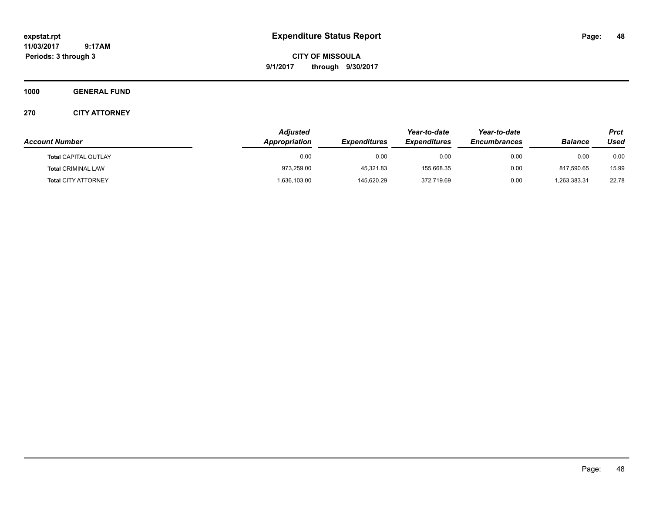**CITY OF MISSOULA 9/1/2017 through 9/30/2017**

**1000 GENERAL FUND**

| <b>Account Number</b>       | Adjusted<br>Appropriation | <b>Expenditures</b> | Year-to-date<br><b>Expenditures</b> | Year-to-date<br><b>Encumbrances</b> | <b>Balance</b> | <b>Prct</b><br>Used |
|-----------------------------|---------------------------|---------------------|-------------------------------------|-------------------------------------|----------------|---------------------|
|                             |                           |                     |                                     |                                     |                |                     |
| <b>Total CAPITAL OUTLAY</b> | 0.00                      | 0.00                | 0.00                                | 0.00                                | 0.00           | 0.00                |
| <b>Total CRIMINAL LAW</b>   | 973,259.00                | 45.321.83           | 155.668.35                          | 0.00                                | 817.590.65     | 15.99               |
| <b>Total CITY ATTORNEY</b>  | 1,636,103.00              | 145,620.29          | 372,719.69                          | 0.00                                | 1,263,383.31   | 22.78               |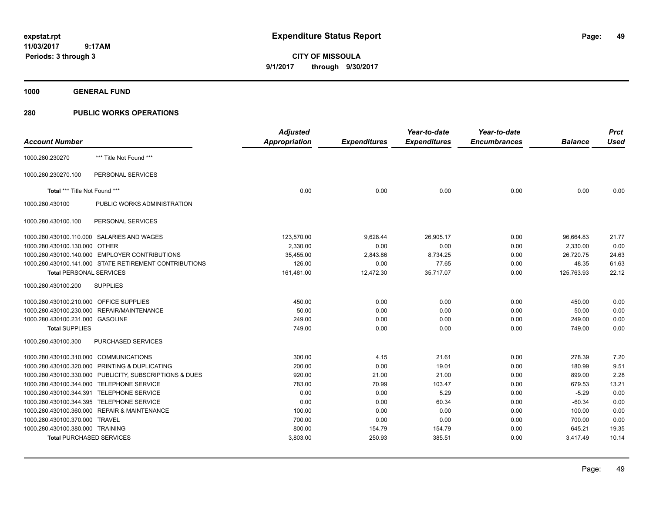**CITY OF MISSOULA 9/1/2017 through 9/30/2017**

**1000 GENERAL FUND**

### **280 PUBLIC WORKS OPERATIONS**

| <b>Account Number</b>                   |                                                         | <b>Adjusted</b><br>Appropriation | <b>Expenditures</b> | Year-to-date<br><b>Expenditures</b> | Year-to-date<br><b>Encumbrances</b> | <b>Balance</b> | <b>Prct</b><br><b>Used</b> |
|-----------------------------------------|---------------------------------------------------------|----------------------------------|---------------------|-------------------------------------|-------------------------------------|----------------|----------------------------|
| 1000.280.230270                         | *** Title Not Found ***                                 |                                  |                     |                                     |                                     |                |                            |
| 1000.280.230270.100                     | PERSONAL SERVICES                                       |                                  |                     |                                     |                                     |                |                            |
| Total *** Title Not Found ***           |                                                         | 0.00                             | 0.00                | 0.00                                | 0.00                                | 0.00           | 0.00                       |
| 1000.280.430100                         | PUBLIC WORKS ADMINISTRATION                             |                                  |                     |                                     |                                     |                |                            |
| 1000.280.430100.100                     | PERSONAL SERVICES                                       |                                  |                     |                                     |                                     |                |                            |
|                                         | 1000.280.430100.110.000 SALARIES AND WAGES              | 123,570.00                       | 9,628.44            | 26,905.17                           | 0.00                                | 96,664.83      | 21.77                      |
| 1000.280.430100.130.000                 | <b>OTHER</b>                                            | 2,330.00                         | 0.00                | 0.00                                | 0.00                                | 2,330.00       | 0.00                       |
|                                         | 1000.280.430100.140.000 EMPLOYER CONTRIBUTIONS          | 35,455.00                        | 2,843.86            | 8,734.25                            | 0.00                                | 26,720.75      | 24.63                      |
|                                         | 1000.280.430100.141.000 STATE RETIREMENT CONTRIBUTIONS  | 126.00                           | 0.00                | 77.65                               | 0.00                                | 48.35          | 61.63                      |
| <b>Total PERSONAL SERVICES</b>          |                                                         | 161,481.00                       | 12,472.30           | 35,717.07                           | 0.00                                | 125,763.93     | 22.12                      |
| 1000.280.430100.200                     | <b>SUPPLIES</b>                                         |                                  |                     |                                     |                                     |                |                            |
| 1000.280.430100.210.000 OFFICE SUPPLIES |                                                         | 450.00                           | 0.00                | 0.00                                | 0.00                                | 450.00         | 0.00                       |
|                                         | 1000.280.430100.230.000 REPAIR/MAINTENANCE              | 50.00                            | 0.00                | 0.00                                | 0.00                                | 50.00          | 0.00                       |
| 1000.280.430100.231.000 GASOLINE        |                                                         | 249.00                           | 0.00                | 0.00                                | 0.00                                | 249.00         | 0.00                       |
| <b>Total SUPPLIES</b>                   |                                                         | 749.00                           | 0.00                | 0.00                                | 0.00                                | 749.00         | 0.00                       |
| 1000.280.430100.300                     | <b>PURCHASED SERVICES</b>                               |                                  |                     |                                     |                                     |                |                            |
| 1000.280.430100.310.000 COMMUNICATIONS  |                                                         | 300.00                           | 4.15                | 21.61                               | 0.00                                | 278.39         | 7.20                       |
|                                         | 1000.280.430100.320.000 PRINTING & DUPLICATING          | 200.00                           | 0.00                | 19.01                               | 0.00                                | 180.99         | 9.51                       |
|                                         | 1000.280.430100.330.000 PUBLICITY, SUBSCRIPTIONS & DUES | 920.00                           | 21.00               | 21.00                               | 0.00                                | 899.00         | 2.28                       |
|                                         | 1000.280.430100.344.000 TELEPHONE SERVICE               | 783.00                           | 70.99               | 103.47                              | 0.00                                | 679.53         | 13.21                      |
|                                         | 1000.280.430100.344.391 TELEPHONE SERVICE               | 0.00                             | 0.00                | 5.29                                | 0.00                                | $-5.29$        | 0.00                       |
|                                         | 1000.280.430100.344.395 TELEPHONE SERVICE               | 0.00                             | 0.00                | 60.34                               | 0.00                                | $-60.34$       | 0.00                       |
|                                         | 1000.280.430100.360.000 REPAIR & MAINTENANCE            | 100.00                           | 0.00                | 0.00                                | 0.00                                | 100.00         | 0.00                       |
| 1000.280.430100.370.000                 | <b>TRAVEL</b>                                           | 700.00                           | 0.00                | 0.00                                | 0.00                                | 700.00         | 0.00                       |
| 1000.280.430100.380.000 TRAINING        |                                                         | 800.00                           | 154.79              | 154.79                              | 0.00                                | 645.21         | 19.35                      |
| <b>Total PURCHASED SERVICES</b>         |                                                         | 3,803.00                         | 250.93              | 385.51                              | 0.00                                | 3,417.49       | 10.14                      |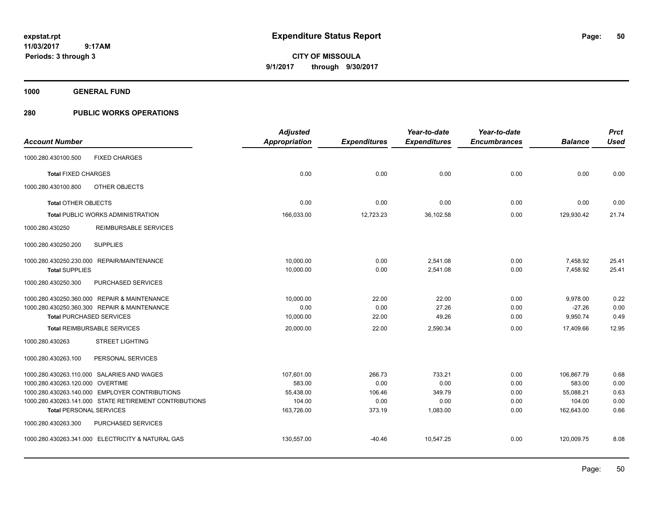**CITY OF MISSOULA 9/1/2017 through 9/30/2017**

**1000 GENERAL FUND**

## **280 PUBLIC WORKS OPERATIONS**

|                                  |                                                        | <b>Adjusted</b>      |                     | Year-to-date        | Year-to-date        |                | <b>Prct</b> |
|----------------------------------|--------------------------------------------------------|----------------------|---------------------|---------------------|---------------------|----------------|-------------|
| <b>Account Number</b>            |                                                        | <b>Appropriation</b> | <b>Expenditures</b> | <b>Expenditures</b> | <b>Encumbrances</b> | <b>Balance</b> | <b>Used</b> |
| 1000.280.430100.500              | <b>FIXED CHARGES</b>                                   |                      |                     |                     |                     |                |             |
| <b>Total FIXED CHARGES</b>       |                                                        | 0.00                 | 0.00                | 0.00                | 0.00                | 0.00           | 0.00        |
| 1000.280.430100.800              | OTHER OBJECTS                                          |                      |                     |                     |                     |                |             |
| <b>Total OTHER OBJECTS</b>       |                                                        | 0.00                 | 0.00                | 0.00                | 0.00                | 0.00           | 0.00        |
|                                  | Total PUBLIC WORKS ADMINISTRATION                      | 166,033.00           | 12,723.23           | 36,102.58           | 0.00                | 129,930.42     | 21.74       |
| 1000.280.430250                  | REIMBURSABLE SERVICES                                  |                      |                     |                     |                     |                |             |
| 1000.280.430250.200              | <b>SUPPLIES</b>                                        |                      |                     |                     |                     |                |             |
|                                  | 1000.280.430250.230.000 REPAIR/MAINTENANCE             | 10,000.00            | 0.00                | 2,541.08            | 0.00                | 7,458.92       | 25.41       |
| <b>Total SUPPLIES</b>            |                                                        | 10,000.00            | 0.00                | 2,541.08            | 0.00                | 7,458.92       | 25.41       |
| 1000.280.430250.300              | PURCHASED SERVICES                                     |                      |                     |                     |                     |                |             |
|                                  | 1000.280.430250.360.000 REPAIR & MAINTENANCE           | 10,000.00            | 22.00               | 22.00               | 0.00                | 9,978.00       | 0.22        |
|                                  | 1000.280.430250.360.300 REPAIR & MAINTENANCE           | 0.00                 | 0.00                | 27.26               | 0.00                | $-27.26$       | 0.00        |
|                                  | <b>Total PURCHASED SERVICES</b>                        | 10,000.00            | 22.00               | 49.26               | 0.00                | 9,950.74       | 0.49        |
|                                  | <b>Total REIMBURSABLE SERVICES</b>                     | 20,000.00            | 22.00               | 2,590.34            | 0.00                | 17,409.66      | 12.95       |
| 1000.280.430263                  | <b>STREET LIGHTING</b>                                 |                      |                     |                     |                     |                |             |
| 1000.280.430263.100              | PERSONAL SERVICES                                      |                      |                     |                     |                     |                |             |
|                                  | 1000.280.430263.110.000 SALARIES AND WAGES             | 107,601.00           | 266.73              | 733.21              | 0.00                | 106.867.79     | 0.68        |
| 1000.280.430263.120.000 OVERTIME |                                                        | 583.00               | 0.00                | 0.00                | 0.00                | 583.00         | 0.00        |
|                                  | 1000.280.430263.140.000 EMPLOYER CONTRIBUTIONS         | 55,438.00            | 106.46              | 349.79              | 0.00                | 55,088.21      | 0.63        |
|                                  | 1000.280.430263.141.000 STATE RETIREMENT CONTRIBUTIONS | 104.00               | 0.00                | 0.00                | 0.00                | 104.00         | 0.00        |
| <b>Total PERSONAL SERVICES</b>   |                                                        | 163,726.00           | 373.19              | 1,083.00            | 0.00                | 162,643.00     | 0.66        |
| 1000.280.430263.300              | PURCHASED SERVICES                                     |                      |                     |                     |                     |                |             |
|                                  | 1000.280.430263.341.000 ELECTRICITY & NATURAL GAS      | 130,557.00           | $-40.46$            | 10.547.25           | 0.00                | 120.009.75     | 8.08        |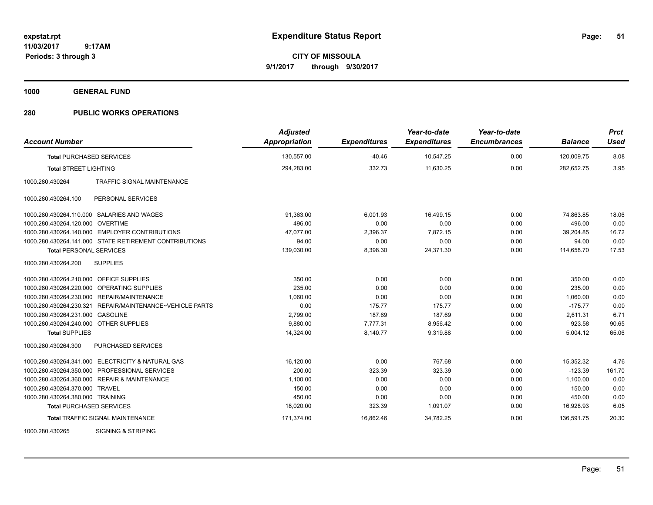**CITY OF MISSOULA 9/1/2017 through 9/30/2017**

**1000 GENERAL FUND**

### **280 PUBLIC WORKS OPERATIONS**

| <b>Account Number</b>                   |                                                          | <b>Adjusted</b><br><b>Appropriation</b> | <b>Expenditures</b> | Year-to-date<br><b>Expenditures</b> | Year-to-date<br><b>Encumbrances</b> | <b>Balance</b> | <b>Prct</b><br><b>Used</b> |
|-----------------------------------------|----------------------------------------------------------|-----------------------------------------|---------------------|-------------------------------------|-------------------------------------|----------------|----------------------------|
| <b>Total PURCHASED SERVICES</b>         |                                                          | 130,557.00                              | $-40.46$            | 10,547.25                           | 0.00                                | 120,009.75     | 8.08                       |
| <b>Total STREET LIGHTING</b>            |                                                          | 294,283.00                              | 332.73              | 11,630.25                           | 0.00                                | 282,652.75     | 3.95                       |
| 1000.280.430264                         | <b>TRAFFIC SIGNAL MAINTENANCE</b>                        |                                         |                     |                                     |                                     |                |                            |
| 1000.280.430264.100                     | PERSONAL SERVICES                                        |                                         |                     |                                     |                                     |                |                            |
|                                         | 1000.280.430264.110.000 SALARIES AND WAGES               | 91.363.00                               | 6,001.93            | 16.499.15                           | 0.00                                | 74.863.85      | 18.06                      |
| 1000.280.430264.120.000                 | <b>OVERTIME</b>                                          | 496.00                                  | 0.00                | 0.00                                | 0.00                                | 496.00         | 0.00                       |
|                                         | 1000.280.430264.140.000 EMPLOYER CONTRIBUTIONS           | 47,077.00                               | 2,396.37            | 7,872.15                            | 0.00                                | 39,204.85      | 16.72                      |
|                                         | 1000.280.430264.141.000 STATE RETIREMENT CONTRIBUTIONS   | 94.00                                   | 0.00                | 0.00                                | 0.00                                | 94.00          | 0.00                       |
| <b>Total PERSONAL SERVICES</b>          |                                                          | 139,030.00                              | 8,398.30            | 24,371.30                           | 0.00                                | 114,658.70     | 17.53                      |
| 1000.280.430264.200                     | <b>SUPPLIES</b>                                          |                                         |                     |                                     |                                     |                |                            |
| 1000.280.430264.210.000 OFFICE SUPPLIES |                                                          | 350.00                                  | 0.00                | 0.00                                | 0.00                                | 350.00         | 0.00                       |
| 1000.280.430264.220.000                 | OPERATING SUPPLIES                                       | 235.00                                  | 0.00                | 0.00                                | 0.00                                | 235.00         | 0.00                       |
|                                         | 1000.280.430264.230.000 REPAIR/MAINTENANCE               | 1,060.00                                | 0.00                | 0.00                                | 0.00                                | 1.060.00       | 0.00                       |
|                                         | 1000.280.430264.230.321 REPAIR/MAINTENANCE~VEHICLE PARTS | 0.00                                    | 175.77              | 175.77                              | 0.00                                | $-175.77$      | 0.00                       |
| 1000.280.430264.231.000 GASOLINE        |                                                          | 2,799.00                                | 187.69              | 187.69                              | 0.00                                | 2,611.31       | 6.71                       |
| 1000.280.430264.240.000 OTHER SUPPLIES  |                                                          | 9,880.00                                | 7,777.31            | 8,956.42                            | 0.00                                | 923.58         | 90.65                      |
| <b>Total SUPPLIES</b>                   |                                                          | 14,324.00                               | 8,140.77            | 9,319.88                            | 0.00                                | 5,004.12       | 65.06                      |
| 1000.280.430264.300                     | <b>PURCHASED SERVICES</b>                                |                                         |                     |                                     |                                     |                |                            |
|                                         | 1000.280.430264.341.000 ELECTRICITY & NATURAL GAS        | 16,120.00                               | 0.00                | 767.68                              | 0.00                                | 15,352.32      | 4.76                       |
|                                         | 1000.280.430264.350.000 PROFESSIONAL SERVICES            | 200.00                                  | 323.39              | 323.39                              | 0.00                                | $-123.39$      | 161.70                     |
|                                         | 1000.280.430264.360.000 REPAIR & MAINTENANCE             | 1,100.00                                | 0.00                | 0.00                                | 0.00                                | 1,100.00       | 0.00                       |
| 1000.280.430264.370.000 TRAVEL          |                                                          | 150.00                                  | 0.00                | 0.00                                | 0.00                                | 150.00         | 0.00                       |
| 1000.280.430264.380.000 TRAINING        |                                                          | 450.00                                  | 0.00                | 0.00                                | 0.00                                | 450.00         | 0.00                       |
| <b>Total PURCHASED SERVICES</b>         |                                                          | 18,020.00                               | 323.39              | 1,091.07                            | 0.00                                | 16,928.93      | 6.05                       |
|                                         | <b>Total TRAFFIC SIGNAL MAINTENANCE</b>                  | 171,374.00                              | 16,862.46           | 34,782.25                           | 0.00                                | 136,591.75     | 20.30                      |
| 1000000000000                           | O(O)                                                     |                                         |                     |                                     |                                     |                |                            |

1000.280.430265 SIGNING & STRIPING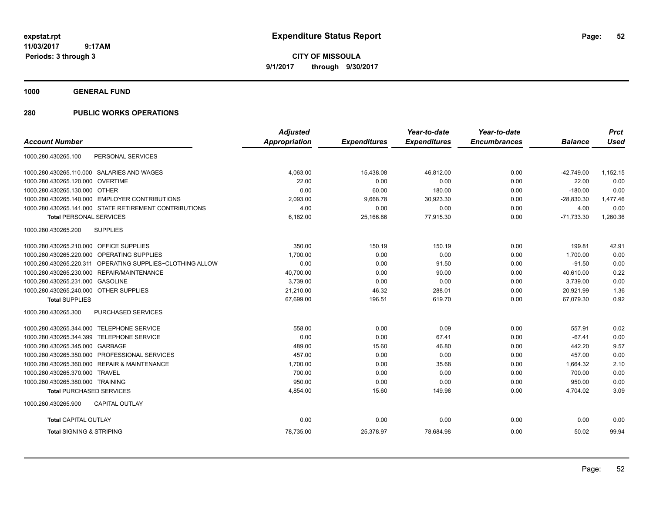**CITY OF MISSOULA 9/1/2017 through 9/30/2017**

**1000 GENERAL FUND**

### **280 PUBLIC WORKS OPERATIONS**

|                                                           | <b>Adjusted</b>      |                     | Year-to-date        | Year-to-date        |                | <b>Prct</b> |
|-----------------------------------------------------------|----------------------|---------------------|---------------------|---------------------|----------------|-------------|
| <b>Account Number</b>                                     | <b>Appropriation</b> | <b>Expenditures</b> | <b>Expenditures</b> | <b>Encumbrances</b> | <b>Balance</b> | <b>Used</b> |
| PERSONAL SERVICES<br>1000.280.430265.100                  |                      |                     |                     |                     |                |             |
| 1000.280.430265.110.000 SALARIES AND WAGES                | 4.063.00             | 15.438.08           | 46,812.00           | 0.00                | $-42.749.00$   | 1,152.15    |
| <b>OVERTIME</b><br>1000.280.430265.120.000                | 22.00                | 0.00                | 0.00                | 0.00                | 22.00          | 0.00        |
| 1000.280.430265.130.000 OTHER                             | 0.00                 | 60.00               | 180.00              | 0.00                | $-180.00$      | 0.00        |
| 1000.280.430265.140.000 EMPLOYER CONTRIBUTIONS            | 2,093.00             | 9,668.78            | 30,923.30           | 0.00                | $-28,830.30$   | 1,477.46    |
| 1000.280.430265.141.000 STATE RETIREMENT CONTRIBUTIONS    | 4.00                 | 0.00                | 0.00                | 0.00                | 4.00           | 0.00        |
| <b>Total PERSONAL SERVICES</b>                            | 6,182.00             | 25,166.86           | 77,915.30           | 0.00                | $-71,733.30$   | 1,260.36    |
| 1000.280.430265.200<br><b>SUPPLIES</b>                    |                      |                     |                     |                     |                |             |
| 1000.280.430265.210.000 OFFICE SUPPLIES                   | 350.00               | 150.19              | 150.19              | 0.00                | 199.81         | 42.91       |
| 1000.280.430265.220.000 OPERATING SUPPLIES                | 1,700.00             | 0.00                | 0.00                | 0.00                | 1,700.00       | 0.00        |
| 1000.280.430265.220.311 OPERATING SUPPLIES~CLOTHING ALLOW | 0.00                 | 0.00                | 91.50               | 0.00                | $-91.50$       | 0.00        |
| 1000.280.430265.230.000<br>REPAIR/MAINTENANCE             | 40,700.00            | 0.00                | 90.00               | 0.00                | 40.610.00      | 0.22        |
| 1000.280.430265.231.000<br><b>GASOLINE</b>                | 3,739.00             | 0.00                | 0.00                | 0.00                | 3,739.00       | 0.00        |
| 1000.280.430265.240.000 OTHER SUPPLIES                    | 21,210.00            | 46.32               | 288.01              | 0.00                | 20,921.99      | 1.36        |
| <b>Total SUPPLIES</b>                                     | 67,699.00            | 196.51              | 619.70              | 0.00                | 67.079.30      | 0.92        |
| 1000.280.430265.300<br><b>PURCHASED SERVICES</b>          |                      |                     |                     |                     |                |             |
| 1000.280.430265.344.000 TELEPHONE SERVICE                 | 558.00               | 0.00                | 0.09                | 0.00                | 557.91         | 0.02        |
| <b>TELEPHONE SERVICE</b><br>1000.280.430265.344.399       | 0.00                 | 0.00                | 67.41               | 0.00                | $-67.41$       | 0.00        |
| 1000.280.430265.345.000 GARBAGE                           | 489.00               | 15.60               | 46.80               | 0.00                | 442.20         | 9.57        |
| 1000.280.430265.350.000 PROFESSIONAL SERVICES             | 457.00               | 0.00                | 0.00                | 0.00                | 457.00         | 0.00        |
| 1000.280.430265.360.000 REPAIR & MAINTENANCE              | 1,700.00             | 0.00                | 35.68               | 0.00                | 1,664.32       | 2.10        |
| 1000.280.430265.370.000<br><b>TRAVEL</b>                  | 700.00               | 0.00                | 0.00                | 0.00                | 700.00         | 0.00        |
| 1000.280.430265.380.000 TRAINING                          | 950.00               | 0.00                | 0.00                | 0.00                | 950.00         | 0.00        |
| <b>Total PURCHASED SERVICES</b>                           | 4,854.00             | 15.60               | 149.98              | 0.00                | 4,704.02       | 3.09        |
| 1000.280.430265.900<br><b>CAPITAL OUTLAY</b>              |                      |                     |                     |                     |                |             |
| <b>Total CAPITAL OUTLAY</b>                               | 0.00                 | 0.00                | 0.00                | 0.00                | 0.00           | 0.00        |
| <b>Total SIGNING &amp; STRIPING</b>                       | 78,735.00            | 25,378.97           | 78,684.98           | 0.00                | 50.02          | 99.94       |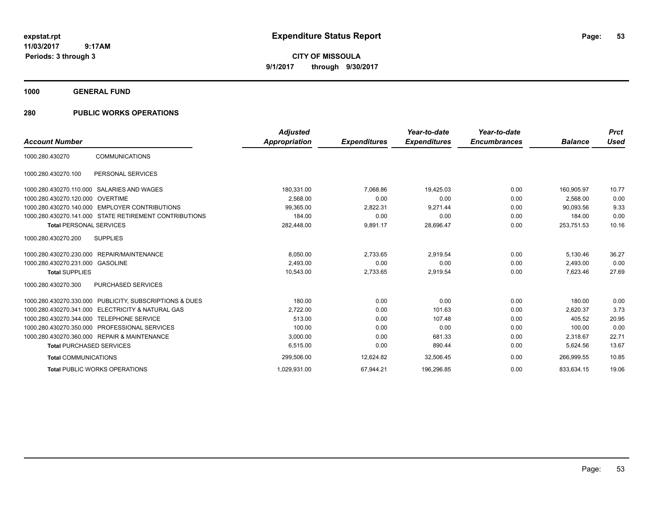**CITY OF MISSOULA 9/1/2017 through 9/30/2017**

**1000 GENERAL FUND**

# **280 PUBLIC WORKS OPERATIONS**

|                                  |                                                         | <b>Adjusted</b>      |                     | Year-to-date        | Year-to-date        |                | <b>Prct</b> |
|----------------------------------|---------------------------------------------------------|----------------------|---------------------|---------------------|---------------------|----------------|-------------|
| <b>Account Number</b>            |                                                         | <b>Appropriation</b> | <b>Expenditures</b> | <b>Expenditures</b> | <b>Encumbrances</b> | <b>Balance</b> | <b>Used</b> |
| 1000.280.430270                  | <b>COMMUNICATIONS</b>                                   |                      |                     |                     |                     |                |             |
| 1000.280.430270.100              | PERSONAL SERVICES                                       |                      |                     |                     |                     |                |             |
| 1000.280.430270.110.000          | <b>SALARIES AND WAGES</b>                               | 180,331.00           | 7.068.86            | 19,425.03           | 0.00                | 160.905.97     | 10.77       |
| 1000.280.430270.120.000 OVERTIME |                                                         | 2,568.00             | 0.00                | 0.00                | 0.00                | 2,568.00       | 0.00        |
|                                  | 1000.280.430270.140.000 EMPLOYER CONTRIBUTIONS          | 99,365.00            | 2,822.31            | 9,271.44            | 0.00                | 90.093.56      | 9.33        |
|                                  | 1000.280.430270.141.000 STATE RETIREMENT CONTRIBUTIONS  | 184.00               | 0.00                | 0.00                | 0.00                | 184.00         | 0.00        |
| <b>Total PERSONAL SERVICES</b>   |                                                         | 282,448.00           | 9,891.17            | 28,696.47           | 0.00                | 253,751.53     | 10.16       |
| 1000.280.430270.200              | <b>SUPPLIES</b>                                         |                      |                     |                     |                     |                |             |
| 1000.280.430270.230.000          | REPAIR/MAINTENANCE                                      | 8,050.00             | 2,733.65            | 2,919.54            | 0.00                | 5,130.46       | 36.27       |
| 1000.280.430270.231.000 GASOLINE |                                                         | 2,493.00             | 0.00                | 0.00                | 0.00                | 2.493.00       | 0.00        |
| <b>Total SUPPLIES</b>            |                                                         | 10,543.00            | 2,733.65            | 2,919.54            | 0.00                | 7,623.46       | 27.69       |
| 1000.280.430270.300              | <b>PURCHASED SERVICES</b>                               |                      |                     |                     |                     |                |             |
|                                  | 1000.280.430270.330.000 PUBLICITY, SUBSCRIPTIONS & DUES | 180.00               | 0.00                | 0.00                | 0.00                | 180.00         | 0.00        |
|                                  | 1000.280.430270.341.000 ELECTRICITY & NATURAL GAS       | 2,722.00             | 0.00                | 101.63              | 0.00                | 2,620.37       | 3.73        |
| 1000.280.430270.344.000          | <b>TELEPHONE SERVICE</b>                                | 513.00               | 0.00                | 107.48              | 0.00                | 405.52         | 20.95       |
|                                  | 1000.280.430270.350.000 PROFESSIONAL SERVICES           | 100.00               | 0.00                | 0.00                | 0.00                | 100.00         | 0.00        |
|                                  | 1000.280.430270.360.000 REPAIR & MAINTENANCE            | 3.000.00             | 0.00                | 681.33              | 0.00                | 2.318.67       | 22.71       |
| <b>Total PURCHASED SERVICES</b>  |                                                         | 6,515.00             | 0.00                | 890.44              | 0.00                | 5,624.56       | 13.67       |
| <b>Total COMMUNICATIONS</b>      |                                                         | 299,506.00           | 12,624.82           | 32,506.45           | 0.00                | 266,999.55     | 10.85       |
|                                  | <b>Total PUBLIC WORKS OPERATIONS</b>                    | 1,029,931.00         | 67,944.21           | 196,296.85          | 0.00                | 833,634.15     | 19.06       |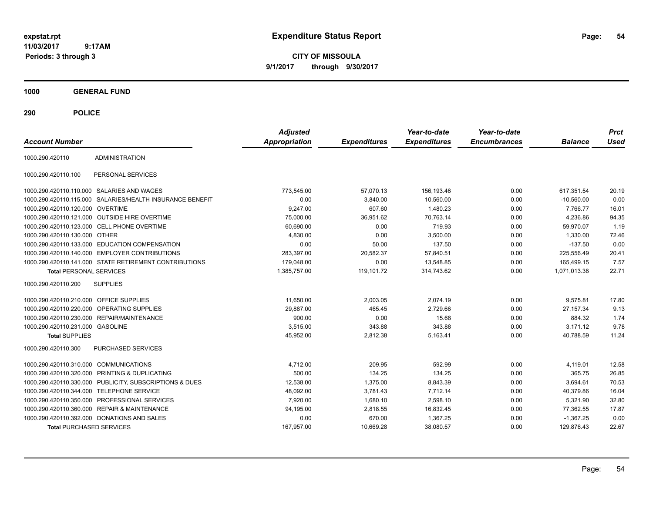**CITY OF MISSOULA 9/1/2017 through 9/30/2017**

**1000 GENERAL FUND**

| <b>Account Number</b>                   |                                                        | <b>Adjusted</b><br><b>Appropriation</b> | <b>Expenditures</b> | Year-to-date<br><b>Expenditures</b> | Year-to-date<br><b>Encumbrances</b> | <b>Balance</b> | <b>Prct</b><br><b>Used</b> |
|-----------------------------------------|--------------------------------------------------------|-----------------------------------------|---------------------|-------------------------------------|-------------------------------------|----------------|----------------------------|
| 1000.290.420110                         | <b>ADMINISTRATION</b>                                  |                                         |                     |                                     |                                     |                |                            |
| 1000.290.420110.100                     | PERSONAL SERVICES                                      |                                         |                     |                                     |                                     |                |                            |
|                                         | 1000.290.420110.110.000 SALARIES AND WAGES             | 773,545.00                              | 57,070.13           | 156,193.46                          | 0.00                                | 617,351.54     | 20.19                      |
| 1000.290.420110.115.000                 | SALARIES/HEALTH INSURANCE BENEFIT                      | 0.00                                    | 3,840.00            | 10,560.00                           | 0.00                                | $-10,560.00$   | 0.00                       |
| 1000.290.420110.120.000 OVERTIME        |                                                        | 9,247.00                                | 607.60              | 1,480.23                            | 0.00                                | 7.766.77       | 16.01                      |
|                                         | 1000.290.420110.121.000 OUTSIDE HIRE OVERTIME          | 75.000.00                               | 36,951.62           | 70.763.14                           | 0.00                                | 4.236.86       | 94.35                      |
|                                         | 1000.290.420110.123.000 CELL PHONE OVERTIME            | 60,690.00                               | 0.00                | 719.93                              | 0.00                                | 59.970.07      | 1.19                       |
| 1000.290.420110.130.000                 | OTHER                                                  | 4,830.00                                | 0.00                | 3,500.00                            | 0.00                                | 1,330.00       | 72.46                      |
| 1000.290.420110.133.000                 | <b>EDUCATION COMPENSATION</b>                          | 0.00                                    | 50.00               | 137.50                              | 0.00                                | $-137.50$      | 0.00                       |
| 1000.290.420110.140.000                 | <b>EMPLOYER CONTRIBUTIONS</b>                          | 283,397.00                              | 20,582.37           | 57,840.51                           | 0.00                                | 225,556.49     | 20.41                      |
|                                         | 1000.290.420110.141.000 STATE RETIREMENT CONTRIBUTIONS | 179.048.00                              | 0.00                | 13.548.85                           | 0.00                                | 165.499.15     | 7.57                       |
| <b>Total PERSONAL SERVICES</b>          |                                                        | 1.385.757.00                            | 119,101.72          | 314,743.62                          | 0.00                                | 1,071,013.38   | 22.71                      |
| 1000.290.420110.200                     | <b>SUPPLIES</b>                                        |                                         |                     |                                     |                                     |                |                            |
| 1000.290.420110.210.000 OFFICE SUPPLIES |                                                        | 11.650.00                               | 2.003.05            | 2.074.19                            | 0.00                                | 9.575.81       | 17.80                      |
| 1000.290.420110.220.000                 | OPERATING SUPPLIES                                     | 29,887.00                               | 465.45              | 2,729.66                            | 0.00                                | 27, 157.34     | 9.13                       |
| 1000.290.420110.230.000                 | <b>REPAIR/MAINTENANCE</b>                              | 900.00                                  | 0.00                | 15.68                               | 0.00                                | 884.32         | 1.74                       |
| 1000.290.420110.231.000 GASOLINE        |                                                        | 3,515.00                                | 343.88              | 343.88                              | 0.00                                | 3,171.12       | 9.78                       |
| <b>Total SUPPLIES</b>                   |                                                        | 45,952.00                               | 2,812.38            | 5,163.41                            | 0.00                                | 40,788.59      | 11.24                      |
| 1000.290.420110.300                     | <b>PURCHASED SERVICES</b>                              |                                         |                     |                                     |                                     |                |                            |
| 1000.290.420110.310.000                 | <b>COMMUNICATIONS</b>                                  | 4,712.00                                | 209.95              | 592.99                              | 0.00                                | 4,119.01       | 12.58                      |
| 1000.290.420110.320.000                 | PRINTING & DUPLICATING                                 | 500.00                                  | 134.25              | 134.25                              | 0.00                                | 365.75         | 26.85                      |
| 1000.290.420110.330.000                 | PUBLICITY, SUBSCRIPTIONS & DUES                        | 12,538.00                               | 1,375.00            | 8,843.39                            | 0.00                                | 3,694.61       | 70.53                      |
| 1000.290.420110.344.000                 | <b>TELEPHONE SERVICE</b>                               | 48,092.00                               | 3,781.43            | 7,712.14                            | 0.00                                | 40,379.86      | 16.04                      |
| 1000.290.420110.350.000                 | PROFESSIONAL SERVICES                                  | 7,920.00                                | 1,680.10            | 2,598.10                            | 0.00                                | 5,321.90       | 32.80                      |
|                                         | 1000.290.420110.360.000 REPAIR & MAINTENANCE           | 94,195.00                               | 2,818.55            | 16,832.45                           | 0.00                                | 77,362.55      | 17.87                      |
|                                         | 1000.290.420110.392.000 DONATIONS AND SALES            | 0.00                                    | 670.00              | 1,367.25                            | 0.00                                | $-1.367.25$    | 0.00                       |
| <b>Total PURCHASED SERVICES</b>         |                                                        | 167,957.00                              | 10,669.28           | 38,080.57                           | 0.00                                | 129,876.43     | 22.67                      |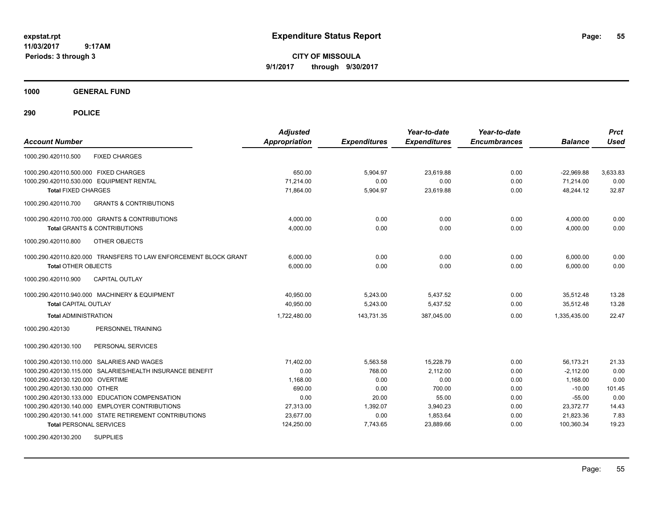**CITY OF MISSOULA 9/1/2017 through 9/30/2017**

**1000 GENERAL FUND**

| <b>Account Number</b>                                            | <b>Adjusted</b><br><b>Appropriation</b> | <b>Expenditures</b> | Year-to-date<br><b>Expenditures</b> | Year-to-date<br><b>Encumbrances</b> | <b>Balance</b> | <b>Prct</b><br><b>Used</b> |
|------------------------------------------------------------------|-----------------------------------------|---------------------|-------------------------------------|-------------------------------------|----------------|----------------------------|
| <b>FIXED CHARGES</b><br>1000.290.420110.500                      |                                         |                     |                                     |                                     |                |                            |
| 1000.290.420110.500.000 FIXED CHARGES                            | 650.00                                  | 5,904.97            | 23.619.88                           | 0.00                                | $-22,969.88$   | 3,633.83                   |
| 1000.290.420110.530.000 EQUIPMENT RENTAL                         | 71,214.00                               | 0.00                | 0.00                                | 0.00                                | 71,214.00      | 0.00                       |
| <b>Total FIXED CHARGES</b>                                       | 71,864.00                               | 5,904.97            | 23,619.88                           | 0.00                                | 48,244.12      | 32.87                      |
| 1000.290.420110.700<br><b>GRANTS &amp; CONTRIBUTIONS</b>         |                                         |                     |                                     |                                     |                |                            |
| 1000.290.420110.700.000 GRANTS & CONTRIBUTIONS                   | 4,000.00                                | 0.00                | 0.00                                | 0.00                                | 4,000.00       | 0.00                       |
| <b>Total GRANTS &amp; CONTRIBUTIONS</b>                          | 4,000.00                                | 0.00                | 0.00                                | 0.00                                | 4,000.00       | 0.00                       |
| 1000.290.420110.800<br><b>OTHER OBJECTS</b>                      |                                         |                     |                                     |                                     |                |                            |
| 1000.290.420110.820.000 TRANSFERS TO LAW ENFORCEMENT BLOCK GRANT | 6,000.00                                | 0.00                | 0.00                                | 0.00                                | 6,000.00       | 0.00                       |
| <b>Total OTHER OBJECTS</b>                                       | 6,000.00                                | 0.00                | 0.00                                | 0.00                                | 6.000.00       | 0.00                       |
| 1000.290.420110.900<br><b>CAPITAL OUTLAY</b>                     |                                         |                     |                                     |                                     |                |                            |
| 1000.290.420110.940.000 MACHINERY & EQUIPMENT                    | 40,950.00                               | 5,243.00            | 5,437.52                            | 0.00                                | 35,512.48      | 13.28                      |
| <b>Total CAPITAL OUTLAY</b>                                      | 40,950.00                               | 5,243.00            | 5,437.52                            | 0.00                                | 35,512.48      | 13.28                      |
| <b>Total ADMINISTRATION</b>                                      | 1,722,480.00                            | 143,731.35          | 387,045.00                          | 0.00                                | 1,335,435.00   | 22.47                      |
| PERSONNEL TRAINING<br>1000.290.420130                            |                                         |                     |                                     |                                     |                |                            |
| PERSONAL SERVICES<br>1000.290.420130.100                         |                                         |                     |                                     |                                     |                |                            |
| 1000.290.420130.110.000 SALARIES AND WAGES                       | 71,402.00                               | 5,563.58            | 15,228.79                           | 0.00                                | 56.173.21      | 21.33                      |
| 1000.290.420130.115.000 SALARIES/HEALTH INSURANCE BENEFIT        | 0.00                                    | 768.00              | 2.112.00                            | 0.00                                | $-2,112.00$    | 0.00                       |
| 1000.290.420130.120.000 OVERTIME                                 | 1,168.00                                | 0.00                | 0.00                                | 0.00                                | 1,168.00       | 0.00                       |
| 1000.290.420130.130.000 OTHER                                    | 690.00                                  | 0.00                | 700.00                              | 0.00                                | $-10.00$       | 101.45                     |
| 1000.290.420130.133.000 EDUCATION COMPENSATION                   | 0.00                                    | 20.00               | 55.00                               | 0.00                                | $-55.00$       | 0.00                       |
| 1000.290.420130.140.000 EMPLOYER CONTRIBUTIONS                   | 27,313.00                               | 1,392.07            | 3,940.23                            | 0.00                                | 23,372.77      | 14.43                      |
| 1000.290.420130.141.000 STATE RETIREMENT CONTRIBUTIONS           | 23,677.00                               | 0.00                | 1,853.64                            | 0.00                                | 21,823.36      | 7.83                       |
| <b>Total PERSONAL SERVICES</b>                                   | 124,250.00                              | 7,743.65            | 23,889.66                           | 0.00                                | 100,360.34     | 19.23                      |
| <b>SUPPLIES</b><br>1000.290.420130.200                           |                                         |                     |                                     |                                     |                |                            |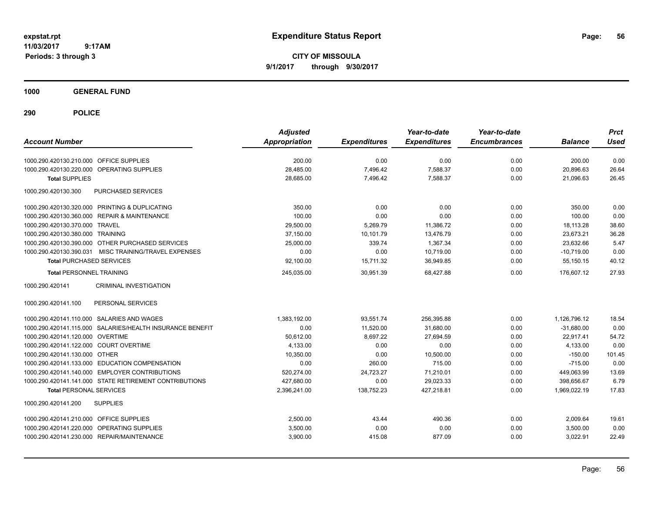**CITY OF MISSOULA 9/1/2017 through 9/30/2017**

**1000 GENERAL FUND**

| <b>Account Number</b>                                     | <b>Adjusted</b><br>Appropriation | <b>Expenditures</b> | Year-to-date<br><b>Expenditures</b> | Year-to-date<br><b>Encumbrances</b> | <b>Balance</b> | <b>Prct</b><br><b>Used</b> |
|-----------------------------------------------------------|----------------------------------|---------------------|-------------------------------------|-------------------------------------|----------------|----------------------------|
| 1000.290.420130.210.000 OFFICE SUPPLIES                   | 200.00                           | 0.00                | 0.00                                | 0.00                                | 200.00         | 0.00                       |
| <b>OPERATING SUPPLIES</b><br>1000.290.420130.220.000      | 28,485.00                        | 7,496.42            | 7,588.37                            | 0.00                                | 20,896.63      | 26.64                      |
| <b>Total SUPPLIES</b>                                     | 28,685.00                        | 7,496.42            | 7,588.37                            | 0.00                                | 21,096.63      | 26.45                      |
| 1000.290.420130.300<br>PURCHASED SERVICES                 |                                  |                     |                                     |                                     |                |                            |
| 1000.290.420130.320.000 PRINTING & DUPLICATING            | 350.00                           | 0.00                | 0.00                                | 0.00                                | 350.00         | 0.00                       |
| 1000.290.420130.360.000 REPAIR & MAINTENANCE              | 100.00                           | 0.00                | 0.00                                | 0.00                                | 100.00         | 0.00                       |
| 1000.290.420130.370.000 TRAVEL                            | 29,500.00                        | 5,269.79            | 11,386.72                           | 0.00                                | 18.113.28      | 38.60                      |
| 1000.290.420130.380.000 TRAINING                          | 37,150.00                        | 10,101.79           | 13,476.79                           | 0.00                                | 23,673.21      | 36.28                      |
| 1000.290.420130.390.000 OTHER PURCHASED SERVICES          | 25,000.00                        | 339.74              | 1.367.34                            | 0.00                                | 23.632.66      | 5.47                       |
| 1000.290.420130.390.031<br>MISC TRAINING/TRAVEL EXPENSES  | 0.00                             | 0.00                | 10,719.00                           | 0.00                                | $-10,719.00$   | 0.00                       |
| <b>Total PURCHASED SERVICES</b>                           | 92,100.00                        | 15,711.32           | 36,949.85                           | 0.00                                | 55.150.15      | 40.12                      |
| <b>Total PERSONNEL TRAINING</b>                           | 245,035.00                       | 30.951.39           | 68.427.88                           | 0.00                                | 176.607.12     | 27.93                      |
| 1000.290.420141<br>CRIMINAL INVESTIGATION                 |                                  |                     |                                     |                                     |                |                            |
| PERSONAL SERVICES<br>1000.290.420141.100                  |                                  |                     |                                     |                                     |                |                            |
| 1000.290.420141.110.000 SALARIES AND WAGES                | 1,383,192.00                     | 93,551.74           | 256,395.88                          | 0.00                                | 1,126,796.12   | 18.54                      |
| 1000.290.420141.115.000 SALARIES/HEALTH INSURANCE BENEFIT | 0.00                             | 11,520.00           | 31,680.00                           | 0.00                                | $-31,680.00$   | 0.00                       |
| 1000.290.420141.120.000 OVERTIME                          | 50,612.00                        | 8.697.22            | 27.694.59                           | 0.00                                | 22.917.41      | 54.72                      |
| 1000.290.420141.122.000 COURT OVERTIME                    | 4.133.00                         | 0.00                | 0.00                                | 0.00                                | 4.133.00       | 0.00                       |
| 1000.290.420141.130.000 OTHER                             | 10,350.00                        | 0.00                | 10,500.00                           | 0.00                                | $-150.00$      | 101.45                     |
| 1000.290.420141.133.000 EDUCATION COMPENSATION            | 0.00                             | 260.00              | 715.00                              | 0.00                                | $-715.00$      | 0.00                       |
| 1000.290.420141.140.000 EMPLOYER CONTRIBUTIONS            | 520,274.00                       | 24,723.27           | 71,210.01                           | 0.00                                | 449,063.99     | 13.69                      |
| 1000.290.420141.141.000 STATE RETIREMENT CONTRIBUTIONS    | 427,680.00                       | 0.00                | 29,023.33                           | 0.00                                | 398,656.67     | 6.79                       |
| <b>Total PERSONAL SERVICES</b>                            | 2,396,241.00                     | 138,752.23          | 427,218.81                          | 0.00                                | 1,969,022.19   | 17.83                      |
| <b>SUPPLIES</b><br>1000.290.420141.200                    |                                  |                     |                                     |                                     |                |                            |
| 1000.290.420141.210.000 OFFICE SUPPLIES                   | 2.500.00                         | 43.44               | 490.36                              | 0.00                                | 2,009.64       | 19.61                      |
| 1000.290.420141.220.000 OPERATING SUPPLIES                | 3,500.00                         | 0.00                | 0.00                                | 0.00                                | 3,500.00       | 0.00                       |
| 1000.290.420141.230.000 REPAIR/MAINTENANCE                | 3,900.00                         | 415.08              | 877.09                              | 0.00                                | 3,022.91       | 22.49                      |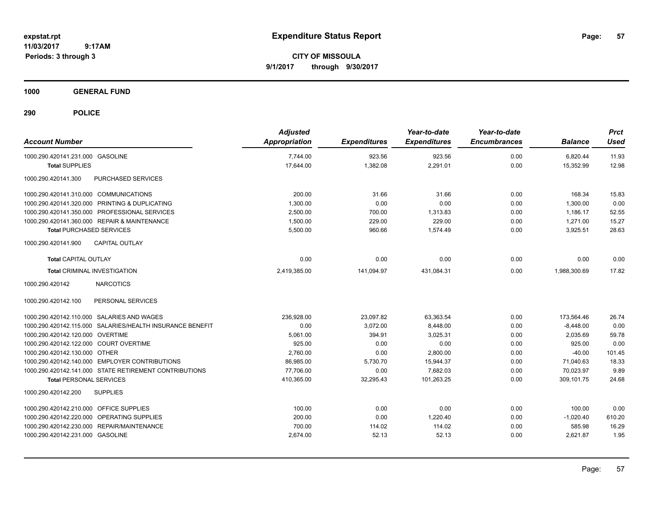**CITY OF MISSOULA 9/1/2017 through 9/30/2017**

**1000 GENERAL FUND**

| <b>Account Number</b>                                     | <b>Adjusted</b><br>Appropriation | <b>Expenditures</b> | Year-to-date<br><b>Expenditures</b> | Year-to-date<br><b>Encumbrances</b> | <b>Balance</b> | <b>Prct</b><br><b>Used</b> |
|-----------------------------------------------------------|----------------------------------|---------------------|-------------------------------------|-------------------------------------|----------------|----------------------------|
| 1000.290.420141.231.000 GASOLINE                          | 7,744.00                         | 923.56              | 923.56                              | 0.00                                | 6,820.44       | 11.93                      |
| <b>Total SUPPLIES</b>                                     | 17,644.00                        | 1,382.08            | 2,291.01                            | 0.00                                | 15,352.99      | 12.98                      |
| PURCHASED SERVICES<br>1000.290.420141.300                 |                                  |                     |                                     |                                     |                |                            |
| 1000.290.420141.310.000 COMMUNICATIONS                    | 200.00                           | 31.66               | 31.66                               | 0.00                                | 168.34         | 15.83                      |
| 1000.290.420141.320.000 PRINTING & DUPLICATING            | 1,300.00                         | 0.00                | 0.00                                | 0.00                                | 1,300.00       | 0.00                       |
| 1000.290.420141.350.000 PROFESSIONAL SERVICES             | 2,500.00                         | 700.00              | 1,313.83                            | 0.00                                | 1,186.17       | 52.55                      |
| 1000.290.420141.360.000 REPAIR & MAINTENANCE              | 1,500.00                         | 229.00              | 229.00                              | 0.00                                | 1,271.00       | 15.27                      |
| <b>Total PURCHASED SERVICES</b>                           | 5,500.00                         | 960.66              | 1.574.49                            | 0.00                                | 3,925.51       | 28.63                      |
| <b>CAPITAL OUTLAY</b><br>1000.290.420141.900              |                                  |                     |                                     |                                     |                |                            |
| <b>Total CAPITAL OUTLAY</b>                               | 0.00                             | 0.00                | 0.00                                | 0.00                                | 0.00           | 0.00                       |
| <b>Total CRIMINAL INVESTIGATION</b>                       | 2,419,385.00                     | 141,094.97          | 431,084.31                          | 0.00                                | 1,988,300.69   | 17.82                      |
| <b>NARCOTICS</b><br>1000.290.420142                       |                                  |                     |                                     |                                     |                |                            |
| PERSONAL SERVICES<br>1000.290.420142.100                  |                                  |                     |                                     |                                     |                |                            |
| 1000.290.420142.110.000 SALARIES AND WAGES                | 236.928.00                       | 23,097.82           | 63,363.54                           | 0.00                                | 173,564.46     | 26.74                      |
| 1000.290.420142.115.000 SALARIES/HEALTH INSURANCE BENEFIT | 0.00                             | 3,072.00            | 8,448.00                            | 0.00                                | $-8,448.00$    | 0.00                       |
| 1000.290.420142.120.000 OVERTIME                          | 5,061.00                         | 394.91              | 3,025.31                            | 0.00                                | 2,035.69       | 59.78                      |
| 1000.290.420142.122.000 COURT OVERTIME                    | 925.00                           | 0.00                | 0.00                                | 0.00                                | 925.00         | 0.00                       |
| 1000.290.420142.130.000 OTHER                             | 2,760.00                         | 0.00                | 2,800.00                            | 0.00                                | $-40.00$       | 101.45                     |
| 1000.290.420142.140.000 EMPLOYER CONTRIBUTIONS            | 86,985.00                        | 5,730.70            | 15,944.37                           | 0.00                                | 71,040.63      | 18.33                      |
| 1000.290.420142.141.000 STATE RETIREMENT CONTRIBUTIONS    | 77,706.00                        | 0.00                | 7,682.03                            | 0.00                                | 70,023.97      | 9.89                       |
| <b>Total PERSONAL SERVICES</b>                            | 410,365.00                       | 32,295.43           | 101,263.25                          | 0.00                                | 309,101.75     | 24.68                      |
| <b>SUPPLIES</b><br>1000.290.420142.200                    |                                  |                     |                                     |                                     |                |                            |
| 1000.290.420142.210.000 OFFICE SUPPLIES                   | 100.00                           | 0.00                | 0.00                                | 0.00                                | 100.00         | 0.00                       |
| 1000.290.420142.220.000 OPERATING SUPPLIES                | 200.00                           | 0.00                | 1,220.40                            | 0.00                                | $-1,020.40$    | 610.20                     |
| 1000.290.420142.230.000 REPAIR/MAINTENANCE                | 700.00                           | 114.02              | 114.02                              | 0.00                                | 585.98         | 16.29                      |
| 1000.290.420142.231.000 GASOLINE                          | 2,674.00                         | 52.13               | 52.13                               | 0.00                                | 2,621.87       | 1.95                       |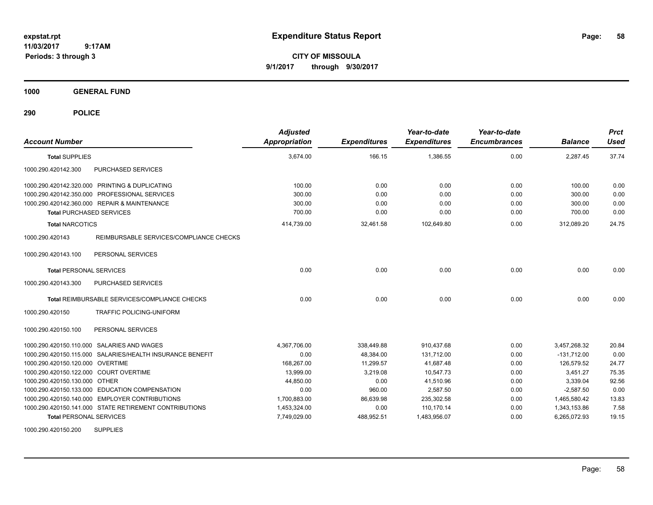**CITY OF MISSOULA 9/1/2017 through 9/30/2017**

**1000 GENERAL FUND**

| <b>Account Number</b>                                      | <b>Adjusted</b><br><b>Appropriation</b> | <b>Expenditures</b> | Year-to-date<br><b>Expenditures</b> | Year-to-date<br><b>Encumbrances</b> | <b>Balance</b> | <b>Prct</b><br><b>Used</b> |
|------------------------------------------------------------|-----------------------------------------|---------------------|-------------------------------------|-------------------------------------|----------------|----------------------------|
| <b>Total SUPPLIES</b>                                      | 3,674.00                                | 166.15              | 1,386.55                            | 0.00                                | 2,287.45       | 37.74                      |
| 1000.290.420142.300<br>PURCHASED SERVICES                  |                                         |                     |                                     |                                     |                |                            |
| 1000.290.420142.320.000 PRINTING & DUPLICATING             | 100.00                                  | 0.00                | 0.00                                | 0.00                                | 100.00         | 0.00                       |
| 1000.290.420142.350.000 PROFESSIONAL SERVICES              | 300.00                                  | 0.00                | 0.00                                | 0.00                                | 300.00         | 0.00                       |
| 1000.290.420142.360.000 REPAIR & MAINTENANCE               | 300.00                                  | 0.00                | 0.00                                | 0.00                                | 300.00         | 0.00                       |
| <b>Total PURCHASED SERVICES</b>                            | 700.00                                  | 0.00                | 0.00                                | 0.00                                | 700.00         | 0.00                       |
| <b>Total NARCOTICS</b>                                     | 414,739.00                              | 32,461.58           | 102,649.80                          | 0.00                                | 312,089.20     | 24.75                      |
| REIMBURSABLE SERVICES/COMPLIANCE CHECKS<br>1000.290.420143 |                                         |                     |                                     |                                     |                |                            |
| PERSONAL SERVICES<br>1000.290.420143.100                   |                                         |                     |                                     |                                     |                |                            |
| <b>Total PERSONAL SERVICES</b>                             | 0.00                                    | 0.00                | 0.00                                | 0.00                                | 0.00           | 0.00                       |
| PURCHASED SERVICES<br>1000.290.420143.300                  |                                         |                     |                                     |                                     |                |                            |
| Total REIMBURSABLE SERVICES/COMPLIANCE CHECKS              | 0.00                                    | 0.00                | 0.00                                | 0.00                                | 0.00           | 0.00                       |
| 1000.290.420150<br>TRAFFIC POLICING-UNIFORM                |                                         |                     |                                     |                                     |                |                            |
| PERSONAL SERVICES<br>1000.290.420150.100                   |                                         |                     |                                     |                                     |                |                            |
| 1000.290.420150.110.000 SALARIES AND WAGES                 | 4,367,706.00                            | 338,449.88          | 910,437.68                          | 0.00                                | 3,457,268.32   | 20.84                      |
| 1000.290.420150.115.000 SALARIES/HEALTH INSURANCE BENEFIT  | 0.00                                    | 48,384.00           | 131,712.00                          | 0.00                                | $-131,712.00$  | 0.00                       |
| 1000.290.420150.120.000 OVERTIME                           | 168,267.00                              | 11,299.57           | 41,687.48                           | 0.00                                | 126,579.52     | 24.77                      |
| 1000.290.420150.122.000 COURT OVERTIME                     | 13,999.00                               | 3,219.08            | 10,547.73                           | 0.00                                | 3,451.27       | 75.35                      |
| 1000.290.420150.130.000 OTHER                              | 44,850.00                               | 0.00                | 41,510.96                           | 0.00                                | 3,339.04       | 92.56                      |
| 1000.290.420150.133.000 EDUCATION COMPENSATION             | 0.00                                    | 960.00              | 2,587.50                            | 0.00                                | $-2,587.50$    | 0.00                       |
| 1000.290.420150.140.000 EMPLOYER CONTRIBUTIONS             | 1,700,883.00                            | 86,639.98           | 235,302.58                          | 0.00                                | 1,465,580.42   | 13.83                      |
| 1000.290.420150.141.000 STATE RETIREMENT CONTRIBUTIONS     | 1,453,324.00                            | 0.00                | 110,170.14                          | 0.00                                | 1,343,153.86   | 7.58                       |
| <b>Total PERSONAL SERVICES</b>                             | 7,749,029.00                            | 488,952.51          | 1,483,956.07                        | 0.00                                | 6,265,072.93   | 19.15                      |
| <b>SUPPLIES</b><br>1000.290.420150.200                     |                                         |                     |                                     |                                     |                |                            |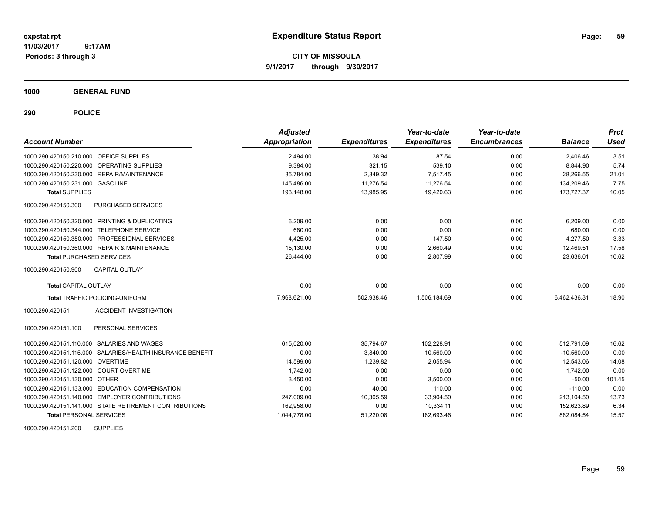**CITY OF MISSOULA 9/1/2017 through 9/30/2017**

**1000 GENERAL FUND**

**290 POLICE**

| <b>Account Number</b>                                     | <b>Adjusted</b><br>Appropriation | <b>Expenditures</b> | Year-to-date<br><b>Expenditures</b> | Year-to-date<br><b>Encumbrances</b> | <b>Balance</b> | <b>Prct</b><br><b>Used</b> |
|-----------------------------------------------------------|----------------------------------|---------------------|-------------------------------------|-------------------------------------|----------------|----------------------------|
| 1000.290.420150.210.000 OFFICE SUPPLIES                   | 2,494.00                         | 38.94               | 87.54                               | 0.00                                | 2,406.46       | 3.51                       |
| 1000.290.420150.220.000 OPERATING SUPPLIES                | 9,384.00                         | 321.15              | 539.10                              | 0.00                                | 8,844.90       | 5.74                       |
| 1000.290.420150.230.000 REPAIR/MAINTENANCE                | 35,784.00                        | 2,349.32            | 7,517.45                            | 0.00                                | 28,266.55      | 21.01                      |
| 1000.290.420150.231.000 GASOLINE                          | 145,486.00                       | 11,276.54           | 11,276.54                           | 0.00                                | 134,209.46     | 7.75                       |
| <b>Total SUPPLIES</b>                                     | 193,148.00                       | 13,985.95           | 19,420.63                           | 0.00                                | 173.727.37     | 10.05                      |
| 1000.290.420150.300<br><b>PURCHASED SERVICES</b>          |                                  |                     |                                     |                                     |                |                            |
| 1000.290.420150.320.000 PRINTING & DUPLICATING            | 6,209.00                         | 0.00                | 0.00                                | 0.00                                | 6,209.00       | 0.00                       |
| 1000.290.420150.344.000 TELEPHONE SERVICE                 | 680.00                           | 0.00                | 0.00                                | 0.00                                | 680.00         | 0.00                       |
| 1000.290.420150.350.000 PROFESSIONAL SERVICES             | 4,425.00                         | 0.00                | 147.50                              | 0.00                                | 4,277.50       | 3.33                       |
| 1000.290.420150.360.000 REPAIR & MAINTENANCE              | 15,130.00                        | 0.00                | 2,660.49                            | 0.00                                | 12,469.51      | 17.58                      |
| <b>Total PURCHASED SERVICES</b>                           | 26.444.00                        | 0.00                | 2,807.99                            | 0.00                                | 23.636.01      | 10.62                      |
| <b>CAPITAL OUTLAY</b><br>1000.290.420150.900              |                                  |                     |                                     |                                     |                |                            |
| <b>Total CAPITAL OUTLAY</b>                               | 0.00                             | 0.00                | 0.00                                | 0.00                                | 0.00           | 0.00                       |
| <b>Total TRAFFIC POLICING-UNIFORM</b>                     | 7,968,621.00                     | 502,938.46          | 1,506,184.69                        | 0.00                                | 6,462,436.31   | 18.90                      |
| 1000.290.420151<br><b>ACCIDENT INVESTIGATION</b>          |                                  |                     |                                     |                                     |                |                            |
| 1000.290.420151.100<br>PERSONAL SERVICES                  |                                  |                     |                                     |                                     |                |                            |
| 1000.290.420151.110.000 SALARIES AND WAGES                | 615,020.00                       | 35,794.67           | 102,228.91                          | 0.00                                | 512.791.09     | 16.62                      |
| 1000.290.420151.115.000 SALARIES/HEALTH INSURANCE BENEFIT | 0.00                             | 3.840.00            | 10.560.00                           | 0.00                                | $-10.560.00$   | 0.00                       |
| 1000.290.420151.120.000 OVERTIME                          | 14,599.00                        | 1.239.82            | 2.055.94                            | 0.00                                | 12.543.06      | 14.08                      |
| 1000.290.420151.122.000 COURT OVERTIME                    | 1,742.00                         | 0.00                | 0.00                                | 0.00                                | 1,742.00       | 0.00                       |
| 1000.290.420151.130.000 OTHER                             | 3,450.00                         | 0.00                | 3,500.00                            | 0.00                                | $-50.00$       | 101.45                     |
| 1000.290.420151.133.000 EDUCATION COMPENSATION            | 0.00                             | 40.00               | 110.00                              | 0.00                                | $-110.00$      | 0.00                       |
| 1000.290.420151.140.000 EMPLOYER CONTRIBUTIONS            | 247,009.00                       | 10,305.59           | 33,904.50                           | 0.00                                | 213,104.50     | 13.73                      |
| 1000.290.420151.141.000 STATE RETIREMENT CONTRIBUTIONS    | 162,958.00                       | 0.00                | 10,334.11                           | 0.00                                | 152,623.89     | 6.34                       |
| <b>Total PERSONAL SERVICES</b>                            | 1,044,778.00                     | 51,220.08           | 162,693.46                          | 0.00                                | 882,084.54     | 15.57                      |
|                                                           |                                  |                     |                                     |                                     |                |                            |

1000.290.420151.200 SUPPLIES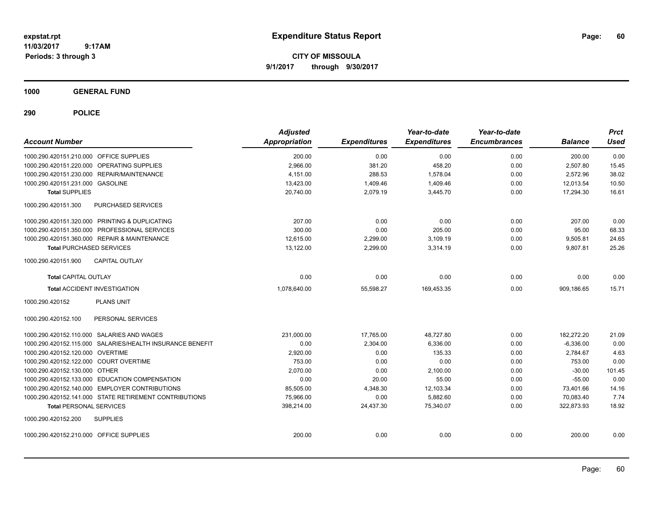**CITY OF MISSOULA 9/1/2017 through 9/30/2017**

**1000 GENERAL FUND**

| <b>Account Number</b>                   |                                                           | <b>Adjusted</b><br><b>Appropriation</b> | <b>Expenditures</b> | Year-to-date<br><b>Expenditures</b> | Year-to-date<br><b>Encumbrances</b> | <b>Balance</b> | <b>Prct</b><br><b>Used</b> |
|-----------------------------------------|-----------------------------------------------------------|-----------------------------------------|---------------------|-------------------------------------|-------------------------------------|----------------|----------------------------|
| 1000.290.420151.210.000 OFFICE SUPPLIES |                                                           | 200.00                                  | 0.00                | 0.00                                | 0.00                                | 200.00         | 0.00                       |
|                                         | 1000.290.420151.220.000 OPERATING SUPPLIES                | 2,966.00                                | 381.20              | 458.20                              | 0.00                                | 2,507.80       | 15.45                      |
|                                         | 1000.290.420151.230.000 REPAIR/MAINTENANCE                | 4,151.00                                | 288.53              | 1,578.04                            | 0.00                                | 2,572.96       | 38.02                      |
| 1000.290.420151.231.000 GASOLINE        |                                                           | 13,423.00                               | 1,409.46            | 1,409.46                            | 0.00                                | 12,013.54      | 10.50                      |
| <b>Total SUPPLIES</b>                   |                                                           | 20,740.00                               | 2,079.19            | 3,445.70                            | 0.00                                | 17,294.30      | 16.61                      |
| 1000.290.420151.300                     | PURCHASED SERVICES                                        |                                         |                     |                                     |                                     |                |                            |
|                                         | 1000.290.420151.320.000 PRINTING & DUPLICATING            | 207.00                                  | 0.00                | 0.00                                | 0.00                                | 207.00         | 0.00                       |
|                                         | 1000.290.420151.350.000 PROFESSIONAL SERVICES             | 300.00                                  | 0.00                | 205.00                              | 0.00                                | 95.00          | 68.33                      |
|                                         | 1000.290.420151.360.000 REPAIR & MAINTENANCE              | 12,615.00                               | 2,299.00            | 3,109.19                            | 0.00                                | 9,505.81       | 24.65                      |
| <b>Total PURCHASED SERVICES</b>         |                                                           | 13,122.00                               | 2,299.00            | 3.314.19                            | 0.00                                | 9,807.81       | 25.26                      |
| 1000.290.420151.900                     | <b>CAPITAL OUTLAY</b>                                     |                                         |                     |                                     |                                     |                |                            |
| <b>Total CAPITAL OUTLAY</b>             |                                                           | 0.00                                    | 0.00                | 0.00                                | 0.00                                | 0.00           | 0.00                       |
|                                         | <b>Total ACCIDENT INVESTIGATION</b>                       | 1,078,640.00                            | 55,598.27           | 169,453.35                          | 0.00                                | 909,186.65     | 15.71                      |
| 1000.290.420152                         | <b>PLANS UNIT</b>                                         |                                         |                     |                                     |                                     |                |                            |
| 1000.290.420152.100                     | PERSONAL SERVICES                                         |                                         |                     |                                     |                                     |                |                            |
|                                         | 1000.290.420152.110.000 SALARIES AND WAGES                | 231,000.00                              | 17,765.00           | 48,727.80                           | 0.00                                | 182,272.20     | 21.09                      |
|                                         | 1000.290.420152.115.000 SALARIES/HEALTH INSURANCE BENEFIT | 0.00                                    | 2,304.00            | 6,336.00                            | 0.00                                | $-6,336.00$    | 0.00                       |
| 1000.290.420152.120.000 OVERTIME        |                                                           | 2,920.00                                | 0.00                | 135.33                              | 0.00                                | 2,784.67       | 4.63                       |
| 1000.290.420152.122.000 COURT OVERTIME  |                                                           | 753.00                                  | 0.00                | 0.00                                | 0.00                                | 753.00         | 0.00                       |
| 1000.290.420152.130.000 OTHER           |                                                           | 2,070.00                                | 0.00                | 2,100.00                            | 0.00                                | $-30.00$       | 101.45                     |
|                                         | 1000.290.420152.133.000 EDUCATION COMPENSATION            | 0.00                                    | 20.00               | 55.00                               | 0.00                                | $-55.00$       | 0.00                       |
|                                         | 1000.290.420152.140.000 EMPLOYER CONTRIBUTIONS            | 85,505.00                               | 4,348.30            | 12,103.34                           | 0.00                                | 73,401.66      | 14.16                      |
|                                         | 1000.290.420152.141.000 STATE RETIREMENT CONTRIBUTIONS    | 75,966.00                               | 0.00                | 5,882.60                            | 0.00                                | 70,083.40      | 7.74                       |
| <b>Total PERSONAL SERVICES</b>          |                                                           | 398,214.00                              | 24,437.30           | 75,340.07                           | 0.00                                | 322,873.93     | 18.92                      |
| 1000.290.420152.200                     | <b>SUPPLIES</b>                                           |                                         |                     |                                     |                                     |                |                            |
| 1000.290.420152.210.000 OFFICE SUPPLIES |                                                           | 200.00                                  | 0.00                | 0.00                                | 0.00                                | 200.00         | 0.00                       |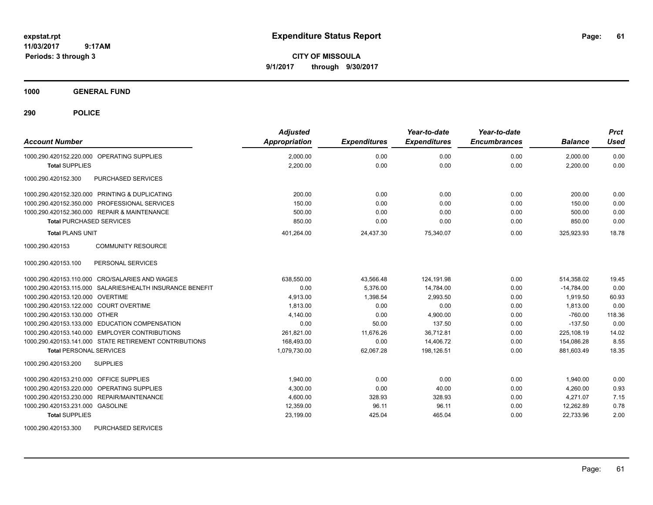**CITY OF MISSOULA 9/1/2017 through 9/30/2017**

**1000 GENERAL FUND**

| <b>Account Number</b>                                     | <b>Adjusted</b><br>Appropriation | <b>Expenditures</b> | Year-to-date<br><b>Expenditures</b> | Year-to-date<br><b>Encumbrances</b> | <b>Balance</b> | <b>Prct</b><br><b>Used</b> |
|-----------------------------------------------------------|----------------------------------|---------------------|-------------------------------------|-------------------------------------|----------------|----------------------------|
| 1000.290.420152.220.000 OPERATING SUPPLIES                | 2,000.00                         | 0.00                | 0.00                                | 0.00                                | 2.000.00       | 0.00                       |
| <b>Total SUPPLIES</b>                                     | 2.200.00                         | 0.00                | 0.00                                | 0.00                                | 2,200.00       | 0.00                       |
| PURCHASED SERVICES<br>1000.290.420152.300                 |                                  |                     |                                     |                                     |                |                            |
| 1000.290.420152.320.000 PRINTING & DUPLICATING            | 200.00                           | 0.00                | 0.00                                | 0.00                                | 200.00         | 0.00                       |
| 1000.290.420152.350.000 PROFESSIONAL SERVICES             | 150.00                           | 0.00                | 0.00                                | 0.00                                | 150.00         | 0.00                       |
| 1000.290.420152.360.000 REPAIR & MAINTENANCE              | 500.00                           | 0.00                | 0.00                                | 0.00                                | 500.00         | 0.00                       |
| <b>Total PURCHASED SERVICES</b>                           | 850.00                           | 0.00                | 0.00                                | 0.00                                | 850.00         | 0.00                       |
| <b>Total PLANS UNIT</b>                                   | 401,264.00                       | 24,437.30           | 75,340.07                           | 0.00                                | 325,923.93     | 18.78                      |
| <b>COMMUNITY RESOURCE</b><br>1000.290.420153              |                                  |                     |                                     |                                     |                |                            |
| 1000.290.420153.100<br>PERSONAL SERVICES                  |                                  |                     |                                     |                                     |                |                            |
| 1000.290.420153.110.000 CRO/SALARIES AND WAGES            | 638.550.00                       | 43,566.48           | 124.191.98                          | 0.00                                | 514,358.02     | 19.45                      |
| 1000.290.420153.115.000 SALARIES/HEALTH INSURANCE BENEFIT | 0.00                             | 5,376.00            | 14,784.00                           | 0.00                                | $-14,784.00$   | 0.00                       |
| 1000.290.420153.120.000 OVERTIME                          | 4,913.00                         | 1,398.54            | 2,993.50                            | 0.00                                | 1,919.50       | 60.93                      |
| 1000.290.420153.122.000 COURT OVERTIME                    | 1,813.00                         | 0.00                | 0.00                                | 0.00                                | 1.813.00       | 0.00                       |
| 1000.290.420153.130.000 OTHER                             | 4,140.00                         | 0.00                | 4,900.00                            | 0.00                                | $-760.00$      | 118.36                     |
| 1000.290.420153.133.000 EDUCATION COMPENSATION            | 0.00                             | 50.00               | 137.50                              | 0.00                                | $-137.50$      | 0.00                       |
| 1000.290.420153.140.000 EMPLOYER CONTRIBUTIONS            | 261,821.00                       | 11,676.26           | 36,712.81                           | 0.00                                | 225,108.19     | 14.02                      |
| 1000.290.420153.141.000 STATE RETIREMENT CONTRIBUTIONS    | 168,493.00                       | 0.00                | 14.406.72                           | 0.00                                | 154,086.28     | 8.55                       |
| <b>Total PERSONAL SERVICES</b>                            | 1,079,730.00                     | 62,067.28           | 198,126.51                          | 0.00                                | 881,603.49     | 18.35                      |
| 1000.290.420153.200<br><b>SUPPLIES</b>                    |                                  |                     |                                     |                                     |                |                            |
| 1000.290.420153.210.000 OFFICE SUPPLIES                   | 1,940.00                         | 0.00                | 0.00                                | 0.00                                | 1,940.00       | 0.00                       |
| 1000.290.420153.220.000 OPERATING SUPPLIES                | 4,300.00                         | 0.00                | 40.00                               | 0.00                                | 4,260.00       | 0.93                       |
| 1000.290.420153.230.000 REPAIR/MAINTENANCE                | 4,600.00                         | 328.93              | 328.93                              | 0.00                                | 4.271.07       | 7.15                       |
| 1000.290.420153.231.000 GASOLINE                          | 12,359.00                        | 96.11               | 96.11                               | 0.00                                | 12,262.89      | 0.78                       |
| <b>Total SUPPLIES</b>                                     | 23,199.00                        | 425.04              | 465.04                              | 0.00                                | 22,733.96      | 2.00                       |
| 1000.290.420153.300<br>PURCHASED SERVICES                 |                                  |                     |                                     |                                     |                |                            |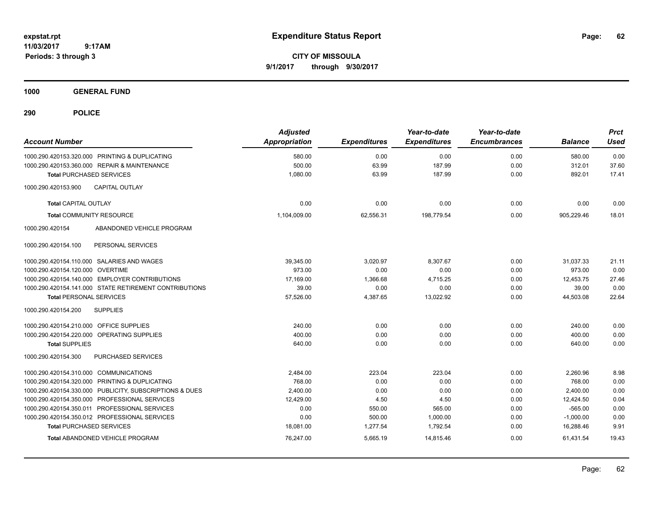**CITY OF MISSOULA 9/1/2017 through 9/30/2017**

**1000 GENERAL FUND**

| <b>Account Number</b>                   |                                                         | <b>Adjusted</b><br><b>Appropriation</b> | <b>Expenditures</b> | Year-to-date<br><b>Expenditures</b> | Year-to-date<br><b>Encumbrances</b> | <b>Balance</b> | <b>Prct</b><br><b>Used</b> |
|-----------------------------------------|---------------------------------------------------------|-----------------------------------------|---------------------|-------------------------------------|-------------------------------------|----------------|----------------------------|
|                                         | 1000.290.420153.320.000 PRINTING & DUPLICATING          | 580.00                                  | 0.00                | 0.00                                | 0.00                                | 580.00         | 0.00                       |
|                                         | 1000.290.420153.360.000 REPAIR & MAINTENANCE            | 500.00                                  | 63.99               | 187.99                              | 0.00                                | 312.01         | 37.60                      |
|                                         | <b>Total PURCHASED SERVICES</b>                         | 1,080.00                                | 63.99               | 187.99                              | 0.00                                | 892.01         | 17.41                      |
| 1000.290.420153.900                     | <b>CAPITAL OUTLAY</b>                                   |                                         |                     |                                     |                                     |                |                            |
| <b>Total CAPITAL OUTLAY</b>             |                                                         | 0.00                                    | 0.00                | 0.00                                | 0.00                                | 0.00           | 0.00                       |
|                                         | <b>Total COMMUNITY RESOURCE</b>                         | 1,104,009.00                            | 62,556.31           | 198,779.54                          | 0.00                                | 905,229.46     | 18.01                      |
| 1000.290.420154                         | ABANDONED VEHICLE PROGRAM                               |                                         |                     |                                     |                                     |                |                            |
| 1000.290.420154.100                     | PERSONAL SERVICES                                       |                                         |                     |                                     |                                     |                |                            |
|                                         | 1000.290.420154.110.000 SALARIES AND WAGES              | 39,345.00                               | 3,020.97            | 8,307.67                            | 0.00                                | 31,037.33      | 21.11                      |
| 1000.290.420154.120.000 OVERTIME        |                                                         | 973.00                                  | 0.00                | 0.00                                | 0.00                                | 973.00         | 0.00                       |
|                                         | 1000.290.420154.140.000 EMPLOYER CONTRIBUTIONS          | 17,169.00                               | 1,366.68            | 4,715.25                            | 0.00                                | 12,453.75      | 27.46                      |
|                                         | 1000.290.420154.141.000 STATE RETIREMENT CONTRIBUTIONS  | 39.00                                   | 0.00                | 0.00                                | 0.00                                | 39.00          | 0.00                       |
| <b>Total PERSONAL SERVICES</b>          |                                                         | 57,526.00                               | 4,387.65            | 13,022.92                           | 0.00                                | 44,503.08      | 22.64                      |
| 1000.290.420154.200                     | <b>SUPPLIES</b>                                         |                                         |                     |                                     |                                     |                |                            |
| 1000.290.420154.210.000 OFFICE SUPPLIES |                                                         | 240.00                                  | 0.00                | 0.00                                | 0.00                                | 240.00         | 0.00                       |
|                                         | 1000.290.420154.220.000 OPERATING SUPPLIES              | 400.00                                  | 0.00                | 0.00                                | 0.00                                | 400.00         | 0.00                       |
| <b>Total SUPPLIES</b>                   |                                                         | 640.00                                  | 0.00                | 0.00                                | 0.00                                | 640.00         | 0.00                       |
| 1000.290.420154.300                     | <b>PURCHASED SERVICES</b>                               |                                         |                     |                                     |                                     |                |                            |
| 1000.290.420154.310.000 COMMUNICATIONS  |                                                         | 2,484.00                                | 223.04              | 223.04                              | 0.00                                | 2,260.96       | 8.98                       |
|                                         | 1000.290.420154.320.000 PRINTING & DUPLICATING          | 768.00                                  | 0.00                | 0.00                                | 0.00                                | 768.00         | 0.00                       |
|                                         | 1000.290.420154.330.000 PUBLICITY, SUBSCRIPTIONS & DUES | 2,400.00                                | 0.00                | 0.00                                | 0.00                                | 2,400.00       | 0.00                       |
|                                         | 1000.290.420154.350.000 PROFESSIONAL SERVICES           | 12,429.00                               | 4.50                | 4.50                                | 0.00                                | 12,424.50      | 0.04                       |
|                                         | 1000.290.420154.350.011 PROFESSIONAL SERVICES           | 0.00                                    | 550.00              | 565.00                              | 0.00                                | $-565.00$      | 0.00                       |
|                                         | 1000.290.420154.350.012 PROFESSIONAL SERVICES           | 0.00                                    | 500.00              | 1,000.00                            | 0.00                                | $-1,000.00$    | 0.00                       |
|                                         | <b>Total PURCHASED SERVICES</b>                         | 18,081.00                               | 1,277.54            | 1,792.54                            | 0.00                                | 16,288.46      | 9.91                       |
|                                         | <b>Total ABANDONED VEHICLE PROGRAM</b>                  | 76,247.00                               | 5,665.19            | 14,815.46                           | 0.00                                | 61,431.54      | 19.43                      |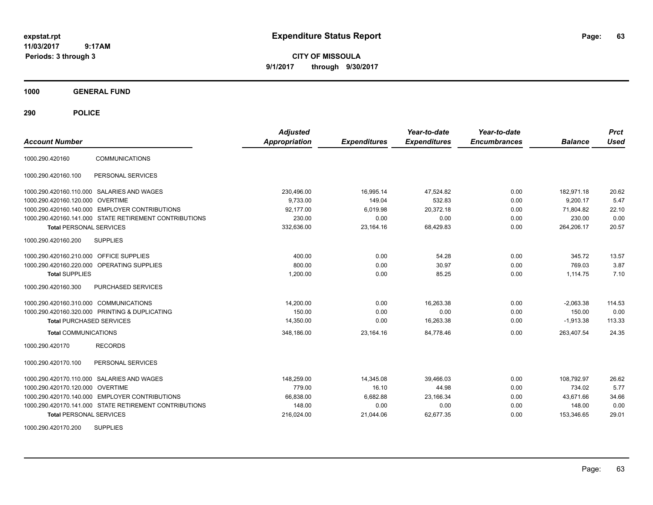**CITY OF MISSOULA 9/1/2017 through 9/30/2017**

**1000 GENERAL FUND**

**290 POLICE**

|                                        |                                                        | <b>Adjusted</b>      |                     | Year-to-date        | Year-to-date        |                | <b>Prct</b> |
|----------------------------------------|--------------------------------------------------------|----------------------|---------------------|---------------------|---------------------|----------------|-------------|
| <b>Account Number</b>                  |                                                        | <b>Appropriation</b> | <b>Expenditures</b> | <b>Expenditures</b> | <b>Encumbrances</b> | <b>Balance</b> | <b>Used</b> |
| 1000.290.420160                        | <b>COMMUNICATIONS</b>                                  |                      |                     |                     |                     |                |             |
| 1000.290.420160.100                    | PERSONAL SERVICES                                      |                      |                     |                     |                     |                |             |
|                                        | 1000.290.420160.110.000 SALARIES AND WAGES             | 230,496.00           | 16,995.14           | 47,524.82           | 0.00                | 182.971.18     | 20.62       |
| 1000.290.420160.120.000 OVERTIME       |                                                        | 9.733.00             | 149.04              | 532.83              | 0.00                | 9.200.17       | 5.47        |
|                                        | 1000.290.420160.140.000 EMPLOYER CONTRIBUTIONS         | 92.177.00            | 6.019.98            | 20,372.18           | 0.00                | 71.804.82      | 22.10       |
|                                        | 1000.290.420160.141.000 STATE RETIREMENT CONTRIBUTIONS | 230.00               | 0.00                | 0.00                | 0.00                | 230.00         | 0.00        |
| <b>Total PERSONAL SERVICES</b>         |                                                        | 332.636.00           | 23.164.16           | 68.429.83           | 0.00                | 264,206.17     | 20.57       |
| 1000.290.420160.200                    | <b>SUPPLIES</b>                                        |                      |                     |                     |                     |                |             |
| 1000.290.420160.210.000                | <b>OFFICE SUPPLIES</b>                                 | 400.00               | 0.00                | 54.28               | 0.00                | 345.72         | 13.57       |
|                                        | 1000.290.420160.220.000 OPERATING SUPPLIES             | 800.00               | 0.00                | 30.97               | 0.00                | 769.03         | 3.87        |
| <b>Total SUPPLIES</b>                  |                                                        | 1,200.00             | 0.00                | 85.25               | 0.00                | 1.114.75       | 7.10        |
| 1000.290.420160.300                    | PURCHASED SERVICES                                     |                      |                     |                     |                     |                |             |
| 1000.290.420160.310.000 COMMUNICATIONS |                                                        | 14,200.00            | 0.00                | 16,263.38           | 0.00                | $-2,063.38$    | 114.53      |
|                                        | 1000.290.420160.320.000 PRINTING & DUPLICATING         | 150.00               | 0.00                | 0.00                | 0.00                | 150.00         | 0.00        |
| <b>Total PURCHASED SERVICES</b>        |                                                        | 14,350.00            | 0.00                | 16,263.38           | 0.00                | $-1,913.38$    | 113.33      |
| <b>Total COMMUNICATIONS</b>            |                                                        | 348.186.00           | 23,164.16           | 84.778.46           | 0.00                | 263,407.54     | 24.35       |
| 1000.290.420170                        | <b>RECORDS</b>                                         |                      |                     |                     |                     |                |             |
| 1000.290.420170.100                    | PERSONAL SERVICES                                      |                      |                     |                     |                     |                |             |
|                                        | 1000.290.420170.110.000 SALARIES AND WAGES             | 148,259.00           | 14,345.08           | 39.466.03           | 0.00                | 108.792.97     | 26.62       |
| 1000.290.420170.120.000 OVERTIME       |                                                        | 779.00               | 16.10               | 44.98               | 0.00                | 734.02         | 5.77        |
|                                        | 1000.290.420170.140.000 EMPLOYER CONTRIBUTIONS         | 66,838.00            | 6,682.88            | 23,166.34           | 0.00                | 43,671.66      | 34.66       |
|                                        | 1000.290.420170.141.000 STATE RETIREMENT CONTRIBUTIONS | 148.00               | 0.00                | 0.00                | 0.00                | 148.00         | 0.00        |
| <b>Total PERSONAL SERVICES</b>         |                                                        | 216,024.00           | 21,044.06           | 62,677.35           | 0.00                | 153,346.65     | 29.01       |

1000.290.420170.200 SUPPLIES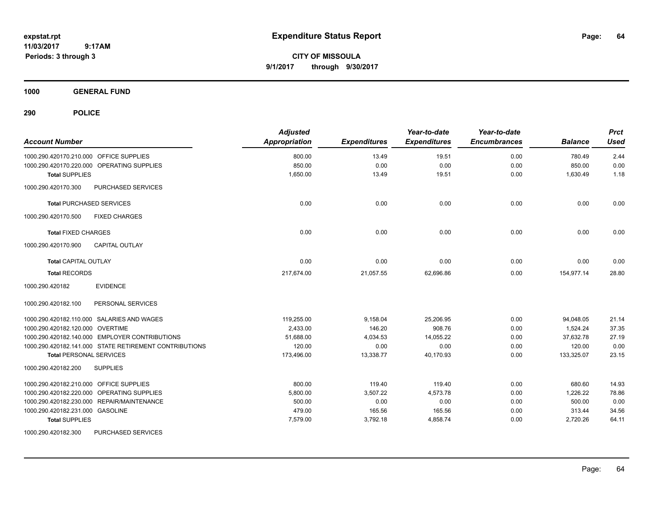**CITY OF MISSOULA 9/1/2017 through 9/30/2017**

**1000 GENERAL FUND**

**290 POLICE**

| <b>Account Number</b>                                  | <b>Adjusted</b><br><b>Appropriation</b> | <b>Expenditures</b> | Year-to-date<br><b>Expenditures</b> | Year-to-date<br><b>Encumbrances</b> | <b>Balance</b> | <b>Prct</b><br><b>Used</b> |
|--------------------------------------------------------|-----------------------------------------|---------------------|-------------------------------------|-------------------------------------|----------------|----------------------------|
| 1000.290.420170.210.000 OFFICE SUPPLIES                | 800.00                                  | 13.49               | 19.51                               | 0.00                                | 780.49         | 2.44                       |
| 1000.290.420170.220.000 OPERATING SUPPLIES             | 850.00                                  | 0.00                | 0.00                                | 0.00                                | 850.00         | 0.00                       |
| <b>Total SUPPLIES</b>                                  | 1,650.00                                | 13.49               | 19.51                               | 0.00                                | 1,630.49       | 1.18                       |
| PURCHASED SERVICES<br>1000.290.420170.300              |                                         |                     |                                     |                                     |                |                            |
| <b>Total PURCHASED SERVICES</b>                        | 0.00                                    | 0.00                | 0.00                                | 0.00                                | 0.00           | 0.00                       |
| 1000.290.420170.500<br><b>FIXED CHARGES</b>            |                                         |                     |                                     |                                     |                |                            |
| <b>Total FIXED CHARGES</b>                             | 0.00                                    | 0.00                | 0.00                                | 0.00                                | 0.00           | 0.00                       |
| <b>CAPITAL OUTLAY</b><br>1000.290.420170.900           |                                         |                     |                                     |                                     |                |                            |
| <b>Total CAPITAL OUTLAY</b>                            | 0.00                                    | 0.00                | 0.00                                | 0.00                                | 0.00           | 0.00                       |
| <b>Total RECORDS</b>                                   | 217,674.00                              | 21,057.55           | 62,696.86                           | 0.00                                | 154,977.14     | 28.80                      |
| <b>EVIDENCE</b><br>1000.290.420182                     |                                         |                     |                                     |                                     |                |                            |
| PERSONAL SERVICES<br>1000.290.420182.100               |                                         |                     |                                     |                                     |                |                            |
| 1000.290.420182.110.000 SALARIES AND WAGES             | 119,255.00                              | 9,158.04            | 25,206.95                           | 0.00                                | 94,048.05      | 21.14                      |
| 1000.290.420182.120.000 OVERTIME                       | 2,433.00                                | 146.20              | 908.76                              | 0.00                                | 1,524.24       | 37.35                      |
| 1000.290.420182.140.000 EMPLOYER CONTRIBUTIONS         | 51,688.00                               | 4,034.53            | 14,055.22                           | 0.00                                | 37,632.78      | 27.19                      |
| 1000.290.420182.141.000 STATE RETIREMENT CONTRIBUTIONS | 120.00                                  | 0.00                | 0.00                                | 0.00                                | 120.00         | 0.00                       |
| <b>Total PERSONAL SERVICES</b>                         | 173,496.00                              | 13,338.77           | 40,170.93                           | 0.00                                | 133,325.07     | 23.15                      |
| <b>SUPPLIES</b><br>1000.290.420182.200                 |                                         |                     |                                     |                                     |                |                            |
| 1000.290.420182.210.000 OFFICE SUPPLIES                | 800.00                                  | 119.40              | 119.40                              | 0.00                                | 680.60         | 14.93                      |
| 1000.290.420182.220.000 OPERATING SUPPLIES             | 5,800.00                                | 3,507.22            | 4,573.78                            | 0.00                                | 1,226.22       | 78.86                      |
| 1000.290.420182.230.000 REPAIR/MAINTENANCE             | 500.00                                  | 0.00                | 0.00                                | 0.00                                | 500.00         | 0.00                       |
| 1000.290.420182.231.000 GASOLINE                       | 479.00                                  | 165.56              | 165.56                              | 0.00                                | 313.44         | 34.56                      |
| <b>Total SUPPLIES</b>                                  | 7,579.00                                | 3,792.18            | 4,858.74                            | 0.00                                | 2,720.26       | 64.11                      |
| 4000.000.490409.200 DUDCUARED CEDUCER                  |                                         |                     |                                     |                                     |                |                            |

1000.290.420182.300 PURCHASED SERVICES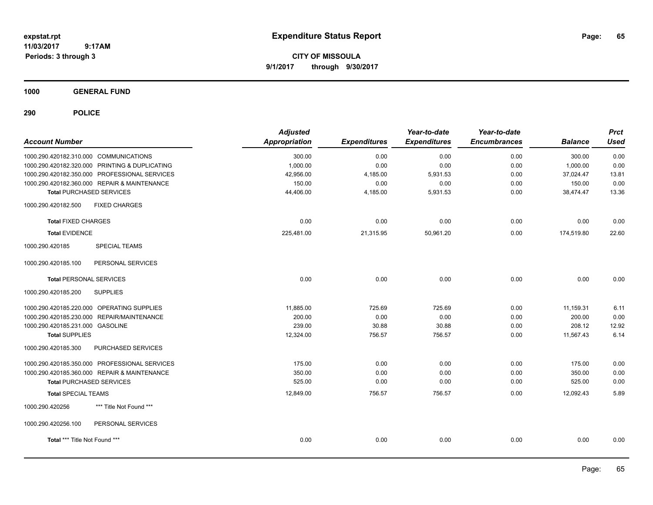**CITY OF MISSOULA 9/1/2017 through 9/30/2017**

**1000 GENERAL FUND**

| <b>Account Number</b>                          | <b>Adjusted</b><br><b>Appropriation</b> | <b>Expenditures</b> | Year-to-date<br><b>Expenditures</b> | Year-to-date<br><b>Encumbrances</b> | <b>Balance</b> | <b>Prct</b><br><b>Used</b> |
|------------------------------------------------|-----------------------------------------|---------------------|-------------------------------------|-------------------------------------|----------------|----------------------------|
| 1000.290.420182.310.000 COMMUNICATIONS         | 300.00                                  | 0.00                | 0.00                                | 0.00                                | 300.00         | 0.00                       |
| 1000.290.420182.320.000 PRINTING & DUPLICATING | 1,000.00                                | 0.00                | 0.00                                | 0.00                                | 1,000.00       | 0.00                       |
| 1000.290.420182.350.000 PROFESSIONAL SERVICES  | 42,956.00                               | 4,185.00            | 5,931.53                            | 0.00                                | 37,024.47      | 13.81                      |
| 1000.290.420182.360.000 REPAIR & MAINTENANCE   | 150.00                                  | 0.00                | 0.00                                | 0.00                                | 150.00         | 0.00                       |
| <b>Total PURCHASED SERVICES</b>                | 44,406.00                               | 4,185.00            | 5,931.53                            | 0.00                                | 38,474.47      | 13.36                      |
| <b>FIXED CHARGES</b><br>1000.290.420182.500    |                                         |                     |                                     |                                     |                |                            |
| <b>Total FIXED CHARGES</b>                     | 0.00                                    | 0.00                | 0.00                                | 0.00                                | 0.00           | 0.00                       |
| <b>Total EVIDENCE</b>                          | 225,481.00                              | 21,315.95           | 50,961.20                           | 0.00                                | 174,519.80     | 22.60                      |
| 1000.290.420185<br><b>SPECIAL TEAMS</b>        |                                         |                     |                                     |                                     |                |                            |
| PERSONAL SERVICES<br>1000.290.420185.100       |                                         |                     |                                     |                                     |                |                            |
| <b>Total PERSONAL SERVICES</b>                 | 0.00                                    | 0.00                | 0.00                                | 0.00                                | 0.00           | 0.00                       |
| 1000.290.420185.200<br><b>SUPPLIES</b>         |                                         |                     |                                     |                                     |                |                            |
| 1000.290.420185.220.000 OPERATING SUPPLIES     | 11,885.00                               | 725.69              | 725.69                              | 0.00                                | 11,159.31      | 6.11                       |
| 1000.290.420185.230.000 REPAIR/MAINTENANCE     | 200.00                                  | 0.00                | 0.00                                | 0.00                                | 200.00         | 0.00                       |
| 1000.290.420185.231.000 GASOLINE               | 239.00                                  | 30.88               | 30.88                               | 0.00                                | 208.12         | 12.92                      |
| <b>Total SUPPLIES</b>                          | 12,324.00                               | 756.57              | 756.57                              | 0.00                                | 11,567.43      | 6.14                       |
| 1000.290.420185.300<br>PURCHASED SERVICES      |                                         |                     |                                     |                                     |                |                            |
| 1000.290.420185.350.000 PROFESSIONAL SERVICES  | 175.00                                  | 0.00                | 0.00                                | 0.00                                | 175.00         | 0.00                       |
| 1000.290.420185.360.000 REPAIR & MAINTENANCE   | 350.00                                  | 0.00                | 0.00                                | 0.00                                | 350.00         | 0.00                       |
| <b>Total PURCHASED SERVICES</b>                | 525.00                                  | 0.00                | 0.00                                | 0.00                                | 525.00         | 0.00                       |
| <b>Total SPECIAL TEAMS</b>                     | 12,849.00                               | 756.57              | 756.57                              | 0.00                                | 12.092.43      | 5.89                       |
| 1000.290.420256<br>*** Title Not Found ***     |                                         |                     |                                     |                                     |                |                            |
| 1000.290.420256.100<br>PERSONAL SERVICES       |                                         |                     |                                     |                                     |                |                            |
| Total *** Title Not Found ***                  | 0.00                                    | 0.00                | 0.00                                | 0.00                                | 0.00           | 0.00                       |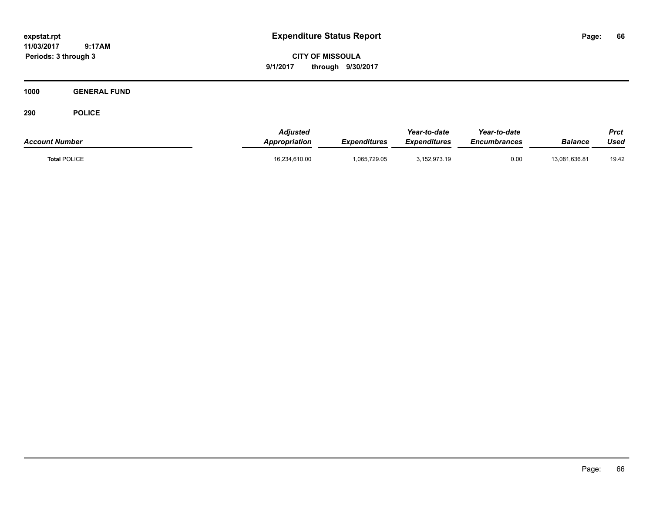**11/03/2017 9:17AM**

**Periods: 3 through 3**

**66**

**CITY OF MISSOULA 9/1/2017 through 9/30/2017**

**1000 GENERAL FUND**

| <b>Account Number</b> | <b>Adiusted</b><br><b>Appropriation</b> | <b>Expenditures</b> | Year-to-date<br><b>Expenditures</b> | Year-to-date<br><i><b>Encumbrances</b></i> | <b>Balance</b> | Prct<br>Used |
|-----------------------|-----------------------------------------|---------------------|-------------------------------------|--------------------------------------------|----------------|--------------|
| <b>Total POLICE</b>   | 16,234,610.00                           | 1,065,729.05        | 3,152,973.19                        | 0.00                                       | 13,081,636.81  | 19.42        |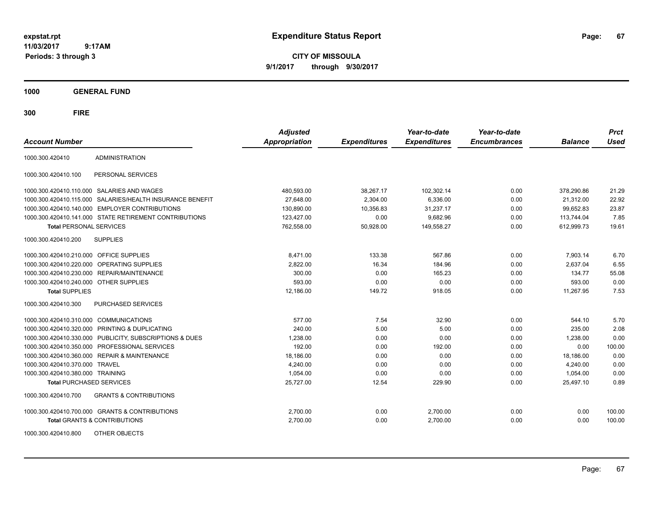**CITY OF MISSOULA 9/1/2017 through 9/30/2017**

**1000 GENERAL FUND**

| <b>Account Number</b>                   |                                                        | <b>Adjusted</b><br><b>Appropriation</b> | <b>Expenditures</b> | Year-to-date<br><b>Expenditures</b> | Year-to-date<br><b>Encumbrances</b> | <b>Balance</b> | <b>Prct</b><br><b>Used</b> |
|-----------------------------------------|--------------------------------------------------------|-----------------------------------------|---------------------|-------------------------------------|-------------------------------------|----------------|----------------------------|
| 1000.300.420410                         | <b>ADMINISTRATION</b>                                  |                                         |                     |                                     |                                     |                |                            |
| 1000.300.420410.100                     | PERSONAL SERVICES                                      |                                         |                     |                                     |                                     |                |                            |
|                                         | 1000.300.420410.110.000 SALARIES AND WAGES             | 480,593.00                              | 38.267.17           | 102.302.14                          | 0.00                                | 378.290.86     | 21.29                      |
| 1000.300.420410.115.000                 | SALARIES/HEALTH INSURANCE BENEFIT                      | 27,648.00                               | 2,304.00            | 6,336.00                            | 0.00                                | 21,312.00      | 22.92                      |
| 1000.300.420410.140.000                 | <b>EMPLOYER CONTRIBUTIONS</b>                          | 130,890.00                              | 10,356.83           | 31,237.17                           | 0.00                                | 99,652.83      | 23.87                      |
|                                         | 1000.300.420410.141.000 STATE RETIREMENT CONTRIBUTIONS | 123,427.00                              | 0.00                | 9,682.96                            | 0.00                                | 113,744.04     | 7.85                       |
| <b>Total PERSONAL SERVICES</b>          |                                                        | 762,558.00                              | 50,928.00           | 149,558.27                          | 0.00                                | 612,999.73     | 19.61                      |
| 1000.300.420410.200                     | <b>SUPPLIES</b>                                        |                                         |                     |                                     |                                     |                |                            |
| 1000.300.420410.210.000 OFFICE SUPPLIES |                                                        | 8,471.00                                | 133.38              | 567.86                              | 0.00                                | 7,903.14       | 6.70                       |
| 1000.300.420410.220.000                 | OPERATING SUPPLIES                                     | 2,822.00                                | 16.34               | 184.96                              | 0.00                                | 2.637.04       | 6.55                       |
| 1000.300.420410.230.000                 | <b>REPAIR/MAINTENANCE</b>                              | 300.00                                  | 0.00                | 165.23                              | 0.00                                | 134.77         | 55.08                      |
| 1000.300.420410.240.000                 | <b>OTHER SUPPLIES</b>                                  | 593.00                                  | 0.00                | 0.00                                | 0.00                                | 593.00         | 0.00                       |
| <b>Total SUPPLIES</b>                   |                                                        | 12,186.00                               | 149.72              | 918.05                              | 0.00                                | 11,267.95      | 7.53                       |
| 1000.300.420410.300                     | PURCHASED SERVICES                                     |                                         |                     |                                     |                                     |                |                            |
| 1000.300.420410.310.000                 | <b>COMMUNICATIONS</b>                                  | 577.00                                  | 7.54                | 32.90                               | 0.00                                | 544.10         | 5.70                       |
| 1000.300.420410.320.000                 | PRINTING & DUPLICATING                                 | 240.00                                  | 5.00                | 5.00                                | 0.00                                | 235.00         | 2.08                       |
| 1000.300.420410.330.000                 | PUBLICITY, SUBSCRIPTIONS & DUES                        | 1,238.00                                | 0.00                | 0.00                                | 0.00                                | 1,238.00       | 0.00                       |
| 1000.300.420410.350.000                 | PROFESSIONAL SERVICES                                  | 192.00                                  | 0.00                | 192.00                              | 0.00                                | 0.00           | 100.00                     |
| 1000.300.420410.360.000                 | <b>REPAIR &amp; MAINTENANCE</b>                        | 18,186.00                               | 0.00                | 0.00                                | 0.00                                | 18,186.00      | 0.00                       |
| 1000.300.420410.370.000                 | <b>TRAVEL</b>                                          | 4.240.00                                | 0.00                | 0.00                                | 0.00                                | 4,240.00       | 0.00                       |
| 1000.300.420410.380.000 TRAINING        |                                                        | 1,054.00                                | 0.00                | 0.00                                | 0.00                                | 1,054.00       | 0.00                       |
| <b>Total PURCHASED SERVICES</b>         |                                                        | 25,727.00                               | 12.54               | 229.90                              | 0.00                                | 25,497.10      | 0.89                       |
| 1000.300.420410.700                     | <b>GRANTS &amp; CONTRIBUTIONS</b>                      |                                         |                     |                                     |                                     |                |                            |
|                                         | 1000.300.420410.700.000 GRANTS & CONTRIBUTIONS         | 2,700.00                                | 0.00                | 2,700.00                            | 0.00                                | 0.00           | 100.00                     |
|                                         | <b>Total GRANTS &amp; CONTRIBUTIONS</b>                | 2,700.00                                | 0.00                | 2,700.00                            | 0.00                                | 0.00           | 100.00                     |
| 1000.300.420410.800                     | OTHER OBJECTS                                          |                                         |                     |                                     |                                     |                |                            |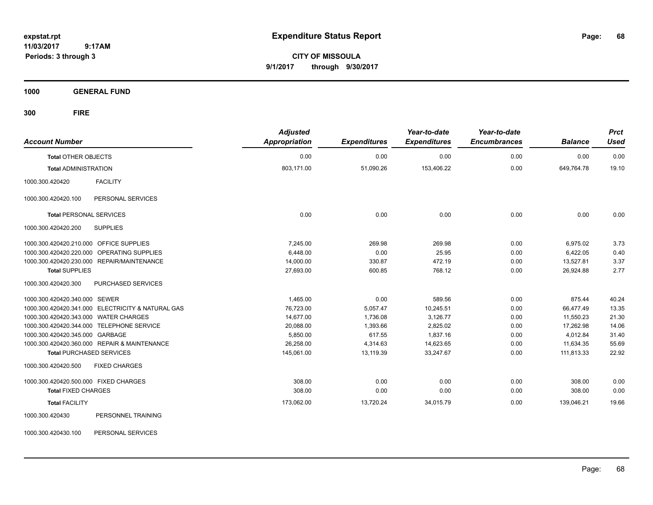**CITY OF MISSOULA 9/1/2017 through 9/30/2017**

**1000 GENERAL FUND**

| <b>Account Number</b>                             | <b>Adjusted</b><br><b>Appropriation</b> | <b>Expenditures</b> | Year-to-date<br><b>Expenditures</b> | Year-to-date<br><b>Encumbrances</b> | <b>Balance</b> | <b>Prct</b><br><b>Used</b> |
|---------------------------------------------------|-----------------------------------------|---------------------|-------------------------------------|-------------------------------------|----------------|----------------------------|
| <b>Total OTHER OBJECTS</b>                        | 0.00                                    | 0.00                | 0.00                                | 0.00                                | 0.00           | 0.00                       |
| <b>Total ADMINISTRATION</b>                       | 803,171.00                              | 51,090.26           | 153,406.22                          | 0.00                                | 649,764.78     | 19.10                      |
| <b>FACILITY</b><br>1000.300.420420                |                                         |                     |                                     |                                     |                |                            |
| PERSONAL SERVICES<br>1000.300.420420.100          |                                         |                     |                                     |                                     |                |                            |
| <b>Total PERSONAL SERVICES</b>                    | 0.00                                    | 0.00                | 0.00                                | 0.00                                | 0.00           | 0.00                       |
| 1000.300.420420.200<br><b>SUPPLIES</b>            |                                         |                     |                                     |                                     |                |                            |
| 1000.300.420420.210.000 OFFICE SUPPLIES           | 7.245.00                                | 269.98              | 269.98                              | 0.00                                | 6,975.02       | 3.73                       |
| 1000.300.420420.220.000 OPERATING SUPPLIES        | 6,448.00                                | 0.00                | 25.95                               | 0.00                                | 6,422.05       | 0.40                       |
| 1000.300.420420.230.000 REPAIR/MAINTENANCE        | 14,000.00                               | 330.87              | 472.19                              | 0.00                                | 13,527.81      | 3.37                       |
| <b>Total SUPPLIES</b>                             | 27,693.00                               | 600.85              | 768.12                              | 0.00                                | 26,924.88      | 2.77                       |
| 1000.300.420420.300<br>PURCHASED SERVICES         |                                         |                     |                                     |                                     |                |                            |
| 1000.300.420420.340.000 SEWER                     | 1,465.00                                | 0.00                | 589.56                              | 0.00                                | 875.44         | 40.24                      |
| 1000.300.420420.341.000 ELECTRICITY & NATURAL GAS | 76,723.00                               | 5,057.47            | 10,245.51                           | 0.00                                | 66,477.49      | 13.35                      |
| 1000.300.420420.343.000 WATER CHARGES             | 14,677.00                               | 1,736.08            | 3,126.77                            | 0.00                                | 11,550.23      | 21.30                      |
| 1000.300.420420.344.000 TELEPHONE SERVICE         | 20,088.00                               | 1,393.66            | 2,825.02                            | 0.00                                | 17,262.98      | 14.06                      |
| 1000.300.420420.345.000 GARBAGE                   | 5,850.00                                | 617.55              | 1,837.16                            | 0.00                                | 4,012.84       | 31.40                      |
| 1000.300.420420.360.000 REPAIR & MAINTENANCE      | 26,258.00                               | 4,314.63            | 14,623.65                           | 0.00                                | 11,634.35      | 55.69                      |
| <b>Total PURCHASED SERVICES</b>                   | 145,061.00                              | 13,119.39           | 33,247.67                           | 0.00                                | 111,813.33     | 22.92                      |
| 1000.300.420420.500<br><b>FIXED CHARGES</b>       |                                         |                     |                                     |                                     |                |                            |
| 1000.300.420420.500.000 FIXED CHARGES             | 308.00                                  | 0.00                | 0.00                                | 0.00                                | 308.00         | 0.00                       |
| <b>Total FIXED CHARGES</b>                        | 308.00                                  | 0.00                | 0.00                                | 0.00                                | 308.00         | 0.00                       |
| <b>Total FACILITY</b>                             | 173,062.00                              | 13,720.24           | 34,015.79                           | 0.00                                | 139,046.21     | 19.66                      |
| PERSONNEL TRAINING<br>1000.300.420430             |                                         |                     |                                     |                                     |                |                            |
| 1000.300.420430.100<br>PERSONAL SERVICES          |                                         |                     |                                     |                                     |                |                            |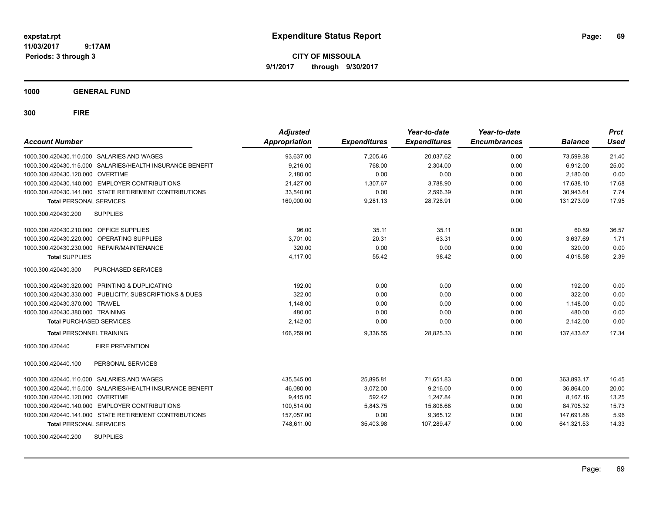**CITY OF MISSOULA 9/1/2017 through 9/30/2017**

**1000 GENERAL FUND**

| <b>Account Number</b>                                     | <b>Adjusted</b><br><b>Appropriation</b> | <b>Expenditures</b> | Year-to-date<br><b>Expenditures</b> | Year-to-date<br><b>Encumbrances</b> | <b>Balance</b> | <b>Prct</b><br><b>Used</b> |
|-----------------------------------------------------------|-----------------------------------------|---------------------|-------------------------------------|-------------------------------------|----------------|----------------------------|
| 1000.300.420430.110.000 SALARIES AND WAGES                | 93,637.00                               | 7,205.46            | 20,037.62                           | 0.00                                | 73,599.38      | 21.40                      |
| 1000.300.420430.115.000 SALARIES/HEALTH INSURANCE BENEFIT | 9.216.00                                | 768.00              | 2.304.00                            | 0.00                                | 6.912.00       | 25.00                      |
| 1000.300.420430.120.000 OVERTIME                          | 2,180.00                                | 0.00                | 0.00                                | 0.00                                | 2.180.00       | 0.00                       |
| 1000.300.420430.140.000 EMPLOYER CONTRIBUTIONS            | 21,427.00                               | 1,307.67            | 3,788.90                            | 0.00                                | 17,638.10      | 17.68                      |
| 1000.300.420430.141.000 STATE RETIREMENT CONTRIBUTIONS    | 33,540.00                               | 0.00                | 2,596.39                            | 0.00                                | 30,943.61      | 7.74                       |
| <b>Total PERSONAL SERVICES</b>                            | 160,000.00                              | 9,281.13            | 28,726.91                           | 0.00                                | 131,273.09     | 17.95                      |
| <b>SUPPLIES</b><br>1000.300.420430.200                    |                                         |                     |                                     |                                     |                |                            |
| 1000.300.420430.210.000 OFFICE SUPPLIES                   | 96.00                                   | 35.11               | 35.11                               | 0.00                                | 60.89          | 36.57                      |
| 1000.300.420430.220.000 OPERATING SUPPLIES                | 3,701.00                                | 20.31               | 63.31                               | 0.00                                | 3,637.69       | 1.71                       |
| 1000.300.420430.230.000 REPAIR/MAINTENANCE                | 320.00                                  | 0.00                | 0.00                                | 0.00                                | 320.00         | 0.00                       |
| <b>Total SUPPLIES</b>                                     | 4,117.00                                | 55.42               | 98.42                               | 0.00                                | 4,018.58       | 2.39                       |
| PURCHASED SERVICES<br>1000.300.420430.300                 |                                         |                     |                                     |                                     |                |                            |
| 1000.300.420430.320.000 PRINTING & DUPLICATING            | 192.00                                  | 0.00                | 0.00                                | 0.00                                | 192.00         | 0.00                       |
| 1000.300.420430.330.000 PUBLICITY, SUBSCRIPTIONS & DUES   | 322.00                                  | 0.00                | 0.00                                | 0.00                                | 322.00         | 0.00                       |
| 1000.300.420430.370.000 TRAVEL                            | 1,148.00                                | 0.00                | 0.00                                | 0.00                                | 1,148.00       | 0.00                       |
| 1000.300.420430.380.000 TRAINING                          | 480.00                                  | 0.00                | 0.00                                | 0.00                                | 480.00         | 0.00                       |
| <b>Total PURCHASED SERVICES</b>                           | 2,142.00                                | 0.00                | 0.00                                | 0.00                                | 2,142.00       | 0.00                       |
| <b>Total PERSONNEL TRAINING</b>                           | 166,259.00                              | 9,336.55            | 28,825.33                           | 0.00                                | 137.433.67     | 17.34                      |
| <b>FIRE PREVENTION</b><br>1000.300.420440                 |                                         |                     |                                     |                                     |                |                            |
| PERSONAL SERVICES<br>1000.300.420440.100                  |                                         |                     |                                     |                                     |                |                            |
| 1000.300.420440.110.000 SALARIES AND WAGES                | 435,545.00                              | 25,895.81           | 71,651.83                           | 0.00                                | 363,893.17     | 16.45                      |
| 1000.300.420440.115.000 SALARIES/HEALTH INSURANCE BENEFIT | 46,080.00                               | 3.072.00            | 9.216.00                            | 0.00                                | 36.864.00      | 20.00                      |
| 1000.300.420440.120.000 OVERTIME                          | 9.415.00                                | 592.42              | 1.247.84                            | 0.00                                | 8.167.16       | 13.25                      |
| 1000.300.420440.140.000 EMPLOYER CONTRIBUTIONS            | 100,514.00                              | 5,843.75            | 15,808.68                           | 0.00                                | 84,705.32      | 15.73                      |
| 1000.300.420440.141.000 STATE RETIREMENT CONTRIBUTIONS    | 157,057.00                              | 0.00                | 9,365.12                            | 0.00                                | 147,691.88     | 5.96                       |
| <b>Total PERSONAL SERVICES</b>                            | 748,611.00                              | 35,403.98           | 107,289.47                          | 0.00                                | 641,321.53     | 14.33                      |
| <b>SUPPLIES</b><br>1000.300.420440.200                    |                                         |                     |                                     |                                     |                |                            |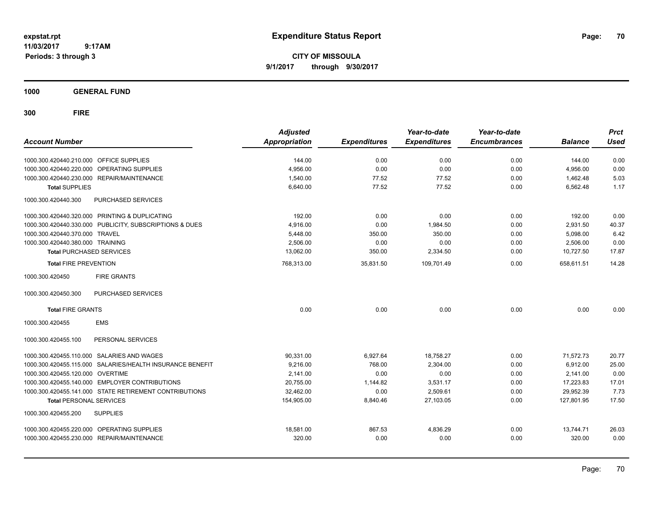**CITY OF MISSOULA 9/1/2017 through 9/30/2017**

**1000 GENERAL FUND**

| <b>Account Number</b>                   |                                                           | <b>Adjusted</b><br><b>Appropriation</b> | <b>Expenditures</b> | Year-to-date<br><b>Expenditures</b> | Year-to-date<br><b>Encumbrances</b> | <b>Balance</b> | <b>Prct</b><br><b>Used</b> |
|-----------------------------------------|-----------------------------------------------------------|-----------------------------------------|---------------------|-------------------------------------|-------------------------------------|----------------|----------------------------|
| 1000.300.420440.210.000 OFFICE SUPPLIES |                                                           | 144.00                                  | 0.00                | 0.00                                | 0.00                                | 144.00         | 0.00                       |
| 1000.300.420440.220.000                 | OPERATING SUPPLIES                                        | 4,956.00                                | 0.00                | 0.00                                | 0.00                                | 4,956.00       | 0.00                       |
|                                         | 1000.300.420440.230.000 REPAIR/MAINTENANCE                | 1,540.00                                | 77.52               | 77.52                               | 0.00                                | 1,462.48       | 5.03                       |
| <b>Total SUPPLIES</b>                   |                                                           | 6,640.00                                | 77.52               | 77.52                               | 0.00                                | 6,562.48       | 1.17                       |
| 1000.300.420440.300                     | PURCHASED SERVICES                                        |                                         |                     |                                     |                                     |                |                            |
|                                         | 1000.300.420440.320.000 PRINTING & DUPLICATING            | 192.00                                  | 0.00                | 0.00                                | 0.00                                | 192.00         | 0.00                       |
|                                         | 1000.300.420440.330.000 PUBLICITY, SUBSCRIPTIONS & DUES   | 4,916.00                                | 0.00                | 1,984.50                            | 0.00                                | 2,931.50       | 40.37                      |
| 1000.300.420440.370.000 TRAVEL          |                                                           | 5,448.00                                | 350.00              | 350.00                              | 0.00                                | 5,098.00       | 6.42                       |
| 1000.300.420440.380.000 TRAINING        |                                                           | 2,506.00                                | 0.00                | 0.00                                | 0.00                                | 2,506.00       | 0.00                       |
| <b>Total PURCHASED SERVICES</b>         |                                                           | 13,062.00                               | 350.00              | 2,334.50                            | 0.00                                | 10,727.50      | 17.87                      |
| <b>Total FIRE PREVENTION</b>            |                                                           | 768,313.00                              | 35,831.50           | 109,701.49                          | 0.00                                | 658,611.51     | 14.28                      |
| 1000.300.420450                         | <b>FIRE GRANTS</b>                                        |                                         |                     |                                     |                                     |                |                            |
| 1000.300.420450.300                     | PURCHASED SERVICES                                        |                                         |                     |                                     |                                     |                |                            |
| <b>Total FIRE GRANTS</b>                |                                                           | 0.00                                    | 0.00                | 0.00                                | 0.00                                | 0.00           | 0.00                       |
| 1000.300.420455                         | <b>EMS</b>                                                |                                         |                     |                                     |                                     |                |                            |
| 1000.300.420455.100                     | PERSONAL SERVICES                                         |                                         |                     |                                     |                                     |                |                            |
|                                         | 1000.300.420455.110.000 SALARIES AND WAGES                | 90,331.00                               | 6,927.64            | 18,758.27                           | 0.00                                | 71,572.73      | 20.77                      |
|                                         | 1000.300.420455.115.000 SALARIES/HEALTH INSURANCE BENEFIT | 9.216.00                                | 768.00              | 2.304.00                            | 0.00                                | 6.912.00       | 25.00                      |
| 1000.300.420455.120.000 OVERTIME        |                                                           | 2.141.00                                | 0.00                | 0.00                                | 0.00                                | 2,141.00       | 0.00                       |
|                                         | 1000.300.420455.140.000 EMPLOYER CONTRIBUTIONS            | 20,755.00                               | 1,144.82            | 3,531.17                            | 0.00                                | 17,223.83      | 17.01                      |
|                                         | 1000.300.420455.141.000 STATE RETIREMENT CONTRIBUTIONS    | 32,462.00                               | 0.00                | 2,509.61                            | 0.00                                | 29,952.39      | 7.73                       |
| <b>Total PERSONAL SERVICES</b>          |                                                           | 154,905.00                              | 8,840.46            | 27,103.05                           | 0.00                                | 127.801.95     | 17.50                      |
| 1000.300.420455.200                     | <b>SUPPLIES</b>                                           |                                         |                     |                                     |                                     |                |                            |
|                                         | 1000.300.420455.220.000 OPERATING SUPPLIES                | 18,581.00                               | 867.53              | 4,836.29                            | 0.00                                | 13,744.71      | 26.03                      |
|                                         | 1000.300.420455.230.000 REPAIR/MAINTENANCE                | 320.00                                  | 0.00                | 0.00                                | 0.00                                | 320.00         | 0.00                       |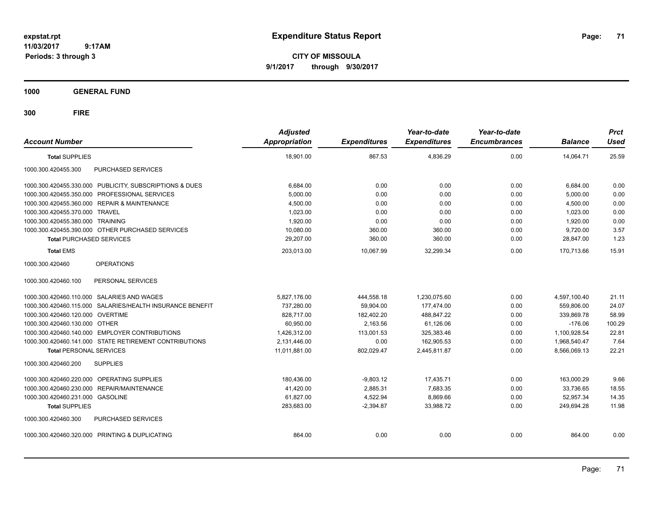**CITY OF MISSOULA 9/1/2017 through 9/30/2017**

**1000 GENERAL FUND**

| <b>Account Number</b>                                     | <b>Adjusted</b><br><b>Appropriation</b> | <b>Expenditures</b> | Year-to-date<br><b>Expenditures</b> | Year-to-date<br><b>Encumbrances</b> | <b>Balance</b> | <b>Prct</b><br>Used |
|-----------------------------------------------------------|-----------------------------------------|---------------------|-------------------------------------|-------------------------------------|----------------|---------------------|
| <b>Total SUPPLIES</b>                                     | 18.901.00                               | 867.53              | 4,836.29                            | 0.00                                | 14.064.71      | 25.59               |
| 1000.300.420455.300<br>PURCHASED SERVICES                 |                                         |                     |                                     |                                     |                |                     |
| 1000.300.420455.330.000 PUBLICITY, SUBSCRIPTIONS & DUES   | 6,684.00                                | 0.00                | 0.00                                | 0.00                                | 6,684.00       | 0.00                |
| 1000.300.420455.350.000 PROFESSIONAL SERVICES             | 5,000.00                                | 0.00                | 0.00                                | 0.00                                | 5,000.00       | 0.00                |
| 1000.300.420455.360.000 REPAIR & MAINTENANCE              | 4,500.00                                | 0.00                | 0.00                                | 0.00                                | 4,500.00       | 0.00                |
| 1000.300.420455.370.000 TRAVEL                            | 1,023.00                                | 0.00                | 0.00                                | 0.00                                | 1,023.00       | 0.00                |
| 1000.300.420455.380.000 TRAINING                          | 1,920.00                                | 0.00                | 0.00                                | 0.00                                | 1,920.00       | 0.00                |
| 1000.300.420455.390.000 OTHER PURCHASED SERVICES          | 10,080.00                               | 360.00              | 360.00                              | 0.00                                | 9,720.00       | 3.57                |
| <b>Total PURCHASED SERVICES</b>                           | 29.207.00                               | 360.00              | 360.00                              | 0.00                                | 28.847.00      | 1.23                |
| <b>Total EMS</b>                                          | 203,013.00                              | 10.067.99           | 32,299.34                           | 0.00                                | 170.713.66     | 15.91               |
| <b>OPERATIONS</b><br>1000.300.420460                      |                                         |                     |                                     |                                     |                |                     |
| PERSONAL SERVICES<br>1000.300.420460.100                  |                                         |                     |                                     |                                     |                |                     |
| 1000.300.420460.110.000 SALARIES AND WAGES                | 5,827,176.00                            | 444,558.18          | 1,230,075.60                        | 0.00                                | 4,597,100.40   | 21.11               |
| 1000.300.420460.115.000 SALARIES/HEALTH INSURANCE BENEFIT | 737.280.00                              | 59,904.00           | 177.474.00                          | 0.00                                | 559.806.00     | 24.07               |
| 1000.300.420460.120.000 OVERTIME                          | 828,717.00                              | 182,402.20          | 488,847.22                          | 0.00                                | 339,869.78     | 58.99               |
| 1000.300.420460.130.000 OTHER                             | 60,950.00                               | 2,163.56            | 61.126.06                           | 0.00                                | $-176.06$      | 100.29              |
| 1000.300.420460.140.000 EMPLOYER CONTRIBUTIONS            | 1,426,312.00                            | 113,001.53          | 325,383.46                          | 0.00                                | 1,100,928.54   | 22.81               |
| 1000.300.420460.141.000 STATE RETIREMENT CONTRIBUTIONS    | 2,131,446.00                            | 0.00                | 162.905.53                          | 0.00                                | 1,968,540.47   | 7.64                |
| <b>Total PERSONAL SERVICES</b>                            | 11,011,881.00                           | 802,029.47          | 2,445,811.87                        | 0.00                                | 8,566,069.13   | 22.21               |
| 1000.300.420460.200<br><b>SUPPLIES</b>                    |                                         |                     |                                     |                                     |                |                     |
| 1000.300.420460.220.000 OPERATING SUPPLIES                | 180,436.00                              | $-9,803.12$         | 17,435.71                           | 0.00                                | 163,000.29     | 9.66                |
| 1000.300.420460.230.000 REPAIR/MAINTENANCE                | 41.420.00                               | 2.885.31            | 7.683.35                            | 0.00                                | 33.736.65      | 18.55               |
| 1000.300.420460.231.000 GASOLINE                          | 61,827.00                               | 4,522.94            | 8,869.66                            | 0.00                                | 52.957.34      | 14.35               |
| <b>Total SUPPLIES</b>                                     | 283,683.00                              | $-2,394.87$         | 33.988.72                           | 0.00                                | 249.694.28     | 11.98               |
| PURCHASED SERVICES<br>1000.300.420460.300                 |                                         |                     |                                     |                                     |                |                     |
| 1000.300.420460.320.000 PRINTING & DUPLICATING            | 864.00                                  | 0.00                | 0.00                                | 0.00                                | 864.00         | 0.00                |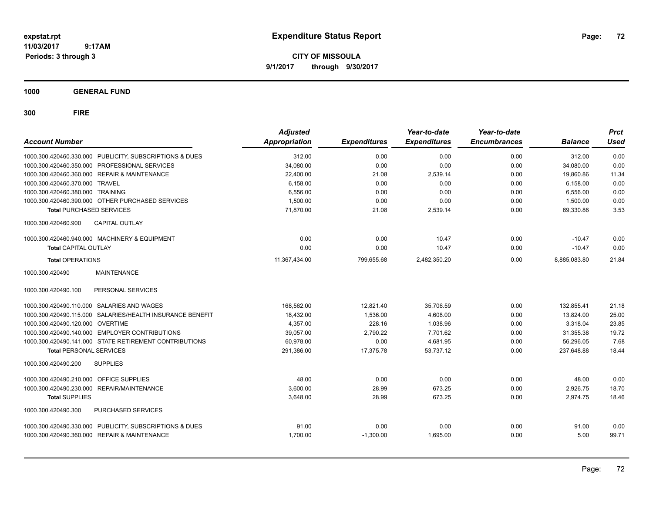**CITY OF MISSOULA 9/1/2017 through 9/30/2017**

**1000 GENERAL FUND**

| <b>Account Number</b>                                     | <b>Adjusted</b><br>Appropriation | <b>Expenditures</b> | Year-to-date<br><b>Expenditures</b> | Year-to-date<br><b>Encumbrances</b> | <b>Balance</b> | <b>Prct</b><br><b>Used</b> |
|-----------------------------------------------------------|----------------------------------|---------------------|-------------------------------------|-------------------------------------|----------------|----------------------------|
| 1000.300.420460.330.000 PUBLICITY, SUBSCRIPTIONS & DUES   | 312.00                           | 0.00                | 0.00                                | 0.00                                | 312.00         | 0.00                       |
| 1000.300.420460.350.000 PROFESSIONAL SERVICES             | 34,080.00                        | 0.00                | 0.00                                | 0.00                                | 34,080.00      | 0.00                       |
| 1000.300.420460.360.000 REPAIR & MAINTENANCE              | 22,400.00                        | 21.08               | 2,539.14                            | 0.00                                | 19,860.86      | 11.34                      |
| 1000.300.420460.370.000 TRAVEL                            | 6.158.00                         | 0.00                | 0.00                                | 0.00                                | 6,158.00       | 0.00                       |
| 1000.300.420460.380.000 TRAINING                          | 6,556.00                         | 0.00                | 0.00                                | 0.00                                | 6,556.00       | 0.00                       |
| 1000.300.420460.390.000 OTHER PURCHASED SERVICES          | 1,500.00                         | 0.00                | 0.00                                | 0.00                                | 1,500.00       | 0.00                       |
| <b>Total PURCHASED SERVICES</b>                           | 71,870.00                        | 21.08               | 2,539.14                            | 0.00                                | 69,330.86      | 3.53                       |
| CAPITAL OUTLAY<br>1000.300.420460.900                     |                                  |                     |                                     |                                     |                |                            |
| 1000.300.420460.940.000 MACHINERY & EQUIPMENT             | 0.00                             | 0.00                | 10.47                               | 0.00                                | $-10.47$       | 0.00                       |
| Total CAPITAL OUTLAY                                      | 0.00                             | 0.00                | 10.47                               | 0.00                                | $-10.47$       | 0.00                       |
| <b>Total OPERATIONS</b>                                   | 11,367,434.00                    | 799,655.68          | 2,482,350.20                        | 0.00                                | 8,885,083.80   | 21.84                      |
| <b>MAINTENANCE</b><br>1000.300.420490                     |                                  |                     |                                     |                                     |                |                            |
| 1000.300.420490.100<br>PERSONAL SERVICES                  |                                  |                     |                                     |                                     |                |                            |
| 1000.300.420490.110.000 SALARIES AND WAGES                | 168,562.00                       | 12,821.40           | 35,706.59                           | 0.00                                | 132,855.41     | 21.18                      |
| 1000.300.420490.115.000 SALARIES/HEALTH INSURANCE BENEFIT | 18,432.00                        | 1.536.00            | 4.608.00                            | 0.00                                | 13,824.00      | 25.00                      |
| 1000.300.420490.120.000 OVERTIME                          | 4.357.00                         | 228.16              | 1.038.96                            | 0.00                                | 3,318.04       | 23.85                      |
| 1000.300.420490.140.000 EMPLOYER CONTRIBUTIONS            | 39,057.00                        | 2,790.22            | 7,701.62                            | 0.00                                | 31,355.38      | 19.72                      |
| 1000.300.420490.141.000 STATE RETIREMENT CONTRIBUTIONS    | 60,978.00                        | 0.00                | 4,681.95                            | 0.00                                | 56,296.05      | 7.68                       |
| <b>Total PERSONAL SERVICES</b>                            | 291,386.00                       | 17,375.78           | 53,737.12                           | 0.00                                | 237,648.88     | 18.44                      |
| <b>SUPPLIES</b><br>1000.300.420490.200                    |                                  |                     |                                     |                                     |                |                            |
| 1000.300.420490.210.000 OFFICE SUPPLIES                   | 48.00                            | 0.00                | 0.00                                | 0.00                                | 48.00          | 0.00                       |
| 1000.300.420490.230.000 REPAIR/MAINTENANCE                | 3,600.00                         | 28.99               | 673.25                              | 0.00                                | 2,926.75       | 18.70                      |
| <b>Total SUPPLIES</b>                                     | 3,648.00                         | 28.99               | 673.25                              | 0.00                                | 2,974.75       | 18.46                      |
| 1000.300.420490.300<br>PURCHASED SERVICES                 |                                  |                     |                                     |                                     |                |                            |
| 1000.300.420490.330.000 PUBLICITY, SUBSCRIPTIONS & DUES   | 91.00                            | 0.00                | 0.00                                | 0.00                                | 91.00          | 0.00                       |
| 1000.300.420490.360.000 REPAIR & MAINTENANCE              | 1,700.00                         | $-1,300.00$         | 1,695.00                            | 0.00                                | 5.00           | 99.71                      |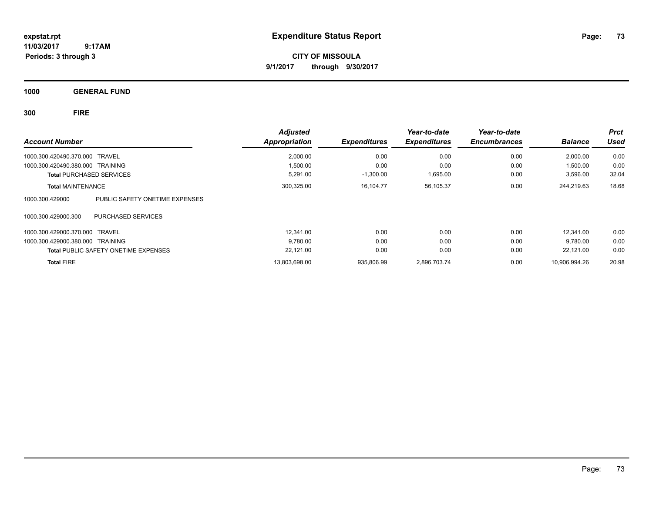**CITY OF MISSOULA 9/1/2017 through 9/30/2017**

**1000 GENERAL FUND**

**300 FIRE**

| <b>Account Number</b>                             | <b>Adjusted</b><br>Appropriation | <b>Expenditures</b> | Year-to-date<br><b>Expenditures</b> | Year-to-date<br><b>Encumbrances</b> | <b>Balance</b> | Prct<br><b>Used</b> |
|---------------------------------------------------|----------------------------------|---------------------|-------------------------------------|-------------------------------------|----------------|---------------------|
| 1000.300.420490.370.000 TRAVEL                    | 2,000.00                         | 0.00                | 0.00                                | 0.00                                | 2,000.00       | 0.00                |
| 1000.300.420490.380.000 TRAINING                  | 1,500.00                         | 0.00                | 0.00                                | 0.00                                | 1,500.00       | 0.00                |
| <b>Total PURCHASED SERVICES</b>                   | 5,291.00                         | $-1,300.00$         | 1,695.00                            | 0.00                                | 3,596.00       | 32.04               |
| <b>Total MAINTENANCE</b>                          | 300,325.00                       | 16,104.77           | 56,105.37                           | 0.00                                | 244,219.63     | 18.68               |
| PUBLIC SAFETY ONETIME EXPENSES<br>1000.300.429000 |                                  |                     |                                     |                                     |                |                     |
| 1000.300.429000.300<br><b>PURCHASED SERVICES</b>  |                                  |                     |                                     |                                     |                |                     |
| 1000.300.429000.370.000 TRAVEL                    | 12.341.00                        | 0.00                | 0.00                                | 0.00                                | 12.341.00      | 0.00                |
| 1000.300.429000.380.000 TRAINING                  | 9,780.00                         | 0.00                | 0.00                                | 0.00                                | 9,780.00       | 0.00                |
| <b>Total PUBLIC SAFETY ONETIME EXPENSES</b>       | 22,121.00                        | 0.00                | 0.00                                | 0.00                                | 22.121.00      | 0.00                |
| <b>Total FIRE</b>                                 | 13,803,698.00                    | 935,806.99          | 2,896,703.74                        | 0.00                                | 10.906.994.26  | 20.98               |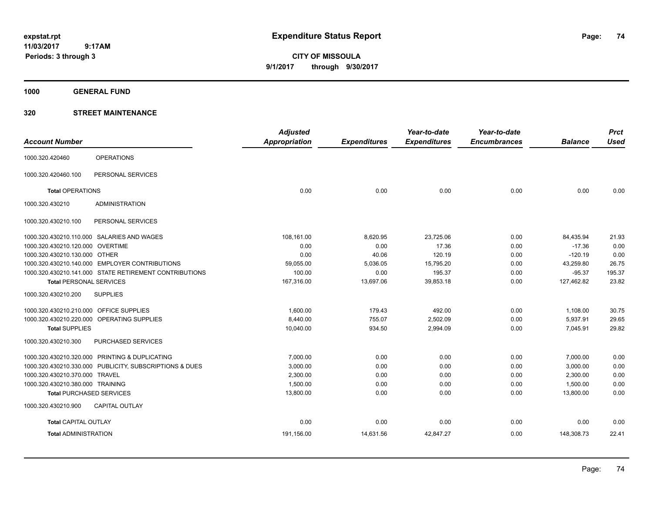**CITY OF MISSOULA 9/1/2017 through 9/30/2017**

**1000 GENERAL FUND**

|                                         |                                                        | <b>Adjusted</b> |                     | Year-to-date        | Year-to-date        |                | <b>Prct</b> |
|-----------------------------------------|--------------------------------------------------------|-----------------|---------------------|---------------------|---------------------|----------------|-------------|
| <b>Account Number</b>                   |                                                        | Appropriation   | <b>Expenditures</b> | <b>Expenditures</b> | <b>Encumbrances</b> | <b>Balance</b> | <b>Used</b> |
| 1000.320.420460                         | <b>OPERATIONS</b>                                      |                 |                     |                     |                     |                |             |
| 1000.320.420460.100                     | PERSONAL SERVICES                                      |                 |                     |                     |                     |                |             |
| <b>Total OPERATIONS</b>                 |                                                        | 0.00            | 0.00                | 0.00                | 0.00                | 0.00           | 0.00        |
| 1000.320.430210                         | <b>ADMINISTRATION</b>                                  |                 |                     |                     |                     |                |             |
| 1000.320.430210.100                     | PERSONAL SERVICES                                      |                 |                     |                     |                     |                |             |
|                                         | 1000.320.430210.110.000 SALARIES AND WAGES             | 108,161.00      | 8,620.95            | 23,725.06           | 0.00                | 84,435.94      | 21.93       |
| 1000.320.430210.120.000 OVERTIME        |                                                        | 0.00            | 0.00                | 17.36               | 0.00                | $-17.36$       | 0.00        |
| 1000.320.430210.130.000 OTHER           |                                                        | 0.00            | 40.06               | 120.19              | 0.00                | $-120.19$      | 0.00        |
|                                         | 1000.320.430210.140.000 EMPLOYER CONTRIBUTIONS         | 59,055.00       | 5,036.05            | 15,795.20           | 0.00                | 43,259.80      | 26.75       |
|                                         | 1000.320.430210.141.000 STATE RETIREMENT CONTRIBUTIONS | 100.00          | 0.00                | 195.37              | 0.00                | $-95.37$       | 195.37      |
| <b>Total PERSONAL SERVICES</b>          |                                                        | 167,316.00      | 13,697.06           | 39,853.18           | 0.00                | 127,462.82     | 23.82       |
| 1000.320.430210.200                     | <b>SUPPLIES</b>                                        |                 |                     |                     |                     |                |             |
| 1000.320.430210.210.000 OFFICE SUPPLIES |                                                        | 1,600.00        | 179.43              | 492.00              | 0.00                | 1,108.00       | 30.75       |
|                                         | 1000.320.430210.220.000 OPERATING SUPPLIES             | 8,440.00        | 755.07              | 2,502.09            | 0.00                | 5,937.91       | 29.65       |
| <b>Total SUPPLIES</b>                   |                                                        | 10,040.00       | 934.50              | 2,994.09            | 0.00                | 7,045.91       | 29.82       |
| 1000.320.430210.300                     | PURCHASED SERVICES                                     |                 |                     |                     |                     |                |             |
|                                         | 1000.320.430210.320.000 PRINTING & DUPLICATING         | 7,000.00        | 0.00                | 0.00                | 0.00                | 7.000.00       | 0.00        |
| 1000.320.430210.330.000                 | PUBLICITY, SUBSCRIPTIONS & DUES                        | 3,000.00        | 0.00                | 0.00                | 0.00                | 3,000.00       | 0.00        |
| 1000.320.430210.370.000                 | TRAVEL                                                 | 2,300.00        | 0.00                | 0.00                | 0.00                | 2,300.00       | 0.00        |
| 1000.320.430210.380.000 TRAINING        |                                                        | 1,500.00        | 0.00                | 0.00                | 0.00                | 1,500.00       | 0.00        |
|                                         | <b>Total PURCHASED SERVICES</b>                        | 13,800.00       | 0.00                | 0.00                | 0.00                | 13,800.00      | 0.00        |
| 1000.320.430210.900                     | <b>CAPITAL OUTLAY</b>                                  |                 |                     |                     |                     |                |             |
| <b>Total CAPITAL OUTLAY</b>             |                                                        | 0.00            | 0.00                | 0.00                | 0.00                | 0.00           | 0.00        |
| <b>Total ADMINISTRATION</b>             |                                                        | 191,156.00      | 14,631.56           | 42,847.27           | 0.00                | 148,308.73     | 22.41       |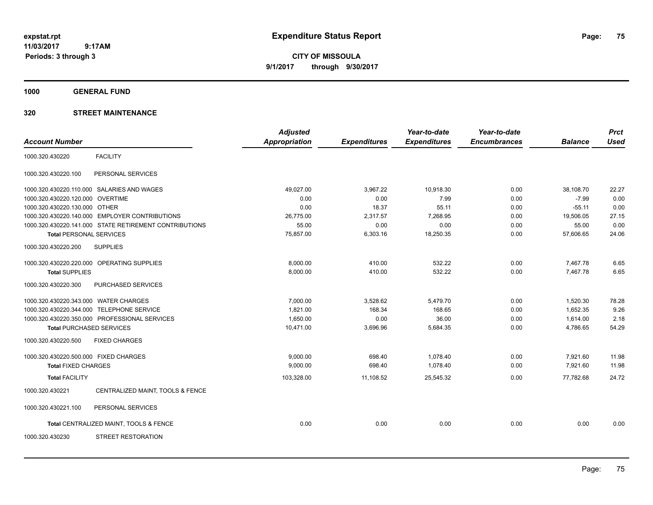**CITY OF MISSOULA 9/1/2017 through 9/30/2017**

**1000 GENERAL FUND**

|                                       |                                                        | <b>Adjusted</b>      |                     | Year-to-date        | Year-to-date        |                | <b>Prct</b> |
|---------------------------------------|--------------------------------------------------------|----------------------|---------------------|---------------------|---------------------|----------------|-------------|
| <b>Account Number</b>                 |                                                        | <b>Appropriation</b> | <b>Expenditures</b> | <b>Expenditures</b> | <b>Encumbrances</b> | <b>Balance</b> | <b>Used</b> |
| 1000.320.430220                       | <b>FACILITY</b>                                        |                      |                     |                     |                     |                |             |
| 1000.320.430220.100                   | PERSONAL SERVICES                                      |                      |                     |                     |                     |                |             |
|                                       | 1000.320.430220.110.000 SALARIES AND WAGES             | 49,027.00            | 3,967.22            | 10,918.30           | 0.00                | 38,108.70      | 22.27       |
| 1000.320.430220.120.000               | <b>OVERTIME</b>                                        | 0.00                 | 0.00                | 7.99                | 0.00                | $-7.99$        | 0.00        |
| 1000.320.430220.130.000 OTHER         |                                                        | 0.00                 | 18.37               | 55.11               | 0.00                | $-55.11$       | 0.00        |
|                                       | 1000.320.430220.140.000 EMPLOYER CONTRIBUTIONS         | 26,775.00            | 2,317.57            | 7,268.95            | 0.00                | 19,506.05      | 27.15       |
|                                       | 1000.320.430220.141.000 STATE RETIREMENT CONTRIBUTIONS | 55.00                | 0.00                | 0.00                | 0.00                | 55.00          | 0.00        |
| <b>Total PERSONAL SERVICES</b>        |                                                        | 75,857.00            | 6,303.16            | 18,250.35           | 0.00                | 57,606.65      | 24.06       |
| 1000.320.430220.200                   | <b>SUPPLIES</b>                                        |                      |                     |                     |                     |                |             |
|                                       | 1000.320.430220.220.000 OPERATING SUPPLIES             | 8,000.00             | 410.00              | 532.22              | 0.00                | 7,467.78       | 6.65        |
| <b>Total SUPPLIES</b>                 |                                                        | 8,000.00             | 410.00              | 532.22              | 0.00                | 7,467.78       | 6.65        |
| 1000.320.430220.300                   | PURCHASED SERVICES                                     |                      |                     |                     |                     |                |             |
| 1000.320.430220.343.000 WATER CHARGES |                                                        | 7,000.00             | 3,528.62            | 5,479.70            | 0.00                | 1,520.30       | 78.28       |
|                                       | 1000.320.430220.344.000 TELEPHONE SERVICE              | 1,821.00             | 168.34              | 168.65              | 0.00                | 1,652.35       | 9.26        |
|                                       | 1000.320.430220.350.000 PROFESSIONAL SERVICES          | 1,650.00             | 0.00                | 36.00               | 0.00                | 1,614.00       | 2.18        |
| <b>Total PURCHASED SERVICES</b>       |                                                        | 10,471.00            | 3,696.96            | 5,684.35            | 0.00                | 4,786.65       | 54.29       |
| 1000.320.430220.500                   | <b>FIXED CHARGES</b>                                   |                      |                     |                     |                     |                |             |
| 1000.320.430220.500.000 FIXED CHARGES |                                                        | 9,000.00             | 698.40              | 1,078.40            | 0.00                | 7,921.60       | 11.98       |
| <b>Total FIXED CHARGES</b>            |                                                        | 9,000.00             | 698.40              | 1,078.40            | 0.00                | 7,921.60       | 11.98       |
| <b>Total FACILITY</b>                 |                                                        | 103,328.00           | 11,108.52           | 25,545.32           | 0.00                | 77,782.68      | 24.72       |
| 1000.320.430221                       | CENTRALIZED MAINT, TOOLS & FENCE                       |                      |                     |                     |                     |                |             |
| 1000.320.430221.100                   | PERSONAL SERVICES                                      |                      |                     |                     |                     |                |             |
|                                       | Total CENTRALIZED MAINT, TOOLS & FENCE                 | 0.00                 | 0.00                | 0.00                | 0.00                | 0.00           | 0.00        |
| 1000.320.430230                       | STREET RESTORATION                                     |                      |                     |                     |                     |                |             |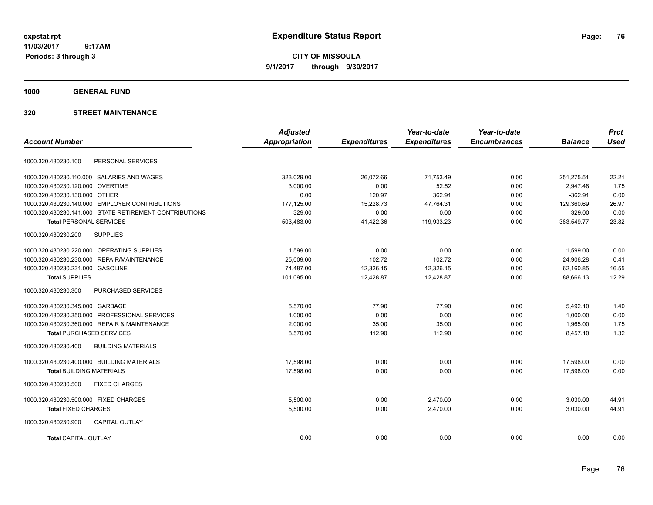**CITY OF MISSOULA 9/1/2017 through 9/30/2017**

**1000 GENERAL FUND**

|                                                        | <b>Adjusted</b>      |                     | Year-to-date        | Year-to-date        |                | <b>Prct</b> |
|--------------------------------------------------------|----------------------|---------------------|---------------------|---------------------|----------------|-------------|
| <b>Account Number</b>                                  | <b>Appropriation</b> | <b>Expenditures</b> | <b>Expenditures</b> | <b>Encumbrances</b> | <b>Balance</b> | <b>Used</b> |
| PERSONAL SERVICES<br>1000.320.430230.100               |                      |                     |                     |                     |                |             |
| 1000.320.430230.110.000 SALARIES AND WAGES             | 323.029.00           | 26,072.66           | 71.753.49           | 0.00                | 251.275.51     | 22.21       |
| 1000.320.430230.120.000 OVERTIME                       | 3.000.00             | 0.00                | 52.52               | 0.00                | 2.947.48       | 1.75        |
| 1000.320.430230.130.000 OTHER                          | 0.00                 | 120.97              | 362.91              | 0.00                | $-362.91$      | 0.00        |
| 1000.320.430230.140.000 EMPLOYER CONTRIBUTIONS         | 177,125.00           | 15,228.73           | 47,764.31           | 0.00                | 129,360.69     | 26.97       |
| 1000.320.430230.141.000 STATE RETIREMENT CONTRIBUTIONS | 329.00               | 0.00                | 0.00                | 0.00                | 329.00         | 0.00        |
| <b>Total PERSONAL SERVICES</b>                         | 503,483.00           | 41,422.36           | 119,933.23          | 0.00                | 383,549.77     | 23.82       |
| 1000.320.430230.200<br><b>SUPPLIES</b>                 |                      |                     |                     |                     |                |             |
| 1000.320.430230.220.000 OPERATING SUPPLIES             | 1,599.00             | 0.00                | 0.00                | 0.00                | 1,599.00       | 0.00        |
| 1000.320.430230.230.000 REPAIR/MAINTENANCE             | 25,009.00            | 102.72              | 102.72              | 0.00                | 24,906.28      | 0.41        |
| 1000.320.430230.231.000 GASOLINE                       | 74,487.00            | 12,326.15           | 12,326.15           | 0.00                | 62,160.85      | 16.55       |
| <b>Total SUPPLIES</b>                                  | 101,095.00           | 12,428.87           | 12,428.87           | 0.00                | 88,666.13      | 12.29       |
| 1000.320.430230.300<br>PURCHASED SERVICES              |                      |                     |                     |                     |                |             |
| 1000.320.430230.345.000 GARBAGE                        | 5,570.00             | 77.90               | 77.90               | 0.00                | 5,492.10       | 1.40        |
| 1000.320.430230.350.000 PROFESSIONAL SERVICES          | 1,000.00             | 0.00                | 0.00                | 0.00                | 1,000.00       | 0.00        |
| 1000.320.430230.360.000 REPAIR & MAINTENANCE           | 2,000.00             | 35.00               | 35.00               | 0.00                | 1,965.00       | 1.75        |
| <b>Total PURCHASED SERVICES</b>                        | 8,570.00             | 112.90              | 112.90              | 0.00                | 8,457.10       | 1.32        |
| 1000.320.430230.400<br><b>BUILDING MATERIALS</b>       |                      |                     |                     |                     |                |             |
| 1000.320.430230.400.000 BUILDING MATERIALS             | 17,598.00            | 0.00                | 0.00                | 0.00                | 17,598.00      | 0.00        |
| <b>Total BUILDING MATERIALS</b>                        | 17,598.00            | 0.00                | 0.00                | 0.00                | 17.598.00      | 0.00        |
| 1000.320.430230.500<br><b>FIXED CHARGES</b>            |                      |                     |                     |                     |                |             |
| 1000.320.430230.500.000 FIXED CHARGES                  | 5,500.00             | 0.00                | 2,470.00            | 0.00                | 3,030.00       | 44.91       |
| <b>Total FIXED CHARGES</b>                             | 5,500.00             | 0.00                | 2,470.00            | 0.00                | 3,030.00       | 44.91       |
| <b>CAPITAL OUTLAY</b><br>1000.320.430230.900           |                      |                     |                     |                     |                |             |
| <b>Total CAPITAL OUTLAY</b>                            | 0.00                 | 0.00                | 0.00                | 0.00                | 0.00           | 0.00        |
|                                                        |                      |                     |                     |                     |                |             |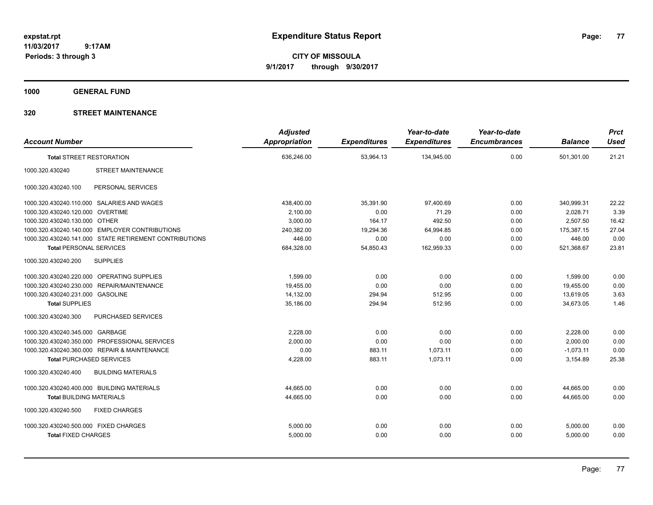**CITY OF MISSOULA 9/1/2017 through 9/30/2017**

**1000 GENERAL FUND**

| <b>Account Number</b>                 |                                                        | <b>Adjusted</b><br><b>Appropriation</b> | <b>Expenditures</b> | Year-to-date<br><b>Expenditures</b> | Year-to-date<br><b>Encumbrances</b> | <b>Balance</b> | <b>Prct</b><br><b>Used</b> |
|---------------------------------------|--------------------------------------------------------|-----------------------------------------|---------------------|-------------------------------------|-------------------------------------|----------------|----------------------------|
| <b>Total STREET RESTORATION</b>       |                                                        | 636,246.00                              | 53,964.13           | 134,945.00                          | 0.00                                | 501,301.00     | 21.21                      |
| 1000.320.430240                       | <b>STREET MAINTENANCE</b>                              |                                         |                     |                                     |                                     |                |                            |
| 1000.320.430240.100                   | PERSONAL SERVICES                                      |                                         |                     |                                     |                                     |                |                            |
|                                       | 1000.320.430240.110.000 SALARIES AND WAGES             | 438,400.00                              | 35,391.90           | 97,400.69                           | 0.00                                | 340,999.31     | 22.22                      |
| 1000.320.430240.120.000 OVERTIME      |                                                        | 2,100.00                                | 0.00                | 71.29                               | 0.00                                | 2,028.71       | 3.39                       |
| 1000.320.430240.130.000 OTHER         |                                                        | 3,000.00                                | 164.17              | 492.50                              | 0.00                                | 2,507.50       | 16.42                      |
|                                       | 1000.320.430240.140.000 EMPLOYER CONTRIBUTIONS         | 240,382.00                              | 19,294.36           | 64,994.85                           | 0.00                                | 175,387.15     | 27.04                      |
|                                       | 1000.320.430240.141.000 STATE RETIREMENT CONTRIBUTIONS | 446.00                                  | 0.00                | 0.00                                | 0.00                                | 446.00         | 0.00                       |
| <b>Total PERSONAL SERVICES</b>        |                                                        | 684,328.00                              | 54,850.43           | 162,959.33                          | 0.00                                | 521,368.67     | 23.81                      |
| 1000.320.430240.200                   | <b>SUPPLIES</b>                                        |                                         |                     |                                     |                                     |                |                            |
|                                       | 1000.320.430240.220.000 OPERATING SUPPLIES             | 1,599.00                                | 0.00                | 0.00                                | 0.00                                | 1,599.00       | 0.00                       |
|                                       | 1000.320.430240.230.000 REPAIR/MAINTENANCE             | 19,455.00                               | 0.00                | 0.00                                | 0.00                                | 19,455.00      | 0.00                       |
| 1000.320.430240.231.000 GASOLINE      |                                                        | 14,132.00                               | 294.94              | 512.95                              | 0.00                                | 13,619.05      | 3.63                       |
| <b>Total SUPPLIES</b>                 |                                                        | 35,186.00                               | 294.94              | 512.95                              | 0.00                                | 34,673.05      | 1.46                       |
| 1000.320.430240.300                   | PURCHASED SERVICES                                     |                                         |                     |                                     |                                     |                |                            |
| 1000.320.430240.345.000 GARBAGE       |                                                        | 2,228.00                                | 0.00                | 0.00                                | 0.00                                | 2,228.00       | 0.00                       |
|                                       | 1000.320.430240.350.000 PROFESSIONAL SERVICES          | 2,000.00                                | 0.00                | 0.00                                | 0.00                                | 2,000.00       | 0.00                       |
|                                       | 1000.320.430240.360.000 REPAIR & MAINTENANCE           | 0.00                                    | 883.11              | 1,073.11                            | 0.00                                | $-1,073.11$    | 0.00                       |
| <b>Total PURCHASED SERVICES</b>       |                                                        | 4,228.00                                | 883.11              | 1,073.11                            | 0.00                                | 3,154.89       | 25.38                      |
| 1000.320.430240.400                   | <b>BUILDING MATERIALS</b>                              |                                         |                     |                                     |                                     |                |                            |
|                                       | 1000.320.430240.400.000 BUILDING MATERIALS             | 44.665.00                               | 0.00                | 0.00                                | 0.00                                | 44,665.00      | 0.00                       |
| <b>Total BUILDING MATERIALS</b>       |                                                        | 44,665.00                               | 0.00                | 0.00                                | 0.00                                | 44.665.00      | 0.00                       |
| 1000.320.430240.500                   | <b>FIXED CHARGES</b>                                   |                                         |                     |                                     |                                     |                |                            |
| 1000.320.430240.500.000 FIXED CHARGES |                                                        | 5,000.00                                | 0.00                | 0.00                                | 0.00                                | 5,000.00       | 0.00                       |
| <b>Total FIXED CHARGES</b>            |                                                        | 5,000.00                                | 0.00                | 0.00                                | 0.00                                | 5,000.00       | 0.00                       |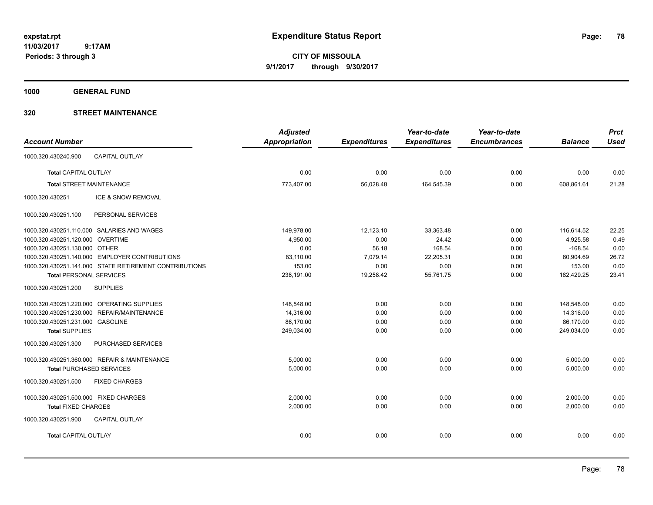**CITY OF MISSOULA 9/1/2017 through 9/30/2017**

**1000 GENERAL FUND**

|                                                        | <b>Adjusted</b> |                     | Year-to-date        | Year-to-date        |                | <b>Prct</b> |
|--------------------------------------------------------|-----------------|---------------------|---------------------|---------------------|----------------|-------------|
| <b>Account Number</b>                                  | Appropriation   | <b>Expenditures</b> | <b>Expenditures</b> | <b>Encumbrances</b> | <b>Balance</b> | <b>Used</b> |
| <b>CAPITAL OUTLAY</b><br>1000.320.430240.900           |                 |                     |                     |                     |                |             |
| <b>Total CAPITAL OUTLAY</b>                            | 0.00            | 0.00                | 0.00                | 0.00                | 0.00           | 0.00        |
| <b>Total STREET MAINTENANCE</b>                        | 773,407.00      | 56,028.48           | 164,545.39          | 0.00                | 608,861.61     | 21.28       |
| 1000.320.430251<br>ICE & SNOW REMOVAL                  |                 |                     |                     |                     |                |             |
| PERSONAL SERVICES<br>1000.320.430251.100               |                 |                     |                     |                     |                |             |
| 1000.320.430251.110.000 SALARIES AND WAGES             | 149,978.00      | 12,123.10           | 33,363.48           | 0.00                | 116,614.52     | 22.25       |
| 1000.320.430251.120.000 OVERTIME                       | 4,950.00        | 0.00                | 24.42               | 0.00                | 4,925.58       | 0.49        |
| 1000.320.430251.130.000 OTHER                          | 0.00            | 56.18               | 168.54              | 0.00                | $-168.54$      | 0.00        |
| 1000.320.430251.140.000 EMPLOYER CONTRIBUTIONS         | 83,110.00       | 7,079.14            | 22,205.31           | 0.00                | 60,904.69      | 26.72       |
| 1000.320.430251.141.000 STATE RETIREMENT CONTRIBUTIONS | 153.00          | 0.00                | 0.00                | 0.00                | 153.00         | 0.00        |
| <b>Total PERSONAL SERVICES</b>                         | 238,191.00      | 19,258.42           | 55,761.75           | 0.00                | 182,429.25     | 23.41       |
| 1000.320.430251.200<br><b>SUPPLIES</b>                 |                 |                     |                     |                     |                |             |
| 1000.320.430251.220.000 OPERATING SUPPLIES             | 148,548.00      | 0.00                | 0.00                | 0.00                | 148,548.00     | 0.00        |
| 1000.320.430251.230.000 REPAIR/MAINTENANCE             | 14,316.00       | 0.00                | 0.00                | 0.00                | 14,316.00      | 0.00        |
| 1000.320.430251.231.000 GASOLINE                       | 86,170.00       | 0.00                | 0.00                | 0.00                | 86,170.00      | 0.00        |
| <b>Total SUPPLIES</b>                                  | 249,034.00      | 0.00                | 0.00                | 0.00                | 249,034.00     | 0.00        |
| 1000.320.430251.300<br>PURCHASED SERVICES              |                 |                     |                     |                     |                |             |
| 1000.320.430251.360.000 REPAIR & MAINTENANCE           | 5,000.00        | 0.00                | 0.00                | 0.00                | 5,000.00       | 0.00        |
| <b>Total PURCHASED SERVICES</b>                        | 5,000.00        | 0.00                | 0.00                | 0.00                | 5,000.00       | 0.00        |
| 1000.320.430251.500<br><b>FIXED CHARGES</b>            |                 |                     |                     |                     |                |             |
| 1000.320.430251.500.000 FIXED CHARGES                  | 2.000.00        | 0.00                | 0.00                | 0.00                | 2,000.00       | 0.00        |
| <b>Total FIXED CHARGES</b>                             | 2,000.00        | 0.00                | 0.00                | 0.00                | 2,000.00       | 0.00        |
| 1000.320.430251.900<br><b>CAPITAL OUTLAY</b>           |                 |                     |                     |                     |                |             |
| <b>Total CAPITAL OUTLAY</b>                            | 0.00            | 0.00                | 0.00                | 0.00                | 0.00           | 0.00        |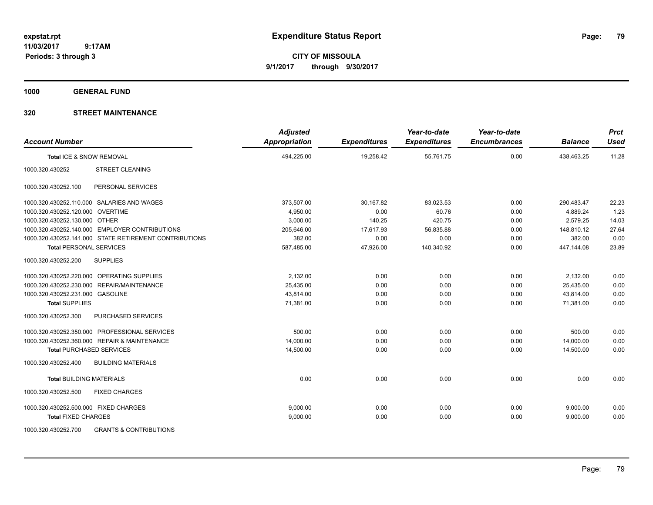**CITY OF MISSOULA 9/1/2017 through 9/30/2017**

**1000 GENERAL FUND**

| <b>Account Number</b>                                    | <b>Adjusted</b><br><b>Appropriation</b> | <b>Expenditures</b> | Year-to-date<br><b>Expenditures</b> | Year-to-date<br><b>Encumbrances</b> | <b>Balance</b> | <b>Prct</b><br><b>Used</b> |
|----------------------------------------------------------|-----------------------------------------|---------------------|-------------------------------------|-------------------------------------|----------------|----------------------------|
| Total ICE & SNOW REMOVAL                                 | 494,225.00                              | 19,258.42           | 55,761.75                           | 0.00                                | 438,463.25     | 11.28                      |
| 1000.320.430252<br><b>STREET CLEANING</b>                |                                         |                     |                                     |                                     |                |                            |
| 1000.320.430252.100<br>PERSONAL SERVICES                 |                                         |                     |                                     |                                     |                |                            |
| 1000.320.430252.110.000 SALARIES AND WAGES               | 373,507.00                              | 30,167.82           | 83,023.53                           | 0.00                                | 290,483.47     | 22.23                      |
| 1000.320.430252.120.000 OVERTIME                         | 4,950.00                                | 0.00                | 60.76                               | 0.00                                | 4,889.24       | 1.23                       |
| 1000.320.430252.130.000 OTHER                            | 3,000.00                                | 140.25              | 420.75                              | 0.00                                | 2,579.25       | 14.03                      |
| 1000.320.430252.140.000 EMPLOYER CONTRIBUTIONS           | 205,646.00                              | 17,617.93           | 56,835.88                           | 0.00                                | 148,810.12     | 27.64                      |
| 1000.320.430252.141.000 STATE RETIREMENT CONTRIBUTIONS   | 382.00                                  | 0.00                | 0.00                                | 0.00                                | 382.00         | 0.00                       |
| <b>Total PERSONAL SERVICES</b>                           | 587,485.00                              | 47,926.00           | 140,340.92                          | 0.00                                | 447,144.08     | 23.89                      |
| 1000.320.430252.200<br><b>SUPPLIES</b>                   |                                         |                     |                                     |                                     |                |                            |
| 1000.320.430252.220.000 OPERATING SUPPLIES               | 2,132.00                                | 0.00                | 0.00                                | 0.00                                | 2,132.00       | 0.00                       |
| 1000.320.430252.230.000 REPAIR/MAINTENANCE               | 25,435.00                               | 0.00                | 0.00                                | 0.00                                | 25,435.00      | 0.00                       |
| 1000.320.430252.231.000 GASOLINE                         | 43,814.00                               | 0.00                | 0.00                                | 0.00                                | 43,814.00      | 0.00                       |
| <b>Total SUPPLIES</b>                                    | 71,381.00                               | 0.00                | 0.00                                | 0.00                                | 71,381.00      | 0.00                       |
| PURCHASED SERVICES<br>1000.320.430252.300                |                                         |                     |                                     |                                     |                |                            |
| 1000.320.430252.350.000 PROFESSIONAL SERVICES            | 500.00                                  | 0.00                | 0.00                                | 0.00                                | 500.00         | 0.00                       |
| 1000.320.430252.360.000 REPAIR & MAINTENANCE             | 14,000.00                               | 0.00                | 0.00                                | 0.00                                | 14,000.00      | 0.00                       |
| <b>Total PURCHASED SERVICES</b>                          | 14,500.00                               | 0.00                | 0.00                                | 0.00                                | 14,500.00      | 0.00                       |
| <b>BUILDING MATERIALS</b><br>1000.320.430252.400         |                                         |                     |                                     |                                     |                |                            |
| <b>Total BUILDING MATERIALS</b>                          | 0.00                                    | 0.00                | 0.00                                | 0.00                                | 0.00           | 0.00                       |
| <b>FIXED CHARGES</b><br>1000.320.430252.500              |                                         |                     |                                     |                                     |                |                            |
| 1000.320.430252.500.000 FIXED CHARGES                    | 9.000.00                                | 0.00                | 0.00                                | 0.00                                | 9,000.00       | 0.00                       |
| <b>Total FIXED CHARGES</b>                               | 9,000.00                                | 0.00                | 0.00                                | 0.00                                | 9,000.00       | 0.00                       |
| <b>GRANTS &amp; CONTRIBUTIONS</b><br>1000.320.430252.700 |                                         |                     |                                     |                                     |                |                            |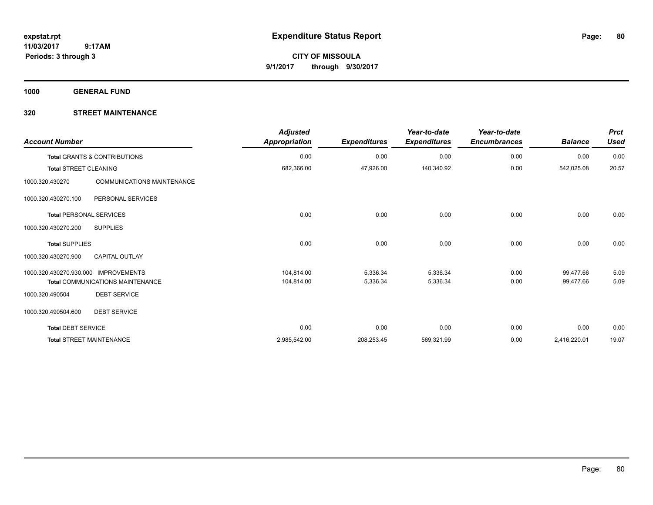**Periods: 3 through 3**

**CITY OF MISSOULA 9/1/2017 through 9/30/2017**

**1000 GENERAL FUND**

| <b>Account Number</b>          |                                         | <b>Adjusted</b><br><b>Appropriation</b> | <b>Expenditures</b> | Year-to-date<br><b>Expenditures</b> | Year-to-date<br><b>Encumbrances</b> | <b>Balance</b> | <b>Prct</b><br><b>Used</b> |
|--------------------------------|-----------------------------------------|-----------------------------------------|---------------------|-------------------------------------|-------------------------------------|----------------|----------------------------|
|                                | <b>Total GRANTS &amp; CONTRIBUTIONS</b> | 0.00                                    | 0.00                | 0.00                                | 0.00                                | 0.00           | 0.00                       |
| <b>Total STREET CLEANING</b>   |                                         | 682,366.00                              | 47,926.00           | 140,340.92                          | 0.00                                | 542,025.08     | 20.57                      |
| 1000.320.430270                | <b>COMMUNICATIONS MAINTENANCE</b>       |                                         |                     |                                     |                                     |                |                            |
| 1000.320.430270.100            | PERSONAL SERVICES                       |                                         |                     |                                     |                                     |                |                            |
| <b>Total PERSONAL SERVICES</b> |                                         | 0.00                                    | 0.00                | 0.00                                | 0.00                                | 0.00           | 0.00                       |
| 1000.320.430270.200            | <b>SUPPLIES</b>                         |                                         |                     |                                     |                                     |                |                            |
| <b>Total SUPPLIES</b>          |                                         | 0.00                                    | 0.00                | 0.00                                | 0.00                                | 0.00           | 0.00                       |
| 1000.320.430270.900            | <b>CAPITAL OUTLAY</b>                   |                                         |                     |                                     |                                     |                |                            |
| 1000.320.430270.930.000        | <b>IMPROVEMENTS</b>                     | 104,814.00                              | 5,336.34            | 5,336.34                            | 0.00                                | 99,477.66      | 5.09                       |
|                                | <b>Total COMMUNICATIONS MAINTENANCE</b> | 104,814.00                              | 5,336.34            | 5,336.34                            | 0.00                                | 99,477.66      | 5.09                       |
| 1000.320.490504                | <b>DEBT SERVICE</b>                     |                                         |                     |                                     |                                     |                |                            |
| 1000.320.490504.600            | <b>DEBT SERVICE</b>                     |                                         |                     |                                     |                                     |                |                            |
| <b>Total DEBT SERVICE</b>      |                                         | 0.00                                    | 0.00                | 0.00                                | 0.00                                | 0.00           | 0.00                       |
|                                | <b>Total STREET MAINTENANCE</b>         | 2,985,542.00                            | 208,253.45          | 569,321.99                          | 0.00                                | 2,416,220.01   | 19.07                      |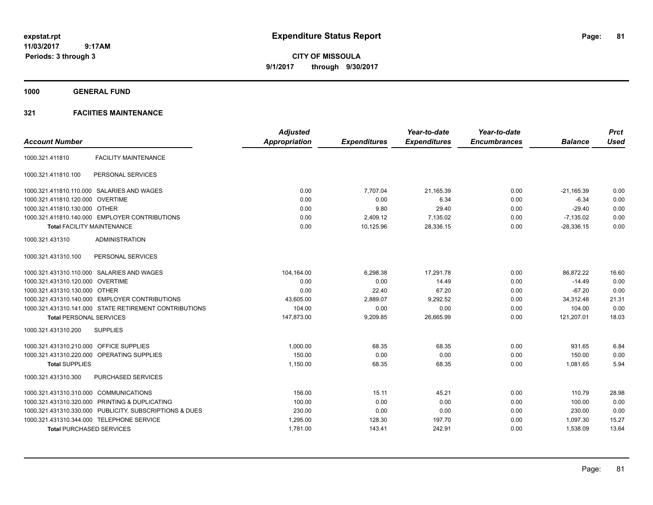**CITY OF MISSOULA 9/1/2017 through 9/30/2017**

**1000 GENERAL FUND**

# **321 FACIITIES MAINTENANCE**

|                                         |                                                         | <b>Adjusted</b>      |                     | Year-to-date        | Year-to-date        |                | <b>Prct</b> |
|-----------------------------------------|---------------------------------------------------------|----------------------|---------------------|---------------------|---------------------|----------------|-------------|
| <b>Account Number</b>                   |                                                         | <b>Appropriation</b> | <b>Expenditures</b> | <b>Expenditures</b> | <b>Encumbrances</b> | <b>Balance</b> | <b>Used</b> |
| 1000.321.411810                         | <b>FACILITY MAINTENANCE</b>                             |                      |                     |                     |                     |                |             |
| 1000.321.411810.100                     | PERSONAL SERVICES                                       |                      |                     |                     |                     |                |             |
|                                         | 1000.321.411810.110.000 SALARIES AND WAGES              | 0.00                 | 7.707.04            | 21,165.39           | 0.00                | $-21.165.39$   | 0.00        |
| 1000.321.411810.120.000 OVERTIME        |                                                         | 0.00                 | 0.00                | 6.34                | 0.00                | $-6.34$        | 0.00        |
| 1000.321.411810.130.000 OTHER           |                                                         | 0.00                 | 9.80                | 29.40               | 0.00                | $-29.40$       | 0.00        |
|                                         | 1000.321.411810.140.000 EMPLOYER CONTRIBUTIONS          | 0.00                 | 2,409.12            | 7,135.02            | 0.00                | $-7.135.02$    | 0.00        |
|                                         | <b>Total FACILITY MAINTENANCE</b>                       | 0.00                 | 10,125.96           | 28,336.15           | 0.00                | $-28,336.15$   | 0.00        |
| 1000.321.431310                         | <b>ADMINISTRATION</b>                                   |                      |                     |                     |                     |                |             |
| 1000.321.431310.100                     | PERSONAL SERVICES                                       |                      |                     |                     |                     |                |             |
|                                         | 1000.321.431310.110.000 SALARIES AND WAGES              | 104,164.00           | 6,298.38            | 17,291.78           | 0.00                | 86,872.22      | 16.60       |
| 1000.321.431310.120.000 OVERTIME        |                                                         | 0.00                 | 0.00                | 14.49               | 0.00                | $-14.49$       | 0.00        |
| 1000.321.431310.130.000 OTHER           |                                                         | 0.00                 | 22.40               | 67.20               | 0.00                | $-67.20$       | 0.00        |
|                                         | 1000.321.431310.140.000 EMPLOYER CONTRIBUTIONS          | 43,605.00            | 2,889.07            | 9,292.52            | 0.00                | 34,312.48      | 21.31       |
|                                         | 1000.321.431310.141.000 STATE RETIREMENT CONTRIBUTIONS  | 104.00               | 0.00                | 0.00                | 0.00                | 104.00         | 0.00        |
| <b>Total PERSONAL SERVICES</b>          |                                                         | 147,873.00           | 9,209.85            | 26,665.99           | 0.00                | 121,207.01     | 18.03       |
| 1000.321.431310.200                     | <b>SUPPLIES</b>                                         |                      |                     |                     |                     |                |             |
| 1000.321.431310.210.000 OFFICE SUPPLIES |                                                         | 1,000.00             | 68.35               | 68.35               | 0.00                | 931.65         | 6.84        |
|                                         | 1000.321.431310.220.000 OPERATING SUPPLIES              | 150.00               | 0.00                | 0.00                | 0.00                | 150.00         | 0.00        |
| <b>Total SUPPLIES</b>                   |                                                         | 1,150.00             | 68.35               | 68.35               | 0.00                | 1,081.65       | 5.94        |
| 1000.321.431310.300                     | <b>PURCHASED SERVICES</b>                               |                      |                     |                     |                     |                |             |
| 1000.321.431310.310.000 COMMUNICATIONS  |                                                         | 156.00               | 15.11               | 45.21               | 0.00                | 110.79         | 28.98       |
|                                         | 1000.321.431310.320.000 PRINTING & DUPLICATING          | 100.00               | 0.00                | 0.00                | 0.00                | 100.00         | 0.00        |
|                                         | 1000.321.431310.330.000 PUBLICITY, SUBSCRIPTIONS & DUES | 230.00               | 0.00                | 0.00                | 0.00                | 230.00         | 0.00        |
|                                         | 1000.321.431310.344.000 TELEPHONE SERVICE               | 1,295.00             | 128.30              | 197.70              | 0.00                | 1,097.30       | 15.27       |
|                                         | <b>Total PURCHASED SERVICES</b>                         | 1,781.00             | 143.41              | 242.91              | 0.00                | 1,538.09       | 13.64       |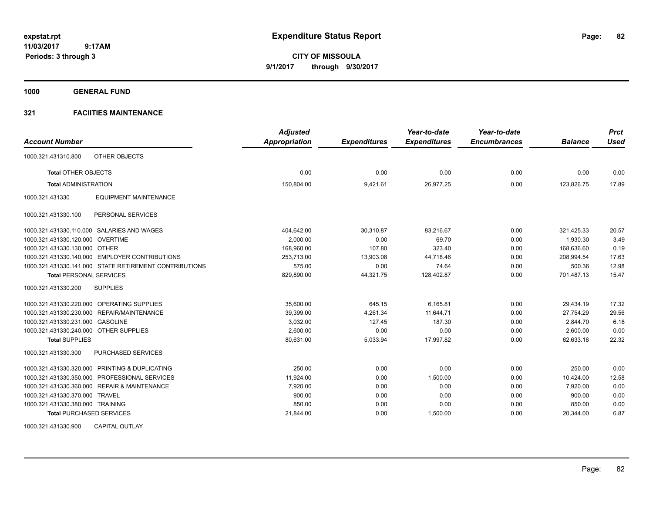**CITY OF MISSOULA 9/1/2017 through 9/30/2017**

**1000 GENERAL FUND**

# **321 FACIITIES MAINTENANCE**

| <b>Account Number</b>                                  | <b>Adjusted</b><br>Appropriation | <b>Expenditures</b> | Year-to-date<br><b>Expenditures</b> | Year-to-date<br><b>Encumbrances</b> | <b>Balance</b> | <b>Prct</b><br><b>Used</b> |
|--------------------------------------------------------|----------------------------------|---------------------|-------------------------------------|-------------------------------------|----------------|----------------------------|
|                                                        |                                  |                     |                                     |                                     |                |                            |
| 1000.321.431310.800<br>OTHER OBJECTS                   |                                  |                     |                                     |                                     |                |                            |
| <b>Total OTHER OBJECTS</b>                             | 0.00                             | 0.00                | 0.00                                | 0.00                                | 0.00           | 0.00                       |
| <b>Total ADMINISTRATION</b>                            | 150,804.00                       | 9,421.61            | 26,977.25                           | 0.00                                | 123,826.75     | 17.89                      |
| <b>EQUIPMENT MAINTENANCE</b><br>1000.321.431330        |                                  |                     |                                     |                                     |                |                            |
| PERSONAL SERVICES<br>1000.321.431330.100               |                                  |                     |                                     |                                     |                |                            |
| 1000.321.431330.110.000 SALARIES AND WAGES             | 404,642.00                       | 30,310.87           | 83,216.67                           | 0.00                                | 321,425.33     | 20.57                      |
| 1000.321.431330.120.000 OVERTIME                       | 2,000.00                         | 0.00                | 69.70                               | 0.00                                | 1,930.30       | 3.49                       |
| 1000.321.431330.130.000 OTHER                          | 168,960.00                       | 107.80              | 323.40                              | 0.00                                | 168,636.60     | 0.19                       |
| 1000.321.431330.140.000 EMPLOYER CONTRIBUTIONS         | 253.713.00                       | 13.903.08           | 44.718.46                           | 0.00                                | 208.994.54     | 17.63                      |
| 1000.321.431330.141.000 STATE RETIREMENT CONTRIBUTIONS | 575.00                           | 0.00                | 74.64                               | 0.00                                | 500.36         | 12.98                      |
| <b>Total PERSONAL SERVICES</b>                         | 829,890.00                       | 44,321.75           | 128,402.87                          | 0.00                                | 701,487.13     | 15.47                      |
| 1000.321.431330.200<br><b>SUPPLIES</b>                 |                                  |                     |                                     |                                     |                |                            |
| 1000.321.431330.220.000 OPERATING SUPPLIES             | 35.600.00                        | 645.15              | 6.165.81                            | 0.00                                | 29.434.19      | 17.32                      |
| 1000.321.431330.230.000 REPAIR/MAINTENANCE             | 39,399.00                        | 4.261.34            | 11.644.71                           | 0.00                                | 27,754.29      | 29.56                      |
| 1000.321.431330.231.000 GASOLINE                       | 3,032.00                         | 127.45              | 187.30                              | 0.00                                | 2,844.70       | 6.18                       |
| 1000.321.431330.240.000 OTHER SUPPLIES                 | 2,600.00                         | 0.00                | 0.00                                | 0.00                                | 2,600.00       | 0.00                       |
| <b>Total SUPPLIES</b>                                  | 80.631.00                        | 5,033.94            | 17.997.82                           | 0.00                                | 62.633.18      | 22.32                      |
| 1000.321.431330.300<br>PURCHASED SERVICES              |                                  |                     |                                     |                                     |                |                            |
| 1000.321.431330.320.000 PRINTING & DUPLICATING         | 250.00                           | 0.00                | 0.00                                | 0.00                                | 250.00         | 0.00                       |
| 1000.321.431330.350.000 PROFESSIONAL SERVICES          | 11,924.00                        | 0.00                | 1,500.00                            | 0.00                                | 10,424.00      | 12.58                      |
| 1000.321.431330.360.000 REPAIR & MAINTENANCE           | 7,920.00                         | 0.00                | 0.00                                | 0.00                                | 7.920.00       | 0.00                       |
| 1000.321.431330.370.000 TRAVEL                         | 900.00                           | 0.00                | 0.00                                | 0.00                                | 900.00         | 0.00                       |
| 1000.321.431330.380.000 TRAINING                       | 850.00                           | 0.00                | 0.00                                | 0.00                                | 850.00         | 0.00                       |
| <b>Total PURCHASED SERVICES</b>                        | 21,844.00                        | 0.00                | 1,500.00                            | 0.00                                | 20,344.00      | 6.87                       |
|                                                        |                                  |                     |                                     |                                     |                |                            |

1000.321.431330.900 CAPITAL OUTLAY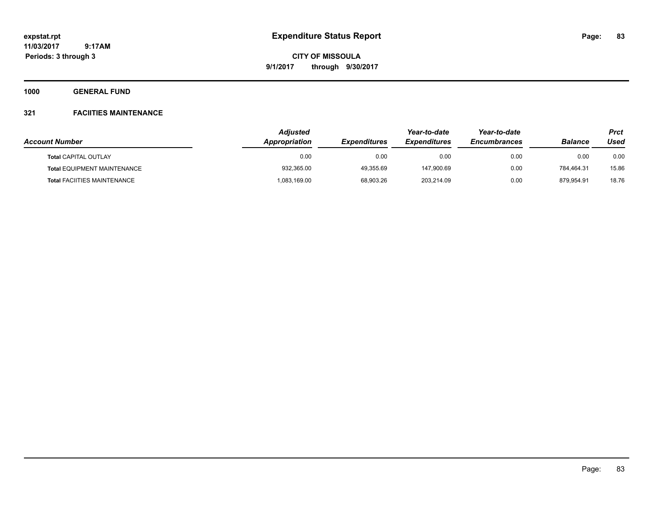**CITY OF MISSOULA 9/1/2017 through 9/30/2017**

**1000 GENERAL FUND**

# **321 FACIITIES MAINTENANCE**

| <b>Account Number</b>              | <b>Adjusted</b><br><b>Appropriation</b> | <i><b>Expenditures</b></i> | Year-to-date<br><i><b>Expenditures</b></i> | Year-to-date<br><b>Encumbrances</b> | <b>Balance</b> | <b>Prct</b><br>Used |
|------------------------------------|-----------------------------------------|----------------------------|--------------------------------------------|-------------------------------------|----------------|---------------------|
|                                    |                                         |                            |                                            |                                     |                |                     |
| <b>Total CAPITAL OUTLAY</b>        | 0.00                                    | 0.00                       | 0.00                                       | 0.00                                | 0.00           | 0.00                |
| <b>Total EQUIPMENT MAINTENANCE</b> | 932,365.00                              | 49.355.69                  | 147.900.69                                 | 0.00                                | 784.464.31     | 15.86               |
| <b>Total FACIITIES MAINTENANCE</b> | 083,169.00                              | 68.903.26                  | 203,214.09                                 | 0.00                                | 879.954.91     | 18.76               |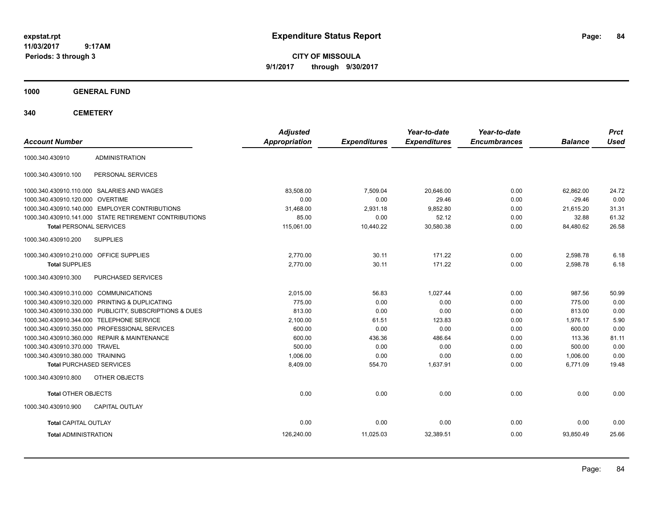**CITY OF MISSOULA 9/1/2017 through 9/30/2017**

**1000 GENERAL FUND**

| <b>Account Number</b>                   |                                                         | <b>Adjusted</b><br>Appropriation | <b>Expenditures</b> | Year-to-date<br><b>Expenditures</b> | Year-to-date<br><b>Encumbrances</b> | <b>Balance</b> | <b>Prct</b><br><b>Used</b> |
|-----------------------------------------|---------------------------------------------------------|----------------------------------|---------------------|-------------------------------------|-------------------------------------|----------------|----------------------------|
| 1000.340.430910                         | <b>ADMINISTRATION</b>                                   |                                  |                     |                                     |                                     |                |                            |
| 1000.340.430910.100                     | PERSONAL SERVICES                                       |                                  |                     |                                     |                                     |                |                            |
|                                         | 1000.340.430910.110.000 SALARIES AND WAGES              | 83,508.00                        | 7,509.04            | 20,646.00                           | 0.00                                | 62,862.00      | 24.72                      |
| 1000.340.430910.120.000 OVERTIME        |                                                         | 0.00                             | 0.00                | 29.46                               | 0.00                                | $-29.46$       | 0.00                       |
|                                         | 1000.340.430910.140.000 EMPLOYER CONTRIBUTIONS          | 31,468.00                        | 2,931.18            | 9,852.80                            | 0.00                                | 21,615.20      | 31.31                      |
|                                         | 1000.340.430910.141.000 STATE RETIREMENT CONTRIBUTIONS  | 85.00                            | 0.00                | 52.12                               | 0.00                                | 32.88          | 61.32                      |
| <b>Total PERSONAL SERVICES</b>          |                                                         | 115,061.00                       | 10,440.22           | 30,580.38                           | 0.00                                | 84,480.62      | 26.58                      |
| 1000.340.430910.200                     | <b>SUPPLIES</b>                                         |                                  |                     |                                     |                                     |                |                            |
| 1000.340.430910.210.000 OFFICE SUPPLIES |                                                         | 2,770.00                         | 30.11               | 171.22                              | 0.00                                | 2,598.78       | 6.18                       |
| <b>Total SUPPLIES</b>                   |                                                         | 2,770.00                         | 30.11               | 171.22                              | 0.00                                | 2,598.78       | 6.18                       |
| 1000.340.430910.300                     | PURCHASED SERVICES                                      |                                  |                     |                                     |                                     |                |                            |
| 1000.340.430910.310.000 COMMUNICATIONS  |                                                         | 2,015.00                         | 56.83               | 1,027.44                            | 0.00                                | 987.56         | 50.99                      |
|                                         | 1000.340.430910.320.000 PRINTING & DUPLICATING          | 775.00                           | 0.00                | 0.00                                | 0.00                                | 775.00         | 0.00                       |
|                                         | 1000.340.430910.330.000 PUBLICITY, SUBSCRIPTIONS & DUES | 813.00                           | 0.00                | 0.00                                | 0.00                                | 813.00         | 0.00                       |
|                                         | 1000.340.430910.344.000 TELEPHONE SERVICE               | 2,100.00                         | 61.51               | 123.83                              | 0.00                                | 1,976.17       | 5.90                       |
|                                         | 1000.340.430910.350.000 PROFESSIONAL SERVICES           | 600.00                           | 0.00                | 0.00                                | 0.00                                | 600.00         | 0.00                       |
|                                         | 1000.340.430910.360.000 REPAIR & MAINTENANCE            | 600.00                           | 436.36              | 486.64                              | 0.00                                | 113.36         | 81.11                      |
| 1000.340.430910.370.000 TRAVEL          |                                                         | 500.00                           | 0.00                | 0.00                                | 0.00                                | 500.00         | 0.00                       |
| 1000.340.430910.380.000 TRAINING        |                                                         | 1,006.00                         | 0.00                | 0.00                                | 0.00                                | 1,006.00       | 0.00                       |
| <b>Total PURCHASED SERVICES</b>         |                                                         | 8,409.00                         | 554.70              | 1,637.91                            | 0.00                                | 6,771.09       | 19.48                      |
| 1000.340.430910.800                     | OTHER OBJECTS                                           |                                  |                     |                                     |                                     |                |                            |
| Total OTHER OBJECTS                     |                                                         | 0.00                             | 0.00                | 0.00                                | 0.00                                | 0.00           | 0.00                       |
| 1000.340.430910.900                     | <b>CAPITAL OUTLAY</b>                                   |                                  |                     |                                     |                                     |                |                            |
| Total CAPITAL OUTLAY                    |                                                         | 0.00                             | 0.00                | 0.00                                | 0.00                                | 0.00           | 0.00                       |
| <b>Total ADMINISTRATION</b>             |                                                         | 126,240.00                       | 11,025.03           | 32,389.51                           | 0.00                                | 93,850.49      | 25.66                      |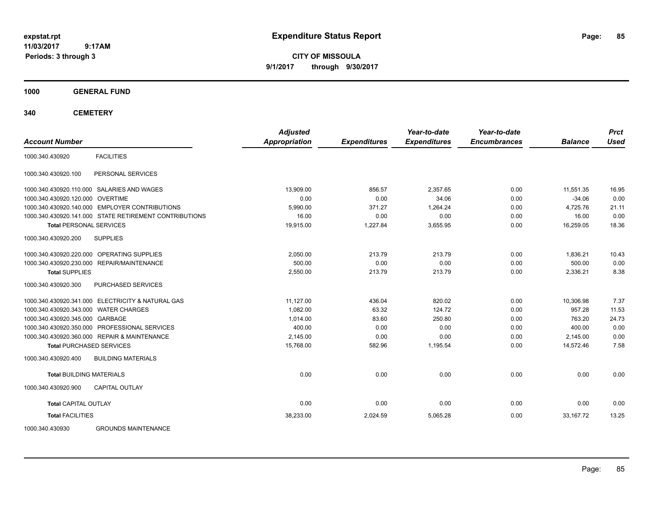**CITY OF MISSOULA 9/1/2017 through 9/30/2017**

**1000 GENERAL FUND**

|                                                        | <b>Adjusted</b>      |                     | Year-to-date        | Year-to-date        |                | <b>Prct</b> |
|--------------------------------------------------------|----------------------|---------------------|---------------------|---------------------|----------------|-------------|
| <b>Account Number</b>                                  | <b>Appropriation</b> | <b>Expenditures</b> | <b>Expenditures</b> | <b>Encumbrances</b> | <b>Balance</b> | <b>Used</b> |
| <b>FACILITIES</b><br>1000.340.430920                   |                      |                     |                     |                     |                |             |
| PERSONAL SERVICES<br>1000.340.430920.100               |                      |                     |                     |                     |                |             |
| 1000.340.430920.110.000 SALARIES AND WAGES             | 13.909.00            | 856.57              | 2.357.65            | 0.00                | 11.551.35      | 16.95       |
| 1000.340.430920.120.000 OVERTIME                       | 0.00                 | 0.00                | 34.06               | 0.00                | $-34.06$       | 0.00        |
| 1000.340.430920.140.000 EMPLOYER CONTRIBUTIONS         | 5.990.00             | 371.27              | 1.264.24            | 0.00                | 4.725.76       | 21.11       |
| 1000.340.430920.141.000 STATE RETIREMENT CONTRIBUTIONS | 16.00                | 0.00                | 0.00                | 0.00                | 16.00          | 0.00        |
| <b>Total PERSONAL SERVICES</b>                         | 19,915.00            | 1,227.84            | 3,655.95            | 0.00                | 16,259.05      | 18.36       |
| 1000.340.430920.200<br><b>SUPPLIES</b>                 |                      |                     |                     |                     |                |             |
| 1000.340.430920.220.000 OPERATING SUPPLIES             | 2.050.00             | 213.79              | 213.79              | 0.00                | 1.836.21       | 10.43       |
| 1000.340.430920.230.000 REPAIR/MAINTENANCE             | 500.00               | 0.00                | 0.00                | 0.00                | 500.00         | 0.00        |
| <b>Total SUPPLIES</b>                                  | 2,550.00             | 213.79              | 213.79              | 0.00                | 2,336.21       | 8.38        |
| 1000.340.430920.300<br><b>PURCHASED SERVICES</b>       |                      |                     |                     |                     |                |             |
| 1000.340.430920.341.000 ELECTRICITY & NATURAL GAS      | 11,127.00            | 436.04              | 820.02              | 0.00                | 10,306.98      | 7.37        |
| 1000.340.430920.343.000 WATER CHARGES                  | 1,082.00             | 63.32               | 124.72              | 0.00                | 957.28         | 11.53       |
| 1000.340.430920.345.000 GARBAGE                        | 1.014.00             | 83.60               | 250.80              | 0.00                | 763.20         | 24.73       |
| 1000.340.430920.350.000 PROFESSIONAL SERVICES          | 400.00               | 0.00                | 0.00                | 0.00                | 400.00         | 0.00        |
| 1000.340.430920.360.000 REPAIR & MAINTENANCE           | 2,145.00             | 0.00                | 0.00                | 0.00                | 2,145.00       | 0.00        |
| <b>Total PURCHASED SERVICES</b>                        | 15,768.00            | 582.96              | 1,195.54            | 0.00                | 14,572.46      | 7.58        |
| 1000.340.430920.400<br><b>BUILDING MATERIALS</b>       |                      |                     |                     |                     |                |             |
| <b>Total BUILDING MATERIALS</b>                        | 0.00                 | 0.00                | 0.00                | 0.00                | 0.00           | 0.00        |
| 1000.340.430920.900<br>CAPITAL OUTLAY                  |                      |                     |                     |                     |                |             |
| <b>Total CAPITAL OUTLAY</b>                            | 0.00                 | 0.00                | 0.00                | 0.00                | 0.00           | 0.00        |
| <b>Total FACILITIES</b>                                | 38,233.00            | 2,024.59            | 5,065.28            | 0.00                | 33.167.72      | 13.25       |
| 1000.340.430930<br><b>GROUNDS MAINTENANCE</b>          |                      |                     |                     |                     |                |             |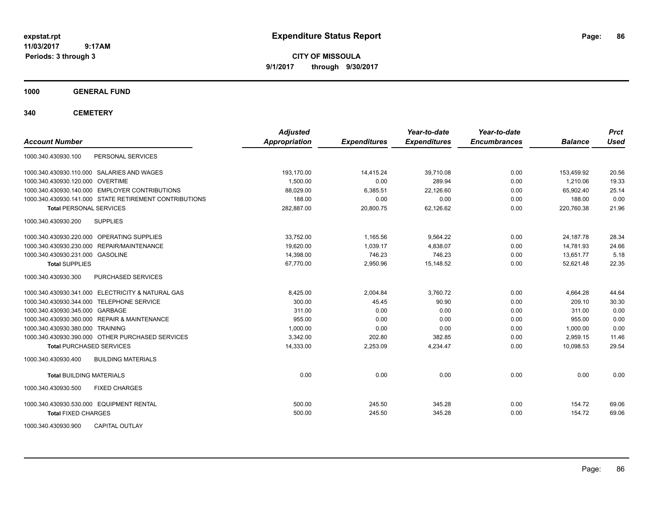**CITY OF MISSOULA 9/1/2017 through 9/30/2017**

**1000 GENERAL FUND**

| <b>Account Number</b>                                  | <b>Adjusted</b><br>Appropriation | <b>Expenditures</b> | Year-to-date<br><b>Expenditures</b> | Year-to-date<br><b>Encumbrances</b> | <b>Balance</b> | <b>Prct</b><br><b>Used</b> |
|--------------------------------------------------------|----------------------------------|---------------------|-------------------------------------|-------------------------------------|----------------|----------------------------|
| PERSONAL SERVICES<br>1000.340.430930.100               |                                  |                     |                                     |                                     |                |                            |
| 1000.340.430930.110.000 SALARIES AND WAGES             | 193.170.00                       | 14,415.24           | 39.710.08                           | 0.00                                | 153,459.92     | 20.56                      |
| 1000.340.430930.120.000 OVERTIME                       | 1.500.00                         | 0.00                | 289.94                              | 0.00                                | 1.210.06       | 19.33                      |
| 1000.340.430930.140.000 EMPLOYER CONTRIBUTIONS         | 88,029.00                        | 6,385.51            | 22,126.60                           | 0.00                                | 65,902.40      | 25.14                      |
| 1000.340.430930.141.000 STATE RETIREMENT CONTRIBUTIONS | 188.00                           | 0.00                | 0.00                                | 0.00                                | 188.00         | 0.00                       |
| <b>Total PERSONAL SERVICES</b>                         | 282,887.00                       | 20,800.75           | 62,126.62                           | 0.00                                | 220,760.38     | 21.96                      |
| <b>SUPPLIES</b><br>1000.340.430930.200                 |                                  |                     |                                     |                                     |                |                            |
| 1000.340.430930.220.000 OPERATING SUPPLIES             | 33.752.00                        | 1.165.56            | 9.564.22                            | 0.00                                | 24,187.78      | 28.34                      |
| 1000.340.430930.230.000 REPAIR/MAINTENANCE             | 19.620.00                        | 1,039.17            | 4,838.07                            | 0.00                                | 14,781.93      | 24.66                      |
| 1000.340.430930.231.000 GASOLINE                       | 14,398.00                        | 746.23              | 746.23                              | 0.00                                | 13,651.77      | 5.18                       |
| <b>Total SUPPLIES</b>                                  | 67,770.00                        | 2,950.96            | 15,148.52                           | 0.00                                | 52,621.48      | 22.35                      |
| 1000.340.430930.300<br>PURCHASED SERVICES              |                                  |                     |                                     |                                     |                |                            |
| 1000.340.430930.341.000 ELECTRICITY & NATURAL GAS      | 8.425.00                         | 2,004.84            | 3.760.72                            | 0.00                                | 4.664.28       | 44.64                      |
| 1000.340.430930.344.000 TELEPHONE SERVICE              | 300.00                           | 45.45               | 90.90                               | 0.00                                | 209.10         | 30.30                      |
| 1000.340.430930.345.000 GARBAGE                        | 311.00                           | 0.00                | 0.00                                | 0.00                                | 311.00         | 0.00                       |
| 1000.340.430930.360.000 REPAIR & MAINTENANCE           | 955.00                           | 0.00                | 0.00                                | 0.00                                | 955.00         | 0.00                       |
| 1000.340.430930.380.000 TRAINING                       | 1.000.00                         | 0.00                | 0.00                                | 0.00                                | 1.000.00       | 0.00                       |
| 1000.340.430930.390.000 OTHER PURCHASED SERVICES       | 3,342.00                         | 202.80              | 382.85                              | 0.00                                | 2,959.15       | 11.46                      |
| <b>Total PURCHASED SERVICES</b>                        | 14,333.00                        | 2,253.09            | 4,234.47                            | 0.00                                | 10,098.53      | 29.54                      |
| 1000.340.430930.400<br><b>BUILDING MATERIALS</b>       |                                  |                     |                                     |                                     |                |                            |
| <b>Total BUILDING MATERIALS</b>                        | 0.00                             | 0.00                | 0.00                                | 0.00                                | 0.00           | 0.00                       |
| 1000.340.430930.500<br><b>FIXED CHARGES</b>            |                                  |                     |                                     |                                     |                |                            |
| 1000.340.430930.530.000 EQUIPMENT RENTAL               | 500.00                           | 245.50              | 345.28                              | 0.00                                | 154.72         | 69.06                      |
| <b>Total FIXED CHARGES</b>                             | 500.00                           | 245.50              | 345.28                              | 0.00                                | 154.72         | 69.06                      |
| <b>CAPITAL OUTLAY</b><br>1000.340.430930.900           |                                  |                     |                                     |                                     |                |                            |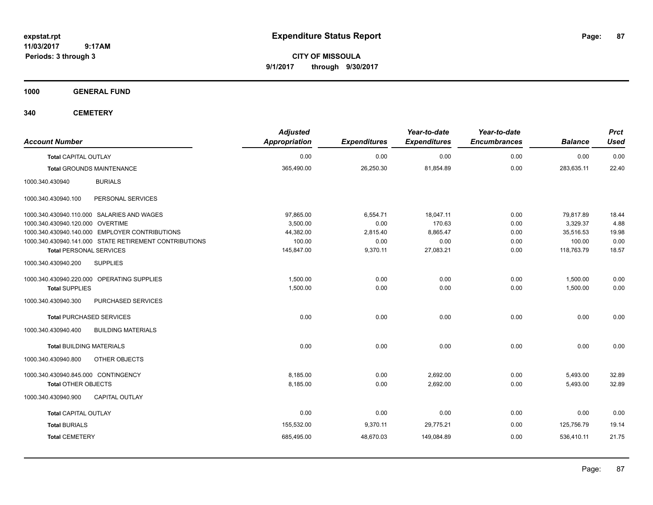**CITY OF MISSOULA 9/1/2017 through 9/30/2017**

**1000 GENERAL FUND**

| <b>Account Number</b>                                  | <b>Adjusted</b><br>Appropriation | <b>Expenditures</b> | Year-to-date<br><b>Expenditures</b> | Year-to-date<br><b>Encumbrances</b> | <b>Balance</b> | <b>Prct</b><br><b>Used</b> |
|--------------------------------------------------------|----------------------------------|---------------------|-------------------------------------|-------------------------------------|----------------|----------------------------|
| <b>Total CAPITAL OUTLAY</b>                            | 0.00                             | 0.00                | 0.00                                | 0.00                                | 0.00           | 0.00                       |
| <b>Total GROUNDS MAINTENANCE</b>                       | 365,490.00                       | 26,250.30           | 81,854.89                           | 0.00                                | 283,635.11     | 22.40                      |
| 1000.340.430940<br><b>BURIALS</b>                      |                                  |                     |                                     |                                     |                |                            |
| PERSONAL SERVICES<br>1000.340.430940.100               |                                  |                     |                                     |                                     |                |                            |
| 1000.340.430940.110.000 SALARIES AND WAGES             | 97.865.00                        | 6,554.71            | 18.047.11                           | 0.00                                | 79,817.89      | 18.44                      |
| 1000.340.430940.120.000 OVERTIME                       | 3,500.00                         | 0.00                | 170.63                              | 0.00                                | 3,329.37       | 4.88                       |
| 1000.340.430940.140.000 EMPLOYER CONTRIBUTIONS         | 44,382.00                        | 2,815.40            | 8,865.47                            | 0.00                                | 35,516.53      | 19.98                      |
| 1000.340.430940.141.000 STATE RETIREMENT CONTRIBUTIONS | 100.00                           | 0.00                | 0.00                                | 0.00                                | 100.00         | 0.00                       |
| <b>Total PERSONAL SERVICES</b>                         | 145,847.00                       | 9,370.11            | 27,083.21                           | 0.00                                | 118,763.79     | 18.57                      |
| 1000.340.430940.200<br><b>SUPPLIES</b>                 |                                  |                     |                                     |                                     |                |                            |
| 1000.340.430940.220.000 OPERATING SUPPLIES             | 1,500.00                         | 0.00                | 0.00                                | 0.00                                | 1,500.00       | 0.00                       |
| <b>Total SUPPLIES</b>                                  | 1,500.00                         | 0.00                | 0.00                                | 0.00                                | 1,500.00       | 0.00                       |
| 1000.340.430940.300<br>PURCHASED SERVICES              |                                  |                     |                                     |                                     |                |                            |
| <b>Total PURCHASED SERVICES</b>                        | 0.00                             | 0.00                | 0.00                                | 0.00                                | 0.00           | 0.00                       |
| 1000.340.430940.400<br><b>BUILDING MATERIALS</b>       |                                  |                     |                                     |                                     |                |                            |
| <b>Total BUILDING MATERIALS</b>                        | 0.00                             | 0.00                | 0.00                                | 0.00                                | 0.00           | 0.00                       |
| 1000.340.430940.800<br>OTHER OBJECTS                   |                                  |                     |                                     |                                     |                |                            |
| 1000.340.430940.845.000 CONTINGENCY                    | 8,185.00                         | 0.00                | 2,692.00                            | 0.00                                | 5,493.00       | 32.89                      |
| <b>Total OTHER OBJECTS</b>                             | 8,185.00                         | 0.00                | 2,692.00                            | 0.00                                | 5,493.00       | 32.89                      |
| 1000.340.430940.900<br><b>CAPITAL OUTLAY</b>           |                                  |                     |                                     |                                     |                |                            |
| <b>Total CAPITAL OUTLAY</b>                            | 0.00                             | 0.00                | 0.00                                | 0.00                                | 0.00           | 0.00                       |
| <b>Total BURIALS</b>                                   | 155,532.00                       | 9,370.11            | 29,775.21                           | 0.00                                | 125,756.79     | 19.14                      |
| <b>Total CEMETERY</b>                                  | 685,495.00                       | 48,670.03           | 149,084.89                          | 0.00                                | 536,410.11     | 21.75                      |
|                                                        |                                  |                     |                                     |                                     |                |                            |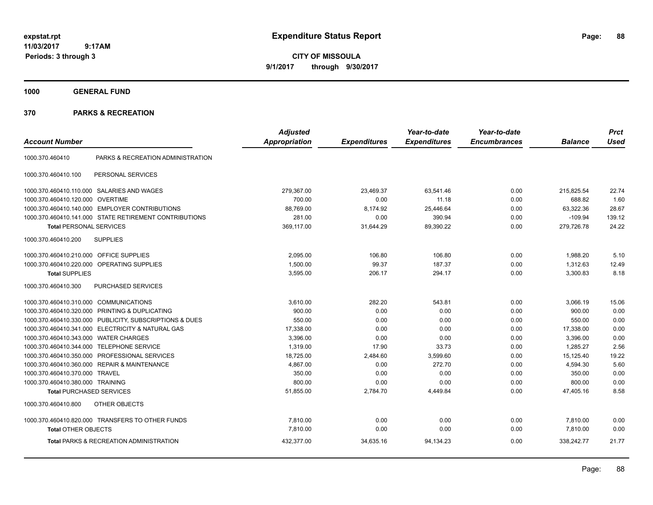**CITY OF MISSOULA 9/1/2017 through 9/30/2017**

**1000 GENERAL FUND**

|                                         |                                                         | <b>Adjusted</b> |                     | Year-to-date        | Year-to-date        |                | <b>Prct</b> |
|-----------------------------------------|---------------------------------------------------------|-----------------|---------------------|---------------------|---------------------|----------------|-------------|
| <b>Account Number</b>                   |                                                         | Appropriation   | <b>Expenditures</b> | <b>Expenditures</b> | <b>Encumbrances</b> | <b>Balance</b> | <b>Used</b> |
| 1000.370.460410                         | PARKS & RECREATION ADMINISTRATION                       |                 |                     |                     |                     |                |             |
| 1000.370.460410.100                     | PERSONAL SERVICES                                       |                 |                     |                     |                     |                |             |
|                                         | 1000.370.460410.110.000 SALARIES AND WAGES              | 279.367.00      | 23.469.37           | 63.541.46           | 0.00                | 215.825.54     | 22.74       |
| 1000.370.460410.120.000                 | <b>OVERTIME</b>                                         | 700.00          | 0.00                | 11.18               | 0.00                | 688.82         | 1.60        |
|                                         | 1000.370.460410.140.000 EMPLOYER CONTRIBUTIONS          | 88,769.00       | 8,174.92            | 25,446.64           | 0.00                | 63,322.36      | 28.67       |
|                                         | 1000.370.460410.141.000 STATE RETIREMENT CONTRIBUTIONS  | 281.00          | 0.00                | 390.94              | 0.00                | $-109.94$      | 139.12      |
| <b>Total PERSONAL SERVICES</b>          |                                                         | 369,117.00      | 31,644.29           | 89,390.22           | 0.00                | 279,726.78     | 24.22       |
| 1000.370.460410.200                     | <b>SUPPLIES</b>                                         |                 |                     |                     |                     |                |             |
| 1000.370.460410.210.000 OFFICE SUPPLIES |                                                         | 2.095.00        | 106.80              | 106.80              | 0.00                | 1,988.20       | 5.10        |
| 1000.370.460410.220.000                 | OPERATING SUPPLIES                                      | 1,500.00        | 99.37               | 187.37              | 0.00                | 1,312.63       | 12.49       |
| <b>Total SUPPLIES</b>                   |                                                         | 3,595.00        | 206.17              | 294.17              | 0.00                | 3,300.83       | 8.18        |
| 1000.370.460410.300                     | <b>PURCHASED SERVICES</b>                               |                 |                     |                     |                     |                |             |
| 1000.370.460410.310.000 COMMUNICATIONS  |                                                         | 3.610.00        | 282.20              | 543.81              | 0.00                | 3,066.19       | 15.06       |
| 1000.370.460410.320.000                 | PRINTING & DUPLICATING                                  | 900.00          | 0.00                | 0.00                | 0.00                | 900.00         | 0.00        |
|                                         | 1000.370.460410.330.000 PUBLICITY, SUBSCRIPTIONS & DUES | 550.00          | 0.00                | 0.00                | 0.00                | 550.00         | 0.00        |
|                                         | 1000.370.460410.341.000 ELECTRICITY & NATURAL GAS       | 17,338.00       | 0.00                | 0.00                | 0.00                | 17,338.00      | 0.00        |
| 1000.370.460410.343.000                 | <b>WATER CHARGES</b>                                    | 3,396.00        | 0.00                | 0.00                | 0.00                | 3,396.00       | 0.00        |
| 1000.370.460410.344.000                 | <b>TELEPHONE SERVICE</b>                                | 1,319.00        | 17.90               | 33.73               | 0.00                | 1,285.27       | 2.56        |
|                                         | 1000.370.460410.350.000 PROFESSIONAL SERVICES           | 18,725.00       | 2,484.60            | 3,599.60            | 0.00                | 15,125.40      | 19.22       |
|                                         | 1000.370.460410.360.000 REPAIR & MAINTENANCE            | 4,867.00        | 0.00                | 272.70              | 0.00                | 4,594.30       | 5.60        |
| 1000.370.460410.370.000                 | <b>TRAVEL</b>                                           | 350.00          | 0.00                | 0.00                | 0.00                | 350.00         | 0.00        |
| 1000.370.460410.380.000 TRAINING        |                                                         | 800.00          | 0.00                | 0.00                | 0.00                | 800.00         | 0.00        |
| <b>Total PURCHASED SERVICES</b>         |                                                         | 51,855.00       | 2,784.70            | 4,449.84            | 0.00                | 47,405.16      | 8.58        |
| 1000.370.460410.800                     | <b>OTHER OBJECTS</b>                                    |                 |                     |                     |                     |                |             |
|                                         | 1000.370.460410.820.000 TRANSFERS TO OTHER FUNDS        | 7,810.00        | 0.00                | 0.00                | 0.00                | 7,810.00       | 0.00        |
| <b>Total OTHER OBJECTS</b>              |                                                         | 7,810.00        | 0.00                | 0.00                | 0.00                | 7,810.00       | 0.00        |
|                                         | <b>Total PARKS &amp; RECREATION ADMINISTRATION</b>      | 432,377.00      | 34,635.16           | 94,134.23           | 0.00                | 338,242.77     | 21.77       |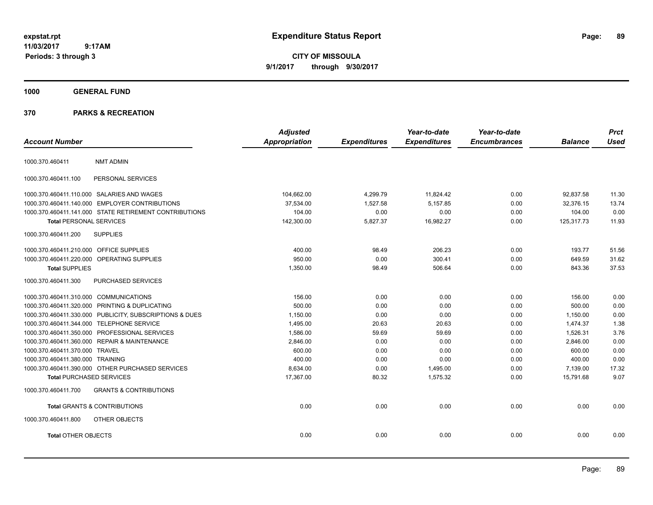**CITY OF MISSOULA 9/1/2017 through 9/30/2017**

**1000 GENERAL FUND**

| <b>Account Number</b>                   |                                                         | <b>Adjusted</b><br>Appropriation | <b>Expenditures</b> | Year-to-date<br><b>Expenditures</b> | Year-to-date<br><b>Encumbrances</b> | <b>Balance</b> | <b>Prct</b><br><b>Used</b> |
|-----------------------------------------|---------------------------------------------------------|----------------------------------|---------------------|-------------------------------------|-------------------------------------|----------------|----------------------------|
| 1000.370.460411                         | <b>NMT ADMIN</b>                                        |                                  |                     |                                     |                                     |                |                            |
| 1000.370.460411.100                     | PERSONAL SERVICES                                       |                                  |                     |                                     |                                     |                |                            |
|                                         | 1000.370.460411.110.000 SALARIES AND WAGES              | 104,662.00                       | 4,299.79            | 11,824.42                           | 0.00                                | 92,837.58      | 11.30                      |
|                                         | 1000.370.460411.140.000 EMPLOYER CONTRIBUTIONS          | 37,534.00                        | 1,527.58            | 5,157.85                            | 0.00                                | 32,376.15      | 13.74                      |
|                                         | 1000.370.460411.141.000 STATE RETIREMENT CONTRIBUTIONS  | 104.00                           | 0.00                | 0.00                                | 0.00                                | 104.00         | 0.00                       |
| <b>Total PERSONAL SERVICES</b>          |                                                         | 142,300.00                       | 5,827.37            | 16,982.27                           | 0.00                                | 125,317.73     | 11.93                      |
| 1000.370.460411.200                     | <b>SUPPLIES</b>                                         |                                  |                     |                                     |                                     |                |                            |
| 1000.370.460411.210.000 OFFICE SUPPLIES |                                                         | 400.00                           | 98.49               | 206.23                              | 0.00                                | 193.77         | 51.56                      |
|                                         | 1000.370.460411.220.000 OPERATING SUPPLIES              | 950.00                           | 0.00                | 300.41                              | 0.00                                | 649.59         | 31.62                      |
| <b>Total SUPPLIES</b>                   |                                                         | 1,350.00                         | 98.49               | 506.64                              | 0.00                                | 843.36         | 37.53                      |
| 1000.370.460411.300                     | PURCHASED SERVICES                                      |                                  |                     |                                     |                                     |                |                            |
| 1000.370.460411.310.000 COMMUNICATIONS  |                                                         | 156.00                           | 0.00                | 0.00                                | 0.00                                | 156.00         | 0.00                       |
|                                         | 1000.370.460411.320.000 PRINTING & DUPLICATING          | 500.00                           | 0.00                | 0.00                                | 0.00                                | 500.00         | 0.00                       |
|                                         | 1000.370.460411.330.000 PUBLICITY, SUBSCRIPTIONS & DUES | 1,150.00                         | 0.00                | 0.00                                | 0.00                                | 1,150.00       | 0.00                       |
|                                         | 1000.370.460411.344.000 TELEPHONE SERVICE               | 1,495.00                         | 20.63               | 20.63                               | 0.00                                | 1,474.37       | 1.38                       |
|                                         | 1000.370.460411.350.000 PROFESSIONAL SERVICES           | 1,586.00                         | 59.69               | 59.69                               | 0.00                                | 1,526.31       | 3.76                       |
|                                         | 1000.370.460411.360.000 REPAIR & MAINTENANCE            | 2,846.00                         | 0.00                | 0.00                                | 0.00                                | 2.846.00       | 0.00                       |
| 1000.370.460411.370.000 TRAVEL          |                                                         | 600.00                           | 0.00                | 0.00                                | 0.00                                | 600.00         | 0.00                       |
| 1000.370.460411.380.000 TRAINING        |                                                         | 400.00                           | 0.00                | 0.00                                | 0.00                                | 400.00         | 0.00                       |
|                                         | 1000.370.460411.390.000 OTHER PURCHASED SERVICES        | 8.634.00                         | 0.00                | 1,495.00                            | 0.00                                | 7.139.00       | 17.32                      |
| <b>Total PURCHASED SERVICES</b>         |                                                         | 17,367.00                        | 80.32               | 1,575.32                            | 0.00                                | 15,791.68      | 9.07                       |
| 1000.370.460411.700                     | <b>GRANTS &amp; CONTRIBUTIONS</b>                       |                                  |                     |                                     |                                     |                |                            |
|                                         | Total GRANTS & CONTRIBUTIONS                            | 0.00                             | 0.00                | 0.00                                | 0.00                                | 0.00           | 0.00                       |
| 1000.370.460411.800                     | OTHER OBJECTS                                           |                                  |                     |                                     |                                     |                |                            |
| <b>Total OTHER OBJECTS</b>              |                                                         | 0.00                             | 0.00                | 0.00                                | 0.00                                | 0.00           | 0.00                       |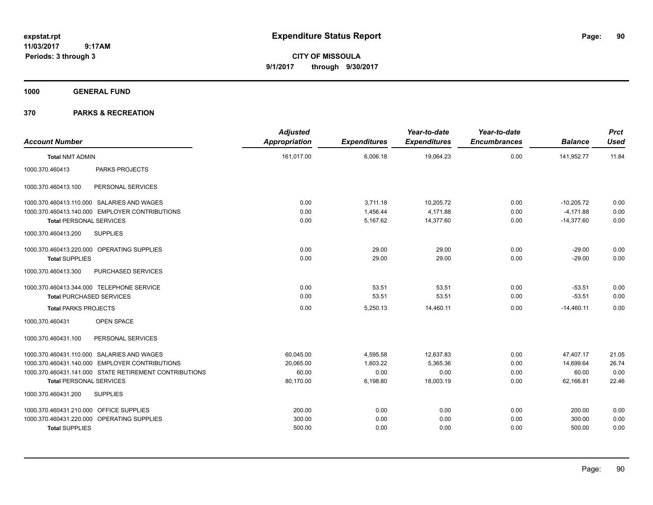**CITY OF MISSOULA 9/1/2017 through 9/30/2017**

**1000 GENERAL FUND**

| <b>Account Number</b>                                  | <b>Adjusted</b><br><b>Appropriation</b> | <b>Expenditures</b> | Year-to-date<br><b>Expenditures</b> | Year-to-date<br><b>Encumbrances</b> | <b>Balance</b> | <b>Prct</b><br><b>Used</b> |
|--------------------------------------------------------|-----------------------------------------|---------------------|-------------------------------------|-------------------------------------|----------------|----------------------------|
| <b>Total NMT ADMIN</b>                                 | 161,017.00                              | 6,006.18            | 19,064.23                           | 0.00                                | 141,952.77     | 11.84                      |
| PARKS PROJECTS<br>1000.370.460413                      |                                         |                     |                                     |                                     |                |                            |
| 1000.370.460413.100<br>PERSONAL SERVICES               |                                         |                     |                                     |                                     |                |                            |
| 1000.370.460413.110.000 SALARIES AND WAGES             | 0.00                                    | 3,711.18            | 10,205.72                           | 0.00                                | $-10,205.72$   | 0.00                       |
| 1000.370.460413.140.000 EMPLOYER CONTRIBUTIONS         | 0.00                                    | 1,456.44            | 4,171.88                            | 0.00                                | $-4,171.88$    | 0.00                       |
| <b>Total PERSONAL SERVICES</b>                         | 0.00                                    | 5,167.62            | 14,377.60                           | 0.00                                | $-14,377.60$   | 0.00                       |
| 1000.370.460413.200<br><b>SUPPLIES</b>                 |                                         |                     |                                     |                                     |                |                            |
| 1000.370.460413.220.000 OPERATING SUPPLIES             | 0.00                                    | 29.00               | 29.00                               | 0.00                                | $-29.00$       | 0.00                       |
| <b>Total SUPPLIES</b>                                  | 0.00                                    | 29.00               | 29.00                               | 0.00                                | $-29.00$       | 0.00                       |
| 1000.370.460413.300<br>PURCHASED SERVICES              |                                         |                     |                                     |                                     |                |                            |
| 1000.370.460413.344.000 TELEPHONE SERVICE              | 0.00                                    | 53.51               | 53.51                               | 0.00                                | $-53.51$       | 0.00                       |
| <b>Total PURCHASED SERVICES</b>                        | 0.00                                    | 53.51               | 53.51                               | 0.00                                | $-53.51$       | 0.00                       |
| <b>Total PARKS PROJECTS</b>                            | 0.00                                    | 5,250.13            | 14,460.11                           | 0.00                                | $-14,460.11$   | 0.00                       |
| OPEN SPACE<br>1000.370.460431                          |                                         |                     |                                     |                                     |                |                            |
| 1000.370.460431.100<br>PERSONAL SERVICES               |                                         |                     |                                     |                                     |                |                            |
| 1000.370.460431.110.000 SALARIES AND WAGES             | 60,045.00                               | 4,595.58            | 12,637.83                           | 0.00                                | 47,407.17      | 21.05                      |
| 1000.370.460431.140.000 EMPLOYER CONTRIBUTIONS         | 20,065.00                               | 1,603.22            | 5,365.36                            | 0.00                                | 14,699.64      | 26.74                      |
| 1000.370.460431.141.000 STATE RETIREMENT CONTRIBUTIONS | 60.00                                   | 0.00                | 0.00                                | 0.00                                | 60.00          | 0.00                       |
| <b>Total PERSONAL SERVICES</b>                         | 80,170.00                               | 6,198.80            | 18,003.19                           | 0.00                                | 62,166.81      | 22.46                      |
| 1000.370.460431.200<br><b>SUPPLIES</b>                 |                                         |                     |                                     |                                     |                |                            |
| 1000.370.460431.210.000 OFFICE SUPPLIES                | 200.00                                  | 0.00                | 0.00                                | 0.00                                | 200.00         | 0.00                       |
| 1000.370.460431.220.000 OPERATING SUPPLIES             | 300.00                                  | 0.00                | 0.00                                | 0.00                                | 300.00         | 0.00                       |
| <b>Total SUPPLIES</b>                                  | 500.00                                  | 0.00                | 0.00                                | 0.00                                | 500.00         | 0.00                       |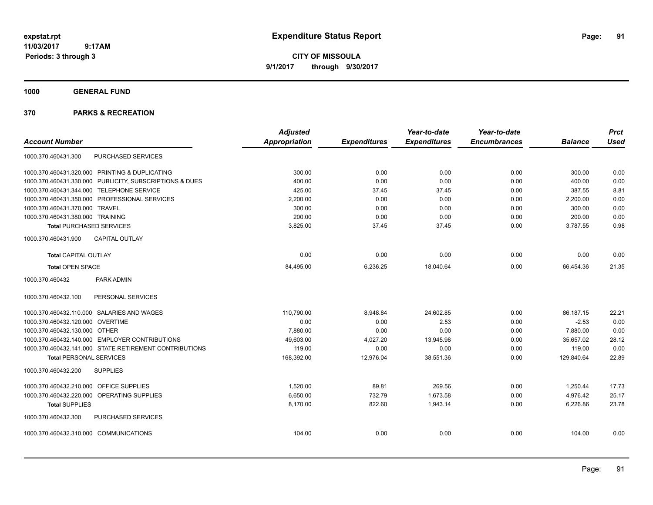**CITY OF MISSOULA 9/1/2017 through 9/30/2017**

**1000 GENERAL FUND**

|                                                         | <b>Adjusted</b> |                     | Year-to-date        | Year-to-date        |                | <b>Prct</b> |
|---------------------------------------------------------|-----------------|---------------------|---------------------|---------------------|----------------|-------------|
| <b>Account Number</b>                                   | Appropriation   | <b>Expenditures</b> | <b>Expenditures</b> | <b>Encumbrances</b> | <b>Balance</b> | <b>Used</b> |
| <b>PURCHASED SERVICES</b><br>1000.370.460431.300        |                 |                     |                     |                     |                |             |
| 1000.370.460431.320.000 PRINTING & DUPLICATING          | 300.00          | 0.00                | 0.00                | 0.00                | 300.00         | 0.00        |
| 1000.370.460431.330.000 PUBLICITY, SUBSCRIPTIONS & DUES | 400.00          | 0.00                | 0.00                | 0.00                | 400.00         | 0.00        |
| 1000.370.460431.344.000 TELEPHONE SERVICE               | 425.00          | 37.45               | 37.45               | 0.00                | 387.55         | 8.81        |
| 1000.370.460431.350.000 PROFESSIONAL SERVICES           | 2,200.00        | 0.00                | 0.00                | 0.00                | 2,200.00       | 0.00        |
| 1000.370.460431.370.000 TRAVEL                          | 300.00          | 0.00                | 0.00                | 0.00                | 300.00         | 0.00        |
| 1000.370.460431.380.000 TRAINING                        | 200.00          | 0.00                | 0.00                | 0.00                | 200.00         | 0.00        |
| <b>Total PURCHASED SERVICES</b>                         | 3,825.00        | 37.45               | 37.45               | 0.00                | 3,787.55       | 0.98        |
| <b>CAPITAL OUTLAY</b><br>1000.370.460431.900            |                 |                     |                     |                     |                |             |
| <b>Total CAPITAL OUTLAY</b>                             | 0.00            | 0.00                | 0.00                | 0.00                | 0.00           | 0.00        |
| <b>Total OPEN SPACE</b>                                 | 84,495.00       | 6,236.25            | 18,040.64           | 0.00                | 66,454.36      | 21.35       |
| 1000.370.460432<br><b>PARK ADMIN</b>                    |                 |                     |                     |                     |                |             |
| 1000.370.460432.100<br>PERSONAL SERVICES                |                 |                     |                     |                     |                |             |
| 1000.370.460432.110.000 SALARIES AND WAGES              | 110,790.00      | 8,948.84            | 24,602.85           | 0.00                | 86,187.15      | 22.21       |
| 1000.370.460432.120.000 OVERTIME                        | 0.00            | 0.00                | 2.53                | 0.00                | $-2.53$        | 0.00        |
| 1000.370.460432.130.000 OTHER                           | 7,880.00        | 0.00                | 0.00                | 0.00                | 7,880.00       | 0.00        |
| 1000.370.460432.140.000 EMPLOYER CONTRIBUTIONS          | 49,603.00       | 4,027.20            | 13,945.98           | 0.00                | 35,657.02      | 28.12       |
| 1000.370.460432.141.000 STATE RETIREMENT CONTRIBUTIONS  | 119.00          | 0.00                | 0.00                | 0.00                | 119.00         | 0.00        |
| <b>Total PERSONAL SERVICES</b>                          | 168,392.00      | 12,976.04           | 38,551.36           | 0.00                | 129,840.64     | 22.89       |
| 1000.370.460432.200<br><b>SUPPLIES</b>                  |                 |                     |                     |                     |                |             |
| 1000.370.460432.210.000 OFFICE SUPPLIES                 | 1,520.00        | 89.81               | 269.56              | 0.00                | 1,250.44       | 17.73       |
| 1000.370.460432.220.000 OPERATING SUPPLIES              | 6,650.00        | 732.79              | 1,673.58            | 0.00                | 4,976.42       | 25.17       |
| <b>Total SUPPLIES</b>                                   | 8,170.00        | 822.60              | 1,943.14            | 0.00                | 6,226.86       | 23.78       |
| PURCHASED SERVICES<br>1000.370.460432.300               |                 |                     |                     |                     |                |             |
| 1000.370.460432.310.000 COMMUNICATIONS                  | 104.00          | 0.00                | 0.00                | 0.00                | 104.00         | 0.00        |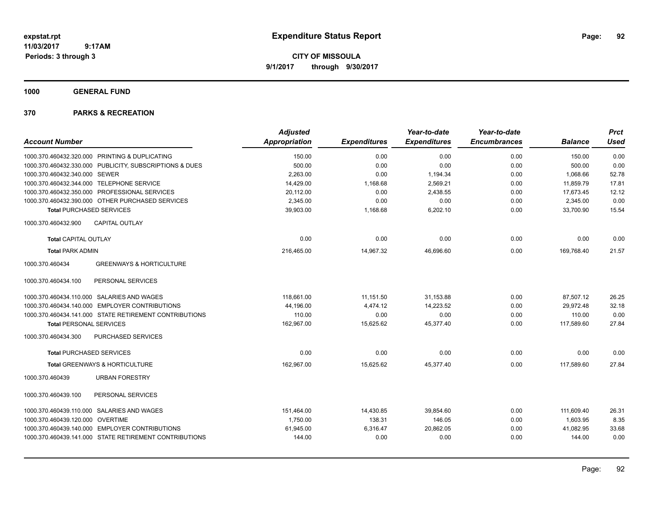**CITY OF MISSOULA 9/1/2017 through 9/30/2017**

**1000 GENERAL FUND**

| <b>Account Number</b>                                   | <b>Adjusted</b><br>Appropriation | <b>Expenditures</b> | Year-to-date<br><b>Expenditures</b> | Year-to-date<br><b>Encumbrances</b> | <b>Balance</b> | <b>Prct</b><br><b>Used</b> |
|---------------------------------------------------------|----------------------------------|---------------------|-------------------------------------|-------------------------------------|----------------|----------------------------|
| 1000.370.460432.320.000 PRINTING & DUPLICATING          | 150.00                           | 0.00                | 0.00                                | 0.00                                | 150.00         | 0.00                       |
| 1000.370.460432.330.000 PUBLICITY, SUBSCRIPTIONS & DUES | 500.00                           | 0.00                | 0.00                                | 0.00                                | 500.00         | 0.00                       |
| 1000.370.460432.340.000 SEWER                           | 2,263.00                         | 0.00                | 1,194.34                            | 0.00                                | 1,068.66       | 52.78                      |
| 1000.370.460432.344.000 TELEPHONE SERVICE               | 14,429.00                        | 1,168.68            | 2,569.21                            | 0.00                                | 11,859.79      | 17.81                      |
| 1000.370.460432.350.000 PROFESSIONAL SERVICES           | 20,112.00                        | 0.00                | 2,438.55                            | 0.00                                | 17,673.45      | 12.12                      |
| 1000.370.460432.390.000 OTHER PURCHASED SERVICES        | 2,345.00                         | 0.00                | 0.00                                | 0.00                                | 2,345.00       | 0.00                       |
| <b>Total PURCHASED SERVICES</b>                         | 39,903.00                        | 1,168.68            | 6,202.10                            | 0.00                                | 33,700.90      | 15.54                      |
| <b>CAPITAL OUTLAY</b><br>1000.370.460432.900            |                                  |                     |                                     |                                     |                |                            |
| <b>Total CAPITAL OUTLAY</b>                             | 0.00                             | 0.00                | 0.00                                | 0.00                                | 0.00           | 0.00                       |
| <b>Total PARK ADMIN</b>                                 | 216.465.00                       | 14,967.32           | 46.696.60                           | 0.00                                | 169.768.40     | 21.57                      |
| <b>GREENWAYS &amp; HORTICULTURE</b><br>1000.370.460434  |                                  |                     |                                     |                                     |                |                            |
| PERSONAL SERVICES<br>1000.370.460434.100                |                                  |                     |                                     |                                     |                |                            |
| 1000.370.460434.110.000 SALARIES AND WAGES              | 118,661.00                       | 11,151.50           | 31,153.88                           | 0.00                                | 87,507.12      | 26.25                      |
| 1000.370.460434.140.000 EMPLOYER CONTRIBUTIONS          | 44,196.00                        | 4,474.12            | 14,223.52                           | 0.00                                | 29,972.48      | 32.18                      |
| 1000.370.460434.141.000 STATE RETIREMENT CONTRIBUTIONS  | 110.00                           | 0.00                | 0.00                                | 0.00                                | 110.00         | 0.00                       |
| <b>Total PERSONAL SERVICES</b>                          | 162,967.00                       | 15,625.62           | 45,377.40                           | 0.00                                | 117,589.60     | 27.84                      |
| PURCHASED SERVICES<br>1000.370.460434.300               |                                  |                     |                                     |                                     |                |                            |
| <b>Total PURCHASED SERVICES</b>                         | 0.00                             | 0.00                | 0.00                                | 0.00                                | 0.00           | 0.00                       |
| Total GREENWAYS & HORTICULTURE                          | 162,967.00                       | 15,625.62           | 45,377.40                           | 0.00                                | 117,589.60     | 27.84                      |
| 1000.370.460439<br><b>URBAN FORESTRY</b>                |                                  |                     |                                     |                                     |                |                            |
| 1000.370.460439.100<br>PERSONAL SERVICES                |                                  |                     |                                     |                                     |                |                            |
| 1000.370.460439.110.000 SALARIES AND WAGES              | 151,464.00                       | 14,430.85           | 39,854.60                           | 0.00                                | 111.609.40     | 26.31                      |
| 1000.370.460439.120.000 OVERTIME                        | 1,750.00                         | 138.31              | 146.05                              | 0.00                                | 1,603.95       | 8.35                       |
| 1000.370.460439.140.000 EMPLOYER CONTRIBUTIONS          | 61,945.00                        | 6,316.47            | 20,862.05                           | 0.00                                | 41,082.95      | 33.68                      |
| 1000.370.460439.141.000 STATE RETIREMENT CONTRIBUTIONS  | 144.00                           | 0.00                | 0.00                                | 0.00                                | 144.00         | 0.00                       |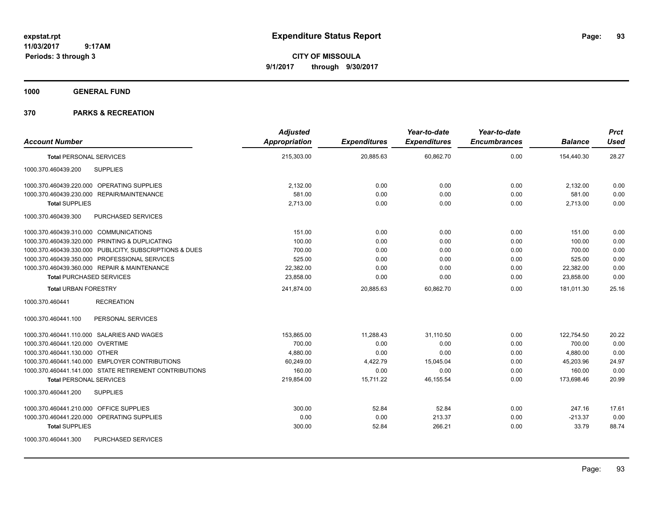**CITY OF MISSOULA 9/1/2017 through 9/30/2017**

**1000 GENERAL FUND**

| <b>Account Number</b>                                   | <b>Adjusted</b><br>Appropriation | <b>Expenditures</b> | Year-to-date<br><b>Expenditures</b> | Year-to-date<br><b>Encumbrances</b> | <b>Balance</b> | <b>Prct</b><br><b>Used</b> |
|---------------------------------------------------------|----------------------------------|---------------------|-------------------------------------|-------------------------------------|----------------|----------------------------|
| <b>Total PERSONAL SERVICES</b>                          | 215,303.00                       | 20,885.63           | 60,862.70                           | 0.00                                | 154,440.30     | 28.27                      |
| <b>SUPPLIES</b><br>1000.370.460439.200                  |                                  |                     |                                     |                                     |                |                            |
| 1000.370.460439.220.000 OPERATING SUPPLIES              | 2,132.00                         | 0.00                | 0.00                                | 0.00                                | 2,132.00       | 0.00                       |
| 1000.370.460439.230.000 REPAIR/MAINTENANCE              | 581.00                           | 0.00                | 0.00                                | 0.00                                | 581.00         | 0.00                       |
| <b>Total SUPPLIES</b>                                   | 2,713.00                         | 0.00                | 0.00                                | 0.00                                | 2,713.00       | 0.00                       |
| 1000.370.460439.300<br><b>PURCHASED SERVICES</b>        |                                  |                     |                                     |                                     |                |                            |
| 1000.370.460439.310.000 COMMUNICATIONS                  | 151.00                           | 0.00                | 0.00                                | 0.00                                | 151.00         | 0.00                       |
| 1000.370.460439.320.000 PRINTING & DUPLICATING          | 100.00                           | 0.00                | 0.00                                | 0.00                                | 100.00         | 0.00                       |
| 1000.370.460439.330.000 PUBLICITY, SUBSCRIPTIONS & DUES | 700.00                           | 0.00                | 0.00                                | 0.00                                | 700.00         | 0.00                       |
| 1000.370.460439.350.000 PROFESSIONAL SERVICES           | 525.00                           | 0.00                | 0.00                                | 0.00                                | 525.00         | 0.00                       |
| 1000.370.460439.360.000 REPAIR & MAINTENANCE            | 22,382.00                        | 0.00                | 0.00                                | 0.00                                | 22,382.00      | 0.00                       |
| <b>Total PURCHASED SERVICES</b>                         | 23,858.00                        | 0.00                | 0.00                                | 0.00                                | 23,858.00      | 0.00                       |
| <b>Total URBAN FORESTRY</b>                             | 241,874.00                       | 20,885.63           | 60.862.70                           | 0.00                                | 181.011.30     | 25.16                      |
| 1000.370.460441<br><b>RECREATION</b>                    |                                  |                     |                                     |                                     |                |                            |
| PERSONAL SERVICES<br>1000.370.460441.100                |                                  |                     |                                     |                                     |                |                            |
| 1000.370.460441.110.000 SALARIES AND WAGES              | 153,865.00                       | 11,288.43           | 31,110.50                           | 0.00                                | 122,754.50     | 20.22                      |
| 1000.370.460441.120.000 OVERTIME                        | 700.00                           | 0.00                | 0.00                                | 0.00                                | 700.00         | 0.00                       |
| 1000.370.460441.130.000 OTHER                           | 4,880.00                         | 0.00                | 0.00                                | 0.00                                | 4,880.00       | 0.00                       |
| 1000.370.460441.140.000 EMPLOYER CONTRIBUTIONS          | 60,249.00                        | 4,422.79            | 15,045.04                           | 0.00                                | 45,203.96      | 24.97                      |
| 1000.370.460441.141.000 STATE RETIREMENT CONTRIBUTIONS  | 160.00                           | 0.00                | 0.00                                | 0.00                                | 160.00         | 0.00                       |
| <b>Total PERSONAL SERVICES</b>                          | 219,854.00                       | 15,711.22           | 46,155.54                           | 0.00                                | 173,698.46     | 20.99                      |
| <b>SUPPLIES</b><br>1000.370.460441.200                  |                                  |                     |                                     |                                     |                |                            |
| 1000.370.460441.210.000 OFFICE SUPPLIES                 | 300.00                           | 52.84               | 52.84                               | 0.00                                | 247.16         | 17.61                      |
| 1000.370.460441.220.000 OPERATING SUPPLIES              | 0.00                             | 0.00                | 213.37                              | 0.00                                | $-213.37$      | 0.00                       |
| <b>Total SUPPLIES</b>                                   | 300.00                           | 52.84               | 266.21                              | 0.00                                | 33.79          | 88.74                      |
| 1000.370.460441.300<br><b>PURCHASED SERVICES</b>        |                                  |                     |                                     |                                     |                |                            |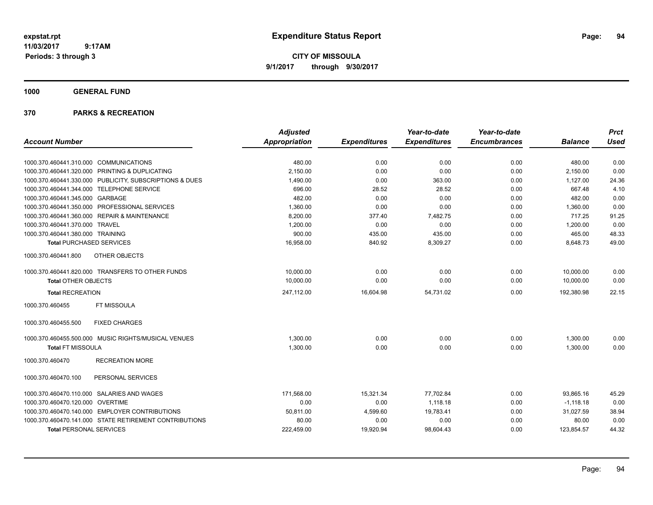**CITY OF MISSOULA 9/1/2017 through 9/30/2017**

**1000 GENERAL FUND**

|                                                         | <b>Adjusted</b> |                     | Year-to-date        | Year-to-date        |                | <b>Prct</b> |
|---------------------------------------------------------|-----------------|---------------------|---------------------|---------------------|----------------|-------------|
| <b>Account Number</b>                                   | Appropriation   | <b>Expenditures</b> | <b>Expenditures</b> | <b>Encumbrances</b> | <b>Balance</b> | <b>Used</b> |
| 1000.370.460441.310.000<br><b>COMMUNICATIONS</b>        | 480.00          | 0.00                | 0.00                | 0.00                | 480.00         | 0.00        |
| 1000.370.460441.320.000<br>PRINTING & DUPLICATING       | 2,150.00        | 0.00                | 0.00                | 0.00                | 2,150.00       | 0.00        |
| 1000.370.460441.330.000 PUBLICITY, SUBSCRIPTIONS & DUES | 1,490.00        | 0.00                | 363.00              | 0.00                | 1,127.00       | 24.36       |
| 1000.370.460441.344.000 TELEPHONE SERVICE               | 696.00          | 28.52               | 28.52               | 0.00                | 667.48         | 4.10        |
| 1000.370.460441.345.000 GARBAGE                         | 482.00          | 0.00                | 0.00                | 0.00                | 482.00         | 0.00        |
| 1000.370.460441.350.000 PROFESSIONAL SERVICES           | 1.360.00        | 0.00                | 0.00                | 0.00                | 1.360.00       | 0.00        |
| 1000.370.460441.360.000 REPAIR & MAINTENANCE            | 8,200.00        | 377.40              | 7,482.75            | 0.00                | 717.25         | 91.25       |
| <b>TRAVEL</b><br>1000.370.460441.370.000                | 1,200.00        | 0.00                | 0.00                | 0.00                | 1,200.00       | 0.00        |
| 1000.370.460441.380.000 TRAINING                        | 900.00          | 435.00              | 435.00              | 0.00                | 465.00         | 48.33       |
| <b>Total PURCHASED SERVICES</b>                         | 16,958.00       | 840.92              | 8,309.27            | 0.00                | 8,648.73       | 49.00       |
| OTHER OBJECTS<br>1000.370.460441.800                    |                 |                     |                     |                     |                |             |
| 1000.370.460441.820.000 TRANSFERS TO OTHER FUNDS        | 10,000.00       | 0.00                | 0.00                | 0.00                | 10,000.00      | 0.00        |
| <b>Total OTHER OBJECTS</b>                              | 10,000.00       | 0.00                | 0.00                | 0.00                | 10,000.00      | 0.00        |
| <b>Total RECREATION</b>                                 | 247,112.00      | 16,604.98           | 54,731.02           | 0.00                | 192,380.98     | 22.15       |
| FT MISSOULA<br>1000.370.460455                          |                 |                     |                     |                     |                |             |
| <b>FIXED CHARGES</b><br>1000.370.460455.500             |                 |                     |                     |                     |                |             |
| 1000.370.460455.500.000 MUSIC RIGHTS/MUSICAL VENUES     | 1,300.00        | 0.00                | 0.00                | 0.00                | 1,300.00       | 0.00        |
| <b>Total FT MISSOULA</b>                                | 1,300.00        | 0.00                | 0.00                | 0.00                | 1,300.00       | 0.00        |
| <b>RECREATION MORE</b><br>1000.370.460470               |                 |                     |                     |                     |                |             |
| 1000.370.460470.100<br>PERSONAL SERVICES                |                 |                     |                     |                     |                |             |
| 1000.370.460470.110.000 SALARIES AND WAGES              | 171,568.00      | 15,321.34           | 77,702.84           | 0.00                | 93,865.16      | 45.29       |
| 1000.370.460470.120.000 OVERTIME                        | 0.00            | 0.00                | 1.118.18            | 0.00                | $-1.118.18$    | 0.00        |
| 1000.370.460470.140.000 EMPLOYER CONTRIBUTIONS          | 50,811.00       | 4,599.60            | 19,783.41           | 0.00                | 31,027.59      | 38.94       |
| 1000.370.460470.141.000 STATE RETIREMENT CONTRIBUTIONS  | 80.00           | 0.00                | 0.00                | 0.00                | 80.00          | 0.00        |
| <b>Total PERSONAL SERVICES</b>                          | 222,459.00      | 19,920.94           | 98,604.43           | 0.00                | 123,854.57     | 44.32       |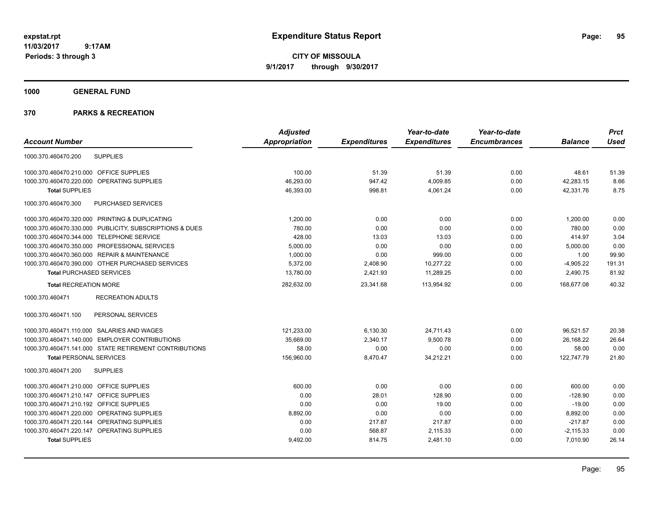**CITY OF MISSOULA 9/1/2017 through 9/30/2017**

**1000 GENERAL FUND**

|                                                         | <b>Adjusted</b>      |                     | Year-to-date        | Year-to-date        |                | <b>Prct</b> |
|---------------------------------------------------------|----------------------|---------------------|---------------------|---------------------|----------------|-------------|
| <b>Account Number</b>                                   | <b>Appropriation</b> | <b>Expenditures</b> | <b>Expenditures</b> | <b>Encumbrances</b> | <b>Balance</b> | <b>Used</b> |
| <b>SUPPLIES</b><br>1000.370.460470.200                  |                      |                     |                     |                     |                |             |
| 1000.370.460470.210.000 OFFICE SUPPLIES                 | 100.00               | 51.39               | 51.39               | 0.00                | 48.61          | 51.39       |
| 1000.370.460470.220.000 OPERATING SUPPLIES              | 46.293.00            | 947.42              | 4,009.85            | 0.00                | 42.283.15      | 8.66        |
| <b>Total SUPPLIES</b>                                   | 46,393.00            | 998.81              | 4,061.24            | 0.00                | 42,331.76      | 8.75        |
| 1000.370.460470.300<br>PURCHASED SERVICES               |                      |                     |                     |                     |                |             |
| 1000.370.460470.320.000 PRINTING & DUPLICATING          | 1,200.00             | 0.00                | 0.00                | 0.00                | 1,200.00       | 0.00        |
| 1000.370.460470.330.000 PUBLICITY, SUBSCRIPTIONS & DUES | 780.00               | 0.00                | 0.00                | 0.00                | 780.00         | 0.00        |
| 1000.370.460470.344.000 TELEPHONE SERVICE               | 428.00               | 13.03               | 13.03               | 0.00                | 414.97         | 3.04        |
| 1000.370.460470.350.000 PROFESSIONAL SERVICES           | 5,000.00             | 0.00                | 0.00                | 0.00                | 5,000.00       | 0.00        |
| 1000.370.460470.360.000 REPAIR & MAINTENANCE            | 1,000.00             | 0.00                | 999.00              | 0.00                | 1.00           | 99.90       |
| 1000.370.460470.390.000 OTHER PURCHASED SERVICES        | 5,372.00             | 2,408.90            | 10,277.22           | 0.00                | $-4,905.22$    | 191.31      |
| <b>Total PURCHASED SERVICES</b>                         | 13,780.00            | 2,421.93            | 11,289.25           | 0.00                | 2,490.75       | 81.92       |
| <b>Total RECREATION MORE</b>                            | 282,632.00           | 23,341.68           | 113,954.92          | 0.00                | 168,677.08     | 40.32       |
| 1000.370.460471<br><b>RECREATION ADULTS</b>             |                      |                     |                     |                     |                |             |
| PERSONAL SERVICES<br>1000.370.460471.100                |                      |                     |                     |                     |                |             |
| 1000.370.460471.110.000 SALARIES AND WAGES              | 121,233.00           | 6,130.30            | 24,711.43           | 0.00                | 96,521.57      | 20.38       |
| 1000.370.460471.140.000 EMPLOYER CONTRIBUTIONS          | 35.669.00            | 2,340.17            | 9,500.78            | 0.00                | 26,168.22      | 26.64       |
| 1000.370.460471.141.000 STATE RETIREMENT CONTRIBUTIONS  | 58.00                | 0.00                | 0.00                | 0.00                | 58.00          | 0.00        |
| <b>Total PERSONAL SERVICES</b>                          | 156,960.00           | 8,470.47            | 34,212.21           | 0.00                | 122,747.79     | 21.80       |
| 1000.370.460471.200<br><b>SUPPLIES</b>                  |                      |                     |                     |                     |                |             |
| 1000.370.460471.210.000 OFFICE SUPPLIES                 | 600.00               | 0.00                | 0.00                | 0.00                | 600.00         | 0.00        |
| 1000.370.460471.210.147 OFFICE SUPPLIES                 | 0.00                 | 28.01               | 128.90              | 0.00                | $-128.90$      | 0.00        |
| 1000.370.460471.210.192 OFFICE SUPPLIES                 | 0.00                 | 0.00                | 19.00               | 0.00                | $-19.00$       | 0.00        |
| 1000.370.460471.220.000 OPERATING SUPPLIES              | 8,892.00             | 0.00                | 0.00                | 0.00                | 8,892.00       | 0.00        |
| 1000.370.460471.220.144 OPERATING SUPPLIES              | 0.00                 | 217.87              | 217.87              | 0.00                | $-217.87$      | 0.00        |
| 1000.370.460471.220.147 OPERATING SUPPLIES              | 0.00                 | 568.87              | 2,115.33            | 0.00                | $-2,115.33$    | 0.00        |
| <b>Total SUPPLIES</b>                                   | 9,492.00             | 814.75              | 2,481.10            | 0.00                | 7,010.90       | 26.14       |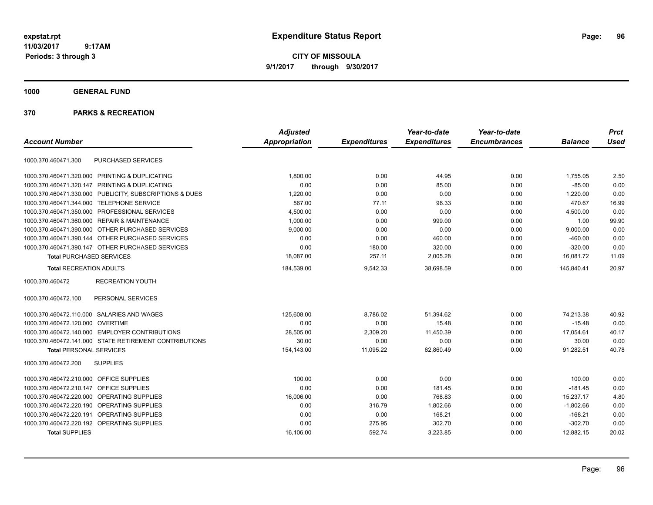**CITY OF MISSOULA 9/1/2017 through 9/30/2017**

# **1000 GENERAL FUND**

|                                                         | <b>Adjusted</b>      |                     | Year-to-date        | Year-to-date        |                | <b>Prct</b> |
|---------------------------------------------------------|----------------------|---------------------|---------------------|---------------------|----------------|-------------|
| <b>Account Number</b>                                   | <b>Appropriation</b> | <b>Expenditures</b> | <b>Expenditures</b> | <b>Encumbrances</b> | <b>Balance</b> | <b>Used</b> |
| PURCHASED SERVICES<br>1000.370.460471.300               |                      |                     |                     |                     |                |             |
| 1000.370.460471.320.000 PRINTING & DUPLICATING          | 1.800.00             | 0.00                | 44.95               | 0.00                | 1.755.05       | 2.50        |
| 1000.370.460471.320.147 PRINTING & DUPLICATING          | 0.00                 | 0.00                | 85.00               | 0.00                | $-85.00$       | 0.00        |
| 1000.370.460471.330.000 PUBLICITY, SUBSCRIPTIONS & DUES | 1,220.00             | 0.00                | 0.00                | 0.00                | 1,220.00       | 0.00        |
| 1000.370.460471.344.000 TELEPHONE SERVICE               | 567.00               | 77.11               | 96.33               | 0.00                | 470.67         | 16.99       |
| 1000.370.460471.350.000 PROFESSIONAL SERVICES           | 4,500.00             | 0.00                | 0.00                | 0.00                | 4,500.00       | 0.00        |
| 1000.370.460471.360.000 REPAIR & MAINTENANCE            | 1,000.00             | 0.00                | 999.00              | 0.00                | 1.00           | 99.90       |
| 1000.370.460471.390.000 OTHER PURCHASED SERVICES        | 9,000.00             | 0.00                | 0.00                | 0.00                | 9,000.00       | 0.00        |
| 1000.370.460471.390.144 OTHER PURCHASED SERVICES        | 0.00                 | 0.00                | 460.00              | 0.00                | $-460.00$      | 0.00        |
| 1000.370.460471.390.147 OTHER PURCHASED SERVICES        | 0.00                 | 180.00              | 320.00              | 0.00                | $-320.00$      | 0.00        |
| <b>Total PURCHASED SERVICES</b>                         | 18,087.00            | 257.11              | 2,005.28            | 0.00                | 16,081.72      | 11.09       |
| <b>Total RECREATION ADULTS</b>                          | 184,539.00           | 9,542.33            | 38,698.59           | 0.00                | 145,840.41     | 20.97       |
| <b>RECREATION YOUTH</b><br>1000.370.460472              |                      |                     |                     |                     |                |             |
| PERSONAL SERVICES<br>1000.370.460472.100                |                      |                     |                     |                     |                |             |
| 1000.370.460472.110.000 SALARIES AND WAGES              | 125.608.00           | 8.786.02            | 51.394.62           | 0.00                | 74.213.38      | 40.92       |
| 1000.370.460472.120.000 OVERTIME                        | 0.00                 | 0.00                | 15.48               | 0.00                | $-15.48$       | 0.00        |
| 1000.370.460472.140.000 EMPLOYER CONTRIBUTIONS          | 28.505.00            | 2,309.20            | 11.450.39           | 0.00                | 17,054.61      | 40.17       |
| 1000.370.460472.141.000 STATE RETIREMENT CONTRIBUTIONS  | 30.00                | 0.00                | 0.00                | 0.00                | 30.00          | 0.00        |
| <b>Total PERSONAL SERVICES</b>                          | 154,143.00           | 11,095.22           | 62,860.49           | 0.00                | 91,282.51      | 40.78       |
| 1000.370.460472.200<br><b>SUPPLIES</b>                  |                      |                     |                     |                     |                |             |
| 1000.370.460472.210.000<br><b>OFFICE SUPPLIES</b>       | 100.00               | 0.00                | 0.00                | 0.00                | 100.00         | 0.00        |
| <b>OFFICE SUPPLIES</b><br>1000.370.460472.210.147       | 0.00                 | 0.00                | 181.45              | 0.00                | $-181.45$      | 0.00        |
| 1000.370.460472.220.000<br>OPERATING SUPPLIES           | 16,006.00            | 0.00                | 768.83              | 0.00                | 15,237.17      | 4.80        |
| 1000.370.460472.220.190<br><b>OPERATING SUPPLIES</b>    | 0.00                 | 316.79              | 1,802.66            | 0.00                | $-1,802.66$    | 0.00        |
| 1000.370.460472.220.191<br>OPERATING SUPPLIES           | 0.00                 | 0.00                | 168.21              | 0.00                | $-168.21$      | 0.00        |
| 1000.370.460472.220.192 OPERATING SUPPLIES              | 0.00                 | 275.95              | 302.70              | 0.00                | $-302.70$      | 0.00        |
| <b>Total SUPPLIES</b>                                   | 16,106.00            | 592.74              | 3,223.85            | 0.00                | 12,882.15      | 20.02       |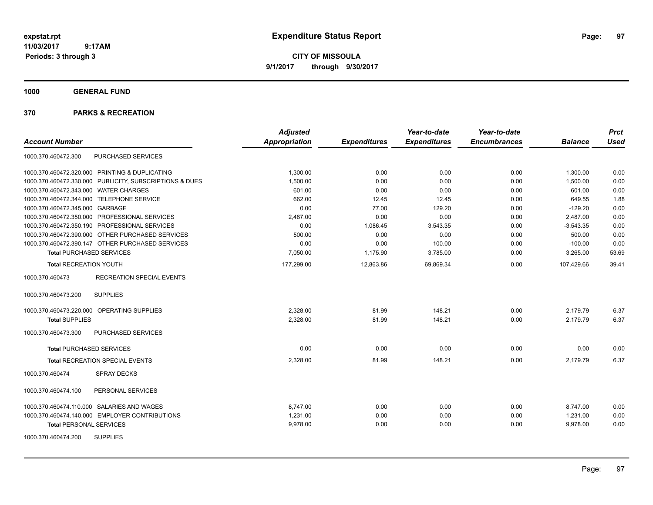**CITY OF MISSOULA 9/1/2017 through 9/30/2017**

**1000 GENERAL FUND**

| <b>Account Number</b>                                   | <b>Adjusted</b><br><b>Appropriation</b> | <b>Expenditures</b> | Year-to-date<br><b>Expenditures</b> | Year-to-date<br><b>Encumbrances</b> | <b>Balance</b> | <b>Prct</b><br><b>Used</b> |
|---------------------------------------------------------|-----------------------------------------|---------------------|-------------------------------------|-------------------------------------|----------------|----------------------------|
| PURCHASED SERVICES<br>1000.370.460472.300               |                                         |                     |                                     |                                     |                |                            |
| 1000.370.460472.320.000 PRINTING & DUPLICATING          | 1,300.00                                | 0.00                | 0.00                                | 0.00                                | 1,300.00       | 0.00                       |
| 1000.370.460472.330.000 PUBLICITY, SUBSCRIPTIONS & DUES | 1,500.00                                | 0.00                | 0.00                                | 0.00                                | 1,500.00       | 0.00                       |
| 1000.370.460472.343.000 WATER CHARGES                   | 601.00                                  | 0.00                | 0.00                                | 0.00                                | 601.00         | 0.00                       |
| 1000.370.460472.344.000 TELEPHONE SERVICE               | 662.00                                  | 12.45               | 12.45                               | 0.00                                | 649.55         | 1.88                       |
| 1000.370.460472.345.000 GARBAGE                         | 0.00                                    | 77.00               | 129.20                              | 0.00                                | $-129.20$      | 0.00                       |
| 1000.370.460472.350.000 PROFESSIONAL SERVICES           | 2,487.00                                | 0.00                | 0.00                                | 0.00                                | 2,487.00       | 0.00                       |
| 1000.370.460472.350.190 PROFESSIONAL SERVICES           | 0.00                                    | 1.086.45            | 3,543.35                            | 0.00                                | $-3,543.35$    | 0.00                       |
| 1000.370.460472.390.000 OTHER PURCHASED SERVICES        | 500.00                                  | 0.00                | 0.00                                | 0.00                                | 500.00         | 0.00                       |
| 1000.370.460472.390.147 OTHER PURCHASED SERVICES        | 0.00                                    | 0.00                | 100.00                              | 0.00                                | $-100.00$      | 0.00                       |
| <b>Total PURCHASED SERVICES</b>                         | 7,050.00                                | 1,175.90            | 3,785.00                            | 0.00                                | 3,265.00       | 53.69                      |
| <b>Total RECREATION YOUTH</b>                           | 177,299.00                              | 12,863.86           | 69,869.34                           | 0.00                                | 107,429.66     | 39.41                      |
| <b>RECREATION SPECIAL EVENTS</b><br>1000.370.460473     |                                         |                     |                                     |                                     |                |                            |
| 1000.370.460473.200<br><b>SUPPLIES</b>                  |                                         |                     |                                     |                                     |                |                            |
| 1000.370.460473.220.000 OPERATING SUPPLIES              | 2,328.00                                | 81.99               | 148.21                              | 0.00                                | 2,179.79       | 6.37                       |
| <b>Total SUPPLIES</b>                                   | 2,328.00                                | 81.99               | 148.21                              | 0.00                                | 2,179.79       | 6.37                       |
| <b>PURCHASED SERVICES</b><br>1000.370.460473.300        |                                         |                     |                                     |                                     |                |                            |
| <b>Total PURCHASED SERVICES</b>                         | 0.00                                    | 0.00                | 0.00                                | 0.00                                | 0.00           | 0.00                       |
| Total RECREATION SPECIAL EVENTS                         | 2,328.00                                | 81.99               | 148.21                              | 0.00                                | 2,179.79       | 6.37                       |
| 1000.370.460474<br><b>SPRAY DECKS</b>                   |                                         |                     |                                     |                                     |                |                            |
| 1000.370.460474.100<br>PERSONAL SERVICES                |                                         |                     |                                     |                                     |                |                            |
| 1000.370.460474.110.000 SALARIES AND WAGES              | 8.747.00                                | 0.00                | 0.00                                | 0.00                                | 8,747.00       | 0.00                       |
| 1000.370.460474.140.000 EMPLOYER CONTRIBUTIONS          | 1,231.00                                | 0.00                | 0.00                                | 0.00                                | 1,231.00       | 0.00                       |
| <b>Total PERSONAL SERVICES</b>                          | 9,978.00                                | 0.00                | 0.00                                | 0.00                                | 9,978.00       | 0.00                       |
| <b>SUPPLIES</b><br>1000.370.460474.200                  |                                         |                     |                                     |                                     |                |                            |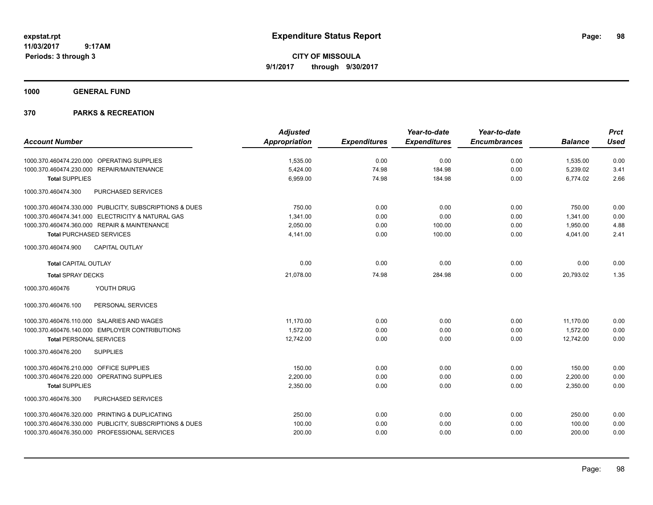**CITY OF MISSOULA 9/1/2017 through 9/30/2017**

**1000 GENERAL FUND**

| <b>Account Number</b>                                   | <b>Adjusted</b><br><b>Appropriation</b> | <b>Expenditures</b> | Year-to-date<br><b>Expenditures</b> | Year-to-date<br><b>Encumbrances</b> | <b>Balance</b> | <b>Prct</b><br><b>Used</b> |
|---------------------------------------------------------|-----------------------------------------|---------------------|-------------------------------------|-------------------------------------|----------------|----------------------------|
|                                                         |                                         |                     |                                     |                                     |                |                            |
| 1000.370.460474.220.000 OPERATING SUPPLIES              | 1,535.00                                | 0.00                | 0.00                                | 0.00                                | 1,535.00       | 0.00                       |
| 1000.370.460474.230.000 REPAIR/MAINTENANCE              | 5,424.00                                | 74.98               | 184.98                              | 0.00                                | 5,239.02       | 3.41                       |
| <b>Total SUPPLIES</b>                                   | 6,959.00                                | 74.98               | 184.98                              | 0.00                                | 6,774.02       | 2.66                       |
| 1000.370.460474.300<br>PURCHASED SERVICES               |                                         |                     |                                     |                                     |                |                            |
| 1000.370.460474.330.000 PUBLICITY, SUBSCRIPTIONS & DUES | 750.00                                  | 0.00                | 0.00                                | 0.00                                | 750.00         | 0.00                       |
| 1000.370.460474.341.000 ELECTRICITY & NATURAL GAS       | 1,341.00                                | 0.00                | 0.00                                | 0.00                                | 1,341.00       | 0.00                       |
| 1000.370.460474.360.000 REPAIR & MAINTENANCE            | 2.050.00                                | 0.00                | 100.00                              | 0.00                                | 1,950.00       | 4.88                       |
| <b>Total PURCHASED SERVICES</b>                         | 4.141.00                                | 0.00                | 100.00                              | 0.00                                | 4.041.00       | 2.41                       |
| 1000.370.460474.900<br><b>CAPITAL OUTLAY</b>            |                                         |                     |                                     |                                     |                |                            |
| <b>Total CAPITAL OUTLAY</b>                             | 0.00                                    | 0.00                | 0.00                                | 0.00                                | 0.00           | 0.00                       |
| <b>Total SPRAY DECKS</b>                                | 21,078.00                               | 74.98               | 284.98                              | 0.00                                | 20,793.02      | 1.35                       |
| YOUTH DRUG<br>1000.370.460476                           |                                         |                     |                                     |                                     |                |                            |
| PERSONAL SERVICES<br>1000.370.460476.100                |                                         |                     |                                     |                                     |                |                            |
| 1000.370.460476.110.000 SALARIES AND WAGES              | 11.170.00                               | 0.00                | 0.00                                | 0.00                                | 11,170.00      | 0.00                       |
| 1000.370.460476.140.000 EMPLOYER CONTRIBUTIONS          | 1,572.00                                | 0.00                | 0.00                                | 0.00                                | 1,572.00       | 0.00                       |
| <b>Total PERSONAL SERVICES</b>                          | 12,742.00                               | 0.00                | 0.00                                | 0.00                                | 12.742.00      | 0.00                       |
| 1000.370.460476.200<br><b>SUPPLIES</b>                  |                                         |                     |                                     |                                     |                |                            |
| 1000.370.460476.210.000 OFFICE SUPPLIES                 | 150.00                                  | 0.00                | 0.00                                | 0.00                                | 150.00         | 0.00                       |
| 1000.370.460476.220.000 OPERATING SUPPLIES              | 2,200.00                                | 0.00                | 0.00                                | 0.00                                | 2,200.00       | 0.00                       |
| <b>Total SUPPLIES</b>                                   | 2,350.00                                | 0.00                | 0.00                                | 0.00                                | 2,350.00       | 0.00                       |
| PURCHASED SERVICES<br>1000.370.460476.300               |                                         |                     |                                     |                                     |                |                            |
| 1000.370.460476.320.000 PRINTING & DUPLICATING          | 250.00                                  | 0.00                | 0.00                                | 0.00                                | 250.00         | 0.00                       |
| 1000.370.460476.330.000 PUBLICITY, SUBSCRIPTIONS & DUES | 100.00                                  | 0.00                | 0.00                                | 0.00                                | 100.00         | 0.00                       |
| 1000.370.460476.350.000 PROFESSIONAL SERVICES           | 200.00                                  | 0.00                | 0.00                                | 0.00                                | 200.00         | 0.00                       |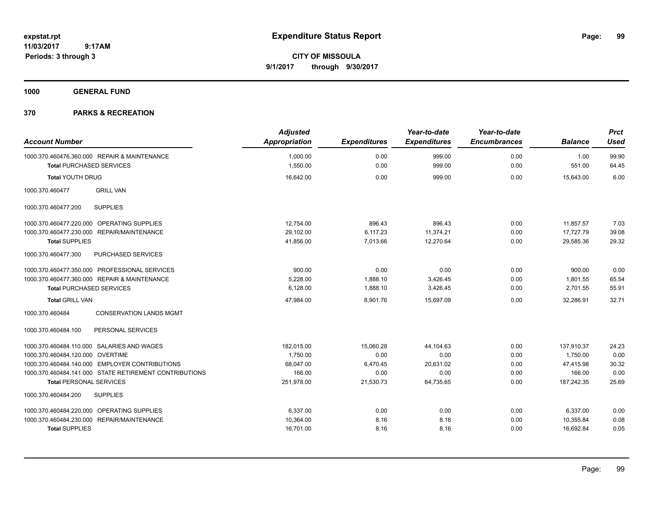**CITY OF MISSOULA 9/1/2017 through 9/30/2017**

**1000 GENERAL FUND**

| <b>Account Number</b>                                  | <b>Adjusted</b><br>Appropriation | <b>Expenditures</b> | Year-to-date<br><b>Expenditures</b> | Year-to-date<br><b>Encumbrances</b> | <b>Balance</b> | <b>Prct</b><br><b>Used</b> |
|--------------------------------------------------------|----------------------------------|---------------------|-------------------------------------|-------------------------------------|----------------|----------------------------|
| 1000.370.460476.360.000 REPAIR & MAINTENANCE           | 1,000.00                         | 0.00                | 999.00                              | 0.00                                | 1.00           | 99.90                      |
| <b>Total PURCHASED SERVICES</b>                        | 1,550.00                         | 0.00                | 999.00                              | 0.00                                | 551.00         | 64.45                      |
| <b>Total YOUTH DRUG</b>                                | 16,642.00                        | 0.00                | 999.00                              | 0.00                                | 15,643.00      | 6.00                       |
| <b>GRILL VAN</b><br>1000.370.460477                    |                                  |                     |                                     |                                     |                |                            |
| 1000.370.460477.200<br><b>SUPPLIES</b>                 |                                  |                     |                                     |                                     |                |                            |
| 1000.370.460477.220.000 OPERATING SUPPLIES             | 12,754.00                        | 896.43              | 896.43                              | 0.00                                | 11,857.57      | 7.03                       |
| 1000.370.460477.230.000 REPAIR/MAINTENANCE             | 29,102.00                        | 6,117.23            | 11,374.21                           | 0.00                                | 17,727.79      | 39.08                      |
| <b>Total SUPPLIES</b>                                  | 41,856.00                        | 7,013.66            | 12,270.64                           | 0.00                                | 29,585.36      | 29.32                      |
| <b>PURCHASED SERVICES</b><br>1000.370.460477.300       |                                  |                     |                                     |                                     |                |                            |
| 1000.370.460477.350.000 PROFESSIONAL SERVICES          | 900.00                           | 0.00                | 0.00                                | 0.00                                | 900.00         | 0.00                       |
| 1000.370.460477.360.000 REPAIR & MAINTENANCE           | 5,228.00                         | 1,888.10            | 3,426.45                            | 0.00                                | 1,801.55       | 65.54                      |
| <b>Total PURCHASED SERVICES</b>                        | 6,128.00                         | 1,888.10            | 3,426.45                            | 0.00                                | 2,701.55       | 55.91                      |
| <b>Total GRILL VAN</b>                                 | 47,984.00                        | 8,901.76            | 15,697.09                           | 0.00                                | 32,286.91      | 32.71                      |
| <b>CONSERVATION LANDS MGMT</b><br>1000.370.460484      |                                  |                     |                                     |                                     |                |                            |
| PERSONAL SERVICES<br>1000.370.460484.100               |                                  |                     |                                     |                                     |                |                            |
| 1000.370.460484.110.000 SALARIES AND WAGES             | 182,015.00                       | 15.060.28           | 44.104.63                           | 0.00                                | 137,910.37     | 24.23                      |
| 1000.370.460484.120.000 OVERTIME                       | 1,750.00                         | 0.00                | 0.00                                | 0.00                                | 1,750.00       | 0.00                       |
| 1000.370.460484.140.000 EMPLOYER CONTRIBUTIONS         | 68,047.00                        | 6,470.45            | 20,631.02                           | 0.00                                | 47,415.98      | 30.32                      |
| 1000.370.460484.141.000 STATE RETIREMENT CONTRIBUTIONS | 166.00                           | 0.00                | 0.00                                | 0.00                                | 166.00         | 0.00                       |
| <b>Total PERSONAL SERVICES</b>                         | 251,978.00                       | 21,530.73           | 64,735.65                           | 0.00                                | 187,242.35     | 25.69                      |
| <b>SUPPLIES</b><br>1000.370.460484.200                 |                                  |                     |                                     |                                     |                |                            |
| 1000.370.460484.220.000 OPERATING SUPPLIES             | 6,337.00                         | 0.00                | 0.00                                | 0.00                                | 6,337.00       | 0.00                       |
| 1000.370.460484.230.000 REPAIR/MAINTENANCE             | 10,364.00                        | 8.16                | 8.16                                | 0.00                                | 10,355.84      | 0.08                       |
| <b>Total SUPPLIES</b>                                  | 16,701.00                        | 8.16                | 8.16                                | 0.00                                | 16,692.84      | 0.05                       |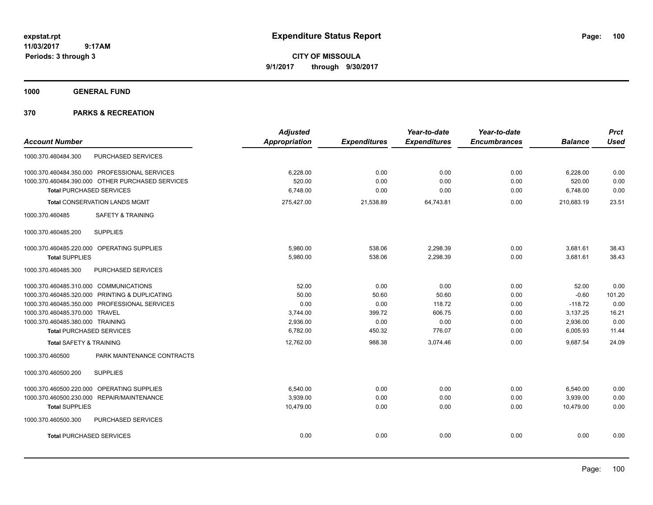**CITY OF MISSOULA 9/1/2017 through 9/30/2017**

**1000 GENERAL FUND**

|                                        |                                                  | <b>Adjusted</b> |                     | Year-to-date        | Year-to-date        |                | <b>Prct</b> |
|----------------------------------------|--------------------------------------------------|-----------------|---------------------|---------------------|---------------------|----------------|-------------|
| <b>Account Number</b>                  |                                                  | Appropriation   | <b>Expenditures</b> | <b>Expenditures</b> | <b>Encumbrances</b> | <b>Balance</b> | <b>Used</b> |
| 1000.370.460484.300                    | PURCHASED SERVICES                               |                 |                     |                     |                     |                |             |
|                                        | 1000.370.460484.350.000 PROFESSIONAL SERVICES    | 6,228.00        | 0.00                | 0.00                | 0.00                | 6,228.00       | 0.00        |
|                                        | 1000.370.460484.390.000 OTHER PURCHASED SERVICES | 520.00          | 0.00                | 0.00                | 0.00                | 520.00         | 0.00        |
| <b>Total PURCHASED SERVICES</b>        |                                                  | 6,748.00        | 0.00                | 0.00                | 0.00                | 6,748.00       | 0.00        |
|                                        | <b>Total CONSERVATION LANDS MGMT</b>             | 275,427.00      | 21,538.89           | 64,743.81           | 0.00                | 210.683.19     | 23.51       |
| 1000.370.460485                        | <b>SAFETY &amp; TRAINING</b>                     |                 |                     |                     |                     |                |             |
| 1000.370.460485.200                    | <b>SUPPLIES</b>                                  |                 |                     |                     |                     |                |             |
|                                        | 1000.370.460485.220.000 OPERATING SUPPLIES       | 5,980.00        | 538.06              | 2,298.39            | 0.00                | 3,681.61       | 38.43       |
| <b>Total SUPPLIES</b>                  |                                                  | 5,980.00        | 538.06              | 2,298.39            | 0.00                | 3,681.61       | 38.43       |
| 1000.370.460485.300                    | PURCHASED SERVICES                               |                 |                     |                     |                     |                |             |
| 1000.370.460485.310.000 COMMUNICATIONS |                                                  | 52.00           | 0.00                | 0.00                | 0.00                | 52.00          | 0.00        |
|                                        | 1000.370.460485.320.000 PRINTING & DUPLICATING   | 50.00           | 50.60               | 50.60               | 0.00                | $-0.60$        | 101.20      |
|                                        | 1000.370.460485.350.000 PROFESSIONAL SERVICES    | 0.00            | 0.00                | 118.72              | 0.00                | $-118.72$      | 0.00        |
| 1000.370.460485.370.000 TRAVEL         |                                                  | 3,744.00        | 399.72              | 606.75              | 0.00                | 3,137.25       | 16.21       |
| 1000.370.460485.380.000 TRAINING       |                                                  | 2.936.00        | 0.00                | 0.00                | 0.00                | 2,936.00       | 0.00        |
| <b>Total PURCHASED SERVICES</b>        |                                                  | 6,782.00        | 450.32              | 776.07              | 0.00                | 6,005.93       | 11.44       |
| <b>Total SAFETY &amp; TRAINING</b>     |                                                  | 12,762.00       | 988.38              | 3,074.46            | 0.00                | 9,687.54       | 24.09       |
| 1000.370.460500                        | PARK MAINTENANCE CONTRACTS                       |                 |                     |                     |                     |                |             |
| 1000.370.460500.200                    | <b>SUPPLIES</b>                                  |                 |                     |                     |                     |                |             |
|                                        | 1000.370.460500.220.000 OPERATING SUPPLIES       | 6.540.00        | 0.00                | 0.00                | 0.00                | 6,540.00       | 0.00        |
|                                        | 1000.370.460500.230.000 REPAIR/MAINTENANCE       | 3,939.00        | 0.00                | 0.00                | 0.00                | 3,939.00       | 0.00        |
| <b>Total SUPPLIES</b>                  |                                                  | 10,479.00       | 0.00                | 0.00                | 0.00                | 10.479.00      | 0.00        |
| 1000.370.460500.300                    | PURCHASED SERVICES                               |                 |                     |                     |                     |                |             |
| <b>Total PURCHASED SERVICES</b>        |                                                  | 0.00            | 0.00                | 0.00                | 0.00                | 0.00           | 0.00        |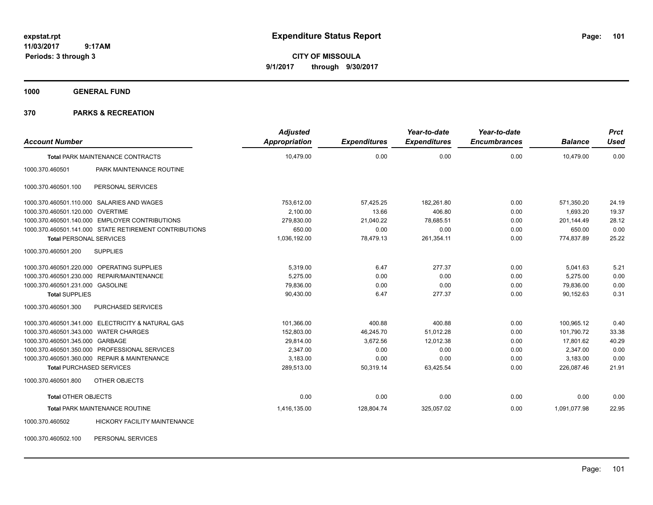**CITY OF MISSOULA 9/1/2017 through 9/30/2017**

**1000 GENERAL FUND**

| <b>Account Number</b>                                  | <b>Adjusted</b><br><b>Appropriation</b> | <b>Expenditures</b> | Year-to-date<br><b>Expenditures</b> | Year-to-date<br><b>Encumbrances</b> | <b>Balance</b> | <b>Prct</b><br><b>Used</b> |
|--------------------------------------------------------|-----------------------------------------|---------------------|-------------------------------------|-------------------------------------|----------------|----------------------------|
| <b>Total PARK MAINTENANCE CONTRACTS</b>                | 10,479.00                               | 0.00                | 0.00                                | 0.00                                | 10,479.00      | 0.00                       |
| PARK MAINTENANCE ROUTINE<br>1000.370.460501            |                                         |                     |                                     |                                     |                |                            |
| 1000.370.460501.100<br>PERSONAL SERVICES               |                                         |                     |                                     |                                     |                |                            |
| 1000.370.460501.110.000 SALARIES AND WAGES             | 753,612.00                              | 57,425.25           | 182,261.80                          | 0.00                                | 571,350.20     | 24.19                      |
| 1000.370.460501.120.000 OVERTIME                       | 2,100.00                                | 13.66               | 406.80                              | 0.00                                | 1,693.20       | 19.37                      |
| 1000.370.460501.140.000 EMPLOYER CONTRIBUTIONS         | 279,830.00                              | 21,040.22           | 78,685.51                           | 0.00                                | 201,144.49     | 28.12                      |
| 1000.370.460501.141.000 STATE RETIREMENT CONTRIBUTIONS | 650.00                                  | 0.00                | 0.00                                | 0.00                                | 650.00         | 0.00                       |
| <b>Total PERSONAL SERVICES</b>                         | 1,036,192.00                            | 78,479.13           | 261,354.11                          | 0.00                                | 774,837.89     | 25.22                      |
| <b>SUPPLIES</b><br>1000.370.460501.200                 |                                         |                     |                                     |                                     |                |                            |
| 1000.370.460501.220.000 OPERATING SUPPLIES             | 5,319.00                                | 6.47                | 277.37                              | 0.00                                | 5,041.63       | 5.21                       |
| 1000.370.460501.230.000 REPAIR/MAINTENANCE             | 5,275.00                                | 0.00                | 0.00                                | 0.00                                | 5,275.00       | 0.00                       |
| 1000.370.460501.231.000 GASOLINE                       | 79,836.00                               | 0.00                | 0.00                                | 0.00                                | 79,836.00      | 0.00                       |
| <b>Total SUPPLIES</b>                                  | 90,430.00                               | 6.47                | 277.37                              | 0.00                                | 90,152.63      | 0.31                       |
| <b>PURCHASED SERVICES</b><br>1000.370.460501.300       |                                         |                     |                                     |                                     |                |                            |
| 1000.370.460501.341.000 ELECTRICITY & NATURAL GAS      | 101,366.00                              | 400.88              | 400.88                              | 0.00                                | 100,965.12     | 0.40                       |
| 1000.370.460501.343.000 WATER CHARGES                  | 152,803.00                              | 46,245.70           | 51,012.28                           | 0.00                                | 101,790.72     | 33.38                      |
| 1000.370.460501.345.000 GARBAGE                        | 29,814.00                               | 3,672.56            | 12,012.38                           | 0.00                                | 17,801.62      | 40.29                      |
| 1000.370.460501.350.000 PROFESSIONAL SERVICES          | 2,347.00                                | 0.00                | 0.00                                | 0.00                                | 2,347.00       | 0.00                       |
| 1000.370.460501.360.000 REPAIR & MAINTENANCE           | 3,183.00                                | 0.00                | 0.00                                | 0.00                                | 3,183.00       | 0.00                       |
| <b>Total PURCHASED SERVICES</b>                        | 289,513.00                              | 50,319.14           | 63,425.54                           | 0.00                                | 226,087.46     | 21.91                      |
| OTHER OBJECTS<br>1000.370.460501.800                   |                                         |                     |                                     |                                     |                |                            |
| <b>Total OTHER OBJECTS</b>                             | 0.00                                    | 0.00                | 0.00                                | 0.00                                | 0.00           | 0.00                       |
| <b>Total PARK MAINTENANCE ROUTINE</b>                  | 1,416,135.00                            | 128,804.74          | 325,057.02                          | 0.00                                | 1,091,077.98   | 22.95                      |
| HICKORY FACILITY MAINTENANCE<br>1000.370.460502        |                                         |                     |                                     |                                     |                |                            |
| 1000.370.460502.100<br>PERSONAL SERVICES               |                                         |                     |                                     |                                     |                |                            |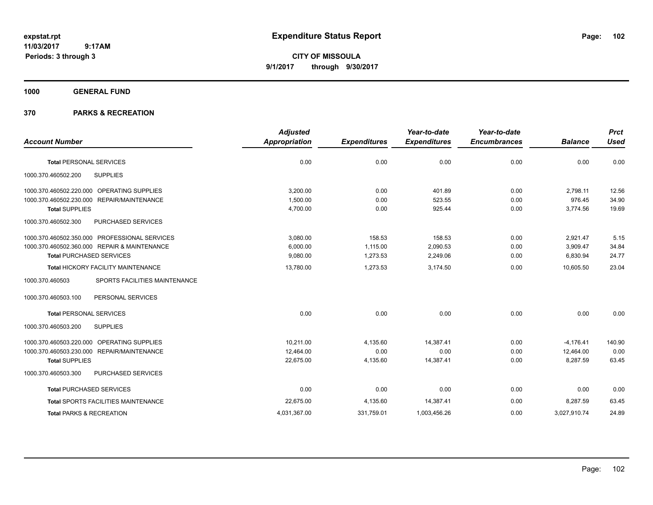**CITY OF MISSOULA 9/1/2017 through 9/30/2017**

# **1000 GENERAL FUND**

|                                                      | <b>Adjusted</b>      |                     | Year-to-date        | Year-to-date        |                | <b>Prct</b> |
|------------------------------------------------------|----------------------|---------------------|---------------------|---------------------|----------------|-------------|
| <b>Account Number</b>                                | <b>Appropriation</b> | <b>Expenditures</b> | <b>Expenditures</b> | <b>Encumbrances</b> | <b>Balance</b> | <b>Used</b> |
| <b>Total PERSONAL SERVICES</b>                       | 0.00                 | 0.00                | 0.00                | 0.00                | 0.00           | 0.00        |
| <b>SUPPLIES</b><br>1000.370.460502.200               |                      |                     |                     |                     |                |             |
| OPERATING SUPPLIES<br>1000.370.460502.220.000        | 3.200.00             | 0.00                | 401.89              | 0.00                | 2,798.11       | 12.56       |
| <b>REPAIR/MAINTENANCE</b><br>1000.370.460502.230.000 | 1,500.00             | 0.00                | 523.55              | 0.00                | 976.45         | 34.90       |
| <b>Total SUPPLIES</b>                                | 4,700.00             | 0.00                | 925.44              | 0.00                | 3,774.56       | 19.69       |
| 1000.370.460502.300<br>PURCHASED SERVICES            |                      |                     |                     |                     |                |             |
| 1000.370.460502.350.000 PROFESSIONAL SERVICES        | 3,080.00             | 158.53              | 158.53              | 0.00                | 2,921.47       | 5.15        |
| 1000.370.460502.360.000 REPAIR & MAINTENANCE         | 6.000.00             | 1.115.00            | 2.090.53            | 0.00                | 3,909.47       | 34.84       |
| <b>Total PURCHASED SERVICES</b>                      | 9,080.00             | 1,273.53            | 2,249.06            | 0.00                | 6,830.94       | 24.77       |
| Total HICKORY FACILITY MAINTENANCE                   | 13,780.00            | 1,273.53            | 3,174.50            | 0.00                | 10.605.50      | 23.04       |
| 1000.370.460503<br>SPORTS FACILITIES MAINTENANCE     |                      |                     |                     |                     |                |             |
| 1000.370.460503.100<br>PERSONAL SERVICES             |                      |                     |                     |                     |                |             |
| <b>Total PERSONAL SERVICES</b>                       | 0.00                 | 0.00                | 0.00                | 0.00                | 0.00           | 0.00        |
| 1000.370.460503.200<br><b>SUPPLIES</b>               |                      |                     |                     |                     |                |             |
| 1000.370.460503.220.000 OPERATING SUPPLIES           | 10.211.00            | 4,135.60            | 14.387.41           | 0.00                | $-4.176.41$    | 140.90      |
| 1000.370.460503.230.000 REPAIR/MAINTENANCE           | 12,464.00            | 0.00                | 0.00                | 0.00                | 12,464.00      | 0.00        |
| <b>Total SUPPLIES</b>                                | 22,675.00            | 4,135.60            | 14,387.41           | 0.00                | 8,287.59       | 63.45       |
| PURCHASED SERVICES<br>1000.370.460503.300            |                      |                     |                     |                     |                |             |
| <b>Total PURCHASED SERVICES</b>                      | 0.00                 | 0.00                | 0.00                | 0.00                | 0.00           | 0.00        |
| <b>Total SPORTS FACILITIES MAINTENANCE</b>           | 22,675.00            | 4,135.60            | 14,387.41           | 0.00                | 8,287.59       | 63.45       |
| <b>Total PARKS &amp; RECREATION</b>                  | 4,031,367.00         | 331,759.01          | 1,003,456.26        | 0.00                | 3,027,910.74   | 24.89       |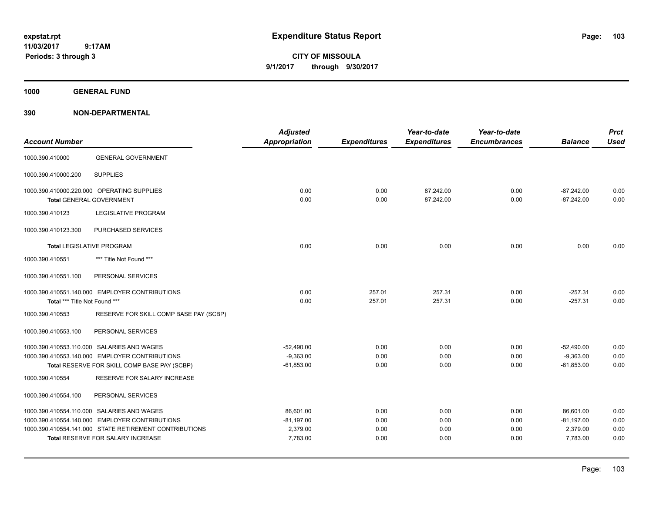**CITY OF MISSOULA 9/1/2017 through 9/30/2017**

**1000 GENERAL FUND**

| <b>Account Number</b>         |                                                                               | <b>Adjusted</b><br><b>Appropriation</b> | <b>Expenditures</b> | Year-to-date<br><b>Expenditures</b> | Year-to-date<br><b>Encumbrances</b> | <b>Balance</b>               | <b>Prct</b><br><b>Used</b> |
|-------------------------------|-------------------------------------------------------------------------------|-----------------------------------------|---------------------|-------------------------------------|-------------------------------------|------------------------------|----------------------------|
| 1000.390.410000               | <b>GENERAL GOVERNMENT</b>                                                     |                                         |                     |                                     |                                     |                              |                            |
| 1000.390.410000.200           | <b>SUPPLIES</b>                                                               |                                         |                     |                                     |                                     |                              |                            |
|                               | 1000.390.410000.220.000 OPERATING SUPPLIES<br><b>Total GENERAL GOVERNMENT</b> | 0.00<br>0.00                            | 0.00<br>0.00        | 87,242.00<br>87,242.00              | 0.00<br>0.00                        | $-87,242.00$<br>$-87,242.00$ | 0.00<br>0.00               |
| 1000.390.410123               | <b>LEGISLATIVE PROGRAM</b>                                                    |                                         |                     |                                     |                                     |                              |                            |
| 1000.390.410123.300           | PURCHASED SERVICES                                                            |                                         |                     |                                     |                                     |                              |                            |
|                               | <b>Total LEGISLATIVE PROGRAM</b>                                              | 0.00                                    | 0.00                | 0.00                                | 0.00                                | 0.00                         | 0.00                       |
| 1000.390.410551               | *** Title Not Found ***                                                       |                                         |                     |                                     |                                     |                              |                            |
| 1000.390.410551.100           | PERSONAL SERVICES                                                             |                                         |                     |                                     |                                     |                              |                            |
|                               | 1000.390.410551.140.000 EMPLOYER CONTRIBUTIONS                                | 0.00                                    | 257.01              | 257.31                              | 0.00                                | $-257.31$                    | 0.00                       |
| Total *** Title Not Found *** |                                                                               | 0.00                                    | 257.01              | 257.31                              | 0.00                                | $-257.31$                    | 0.00                       |
| 1000.390.410553               | RESERVE FOR SKILL COMP BASE PAY (SCBP)                                        |                                         |                     |                                     |                                     |                              |                            |
| 1000.390.410553.100           | PERSONAL SERVICES                                                             |                                         |                     |                                     |                                     |                              |                            |
|                               | 1000.390.410553.110.000 SALARIES AND WAGES                                    | $-52,490.00$                            | 0.00                | 0.00                                | 0.00                                | $-52,490.00$                 | 0.00                       |
|                               | 1000.390.410553.140.000 EMPLOYER CONTRIBUTIONS                                | $-9,363.00$                             | 0.00                | 0.00                                | 0.00                                | $-9,363.00$                  | 0.00                       |
|                               | Total RESERVE FOR SKILL COMP BASE PAY (SCBP)                                  | $-61,853.00$                            | 0.00                | 0.00                                | 0.00                                | $-61,853.00$                 | 0.00                       |
| 1000.390.410554               | <b>RESERVE FOR SALARY INCREASE</b>                                            |                                         |                     |                                     |                                     |                              |                            |
| 1000.390.410554.100           | PERSONAL SERVICES                                                             |                                         |                     |                                     |                                     |                              |                            |
|                               | 1000.390.410554.110.000 SALARIES AND WAGES                                    | 86,601.00                               | 0.00                | 0.00                                | 0.00                                | 86,601.00                    | 0.00                       |
|                               | 1000.390.410554.140.000 EMPLOYER CONTRIBUTIONS                                | $-81,197.00$                            | 0.00                | 0.00                                | 0.00                                | $-81,197.00$                 | 0.00                       |
|                               | 1000.390.410554.141.000 STATE RETIREMENT CONTRIBUTIONS                        | 2,379.00                                | 0.00                | 0.00                                | 0.00                                | 2,379.00                     | 0.00                       |
|                               | <b>Total RESERVE FOR SALARY INCREASE</b>                                      | 7,783.00                                | 0.00                | 0.00                                | 0.00                                | 7,783.00                     | 0.00                       |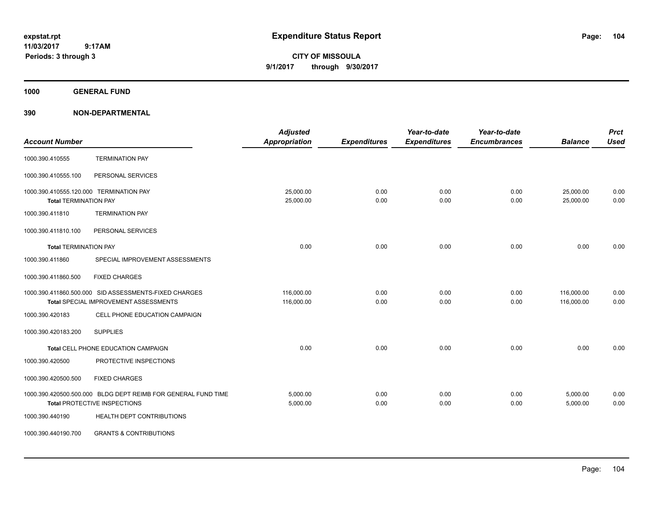**CITY OF MISSOULA 9/1/2017 through 9/30/2017**

**1000 GENERAL FUND**

| <b>Account Number</b>                                                   |                                                                                                      | <b>Adjusted</b><br><b>Appropriation</b> | <b>Expenditures</b> | Year-to-date<br><b>Expenditures</b> | Year-to-date<br><b>Encumbrances</b> | <b>Balance</b>           | <b>Prct</b><br><b>Used</b> |
|-------------------------------------------------------------------------|------------------------------------------------------------------------------------------------------|-----------------------------------------|---------------------|-------------------------------------|-------------------------------------|--------------------------|----------------------------|
| 1000.390.410555                                                         | <b>TERMINATION PAY</b>                                                                               |                                         |                     |                                     |                                     |                          |                            |
| 1000.390.410555.100                                                     | PERSONAL SERVICES                                                                                    |                                         |                     |                                     |                                     |                          |                            |
| 1000.390.410555.120.000 TERMINATION PAY<br><b>Total TERMINATION PAY</b> |                                                                                                      | 25.000.00<br>25,000.00                  | 0.00<br>0.00        | 0.00<br>0.00                        | 0.00<br>0.00                        | 25,000.00<br>25,000.00   | 0.00<br>0.00               |
| 1000.390.411810                                                         | <b>TERMINATION PAY</b>                                                                               |                                         |                     |                                     |                                     |                          |                            |
| 1000.390.411810.100                                                     | PERSONAL SERVICES                                                                                    |                                         |                     |                                     |                                     |                          |                            |
| <b>Total TERMINATION PAY</b>                                            |                                                                                                      | 0.00                                    | 0.00                | 0.00                                | 0.00                                | 0.00                     | 0.00                       |
| 1000.390.411860                                                         | SPECIAL IMPROVEMENT ASSESSMENTS                                                                      |                                         |                     |                                     |                                     |                          |                            |
| 1000.390.411860.500                                                     | <b>FIXED CHARGES</b>                                                                                 |                                         |                     |                                     |                                     |                          |                            |
|                                                                         | 1000.390.411860.500.000 SID ASSESSMENTS-FIXED CHARGES<br>Total SPECIAL IMPROVEMENT ASSESSMENTS       | 116,000.00<br>116,000.00                | 0.00<br>0.00        | 0.00<br>0.00                        | 0.00<br>0.00                        | 116,000.00<br>116,000.00 | 0.00<br>0.00               |
| 1000.390.420183                                                         | CELL PHONE EDUCATION CAMPAIGN                                                                        |                                         |                     |                                     |                                     |                          |                            |
| 1000.390.420183.200                                                     | <b>SUPPLIES</b>                                                                                      |                                         |                     |                                     |                                     |                          |                            |
|                                                                         | Total CELL PHONE EDUCATION CAMPAIGN                                                                  | 0.00                                    | 0.00                | 0.00                                | 0.00                                | 0.00                     | 0.00                       |
| 1000.390.420500                                                         | PROTECTIVE INSPECTIONS                                                                               |                                         |                     |                                     |                                     |                          |                            |
| 1000.390.420500.500                                                     | <b>FIXED CHARGES</b>                                                                                 |                                         |                     |                                     |                                     |                          |                            |
|                                                                         | 1000.390.420500.500.000 BLDG DEPT REIMB FOR GENERAL FUND TIME<br><b>Total PROTECTIVE INSPECTIONS</b> | 5,000.00<br>5,000.00                    | 0.00<br>0.00        | 0.00<br>0.00                        | 0.00<br>0.00                        | 5,000.00<br>5,000.00     | 0.00<br>0.00               |
| 1000.390.440190                                                         | HEALTH DEPT CONTRIBUTIONS                                                                            |                                         |                     |                                     |                                     |                          |                            |
| 1000.390.440190.700                                                     | <b>GRANTS &amp; CONTRIBUTIONS</b>                                                                    |                                         |                     |                                     |                                     |                          |                            |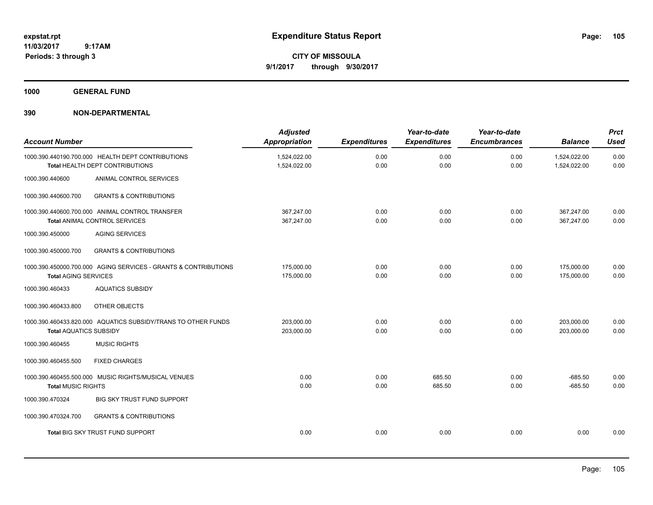**CITY OF MISSOULA 9/1/2017 through 9/30/2017**

**1000 GENERAL FUND**

| <b>Account Number</b>         |                                                                                         | <b>Adjusted</b><br><b>Appropriation</b> | <b>Expenditures</b> | Year-to-date<br><b>Expenditures</b> | Year-to-date<br><b>Encumbrances</b> | <b>Balance</b>               | <b>Prct</b><br><b>Used</b> |
|-------------------------------|-----------------------------------------------------------------------------------------|-----------------------------------------|---------------------|-------------------------------------|-------------------------------------|------------------------------|----------------------------|
|                               | 1000.390.440190.700.000 HEALTH DEPT CONTRIBUTIONS<br>Total HEALTH DEPT CONTRIBUTIONS    | 1,524,022.00<br>1,524,022.00            | 0.00<br>0.00        | 0.00<br>0.00                        | 0.00<br>0.00                        | 1,524,022.00<br>1,524,022.00 | 0.00<br>0.00               |
| 1000.390.440600               | ANIMAL CONTROL SERVICES                                                                 |                                         |                     |                                     |                                     |                              |                            |
| 1000.390.440600.700           | <b>GRANTS &amp; CONTRIBUTIONS</b>                                                       |                                         |                     |                                     |                                     |                              |                            |
|                               | 1000.390.440600.700.000 ANIMAL CONTROL TRANSFER<br><b>Total ANIMAL CONTROL SERVICES</b> | 367,247.00<br>367,247.00                | 0.00<br>0.00        | 0.00<br>0.00                        | 0.00<br>0.00                        | 367,247.00<br>367,247.00     | 0.00<br>0.00               |
| 1000.390.450000               | <b>AGING SERVICES</b>                                                                   |                                         |                     |                                     |                                     |                              |                            |
| 1000.390.450000.700           | <b>GRANTS &amp; CONTRIBUTIONS</b>                                                       |                                         |                     |                                     |                                     |                              |                            |
| <b>Total AGING SERVICES</b>   | 1000.390.450000.700.000 AGING SERVICES - GRANTS & CONTRIBUTIONS                         | 175,000.00<br>175,000.00                | 0.00<br>0.00        | 0.00<br>0.00                        | 0.00<br>0.00                        | 175,000.00<br>175,000.00     | 0.00<br>0.00               |
| 1000.390.460433               | <b>AQUATICS SUBSIDY</b>                                                                 |                                         |                     |                                     |                                     |                              |                            |
| 1000.390.460433.800           | OTHER OBJECTS                                                                           |                                         |                     |                                     |                                     |                              |                            |
| <b>Total AQUATICS SUBSIDY</b> | 1000.390.460433.820.000 AQUATICS SUBSIDY/TRANS TO OTHER FUNDS                           | 203.000.00<br>203,000.00                | 0.00<br>0.00        | 0.00<br>0.00                        | 0.00<br>0.00                        | 203.000.00<br>203,000.00     | 0.00<br>0.00               |
| 1000.390.460455               | <b>MUSIC RIGHTS</b>                                                                     |                                         |                     |                                     |                                     |                              |                            |
| 1000.390.460455.500           | <b>FIXED CHARGES</b>                                                                    |                                         |                     |                                     |                                     |                              |                            |
| <b>Total MUSIC RIGHTS</b>     | 1000.390.460455.500.000 MUSIC RIGHTS/MUSICAL VENUES                                     | 0.00<br>0.00                            | 0.00<br>0.00        | 685.50<br>685.50                    | 0.00<br>0.00                        | $-685.50$<br>$-685.50$       | 0.00<br>0.00               |
| 1000.390.470324               | BIG SKY TRUST FUND SUPPORT                                                              |                                         |                     |                                     |                                     |                              |                            |
| 1000.390.470324.700           | <b>GRANTS &amp; CONTRIBUTIONS</b>                                                       |                                         |                     |                                     |                                     |                              |                            |
|                               | <b>Total BIG SKY TRUST FUND SUPPORT</b>                                                 | 0.00                                    | 0.00                | 0.00                                | 0.00                                | 0.00                         | 0.00                       |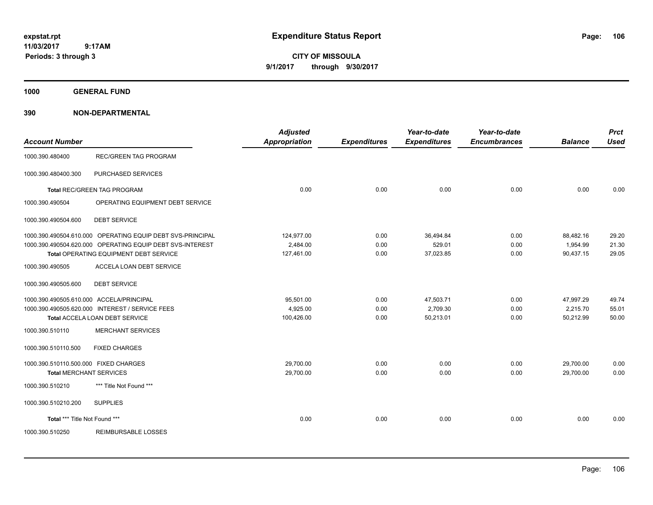**CITY OF MISSOULA 9/1/2017 through 9/30/2017**

**1000 GENERAL FUND**

| <b>Account Number</b>                    |                                                            | <b>Adjusted</b><br><b>Appropriation</b> | <b>Expenditures</b> | Year-to-date<br><b>Expenditures</b> | Year-to-date<br><b>Encumbrances</b> | <b>Balance</b> | <b>Prct</b><br><b>Used</b> |
|------------------------------------------|------------------------------------------------------------|-----------------------------------------|---------------------|-------------------------------------|-------------------------------------|----------------|----------------------------|
| 1000.390.480400                          | <b>REC/GREEN TAG PROGRAM</b>                               |                                         |                     |                                     |                                     |                |                            |
| 1000.390.480400.300                      | PURCHASED SERVICES                                         |                                         |                     |                                     |                                     |                |                            |
|                                          | <b>Total REC/GREEN TAG PROGRAM</b>                         | 0.00                                    | 0.00                | 0.00                                | 0.00                                | 0.00           | 0.00                       |
| 1000.390.490504                          | OPERATING EQUIPMENT DEBT SERVICE                           |                                         |                     |                                     |                                     |                |                            |
| 1000.390.490504.600                      | <b>DEBT SERVICE</b>                                        |                                         |                     |                                     |                                     |                |                            |
|                                          | 1000.390.490504.610.000 OPERATING EQUIP DEBT SVS-PRINCIPAL | 124,977.00                              | 0.00                | 36,494.84                           | 0.00                                | 88.482.16      | 29.20                      |
|                                          | 1000.390.490504.620.000 OPERATING EQUIP DEBT SVS-INTEREST  | 2,484.00                                | 0.00                | 529.01                              | 0.00                                | 1,954.99       | 21.30                      |
|                                          | Total OPERATING EQUIPMENT DEBT SERVICE                     | 127,461.00                              | 0.00                | 37,023.85                           | 0.00                                | 90,437.15      | 29.05                      |
| 1000.390.490505                          | ACCELA LOAN DEBT SERVICE                                   |                                         |                     |                                     |                                     |                |                            |
| 1000.390.490505.600                      | <b>DEBT SERVICE</b>                                        |                                         |                     |                                     |                                     |                |                            |
| 1000.390.490505.610.000 ACCELA/PRINCIPAL |                                                            | 95.501.00                               | 0.00                | 47,503.71                           | 0.00                                | 47,997.29      | 49.74                      |
|                                          | 1000.390.490505.620.000 INTEREST / SERVICE FEES            | 4.925.00                                | 0.00                | 2,709.30                            | 0.00                                | 2,215.70       | 55.01                      |
|                                          | Total ACCELA LOAN DEBT SERVICE                             | 100,426.00                              | 0.00                | 50,213.01                           | 0.00                                | 50,212.99      | 50.00                      |
| 1000.390.510110                          | <b>MERCHANT SERVICES</b>                                   |                                         |                     |                                     |                                     |                |                            |
| 1000.390.510110.500                      | <b>FIXED CHARGES</b>                                       |                                         |                     |                                     |                                     |                |                            |
| 1000.390.510110.500.000 FIXED CHARGES    |                                                            | 29,700.00                               | 0.00                | 0.00                                | 0.00                                | 29,700.00      | 0.00                       |
| <b>Total MERCHANT SERVICES</b>           |                                                            | 29,700.00                               | 0.00                | 0.00                                | 0.00                                | 29,700.00      | 0.00                       |
| 1000.390.510210                          | *** Title Not Found ***                                    |                                         |                     |                                     |                                     |                |                            |
| 1000.390.510210.200                      | <b>SUPPLIES</b>                                            |                                         |                     |                                     |                                     |                |                            |
| Total *** Title Not Found ***            |                                                            | 0.00                                    | 0.00                | 0.00                                | 0.00                                | 0.00           | 0.00                       |
| 1000.390.510250                          | <b>REIMBURSABLE LOSSES</b>                                 |                                         |                     |                                     |                                     |                |                            |
|                                          |                                                            |                                         |                     |                                     |                                     |                |                            |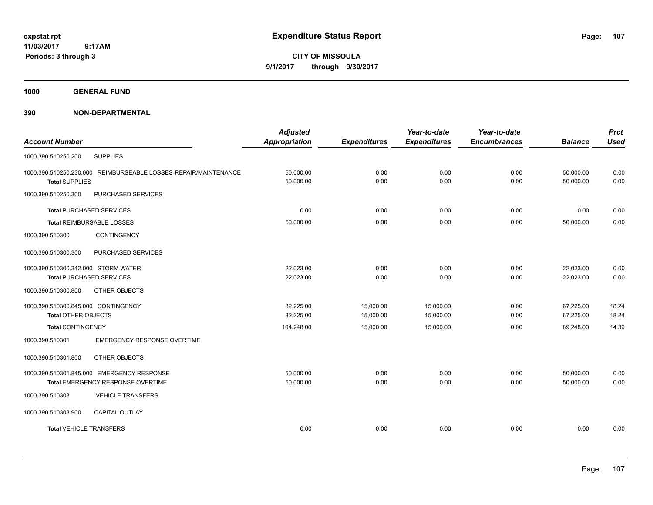**CITY OF MISSOULA 9/1/2017 through 9/30/2017**

**1000 GENERAL FUND**

|                                                                 | <b>Adjusted</b>      |                     | Year-to-date        | Year-to-date        |                | <b>Prct</b> |
|-----------------------------------------------------------------|----------------------|---------------------|---------------------|---------------------|----------------|-------------|
| <b>Account Number</b>                                           | <b>Appropriation</b> | <b>Expenditures</b> | <b>Expenditures</b> | <b>Encumbrances</b> | <b>Balance</b> | <b>Used</b> |
| <b>SUPPLIES</b><br>1000.390.510250.200                          |                      |                     |                     |                     |                |             |
| 1000.390.510250.230.000 REIMBURSEABLE LOSSES-REPAIR/MAINTENANCE | 50,000.00            | 0.00                | 0.00                | 0.00                | 50,000.00      | 0.00        |
| <b>Total SUPPLIES</b>                                           | 50,000.00            | 0.00                | 0.00                | 0.00                | 50.000.00      | 0.00        |
| 1000.390.510250.300<br>PURCHASED SERVICES                       |                      |                     |                     |                     |                |             |
| <b>Total PURCHASED SERVICES</b>                                 | 0.00                 | 0.00                | 0.00                | 0.00                | 0.00           | 0.00        |
| Total REIMBURSABLE LOSSES                                       | 50,000.00            | 0.00                | 0.00                | 0.00                | 50,000.00      | 0.00        |
| 1000.390.510300<br><b>CONTINGENCY</b>                           |                      |                     |                     |                     |                |             |
| PURCHASED SERVICES<br>1000.390.510300.300                       |                      |                     |                     |                     |                |             |
| 1000.390.510300.342.000 STORM WATER                             | 22,023.00            | 0.00                | 0.00                | 0.00                | 22,023.00      | 0.00        |
| <b>Total PURCHASED SERVICES</b>                                 | 22,023.00            | 0.00                | 0.00                | 0.00                | 22,023.00      | 0.00        |
| 1000.390.510300.800<br>OTHER OBJECTS                            |                      |                     |                     |                     |                |             |
| 1000.390.510300.845.000 CONTINGENCY                             | 82,225.00            | 15,000.00           | 15,000.00           | 0.00                | 67,225.00      | 18.24       |
| <b>Total OTHER OBJECTS</b>                                      | 82,225.00            | 15,000.00           | 15,000.00           | 0.00                | 67,225.00      | 18.24       |
| <b>Total CONTINGENCY</b>                                        | 104,248.00           | 15,000.00           | 15,000.00           | 0.00                | 89,248.00      | 14.39       |
| <b>EMERGENCY RESPONSE OVERTIME</b><br>1000.390.510301           |                      |                     |                     |                     |                |             |
| 1000.390.510301.800<br>OTHER OBJECTS                            |                      |                     |                     |                     |                |             |
| 1000.390.510301.845.000 EMERGENCY RESPONSE                      | 50,000.00            | 0.00                | 0.00                | 0.00                | 50,000.00      | 0.00        |
| Total EMERGENCY RESPONSE OVERTIME                               | 50,000.00            | 0.00                | 0.00                | 0.00                | 50,000.00      | 0.00        |
| 1000.390.510303<br><b>VEHICLE TRANSFERS</b>                     |                      |                     |                     |                     |                |             |
| <b>CAPITAL OUTLAY</b><br>1000.390.510303.900                    |                      |                     |                     |                     |                |             |
| <b>Total VEHICLE TRANSFERS</b>                                  | 0.00                 | 0.00                | 0.00                | 0.00                | 0.00           | 0.00        |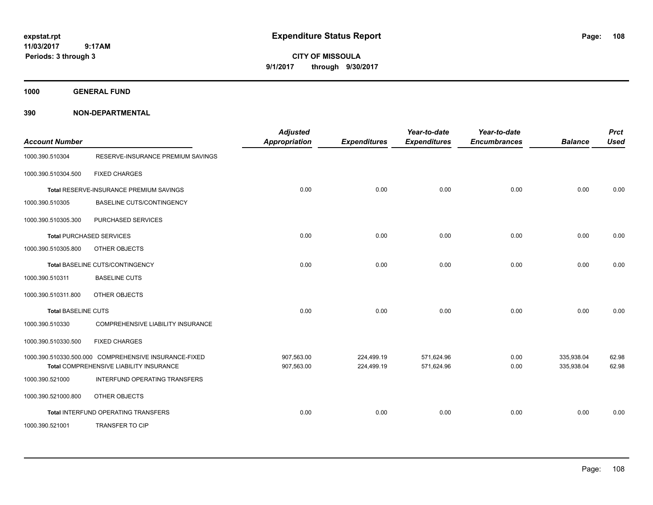**CITY OF MISSOULA 9/1/2017 through 9/30/2017**

**1000 GENERAL FUND**

| <b>Account Number</b>      |                                                                                                  | <b>Adjusted</b><br><b>Appropriation</b> | <b>Expenditures</b>      | Year-to-date<br><b>Expenditures</b> | Year-to-date<br><b>Encumbrances</b> | <b>Balance</b>           | <b>Prct</b><br><b>Used</b> |
|----------------------------|--------------------------------------------------------------------------------------------------|-----------------------------------------|--------------------------|-------------------------------------|-------------------------------------|--------------------------|----------------------------|
| 1000.390.510304            | RESERVE-INSURANCE PREMIUM SAVINGS                                                                |                                         |                          |                                     |                                     |                          |                            |
| 1000.390.510304.500        | <b>FIXED CHARGES</b>                                                                             |                                         |                          |                                     |                                     |                          |                            |
|                            | <b>Total RESERVE-INSURANCE PREMIUM SAVINGS</b>                                                   | 0.00                                    | 0.00                     | 0.00                                | 0.00                                | 0.00                     | 0.00                       |
| 1000.390.510305            | <b>BASELINE CUTS/CONTINGENCY</b>                                                                 |                                         |                          |                                     |                                     |                          |                            |
| 1000.390.510305.300        | PURCHASED SERVICES                                                                               |                                         |                          |                                     |                                     |                          |                            |
|                            | <b>Total PURCHASED SERVICES</b>                                                                  | 0.00                                    | 0.00                     | 0.00                                | 0.00                                | 0.00                     | 0.00                       |
| 1000.390.510305.800        | OTHER OBJECTS                                                                                    |                                         |                          |                                     |                                     |                          |                            |
|                            | Total BASELINE CUTS/CONTINGENCY                                                                  | 0.00                                    | 0.00                     | 0.00                                | 0.00                                | 0.00                     | 0.00                       |
| 1000.390.510311            | <b>BASELINE CUTS</b>                                                                             |                                         |                          |                                     |                                     |                          |                            |
| 1000.390.510311.800        | OTHER OBJECTS                                                                                    |                                         |                          |                                     |                                     |                          |                            |
| <b>Total BASELINE CUTS</b> |                                                                                                  | 0.00                                    | 0.00                     | 0.00                                | 0.00                                | 0.00                     | 0.00                       |
| 1000.390.510330            | COMPREHENSIVE LIABILITY INSURANCE                                                                |                                         |                          |                                     |                                     |                          |                            |
| 1000.390.510330.500        | <b>FIXED CHARGES</b>                                                                             |                                         |                          |                                     |                                     |                          |                            |
|                            | 1000.390.510330.500.000 COMPREHENSIVE INSURANCE-FIXED<br>Total COMPREHENSIVE LIABILITY INSURANCE | 907,563.00<br>907,563.00                | 224,499.19<br>224,499.19 | 571,624.96<br>571,624.96            | 0.00<br>0.00                        | 335,938.04<br>335,938.04 | 62.98<br>62.98             |
| 1000.390.521000            | INTERFUND OPERATING TRANSFERS                                                                    |                                         |                          |                                     |                                     |                          |                            |
| 1000.390.521000.800        | OTHER OBJECTS                                                                                    |                                         |                          |                                     |                                     |                          |                            |
|                            | Total INTERFUND OPERATING TRANSFERS                                                              | 0.00                                    | 0.00                     | 0.00                                | 0.00                                | 0.00                     | 0.00                       |
| 1000.390.521001            | <b>TRANSFER TO CIP</b>                                                                           |                                         |                          |                                     |                                     |                          |                            |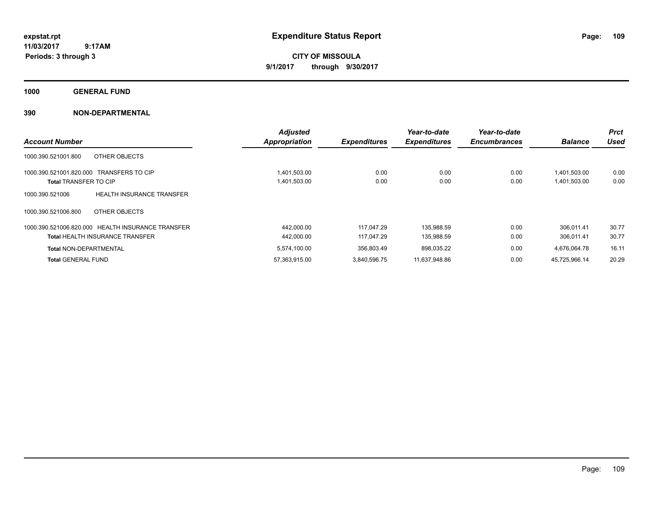**CITY OF MISSOULA 9/1/2017 through 9/30/2017**

**1000 GENERAL FUND**

| <b>Account Number</b>                              |                                  | <b>Adjusted</b><br>Appropriation | <b>Expenditures</b> | Year-to-date<br><b>Expenditures</b> | Year-to-date<br><b>Encumbrances</b> | <b>Balance</b> | <b>Prct</b><br><b>Used</b> |
|----------------------------------------------------|----------------------------------|----------------------------------|---------------------|-------------------------------------|-------------------------------------|----------------|----------------------------|
| OTHER OBJECTS<br>1000.390.521001.800               |                                  |                                  |                     |                                     |                                     |                |                            |
| <b>TRANSFERS TO CIP</b><br>1000.390.521001.820.000 |                                  | 1,401,503.00                     | 0.00                | 0.00                                | 0.00                                | 1,401,503.00   | 0.00                       |
| <b>Total TRANSFER TO CIP</b>                       |                                  | 1,401,503.00                     | 0.00                | 0.00                                | 0.00                                | 1,401,503.00   | 0.00                       |
| 1000.390.521006                                    | <b>HEALTH INSURANCE TRANSFER</b> |                                  |                     |                                     |                                     |                |                            |
| 1000.390.521006.800<br>OTHER OBJECTS               |                                  |                                  |                     |                                     |                                     |                |                            |
| 1000.390.521006.820.000 HEALTH INSURANCE TRANSFER  |                                  | 442,000.00                       | 117.047.29          | 135.988.59                          | 0.00                                | 306.011.41     | 30.77                      |
| <b>Total HEALTH INSURANCE TRANSFER</b>             |                                  | 442.000.00                       | 117.047.29          | 135,988.59                          | 0.00                                | 306.011.41     | 30.77                      |
| <b>Total NON-DEPARTMENTAL</b>                      |                                  | 5,574,100.00                     | 356.803.49          | 898.035.22                          | 0.00                                | 4.676.064.78   | 16.11                      |
| <b>Total GENERAL FUND</b>                          |                                  | 57.363.915.00                    | 3.840.596.75        | 11.637.948.86                       | 0.00                                | 45.725.966.14  | 20.29                      |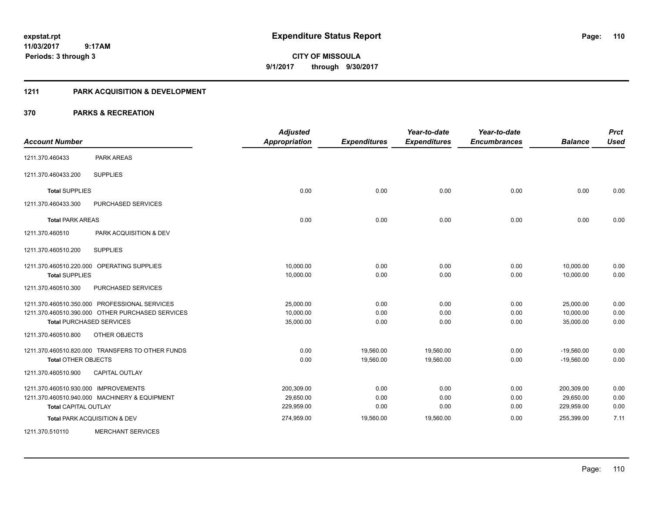**Periods: 3 through 3**

**CITY OF MISSOULA 9/1/2017 through 9/30/2017**

#### **1211 PARK ACQUISITION & DEVELOPMENT**

#### **370 PARKS & RECREATION**

 **9:17AM**

| <b>Account Number</b>                |                                                  | <b>Adjusted</b><br><b>Appropriation</b> | <b>Expenditures</b> | Year-to-date<br><b>Expenditures</b> | Year-to-date<br><b>Encumbrances</b> | <b>Balance</b> | <b>Prct</b><br><b>Used</b> |
|--------------------------------------|--------------------------------------------------|-----------------------------------------|---------------------|-------------------------------------|-------------------------------------|----------------|----------------------------|
| 1211.370.460433                      | <b>PARK AREAS</b>                                |                                         |                     |                                     |                                     |                |                            |
| 1211.370.460433.200                  | <b>SUPPLIES</b>                                  |                                         |                     |                                     |                                     |                |                            |
| <b>Total SUPPLIES</b>                |                                                  | 0.00                                    | 0.00                | 0.00                                | 0.00                                | 0.00           | 0.00                       |
| 1211.370.460433.300                  | <b>PURCHASED SERVICES</b>                        |                                         |                     |                                     |                                     |                |                            |
| <b>Total PARK AREAS</b>              |                                                  | 0.00                                    | 0.00                | 0.00                                | 0.00                                | 0.00           | 0.00                       |
| 1211.370.460510                      | PARK ACQUISITION & DEV                           |                                         |                     |                                     |                                     |                |                            |
| 1211.370.460510.200                  | <b>SUPPLIES</b>                                  |                                         |                     |                                     |                                     |                |                            |
|                                      | 1211.370.460510.220.000 OPERATING SUPPLIES       | 10,000.00                               | 0.00                | 0.00                                | 0.00                                | 10,000.00      | 0.00                       |
| <b>Total SUPPLIES</b>                |                                                  | 10,000.00                               | 0.00                | 0.00                                | 0.00                                | 10,000.00      | 0.00                       |
| 1211.370.460510.300                  | PURCHASED SERVICES                               |                                         |                     |                                     |                                     |                |                            |
|                                      | 1211.370.460510.350.000 PROFESSIONAL SERVICES    | 25,000.00                               | 0.00                | 0.00                                | 0.00                                | 25,000.00      | 0.00                       |
|                                      | 1211.370.460510.390.000 OTHER PURCHASED SERVICES | 10,000.00                               | 0.00                | 0.00                                | 0.00                                | 10,000.00      | 0.00                       |
|                                      | <b>Total PURCHASED SERVICES</b>                  | 35,000.00                               | 0.00                | 0.00                                | 0.00                                | 35,000.00      | 0.00                       |
| 1211.370.460510.800                  | OTHER OBJECTS                                    |                                         |                     |                                     |                                     |                |                            |
|                                      | 1211.370.460510.820.000 TRANSFERS TO OTHER FUNDS | 0.00                                    | 19,560.00           | 19,560.00                           | 0.00                                | $-19,560.00$   | 0.00                       |
| <b>Total OTHER OBJECTS</b>           |                                                  | 0.00                                    | 19,560.00           | 19,560.00                           | 0.00                                | $-19,560.00$   | 0.00                       |
| 1211.370.460510.900                  | <b>CAPITAL OUTLAY</b>                            |                                         |                     |                                     |                                     |                |                            |
| 1211.370.460510.930.000 IMPROVEMENTS |                                                  | 200,309.00                              | 0.00                | 0.00                                | 0.00                                | 200,309.00     | 0.00                       |
|                                      | 1211.370.460510.940.000 MACHINERY & EQUIPMENT    | 29,650.00                               | 0.00                | 0.00                                | 0.00                                | 29,650.00      | 0.00                       |
| <b>Total CAPITAL OUTLAY</b>          |                                                  | 229,959.00                              | 0.00                | 0.00                                | 0.00                                | 229,959.00     | 0.00                       |
|                                      | Total PARK ACQUISITION & DEV                     | 274,959.00                              | 19,560.00           | 19,560.00                           | 0.00                                | 255,399.00     | 7.11                       |
| 1211.370.510110                      | <b>MERCHANT SERVICES</b>                         |                                         |                     |                                     |                                     |                |                            |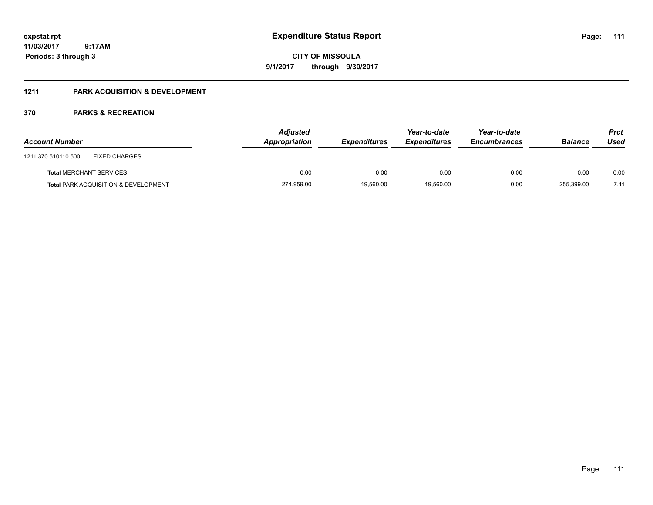**CITY OF MISSOULA 9/1/2017 through 9/30/2017**

### **1211 PARK ACQUISITION & DEVELOPMENT**

| <b>Account Number</b>                           | <b>Adjusted</b><br>Appropriation | <b>Expenditures</b> | Year-to-date<br><b>Expenditures</b> | Year-to-date<br><b>Encumbrances</b> | <b>Balance</b> | <b>Prct</b><br>Used |
|-------------------------------------------------|----------------------------------|---------------------|-------------------------------------|-------------------------------------|----------------|---------------------|
| <b>FIXED CHARGES</b><br>1211.370.510110.500     |                                  |                     |                                     |                                     |                |                     |
| <b>Total MERCHANT SERVICES</b>                  | 0.00                             | 0.00                | 0.00                                | 0.00                                | 0.00           | 0.00                |
| <b>Total PARK ACQUISITION &amp; DEVELOPMENT</b> | 274,959.00                       | 19,560.00           | 19,560.00                           | 0.00                                | 255,399.00     | 7.11                |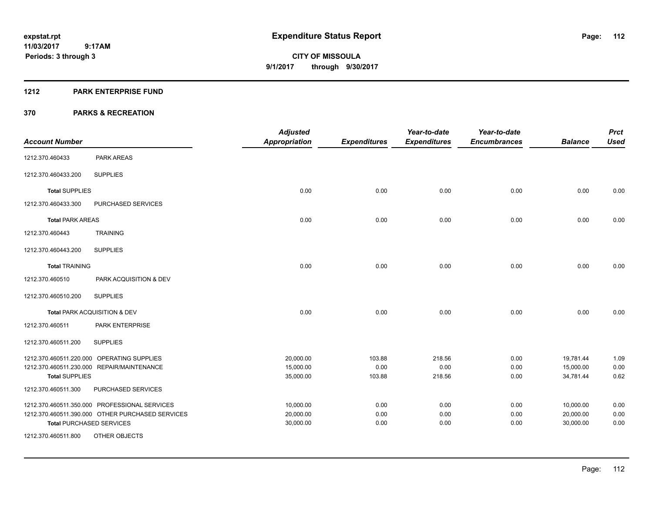#### **1212 PARK ENTERPRISE FUND**

|                         |                                                                                                                                      | <b>Adjusted</b>                     |                          | Year-to-date             | Year-to-date         |                                     | <b>Prct</b>          |
|-------------------------|--------------------------------------------------------------------------------------------------------------------------------------|-------------------------------------|--------------------------|--------------------------|----------------------|-------------------------------------|----------------------|
| <b>Account Number</b>   |                                                                                                                                      | <b>Appropriation</b>                | <b>Expenditures</b>      | <b>Expenditures</b>      | <b>Encumbrances</b>  | <b>Balance</b>                      | <b>Used</b>          |
| 1212.370.460433         | PARK AREAS                                                                                                                           |                                     |                          |                          |                      |                                     |                      |
| 1212.370.460433.200     | <b>SUPPLIES</b>                                                                                                                      |                                     |                          |                          |                      |                                     |                      |
| <b>Total SUPPLIES</b>   |                                                                                                                                      | 0.00                                | 0.00                     | 0.00                     | 0.00                 | 0.00                                | 0.00                 |
| 1212.370.460433.300     | PURCHASED SERVICES                                                                                                                   |                                     |                          |                          |                      |                                     |                      |
| <b>Total PARK AREAS</b> |                                                                                                                                      | 0.00                                | 0.00                     | 0.00                     | 0.00                 | 0.00                                | 0.00                 |
| 1212.370.460443         | <b>TRAINING</b>                                                                                                                      |                                     |                          |                          |                      |                                     |                      |
| 1212.370.460443.200     | <b>SUPPLIES</b>                                                                                                                      |                                     |                          |                          |                      |                                     |                      |
| <b>Total TRAINING</b>   |                                                                                                                                      | 0.00                                | 0.00                     | 0.00                     | 0.00                 | 0.00                                | 0.00                 |
| 1212.370.460510         | PARK ACQUISITION & DEV                                                                                                               |                                     |                          |                          |                      |                                     |                      |
| 1212.370.460510.200     | <b>SUPPLIES</b>                                                                                                                      |                                     |                          |                          |                      |                                     |                      |
|                         | Total PARK ACQUISITION & DEV                                                                                                         | 0.00                                | 0.00                     | 0.00                     | 0.00                 | 0.00                                | 0.00                 |
| 1212.370.460511         | <b>PARK ENTERPRISE</b>                                                                                                               |                                     |                          |                          |                      |                                     |                      |
| 1212.370.460511.200     | <b>SUPPLIES</b>                                                                                                                      |                                     |                          |                          |                      |                                     |                      |
| <b>Total SUPPLIES</b>   | 1212.370.460511.220.000 OPERATING SUPPLIES<br>1212.370.460511.230.000 REPAIR/MAINTENANCE                                             | 20,000.00<br>15,000.00<br>35,000.00 | 103.88<br>0.00<br>103.88 | 218.56<br>0.00<br>218.56 | 0.00<br>0.00<br>0.00 | 19,781.44<br>15,000.00<br>34,781.44 | 1.09<br>0.00<br>0.62 |
| 1212.370.460511.300     | PURCHASED SERVICES                                                                                                                   |                                     |                          |                          |                      |                                     |                      |
|                         | 1212.370.460511.350.000 PROFESSIONAL SERVICES<br>1212.370.460511.390.000 OTHER PURCHASED SERVICES<br><b>Total PURCHASED SERVICES</b> | 10,000.00<br>20,000.00<br>30,000.00 | 0.00<br>0.00<br>0.00     | 0.00<br>0.00<br>0.00     | 0.00<br>0.00<br>0.00 | 10,000.00<br>20,000.00<br>30,000.00 | 0.00<br>0.00<br>0.00 |
| 1212.370.460511.800     | OTHER OBJECTS                                                                                                                        |                                     |                          |                          |                      |                                     |                      |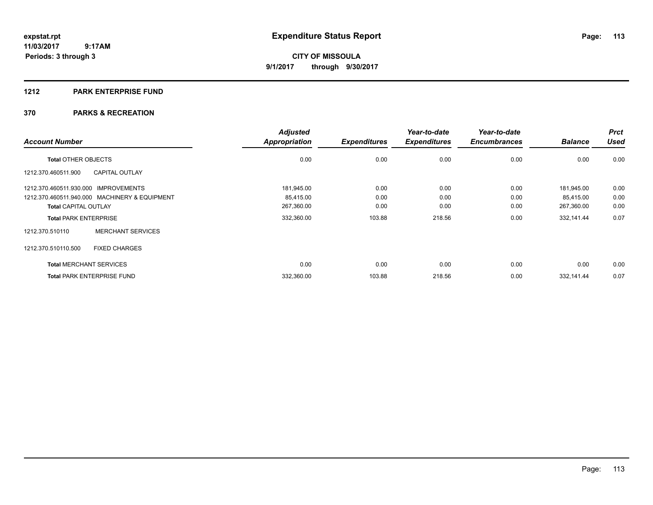#### **1212 PARK ENTERPRISE FUND**

|                                      |                                               | <b>Adjusted</b>      |                     | Year-to-date        | Year-to-date        |                | <b>Prct</b> |
|--------------------------------------|-----------------------------------------------|----------------------|---------------------|---------------------|---------------------|----------------|-------------|
| <b>Account Number</b>                |                                               | <b>Appropriation</b> | <b>Expenditures</b> | <b>Expenditures</b> | <b>Encumbrances</b> | <b>Balance</b> | <b>Used</b> |
| <b>Total OTHER OBJECTS</b>           |                                               | 0.00                 | 0.00                | 0.00                | 0.00                | 0.00           | 0.00        |
| 1212.370.460511.900                  | <b>CAPITAL OUTLAY</b>                         |                      |                     |                     |                     |                |             |
| 1212.370.460511.930.000 IMPROVEMENTS |                                               | 181,945.00           | 0.00                | 0.00                | 0.00                | 181.945.00     | 0.00        |
|                                      | 1212.370.460511.940.000 MACHINERY & EQUIPMENT | 85.415.00            | 0.00                | 0.00                | 0.00                | 85,415.00      | 0.00        |
| <b>Total CAPITAL OUTLAY</b>          |                                               | 267,360.00           | 0.00                | 0.00                | 0.00                | 267,360.00     | 0.00        |
| <b>Total PARK ENTERPRISE</b>         |                                               | 332,360.00           | 103.88              | 218.56              | 0.00                | 332,141.44     | 0.07        |
| 1212.370.510110                      | <b>MERCHANT SERVICES</b>                      |                      |                     |                     |                     |                |             |
| 1212.370.510110.500                  | <b>FIXED CHARGES</b>                          |                      |                     |                     |                     |                |             |
|                                      | <b>Total MERCHANT SERVICES</b>                | 0.00                 | 0.00                | 0.00                | 0.00                | 0.00           | 0.00        |
|                                      | <b>Total PARK ENTERPRISE FUND</b>             | 332,360.00           | 103.88              | 218.56              | 0.00                | 332,141.44     | 0.07        |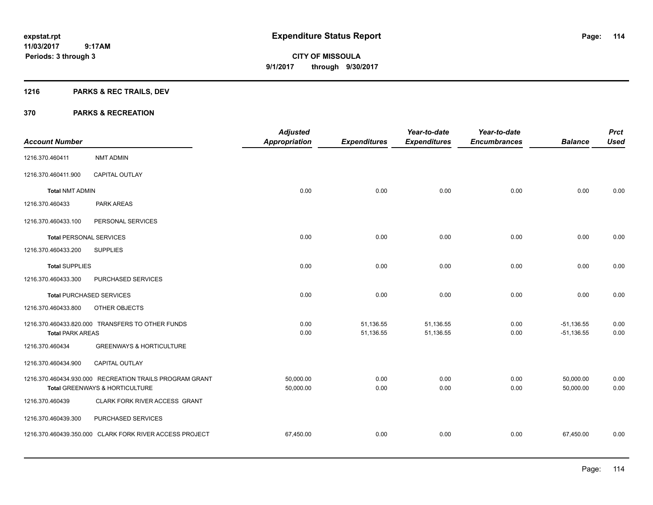# **1216 PARKS & REC TRAILS, DEV**

|                                 |                                                         | <b>Adjusted</b>      |                     | Year-to-date        | Year-to-date        |                | <b>Prct</b> |
|---------------------------------|---------------------------------------------------------|----------------------|---------------------|---------------------|---------------------|----------------|-------------|
| <b>Account Number</b>           |                                                         | <b>Appropriation</b> | <b>Expenditures</b> | <b>Expenditures</b> | <b>Encumbrances</b> | <b>Balance</b> | <b>Used</b> |
| 1216.370.460411                 | <b>NMT ADMIN</b>                                        |                      |                     |                     |                     |                |             |
| 1216.370.460411.900             | <b>CAPITAL OUTLAY</b>                                   |                      |                     |                     |                     |                |             |
| <b>Total NMT ADMIN</b>          |                                                         | 0.00                 | 0.00                | 0.00                | 0.00                | 0.00           | 0.00        |
| 1216.370.460433                 | PARK AREAS                                              |                      |                     |                     |                     |                |             |
| 1216.370.460433.100             | PERSONAL SERVICES                                       |                      |                     |                     |                     |                |             |
| <b>Total PERSONAL SERVICES</b>  |                                                         | 0.00                 | 0.00                | 0.00                | 0.00                | 0.00           | 0.00        |
| 1216.370.460433.200             | <b>SUPPLIES</b>                                         |                      |                     |                     |                     |                |             |
| <b>Total SUPPLIES</b>           |                                                         | 0.00                 | 0.00                | 0.00                | 0.00                | 0.00           | 0.00        |
| 1216.370.460433.300             | PURCHASED SERVICES                                      |                      |                     |                     |                     |                |             |
| <b>Total PURCHASED SERVICES</b> |                                                         | 0.00                 | 0.00                | 0.00                | 0.00                | 0.00           | 0.00        |
| 1216.370.460433.800             | OTHER OBJECTS                                           |                      |                     |                     |                     |                |             |
|                                 | 1216.370.460433.820.000 TRANSFERS TO OTHER FUNDS        | 0.00                 | 51,136.55           | 51,136.55           | 0.00                | $-51, 136.55$  | 0.00        |
| <b>Total PARK AREAS</b>         |                                                         | 0.00                 | 51,136.55           | 51,136.55           | 0.00                | $-51,136.55$   | 0.00        |
| 1216.370.460434                 | <b>GREENWAYS &amp; HORTICULTURE</b>                     |                      |                     |                     |                     |                |             |
| 1216.370.460434.900             | CAPITAL OUTLAY                                          |                      |                     |                     |                     |                |             |
|                                 | 1216.370.460434.930.000 RECREATION TRAILS PROGRAM GRANT | 50,000.00            | 0.00                | 0.00                | 0.00                | 50,000.00      | 0.00        |
|                                 | Total GREENWAYS & HORTICULTURE                          | 50,000.00            | 0.00                | 0.00                | 0.00                | 50,000.00      | 0.00        |
| 1216.370.460439                 | CLARK FORK RIVER ACCESS GRANT                           |                      |                     |                     |                     |                |             |
| 1216.370.460439.300             | PURCHASED SERVICES                                      |                      |                     |                     |                     |                |             |
|                                 | 1216.370.460439.350.000 CLARK FORK RIVER ACCESS PROJECT | 67,450.00            | 0.00                | 0.00                | 0.00                | 67,450.00      | 0.00        |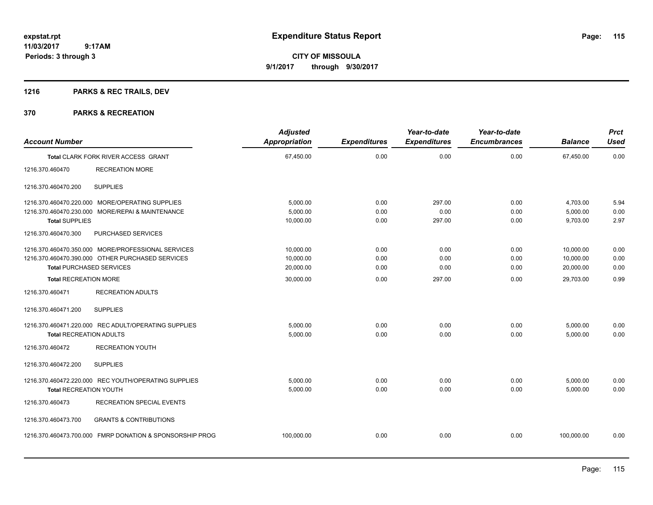# **1216 PARKS & REC TRAILS, DEV**

| <b>Account Number</b>           |                                                          | <b>Adjusted</b><br><b>Appropriation</b> | <b>Expenditures</b> | Year-to-date<br><b>Expenditures</b> | Year-to-date<br><b>Encumbrances</b> | <b>Balance</b> | <b>Prct</b><br><b>Used</b> |
|---------------------------------|----------------------------------------------------------|-----------------------------------------|---------------------|-------------------------------------|-------------------------------------|----------------|----------------------------|
|                                 | <b>Total CLARK FORK RIVER ACCESS GRANT</b>               | 67,450.00                               | 0.00                | 0.00                                | 0.00                                | 67,450.00      | 0.00                       |
| 1216.370.460470                 | <b>RECREATION MORE</b>                                   |                                         |                     |                                     |                                     |                |                            |
| 1216.370.460470.200             | <b>SUPPLIES</b>                                          |                                         |                     |                                     |                                     |                |                            |
|                                 | 1216.370.460470.220.000 MORE/OPERATING SUPPLIES          | 5,000.00                                | 0.00                | 297.00                              | 0.00                                | 4,703.00       | 5.94                       |
|                                 | 1216.370.460470.230.000 MORE/REPAI & MAINTENANCE         | 5,000.00                                | 0.00                | 0.00                                | 0.00                                | 5,000.00       | 0.00                       |
| <b>Total SUPPLIES</b>           |                                                          | 10,000.00                               | 0.00                | 297.00                              | 0.00                                | 9,703.00       | 2.97                       |
| 1216.370.460470.300             | PURCHASED SERVICES                                       |                                         |                     |                                     |                                     |                |                            |
|                                 | 1216.370.460470.350.000 MORE/PROFESSIONAL SERVICES       | 10,000.00                               | 0.00                | 0.00                                | 0.00                                | 10,000.00      | 0.00                       |
|                                 | 1216.370.460470.390.000 OTHER PURCHASED SERVICES         | 10,000.00                               | 0.00                | 0.00                                | 0.00                                | 10,000.00      | 0.00                       |
| <b>Total PURCHASED SERVICES</b> |                                                          | 20,000.00                               | 0.00                | 0.00                                | 0.00                                | 20,000.00      | 0.00                       |
| <b>Total RECREATION MORE</b>    |                                                          | 30,000.00                               | 0.00                | 297.00                              | 0.00                                | 29,703.00      | 0.99                       |
| 1216.370.460471                 | <b>RECREATION ADULTS</b>                                 |                                         |                     |                                     |                                     |                |                            |
| 1216.370.460471.200             | <b>SUPPLIES</b>                                          |                                         |                     |                                     |                                     |                |                            |
|                                 | 1216.370.460471.220.000 REC ADULT/OPERATING SUPPLIES     | 5,000.00                                | 0.00                | 0.00                                | 0.00                                | 5,000.00       | 0.00                       |
| <b>Total RECREATION ADULTS</b>  |                                                          | 5,000.00                                | 0.00                | 0.00                                | 0.00                                | 5,000.00       | 0.00                       |
| 1216.370.460472                 | <b>RECREATION YOUTH</b>                                  |                                         |                     |                                     |                                     |                |                            |
| 1216.370.460472.200             | <b>SUPPLIES</b>                                          |                                         |                     |                                     |                                     |                |                            |
|                                 | 1216.370.460472.220.000 REC YOUTH/OPERATING SUPPLIES     | 5,000.00                                | 0.00                | 0.00                                | 0.00                                | 5,000.00       | 0.00                       |
| <b>Total RECREATION YOUTH</b>   |                                                          | 5,000.00                                | 0.00                | 0.00                                | 0.00                                | 5,000.00       | 0.00                       |
| 1216.370.460473                 | RECREATION SPECIAL EVENTS                                |                                         |                     |                                     |                                     |                |                            |
| 1216.370.460473.700             | <b>GRANTS &amp; CONTRIBUTIONS</b>                        |                                         |                     |                                     |                                     |                |                            |
|                                 | 1216.370.460473.700.000 FMRP DONATION & SPONSORSHIP PROG | 100,000.00                              | 0.00                | 0.00                                | 0.00                                | 100,000.00     | 0.00                       |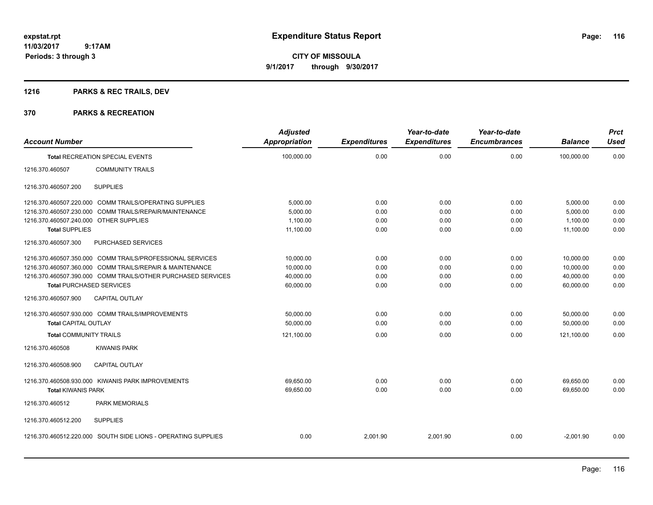**CITY OF MISSOULA 9/1/2017 through 9/30/2017**

# **1216 PARKS & REC TRAILS, DEV**

| <b>Account Number</b>                  |                                                               | <b>Adjusted</b><br><b>Appropriation</b> | <b>Expenditures</b> | Year-to-date<br><b>Expenditures</b> | Year-to-date<br><b>Encumbrances</b> | <b>Balance</b> | <b>Prct</b><br><b>Used</b> |
|----------------------------------------|---------------------------------------------------------------|-----------------------------------------|---------------------|-------------------------------------|-------------------------------------|----------------|----------------------------|
|                                        | <b>Total RECREATION SPECIAL EVENTS</b>                        | 100,000.00                              | 0.00                | 0.00                                | 0.00                                | 100,000.00     | 0.00                       |
| 1216.370.460507                        | <b>COMMUNITY TRAILS</b>                                       |                                         |                     |                                     |                                     |                |                            |
| 1216.370.460507.200                    | <b>SUPPLIES</b>                                               |                                         |                     |                                     |                                     |                |                            |
|                                        | 1216.370.460507.220.000 COMM TRAILS/OPERATING SUPPLIES        | 5,000.00                                | 0.00                | 0.00                                | 0.00                                | 5,000.00       | 0.00                       |
| 1216.370.460507.230.000                | COMM TRAILS/REPAIR/MAINTENANCE                                | 5,000.00                                | 0.00                | 0.00                                | 0.00                                | 5,000.00       | 0.00                       |
| 1216.370.460507.240.000 OTHER SUPPLIES |                                                               | 1,100.00                                | 0.00                | 0.00                                | 0.00                                | 1,100.00       | 0.00                       |
| <b>Total SUPPLIES</b>                  |                                                               | 11,100.00                               | 0.00                | 0.00                                | 0.00                                | 11,100.00      | 0.00                       |
| 1216.370.460507.300                    | PURCHASED SERVICES                                            |                                         |                     |                                     |                                     |                |                            |
|                                        | 1216.370.460507.350.000 COMM TRAILS/PROFESSIONAL SERVICES     | 10,000.00                               | 0.00                | 0.00                                | 0.00                                | 10,000.00      | 0.00                       |
|                                        | 1216.370.460507.360.000 COMM TRAILS/REPAIR & MAINTENANCE      | 10,000.00                               | 0.00                | 0.00                                | 0.00                                | 10.000.00      | 0.00                       |
|                                        | 1216.370.460507.390.000 COMM TRAILS/OTHER PURCHASED SERVICES  | 40,000.00                               | 0.00                | 0.00                                | 0.00                                | 40,000.00      | 0.00                       |
| <b>Total PURCHASED SERVICES</b>        |                                                               | 60,000.00                               | 0.00                | 0.00                                | 0.00                                | 60,000.00      | 0.00                       |
| 1216.370.460507.900                    | <b>CAPITAL OUTLAY</b>                                         |                                         |                     |                                     |                                     |                |                            |
|                                        | 1216.370.460507.930.000 COMM TRAILS/IMPROVEMENTS              | 50,000.00                               | 0.00                | 0.00                                | 0.00                                | 50,000.00      | 0.00                       |
| <b>Total CAPITAL OUTLAY</b>            |                                                               | 50,000.00                               | 0.00                | 0.00                                | 0.00                                | 50,000.00      | 0.00                       |
| <b>Total COMMUNITY TRAILS</b>          |                                                               | 121,100.00                              | 0.00                | 0.00                                | 0.00                                | 121,100.00     | 0.00                       |
| 1216.370.460508                        | <b>KIWANIS PARK</b>                                           |                                         |                     |                                     |                                     |                |                            |
| 1216.370.460508.900                    | <b>CAPITAL OUTLAY</b>                                         |                                         |                     |                                     |                                     |                |                            |
|                                        | 1216.370.460508.930.000 KIWANIS PARK IMPROVEMENTS             | 69,650.00                               | 0.00                | 0.00                                | 0.00                                | 69,650.00      | 0.00                       |
| <b>Total KIWANIS PARK</b>              |                                                               | 69,650.00                               | 0.00                | 0.00                                | 0.00                                | 69,650.00      | 0.00                       |
| 1216.370.460512                        | <b>PARK MEMORIALS</b>                                         |                                         |                     |                                     |                                     |                |                            |
| 1216.370.460512.200                    | <b>SUPPLIES</b>                                               |                                         |                     |                                     |                                     |                |                            |
|                                        | 1216.370.460512.220.000 SOUTH SIDE LIONS - OPERATING SUPPLIES | 0.00                                    | 2,001.90            | 2,001.90                            | 0.00                                | $-2,001.90$    | 0.00                       |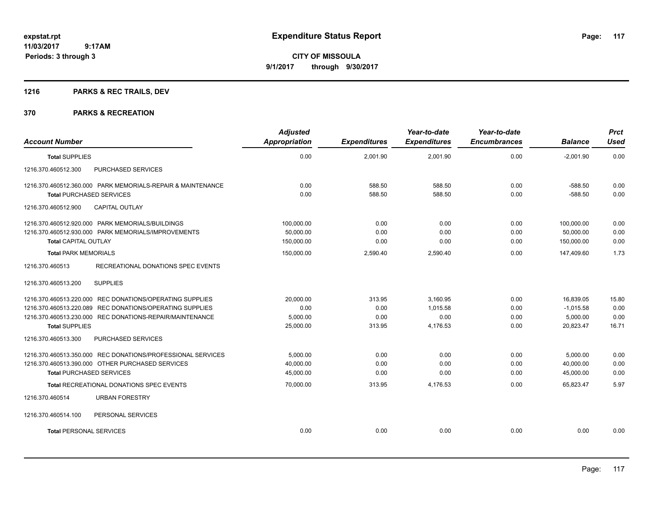**CITY OF MISSOULA 9/1/2017 through 9/30/2017**

# **1216 PARKS & REC TRAILS, DEV**

| <b>Account Number</b>                                                                                                                                                                                     | <b>Adjusted</b><br>Appropriation                    | <b>Expenditures</b>              | Year-to-date<br><b>Expenditures</b>      | Year-to-date<br><b>Encumbrances</b> | <b>Balance</b>                                      | <b>Prct</b><br><b>Used</b>     |
|-----------------------------------------------------------------------------------------------------------------------------------------------------------------------------------------------------------|-----------------------------------------------------|----------------------------------|------------------------------------------|-------------------------------------|-----------------------------------------------------|--------------------------------|
| <b>Total SUPPLIES</b>                                                                                                                                                                                     | 0.00                                                | 2,001.90                         | 2,001.90                                 | 0.00                                | $-2,001.90$                                         | 0.00                           |
| 1216.370.460512.300<br>PURCHASED SERVICES                                                                                                                                                                 |                                                     |                                  |                                          |                                     |                                                     |                                |
| 1216.370.460512.360.000 PARK MEMORIALS-REPAIR & MAINTENANCE<br><b>Total PURCHASED SERVICES</b>                                                                                                            | 0.00<br>0.00                                        | 588.50<br>588.50                 | 588.50<br>588.50                         | 0.00<br>0.00                        | $-588.50$<br>$-588.50$                              | 0.00<br>0.00                   |
| 1216.370.460512.900<br><b>CAPITAL OUTLAY</b>                                                                                                                                                              |                                                     |                                  |                                          |                                     |                                                     |                                |
| 1216.370.460512.920.000 PARK MEMORIALS/BUILDINGS<br>1216.370.460512.930.000 PARK MEMORIALS/IMPROVEMENTS<br><b>Total CAPITAL OUTLAY</b><br><b>Total PARK MEMORIALS</b>                                     | 100,000.00<br>50,000.00<br>150,000.00<br>150,000.00 | 0.00<br>0.00<br>0.00<br>2,590.40 | 0.00<br>0.00<br>0.00<br>2,590.40         | 0.00<br>0.00<br>0.00<br>0.00        | 100,000.00<br>50,000.00<br>150,000.00<br>147,409.60 | 0.00<br>0.00<br>0.00<br>1.73   |
| RECREATIONAL DONATIONS SPEC EVENTS<br>1216.370.460513                                                                                                                                                     |                                                     |                                  |                                          |                                     |                                                     |                                |
| <b>SUPPLIES</b><br>1216.370.460513.200                                                                                                                                                                    |                                                     |                                  |                                          |                                     |                                                     |                                |
| 1216.370.460513.220.000 REC DONATIONS/OPERATING SUPPLIES<br>1216.370.460513.220.089 REC DONATIONS/OPERATING SUPPLIES<br>1216.370.460513.230.000 REC DONATIONS-REPAIR/MAINTENANCE<br><b>Total SUPPLIES</b> | 20,000.00<br>0.00<br>5,000.00<br>25,000.00          | 313.95<br>0.00<br>0.00<br>313.95 | 3,160.95<br>1,015.58<br>0.00<br>4,176.53 | 0.00<br>0.00<br>0.00<br>0.00        | 16,839.05<br>$-1,015.58$<br>5,000.00<br>20,823.47   | 15.80<br>0.00<br>0.00<br>16.71 |
| 1216.370.460513.300<br>PURCHASED SERVICES                                                                                                                                                                 |                                                     |                                  |                                          |                                     |                                                     |                                |
| 1216.370.460513.350.000 REC DONATIONS/PROFESSIONAL SERVICES<br>1216.370.460513.390.000 OTHER PURCHASED SERVICES<br><b>Total PURCHASED SERVICES</b>                                                        | 5,000.00<br>40.000.00<br>45,000.00                  | 0.00<br>0.00<br>0.00             | 0.00<br>0.00<br>0.00                     | 0.00<br>0.00<br>0.00                | 5,000.00<br>40.000.00<br>45,000.00                  | 0.00<br>0.00<br>0.00           |
| Total RECREATIONAL DONATIONS SPEC EVENTS                                                                                                                                                                  | 70,000.00                                           | 313.95                           | 4,176.53                                 | 0.00                                | 65,823.47                                           | 5.97                           |
| 1216.370.460514<br><b>URBAN FORESTRY</b>                                                                                                                                                                  |                                                     |                                  |                                          |                                     |                                                     |                                |
| 1216.370.460514.100<br>PERSONAL SERVICES                                                                                                                                                                  |                                                     |                                  |                                          |                                     |                                                     |                                |
| <b>Total PERSONAL SERVICES</b>                                                                                                                                                                            | 0.00                                                | 0.00                             | 0.00                                     | 0.00                                | 0.00                                                | 0.00                           |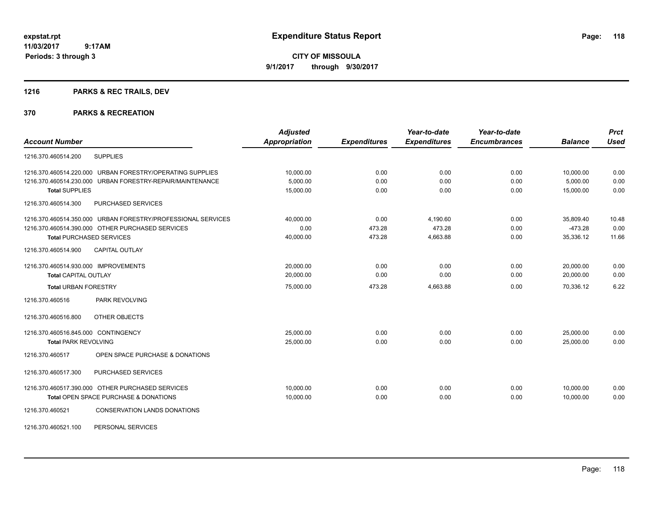**CITY OF MISSOULA 9/1/2017 through 9/30/2017**

# **1216 PARKS & REC TRAILS, DEV**

| <b>Account Number</b>                                        | <b>Adjusted</b><br>Appropriation | <b>Expenditures</b> | Year-to-date<br><b>Expenditures</b> | Year-to-date<br><b>Encumbrances</b> | <b>Balance</b> | <b>Prct</b><br><b>Used</b> |
|--------------------------------------------------------------|----------------------------------|---------------------|-------------------------------------|-------------------------------------|----------------|----------------------------|
| <b>SUPPLIES</b><br>1216.370.460514.200                       |                                  |                     |                                     |                                     |                |                            |
| 1216.370.460514.220.000 URBAN FORESTRY/OPERATING SUPPLIES    | 10,000.00                        | 0.00                | 0.00                                | 0.00                                | 10,000.00      | 0.00                       |
| 1216.370.460514.230.000 URBAN FORESTRY-REPAIR/MAINTENANCE    | 5,000.00                         | 0.00                | 0.00                                | 0.00                                | 5,000.00       | 0.00                       |
| <b>Total SUPPLIES</b>                                        | 15,000.00                        | 0.00                | 0.00                                | 0.00                                | 15,000.00      | 0.00                       |
| PURCHASED SERVICES<br>1216.370.460514.300                    |                                  |                     |                                     |                                     |                |                            |
| 1216.370.460514.350.000 URBAN FORESTRY/PROFESSIONAL SERVICES | 40,000.00                        | 0.00                | 4,190.60                            | 0.00                                | 35,809.40      | 10.48                      |
| 1216.370.460514.390.000 OTHER PURCHASED SERVICES             | 0.00                             | 473.28              | 473.28                              | 0.00                                | $-473.28$      | 0.00                       |
| <b>Total PURCHASED SERVICES</b>                              | 40,000.00                        | 473.28              | 4,663.88                            | 0.00                                | 35,336.12      | 11.66                      |
| <b>CAPITAL OUTLAY</b><br>1216.370.460514.900                 |                                  |                     |                                     |                                     |                |                            |
| 1216.370.460514.930.000 IMPROVEMENTS                         | 20,000.00                        | 0.00                | 0.00                                | 0.00                                | 20,000.00      | 0.00                       |
| <b>Total CAPITAL OUTLAY</b>                                  | 20.000.00                        | 0.00                | 0.00                                | 0.00                                | 20,000.00      | 0.00                       |
| <b>Total URBAN FORESTRY</b>                                  | 75,000.00                        | 473.28              | 4,663.88                            | 0.00                                | 70,336.12      | 6.22                       |
| <b>PARK REVOLVING</b><br>1216.370.460516                     |                                  |                     |                                     |                                     |                |                            |
| 1216.370.460516.800<br>OTHER OBJECTS                         |                                  |                     |                                     |                                     |                |                            |
| 1216.370.460516.845.000 CONTINGENCY                          | 25,000.00                        | 0.00                | 0.00                                | 0.00                                | 25,000.00      | 0.00                       |
| <b>Total PARK REVOLVING</b>                                  | 25,000.00                        | 0.00                | 0.00                                | 0.00                                | 25.000.00      | 0.00                       |
| OPEN SPACE PURCHASE & DONATIONS<br>1216.370.460517           |                                  |                     |                                     |                                     |                |                            |
| PURCHASED SERVICES<br>1216.370.460517.300                    |                                  |                     |                                     |                                     |                |                            |
| 1216.370.460517.390.000 OTHER PURCHASED SERVICES             | 10,000.00                        | 0.00                | 0.00                                | 0.00                                | 10,000.00      | 0.00                       |
| Total OPEN SPACE PURCHASE & DONATIONS                        | 10,000.00                        | 0.00                | 0.00                                | 0.00                                | 10.000.00      | 0.00                       |
| 1216.370.460521<br><b>CONSERVATION LANDS DONATIONS</b>       |                                  |                     |                                     |                                     |                |                            |
| 1216.370.460521.100<br>PERSONAL SERVICES                     |                                  |                     |                                     |                                     |                |                            |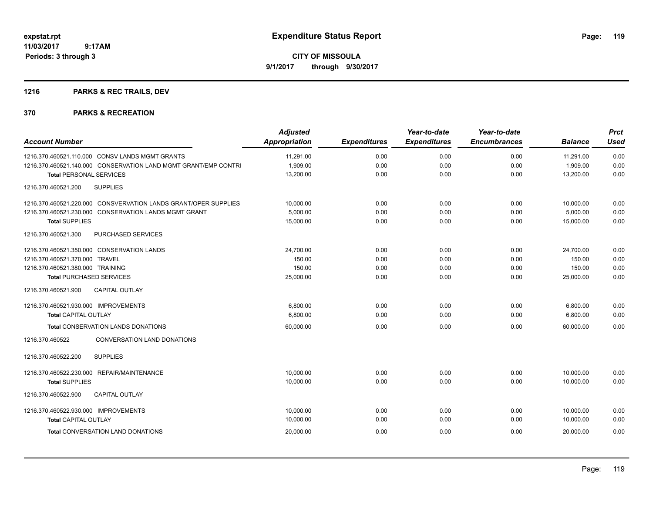# **1216 PARKS & REC TRAILS, DEV**

| <b>Account Number</b>                                           | <b>Adjusted</b><br><b>Appropriation</b> | <b>Expenditures</b> | Year-to-date<br><b>Expenditures</b> | Year-to-date<br><b>Encumbrances</b> | <b>Balance</b> | <b>Prct</b><br><b>Used</b> |
|-----------------------------------------------------------------|-----------------------------------------|---------------------|-------------------------------------|-------------------------------------|----------------|----------------------------|
| 1216.370.460521.110.000 CONSV LANDS MGMT GRANTS                 | 11,291.00                               | 0.00                | 0.00                                | 0.00                                | 11,291.00      | 0.00                       |
| 1216.370.460521.140.000 CONSERVATION LAND MGMT GRANT/EMP CONTRI | 1,909.00                                | 0.00                | 0.00                                | 0.00                                | 1,909.00       | 0.00                       |
| <b>Total PERSONAL SERVICES</b>                                  | 13,200.00                               | 0.00                | 0.00                                | 0.00                                | 13,200.00      | 0.00                       |
| 1216.370.460521.200<br><b>SUPPLIES</b>                          |                                         |                     |                                     |                                     |                |                            |
| 1216.370.460521.220.000 CONSVERVATION LANDS GRANT/OPER SUPPLIES | 10,000.00                               | 0.00                | 0.00                                | 0.00                                | 10,000.00      | 0.00                       |
| 1216.370.460521.230.000 CONSERVATION LANDS MGMT GRANT           | 5,000.00                                | 0.00                | 0.00                                | 0.00                                | 5,000.00       | 0.00                       |
| <b>Total SUPPLIES</b>                                           | 15,000.00                               | 0.00                | 0.00                                | 0.00                                | 15,000.00      | 0.00                       |
| 1216.370.460521.300<br>PURCHASED SERVICES                       |                                         |                     |                                     |                                     |                |                            |
| 1216.370.460521.350.000 CONSERVATION LANDS                      | 24.700.00                               | 0.00                | 0.00                                | 0.00                                | 24,700.00      | 0.00                       |
| 1216.370.460521.370.000 TRAVEL                                  | 150.00                                  | 0.00                | 0.00                                | 0.00                                | 150.00         | 0.00                       |
| 1216.370.460521.380.000 TRAINING                                | 150.00                                  | 0.00                | 0.00                                | 0.00                                | 150.00         | 0.00                       |
| <b>Total PURCHASED SERVICES</b>                                 | 25,000.00                               | 0.00                | 0.00                                | 0.00                                | 25,000.00      | 0.00                       |
| <b>CAPITAL OUTLAY</b><br>1216.370.460521.900                    |                                         |                     |                                     |                                     |                |                            |
| 1216.370.460521.930.000 IMPROVEMENTS                            | 6,800.00                                | 0.00                | 0.00                                | 0.00                                | 6,800.00       | 0.00                       |
| <b>Total CAPITAL OUTLAY</b>                                     | 6,800.00                                | 0.00                | 0.00                                | 0.00                                | 6,800.00       | 0.00                       |
| <b>Total CONSERVATION LANDS DONATIONS</b>                       | 60,000.00                               | 0.00                | 0.00                                | 0.00                                | 60.000.00      | 0.00                       |
| <b>CONVERSATION LAND DONATIONS</b><br>1216.370.460522           |                                         |                     |                                     |                                     |                |                            |
| <b>SUPPLIES</b><br>1216.370.460522.200                          |                                         |                     |                                     |                                     |                |                            |
| 1216.370.460522.230.000 REPAIR/MAINTENANCE                      | 10,000.00                               | 0.00                | 0.00                                | 0.00                                | 10,000.00      | 0.00                       |
| <b>Total SUPPLIES</b>                                           | 10,000.00                               | 0.00                | 0.00                                | 0.00                                | 10,000.00      | 0.00                       |
| 1216.370.460522.900<br><b>CAPITAL OUTLAY</b>                    |                                         |                     |                                     |                                     |                |                            |
| 1216.370.460522.930.000 IMPROVEMENTS                            | 10,000.00                               | 0.00                | 0.00                                | 0.00                                | 10,000.00      | 0.00                       |
| <b>Total CAPITAL OUTLAY</b>                                     | 10,000.00                               | 0.00                | 0.00                                | 0.00                                | 10,000.00      | 0.00                       |
| <b>Total CONVERSATION LAND DONATIONS</b>                        | 20,000.00                               | 0.00                | 0.00                                | 0.00                                | 20,000.00      | 0.00                       |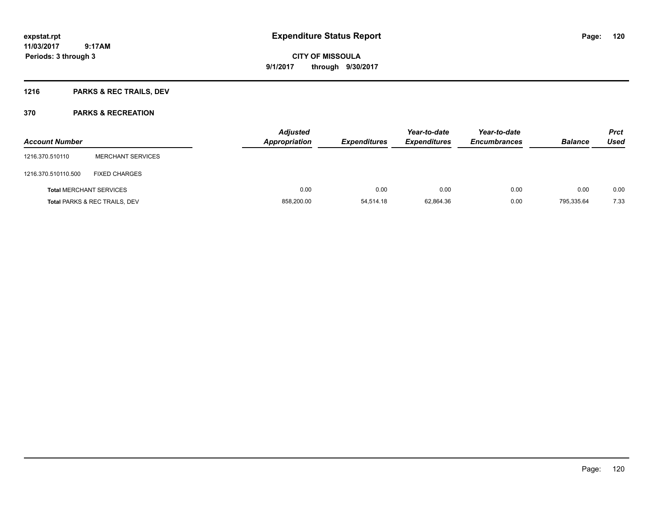# **1216 PARKS & REC TRAILS, DEV**

| <b>Account Number</b>          |                                          | <b>Adjusted</b><br><b>Appropriation</b> | <b>Expenditures</b> | Year-to-date<br><b>Expenditures</b> | Year-to-date<br><b>Encumbrances</b> | <b>Balance</b> | <b>Prct</b><br>Used |
|--------------------------------|------------------------------------------|-----------------------------------------|---------------------|-------------------------------------|-------------------------------------|----------------|---------------------|
| 1216.370.510110                | <b>MERCHANT SERVICES</b>                 |                                         |                     |                                     |                                     |                |                     |
| 1216.370.510110.500            | <b>FIXED CHARGES</b>                     |                                         |                     |                                     |                                     |                |                     |
| <b>Total MERCHANT SERVICES</b> |                                          | 0.00                                    | 0.00                | 0.00                                | 0.00                                | 0.00           | 0.00                |
|                                | <b>Total PARKS &amp; REC TRAILS, DEV</b> | 858,200.00                              | 54,514.18           | 62,864.36                           | 0.00                                | 795.335.64     | 7.33                |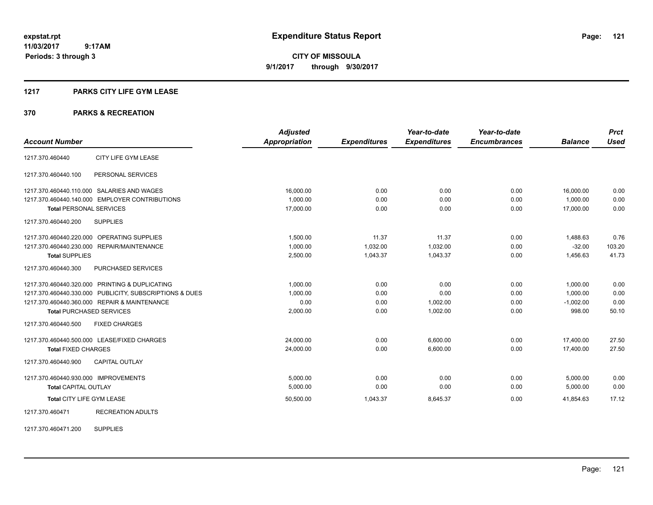**CITY OF MISSOULA 9/1/2017 through 9/30/2017**

#### **1217 PARKS CITY LIFE GYM LEASE**

#### **370 PARKS & RECREATION**

|                                      |                                                         | <b>Adjusted</b>      |                     | Year-to-date        | Year-to-date        |                | <b>Prct</b> |
|--------------------------------------|---------------------------------------------------------|----------------------|---------------------|---------------------|---------------------|----------------|-------------|
| <b>Account Number</b>                |                                                         | <b>Appropriation</b> | <b>Expenditures</b> | <b>Expenditures</b> | <b>Encumbrances</b> | <b>Balance</b> | <b>Used</b> |
| 1217.370.460440                      | CITY LIFE GYM LEASE                                     |                      |                     |                     |                     |                |             |
| 1217.370.460440.100                  | PERSONAL SERVICES                                       |                      |                     |                     |                     |                |             |
|                                      | 1217.370.460440.110.000 SALARIES AND WAGES              | 16,000.00            | 0.00                | 0.00                | 0.00                | 16,000.00      | 0.00        |
|                                      | 1217.370.460440.140.000 EMPLOYER CONTRIBUTIONS          | 1.000.00             | 0.00                | 0.00                | 0.00                | 1.000.00       | 0.00        |
| <b>Total PERSONAL SERVICES</b>       |                                                         | 17.000.00            | 0.00                | 0.00                | 0.00                | 17.000.00      | 0.00        |
| 1217.370.460440.200                  | <b>SUPPLIES</b>                                         |                      |                     |                     |                     |                |             |
|                                      | 1217.370.460440.220.000 OPERATING SUPPLIES              | 1,500.00             | 11.37               | 11.37               | 0.00                | 1,488.63       | 0.76        |
|                                      | 1217.370.460440.230.000 REPAIR/MAINTENANCE              | 1,000.00             | 1,032.00            | 1,032.00            | 0.00                | $-32.00$       | 103.20      |
| <b>Total SUPPLIES</b>                |                                                         | 2,500.00             | 1,043.37            | 1,043.37            | 0.00                | 1,456.63       | 41.73       |
| 1217.370.460440.300                  | PURCHASED SERVICES                                      |                      |                     |                     |                     |                |             |
|                                      | 1217.370.460440.320.000 PRINTING & DUPLICATING          | 1,000.00             | 0.00                | 0.00                | 0.00                | 1,000.00       | 0.00        |
|                                      | 1217.370.460440.330.000 PUBLICITY, SUBSCRIPTIONS & DUES | 1,000.00             | 0.00                | 0.00                | 0.00                | 1,000.00       | 0.00        |
|                                      | 1217.370.460440.360.000 REPAIR & MAINTENANCE            | 0.00                 | 0.00                | 1,002.00            | 0.00                | $-1,002.00$    | 0.00        |
| <b>Total PURCHASED SERVICES</b>      |                                                         | 2,000.00             | 0.00                | 1,002.00            | 0.00                | 998.00         | 50.10       |
| 1217.370.460440.500                  | <b>FIXED CHARGES</b>                                    |                      |                     |                     |                     |                |             |
|                                      | 1217.370.460440.500.000 LEASE/FIXED CHARGES             | 24,000.00            | 0.00                | 6.600.00            | 0.00                | 17.400.00      | 27.50       |
| <b>Total FIXED CHARGES</b>           |                                                         | 24,000.00            | 0.00                | 6,600.00            | 0.00                | 17,400.00      | 27.50       |
| 1217.370.460440.900                  | <b>CAPITAL OUTLAY</b>                                   |                      |                     |                     |                     |                |             |
| 1217.370.460440.930.000 IMPROVEMENTS |                                                         | 5,000.00             | 0.00                | 0.00                | 0.00                | 5,000.00       | 0.00        |
| <b>Total CAPITAL OUTLAY</b>          |                                                         | 5,000.00             | 0.00                | 0.00                | 0.00                | 5,000.00       | 0.00        |
| Total CITY LIFE GYM LEASE            |                                                         | 50,500.00            | 1,043.37            | 8,645.37            | 0.00                | 41,854.63      | 17.12       |
| 1217.370.460471                      | <b>RECREATION ADULTS</b>                                |                      |                     |                     |                     |                |             |

1217.370.460471.200 SUPPLIES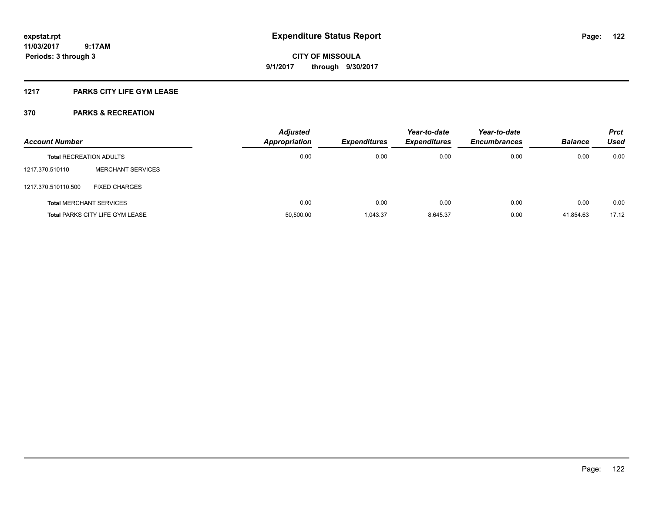### **1217 PARKS CITY LIFE GYM LEASE**

| <b>Account Number</b>          |                                 | <b>Adjusted</b><br><b>Appropriation</b> | <b>Expenditures</b> | Year-to-date<br><b>Expenditures</b> | Year-to-date<br><b>Encumbrances</b> | <b>Balance</b> | <b>Prct</b><br>Used |
|--------------------------------|---------------------------------|-----------------------------------------|---------------------|-------------------------------------|-------------------------------------|----------------|---------------------|
| <b>Total RECREATION ADULTS</b> |                                 | 0.00                                    | 0.00                | 0.00                                | 0.00                                | 0.00           | 0.00                |
| 1217.370.510110                | <b>MERCHANT SERVICES</b>        |                                         |                     |                                     |                                     |                |                     |
| 1217.370.510110.500            | <b>FIXED CHARGES</b>            |                                         |                     |                                     |                                     |                |                     |
| <b>Total MERCHANT SERVICES</b> |                                 | 0.00                                    | 0.00                | 0.00                                | 0.00                                | 0.00           | 0.00                |
|                                | Total PARKS CITY LIFE GYM LEASE | 50,500.00                               | 1.043.37            | 8.645.37                            | 0.00                                | 41.854.63      | 17.12               |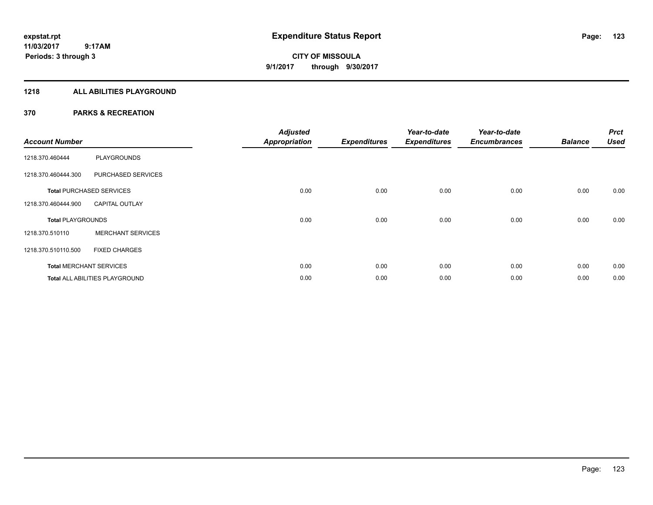#### **1218 ALL ABILITIES PLAYGROUND**

| <b>Account Number</b>    |                                       | <b>Adjusted</b><br><b>Appropriation</b> | <b>Expenditures</b> | Year-to-date<br><b>Expenditures</b> | Year-to-date<br><b>Encumbrances</b> | <b>Balance</b> | <b>Prct</b><br><b>Used</b> |
|--------------------------|---------------------------------------|-----------------------------------------|---------------------|-------------------------------------|-------------------------------------|----------------|----------------------------|
| 1218.370.460444          | <b>PLAYGROUNDS</b>                    |                                         |                     |                                     |                                     |                |                            |
| 1218.370.460444.300      | PURCHASED SERVICES                    |                                         |                     |                                     |                                     |                |                            |
|                          | <b>Total PURCHASED SERVICES</b>       | 0.00                                    | 0.00                | 0.00                                | 0.00                                | 0.00           | 0.00                       |
| 1218.370.460444.900      | <b>CAPITAL OUTLAY</b>                 |                                         |                     |                                     |                                     |                |                            |
| <b>Total PLAYGROUNDS</b> |                                       | 0.00                                    | 0.00                | 0.00                                | 0.00                                | 0.00           | 0.00                       |
| 1218.370.510110          | <b>MERCHANT SERVICES</b>              |                                         |                     |                                     |                                     |                |                            |
| 1218.370.510110.500      | <b>FIXED CHARGES</b>                  |                                         |                     |                                     |                                     |                |                            |
|                          | <b>Total MERCHANT SERVICES</b>        | 0.00                                    | 0.00                | 0.00                                | 0.00                                | 0.00           | 0.00                       |
|                          | <b>Total ALL ABILITIES PLAYGROUND</b> | 0.00                                    | 0.00                | 0.00                                | 0.00                                | 0.00           | 0.00                       |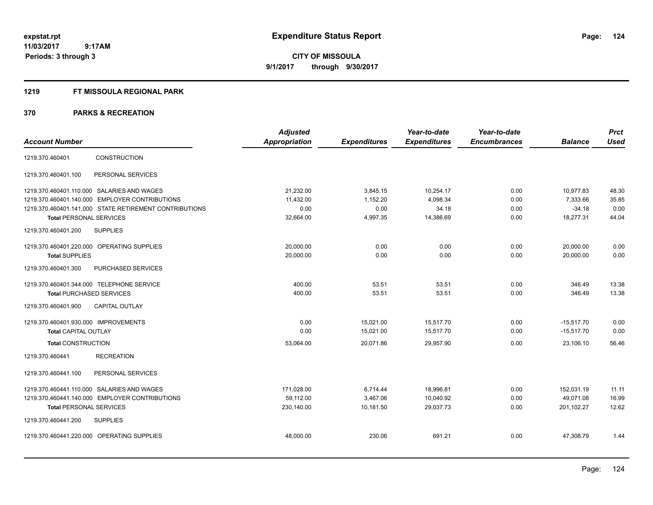**CITY OF MISSOULA 9/1/2017 through 9/30/2017**

#### **1219 FT MISSOULA REGIONAL PARK**

|                                                        | <b>Adjusted</b> |                     | Year-to-date        | Year-to-date        |                | <b>Prct</b> |
|--------------------------------------------------------|-----------------|---------------------|---------------------|---------------------|----------------|-------------|
| <b>Account Number</b>                                  | Appropriation   | <b>Expenditures</b> | <b>Expenditures</b> | <b>Encumbrances</b> | <b>Balance</b> | <b>Used</b> |
| <b>CONSTRUCTION</b><br>1219.370.460401                 |                 |                     |                     |                     |                |             |
| PERSONAL SERVICES<br>1219.370.460401.100               |                 |                     |                     |                     |                |             |
| 1219.370.460401.110.000 SALARIES AND WAGES             | 21,232.00       | 3,845.15            | 10,254.17           | 0.00                | 10,977.83      | 48.30       |
| 1219.370.460401.140.000 EMPLOYER CONTRIBUTIONS         | 11,432.00       | 1,152.20            | 4,098.34            | 0.00                | 7,333.66       | 35.85       |
| 1219.370.460401.141.000 STATE RETIREMENT CONTRIBUTIONS | 0.00            | 0.00                | 34.18               | 0.00                | $-34.18$       | 0.00        |
| <b>Total PERSONAL SERVICES</b>                         | 32,664.00       | 4,997.35            | 14,386.69           | 0.00                | 18,277.31      | 44.04       |
| <b>SUPPLIES</b><br>1219.370.460401.200                 |                 |                     |                     |                     |                |             |
| 1219.370.460401.220.000 OPERATING SUPPLIES             | 20,000.00       | 0.00                | 0.00                | 0.00                | 20,000.00      | 0.00        |
| <b>Total SUPPLIES</b>                                  | 20,000.00       | 0.00                | 0.00                | 0.00                | 20,000.00      | 0.00        |
| PURCHASED SERVICES<br>1219.370.460401.300              |                 |                     |                     |                     |                |             |
| 1219.370.460401.344.000 TELEPHONE SERVICE              | 400.00          | 53.51               | 53.51               | 0.00                | 346.49         | 13.38       |
| <b>Total PURCHASED SERVICES</b>                        | 400.00          | 53.51               | 53.51               | 0.00                | 346.49         | 13.38       |
| <b>CAPITAL OUTLAY</b><br>1219.370.460401.900           |                 |                     |                     |                     |                |             |
| 1219.370.460401.930.000 IMPROVEMENTS                   | 0.00            | 15,021.00           | 15,517.70           | 0.00                | $-15,517.70$   | 0.00        |
| <b>Total CAPITAL OUTLAY</b>                            | 0.00            | 15,021.00           | 15,517.70           | 0.00                | $-15,517.70$   | 0.00        |
| <b>Total CONSTRUCTION</b>                              | 53,064.00       | 20,071.86           | 29,957.90           | 0.00                | 23,106.10      | 56.46       |
| <b>RECREATION</b><br>1219.370.460441                   |                 |                     |                     |                     |                |             |
| PERSONAL SERVICES<br>1219.370.460441.100               |                 |                     |                     |                     |                |             |
| 1219.370.460441.110.000 SALARIES AND WAGES             | 171,028.00      | 6,714.44            | 18,996.81           | 0.00                | 152,031.19     | 11.11       |
| 1219.370.460441.140.000 EMPLOYER CONTRIBUTIONS         | 59.112.00       | 3.467.06            | 10.040.92           | 0.00                | 49.071.08      | 16.99       |
| <b>Total PERSONAL SERVICES</b>                         | 230,140.00      | 10,181.50           | 29,037.73           | 0.00                | 201,102.27     | 12.62       |
| <b>SUPPLIES</b><br>1219.370.460441.200                 |                 |                     |                     |                     |                |             |
| 1219.370.460441.220.000 OPERATING SUPPLIES             | 48,000.00       | 230.06              | 691.21              | 0.00                | 47,308.79      | 1.44        |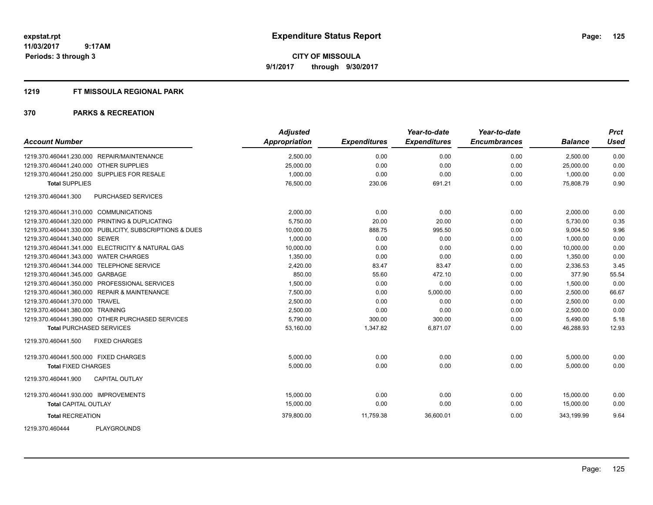**CITY OF MISSOULA 9/1/2017 through 9/30/2017**

#### **1219 FT MISSOULA REGIONAL PARK**

| <b>Account Number</b>                                   | <b>Adjusted</b><br><b>Appropriation</b> | <b>Expenditures</b> | Year-to-date<br><b>Expenditures</b> | Year-to-date<br><b>Encumbrances</b> | <b>Balance</b> | <b>Prct</b><br>Used |
|---------------------------------------------------------|-----------------------------------------|---------------------|-------------------------------------|-------------------------------------|----------------|---------------------|
| 1219.370.460441.230.000 REPAIR/MAINTENANCE              | 2,500.00                                | 0.00                | 0.00                                | 0.00                                | 2,500.00       | 0.00                |
| 1219.370.460441.240.000 OTHER SUPPLIES                  | 25,000.00                               | 0.00                | 0.00                                | 0.00                                | 25,000.00      | 0.00                |
| 1219.370.460441.250.000 SUPPLIES FOR RESALE             | 1.000.00                                | 0.00                | 0.00                                | 0.00                                | 1.000.00       | 0.00                |
| <b>Total SUPPLIES</b>                                   | 76,500.00                               | 230.06              | 691.21                              | 0.00                                | 75,808.79      | 0.90                |
| 1219.370.460441.300<br>PURCHASED SERVICES               |                                         |                     |                                     |                                     |                |                     |
| 1219.370.460441.310.000 COMMUNICATIONS                  | 2,000.00                                | 0.00                | 0.00                                | 0.00                                | 2,000.00       | 0.00                |
| 1219.370.460441.320.000 PRINTING & DUPLICATING          | 5,750.00                                | 20.00               | 20.00                               | 0.00                                | 5,730.00       | 0.35                |
| 1219.370.460441.330.000 PUBLICITY, SUBSCRIPTIONS & DUES | 10,000.00                               | 888.75              | 995.50                              | 0.00                                | 9,004.50       | 9.96                |
| 1219.370.460441.340.000 SEWER                           | 1,000.00                                | 0.00                | 0.00                                | 0.00                                | 1.000.00       | 0.00                |
| 1219.370.460441.341.000 ELECTRICITY & NATURAL GAS       | 10,000.00                               | 0.00                | 0.00                                | 0.00                                | 10,000.00      | 0.00                |
| 1219.370.460441.343.000 WATER CHARGES                   | 1,350.00                                | 0.00                | 0.00                                | 0.00                                | 1,350.00       | 0.00                |
| 1219.370.460441.344.000 TELEPHONE SERVICE               | 2,420.00                                | 83.47               | 83.47                               | 0.00                                | 2,336.53       | 3.45                |
| 1219.370.460441.345.000 GARBAGE                         | 850.00                                  | 55.60               | 472.10                              | 0.00                                | 377.90         | 55.54               |
| 1219.370.460441.350.000 PROFESSIONAL SERVICES           | 1,500.00                                | 0.00                | 0.00                                | 0.00                                | 1,500.00       | 0.00                |
| 1219.370.460441.360.000 REPAIR & MAINTENANCE            | 7,500.00                                | 0.00                | 5,000.00                            | 0.00                                | 2,500.00       | 66.67               |
| 1219.370.460441.370.000 TRAVEL                          | 2,500.00                                | 0.00                | 0.00                                | 0.00                                | 2,500.00       | 0.00                |
| 1219.370.460441.380.000 TRAINING                        | 2,500.00                                | 0.00                | 0.00                                | 0.00                                | 2,500.00       | 0.00                |
| 1219.370.460441.390.000 OTHER PURCHASED SERVICES        | 5,790.00                                | 300.00              | 300.00                              | 0.00                                | 5,490.00       | 5.18                |
| <b>Total PURCHASED SERVICES</b>                         | 53,160.00                               | 1,347.82            | 6,871.07                            | 0.00                                | 46,288.93      | 12.93               |
| 1219.370.460441.500<br><b>FIXED CHARGES</b>             |                                         |                     |                                     |                                     |                |                     |
| 1219.370.460441.500.000 FIXED CHARGES                   | 5,000.00                                | 0.00                | 0.00                                | 0.00                                | 5,000.00       | 0.00                |
| <b>Total FIXED CHARGES</b>                              | 5,000.00                                | 0.00                | 0.00                                | 0.00                                | 5,000.00       | 0.00                |
| 1219.370.460441.900<br><b>CAPITAL OUTLAY</b>            |                                         |                     |                                     |                                     |                |                     |
| 1219.370.460441.930.000 IMPROVEMENTS                    | 15,000.00                               | 0.00                | 0.00                                | 0.00                                | 15,000.00      | 0.00                |
| <b>Total CAPITAL OUTLAY</b>                             | 15,000.00                               | 0.00                | 0.00                                | 0.00                                | 15,000.00      | 0.00                |
| <b>Total RECREATION</b>                                 | 379,800.00                              | 11,759.38           | 36,600.01                           | 0.00                                | 343.199.99     | 9.64                |
| <b>PLAYGROUNDS</b><br>1219.370.460444                   |                                         |                     |                                     |                                     |                |                     |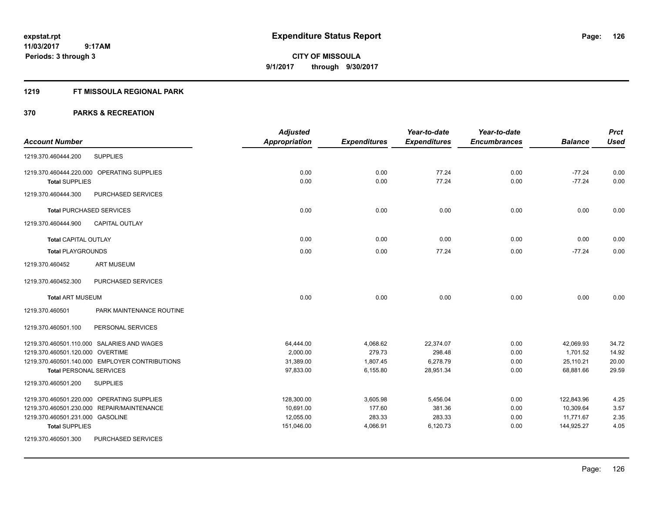**Periods: 3 through 3**

**CITY OF MISSOULA 9/1/2017 through 9/30/2017**

#### **1219 FT MISSOULA REGIONAL PARK**

|                                                                                  | <b>Adjusted</b>        |                      | Year-to-date          | Year-to-date        |                        | <b>Prct</b>    |
|----------------------------------------------------------------------------------|------------------------|----------------------|-----------------------|---------------------|------------------------|----------------|
| <b>Account Number</b>                                                            | Appropriation          | <b>Expenditures</b>  | <b>Expenditures</b>   | <b>Encumbrances</b> | <b>Balance</b>         | <b>Used</b>    |
| <b>SUPPLIES</b><br>1219.370.460444.200                                           |                        |                      |                       |                     |                        |                |
| 1219.370.460444.220.000 OPERATING SUPPLIES                                       | 0.00                   | 0.00                 | 77.24                 | 0.00                | $-77.24$               | 0.00           |
| <b>Total SUPPLIES</b>                                                            | 0.00                   | 0.00                 | 77.24                 | 0.00                | $-77.24$               | 0.00           |
| 1219.370.460444.300<br>PURCHASED SERVICES                                        |                        |                      |                       |                     |                        |                |
| <b>Total PURCHASED SERVICES</b>                                                  | 0.00                   | 0.00                 | 0.00                  | 0.00                | 0.00                   | 0.00           |
| 1219.370.460444.900<br><b>CAPITAL OUTLAY</b>                                     |                        |                      |                       |                     |                        |                |
| <b>Total CAPITAL OUTLAY</b>                                                      | 0.00                   | 0.00                 | 0.00                  | 0.00                | 0.00                   | 0.00           |
| <b>Total PLAYGROUNDS</b>                                                         | 0.00                   | 0.00                 | 77.24                 | 0.00                | $-77.24$               | 0.00           |
| <b>ART MUSEUM</b><br>1219.370.460452                                             |                        |                      |                       |                     |                        |                |
| 1219.370.460452.300<br>PURCHASED SERVICES                                        |                        |                      |                       |                     |                        |                |
| <b>Total ART MUSEUM</b>                                                          | 0.00                   | 0.00                 | 0.00                  | 0.00                | 0.00                   | 0.00           |
| 1219.370.460501<br>PARK MAINTENANCE ROUTINE                                      |                        |                      |                       |                     |                        |                |
| 1219.370.460501.100<br>PERSONAL SERVICES                                         |                        |                      |                       |                     |                        |                |
| 1219.370.460501.110.000 SALARIES AND WAGES                                       | 64,444.00              | 4,068.62             | 22,374.07             | 0.00                | 42,069.93              | 34.72          |
| 1219.370.460501.120.000 OVERTIME                                                 | 2,000.00               | 279.73               | 298.48                | 0.00                | 1,701.52               | 14.92          |
| 1219.370.460501.140.000 EMPLOYER CONTRIBUTIONS<br><b>Total PERSONAL SERVICES</b> | 31,389.00<br>97,833.00 | 1,807.45<br>6,155.80 | 6,278.79<br>28,951.34 | 0.00<br>0.00        | 25,110.21<br>68,881.66 | 20.00<br>29.59 |
| 1219.370.460501.200<br><b>SUPPLIES</b>                                           |                        |                      |                       |                     |                        |                |
|                                                                                  |                        |                      |                       |                     |                        |                |
| 1219.370.460501.220.000 OPERATING SUPPLIES                                       | 128,300.00             | 3,605.98             | 5,456.04              | 0.00                | 122,843.96             | 4.25           |
| 1219.370.460501.230.000 REPAIR/MAINTENANCE                                       | 10,691.00              | 177.60               | 381.36                | 0.00                | 10,309.64              | 3.57           |
| 1219.370.460501.231.000 GASOLINE                                                 | 12,055.00              | 283.33               | 283.33                | 0.00                | 11,771.67              | 2.35           |
| <b>Total SUPPLIES</b>                                                            | 151,046.00             | 4,066.91             | 6,120.73              | 0.00                | 144,925.27             | 4.05           |
| 1219.370.460501.300<br>PURCHASED SERVICES                                        |                        |                      |                       |                     |                        |                |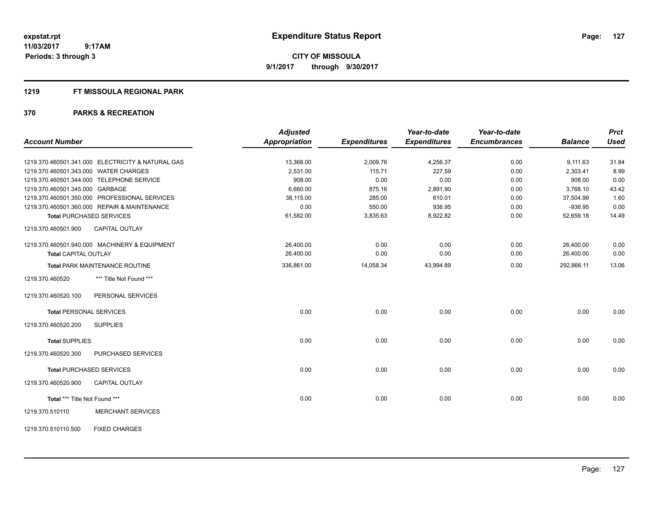**CITY OF MISSOULA 9/1/2017 through 9/30/2017**

#### **1219 FT MISSOULA REGIONAL PARK**

|                                 |                                                   | <b>Adjusted</b>      |                     | Year-to-date        | Year-to-date        |                | <b>Prct</b> |
|---------------------------------|---------------------------------------------------|----------------------|---------------------|---------------------|---------------------|----------------|-------------|
| <b>Account Number</b>           |                                                   | <b>Appropriation</b> | <b>Expenditures</b> | <b>Expenditures</b> | <b>Encumbrances</b> | <b>Balance</b> | <b>Used</b> |
|                                 | 1219.370.460501.341.000 ELECTRICITY & NATURAL GAS | 13,368.00            | 2,009.76            | 4,256.37            | 0.00                | 9,111.63       | 31.84       |
|                                 | 1219.370.460501.343.000 WATER CHARGES             | 2,531.00             | 115.71              | 227.59              | 0.00                | 2,303.41       | 8.99        |
|                                 | 1219.370.460501.344.000 TELEPHONE SERVICE         | 908.00               | 0.00                | 0.00                | 0.00                | 908.00         | 0.00        |
| 1219.370.460501.345.000 GARBAGE |                                                   | 6,660.00             | 875.16              | 2,891.90            | 0.00                | 3,768.10       | 43.42       |
|                                 | 1219.370.460501.350.000 PROFESSIONAL SERVICES     | 38,115.00            | 285.00              | 610.01              | 0.00                | 37,504.99      | 1.60        |
|                                 | 1219.370.460501.360.000 REPAIR & MAINTENANCE      | 0.00                 | 550.00              | 936.95              | 0.00                | $-936.95$      | 0.00        |
|                                 | <b>Total PURCHASED SERVICES</b>                   | 61,582.00            | 3,835.63            | 8,922.82            | 0.00                | 52,659.18      | 14.49       |
| 1219.370.460501.900             | <b>CAPITAL OUTLAY</b>                             |                      |                     |                     |                     |                |             |
|                                 | 1219.370.460501.940.000 MACHINERY & EQUIPMENT     | 26,400.00            | 0.00                | 0.00                | 0.00                | 26,400.00      | 0.00        |
| <b>Total CAPITAL OUTLAY</b>     |                                                   | 26,400.00            | 0.00                | 0.00                | 0.00                | 26,400.00      | 0.00        |
|                                 | Total PARK MAINTENANCE ROUTINE                    | 336,861.00           | 14,058.34           | 43,994.89           | 0.00                | 292,866.11     | 13.06       |
| 1219.370.460520                 | *** Title Not Found ***                           |                      |                     |                     |                     |                |             |
| 1219.370.460520.100             | PERSONAL SERVICES                                 |                      |                     |                     |                     |                |             |
|                                 | <b>Total PERSONAL SERVICES</b>                    | 0.00                 | 0.00                | 0.00                | 0.00                | 0.00           | 0.00        |
| 1219.370.460520.200             | <b>SUPPLIES</b>                                   |                      |                     |                     |                     |                |             |
| <b>Total SUPPLIES</b>           |                                                   | 0.00                 | 0.00                | 0.00                | 0.00                | 0.00           | 0.00        |
| 1219.370.460520.300             | PURCHASED SERVICES                                |                      |                     |                     |                     |                |             |
|                                 | <b>Total PURCHASED SERVICES</b>                   | 0.00                 | 0.00                | 0.00                | 0.00                | 0.00           | 0.00        |
| 1219.370.460520.900             | CAPITAL OUTLAY                                    |                      |                     |                     |                     |                |             |
| Total *** Title Not Found ***   |                                                   | 0.00                 | 0.00                | 0.00                | 0.00                | 0.00           | 0.00        |
| 1219.370.510110                 | <b>MERCHANT SERVICES</b>                          |                      |                     |                     |                     |                |             |
| 1219.370.510110.500             | <b>FIXED CHARGES</b>                              |                      |                     |                     |                     |                |             |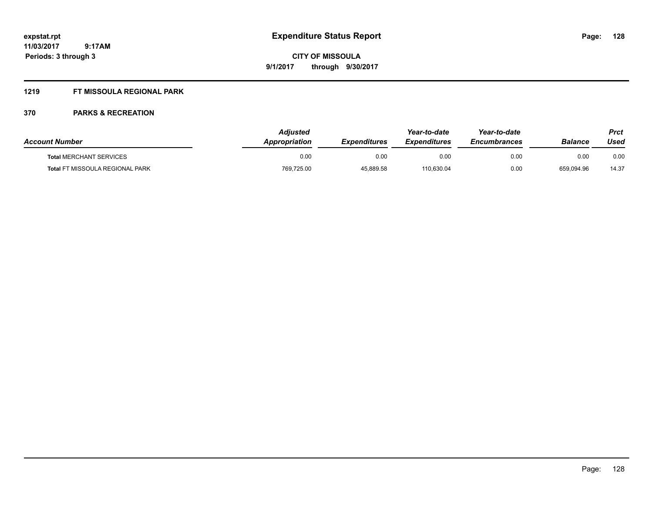#### **1219 FT MISSOULA REGIONAL PARK**

| <b>Account Number</b>                  | <b>Adiusted</b><br><b>Appropriation</b> | <b>Expenditures</b> | Year-to-date<br><b>Expenditures</b> | Year-to-date<br><b>Encumbrances</b> | <b>Balance</b> | Prct<br>Used |
|----------------------------------------|-----------------------------------------|---------------------|-------------------------------------|-------------------------------------|----------------|--------------|
| <b>Total MERCHANT SERVICES</b>         | 0.00                                    | 0.00                | 0.00                                | 0.00                                | 0.00           | 0.00         |
| <b>Total FT MISSOULA REGIONAL PARK</b> | 769,725.00                              | 45,889.58           | 110,630.04                          | 0.00                                | 659,094.96     | 14.37        |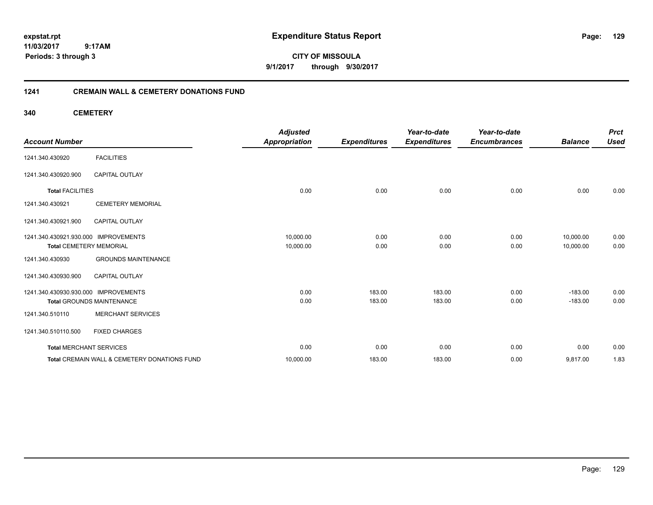**CITY OF MISSOULA 9/1/2017 through 9/30/2017**

### **1241 CREMAIN WALL & CEMETERY DONATIONS FUND**

**340 CEMETERY**

| <b>Account Number</b>                |                                              | <b>Adjusted</b><br><b>Appropriation</b> | <b>Expenditures</b> | Year-to-date<br><b>Expenditures</b> | Year-to-date<br><b>Encumbrances</b> | <b>Balance</b> | <b>Prct</b><br><b>Used</b> |
|--------------------------------------|----------------------------------------------|-----------------------------------------|---------------------|-------------------------------------|-------------------------------------|----------------|----------------------------|
| 1241.340.430920                      | <b>FACILITIES</b>                            |                                         |                     |                                     |                                     |                |                            |
| 1241.340.430920.900                  | <b>CAPITAL OUTLAY</b>                        |                                         |                     |                                     |                                     |                |                            |
| <b>Total FACILITIES</b>              |                                              | 0.00                                    | 0.00                | 0.00                                | 0.00                                | 0.00           | 0.00                       |
| 1241.340.430921                      | <b>CEMETERY MEMORIAL</b>                     |                                         |                     |                                     |                                     |                |                            |
| 1241.340.430921.900                  | <b>CAPITAL OUTLAY</b>                        |                                         |                     |                                     |                                     |                |                            |
| 1241.340.430921.930.000 IMPROVEMENTS |                                              | 10,000.00                               | 0.00                | 0.00                                | 0.00                                | 10,000.00      | 0.00                       |
| <b>Total CEMETERY MEMORIAL</b>       |                                              | 10,000.00                               | 0.00                | 0.00                                | 0.00                                | 10,000.00      | 0.00                       |
| 1241.340.430930                      | <b>GROUNDS MAINTENANCE</b>                   |                                         |                     |                                     |                                     |                |                            |
| 1241.340.430930.900                  | <b>CAPITAL OUTLAY</b>                        |                                         |                     |                                     |                                     |                |                            |
| 1241.340.430930.930.000 IMPROVEMENTS |                                              | 0.00                                    | 183.00              | 183.00                              | 0.00                                | $-183.00$      | 0.00                       |
|                                      | <b>Total GROUNDS MAINTENANCE</b>             | 0.00                                    | 183.00              | 183.00                              | 0.00                                | $-183.00$      | 0.00                       |
| 1241.340.510110                      | <b>MERCHANT SERVICES</b>                     |                                         |                     |                                     |                                     |                |                            |
| 1241.340.510110.500                  | <b>FIXED CHARGES</b>                         |                                         |                     |                                     |                                     |                |                            |
| <b>Total MERCHANT SERVICES</b>       |                                              | 0.00                                    | 0.00                | 0.00                                | 0.00                                | 0.00           | 0.00                       |
|                                      | Total CREMAIN WALL & CEMETERY DONATIONS FUND | 10,000.00                               | 183.00              | 183.00                              | 0.00                                | 9,817.00       | 1.83                       |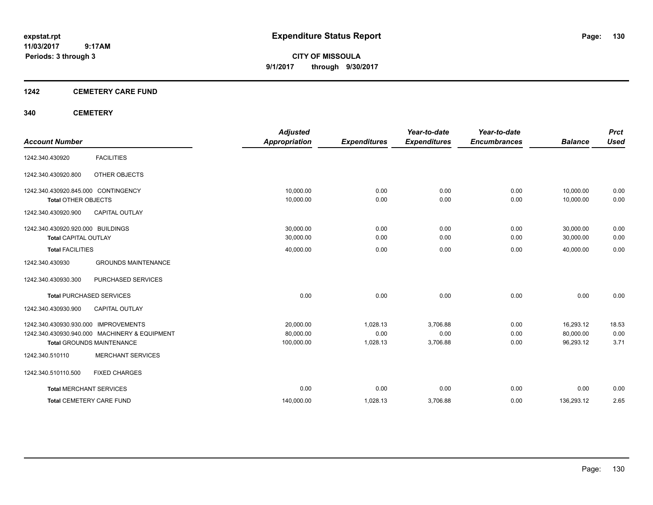**CITY OF MISSOULA 9/1/2017 through 9/30/2017**

#### **1242 CEMETERY CARE FUND**

#### **340 CEMETERY**

| <b>Account Number</b>               |                                               | <b>Adjusted</b><br><b>Appropriation</b> |                     | Year-to-date<br><b>Expenditures</b> | Year-to-date<br><b>Encumbrances</b> | <b>Balance</b> | <b>Prct</b><br><b>Used</b> |
|-------------------------------------|-----------------------------------------------|-----------------------------------------|---------------------|-------------------------------------|-------------------------------------|----------------|----------------------------|
|                                     |                                               |                                         | <b>Expenditures</b> |                                     |                                     |                |                            |
| 1242.340.430920                     | <b>FACILITIES</b>                             |                                         |                     |                                     |                                     |                |                            |
| 1242.340.430920.800                 | OTHER OBJECTS                                 |                                         |                     |                                     |                                     |                |                            |
| 1242.340.430920.845.000 CONTINGENCY |                                               | 10,000.00                               | 0.00                | 0.00                                | 0.00                                | 10,000.00      | 0.00                       |
| <b>Total OTHER OBJECTS</b>          |                                               | 10,000.00                               | 0.00                | 0.00                                | 0.00                                | 10.000.00      | 0.00                       |
| 1242.340.430920.900                 | <b>CAPITAL OUTLAY</b>                         |                                         |                     |                                     |                                     |                |                            |
| 1242.340.430920.920.000 BUILDINGS   |                                               | 30,000.00                               | 0.00                | 0.00                                | 0.00                                | 30,000.00      | 0.00                       |
| <b>Total CAPITAL OUTLAY</b>         |                                               | 30,000.00                               | 0.00                | 0.00                                | 0.00                                | 30,000.00      | 0.00                       |
| <b>Total FACILITIES</b>             |                                               | 40,000.00                               | 0.00                | 0.00                                | 0.00                                | 40,000.00      | 0.00                       |
| 1242.340.430930                     | <b>GROUNDS MAINTENANCE</b>                    |                                         |                     |                                     |                                     |                |                            |
| 1242.340.430930.300                 | PURCHASED SERVICES                            |                                         |                     |                                     |                                     |                |                            |
|                                     | <b>Total PURCHASED SERVICES</b>               | 0.00                                    | 0.00                | 0.00                                | 0.00                                | 0.00           | 0.00                       |
| 1242.340.430930.900                 | <b>CAPITAL OUTLAY</b>                         |                                         |                     |                                     |                                     |                |                            |
| 1242.340.430930.930.000             | <b>IMPROVEMENTS</b>                           | 20,000.00                               | 1,028.13            | 3,706.88                            | 0.00                                | 16,293.12      | 18.53                      |
|                                     | 1242.340.430930.940.000 MACHINERY & EQUIPMENT | 80,000.00                               | 0.00                | 0.00                                | 0.00                                | 80,000.00      | 0.00                       |
|                                     | <b>Total GROUNDS MAINTENANCE</b>              | 100,000.00                              | 1,028.13            | 3,706.88                            | 0.00                                | 96,293.12      | 3.71                       |
| 1242.340.510110                     | <b>MERCHANT SERVICES</b>                      |                                         |                     |                                     |                                     |                |                            |
| 1242.340.510110.500                 | <b>FIXED CHARGES</b>                          |                                         |                     |                                     |                                     |                |                            |
| <b>Total MERCHANT SERVICES</b>      |                                               | 0.00                                    | 0.00                | 0.00                                | 0.00                                | 0.00           | 0.00                       |
|                                     | <b>Total CEMETERY CARE FUND</b>               | 140,000.00                              | 1,028.13            | 3,706.88                            | 0.00                                | 136,293.12     | 2.65                       |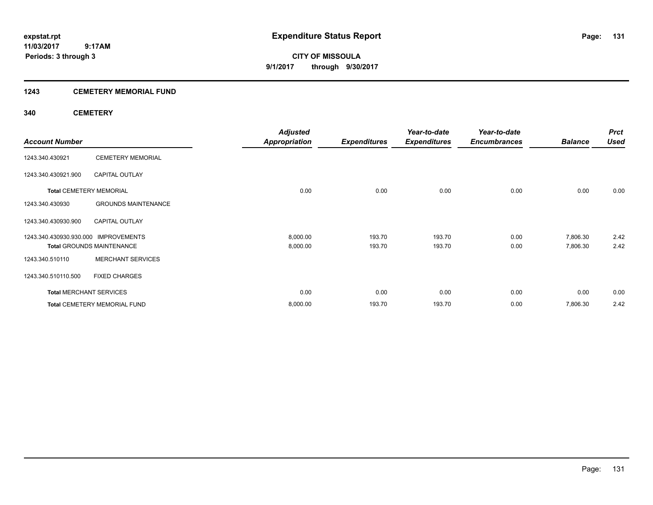**CITY OF MISSOULA 9/1/2017 through 9/30/2017**

#### **1243 CEMETERY MEMORIAL FUND**

#### **340 CEMETERY**

|                                      |                                     | <b>Adjusted</b>      |                     | Year-to-date        | Year-to-date        |                | <b>Prct</b> |
|--------------------------------------|-------------------------------------|----------------------|---------------------|---------------------|---------------------|----------------|-------------|
| <b>Account Number</b>                |                                     | <b>Appropriation</b> | <b>Expenditures</b> | <b>Expenditures</b> | <b>Encumbrances</b> | <b>Balance</b> | <b>Used</b> |
| 1243.340.430921                      | <b>CEMETERY MEMORIAL</b>            |                      |                     |                     |                     |                |             |
| 1243.340.430921.900                  | <b>CAPITAL OUTLAY</b>               |                      |                     |                     |                     |                |             |
| <b>Total CEMETERY MEMORIAL</b>       |                                     | 0.00                 | 0.00                | 0.00                | 0.00                | 0.00           | 0.00        |
| 1243.340.430930                      | <b>GROUNDS MAINTENANCE</b>          |                      |                     |                     |                     |                |             |
| 1243.340.430930.900                  | <b>CAPITAL OUTLAY</b>               |                      |                     |                     |                     |                |             |
| 1243.340.430930.930.000 IMPROVEMENTS |                                     | 8,000.00             | 193.70              | 193.70              | 0.00                | 7,806.30       | 2.42        |
|                                      | <b>Total GROUNDS MAINTENANCE</b>    | 8,000.00             | 193.70              | 193.70              | 0.00                | 7,806.30       | 2.42        |
| 1243.340.510110                      | <b>MERCHANT SERVICES</b>            |                      |                     |                     |                     |                |             |
| 1243.340.510110.500                  | <b>FIXED CHARGES</b>                |                      |                     |                     |                     |                |             |
| <b>Total MERCHANT SERVICES</b>       |                                     | 0.00                 | 0.00                | 0.00                | 0.00                | 0.00           | 0.00        |
|                                      | <b>Total CEMETERY MEMORIAL FUND</b> | 8,000.00             | 193.70              | 193.70              | 0.00                | 7,806.30       | 2.42        |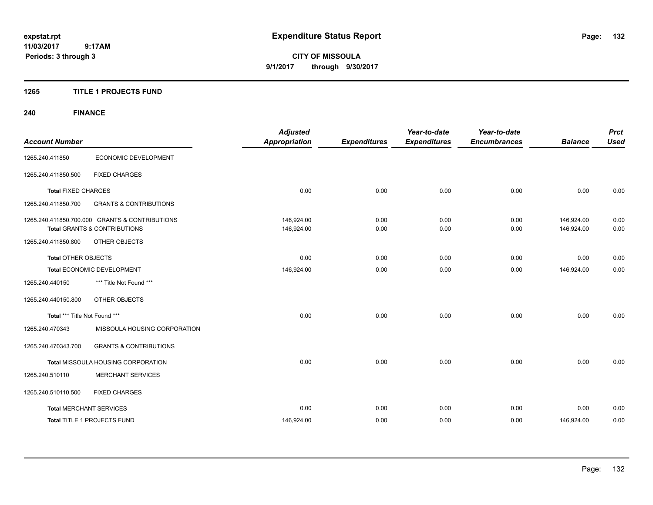**CITY OF MISSOULA 9/1/2017 through 9/30/2017**

#### **1265 TITLE 1 PROJECTS FUND**

# **240 FINANCE**

| <b>Account Number</b>          |                                                                                           | <b>Adjusted</b><br><b>Appropriation</b> | <b>Expenditures</b> | Year-to-date<br><b>Expenditures</b> | Year-to-date<br><b>Encumbrances</b> | <b>Balance</b>           | <b>Prct</b><br><b>Used</b> |
|--------------------------------|-------------------------------------------------------------------------------------------|-----------------------------------------|---------------------|-------------------------------------|-------------------------------------|--------------------------|----------------------------|
| 1265.240.411850                | ECONOMIC DEVELOPMENT                                                                      |                                         |                     |                                     |                                     |                          |                            |
| 1265.240.411850.500            | <b>FIXED CHARGES</b>                                                                      |                                         |                     |                                     |                                     |                          |                            |
| <b>Total FIXED CHARGES</b>     |                                                                                           | 0.00                                    | 0.00                | 0.00                                | 0.00                                | 0.00                     | 0.00                       |
| 1265.240.411850.700            | <b>GRANTS &amp; CONTRIBUTIONS</b>                                                         |                                         |                     |                                     |                                     |                          |                            |
|                                | 1265.240.411850.700.000 GRANTS & CONTRIBUTIONS<br><b>Total GRANTS &amp; CONTRIBUTIONS</b> | 146,924.00<br>146,924.00                | 0.00<br>0.00        | 0.00<br>0.00                        | 0.00<br>0.00                        | 146,924.00<br>146,924.00 | 0.00<br>0.00               |
| 1265.240.411850.800            | OTHER OBJECTS                                                                             |                                         |                     |                                     |                                     |                          |                            |
| <b>Total OTHER OBJECTS</b>     |                                                                                           | 0.00                                    | 0.00                | 0.00                                | 0.00                                | 0.00                     | 0.00                       |
|                                | Total ECONOMIC DEVELOPMENT                                                                | 146,924.00                              | 0.00                | 0.00                                | 0.00                                | 146,924.00               | 0.00                       |
| 1265.240.440150                | *** Title Not Found ***                                                                   |                                         |                     |                                     |                                     |                          |                            |
| 1265.240.440150.800            | OTHER OBJECTS                                                                             |                                         |                     |                                     |                                     |                          |                            |
| Total *** Title Not Found ***  |                                                                                           | 0.00                                    | 0.00                | 0.00                                | 0.00                                | 0.00                     | 0.00                       |
| 1265.240.470343                | MISSOULA HOUSING CORPORATION                                                              |                                         |                     |                                     |                                     |                          |                            |
| 1265.240.470343.700            | <b>GRANTS &amp; CONTRIBUTIONS</b>                                                         |                                         |                     |                                     |                                     |                          |                            |
|                                | Total MISSOULA HOUSING CORPORATION                                                        | 0.00                                    | 0.00                | 0.00                                | 0.00                                | 0.00                     | 0.00                       |
| 1265.240.510110                | <b>MERCHANT SERVICES</b>                                                                  |                                         |                     |                                     |                                     |                          |                            |
| 1265.240.510110.500            | <b>FIXED CHARGES</b>                                                                      |                                         |                     |                                     |                                     |                          |                            |
| <b>Total MERCHANT SERVICES</b> |                                                                                           | 0.00                                    | 0.00                | 0.00                                | 0.00                                | 0.00                     | 0.00                       |
|                                | Total TITLE 1 PROJECTS FUND                                                               | 146,924.00                              | 0.00                | 0.00                                | 0.00                                | 146,924.00               | 0.00                       |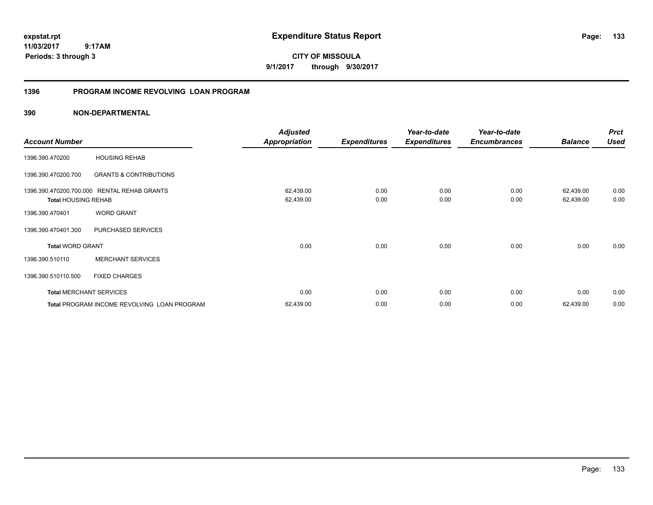**CITY OF MISSOULA 9/1/2017 through 9/30/2017**

#### **1396 PROGRAM INCOME REVOLVING LOAN PROGRAM**

|                                                       |                                             | <b>Adjusted</b>        |                     | Year-to-date        | Year-to-date        |                        | <b>Prct</b>  |
|-------------------------------------------------------|---------------------------------------------|------------------------|---------------------|---------------------|---------------------|------------------------|--------------|
| <b>Account Number</b>                                 |                                             | <b>Appropriation</b>   | <b>Expenditures</b> | <b>Expenditures</b> | <b>Encumbrances</b> | <b>Balance</b>         | <b>Used</b>  |
| 1396.390.470200                                       | <b>HOUSING REHAB</b>                        |                        |                     |                     |                     |                        |              |
| 1396.390.470200.700                                   | <b>GRANTS &amp; CONTRIBUTIONS</b>           |                        |                     |                     |                     |                        |              |
| 1396.390.470200.700.000<br><b>Total HOUSING REHAB</b> | <b>RENTAL REHAB GRANTS</b>                  | 62,439.00<br>62,439.00 | 0.00<br>0.00        | 0.00<br>0.00        | 0.00<br>0.00        | 62,439.00<br>62,439.00 | 0.00<br>0.00 |
| 1396.390.470401                                       | <b>WORD GRANT</b>                           |                        |                     |                     |                     |                        |              |
| 1396.390.470401.300                                   | PURCHASED SERVICES                          |                        |                     |                     |                     |                        |              |
| <b>Total WORD GRANT</b>                               |                                             | 0.00                   | 0.00                | 0.00                | 0.00                | 0.00                   | 0.00         |
| 1396.390.510110                                       | <b>MERCHANT SERVICES</b>                    |                        |                     |                     |                     |                        |              |
| 1396.390.510110.500                                   | <b>FIXED CHARGES</b>                        |                        |                     |                     |                     |                        |              |
| <b>Total MERCHANT SERVICES</b>                        |                                             | 0.00                   | 0.00                | 0.00                | 0.00                | 0.00                   | 0.00         |
|                                                       | Total PROGRAM INCOME REVOLVING LOAN PROGRAM | 62,439.00              | 0.00                | 0.00                | 0.00                | 62,439.00              | 0.00         |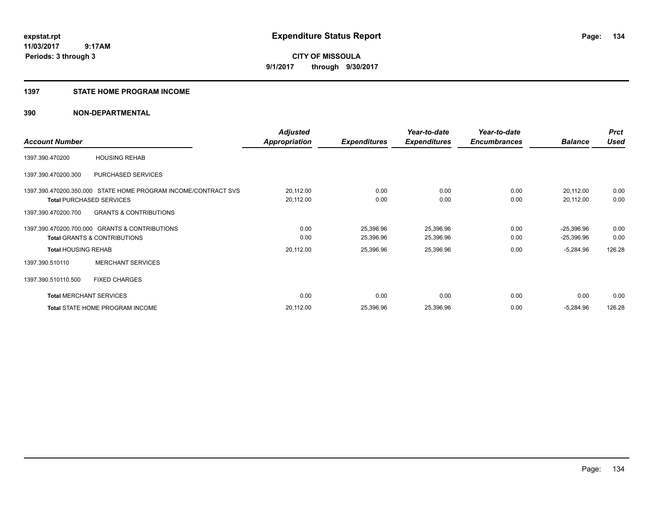# **CITY OF MISSOULA 9/1/2017 through 9/30/2017**

#### **1397 STATE HOME PROGRAM INCOME**

|                                                                                                                                                                                                                                                                                                                                                                                              |                                 | <b>Adjusted</b>     |                     | Year-to-date        | Year-to-date   |              | <b>Prct</b> |
|----------------------------------------------------------------------------------------------------------------------------------------------------------------------------------------------------------------------------------------------------------------------------------------------------------------------------------------------------------------------------------------------|---------------------------------|---------------------|---------------------|---------------------|----------------|--------------|-------------|
| <b>Account Number</b><br><b>HOUSING REHAB</b><br>PURCHASED SERVICES<br>1397.390.470200.350.000 STATE HOME PROGRAM INCOME/CONTRACT SVS<br><b>Total PURCHASED SERVICES</b><br><b>GRANTS &amp; CONTRIBUTIONS</b><br>1397.390.470200.700.000 GRANTS & CONTRIBUTIONS<br><b>Total GRANTS &amp; CONTRIBUTIONS</b><br><b>Total HOUSING REHAB</b><br><b>MERCHANT SERVICES</b><br><b>FIXED CHARGES</b> | <b>Appropriation</b>            | <b>Expenditures</b> | <b>Expenditures</b> | <b>Encumbrances</b> | <b>Balance</b> | <b>Used</b>  |             |
| 1397.390.470200                                                                                                                                                                                                                                                                                                                                                                              |                                 |                     |                     |                     |                |              |             |
| 1397.390.470200.300                                                                                                                                                                                                                                                                                                                                                                          |                                 |                     |                     |                     |                |              |             |
|                                                                                                                                                                                                                                                                                                                                                                                              |                                 | 20,112.00           | 0.00                | 0.00                | 0.00           | 20,112.00    | 0.00        |
|                                                                                                                                                                                                                                                                                                                                                                                              |                                 | 20,112.00           | 0.00                | 0.00                | 0.00           | 20,112.00    | 0.00        |
| 1397.390.470200.700                                                                                                                                                                                                                                                                                                                                                                          |                                 |                     |                     |                     |                |              |             |
|                                                                                                                                                                                                                                                                                                                                                                                              |                                 | 0.00                | 25,396.96           | 25,396.96           | 0.00           | $-25,396.96$ | 0.00        |
|                                                                                                                                                                                                                                                                                                                                                                                              |                                 | 0.00                | 25,396.96           | 25,396.96           | 0.00           | $-25,396.96$ | 0.00        |
|                                                                                                                                                                                                                                                                                                                                                                                              |                                 | 20,112.00           | 25,396.96           | 25,396.96           | 0.00           | $-5,284.96$  | 126.28      |
| 1397.390.510110                                                                                                                                                                                                                                                                                                                                                                              |                                 |                     |                     |                     |                |              |             |
| 1397.390.510110.500                                                                                                                                                                                                                                                                                                                                                                          |                                 |                     |                     |                     |                |              |             |
| <b>Total MERCHANT SERVICES</b>                                                                                                                                                                                                                                                                                                                                                               |                                 | 0.00                | 0.00                | 0.00                | 0.00           | 0.00         | 0.00        |
|                                                                                                                                                                                                                                                                                                                                                                                              | Total STATE HOME PROGRAM INCOME | 20,112.00           | 25,396.96           | 25,396.96           | 0.00           | $-5,284.96$  | 126.28      |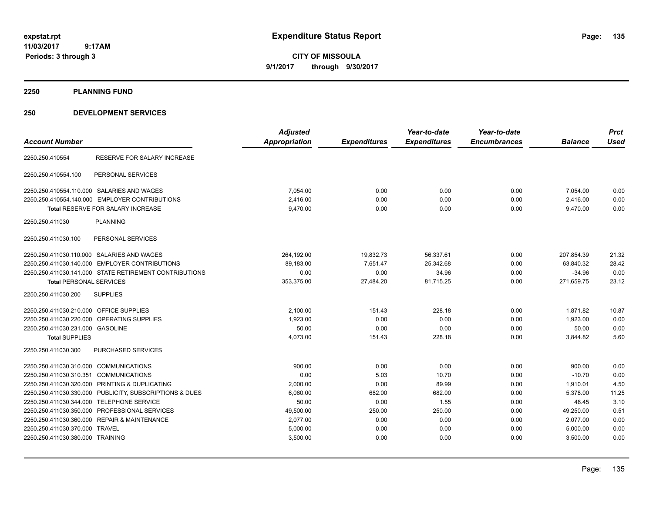**CITY OF MISSOULA 9/1/2017 through 9/30/2017**

**2250 PLANNING FUND**

| <b>Account Number</b>                                      | <b>Adjusted</b><br><b>Appropriation</b> | <b>Expenditures</b> | Year-to-date<br><b>Expenditures</b> | Year-to-date<br><b>Encumbrances</b> | <b>Balance</b> | <b>Prct</b><br><b>Used</b> |
|------------------------------------------------------------|-----------------------------------------|---------------------|-------------------------------------|-------------------------------------|----------------|----------------------------|
| <b>RESERVE FOR SALARY INCREASE</b><br>2250.250.410554      |                                         |                     |                                     |                                     |                |                            |
| 2250.250.410554.100<br>PERSONAL SERVICES                   |                                         |                     |                                     |                                     |                |                            |
| 2250.250.410554.110.000 SALARIES AND WAGES                 | 7,054.00                                | 0.00                | 0.00                                | 0.00                                | 7,054.00       | 0.00                       |
| 2250.250.410554.140.000 EMPLOYER CONTRIBUTIONS             | 2,416.00                                | 0.00                | 0.00                                | 0.00                                | 2,416.00       | 0.00                       |
| <b>Total RESERVE FOR SALARY INCREASE</b>                   | 9,470.00                                | 0.00                | 0.00                                | 0.00                                | 9,470.00       | 0.00                       |
| <b>PLANNING</b><br>2250.250.411030                         |                                         |                     |                                     |                                     |                |                            |
| 2250.250.411030.100<br>PERSONAL SERVICES                   |                                         |                     |                                     |                                     |                |                            |
| 2250.250.411030.110.000 SALARIES AND WAGES                 | 264,192.00                              | 19,832.73           | 56,337.61                           | 0.00                                | 207,854.39     | 21.32                      |
| 2250.250.411030.140.000 EMPLOYER CONTRIBUTIONS             | 89,183.00                               | 7,651.47            | 25,342.68                           | 0.00                                | 63,840.32      | 28.42                      |
| 2250.250.411030.141.000 STATE RETIREMENT CONTRIBUTIONS     | 0.00                                    | 0.00                | 34.96                               | 0.00                                | $-34.96$       | 0.00                       |
| <b>Total PERSONAL SERVICES</b>                             | 353,375.00                              | 27,484.20           | 81,715.25                           | 0.00                                | 271,659.75     | 23.12                      |
| 2250.250.411030.200<br><b>SUPPLIES</b>                     |                                         |                     |                                     |                                     |                |                            |
| 2250.250.411030.210.000 OFFICE SUPPLIES                    | 2,100.00                                | 151.43              | 228.18                              | 0.00                                | 1,871.82       | 10.87                      |
| 2250.250.411030.220.000 OPERATING SUPPLIES                 | 1,923.00                                | 0.00                | 0.00                                | 0.00                                | 1,923.00       | 0.00                       |
| 2250.250.411030.231.000 GASOLINE                           | 50.00                                   | 0.00                | 0.00                                | 0.00                                | 50.00          | 0.00                       |
| <b>Total SUPPLIES</b>                                      | 4,073.00                                | 151.43              | 228.18                              | 0.00                                | 3,844.82       | 5.60                       |
| 2250.250.411030.300<br><b>PURCHASED SERVICES</b>           |                                         |                     |                                     |                                     |                |                            |
| 2250.250.411030.310.000<br><b>COMMUNICATIONS</b>           | 900.00                                  | 0.00                | 0.00                                | 0.00                                | 900.00         | 0.00                       |
| 2250.250.411030.310.351 COMMUNICATIONS                     | 0.00                                    | 5.03                | 10.70                               | 0.00                                | $-10.70$       | 0.00                       |
| 2250.250.411030.320.000 PRINTING & DUPLICATING             | 2,000.00                                | 0.00                | 89.99                               | 0.00                                | 1,910.01       | 4.50                       |
| 2250.250.411030.330.000 PUBLICITY, SUBSCRIPTIONS & DUES    | 6,060.00                                | 682.00              | 682.00                              | 0.00                                | 5,378.00       | 11.25                      |
| 2250.250.411030.344.000 TELEPHONE SERVICE                  | 50.00                                   | 0.00                | 1.55                                | 0.00                                | 48.45          | 3.10                       |
| 2250.250.411030.350.000<br>PROFESSIONAL SERVICES           | 49,500.00                               | 250.00              | 250.00                              | 0.00                                | 49,250.00      | 0.51                       |
| 2250.250.411030.360.000<br><b>REPAIR &amp; MAINTENANCE</b> | 2,077.00                                | 0.00                | 0.00                                | 0.00                                | 2,077.00       | 0.00                       |
| 2250.250.411030.370.000 TRAVEL                             | 5,000.00                                | 0.00                | 0.00                                | 0.00                                | 5,000.00       | 0.00                       |
| 2250.250.411030.380.000 TRAINING                           | 3,500.00                                | 0.00                | 0.00                                | 0.00                                | 3,500.00       | 0.00                       |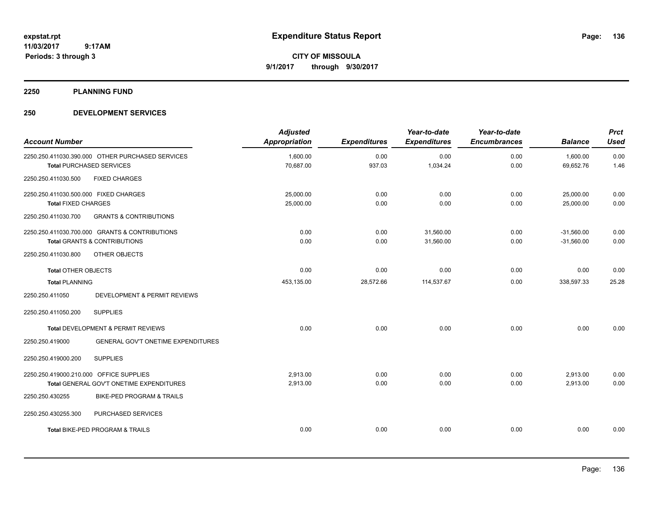**CITY OF MISSOULA 9/1/2017 through 9/30/2017**

**2250 PLANNING FUND**

| <b>Account Number</b>                                               |                                                                                           | <b>Adjusted</b><br><b>Appropriation</b> | <b>Expenditures</b> | Year-to-date<br><b>Expenditures</b> | Year-to-date<br><b>Encumbrances</b> | <b>Balance</b>               | <b>Prct</b><br><b>Used</b> |
|---------------------------------------------------------------------|-------------------------------------------------------------------------------------------|-----------------------------------------|---------------------|-------------------------------------|-------------------------------------|------------------------------|----------------------------|
|                                                                     | 2250.250.411030.390.000 OTHER PURCHASED SERVICES<br><b>Total PURCHASED SERVICES</b>       | 1,600.00<br>70,687.00                   | 0.00<br>937.03      | 0.00<br>1,034.24                    | 0.00<br>0.00                        | 1,600.00<br>69,652.76        | 0.00<br>1.46               |
| 2250.250.411030.500                                                 | <b>FIXED CHARGES</b>                                                                      |                                         |                     |                                     |                                     |                              |                            |
| 2250.250.411030.500.000 FIXED CHARGES<br><b>Total FIXED CHARGES</b> |                                                                                           | 25,000.00<br>25,000.00                  | 0.00<br>0.00        | 0.00<br>0.00                        | 0.00<br>0.00                        | 25,000.00<br>25,000.00       | 0.00                       |
| 2250.250.411030.700                                                 | <b>GRANTS &amp; CONTRIBUTIONS</b>                                                         |                                         |                     |                                     |                                     |                              | 0.00                       |
|                                                                     | 2250.250.411030.700.000 GRANTS & CONTRIBUTIONS<br><b>Total GRANTS &amp; CONTRIBUTIONS</b> | 0.00<br>0.00                            | 0.00<br>0.00        | 31.560.00<br>31,560.00              | 0.00<br>0.00                        | $-31,560.00$<br>$-31,560.00$ | 0.00<br>0.00               |
| 2250.250.411030.800                                                 | OTHER OBJECTS                                                                             |                                         |                     |                                     |                                     |                              |                            |
| <b>Total OTHER OBJECTS</b>                                          |                                                                                           | 0.00                                    | 0.00                | 0.00                                | 0.00                                | 0.00                         | 0.00                       |
| <b>Total PLANNING</b>                                               |                                                                                           | 453,135.00                              | 28,572.66           | 114,537.67                          | 0.00                                | 338,597.33                   | 25.28                      |
| 2250.250.411050                                                     | DEVELOPMENT & PERMIT REVIEWS                                                              |                                         |                     |                                     |                                     |                              |                            |
| 2250.250.411050.200                                                 | <b>SUPPLIES</b>                                                                           |                                         |                     |                                     |                                     |                              |                            |
|                                                                     | Total DEVELOPMENT & PERMIT REVIEWS                                                        | 0.00                                    | 0.00                | 0.00                                | 0.00                                | 0.00                         | 0.00                       |
| 2250.250.419000                                                     | GENERAL GOV'T ONETIME EXPENDITURES                                                        |                                         |                     |                                     |                                     |                              |                            |
| 2250.250.419000.200                                                 | <b>SUPPLIES</b>                                                                           |                                         |                     |                                     |                                     |                              |                            |
| 2250.250.419000.210.000 OFFICE SUPPLIES                             | Total GENERAL GOV'T ONETIME EXPENDITURES                                                  | 2.913.00<br>2,913.00                    | 0.00<br>0.00        | 0.00<br>0.00                        | 0.00<br>0.00                        | 2,913.00<br>2,913.00         | 0.00<br>0.00               |
| 2250.250.430255                                                     | BIKE-PED PROGRAM & TRAILS                                                                 |                                         |                     |                                     |                                     |                              |                            |
| 2250.250.430255.300                                                 | PURCHASED SERVICES                                                                        |                                         |                     |                                     |                                     |                              |                            |
|                                                                     | <b>Total BIKE-PED PROGRAM &amp; TRAILS</b>                                                | 0.00                                    | 0.00                | 0.00                                | 0.00                                | 0.00                         | 0.00                       |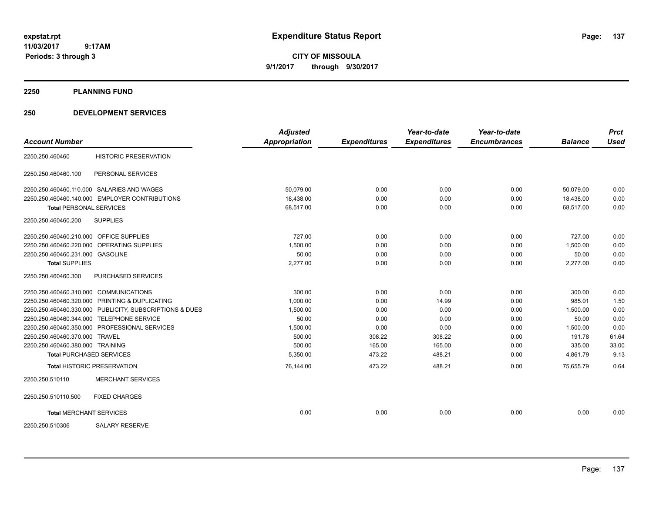**CITY OF MISSOULA 9/1/2017 through 9/30/2017**

#### **2250 PLANNING FUND**

|                                         |                                                         | <b>Adjusted</b>      |                     | Year-to-date        | Year-to-date        |                | <b>Prct</b> |
|-----------------------------------------|---------------------------------------------------------|----------------------|---------------------|---------------------|---------------------|----------------|-------------|
| <b>Account Number</b>                   |                                                         | <b>Appropriation</b> | <b>Expenditures</b> | <b>Expenditures</b> | <b>Encumbrances</b> | <b>Balance</b> | <b>Used</b> |
| 2250.250.460460                         | <b>HISTORIC PRESERVATION</b>                            |                      |                     |                     |                     |                |             |
| 2250.250.460460.100                     | PERSONAL SERVICES                                       |                      |                     |                     |                     |                |             |
|                                         | 2250.250.460460.110.000 SALARIES AND WAGES              | 50,079.00            | 0.00                | 0.00                | 0.00                | 50.079.00      | 0.00        |
|                                         | 2250.250.460460.140.000 EMPLOYER CONTRIBUTIONS          | 18,438.00            | 0.00                | 0.00                | 0.00                | 18.438.00      | 0.00        |
| <b>Total PERSONAL SERVICES</b>          |                                                         | 68,517.00            | 0.00                | 0.00                | 0.00                | 68,517.00      | 0.00        |
| 2250.250.460460.200                     | <b>SUPPLIES</b>                                         |                      |                     |                     |                     |                |             |
| 2250.250.460460.210.000 OFFICE SUPPLIES |                                                         | 727.00               | 0.00                | 0.00                | 0.00                | 727.00         | 0.00        |
|                                         | 2250.250.460460.220.000 OPERATING SUPPLIES              | 1,500.00             | 0.00                | 0.00                | 0.00                | 1,500.00       | 0.00        |
| 2250.250.460460.231.000 GASOLINE        |                                                         | 50.00                | 0.00                | 0.00                | 0.00                | 50.00          | 0.00        |
| <b>Total SUPPLIES</b>                   |                                                         | 2,277.00             | 0.00                | 0.00                | 0.00                | 2,277.00       | 0.00        |
| 2250.250.460460.300                     | PURCHASED SERVICES                                      |                      |                     |                     |                     |                |             |
| 2250.250.460460.310.000 COMMUNICATIONS  |                                                         | 300.00               | 0.00                | 0.00                | 0.00                | 300.00         | 0.00        |
|                                         | 2250.250.460460.320.000 PRINTING & DUPLICATING          | 1,000.00             | 0.00                | 14.99               | 0.00                | 985.01         | 1.50        |
|                                         | 2250.250.460460.330.000 PUBLICITY, SUBSCRIPTIONS & DUES | 1,500.00             | 0.00                | 0.00                | 0.00                | 1,500.00       | 0.00        |
|                                         | 2250.250.460460.344.000 TELEPHONE SERVICE               | 50.00                | 0.00                | 0.00                | 0.00                | 50.00          | 0.00        |
|                                         | 2250.250.460460.350.000 PROFESSIONAL SERVICES           | 1,500.00             | 0.00                | 0.00                | 0.00                | 1,500.00       | 0.00        |
| 2250.250.460460.370.000 TRAVEL          |                                                         | 500.00               | 308.22              | 308.22              | 0.00                | 191.78         | 61.64       |
| 2250.250.460460.380.000 TRAINING        |                                                         | 500.00               | 165.00              | 165.00              | 0.00                | 335.00         | 33.00       |
|                                         | <b>Total PURCHASED SERVICES</b>                         | 5,350.00             | 473.22              | 488.21              | 0.00                | 4,861.79       | 9.13        |
|                                         | <b>Total HISTORIC PRESERVATION</b>                      | 76,144.00            | 473.22              | 488.21              | 0.00                | 75,655.79      | 0.64        |
| 2250.250.510110                         | <b>MERCHANT SERVICES</b>                                |                      |                     |                     |                     |                |             |
| 2250.250.510110.500                     | <b>FIXED CHARGES</b>                                    |                      |                     |                     |                     |                |             |
| <b>Total MERCHANT SERVICES</b>          |                                                         | 0.00                 | 0.00                | 0.00                | 0.00                | 0.00           | 0.00        |
| 2250.250.510306                         | <b>SALARY RESERVE</b>                                   |                      |                     |                     |                     |                |             |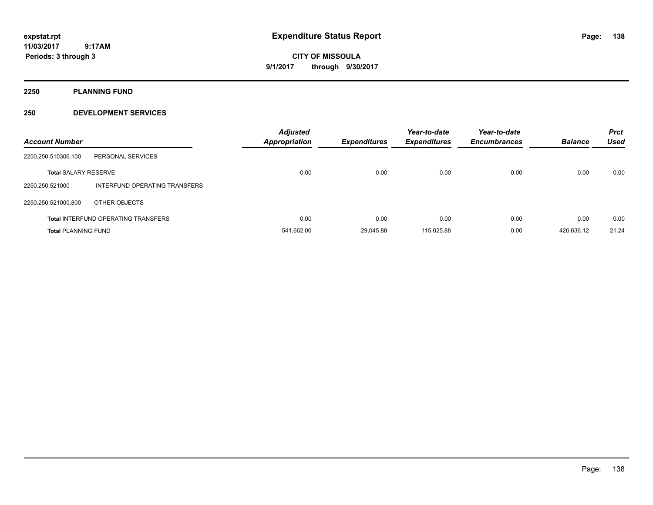**CITY OF MISSOULA 9/1/2017 through 9/30/2017**

**2250 PLANNING FUND**

| <b>Account Number</b>       |                                            | <b>Adjusted</b><br><b>Appropriation</b> | <b>Expenditures</b> | Year-to-date<br><b>Expenditures</b> | Year-to-date<br><b>Encumbrances</b> | <b>Balance</b> | <b>Prct</b><br><b>Used</b> |
|-----------------------------|--------------------------------------------|-----------------------------------------|---------------------|-------------------------------------|-------------------------------------|----------------|----------------------------|
| 2250.250.510306.100         | PERSONAL SERVICES                          |                                         |                     |                                     |                                     |                |                            |
| <b>Total SALARY RESERVE</b> |                                            | 0.00                                    | 0.00                | 0.00                                | 0.00                                | 0.00           | 0.00                       |
| 2250.250.521000             | INTERFUND OPERATING TRANSFERS              |                                         |                     |                                     |                                     |                |                            |
| 2250.250.521000.800         | OTHER OBJECTS                              |                                         |                     |                                     |                                     |                |                            |
|                             | <b>Total INTERFUND OPERATING TRANSFERS</b> | 0.00                                    | 0.00                | 0.00                                | 0.00                                | 0.00           | 0.00                       |
| <b>Total PLANNING FUND</b>  |                                            | 541.662.00                              | 29.045.88           | 115.025.88                          | 0.00                                | 426.636.12     | 21.24                      |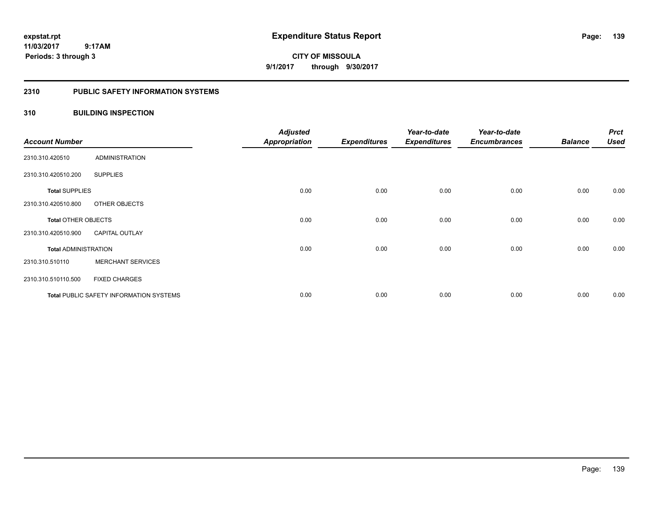**139**

**11/03/2017 9:17AM Periods: 3 through 3**

**CITY OF MISSOULA 9/1/2017 through 9/30/2017**

#### **2310 PUBLIC SAFETY INFORMATION SYSTEMS**

#### **310 BUILDING INSPECTION**

| <b>Account Number</b>       |                                                | <b>Adjusted</b><br>Appropriation | <b>Expenditures</b> | Year-to-date<br><b>Expenditures</b> | Year-to-date<br><b>Encumbrances</b> | <b>Balance</b> | <b>Prct</b><br><b>Used</b> |
|-----------------------------|------------------------------------------------|----------------------------------|---------------------|-------------------------------------|-------------------------------------|----------------|----------------------------|
| 2310.310.420510             | <b>ADMINISTRATION</b>                          |                                  |                     |                                     |                                     |                |                            |
| 2310.310.420510.200         | <b>SUPPLIES</b>                                |                                  |                     |                                     |                                     |                |                            |
| <b>Total SUPPLIES</b>       |                                                | 0.00                             | 0.00                | 0.00                                | 0.00                                | 0.00           | 0.00                       |
| 2310.310.420510.800         | OTHER OBJECTS                                  |                                  |                     |                                     |                                     |                |                            |
| <b>Total OTHER OBJECTS</b>  |                                                | 0.00                             | 0.00                | 0.00                                | 0.00                                | 0.00           | 0.00                       |
| 2310.310.420510.900         | <b>CAPITAL OUTLAY</b>                          |                                  |                     |                                     |                                     |                |                            |
| <b>Total ADMINISTRATION</b> |                                                | 0.00                             | 0.00                | 0.00                                | 0.00                                | 0.00           | 0.00                       |
| 2310.310.510110             | <b>MERCHANT SERVICES</b>                       |                                  |                     |                                     |                                     |                |                            |
| 2310.310.510110.500         | <b>FIXED CHARGES</b>                           |                                  |                     |                                     |                                     |                |                            |
|                             | <b>Total PUBLIC SAFETY INFORMATION SYSTEMS</b> | 0.00                             | 0.00                | 0.00                                | 0.00                                | 0.00           | 0.00                       |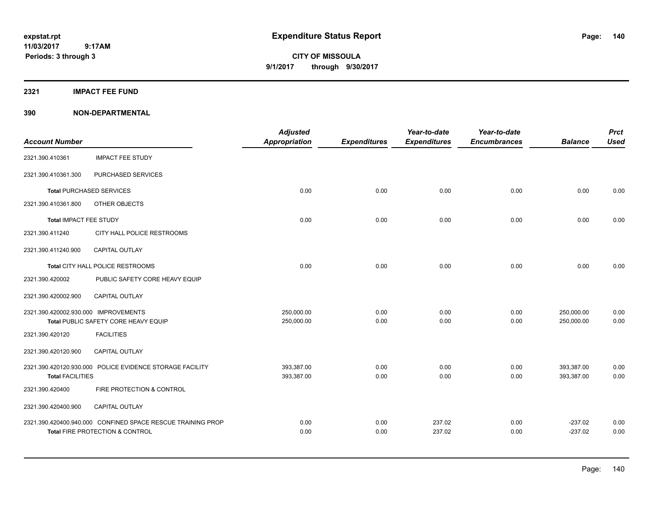**CITY OF MISSOULA 9/1/2017 through 9/30/2017**

#### **2321 IMPACT FEE FUND**

|                                      |                                                             | <b>Adjusted</b>      |                     | Year-to-date        | Year-to-date        |                | <b>Prct</b> |
|--------------------------------------|-------------------------------------------------------------|----------------------|---------------------|---------------------|---------------------|----------------|-------------|
| <b>Account Number</b>                |                                                             | <b>Appropriation</b> | <b>Expenditures</b> | <b>Expenditures</b> | <b>Encumbrances</b> | <b>Balance</b> | <b>Used</b> |
| 2321.390.410361                      | <b>IMPACT FEE STUDY</b>                                     |                      |                     |                     |                     |                |             |
| 2321.390.410361.300                  | PURCHASED SERVICES                                          |                      |                     |                     |                     |                |             |
| <b>Total PURCHASED SERVICES</b>      |                                                             | 0.00                 | 0.00                | 0.00                | 0.00                | 0.00           | 0.00        |
| 2321.390.410361.800                  | OTHER OBJECTS                                               |                      |                     |                     |                     |                |             |
| Total IMPACT FEE STUDY               |                                                             | 0.00                 | 0.00                | 0.00                | 0.00                | 0.00           | 0.00        |
| 2321.390.411240                      | CITY HALL POLICE RESTROOMS                                  |                      |                     |                     |                     |                |             |
| 2321.390.411240.900                  | <b>CAPITAL OUTLAY</b>                                       |                      |                     |                     |                     |                |             |
|                                      | Total CITY HALL POLICE RESTROOMS                            | 0.00                 | 0.00                | 0.00                | 0.00                | 0.00           | 0.00        |
| 2321.390.420002                      | PUBLIC SAFETY CORE HEAVY EQUIP                              |                      |                     |                     |                     |                |             |
| 2321.390.420002.900                  | <b>CAPITAL OUTLAY</b>                                       |                      |                     |                     |                     |                |             |
| 2321.390.420002.930.000 IMPROVEMENTS |                                                             | 250,000.00           | 0.00                | 0.00                | 0.00                | 250,000.00     | 0.00        |
|                                      | Total PUBLIC SAFETY CORE HEAVY EQUIP                        | 250,000.00           | 0.00                | 0.00                | 0.00                | 250,000.00     | 0.00        |
| 2321.390.420120                      | <b>FACILITIES</b>                                           |                      |                     |                     |                     |                |             |
| 2321.390.420120.900                  | <b>CAPITAL OUTLAY</b>                                       |                      |                     |                     |                     |                |             |
|                                      | 2321.390.420120.930.000 POLICE EVIDENCE STORAGE FACILITY    | 393,387.00           | 0.00                | 0.00                | 0.00                | 393,387.00     | 0.00        |
| <b>Total FACILITIES</b>              |                                                             | 393,387.00           | 0.00                | 0.00                | 0.00                | 393,387.00     | 0.00        |
| 2321.390.420400                      | FIRE PROTECTION & CONTROL                                   |                      |                     |                     |                     |                |             |
| 2321.390.420400.900                  | <b>CAPITAL OUTLAY</b>                                       |                      |                     |                     |                     |                |             |
|                                      | 2321.390.420400.940.000 CONFINED SPACE RESCUE TRAINING PROP | 0.00                 | 0.00                | 237.02              | 0.00                | $-237.02$      | 0.00        |
|                                      | Total FIRE PROTECTION & CONTROL                             | 0.00                 | 0.00                | 237.02              | 0.00                | $-237.02$      | 0.00        |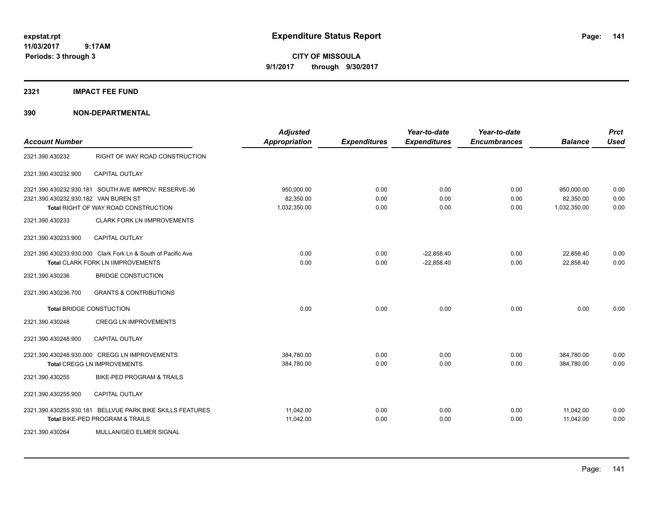**CITY OF MISSOULA 9/1/2017 through 9/30/2017**

**2321 IMPACT FEE FUND**

|                                                                                                                                                                            | <b>Adjusted</b><br><b>Appropriation</b> | <b>Expenditures</b>  | Year-to-date<br><b>Expenditures</b> | Year-to-date<br><b>Encumbrances</b> | <b>Balance</b>                          | <b>Prct</b><br><b>Used</b> |
|----------------------------------------------------------------------------------------------------------------------------------------------------------------------------|-----------------------------------------|----------------------|-------------------------------------|-------------------------------------|-----------------------------------------|----------------------------|
| RIGHT OF WAY ROAD CONSTRUCTION                                                                                                                                             |                                         |                      |                                     |                                     |                                         |                            |
| <b>CAPITAL OUTLAY</b>                                                                                                                                                      |                                         |                      |                                     |                                     |                                         |                            |
| 2321.390.430232.930.181 SOUTH AVE IMPROV, RESERVE-36<br>2321.390.430232.930.182 VAN BUREN ST<br>Total RIGHT OF WAY ROAD CONSTRUCTION<br><b>CLARK FORK LN IIMPROVEMENTS</b> | 950,000.00<br>82,350.00<br>1,032,350.00 | 0.00<br>0.00<br>0.00 | 0.00<br>0.00<br>0.00                | 0.00<br>0.00<br>0.00                | 950,000.00<br>82,350.00<br>1,032,350.00 | 0.00<br>0.00<br>0.00       |
| <b>CAPITAL OUTLAY</b>                                                                                                                                                      |                                         |                      |                                     |                                     |                                         |                            |
| 2321.390.430233.930.000 Clark Fork Ln & South of Pacific Ave<br><b>Total CLARK FORK LN IIMPROVEMENTS</b><br><b>BRIDGE CONSTUCTION</b>                                      | 0.00<br>0.00                            | 0.00<br>0.00         | $-22,858.40$<br>$-22,858.40$        | 0.00<br>0.00                        | 22,858.40<br>22,858.40                  | 0.00<br>0.00               |
| <b>GRANTS &amp; CONTRIBUTIONS</b>                                                                                                                                          |                                         |                      |                                     |                                     |                                         |                            |
| <b>Total BRIDGE CONSTUCTION</b>                                                                                                                                            | 0.00                                    | 0.00                 | 0.00                                | 0.00                                | 0.00                                    | 0.00                       |
| <b>CREGG LN IMPROVEMENTS</b>                                                                                                                                               |                                         |                      |                                     |                                     |                                         |                            |
| <b>CAPITAL OUTLAY</b>                                                                                                                                                      |                                         |                      |                                     |                                     |                                         |                            |
| 2321.390.430248.930.000 CREGG LN IMPROVEMENTS<br><b>Total CREGG LN IMPROVEMENTS</b>                                                                                        | 384,780.00<br>384,780.00                | 0.00<br>0.00         | 0.00<br>0.00                        | 0.00<br>0.00                        | 384,780.00<br>384,780.00                | 0.00<br>0.00               |
| <b>BIKE-PED PROGRAM &amp; TRAILS</b>                                                                                                                                       |                                         |                      |                                     |                                     |                                         |                            |
| <b>CAPITAL OUTLAY</b>                                                                                                                                                      |                                         |                      |                                     |                                     |                                         |                            |
| 2321.390.430255.930.181 BELLVUE PARK BIKE SKILLS FEATURES<br>Total BIKE-PED PROGRAM & TRAILS<br>MULLAN/GEO ELMER SIGNAL                                                    | 11,042.00<br>11,042.00                  | 0.00<br>0.00         | 0.00<br>0.00                        | 0.00<br>0.00                        | 11,042.00<br>11,042.00                  | 0.00<br>0.00               |
|                                                                                                                                                                            |                                         |                      |                                     |                                     |                                         |                            |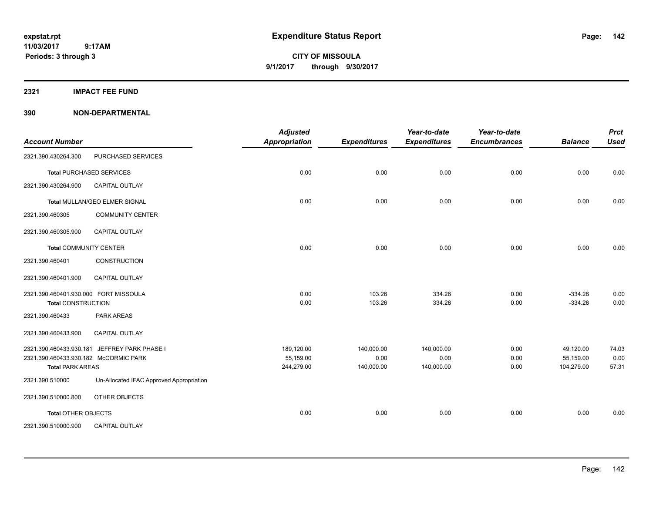**CITY OF MISSOULA 9/1/2017 through 9/30/2017**

#### **2321 IMPACT FEE FUND**

| <b>Account Number</b>                                                                       |                                          | <b>Adjusted</b><br><b>Appropriation</b> | <b>Expenditures</b>              | Year-to-date<br><b>Expenditures</b> | Year-to-date<br><b>Encumbrances</b> | <b>Balance</b>                       | <b>Prct</b><br><b>Used</b> |
|---------------------------------------------------------------------------------------------|------------------------------------------|-----------------------------------------|----------------------------------|-------------------------------------|-------------------------------------|--------------------------------------|----------------------------|
| 2321.390.430264.300                                                                         | PURCHASED SERVICES                       |                                         |                                  |                                     |                                     |                                      |                            |
|                                                                                             | <b>Total PURCHASED SERVICES</b>          | 0.00                                    | 0.00                             | 0.00                                | 0.00                                | 0.00                                 | 0.00                       |
| 2321.390.430264.900                                                                         | <b>CAPITAL OUTLAY</b>                    |                                         |                                  |                                     |                                     |                                      |                            |
|                                                                                             | <b>Total MULLAN/GEO ELMER SIGNAL</b>     | 0.00                                    | 0.00                             | 0.00                                | 0.00                                | 0.00                                 | 0.00                       |
| 2321.390.460305                                                                             | <b>COMMUNITY CENTER</b>                  |                                         |                                  |                                     |                                     |                                      |                            |
| 2321.390.460305.900                                                                         | CAPITAL OUTLAY                           |                                         |                                  |                                     |                                     |                                      |                            |
| <b>Total COMMUNITY CENTER</b>                                                               |                                          | 0.00                                    | 0.00                             | 0.00                                | 0.00                                | 0.00                                 | 0.00                       |
| 2321.390.460401                                                                             | CONSTRUCTION                             |                                         |                                  |                                     |                                     |                                      |                            |
| 2321.390.460401.900                                                                         | <b>CAPITAL OUTLAY</b>                    |                                         |                                  |                                     |                                     |                                      |                            |
| 2321.390.460401.930.000 FORT MISSOULA<br><b>Total CONSTRUCTION</b>                          |                                          | 0.00<br>0.00                            | 103.26<br>103.26                 | 334.26<br>334.26                    | 0.00<br>0.00                        | $-334.26$<br>$-334.26$               | 0.00<br>0.00               |
| 2321.390.460433                                                                             | <b>PARK AREAS</b>                        |                                         |                                  |                                     |                                     |                                      |                            |
| 2321.390.460433.900                                                                         | CAPITAL OUTLAY                           |                                         |                                  |                                     |                                     |                                      |                            |
| 2321.390.460433.930.181<br>2321.390.460433.930.182 McCORMIC PARK<br><b>Total PARK AREAS</b> | JEFFREY PARK PHASE I                     | 189,120.00<br>55,159.00<br>244,279.00   | 140,000.00<br>0.00<br>140,000.00 | 140,000.00<br>0.00<br>140,000.00    | 0.00<br>0.00<br>0.00                | 49,120.00<br>55,159.00<br>104,279.00 | 74.03<br>0.00<br>57.31     |
| 2321.390.510000                                                                             | Un-Allocated IFAC Approved Appropriation |                                         |                                  |                                     |                                     |                                      |                            |
| 2321.390.510000.800                                                                         | OTHER OBJECTS                            |                                         |                                  |                                     |                                     |                                      |                            |
| <b>Total OTHER OBJECTS</b>                                                                  |                                          | 0.00                                    | 0.00                             | 0.00                                | 0.00                                | 0.00                                 | 0.00                       |
| 2321.390.510000.900                                                                         | <b>CAPITAL OUTLAY</b>                    |                                         |                                  |                                     |                                     |                                      |                            |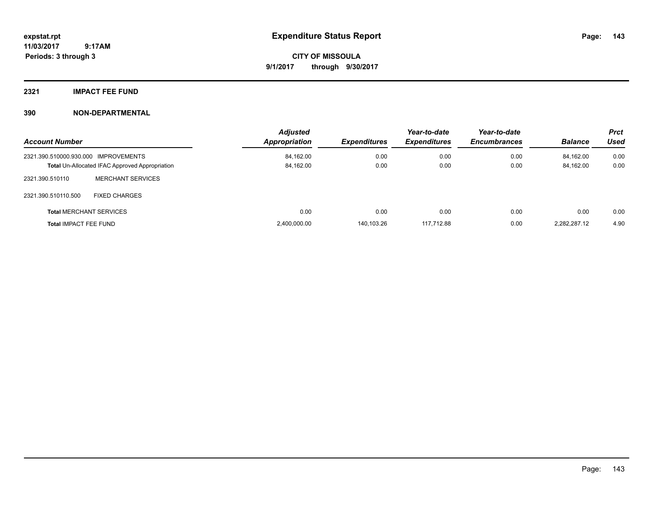**CITY OF MISSOULA 9/1/2017 through 9/30/2017**

### **2321 IMPACT FEE FUND**

| <b>Account Number</b>                |                                                       | <b>Adjusted</b><br>Appropriation | <b>Expenditures</b> | Year-to-date<br><b>Expenditures</b> | Year-to-date<br><b>Encumbrances</b> | <b>Balance</b> | <b>Prct</b><br>Used |
|--------------------------------------|-------------------------------------------------------|----------------------------------|---------------------|-------------------------------------|-------------------------------------|----------------|---------------------|
| 2321.390.510000.930.000 IMPROVEMENTS |                                                       | 84,162.00                        | 0.00                | 0.00                                | 0.00                                | 84,162.00      | 0.00                |
|                                      | <b>Total Un-Allocated IFAC Approved Appropriation</b> | 84,162.00                        | 0.00                | 0.00                                | 0.00                                | 84,162.00      | 0.00                |
| 2321.390.510110                      | <b>MERCHANT SERVICES</b>                              |                                  |                     |                                     |                                     |                |                     |
| 2321.390.510110.500                  | <b>FIXED CHARGES</b>                                  |                                  |                     |                                     |                                     |                |                     |
|                                      | <b>Total MERCHANT SERVICES</b>                        | 0.00                             | 0.00                | 0.00                                | 0.00                                | 0.00           | 0.00                |
| <b>Total IMPACT FEE FUND</b>         |                                                       | 2,400,000.00                     | 140.103.26          | 117.712.88                          | 0.00                                | 2.282.287.12   | 4.90                |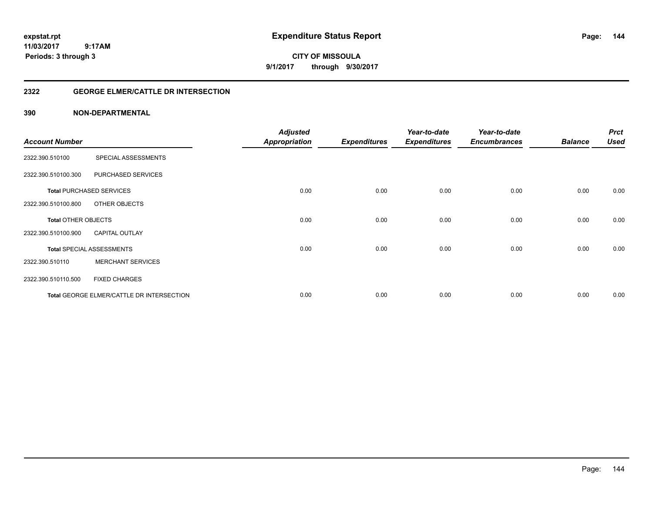**CITY OF MISSOULA 9/1/2017 through 9/30/2017**

#### **2322 GEORGE ELMER/CATTLE DR INTERSECTION**

|                       |                                           | <b>Adjusted</b>      |                     | Year-to-date        | Year-to-date        |                | <b>Prct</b> |
|-----------------------|-------------------------------------------|----------------------|---------------------|---------------------|---------------------|----------------|-------------|
| <b>Account Number</b> |                                           | <b>Appropriation</b> | <b>Expenditures</b> | <b>Expenditures</b> | <b>Encumbrances</b> | <b>Balance</b> | <b>Used</b> |
| 2322.390.510100       | SPECIAL ASSESSMENTS                       |                      |                     |                     |                     |                |             |
| 2322.390.510100.300   | PURCHASED SERVICES                        |                      |                     |                     |                     |                |             |
|                       | <b>Total PURCHASED SERVICES</b>           | 0.00                 | 0.00                | 0.00                | 0.00                | 0.00           | 0.00        |
| 2322.390.510100.800   | OTHER OBJECTS                             |                      |                     |                     |                     |                |             |
| Total OTHER OBJECTS   |                                           | 0.00                 | 0.00                | 0.00                | 0.00                | 0.00           | 0.00        |
| 2322.390.510100.900   | <b>CAPITAL OUTLAY</b>                     |                      |                     |                     |                     |                |             |
|                       | <b>Total SPECIAL ASSESSMENTS</b>          | 0.00                 | 0.00                | 0.00                | 0.00                | 0.00           | 0.00        |
| 2322.390.510110       | <b>MERCHANT SERVICES</b>                  |                      |                     |                     |                     |                |             |
| 2322.390.510110.500   | <b>FIXED CHARGES</b>                      |                      |                     |                     |                     |                |             |
|                       | Total GEORGE ELMER/CATTLE DR INTERSECTION | 0.00                 | 0.00                | 0.00                | 0.00                | 0.00           | 0.00        |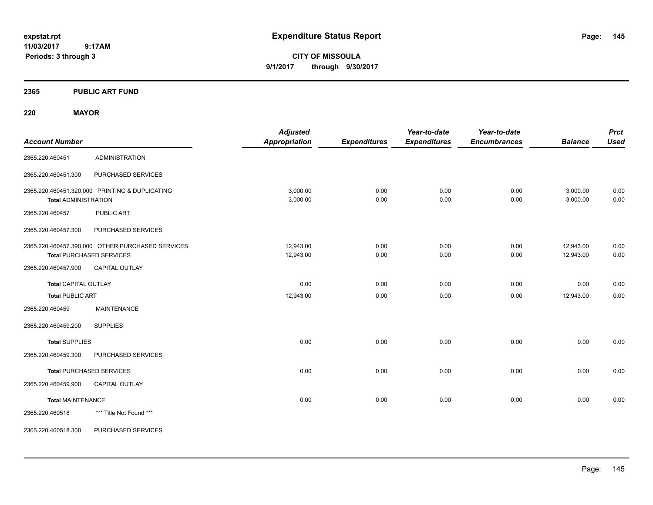**CITY OF MISSOULA 9/1/2017 through 9/30/2017**

## **2365 PUBLIC ART FUND**

## **220 MAYOR**

| <b>Account Number</b>       |                                                                                     | <b>Adjusted</b><br><b>Appropriation</b> | <b>Expenditures</b> | Year-to-date<br><b>Expenditures</b> | Year-to-date<br><b>Encumbrances</b> | <b>Balance</b>         | <b>Prct</b><br><b>Used</b> |
|-----------------------------|-------------------------------------------------------------------------------------|-----------------------------------------|---------------------|-------------------------------------|-------------------------------------|------------------------|----------------------------|
| 2365.220.460451             | <b>ADMINISTRATION</b>                                                               |                                         |                     |                                     |                                     |                        |                            |
| 2365.220.460451.300         | PURCHASED SERVICES                                                                  |                                         |                     |                                     |                                     |                        |                            |
| <b>Total ADMINISTRATION</b> | 2365.220.460451.320.000 PRINTING & DUPLICATING                                      | 3,000.00<br>3,000.00                    | 0.00<br>0.00        | 0.00<br>0.00                        | 0.00<br>0.00                        | 3,000.00<br>3,000.00   | 0.00<br>0.00               |
| 2365.220.460457             | <b>PUBLIC ART</b>                                                                   |                                         |                     |                                     |                                     |                        |                            |
| 2365.220.460457.300         | PURCHASED SERVICES                                                                  |                                         |                     |                                     |                                     |                        |                            |
|                             | 2365.220.460457.390.000 OTHER PURCHASED SERVICES<br><b>Total PURCHASED SERVICES</b> | 12,943.00<br>12,943.00                  | 0.00<br>0.00        | 0.00<br>0.00                        | 0.00<br>0.00                        | 12,943.00<br>12,943.00 | 0.00<br>0.00               |
| 2365.220.460457.900         | <b>CAPITAL OUTLAY</b>                                                               |                                         |                     |                                     |                                     |                        |                            |
| <b>Total CAPITAL OUTLAY</b> |                                                                                     | 0.00                                    | 0.00                | 0.00                                | 0.00                                | 0.00                   | 0.00                       |
| <b>Total PUBLIC ART</b>     |                                                                                     | 12,943.00                               | 0.00                | 0.00                                | 0.00                                | 12,943.00              | 0.00                       |
| 2365.220.460459             | <b>MAINTENANCE</b>                                                                  |                                         |                     |                                     |                                     |                        |                            |
| 2365.220.460459.200         | <b>SUPPLIES</b>                                                                     |                                         |                     |                                     |                                     |                        |                            |
| <b>Total SUPPLIES</b>       |                                                                                     | 0.00                                    | 0.00                | 0.00                                | 0.00                                | 0.00                   | 0.00                       |
| 2365.220.460459.300         | PURCHASED SERVICES                                                                  |                                         |                     |                                     |                                     |                        |                            |
|                             | <b>Total PURCHASED SERVICES</b>                                                     | 0.00                                    | 0.00                | 0.00                                | 0.00                                | 0.00                   | 0.00                       |
| 2365.220.460459.900         | <b>CAPITAL OUTLAY</b>                                                               |                                         |                     |                                     |                                     |                        |                            |
| <b>Total MAINTENANCE</b>    |                                                                                     | 0.00                                    | 0.00                | 0.00                                | 0.00                                | 0.00                   | 0.00                       |
| 2365.220.460518             | *** Title Not Found ***                                                             |                                         |                     |                                     |                                     |                        |                            |
| 2365.220.460518.300         | PURCHASED SERVICES                                                                  |                                         |                     |                                     |                                     |                        |                            |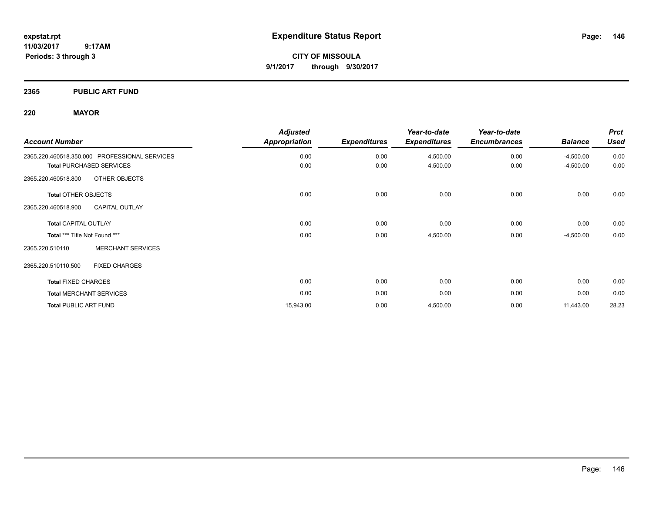**CITY OF MISSOULA 9/1/2017 through 9/30/2017**

## **2365 PUBLIC ART FUND**

## **220 MAYOR**

| <b>Account Number</b>                         | <b>Adjusted</b><br><b>Appropriation</b> | <b>Expenditures</b> | Year-to-date<br><b>Expenditures</b> | Year-to-date<br><b>Encumbrances</b> | <b>Balance</b> | <b>Prct</b><br><b>Used</b> |
|-----------------------------------------------|-----------------------------------------|---------------------|-------------------------------------|-------------------------------------|----------------|----------------------------|
| 2365.220.460518.350.000 PROFESSIONAL SERVICES | 0.00                                    | 0.00                | 4,500.00                            | 0.00                                | $-4,500.00$    | 0.00                       |
| <b>Total PURCHASED SERVICES</b>               | 0.00                                    | 0.00                | 4,500.00                            | 0.00                                | $-4,500.00$    | 0.00                       |
| OTHER OBJECTS<br>2365.220.460518.800          |                                         |                     |                                     |                                     |                |                            |
| <b>Total OTHER OBJECTS</b>                    | 0.00                                    | 0.00                | 0.00                                | 0.00                                | 0.00           | 0.00                       |
| <b>CAPITAL OUTLAY</b><br>2365.220.460518.900  |                                         |                     |                                     |                                     |                |                            |
| <b>Total CAPITAL OUTLAY</b>                   | 0.00                                    | 0.00                | 0.00                                | 0.00                                | 0.00           | 0.00                       |
| Total *** Title Not Found ***                 | 0.00                                    | 0.00                | 4,500.00                            | 0.00                                | $-4,500.00$    | 0.00                       |
| <b>MERCHANT SERVICES</b><br>2365.220.510110   |                                         |                     |                                     |                                     |                |                            |
| <b>FIXED CHARGES</b><br>2365.220.510110.500   |                                         |                     |                                     |                                     |                |                            |
| <b>Total FIXED CHARGES</b>                    | 0.00                                    | 0.00                | 0.00                                | 0.00                                | 0.00           | 0.00                       |
| <b>Total MERCHANT SERVICES</b>                | 0.00                                    | 0.00                | 0.00                                | 0.00                                | 0.00           | 0.00                       |
| <b>Total PUBLIC ART FUND</b>                  | 15,943.00                               | 0.00                | 4,500.00                            | 0.00                                | 11,443.00      | 28.23                      |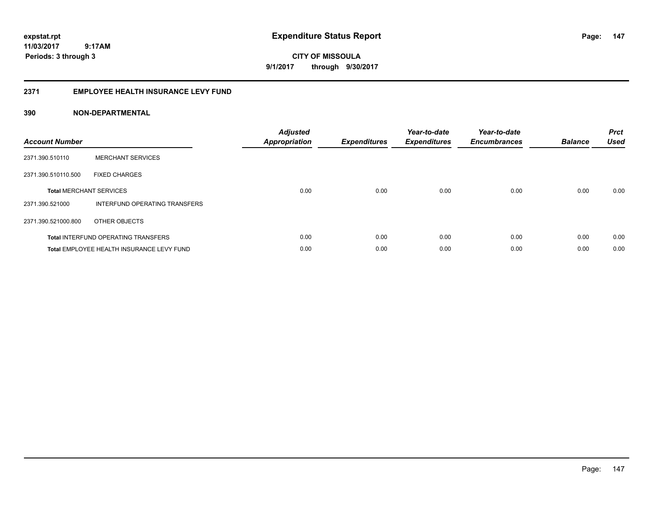**CITY OF MISSOULA 9/1/2017 through 9/30/2017**

## **2371 EMPLOYEE HEALTH INSURANCE LEVY FUND**

| <b>Account Number</b>          |                                            | <b>Adjusted</b><br>Appropriation | <b>Expenditures</b> | Year-to-date<br><b>Expenditures</b> | Year-to-date<br><b>Encumbrances</b> | <b>Balance</b> | <b>Prct</b><br>Used |
|--------------------------------|--------------------------------------------|----------------------------------|---------------------|-------------------------------------|-------------------------------------|----------------|---------------------|
| 2371.390.510110                | <b>MERCHANT SERVICES</b>                   |                                  |                     |                                     |                                     |                |                     |
| 2371.390.510110.500            | <b>FIXED CHARGES</b>                       |                                  |                     |                                     |                                     |                |                     |
| <b>Total MERCHANT SERVICES</b> |                                            | 0.00                             | 0.00                | 0.00                                | 0.00                                | 0.00           | 0.00                |
| 2371.390.521000                | INTERFUND OPERATING TRANSFERS              |                                  |                     |                                     |                                     |                |                     |
| 2371.390.521000.800            | OTHER OBJECTS                              |                                  |                     |                                     |                                     |                |                     |
|                                | <b>Total INTERFUND OPERATING TRANSFERS</b> | 0.00                             | 0.00                | 0.00                                | 0.00                                | 0.00           | 0.00                |
|                                | Total EMPLOYEE HEALTH INSURANCE LEVY FUND  | 0.00                             | 0.00                | 0.00                                | 0.00                                | 0.00           | 0.00                |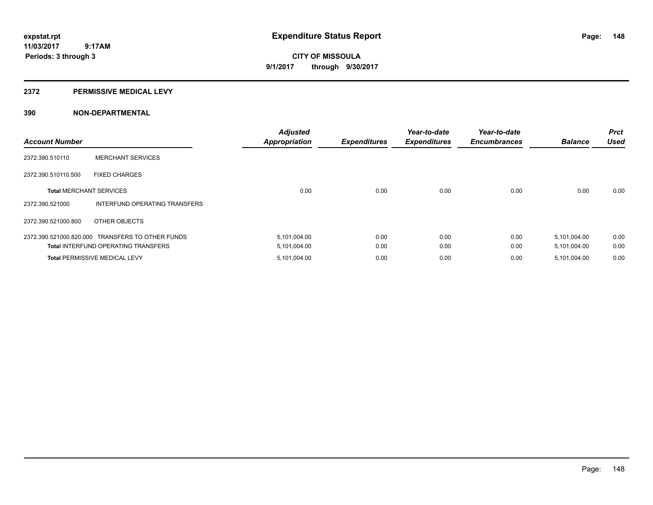**CITY OF MISSOULA 9/1/2017 through 9/30/2017**

#### **2372 PERMISSIVE MEDICAL LEVY**

| <b>Account Number</b>          |                                                  | <b>Adjusted</b><br><b>Appropriation</b> | <b>Expenditures</b> | Year-to-date<br><b>Expenditures</b> | Year-to-date<br><b>Encumbrances</b> | <b>Balance</b> | <b>Prct</b><br><b>Used</b> |
|--------------------------------|--------------------------------------------------|-----------------------------------------|---------------------|-------------------------------------|-------------------------------------|----------------|----------------------------|
| 2372.390.510110                | <b>MERCHANT SERVICES</b>                         |                                         |                     |                                     |                                     |                |                            |
| 2372.390.510110.500            | <b>FIXED CHARGES</b>                             |                                         |                     |                                     |                                     |                |                            |
| <b>Total MERCHANT SERVICES</b> |                                                  | 0.00                                    | 0.00                | 0.00                                | 0.00                                | 0.00           | 0.00                       |
| 2372.390.521000                | INTERFUND OPERATING TRANSFERS                    |                                         |                     |                                     |                                     |                |                            |
| 2372.390.521000.800            | OTHER OBJECTS                                    |                                         |                     |                                     |                                     |                |                            |
|                                | 2372.390.521000.820.000 TRANSFERS TO OTHER FUNDS | 5,101,004.00                            | 0.00                | 0.00                                | 0.00                                | 5,101,004.00   | 0.00                       |
|                                | <b>Total INTERFUND OPERATING TRANSFERS</b>       | 5,101,004.00                            | 0.00                | 0.00                                | 0.00                                | 5,101,004.00   | 0.00                       |
|                                | <b>Total PERMISSIVE MEDICAL LEVY</b>             | 5,101,004.00                            | 0.00                | 0.00                                | 0.00                                | 5,101,004.00   | 0.00                       |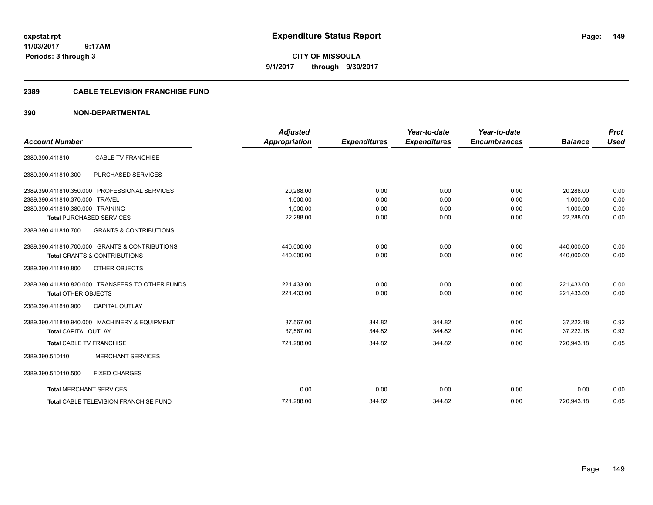**CITY OF MISSOULA 9/1/2017 through 9/30/2017**

## **2389 CABLE TELEVISION FRANCHISE FUND**

| <b>Account Number</b>            |                                                  | <b>Adjusted</b><br><b>Appropriation</b> | <b>Expenditures</b> | Year-to-date<br><b>Expenditures</b> | Year-to-date<br><b>Encumbrances</b> | <b>Balance</b> | <b>Prct</b><br><b>Used</b> |
|----------------------------------|--------------------------------------------------|-----------------------------------------|---------------------|-------------------------------------|-------------------------------------|----------------|----------------------------|
|                                  |                                                  |                                         |                     |                                     |                                     |                |                            |
| 2389.390.411810                  | <b>CABLE TV FRANCHISE</b>                        |                                         |                     |                                     |                                     |                |                            |
| 2389.390.411810.300              | PURCHASED SERVICES                               |                                         |                     |                                     |                                     |                |                            |
|                                  | 2389.390.411810.350.000 PROFESSIONAL SERVICES    | 20,288.00                               | 0.00                | 0.00                                | 0.00                                | 20,288.00      | 0.00                       |
| 2389.390.411810.370.000 TRAVEL   |                                                  | 1.000.00                                | 0.00                | 0.00                                | 0.00                                | 1.000.00       | 0.00                       |
| 2389.390.411810.380.000 TRAINING |                                                  | 1,000.00                                | 0.00                | 0.00                                | 0.00                                | 1.000.00       | 0.00                       |
| <b>Total PURCHASED SERVICES</b>  |                                                  | 22,288.00                               | 0.00                | 0.00                                | 0.00                                | 22,288.00      | 0.00                       |
| 2389.390.411810.700              | <b>GRANTS &amp; CONTRIBUTIONS</b>                |                                         |                     |                                     |                                     |                |                            |
|                                  | 2389.390.411810.700.000 GRANTS & CONTRIBUTIONS   | 440,000.00                              | 0.00                | 0.00                                | 0.00                                | 440,000.00     | 0.00                       |
|                                  | <b>Total GRANTS &amp; CONTRIBUTIONS</b>          | 440,000.00                              | 0.00                | 0.00                                | 0.00                                | 440,000.00     | 0.00                       |
| 2389.390.411810.800              | OTHER OBJECTS                                    |                                         |                     |                                     |                                     |                |                            |
|                                  | 2389.390.411810.820.000 TRANSFERS TO OTHER FUNDS | 221,433.00                              | 0.00                | 0.00                                | 0.00                                | 221,433.00     | 0.00                       |
| <b>Total OTHER OBJECTS</b>       |                                                  | 221,433.00                              | 0.00                | 0.00                                | 0.00                                | 221,433.00     | 0.00                       |
| 2389.390.411810.900              | <b>CAPITAL OUTLAY</b>                            |                                         |                     |                                     |                                     |                |                            |
|                                  | 2389.390.411810.940.000 MACHINERY & EQUIPMENT    | 37.567.00                               | 344.82              | 344.82                              | 0.00                                | 37.222.18      | 0.92                       |
| <b>Total CAPITAL OUTLAY</b>      |                                                  | 37.567.00                               | 344.82              | 344.82                              | 0.00                                | 37.222.18      | 0.92                       |
| <b>Total CABLE TV FRANCHISE</b>  |                                                  | 721,288.00                              | 344.82              | 344.82                              | 0.00                                | 720,943.18     | 0.05                       |
| 2389.390.510110                  | <b>MERCHANT SERVICES</b>                         |                                         |                     |                                     |                                     |                |                            |
| 2389.390.510110.500              | <b>FIXED CHARGES</b>                             |                                         |                     |                                     |                                     |                |                            |
| <b>Total MERCHANT SERVICES</b>   |                                                  | 0.00                                    | 0.00                | 0.00                                | 0.00                                | 0.00           | 0.00                       |
|                                  | Total CABLE TELEVISION FRANCHISE FUND            | 721,288.00                              | 344.82              | 344.82                              | 0.00                                | 720,943.18     | 0.05                       |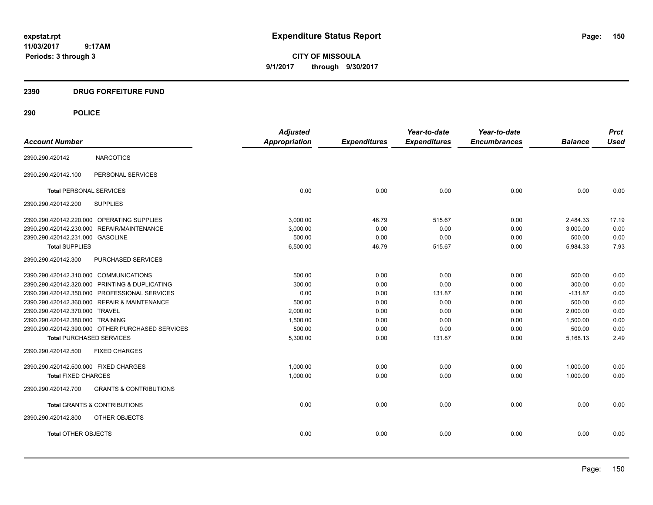**CITY OF MISSOULA 9/1/2017 through 9/30/2017**

## **2390 DRUG FORFEITURE FUND**

# **290 POLICE**

|                                            |                                                  | <b>Adjusted</b>      |                     | Year-to-date        | Year-to-date        |                | <b>Prct</b> |
|--------------------------------------------|--------------------------------------------------|----------------------|---------------------|---------------------|---------------------|----------------|-------------|
| <b>Account Number</b>                      |                                                  | <b>Appropriation</b> | <b>Expenditures</b> | <b>Expenditures</b> | <b>Encumbrances</b> | <b>Balance</b> | <b>Used</b> |
| 2390.290.420142                            | <b>NARCOTICS</b>                                 |                      |                     |                     |                     |                |             |
| 2390.290.420142.100                        | PERSONAL SERVICES                                |                      |                     |                     |                     |                |             |
| <b>Total PERSONAL SERVICES</b>             |                                                  | 0.00                 | 0.00                | 0.00                | 0.00                | 0.00           | 0.00        |
| 2390.290.420142.200                        | <b>SUPPLIES</b>                                  |                      |                     |                     |                     |                |             |
| 2390.290.420142.220.000 OPERATING SUPPLIES |                                                  | 3.000.00             | 46.79               | 515.67              | 0.00                | 2,484.33       | 17.19       |
| 2390.290.420142.230.000 REPAIR/MAINTENANCE |                                                  | 3,000.00             | 0.00                | 0.00                | 0.00                | 3,000.00       | 0.00        |
| 2390.290.420142.231.000 GASOLINE           |                                                  | 500.00               | 0.00                | 0.00                | 0.00                | 500.00         | 0.00        |
| <b>Total SUPPLIES</b>                      |                                                  | 6,500.00             | 46.79               | 515.67              | 0.00                | 5,984.33       | 7.93        |
| 2390.290.420142.300                        | PURCHASED SERVICES                               |                      |                     |                     |                     |                |             |
| 2390.290.420142.310.000 COMMUNICATIONS     |                                                  | 500.00               | 0.00                | 0.00                | 0.00                | 500.00         | 0.00        |
|                                            | 2390.290.420142.320.000 PRINTING & DUPLICATING   | 300.00               | 0.00                | 0.00                | 0.00                | 300.00         | 0.00        |
|                                            | 2390.290.420142.350.000 PROFESSIONAL SERVICES    | 0.00                 | 0.00                | 131.87              | 0.00                | $-131.87$      | 0.00        |
|                                            | 2390.290.420142.360.000 REPAIR & MAINTENANCE     | 500.00               | 0.00                | 0.00                | 0.00                | 500.00         | 0.00        |
| 2390.290.420142.370.000 TRAVEL             |                                                  | 2,000.00             | 0.00                | 0.00                | 0.00                | 2,000.00       | 0.00        |
| 2390.290.420142.380.000 TRAINING           |                                                  | 1,500.00             | 0.00                | 0.00                | 0.00                | 1,500.00       | 0.00        |
|                                            | 2390.290.420142.390.000 OTHER PURCHASED SERVICES | 500.00               | 0.00                | 0.00                | 0.00                | 500.00         | 0.00        |
| <b>Total PURCHASED SERVICES</b>            |                                                  | 5,300.00             | 0.00                | 131.87              | 0.00                | 5,168.13       | 2.49        |
| 2390.290.420142.500                        | <b>FIXED CHARGES</b>                             |                      |                     |                     |                     |                |             |
| 2390.290.420142.500.000 FIXED CHARGES      |                                                  | 1,000.00             | 0.00                | 0.00                | 0.00                | 1,000.00       | 0.00        |
| <b>Total FIXED CHARGES</b>                 |                                                  | 1,000.00             | 0.00                | 0.00                | 0.00                | 1,000.00       | 0.00        |
| 2390.290.420142.700                        | <b>GRANTS &amp; CONTRIBUTIONS</b>                |                      |                     |                     |                     |                |             |
| <b>Total GRANTS &amp; CONTRIBUTIONS</b>    |                                                  | 0.00                 | 0.00                | 0.00                | 0.00                | 0.00           | 0.00        |
| 2390.290.420142.800                        | OTHER OBJECTS                                    |                      |                     |                     |                     |                |             |
| <b>Total OTHER OBJECTS</b>                 |                                                  | 0.00                 | 0.00                | 0.00                | 0.00                | 0.00           | 0.00        |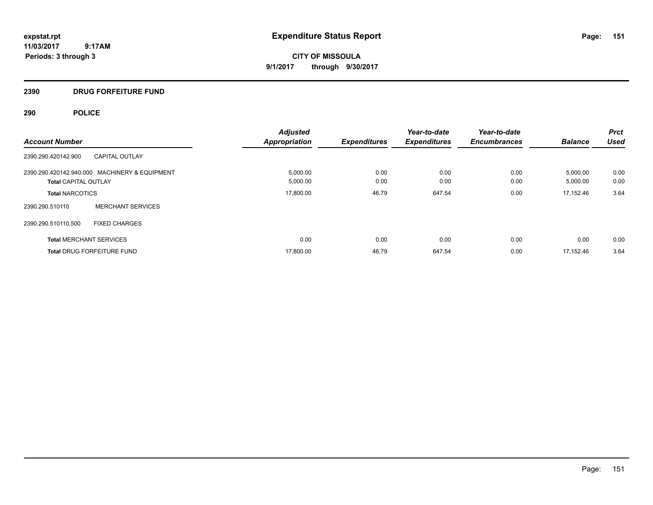**CITY OF MISSOULA 9/1/2017 through 9/30/2017**

## **2390 DRUG FORFEITURE FUND**

# **290 POLICE**

|                                |                                               | <b>Adjusted</b>      |                     | Year-to-date        | Year-to-date        |                | <b>Prct</b> |
|--------------------------------|-----------------------------------------------|----------------------|---------------------|---------------------|---------------------|----------------|-------------|
| <b>Account Number</b>          |                                               | <b>Appropriation</b> | <b>Expenditures</b> | <b>Expenditures</b> | <b>Encumbrances</b> | <b>Balance</b> | Used        |
| 2390.290.420142.900            | <b>CAPITAL OUTLAY</b>                         |                      |                     |                     |                     |                |             |
|                                | 2390.290.420142.940.000 MACHINERY & EQUIPMENT | 5,000.00             | 0.00                | 0.00                | 0.00                | 5,000.00       | 0.00        |
| <b>Total CAPITAL OUTLAY</b>    |                                               | 5,000.00             | 0.00                | 0.00                | 0.00                | 5,000.00       | 0.00        |
| <b>Total NARCOTICS</b>         |                                               | 17,800.00            | 46.79               | 647.54              | 0.00                | 17.152.46      | 3.64        |
| 2390.290.510110                | <b>MERCHANT SERVICES</b>                      |                      |                     |                     |                     |                |             |
| 2390.290.510110.500            | <b>FIXED CHARGES</b>                          |                      |                     |                     |                     |                |             |
| <b>Total MERCHANT SERVICES</b> |                                               | 0.00                 | 0.00                | 0.00                | 0.00                | 0.00           | 0.00        |
|                                | <b>Total DRUG FORFEITURE FUND</b>             | 17,800.00            | 46.79               | 647.54              | 0.00                | 17.152.46      | 3.64        |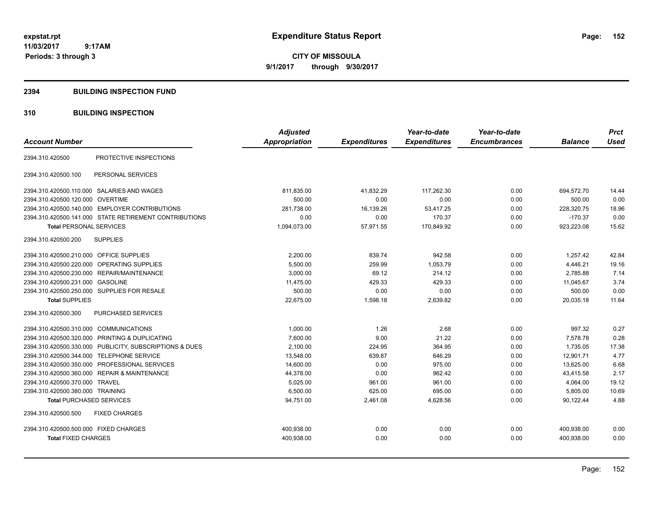**CITY OF MISSOULA 9/1/2017 through 9/30/2017**

#### **2394 BUILDING INSPECTION FUND**

## **310 BUILDING INSPECTION**

|                                                         |                        | <b>Adjusted</b> |                     | Year-to-date        | Year-to-date        |                | <b>Prct</b> |
|---------------------------------------------------------|------------------------|-----------------|---------------------|---------------------|---------------------|----------------|-------------|
| <b>Account Number</b>                                   |                        | Appropriation   | <b>Expenditures</b> | <b>Expenditures</b> | <b>Encumbrances</b> | <b>Balance</b> | <b>Used</b> |
| 2394.310.420500                                         | PROTECTIVE INSPECTIONS |                 |                     |                     |                     |                |             |
| PERSONAL SERVICES<br>2394.310.420500.100                |                        |                 |                     |                     |                     |                |             |
| 2394.310.420500.110.000 SALARIES AND WAGES              |                        | 811,835.00      | 41,832.29           | 117.262.30          | 0.00                | 694,572.70     | 14.44       |
| 2394.310.420500.120.000 OVERTIME                        |                        | 500.00          | 0.00                | 0.00                | 0.00                | 500.00         | 0.00        |
| 2394.310.420500.140.000 EMPLOYER CONTRIBUTIONS          |                        | 281,738.00      | 16,139.26           | 53,417.25           | 0.00                | 228,320.75     | 18.96       |
| 2394.310.420500.141.000 STATE RETIREMENT CONTRIBUTIONS  |                        | 0.00            | 0.00                | 170.37              | 0.00                | $-170.37$      | 0.00        |
| <b>Total PERSONAL SERVICES</b>                          |                        | 1,094,073.00    | 57,971.55           | 170,849.92          | 0.00                | 923,223.08     | 15.62       |
| <b>SUPPLIES</b><br>2394.310.420500.200                  |                        |                 |                     |                     |                     |                |             |
| 2394.310.420500.210.000 OFFICE SUPPLIES                 |                        | 2,200.00        | 839.74              | 942.58              | 0.00                | 1.257.42       | 42.84       |
| 2394.310.420500.220.000<br>OPERATING SUPPLIES           |                        | 5,500.00        | 259.99              | 1,053.79            | 0.00                | 4,446.21       | 19.16       |
| 2394.310.420500.230.000 REPAIR/MAINTENANCE              |                        | 3,000.00        | 69.12               | 214.12              | 0.00                | 2.785.88       | 7.14        |
| 2394.310.420500.231.000 GASOLINE                        |                        | 11,475.00       | 429.33              | 429.33              | 0.00                | 11,045.67      | 3.74        |
| 2394.310.420500.250.000 SUPPLIES FOR RESALE             |                        | 500.00          | 0.00                | 0.00                | 0.00                | 500.00         | 0.00        |
| <b>Total SUPPLIES</b>                                   |                        | 22,675.00       | 1,598.18            | 2,639.82            | 0.00                | 20,035.18      | 11.64       |
| 2394.310.420500.300<br>PURCHASED SERVICES               |                        |                 |                     |                     |                     |                |             |
| 2394.310.420500.310.000 COMMUNICATIONS                  |                        | 1,000.00        | 1.26                | 2.68                | 0.00                | 997.32         | 0.27        |
| 2394.310.420500.320.000 PRINTING & DUPLICATING          |                        | 7,600.00        | 9.00                | 21.22               | 0.00                | 7,578.78       | 0.28        |
| 2394.310.420500.330.000 PUBLICITY, SUBSCRIPTIONS & DUES |                        | 2,100.00        | 224.95              | 364.95              | 0.00                | 1,735.05       | 17.38       |
| 2394.310.420500.344.000 TELEPHONE SERVICE               |                        | 13,548.00       | 639.87              | 646.29              | 0.00                | 12,901.71      | 4.77        |
| 2394.310.420500.350.000 PROFESSIONAL SERVICES           |                        | 14,600.00       | 0.00                | 975.00              | 0.00                | 13,625.00      | 6.68        |
| 2394.310.420500.360.000 REPAIR & MAINTENANCE            |                        | 44,378.00       | 0.00                | 962.42              | 0.00                | 43,415.58      | 2.17        |
| 2394.310.420500.370.000 TRAVEL                          |                        | 5,025.00        | 961.00              | 961.00              | 0.00                | 4,064.00       | 19.12       |
| 2394.310.420500.380.000 TRAINING                        |                        | 6,500.00        | 625.00              | 695.00              | 0.00                | 5,805.00       | 10.69       |
| <b>Total PURCHASED SERVICES</b>                         |                        | 94,751.00       | 2,461.08            | 4,628.56            | 0.00                | 90,122.44      | 4.88        |
| 2394.310.420500.500<br><b>FIXED CHARGES</b>             |                        |                 |                     |                     |                     |                |             |
| 2394.310.420500.500.000 FIXED CHARGES                   |                        | 400,938.00      | 0.00                | 0.00                | 0.00                | 400,938.00     | 0.00        |
| <b>Total FIXED CHARGES</b>                              |                        | 400,938.00      | 0.00                | 0.00                | 0.00                | 400,938.00     | 0.00        |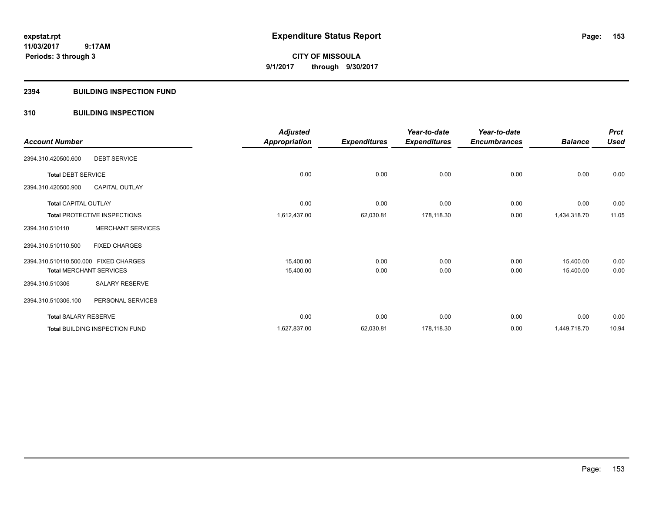**CITY OF MISSOULA 9/1/2017 through 9/30/2017**

#### **2394 BUILDING INSPECTION FUND**

## **310 BUILDING INSPECTION**

|                                       |                                     | <b>Adjusted</b> |                     | Year-to-date        | Year-to-date        |                | <b>Prct</b> |
|---------------------------------------|-------------------------------------|-----------------|---------------------|---------------------|---------------------|----------------|-------------|
| <b>Account Number</b>                 |                                     | Appropriation   | <b>Expenditures</b> | <b>Expenditures</b> | <b>Encumbrances</b> | <b>Balance</b> | <b>Used</b> |
| 2394.310.420500.600                   | <b>DEBT SERVICE</b>                 |                 |                     |                     |                     |                |             |
| <b>Total DEBT SERVICE</b>             |                                     | 0.00            | 0.00                | 0.00                | 0.00                | 0.00           | 0.00        |
| 2394.310.420500.900                   | <b>CAPITAL OUTLAY</b>               |                 |                     |                     |                     |                |             |
| <b>Total CAPITAL OUTLAY</b>           |                                     | 0.00            | 0.00                | 0.00                | 0.00                | 0.00           | 0.00        |
|                                       | <b>Total PROTECTIVE INSPECTIONS</b> | 1,612,437.00    | 62,030.81           | 178,118.30          | 0.00                | 1,434,318.70   | 11.05       |
| 2394.310.510110                       | <b>MERCHANT SERVICES</b>            |                 |                     |                     |                     |                |             |
| 2394.310.510110.500                   | <b>FIXED CHARGES</b>                |                 |                     |                     |                     |                |             |
| 2394.310.510110.500.000 FIXED CHARGES |                                     | 15,400.00       | 0.00                | 0.00                | 0.00                | 15,400.00      | 0.00        |
|                                       | <b>Total MERCHANT SERVICES</b>      | 15,400.00       | 0.00                | 0.00                | 0.00                | 15,400.00      | 0.00        |
| 2394.310.510306                       | SALARY RESERVE                      |                 |                     |                     |                     |                |             |
| 2394.310.510306.100                   | PERSONAL SERVICES                   |                 |                     |                     |                     |                |             |
| <b>Total SALARY RESERVE</b>           |                                     | 0.00            | 0.00                | 0.00                | 0.00                | 0.00           | 0.00        |
|                                       | Total BUILDING INSPECTION FUND      | 1,627,837.00    | 62,030.81           | 178,118.30          | 0.00                | 1,449,718.70   | 10.94       |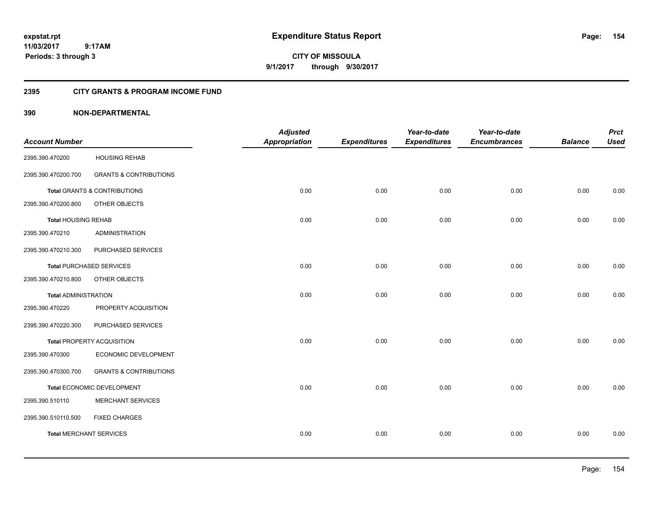**CITY OF MISSOULA 9/1/2017 through 9/30/2017**

## **2395 CITY GRANTS & PROGRAM INCOME FUND**

|                                |                                         | <b>Adjusted</b>      |                     | Year-to-date        | Year-to-date        |                | <b>Prct</b> |
|--------------------------------|-----------------------------------------|----------------------|---------------------|---------------------|---------------------|----------------|-------------|
| <b>Account Number</b>          |                                         | <b>Appropriation</b> | <b>Expenditures</b> | <b>Expenditures</b> | <b>Encumbrances</b> | <b>Balance</b> | <b>Used</b> |
| 2395.390.470200                | <b>HOUSING REHAB</b>                    |                      |                     |                     |                     |                |             |
| 2395.390.470200.700            | <b>GRANTS &amp; CONTRIBUTIONS</b>       |                      |                     |                     |                     |                |             |
|                                | <b>Total GRANTS &amp; CONTRIBUTIONS</b> | 0.00                 | 0.00                | 0.00                | 0.00                | 0.00           | 0.00        |
| 2395.390.470200.800            | OTHER OBJECTS                           |                      |                     |                     |                     |                |             |
| <b>Total HOUSING REHAB</b>     |                                         | 0.00                 | 0.00                | 0.00                | 0.00                | 0.00           | 0.00        |
| 2395.390.470210                | <b>ADMINISTRATION</b>                   |                      |                     |                     |                     |                |             |
| 2395.390.470210.300            | PURCHASED SERVICES                      |                      |                     |                     |                     |                |             |
|                                | <b>Total PURCHASED SERVICES</b>         | 0.00                 | 0.00                | 0.00                | 0.00                | 0.00           | 0.00        |
| 2395.390.470210.800            | OTHER OBJECTS                           |                      |                     |                     |                     |                |             |
| <b>Total ADMINISTRATION</b>    |                                         | 0.00                 | 0.00                | 0.00                | 0.00                | 0.00           | 0.00        |
| 2395.390.470220                | PROPERTY ACQUISITION                    |                      |                     |                     |                     |                |             |
| 2395.390.470220.300            | PURCHASED SERVICES                      |                      |                     |                     |                     |                |             |
|                                | Total PROPERTY ACQUISITION              | 0.00                 | 0.00                | 0.00                | 0.00                | 0.00           | 0.00        |
| 2395.390.470300                | ECONOMIC DEVELOPMENT                    |                      |                     |                     |                     |                |             |
| 2395.390.470300.700            | <b>GRANTS &amp; CONTRIBUTIONS</b>       |                      |                     |                     |                     |                |             |
|                                | Total ECONOMIC DEVELOPMENT              | 0.00                 | 0.00                | 0.00                | 0.00                | 0.00           | 0.00        |
| 2395.390.510110                | MERCHANT SERVICES                       |                      |                     |                     |                     |                |             |
| 2395.390.510110.500            | <b>FIXED CHARGES</b>                    |                      |                     |                     |                     |                |             |
| <b>Total MERCHANT SERVICES</b> |                                         | 0.00                 | 0.00                | 0.00                | 0.00                | 0.00           | 0.00        |
|                                |                                         |                      |                     |                     |                     |                |             |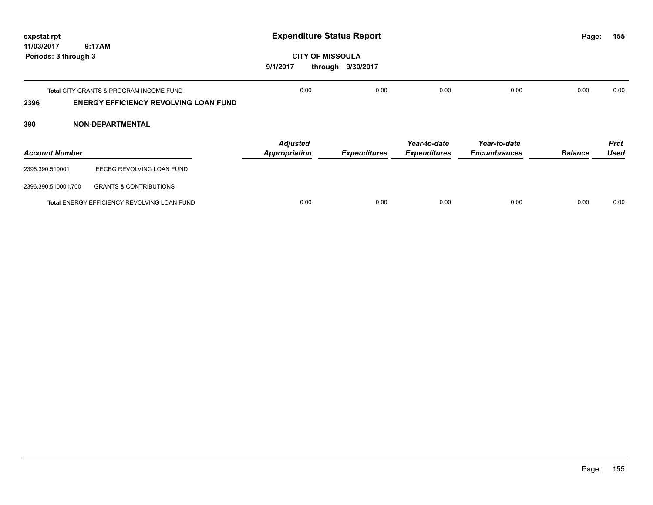| expstat.rpt                        |                                                                                         | <b>Expenditure Status Report</b>        |                     |                                     |                                     |                | 155<br>Page:               |
|------------------------------------|-----------------------------------------------------------------------------------------|-----------------------------------------|---------------------|-------------------------------------|-------------------------------------|----------------|----------------------------|
| 11/03/2017<br>Periods: 3 through 3 | 9:17AM                                                                                  | <b>CITY OF MISSOULA</b><br>9/1/2017     | through 9/30/2017   |                                     |                                     |                |                            |
| 2396                               | Total CITY GRANTS & PROGRAM INCOME FUND<br><b>ENERGY EFFICIENCY REVOLVING LOAN FUND</b> | 0.00                                    | 0.00                | 0.00                                | 0.00                                | 0.00           | 0.00                       |
| 390                                | <b>NON-DEPARTMENTAL</b>                                                                 |                                         |                     |                                     |                                     |                |                            |
| <b>Account Number</b>              |                                                                                         | <b>Adjusted</b><br><b>Appropriation</b> | <b>Expenditures</b> | Year-to-date<br><b>Expenditures</b> | Year-to-date<br><b>Encumbrances</b> | <b>Balance</b> | <b>Prct</b><br><b>Used</b> |
| 2396.390.510001                    | EECBG REVOLVING LOAN FUND                                                               |                                         |                     |                                     |                                     |                |                            |
| 2396.390.510001.700                | <b>GRANTS &amp; CONTRIBUTIONS</b>                                                       |                                         |                     |                                     |                                     |                |                            |
|                                    | Total ENERGY EFFICIENCY REVOLVING LOAN FUND                                             | 0.00                                    | 0.00                | 0.00                                | 0.00                                | 0.00           | 0.00                       |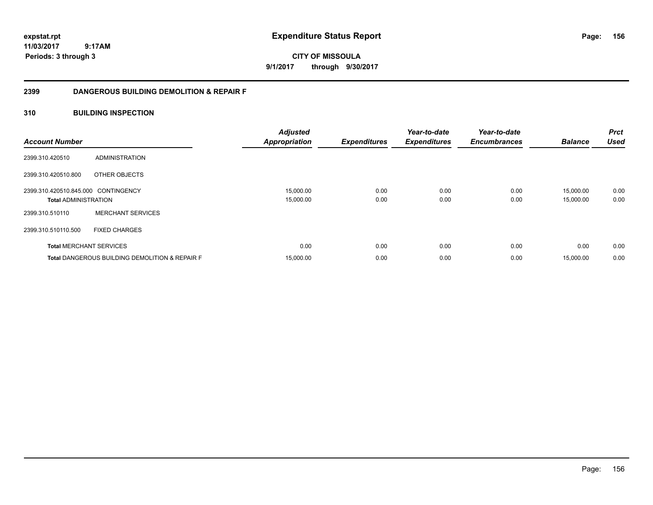**CITY OF MISSOULA 9/1/2017 through 9/30/2017**

## **2399 DANGEROUS BUILDING DEMOLITION & REPAIR F**

## **310 BUILDING INSPECTION**

| <b>Account Number</b>               |                                                           | <b>Adjusted</b><br><b>Appropriation</b> | <b>Expenditures</b> | Year-to-date<br><b>Expenditures</b> | Year-to-date<br><b>Encumbrances</b> | <b>Balance</b> | <b>Prct</b><br><b>Used</b> |
|-------------------------------------|-----------------------------------------------------------|-----------------------------------------|---------------------|-------------------------------------|-------------------------------------|----------------|----------------------------|
| 2399.310.420510                     | <b>ADMINISTRATION</b>                                     |                                         |                     |                                     |                                     |                |                            |
| 2399.310.420510.800                 | OTHER OBJECTS                                             |                                         |                     |                                     |                                     |                |                            |
| 2399.310.420510.845.000 CONTINGENCY |                                                           | 15,000.00                               | 0.00                | 0.00                                | 0.00                                | 15,000.00      | 0.00                       |
| <b>Total ADMINISTRATION</b>         |                                                           | 15,000.00                               | 0.00                | 0.00                                | 0.00                                | 15,000.00      | 0.00                       |
| 2399.310.510110                     | <b>MERCHANT SERVICES</b>                                  |                                         |                     |                                     |                                     |                |                            |
| 2399.310.510110.500                 | <b>FIXED CHARGES</b>                                      |                                         |                     |                                     |                                     |                |                            |
| <b>Total MERCHANT SERVICES</b>      |                                                           | 0.00                                    | 0.00                | 0.00                                | 0.00                                | 0.00           | 0.00                       |
|                                     | <b>Total DANGEROUS BUILDING DEMOLITION &amp; REPAIR F</b> | 15,000.00                               | 0.00                | 0.00                                | 0.00                                | 15,000.00      | 0.00                       |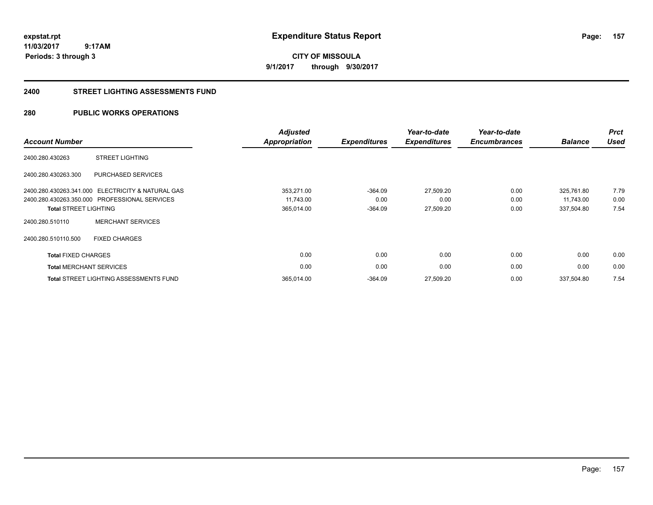**CITY OF MISSOULA 9/1/2017 through 9/30/2017**

#### **2400 STREET LIGHTING ASSESSMENTS FUND**

## **280 PUBLIC WORKS OPERATIONS**

| <b>Account Number</b>        |                                                   | <b>Adjusted</b><br><b>Appropriation</b> | <b>Expenditures</b> | Year-to-date<br><b>Expenditures</b> | Year-to-date<br><b>Encumbrances</b> | <b>Balance</b> | <b>Prct</b><br><b>Used</b> |
|------------------------------|---------------------------------------------------|-----------------------------------------|---------------------|-------------------------------------|-------------------------------------|----------------|----------------------------|
| 2400.280.430263              | <b>STREET LIGHTING</b>                            |                                         |                     |                                     |                                     |                |                            |
| 2400.280.430263.300          | PURCHASED SERVICES                                |                                         |                     |                                     |                                     |                |                            |
|                              | 2400.280.430263.341.000 ELECTRICITY & NATURAL GAS | 353,271.00                              | $-364.09$           | 27,509.20                           | 0.00                                | 325,761.80     | 7.79                       |
|                              | 2400.280.430263.350.000 PROFESSIONAL SERVICES     | 11,743.00                               | 0.00                | 0.00                                | 0.00                                | 11,743.00      | 0.00                       |
| <b>Total STREET LIGHTING</b> |                                                   | 365,014.00                              | $-364.09$           | 27,509.20                           | 0.00                                | 337,504.80     | 7.54                       |
| 2400.280.510110              | <b>MERCHANT SERVICES</b>                          |                                         |                     |                                     |                                     |                |                            |
| 2400.280.510110.500          | <b>FIXED CHARGES</b>                              |                                         |                     |                                     |                                     |                |                            |
| <b>Total FIXED CHARGES</b>   |                                                   | 0.00                                    | 0.00                | 0.00                                | 0.00                                | 0.00           | 0.00                       |
|                              | <b>Total MERCHANT SERVICES</b>                    | 0.00                                    | 0.00                | 0.00                                | 0.00                                | 0.00           | 0.00                       |
|                              | <b>Total STREET LIGHTING ASSESSMENTS FUND</b>     | 365,014.00                              | $-364.09$           | 27,509.20                           | 0.00                                | 337,504.80     | 7.54                       |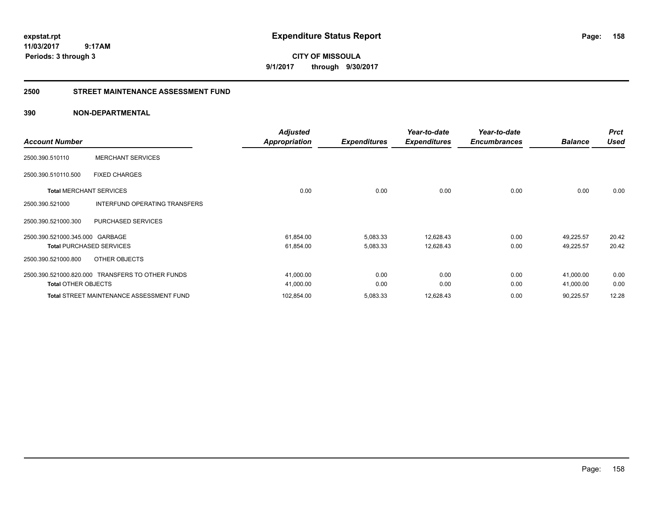**CITY OF MISSOULA 9/1/2017 through 9/30/2017**

#### **2500 STREET MAINTENANCE ASSESSMENT FUND**

|                                 |                                                  | <b>Adjusted</b>      |                     | Year-to-date        | Year-to-date        |                | <b>Prct</b> |
|---------------------------------|--------------------------------------------------|----------------------|---------------------|---------------------|---------------------|----------------|-------------|
| <b>Account Number</b>           |                                                  | <b>Appropriation</b> | <b>Expenditures</b> | <b>Expenditures</b> | <b>Encumbrances</b> | <b>Balance</b> | <b>Used</b> |
| 2500.390.510110                 | <b>MERCHANT SERVICES</b>                         |                      |                     |                     |                     |                |             |
| 2500.390.510110.500             | <b>FIXED CHARGES</b>                             |                      |                     |                     |                     |                |             |
| <b>Total MERCHANT SERVICES</b>  |                                                  | 0.00                 | 0.00                | 0.00                | 0.00                | 0.00           | 0.00        |
| 2500.390.521000                 | <b>INTERFUND OPERATING TRANSFERS</b>             |                      |                     |                     |                     |                |             |
| 2500.390.521000.300             | PURCHASED SERVICES                               |                      |                     |                     |                     |                |             |
| 2500.390.521000.345.000 GARBAGE |                                                  | 61,854.00            | 5,083.33            | 12,628.43           | 0.00                | 49,225.57      | 20.42       |
|                                 | <b>Total PURCHASED SERVICES</b>                  | 61,854.00            | 5,083.33            | 12,628.43           | 0.00                | 49,225.57      | 20.42       |
| 2500.390.521000.800             | OTHER OBJECTS                                    |                      |                     |                     |                     |                |             |
|                                 | 2500.390.521000.820.000 TRANSFERS TO OTHER FUNDS | 41,000.00            | 0.00                | 0.00                | 0.00                | 41,000.00      | 0.00        |
| <b>Total OTHER OBJECTS</b>      |                                                  | 41,000.00            | 0.00                | 0.00                | 0.00                | 41,000.00      | 0.00        |
|                                 | <b>Total STREET MAINTENANCE ASSESSMENT FUND</b>  | 102,854.00           | 5,083.33            | 12,628.43           | 0.00                | 90,225.57      | 12.28       |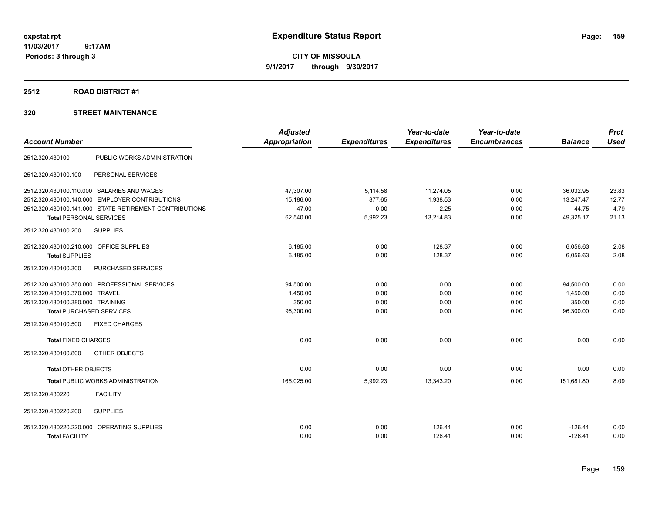**CITY OF MISSOULA 9/1/2017 through 9/30/2017**

#### **2512 ROAD DISTRICT #1**

|                                                        | <b>Adjusted</b> |                     | Year-to-date        | Year-to-date        |                | <b>Prct</b> |
|--------------------------------------------------------|-----------------|---------------------|---------------------|---------------------|----------------|-------------|
| <b>Account Number</b>                                  | Appropriation   | <b>Expenditures</b> | <b>Expenditures</b> | <b>Encumbrances</b> | <b>Balance</b> | <b>Used</b> |
| 2512.320.430100<br>PUBLIC WORKS ADMINISTRATION         |                 |                     |                     |                     |                |             |
| PERSONAL SERVICES<br>2512.320.430100.100               |                 |                     |                     |                     |                |             |
| 2512.320.430100.110.000 SALARIES AND WAGES             | 47,307.00       | 5,114.58            | 11,274.05           | 0.00                | 36,032.95      | 23.83       |
| 2512.320.430100.140.000 EMPLOYER CONTRIBUTIONS         | 15,186.00       | 877.65              | 1,938.53            | 0.00                | 13,247.47      | 12.77       |
| 2512.320.430100.141.000 STATE RETIREMENT CONTRIBUTIONS | 47.00           | 0.00                | 2.25                | 0.00                | 44.75          | 4.79        |
| <b>Total PERSONAL SERVICES</b>                         | 62,540.00       | 5,992.23            | 13,214.83           | 0.00                | 49,325.17      | 21.13       |
| <b>SUPPLIES</b><br>2512.320.430100.200                 |                 |                     |                     |                     |                |             |
| 2512.320.430100.210.000 OFFICE SUPPLIES                | 6,185.00        | 0.00                | 128.37              | 0.00                | 6,056.63       | 2.08        |
| <b>Total SUPPLIES</b>                                  | 6,185.00        | 0.00                | 128.37              | 0.00                | 6,056.63       | 2.08        |
| 2512.320.430100.300<br>PURCHASED SERVICES              |                 |                     |                     |                     |                |             |
| 2512.320.430100.350.000 PROFESSIONAL SERVICES          | 94,500.00       | 0.00                | 0.00                | 0.00                | 94,500.00      | 0.00        |
| 2512.320.430100.370.000 TRAVEL                         | 1,450.00        | 0.00                | 0.00                | 0.00                | 1,450.00       | 0.00        |
| 2512.320.430100.380.000 TRAINING                       | 350.00          | 0.00                | 0.00                | 0.00                | 350.00         | 0.00        |
| <b>Total PURCHASED SERVICES</b>                        | 96,300.00       | 0.00                | 0.00                | 0.00                | 96,300.00      | 0.00        |
| 2512.320.430100.500<br><b>FIXED CHARGES</b>            |                 |                     |                     |                     |                |             |
| <b>Total FIXED CHARGES</b>                             | 0.00            | 0.00                | 0.00                | 0.00                | 0.00           | 0.00        |
| 2512.320.430100.800<br>OTHER OBJECTS                   |                 |                     |                     |                     |                |             |
| <b>Total OTHER OBJECTS</b>                             | 0.00            | 0.00                | 0.00                | 0.00                | 0.00           | 0.00        |
| <b>Total PUBLIC WORKS ADMINISTRATION</b>               | 165,025.00      | 5,992.23            | 13,343.20           | 0.00                | 151.681.80     | 8.09        |
| 2512.320.430220<br><b>FACILITY</b>                     |                 |                     |                     |                     |                |             |
| 2512.320.430220.200<br><b>SUPPLIES</b>                 |                 |                     |                     |                     |                |             |
| 2512.320.430220.220.000 OPERATING SUPPLIES             | 0.00            | 0.00                | 126.41              | 0.00                | $-126.41$      | 0.00        |
| <b>Total FACILITY</b>                                  | 0.00            | 0.00                | 126.41              | 0.00                | $-126.41$      | 0.00        |
|                                                        |                 |                     |                     |                     |                |             |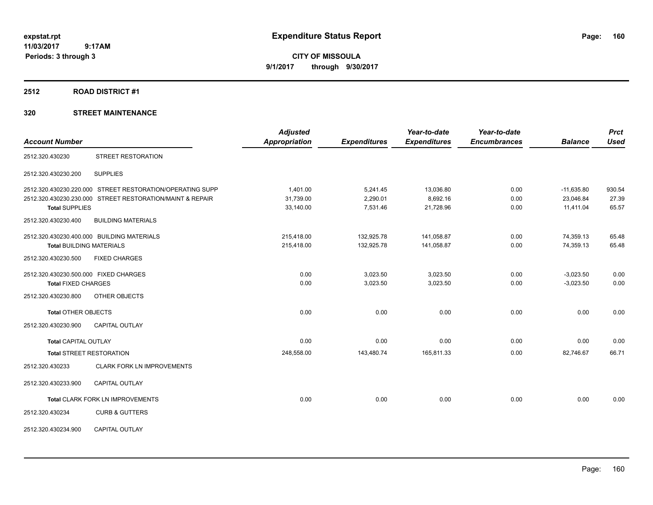**CITY OF MISSOULA 9/1/2017 through 9/30/2017**

#### **2512 ROAD DISTRICT #1**

|                                       |                                                           | <b>Adjusted</b>      |                     | Year-to-date        | Year-to-date        |                | <b>Prct</b> |
|---------------------------------------|-----------------------------------------------------------|----------------------|---------------------|---------------------|---------------------|----------------|-------------|
| <b>Account Number</b>                 |                                                           | <b>Appropriation</b> | <b>Expenditures</b> | <b>Expenditures</b> | <b>Encumbrances</b> | <b>Balance</b> | <b>Used</b> |
| 2512.320.430230                       | STREET RESTORATION                                        |                      |                     |                     |                     |                |             |
| 2512.320.430230.200                   | <b>SUPPLIES</b>                                           |                      |                     |                     |                     |                |             |
|                                       | 2512.320.430230.220.000 STREET RESTORATION/OPERATING SUPP | 1,401.00             | 5,241.45            | 13,036.80           | 0.00                | $-11,635.80$   | 930.54      |
|                                       | 2512.320.430230.230.000 STREET RESTORATION/MAINT & REPAIR | 31,739.00            | 2,290.01            | 8,692.16            | 0.00                | 23,046.84      | 27.39       |
| <b>Total SUPPLIES</b>                 |                                                           | 33,140.00            | 7,531.46            | 21,728.96           | 0.00                | 11,411.04      | 65.57       |
| 2512.320.430230.400                   | <b>BUILDING MATERIALS</b>                                 |                      |                     |                     |                     |                |             |
|                                       | 2512.320.430230.400.000 BUILDING MATERIALS                | 215.418.00           | 132,925.78          | 141,058.87          | 0.00                | 74,359.13      | 65.48       |
| <b>Total BUILDING MATERIALS</b>       |                                                           | 215,418.00           | 132,925.78          | 141,058.87          | 0.00                | 74,359.13      | 65.48       |
| 2512.320.430230.500                   | <b>FIXED CHARGES</b>                                      |                      |                     |                     |                     |                |             |
| 2512.320.430230.500.000 FIXED CHARGES |                                                           | 0.00                 | 3,023.50            | 3,023.50            | 0.00                | $-3,023.50$    | 0.00        |
| <b>Total FIXED CHARGES</b>            |                                                           | 0.00                 | 3,023.50            | 3,023.50            | 0.00                | $-3,023.50$    | 0.00        |
| 2512.320.430230.800                   | OTHER OBJECTS                                             |                      |                     |                     |                     |                |             |
| <b>Total OTHER OBJECTS</b>            |                                                           | 0.00                 | 0.00                | 0.00                | 0.00                | 0.00           | 0.00        |
| 2512.320.430230.900                   | <b>CAPITAL OUTLAY</b>                                     |                      |                     |                     |                     |                |             |
| <b>Total CAPITAL OUTLAY</b>           |                                                           | 0.00                 | 0.00                | 0.00                | 0.00                | 0.00           | 0.00        |
|                                       | <b>Total STREET RESTORATION</b>                           | 248,558.00           | 143,480.74          | 165,811.33          | 0.00                | 82,746.67      | 66.71       |
| 2512.320.430233                       | <b>CLARK FORK LN IMPROVEMENTS</b>                         |                      |                     |                     |                     |                |             |
| 2512.320.430233.900                   | <b>CAPITAL OUTLAY</b>                                     |                      |                     |                     |                     |                |             |
|                                       | Total CLARK FORK LN IMPROVEMENTS                          | 0.00                 | 0.00                | 0.00                | 0.00                | 0.00           | 0.00        |
| 2512.320.430234                       | <b>CURB &amp; GUTTERS</b>                                 |                      |                     |                     |                     |                |             |
| 2512.320.430234.900                   | <b>CAPITAL OUTLAY</b>                                     |                      |                     |                     |                     |                |             |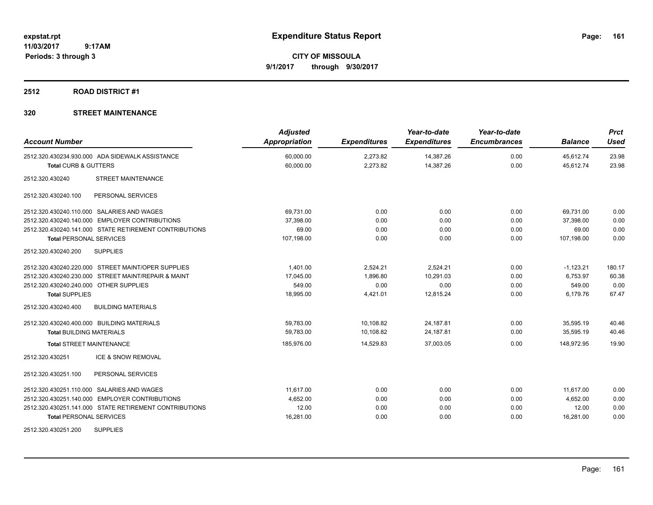**CITY OF MISSOULA 9/1/2017 through 9/30/2017**

#### **2512 ROAD DISTRICT #1**

| <b>Account Number</b>                                  | <b>Adjusted</b><br>Appropriation | <b>Expenditures</b> | Year-to-date<br><b>Expenditures</b> | Year-to-date<br><b>Encumbrances</b> | <b>Balance</b> | <b>Prct</b><br><b>Used</b> |
|--------------------------------------------------------|----------------------------------|---------------------|-------------------------------------|-------------------------------------|----------------|----------------------------|
| 2512.320.430234.930.000 ADA SIDEWALK ASSISTANCE        | 60,000.00                        | 2,273.82            | 14,387.26                           | 0.00                                | 45,612.74      | 23.98                      |
| <b>Total CURB &amp; GUTTERS</b>                        | 60,000.00                        | 2,273.82            | 14,387.26                           | 0.00                                | 45,612.74      | 23.98                      |
| <b>STREET MAINTENANCE</b><br>2512.320.430240           |                                  |                     |                                     |                                     |                |                            |
| 2512.320.430240.100<br>PERSONAL SERVICES               |                                  |                     |                                     |                                     |                |                            |
| 2512.320.430240.110.000 SALARIES AND WAGES             | 69,731.00                        | 0.00                | 0.00                                | 0.00                                | 69,731.00      | 0.00                       |
| 2512.320.430240.140.000 EMPLOYER CONTRIBUTIONS         | 37,398.00                        | 0.00                | 0.00                                | 0.00                                | 37,398.00      | 0.00                       |
| 2512.320.430240.141.000 STATE RETIREMENT CONTRIBUTIONS | 69.00                            | 0.00                | 0.00                                | 0.00                                | 69.00          | 0.00                       |
| <b>Total PERSONAL SERVICES</b>                         | 107,198.00                       | 0.00                | 0.00                                | 0.00                                | 107,198.00     | 0.00                       |
| 2512.320.430240.200<br><b>SUPPLIES</b>                 |                                  |                     |                                     |                                     |                |                            |
| 2512.320.430240.220.000 STREET MAINT/OPER SUPPLIES     | 1.401.00                         | 2,524.21            | 2,524.21                            | 0.00                                | $-1,123.21$    | 180.17                     |
| 2512.320.430240.230.000 STREET MAINT/REPAIR & MAINT    | 17,045.00                        | 1.896.80            | 10.291.03                           | 0.00                                | 6.753.97       | 60.38                      |
| 2512.320.430240.240.000 OTHER SUPPLIES                 | 549.00                           | 0.00                | 0.00                                | 0.00                                | 549.00         | 0.00                       |
| <b>Total SUPPLIES</b>                                  | 18,995.00                        | 4,421.01            | 12,815.24                           | 0.00                                | 6,179.76       | 67.47                      |
| 2512.320.430240.400<br><b>BUILDING MATERIALS</b>       |                                  |                     |                                     |                                     |                |                            |
| 2512.320.430240.400.000 BUILDING MATERIALS             | 59,783.00                        | 10,108.82           | 24,187.81                           | 0.00                                | 35,595.19      | 40.46                      |
| <b>Total BUILDING MATERIALS</b>                        | 59,783.00                        | 10,108.82           | 24,187.81                           | 0.00                                | 35,595.19      | 40.46                      |
| <b>Total STREET MAINTENANCE</b>                        | 185,976.00                       | 14,529.83           | 37,003.05                           | 0.00                                | 148,972.95     | 19.90                      |
| <b>ICE &amp; SNOW REMOVAL</b><br>2512.320.430251       |                                  |                     |                                     |                                     |                |                            |
| 2512.320.430251.100<br>PERSONAL SERVICES               |                                  |                     |                                     |                                     |                |                            |
| 2512.320.430251.110.000 SALARIES AND WAGES             | 11,617.00                        | 0.00                | 0.00                                | 0.00                                | 11,617.00      | 0.00                       |
| 2512.320.430251.140.000 EMPLOYER CONTRIBUTIONS         | 4,652.00                         | 0.00                | 0.00                                | 0.00                                | 4,652.00       | 0.00                       |
| 2512.320.430251.141.000 STATE RETIREMENT CONTRIBUTIONS | 12.00                            | 0.00                | 0.00                                | 0.00                                | 12.00          | 0.00                       |
| <b>Total PERSONAL SERVICES</b>                         | 16,281.00                        | 0.00                | 0.00                                | 0.00                                | 16,281.00      | 0.00                       |
| <b>SUPPLIES</b><br>2512.320.430251.200                 |                                  |                     |                                     |                                     |                |                            |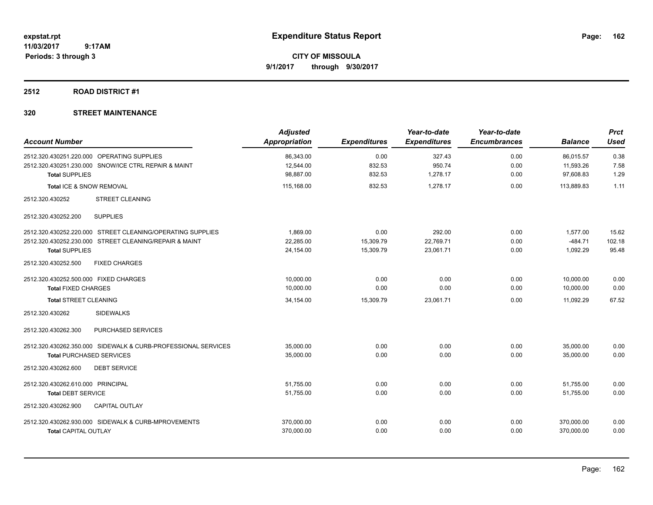**CITY OF MISSOULA 9/1/2017 through 9/30/2017**

## **2512 ROAD DISTRICT #1**

| <b>Account Number</b>                                         | <b>Adjusted</b><br><b>Appropriation</b> | <b>Expenditures</b> | Year-to-date<br><b>Expenditures</b> | Year-to-date<br><b>Encumbrances</b> | <b>Balance</b> | <b>Prct</b><br><b>Used</b> |
|---------------------------------------------------------------|-----------------------------------------|---------------------|-------------------------------------|-------------------------------------|----------------|----------------------------|
| 2512.320.430251.220.000 OPERATING SUPPLIES                    | 86,343.00                               | 0.00                | 327.43                              | 0.00                                | 86,015.57      | 0.38                       |
| 2512.320.430251.230.000 SNOW/ICE CTRL REPAIR & MAINT          | 12,544.00                               | 832.53              | 950.74                              | 0.00                                | 11,593.26      | 7.58                       |
| <b>Total SUPPLIES</b>                                         | 98,887.00                               | 832.53              | 1,278.17                            | 0.00                                | 97,608.83      | 1.29                       |
| Total ICE & SNOW REMOVAL                                      | 115,168.00                              | 832.53              | 1,278.17                            | 0.00                                | 113,889.83     | 1.11                       |
| <b>STREET CLEANING</b><br>2512.320.430252                     |                                         |                     |                                     |                                     |                |                            |
| <b>SUPPLIES</b><br>2512.320.430252.200                        |                                         |                     |                                     |                                     |                |                            |
| 2512.320.430252.220.000 STREET CLEANING/OPERATING SUPPLIES    | 1,869.00                                | 0.00                | 292.00                              | 0.00                                | 1,577.00       | 15.62                      |
| 2512.320.430252.230.000 STREET CLEANING/REPAIR & MAINT        | 22,285.00                               | 15,309.79           | 22,769.71                           | 0.00                                | $-484.71$      | 102.18                     |
| <b>Total SUPPLIES</b>                                         | 24,154.00                               | 15,309.79           | 23,061.71                           | 0.00                                | 1,092.29       | 95.48                      |
| 2512.320.430252.500<br><b>FIXED CHARGES</b>                   |                                         |                     |                                     |                                     |                |                            |
| 2512.320.430252.500.000 FIXED CHARGES                         | 10,000.00                               | 0.00                | 0.00                                | 0.00                                | 10,000.00      | 0.00                       |
| <b>Total FIXED CHARGES</b>                                    | 10,000.00                               | 0.00                | 0.00                                | 0.00                                | 10,000.00      | 0.00                       |
| <b>Total STREET CLEANING</b>                                  | 34,154.00                               | 15,309.79           | 23,061.71                           | 0.00                                | 11,092.29      | 67.52                      |
| <b>SIDEWALKS</b><br>2512.320.430262                           |                                         |                     |                                     |                                     |                |                            |
| 2512.320.430262.300<br>PURCHASED SERVICES                     |                                         |                     |                                     |                                     |                |                            |
| 2512.320.430262.350.000 SIDEWALK & CURB-PROFESSIONAL SERVICES | 35,000.00                               | 0.00                | 0.00                                | 0.00                                | 35,000.00      | 0.00                       |
| <b>Total PURCHASED SERVICES</b>                               | 35,000.00                               | 0.00                | 0.00                                | 0.00                                | 35.000.00      | 0.00                       |
| <b>DEBT SERVICE</b><br>2512.320.430262.600                    |                                         |                     |                                     |                                     |                |                            |
| 2512.320.430262.610.000 PRINCIPAL                             | 51,755.00                               | 0.00                | 0.00                                | 0.00                                | 51,755.00      | 0.00                       |
| <b>Total DEBT SERVICE</b>                                     | 51,755.00                               | 0.00                | 0.00                                | 0.00                                | 51,755.00      | 0.00                       |
| 2512.320.430262.900<br><b>CAPITAL OUTLAY</b>                  |                                         |                     |                                     |                                     |                |                            |
| 2512.320.430262.930.000 SIDEWALK & CURB-MPROVEMENTS           | 370,000.00                              | 0.00                | 0.00                                | 0.00                                | 370,000.00     | 0.00                       |
| <b>Total CAPITAL OUTLAY</b>                                   | 370,000.00                              | 0.00                | 0.00                                | 0.00                                | 370,000.00     | 0.00                       |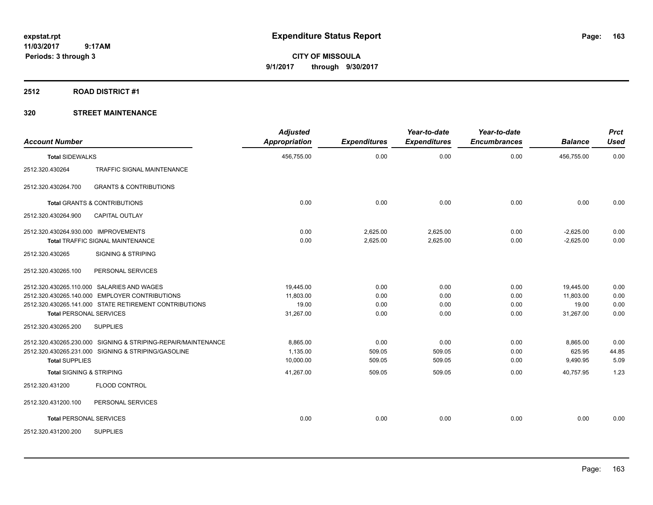**CITY OF MISSOULA 9/1/2017 through 9/30/2017**

#### **2512 ROAD DISTRICT #1**

| <b>Account Number</b>                   |                                                                                                                                                        | <b>Adjusted</b><br><b>Appropriation</b>      | <b>Expenditures</b>          | Year-to-date<br><b>Expenditures</b> | Year-to-date<br><b>Encumbrances</b> | <b>Balance</b>                               | <b>Prct</b><br><b>Used</b>   |
|-----------------------------------------|--------------------------------------------------------------------------------------------------------------------------------------------------------|----------------------------------------------|------------------------------|-------------------------------------|-------------------------------------|----------------------------------------------|------------------------------|
| <b>Total SIDEWALKS</b>                  |                                                                                                                                                        | 456,755.00                                   | 0.00                         | 0.00                                | 0.00                                | 456,755.00                                   | 0.00                         |
| 2512.320.430264                         | <b>TRAFFIC SIGNAL MAINTENANCE</b>                                                                                                                      |                                              |                              |                                     |                                     |                                              |                              |
| 2512.320.430264.700                     | <b>GRANTS &amp; CONTRIBUTIONS</b>                                                                                                                      |                                              |                              |                                     |                                     |                                              |                              |
| <b>Total GRANTS &amp; CONTRIBUTIONS</b> |                                                                                                                                                        | 0.00                                         | 0.00                         | 0.00                                | 0.00                                | 0.00                                         | 0.00                         |
| 2512.320.430264.900                     | <b>CAPITAL OUTLAY</b>                                                                                                                                  |                                              |                              |                                     |                                     |                                              |                              |
| 2512.320.430264.930.000 IMPROVEMENTS    | Total TRAFFIC SIGNAL MAINTENANCE                                                                                                                       | 0.00<br>0.00                                 | 2,625.00<br>2,625.00         | 2,625.00<br>2,625.00                | 0.00<br>0.00                        | $-2,625.00$<br>$-2,625.00$                   | 0.00<br>0.00                 |
| 2512.320.430265                         | <b>SIGNING &amp; STRIPING</b>                                                                                                                          |                                              |                              |                                     |                                     |                                              |                              |
| 2512.320.430265.100                     | PERSONAL SERVICES                                                                                                                                      |                                              |                              |                                     |                                     |                                              |                              |
| <b>Total PERSONAL SERVICES</b>          | 2512.320.430265.110.000 SALARIES AND WAGES<br>2512.320.430265.140.000 EMPLOYER CONTRIBUTIONS<br>2512.320.430265.141.000 STATE RETIREMENT CONTRIBUTIONS | 19.445.00<br>11.803.00<br>19.00<br>31,267.00 | 0.00<br>0.00<br>0.00<br>0.00 | 0.00<br>0.00<br>0.00<br>0.00        | 0.00<br>0.00<br>0.00<br>0.00        | 19,445.00<br>11,803.00<br>19.00<br>31,267.00 | 0.00<br>0.00<br>0.00<br>0.00 |
| 2512.320.430265.200                     | <b>SUPPLIES</b>                                                                                                                                        |                                              |                              |                                     |                                     |                                              |                              |
| <b>Total SUPPLIES</b>                   | 2512.320.430265.230.000 SIGNING & STRIPING-REPAIR/MAINTENANCE<br>2512.320.430265.231.000 SIGNING & STRIPING/GASOLINE                                   | 8,865.00<br>1,135.00<br>10,000.00            | 0.00<br>509.05<br>509.05     | 0.00<br>509.05<br>509.05            | 0.00<br>0.00<br>0.00                | 8,865.00<br>625.95<br>9,490.95               | 0.00<br>44.85<br>5.09        |
| <b>Total SIGNING &amp; STRIPING</b>     |                                                                                                                                                        | 41,267.00                                    | 509.05                       | 509.05                              | 0.00                                | 40,757.95                                    | 1.23                         |
| 2512.320.431200                         | <b>FLOOD CONTROL</b>                                                                                                                                   |                                              |                              |                                     |                                     |                                              |                              |
| 2512.320.431200.100                     | PERSONAL SERVICES                                                                                                                                      |                                              |                              |                                     |                                     |                                              |                              |
| <b>Total PERSONAL SERVICES</b>          |                                                                                                                                                        | 0.00                                         | 0.00                         | 0.00                                | 0.00                                | 0.00                                         | 0.00                         |
| 2512.320.431200.200                     | <b>SUPPLIES</b>                                                                                                                                        |                                              |                              |                                     |                                     |                                              |                              |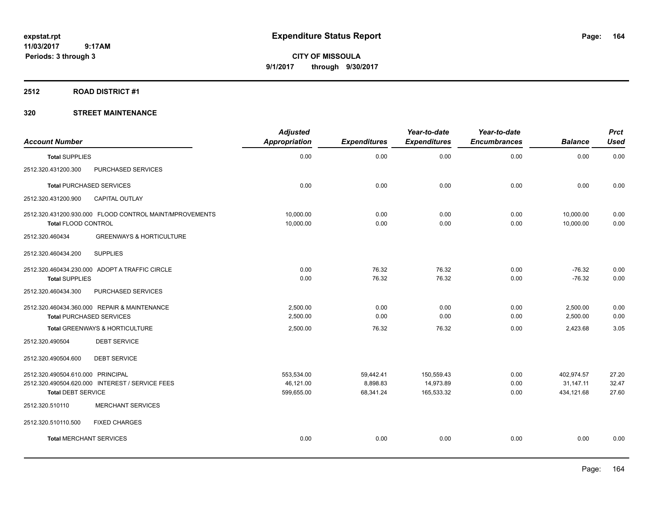**CITY OF MISSOULA 9/1/2017 through 9/30/2017**

## **2512 ROAD DISTRICT #1**

| <b>Account Number</b>                                                                 | <b>Adjusted</b><br><b>Appropriation</b> | <b>Expenditures</b> | Year-to-date<br><b>Expenditures</b> | Year-to-date<br><b>Encumbrances</b> | <b>Balance</b>         | <b>Prct</b><br><b>Used</b> |
|---------------------------------------------------------------------------------------|-----------------------------------------|---------------------|-------------------------------------|-------------------------------------|------------------------|----------------------------|
| <b>Total SUPPLIES</b>                                                                 | 0.00                                    | 0.00                | 0.00                                | 0.00                                | 0.00                   | 0.00                       |
| 2512.320.431200.300<br>PURCHASED SERVICES                                             |                                         |                     |                                     |                                     |                        |                            |
| <b>Total PURCHASED SERVICES</b>                                                       | 0.00                                    | 0.00                | 0.00                                | 0.00                                | 0.00                   | 0.00                       |
| 2512.320.431200.900<br><b>CAPITAL OUTLAY</b>                                          |                                         |                     |                                     |                                     |                        |                            |
| 2512.320.431200.930.000 FLOOD CONTROL MAINT/MPROVEMENTS<br><b>Total FLOOD CONTROL</b> | 10,000.00<br>10,000.00                  | 0.00<br>0.00        | 0.00<br>0.00                        | 0.00<br>0.00                        | 10,000.00<br>10,000.00 | 0.00<br>0.00               |
| <b>GREENWAYS &amp; HORTICULTURE</b><br>2512.320.460434                                |                                         |                     |                                     |                                     |                        |                            |
| <b>SUPPLIES</b><br>2512.320.460434.200                                                |                                         |                     |                                     |                                     |                        |                            |
| 2512.320.460434.230.000 ADOPT A TRAFFIC CIRCLE                                        | 0.00                                    | 76.32               | 76.32                               | 0.00                                | $-76.32$               | 0.00                       |
| <b>Total SUPPLIES</b>                                                                 | 0.00                                    | 76.32               | 76.32                               | 0.00                                | $-76.32$               | 0.00                       |
| PURCHASED SERVICES<br>2512.320.460434.300                                             |                                         |                     |                                     |                                     |                        |                            |
| 2512.320.460434.360.000 REPAIR & MAINTENANCE                                          | 2.500.00                                | 0.00                | 0.00                                | 0.00                                | 2,500.00               | 0.00                       |
| <b>Total PURCHASED SERVICES</b>                                                       | 2,500.00                                | 0.00                | 0.00                                | 0.00                                | 2,500.00               | 0.00                       |
| Total GREENWAYS & HORTICULTURE                                                        | 2,500.00                                | 76.32               | 76.32                               | 0.00                                | 2,423.68               | 3.05                       |
| <b>DEBT SERVICE</b><br>2512.320.490504                                                |                                         |                     |                                     |                                     |                        |                            |
| <b>DEBT SERVICE</b><br>2512.320.490504.600                                            |                                         |                     |                                     |                                     |                        |                            |
| 2512.320.490504.610.000 PRINCIPAL                                                     | 553,534.00                              | 59,442.41           | 150,559.43                          | 0.00                                | 402,974.57             | 27.20                      |
| 2512.320.490504.620.000 INTEREST / SERVICE FEES                                       | 46,121.00                               | 8,898.83            | 14,973.89                           | 0.00                                | 31,147.11              | 32.47                      |
| <b>Total DEBT SERVICE</b>                                                             | 599,655.00                              | 68,341.24           | 165,533.32                          | 0.00                                | 434,121.68             | 27.60                      |
| <b>MERCHANT SERVICES</b><br>2512.320.510110                                           |                                         |                     |                                     |                                     |                        |                            |
| 2512.320.510110.500<br><b>FIXED CHARGES</b>                                           |                                         |                     |                                     |                                     |                        |                            |
| <b>Total MERCHANT SERVICES</b>                                                        | 0.00                                    | 0.00                | 0.00                                | 0.00                                | 0.00                   | 0.00                       |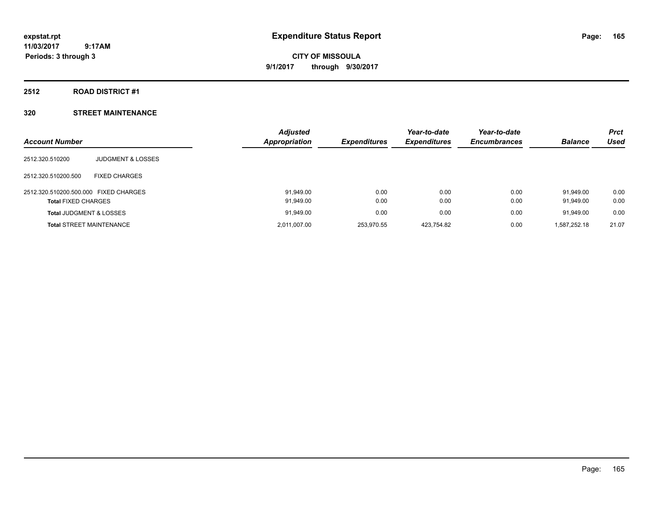**CITY OF MISSOULA 9/1/2017 through 9/30/2017**

#### **2512 ROAD DISTRICT #1**

| <b>Account Number</b>                 |                              | <b>Adjusted</b><br>Appropriation | <b>Expenditures</b> | Year-to-date<br><b>Expenditures</b> | Year-to-date<br><b>Encumbrances</b> | <b>Balance</b> | <b>Prct</b><br>Used |
|---------------------------------------|------------------------------|----------------------------------|---------------------|-------------------------------------|-------------------------------------|----------------|---------------------|
| 2512.320.510200                       | <b>JUDGMENT &amp; LOSSES</b> |                                  |                     |                                     |                                     |                |                     |
| 2512.320.510200.500                   | <b>FIXED CHARGES</b>         |                                  |                     |                                     |                                     |                |                     |
| 2512.320.510200.500.000 FIXED CHARGES |                              | 91,949.00                        | 0.00                | 0.00                                | 0.00                                | 91.949.00      | 0.00                |
| <b>Total FIXED CHARGES</b>            |                              | 91,949.00                        | 0.00                | 0.00                                | 0.00                                | 91,949.00      | 0.00                |
| <b>Total JUDGMENT &amp; LOSSES</b>    |                              | 91,949.00                        | 0.00                | 0.00                                | 0.00                                | 91.949.00      | 0.00                |
| <b>Total STREET MAINTENANCE</b>       |                              | 2,011,007.00                     | 253.970.55          | 423.754.82                          | 0.00                                | 1,587,252.18   | 21.07               |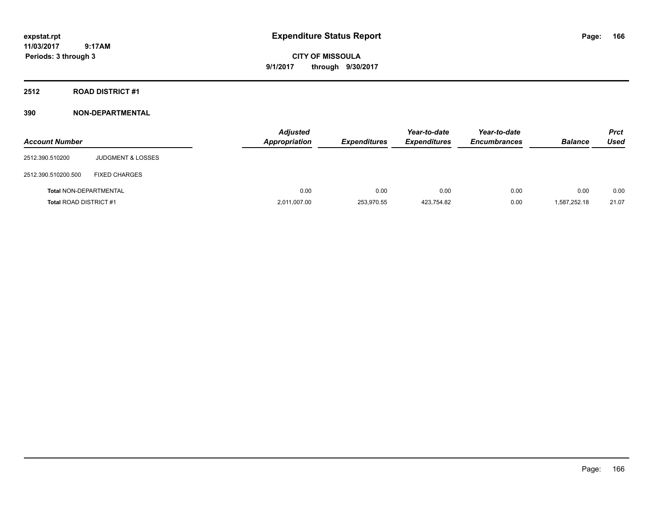**CITY OF MISSOULA 9/1/2017 through 9/30/2017**

**2512 ROAD DISTRICT #1**

| <b>Account Number</b>         |                              | <b>Adjusted</b><br>Appropriation | <b>Expenditures</b> | Year-to-date<br><b>Expenditures</b> | Year-to-date<br><b>Encumbrances</b> | <b>Balance</b> | <b>Prct</b><br>Used |
|-------------------------------|------------------------------|----------------------------------|---------------------|-------------------------------------|-------------------------------------|----------------|---------------------|
| 2512.390.510200               | <b>JUDGMENT &amp; LOSSES</b> |                                  |                     |                                     |                                     |                |                     |
| 2512.390.510200.500           | <b>FIXED CHARGES</b>         |                                  |                     |                                     |                                     |                |                     |
| <b>Total NON-DEPARTMENTAL</b> |                              | 0.00                             | 0.00                | 0.00                                | 0.00                                | 0.00           | 0.00                |
| <b>Total ROAD DISTRICT #1</b> |                              | 2,011,007.00                     | 253,970.55          | 423,754.82                          | 0.00                                | 1,587,252.18   | 21.07               |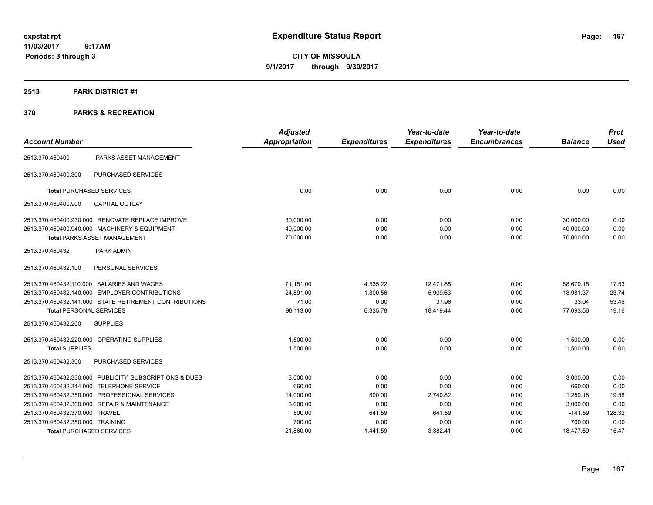**CITY OF MISSOULA 9/1/2017 through 9/30/2017**

#### **2513 PARK DISTRICT #1**

| <b>Account Number</b>            |                                                         | <b>Adjusted</b><br><b>Appropriation</b> | <b>Expenditures</b> | Year-to-date<br><b>Expenditures</b> | Year-to-date<br><b>Encumbrances</b> | <b>Balance</b> | <b>Prct</b><br><b>Used</b> |
|----------------------------------|---------------------------------------------------------|-----------------------------------------|---------------------|-------------------------------------|-------------------------------------|----------------|----------------------------|
|                                  |                                                         |                                         |                     |                                     |                                     |                |                            |
| 2513.370.460400                  | PARKS ASSET MANAGEMENT                                  |                                         |                     |                                     |                                     |                |                            |
| 2513.370.460400.300              | <b>PURCHASED SERVICES</b>                               |                                         |                     |                                     |                                     |                |                            |
| <b>Total PURCHASED SERVICES</b>  |                                                         | 0.00                                    | 0.00                | 0.00                                | 0.00                                | 0.00           | 0.00                       |
| 2513.370.460400.900              | <b>CAPITAL OUTLAY</b>                                   |                                         |                     |                                     |                                     |                |                            |
|                                  | 2513.370.460400.930.000 RENOVATE REPLACE IMPROVE        | 30,000.00                               | 0.00                | 0.00                                | 0.00                                | 30,000.00      | 0.00                       |
|                                  | 2513.370.460400.940.000 MACHINERY & EQUIPMENT           | 40.000.00                               | 0.00                | 0.00                                | 0.00                                | 40,000.00      | 0.00                       |
|                                  | <b>Total PARKS ASSET MANAGEMENT</b>                     | 70,000.00                               | 0.00                | 0.00                                | 0.00                                | 70.000.00      | 0.00                       |
| 2513.370.460432                  | PARK ADMIN                                              |                                         |                     |                                     |                                     |                |                            |
| 2513.370.460432.100              | PERSONAL SERVICES                                       |                                         |                     |                                     |                                     |                |                            |
|                                  | 2513.370.460432.110.000 SALARIES AND WAGES              | 71.151.00                               | 4,535.22            | 12,471.85                           | 0.00                                | 58,679.15      | 17.53                      |
|                                  | 2513.370.460432.140.000 EMPLOYER CONTRIBUTIONS          | 24,891.00                               | 1,800.56            | 5,909.63                            | 0.00                                | 18.981.37      | 23.74                      |
|                                  | 2513.370.460432.141.000 STATE RETIREMENT CONTRIBUTIONS  | 71.00                                   | 0.00                | 37.96                               | 0.00                                | 33.04          | 53.46                      |
| <b>Total PERSONAL SERVICES</b>   |                                                         | 96,113.00                               | 6,335.78            | 18,419.44                           | 0.00                                | 77,693.56      | 19.16                      |
| 2513.370.460432.200              | <b>SUPPLIES</b>                                         |                                         |                     |                                     |                                     |                |                            |
|                                  | 2513.370.460432.220.000 OPERATING SUPPLIES              | 1,500.00                                | 0.00                | 0.00                                | 0.00                                | 1,500.00       | 0.00                       |
| <b>Total SUPPLIES</b>            |                                                         | 1,500.00                                | 0.00                | 0.00                                | 0.00                                | 1,500.00       | 0.00                       |
| 2513.370.460432.300              | <b>PURCHASED SERVICES</b>                               |                                         |                     |                                     |                                     |                |                            |
|                                  | 2513.370.460432.330.000 PUBLICITY, SUBSCRIPTIONS & DUES | 3,000.00                                | 0.00                | 0.00                                | 0.00                                | 3,000.00       | 0.00                       |
|                                  | 2513.370.460432.344.000 TELEPHONE SERVICE               | 660.00                                  | 0.00                | 0.00                                | 0.00                                | 660.00         | 0.00                       |
|                                  | 2513.370.460432.350.000 PROFESSIONAL SERVICES           | 14,000.00                               | 800.00              | 2,740.82                            | 0.00                                | 11,259.18      | 19.58                      |
|                                  | 2513.370.460432.360.000 REPAIR & MAINTENANCE            | 3,000.00                                | 0.00                | 0.00                                | 0.00                                | 3,000.00       | 0.00                       |
| 2513.370.460432.370.000 TRAVEL   |                                                         | 500.00                                  | 641.59              | 641.59                              | 0.00                                | $-141.59$      | 128.32                     |
| 2513.370.460432.380.000 TRAINING |                                                         | 700.00                                  | 0.00                | 0.00                                | 0.00                                | 700.00         | 0.00                       |
|                                  | <b>Total PURCHASED SERVICES</b>                         | 21,860.00                               | 1,441.59            | 3,382.41                            | 0.00                                | 18,477.59      | 15.47                      |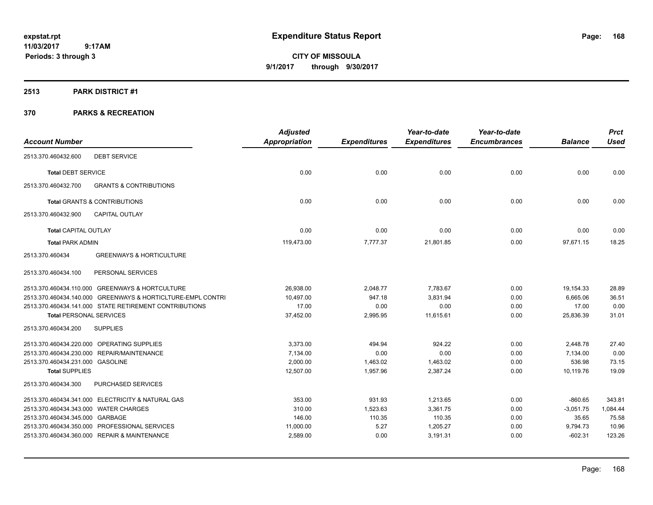**CITY OF MISSOULA 9/1/2017 through 9/30/2017**

#### **2513 PARK DISTRICT #1**

|                                       |                                                             | <b>Adjusted</b> |                     | Year-to-date        | Year-to-date        |                | <b>Prct</b> |
|---------------------------------------|-------------------------------------------------------------|-----------------|---------------------|---------------------|---------------------|----------------|-------------|
| <b>Account Number</b>                 |                                                             | Appropriation   | <b>Expenditures</b> | <b>Expenditures</b> | <b>Encumbrances</b> | <b>Balance</b> | <b>Used</b> |
| 2513.370.460432.600                   | <b>DEBT SERVICE</b>                                         |                 |                     |                     |                     |                |             |
| <b>Total DEBT SERVICE</b>             |                                                             | 0.00            | 0.00                | 0.00                | 0.00                | 0.00           | 0.00        |
| 2513.370.460432.700                   | <b>GRANTS &amp; CONTRIBUTIONS</b>                           |                 |                     |                     |                     |                |             |
|                                       | <b>Total GRANTS &amp; CONTRIBUTIONS</b>                     | 0.00            | 0.00                | 0.00                | 0.00                | 0.00           | 0.00        |
| 2513.370.460432.900                   | CAPITAL OUTLAY                                              |                 |                     |                     |                     |                |             |
| <b>Total CAPITAL OUTLAY</b>           |                                                             | 0.00            | 0.00                | 0.00                | 0.00                | 0.00           | 0.00        |
| <b>Total PARK ADMIN</b>               |                                                             | 119,473.00      | 7,777.37            | 21,801.85           | 0.00                | 97,671.15      | 18.25       |
| 2513.370.460434                       | <b>GREENWAYS &amp; HORTICULTURE</b>                         |                 |                     |                     |                     |                |             |
| 2513.370.460434.100                   | PERSONAL SERVICES                                           |                 |                     |                     |                     |                |             |
|                                       | 2513.370.460434.110.000 GREENWAYS & HORTCULTURE             | 26,938.00       | 2,048.77            | 7,783.67            | 0.00                | 19,154.33      | 28.89       |
|                                       | 2513.370.460434.140.000 GREENWAYS & HORTICLTURE-EMPL CONTRI | 10.497.00       | 947.18              | 3,831.94            | 0.00                | 6.665.06       | 36.51       |
|                                       | 2513.370.460434.141.000 STATE RETIREMENT CONTRIBUTIONS      | 17.00           | 0.00                | 0.00                | 0.00                | 17.00          | 0.00        |
| <b>Total PERSONAL SERVICES</b>        |                                                             | 37,452.00       | 2,995.95            | 11,615.61           | 0.00                | 25,836.39      | 31.01       |
| 2513.370.460434.200                   | <b>SUPPLIES</b>                                             |                 |                     |                     |                     |                |             |
|                                       | 2513.370.460434.220.000 OPERATING SUPPLIES                  | 3,373.00        | 494.94              | 924.22              | 0.00                | 2,448.78       | 27.40       |
|                                       | 2513.370.460434.230.000 REPAIR/MAINTENANCE                  | 7,134.00        | 0.00                | 0.00                | 0.00                | 7,134.00       | 0.00        |
| 2513.370.460434.231.000 GASOLINE      |                                                             | 2,000.00        | 1,463.02            | 1,463.02            | 0.00                | 536.98         | 73.15       |
| <b>Total SUPPLIES</b>                 |                                                             | 12,507.00       | 1.957.96            | 2,387.24            | 0.00                | 10.119.76      | 19.09       |
| 2513.370.460434.300                   | PURCHASED SERVICES                                          |                 |                     |                     |                     |                |             |
|                                       | 2513.370.460434.341.000 ELECTRICITY & NATURAL GAS           | 353.00          | 931.93              | 1,213.65            | 0.00                | $-860.65$      | 343.81      |
| 2513.370.460434.343.000 WATER CHARGES |                                                             | 310.00          | 1,523.63            | 3,361.75            | 0.00                | $-3,051.75$    | 1,084.44    |
| 2513.370.460434.345.000 GARBAGE       |                                                             | 146.00          | 110.35              | 110.35              | 0.00                | 35.65          | 75.58       |
|                                       | 2513.370.460434.350.000 PROFESSIONAL SERVICES               | 11,000.00       | 5.27                | 1,205.27            | 0.00                | 9,794.73       | 10.96       |
|                                       | 2513.370.460434.360.000 REPAIR & MAINTENANCE                | 2,589.00        | 0.00                | 3,191.31            | 0.00                | $-602.31$      | 123.26      |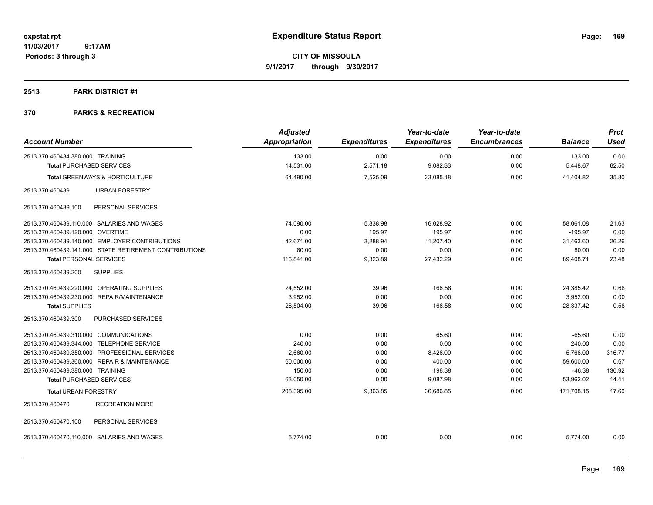**CITY OF MISSOULA 9/1/2017 through 9/30/2017**

## **2513 PARK DISTRICT #1**

| <b>Account Number</b>                                               |                                                        | <b>Adjusted</b><br><b>Appropriation</b> | <b>Expenditures</b> | Year-to-date<br><b>Expenditures</b> | Year-to-date<br><b>Encumbrances</b> | <b>Balance</b>     | <b>Prct</b><br><b>Used</b> |
|---------------------------------------------------------------------|--------------------------------------------------------|-----------------------------------------|---------------------|-------------------------------------|-------------------------------------|--------------------|----------------------------|
| 2513.370.460434.380.000 TRAINING<br><b>Total PURCHASED SERVICES</b> |                                                        | 133.00<br>14,531.00                     | 0.00<br>2,571.18    | 0.00<br>9,082.33                    | 0.00<br>0.00                        | 133.00<br>5,448.67 | 0.00<br>62.50              |
|                                                                     |                                                        |                                         |                     |                                     |                                     |                    |                            |
|                                                                     | Total GREENWAYS & HORTICULTURE                         | 64,490.00                               | 7,525.09            | 23,085.18                           | 0.00                                | 41,404.82          | 35.80                      |
| 2513.370.460439                                                     | <b>URBAN FORESTRY</b>                                  |                                         |                     |                                     |                                     |                    |                            |
| 2513.370.460439.100                                                 | PERSONAL SERVICES                                      |                                         |                     |                                     |                                     |                    |                            |
|                                                                     | 2513.370.460439.110.000 SALARIES AND WAGES             | 74,090.00                               | 5,838.98            | 16,028.92                           | 0.00                                | 58,061.08          | 21.63                      |
| 2513.370.460439.120.000 OVERTIME                                    |                                                        | 0.00                                    | 195.97              | 195.97                              | 0.00                                | $-195.97$          | 0.00                       |
|                                                                     | 2513.370.460439.140.000 EMPLOYER CONTRIBUTIONS         | 42,671.00                               | 3,288.94            | 11,207.40                           | 0.00                                | 31,463.60          | 26.26                      |
|                                                                     | 2513.370.460439.141.000 STATE RETIREMENT CONTRIBUTIONS | 80.00                                   | 0.00                | 0.00                                | 0.00                                | 80.00              | 0.00                       |
| <b>Total PERSONAL SERVICES</b>                                      |                                                        | 116,841.00                              | 9,323.89            | 27,432.29                           | 0.00                                | 89,408.71          | 23.48                      |
| 2513.370.460439.200                                                 | <b>SUPPLIES</b>                                        |                                         |                     |                                     |                                     |                    |                            |
|                                                                     | 2513.370.460439.220.000 OPERATING SUPPLIES             | 24,552.00                               | 39.96               | 166.58                              | 0.00                                | 24,385.42          | 0.68                       |
|                                                                     | 2513.370.460439.230.000 REPAIR/MAINTENANCE             | 3,952.00                                | 0.00                | 0.00                                | 0.00                                | 3,952.00           | 0.00                       |
| <b>Total SUPPLIES</b>                                               |                                                        | 28,504.00                               | 39.96               | 166.58                              | 0.00                                | 28,337.42          | 0.58                       |
| 2513.370.460439.300                                                 | PURCHASED SERVICES                                     |                                         |                     |                                     |                                     |                    |                            |
| 2513.370.460439.310.000 COMMUNICATIONS                              |                                                        | 0.00                                    | 0.00                | 65.60                               | 0.00                                | $-65.60$           | 0.00                       |
| 2513.370.460439.344.000 TELEPHONE SERVICE                           |                                                        | 240.00                                  | 0.00                | 0.00                                | 0.00                                | 240.00             | 0.00                       |
|                                                                     | 2513.370.460439.350.000 PROFESSIONAL SERVICES          | 2,660.00                                | 0.00                | 8,426.00                            | 0.00                                | $-5,766.00$        | 316.77                     |
|                                                                     | 2513.370.460439.360.000 REPAIR & MAINTENANCE           | 60,000.00                               | 0.00                | 400.00                              | 0.00                                | 59,600.00          | 0.67                       |
| 2513.370.460439.380.000 TRAINING                                    |                                                        | 150.00                                  | 0.00                | 196.38                              | 0.00                                | $-46.38$           | 130.92                     |
| <b>Total PURCHASED SERVICES</b>                                     |                                                        | 63,050.00                               | 0.00                | 9,087.98                            | 0.00                                | 53,962.02          | 14.41                      |
| <b>Total URBAN FORESTRY</b>                                         |                                                        | 208,395.00                              | 9,363.85            | 36,686.85                           | 0.00                                | 171,708.15         | 17.60                      |
| 2513.370.460470                                                     | <b>RECREATION MORE</b>                                 |                                         |                     |                                     |                                     |                    |                            |
| 2513.370.460470.100                                                 | PERSONAL SERVICES                                      |                                         |                     |                                     |                                     |                    |                            |
|                                                                     | 2513.370.460470.110.000 SALARIES AND WAGES             | 5.774.00                                | 0.00                | 0.00                                | 0.00                                | 5.774.00           | 0.00                       |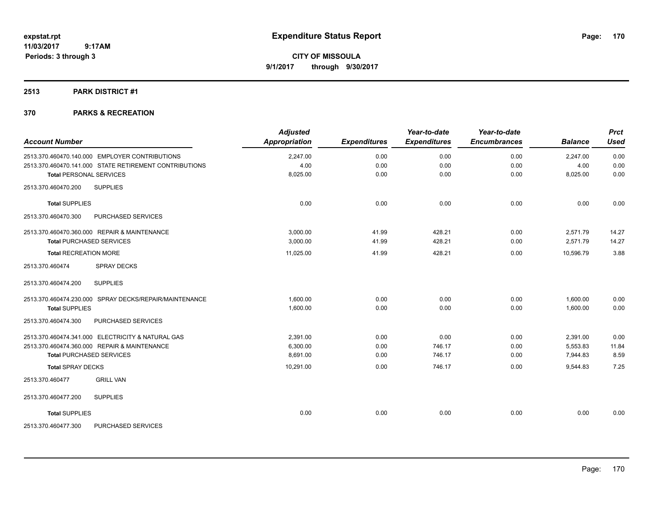**Periods: 3 through 3**

**CITY OF MISSOULA 9/1/2017 through 9/30/2017**

## **2513 PARK DISTRICT #1**

| <b>Account Number</b>          |                                                        | <b>Adjusted</b><br><b>Appropriation</b> | <b>Expenditures</b> | Year-to-date<br><b>Expenditures</b> | Year-to-date<br><b>Encumbrances</b> | <b>Balance</b> | <b>Prct</b><br><b>Used</b> |
|--------------------------------|--------------------------------------------------------|-----------------------------------------|---------------------|-------------------------------------|-------------------------------------|----------------|----------------------------|
|                                | 2513.370.460470.140.000 EMPLOYER CONTRIBUTIONS         | 2,247.00                                | 0.00                | 0.00                                | 0.00                                | 2,247.00       | 0.00                       |
|                                | 2513.370.460470.141.000 STATE RETIREMENT CONTRIBUTIONS | 4.00                                    | 0.00                | 0.00                                | 0.00                                | 4.00           | 0.00                       |
| <b>Total PERSONAL SERVICES</b> |                                                        | 8,025.00                                | 0.00                | 0.00                                | 0.00                                | 8,025.00       | 0.00                       |
| 2513.370.460470.200            | <b>SUPPLIES</b>                                        |                                         |                     |                                     |                                     |                |                            |
| <b>Total SUPPLIES</b>          |                                                        | 0.00                                    | 0.00                | 0.00                                | 0.00                                | 0.00           | 0.00                       |
| 2513.370.460470.300            | PURCHASED SERVICES                                     |                                         |                     |                                     |                                     |                |                            |
|                                | 2513.370.460470.360.000 REPAIR & MAINTENANCE           | 3,000.00                                | 41.99               | 428.21                              | 0.00                                | 2,571.79       | 14.27                      |
|                                | <b>Total PURCHASED SERVICES</b>                        | 3,000.00                                | 41.99               | 428.21                              | 0.00                                | 2,571.79       | 14.27                      |
| <b>Total RECREATION MORE</b>   |                                                        | 11,025.00                               | 41.99               | 428.21                              | 0.00                                | 10,596.79      | 3.88                       |
| 2513.370.460474                | <b>SPRAY DECKS</b>                                     |                                         |                     |                                     |                                     |                |                            |
| 2513.370.460474.200            | <b>SUPPLIES</b>                                        |                                         |                     |                                     |                                     |                |                            |
|                                | 2513.370.460474.230.000 SPRAY DECKS/REPAIR/MAINTENANCE | 1,600.00                                | 0.00                | 0.00                                | 0.00                                | 1,600.00       | 0.00                       |
| <b>Total SUPPLIES</b>          |                                                        | 1,600.00                                | 0.00                | 0.00                                | 0.00                                | 1,600.00       | 0.00                       |
| 2513.370.460474.300            | PURCHASED SERVICES                                     |                                         |                     |                                     |                                     |                |                            |
|                                | 2513.370.460474.341.000 ELECTRICITY & NATURAL GAS      | 2,391.00                                | 0.00                | 0.00                                | 0.00                                | 2,391.00       | 0.00                       |
|                                | 2513.370.460474.360.000 REPAIR & MAINTENANCE           | 6,300.00                                | 0.00                | 746.17                              | 0.00                                | 5,553.83       | 11.84                      |
|                                | <b>Total PURCHASED SERVICES</b>                        | 8.691.00                                | 0.00                | 746.17                              | 0.00                                | 7,944.83       | 8.59                       |
| <b>Total SPRAY DECKS</b>       |                                                        | 10,291.00                               | 0.00                | 746.17                              | 0.00                                | 9,544.83       | 7.25                       |
| 2513.370.460477                | <b>GRILL VAN</b>                                       |                                         |                     |                                     |                                     |                |                            |
| 2513.370.460477.200            | <b>SUPPLIES</b>                                        |                                         |                     |                                     |                                     |                |                            |
| <b>Total SUPPLIES</b>          |                                                        | 0.00                                    | 0.00                | 0.00                                | 0.00                                | 0.00           | 0.00                       |
| 2513.370.460477.300            | PURCHASED SERVICES                                     |                                         |                     |                                     |                                     |                |                            |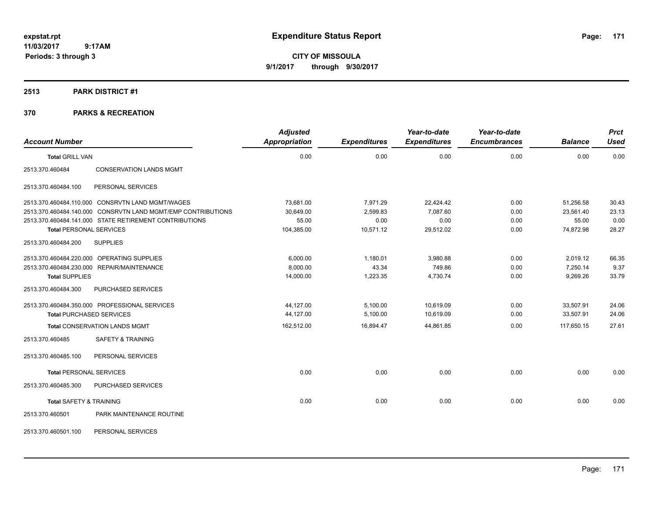**CITY OF MISSOULA 9/1/2017 through 9/30/2017**

## **2513 PARK DISTRICT #1**

| <b>Account Number</b>              |                                                              | <b>Adjusted</b><br><b>Appropriation</b> | <b>Expenditures</b> | Year-to-date<br><b>Expenditures</b> | Year-to-date<br><b>Encumbrances</b> | <b>Balance</b> | <b>Prct</b><br><b>Used</b> |
|------------------------------------|--------------------------------------------------------------|-----------------------------------------|---------------------|-------------------------------------|-------------------------------------|----------------|----------------------------|
| <b>Total GRILL VAN</b>             |                                                              | 0.00                                    | 0.00                | 0.00                                | 0.00                                | 0.00           | 0.00                       |
| 2513.370.460484                    | <b>CONSERVATION LANDS MGMT</b>                               |                                         |                     |                                     |                                     |                |                            |
| 2513.370.460484.100                | PERSONAL SERVICES                                            |                                         |                     |                                     |                                     |                |                            |
|                                    | 2513.370.460484.110.000 CONSRVTN LAND MGMT/WAGES             | 73,681.00                               | 7,971.29            | 22,424.42                           | 0.00                                | 51,256.58      | 30.43                      |
|                                    | 2513.370.460484.140.000 CONSRVTN LAND MGMT/EMP CONTRIBUTIONS | 30,649.00                               | 2,599.83            | 7.087.60                            | 0.00                                | 23,561.40      | 23.13                      |
|                                    | 2513.370.460484.141.000 STATE RETIREMENT CONTRIBUTIONS       | 55.00                                   | 0.00                | 0.00                                | 0.00                                | 55.00          | 0.00                       |
| <b>Total PERSONAL SERVICES</b>     |                                                              | 104,385.00                              | 10,571.12           | 29,512.02                           | 0.00                                | 74,872.98      | 28.27                      |
| 2513.370.460484.200                | <b>SUPPLIES</b>                                              |                                         |                     |                                     |                                     |                |                            |
|                                    | 2513.370.460484.220.000 OPERATING SUPPLIES                   | 6,000.00                                | 1,180.01            | 3,980.88                            | 0.00                                | 2,019.12       | 66.35                      |
|                                    | 2513.370.460484.230.000 REPAIR/MAINTENANCE                   | 8,000.00                                | 43.34               | 749.86                              | 0.00                                | 7,250.14       | 9.37                       |
| <b>Total SUPPLIES</b>              |                                                              | 14,000.00                               | 1,223.35            | 4,730.74                            | 0.00                                | 9,269.26       | 33.79                      |
| 2513.370.460484.300                | PURCHASED SERVICES                                           |                                         |                     |                                     |                                     |                |                            |
|                                    | 2513.370.460484.350.000 PROFESSIONAL SERVICES                | 44,127.00                               | 5,100.00            | 10,619.09                           | 0.00                                | 33,507.91      | 24.06                      |
| <b>Total PURCHASED SERVICES</b>    |                                                              | 44,127.00                               | 5,100.00            | 10,619.09                           | 0.00                                | 33,507.91      | 24.06                      |
|                                    | <b>Total CONSERVATION LANDS MGMT</b>                         | 162,512.00                              | 16,894.47           | 44,861.85                           | 0.00                                | 117,650.15     | 27.61                      |
| 2513.370.460485                    | <b>SAFETY &amp; TRAINING</b>                                 |                                         |                     |                                     |                                     |                |                            |
| 2513.370.460485.100                | PERSONAL SERVICES                                            |                                         |                     |                                     |                                     |                |                            |
| <b>Total PERSONAL SERVICES</b>     |                                                              | 0.00                                    | 0.00                | 0.00                                | 0.00                                | 0.00           | 0.00                       |
| 2513.370.460485.300                | PURCHASED SERVICES                                           |                                         |                     |                                     |                                     |                |                            |
| <b>Total SAFETY &amp; TRAINING</b> |                                                              | 0.00                                    | 0.00                | 0.00                                | 0.00                                | 0.00           | 0.00                       |
| 2513.370.460501                    | PARK MAINTENANCE ROUTINE                                     |                                         |                     |                                     |                                     |                |                            |
| 2513.370.460501.100                | PERSONAL SERVICES                                            |                                         |                     |                                     |                                     |                |                            |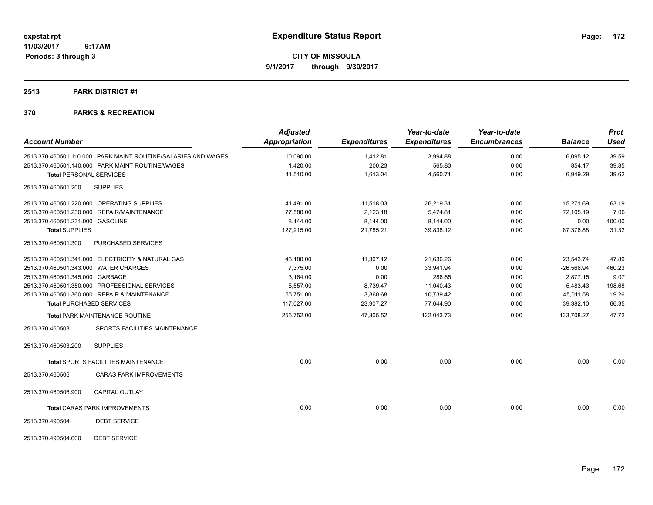**CITY OF MISSOULA 9/1/2017 through 9/30/2017**

## **2513 PARK DISTRICT #1**

|                                       |                                                               | <b>Adjusted</b>      |                     | Year-to-date        | Year-to-date        |                | <b>Prct</b> |
|---------------------------------------|---------------------------------------------------------------|----------------------|---------------------|---------------------|---------------------|----------------|-------------|
| <b>Account Number</b>                 |                                                               | <b>Appropriation</b> | <b>Expenditures</b> | <b>Expenditures</b> | <b>Encumbrances</b> | <b>Balance</b> | <b>Used</b> |
|                                       | 2513.370.460501.110.000 PARK MAINT ROUTINE/SALARIES AND WAGES | 10,090.00            | 1,412.81            | 3,994.88            | 0.00                | 6,095.12       | 39.59       |
|                                       | 2513.370.460501.140.000 PARK MAINT ROUTINE/WAGES              | 1,420.00             | 200.23              | 565.83              | 0.00                | 854.17         | 39.85       |
| <b>Total PERSONAL SERVICES</b>        |                                                               | 11,510.00            | 1,613.04            | 4,560.71            | 0.00                | 6,949.29       | 39.62       |
| 2513.370.460501.200                   | <b>SUPPLIES</b>                                               |                      |                     |                     |                     |                |             |
|                                       | 2513.370.460501.220.000 OPERATING SUPPLIES                    | 41,491.00            | 11,518.03           | 26,219.31           | 0.00                | 15,271.69      | 63.19       |
|                                       | 2513.370.460501.230.000 REPAIR/MAINTENANCE                    | 77,580.00            | 2,123.18            | 5,474.81            | 0.00                | 72,105.19      | 7.06        |
| 2513.370.460501.231.000 GASOLINE      |                                                               | 8,144.00             | 8,144.00            | 8,144.00            | 0.00                | 0.00           | 100.00      |
| <b>Total SUPPLIES</b>                 |                                                               | 127,215.00           | 21,785.21           | 39,838.12           | 0.00                | 87,376.88      | 31.32       |
| 2513.370.460501.300                   | PURCHASED SERVICES                                            |                      |                     |                     |                     |                |             |
|                                       | 2513.370.460501.341.000 ELECTRICITY & NATURAL GAS             | 45,180.00            | 11,307.12           | 21,636.26           | 0.00                | 23,543.74      | 47.89       |
| 2513.370.460501.343.000 WATER CHARGES |                                                               | 7,375.00             | 0.00                | 33,941.94           | 0.00                | $-26,566.94$   | 460.23      |
| 2513.370.460501.345.000 GARBAGE       |                                                               | 3,164.00             | 0.00                | 286.85              | 0.00                | 2,877.15       | 9.07        |
|                                       | 2513.370.460501.350.000 PROFESSIONAL SERVICES                 | 5,557.00             | 8,739.47            | 11,040.43           | 0.00                | $-5,483.43$    | 198.68      |
|                                       | 2513.370.460501.360.000 REPAIR & MAINTENANCE                  | 55,751.00            | 3,860.68            | 10,739.42           | 0.00                | 45,011.58      | 19.26       |
|                                       | <b>Total PURCHASED SERVICES</b>                               | 117,027.00           | 23,907.27           | 77,644.90           | 0.00                | 39,382.10      | 66.35       |
|                                       | <b>Total PARK MAINTENANCE ROUTINE</b>                         | 255,752.00           | 47,305.52           | 122,043.73          | 0.00                | 133,708.27     | 47.72       |
| 2513.370.460503                       | SPORTS FACILITIES MAINTENANCE                                 |                      |                     |                     |                     |                |             |
| 2513.370.460503.200                   | <b>SUPPLIES</b>                                               |                      |                     |                     |                     |                |             |
|                                       | Total SPORTS FACILITIES MAINTENANCE                           | 0.00                 | 0.00                | 0.00                | 0.00                | 0.00           | 0.00        |
| 2513.370.460506                       | <b>CARAS PARK IMPROVEMENTS</b>                                |                      |                     |                     |                     |                |             |
| 2513.370.460506.900                   | <b>CAPITAL OUTLAY</b>                                         |                      |                     |                     |                     |                |             |
|                                       | <b>Total CARAS PARK IMPROVEMENTS</b>                          | 0.00                 | 0.00                | 0.00                | 0.00                | 0.00           | 0.00        |
| 2513.370.490504                       | <b>DEBT SERVICE</b>                                           |                      |                     |                     |                     |                |             |
| 2513.370.490504.600                   | <b>DEBT SERVICE</b>                                           |                      |                     |                     |                     |                |             |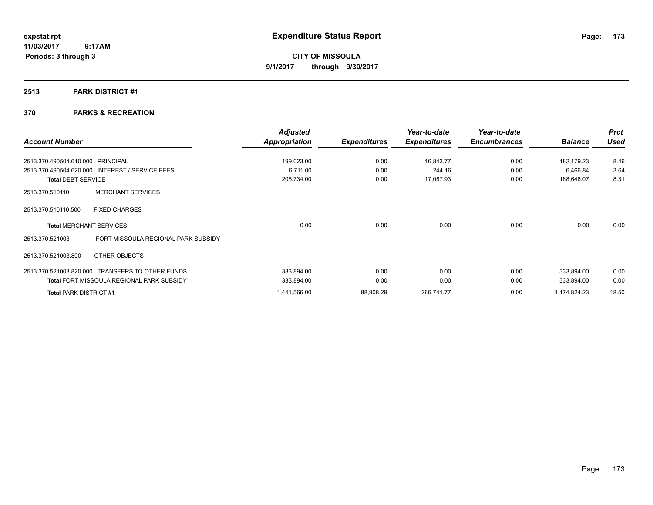**CITY OF MISSOULA 9/1/2017 through 9/30/2017**

## **2513 PARK DISTRICT #1**

|                                                        | <b>Adjusted</b>      |                     | Year-to-date        | Year-to-date        |                | <b>Prct</b> |
|--------------------------------------------------------|----------------------|---------------------|---------------------|---------------------|----------------|-------------|
| <b>Account Number</b>                                  | <b>Appropriation</b> | <b>Expenditures</b> | <b>Expenditures</b> | <b>Encumbrances</b> | <b>Balance</b> | <b>Used</b> |
| 2513.370.490504.610.000 PRINCIPAL                      | 199,023.00           | 0.00                | 16,843.77           | 0.00                | 182,179.23     | 8.46        |
| 2513.370.490504.620.000 INTEREST / SERVICE FEES        | 6.711.00             | 0.00                | 244.16              | 0.00                | 6,466.84       | 3.64        |
| <b>Total DEBT SERVICE</b>                              | 205,734.00           | 0.00                | 17,087.93           | 0.00                | 188,646.07     | 8.31        |
| <b>MERCHANT SERVICES</b><br>2513.370.510110            |                      |                     |                     |                     |                |             |
| <b>FIXED CHARGES</b><br>2513.370.510110.500            |                      |                     |                     |                     |                |             |
| <b>Total MERCHANT SERVICES</b>                         | 0.00                 | 0.00                | 0.00                | 0.00                | 0.00           | 0.00        |
| FORT MISSOULA REGIONAL PARK SUBSIDY<br>2513.370.521003 |                      |                     |                     |                     |                |             |
| 2513.370.521003.800<br>OTHER OBJECTS                   |                      |                     |                     |                     |                |             |
| 2513.370.521003.820.000 TRANSFERS TO OTHER FUNDS       | 333,894.00           | 0.00                | 0.00                | 0.00                | 333,894.00     | 0.00        |
| <b>Total FORT MISSOULA REGIONAL PARK SUBSIDY</b>       | 333,894.00           | 0.00                | 0.00                | 0.00                | 333,894.00     | 0.00        |
| <b>Total PARK DISTRICT #1</b>                          | 1,441,566.00         | 88,908.29           | 266,741.77          | 0.00                | 1,174,824.23   | 18.50       |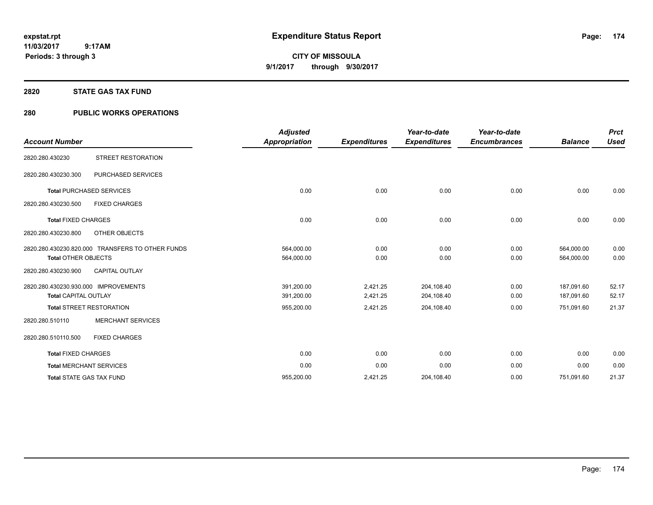**174**

**11/03/2017 9:17AM Periods: 3 through 3**

**CITY OF MISSOULA 9/1/2017 through 9/30/2017**

#### **2820 STATE GAS TAX FUND**

## **280 PUBLIC WORKS OPERATIONS**

| <b>Account Number</b>                                               |                                                  | <b>Adjusted</b><br><b>Appropriation</b> | <b>Expenditures</b>  | Year-to-date<br><b>Expenditures</b> | Year-to-date<br><b>Encumbrances</b> | <b>Balance</b>           | <b>Prct</b><br><b>Used</b> |
|---------------------------------------------------------------------|--------------------------------------------------|-----------------------------------------|----------------------|-------------------------------------|-------------------------------------|--------------------------|----------------------------|
| 2820.280.430230                                                     | STREET RESTORATION                               |                                         |                      |                                     |                                     |                          |                            |
| 2820.280.430230.300                                                 | PURCHASED SERVICES                               |                                         |                      |                                     |                                     |                          |                            |
|                                                                     | <b>Total PURCHASED SERVICES</b>                  | 0.00                                    | 0.00                 | 0.00                                | 0.00                                | 0.00                     | 0.00                       |
| 2820.280.430230.500                                                 | <b>FIXED CHARGES</b>                             |                                         |                      |                                     |                                     |                          |                            |
| <b>Total FIXED CHARGES</b>                                          |                                                  | 0.00                                    | 0.00                 | 0.00                                | 0.00                                | 0.00                     | 0.00                       |
| 2820.280.430230.800                                                 | OTHER OBJECTS                                    |                                         |                      |                                     |                                     |                          |                            |
| <b>Total OTHER OBJECTS</b>                                          | 2820.280.430230.820.000 TRANSFERS TO OTHER FUNDS | 564,000.00<br>564,000.00                | 0.00<br>0.00         | 0.00<br>0.00                        | 0.00<br>0.00                        | 564,000.00<br>564,000.00 | 0.00<br>0.00               |
| 2820.280.430230.900                                                 | CAPITAL OUTLAY                                   |                                         |                      |                                     |                                     |                          |                            |
| 2820.280.430230.930.000 IMPROVEMENTS<br><b>Total CAPITAL OUTLAY</b> |                                                  | 391,200.00<br>391,200.00                | 2,421.25<br>2,421.25 | 204,108.40<br>204,108.40            | 0.00<br>0.00                        | 187.091.60<br>187,091.60 | 52.17<br>52.17             |
|                                                                     | <b>Total STREET RESTORATION</b>                  | 955,200.00                              | 2,421.25             | 204,108.40                          | 0.00                                | 751,091.60               | 21.37                      |
| 2820.280.510110                                                     | <b>MERCHANT SERVICES</b>                         |                                         |                      |                                     |                                     |                          |                            |
| 2820.280.510110.500                                                 | <b>FIXED CHARGES</b>                             |                                         |                      |                                     |                                     |                          |                            |
| <b>Total FIXED CHARGES</b>                                          |                                                  | 0.00                                    | 0.00                 | 0.00                                | 0.00                                | 0.00                     | 0.00                       |
|                                                                     | <b>Total MERCHANT SERVICES</b>                   | 0.00                                    | 0.00                 | 0.00                                | 0.00                                | 0.00                     | 0.00                       |
|                                                                     | <b>Total STATE GAS TAX FUND</b>                  | 955,200.00                              | 2,421.25             | 204,108.40                          | 0.00                                | 751.091.60               | 21.37                      |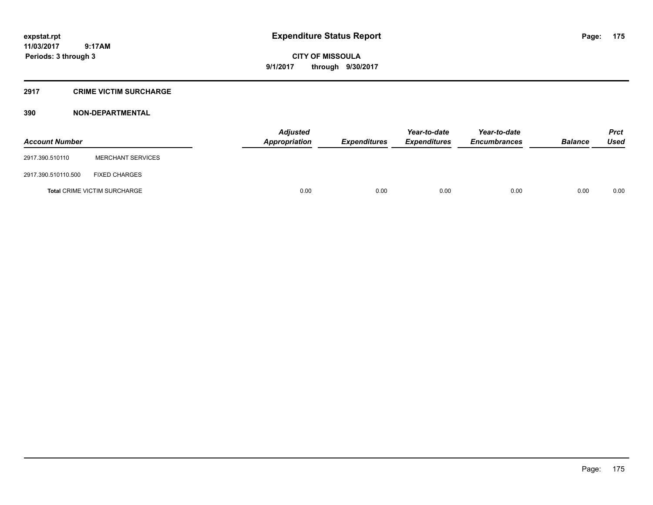**CITY OF MISSOULA 9/1/2017 through 9/30/2017**

#### **2917 CRIME VICTIM SURCHARGE**

| <b>Account Number</b> |                                     | <b>Adjusted</b><br><b>Appropriation</b> | <b>Expenditures</b> | Year-to-date<br><b>Expenditures</b> | Year-to-date<br><b>Encumbrances</b> | <b>Balance</b> | Prct<br><b>Used</b> |
|-----------------------|-------------------------------------|-----------------------------------------|---------------------|-------------------------------------|-------------------------------------|----------------|---------------------|
| 2917.390.510110       | <b>MERCHANT SERVICES</b>            |                                         |                     |                                     |                                     |                |                     |
| 2917.390.510110.500   | <b>FIXED CHARGES</b>                |                                         |                     |                                     |                                     |                |                     |
|                       | <b>Total CRIME VICTIM SURCHARGE</b> | 0.00                                    | 0.00                | 0.00                                | 0.00                                | 0.00           | 0.00                |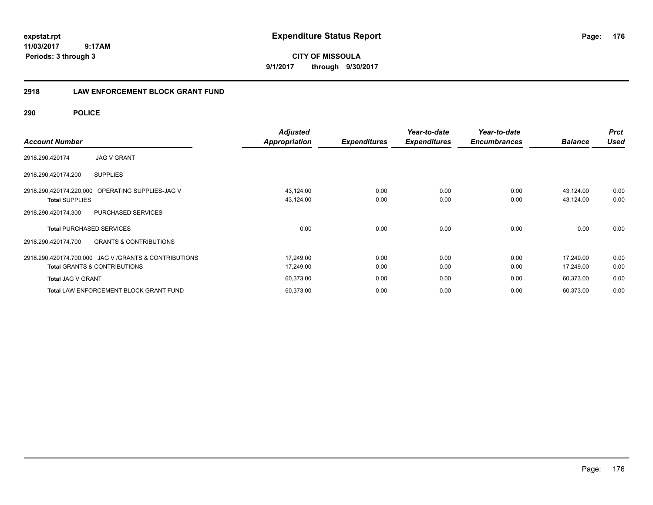**CITY OF MISSOULA 9/1/2017 through 9/30/2017**

## **2918 LAW ENFORCEMENT BLOCK GRANT FUND**

**290 POLICE**

| <b>Account Number</b>                                                                             | <b>Adjusted</b><br><b>Appropriation</b> | <b>Expenditures</b> | Year-to-date<br><b>Expenditures</b> | Year-to-date<br><b>Encumbrances</b> | <b>Balance</b>         | <b>Prct</b><br><b>Used</b> |
|---------------------------------------------------------------------------------------------------|-----------------------------------------|---------------------|-------------------------------------|-------------------------------------|------------------------|----------------------------|
| <b>JAG V GRANT</b><br>2918.290.420174                                                             |                                         |                     |                                     |                                     |                        |                            |
| <b>SUPPLIES</b><br>2918.290.420174.200                                                            |                                         |                     |                                     |                                     |                        |                            |
| 2918.290.420174.220.000<br>OPERATING SUPPLIES-JAG V<br><b>Total SUPPLIES</b>                      | 43,124.00<br>43,124.00                  | 0.00<br>0.00        | 0.00<br>0.00                        | 0.00<br>0.00                        | 43,124.00<br>43,124.00 | 0.00<br>0.00               |
| PURCHASED SERVICES<br>2918.290.420174.300                                                         |                                         |                     |                                     |                                     |                        |                            |
| <b>Total PURCHASED SERVICES</b>                                                                   | 0.00                                    | 0.00                | 0.00                                | 0.00                                | 0.00                   | 0.00                       |
| <b>GRANTS &amp; CONTRIBUTIONS</b><br>2918.290.420174.700                                          |                                         |                     |                                     |                                     |                        |                            |
| 2918.290.420174.700.000 JAG V / GRANTS & CONTRIBUTIONS<br><b>Total GRANTS &amp; CONTRIBUTIONS</b> | 17,249.00<br>17,249.00                  | 0.00<br>0.00        | 0.00<br>0.00                        | 0.00<br>0.00                        | 17,249.00<br>17,249.00 | 0.00<br>0.00               |
| <b>Total JAG V GRANT</b>                                                                          | 60,373.00                               | 0.00                | 0.00                                | 0.00                                | 60,373.00              | 0.00                       |
| <b>Total LAW ENFORCEMENT BLOCK GRANT FUND</b>                                                     | 60,373.00                               | 0.00                | 0.00                                | 0.00                                | 60,373.00              | 0.00                       |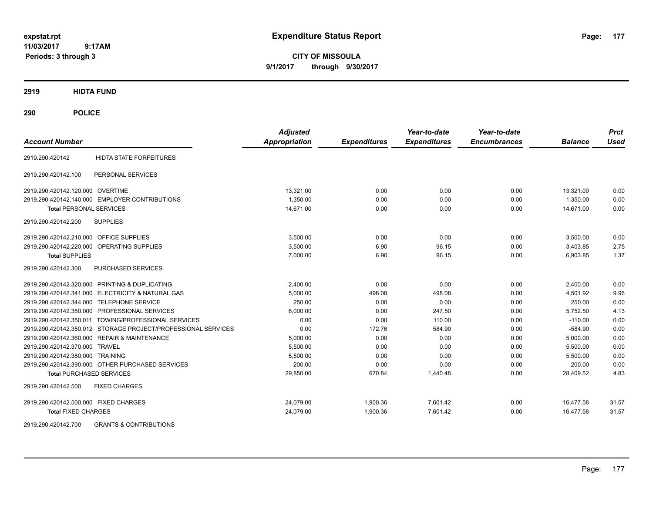**CITY OF MISSOULA 9/1/2017 through 9/30/2017**

**2919 HIDTA FUND**

**290 POLICE**

| <b>Account Number</b>                     |                                                               | <b>Adjusted</b><br>Appropriation | <b>Expenditures</b> | Year-to-date<br><b>Expenditures</b> | Year-to-date<br><b>Encumbrances</b> | <b>Balance</b> | <b>Prct</b><br><b>Used</b> |
|-------------------------------------------|---------------------------------------------------------------|----------------------------------|---------------------|-------------------------------------|-------------------------------------|----------------|----------------------------|
| 2919.290.420142                           | <b>HIDTA STATE FORFEITURES</b>                                |                                  |                     |                                     |                                     |                |                            |
| 2919.290.420142.100                       | PERSONAL SERVICES                                             |                                  |                     |                                     |                                     |                |                            |
| 2919.290.420142.120.000 OVERTIME          |                                                               | 13,321.00                        | 0.00                | 0.00                                | 0.00                                | 13,321.00      | 0.00                       |
|                                           | 2919.290.420142.140.000 EMPLOYER CONTRIBUTIONS                | 1,350.00                         | 0.00                | 0.00                                | 0.00                                | 1.350.00       | 0.00                       |
| <b>Total PERSONAL SERVICES</b>            |                                                               | 14,671.00                        | 0.00                | 0.00                                | 0.00                                | 14.671.00      | 0.00                       |
| 2919.290.420142.200                       | <b>SUPPLIES</b>                                               |                                  |                     |                                     |                                     |                |                            |
| 2919.290.420142.210.000 OFFICE SUPPLIES   |                                                               | 3.500.00                         | 0.00                | 0.00                                | 0.00                                | 3,500.00       | 0.00                       |
|                                           | 2919.290.420142.220.000 OPERATING SUPPLIES                    | 3.500.00                         | 6.90                | 96.15                               | 0.00                                | 3,403.85       | 2.75                       |
| <b>Total SUPPLIES</b>                     |                                                               | 7,000.00                         | 6.90                | 96.15                               | 0.00                                | 6,903.85       | 1.37                       |
| 2919.290.420142.300                       | PURCHASED SERVICES                                            |                                  |                     |                                     |                                     |                |                            |
|                                           | 2919.290.420142.320.000 PRINTING & DUPLICATING                | 2,400.00                         | 0.00                | 0.00                                | 0.00                                | 2,400.00       | 0.00                       |
|                                           | 2919.290.420142.341.000 ELECTRICITY & NATURAL GAS             | 5.000.00                         | 498.08              | 498.08                              | 0.00                                | 4.501.92       | 9.96                       |
| 2919.290.420142.344.000 TELEPHONE SERVICE |                                                               | 250.00                           | 0.00                | 0.00                                | 0.00                                | 250.00         | 0.00                       |
|                                           | 2919.290.420142.350.000 PROFESSIONAL SERVICES                 | 6,000.00                         | 0.00                | 247.50                              | 0.00                                | 5,752.50       | 4.13                       |
|                                           | 2919.290.420142.350.011 TOWING/PROFESSIONAL SERVICES          | 0.00                             | 0.00                | 110.00                              | 0.00                                | $-110.00$      | 0.00                       |
|                                           | 2919.290.420142.350.012 STORAGE PROJECT/PROFESSIONAL SERVICES | 0.00                             | 172.76              | 584.90                              | 0.00                                | $-584.90$      | 0.00                       |
|                                           | 2919.290.420142.360.000 REPAIR & MAINTENANCE                  | 5,000.00                         | 0.00                | 0.00                                | 0.00                                | 5,000.00       | 0.00                       |
| 2919.290.420142.370.000 TRAVEL            |                                                               | 5,500.00                         | 0.00                | 0.00                                | 0.00                                | 5,500.00       | 0.00                       |
| 2919.290.420142.380.000 TRAINING          |                                                               | 5,500.00                         | 0.00                | 0.00                                | 0.00                                | 5,500.00       | 0.00                       |
|                                           | 2919.290.420142.390.000 OTHER PURCHASED SERVICES              | 200.00                           | 0.00                | 0.00                                | 0.00                                | 200.00         | 0.00                       |
| <b>Total PURCHASED SERVICES</b>           |                                                               | 29,850.00                        | 670.84              | 1,440.48                            | 0.00                                | 28.409.52      | 4.83                       |
| 2919.290.420142.500                       | <b>FIXED CHARGES</b>                                          |                                  |                     |                                     |                                     |                |                            |
| 2919.290.420142.500.000 FIXED CHARGES     |                                                               | 24,079.00                        | 1,900.36            | 7,601.42                            | 0.00                                | 16,477.58      | 31.57                      |
| <b>Total FIXED CHARGES</b>                |                                                               | 24,079.00                        | 1,900.36            | 7,601.42                            | 0.00                                | 16,477.58      | 31.57                      |

2919.290.420142.700 GRANTS & CONTRIBUTIONS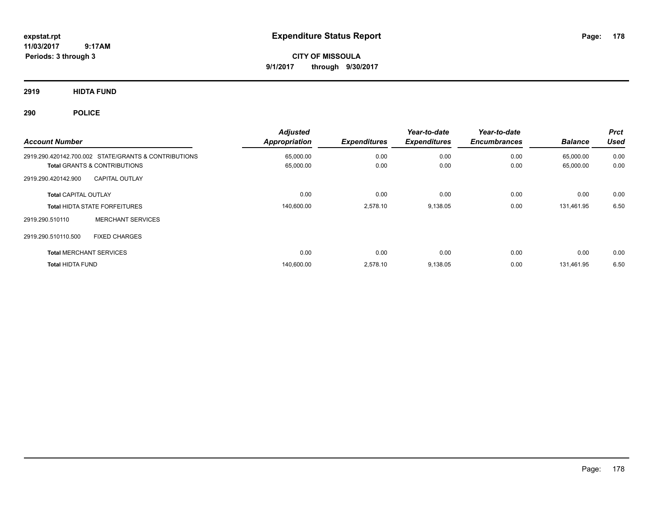**CITY OF MISSOULA 9/1/2017 through 9/30/2017**

**2919 HIDTA FUND**

**290 POLICE**

| <b>Account Number</b>          |                                                      | <b>Adjusted</b><br><b>Appropriation</b> | <b>Expenditures</b> | Year-to-date<br><b>Expenditures</b> | Year-to-date<br><b>Encumbrances</b> | <b>Balance</b> | <b>Prct</b><br><b>Used</b> |
|--------------------------------|------------------------------------------------------|-----------------------------------------|---------------------|-------------------------------------|-------------------------------------|----------------|----------------------------|
|                                | 2919.290.420142.700.002 STATE/GRANTS & CONTRIBUTIONS | 65,000.00                               | 0.00                | 0.00                                | 0.00                                | 65,000.00      | 0.00                       |
|                                | <b>Total GRANTS &amp; CONTRIBUTIONS</b>              | 65,000.00                               | 0.00                | 0.00                                | 0.00                                | 65,000.00      | 0.00                       |
| 2919.290.420142.900            | <b>CAPITAL OUTLAY</b>                                |                                         |                     |                                     |                                     |                |                            |
| <b>Total CAPITAL OUTLAY</b>    |                                                      | 0.00                                    | 0.00                | 0.00                                | 0.00                                | 0.00           | 0.00                       |
|                                | <b>Total HIDTA STATE FORFEITURES</b>                 | 140,600.00                              | 2,578.10            | 9,138.05                            | 0.00                                | 131,461.95     | 6.50                       |
| 2919.290.510110                | <b>MERCHANT SERVICES</b>                             |                                         |                     |                                     |                                     |                |                            |
| 2919.290.510110.500            | <b>FIXED CHARGES</b>                                 |                                         |                     |                                     |                                     |                |                            |
| <b>Total MERCHANT SERVICES</b> |                                                      | 0.00                                    | 0.00                | 0.00                                | 0.00                                | 0.00           | 0.00                       |
| <b>Total HIDTA FUND</b>        |                                                      | 140,600.00                              | 2.578.10            | 9,138.05                            | 0.00                                | 131.461.95     | 6.50                       |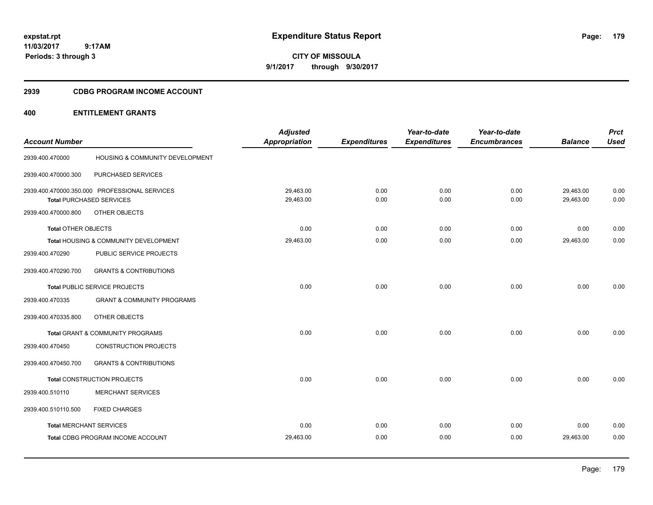**CITY OF MISSOULA 9/1/2017 through 9/30/2017**

## **2939 CDBG PROGRAM INCOME ACCOUNT**

## **400 ENTITLEMENT GRANTS**

| <b>Account Number</b>      |                                               | <b>Adjusted</b><br><b>Appropriation</b> | <b>Expenditures</b> | Year-to-date<br><b>Expenditures</b> | Year-to-date<br><b>Encumbrances</b> | <b>Balance</b> | <b>Prct</b><br><b>Used</b> |
|----------------------------|-----------------------------------------------|-----------------------------------------|---------------------|-------------------------------------|-------------------------------------|----------------|----------------------------|
|                            |                                               |                                         |                     |                                     |                                     |                |                            |
| 2939.400.470000            | HOUSING & COMMUNITY DEVELOPMENT               |                                         |                     |                                     |                                     |                |                            |
| 2939.400.470000.300        | PURCHASED SERVICES                            |                                         |                     |                                     |                                     |                |                            |
|                            | 2939.400.470000.350.000 PROFESSIONAL SERVICES | 29,463.00                               | 0.00                | 0.00                                | 0.00                                | 29,463.00      | 0.00                       |
|                            | <b>Total PURCHASED SERVICES</b>               | 29,463.00                               | 0.00                | 0.00                                | 0.00                                | 29,463.00      | 0.00                       |
| 2939.400.470000.800        | OTHER OBJECTS                                 |                                         |                     |                                     |                                     |                |                            |
| <b>Total OTHER OBJECTS</b> |                                               | 0.00                                    | 0.00                | 0.00                                | 0.00                                | 0.00           | 0.00                       |
|                            | Total HOUSING & COMMUNITY DEVELOPMENT         | 29,463.00                               | 0.00                | 0.00                                | 0.00                                | 29,463.00      | 0.00                       |
| 2939.400.470290            | PUBLIC SERVICE PROJECTS                       |                                         |                     |                                     |                                     |                |                            |
| 2939.400.470290.700        | <b>GRANTS &amp; CONTRIBUTIONS</b>             |                                         |                     |                                     |                                     |                |                            |
|                            | Total PUBLIC SERVICE PROJECTS                 | 0.00                                    | 0.00                | 0.00                                | 0.00                                | 0.00           | 0.00                       |
| 2939.400.470335            | <b>GRANT &amp; COMMUNITY PROGRAMS</b>         |                                         |                     |                                     |                                     |                |                            |
| 2939.400.470335.800        | OTHER OBJECTS                                 |                                         |                     |                                     |                                     |                |                            |
|                            | <b>Total GRANT &amp; COMMUNITY PROGRAMS</b>   | 0.00                                    | 0.00                | 0.00                                | 0.00                                | 0.00           | 0.00                       |
| 2939.400.470450            | <b>CONSTRUCTION PROJECTS</b>                  |                                         |                     |                                     |                                     |                |                            |
| 2939.400.470450.700        | <b>GRANTS &amp; CONTRIBUTIONS</b>             |                                         |                     |                                     |                                     |                |                            |
|                            | Total CONSTRUCTION PROJECTS                   | 0.00                                    | 0.00                | 0.00                                | 0.00                                | 0.00           | 0.00                       |
| 2939.400.510110            | <b>MERCHANT SERVICES</b>                      |                                         |                     |                                     |                                     |                |                            |
| 2939.400.510110.500        | <b>FIXED CHARGES</b>                          |                                         |                     |                                     |                                     |                |                            |
|                            | <b>Total MERCHANT SERVICES</b>                | 0.00                                    | 0.00                | 0.00                                | 0.00                                | 0.00           | 0.00                       |
|                            | Total CDBG PROGRAM INCOME ACCOUNT             | 29,463.00                               | 0.00                | 0.00                                | 0.00                                | 29,463.00      | 0.00                       |
|                            |                                               |                                         |                     |                                     |                                     |                |                            |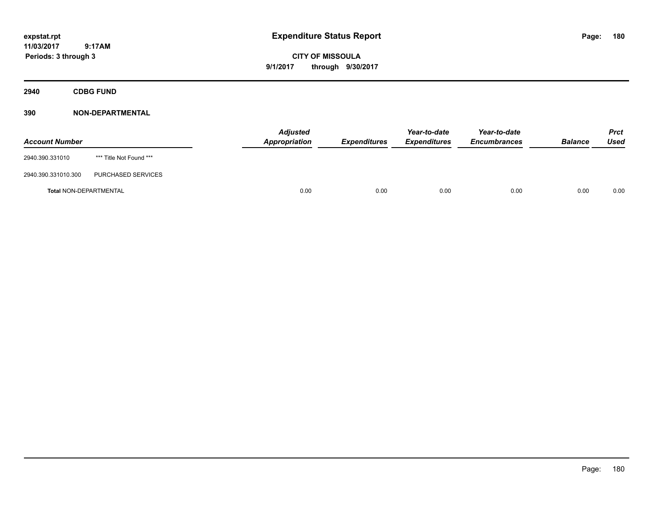**CITY OF MISSOULA 9/1/2017 through 9/30/2017**

**2940 CDBG FUND**

| <b>Account Number</b>         |                         | <b>Adjusted</b><br><b>Appropriation</b> | <b>Expenditures</b> | Year-to-date<br><b>Expenditures</b> | Year-to-date<br><b>Encumbrances</b> | <b>Balance</b> | <b>Prct</b><br>Used |
|-------------------------------|-------------------------|-----------------------------------------|---------------------|-------------------------------------|-------------------------------------|----------------|---------------------|
| 2940.390.331010               | *** Title Not Found *** |                                         |                     |                                     |                                     |                |                     |
| 2940.390.331010.300           | PURCHASED SERVICES      |                                         |                     |                                     |                                     |                |                     |
| <b>Total NON-DEPARTMENTAL</b> |                         | 0.00                                    | 0.00                | 0.00                                | 0.00                                | 0.00           | 0.00                |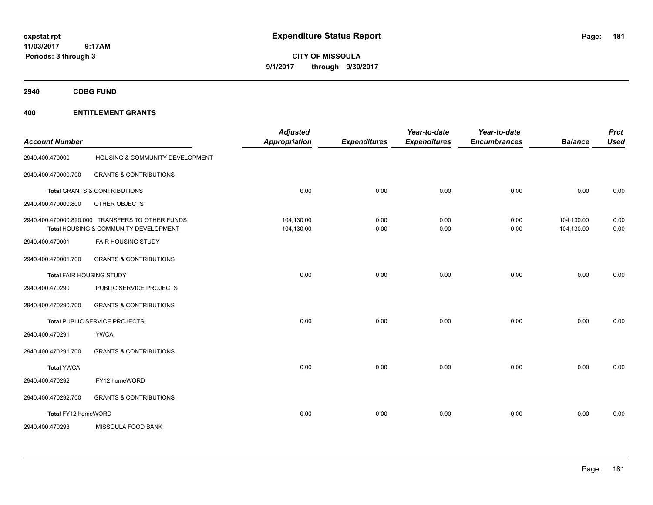**CITY OF MISSOULA 9/1/2017 through 9/30/2017**

**2940 CDBG FUND**

| <b>Account Number</b> |                                                                                           | <b>Adjusted</b><br><b>Appropriation</b> | <b>Expenditures</b> | Year-to-date<br><b>Expenditures</b> | Year-to-date<br><b>Encumbrances</b> | <b>Balance</b>           | <b>Prct</b><br><b>Used</b> |
|-----------------------|-------------------------------------------------------------------------------------------|-----------------------------------------|---------------------|-------------------------------------|-------------------------------------|--------------------------|----------------------------|
| 2940.400.470000       | HOUSING & COMMUNITY DEVELOPMENT                                                           |                                         |                     |                                     |                                     |                          |                            |
| 2940.400.470000.700   | <b>GRANTS &amp; CONTRIBUTIONS</b>                                                         |                                         |                     |                                     |                                     |                          |                            |
|                       | <b>Total GRANTS &amp; CONTRIBUTIONS</b>                                                   | 0.00                                    | 0.00                | 0.00                                | 0.00                                | 0.00                     | 0.00                       |
| 2940.400.470000.800   | OTHER OBJECTS                                                                             |                                         |                     |                                     |                                     |                          |                            |
|                       | 2940.400.470000.820.000 TRANSFERS TO OTHER FUNDS<br>Total HOUSING & COMMUNITY DEVELOPMENT | 104,130.00<br>104,130.00                | 0.00<br>0.00        | 0.00<br>0.00                        | 0.00<br>0.00                        | 104,130.00<br>104,130.00 | 0.00<br>0.00               |
| 2940.400.470001       | <b>FAIR HOUSING STUDY</b>                                                                 |                                         |                     |                                     |                                     |                          |                            |
| 2940.400.470001.700   | <b>GRANTS &amp; CONTRIBUTIONS</b>                                                         |                                         |                     |                                     |                                     |                          |                            |
|                       | <b>Total FAIR HOUSING STUDY</b>                                                           | 0.00                                    | 0.00                | 0.00                                | 0.00                                | 0.00                     | 0.00                       |
| 2940.400.470290       | PUBLIC SERVICE PROJECTS                                                                   |                                         |                     |                                     |                                     |                          |                            |
| 2940.400.470290.700   | <b>GRANTS &amp; CONTRIBUTIONS</b>                                                         |                                         |                     |                                     |                                     |                          |                            |
|                       | Total PUBLIC SERVICE PROJECTS                                                             | 0.00                                    | 0.00                | 0.00                                | 0.00                                | 0.00                     | 0.00                       |
| 2940.400.470291       | <b>YWCA</b>                                                                               |                                         |                     |                                     |                                     |                          |                            |
| 2940.400.470291.700   | <b>GRANTS &amp; CONTRIBUTIONS</b>                                                         |                                         |                     |                                     |                                     |                          |                            |
| <b>Total YWCA</b>     |                                                                                           | 0.00                                    | 0.00                | 0.00                                | 0.00                                | 0.00                     | 0.00                       |
| 2940.400.470292       | FY12 homeWORD                                                                             |                                         |                     |                                     |                                     |                          |                            |
| 2940.400.470292.700   | <b>GRANTS &amp; CONTRIBUTIONS</b>                                                         |                                         |                     |                                     |                                     |                          |                            |
| Total FY12 homeWORD   |                                                                                           | 0.00                                    | 0.00                | 0.00                                | 0.00                                | 0.00                     | 0.00                       |
| 2940.400.470293       | MISSOULA FOOD BANK                                                                        |                                         |                     |                                     |                                     |                          |                            |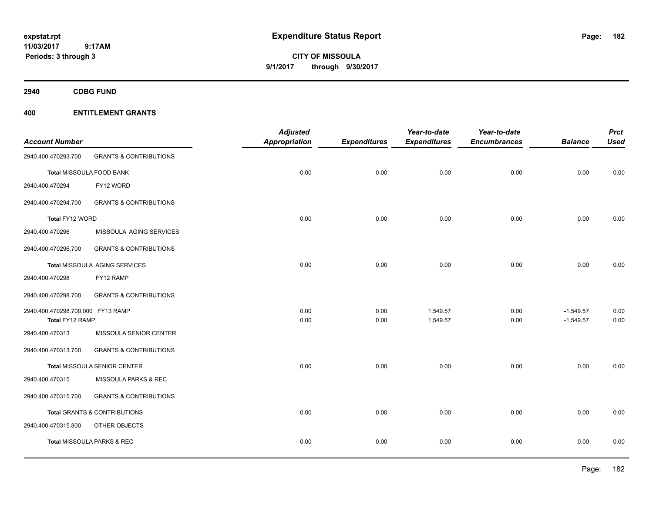**CITY OF MISSOULA 9/1/2017 through 9/30/2017**

**2940 CDBG FUND**

|                                   |                                         | <b>Adjusted</b>      |                     | Year-to-date        | Year-to-date        |                | <b>Prct</b> |
|-----------------------------------|-----------------------------------------|----------------------|---------------------|---------------------|---------------------|----------------|-------------|
| <b>Account Number</b>             |                                         | <b>Appropriation</b> | <b>Expenditures</b> | <b>Expenditures</b> | <b>Encumbrances</b> | <b>Balance</b> | <b>Used</b> |
| 2940.400.470293.700               | <b>GRANTS &amp; CONTRIBUTIONS</b>       |                      |                     |                     |                     |                |             |
|                                   | Total MISSOULA FOOD BANK                | 0.00                 | 0.00                | 0.00                | 0.00                | 0.00           | 0.00        |
| 2940.400.470294                   | FY12 WORD                               |                      |                     |                     |                     |                |             |
| 2940.400.470294.700               | <b>GRANTS &amp; CONTRIBUTIONS</b>       |                      |                     |                     |                     |                |             |
| Total FY12 WORD                   |                                         | 0.00                 | 0.00                | 0.00                | 0.00                | 0.00           | 0.00        |
| 2940.400.470296                   | MISSOULA AGING SERVICES                 |                      |                     |                     |                     |                |             |
| 2940.400.470296.700               | <b>GRANTS &amp; CONTRIBUTIONS</b>       |                      |                     |                     |                     |                |             |
|                                   | Total MISSOULA AGING SERVICES           | 0.00                 | 0.00                | 0.00                | 0.00                | 0.00           | 0.00        |
| 2940.400.470298                   | FY12 RAMP                               |                      |                     |                     |                     |                |             |
| 2940.400.470298.700               | <b>GRANTS &amp; CONTRIBUTIONS</b>       |                      |                     |                     |                     |                |             |
| 2940.400.470298.700.000 FY13 RAMP |                                         | 0.00                 | 0.00                | 1,549.57            | 0.00                | $-1,549.57$    | 0.00        |
| Total FY12 RAMP                   |                                         | 0.00                 | 0.00                | 1,549.57            | 0.00                | $-1,549.57$    | 0.00        |
| 2940.400.470313                   | MISSOULA SENIOR CENTER                  |                      |                     |                     |                     |                |             |
| 2940.400.470313.700               | <b>GRANTS &amp; CONTRIBUTIONS</b>       |                      |                     |                     |                     |                |             |
|                                   | Total MISSOULA SENIOR CENTER            | 0.00                 | 0.00                | 0.00                | 0.00                | 0.00           | 0.00        |
| 2940.400.470315                   | MISSOULA PARKS & REC                    |                      |                     |                     |                     |                |             |
| 2940.400.470315.700               | <b>GRANTS &amp; CONTRIBUTIONS</b>       |                      |                     |                     |                     |                |             |
|                                   | <b>Total GRANTS &amp; CONTRIBUTIONS</b> | 0.00                 | 0.00                | 0.00                | 0.00                | 0.00           | 0.00        |
| 2940.400.470315.800               | OTHER OBJECTS                           |                      |                     |                     |                     |                |             |
|                                   | Total MISSOULA PARKS & REC              | 0.00                 | 0.00                | 0.00                | 0.00                | 0.00           | 0.00        |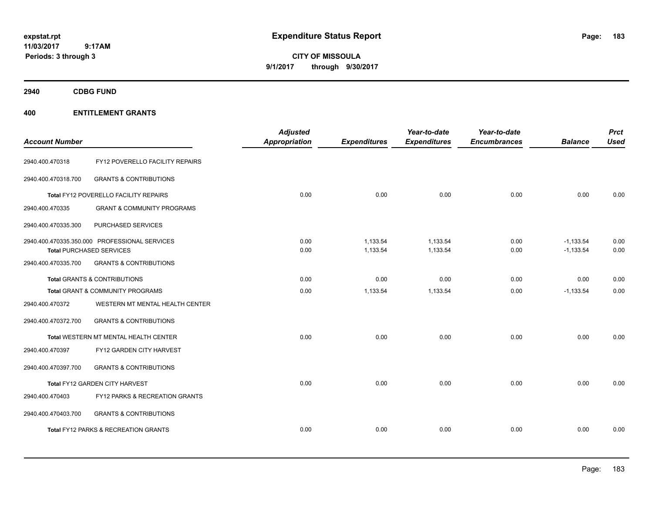**CITY OF MISSOULA 9/1/2017 through 9/30/2017**

**2940 CDBG FUND**

| <b>Account Number</b> |                                                 | <b>Adjusted</b><br>Appropriation | <b>Expenditures</b> | Year-to-date<br><b>Expenditures</b> | Year-to-date<br><b>Encumbrances</b> | <b>Balance</b> | <b>Prct</b><br><b>Used</b> |
|-----------------------|-------------------------------------------------|----------------------------------|---------------------|-------------------------------------|-------------------------------------|----------------|----------------------------|
| 2940.400.470318       | FY12 POVERELLO FACILITY REPAIRS                 |                                  |                     |                                     |                                     |                |                            |
| 2940.400.470318.700   | <b>GRANTS &amp; CONTRIBUTIONS</b>               |                                  |                     |                                     |                                     |                |                            |
|                       | Total FY12 POVERELLO FACILITY REPAIRS           | 0.00                             | 0.00                | 0.00                                | 0.00                                | 0.00           | 0.00                       |
| 2940.400.470335       | <b>GRANT &amp; COMMUNITY PROGRAMS</b>           |                                  |                     |                                     |                                     |                |                            |
| 2940.400.470335.300   | PURCHASED SERVICES                              |                                  |                     |                                     |                                     |                |                            |
|                       | 2940.400.470335.350.000 PROFESSIONAL SERVICES   | 0.00                             | 1,133.54            | 1,133.54                            | 0.00                                | $-1,133.54$    | 0.00                       |
|                       | <b>Total PURCHASED SERVICES</b>                 | 0.00                             | 1,133.54            | 1,133.54                            | 0.00                                | $-1,133.54$    | 0.00                       |
| 2940.400.470335.700   | <b>GRANTS &amp; CONTRIBUTIONS</b>               |                                  |                     |                                     |                                     |                |                            |
|                       | Total GRANTS & CONTRIBUTIONS                    | 0.00                             | 0.00                | 0.00                                | 0.00                                | 0.00           | 0.00                       |
|                       | Total GRANT & COMMUNITY PROGRAMS                | 0.00                             | 1,133.54            | 1,133.54                            | 0.00                                | $-1,133.54$    | 0.00                       |
| 2940.400.470372       | WESTERN MT MENTAL HEALTH CENTER                 |                                  |                     |                                     |                                     |                |                            |
| 2940.400.470372.700   | <b>GRANTS &amp; CONTRIBUTIONS</b>               |                                  |                     |                                     |                                     |                |                            |
|                       | Total WESTERN MT MENTAL HEALTH CENTER           | 0.00                             | 0.00                | 0.00                                | 0.00                                | 0.00           | 0.00                       |
| 2940.400.470397       | FY12 GARDEN CITY HARVEST                        |                                  |                     |                                     |                                     |                |                            |
| 2940.400.470397.700   | <b>GRANTS &amp; CONTRIBUTIONS</b>               |                                  |                     |                                     |                                     |                |                            |
|                       | Total FY12 GARDEN CITY HARVEST                  | 0.00                             | 0.00                | 0.00                                | 0.00                                | 0.00           | 0.00                       |
| 2940.400.470403       | FY12 PARKS & RECREATION GRANTS                  |                                  |                     |                                     |                                     |                |                            |
| 2940.400.470403.700   | <b>GRANTS &amp; CONTRIBUTIONS</b>               |                                  |                     |                                     |                                     |                |                            |
|                       | <b>Total FY12 PARKS &amp; RECREATION GRANTS</b> | 0.00                             | 0.00                | 0.00                                | 0.00                                | 0.00           | 0.00                       |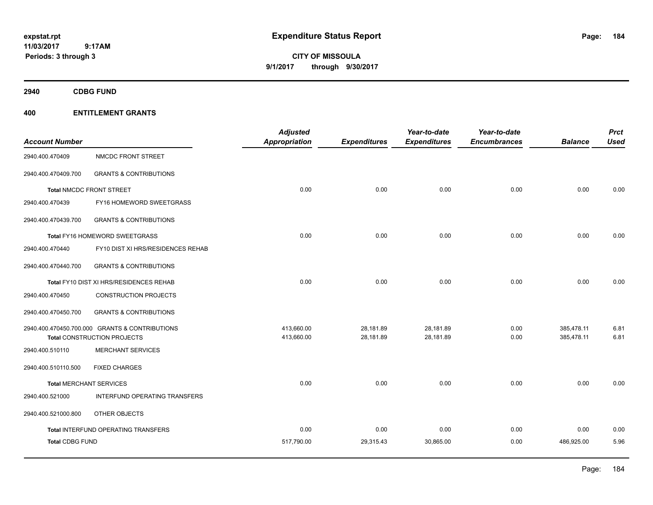**CITY OF MISSOULA 9/1/2017 through 9/30/2017**

**2940 CDBG FUND**

| <b>Account Number</b>  |                                                | <b>Adjusted</b><br><b>Appropriation</b> | <b>Expenditures</b> | Year-to-date<br><b>Expenditures</b> | Year-to-date<br><b>Encumbrances</b> | <b>Balance</b> | <b>Prct</b><br><b>Used</b> |
|------------------------|------------------------------------------------|-----------------------------------------|---------------------|-------------------------------------|-------------------------------------|----------------|----------------------------|
|                        |                                                |                                         |                     |                                     |                                     |                |                            |
| 2940.400.470409        | NMCDC FRONT STREET                             |                                         |                     |                                     |                                     |                |                            |
| 2940.400.470409.700    | <b>GRANTS &amp; CONTRIBUTIONS</b>              |                                         |                     |                                     |                                     |                |                            |
|                        | <b>Total NMCDC FRONT STREET</b>                | 0.00                                    | 0.00                | 0.00                                | 0.00                                | 0.00           | 0.00                       |
| 2940.400.470439        | FY16 HOMEWORD SWEETGRASS                       |                                         |                     |                                     |                                     |                |                            |
| 2940.400.470439.700    | <b>GRANTS &amp; CONTRIBUTIONS</b>              |                                         |                     |                                     |                                     |                |                            |
|                        | Total FY16 HOMEWORD SWEETGRASS                 | 0.00                                    | 0.00                | 0.00                                | 0.00                                | 0.00           | 0.00                       |
| 2940.400.470440        | FY10 DIST XI HRS/RESIDENCES REHAB              |                                         |                     |                                     |                                     |                |                            |
| 2940.400.470440.700    | <b>GRANTS &amp; CONTRIBUTIONS</b>              |                                         |                     |                                     |                                     |                |                            |
|                        | Total FY10 DIST XI HRS/RESIDENCES REHAB        | 0.00                                    | 0.00                | 0.00                                | 0.00                                | 0.00           | 0.00                       |
| 2940.400.470450        | <b>CONSTRUCTION PROJECTS</b>                   |                                         |                     |                                     |                                     |                |                            |
| 2940.400.470450.700    | <b>GRANTS &amp; CONTRIBUTIONS</b>              |                                         |                     |                                     |                                     |                |                            |
|                        | 2940.400.470450.700.000 GRANTS & CONTRIBUTIONS | 413,660.00                              | 28,181.89           | 28.181.89                           | 0.00                                | 385.478.11     | 6.81                       |
|                        | <b>Total CONSTRUCTION PROJECTS</b>             | 413,660.00                              | 28,181.89           | 28,181.89                           | 0.00                                | 385,478.11     | 6.81                       |
| 2940.400.510110        | <b>MERCHANT SERVICES</b>                       |                                         |                     |                                     |                                     |                |                            |
| 2940.400.510110.500    | <b>FIXED CHARGES</b>                           |                                         |                     |                                     |                                     |                |                            |
|                        | <b>Total MERCHANT SERVICES</b>                 | 0.00                                    | 0.00                | 0.00                                | 0.00                                | 0.00           | 0.00                       |
| 2940.400.521000        | INTERFUND OPERATING TRANSFERS                  |                                         |                     |                                     |                                     |                |                            |
| 2940.400.521000.800    | OTHER OBJECTS                                  |                                         |                     |                                     |                                     |                |                            |
|                        | <b>Total INTERFUND OPERATING TRANSFERS</b>     | 0.00                                    | 0.00                | 0.00                                | 0.00                                | 0.00           | 0.00                       |
| <b>Total CDBG FUND</b> |                                                | 517,790.00                              | 29,315.43           | 30,865.00                           | 0.00                                | 486,925.00     | 5.96                       |
|                        |                                                |                                         |                     |                                     |                                     |                |                            |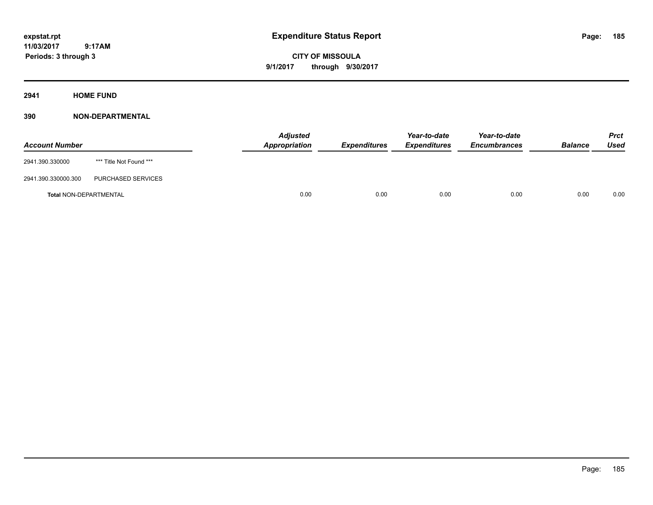**Periods: 3 through 3**

**CITY OF MISSOULA 9/1/2017 through 9/30/2017**

**2941 HOME FUND**

# **390 NON-DEPARTMENTAL**

 **9:17AM**

| <b>Account Number</b>         |                         | <b>Adjusted</b><br>Appropriation | <b>Expenditures</b> | Year-to-date<br><b>Expenditures</b> | Year-to-date<br><b>Encumbrances</b> | <b>Balance</b> | <b>Prct</b><br><b>Used</b> |
|-------------------------------|-------------------------|----------------------------------|---------------------|-------------------------------------|-------------------------------------|----------------|----------------------------|
| 2941.390.330000               | *** Title Not Found *** |                                  |                     |                                     |                                     |                |                            |
| 2941.390.330000.300           | PURCHASED SERVICES      |                                  |                     |                                     |                                     |                |                            |
| <b>Total NON-DEPARTMENTAL</b> |                         | 0.00                             | 0.00                | 0.00                                | 0.00                                | 0.00           | 0.00                       |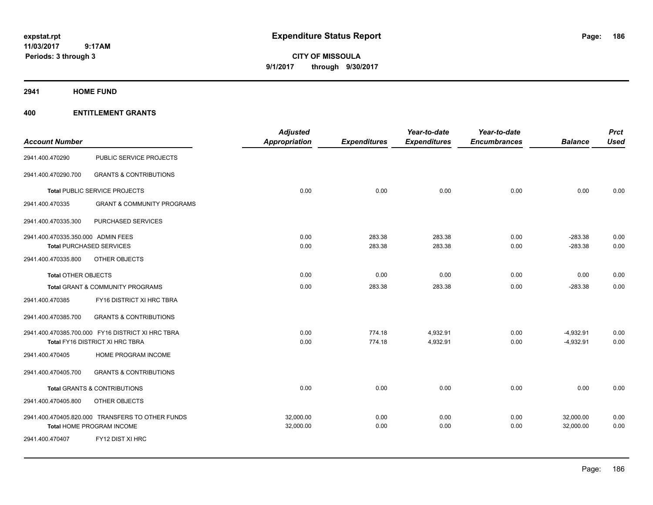# **CITY OF MISSOULA 9/1/2017 through 9/30/2017**

### **2941 HOME FUND**

| <b>Account Number</b>              |                                                   | <b>Adjusted</b><br><b>Appropriation</b> | <b>Expenditures</b> | Year-to-date<br><b>Expenditures</b> | Year-to-date<br><b>Encumbrances</b> | <b>Balance</b> | <b>Prct</b><br><b>Used</b> |
|------------------------------------|---------------------------------------------------|-----------------------------------------|---------------------|-------------------------------------|-------------------------------------|----------------|----------------------------|
| 2941.400.470290                    | PUBLIC SERVICE PROJECTS                           |                                         |                     |                                     |                                     |                |                            |
| 2941.400.470290.700                | <b>GRANTS &amp; CONTRIBUTIONS</b>                 |                                         |                     |                                     |                                     |                |                            |
|                                    | Total PUBLIC SERVICE PROJECTS                     | 0.00                                    | 0.00                | 0.00                                | 0.00                                | 0.00           | 0.00                       |
| 2941.400.470335                    | <b>GRANT &amp; COMMUNITY PROGRAMS</b>             |                                         |                     |                                     |                                     |                |                            |
| 2941.400.470335.300                | PURCHASED SERVICES                                |                                         |                     |                                     |                                     |                |                            |
| 2941.400.470335.350.000 ADMIN FEES |                                                   | 0.00                                    | 283.38              | 283.38                              | 0.00                                | $-283.38$      | 0.00                       |
|                                    | <b>Total PURCHASED SERVICES</b>                   | 0.00                                    | 283.38              | 283.38                              | 0.00                                | $-283.38$      | 0.00                       |
| 2941.400.470335.800                | OTHER OBJECTS                                     |                                         |                     |                                     |                                     |                |                            |
| <b>Total OTHER OBJECTS</b>         |                                                   | 0.00                                    | 0.00                | 0.00                                | 0.00                                | 0.00           | 0.00                       |
|                                    | Total GRANT & COMMUNITY PROGRAMS                  | 0.00                                    | 283.38              | 283.38                              | 0.00                                | $-283.38$      | 0.00                       |
| 2941.400.470385                    | FY16 DISTRICT XI HRC TBRA                         |                                         |                     |                                     |                                     |                |                            |
| 2941.400.470385.700                | <b>GRANTS &amp; CONTRIBUTIONS</b>                 |                                         |                     |                                     |                                     |                |                            |
|                                    | 2941.400.470385.700.000 FY16 DISTRICT XI HRC TBRA | 0.00                                    | 774.18              | 4,932.91                            | 0.00                                | $-4,932.91$    | 0.00                       |
|                                    | Total FY16 DISTRICT XI HRC TBRA                   | 0.00                                    | 774.18              | 4,932.91                            | 0.00                                | $-4,932.91$    | 0.00                       |
| 2941.400.470405                    | HOME PROGRAM INCOME                               |                                         |                     |                                     |                                     |                |                            |
| 2941.400.470405.700                | <b>GRANTS &amp; CONTRIBUTIONS</b>                 |                                         |                     |                                     |                                     |                |                            |
|                                    | <b>Total GRANTS &amp; CONTRIBUTIONS</b>           | 0.00                                    | 0.00                | 0.00                                | 0.00                                | 0.00           | 0.00                       |
| 2941.400.470405.800                | OTHER OBJECTS                                     |                                         |                     |                                     |                                     |                |                            |
|                                    | 2941.400.470405.820.000 TRANSFERS TO OTHER FUNDS  | 32,000.00                               | 0.00                | 0.00                                | 0.00                                | 32,000.00      | 0.00                       |
|                                    | Total HOME PROGRAM INCOME                         | 32,000.00                               | 0.00                | 0.00                                | 0.00                                | 32,000.00      | 0.00                       |
| 2941.400.470407                    | FY12 DIST XI HRC                                  |                                         |                     |                                     |                                     |                |                            |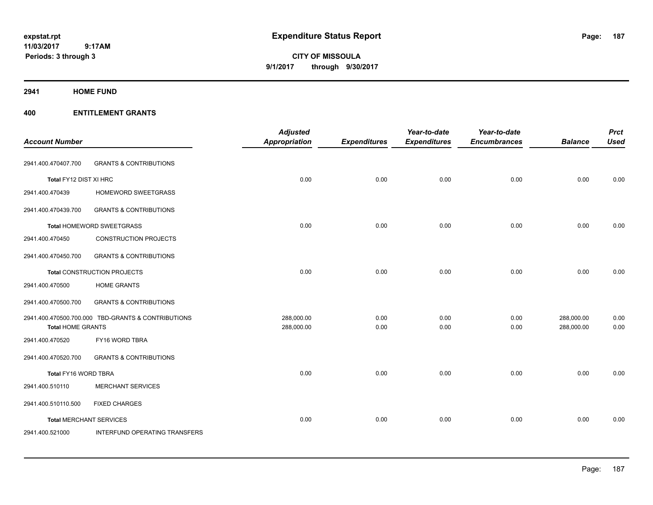**CITY OF MISSOULA 9/1/2017 through 9/30/2017**

**2941 HOME FUND**

|                                |                                                    | <b>Adjusted</b>          |                     | Year-to-date        | Year-to-date        |                          | <b>Prct</b>  |
|--------------------------------|----------------------------------------------------|--------------------------|---------------------|---------------------|---------------------|--------------------------|--------------|
| <b>Account Number</b>          |                                                    | <b>Appropriation</b>     | <b>Expenditures</b> | <b>Expenditures</b> | <b>Encumbrances</b> | <b>Balance</b>           | <b>Used</b>  |
| 2941.400.470407.700            | <b>GRANTS &amp; CONTRIBUTIONS</b>                  |                          |                     |                     |                     |                          |              |
| Total FY12 DIST XI HRC         |                                                    | 0.00                     | 0.00                | 0.00                | 0.00                | 0.00                     | 0.00         |
| 2941.400.470439                | HOMEWORD SWEETGRASS                                |                          |                     |                     |                     |                          |              |
| 2941.400.470439.700            | <b>GRANTS &amp; CONTRIBUTIONS</b>                  |                          |                     |                     |                     |                          |              |
|                                | Total HOMEWORD SWEETGRASS                          | 0.00                     | 0.00                | 0.00                | 0.00                | 0.00                     | 0.00         |
| 2941.400.470450                | <b>CONSTRUCTION PROJECTS</b>                       |                          |                     |                     |                     |                          |              |
| 2941.400.470450.700            | <b>GRANTS &amp; CONTRIBUTIONS</b>                  |                          |                     |                     |                     |                          |              |
|                                | Total CONSTRUCTION PROJECTS                        | 0.00                     | 0.00                | 0.00                | 0.00                | 0.00                     | 0.00         |
| 2941.400.470500                | <b>HOME GRANTS</b>                                 |                          |                     |                     |                     |                          |              |
| 2941.400.470500.700            | <b>GRANTS &amp; CONTRIBUTIONS</b>                  |                          |                     |                     |                     |                          |              |
| <b>Total HOME GRANTS</b>       | 2941.400.470500.700.000 TBD-GRANTS & CONTRIBUTIONS | 288,000.00<br>288,000.00 | 0.00<br>0.00        | 0.00<br>0.00        | 0.00<br>0.00        | 288,000.00<br>288,000.00 | 0.00<br>0.00 |
| 2941.400.470520                | FY16 WORD TBRA                                     |                          |                     |                     |                     |                          |              |
| 2941.400.470520.700            | <b>GRANTS &amp; CONTRIBUTIONS</b>                  |                          |                     |                     |                     |                          |              |
| Total FY16 WORD TBRA           |                                                    | 0.00                     | 0.00                | 0.00                | 0.00                | 0.00                     | 0.00         |
| 2941.400.510110                | <b>MERCHANT SERVICES</b>                           |                          |                     |                     |                     |                          |              |
| 2941.400.510110.500            | <b>FIXED CHARGES</b>                               |                          |                     |                     |                     |                          |              |
| <b>Total MERCHANT SERVICES</b> |                                                    | 0.00                     | 0.00                | 0.00                | 0.00                | 0.00                     | 0.00         |
| 2941.400.521000                | <b>INTERFUND OPERATING TRANSFERS</b>               |                          |                     |                     |                     |                          |              |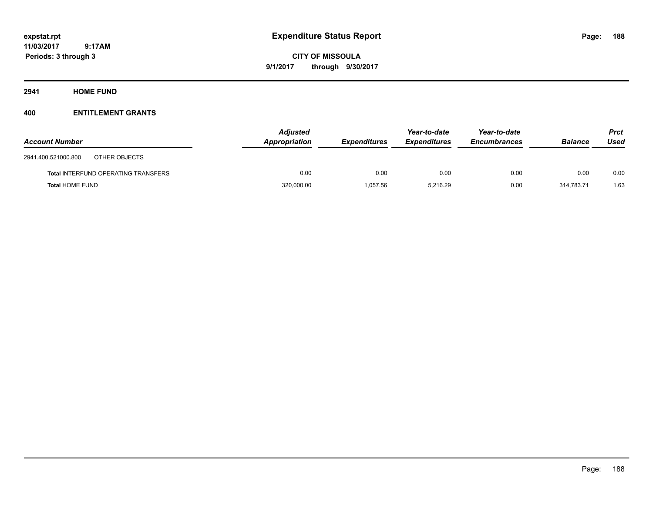**CITY OF MISSOULA 9/1/2017 through 9/30/2017**

**2941 HOME FUND**

| <b>Account Number</b>                      | <b>Adjusted</b><br>Appropriation | <b>Expenditures</b> | Year-to-date<br><b>Expenditures</b> | Year-to-date<br><b>Encumbrances</b> | <b>Balance</b> | Prct<br>Used |
|--------------------------------------------|----------------------------------|---------------------|-------------------------------------|-------------------------------------|----------------|--------------|
| 2941.400.521000.800<br>OTHER OBJECTS       |                                  |                     |                                     |                                     |                |              |
| <b>Total INTERFUND OPERATING TRANSFERS</b> | 0.00                             | 0.00                | 0.00                                | 0.00                                | 0.00           | 0.00         |
| <b>Total HOME FUND</b>                     | 320,000.00                       | 1.057.56            | 5.216.29                            | 0.00                                | 314.783.71     | 1.63         |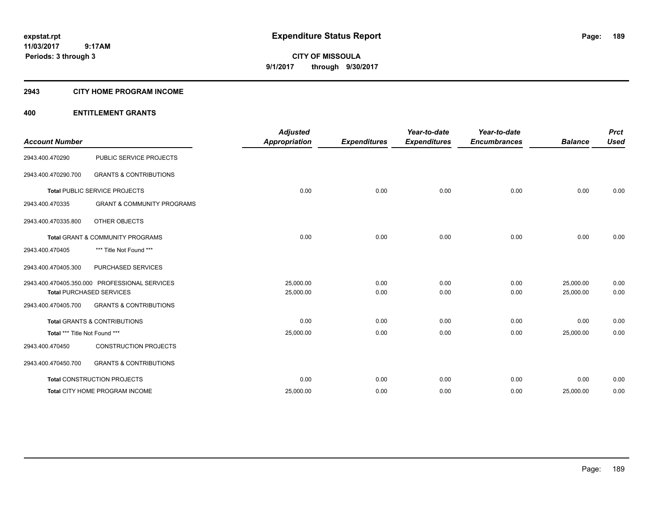**CITY OF MISSOULA 9/1/2017 through 9/30/2017**

### **2943 CITY HOME PROGRAM INCOME**

| <b>Account Number</b>         |                                               | <b>Adjusted</b><br><b>Appropriation</b> | <b>Expenditures</b> | Year-to-date<br><b>Expenditures</b> | Year-to-date<br><b>Encumbrances</b> | <b>Balance</b> | <b>Prct</b><br><b>Used</b> |
|-------------------------------|-----------------------------------------------|-----------------------------------------|---------------------|-------------------------------------|-------------------------------------|----------------|----------------------------|
| 2943.400.470290               | PUBLIC SERVICE PROJECTS                       |                                         |                     |                                     |                                     |                |                            |
| 2943.400.470290.700           | <b>GRANTS &amp; CONTRIBUTIONS</b>             |                                         |                     |                                     |                                     |                |                            |
|                               | Total PUBLIC SERVICE PROJECTS                 | 0.00                                    | 0.00                | 0.00                                | 0.00                                | 0.00           | 0.00                       |
| 2943.400.470335               | <b>GRANT &amp; COMMUNITY PROGRAMS</b>         |                                         |                     |                                     |                                     |                |                            |
| 2943.400.470335.800           | OTHER OBJECTS                                 |                                         |                     |                                     |                                     |                |                            |
|                               | <b>Total GRANT &amp; COMMUNITY PROGRAMS</b>   | 0.00                                    | 0.00                | 0.00                                | 0.00                                | 0.00           | 0.00                       |
| 2943.400.470405               | *** Title Not Found ***                       |                                         |                     |                                     |                                     |                |                            |
| 2943.400.470405.300           | PURCHASED SERVICES                            |                                         |                     |                                     |                                     |                |                            |
|                               | 2943.400.470405.350.000 PROFESSIONAL SERVICES | 25,000.00                               | 0.00                | 0.00                                | 0.00                                | 25,000.00      | 0.00                       |
|                               | <b>Total PURCHASED SERVICES</b>               | 25,000.00                               | 0.00                | 0.00                                | 0.00                                | 25.000.00      | 0.00                       |
| 2943.400.470405.700           | <b>GRANTS &amp; CONTRIBUTIONS</b>             |                                         |                     |                                     |                                     |                |                            |
|                               | <b>Total GRANTS &amp; CONTRIBUTIONS</b>       | 0.00                                    | 0.00                | 0.00                                | 0.00                                | 0.00           | 0.00                       |
| Total *** Title Not Found *** |                                               | 25,000.00                               | 0.00                | 0.00                                | 0.00                                | 25,000.00      | 0.00                       |
| 2943.400.470450               | <b>CONSTRUCTION PROJECTS</b>                  |                                         |                     |                                     |                                     |                |                            |
| 2943.400.470450.700           | <b>GRANTS &amp; CONTRIBUTIONS</b>             |                                         |                     |                                     |                                     |                |                            |
|                               | <b>Total CONSTRUCTION PROJECTS</b>            | 0.00                                    | 0.00                | 0.00                                | 0.00                                | 0.00           | 0.00                       |
|                               | Total CITY HOME PROGRAM INCOME                | 25,000.00                               | 0.00                | 0.00                                | 0.00                                | 25,000.00      | 0.00                       |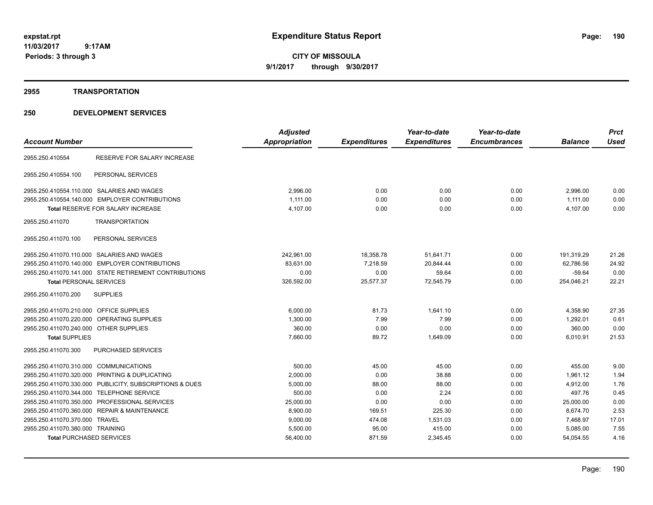**CITY OF MISSOULA 9/1/2017 through 9/30/2017**

### **2955 TRANSPORTATION**

| <b>Account Number</b>                                   | <b>Adjusted</b><br>Appropriation | <b>Expenditures</b> | Year-to-date<br><b>Expenditures</b> | Year-to-date<br><b>Encumbrances</b> | <b>Balance</b> | <b>Prct</b><br><b>Used</b> |
|---------------------------------------------------------|----------------------------------|---------------------|-------------------------------------|-------------------------------------|----------------|----------------------------|
| RESERVE FOR SALARY INCREASE<br>2955.250.410554          |                                  |                     |                                     |                                     |                |                            |
| 2955.250.410554.100<br>PERSONAL SERVICES                |                                  |                     |                                     |                                     |                |                            |
| 2955.250.410554.110.000 SALARIES AND WAGES              | 2,996.00                         | 0.00                | 0.00                                | 0.00                                | 2,996.00       | 0.00                       |
| 2955.250.410554.140.000 EMPLOYER CONTRIBUTIONS          | 1,111.00                         | 0.00                | 0.00                                | 0.00                                | 1,111.00       | 0.00                       |
| <b>Total RESERVE FOR SALARY INCREASE</b>                | 4,107.00                         | 0.00                | 0.00                                | 0.00                                | 4,107.00       | 0.00                       |
| 2955.250.411070<br><b>TRANSPORTATION</b>                |                                  |                     |                                     |                                     |                |                            |
| 2955.250.411070.100<br>PERSONAL SERVICES                |                                  |                     |                                     |                                     |                |                            |
| 2955.250.411070.110.000 SALARIES AND WAGES              | 242,961.00                       | 18,358.78           | 51,641.71                           | 0.00                                | 191,319.29     | 21.26                      |
| 2955.250.411070.140.000 EMPLOYER CONTRIBUTIONS          | 83,631.00                        | 7,218.59            | 20,844.44                           | 0.00                                | 62,786.56      | 24.92                      |
| 2955.250.411070.141.000 STATE RETIREMENT CONTRIBUTIONS  | 0.00                             | 0.00                | 59.64                               | 0.00                                | $-59.64$       | 0.00                       |
| <b>Total PERSONAL SERVICES</b>                          | 326,592.00                       | 25,577.37           | 72,545.79                           | 0.00                                | 254,046.21     | 22.21                      |
| <b>SUPPLIES</b><br>2955.250.411070.200                  |                                  |                     |                                     |                                     |                |                            |
| 2955.250.411070.210.000 OFFICE SUPPLIES                 | 6,000.00                         | 81.73               | 1.641.10                            | 0.00                                | 4,358.90       | 27.35                      |
| 2955.250.411070.220.000 OPERATING SUPPLIES              | 1,300.00                         | 7.99                | 7.99                                | 0.00                                | 1.292.01       | 0.61                       |
| 2955.250.411070.240.000 OTHER SUPPLIES                  | 360.00                           | 0.00                | 0.00                                | 0.00                                | 360.00         | 0.00                       |
| <b>Total SUPPLIES</b>                                   | 7,660.00                         | 89.72               | 1,649.09                            | 0.00                                | 6,010.91       | 21.53                      |
| <b>PURCHASED SERVICES</b><br>2955.250.411070.300        |                                  |                     |                                     |                                     |                |                            |
| 2955.250.411070.310.000 COMMUNICATIONS                  | 500.00                           | 45.00               | 45.00                               | 0.00                                | 455.00         | 9.00                       |
| 2955.250.411070.320.000 PRINTING & DUPLICATING          | 2,000.00                         | 0.00                | 38.88                               | 0.00                                | 1.961.12       | 1.94                       |
| 2955.250.411070.330.000 PUBLICITY, SUBSCRIPTIONS & DUES | 5,000.00                         | 88.00               | 88.00                               | 0.00                                | 4,912.00       | 1.76                       |
| 2955.250.411070.344.000 TELEPHONE SERVICE               | 500.00                           | 0.00                | 2.24                                | 0.00                                | 497.76         | 0.45                       |
| 2955.250.411070.350.000 PROFESSIONAL SERVICES           | 25,000.00                        | 0.00                | 0.00                                | 0.00                                | 25,000.00      | 0.00                       |
| 2955.250.411070.360.000 REPAIR & MAINTENANCE            | 8,900.00                         | 169.51              | 225.30                              | 0.00                                | 8,674.70       | 2.53                       |
| 2955.250.411070.370.000 TRAVEL                          | 9,000.00                         | 474.08              | 1,531.03                            | 0.00                                | 7,468.97       | 17.01                      |
| 2955.250.411070.380.000 TRAINING                        | 5,500.00                         | 95.00               | 415.00                              | 0.00                                | 5,085.00       | 7.55                       |
| <b>Total PURCHASED SERVICES</b>                         | 56,400.00                        | 871.59              | 2,345.45                            | 0.00                                | 54,054.55      | 4.16                       |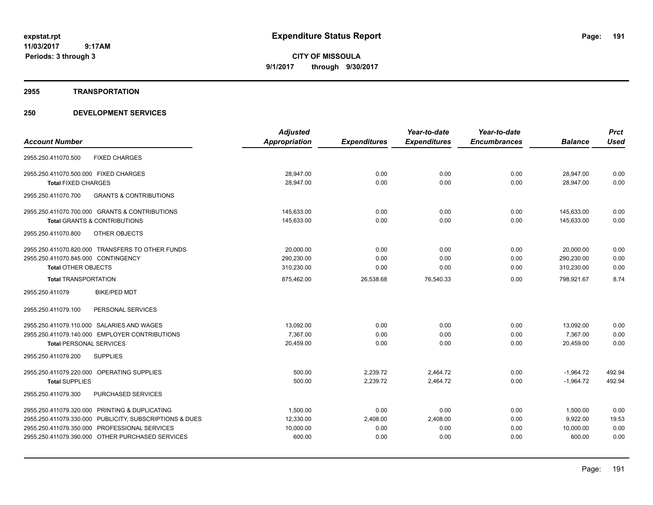**CITY OF MISSOULA 9/1/2017 through 9/30/2017**

### **2955 TRANSPORTATION**

|                                                          | <b>Adjusted</b> |                     | Year-to-date        | Year-to-date        |                | <b>Prct</b> |
|----------------------------------------------------------|-----------------|---------------------|---------------------|---------------------|----------------|-------------|
| <b>Account Number</b>                                    | Appropriation   | <b>Expenditures</b> | <b>Expenditures</b> | <b>Encumbrances</b> | <b>Balance</b> | <b>Used</b> |
| <b>FIXED CHARGES</b><br>2955.250.411070.500              |                 |                     |                     |                     |                |             |
| 2955.250.411070.500.000 FIXED CHARGES                    | 28,947.00       | 0.00                | 0.00                | 0.00                | 28,947.00      | 0.00        |
| <b>Total FIXED CHARGES</b>                               | 28,947.00       | 0.00                | 0.00                | 0.00                | 28,947.00      | 0.00        |
| 2955.250.411070.700<br><b>GRANTS &amp; CONTRIBUTIONS</b> |                 |                     |                     |                     |                |             |
| 2955.250.411070.700.000 GRANTS & CONTRIBUTIONS           | 145,633.00      | 0.00                | 0.00                | 0.00                | 145,633.00     | 0.00        |
| <b>Total GRANTS &amp; CONTRIBUTIONS</b>                  | 145,633.00      | 0.00                | 0.00                | 0.00                | 145,633.00     | 0.00        |
| 2955.250.411070.800<br>OTHER OBJECTS                     |                 |                     |                     |                     |                |             |
| 2955.250.411070.820.000 TRANSFERS TO OTHER FUNDS         | 20,000.00       | 0.00                | 0.00                | 0.00                | 20,000.00      | 0.00        |
| 2955.250.411070.845.000 CONTINGENCY                      | 290,230.00      | 0.00                | 0.00                | 0.00                | 290,230.00     | 0.00        |
| <b>Total OTHER OBJECTS</b>                               | 310,230.00      | 0.00                | 0.00                | 0.00                | 310,230.00     | 0.00        |
| <b>Total TRANSPORTATION</b>                              | 875,462.00      | 26,538.68           | 76,540.33           | 0.00                | 798.921.67     | 8.74        |
| <b>BIKE/PED MDT</b><br>2955.250.411079                   |                 |                     |                     |                     |                |             |
| PERSONAL SERVICES<br>2955.250.411079.100                 |                 |                     |                     |                     |                |             |
| 2955.250.411079.110.000 SALARIES AND WAGES               | 13,092.00       | 0.00                | 0.00                | 0.00                | 13,092.00      | 0.00        |
| 2955.250.411079.140.000 EMPLOYER CONTRIBUTIONS           | 7.367.00        | 0.00                | 0.00                | 0.00                | 7.367.00       | 0.00        |
| <b>Total PERSONAL SERVICES</b>                           | 20,459.00       | 0.00                | 0.00                | 0.00                | 20,459.00      | 0.00        |
| 2955.250.411079.200<br><b>SUPPLIES</b>                   |                 |                     |                     |                     |                |             |
| 2955.250.411079.220.000 OPERATING SUPPLIES               | 500.00          | 2,239.72            | 2,464.72            | 0.00                | $-1,964.72$    | 492.94      |
| <b>Total SUPPLIES</b>                                    | 500.00          | 2,239.72            | 2,464.72            | 0.00                | $-1,964.72$    | 492.94      |
| PURCHASED SERVICES<br>2955.250.411079.300                |                 |                     |                     |                     |                |             |
| 2955.250.411079.320.000 PRINTING & DUPLICATING           | 1,500.00        | 0.00                | 0.00                | 0.00                | 1,500.00       | 0.00        |
| 2955.250.411079.330.000 PUBLICITY, SUBSCRIPTIONS & DUES  | 12,330.00       | 2,408.00            | 2,408.00            | 0.00                | 9,922.00       | 19.53       |
| 2955.250.411079.350.000 PROFESSIONAL SERVICES            | 10,000.00       | 0.00                | 0.00                | 0.00                | 10,000.00      | 0.00        |
| 2955.250.411079.390.000 OTHER PURCHASED SERVICES         | 600.00          | 0.00                | 0.00                | 0.00                | 600.00         | 0.00        |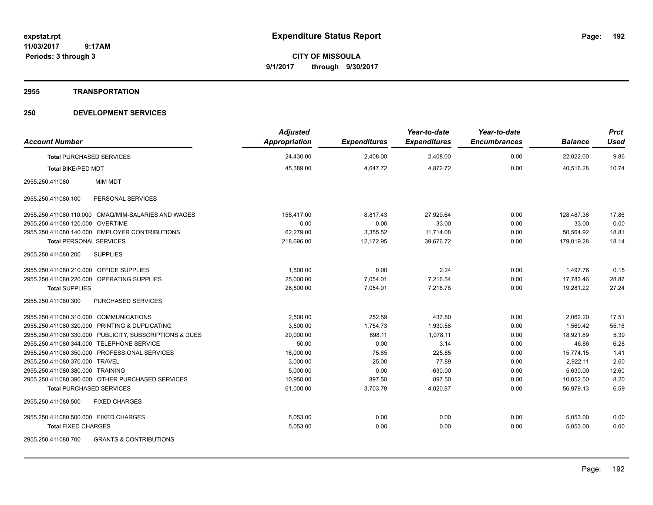**CITY OF MISSOULA 9/1/2017 through 9/30/2017**

### **2955 TRANSPORTATION**

| <b>Account Number</b>                                    | <b>Adjusted</b><br><b>Appropriation</b> | <b>Expenditures</b> | Year-to-date<br><b>Expenditures</b> | Year-to-date<br><b>Encumbrances</b> | <b>Balance</b> | <b>Prct</b><br><b>Used</b> |
|----------------------------------------------------------|-----------------------------------------|---------------------|-------------------------------------|-------------------------------------|----------------|----------------------------|
| <b>Total PURCHASED SERVICES</b>                          | 24,430.00                               | 2,408.00            | 2,408.00                            | 0.00                                | 22,022.00      | 9.86                       |
| <b>Total BIKE/PED MDT</b>                                | 45,389.00                               | 4,647.72            | 4,872.72                            | 0.00                                | 40,516.28      | 10.74                      |
| 2955.250.411080<br><b>MIM MDT</b>                        |                                         |                     |                                     |                                     |                |                            |
| 2955.250.411080.100<br>PERSONAL SERVICES                 |                                         |                     |                                     |                                     |                |                            |
| 2955.250.411080.110.000 CMAQ/MIM-SALARIES AND WAGES      | 156,417.00                              | 8,817.43            | 27,929.64                           | 0.00                                | 128,487.36     | 17.86                      |
| 2955.250.411080.120.000 OVERTIME                         | 0.00                                    | 0.00                | 33.00                               | 0.00                                | $-33.00$       | 0.00                       |
| 2955.250.411080.140.000 EMPLOYER CONTRIBUTIONS           | 62,279.00                               | 3,355.52            | 11,714.08                           | 0.00                                | 50,564.92      | 18.81                      |
| <b>Total PERSONAL SERVICES</b>                           | 218,696.00                              | 12,172.95           | 39,676.72                           | 0.00                                | 179,019.28     | 18.14                      |
| 2955.250.411080.200<br><b>SUPPLIES</b>                   |                                         |                     |                                     |                                     |                |                            |
| 2955.250.411080.210.000 OFFICE SUPPLIES                  | 1,500.00                                | 0.00                | 2.24                                | 0.00                                | 1,497.76       | 0.15                       |
| 2955.250.411080.220.000 OPERATING SUPPLIES               | 25,000.00                               | 7,054.01            | 7,216.54                            | 0.00                                | 17,783.46      | 28.87                      |
| <b>Total SUPPLIES</b>                                    | 26,500.00                               | 7,054.01            | 7,218.78                            | 0.00                                | 19,281.22      | 27.24                      |
| <b>PURCHASED SERVICES</b><br>2955.250.411080.300         |                                         |                     |                                     |                                     |                |                            |
| 2955.250.411080.310.000 COMMUNICATIONS                   | 2,500.00                                | 252.59              | 437.80                              | 0.00                                | 2,062.20       | 17.51                      |
| 2955.250.411080.320.000 PRINTING & DUPLICATING           | 3,500.00                                | 1,754.73            | 1,930.58                            | 0.00                                | 1,569.42       | 55.16                      |
| 2955.250.411080.330.000 PUBLICITY, SUBSCRIPTIONS & DUES  | 20,000.00                               | 698.11              | 1,078.11                            | 0.00                                | 18,921.89      | 5.39                       |
| 2955.250.411080.344.000 TELEPHONE SERVICE                | 50.00                                   | 0.00                | 3.14                                | 0.00                                | 46.86          | 6.28                       |
| 2955.250.411080.350.000 PROFESSIONAL SERVICES            | 16,000.00                               | 75.85               | 225.85                              | 0.00                                | 15,774.15      | 1.41                       |
| 2955.250.411080.370.000 TRAVEL                           | 3,000.00                                | 25.00               | 77.89                               | 0.00                                | 2,922.11       | 2.60                       |
| 2955.250.411080.380.000 TRAINING                         | 5,000.00                                | 0.00                | $-630.00$                           | 0.00                                | 5,630.00       | 12.60                      |
| 2955.250.411080.390.000 OTHER PURCHASED SERVICES         | 10,950.00                               | 897.50              | 897.50                              | 0.00                                | 10,052.50      | 8.20                       |
| <b>Total PURCHASED SERVICES</b>                          | 61,000.00                               | 3,703.78            | 4,020.87                            | 0.00                                | 56,979.13      | 6.59                       |
| <b>FIXED CHARGES</b><br>2955.250.411080.500              |                                         |                     |                                     |                                     |                |                            |
| 2955.250.411080.500.000 FIXED CHARGES                    | 5,053.00                                | 0.00                | 0.00                                | 0.00                                | 5,053.00       | 0.00                       |
| <b>Total FIXED CHARGES</b>                               | 5,053.00                                | 0.00                | 0.00                                | 0.00                                | 5,053.00       | 0.00                       |
| <b>GRANTS &amp; CONTRIBUTIONS</b><br>2955.250.411080.700 |                                         |                     |                                     |                                     |                |                            |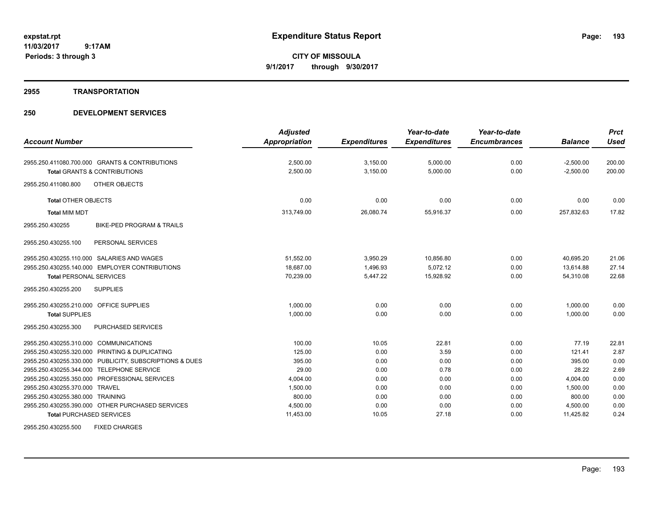**CITY OF MISSOULA 9/1/2017 through 9/30/2017**

### **2955 TRANSPORTATION**

|                                                         | <b>Adjusted</b>      |                     | Year-to-date        | Year-to-date        |                | <b>Prct</b> |
|---------------------------------------------------------|----------------------|---------------------|---------------------|---------------------|----------------|-------------|
| <b>Account Number</b>                                   | <b>Appropriation</b> | <b>Expenditures</b> | <b>Expenditures</b> | <b>Encumbrances</b> | <b>Balance</b> | <b>Used</b> |
| 2955.250.411080.700.000 GRANTS & CONTRIBUTIONS          | 2,500.00             | 3,150.00            | 5,000.00            | 0.00                | $-2,500.00$    | 200.00      |
| <b>Total GRANTS &amp; CONTRIBUTIONS</b>                 | 2,500.00             | 3,150.00            | 5,000.00            | 0.00                | $-2,500.00$    | 200.00      |
| 2955.250.411080.800<br>OTHER OBJECTS                    |                      |                     |                     |                     |                |             |
| <b>Total OTHER OBJECTS</b>                              | 0.00                 | 0.00                | 0.00                | 0.00                | 0.00           | 0.00        |
| <b>Total MIM MDT</b>                                    | 313,749.00           | 26,080.74           | 55,916.37           | 0.00                | 257,832.63     | 17.82       |
| 2955.250.430255<br><b>BIKE-PED PROGRAM &amp; TRAILS</b> |                      |                     |                     |                     |                |             |
| PERSONAL SERVICES<br>2955.250.430255.100                |                      |                     |                     |                     |                |             |
| 2955.250.430255.110.000 SALARIES AND WAGES              | 51,552.00            | 3,950.29            | 10,856.80           | 0.00                | 40.695.20      | 21.06       |
| 2955.250.430255.140.000 EMPLOYER CONTRIBUTIONS          | 18,687.00            | 1.496.93            | 5,072.12            | 0.00                | 13,614.88      | 27.14       |
| <b>Total PERSONAL SERVICES</b>                          | 70,239.00            | 5,447.22            | 15,928.92           | 0.00                | 54,310.08      | 22.68       |
| <b>SUPPLIES</b><br>2955.250.430255.200                  |                      |                     |                     |                     |                |             |
| 2955.250.430255.210.000 OFFICE SUPPLIES                 | 1,000.00             | 0.00                | 0.00                | 0.00                | 1,000.00       | 0.00        |
| <b>Total SUPPLIES</b>                                   | 1,000.00             | 0.00                | 0.00                | 0.00                | 1,000.00       | 0.00        |
| PURCHASED SERVICES<br>2955.250.430255.300               |                      |                     |                     |                     |                |             |
| 2955.250.430255.310.000 COMMUNICATIONS                  | 100.00               | 10.05               | 22.81               | 0.00                | 77.19          | 22.81       |
| 2955.250.430255.320.000 PRINTING & DUPLICATING          | 125.00               | 0.00                | 3.59                | 0.00                | 121.41         | 2.87        |
| 2955.250.430255.330.000 PUBLICITY, SUBSCRIPTIONS & DUES | 395.00               | 0.00                | 0.00                | 0.00                | 395.00         | 0.00        |
| 2955.250.430255.344.000 TELEPHONE SERVICE               | 29.00                | 0.00                | 0.78                | 0.00                | 28.22          | 2.69        |
| 2955.250.430255.350.000 PROFESSIONAL SERVICES           | 4,004.00             | 0.00                | 0.00                | 0.00                | 4,004.00       | 0.00        |
| 2955.250.430255.370.000 TRAVEL                          | 1,500.00             | 0.00                | 0.00                | 0.00                | 1,500.00       | 0.00        |
| 2955.250.430255.380.000 TRAINING                        | 800.00               | 0.00                | 0.00                | 0.00                | 800.00         | 0.00        |
| 2955.250.430255.390.000 OTHER PURCHASED SERVICES        | 4,500.00             | 0.00                | 0.00                | 0.00                | 4,500.00       | 0.00        |
| <b>Total PURCHASED SERVICES</b>                         | 11,453.00            | 10.05               | 27.18               | 0.00                | 11,425.82      | 0.24        |
| 2955.250.430255.500<br><b>FIXED CHARGES</b>             |                      |                     |                     |                     |                |             |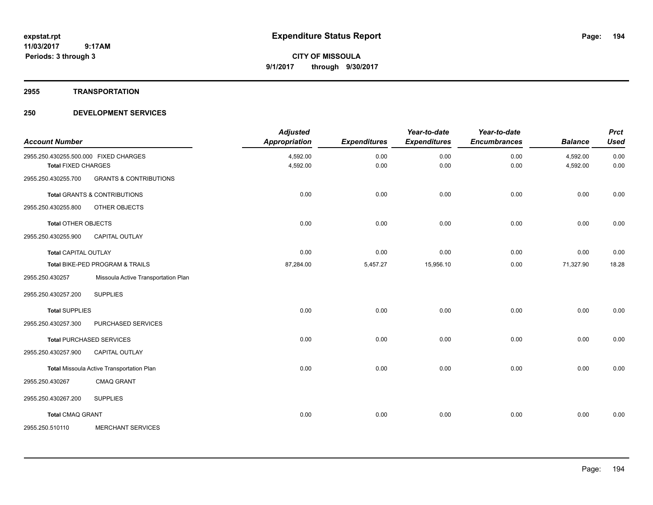**CITY OF MISSOULA 9/1/2017 through 9/30/2017**

### **2955 TRANSPORTATION**

| <b>Account Number</b>                                               |                                           | <b>Adjusted</b><br><b>Appropriation</b> | <b>Expenditures</b> | Year-to-date<br><b>Expenditures</b> | Year-to-date<br><b>Encumbrances</b> | <b>Balance</b>       | <b>Prct</b><br><b>Used</b> |
|---------------------------------------------------------------------|-------------------------------------------|-----------------------------------------|---------------------|-------------------------------------|-------------------------------------|----------------------|----------------------------|
| 2955.250.430255.500.000 FIXED CHARGES<br><b>Total FIXED CHARGES</b> |                                           | 4,592.00<br>4,592.00                    | 0.00<br>0.00        | 0.00<br>0.00                        | 0.00<br>0.00                        | 4,592.00<br>4,592.00 | 0.00<br>0.00               |
| 2955.250.430255.700                                                 | <b>GRANTS &amp; CONTRIBUTIONS</b>         |                                         |                     |                                     |                                     |                      |                            |
|                                                                     | <b>Total GRANTS &amp; CONTRIBUTIONS</b>   | 0.00                                    | 0.00                | 0.00                                | 0.00                                | 0.00                 | 0.00                       |
| 2955.250.430255.800                                                 | OTHER OBJECTS                             |                                         |                     |                                     |                                     |                      |                            |
| <b>Total OTHER OBJECTS</b>                                          |                                           | 0.00                                    | 0.00                | 0.00                                | 0.00                                | 0.00                 | 0.00                       |
| 2955.250.430255.900                                                 | <b>CAPITAL OUTLAY</b>                     |                                         |                     |                                     |                                     |                      |                            |
| <b>Total CAPITAL OUTLAY</b>                                         |                                           | 0.00                                    | 0.00                | 0.00                                | 0.00                                | 0.00                 | 0.00                       |
|                                                                     | Total BIKE-PED PROGRAM & TRAILS           | 87,284.00                               | 5,457.27            | 15,956.10                           | 0.00                                | 71,327.90            | 18.28                      |
| 2955.250.430257                                                     | Missoula Active Transportation Plan       |                                         |                     |                                     |                                     |                      |                            |
| 2955.250.430257.200                                                 | <b>SUPPLIES</b>                           |                                         |                     |                                     |                                     |                      |                            |
| <b>Total SUPPLIES</b>                                               |                                           | 0.00                                    | 0.00                | 0.00                                | 0.00                                | 0.00                 | 0.00                       |
| 2955.250.430257.300                                                 | PURCHASED SERVICES                        |                                         |                     |                                     |                                     |                      |                            |
|                                                                     | <b>Total PURCHASED SERVICES</b>           | 0.00                                    | 0.00                | 0.00                                | 0.00                                | 0.00                 | 0.00                       |
| 2955.250.430257.900                                                 | CAPITAL OUTLAY                            |                                         |                     |                                     |                                     |                      |                            |
|                                                                     | Total Missoula Active Transportation Plan | 0.00                                    | 0.00                | 0.00                                | 0.00                                | 0.00                 | 0.00                       |
| 2955.250.430267                                                     | <b>CMAQ GRANT</b>                         |                                         |                     |                                     |                                     |                      |                            |
| 2955.250.430267.200                                                 | <b>SUPPLIES</b>                           |                                         |                     |                                     |                                     |                      |                            |
| <b>Total CMAQ GRANT</b>                                             |                                           | 0.00                                    | 0.00                | 0.00                                | 0.00                                | 0.00                 | 0.00                       |
| 2955.250.510110                                                     | <b>MERCHANT SERVICES</b>                  |                                         |                     |                                     |                                     |                      |                            |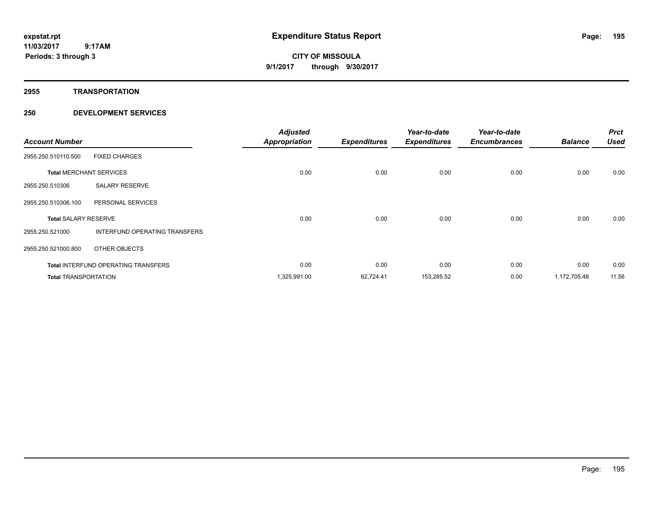**CITY OF MISSOULA 9/1/2017 through 9/30/2017**

**2955 TRANSPORTATION**

| <b>Account Number</b>       |                                            | <b>Adjusted</b><br><b>Appropriation</b> | <b>Expenditures</b> | Year-to-date<br><b>Expenditures</b> | Year-to-date<br><b>Encumbrances</b> | <b>Balance</b> | <b>Prct</b><br><b>Used</b> |
|-----------------------------|--------------------------------------------|-----------------------------------------|---------------------|-------------------------------------|-------------------------------------|----------------|----------------------------|
| 2955.250.510110.500         | <b>FIXED CHARGES</b>                       |                                         |                     |                                     |                                     |                |                            |
|                             | <b>Total MERCHANT SERVICES</b>             | 0.00                                    | 0.00                | 0.00                                | 0.00                                | 0.00           | 0.00                       |
| 2955.250.510306             | <b>SALARY RESERVE</b>                      |                                         |                     |                                     |                                     |                |                            |
| 2955.250.510306.100         | PERSONAL SERVICES                          |                                         |                     |                                     |                                     |                |                            |
| <b>Total SALARY RESERVE</b> |                                            | 0.00                                    | 0.00                | 0.00                                | 0.00                                | 0.00           | 0.00                       |
| 2955.250.521000             | INTERFUND OPERATING TRANSFERS              |                                         |                     |                                     |                                     |                |                            |
| 2955.250.521000.800         | OTHER OBJECTS                              |                                         |                     |                                     |                                     |                |                            |
|                             | <b>Total INTERFUND OPERATING TRANSFERS</b> | 0.00                                    | 0.00                | 0.00                                | 0.00                                | 0.00           | 0.00                       |
| <b>Total TRANSPORTATION</b> |                                            | 1,325,991.00                            | 62,724.41           | 153,285.52                          | 0.00                                | 1,172,705.48   | 11.56                      |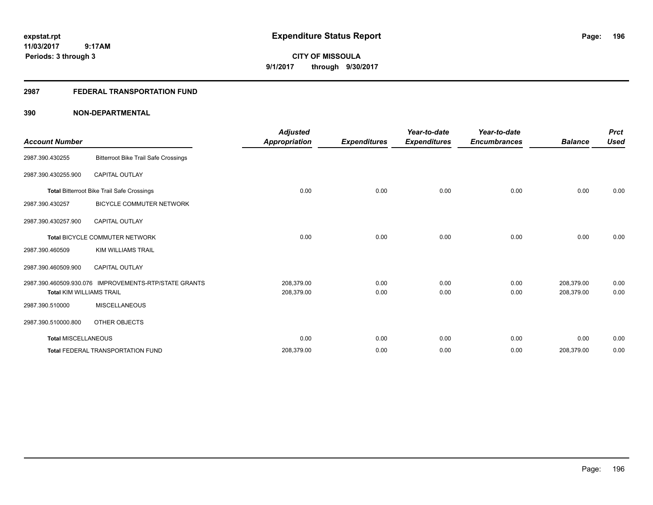**CITY OF MISSOULA 9/1/2017 through 9/30/2017**

### **2987 FEDERAL TRANSPORTATION FUND**

| <b>Account Number</b>           |                                                       | <b>Adjusted</b><br>Appropriation | <b>Expenditures</b> | Year-to-date<br><b>Expenditures</b> | Year-to-date<br><b>Encumbrances</b> | <b>Balance</b> | <b>Prct</b><br><b>Used</b> |
|---------------------------------|-------------------------------------------------------|----------------------------------|---------------------|-------------------------------------|-------------------------------------|----------------|----------------------------|
| 2987.390.430255                 | <b>Bitterroot Bike Trail Safe Crossings</b>           |                                  |                     |                                     |                                     |                |                            |
| 2987.390.430255.900             | <b>CAPITAL OUTLAY</b>                                 |                                  |                     |                                     |                                     |                |                            |
|                                 | <b>Total Bitterroot Bike Trail Safe Crossings</b>     | 0.00                             | 0.00                | 0.00                                | 0.00                                | 0.00           | 0.00                       |
| 2987.390.430257                 | <b>BICYCLE COMMUTER NETWORK</b>                       |                                  |                     |                                     |                                     |                |                            |
| 2987.390.430257.900             | <b>CAPITAL OUTLAY</b>                                 |                                  |                     |                                     |                                     |                |                            |
|                                 | <b>Total BICYCLE COMMUTER NETWORK</b>                 | 0.00                             | 0.00                | 0.00                                | 0.00                                | 0.00           | 0.00                       |
| 2987.390.460509                 | <b>KIM WILLIAMS TRAIL</b>                             |                                  |                     |                                     |                                     |                |                            |
| 2987.390.460509.900             | <b>CAPITAL OUTLAY</b>                                 |                                  |                     |                                     |                                     |                |                            |
|                                 | 2987.390.460509.930.076 IMPROVEMENTS-RTP/STATE GRANTS | 208,379.00                       | 0.00                | 0.00                                | 0.00                                | 208,379.00     | 0.00                       |
| <b>Total KIM WILLIAMS TRAIL</b> |                                                       | 208,379.00                       | 0.00                | 0.00                                | 0.00                                | 208,379.00     | 0.00                       |
| 2987.390.510000                 | <b>MISCELLANEOUS</b>                                  |                                  |                     |                                     |                                     |                |                            |
| 2987.390.510000.800             | OTHER OBJECTS                                         |                                  |                     |                                     |                                     |                |                            |
| <b>Total MISCELLANEOUS</b>      |                                                       | 0.00                             | 0.00                | 0.00                                | 0.00                                | 0.00           | 0.00                       |
|                                 | <b>Total FEDERAL TRANSPORTATION FUND</b>              | 208,379.00                       | 0.00                | 0.00                                | 0.00                                | 208,379.00     | 0.00                       |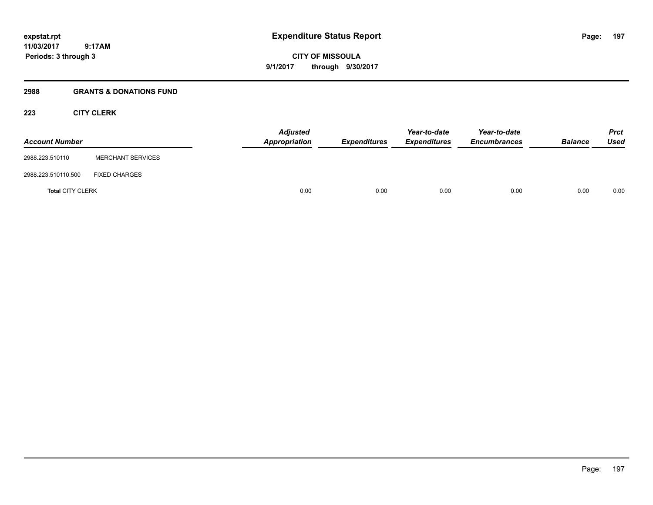**CITY OF MISSOULA 9/1/2017 through 9/30/2017**

### **2988 GRANTS & DONATIONS FUND**

### **223 CITY CLERK**

| <b>Account Number</b>   |                          | <b>Adjusted</b><br>Appropriation | Expenditures | Year-to-date<br><b>Expenditures</b> | Year-to-date<br><b>Encumbrances</b> | <b>Balance</b> | <b>Prct</b><br>Used |
|-------------------------|--------------------------|----------------------------------|--------------|-------------------------------------|-------------------------------------|----------------|---------------------|
| 2988.223.510110         | <b>MERCHANT SERVICES</b> |                                  |              |                                     |                                     |                |                     |
| 2988.223.510110.500     | <b>FIXED CHARGES</b>     |                                  |              |                                     |                                     |                |                     |
| <b>Total CITY CLERK</b> |                          | 0.00                             | 0.00         | 0.00                                | 0.00                                | 0.00           | 0.00                |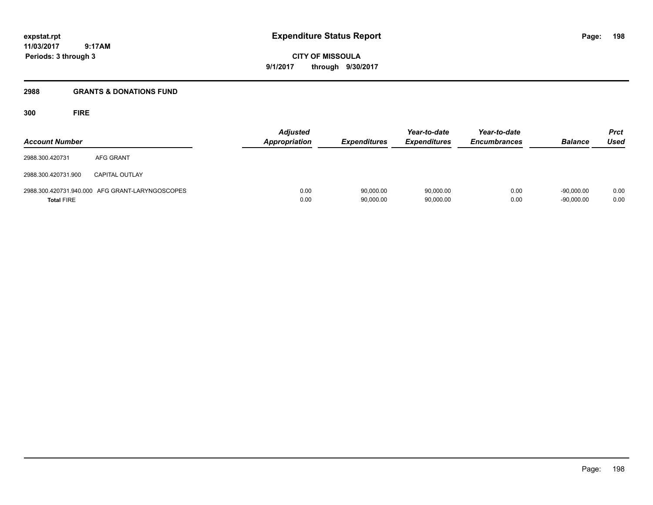**CITY OF MISSOULA 9/1/2017 through 9/30/2017**

### **2988 GRANTS & DONATIONS FUND**

**300 FIRE**

| <b>Account Number</b> |                                                 | Adjusted<br><b>Appropriation</b> | <b>Expenditures</b>    | Year-to-date<br><b>Expenditures</b> | Year-to-date<br><b>Encumbrances</b> | <b>Balance</b>               | <b>Prct</b><br><b>Used</b> |
|-----------------------|-------------------------------------------------|----------------------------------|------------------------|-------------------------------------|-------------------------------------|------------------------------|----------------------------|
| 2988.300.420731       | AFG GRANT                                       |                                  |                        |                                     |                                     |                              |                            |
| 2988.300.420731.900   | <b>CAPITAL OUTLAY</b>                           |                                  |                        |                                     |                                     |                              |                            |
| <b>Total FIRE</b>     | 2988.300.420731.940.000 AFG GRANT-LARYNGOSCOPES | 0.00<br>0.00                     | 90,000.00<br>90,000.00 | 90,000.00<br>90,000.00              | 0.00<br>0.00                        | $-90.000.00$<br>$-90,000.00$ | 0.00<br>0.00               |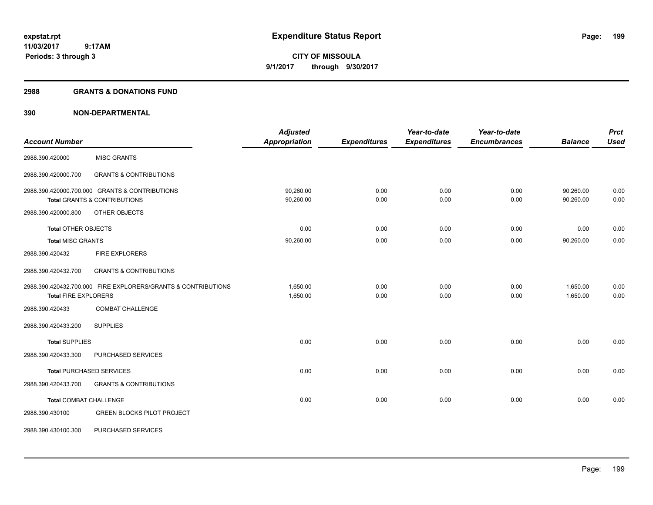**CITY OF MISSOULA 9/1/2017 through 9/30/2017**

### **2988 GRANTS & DONATIONS FUND**

|                               |                                                               | <b>Adjusted</b>      |                     | Year-to-date        | Year-to-date        |                | <b>Prct</b> |
|-------------------------------|---------------------------------------------------------------|----------------------|---------------------|---------------------|---------------------|----------------|-------------|
| <b>Account Number</b>         |                                                               | <b>Appropriation</b> | <b>Expenditures</b> | <b>Expenditures</b> | <b>Encumbrances</b> | <b>Balance</b> | <b>Used</b> |
| 2988.390.420000               | <b>MISC GRANTS</b>                                            |                      |                     |                     |                     |                |             |
| 2988.390.420000.700           | <b>GRANTS &amp; CONTRIBUTIONS</b>                             |                      |                     |                     |                     |                |             |
|                               | 2988.390.420000.700.000 GRANTS & CONTRIBUTIONS                | 90,260.00            | 0.00                | 0.00                | 0.00                | 90,260.00      | 0.00        |
|                               | <b>Total GRANTS &amp; CONTRIBUTIONS</b>                       | 90,260.00            | 0.00                | 0.00                | 0.00                | 90,260.00      | 0.00        |
| 2988.390.420000.800           | OTHER OBJECTS                                                 |                      |                     |                     |                     |                |             |
| <b>Total OTHER OBJECTS</b>    |                                                               | 0.00                 | 0.00                | 0.00                | 0.00                | 0.00           | 0.00        |
| <b>Total MISC GRANTS</b>      |                                                               | 90,260.00            | 0.00                | 0.00                | 0.00                | 90,260.00      | 0.00        |
| 2988.390.420432               | <b>FIRE EXPLORERS</b>                                         |                      |                     |                     |                     |                |             |
| 2988.390.420432.700           | <b>GRANTS &amp; CONTRIBUTIONS</b>                             |                      |                     |                     |                     |                |             |
|                               | 2988.390.420432.700.000 FIRE EXPLORERS/GRANTS & CONTRIBUTIONS | 1.650.00             | 0.00                | 0.00                | 0.00                | 1,650.00       | 0.00        |
| <b>Total FIRE EXPLORERS</b>   |                                                               | 1,650.00             | 0.00                | 0.00                | 0.00                | 1,650.00       | 0.00        |
| 2988.390.420433               | <b>COMBAT CHALLENGE</b>                                       |                      |                     |                     |                     |                |             |
| 2988.390.420433.200           | <b>SUPPLIES</b>                                               |                      |                     |                     |                     |                |             |
| <b>Total SUPPLIES</b>         |                                                               | 0.00                 | 0.00                | 0.00                | 0.00                | 0.00           | 0.00        |
| 2988.390.420433.300           | PURCHASED SERVICES                                            |                      |                     |                     |                     |                |             |
|                               | <b>Total PURCHASED SERVICES</b>                               | 0.00                 | 0.00                | 0.00                | 0.00                | 0.00           | 0.00        |
| 2988.390.420433.700           | <b>GRANTS &amp; CONTRIBUTIONS</b>                             |                      |                     |                     |                     |                |             |
| <b>Total COMBAT CHALLENGE</b> |                                                               | 0.00                 | 0.00                | 0.00                | 0.00                | 0.00           | 0.00        |
| 2988.390.430100               | GREEN BLOCKS PILOT PROJECT                                    |                      |                     |                     |                     |                |             |
| 2988.390.430100.300           | PURCHASED SERVICES                                            |                      |                     |                     |                     |                |             |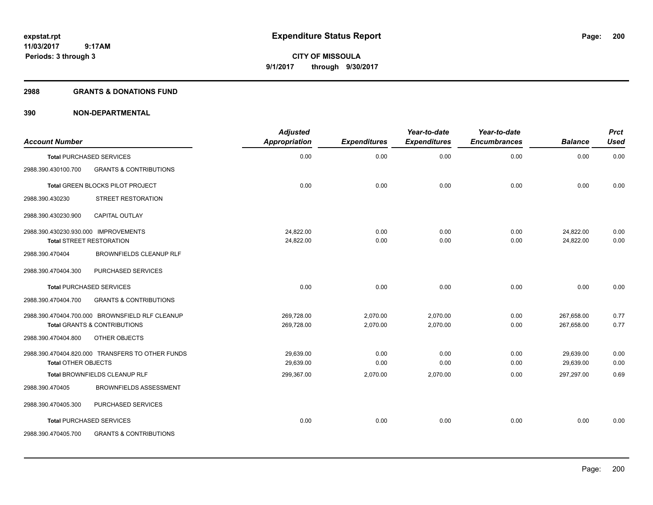**200**

**11/03/2017 9:17AM Periods: 3 through 3**

**CITY OF MISSOULA 9/1/2017 through 9/30/2017**

### **2988 GRANTS & DONATIONS FUND**

| <b>Account Number</b>                |                                                  | <b>Adjusted</b><br><b>Appropriation</b> | <b>Expenditures</b> | Year-to-date<br><b>Expenditures</b> | Year-to-date<br><b>Encumbrances</b> | <b>Balance</b> | <b>Prct</b><br><b>Used</b> |
|--------------------------------------|--------------------------------------------------|-----------------------------------------|---------------------|-------------------------------------|-------------------------------------|----------------|----------------------------|
|                                      | <b>Total PURCHASED SERVICES</b>                  | 0.00                                    | 0.00                | 0.00                                | 0.00                                | 0.00           | 0.00                       |
| 2988.390.430100.700                  | <b>GRANTS &amp; CONTRIBUTIONS</b>                |                                         |                     |                                     |                                     |                |                            |
|                                      | <b>Total GREEN BLOCKS PILOT PROJECT</b>          | 0.00                                    | 0.00                | 0.00                                | 0.00                                | 0.00           | 0.00                       |
| 2988.390.430230                      | STREET RESTORATION                               |                                         |                     |                                     |                                     |                |                            |
| 2988.390.430230.900                  | <b>CAPITAL OUTLAY</b>                            |                                         |                     |                                     |                                     |                |                            |
| 2988.390.430230.930.000 IMPROVEMENTS |                                                  | 24,822.00                               | 0.00                | 0.00                                | 0.00                                | 24,822.00      | 0.00                       |
|                                      | <b>Total STREET RESTORATION</b>                  | 24,822.00                               | 0.00                | 0.00                                | 0.00                                | 24,822.00      | 0.00                       |
| 2988.390.470404                      | <b>BROWNFIELDS CLEANUP RLF</b>                   |                                         |                     |                                     |                                     |                |                            |
| 2988.390.470404.300                  | PURCHASED SERVICES                               |                                         |                     |                                     |                                     |                |                            |
|                                      | <b>Total PURCHASED SERVICES</b>                  | 0.00                                    | 0.00                | 0.00                                | 0.00                                | 0.00           | 0.00                       |
| 2988.390.470404.700                  | <b>GRANTS &amp; CONTRIBUTIONS</b>                |                                         |                     |                                     |                                     |                |                            |
|                                      | 2988.390.470404.700.000 BROWNSFIELD RLF CLEANUP  | 269,728.00                              | 2,070.00            | 2,070.00                            | 0.00                                | 267,658.00     | 0.77                       |
|                                      | <b>Total GRANTS &amp; CONTRIBUTIONS</b>          | 269,728.00                              | 2,070.00            | 2,070.00                            | 0.00                                | 267,658.00     | 0.77                       |
| 2988.390.470404.800                  | <b>OTHER OBJECTS</b>                             |                                         |                     |                                     |                                     |                |                            |
|                                      | 2988.390.470404.820.000 TRANSFERS TO OTHER FUNDS | 29.639.00                               | 0.00                | 0.00                                | 0.00                                | 29,639.00      | 0.00                       |
| <b>Total OTHER OBJECTS</b>           |                                                  | 29,639.00                               | 0.00                | 0.00                                | 0.00                                | 29,639.00      | 0.00                       |
|                                      | Total BROWNFIELDS CLEANUP RLF                    | 299,367.00                              | 2,070.00            | 2,070.00                            | 0.00                                | 297,297.00     | 0.69                       |
| 2988.390.470405                      | <b>BROWNFIELDS ASSESSMENT</b>                    |                                         |                     |                                     |                                     |                |                            |
| 2988.390.470405.300                  | PURCHASED SERVICES                               |                                         |                     |                                     |                                     |                |                            |
|                                      | <b>Total PURCHASED SERVICES</b>                  | 0.00                                    | 0.00                | 0.00                                | 0.00                                | 0.00           | 0.00                       |
| 2988.390.470405.700                  | <b>GRANTS &amp; CONTRIBUTIONS</b>                |                                         |                     |                                     |                                     |                |                            |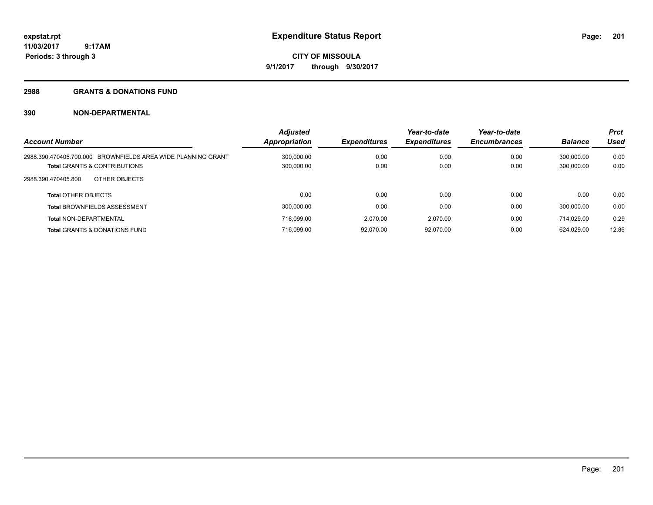# **CITY OF MISSOULA 9/1/2017 through 9/30/2017**

### **2988 GRANTS & DONATIONS FUND**

| <b>Account Number</b>                                        | <b>Adjusted</b><br><b>Appropriation</b> | <b>Expenditures</b> | Year-to-date<br><b>Expenditures</b> | Year-to-date<br><b>Encumbrances</b> | <b>Balance</b> | <b>Prct</b><br><b>Used</b> |
|--------------------------------------------------------------|-----------------------------------------|---------------------|-------------------------------------|-------------------------------------|----------------|----------------------------|
| 2988.390.470405.700.000 BROWNFIELDS AREA WIDE PLANNING GRANT | 300.000.00                              | 0.00                | 0.00                                | 0.00                                | 300.000.00     | 0.00                       |
| <b>Total GRANTS &amp; CONTRIBUTIONS</b>                      | 300,000.00                              | 0.00                | 0.00                                | 0.00                                | 300.000.00     | 0.00                       |
| OTHER OBJECTS<br>2988.390.470405.800                         |                                         |                     |                                     |                                     |                |                            |
| <b>Total OTHER OBJECTS</b>                                   | 0.00                                    | 0.00                | 0.00                                | 0.00                                | 0.00           | 0.00                       |
| <b>Total BROWNFIELDS ASSESSMENT</b>                          | 300.000.00                              | 0.00                | 0.00                                | 0.00                                | 300.000.00     | 0.00                       |
| <b>Total NON-DEPARTMENTAL</b>                                | 716.099.00                              | 2.070.00            | 2.070.00                            | 0.00                                | 714.029.00     | 0.29                       |
| <b>Total GRANTS &amp; DONATIONS FUND</b>                     | 716.099.00                              | 92.070.00           | 92.070.00                           | 0.00                                | 624.029.00     | 12.86                      |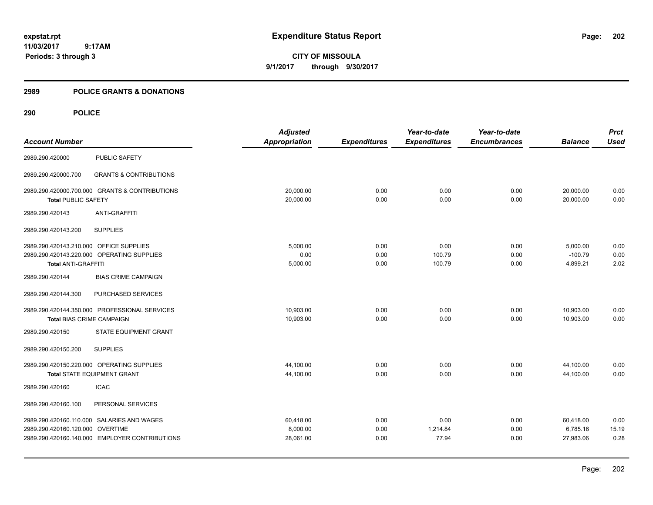**CITY OF MISSOULA 9/1/2017 through 9/30/2017**

### **2989 POLICE GRANTS & DONATIONS**

|                                         |                                                | <b>Adjusted</b>      |                     | Year-to-date        | Year-to-date        |                | <b>Prct</b> |
|-----------------------------------------|------------------------------------------------|----------------------|---------------------|---------------------|---------------------|----------------|-------------|
| <b>Account Number</b>                   |                                                | <b>Appropriation</b> | <b>Expenditures</b> | <b>Expenditures</b> | <b>Encumbrances</b> | <b>Balance</b> | <b>Used</b> |
| 2989.290.420000                         | <b>PUBLIC SAFETY</b>                           |                      |                     |                     |                     |                |             |
| 2989.290.420000.700                     | <b>GRANTS &amp; CONTRIBUTIONS</b>              |                      |                     |                     |                     |                |             |
|                                         | 2989.290.420000.700.000 GRANTS & CONTRIBUTIONS | 20,000.00            | 0.00                | 0.00                | 0.00                | 20,000.00      | 0.00        |
| <b>Total PUBLIC SAFETY</b>              |                                                | 20,000.00            | 0.00                | 0.00                | 0.00                | 20,000.00      | 0.00        |
| 2989.290.420143                         | <b>ANTI-GRAFFITI</b>                           |                      |                     |                     |                     |                |             |
| 2989.290.420143.200                     | <b>SUPPLIES</b>                                |                      |                     |                     |                     |                |             |
| 2989.290.420143.210.000 OFFICE SUPPLIES |                                                | 5,000.00             | 0.00                | 0.00                | 0.00                | 5,000.00       | 0.00        |
|                                         | 2989.290.420143.220.000 OPERATING SUPPLIES     | 0.00                 | 0.00                | 100.79              | 0.00                | $-100.79$      | 0.00        |
| <b>Total ANTI-GRAFFITI</b>              |                                                | 5,000.00             | 0.00                | 100.79              | 0.00                | 4,899.21       | 2.02        |
| 2989.290.420144                         | <b>BIAS CRIME CAMPAIGN</b>                     |                      |                     |                     |                     |                |             |
| 2989.290.420144.300                     | PURCHASED SERVICES                             |                      |                     |                     |                     |                |             |
|                                         | 2989.290.420144.350.000 PROFESSIONAL SERVICES  | 10,903.00            | 0.00                | 0.00                | 0.00                | 10,903.00      | 0.00        |
| <b>Total BIAS CRIME CAMPAIGN</b>        |                                                | 10,903.00            | 0.00                | 0.00                | 0.00                | 10.903.00      | 0.00        |
| 2989.290.420150                         | STATE EQUIPMENT GRANT                          |                      |                     |                     |                     |                |             |
| 2989.290.420150.200                     | <b>SUPPLIES</b>                                |                      |                     |                     |                     |                |             |
|                                         | 2989.290.420150.220.000 OPERATING SUPPLIES     | 44,100.00            | 0.00                | 0.00                | 0.00                | 44,100.00      | 0.00        |
|                                         | <b>Total STATE EQUIPMENT GRANT</b>             | 44,100.00            | 0.00                | 0.00                | 0.00                | 44.100.00      | 0.00        |
| 2989.290.420160                         | <b>ICAC</b>                                    |                      |                     |                     |                     |                |             |
| 2989.290.420160.100                     | PERSONAL SERVICES                              |                      |                     |                     |                     |                |             |
|                                         | 2989.290.420160.110.000 SALARIES AND WAGES     | 60,418.00            | 0.00                | 0.00                | 0.00                | 60,418.00      | 0.00        |
| 2989.290.420160.120.000 OVERTIME        |                                                | 8,000.00             | 0.00                | 1,214.84            | 0.00                | 6,785.16       | 15.19       |
|                                         | 2989.290.420160.140.000 EMPLOYER CONTRIBUTIONS | 28,061.00            | 0.00                | 77.94               | 0.00                | 27,983.06      | 0.28        |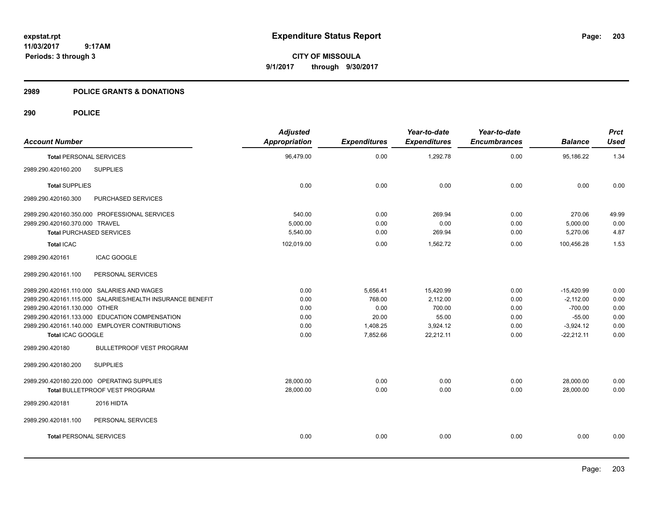**CITY OF MISSOULA 9/1/2017 through 9/30/2017**

### **2989 POLICE GRANTS & DONATIONS**

| <b>Adjusted</b><br>Appropriation | <b>Expenditures</b> | Year-to-date<br><b>Expenditures</b> | Year-to-date<br><b>Encumbrances</b> | <b>Balance</b> | <b>Prct</b><br><b>Used</b> |
|----------------------------------|---------------------|-------------------------------------|-------------------------------------|----------------|----------------------------|
| 96,479.00                        | 0.00                | 1,292.78                            | 0.00                                | 95,186.22      | 1.34                       |
|                                  |                     |                                     |                                     |                |                            |
| 0.00                             | 0.00                | 0.00                                | 0.00                                | 0.00           | 0.00                       |
|                                  |                     |                                     |                                     |                |                            |
| 540.00                           | 0.00                | 269.94                              | 0.00                                | 270.06         | 49.99                      |
| 5,000.00                         | 0.00                | 0.00                                | 0.00                                | 5,000.00       | 0.00                       |
| 5,540.00                         | 0.00                | 269.94                              | 0.00                                | 5,270.06       | 4.87                       |
| 102,019.00                       | 0.00                | 1,562.72                            | 0.00                                | 100,456.28     | 1.53                       |
|                                  |                     |                                     |                                     |                |                            |
|                                  |                     |                                     |                                     |                |                            |
| 0.00                             | 5,656.41            | 15,420.99                           | 0.00                                | $-15,420.99$   | 0.00                       |
| 0.00                             | 768.00              | 2,112.00                            | 0.00                                | $-2,112.00$    | 0.00                       |
| 0.00                             | 0.00                | 700.00                              | 0.00                                | $-700.00$      | 0.00                       |
| 0.00                             | 20.00               | 55.00                               | 0.00                                | $-55.00$       | 0.00                       |
| 0.00                             | 1,408.25            | 3,924.12                            | 0.00                                | $-3,924.12$    | 0.00                       |
| 0.00                             |                     |                                     |                                     |                | 0.00                       |
|                                  |                     |                                     |                                     |                |                            |
|                                  |                     |                                     |                                     |                |                            |
| 28,000.00                        | 0.00                | 0.00                                | 0.00                                | 28,000.00      | 0.00                       |
| 28,000.00                        | 0.00                | 0.00                                | 0.00                                | 28,000.00      | 0.00                       |
|                                  |                     |                                     |                                     |                |                            |
|                                  |                     |                                     |                                     |                |                            |
| 0.00                             | 0.00                | 0.00                                | 0.00                                | 0.00           | 0.00                       |
|                                  |                     | 7,852.66                            | 22,212.11                           | 0.00           | $-22,212.11$               |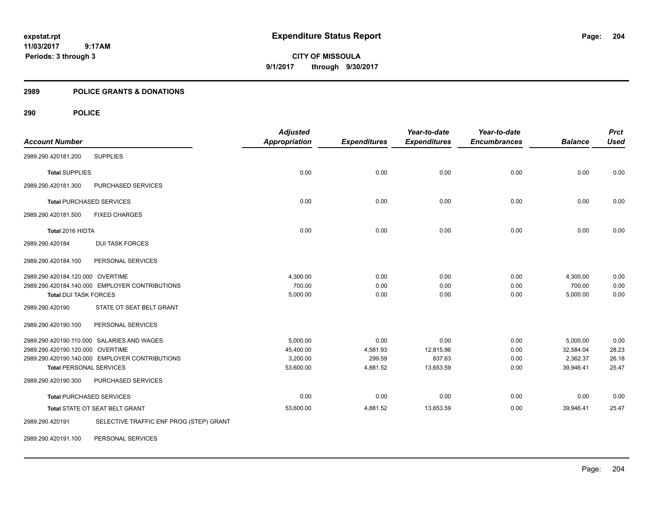**CITY OF MISSOULA 9/1/2017 through 9/30/2017**

### **2989 POLICE GRANTS & DONATIONS**

| <b>Account Number</b>            |                                                | <b>Adjusted</b><br><b>Appropriation</b> | <b>Expenditures</b> | Year-to-date<br><b>Expenditures</b> | Year-to-date<br><b>Encumbrances</b> | <b>Balance</b> | <b>Prct</b><br><b>Used</b> |
|----------------------------------|------------------------------------------------|-----------------------------------------|---------------------|-------------------------------------|-------------------------------------|----------------|----------------------------|
| 2989.290.420181.200              | <b>SUPPLIES</b>                                |                                         |                     |                                     |                                     |                |                            |
| <b>Total SUPPLIES</b>            |                                                | 0.00                                    | 0.00                | 0.00                                | 0.00                                | 0.00           | 0.00                       |
| 2989.290.420181.300              | PURCHASED SERVICES                             |                                         |                     |                                     |                                     |                |                            |
|                                  | <b>Total PURCHASED SERVICES</b>                | 0.00                                    | 0.00                | 0.00                                | 0.00                                | 0.00           | 0.00                       |
| 2989.290.420181.500              | <b>FIXED CHARGES</b>                           |                                         |                     |                                     |                                     |                |                            |
| Total 2016 HIDTA                 |                                                | 0.00                                    | 0.00                | 0.00                                | 0.00                                | 0.00           | 0.00                       |
| 2989.290.420184                  | <b>DUI TASK FORCES</b>                         |                                         |                     |                                     |                                     |                |                            |
| 2989.290.420184.100              | PERSONAL SERVICES                              |                                         |                     |                                     |                                     |                |                            |
| 2989.290.420184.120.000 OVERTIME |                                                | 4,300.00                                | 0.00                | 0.00                                | 0.00                                | 4,300.00       | 0.00                       |
|                                  | 2989.290.420184.140.000 EMPLOYER CONTRIBUTIONS | 700.00                                  | 0.00                | 0.00                                | 0.00                                | 700.00         | 0.00                       |
| <b>Total DUI TASK FORCES</b>     |                                                | 5,000.00                                | 0.00                | 0.00                                | 0.00                                | 5,000.00       | 0.00                       |
| 2989.290.420190                  | STATE OT SEAT BELT GRANT                       |                                         |                     |                                     |                                     |                |                            |
| 2989.290.420190.100              | PERSONAL SERVICES                              |                                         |                     |                                     |                                     |                |                            |
|                                  | 2989.290.420190.110.000 SALARIES AND WAGES     | 5.000.00                                | 0.00                | 0.00                                | 0.00                                | 5,000.00       | 0.00                       |
| 2989.290.420190.120.000 OVERTIME |                                                | 45,400.00                               | 4,581.93            | 12,815.96                           | 0.00                                | 32,584.04      | 28.23                      |
|                                  | 2989.290.420190.140.000 EMPLOYER CONTRIBUTIONS | 3,200.00                                | 299.59              | 837.63                              | 0.00                                | 2,362.37       | 26.18                      |
| <b>Total PERSONAL SERVICES</b>   |                                                | 53,600.00                               | 4,881.52            | 13,653.59                           | 0.00                                | 39,946.41      | 25.47                      |
| 2989.290.420190.300              | PURCHASED SERVICES                             |                                         |                     |                                     |                                     |                |                            |
|                                  | <b>Total PURCHASED SERVICES</b>                | 0.00                                    | 0.00                | 0.00                                | 0.00                                | 0.00           | 0.00                       |
|                                  | Total STATE OT SEAT BELT GRANT                 | 53,600.00                               | 4,881.52            | 13,653.59                           | 0.00                                | 39,946.41      | 25.47                      |
| 2989.290.420191                  | SELECTIVE TRAFFIC ENF PROG (STEP) GRANT        |                                         |                     |                                     |                                     |                |                            |
| 2989.290.420191.100              | PERSONAL SERVICES                              |                                         |                     |                                     |                                     |                |                            |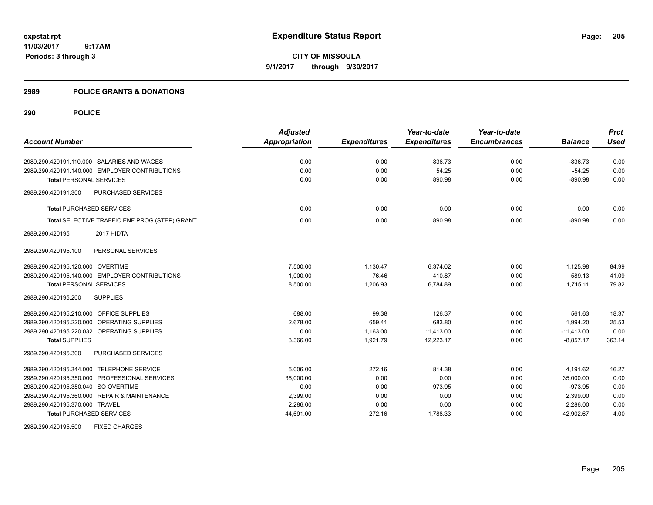**CITY OF MISSOULA 9/1/2017 through 9/30/2017**

### **2989 POLICE GRANTS & DONATIONS**

|                                                      | <b>Adjusted</b>      |                     | Year-to-date        | Year-to-date        |                | <b>Prct</b> |
|------------------------------------------------------|----------------------|---------------------|---------------------|---------------------|----------------|-------------|
| <b>Account Number</b>                                | <b>Appropriation</b> | <b>Expenditures</b> | <b>Expenditures</b> | <b>Encumbrances</b> | <b>Balance</b> | <b>Used</b> |
| 2989.290.420191.110.000 SALARIES AND WAGES           | 0.00                 | 0.00                | 836.73              | 0.00                | $-836.73$      | 0.00        |
| 2989.290.420191.140.000 EMPLOYER CONTRIBUTIONS       | 0.00                 | 0.00                | 54.25               | 0.00                | $-54.25$       | 0.00        |
| <b>Total PERSONAL SERVICES</b>                       | 0.00                 | 0.00                | 890.98              | 0.00                | $-890.98$      | 0.00        |
| PURCHASED SERVICES<br>2989.290.420191.300            |                      |                     |                     |                     |                |             |
| <b>Total PURCHASED SERVICES</b>                      | 0.00                 | 0.00                | 0.00                | 0.00                | 0.00           | 0.00        |
| Total SELECTIVE TRAFFIC ENF PROG (STEP) GRANT        | 0.00                 | 0.00                | 890.98              | 0.00                | $-890.98$      | 0.00        |
| 2017 HIDTA<br>2989.290.420195                        |                      |                     |                     |                     |                |             |
| PERSONAL SERVICES<br>2989.290.420195.100             |                      |                     |                     |                     |                |             |
| 2989.290.420195.120.000 OVERTIME                     | 7.500.00             | 1.130.47            | 6.374.02            | 0.00                | 1,125.98       | 84.99       |
| 2989.290.420195.140.000 EMPLOYER CONTRIBUTIONS       | 1.000.00             | 76.46               | 410.87              | 0.00                | 589.13         | 41.09       |
| <b>Total PERSONAL SERVICES</b>                       | 8,500.00             | 1,206.93            | 6,784.89            | 0.00                | 1,715.11       | 79.82       |
| <b>SUPPLIES</b><br>2989.290.420195.200               |                      |                     |                     |                     |                |             |
| 2989.290.420195.210.000 OFFICE SUPPLIES              | 688.00               | 99.38               | 126.37              | 0.00                | 561.63         | 18.37       |
| 2989.290.420195.220.000<br><b>OPERATING SUPPLIES</b> | 2,678.00             | 659.41              | 683.80              | 0.00                | 1,994.20       | 25.53       |
| 2989.290.420195.220.032 OPERATING SUPPLIES           | 0.00                 | 1,163.00            | 11,413.00           | 0.00                | $-11,413.00$   | 0.00        |
| <b>Total SUPPLIES</b>                                | 3,366.00             | 1,921.79            | 12,223.17           | 0.00                | $-8,857.17$    | 363.14      |
| 2989.290.420195.300<br>PURCHASED SERVICES            |                      |                     |                     |                     |                |             |
| 2989.290.420195.344.000 TELEPHONE SERVICE            | 5.006.00             | 272.16              | 814.38              | 0.00                | 4,191.62       | 16.27       |
| 2989.290.420195.350.000 PROFESSIONAL SERVICES        | 35,000.00            | 0.00                | 0.00                | 0.00                | 35,000.00      | 0.00        |
| 2989.290.420195.350.040 SO OVERTIME                  | 0.00                 | 0.00                | 973.95              | 0.00                | $-973.95$      | 0.00        |
| 2989.290.420195.360.000 REPAIR & MAINTENANCE         | 2,399.00             | 0.00                | 0.00                | 0.00                | 2,399.00       | 0.00        |
| 2989.290.420195.370.000 TRAVEL                       | 2,286.00             | 0.00                | 0.00                | 0.00                | 2,286.00       | 0.00        |
| <b>Total PURCHASED SERVICES</b>                      | 44,691.00            | 272.16              | 1,788.33            | 0.00                | 42,902.67      | 4.00        |
| <b>FIXED CHARGES</b><br>2989.290.420195.500          |                      |                     |                     |                     |                |             |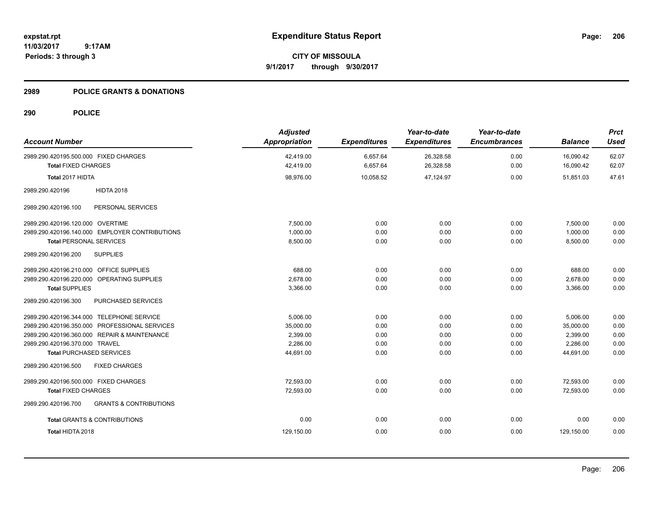**CITY OF MISSOULA 9/1/2017 through 9/30/2017**

### **2989 POLICE GRANTS & DONATIONS**

| <b>Adjusted</b><br><b>Appropriation</b> | <b>Expenditures</b>  | Year-to-date<br><b>Expenditures</b> | Year-to-date<br><b>Encumbrances</b> | <b>Balance</b>         | <b>Prct</b><br><b>Used</b> |
|-----------------------------------------|----------------------|-------------------------------------|-------------------------------------|------------------------|----------------------------|
| 42,419.00<br>42,419.00                  | 6,657.64<br>6,657.64 | 26,328.58<br>26,328.58              | 0.00<br>0.00                        | 16,090.42<br>16,090.42 | 62.07<br>62.07             |
| 98,976.00                               | 10,058.52            | 47,124.97                           | 0.00                                | 51,851.03              | 47.61                      |
|                                         |                      |                                     |                                     |                        |                            |
|                                         |                      |                                     |                                     |                        |                            |
| 7,500.00                                | 0.00                 | 0.00                                | 0.00                                | 7,500.00               | 0.00                       |
| 1,000.00                                | 0.00                 | 0.00                                | 0.00                                | 1,000.00               | 0.00                       |
| 8,500.00                                | 0.00                 | 0.00                                | 0.00                                | 8,500.00               | 0.00                       |
|                                         |                      |                                     |                                     |                        |                            |
| 688.00                                  | 0.00                 | 0.00                                | 0.00                                | 688.00                 | 0.00                       |
| 2,678.00                                | 0.00                 | 0.00                                | 0.00                                | 2,678.00               | 0.00                       |
| 3,366.00                                | 0.00                 | 0.00                                | 0.00                                | 3,366.00               | 0.00                       |
|                                         |                      |                                     |                                     |                        |                            |
| 5.006.00                                | 0.00                 | 0.00                                | 0.00                                | 5,006.00               | 0.00                       |
| 35,000.00                               | 0.00                 | 0.00                                | 0.00                                | 35,000.00              | 0.00                       |
| 2.399.00                                | 0.00                 | 0.00                                | 0.00                                | 2,399.00               | 0.00                       |
| 2,286.00                                | 0.00                 | 0.00                                | 0.00                                | 2,286.00               | 0.00                       |
|                                         |                      |                                     |                                     |                        | 0.00                       |
|                                         |                      |                                     |                                     |                        |                            |
| 72,593.00                               | 0.00                 | 0.00                                | 0.00                                | 72,593.00              | 0.00                       |
| 72,593.00                               | 0.00                 | 0.00                                | 0.00                                | 72,593.00              | 0.00                       |
|                                         |                      |                                     |                                     |                        |                            |
| 0.00                                    | 0.00                 | 0.00                                | 0.00                                | 0.00                   | 0.00                       |
| 129,150.00                              | 0.00                 | 0.00                                | 0.00                                | 129,150.00             | 0.00                       |
|                                         | 44,691.00            | 0.00                                | 0.00                                | 0.00                   | 44,691.00                  |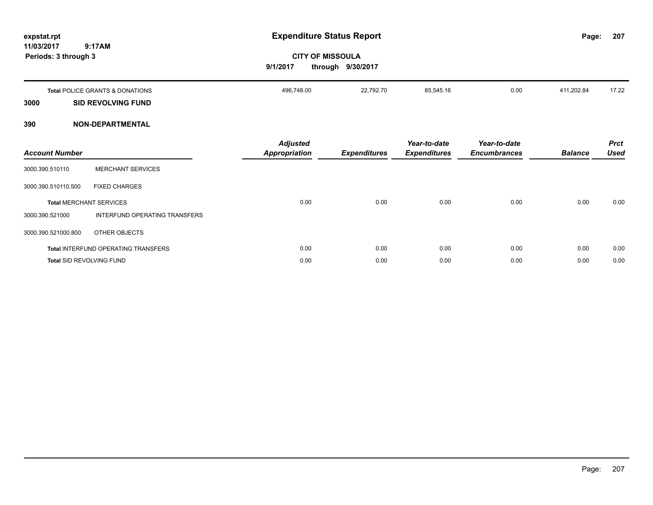| expstat.rpt<br>11/03/2017<br>Periods: 3 through 3 | 9:17AM                                     | 9/1/2017                                | <b>Expenditure Status Report</b><br><b>CITY OF MISSOULA</b><br>through 9/30/2017 |                                     |                                     | Page:          | 207                        |
|---------------------------------------------------|--------------------------------------------|-----------------------------------------|----------------------------------------------------------------------------------|-------------------------------------|-------------------------------------|----------------|----------------------------|
|                                                   | <b>Total POLICE GRANTS &amp; DONATIONS</b> | 496,748.00                              | 22,792.70                                                                        | 85,545.16                           | 0.00                                | 411,202.84     | 17.22                      |
| 3000                                              | <b>SID REVOLVING FUND</b>                  |                                         |                                                                                  |                                     |                                     |                |                            |
| 390                                               | <b>NON-DEPARTMENTAL</b>                    |                                         |                                                                                  |                                     |                                     |                |                            |
| <b>Account Number</b>                             |                                            | <b>Adjusted</b><br><b>Appropriation</b> | <b>Expenditures</b>                                                              | Year-to-date<br><b>Expenditures</b> | Year-to-date<br><b>Encumbrances</b> | <b>Balance</b> | <b>Prct</b><br><b>Used</b> |
| 3000.390.510110                                   | <b>MERCHANT SERVICES</b>                   |                                         |                                                                                  |                                     |                                     |                |                            |
| 3000.390.510110.500                               | <b>FIXED CHARGES</b>                       |                                         |                                                                                  |                                     |                                     |                |                            |
|                                                   | <b>Total MERCHANT SERVICES</b>             | 0.00                                    | 0.00                                                                             | 0.00                                | 0.00                                | 0.00           | 0.00                       |
| 3000.390.521000                                   | INTERFUND OPERATING TRANSFERS              |                                         |                                                                                  |                                     |                                     |                |                            |
| 3000.390.521000.800                               | OTHER OBJECTS                              |                                         |                                                                                  |                                     |                                     |                |                            |
|                                                   | Total INTERFUND OPERATING TRANSFERS        | 0.00                                    | 0.00                                                                             | 0.00                                | 0.00                                | 0.00           | 0.00                       |
|                                                   | <b>Total SID REVOLVING FUND</b>            | 0.00                                    | 0.00                                                                             | 0.00                                | 0.00                                | 0.00           | 0.00                       |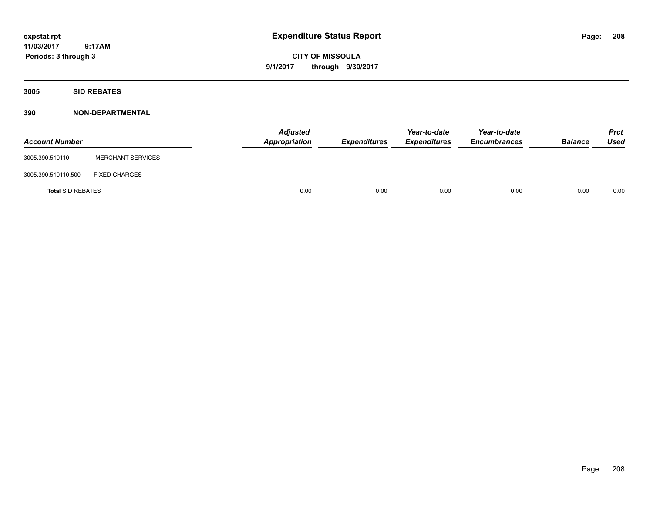**CITY OF MISSOULA 9/1/2017 through 9/30/2017**

**3005 SID REBATES**

| <b>Account Number</b>    |                          | <b>Adjusted</b><br>Appropriation | Expenditures | Year-to-date<br><b>Expenditures</b> | Year-to-date<br><b>Encumbrances</b> | <b>Balance</b> | <b>Prct</b><br>Used |
|--------------------------|--------------------------|----------------------------------|--------------|-------------------------------------|-------------------------------------|----------------|---------------------|
| 3005.390.510110          | <b>MERCHANT SERVICES</b> |                                  |              |                                     |                                     |                |                     |
| 3005.390.510110.500      | <b>FIXED CHARGES</b>     |                                  |              |                                     |                                     |                |                     |
| <b>Total SID REBATES</b> |                          | 0.00                             | 0.00         | 0.00                                | 0.00                                | 0.00           | 0.00                |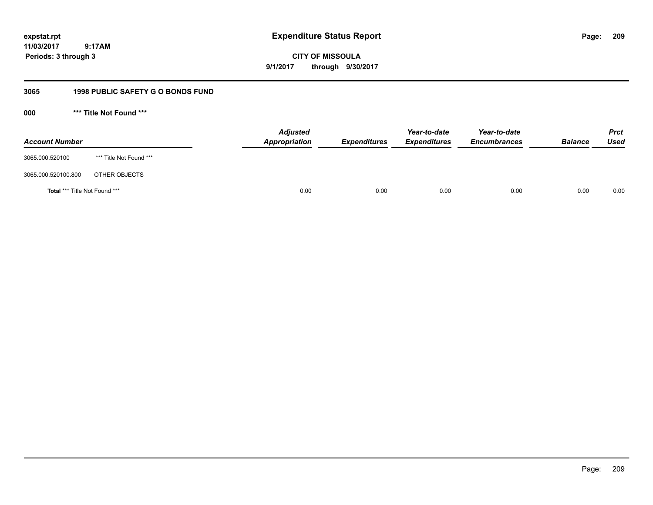**expstat.rpt Expenditure Status Report** 

**11/03/2017 9:17AM Periods: 3 through 3**

**CITY OF MISSOULA 9/1/2017 through 9/30/2017**

# **3065 1998 PUBLIC SAFETY G O BONDS FUND**

**000 \*\*\* Title Not Found \*\*\***

| <b>Account Number</b>         |                         | <b>Adjusted</b><br>Appropriation | <b>Expenditures</b> | Year-to-date<br><b>Expenditures</b> | Year-to-date<br><b>Encumbrances</b> | <b>Balance</b> | Prct<br><b>Used</b> |
|-------------------------------|-------------------------|----------------------------------|---------------------|-------------------------------------|-------------------------------------|----------------|---------------------|
| 3065.000.520100               | *** Title Not Found *** |                                  |                     |                                     |                                     |                |                     |
| 3065.000.520100.800           | OTHER OBJECTS           |                                  |                     |                                     |                                     |                |                     |
| Total *** Title Not Found *** |                         | 0.00                             | 0.00                | 0.00                                | 0.00                                | 0.00           | 0.00                |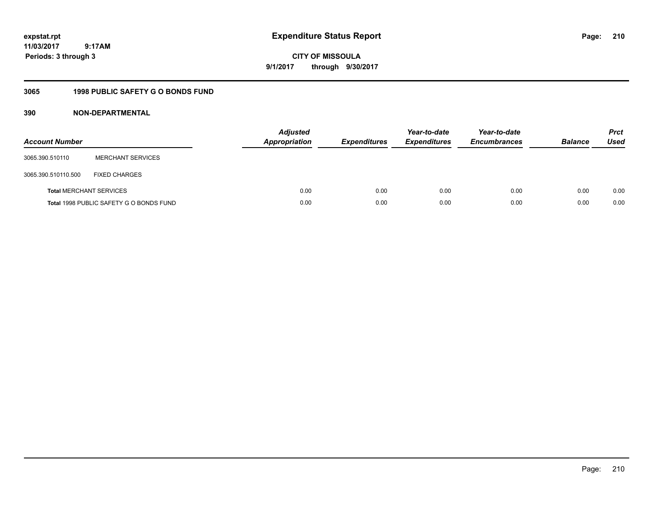# **CITY OF MISSOULA 9/1/2017 through 9/30/2017**

# **3065 1998 PUBLIC SAFETY G O BONDS FUND**

| <b>Account Number</b>          |                                         | <b>Adjusted</b><br><b>Appropriation</b> | <b>Expenditures</b> | Year-to-date<br><b>Expenditures</b> | Year-to-date<br><b>Encumbrances</b> | <b>Balance</b> | <b>Prct</b><br><b>Used</b> |
|--------------------------------|-----------------------------------------|-----------------------------------------|---------------------|-------------------------------------|-------------------------------------|----------------|----------------------------|
| 3065.390.510110                | <b>MERCHANT SERVICES</b>                |                                         |                     |                                     |                                     |                |                            |
| 3065.390.510110.500            | <b>FIXED CHARGES</b>                    |                                         |                     |                                     |                                     |                |                            |
| <b>Total MERCHANT SERVICES</b> |                                         | 0.00                                    | 0.00                | 0.00                                | 0.00                                | 0.00           | 0.00                       |
|                                | Total 1998 PUBLIC SAFETY G O BONDS FUND | 0.00                                    | 0.00                | 0.00                                | 0.00                                | 0.00           | 0.00                       |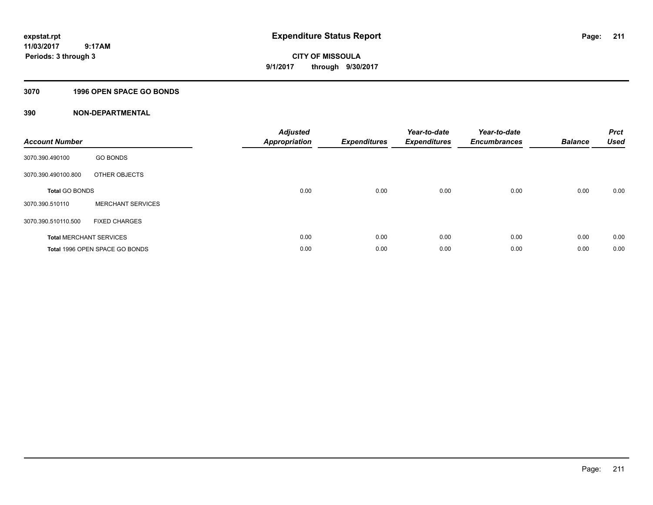# **CITY OF MISSOULA 9/1/2017 through 9/30/2017**

## **3070 1996 OPEN SPACE GO BONDS**

| <b>Account Number</b>          |                                | <b>Adjusted</b><br><b>Appropriation</b> | <b>Expenditures</b> | Year-to-date<br><b>Expenditures</b> | Year-to-date<br><b>Encumbrances</b> | <b>Balance</b> | <b>Prct</b><br><b>Used</b> |
|--------------------------------|--------------------------------|-----------------------------------------|---------------------|-------------------------------------|-------------------------------------|----------------|----------------------------|
| 3070.390.490100                | <b>GO BONDS</b>                |                                         |                     |                                     |                                     |                |                            |
| 3070.390.490100.800            | OTHER OBJECTS                  |                                         |                     |                                     |                                     |                |                            |
| <b>Total GO BONDS</b>          |                                | 0.00                                    | 0.00                | 0.00                                | 0.00                                | 0.00           | 0.00                       |
| 3070.390.510110                | <b>MERCHANT SERVICES</b>       |                                         |                     |                                     |                                     |                |                            |
| 3070.390.510110.500            | <b>FIXED CHARGES</b>           |                                         |                     |                                     |                                     |                |                            |
| <b>Total MERCHANT SERVICES</b> |                                | 0.00                                    | 0.00                | 0.00                                | 0.00                                | 0.00           | 0.00                       |
|                                | Total 1996 OPEN SPACE GO BONDS | 0.00                                    | 0.00                | 0.00                                | 0.00                                | 0.00           | 0.00                       |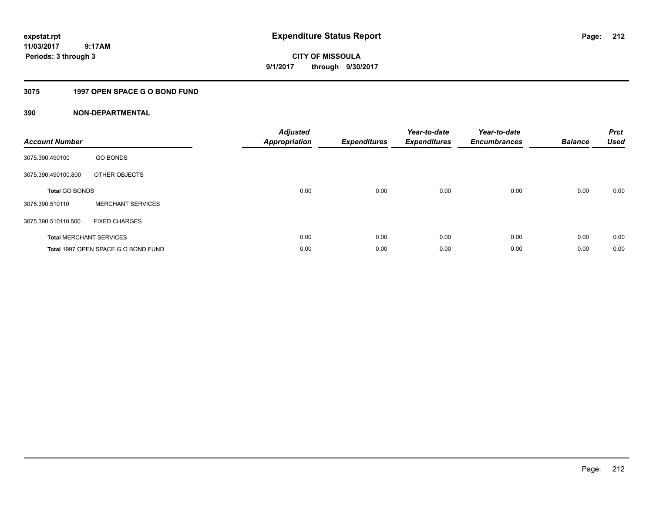**CITY OF MISSOULA 9/1/2017 through 9/30/2017**

## **3075 1997 OPEN SPACE G O BOND FUND**

| <b>Account Number</b> |                                     | <b>Adjusted</b><br><b>Appropriation</b> | <b>Expenditures</b> | Year-to-date<br><b>Expenditures</b> | Year-to-date<br><b>Encumbrances</b> | <b>Balance</b> | <b>Prct</b><br><b>Used</b> |
|-----------------------|-------------------------------------|-----------------------------------------|---------------------|-------------------------------------|-------------------------------------|----------------|----------------------------|
| 3075.390.490100       | <b>GO BONDS</b>                     |                                         |                     |                                     |                                     |                |                            |
| 3075.390.490100.800   | OTHER OBJECTS                       |                                         |                     |                                     |                                     |                |                            |
| <b>Total GO BONDS</b> |                                     | 0.00                                    | 0.00                | 0.00                                | 0.00                                | 0.00           | 0.00                       |
| 3075.390.510110       | <b>MERCHANT SERVICES</b>            |                                         |                     |                                     |                                     |                |                            |
| 3075.390.510110.500   | <b>FIXED CHARGES</b>                |                                         |                     |                                     |                                     |                |                            |
|                       | <b>Total MERCHANT SERVICES</b>      | 0.00                                    | 0.00                | 0.00                                | 0.00                                | 0.00           | 0.00                       |
|                       | Total 1997 OPEN SPACE G O BOND FUND | 0.00                                    | 0.00                | 0.00                                | 0.00                                | 0.00           | 0.00                       |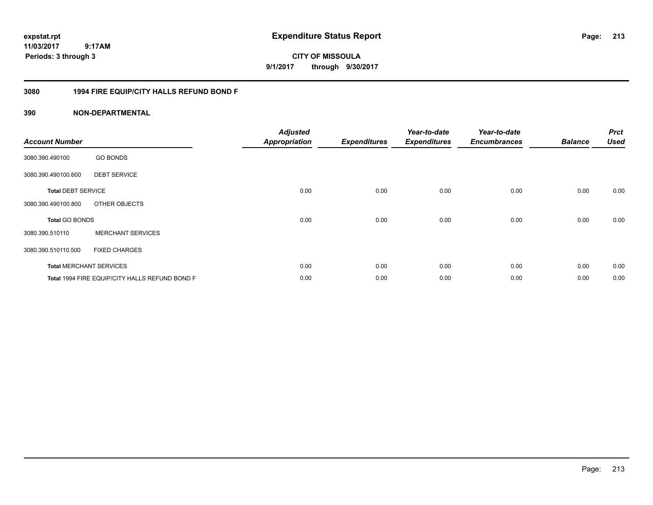**CITY OF MISSOULA 9/1/2017 through 9/30/2017**

### **3080 1994 FIRE EQUIP/CITY HALLS REFUND BOND F**

| <b>Account Number</b>     |                                                | <b>Adjusted</b><br><b>Appropriation</b> | <b>Expenditures</b> | Year-to-date<br><b>Expenditures</b> | Year-to-date<br><b>Encumbrances</b> | <b>Balance</b> | <b>Prct</b><br><b>Used</b> |
|---------------------------|------------------------------------------------|-----------------------------------------|---------------------|-------------------------------------|-------------------------------------|----------------|----------------------------|
| 3080.390.490100           | <b>GO BONDS</b>                                |                                         |                     |                                     |                                     |                |                            |
| 3080.390.490100.600       | <b>DEBT SERVICE</b>                            |                                         |                     |                                     |                                     |                |                            |
| <b>Total DEBT SERVICE</b> |                                                | 0.00                                    | 0.00                | 0.00                                | 0.00                                | 0.00           | 0.00                       |
| 3080.390.490100.800       | OTHER OBJECTS                                  |                                         |                     |                                     |                                     |                |                            |
| <b>Total GO BONDS</b>     |                                                | 0.00                                    | 0.00                | 0.00                                | 0.00                                | 0.00           | 0.00                       |
| 3080.390.510110           | <b>MERCHANT SERVICES</b>                       |                                         |                     |                                     |                                     |                |                            |
| 3080.390.510110.500       | <b>FIXED CHARGES</b>                           |                                         |                     |                                     |                                     |                |                            |
|                           | <b>Total MERCHANT SERVICES</b>                 | 0.00                                    | 0.00                | 0.00                                | 0.00                                | 0.00           | 0.00                       |
|                           | Total 1994 FIRE EQUIP/CITY HALLS REFUND BOND F | 0.00                                    | 0.00                | 0.00                                | 0.00                                | 0.00           | 0.00                       |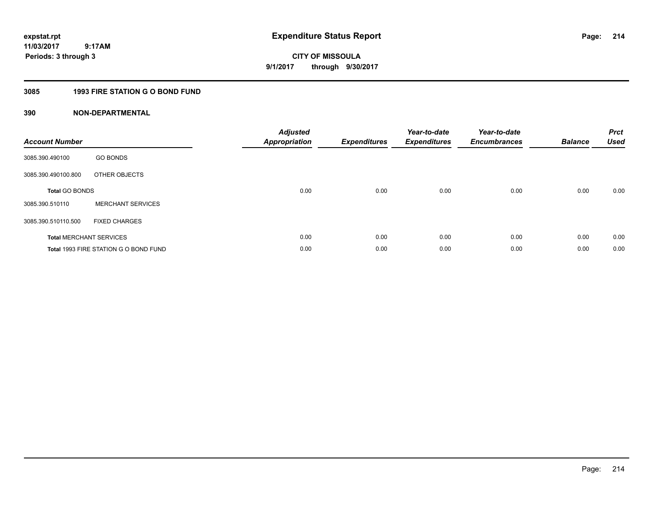**CITY OF MISSOULA 9/1/2017 through 9/30/2017**

## **3085 1993 FIRE STATION G O BOND FUND**

| <b>Account Number</b>          |                                       | <b>Adjusted</b><br>Appropriation | <b>Expenditures</b> | Year-to-date<br><b>Expenditures</b> | Year-to-date<br><b>Encumbrances</b> | <b>Balance</b> | <b>Prct</b><br><b>Used</b> |
|--------------------------------|---------------------------------------|----------------------------------|---------------------|-------------------------------------|-------------------------------------|----------------|----------------------------|
| 3085.390.490100                | <b>GO BONDS</b>                       |                                  |                     |                                     |                                     |                |                            |
| 3085.390.490100.800            | OTHER OBJECTS                         |                                  |                     |                                     |                                     |                |                            |
| <b>Total GO BONDS</b>          |                                       | 0.00                             | 0.00                | 0.00                                | 0.00                                | 0.00           | 0.00                       |
| 3085.390.510110                | <b>MERCHANT SERVICES</b>              |                                  |                     |                                     |                                     |                |                            |
| 3085.390.510110.500            | <b>FIXED CHARGES</b>                  |                                  |                     |                                     |                                     |                |                            |
| <b>Total MERCHANT SERVICES</b> |                                       | 0.00                             | 0.00                | 0.00                                | 0.00                                | 0.00           | 0.00                       |
|                                | Total 1993 FIRE STATION G O BOND FUND | 0.00                             | 0.00                | 0.00                                | 0.00                                | 0.00           | 0.00                       |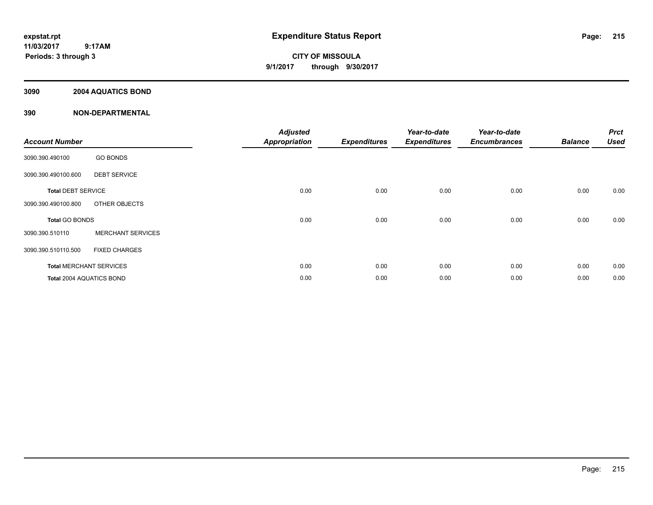**CITY OF MISSOULA 9/1/2017 through 9/30/2017**

### **3090 2004 AQUATICS BOND**

| <b>Account Number</b>          |                          | <b>Adjusted</b><br><b>Appropriation</b> | <b>Expenditures</b> | Year-to-date<br><b>Expenditures</b> | Year-to-date<br><b>Encumbrances</b> | <b>Balance</b> | <b>Prct</b><br><b>Used</b> |
|--------------------------------|--------------------------|-----------------------------------------|---------------------|-------------------------------------|-------------------------------------|----------------|----------------------------|
| 3090.390.490100                | <b>GO BONDS</b>          |                                         |                     |                                     |                                     |                |                            |
| 3090.390.490100.600            | <b>DEBT SERVICE</b>      |                                         |                     |                                     |                                     |                |                            |
| <b>Total DEBT SERVICE</b>      |                          | 0.00                                    | 0.00                | 0.00                                | 0.00                                | 0.00           | 0.00                       |
| 3090.390.490100.800            | OTHER OBJECTS            |                                         |                     |                                     |                                     |                |                            |
| Total GO BONDS                 |                          | 0.00                                    | 0.00                | 0.00                                | 0.00                                | 0.00           | 0.00                       |
| 3090.390.510110                | <b>MERCHANT SERVICES</b> |                                         |                     |                                     |                                     |                |                            |
| 3090.390.510110.500            | <b>FIXED CHARGES</b>     |                                         |                     |                                     |                                     |                |                            |
| <b>Total MERCHANT SERVICES</b> |                          | 0.00                                    | 0.00                | 0.00                                | 0.00                                | 0.00           | 0.00                       |
| Total 2004 AQUATICS BOND       |                          | 0.00                                    | 0.00                | 0.00                                | 0.00                                | 0.00           | 0.00                       |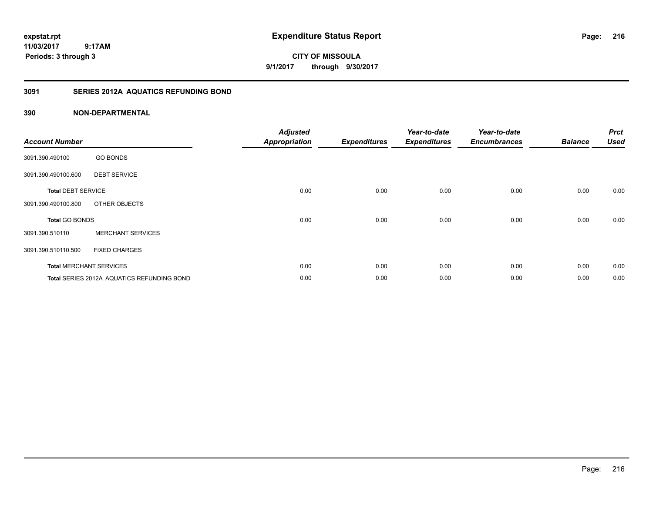**CITY OF MISSOULA 9/1/2017 through 9/30/2017**

## **3091 SERIES 2012A AQUATICS REFUNDING BOND**

| <b>Account Number</b>     |                                                   | <b>Adjusted</b><br><b>Appropriation</b> | <b>Expenditures</b> | Year-to-date<br><b>Expenditures</b> | Year-to-date<br><b>Encumbrances</b> | <b>Balance</b> | <b>Prct</b><br><b>Used</b> |
|---------------------------|---------------------------------------------------|-----------------------------------------|---------------------|-------------------------------------|-------------------------------------|----------------|----------------------------|
| 3091.390.490100           | <b>GO BONDS</b>                                   |                                         |                     |                                     |                                     |                |                            |
| 3091.390.490100.600       | <b>DEBT SERVICE</b>                               |                                         |                     |                                     |                                     |                |                            |
| <b>Total DEBT SERVICE</b> |                                                   | 0.00                                    | 0.00                | 0.00                                | 0.00                                | 0.00           | 0.00                       |
| 3091.390.490100.800       | OTHER OBJECTS                                     |                                         |                     |                                     |                                     |                |                            |
| <b>Total GO BONDS</b>     |                                                   | 0.00                                    | 0.00                | 0.00                                | 0.00                                | 0.00           | 0.00                       |
| 3091.390.510110           | <b>MERCHANT SERVICES</b>                          |                                         |                     |                                     |                                     |                |                            |
| 3091.390.510110.500       | <b>FIXED CHARGES</b>                              |                                         |                     |                                     |                                     |                |                            |
|                           | <b>Total MERCHANT SERVICES</b>                    | 0.00                                    | 0.00                | 0.00                                | 0.00                                | 0.00           | 0.00                       |
|                           | <b>Total SERIES 2012A AQUATICS REFUNDING BOND</b> | 0.00                                    | 0.00                | 0.00                                | 0.00                                | 0.00           | 0.00                       |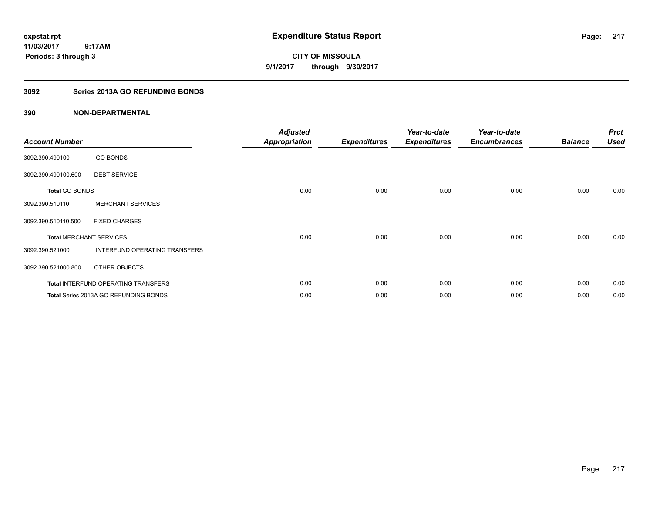**CITY OF MISSOULA 9/1/2017 through 9/30/2017**

# **3092 Series 2013A GO REFUNDING BONDS**

| <b>Account Number</b>          |                                       | <b>Adjusted</b><br><b>Appropriation</b> | <b>Expenditures</b> | Year-to-date<br><b>Expenditures</b> | Year-to-date<br><b>Encumbrances</b> | <b>Balance</b> | <b>Prct</b><br><b>Used</b> |
|--------------------------------|---------------------------------------|-----------------------------------------|---------------------|-------------------------------------|-------------------------------------|----------------|----------------------------|
| 3092.390.490100                | <b>GO BONDS</b>                       |                                         |                     |                                     |                                     |                |                            |
| 3092.390.490100.600            | <b>DEBT SERVICE</b>                   |                                         |                     |                                     |                                     |                |                            |
| <b>Total GO BONDS</b>          |                                       | 0.00                                    | 0.00                | 0.00                                | 0.00                                | 0.00           | 0.00                       |
| 3092.390.510110                | <b>MERCHANT SERVICES</b>              |                                         |                     |                                     |                                     |                |                            |
| 3092.390.510110.500            | <b>FIXED CHARGES</b>                  |                                         |                     |                                     |                                     |                |                            |
| <b>Total MERCHANT SERVICES</b> |                                       | 0.00                                    | 0.00                | 0.00                                | 0.00                                | 0.00           | 0.00                       |
| 3092.390.521000                | INTERFUND OPERATING TRANSFERS         |                                         |                     |                                     |                                     |                |                            |
| 3092.390.521000.800            | OTHER OBJECTS                         |                                         |                     |                                     |                                     |                |                            |
|                                | Total INTERFUND OPERATING TRANSFERS   | 0.00                                    | 0.00                | 0.00                                | 0.00                                | 0.00           | 0.00                       |
|                                | Total Series 2013A GO REFUNDING BONDS | 0.00                                    | 0.00                | 0.00                                | 0.00                                | 0.00           | 0.00                       |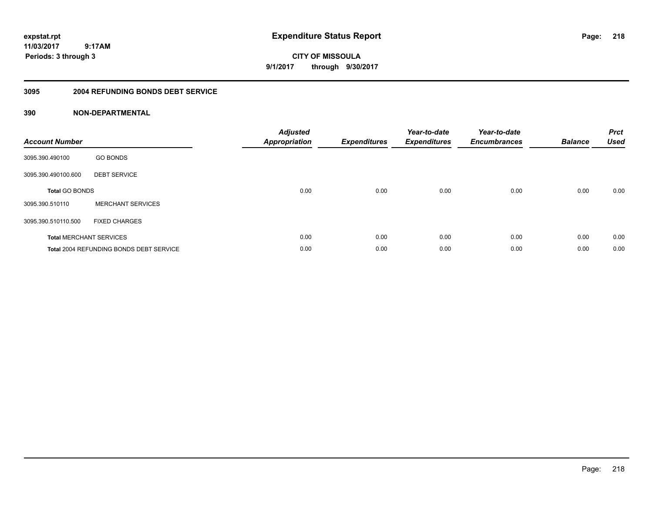**CITY OF MISSOULA 9/1/2017 through 9/30/2017**

### **3095 2004 REFUNDING BONDS DEBT SERVICE**

| <b>Account Number</b> |                                                | <b>Adjusted</b><br>Appropriation | <b>Expenditures</b> | Year-to-date<br><b>Expenditures</b> | Year-to-date<br><b>Encumbrances</b> | <b>Balance</b> | <b>Prct</b><br><b>Used</b> |
|-----------------------|------------------------------------------------|----------------------------------|---------------------|-------------------------------------|-------------------------------------|----------------|----------------------------|
| 3095.390.490100       | <b>GO BONDS</b>                                |                                  |                     |                                     |                                     |                |                            |
| 3095.390.490100.600   | <b>DEBT SERVICE</b>                            |                                  |                     |                                     |                                     |                |                            |
| <b>Total GO BONDS</b> |                                                | 0.00                             | 0.00                | 0.00                                | 0.00                                | 0.00           | 0.00                       |
| 3095.390.510110       | <b>MERCHANT SERVICES</b>                       |                                  |                     |                                     |                                     |                |                            |
| 3095.390.510110.500   | <b>FIXED CHARGES</b>                           |                                  |                     |                                     |                                     |                |                            |
|                       | <b>Total MERCHANT SERVICES</b>                 | 0.00                             | 0.00                | 0.00                                | 0.00                                | 0.00           | 0.00                       |
|                       | <b>Total 2004 REFUNDING BONDS DEBT SERVICE</b> | 0.00                             | 0.00                | 0.00                                | 0.00                                | 0.00           | 0.00                       |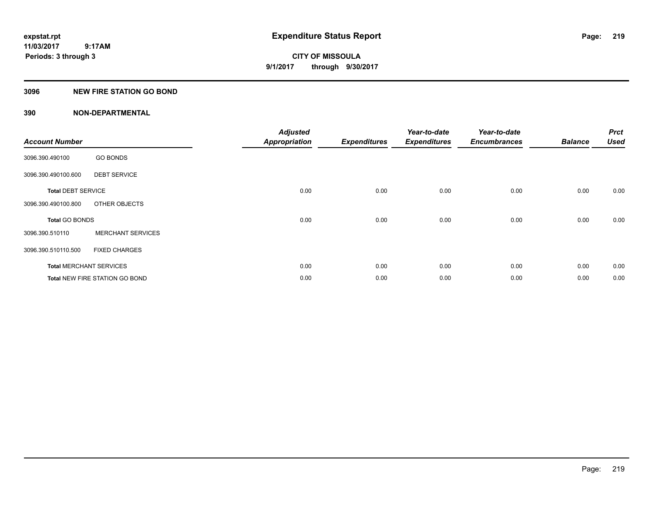**Periods: 3 through 3**

**CITY OF MISSOULA 9/1/2017 through 9/30/2017**

# **3096 NEW FIRE STATION GO BOND**

| <b>Account Number</b>     |                                       | <b>Adjusted</b><br><b>Appropriation</b> | <b>Expenditures</b> | Year-to-date<br><b>Expenditures</b> | Year-to-date<br><b>Encumbrances</b> | <b>Balance</b> | <b>Prct</b><br><b>Used</b> |
|---------------------------|---------------------------------------|-----------------------------------------|---------------------|-------------------------------------|-------------------------------------|----------------|----------------------------|
| 3096.390.490100           | <b>GO BONDS</b>                       |                                         |                     |                                     |                                     |                |                            |
| 3096.390.490100.600       | <b>DEBT SERVICE</b>                   |                                         |                     |                                     |                                     |                |                            |
| <b>Total DEBT SERVICE</b> |                                       | 0.00                                    | 0.00                | 0.00                                | 0.00                                | 0.00           | 0.00                       |
| 3096.390.490100.800       | OTHER OBJECTS                         |                                         |                     |                                     |                                     |                |                            |
| <b>Total GO BONDS</b>     |                                       | 0.00                                    | 0.00                | 0.00                                | 0.00                                | 0.00           | 0.00                       |
| 3096.390.510110           | <b>MERCHANT SERVICES</b>              |                                         |                     |                                     |                                     |                |                            |
| 3096.390.510110.500       | <b>FIXED CHARGES</b>                  |                                         |                     |                                     |                                     |                |                            |
|                           | <b>Total MERCHANT SERVICES</b>        | 0.00                                    | 0.00                | 0.00                                | 0.00                                | 0.00           | 0.00                       |
|                           | <b>Total NEW FIRE STATION GO BOND</b> | 0.00                                    | 0.00                | 0.00                                | 0.00                                | 0.00           | 0.00                       |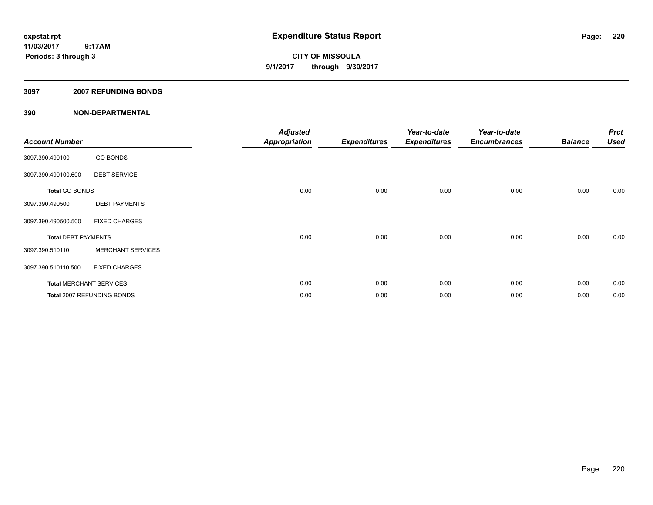**CITY OF MISSOULA 9/1/2017 through 9/30/2017**

### **3097 2007 REFUNDING BONDS**

| <b>Account Number</b>      |                                | <b>Adjusted</b><br>Appropriation | <b>Expenditures</b> | Year-to-date<br><b>Expenditures</b> | Year-to-date<br><b>Encumbrances</b> | <b>Balance</b> | <b>Prct</b><br><b>Used</b> |
|----------------------------|--------------------------------|----------------------------------|---------------------|-------------------------------------|-------------------------------------|----------------|----------------------------|
| 3097.390.490100            | <b>GO BONDS</b>                |                                  |                     |                                     |                                     |                |                            |
| 3097.390.490100.600        | <b>DEBT SERVICE</b>            |                                  |                     |                                     |                                     |                |                            |
| <b>Total GO BONDS</b>      |                                | 0.00                             | 0.00                | 0.00                                | 0.00                                | 0.00           | 0.00                       |
| 3097.390.490500            | <b>DEBT PAYMENTS</b>           |                                  |                     |                                     |                                     |                |                            |
| 3097.390.490500.500        | <b>FIXED CHARGES</b>           |                                  |                     |                                     |                                     |                |                            |
| <b>Total DEBT PAYMENTS</b> |                                | 0.00                             | 0.00                | 0.00                                | 0.00                                | 0.00           | 0.00                       |
| 3097.390.510110            | <b>MERCHANT SERVICES</b>       |                                  |                     |                                     |                                     |                |                            |
| 3097.390.510110.500        | <b>FIXED CHARGES</b>           |                                  |                     |                                     |                                     |                |                            |
|                            | <b>Total MERCHANT SERVICES</b> | 0.00                             | 0.00                | 0.00                                | 0.00                                | 0.00           | 0.00                       |
|                            | Total 2007 REFUNDING BONDS     | 0.00                             | 0.00                | 0.00                                | 0.00                                | 0.00           | 0.00                       |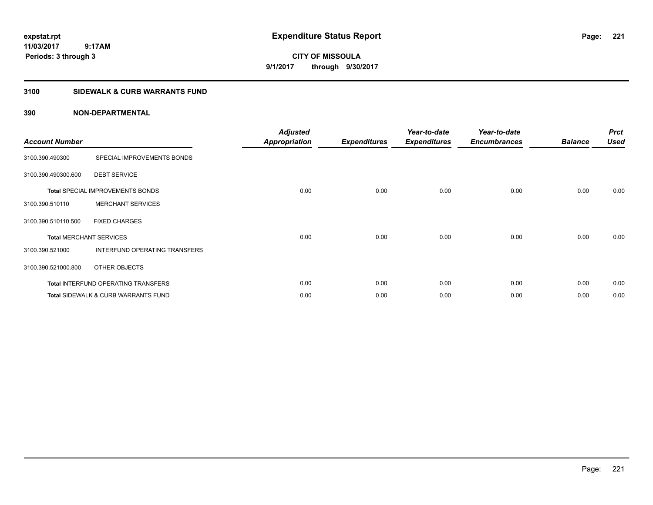**CITY OF MISSOULA 9/1/2017 through 9/30/2017**

# **3100 SIDEWALK & CURB WARRANTS FUND**

| <b>Account Number</b>          |                                                | <b>Adjusted</b><br><b>Appropriation</b> | <b>Expenditures</b> | Year-to-date<br><b>Expenditures</b> | Year-to-date<br><b>Encumbrances</b> | <b>Balance</b> | <b>Prct</b><br><b>Used</b> |
|--------------------------------|------------------------------------------------|-----------------------------------------|---------------------|-------------------------------------|-------------------------------------|----------------|----------------------------|
| 3100.390.490300                | SPECIAL IMPROVEMENTS BONDS                     |                                         |                     |                                     |                                     |                |                            |
| 3100.390.490300.600            | <b>DEBT SERVICE</b>                            |                                         |                     |                                     |                                     |                |                            |
|                                | <b>Total SPECIAL IMPROVEMENTS BONDS</b>        | 0.00                                    | 0.00                | 0.00                                | 0.00                                | 0.00           | 0.00                       |
| 3100.390.510110                | <b>MERCHANT SERVICES</b>                       |                                         |                     |                                     |                                     |                |                            |
| 3100.390.510110.500            | <b>FIXED CHARGES</b>                           |                                         |                     |                                     |                                     |                |                            |
| <b>Total MERCHANT SERVICES</b> |                                                | 0.00                                    | 0.00                | 0.00                                | 0.00                                | 0.00           | 0.00                       |
| 3100.390.521000                | INTERFUND OPERATING TRANSFERS                  |                                         |                     |                                     |                                     |                |                            |
| 3100.390.521000.800            | OTHER OBJECTS                                  |                                         |                     |                                     |                                     |                |                            |
|                                | Total INTERFUND OPERATING TRANSFERS            | 0.00                                    | 0.00                | 0.00                                | 0.00                                | 0.00           | 0.00                       |
|                                | <b>Total SIDEWALK &amp; CURB WARRANTS FUND</b> | 0.00                                    | 0.00                | 0.00                                | 0.00                                | 0.00           | 0.00                       |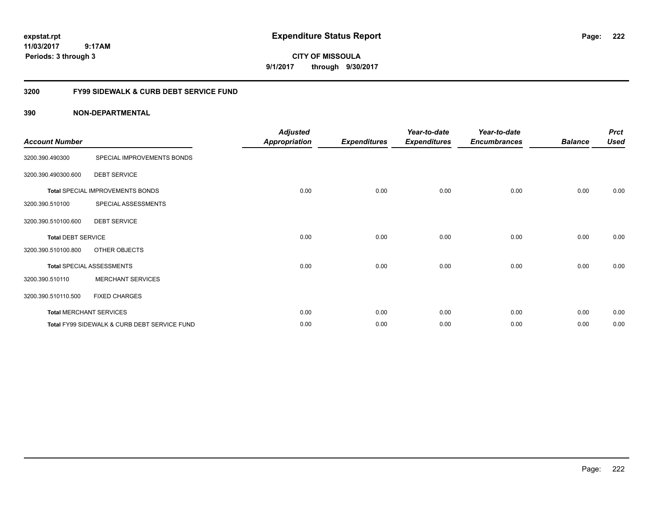**CITY OF MISSOULA 9/1/2017 through 9/30/2017**

# **3200 FY99 SIDEWALK & CURB DEBT SERVICE FUND**

| <b>Account Number</b>     |                                              | <b>Adjusted</b><br><b>Appropriation</b> | <b>Expenditures</b> | Year-to-date<br><b>Expenditures</b> | Year-to-date<br><b>Encumbrances</b> | <b>Balance</b> | <b>Prct</b><br><b>Used</b> |
|---------------------------|----------------------------------------------|-----------------------------------------|---------------------|-------------------------------------|-------------------------------------|----------------|----------------------------|
| 3200.390.490300           | SPECIAL IMPROVEMENTS BONDS                   |                                         |                     |                                     |                                     |                |                            |
| 3200.390.490300.600       | <b>DEBT SERVICE</b>                          |                                         |                     |                                     |                                     |                |                            |
|                           | Total SPECIAL IMPROVEMENTS BONDS             | 0.00                                    | 0.00                | 0.00                                | 0.00                                | 0.00           | 0.00                       |
| 3200.390.510100           | SPECIAL ASSESSMENTS                          |                                         |                     |                                     |                                     |                |                            |
| 3200.390.510100.600       | <b>DEBT SERVICE</b>                          |                                         |                     |                                     |                                     |                |                            |
| <b>Total DEBT SERVICE</b> |                                              | 0.00                                    | 0.00                | 0.00                                | 0.00                                | 0.00           | 0.00                       |
| 3200.390.510100.800       | OTHER OBJECTS                                |                                         |                     |                                     |                                     |                |                            |
|                           | <b>Total SPECIAL ASSESSMENTS</b>             | 0.00                                    | 0.00                | 0.00                                | 0.00                                | 0.00           | 0.00                       |
| 3200.390.510110           | <b>MERCHANT SERVICES</b>                     |                                         |                     |                                     |                                     |                |                            |
| 3200.390.510110.500       | <b>FIXED CHARGES</b>                         |                                         |                     |                                     |                                     |                |                            |
|                           | <b>Total MERCHANT SERVICES</b>               | 0.00                                    | 0.00                | 0.00                                | 0.00                                | 0.00           | 0.00                       |
|                           | Total FY99 SIDEWALK & CURB DEBT SERVICE FUND | 0.00                                    | 0.00                | 0.00                                | 0.00                                | 0.00           | 0.00                       |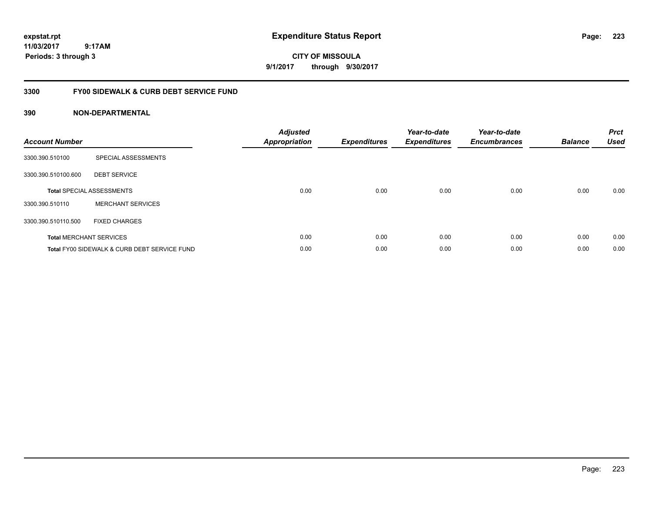**CITY OF MISSOULA 9/1/2017 through 9/30/2017**

# **3300 FY00 SIDEWALK & CURB DEBT SERVICE FUND**

| <b>Account Number</b> |                                              | <b>Adjusted</b><br>Appropriation | <b>Expenditures</b> | Year-to-date<br><b>Expenditures</b> | Year-to-date<br><b>Encumbrances</b> | <b>Balance</b> | <b>Prct</b><br><b>Used</b> |
|-----------------------|----------------------------------------------|----------------------------------|---------------------|-------------------------------------|-------------------------------------|----------------|----------------------------|
| 3300.390.510100       | SPECIAL ASSESSMENTS                          |                                  |                     |                                     |                                     |                |                            |
| 3300.390.510100.600   | <b>DEBT SERVICE</b>                          |                                  |                     |                                     |                                     |                |                            |
|                       | <b>Total SPECIAL ASSESSMENTS</b>             | 0.00                             | 0.00                | 0.00                                | 0.00                                | 0.00           | 0.00                       |
| 3300.390.510110       | <b>MERCHANT SERVICES</b>                     |                                  |                     |                                     |                                     |                |                            |
| 3300.390.510110.500   | <b>FIXED CHARGES</b>                         |                                  |                     |                                     |                                     |                |                            |
|                       | <b>Total MERCHANT SERVICES</b>               | 0.00                             | 0.00                | 0.00                                | 0.00                                | 0.00           | 0.00                       |
|                       | Total FY00 SIDEWALK & CURB DEBT SERVICE FUND | 0.00                             | 0.00                | 0.00                                | 0.00                                | 0.00           | 0.00                       |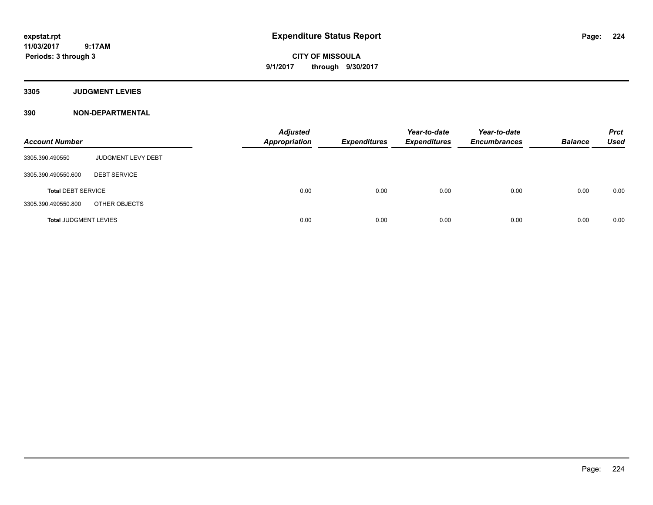**CITY OF MISSOULA 9/1/2017 through 9/30/2017**

**3305 JUDGMENT LEVIES**

| <b>Account Number</b>        |                     | <b>Adjusted</b><br><b>Appropriation</b> | <b>Expenditures</b> | Year-to-date<br><b>Expenditures</b> | Year-to-date<br><b>Encumbrances</b> | <b>Balance</b> | <b>Prct</b><br><b>Used</b> |
|------------------------------|---------------------|-----------------------------------------|---------------------|-------------------------------------|-------------------------------------|----------------|----------------------------|
| 3305.390.490550              | JUDGMENT LEVY DEBT  |                                         |                     |                                     |                                     |                |                            |
| 3305.390.490550.600          | <b>DEBT SERVICE</b> |                                         |                     |                                     |                                     |                |                            |
| <b>Total DEBT SERVICE</b>    |                     | 0.00                                    | 0.00                | 0.00                                | 0.00                                | 0.00           | 0.00                       |
| 3305.390.490550.800          | OTHER OBJECTS       |                                         |                     |                                     |                                     |                |                            |
| <b>Total JUDGMENT LEVIES</b> |                     | 0.00                                    | 0.00                | 0.00                                | 0.00                                | 0.00           | 0.00                       |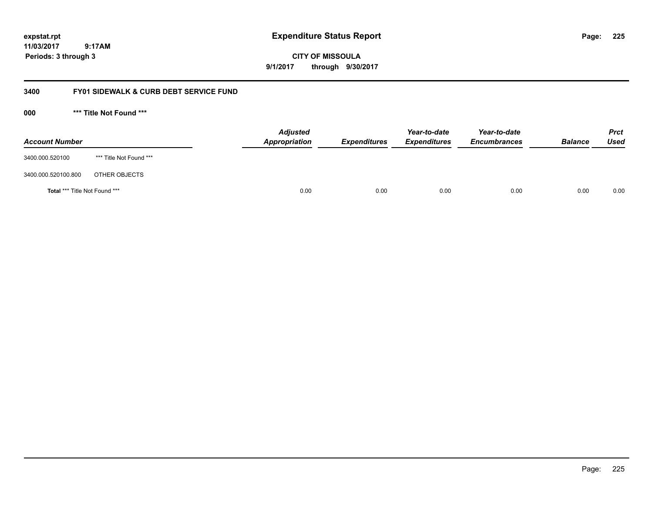**CITY OF MISSOULA 9/1/2017 through 9/30/2017**

# **3400 FY01 SIDEWALK & CURB DEBT SERVICE FUND**

**000 \*\*\* Title Not Found \*\*\***

| <b>Account Number</b>         |                         | <b>Adjusted</b><br>Appropriation | <b>Expenditures</b> | Year-to-date<br><b>Expenditures</b> | Year-to-date<br><b>Encumbrances</b> | <b>Balance</b> | Prct<br><b>Used</b> |
|-------------------------------|-------------------------|----------------------------------|---------------------|-------------------------------------|-------------------------------------|----------------|---------------------|
| 3400.000.520100               | *** Title Not Found *** |                                  |                     |                                     |                                     |                |                     |
| 3400.000.520100.800           | OTHER OBJECTS           |                                  |                     |                                     |                                     |                |                     |
| Total *** Title Not Found *** |                         | 0.00                             | 0.00                | 0.00                                | 0.00                                | 0.00           | 0.00                |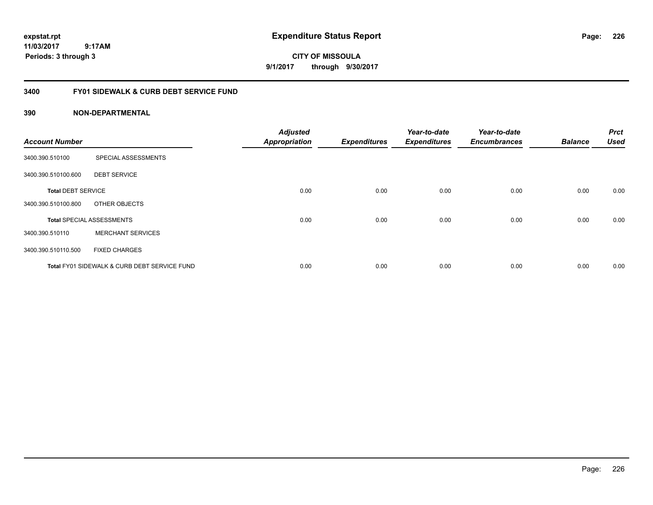**CITY OF MISSOULA 9/1/2017 through 9/30/2017**

# **3400 FY01 SIDEWALK & CURB DEBT SERVICE FUND**

| <b>Account Number</b>     |                                              | <b>Adjusted</b><br><b>Appropriation</b> | <b>Expenditures</b> | Year-to-date<br><b>Expenditures</b> | Year-to-date<br><b>Encumbrances</b> | <b>Balance</b> | <b>Prct</b><br><b>Used</b> |
|---------------------------|----------------------------------------------|-----------------------------------------|---------------------|-------------------------------------|-------------------------------------|----------------|----------------------------|
|                           |                                              |                                         |                     |                                     |                                     |                |                            |
| 3400.390.510100           | SPECIAL ASSESSMENTS                          |                                         |                     |                                     |                                     |                |                            |
| 3400.390.510100.600       | <b>DEBT SERVICE</b>                          |                                         |                     |                                     |                                     |                |                            |
| <b>Total DEBT SERVICE</b> |                                              | 0.00                                    | 0.00                | 0.00                                | 0.00                                | 0.00           | 0.00                       |
| 3400.390.510100.800       | OTHER OBJECTS                                |                                         |                     |                                     |                                     |                |                            |
|                           | <b>Total SPECIAL ASSESSMENTS</b>             | 0.00                                    | 0.00                | 0.00                                | 0.00                                | 0.00           | 0.00                       |
| 3400.390.510110           | <b>MERCHANT SERVICES</b>                     |                                         |                     |                                     |                                     |                |                            |
| 3400.390.510110.500       | <b>FIXED CHARGES</b>                         |                                         |                     |                                     |                                     |                |                            |
|                           | Total FY01 SIDEWALK & CURB DEBT SERVICE FUND | 0.00                                    | 0.00                | 0.00                                | 0.00                                | 0.00           | 0.00                       |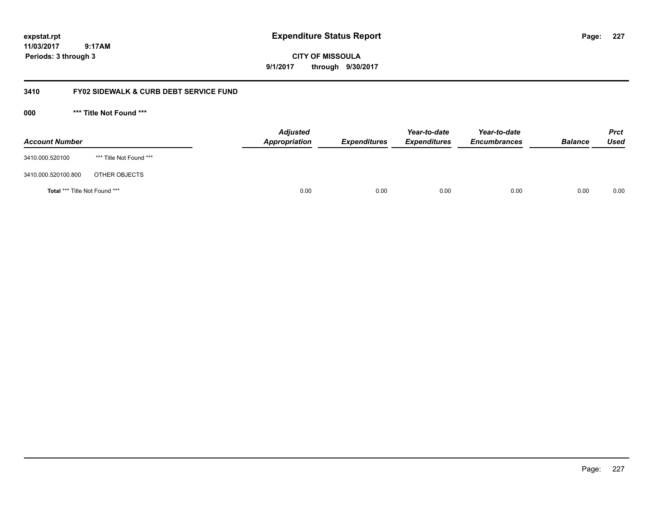**CITY OF MISSOULA 9/1/2017 through 9/30/2017**

# **3410 FY02 SIDEWALK & CURB DEBT SERVICE FUND**

**000 \*\*\* Title Not Found \*\*\***

| <b>Account Number</b>         |                         | <b>Adjusted</b><br>Appropriation | <b>Expenditures</b> | Year-to-date<br><b>Expenditures</b> | Year-to-date<br><b>Encumbrances</b> | <b>Balance</b> | <b>Prct</b><br><b>Used</b> |
|-------------------------------|-------------------------|----------------------------------|---------------------|-------------------------------------|-------------------------------------|----------------|----------------------------|
| 3410.000.520100               | *** Title Not Found *** |                                  |                     |                                     |                                     |                |                            |
| 3410.000.520100.800           | OTHER OBJECTS           |                                  |                     |                                     |                                     |                |                            |
| Total *** Title Not Found *** |                         | 0.00                             | 0.00                | 0.00                                | 0.00                                | 0.00           | 0.00                       |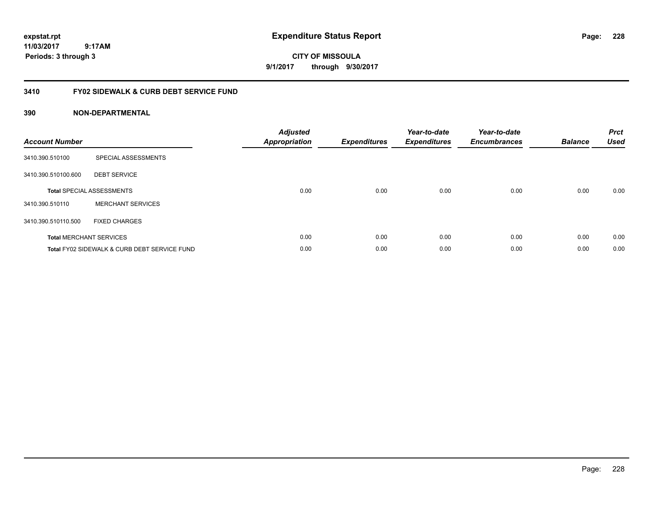**CITY OF MISSOULA 9/1/2017 through 9/30/2017**

# **3410 FY02 SIDEWALK & CURB DEBT SERVICE FUND**

| <b>Account Number</b> |                                              | <b>Adjusted</b><br>Appropriation | <b>Expenditures</b> | Year-to-date<br><b>Expenditures</b> | Year-to-date<br><b>Encumbrances</b> | <b>Balance</b> | <b>Prct</b><br><b>Used</b> |
|-----------------------|----------------------------------------------|----------------------------------|---------------------|-------------------------------------|-------------------------------------|----------------|----------------------------|
| 3410.390.510100       | SPECIAL ASSESSMENTS                          |                                  |                     |                                     |                                     |                |                            |
| 3410.390.510100.600   | <b>DEBT SERVICE</b>                          |                                  |                     |                                     |                                     |                |                            |
|                       | <b>Total SPECIAL ASSESSMENTS</b>             | 0.00                             | 0.00                | 0.00                                | 0.00                                | 0.00           | 0.00                       |
| 3410.390.510110       | <b>MERCHANT SERVICES</b>                     |                                  |                     |                                     |                                     |                |                            |
| 3410.390.510110.500   | <b>FIXED CHARGES</b>                         |                                  |                     |                                     |                                     |                |                            |
|                       | <b>Total MERCHANT SERVICES</b>               | 0.00                             | 0.00                | 0.00                                | 0.00                                | 0.00           | 0.00                       |
|                       | Total FY02 SIDEWALK & CURB DEBT SERVICE FUND | 0.00                             | 0.00                | 0.00                                | 0.00                                | 0.00           | 0.00                       |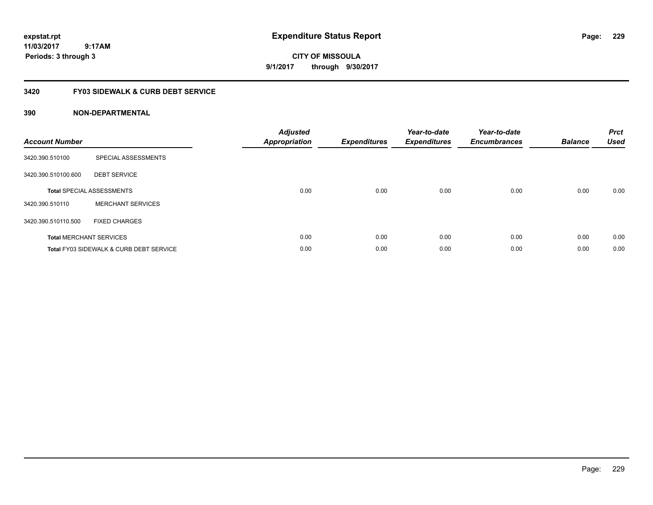**CITY OF MISSOULA 9/1/2017 through 9/30/2017**

# **3420 FY03 SIDEWALK & CURB DEBT SERVICE**

| <b>Account Number</b> |                                                    | <b>Adjusted</b><br><b>Appropriation</b> | <b>Expenditures</b> | Year-to-date<br><b>Expenditures</b> | Year-to-date<br><b>Encumbrances</b> | <b>Balance</b> | <b>Prct</b><br><b>Used</b> |
|-----------------------|----------------------------------------------------|-----------------------------------------|---------------------|-------------------------------------|-------------------------------------|----------------|----------------------------|
| 3420.390.510100       | SPECIAL ASSESSMENTS                                |                                         |                     |                                     |                                     |                |                            |
| 3420.390.510100.600   | <b>DEBT SERVICE</b>                                |                                         |                     |                                     |                                     |                |                            |
|                       | <b>Total SPECIAL ASSESSMENTS</b>                   | 0.00                                    | 0.00                | 0.00                                | 0.00                                | 0.00           | 0.00                       |
| 3420.390.510110       | <b>MERCHANT SERVICES</b>                           |                                         |                     |                                     |                                     |                |                            |
| 3420.390.510110.500   | <b>FIXED CHARGES</b>                               |                                         |                     |                                     |                                     |                |                            |
|                       | <b>Total MERCHANT SERVICES</b>                     | 0.00                                    | 0.00                | 0.00                                | 0.00                                | 0.00           | 0.00                       |
|                       | <b>Total FY03 SIDEWALK &amp; CURB DEBT SERVICE</b> | 0.00                                    | 0.00                | 0.00                                | 0.00                                | 0.00           | 0.00                       |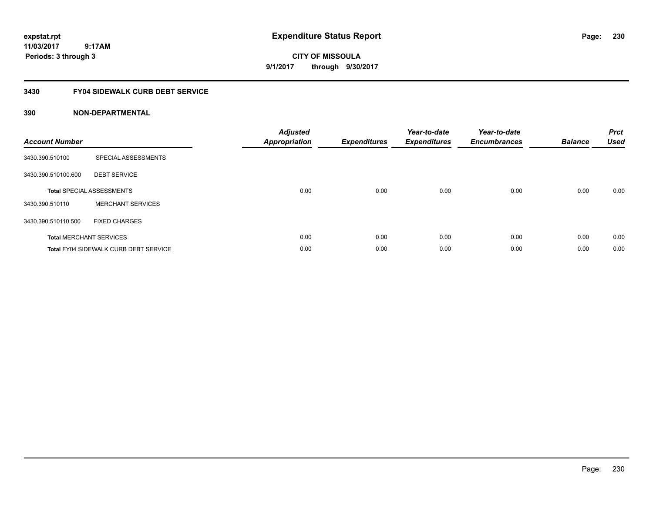# **CITY OF MISSOULA 9/1/2017 through 9/30/2017**

# **3430 FY04 SIDEWALK CURB DEBT SERVICE**

| <b>Account Number</b> |                                              | <b>Adjusted</b><br>Appropriation | <b>Expenditures</b> | Year-to-date<br><b>Expenditures</b> | Year-to-date<br><b>Encumbrances</b> | <b>Balance</b> | <b>Prct</b><br><b>Used</b> |
|-----------------------|----------------------------------------------|----------------------------------|---------------------|-------------------------------------|-------------------------------------|----------------|----------------------------|
| 3430.390.510100       | SPECIAL ASSESSMENTS                          |                                  |                     |                                     |                                     |                |                            |
| 3430.390.510100.600   | <b>DEBT SERVICE</b>                          |                                  |                     |                                     |                                     |                |                            |
|                       | <b>Total SPECIAL ASSESSMENTS</b>             | 0.00                             | 0.00                | 0.00                                | 0.00                                | 0.00           | 0.00                       |
| 3430.390.510110       | <b>MERCHANT SERVICES</b>                     |                                  |                     |                                     |                                     |                |                            |
| 3430.390.510110.500   | <b>FIXED CHARGES</b>                         |                                  |                     |                                     |                                     |                |                            |
|                       | <b>Total MERCHANT SERVICES</b>               | 0.00                             | 0.00                | 0.00                                | 0.00                                | 0.00           | 0.00                       |
|                       | <b>Total FY04 SIDEWALK CURB DEBT SERVICE</b> | 0.00                             | 0.00                | 0.00                                | 0.00                                | 0.00           | 0.00                       |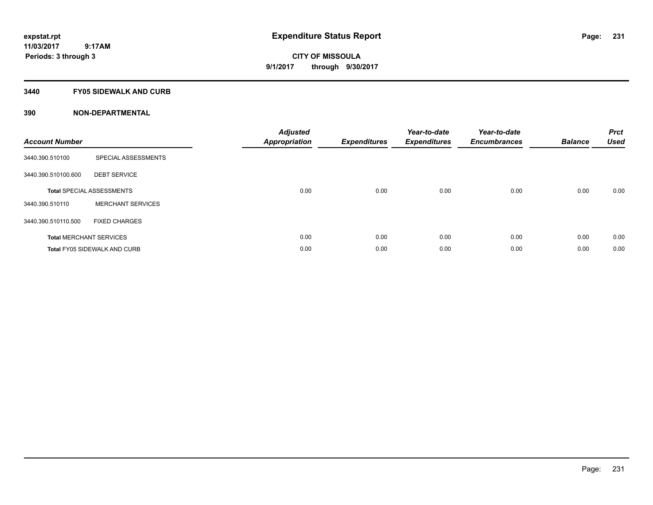# **CITY OF MISSOULA 9/1/2017 through 9/30/2017**

### **3440 FY05 SIDEWALK AND CURB**

| <b>Account Number</b> |                                     | <b>Adjusted</b><br><b>Appropriation</b> | <b>Expenditures</b> | Year-to-date<br><b>Expenditures</b> | Year-to-date<br><b>Encumbrances</b> | <b>Balance</b> | <b>Prct</b><br><b>Used</b> |
|-----------------------|-------------------------------------|-----------------------------------------|---------------------|-------------------------------------|-------------------------------------|----------------|----------------------------|
| 3440.390.510100       | SPECIAL ASSESSMENTS                 |                                         |                     |                                     |                                     |                |                            |
| 3440.390.510100.600   | <b>DEBT SERVICE</b>                 |                                         |                     |                                     |                                     |                |                            |
|                       | <b>Total SPECIAL ASSESSMENTS</b>    | 0.00                                    | 0.00                | 0.00                                | 0.00                                | 0.00           | 0.00                       |
| 3440.390.510110       | <b>MERCHANT SERVICES</b>            |                                         |                     |                                     |                                     |                |                            |
| 3440.390.510110.500   | <b>FIXED CHARGES</b>                |                                         |                     |                                     |                                     |                |                            |
|                       | <b>Total MERCHANT SERVICES</b>      | 0.00                                    | 0.00                | 0.00                                | 0.00                                | 0.00           | 0.00                       |
|                       | <b>Total FY05 SIDEWALK AND CURB</b> | 0.00                                    | 0.00                | 0.00                                | 0.00                                | 0.00           | 0.00                       |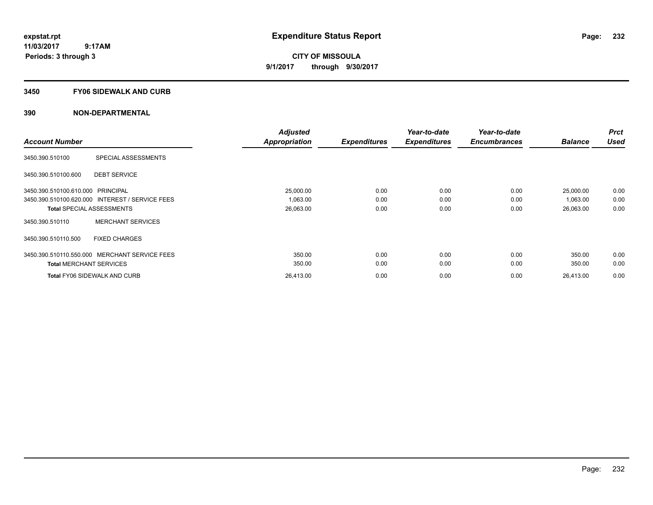**CITY OF MISSOULA 9/1/2017 through 9/30/2017**

### **3450 FY06 SIDEWALK AND CURB**

| <b>Account Number</b>                           |                            | <b>Adjusted</b><br><b>Appropriation</b> | <b>Expenditures</b> | Year-to-date<br><b>Expenditures</b> | Year-to-date<br><b>Encumbrances</b> | <b>Balance</b> | <b>Prct</b><br><b>Used</b> |
|-------------------------------------------------|----------------------------|-----------------------------------------|---------------------|-------------------------------------|-------------------------------------|----------------|----------------------------|
|                                                 |                            |                                         |                     |                                     |                                     |                |                            |
| 3450.390.510100                                 | <b>SPECIAL ASSESSMENTS</b> |                                         |                     |                                     |                                     |                |                            |
| 3450.390.510100.600                             | <b>DEBT SERVICE</b>        |                                         |                     |                                     |                                     |                |                            |
| 3450.390.510100.610.000 PRINCIPAL               |                            | 25,000.00                               | 0.00                | 0.00                                | 0.00                                | 25,000.00      | 0.00                       |
| 3450.390.510100.620.000 INTEREST / SERVICE FEES |                            | 1,063.00                                | 0.00                | 0.00                                | 0.00                                | 1,063.00       | 0.00                       |
| <b>Total SPECIAL ASSESSMENTS</b>                |                            | 26,063.00                               | 0.00                | 0.00                                | 0.00                                | 26,063.00      | 0.00                       |
| 3450.390.510110                                 | <b>MERCHANT SERVICES</b>   |                                         |                     |                                     |                                     |                |                            |
| 3450.390.510110.500                             | <b>FIXED CHARGES</b>       |                                         |                     |                                     |                                     |                |                            |
| 3450.390.510110.550.000 MERCHANT SERVICE FEES   |                            | 350.00                                  | 0.00                | 0.00                                | 0.00                                | 350.00         | 0.00                       |
| <b>Total MERCHANT SERVICES</b>                  |                            | 350.00                                  | 0.00                | 0.00                                | 0.00                                | 350.00         | 0.00                       |
| <b>Total FY06 SIDEWALK AND CURB</b>             |                            | 26,413.00                               | 0.00                | 0.00                                | 0.00                                | 26,413.00      | 0.00                       |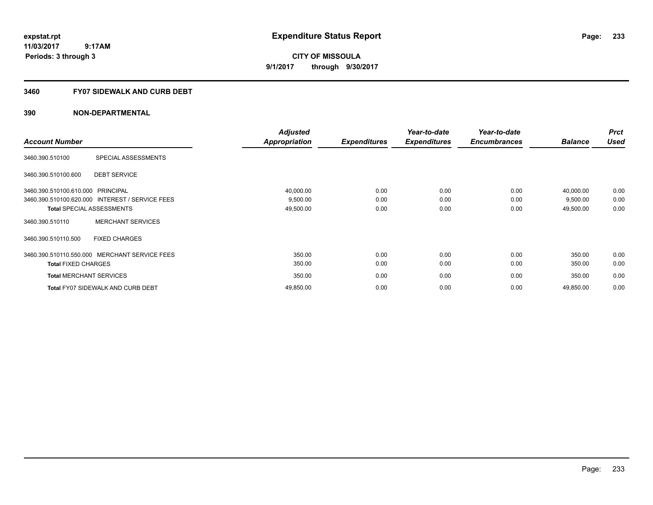**CITY OF MISSOULA 9/1/2017 through 9/30/2017**

# **3460 FY07 SIDEWALK AND CURB DEBT**

|                                   |                                                 | <b>Adjusted</b> |                     | Year-to-date        | Year-to-date        |                | <b>Prct</b> |
|-----------------------------------|-------------------------------------------------|-----------------|---------------------|---------------------|---------------------|----------------|-------------|
| <b>Account Number</b>             |                                                 | Appropriation   | <b>Expenditures</b> | <b>Expenditures</b> | <b>Encumbrances</b> | <b>Balance</b> | <b>Used</b> |
| 3460.390.510100                   | SPECIAL ASSESSMENTS                             |                 |                     |                     |                     |                |             |
| 3460.390.510100.600               | <b>DEBT SERVICE</b>                             |                 |                     |                     |                     |                |             |
| 3460.390.510100.610.000 PRINCIPAL |                                                 | 40,000.00       | 0.00                | 0.00                | 0.00                | 40,000.00      | 0.00        |
|                                   | 3460.390.510100.620.000 INTEREST / SERVICE FEES | 9,500.00        | 0.00                | 0.00                | 0.00                | 9,500.00       | 0.00        |
| <b>Total SPECIAL ASSESSMENTS</b>  |                                                 | 49,500.00       | 0.00                | 0.00                | 0.00                | 49,500.00      | 0.00        |
| 3460.390.510110                   | <b>MERCHANT SERVICES</b>                        |                 |                     |                     |                     |                |             |
| 3460.390.510110.500               | <b>FIXED CHARGES</b>                            |                 |                     |                     |                     |                |             |
|                                   | 3460.390.510110.550.000 MERCHANT SERVICE FEES   | 350.00          | 0.00                | 0.00                | 0.00                | 350.00         | 0.00        |
| <b>Total FIXED CHARGES</b>        |                                                 | 350.00          | 0.00                | 0.00                | 0.00                | 350.00         | 0.00        |
| <b>Total MERCHANT SERVICES</b>    |                                                 | 350.00          | 0.00                | 0.00                | 0.00                | 350.00         | 0.00        |
|                                   | <b>Total FY07 SIDEWALK AND CURB DEBT</b>        | 49,850.00       | 0.00                | 0.00                | 0.00                | 49,850.00      | 0.00        |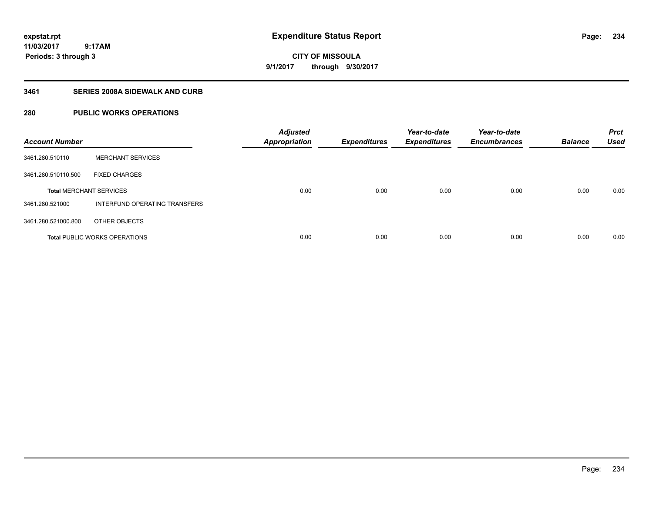**CITY OF MISSOULA 9/1/2017 through 9/30/2017**

# **3461 SERIES 2008A SIDEWALK AND CURB**

# **280 PUBLIC WORKS OPERATIONS**

| <b>Account Number</b>          |                                      | <b>Adjusted</b><br><b>Appropriation</b> | <b>Expenditures</b> | Year-to-date<br><b>Expenditures</b> | Year-to-date<br><b>Encumbrances</b> | <b>Balance</b> | <b>Prct</b><br><b>Used</b> |
|--------------------------------|--------------------------------------|-----------------------------------------|---------------------|-------------------------------------|-------------------------------------|----------------|----------------------------|
| 3461.280.510110                | <b>MERCHANT SERVICES</b>             |                                         |                     |                                     |                                     |                |                            |
| 3461.280.510110.500            | <b>FIXED CHARGES</b>                 |                                         |                     |                                     |                                     |                |                            |
| <b>Total MERCHANT SERVICES</b> |                                      | 0.00                                    | 0.00                | 0.00                                | 0.00                                | 0.00           | 0.00                       |
| 3461.280.521000                | INTERFUND OPERATING TRANSFERS        |                                         |                     |                                     |                                     |                |                            |
| 3461.280.521000.800            | OTHER OBJECTS                        |                                         |                     |                                     |                                     |                |                            |
|                                | <b>Total PUBLIC WORKS OPERATIONS</b> | 0.00                                    | 0.00                | 0.00                                | 0.00                                | 0.00           | 0.00                       |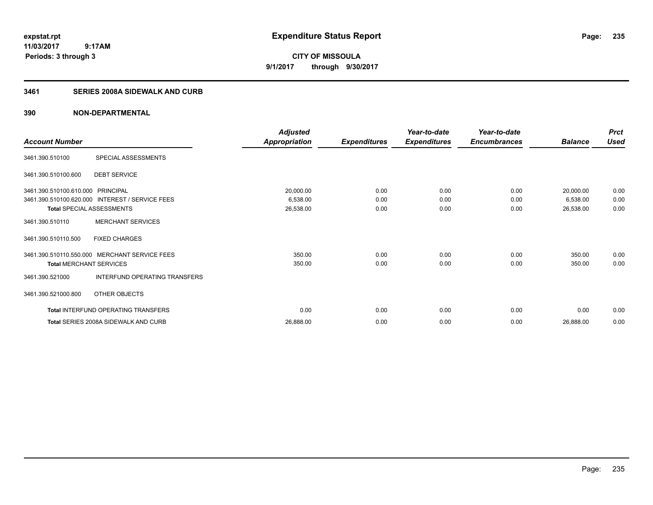**CITY OF MISSOULA 9/1/2017 through 9/30/2017**

# **3461 SERIES 2008A SIDEWALK AND CURB**

| <b>Account Number</b>                                                 |                                                                                | <b>Adjusted</b><br><b>Appropriation</b> | <b>Expenditures</b>  | Year-to-date<br><b>Expenditures</b> | Year-to-date<br><b>Encumbrances</b> | <b>Balance</b>                     | <b>Prct</b><br><b>Used</b> |
|-----------------------------------------------------------------------|--------------------------------------------------------------------------------|-----------------------------------------|----------------------|-------------------------------------|-------------------------------------|------------------------------------|----------------------------|
| 3461.390.510100                                                       | SPECIAL ASSESSMENTS                                                            |                                         |                      |                                     |                                     |                                    |                            |
| 3461.390.510100.600                                                   | <b>DEBT SERVICE</b>                                                            |                                         |                      |                                     |                                     |                                    |                            |
| 3461.390.510100.610.000 PRINCIPAL<br><b>Total SPECIAL ASSESSMENTS</b> | 3461.390.510100.620.000 INTEREST / SERVICE FEES                                | 20,000.00<br>6,538.00<br>26,538.00      | 0.00<br>0.00<br>0.00 | 0.00<br>0.00<br>0.00                | 0.00<br>0.00<br>0.00                | 20,000.00<br>6,538.00<br>26,538.00 | 0.00<br>0.00<br>0.00       |
| 3461.390.510110                                                       | <b>MERCHANT SERVICES</b>                                                       |                                         |                      |                                     |                                     |                                    |                            |
| 3461.390.510110.500                                                   | <b>FIXED CHARGES</b>                                                           |                                         |                      |                                     |                                     |                                    |                            |
| <b>Total MERCHANT SERVICES</b><br>3461.390.521000                     | 3461.390.510110.550.000 MERCHANT SERVICE FEES<br>INTERFUND OPERATING TRANSFERS | 350.00<br>350.00                        | 0.00<br>0.00         | 0.00<br>0.00                        | 0.00<br>0.00                        | 350.00<br>350.00                   | 0.00<br>0.00               |
| 3461.390.521000.800                                                   | OTHER OBJECTS                                                                  |                                         |                      |                                     |                                     |                                    |                            |
|                                                                       | Total INTERFUND OPERATING TRANSFERS                                            | 0.00                                    | 0.00                 | 0.00                                | 0.00                                | 0.00                               | 0.00                       |
|                                                                       | Total SERIES 2008A SIDEWALK AND CURB                                           | 26,888.00                               | 0.00                 | 0.00                                | 0.00                                | 26,888.00                          | 0.00                       |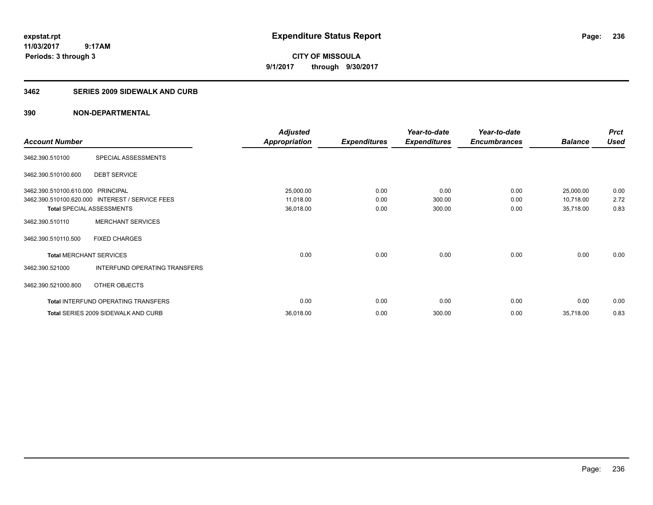**CITY OF MISSOULA 9/1/2017 through 9/30/2017**

### **3462 SERIES 2009 SIDEWALK AND CURB**

|                                   |                                                 | <b>Adjusted</b>      |                     | Year-to-date        | Year-to-date        |                | <b>Prct</b> |
|-----------------------------------|-------------------------------------------------|----------------------|---------------------|---------------------|---------------------|----------------|-------------|
| <b>Account Number</b>             |                                                 | <b>Appropriation</b> | <b>Expenditures</b> | <b>Expenditures</b> | <b>Encumbrances</b> | <b>Balance</b> | <b>Used</b> |
| 3462.390.510100                   | SPECIAL ASSESSMENTS                             |                      |                     |                     |                     |                |             |
| 3462.390.510100.600               | <b>DEBT SERVICE</b>                             |                      |                     |                     |                     |                |             |
| 3462.390.510100.610.000 PRINCIPAL |                                                 | 25,000.00            | 0.00                | 0.00                | 0.00                | 25,000.00      | 0.00        |
|                                   | 3462.390.510100.620.000 INTEREST / SERVICE FEES | 11,018.00            | 0.00                | 300.00              | 0.00                | 10,718.00      | 2.72        |
| <b>Total SPECIAL ASSESSMENTS</b>  |                                                 | 36,018.00            | 0.00                | 300.00              | 0.00                | 35,718.00      | 0.83        |
| 3462.390.510110                   | <b>MERCHANT SERVICES</b>                        |                      |                     |                     |                     |                |             |
| 3462.390.510110.500               | <b>FIXED CHARGES</b>                            |                      |                     |                     |                     |                |             |
| <b>Total MERCHANT SERVICES</b>    |                                                 | 0.00                 | 0.00                | 0.00                | 0.00                | 0.00           | 0.00        |
| 3462.390.521000                   | INTERFUND OPERATING TRANSFERS                   |                      |                     |                     |                     |                |             |
| 3462.390.521000.800               | OTHER OBJECTS                                   |                      |                     |                     |                     |                |             |
|                                   | <b>Total INTERFUND OPERATING TRANSFERS</b>      | 0.00                 | 0.00                | 0.00                | 0.00                | 0.00           | 0.00        |
|                                   | Total SERIES 2009 SIDEWALK AND CURB             | 36,018.00            | 0.00                | 300.00              | 0.00                | 35,718.00      | 0.83        |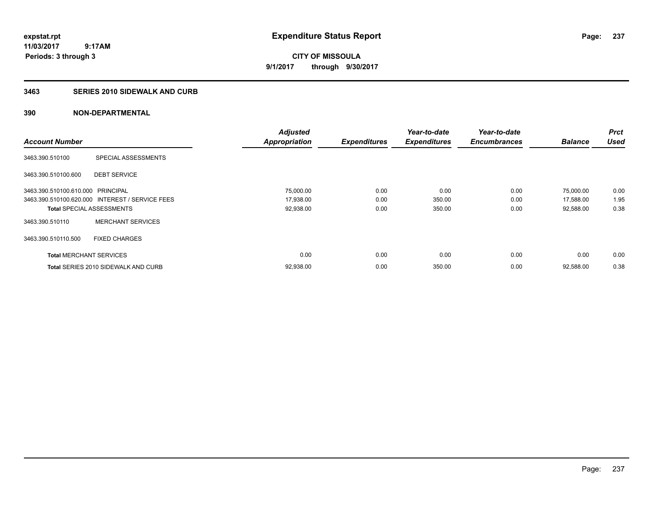**CITY OF MISSOULA 9/1/2017 through 9/30/2017**

### **3463 SERIES 2010 SIDEWALK AND CURB**

|                                   |                                                 | <b>Adjusted</b>      |                     | Year-to-date        | Year-to-date        |                | <b>Prct</b> |
|-----------------------------------|-------------------------------------------------|----------------------|---------------------|---------------------|---------------------|----------------|-------------|
| <b>Account Number</b>             |                                                 | <b>Appropriation</b> | <b>Expenditures</b> | <b>Expenditures</b> | <b>Encumbrances</b> | <b>Balance</b> | Used        |
| 3463.390.510100                   | SPECIAL ASSESSMENTS                             |                      |                     |                     |                     |                |             |
| 3463.390.510100.600               | <b>DEBT SERVICE</b>                             |                      |                     |                     |                     |                |             |
| 3463.390.510100.610.000 PRINCIPAL |                                                 | 75,000.00            | 0.00                | 0.00                | 0.00                | 75,000.00      | 0.00        |
|                                   | 3463.390.510100.620.000 INTEREST / SERVICE FEES | 17,938.00            | 0.00                | 350.00              | 0.00                | 17,588.00      | 1.95        |
| <b>Total SPECIAL ASSESSMENTS</b>  |                                                 | 92,938.00            | 0.00                | 350.00              | 0.00                | 92,588.00      | 0.38        |
| 3463.390.510110                   | <b>MERCHANT SERVICES</b>                        |                      |                     |                     |                     |                |             |
| 3463.390.510110.500               | <b>FIXED CHARGES</b>                            |                      |                     |                     |                     |                |             |
| <b>Total MERCHANT SERVICES</b>    |                                                 | 0.00                 | 0.00                | 0.00                | 0.00                | 0.00           | 0.00        |
|                                   | <b>Total SERIES 2010 SIDEWALK AND CURB</b>      | 92,938.00            | 0.00                | 350.00              | 0.00                | 92.588.00      | 0.38        |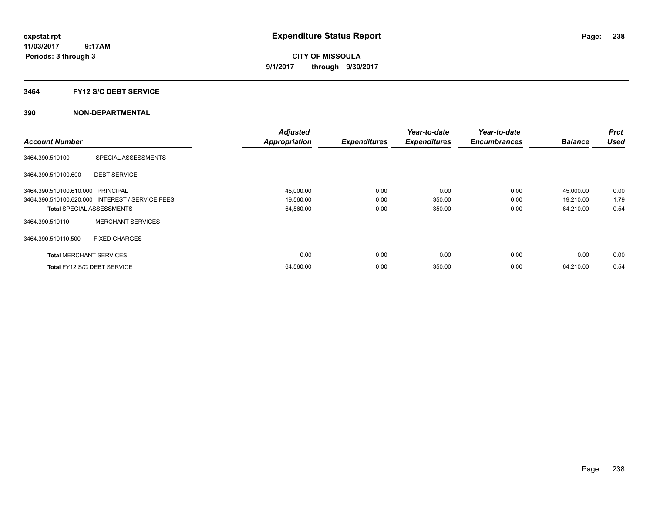**CITY OF MISSOULA 9/1/2017 through 9/30/2017**

### **3464 FY12 S/C DEBT SERVICE**

|                                   |                                                 | <b>Adjusted</b>      |                     | Year-to-date        | Year-to-date        |                | <b>Prct</b> |
|-----------------------------------|-------------------------------------------------|----------------------|---------------------|---------------------|---------------------|----------------|-------------|
| <b>Account Number</b>             |                                                 | <b>Appropriation</b> | <b>Expenditures</b> | <b>Expenditures</b> | <b>Encumbrances</b> | <b>Balance</b> | <b>Used</b> |
| 3464.390.510100                   | SPECIAL ASSESSMENTS                             |                      |                     |                     |                     |                |             |
| 3464.390.510100.600               | <b>DEBT SERVICE</b>                             |                      |                     |                     |                     |                |             |
| 3464.390.510100.610.000 PRINCIPAL |                                                 | 45,000.00            | 0.00                | 0.00                | 0.00                | 45,000.00      | 0.00        |
|                                   | 3464.390.510100.620.000 INTEREST / SERVICE FEES | 19,560.00            | 0.00                | 350.00              | 0.00                | 19,210.00      | 1.79        |
| <b>Total SPECIAL ASSESSMENTS</b>  |                                                 | 64,560.00            | 0.00                | 350.00              | 0.00                | 64,210.00      | 0.54        |
| 3464.390.510110                   | <b>MERCHANT SERVICES</b>                        |                      |                     |                     |                     |                |             |
| 3464.390.510110.500               | <b>FIXED CHARGES</b>                            |                      |                     |                     |                     |                |             |
| <b>Total MERCHANT SERVICES</b>    |                                                 | 0.00                 | 0.00                | 0.00                | 0.00                | 0.00           | 0.00        |
| Total FY12 S/C DEBT SERVICE       |                                                 | 64,560.00            | 0.00                | 350.00              | 0.00                | 64,210.00      | 0.54        |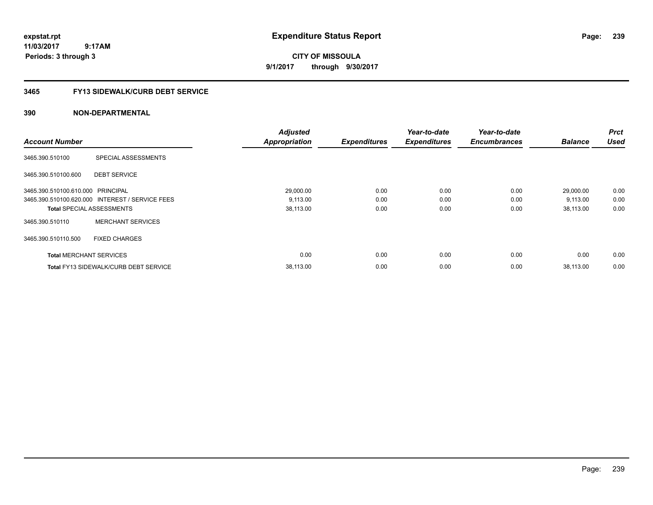**CITY OF MISSOULA 9/1/2017 through 9/30/2017**

# **3465 FY13 SIDEWALK/CURB DEBT SERVICE**

|                                   |                                                 | <b>Adjusted</b>      |                     | Year-to-date        | Year-to-date        |                | <b>Prct</b> |
|-----------------------------------|-------------------------------------------------|----------------------|---------------------|---------------------|---------------------|----------------|-------------|
| <b>Account Number</b>             |                                                 | <b>Appropriation</b> | <b>Expenditures</b> | <b>Expenditures</b> | <b>Encumbrances</b> | <b>Balance</b> | Used        |
| 3465.390.510100                   | SPECIAL ASSESSMENTS                             |                      |                     |                     |                     |                |             |
| 3465.390.510100.600               | <b>DEBT SERVICE</b>                             |                      |                     |                     |                     |                |             |
| 3465.390.510100.610.000 PRINCIPAL |                                                 | 29,000.00            | 0.00                | 0.00                | 0.00                | 29,000.00      | 0.00        |
|                                   | 3465.390.510100.620.000 INTEREST / SERVICE FEES | 9,113.00             | 0.00                | 0.00                | 0.00                | 9,113.00       | 0.00        |
| <b>Total SPECIAL ASSESSMENTS</b>  |                                                 | 38,113.00            | 0.00                | 0.00                | 0.00                | 38,113.00      | 0.00        |
| 3465.390.510110                   | <b>MERCHANT SERVICES</b>                        |                      |                     |                     |                     |                |             |
| 3465.390.510110.500               | <b>FIXED CHARGES</b>                            |                      |                     |                     |                     |                |             |
| <b>Total MERCHANT SERVICES</b>    |                                                 | 0.00                 | 0.00                | 0.00                | 0.00                | 0.00           | 0.00        |
|                                   | <b>Total FY13 SIDEWALK/CURB DEBT SERVICE</b>    | 38.113.00            | 0.00                | 0.00                | 0.00                | 38.113.00      | 0.00        |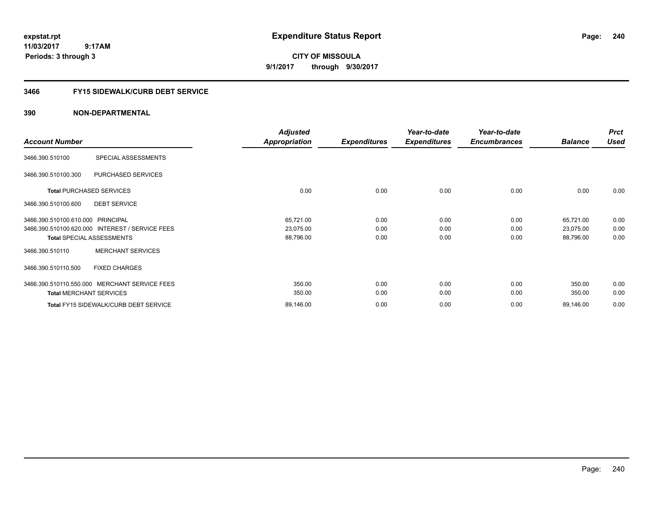**CITY OF MISSOULA 9/1/2017 through 9/30/2017**

# **3466 FY15 SIDEWALK/CURB DEBT SERVICE**

|                                   |                                                 | <b>Adjusted</b> |                     | Year-to-date        | Year-to-date        |                | <b>Prct</b> |
|-----------------------------------|-------------------------------------------------|-----------------|---------------------|---------------------|---------------------|----------------|-------------|
| <b>Account Number</b>             |                                                 | Appropriation   | <b>Expenditures</b> | <b>Expenditures</b> | <b>Encumbrances</b> | <b>Balance</b> | <b>Used</b> |
| 3466.390.510100                   | SPECIAL ASSESSMENTS                             |                 |                     |                     |                     |                |             |
| 3466.390.510100.300               | PURCHASED SERVICES                              |                 |                     |                     |                     |                |             |
|                                   | <b>Total PURCHASED SERVICES</b>                 | 0.00            | 0.00                | 0.00                | 0.00                | 0.00           | 0.00        |
| 3466.390.510100.600               | <b>DEBT SERVICE</b>                             |                 |                     |                     |                     |                |             |
| 3466.390.510100.610.000 PRINCIPAL |                                                 | 65,721.00       | 0.00                | 0.00                | 0.00                | 65,721.00      | 0.00        |
|                                   | 3466.390.510100.620.000 INTEREST / SERVICE FEES | 23,075.00       | 0.00                | 0.00                | 0.00                | 23,075.00      | 0.00        |
|                                   | <b>Total SPECIAL ASSESSMENTS</b>                | 88,796.00       | 0.00                | 0.00                | 0.00                | 88,796.00      | 0.00        |
| 3466.390.510110                   | <b>MERCHANT SERVICES</b>                        |                 |                     |                     |                     |                |             |
| 3466.390.510110.500               | <b>FIXED CHARGES</b>                            |                 |                     |                     |                     |                |             |
|                                   | 3466.390.510110.550.000 MERCHANT SERVICE FEES   | 350.00          | 0.00                | 0.00                | 0.00                | 350.00         | 0.00        |
| <b>Total MERCHANT SERVICES</b>    |                                                 | 350.00          | 0.00                | 0.00                | 0.00                | 350.00         | 0.00        |
|                                   | Total FY15 SIDEWALK/CURB DEBT SERVICE           | 89,146.00       | 0.00                | 0.00                | 0.00                | 89,146.00      | 0.00        |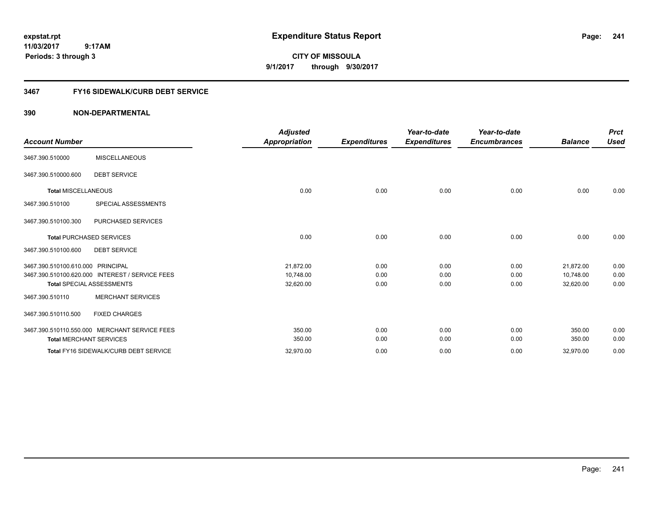**CITY OF MISSOULA 9/1/2017 through 9/30/2017**

# **3467 FY16 SIDEWALK/CURB DEBT SERVICE**

| <b>Account Number</b>             |                                                                                     | <b>Adjusted</b><br><b>Appropriation</b> | <b>Expenditures</b>  | Year-to-date<br><b>Expenditures</b> | Year-to-date<br><b>Encumbrances</b> | <b>Balance</b>                      | <b>Prct</b><br><b>Used</b> |
|-----------------------------------|-------------------------------------------------------------------------------------|-----------------------------------------|----------------------|-------------------------------------|-------------------------------------|-------------------------------------|----------------------------|
| 3467.390.510000                   | <b>MISCELLANEOUS</b>                                                                |                                         |                      |                                     |                                     |                                     |                            |
| 3467.390.510000.600               | <b>DEBT SERVICE</b>                                                                 |                                         |                      |                                     |                                     |                                     |                            |
| <b>Total MISCELLANEOUS</b>        |                                                                                     | 0.00                                    | 0.00                 | 0.00                                | 0.00                                | 0.00                                | 0.00                       |
| 3467.390.510100                   | SPECIAL ASSESSMENTS                                                                 |                                         |                      |                                     |                                     |                                     |                            |
| 3467.390.510100.300               | PURCHASED SERVICES                                                                  |                                         |                      |                                     |                                     |                                     |                            |
|                                   | <b>Total PURCHASED SERVICES</b>                                                     | 0.00                                    | 0.00                 | 0.00                                | 0.00                                | 0.00                                | 0.00                       |
| 3467.390.510100.600               | <b>DEBT SERVICE</b>                                                                 |                                         |                      |                                     |                                     |                                     |                            |
| 3467.390.510100.610.000 PRINCIPAL | 3467.390.510100.620.000 INTEREST / SERVICE FEES<br><b>Total SPECIAL ASSESSMENTS</b> | 21,872.00<br>10,748.00<br>32,620.00     | 0.00<br>0.00<br>0.00 | 0.00<br>0.00<br>0.00                | 0.00<br>0.00<br>0.00                | 21,872.00<br>10,748.00<br>32,620.00 | 0.00<br>0.00<br>0.00       |
| 3467.390.510110                   | <b>MERCHANT SERVICES</b>                                                            |                                         |                      |                                     |                                     |                                     |                            |
| 3467.390.510110.500               | <b>FIXED CHARGES</b>                                                                |                                         |                      |                                     |                                     |                                     |                            |
| <b>Total MERCHANT SERVICES</b>    | 3467.390.510110.550.000 MERCHANT SERVICE FEES                                       | 350.00<br>350.00                        | 0.00<br>0.00         | 0.00<br>0.00                        | 0.00<br>0.00                        | 350.00<br>350.00                    | 0.00<br>0.00               |
|                                   | Total FY16 SIDEWALK/CURB DEBT SERVICE                                               | 32,970.00                               | 0.00                 | 0.00                                | 0.00                                | 32,970.00                           | 0.00                       |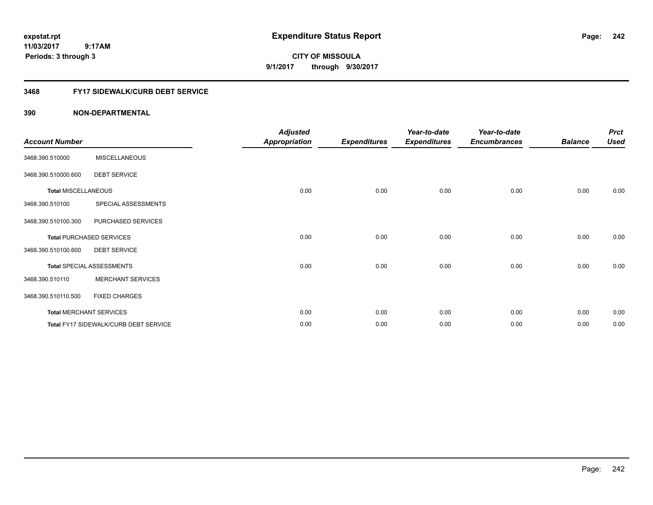**CITY OF MISSOULA 9/1/2017 through 9/30/2017**

# **3468 FY17 SIDEWALK/CURB DEBT SERVICE**

| <b>Account Number</b>      |                                       | <b>Adjusted</b><br><b>Appropriation</b> | <b>Expenditures</b> | Year-to-date<br><b>Expenditures</b> | Year-to-date<br><b>Encumbrances</b> | <b>Balance</b> | <b>Prct</b><br><b>Used</b> |
|----------------------------|---------------------------------------|-----------------------------------------|---------------------|-------------------------------------|-------------------------------------|----------------|----------------------------|
| 3468.390.510000            | <b>MISCELLANEOUS</b>                  |                                         |                     |                                     |                                     |                |                            |
| 3468.390.510000.600        | <b>DEBT SERVICE</b>                   |                                         |                     |                                     |                                     |                |                            |
| <b>Total MISCELLANEOUS</b> |                                       | 0.00                                    | 0.00                | 0.00                                | 0.00                                | 0.00           | 0.00                       |
| 3468.390.510100            | SPECIAL ASSESSMENTS                   |                                         |                     |                                     |                                     |                |                            |
| 3468.390.510100.300        | PURCHASED SERVICES                    |                                         |                     |                                     |                                     |                |                            |
|                            | <b>Total PURCHASED SERVICES</b>       | 0.00                                    | 0.00                | 0.00                                | 0.00                                | 0.00           | 0.00                       |
| 3468.390.510100.600        | <b>DEBT SERVICE</b>                   |                                         |                     |                                     |                                     |                |                            |
|                            | <b>Total SPECIAL ASSESSMENTS</b>      | 0.00                                    | 0.00                | 0.00                                | 0.00                                | 0.00           | 0.00                       |
| 3468.390.510110            | <b>MERCHANT SERVICES</b>              |                                         |                     |                                     |                                     |                |                            |
| 3468.390.510110.500        | <b>FIXED CHARGES</b>                  |                                         |                     |                                     |                                     |                |                            |
|                            | <b>Total MERCHANT SERVICES</b>        | 0.00                                    | 0.00                | 0.00                                | 0.00                                | 0.00           | 0.00                       |
|                            | Total FY17 SIDEWALK/CURB DEBT SERVICE | 0.00                                    | 0.00                | 0.00                                | 0.00                                | 0.00           | 0.00                       |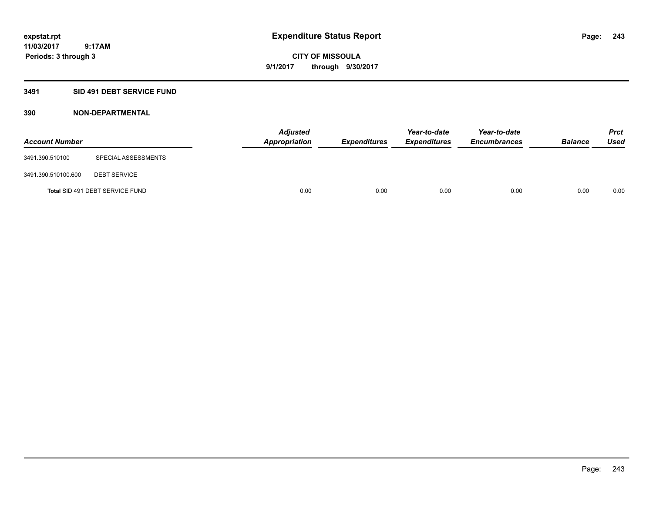**Periods: 3 through 3**

**CITY OF MISSOULA 9/1/2017 through 9/30/2017**

### **3491 SID 491 DEBT SERVICE FUND**

 **9:17AM**

| <b>Account Number</b> |                                 | <b>Adjusted</b><br>Appropriation | <b>Expenditures</b> | Year-to-date<br><b>Expenditures</b> | Year-to-date<br><b>Encumbrances</b> | <b>Balance</b> | Prct<br><b>Used</b> |
|-----------------------|---------------------------------|----------------------------------|---------------------|-------------------------------------|-------------------------------------|----------------|---------------------|
| 3491.390.510100       | SPECIAL ASSESSMENTS             |                                  |                     |                                     |                                     |                |                     |
| 3491.390.510100.600   | <b>DEBT SERVICE</b>             |                                  |                     |                                     |                                     |                |                     |
|                       | Total SID 491 DEBT SERVICE FUND | 0.00                             | 0.00                | 0.00                                | 0.00                                | 0.00           | 0.00                |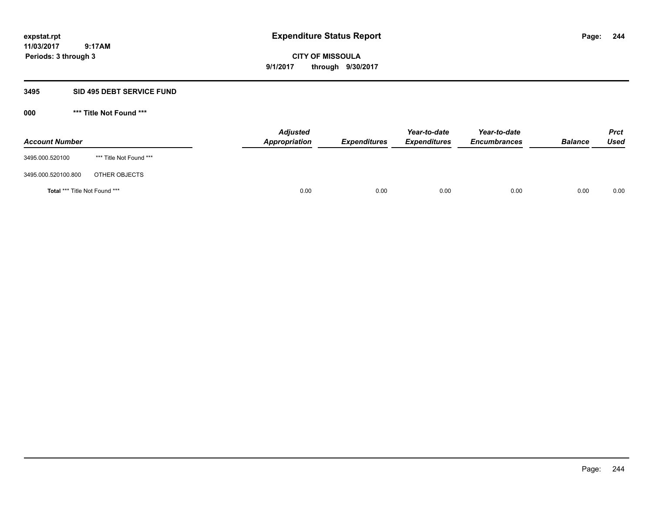**CITY OF MISSOULA 9/1/2017 through 9/30/2017**

### **3495 SID 495 DEBT SERVICE FUND**

**000 \*\*\* Title Not Found \*\*\***

| <b>Account Number</b>                |                         | <b>Adjusted</b><br>Appropriation | <b>Expenditures</b> | Year-to-date<br><b>Expenditures</b> | Year-to-date<br><b>Encumbrances</b> | <b>Balance</b> | <b>Prct</b><br><b>Used</b> |
|--------------------------------------|-------------------------|----------------------------------|---------------------|-------------------------------------|-------------------------------------|----------------|----------------------------|
| 3495.000.520100                      | *** Title Not Found *** |                                  |                     |                                     |                                     |                |                            |
| 3495.000.520100.800                  | OTHER OBJECTS           |                                  |                     |                                     |                                     |                |                            |
| <b>Total *** Title Not Found ***</b> |                         | 0.00                             | 0.00                | 0.00                                | 0.00                                | 0.00           | 0.00                       |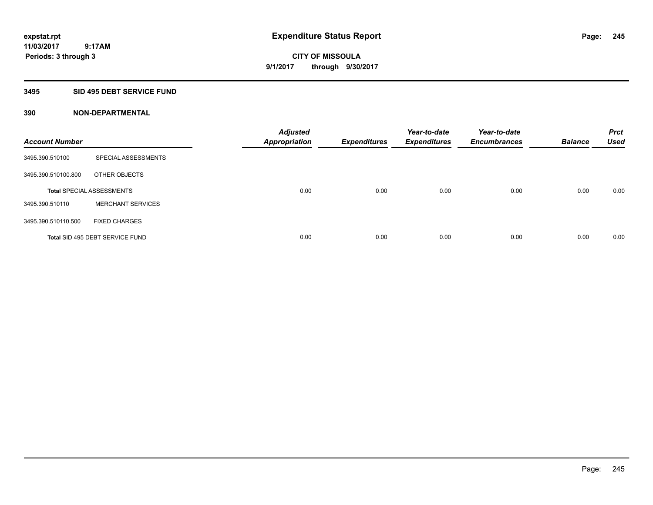# **CITY OF MISSOULA 9/1/2017 through 9/30/2017**

# **3495 SID 495 DEBT SERVICE FUND**

| <b>Account Number</b> |                                  | <b>Adjusted</b><br><b>Appropriation</b> | <b>Expenditures</b> | Year-to-date<br><b>Expenditures</b> | Year-to-date<br><b>Encumbrances</b> | <b>Balance</b> | <b>Prct</b><br><b>Used</b> |
|-----------------------|----------------------------------|-----------------------------------------|---------------------|-------------------------------------|-------------------------------------|----------------|----------------------------|
| 3495.390.510100       | SPECIAL ASSESSMENTS              |                                         |                     |                                     |                                     |                |                            |
| 3495.390.510100.800   | OTHER OBJECTS                    |                                         |                     |                                     |                                     |                |                            |
|                       | <b>Total SPECIAL ASSESSMENTS</b> | 0.00                                    | 0.00                | 0.00                                | 0.00                                | 0.00           | 0.00                       |
| 3495.390.510110       | <b>MERCHANT SERVICES</b>         |                                         |                     |                                     |                                     |                |                            |
| 3495.390.510110.500   | <b>FIXED CHARGES</b>             |                                         |                     |                                     |                                     |                |                            |
|                       | Total SID 495 DEBT SERVICE FUND  | 0.00                                    | 0.00                | 0.00                                | 0.00                                | 0.00           | 0.00                       |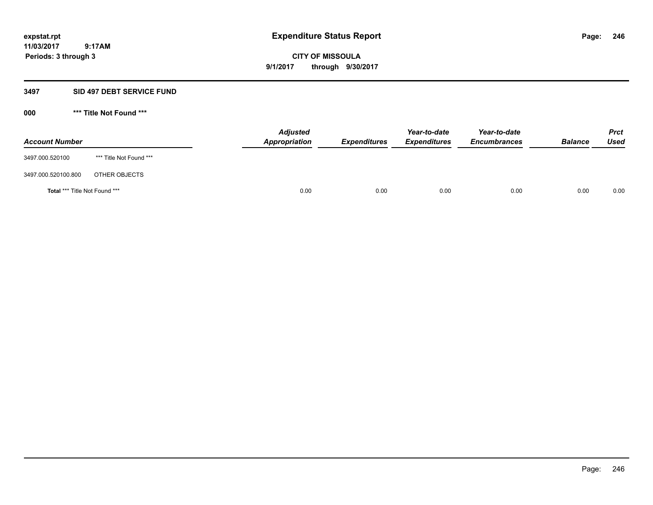**CITY OF MISSOULA 9/1/2017 through 9/30/2017**

### **3497 SID 497 DEBT SERVICE FUND**

**000 \*\*\* Title Not Found \*\*\***

| <b>Account Number</b>         |                         | <b>Adjusted</b><br>Appropriation | <b>Expenditures</b> | Year-to-date<br><b>Expenditures</b> | Year-to-date<br><b>Encumbrances</b> | <b>Balance</b> | Prct<br>Used |
|-------------------------------|-------------------------|----------------------------------|---------------------|-------------------------------------|-------------------------------------|----------------|--------------|
| 3497.000.520100               | *** Title Not Found *** |                                  |                     |                                     |                                     |                |              |
| 3497.000.520100.800           | OTHER OBJECTS           |                                  |                     |                                     |                                     |                |              |
| Total *** Title Not Found *** |                         | 0.00                             | 0.00                | 0.00                                | 0.00                                | 0.00           | 0.00         |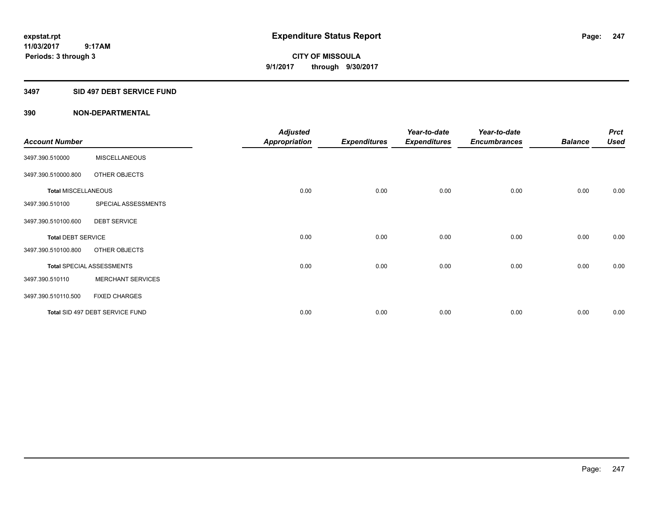**CITY OF MISSOULA 9/1/2017 through 9/30/2017**

# **3497 SID 497 DEBT SERVICE FUND**

|                            |                                  | <b>Adjusted</b>      |                     | Year-to-date        | Year-to-date        |                | <b>Prct</b> |
|----------------------------|----------------------------------|----------------------|---------------------|---------------------|---------------------|----------------|-------------|
| <b>Account Number</b>      |                                  | <b>Appropriation</b> | <b>Expenditures</b> | <b>Expenditures</b> | <b>Encumbrances</b> | <b>Balance</b> | <b>Used</b> |
| 3497.390.510000            | <b>MISCELLANEOUS</b>             |                      |                     |                     |                     |                |             |
| 3497.390.510000.800        | OTHER OBJECTS                    |                      |                     |                     |                     |                |             |
| <b>Total MISCELLANEOUS</b> |                                  | 0.00                 | 0.00                | 0.00                | 0.00                | 0.00           | 0.00        |
| 3497.390.510100            | SPECIAL ASSESSMENTS              |                      |                     |                     |                     |                |             |
| 3497.390.510100.600        | <b>DEBT SERVICE</b>              |                      |                     |                     |                     |                |             |
| <b>Total DEBT SERVICE</b>  |                                  | 0.00                 | 0.00                | 0.00                | 0.00                | 0.00           | 0.00        |
| 3497.390.510100.800        | OTHER OBJECTS                    |                      |                     |                     |                     |                |             |
|                            | <b>Total SPECIAL ASSESSMENTS</b> | 0.00                 | 0.00                | 0.00                | 0.00                | 0.00           | 0.00        |
| 3497.390.510110            | <b>MERCHANT SERVICES</b>         |                      |                     |                     |                     |                |             |
| 3497.390.510110.500        | <b>FIXED CHARGES</b>             |                      |                     |                     |                     |                |             |
|                            | Total SID 497 DEBT SERVICE FUND  | 0.00                 | 0.00                | 0.00                | 0.00                | 0.00           | 0.00        |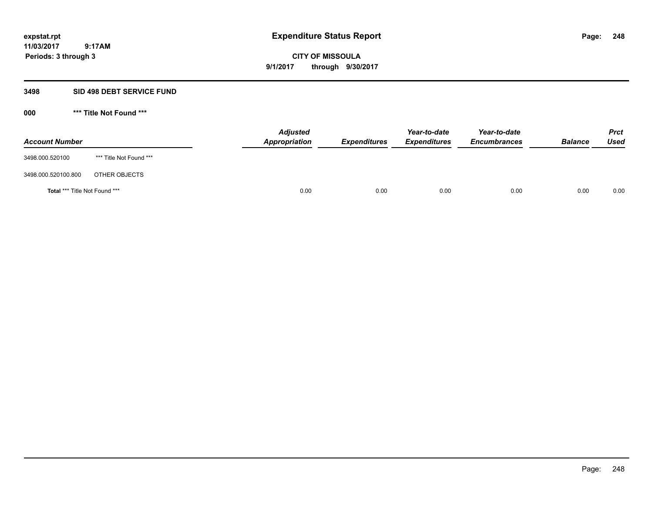**CITY OF MISSOULA 9/1/2017 through 9/30/2017**

### **3498 SID 498 DEBT SERVICE FUND**

**000 \*\*\* Title Not Found \*\*\***

| <b>Account Number</b>         |                         | <b>Adjusted</b><br>Appropriation | <b>Expenditures</b> | Year-to-date<br><b>Expenditures</b> | Year-to-date<br><b>Encumbrances</b> | <b>Balance</b> | <b>Prct</b><br>Used |
|-------------------------------|-------------------------|----------------------------------|---------------------|-------------------------------------|-------------------------------------|----------------|---------------------|
| 3498.000.520100               | *** Title Not Found *** |                                  |                     |                                     |                                     |                |                     |
| 3498.000.520100.800           | OTHER OBJECTS           |                                  |                     |                                     |                                     |                |                     |
| Total *** Title Not Found *** |                         | 0.00                             | 0.00                | 0.00                                | 0.00                                | 0.00           | 0.00                |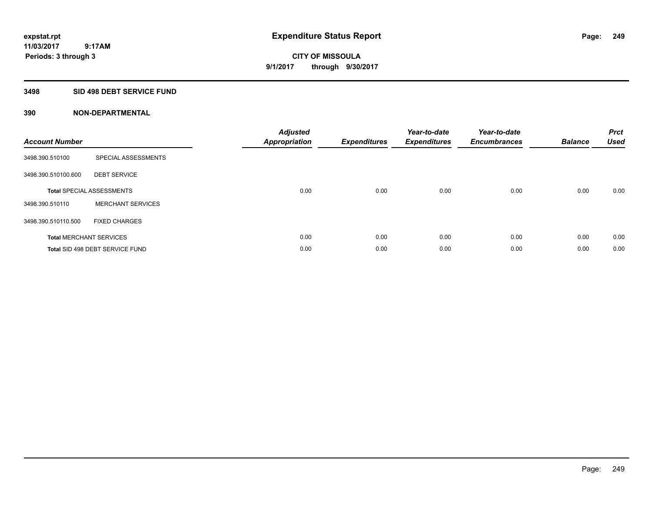**CITY OF MISSOULA 9/1/2017 through 9/30/2017**

# **3498 SID 498 DEBT SERVICE FUND**

| <b>Account Number</b> |                                  | <b>Adjusted</b><br>Appropriation | <b>Expenditures</b> | Year-to-date<br><b>Expenditures</b> | Year-to-date<br><b>Encumbrances</b> | <b>Balance</b> | <b>Prct</b><br><b>Used</b> |
|-----------------------|----------------------------------|----------------------------------|---------------------|-------------------------------------|-------------------------------------|----------------|----------------------------|
| 3498.390.510100       | SPECIAL ASSESSMENTS              |                                  |                     |                                     |                                     |                |                            |
| 3498.390.510100.600   | <b>DEBT SERVICE</b>              |                                  |                     |                                     |                                     |                |                            |
|                       | <b>Total SPECIAL ASSESSMENTS</b> | 0.00                             | 0.00                | 0.00                                | 0.00                                | 0.00           | 0.00                       |
| 3498.390.510110       | <b>MERCHANT SERVICES</b>         |                                  |                     |                                     |                                     |                |                            |
| 3498.390.510110.500   | <b>FIXED CHARGES</b>             |                                  |                     |                                     |                                     |                |                            |
|                       | <b>Total MERCHANT SERVICES</b>   | 0.00                             | 0.00                | 0.00                                | 0.00                                | 0.00           | 0.00                       |
|                       | Total SID 498 DEBT SERVICE FUND  | 0.00                             | 0.00                | 0.00                                | 0.00                                | 0.00           | 0.00                       |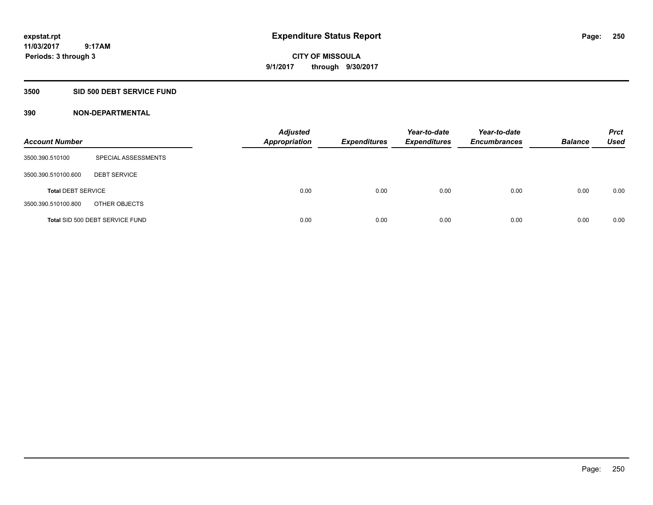# **CITY OF MISSOULA 9/1/2017 through 9/30/2017**

### **3500 SID 500 DEBT SERVICE FUND**

| <b>Account Number</b>     |                                 | <b>Adjusted</b><br><b>Appropriation</b> | <b>Expenditures</b> | Year-to-date<br><b>Expenditures</b> | Year-to-date<br><b>Encumbrances</b> | <b>Balance</b> | <b>Prct</b><br><b>Used</b> |
|---------------------------|---------------------------------|-----------------------------------------|---------------------|-------------------------------------|-------------------------------------|----------------|----------------------------|
| 3500.390.510100           | SPECIAL ASSESSMENTS             |                                         |                     |                                     |                                     |                |                            |
| 3500.390.510100.600       | <b>DEBT SERVICE</b>             |                                         |                     |                                     |                                     |                |                            |
| <b>Total DEBT SERVICE</b> |                                 | 0.00                                    | 0.00                | 0.00                                | 0.00                                | 0.00           | 0.00                       |
| 3500.390.510100.800       | OTHER OBJECTS                   |                                         |                     |                                     |                                     |                |                            |
|                           | Total SID 500 DEBT SERVICE FUND | 0.00                                    | 0.00                | 0.00                                | 0.00                                | 0.00           | 0.00                       |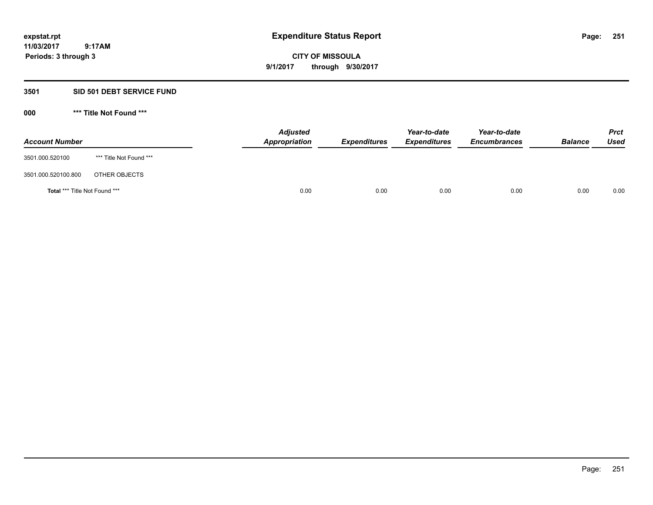**251**

**11/03/2017 9:17AM Periods: 3 through 3**

**CITY OF MISSOULA 9/1/2017 through 9/30/2017**

### **3501 SID 501 DEBT SERVICE FUND**

**000 \*\*\* Title Not Found \*\*\***

| <b>Account Number</b>                |                         | <b>Adjusted</b><br>Appropriation | <b>Expenditures</b> | Year-to-date<br><b>Expenditures</b> | Year-to-date<br><b>Encumbrances</b> | <b>Balance</b> | <b>Prct</b><br>Used |
|--------------------------------------|-------------------------|----------------------------------|---------------------|-------------------------------------|-------------------------------------|----------------|---------------------|
| 3501.000.520100                      | *** Title Not Found *** |                                  |                     |                                     |                                     |                |                     |
| 3501.000.520100.800                  | OTHER OBJECTS           |                                  |                     |                                     |                                     |                |                     |
| <b>Total *** Title Not Found ***</b> |                         | 0.00                             | 0.00                | 0.00                                | 0.00                                | 0.00           | 0.00                |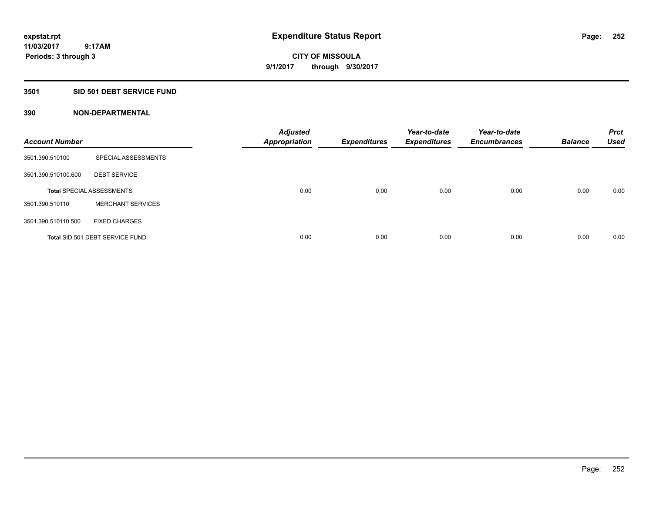**CITY OF MISSOULA 9/1/2017 through 9/30/2017**

### **3501 SID 501 DEBT SERVICE FUND**

| <b>Account Number</b> |                                  | <b>Adjusted</b><br><b>Appropriation</b> | <b>Expenditures</b> | Year-to-date<br><b>Expenditures</b> | Year-to-date<br><b>Encumbrances</b> | <b>Balance</b> | <b>Prct</b><br><b>Used</b> |
|-----------------------|----------------------------------|-----------------------------------------|---------------------|-------------------------------------|-------------------------------------|----------------|----------------------------|
| 3501.390.510100       | SPECIAL ASSESSMENTS              |                                         |                     |                                     |                                     |                |                            |
| 3501.390.510100.600   | <b>DEBT SERVICE</b>              |                                         |                     |                                     |                                     |                |                            |
|                       | <b>Total SPECIAL ASSESSMENTS</b> | 0.00                                    | 0.00                | 0.00                                | 0.00                                | 0.00           | 0.00                       |
| 3501.390.510110       | <b>MERCHANT SERVICES</b>         |                                         |                     |                                     |                                     |                |                            |
| 3501.390.510110.500   | <b>FIXED CHARGES</b>             |                                         |                     |                                     |                                     |                |                            |
|                       | Total SID 501 DEBT SERVICE FUND  | 0.00                                    | 0.00                | 0.00                                | 0.00                                | 0.00           | 0.00                       |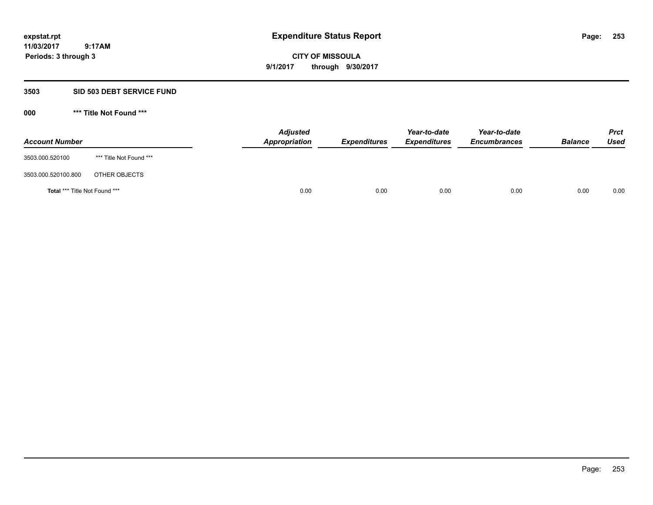**CITY OF MISSOULA 9/1/2017 through 9/30/2017**

### **3503 SID 503 DEBT SERVICE FUND**

| <b>Account Number</b>         |                         | <b>Adjusted</b><br>Appropriation | <b>Expenditures</b> | Year-to-date<br><b>Expenditures</b> | Year-to-date<br><b>Encumbrances</b> | <b>Balance</b> | <b>Prct</b><br>Used |
|-------------------------------|-------------------------|----------------------------------|---------------------|-------------------------------------|-------------------------------------|----------------|---------------------|
| 3503.000.520100               | *** Title Not Found *** |                                  |                     |                                     |                                     |                |                     |
| 3503.000.520100.800           | OTHER OBJECTS           |                                  |                     |                                     |                                     |                |                     |
| Total *** Title Not Found *** |                         | 0.00                             | 0.00                | 0.00                                | 0.00                                | 0.00           | 0.00                |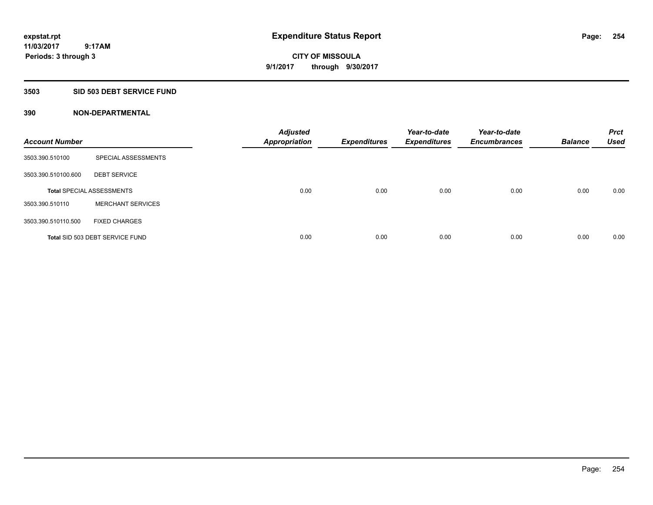**Periods: 3 through 3**

**CITY OF MISSOULA 9/1/2017 through 9/30/2017**

#### **3503 SID 503 DEBT SERVICE FUND**

 **9:17AM**

| <b>Account Number</b> |                                  | <b>Adjusted</b><br><b>Appropriation</b> | <b>Expenditures</b> | Year-to-date<br><b>Expenditures</b> | Year-to-date<br><b>Encumbrances</b> | <b>Balance</b> | <b>Prct</b><br><b>Used</b> |
|-----------------------|----------------------------------|-----------------------------------------|---------------------|-------------------------------------|-------------------------------------|----------------|----------------------------|
| 3503.390.510100       | SPECIAL ASSESSMENTS              |                                         |                     |                                     |                                     |                |                            |
| 3503.390.510100.600   | <b>DEBT SERVICE</b>              |                                         |                     |                                     |                                     |                |                            |
|                       | <b>Total SPECIAL ASSESSMENTS</b> | 0.00                                    | 0.00                | 0.00                                | 0.00                                | 0.00           | 0.00                       |
| 3503.390.510110       | <b>MERCHANT SERVICES</b>         |                                         |                     |                                     |                                     |                |                            |
| 3503.390.510110.500   | <b>FIXED CHARGES</b>             |                                         |                     |                                     |                                     |                |                            |
|                       | Total SID 503 DEBT SERVICE FUND  | 0.00                                    | 0.00                | 0.00                                | 0.00                                | 0.00           | 0.00                       |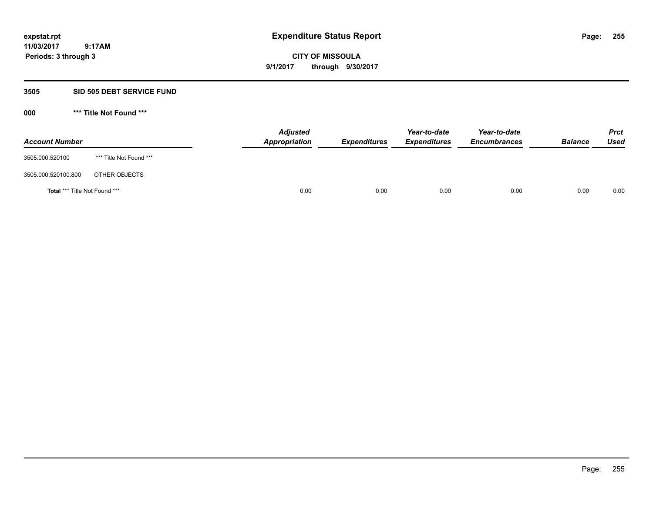**CITY OF MISSOULA 9/1/2017 through 9/30/2017**

### **3505 SID 505 DEBT SERVICE FUND**

| <b>Account Number</b>         |                         | <b>Adjusted</b><br>Appropriation | <b>Expenditures</b> | Year-to-date<br><b>Expenditures</b> | Year-to-date<br><b>Encumbrances</b> | <b>Balance</b> | Prct<br><b>Used</b> |
|-------------------------------|-------------------------|----------------------------------|---------------------|-------------------------------------|-------------------------------------|----------------|---------------------|
| 3505.000.520100               | *** Title Not Found *** |                                  |                     |                                     |                                     |                |                     |
| 3505.000.520100.800           | OTHER OBJECTS           |                                  |                     |                                     |                                     |                |                     |
| Total *** Title Not Found *** |                         | 0.00                             | 0.00                | 0.00                                | 0.00                                | 0.00           | 0.00                |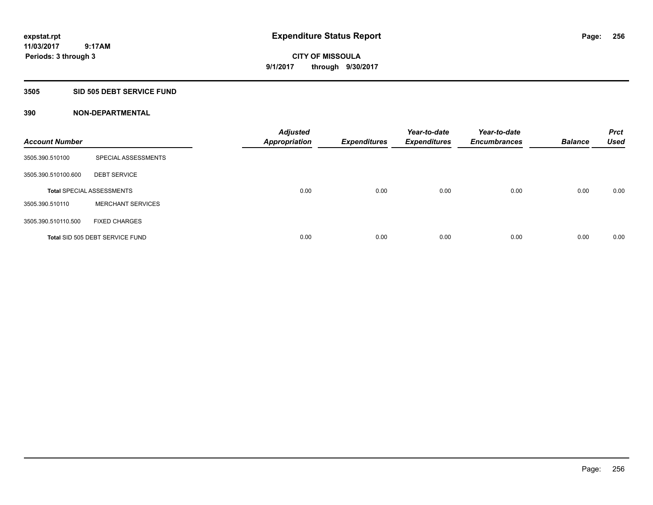**CITY OF MISSOULA 9/1/2017 through 9/30/2017**

#### **3505 SID 505 DEBT SERVICE FUND**

| <b>Account Number</b> |                                  | <b>Adjusted</b><br><b>Appropriation</b> | <b>Expenditures</b> | Year-to-date<br><b>Expenditures</b> | Year-to-date<br><b>Encumbrances</b> | <b>Balance</b> | <b>Prct</b><br><b>Used</b> |
|-----------------------|----------------------------------|-----------------------------------------|---------------------|-------------------------------------|-------------------------------------|----------------|----------------------------|
| 3505.390.510100       | SPECIAL ASSESSMENTS              |                                         |                     |                                     |                                     |                |                            |
| 3505.390.510100.600   | <b>DEBT SERVICE</b>              |                                         |                     |                                     |                                     |                |                            |
|                       | <b>Total SPECIAL ASSESSMENTS</b> | 0.00                                    | 0.00                | 0.00                                | 0.00                                | 0.00           | 0.00                       |
| 3505.390.510110       | <b>MERCHANT SERVICES</b>         |                                         |                     |                                     |                                     |                |                            |
| 3505.390.510110.500   | <b>FIXED CHARGES</b>             |                                         |                     |                                     |                                     |                |                            |
|                       | Total SID 505 DEBT SERVICE FUND  | 0.00                                    | 0.00                | 0.00                                | 0.00                                | 0.00           | 0.00                       |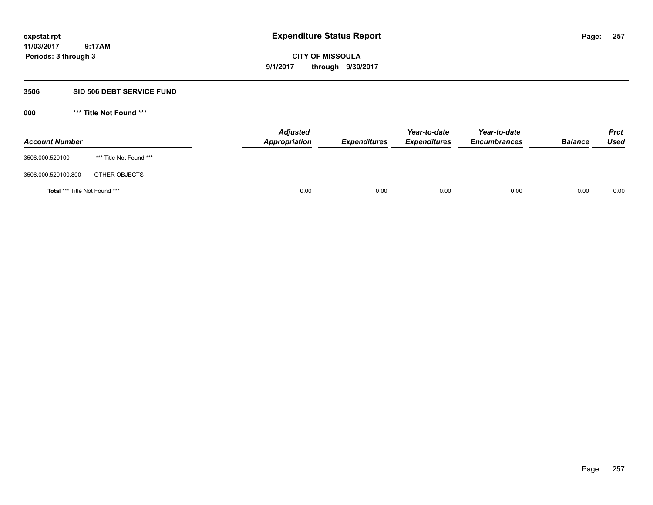**CITY OF MISSOULA 9/1/2017 through 9/30/2017**

# **3506 SID 506 DEBT SERVICE FUND**

| <b>Account Number</b>         |                         | <b>Adjusted</b><br>Appropriation | <b>Expenditures</b> | Year-to-date<br><b>Expenditures</b> | Year-to-date<br><b>Encumbrances</b> | <b>Balance</b> | <b>Prct</b><br><b>Used</b> |
|-------------------------------|-------------------------|----------------------------------|---------------------|-------------------------------------|-------------------------------------|----------------|----------------------------|
| 3506.000.520100               | *** Title Not Found *** |                                  |                     |                                     |                                     |                |                            |
| 3506.000.520100.800           | OTHER OBJECTS           |                                  |                     |                                     |                                     |                |                            |
| Total *** Title Not Found *** |                         | 0.00                             | 0.00                | 0.00                                | 0.00                                | 0.00           | 0.00                       |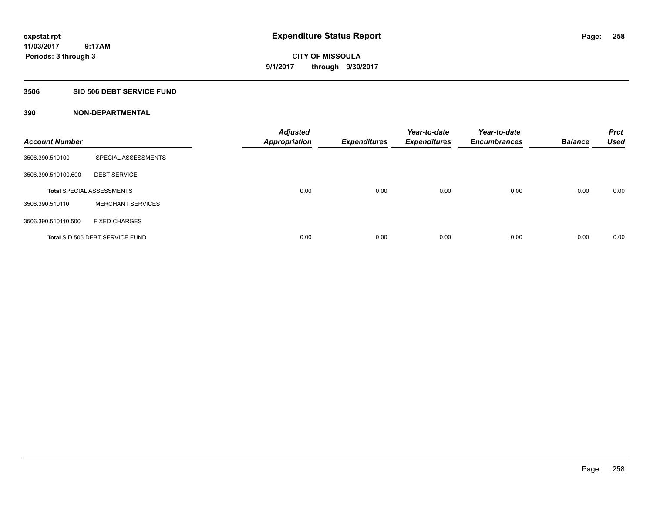**258**

**11/03/2017 9:17AM Periods: 3 through 3**

**CITY OF MISSOULA 9/1/2017 through 9/30/2017**

### **3506 SID 506 DEBT SERVICE FUND**

| <b>Account Number</b> |                                  | <b>Adjusted</b><br><b>Appropriation</b> | <b>Expenditures</b> | Year-to-date<br><b>Expenditures</b> | Year-to-date<br><b>Encumbrances</b> | <b>Balance</b> | <b>Prct</b><br><b>Used</b> |
|-----------------------|----------------------------------|-----------------------------------------|---------------------|-------------------------------------|-------------------------------------|----------------|----------------------------|
| 3506.390.510100       | SPECIAL ASSESSMENTS              |                                         |                     |                                     |                                     |                |                            |
| 3506.390.510100.600   | <b>DEBT SERVICE</b>              |                                         |                     |                                     |                                     |                |                            |
|                       | <b>Total SPECIAL ASSESSMENTS</b> | 0.00                                    | 0.00                | 0.00                                | 0.00                                | 0.00           | 0.00                       |
| 3506.390.510110       | <b>MERCHANT SERVICES</b>         |                                         |                     |                                     |                                     |                |                            |
| 3506.390.510110.500   | <b>FIXED CHARGES</b>             |                                         |                     |                                     |                                     |                |                            |
|                       | Total SID 506 DEBT SERVICE FUND  | 0.00                                    | 0.00                | 0.00                                | 0.00                                | 0.00           | 0.00                       |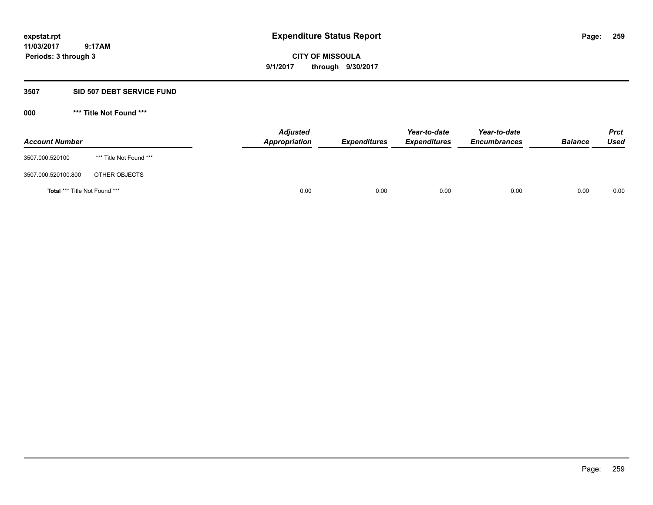**CITY OF MISSOULA 9/1/2017 through 9/30/2017**

# **3507 SID 507 DEBT SERVICE FUND**

| <b>Account Number</b>         |                         | <b>Adjusted</b><br>Appropriation | <b>Expenditures</b> | Year-to-date<br><b>Expenditures</b> | Year-to-date<br><b>Encumbrances</b> | <b>Balance</b> | Prct<br><b>Used</b> |
|-------------------------------|-------------------------|----------------------------------|---------------------|-------------------------------------|-------------------------------------|----------------|---------------------|
| 3507.000.520100               | *** Title Not Found *** |                                  |                     |                                     |                                     |                |                     |
| 3507.000.520100.800           | OTHER OBJECTS           |                                  |                     |                                     |                                     |                |                     |
| Total *** Title Not Found *** |                         | 0.00                             | 0.00                | 0.00                                | 0.00                                | 0.00           | 0.00                |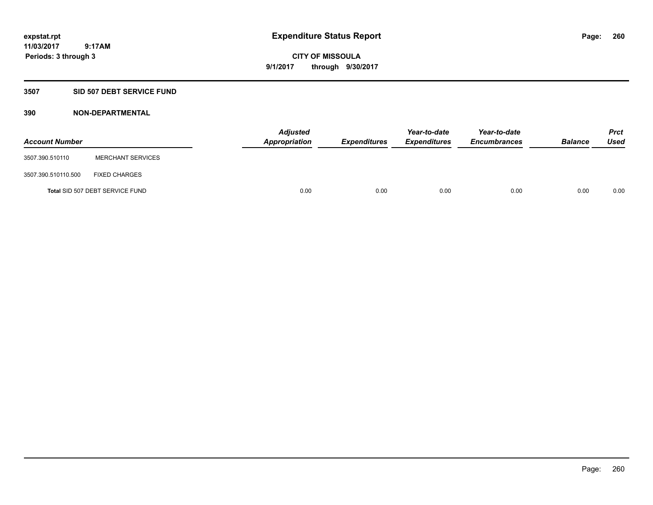# **CITY OF MISSOULA 9/1/2017 through 9/30/2017**

# **3507 SID 507 DEBT SERVICE FUND**

| <b>Account Number</b> |                                 | <b>Adjusted</b><br>Appropriation | <b>Expenditures</b> | Year-to-date<br><b>Expenditures</b> | Year-to-date<br><b>Encumbrances</b> | <b>Balance</b> | Prct<br><b>Used</b> |
|-----------------------|---------------------------------|----------------------------------|---------------------|-------------------------------------|-------------------------------------|----------------|---------------------|
| 3507.390.510110       | <b>MERCHANT SERVICES</b>        |                                  |                     |                                     |                                     |                |                     |
| 3507.390.510110.500   | <b>FIXED CHARGES</b>            |                                  |                     |                                     |                                     |                |                     |
|                       | Total SID 507 DEBT SERVICE FUND | 0.00                             | 0.00                | 0.00                                | 0.00                                | 0.00           | 0.00                |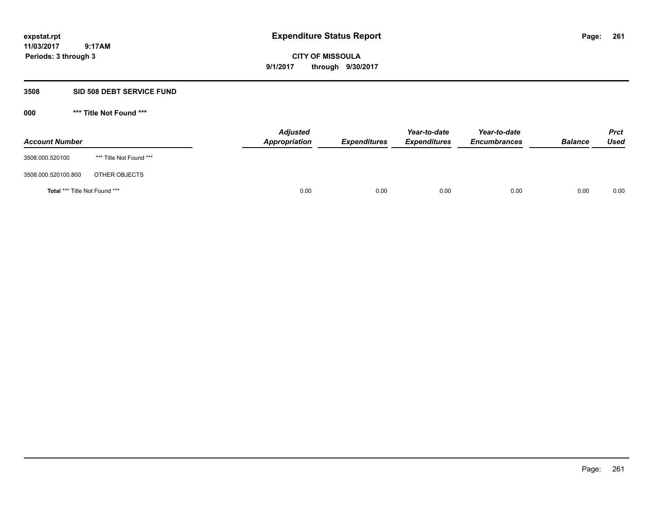**CITY OF MISSOULA 9/1/2017 through 9/30/2017**

# **3508 SID 508 DEBT SERVICE FUND**

| <b>Account Number</b>         |                         | <b>Adjusted</b><br>Appropriation | <b>Expenditures</b> | Year-to-date<br><b>Expenditures</b> | Year-to-date<br><b>Encumbrances</b> | <b>Balance</b> | Prct<br><b>Used</b> |
|-------------------------------|-------------------------|----------------------------------|---------------------|-------------------------------------|-------------------------------------|----------------|---------------------|
| 3508.000.520100               | *** Title Not Found *** |                                  |                     |                                     |                                     |                |                     |
| 3508.000.520100.800           | OTHER OBJECTS           |                                  |                     |                                     |                                     |                |                     |
| Total *** Title Not Found *** |                         | 0.00                             | 0.00                | 0.00                                | 0.00                                | 0.00           | 0.00                |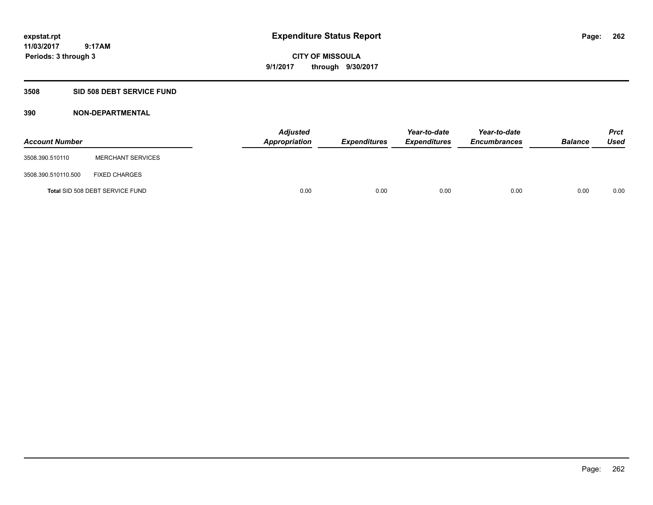**CITY OF MISSOULA 9/1/2017 through 9/30/2017**

# **3508 SID 508 DEBT SERVICE FUND**

| <b>Account Number</b> |                                 | <b>Adjusted</b><br>Appropriation | <b>Expenditures</b> | Year-to-date<br><b>Expenditures</b> | Year-to-date<br><b>Encumbrances</b> | <b>Balance</b> | Prct<br><b>Used</b> |
|-----------------------|---------------------------------|----------------------------------|---------------------|-------------------------------------|-------------------------------------|----------------|---------------------|
| 3508.390.510110       | <b>MERCHANT SERVICES</b>        |                                  |                     |                                     |                                     |                |                     |
| 3508.390.510110.500   | <b>FIXED CHARGES</b>            |                                  |                     |                                     |                                     |                |                     |
|                       | Total SID 508 DEBT SERVICE FUND | 0.00                             | 0.00                | 0.00                                | 0.00                                | 0.00           | 0.00                |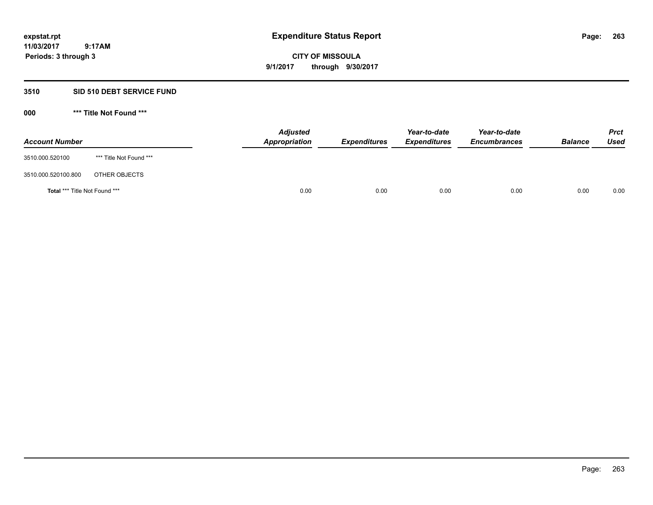**CITY OF MISSOULA 9/1/2017 through 9/30/2017**

# **3510 SID 510 DEBT SERVICE FUND**

| <b>Account Number</b>         |                         | <b>Adjusted</b><br>Appropriation | <b>Expenditures</b> | Year-to-date<br><b>Expenditures</b> | Year-to-date<br><b>Encumbrances</b> | <b>Balance</b> | <b>Prct</b><br><b>Used</b> |
|-------------------------------|-------------------------|----------------------------------|---------------------|-------------------------------------|-------------------------------------|----------------|----------------------------|
| 3510.000.520100               | *** Title Not Found *** |                                  |                     |                                     |                                     |                |                            |
| 3510.000.520100.800           | OTHER OBJECTS           |                                  |                     |                                     |                                     |                |                            |
| Total *** Title Not Found *** |                         | 0.00                             | 0.00                | 0.00                                | 0.00                                | 0.00           | 0.00                       |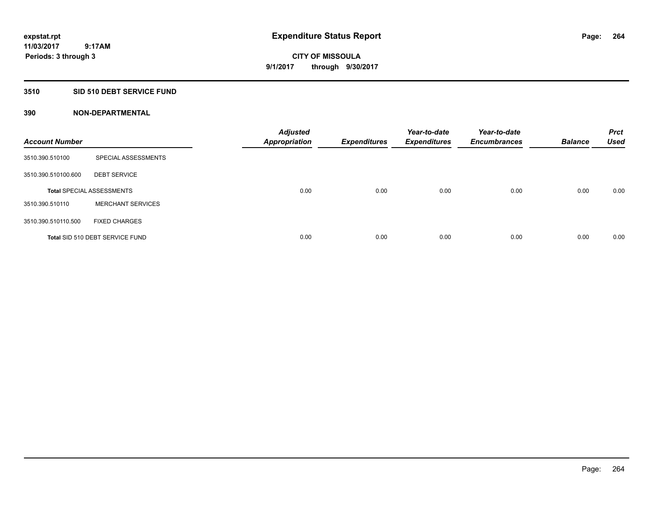### **3510 SID 510 DEBT SERVICE FUND**

| <b>Account Number</b> |                                  | <b>Adjusted</b><br><b>Appropriation</b> | <b>Expenditures</b> | Year-to-date<br><b>Expenditures</b> | Year-to-date<br><b>Encumbrances</b> | <b>Balance</b> | <b>Prct</b><br><b>Used</b> |
|-----------------------|----------------------------------|-----------------------------------------|---------------------|-------------------------------------|-------------------------------------|----------------|----------------------------|
| 3510.390.510100       | SPECIAL ASSESSMENTS              |                                         |                     |                                     |                                     |                |                            |
| 3510.390.510100.600   | <b>DEBT SERVICE</b>              |                                         |                     |                                     |                                     |                |                            |
|                       | <b>Total SPECIAL ASSESSMENTS</b> | 0.00                                    | 0.00                | 0.00                                | 0.00                                | 0.00           | 0.00                       |
| 3510.390.510110       | <b>MERCHANT SERVICES</b>         |                                         |                     |                                     |                                     |                |                            |
| 3510.390.510110.500   | <b>FIXED CHARGES</b>             |                                         |                     |                                     |                                     |                |                            |
|                       | Total SID 510 DEBT SERVICE FUND  | 0.00                                    | 0.00                | 0.00                                | 0.00                                | 0.00           | 0.00                       |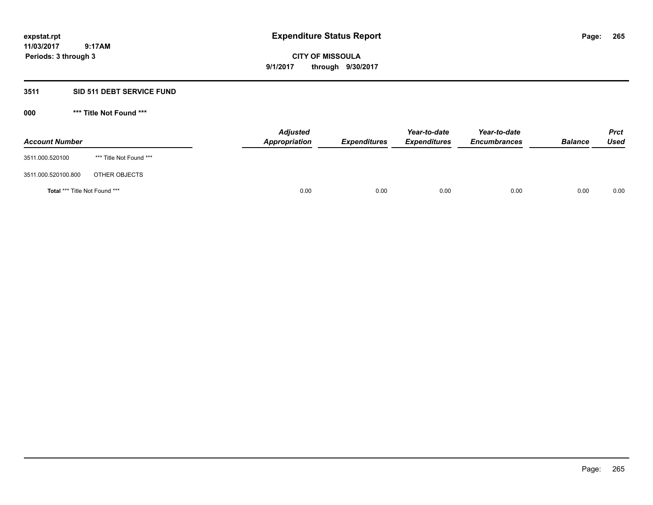# **CITY OF MISSOULA 9/1/2017 through 9/30/2017**

# **3511 SID 511 DEBT SERVICE FUND**

| <b>Account Number</b>         |                         | <b>Adjusted</b><br>Appropriation | <b>Expenditures</b> | Year-to-date<br><b>Expenditures</b> | Year-to-date<br><b>Encumbrances</b> | <b>Balance</b> | <b>Prct</b><br>Used |
|-------------------------------|-------------------------|----------------------------------|---------------------|-------------------------------------|-------------------------------------|----------------|---------------------|
| 3511.000.520100               | *** Title Not Found *** |                                  |                     |                                     |                                     |                |                     |
| 3511.000.520100.800           | OTHER OBJECTS           |                                  |                     |                                     |                                     |                |                     |
| Total *** Title Not Found *** |                         | 0.00                             | 0.00                | 0.00                                | 0.00                                | 0.00           | 0.00                |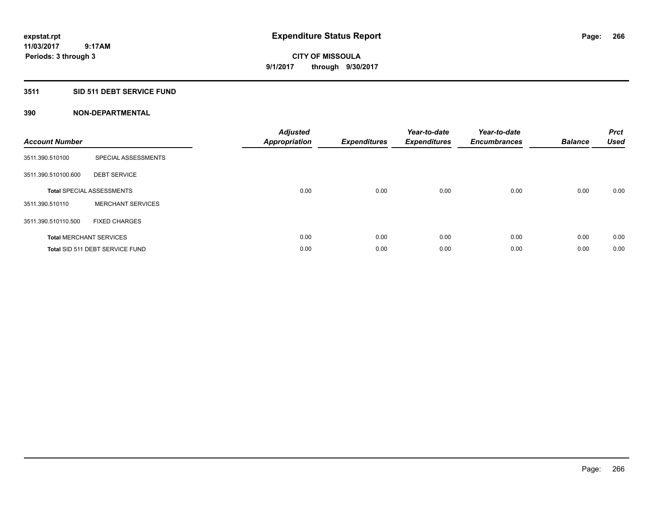# **3511 SID 511 DEBT SERVICE FUND**

| <b>Account Number</b> |                                  | <b>Adjusted</b><br><b>Appropriation</b> | <b>Expenditures</b> | Year-to-date<br><b>Expenditures</b> | Year-to-date<br><b>Encumbrances</b> | <b>Balance</b> | <b>Prct</b><br><b>Used</b> |
|-----------------------|----------------------------------|-----------------------------------------|---------------------|-------------------------------------|-------------------------------------|----------------|----------------------------|
| 3511.390.510100       | SPECIAL ASSESSMENTS              |                                         |                     |                                     |                                     |                |                            |
| 3511.390.510100.600   | <b>DEBT SERVICE</b>              |                                         |                     |                                     |                                     |                |                            |
|                       | <b>Total SPECIAL ASSESSMENTS</b> | 0.00                                    | 0.00                | 0.00                                | 0.00                                | 0.00           | 0.00                       |
| 3511.390.510110       | <b>MERCHANT SERVICES</b>         |                                         |                     |                                     |                                     |                |                            |
| 3511.390.510110.500   | <b>FIXED CHARGES</b>             |                                         |                     |                                     |                                     |                |                            |
|                       | <b>Total MERCHANT SERVICES</b>   | 0.00                                    | 0.00                | 0.00                                | 0.00                                | 0.00           | 0.00                       |
|                       | Total SID 511 DEBT SERVICE FUND  | 0.00                                    | 0.00                | 0.00                                | 0.00                                | 0.00           | 0.00                       |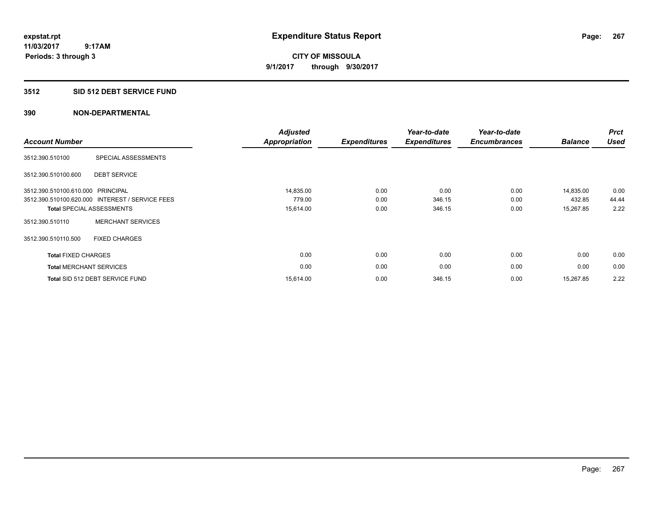# **3512 SID 512 DEBT SERVICE FUND**

| <b>Account Number</b>             |                                                 | <b>Adjusted</b><br><b>Appropriation</b> | <b>Expenditures</b> | Year-to-date<br><b>Expenditures</b> | Year-to-date<br><b>Encumbrances</b> | <b>Balance</b> | <b>Prct</b><br><b>Used</b> |
|-----------------------------------|-------------------------------------------------|-----------------------------------------|---------------------|-------------------------------------|-------------------------------------|----------------|----------------------------|
| 3512.390.510100                   | SPECIAL ASSESSMENTS                             |                                         |                     |                                     |                                     |                |                            |
| 3512.390.510100.600               | <b>DEBT SERVICE</b>                             |                                         |                     |                                     |                                     |                |                            |
| 3512.390.510100.610.000 PRINCIPAL |                                                 | 14,835.00                               | 0.00                | 0.00                                | 0.00                                | 14,835.00      | 0.00                       |
|                                   | 3512.390.510100.620.000 INTEREST / SERVICE FEES | 779.00                                  | 0.00                | 346.15                              | 0.00                                | 432.85         | 44.44                      |
|                                   | <b>Total SPECIAL ASSESSMENTS</b>                | 15,614.00                               | 0.00                | 346.15                              | 0.00                                | 15,267.85      | 2.22                       |
| 3512.390.510110                   | <b>MERCHANT SERVICES</b>                        |                                         |                     |                                     |                                     |                |                            |
| 3512.390.510110.500               | <b>FIXED CHARGES</b>                            |                                         |                     |                                     |                                     |                |                            |
| <b>Total FIXED CHARGES</b>        |                                                 | 0.00                                    | 0.00                | 0.00                                | 0.00                                | 0.00           | 0.00                       |
| <b>Total MERCHANT SERVICES</b>    |                                                 | 0.00                                    | 0.00                | 0.00                                | 0.00                                | 0.00           | 0.00                       |
|                                   | Total SID 512 DEBT SERVICE FUND                 | 15,614.00                               | 0.00                | 346.15                              | 0.00                                | 15,267.85      | 2.22                       |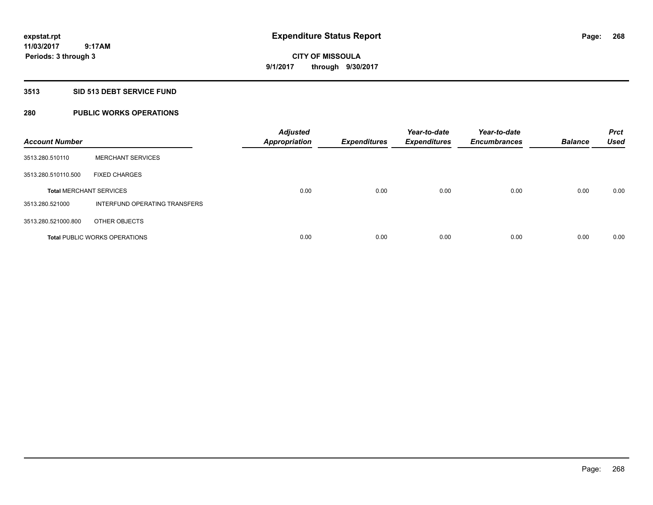# **CITY OF MISSOULA 9/1/2017 through 9/30/2017**

### **3513 SID 513 DEBT SERVICE FUND**

# **280 PUBLIC WORKS OPERATIONS**

| <b>Account Number</b>          |                                      | <b>Adjusted</b><br><b>Appropriation</b> | <b>Expenditures</b> | Year-to-date<br><b>Expenditures</b> | Year-to-date<br><b>Encumbrances</b> | <b>Balance</b> | <b>Prct</b><br><b>Used</b> |
|--------------------------------|--------------------------------------|-----------------------------------------|---------------------|-------------------------------------|-------------------------------------|----------------|----------------------------|
| 3513.280.510110                | <b>MERCHANT SERVICES</b>             |                                         |                     |                                     |                                     |                |                            |
| 3513.280.510110.500            | <b>FIXED CHARGES</b>                 |                                         |                     |                                     |                                     |                |                            |
| <b>Total MERCHANT SERVICES</b> |                                      | 0.00                                    | 0.00                | 0.00                                | 0.00                                | 0.00           | 0.00                       |
| 3513.280.521000                | INTERFUND OPERATING TRANSFERS        |                                         |                     |                                     |                                     |                |                            |
| 3513.280.521000.800            | OTHER OBJECTS                        |                                         |                     |                                     |                                     |                |                            |
|                                | <b>Total PUBLIC WORKS OPERATIONS</b> | 0.00                                    | 0.00                | 0.00                                | 0.00                                | 0.00           | 0.00                       |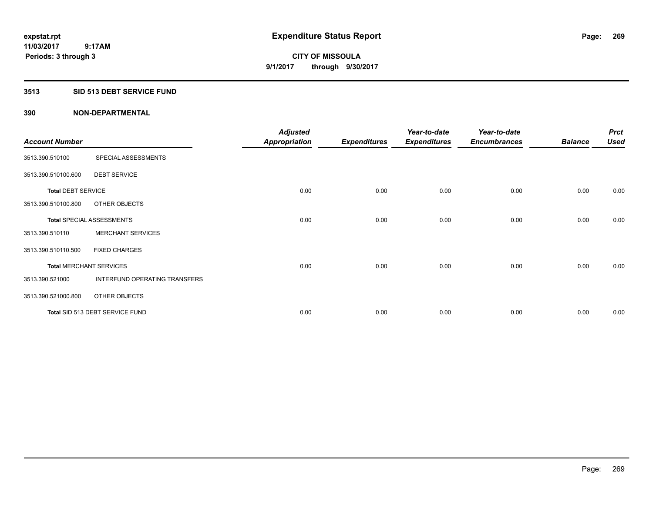### **3513 SID 513 DEBT SERVICE FUND**

| <b>Account Number</b>     |                                  | <b>Adjusted</b><br><b>Appropriation</b> | <b>Expenditures</b> | Year-to-date<br><b>Expenditures</b> | Year-to-date<br><b>Encumbrances</b> | <b>Balance</b> | <b>Prct</b><br><b>Used</b> |
|---------------------------|----------------------------------|-----------------------------------------|---------------------|-------------------------------------|-------------------------------------|----------------|----------------------------|
| 3513.390.510100           | SPECIAL ASSESSMENTS              |                                         |                     |                                     |                                     |                |                            |
| 3513.390.510100.600       | <b>DEBT SERVICE</b>              |                                         |                     |                                     |                                     |                |                            |
| <b>Total DEBT SERVICE</b> |                                  | 0.00                                    | 0.00                | 0.00                                | 0.00                                | 0.00           | 0.00                       |
| 3513.390.510100.800       | OTHER OBJECTS                    |                                         |                     |                                     |                                     |                |                            |
|                           | <b>Total SPECIAL ASSESSMENTS</b> | 0.00                                    | 0.00                | 0.00                                | 0.00                                | 0.00           | 0.00                       |
| 3513.390.510110           | <b>MERCHANT SERVICES</b>         |                                         |                     |                                     |                                     |                |                            |
| 3513.390.510110.500       | <b>FIXED CHARGES</b>             |                                         |                     |                                     |                                     |                |                            |
|                           | <b>Total MERCHANT SERVICES</b>   | 0.00                                    | 0.00                | 0.00                                | 0.00                                | 0.00           | 0.00                       |
| 3513.390.521000           | INTERFUND OPERATING TRANSFERS    |                                         |                     |                                     |                                     |                |                            |
| 3513.390.521000.800       | OTHER OBJECTS                    |                                         |                     |                                     |                                     |                |                            |
|                           | Total SID 513 DEBT SERVICE FUND  | 0.00                                    | 0.00                | 0.00                                | 0.00                                | 0.00           | 0.00                       |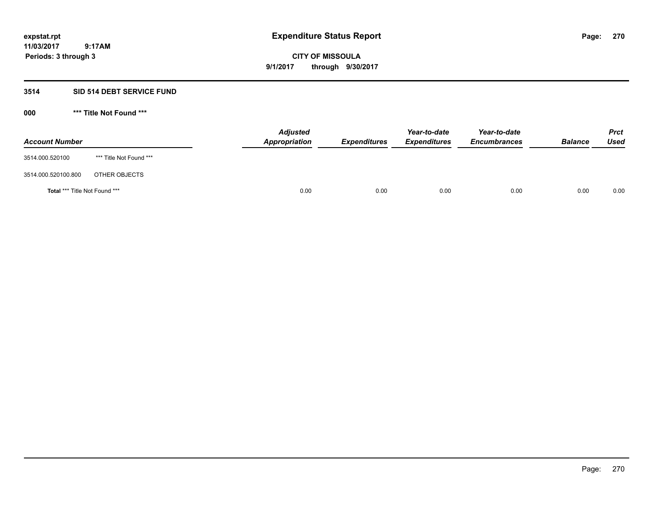# **CITY OF MISSOULA 9/1/2017 through 9/30/2017**

# **3514 SID 514 DEBT SERVICE FUND**

| <b>Account Number</b>         |                         | <b>Adjusted</b><br>Appropriation | <b>Expenditures</b> | Year-to-date<br><b>Expenditures</b> | Year-to-date<br><b>Encumbrances</b> | <b>Balance</b> | <b>Prct</b><br>Used |
|-------------------------------|-------------------------|----------------------------------|---------------------|-------------------------------------|-------------------------------------|----------------|---------------------|
| 3514.000.520100               | *** Title Not Found *** |                                  |                     |                                     |                                     |                |                     |
| 3514.000.520100.800           | OTHER OBJECTS           |                                  |                     |                                     |                                     |                |                     |
| Total *** Title Not Found *** |                         | 0.00                             | 0.00                | 0.00                                | 0.00                                | 0.00           | 0.00                |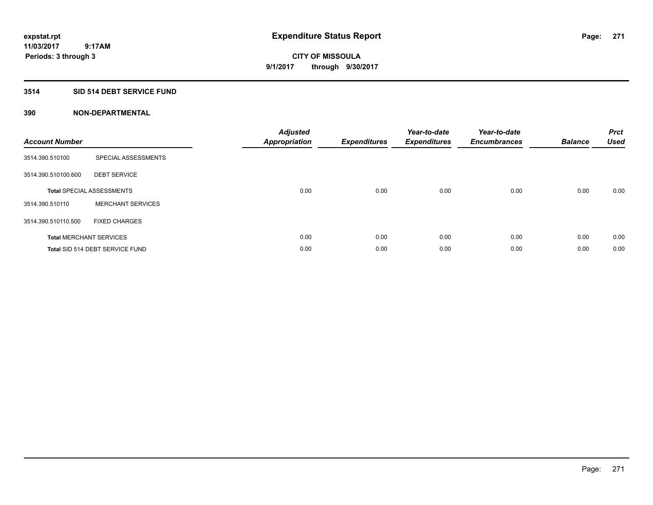# **3514 SID 514 DEBT SERVICE FUND**

| <b>Account Number</b> |                                  | <b>Adjusted</b><br><b>Appropriation</b> | <b>Expenditures</b> | Year-to-date<br><b>Expenditures</b> | Year-to-date<br><b>Encumbrances</b> | <b>Balance</b> | <b>Prct</b><br><b>Used</b> |
|-----------------------|----------------------------------|-----------------------------------------|---------------------|-------------------------------------|-------------------------------------|----------------|----------------------------|
| 3514.390.510100       | SPECIAL ASSESSMENTS              |                                         |                     |                                     |                                     |                |                            |
| 3514.390.510100.600   | <b>DEBT SERVICE</b>              |                                         |                     |                                     |                                     |                |                            |
|                       | <b>Total SPECIAL ASSESSMENTS</b> | 0.00                                    | 0.00                | 0.00                                | 0.00                                | 0.00           | 0.00                       |
| 3514.390.510110       | <b>MERCHANT SERVICES</b>         |                                         |                     |                                     |                                     |                |                            |
| 3514.390.510110.500   | <b>FIXED CHARGES</b>             |                                         |                     |                                     |                                     |                |                            |
|                       | <b>Total MERCHANT SERVICES</b>   | 0.00                                    | 0.00                | 0.00                                | 0.00                                | 0.00           | 0.00                       |
|                       | Total SID 514 DEBT SERVICE FUND  | 0.00                                    | 0.00                | 0.00                                | 0.00                                | 0.00           | 0.00                       |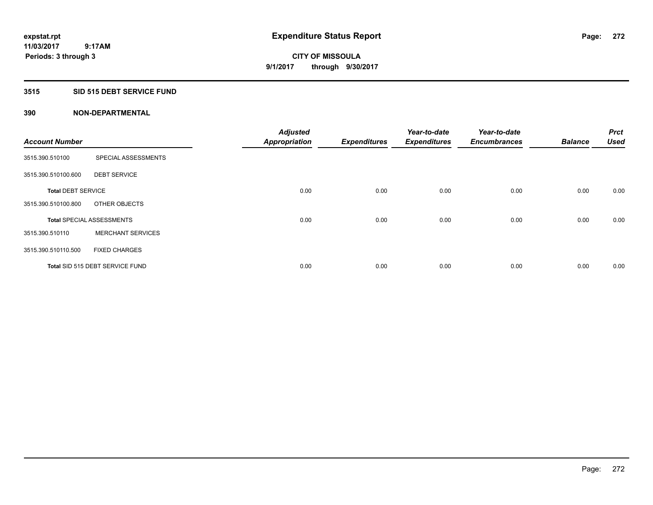# **3515 SID 515 DEBT SERVICE FUND**

|                           |                                  | <b>Adjusted</b>      |                     | Year-to-date        | Year-to-date        |                | Prct        |
|---------------------------|----------------------------------|----------------------|---------------------|---------------------|---------------------|----------------|-------------|
| <b>Account Number</b>     |                                  | <b>Appropriation</b> | <b>Expenditures</b> | <b>Expenditures</b> | <b>Encumbrances</b> | <b>Balance</b> | <b>Used</b> |
| 3515.390.510100           | SPECIAL ASSESSMENTS              |                      |                     |                     |                     |                |             |
| 3515.390.510100.600       | <b>DEBT SERVICE</b>              |                      |                     |                     |                     |                |             |
| <b>Total DEBT SERVICE</b> |                                  | 0.00                 | 0.00                | 0.00                | 0.00                | 0.00           | 0.00        |
| 3515.390.510100.800       | OTHER OBJECTS                    |                      |                     |                     |                     |                |             |
|                           | <b>Total SPECIAL ASSESSMENTS</b> | 0.00                 | 0.00                | 0.00                | 0.00                | 0.00           | 0.00        |
| 3515.390.510110           | <b>MERCHANT SERVICES</b>         |                      |                     |                     |                     |                |             |
| 3515.390.510110.500       | <b>FIXED CHARGES</b>             |                      |                     |                     |                     |                |             |
|                           | Total SID 515 DEBT SERVICE FUND  | 0.00                 | 0.00                | 0.00                | 0.00                | 0.00           | 0.00        |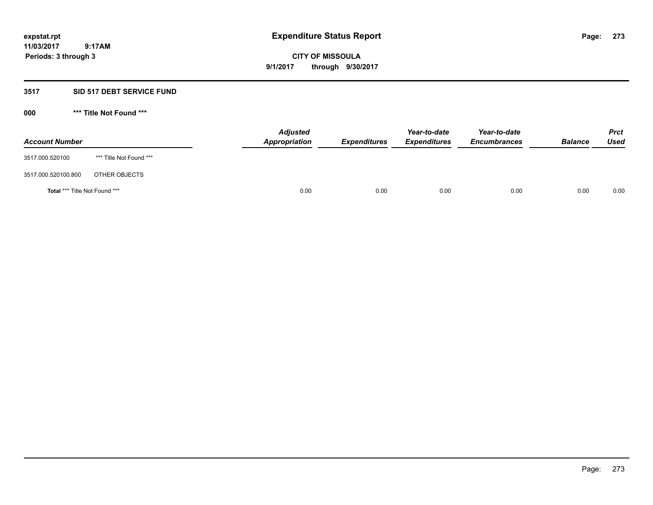**CITY OF MISSOULA 9/1/2017 through 9/30/2017**

# **3517 SID 517 DEBT SERVICE FUND**

| <b>Account Number</b>         |                         | <b>Adjusted</b><br>Appropriation | <b>Expenditures</b> | Year-to-date<br><b>Expenditures</b> | Year-to-date<br><b>Encumbrances</b> | <b>Balance</b> | <b>Prct</b><br>Used |
|-------------------------------|-------------------------|----------------------------------|---------------------|-------------------------------------|-------------------------------------|----------------|---------------------|
| 3517.000.520100               | *** Title Not Found *** |                                  |                     |                                     |                                     |                |                     |
| 3517.000.520100.800           | OTHER OBJECTS           |                                  |                     |                                     |                                     |                |                     |
| Total *** Title Not Found *** |                         | 0.00                             | 0.00                | 0.00                                | 0.00                                | 0.00           | 0.00                |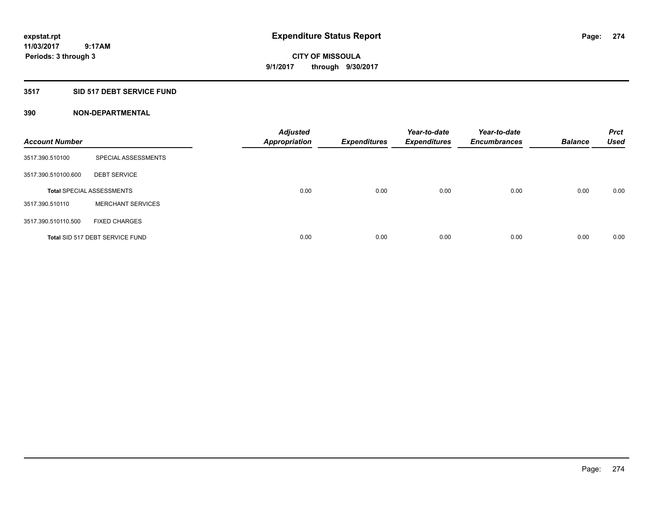# **3517 SID 517 DEBT SERVICE FUND**

| <b>Account Number</b> |                                  | <b>Adjusted</b><br><b>Appropriation</b> | <b>Expenditures</b> | Year-to-date<br><b>Expenditures</b> | Year-to-date<br><b>Encumbrances</b> | <b>Balance</b> | <b>Prct</b><br><b>Used</b> |
|-----------------------|----------------------------------|-----------------------------------------|---------------------|-------------------------------------|-------------------------------------|----------------|----------------------------|
| 3517.390.510100       | SPECIAL ASSESSMENTS              |                                         |                     |                                     |                                     |                |                            |
| 3517.390.510100.600   | <b>DEBT SERVICE</b>              |                                         |                     |                                     |                                     |                |                            |
|                       | <b>Total SPECIAL ASSESSMENTS</b> | 0.00                                    | 0.00                | 0.00                                | 0.00                                | 0.00           | 0.00                       |
| 3517.390.510110       | <b>MERCHANT SERVICES</b>         |                                         |                     |                                     |                                     |                |                            |
| 3517.390.510110.500   | <b>FIXED CHARGES</b>             |                                         |                     |                                     |                                     |                |                            |
|                       | Total SID 517 DEBT SERVICE FUND  | 0.00                                    | 0.00                | 0.00                                | 0.00                                | 0.00           | 0.00                       |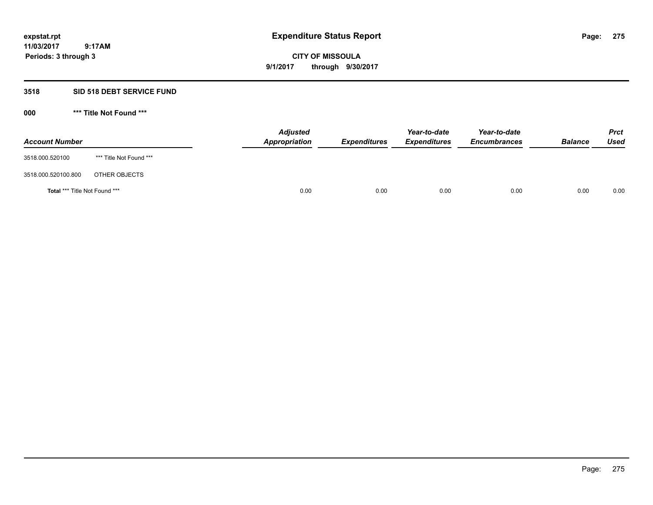**CITY OF MISSOULA 9/1/2017 through 9/30/2017**

# **3518 SID 518 DEBT SERVICE FUND**

| <b>Account Number</b>                |                         | <b>Adjusted</b><br>Appropriation | <b>Expenditures</b> | Year-to-date<br><b>Expenditures</b> | Year-to-date<br><b>Encumbrances</b> | <b>Balance</b> | <b>Prct</b><br><b>Used</b> |
|--------------------------------------|-------------------------|----------------------------------|---------------------|-------------------------------------|-------------------------------------|----------------|----------------------------|
| 3518.000.520100                      | *** Title Not Found *** |                                  |                     |                                     |                                     |                |                            |
| 3518.000.520100.800                  | OTHER OBJECTS           |                                  |                     |                                     |                                     |                |                            |
| <b>Total *** Title Not Found ***</b> |                         | 0.00                             | 0.00                | 0.00                                | 0.00                                | 0.00           | 0.00                       |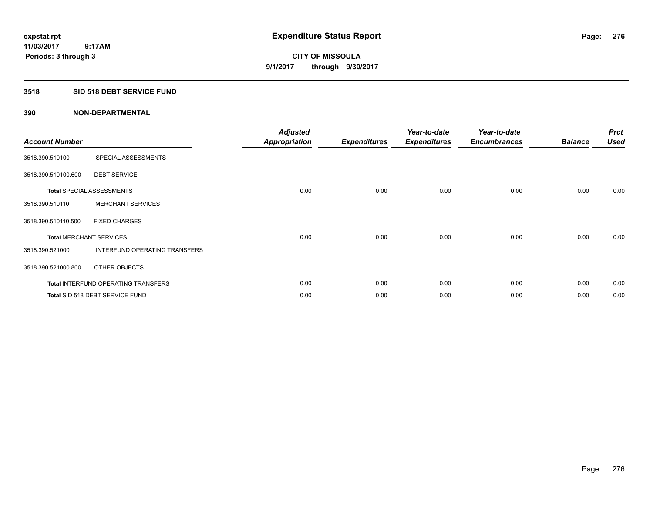### **3518 SID 518 DEBT SERVICE FUND**

| <b>Account Number</b>          |                                            | <b>Adjusted</b><br><b>Appropriation</b> | <b>Expenditures</b> | Year-to-date<br><b>Expenditures</b> | Year-to-date<br><b>Encumbrances</b> | <b>Balance</b> | <b>Prct</b><br><b>Used</b> |
|--------------------------------|--------------------------------------------|-----------------------------------------|---------------------|-------------------------------------|-------------------------------------|----------------|----------------------------|
| 3518.390.510100                | SPECIAL ASSESSMENTS                        |                                         |                     |                                     |                                     |                |                            |
| 3518.390.510100.600            | <b>DEBT SERVICE</b>                        |                                         |                     |                                     |                                     |                |                            |
|                                | <b>Total SPECIAL ASSESSMENTS</b>           | 0.00                                    | 0.00                | 0.00                                | 0.00                                | 0.00           | 0.00                       |
| 3518.390.510110                | <b>MERCHANT SERVICES</b>                   |                                         |                     |                                     |                                     |                |                            |
| 3518.390.510110.500            | <b>FIXED CHARGES</b>                       |                                         |                     |                                     |                                     |                |                            |
| <b>Total MERCHANT SERVICES</b> |                                            | 0.00                                    | 0.00                | 0.00                                | 0.00                                | 0.00           | 0.00                       |
| 3518.390.521000                | INTERFUND OPERATING TRANSFERS              |                                         |                     |                                     |                                     |                |                            |
| 3518.390.521000.800            | OTHER OBJECTS                              |                                         |                     |                                     |                                     |                |                            |
|                                | <b>Total INTERFUND OPERATING TRANSFERS</b> | 0.00                                    | 0.00                | 0.00                                | 0.00                                | 0.00           | 0.00                       |
|                                | Total SID 518 DEBT SERVICE FUND            | 0.00                                    | 0.00                | 0.00                                | 0.00                                | 0.00           | 0.00                       |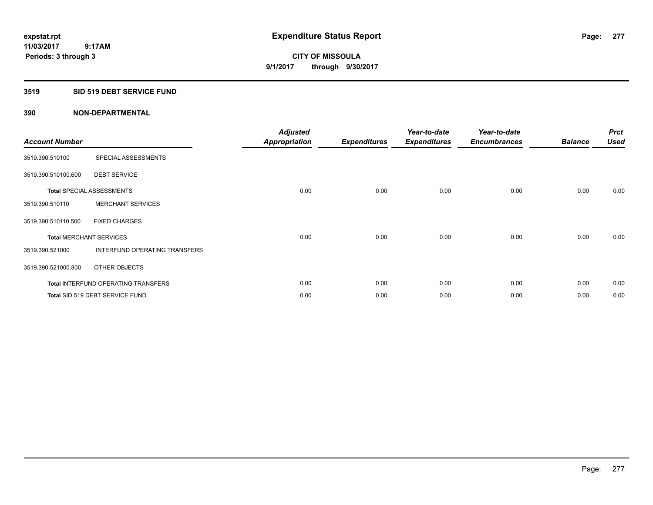**Periods: 3 through 3**

**CITY OF MISSOULA 9/1/2017 through 9/30/2017**

#### **3519 SID 519 DEBT SERVICE FUND**

| <b>Account Number</b>          |                                            | <b>Adjusted</b><br><b>Appropriation</b> | <b>Expenditures</b> | Year-to-date<br><b>Expenditures</b> | Year-to-date<br><b>Encumbrances</b> | <b>Balance</b> | <b>Prct</b><br><b>Used</b> |
|--------------------------------|--------------------------------------------|-----------------------------------------|---------------------|-------------------------------------|-------------------------------------|----------------|----------------------------|
| 3519.390.510100                | SPECIAL ASSESSMENTS                        |                                         |                     |                                     |                                     |                |                            |
| 3519.390.510100.600            | <b>DEBT SERVICE</b>                        |                                         |                     |                                     |                                     |                |                            |
|                                | <b>Total SPECIAL ASSESSMENTS</b>           | 0.00                                    | 0.00                | 0.00                                | 0.00                                | 0.00           | 0.00                       |
| 3519.390.510110                | <b>MERCHANT SERVICES</b>                   |                                         |                     |                                     |                                     |                |                            |
| 3519.390.510110.500            | <b>FIXED CHARGES</b>                       |                                         |                     |                                     |                                     |                |                            |
| <b>Total MERCHANT SERVICES</b> |                                            | 0.00                                    | 0.00                | 0.00                                | 0.00                                | 0.00           | 0.00                       |
| 3519.390.521000                | INTERFUND OPERATING TRANSFERS              |                                         |                     |                                     |                                     |                |                            |
| 3519.390.521000.800            | OTHER OBJECTS                              |                                         |                     |                                     |                                     |                |                            |
|                                | <b>Total INTERFUND OPERATING TRANSFERS</b> | 0.00                                    | 0.00                | 0.00                                | 0.00                                | 0.00           | 0.00                       |
|                                | Total SID 519 DEBT SERVICE FUND            | 0.00                                    | 0.00                | 0.00                                | 0.00                                | 0.00           | 0.00                       |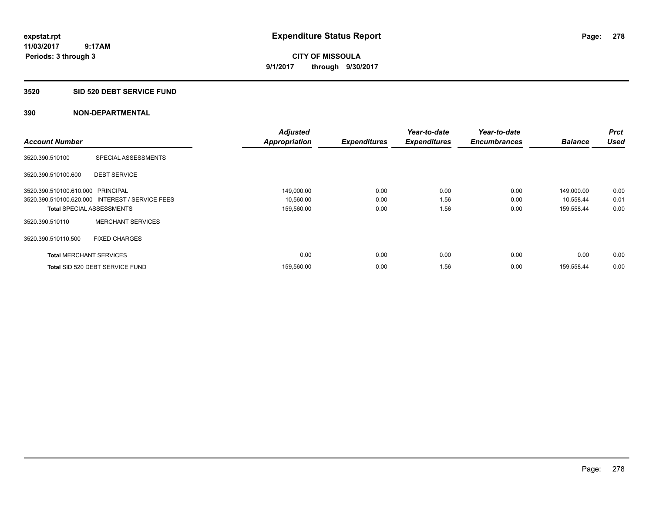# **3520 SID 520 DEBT SERVICE FUND**

|                                   |                                                 | <b>Adjusted</b>      |                     | Year-to-date        | Year-to-date        |                | <b>Prct</b> |
|-----------------------------------|-------------------------------------------------|----------------------|---------------------|---------------------|---------------------|----------------|-------------|
| <b>Account Number</b>             |                                                 | <b>Appropriation</b> | <b>Expenditures</b> | <b>Expenditures</b> | <b>Encumbrances</b> | <b>Balance</b> | <b>Used</b> |
| 3520.390.510100                   | SPECIAL ASSESSMENTS                             |                      |                     |                     |                     |                |             |
| 3520.390.510100.600               | <b>DEBT SERVICE</b>                             |                      |                     |                     |                     |                |             |
| 3520.390.510100.610.000 PRINCIPAL |                                                 | 149,000.00           | 0.00                | 0.00                | 0.00                | 149,000.00     | 0.00        |
|                                   | 3520.390.510100.620.000 INTEREST / SERVICE FEES | 10,560.00            | 0.00                | 1.56                | 0.00                | 10,558.44      | 0.01        |
| <b>Total SPECIAL ASSESSMENTS</b>  |                                                 | 159,560.00           | 0.00                | 1.56                | 0.00                | 159,558.44     | 0.00        |
| 3520.390.510110                   | <b>MERCHANT SERVICES</b>                        |                      |                     |                     |                     |                |             |
| 3520.390.510110.500               | <b>FIXED CHARGES</b>                            |                      |                     |                     |                     |                |             |
| <b>Total MERCHANT SERVICES</b>    |                                                 | 0.00                 | 0.00                | 0.00                | 0.00                | 0.00           | 0.00        |
|                                   | Total SID 520 DEBT SERVICE FUND                 | 159,560.00           | 0.00                | 1.56                | 0.00                | 159,558.44     | 0.00        |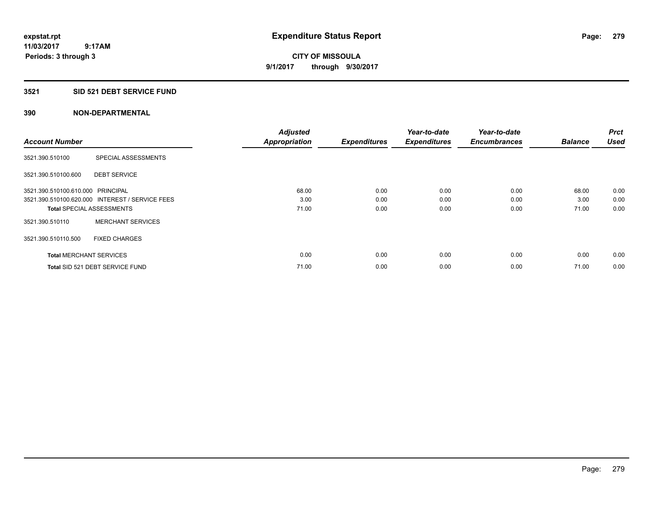**CITY OF MISSOULA 9/1/2017 through 9/30/2017**

# **3521 SID 521 DEBT SERVICE FUND**

|                                   |                                                 | <b>Adjusted</b>      |                     | Year-to-date        | Year-to-date        |                | <b>Prct</b> |
|-----------------------------------|-------------------------------------------------|----------------------|---------------------|---------------------|---------------------|----------------|-------------|
| <b>Account Number</b>             |                                                 | <b>Appropriation</b> | <b>Expenditures</b> | <b>Expenditures</b> | <b>Encumbrances</b> | <b>Balance</b> | <b>Used</b> |
| 3521.390.510100                   | SPECIAL ASSESSMENTS                             |                      |                     |                     |                     |                |             |
| 3521.390.510100.600               | <b>DEBT SERVICE</b>                             |                      |                     |                     |                     |                |             |
| 3521.390.510100.610.000 PRINCIPAL |                                                 | 68.00                | 0.00                | 0.00                | 0.00                | 68.00          | 0.00        |
|                                   | 3521.390.510100.620.000 INTEREST / SERVICE FEES | 3.00                 | 0.00                | 0.00                | 0.00                | 3.00           | 0.00        |
| <b>Total SPECIAL ASSESSMENTS</b>  |                                                 | 71.00                | 0.00                | 0.00                | 0.00                | 71.00          | 0.00        |
| 3521.390.510110                   | <b>MERCHANT SERVICES</b>                        |                      |                     |                     |                     |                |             |
| 3521.390.510110.500               | <b>FIXED CHARGES</b>                            |                      |                     |                     |                     |                |             |
| <b>Total MERCHANT SERVICES</b>    |                                                 | 0.00                 | 0.00                | 0.00                | 0.00                | 0.00           | 0.00        |
|                                   | Total SID 521 DEBT SERVICE FUND                 | 71.00                | 0.00                | 0.00                | 0.00                | 71.00          | 0.00        |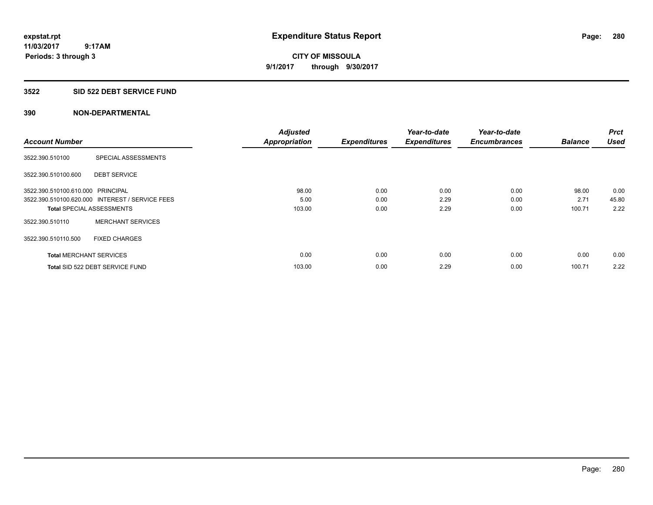**280**

**11/03/2017 9:17AM Periods: 3 through 3**

**CITY OF MISSOULA 9/1/2017 through 9/30/2017**

#### **3522 SID 522 DEBT SERVICE FUND**

| <b>Account Number</b>             |                                                 | <b>Adjusted</b><br><b>Appropriation</b> | <b>Expenditures</b> | Year-to-date<br><b>Expenditures</b> | Year-to-date<br><b>Encumbrances</b> | <b>Balance</b> | <b>Prct</b><br><b>Used</b> |
|-----------------------------------|-------------------------------------------------|-----------------------------------------|---------------------|-------------------------------------|-------------------------------------|----------------|----------------------------|
| 3522.390.510100                   | SPECIAL ASSESSMENTS                             |                                         |                     |                                     |                                     |                |                            |
| 3522.390.510100.600               | <b>DEBT SERVICE</b>                             |                                         |                     |                                     |                                     |                |                            |
| 3522.390.510100.610.000 PRINCIPAL |                                                 | 98.00                                   | 0.00                | 0.00                                | 0.00                                | 98.00          | 0.00                       |
|                                   | 3522.390.510100.620.000 INTEREST / SERVICE FEES | 5.00                                    | 0.00                | 2.29                                | 0.00                                | 2.71           | 45.80                      |
|                                   | <b>Total SPECIAL ASSESSMENTS</b>                | 103.00                                  | 0.00                | 2.29                                | 0.00                                | 100.71         | 2.22                       |
| 3522.390.510110                   | <b>MERCHANT SERVICES</b>                        |                                         |                     |                                     |                                     |                |                            |
| 3522.390.510110.500               | <b>FIXED CHARGES</b>                            |                                         |                     |                                     |                                     |                |                            |
| <b>Total MERCHANT SERVICES</b>    |                                                 | 0.00                                    | 0.00                | 0.00                                | 0.00                                | 0.00           | 0.00                       |
|                                   | Total SID 522 DEBT SERVICE FUND                 | 103.00                                  | 0.00                | 2.29                                | 0.00                                | 100.71         | 2.22                       |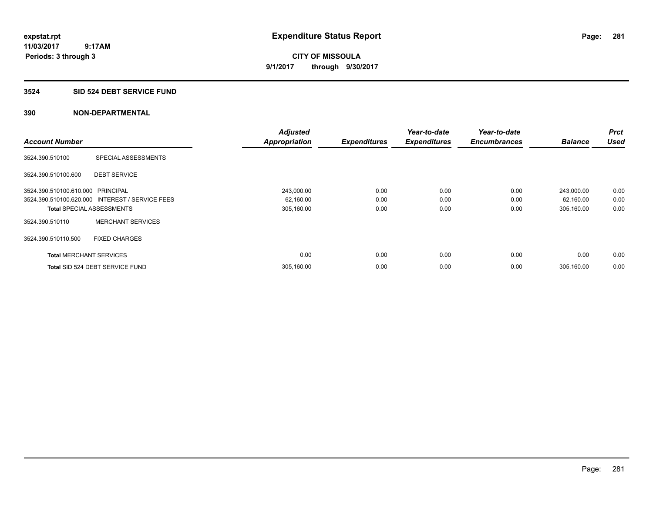# **3524 SID 524 DEBT SERVICE FUND**

|                                   |                                                 | <b>Adjusted</b>      |                     | Year-to-date        | Year-to-date        |                | <b>Prct</b> |
|-----------------------------------|-------------------------------------------------|----------------------|---------------------|---------------------|---------------------|----------------|-------------|
| <b>Account Number</b>             |                                                 | <b>Appropriation</b> | <b>Expenditures</b> | <b>Expenditures</b> | <b>Encumbrances</b> | <b>Balance</b> | <b>Used</b> |
| 3524.390.510100                   | SPECIAL ASSESSMENTS                             |                      |                     |                     |                     |                |             |
| 3524.390.510100.600               | <b>DEBT SERVICE</b>                             |                      |                     |                     |                     |                |             |
| 3524.390.510100.610.000 PRINCIPAL |                                                 | 243,000.00           | 0.00                | 0.00                | 0.00                | 243,000.00     | 0.00        |
|                                   | 3524.390.510100.620.000 INTEREST / SERVICE FEES | 62,160.00            | 0.00                | 0.00                | 0.00                | 62,160.00      | 0.00        |
| <b>Total SPECIAL ASSESSMENTS</b>  |                                                 | 305,160.00           | 0.00                | 0.00                | 0.00                | 305,160.00     | 0.00        |
| 3524.390.510110                   | <b>MERCHANT SERVICES</b>                        |                      |                     |                     |                     |                |             |
| 3524.390.510110.500               | <b>FIXED CHARGES</b>                            |                      |                     |                     |                     |                |             |
| <b>Total MERCHANT SERVICES</b>    |                                                 | 0.00                 | 0.00                | 0.00                | 0.00                | 0.00           | 0.00        |
|                                   | Total SID 524 DEBT SERVICE FUND                 | 305,160.00           | 0.00                | 0.00                | 0.00                | 305.160.00     | 0.00        |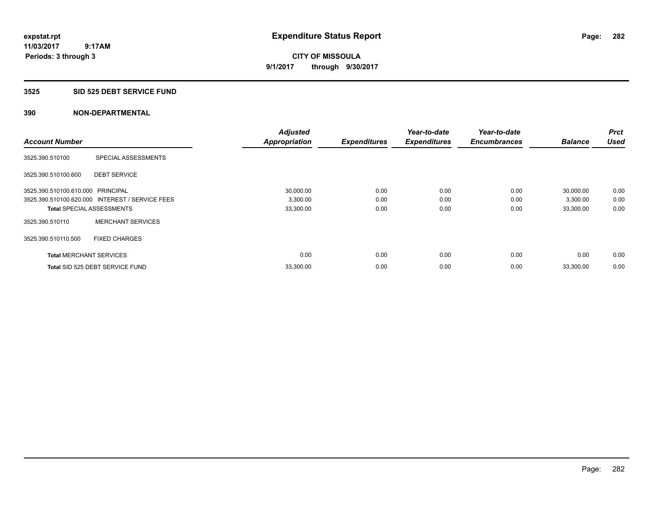# **3525 SID 525 DEBT SERVICE FUND**

|                                   |                                                 | <b>Adjusted</b>      |                     | Year-to-date        | Year-to-date        |                | <b>Prct</b> |
|-----------------------------------|-------------------------------------------------|----------------------|---------------------|---------------------|---------------------|----------------|-------------|
| <b>Account Number</b>             |                                                 | <b>Appropriation</b> | <b>Expenditures</b> | <b>Expenditures</b> | <b>Encumbrances</b> | <b>Balance</b> | <b>Used</b> |
| 3525.390.510100                   | SPECIAL ASSESSMENTS                             |                      |                     |                     |                     |                |             |
| 3525.390.510100.600               | <b>DEBT SERVICE</b>                             |                      |                     |                     |                     |                |             |
| 3525.390.510100.610.000 PRINCIPAL |                                                 | 30,000.00            | 0.00                | 0.00                | 0.00                | 30,000.00      | 0.00        |
|                                   | 3525.390.510100.620.000 INTEREST / SERVICE FEES | 3,300.00             | 0.00                | 0.00                | 0.00                | 3,300.00       | 0.00        |
| <b>Total SPECIAL ASSESSMENTS</b>  |                                                 | 33,300.00            | 0.00                | 0.00                | 0.00                | 33,300.00      | 0.00        |
| 3525.390.510110                   | <b>MERCHANT SERVICES</b>                        |                      |                     |                     |                     |                |             |
| 3525.390.510110.500               | <b>FIXED CHARGES</b>                            |                      |                     |                     |                     |                |             |
| <b>Total MERCHANT SERVICES</b>    |                                                 | 0.00                 | 0.00                | 0.00                | 0.00                | 0.00           | 0.00        |
|                                   | Total SID 525 DEBT SERVICE FUND                 | 33,300.00            | 0.00                | 0.00                | 0.00                | 33,300.00      | 0.00        |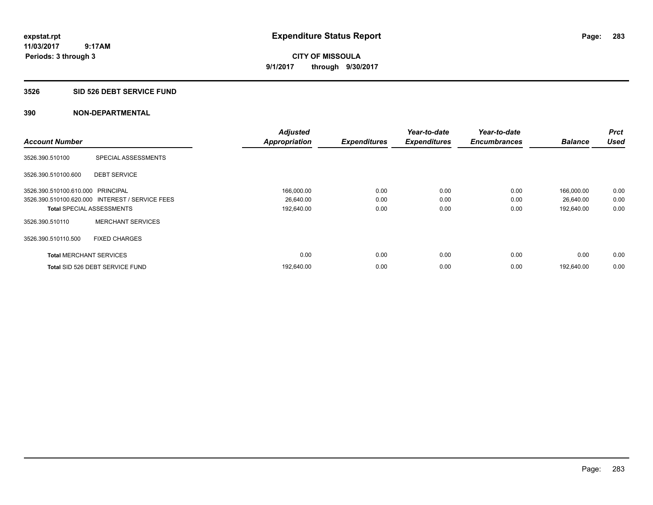# **3526 SID 526 DEBT SERVICE FUND**

|                                   |                                                 | <b>Adjusted</b>      |                     | Year-to-date        | Year-to-date        |                | <b>Prct</b> |
|-----------------------------------|-------------------------------------------------|----------------------|---------------------|---------------------|---------------------|----------------|-------------|
| <b>Account Number</b>             |                                                 | <b>Appropriation</b> | <b>Expenditures</b> | <b>Expenditures</b> | <b>Encumbrances</b> | <b>Balance</b> | <b>Used</b> |
| 3526.390.510100                   | SPECIAL ASSESSMENTS                             |                      |                     |                     |                     |                |             |
| 3526.390.510100.600               | <b>DEBT SERVICE</b>                             |                      |                     |                     |                     |                |             |
| 3526.390.510100.610.000 PRINCIPAL |                                                 | 166,000.00           | 0.00                | 0.00                | 0.00                | 166,000.00     | 0.00        |
|                                   | 3526.390.510100.620.000 INTEREST / SERVICE FEES | 26,640.00            | 0.00                | 0.00                | 0.00                | 26,640.00      | 0.00        |
| <b>Total SPECIAL ASSESSMENTS</b>  |                                                 | 192,640.00           | 0.00                | 0.00                | 0.00                | 192,640.00     | 0.00        |
| 3526.390.510110                   | <b>MERCHANT SERVICES</b>                        |                      |                     |                     |                     |                |             |
| 3526.390.510110.500               | <b>FIXED CHARGES</b>                            |                      |                     |                     |                     |                |             |
| <b>Total MERCHANT SERVICES</b>    |                                                 | 0.00                 | 0.00                | 0.00                | 0.00                | 0.00           | 0.00        |
|                                   | Total SID 526 DEBT SERVICE FUND                 | 192,640.00           | 0.00                | 0.00                | 0.00                | 192,640.00     | 0.00        |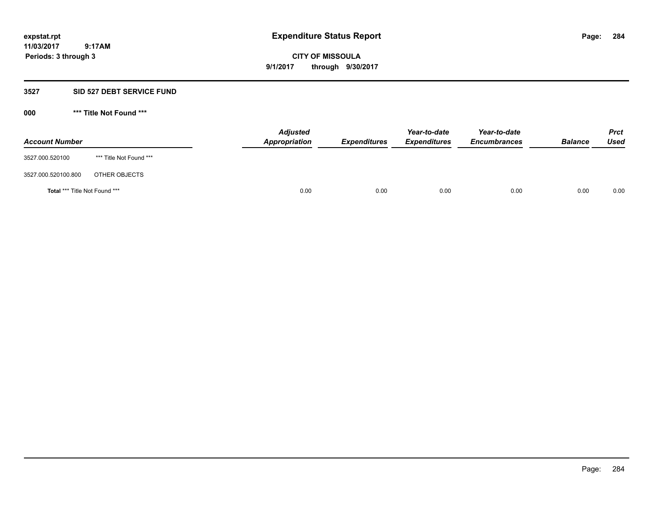**CITY OF MISSOULA 9/1/2017 through 9/30/2017**

### **3527 SID 527 DEBT SERVICE FUND**

| <b>Account Number</b>         |                         | <b>Adjusted</b><br>Appropriation | <b>Expenditures</b> | Year-to-date<br><b>Expenditures</b> | Year-to-date<br><b>Encumbrances</b> | <b>Balance</b> | <b>Prct</b><br>Used |
|-------------------------------|-------------------------|----------------------------------|---------------------|-------------------------------------|-------------------------------------|----------------|---------------------|
| 3527.000.520100               | *** Title Not Found *** |                                  |                     |                                     |                                     |                |                     |
| 3527.000.520100.800           | OTHER OBJECTS           |                                  |                     |                                     |                                     |                |                     |
| Total *** Title Not Found *** |                         | 0.00                             | 0.00                | 0.00                                | 0.00                                | 0.00           | 0.00                |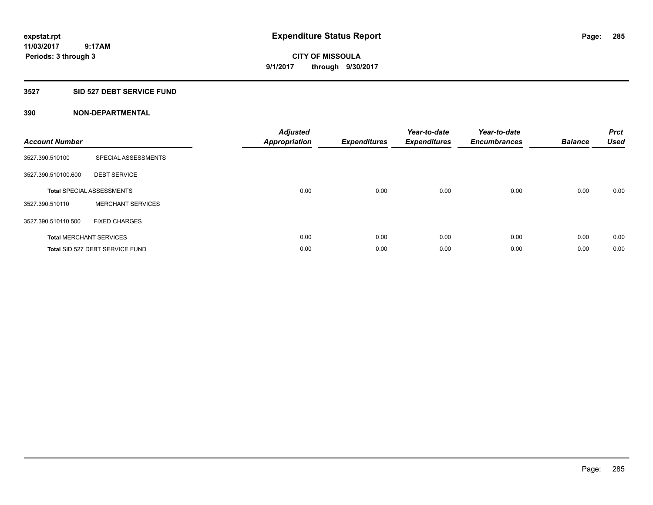# **CITY OF MISSOULA 9/1/2017 through 9/30/2017**

# **3527 SID 527 DEBT SERVICE FUND**

| <b>Account Number</b> |                                  | <b>Adjusted</b><br>Appropriation | <b>Expenditures</b> | Year-to-date<br><b>Expenditures</b> | Year-to-date<br><b>Encumbrances</b> | <b>Balance</b> | <b>Prct</b><br><b>Used</b> |
|-----------------------|----------------------------------|----------------------------------|---------------------|-------------------------------------|-------------------------------------|----------------|----------------------------|
| 3527.390.510100       | SPECIAL ASSESSMENTS              |                                  |                     |                                     |                                     |                |                            |
| 3527.390.510100.600   | <b>DEBT SERVICE</b>              |                                  |                     |                                     |                                     |                |                            |
|                       | <b>Total SPECIAL ASSESSMENTS</b> | 0.00                             | 0.00                | 0.00                                | 0.00                                | 0.00           | 0.00                       |
| 3527.390.510110       | <b>MERCHANT SERVICES</b>         |                                  |                     |                                     |                                     |                |                            |
| 3527.390.510110.500   | <b>FIXED CHARGES</b>             |                                  |                     |                                     |                                     |                |                            |
|                       | <b>Total MERCHANT SERVICES</b>   | 0.00                             | 0.00                | 0.00                                | 0.00                                | 0.00           | 0.00                       |
|                       | Total SID 527 DEBT SERVICE FUND  | 0.00                             | 0.00                | 0.00                                | 0.00                                | 0.00           | 0.00                       |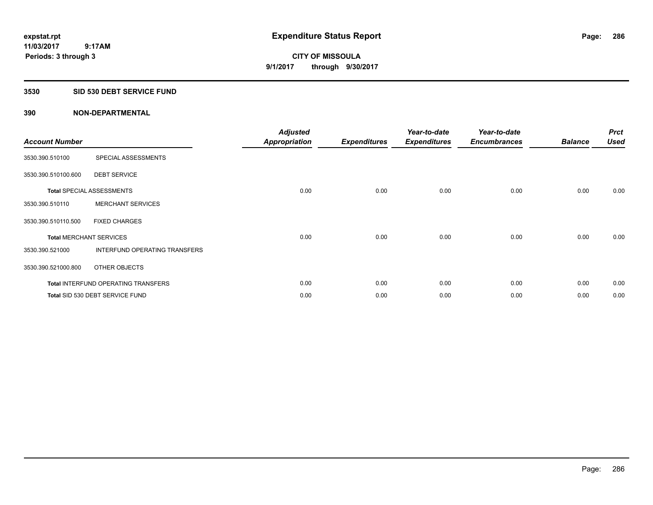**Periods: 3 through 3**

**CITY OF MISSOULA 9/1/2017 through 9/30/2017**

#### **3530 SID 530 DEBT SERVICE FUND**

 **9:17AM**

| <b>Account Number</b>          |                                            | <b>Adjusted</b><br><b>Appropriation</b> | <b>Expenditures</b> | Year-to-date<br><b>Expenditures</b> | Year-to-date<br><b>Encumbrances</b> | <b>Balance</b> | <b>Prct</b><br><b>Used</b> |
|--------------------------------|--------------------------------------------|-----------------------------------------|---------------------|-------------------------------------|-------------------------------------|----------------|----------------------------|
| 3530.390.510100                | SPECIAL ASSESSMENTS                        |                                         |                     |                                     |                                     |                |                            |
| 3530.390.510100.600            | <b>DEBT SERVICE</b>                        |                                         |                     |                                     |                                     |                |                            |
|                                | <b>Total SPECIAL ASSESSMENTS</b>           | 0.00                                    | 0.00                | 0.00                                | 0.00                                | 0.00           | 0.00                       |
| 3530.390.510110                | <b>MERCHANT SERVICES</b>                   |                                         |                     |                                     |                                     |                |                            |
| 3530.390.510110.500            | <b>FIXED CHARGES</b>                       |                                         |                     |                                     |                                     |                |                            |
| <b>Total MERCHANT SERVICES</b> |                                            | 0.00                                    | 0.00                | 0.00                                | 0.00                                | 0.00           | 0.00                       |
| 3530.390.521000                | INTERFUND OPERATING TRANSFERS              |                                         |                     |                                     |                                     |                |                            |
| 3530.390.521000.800            | OTHER OBJECTS                              |                                         |                     |                                     |                                     |                |                            |
|                                | <b>Total INTERFUND OPERATING TRANSFERS</b> | 0.00                                    | 0.00                | 0.00                                | 0.00                                | 0.00           | 0.00                       |
|                                | Total SID 530 DEBT SERVICE FUND            | 0.00                                    | 0.00                | 0.00                                | 0.00                                | 0.00           | 0.00                       |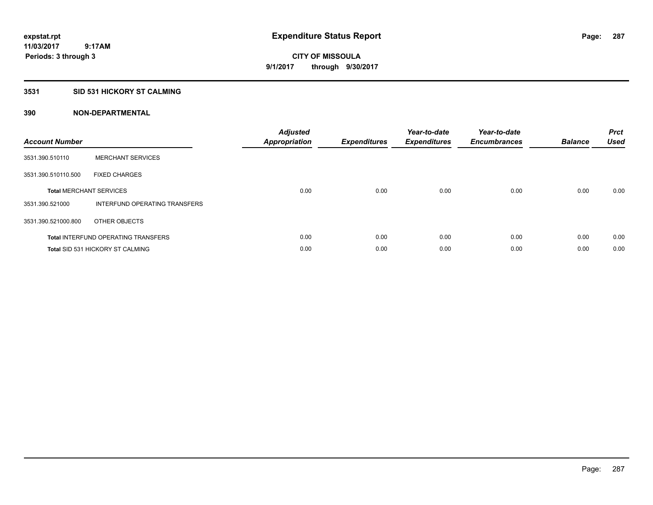# **3531 SID 531 HICKORY ST CALMING**

| <b>Account Number</b> |                                            | <b>Adjusted</b><br>Appropriation | <b>Expenditures</b> | Year-to-date<br><b>Expenditures</b> | Year-to-date<br><b>Encumbrances</b> | <b>Balance</b> | <b>Prct</b><br><b>Used</b> |
|-----------------------|--------------------------------------------|----------------------------------|---------------------|-------------------------------------|-------------------------------------|----------------|----------------------------|
| 3531.390.510110       | <b>MERCHANT SERVICES</b>                   |                                  |                     |                                     |                                     |                |                            |
| 3531.390.510110.500   | <b>FIXED CHARGES</b>                       |                                  |                     |                                     |                                     |                |                            |
|                       | <b>Total MERCHANT SERVICES</b>             | 0.00                             | 0.00                | 0.00                                | 0.00                                | 0.00           | 0.00                       |
| 3531.390.521000       | INTERFUND OPERATING TRANSFERS              |                                  |                     |                                     |                                     |                |                            |
| 3531.390.521000.800   | OTHER OBJECTS                              |                                  |                     |                                     |                                     |                |                            |
|                       | <b>Total INTERFUND OPERATING TRANSFERS</b> | 0.00                             | 0.00                | 0.00                                | 0.00                                | 0.00           | 0.00                       |
|                       | <b>Total SID 531 HICKORY ST CALMING</b>    | 0.00                             | 0.00                | 0.00                                | 0.00                                | 0.00           | 0.00                       |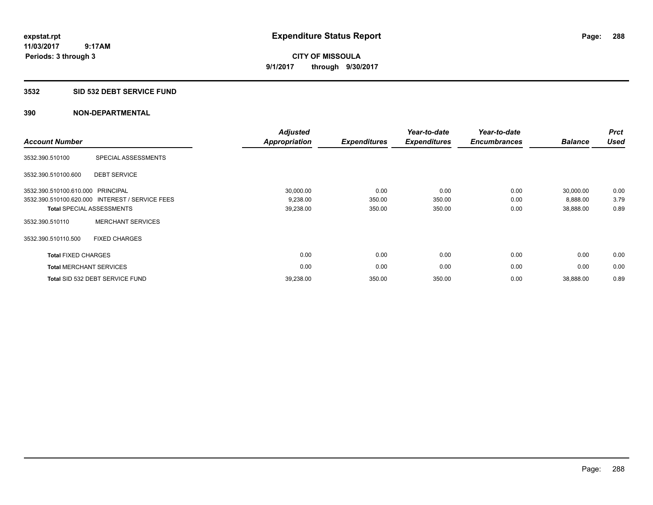### **3532 SID 532 DEBT SERVICE FUND**

| <b>Account Number</b>             |                                                 | <b>Adjusted</b><br><b>Appropriation</b> | <b>Expenditures</b> | Year-to-date<br><b>Expenditures</b> | Year-to-date<br><b>Encumbrances</b> | <b>Balance</b> | <b>Prct</b><br><b>Used</b> |
|-----------------------------------|-------------------------------------------------|-----------------------------------------|---------------------|-------------------------------------|-------------------------------------|----------------|----------------------------|
| 3532.390.510100                   | SPECIAL ASSESSMENTS                             |                                         |                     |                                     |                                     |                |                            |
| 3532.390.510100.600               | <b>DEBT SERVICE</b>                             |                                         |                     |                                     |                                     |                |                            |
| 3532.390.510100.610.000 PRINCIPAL |                                                 | 30,000.00                               | 0.00                | 0.00                                | 0.00                                | 30,000.00      | 0.00                       |
|                                   | 3532.390.510100.620.000 INTEREST / SERVICE FEES | 9,238.00                                | 350.00              | 350.00                              | 0.00                                | 8,888.00       | 3.79                       |
|                                   | <b>Total SPECIAL ASSESSMENTS</b>                | 39,238.00                               | 350.00              | 350.00                              | 0.00                                | 38,888.00      | 0.89                       |
| 3532.390.510110                   | <b>MERCHANT SERVICES</b>                        |                                         |                     |                                     |                                     |                |                            |
| 3532.390.510110.500               | <b>FIXED CHARGES</b>                            |                                         |                     |                                     |                                     |                |                            |
| <b>Total FIXED CHARGES</b>        |                                                 | 0.00                                    | 0.00                | 0.00                                | 0.00                                | 0.00           | 0.00                       |
| <b>Total MERCHANT SERVICES</b>    |                                                 | 0.00                                    | 0.00                | 0.00                                | 0.00                                | 0.00           | 0.00                       |
|                                   | Total SID 532 DEBT SERVICE FUND                 | 39,238.00                               | 350.00              | 350.00                              | 0.00                                | 38,888.00      | 0.89                       |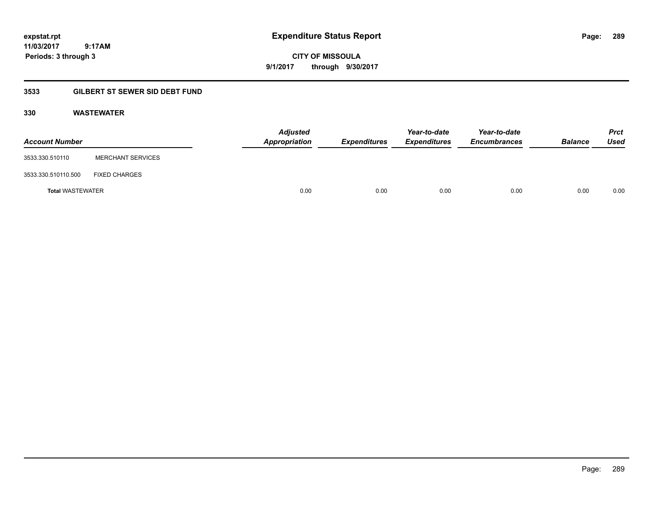**CITY OF MISSOULA 9/1/2017 through 9/30/2017**

# **3533 GILBERT ST SEWER SID DEBT FUND**

## **330 WASTEWATER**

| <b>Account Number</b>   |                          | <b>Adjusted</b><br><b>Appropriation</b> | <b>Expenditures</b> | Year-to-date<br><b>Expenditures</b> | Year-to-date<br><b>Encumbrances</b> | <b>Balance</b> | <b>Prct</b><br>Used |
|-------------------------|--------------------------|-----------------------------------------|---------------------|-------------------------------------|-------------------------------------|----------------|---------------------|
| 3533.330.510110         | <b>MERCHANT SERVICES</b> |                                         |                     |                                     |                                     |                |                     |
| 3533.330.510110.500     | <b>FIXED CHARGES</b>     |                                         |                     |                                     |                                     |                |                     |
| <b>Total WASTEWATER</b> |                          | 0.00                                    | 0.00                | 0.00                                | 0.00                                | 0.00           | 0.00                |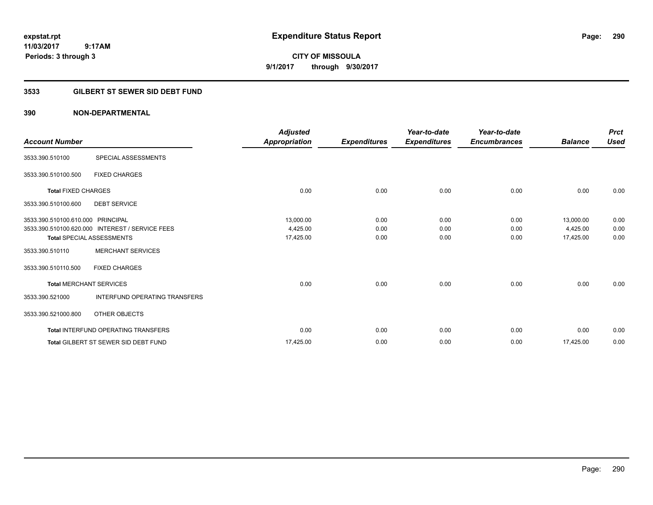**CITY OF MISSOULA 9/1/2017 through 9/30/2017**

# **3533 GILBERT ST SEWER SID DEBT FUND**

| <b>Account Number</b>             |                                                 | <b>Adjusted</b><br>Appropriation | <b>Expenditures</b> | Year-to-date<br><b>Expenditures</b> | Year-to-date<br><b>Encumbrances</b> | <b>Balance</b> | <b>Prct</b><br><b>Used</b> |
|-----------------------------------|-------------------------------------------------|----------------------------------|---------------------|-------------------------------------|-------------------------------------|----------------|----------------------------|
| 3533.390.510100                   | SPECIAL ASSESSMENTS                             |                                  |                     |                                     |                                     |                |                            |
| 3533.390.510100.500               | <b>FIXED CHARGES</b>                            |                                  |                     |                                     |                                     |                |                            |
| <b>Total FIXED CHARGES</b>        |                                                 | 0.00                             | 0.00                | 0.00                                | 0.00                                | 0.00           | 0.00                       |
| 3533.390.510100.600               | <b>DEBT SERVICE</b>                             |                                  |                     |                                     |                                     |                |                            |
| 3533.390.510100.610.000 PRINCIPAL |                                                 | 13,000.00                        | 0.00                | 0.00                                | 0.00                                | 13,000.00      | 0.00                       |
|                                   | 3533.390.510100.620.000 INTEREST / SERVICE FEES | 4,425.00                         | 0.00                | 0.00                                | 0.00                                | 4,425.00       | 0.00                       |
|                                   | <b>Total SPECIAL ASSESSMENTS</b>                | 17,425.00                        | 0.00                | 0.00                                | 0.00                                | 17,425.00      | 0.00                       |
| 3533.390.510110                   | <b>MERCHANT SERVICES</b>                        |                                  |                     |                                     |                                     |                |                            |
| 3533.390.510110.500               | <b>FIXED CHARGES</b>                            |                                  |                     |                                     |                                     |                |                            |
| <b>Total MERCHANT SERVICES</b>    |                                                 | 0.00                             | 0.00                | 0.00                                | 0.00                                | 0.00           | 0.00                       |
| 3533.390.521000                   | <b>INTERFUND OPERATING TRANSFERS</b>            |                                  |                     |                                     |                                     |                |                            |
| 3533.390.521000.800               | OTHER OBJECTS                                   |                                  |                     |                                     |                                     |                |                            |
|                                   | <b>Total INTERFUND OPERATING TRANSFERS</b>      | 0.00                             | 0.00                | 0.00                                | 0.00                                | 0.00           | 0.00                       |
|                                   | <b>Total GILBERT ST SEWER SID DEBT FUND</b>     | 17,425.00                        | 0.00                | 0.00                                | 0.00                                | 17,425.00      | 0.00                       |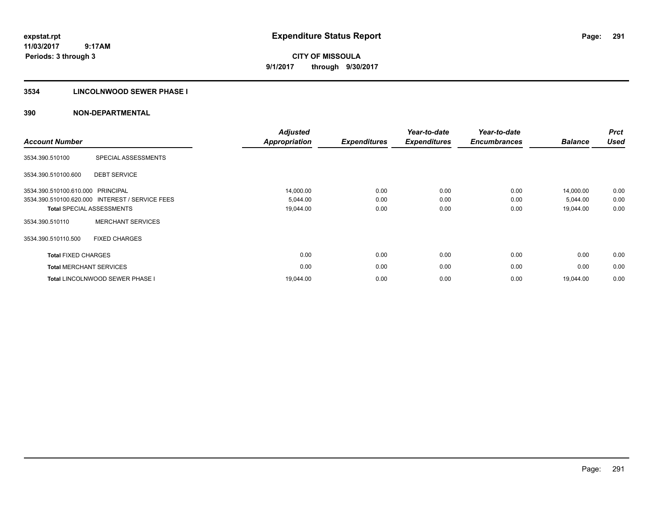**291**

**11/03/2017 9:17AM Periods: 3 through 3**

**CITY OF MISSOULA 9/1/2017 through 9/30/2017**

### **3534 LINCOLNWOOD SEWER PHASE I**

| <b>Account Number</b>      |                                                 | <b>Adjusted</b><br><b>Appropriation</b> | <b>Expenditures</b> | Year-to-date<br><b>Expenditures</b> | Year-to-date<br><b>Encumbrances</b> | <b>Balance</b> | <b>Prct</b><br><b>Used</b> |
|----------------------------|-------------------------------------------------|-----------------------------------------|---------------------|-------------------------------------|-------------------------------------|----------------|----------------------------|
| 3534.390.510100            | SPECIAL ASSESSMENTS                             |                                         |                     |                                     |                                     |                |                            |
| 3534.390.510100.600        | <b>DEBT SERVICE</b>                             |                                         |                     |                                     |                                     |                |                            |
| 3534.390.510100.610.000    | PRINCIPAL                                       | 14,000.00                               | 0.00                | 0.00                                | 0.00                                | 14,000.00      | 0.00                       |
|                            | 3534.390.510100.620.000 INTEREST / SERVICE FEES | 5,044.00                                | 0.00                | 0.00                                | 0.00                                | 5,044.00       | 0.00                       |
|                            | <b>Total SPECIAL ASSESSMENTS</b>                | 19,044.00                               | 0.00                | 0.00                                | 0.00                                | 19,044.00      | 0.00                       |
| 3534.390.510110            | <b>MERCHANT SERVICES</b>                        |                                         |                     |                                     |                                     |                |                            |
| 3534.390.510110.500        | <b>FIXED CHARGES</b>                            |                                         |                     |                                     |                                     |                |                            |
| <b>Total FIXED CHARGES</b> |                                                 | 0.00                                    | 0.00                | 0.00                                | 0.00                                | 0.00           | 0.00                       |
|                            | <b>Total MERCHANT SERVICES</b>                  | 0.00                                    | 0.00                | 0.00                                | 0.00                                | 0.00           | 0.00                       |
|                            | <b>Total LINCOLNWOOD SEWER PHASE I</b>          | 19,044.00                               | 0.00                | 0.00                                | 0.00                                | 19.044.00      | 0.00                       |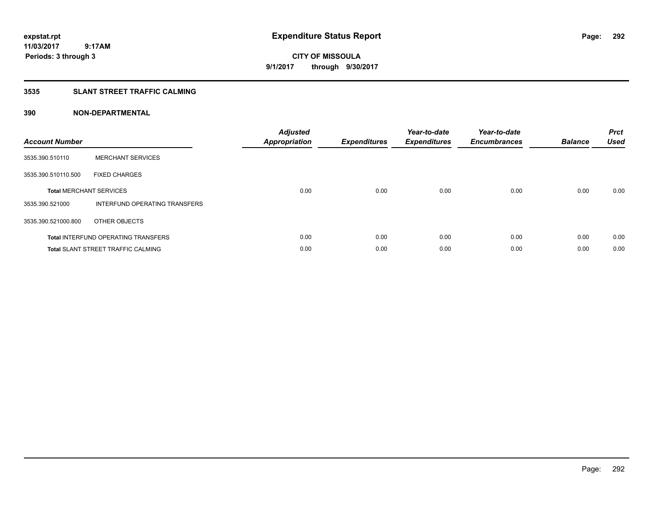**292**

**11/03/2017 9:17AM Periods: 3 through 3**

**CITY OF MISSOULA 9/1/2017 through 9/30/2017**

### **3535 SLANT STREET TRAFFIC CALMING**

| <b>Account Number</b> |                                            | <b>Adjusted</b><br>Appropriation | <b>Expenditures</b> | Year-to-date<br><b>Expenditures</b> | Year-to-date<br><b>Encumbrances</b> | <b>Balance</b> | <b>Prct</b><br><b>Used</b> |
|-----------------------|--------------------------------------------|----------------------------------|---------------------|-------------------------------------|-------------------------------------|----------------|----------------------------|
| 3535.390.510110       | <b>MERCHANT SERVICES</b>                   |                                  |                     |                                     |                                     |                |                            |
| 3535.390.510110.500   | <b>FIXED CHARGES</b>                       |                                  |                     |                                     |                                     |                |                            |
|                       | <b>Total MERCHANT SERVICES</b>             | 0.00                             | 0.00                | 0.00                                | 0.00                                | 0.00           | 0.00                       |
| 3535.390.521000       | INTERFUND OPERATING TRANSFERS              |                                  |                     |                                     |                                     |                |                            |
| 3535.390.521000.800   | OTHER OBJECTS                              |                                  |                     |                                     |                                     |                |                            |
|                       | <b>Total INTERFUND OPERATING TRANSFERS</b> | 0.00                             | 0.00                | 0.00                                | 0.00                                | 0.00           | 0.00                       |
|                       | <b>Total SLANT STREET TRAFFIC CALMING</b>  | 0.00                             | 0.00                | 0.00                                | 0.00                                | 0.00           | 0.00                       |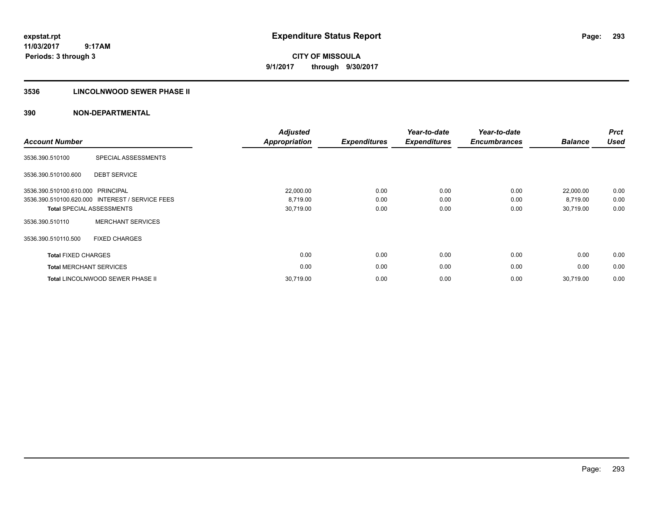# **3536 LINCOLNWOOD SEWER PHASE II**

| <b>Account Number</b>          |                                                 | <b>Adjusted</b><br><b>Appropriation</b> | <b>Expenditures</b> | Year-to-date<br><b>Expenditures</b> | Year-to-date<br><b>Encumbrances</b> | <b>Balance</b> | <b>Prct</b><br><b>Used</b> |
|--------------------------------|-------------------------------------------------|-----------------------------------------|---------------------|-------------------------------------|-------------------------------------|----------------|----------------------------|
| 3536.390.510100                | SPECIAL ASSESSMENTS                             |                                         |                     |                                     |                                     |                |                            |
| 3536.390.510100.600            | <b>DEBT SERVICE</b>                             |                                         |                     |                                     |                                     |                |                            |
| 3536.390.510100.610.000        | PRINCIPAL                                       | 22,000.00                               | 0.00                | 0.00                                | 0.00                                | 22,000.00      | 0.00                       |
|                                | 3536.390.510100.620.000 INTEREST / SERVICE FEES | 8,719.00                                | 0.00                | 0.00                                | 0.00                                | 8,719.00       | 0.00                       |
|                                | <b>Total SPECIAL ASSESSMENTS</b>                | 30,719.00                               | 0.00                | 0.00                                | 0.00                                | 30,719.00      | 0.00                       |
| 3536.390.510110                | <b>MERCHANT SERVICES</b>                        |                                         |                     |                                     |                                     |                |                            |
| 3536.390.510110.500            | <b>FIXED CHARGES</b>                            |                                         |                     |                                     |                                     |                |                            |
| <b>Total FIXED CHARGES</b>     |                                                 | 0.00                                    | 0.00                | 0.00                                | 0.00                                | 0.00           | 0.00                       |
| <b>Total MERCHANT SERVICES</b> |                                                 | 0.00                                    | 0.00                | 0.00                                | 0.00                                | 0.00           | 0.00                       |
|                                | <b>Total LINCOLNWOOD SEWER PHASE II</b>         | 30,719.00                               | 0.00                | 0.00                                | 0.00                                | 30,719.00      | 0.00                       |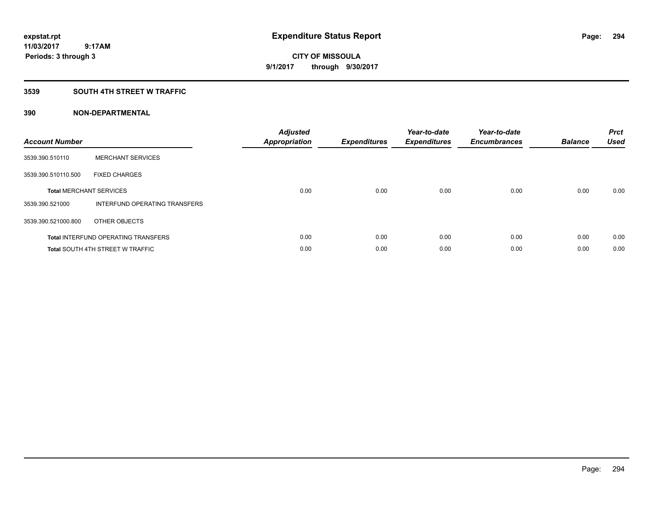## **3539 SOUTH 4TH STREET W TRAFFIC**

| <b>Account Number</b> |                                            | <b>Adjusted</b><br><b>Appropriation</b> | <b>Expenditures</b> | Year-to-date<br><b>Expenditures</b> | Year-to-date<br><b>Encumbrances</b> | <b>Balance</b> | <b>Prct</b><br><b>Used</b> |
|-----------------------|--------------------------------------------|-----------------------------------------|---------------------|-------------------------------------|-------------------------------------|----------------|----------------------------|
| 3539.390.510110       | <b>MERCHANT SERVICES</b>                   |                                         |                     |                                     |                                     |                |                            |
| 3539.390.510110.500   | <b>FIXED CHARGES</b>                       |                                         |                     |                                     |                                     |                |                            |
|                       | <b>Total MERCHANT SERVICES</b>             | 0.00                                    | 0.00                | 0.00                                | 0.00                                | 0.00           | 0.00                       |
| 3539.390.521000       | <b>INTERFUND OPERATING TRANSFERS</b>       |                                         |                     |                                     |                                     |                |                            |
| 3539.390.521000.800   | OTHER OBJECTS                              |                                         |                     |                                     |                                     |                |                            |
|                       | <b>Total INTERFUND OPERATING TRANSFERS</b> | 0.00                                    | 0.00                | 0.00                                | 0.00                                | 0.00           | 0.00                       |
|                       | <b>Total SOUTH 4TH STREET W TRAFFIC</b>    | 0.00                                    | 0.00                | 0.00                                | 0.00                                | 0.00           | 0.00                       |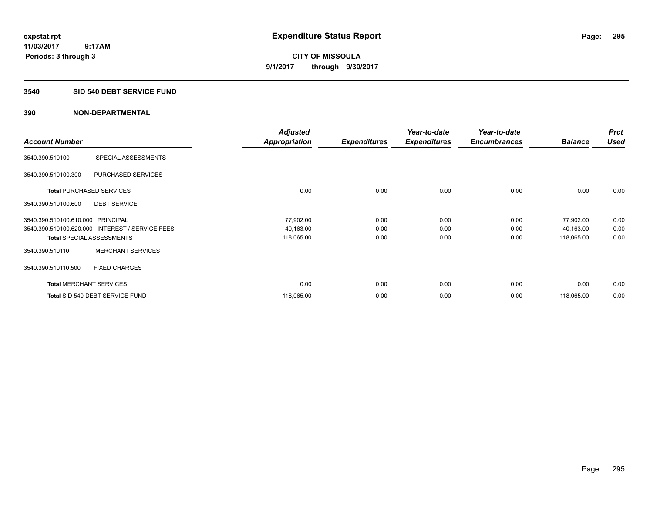### **3540 SID 540 DEBT SERVICE FUND**

|                                   |                                                 | <b>Adjusted</b>      |                     | Year-to-date        | Year-to-date        |                | <b>Prct</b> |
|-----------------------------------|-------------------------------------------------|----------------------|---------------------|---------------------|---------------------|----------------|-------------|
| <b>Account Number</b>             |                                                 | <b>Appropriation</b> | <b>Expenditures</b> | <b>Expenditures</b> | <b>Encumbrances</b> | <b>Balance</b> | <b>Used</b> |
| 3540.390.510100                   | SPECIAL ASSESSMENTS                             |                      |                     |                     |                     |                |             |
| 3540.390.510100.300               | PURCHASED SERVICES                              |                      |                     |                     |                     |                |             |
|                                   | <b>Total PURCHASED SERVICES</b>                 | 0.00                 | 0.00                | 0.00                | 0.00                | 0.00           | 0.00        |
| 3540.390.510100.600               | <b>DEBT SERVICE</b>                             |                      |                     |                     |                     |                |             |
| 3540.390.510100.610.000 PRINCIPAL |                                                 | 77,902.00            | 0.00                | 0.00                | 0.00                | 77,902.00      | 0.00        |
|                                   | 3540.390.510100.620.000 INTEREST / SERVICE FEES | 40,163.00            | 0.00                | 0.00                | 0.00                | 40,163.00      | 0.00        |
|                                   | <b>Total SPECIAL ASSESSMENTS</b>                | 118,065.00           | 0.00                | 0.00                | 0.00                | 118,065.00     | 0.00        |
| 3540.390.510110                   | <b>MERCHANT SERVICES</b>                        |                      |                     |                     |                     |                |             |
| 3540.390.510110.500               | <b>FIXED CHARGES</b>                            |                      |                     |                     |                     |                |             |
|                                   | <b>Total MERCHANT SERVICES</b>                  | 0.00                 | 0.00                | 0.00                | 0.00                | 0.00           | 0.00        |
|                                   | Total SID 540 DEBT SERVICE FUND                 | 118,065.00           | 0.00                | 0.00                | 0.00                | 118,065.00     | 0.00        |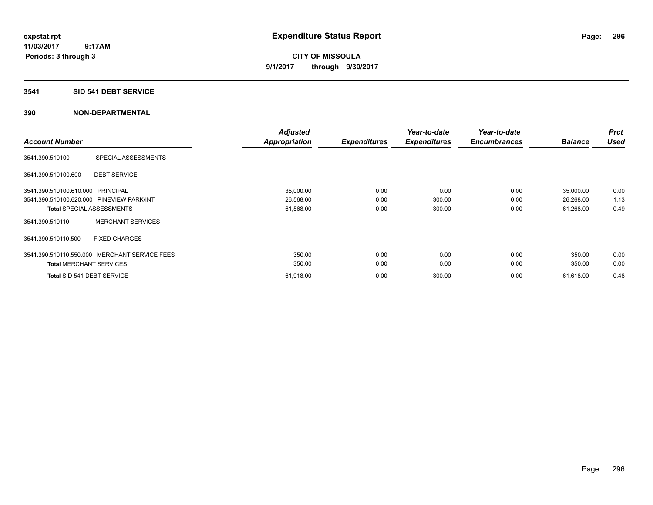**CITY OF MISSOULA 9/1/2017 through 9/30/2017**

### **3541 SID 541 DEBT SERVICE**

| <b>Account Number</b>             |                                               | <b>Adjusted</b><br><b>Appropriation</b> | <b>Expenditures</b> | Year-to-date<br><b>Expenditures</b> | Year-to-date<br><b>Encumbrances</b> | <b>Balance</b> | <b>Prct</b><br><b>Used</b> |
|-----------------------------------|-----------------------------------------------|-----------------------------------------|---------------------|-------------------------------------|-------------------------------------|----------------|----------------------------|
|                                   |                                               |                                         |                     |                                     |                                     |                |                            |
| 3541.390.510100                   | SPECIAL ASSESSMENTS                           |                                         |                     |                                     |                                     |                |                            |
| 3541.390.510100.600               | <b>DEBT SERVICE</b>                           |                                         |                     |                                     |                                     |                |                            |
| 3541.390.510100.610.000 PRINCIPAL |                                               | 35,000.00                               | 0.00                | 0.00                                | 0.00                                | 35,000.00      | 0.00                       |
|                                   | 3541.390.510100.620.000 PINEVIEW PARK/INT     | 26,568.00                               | 0.00                | 300.00                              | 0.00                                | 26,268.00      | 1.13                       |
|                                   | <b>Total SPECIAL ASSESSMENTS</b>              | 61,568.00                               | 0.00                | 300.00                              | 0.00                                | 61,268.00      | 0.49                       |
| 3541.390.510110                   | <b>MERCHANT SERVICES</b>                      |                                         |                     |                                     |                                     |                |                            |
| 3541.390.510110.500               | <b>FIXED CHARGES</b>                          |                                         |                     |                                     |                                     |                |                            |
|                                   | 3541.390.510110.550.000 MERCHANT SERVICE FEES | 350.00                                  | 0.00                | 0.00                                | 0.00                                | 350.00         | 0.00                       |
| <b>Total MERCHANT SERVICES</b>    |                                               | 350.00                                  | 0.00                | 0.00                                | 0.00                                | 350.00         | 0.00                       |
| Total SID 541 DEBT SERVICE        |                                               | 61,918.00                               | 0.00                | 300.00                              | 0.00                                | 61,618.00      | 0.48                       |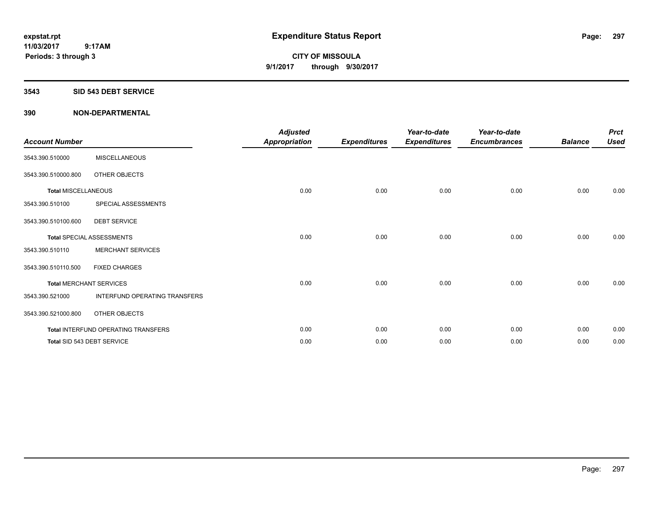### **3543 SID 543 DEBT SERVICE**

| <b>Account Number</b>      |                                     | <b>Adjusted</b><br><b>Appropriation</b> | <b>Expenditures</b> | Year-to-date<br><b>Expenditures</b> | Year-to-date<br><b>Encumbrances</b> | <b>Balance</b> | <b>Prct</b><br><b>Used</b> |
|----------------------------|-------------------------------------|-----------------------------------------|---------------------|-------------------------------------|-------------------------------------|----------------|----------------------------|
| 3543.390.510000            | <b>MISCELLANEOUS</b>                |                                         |                     |                                     |                                     |                |                            |
| 3543.390.510000.800        | OTHER OBJECTS                       |                                         |                     |                                     |                                     |                |                            |
| <b>Total MISCELLANEOUS</b> |                                     | 0.00                                    | 0.00                | 0.00                                | 0.00                                | 0.00           | 0.00                       |
| 3543.390.510100            | SPECIAL ASSESSMENTS                 |                                         |                     |                                     |                                     |                |                            |
| 3543.390.510100.600        | <b>DEBT SERVICE</b>                 |                                         |                     |                                     |                                     |                |                            |
|                            | <b>Total SPECIAL ASSESSMENTS</b>    | 0.00                                    | 0.00                | 0.00                                | 0.00                                | 0.00           | 0.00                       |
| 3543.390.510110            | <b>MERCHANT SERVICES</b>            |                                         |                     |                                     |                                     |                |                            |
| 3543.390.510110.500        | <b>FIXED CHARGES</b>                |                                         |                     |                                     |                                     |                |                            |
|                            | <b>Total MERCHANT SERVICES</b>      | 0.00                                    | 0.00                | 0.00                                | 0.00                                | 0.00           | 0.00                       |
| 3543.390.521000            | INTERFUND OPERATING TRANSFERS       |                                         |                     |                                     |                                     |                |                            |
| 3543.390.521000.800        | OTHER OBJECTS                       |                                         |                     |                                     |                                     |                |                            |
|                            | Total INTERFUND OPERATING TRANSFERS | 0.00                                    | 0.00                | 0.00                                | 0.00                                | 0.00           | 0.00                       |
|                            | Total SID 543 DEBT SERVICE          | 0.00                                    | 0.00                | 0.00                                | 0.00                                | 0.00           | 0.00                       |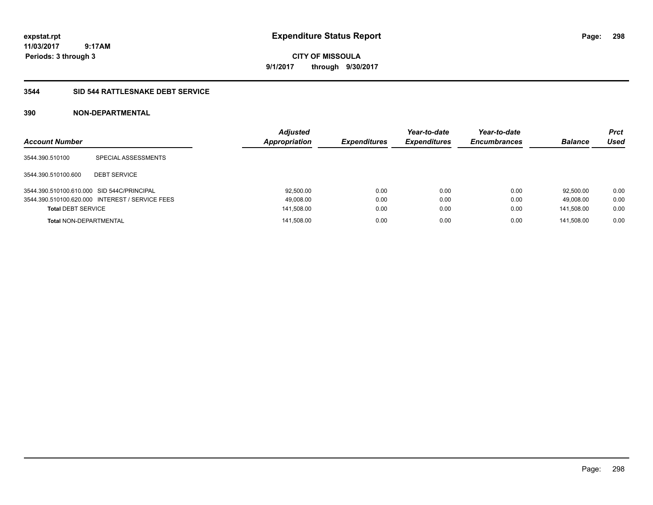**CITY OF MISSOULA 9/1/2017 through 9/30/2017**

## **3544 SID 544 RATTLESNAKE DEBT SERVICE**

| <b>Account Number</b>                      |                                                 | <b>Adjusted</b><br><b>Appropriation</b> | <b>Expenditures</b> | Year-to-date<br><b>Expenditures</b> | Year-to-date<br><b>Encumbrances</b> | <b>Balance</b> | <b>Prct</b><br>Used |
|--------------------------------------------|-------------------------------------------------|-----------------------------------------|---------------------|-------------------------------------|-------------------------------------|----------------|---------------------|
| 3544.390.510100                            | SPECIAL ASSESSMENTS                             |                                         |                     |                                     |                                     |                |                     |
| 3544.390.510100.600                        | <b>DEBT SERVICE</b>                             |                                         |                     |                                     |                                     |                |                     |
| 3544.390.510100.610.000 SID 544C/PRINCIPAL |                                                 | 92,500.00                               | 0.00                | 0.00                                | 0.00                                | 92.500.00      | 0.00                |
|                                            | 3544.390.510100.620.000 INTEREST / SERVICE FEES | 49,008.00                               | 0.00                | 0.00                                | 0.00                                | 49.008.00      | 0.00                |
| <b>Total DEBT SERVICE</b>                  |                                                 | 141,508.00                              | 0.00                | 0.00                                | 0.00                                | 141.508.00     | 0.00                |
| <b>Total NON-DEPARTMENTAL</b>              |                                                 | 141.508.00                              | 0.00                | 0.00                                | 0.00                                | 141.508.00     | 0.00                |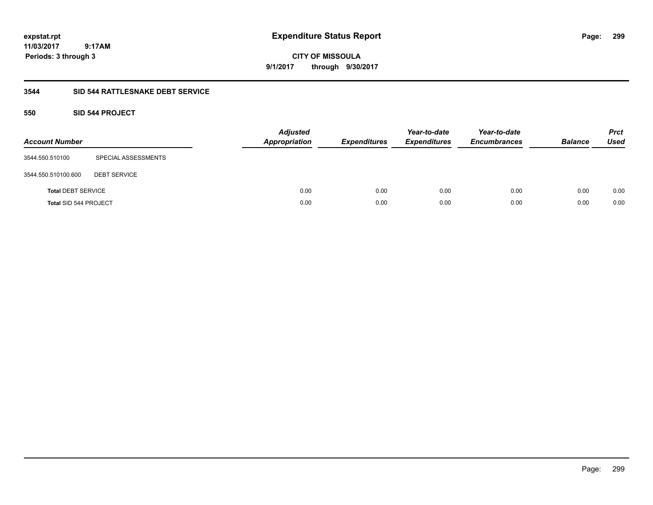**CITY OF MISSOULA 9/1/2017 through 9/30/2017**

# **3544 SID 544 RATTLESNAKE DEBT SERVICE**

# **550 SID 544 PROJECT**

| <b>Account Number</b>        |                     | <b>Adjusted</b><br><b>Appropriation</b> | <b>Expenditures</b> | Year-to-date<br><b>Expenditures</b> | Year-to-date<br><b>Encumbrances</b> | <b>Balance</b> | <b>Prct</b><br><b>Used</b> |
|------------------------------|---------------------|-----------------------------------------|---------------------|-------------------------------------|-------------------------------------|----------------|----------------------------|
| 3544.550.510100              | SPECIAL ASSESSMENTS |                                         |                     |                                     |                                     |                |                            |
| 3544.550.510100.600          | <b>DEBT SERVICE</b> |                                         |                     |                                     |                                     |                |                            |
| <b>Total DEBT SERVICE</b>    |                     | 0.00                                    | 0.00                | 0.00                                | 0.00                                | 0.00           | 0.00                       |
| <b>Total SID 544 PROJECT</b> |                     | 0.00                                    | 0.00                | 0.00                                | 0.00                                | 0.00           | 0.00                       |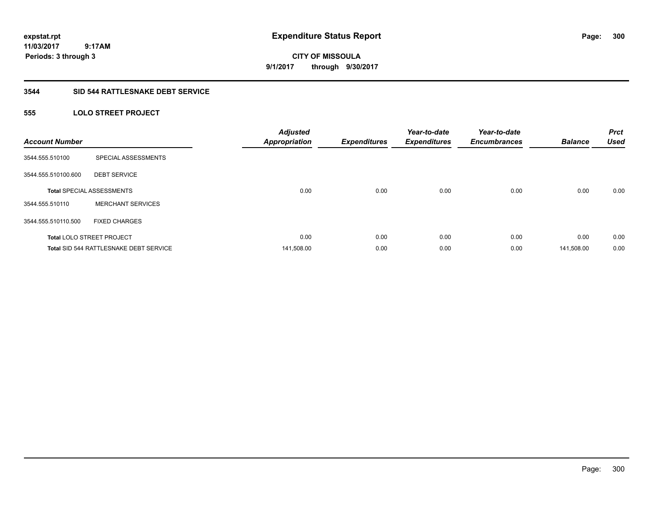# **CITY OF MISSOULA 9/1/2017 through 9/30/2017**

# **3544 SID 544 RATTLESNAKE DEBT SERVICE**

# **555 LOLO STREET PROJECT**

| <b>Account Number</b> |                                        | <b>Adjusted</b><br><b>Appropriation</b> | <b>Expenditures</b> | Year-to-date<br><b>Expenditures</b> | Year-to-date<br><b>Encumbrances</b> | <b>Balance</b> | <b>Prct</b><br><b>Used</b> |
|-----------------------|----------------------------------------|-----------------------------------------|---------------------|-------------------------------------|-------------------------------------|----------------|----------------------------|
| 3544.555.510100       | SPECIAL ASSESSMENTS                    |                                         |                     |                                     |                                     |                |                            |
| 3544.555.510100.600   | <b>DEBT SERVICE</b>                    |                                         |                     |                                     |                                     |                |                            |
|                       | <b>Total SPECIAL ASSESSMENTS</b>       | 0.00                                    | 0.00                | 0.00                                | 0.00                                | 0.00           | 0.00                       |
| 3544.555.510110       | <b>MERCHANT SERVICES</b>               |                                         |                     |                                     |                                     |                |                            |
| 3544.555.510110.500   | <b>FIXED CHARGES</b>                   |                                         |                     |                                     |                                     |                |                            |
|                       | <b>Total LOLO STREET PROJECT</b>       | 0.00                                    | 0.00                | 0.00                                | 0.00                                | 0.00           | 0.00                       |
|                       | Total SID 544 RATTLESNAKE DEBT SERVICE | 141,508.00                              | 0.00                | 0.00                                | 0.00                                | 141,508.00     | 0.00                       |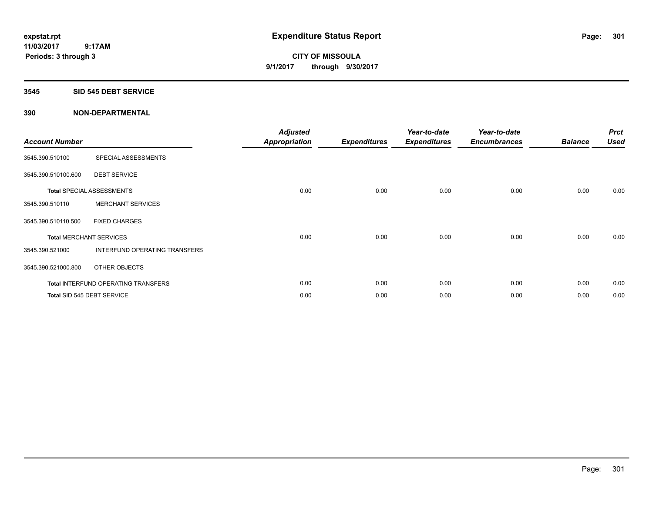**CITY OF MISSOULA 9/1/2017 through 9/30/2017**

### **3545 SID 545 DEBT SERVICE**

| <b>Account Number</b>          |                                            | <b>Adjusted</b><br><b>Appropriation</b> | <b>Expenditures</b> | Year-to-date<br><b>Expenditures</b> | Year-to-date<br><b>Encumbrances</b> | <b>Balance</b> | <b>Prct</b><br><b>Used</b> |
|--------------------------------|--------------------------------------------|-----------------------------------------|---------------------|-------------------------------------|-------------------------------------|----------------|----------------------------|
| 3545.390.510100                | SPECIAL ASSESSMENTS                        |                                         |                     |                                     |                                     |                |                            |
| 3545.390.510100.600            | <b>DEBT SERVICE</b>                        |                                         |                     |                                     |                                     |                |                            |
|                                | <b>Total SPECIAL ASSESSMENTS</b>           | 0.00                                    | 0.00                | 0.00                                | 0.00                                | 0.00           | 0.00                       |
| 3545.390.510110                | <b>MERCHANT SERVICES</b>                   |                                         |                     |                                     |                                     |                |                            |
| 3545.390.510110.500            | <b>FIXED CHARGES</b>                       |                                         |                     |                                     |                                     |                |                            |
| <b>Total MERCHANT SERVICES</b> |                                            | 0.00                                    | 0.00                | 0.00                                | 0.00                                | 0.00           | 0.00                       |
| 3545.390.521000                | INTERFUND OPERATING TRANSFERS              |                                         |                     |                                     |                                     |                |                            |
| 3545.390.521000.800            | OTHER OBJECTS                              |                                         |                     |                                     |                                     |                |                            |
|                                | <b>Total INTERFUND OPERATING TRANSFERS</b> | 0.00                                    | 0.00                | 0.00                                | 0.00                                | 0.00           | 0.00                       |
| Total SID 545 DEBT SERVICE     |                                            | 0.00                                    | 0.00                | 0.00                                | 0.00                                | 0.00           | 0.00                       |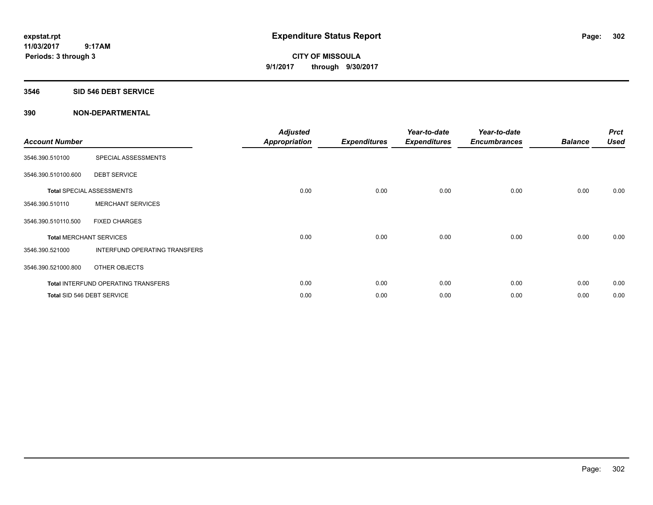**CITY OF MISSOULA 9/1/2017 through 9/30/2017**

### **3546 SID 546 DEBT SERVICE**

| <b>Account Number</b> |                                            | <b>Adjusted</b><br><b>Appropriation</b> | <b>Expenditures</b> | Year-to-date<br><b>Expenditures</b> | Year-to-date<br><b>Encumbrances</b> | <b>Balance</b> | <b>Prct</b><br><b>Used</b> |
|-----------------------|--------------------------------------------|-----------------------------------------|---------------------|-------------------------------------|-------------------------------------|----------------|----------------------------|
| 3546.390.510100       | SPECIAL ASSESSMENTS                        |                                         |                     |                                     |                                     |                |                            |
| 3546.390.510100.600   | <b>DEBT SERVICE</b>                        |                                         |                     |                                     |                                     |                |                            |
|                       | <b>Total SPECIAL ASSESSMENTS</b>           | 0.00                                    | 0.00                | 0.00                                | 0.00                                | 0.00           | 0.00                       |
| 3546.390.510110       | <b>MERCHANT SERVICES</b>                   |                                         |                     |                                     |                                     |                |                            |
| 3546.390.510110.500   | <b>FIXED CHARGES</b>                       |                                         |                     |                                     |                                     |                |                            |
|                       | <b>Total MERCHANT SERVICES</b>             | 0.00                                    | 0.00                | 0.00                                | 0.00                                | 0.00           | 0.00                       |
| 3546.390.521000       | INTERFUND OPERATING TRANSFERS              |                                         |                     |                                     |                                     |                |                            |
| 3546.390.521000.800   | OTHER OBJECTS                              |                                         |                     |                                     |                                     |                |                            |
|                       | <b>Total INTERFUND OPERATING TRANSFERS</b> | 0.00                                    | 0.00                | 0.00                                | 0.00                                | 0.00           | 0.00                       |
|                       | Total SID 546 DEBT SERVICE                 | 0.00                                    | 0.00                | 0.00                                | 0.00                                | 0.00           | 0.00                       |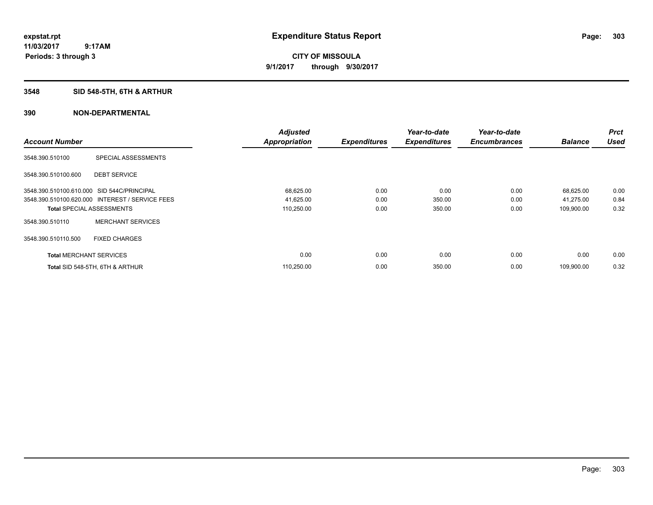**CITY OF MISSOULA 9/1/2017 through 9/30/2017**

# **3548 SID 548-5TH, 6TH & ARTHUR**

|                                            |                                                 | <b>Adjusted</b>      |                     | Year-to-date        | Year-to-date        |                | <b>Prct</b> |
|--------------------------------------------|-------------------------------------------------|----------------------|---------------------|---------------------|---------------------|----------------|-------------|
| <b>Account Number</b>                      |                                                 | <b>Appropriation</b> | <b>Expenditures</b> | <b>Expenditures</b> | <b>Encumbrances</b> | <b>Balance</b> | <b>Used</b> |
| 3548.390.510100                            | SPECIAL ASSESSMENTS                             |                      |                     |                     |                     |                |             |
| 3548.390.510100.600                        | <b>DEBT SERVICE</b>                             |                      |                     |                     |                     |                |             |
| 3548.390.510100.610.000 SID 544C/PRINCIPAL |                                                 | 68,625.00            | 0.00                | 0.00                | 0.00                | 68,625.00      | 0.00        |
|                                            | 3548.390.510100.620.000 INTEREST / SERVICE FEES | 41,625.00            | 0.00                | 350.00              | 0.00                | 41,275.00      | 0.84        |
| <b>Total SPECIAL ASSESSMENTS</b>           |                                                 | 110,250.00           | 0.00                | 350.00              | 0.00                | 109,900.00     | 0.32        |
| 3548.390.510110                            | <b>MERCHANT SERVICES</b>                        |                      |                     |                     |                     |                |             |
| 3548.390.510110.500                        | <b>FIXED CHARGES</b>                            |                      |                     |                     |                     |                |             |
| <b>Total MERCHANT SERVICES</b>             |                                                 | 0.00                 | 0.00                | 0.00                | 0.00                | 0.00           | 0.00        |
|                                            | Total SID 548-5TH, 6TH & ARTHUR                 | 110,250.00           | 0.00                | 350.00              | 0.00                | 109,900.00     | 0.32        |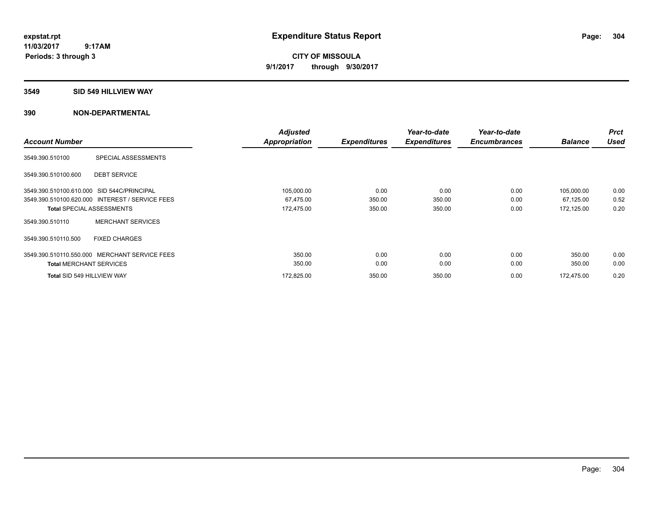**CITY OF MISSOULA 9/1/2017 through 9/30/2017**

### **3549 SID 549 HILLVIEW WAY**

|                                   |                                                 | <b>Adjusted</b> |                     | Year-to-date        | Year-to-date        |                | <b>Prct</b> |
|-----------------------------------|-------------------------------------------------|-----------------|---------------------|---------------------|---------------------|----------------|-------------|
| <b>Account Number</b>             |                                                 | Appropriation   | <b>Expenditures</b> | <b>Expenditures</b> | <b>Encumbrances</b> | <b>Balance</b> | <b>Used</b> |
| 3549.390.510100                   | SPECIAL ASSESSMENTS                             |                 |                     |                     |                     |                |             |
| 3549.390.510100.600               | <b>DEBT SERVICE</b>                             |                 |                     |                     |                     |                |             |
|                                   | 3549.390.510100.610.000 SID 544C/PRINCIPAL      | 105,000.00      | 0.00                | 0.00                | 0.00                | 105,000.00     | 0.00        |
|                                   | 3549.390.510100.620.000 INTEREST / SERVICE FEES | 67,475.00       | 350.00              | 350.00              | 0.00                | 67,125.00      | 0.52        |
|                                   | <b>Total SPECIAL ASSESSMENTS</b>                | 172,475.00      | 350.00              | 350.00              | 0.00                | 172,125.00     | 0.20        |
| 3549.390.510110                   | <b>MERCHANT SERVICES</b>                        |                 |                     |                     |                     |                |             |
| 3549.390.510110.500               | <b>FIXED CHARGES</b>                            |                 |                     |                     |                     |                |             |
|                                   | 3549.390.510110.550.000 MERCHANT SERVICE FEES   | 350.00          | 0.00                | 0.00                | 0.00                | 350.00         | 0.00        |
| <b>Total MERCHANT SERVICES</b>    |                                                 | 350.00          | 0.00                | 0.00                | 0.00                | 350.00         | 0.00        |
| <b>Total SID 549 HILLVIEW WAY</b> |                                                 | 172.825.00      | 350.00              | 350.00              | 0.00                | 172.475.00     | 0.20        |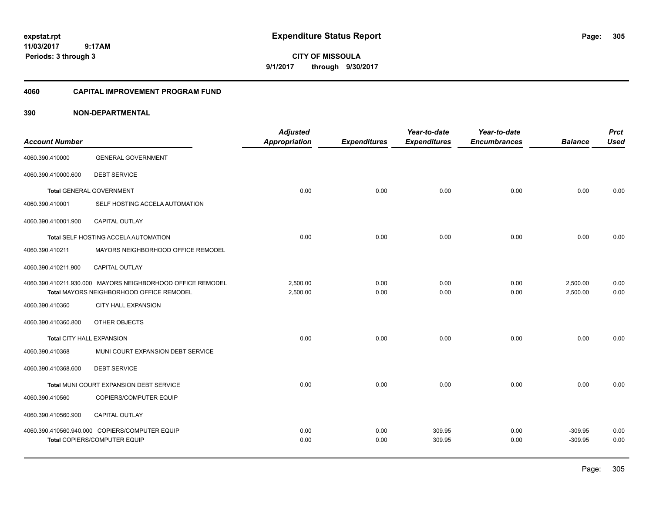**CITY OF MISSOULA 9/1/2017 through 9/30/2017**

### **4060 CAPITAL IMPROVEMENT PROGRAM FUND**

|                           |                                                            | <b>Adjusted</b>      |                     | Year-to-date        | Year-to-date        |                | <b>Prct</b> |
|---------------------------|------------------------------------------------------------|----------------------|---------------------|---------------------|---------------------|----------------|-------------|
| <b>Account Number</b>     |                                                            | <b>Appropriation</b> | <b>Expenditures</b> | <b>Expenditures</b> | <b>Encumbrances</b> | <b>Balance</b> | <b>Used</b> |
| 4060.390.410000           | <b>GENERAL GOVERNMENT</b>                                  |                      |                     |                     |                     |                |             |
| 4060.390.410000.600       | <b>DEBT SERVICE</b>                                        |                      |                     |                     |                     |                |             |
|                           | <b>Total GENERAL GOVERNMENT</b>                            | 0.00                 | 0.00                | 0.00                | 0.00                | 0.00           | 0.00        |
| 4060.390.410001           | SELF HOSTING ACCELA AUTOMATION                             |                      |                     |                     |                     |                |             |
| 4060.390.410001.900       | <b>CAPITAL OUTLAY</b>                                      |                      |                     |                     |                     |                |             |
|                           | Total SELF HOSTING ACCELA AUTOMATION                       | 0.00                 | 0.00                | 0.00                | 0.00                | 0.00           | 0.00        |
| 4060.390.410211           | MAYORS NEIGHBORHOOD OFFICE REMODEL                         |                      |                     |                     |                     |                |             |
| 4060.390.410211.900       | CAPITAL OUTLAY                                             |                      |                     |                     |                     |                |             |
|                           | 4060.390.410211.930.000 MAYORS NEIGHBORHOOD OFFICE REMODEL | 2,500.00             | 0.00                | 0.00                | 0.00                | 2,500.00       | 0.00        |
|                           | Total MAYORS NEIGHBORHOOD OFFICE REMODEL                   | 2,500.00             | 0.00                | 0.00                | 0.00                | 2,500.00       | 0.00        |
| 4060.390.410360           | <b>CITY HALL EXPANSION</b>                                 |                      |                     |                     |                     |                |             |
| 4060.390.410360.800       | OTHER OBJECTS                                              |                      |                     |                     |                     |                |             |
| Total CITY HALL EXPANSION |                                                            | 0.00                 | 0.00                | 0.00                | 0.00                | 0.00           | 0.00        |
| 4060.390.410368           | MUNI COURT EXPANSION DEBT SERVICE                          |                      |                     |                     |                     |                |             |
| 4060.390.410368.600       | <b>DEBT SERVICE</b>                                        |                      |                     |                     |                     |                |             |
|                           | Total MUNI COURT EXPANSION DEBT SERVICE                    | 0.00                 | 0.00                | 0.00                | 0.00                | 0.00           | 0.00        |
| 4060.390.410560           | COPIERS/COMPUTER EQUIP                                     |                      |                     |                     |                     |                |             |
| 4060.390.410560.900       | <b>CAPITAL OUTLAY</b>                                      |                      |                     |                     |                     |                |             |
|                           | 4060.390.410560.940.000 COPIERS/COMPUTER EQUIP             | 0.00                 | 0.00                | 309.95              | 0.00                | $-309.95$      | 0.00        |
|                           | Total COPIERS/COMPUTER EQUIP                               | 0.00                 | 0.00                | 309.95              | 0.00                | $-309.95$      | 0.00        |
|                           |                                                            |                      |                     |                     |                     |                |             |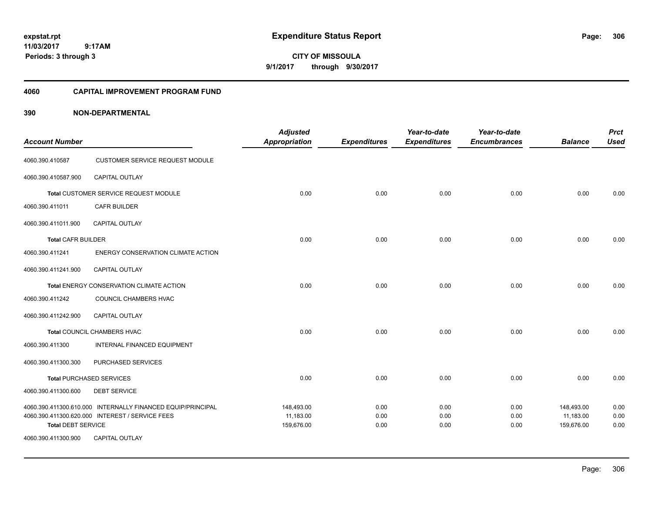**CITY OF MISSOULA 9/1/2017 through 9/30/2017**

### **4060 CAPITAL IMPROVEMENT PROGRAM FUND**

|                           |                                                             | <b>Adjusted</b>         |                     | Year-to-date        | Year-to-date        |                         | <b>Prct</b>  |
|---------------------------|-------------------------------------------------------------|-------------------------|---------------------|---------------------|---------------------|-------------------------|--------------|
| <b>Account Number</b>     |                                                             | <b>Appropriation</b>    | <b>Expenditures</b> | <b>Expenditures</b> | <b>Encumbrances</b> | <b>Balance</b>          | <b>Used</b>  |
| 4060.390.410587           | <b>CUSTOMER SERVICE REQUEST MODULE</b>                      |                         |                     |                     |                     |                         |              |
| 4060.390.410587.900       | <b>CAPITAL OUTLAY</b>                                       |                         |                     |                     |                     |                         |              |
|                           | Total CUSTOMER SERVICE REQUEST MODULE                       | 0.00                    | 0.00                | 0.00                | 0.00                | 0.00                    | 0.00         |
| 4060.390.411011           | <b>CAFR BUILDER</b>                                         |                         |                     |                     |                     |                         |              |
| 4060.390.411011.900       | CAPITAL OUTLAY                                              |                         |                     |                     |                     |                         |              |
| <b>Total CAFR BUILDER</b> |                                                             | 0.00                    | 0.00                | 0.00                | 0.00                | 0.00                    | 0.00         |
| 4060.390.411241           | ENERGY CONSERVATION CLIMATE ACTION                          |                         |                     |                     |                     |                         |              |
| 4060.390.411241.900       | CAPITAL OUTLAY                                              |                         |                     |                     |                     |                         |              |
|                           | Total ENERGY CONSERVATION CLIMATE ACTION                    | 0.00                    | 0.00                | 0.00                | 0.00                | 0.00                    | 0.00         |
| 4060.390.411242           | COUNCIL CHAMBERS HVAC                                       |                         |                     |                     |                     |                         |              |
| 4060.390.411242.900       | <b>CAPITAL OUTLAY</b>                                       |                         |                     |                     |                     |                         |              |
|                           | Total COUNCIL CHAMBERS HVAC                                 | 0.00                    | 0.00                | 0.00                | 0.00                | 0.00                    | 0.00         |
| 4060.390.411300           | INTERNAL FINANCED EQUIPMENT                                 |                         |                     |                     |                     |                         |              |
| 4060.390.411300.300       | PURCHASED SERVICES                                          |                         |                     |                     |                     |                         |              |
|                           | <b>Total PURCHASED SERVICES</b>                             | 0.00                    | 0.00                | 0.00                | 0.00                | 0.00                    | 0.00         |
| 4060.390.411300.600       | <b>DEBT SERVICE</b>                                         |                         |                     |                     |                     |                         |              |
|                           | 4060.390.411300.610.000 INTERNALLY FINANCED EQUIP/PRINCIPAL | 148,493.00              | 0.00                | 0.00                | 0.00                | 148,493.00              | 0.00         |
| <b>Total DEBT SERVICE</b> | 4060.390.411300.620.000 INTEREST / SERVICE FEES             | 11,183.00<br>159,676.00 | 0.00<br>0.00        | 0.00<br>0.00        | 0.00<br>0.00        | 11,183.00<br>159,676.00 | 0.00<br>0.00 |
| 4060.390.411300.900       | <b>CAPITAL OUTLAY</b>                                       |                         |                     |                     |                     |                         |              |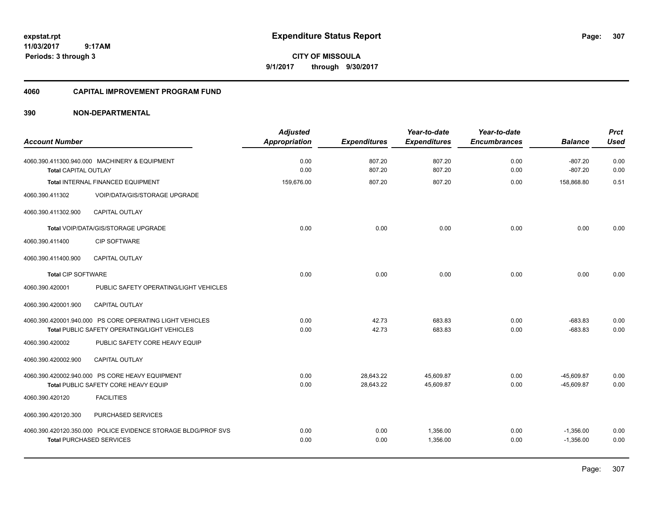**CITY OF MISSOULA 9/1/2017 through 9/30/2017**

### **4060 CAPITAL IMPROVEMENT PROGRAM FUND**

| <b>Account Number</b>       |                                                               | <b>Adjusted</b><br><b>Appropriation</b> | <b>Expenditures</b> | Year-to-date<br><b>Expenditures</b> | Year-to-date<br><b>Encumbrances</b> | <b>Balance</b>         | <b>Prct</b><br><b>Used</b> |
|-----------------------------|---------------------------------------------------------------|-----------------------------------------|---------------------|-------------------------------------|-------------------------------------|------------------------|----------------------------|
| <b>Total CAPITAL OUTLAY</b> | 4060.390.411300.940.000 MACHINERY & EQUIPMENT                 | 0.00<br>0.00                            | 807.20<br>807.20    | 807.20<br>807.20                    | 0.00<br>0.00                        | $-807.20$<br>$-807.20$ | 0.00<br>0.00               |
|                             | <b>Total INTERNAL FINANCED EQUIPMENT</b>                      | 159.676.00                              | 807.20              | 807.20                              | 0.00                                | 158.868.80             | 0.51                       |
| 4060.390.411302             | VOIP/DATA/GIS/STORAGE UPGRADE                                 |                                         |                     |                                     |                                     |                        |                            |
| 4060.390.411302.900         | CAPITAL OUTLAY                                                |                                         |                     |                                     |                                     |                        |                            |
|                             | Total VOIP/DATA/GIS/STORAGE UPGRADE                           | 0.00                                    | 0.00                | 0.00                                | 0.00                                | 0.00                   | 0.00                       |
| 4060.390.411400             | <b>CIP SOFTWARE</b>                                           |                                         |                     |                                     |                                     |                        |                            |
| 4060.390.411400.900         | <b>CAPITAL OUTLAY</b>                                         |                                         |                     |                                     |                                     |                        |                            |
| <b>Total CIP SOFTWARE</b>   |                                                               | 0.00                                    | 0.00                | 0.00                                | 0.00                                | 0.00                   | 0.00                       |
| 4060.390.420001             | PUBLIC SAFETY OPERATING/LIGHT VEHICLES                        |                                         |                     |                                     |                                     |                        |                            |
| 4060.390.420001.900         | CAPITAL OUTLAY                                                |                                         |                     |                                     |                                     |                        |                            |
|                             | 4060.390.420001.940.000 PS CORE OPERATING LIGHT VEHICLES      | 0.00                                    | 42.73               | 683.83                              | 0.00                                | $-683.83$              | 0.00                       |
|                             | Total PUBLIC SAFETY OPERATING/LIGHT VEHICLES                  | 0.00                                    | 42.73               | 683.83                              | 0.00                                | $-683.83$              | 0.00                       |
| 4060.390.420002             | PUBLIC SAFETY CORE HEAVY EQUIP                                |                                         |                     |                                     |                                     |                        |                            |
| 4060.390.420002.900         | <b>CAPITAL OUTLAY</b>                                         |                                         |                     |                                     |                                     |                        |                            |
|                             | 4060.390.420002.940.000 PS CORE HEAVY EQUIPMENT               | 0.00                                    | 28,643.22           | 45,609.87                           | 0.00                                | $-45,609.87$           | 0.00                       |
|                             | Total PUBLIC SAFETY CORE HEAVY EQUIP                          | 0.00                                    | 28,643.22           | 45,609.87                           | 0.00                                | $-45,609.87$           | 0.00                       |
| 4060.390.420120             | <b>FACILITIES</b>                                             |                                         |                     |                                     |                                     |                        |                            |
| 4060.390.420120.300         | PURCHASED SERVICES                                            |                                         |                     |                                     |                                     |                        |                            |
|                             | 4060.390.420120.350.000 POLICE EVIDENCE STORAGE BLDG/PROF SVS | 0.00                                    | 0.00                | 1,356.00                            | 0.00                                | $-1,356.00$            | 0.00                       |
|                             | <b>Total PURCHASED SERVICES</b>                               | 0.00                                    | 0.00                | 1,356.00                            | 0.00                                | $-1,356.00$            | 0.00                       |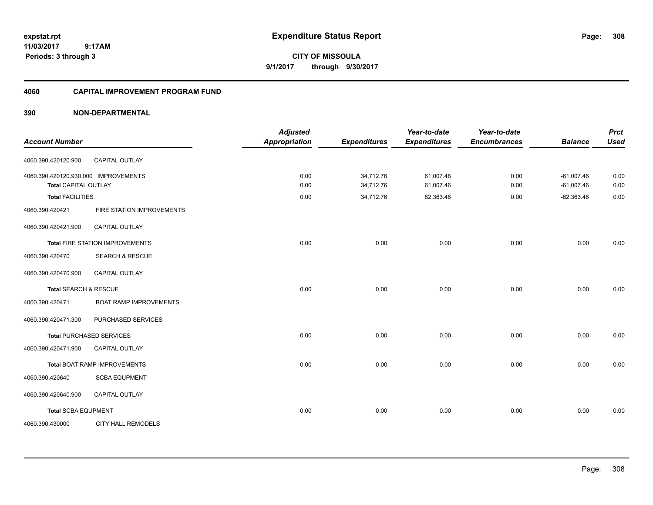**CITY OF MISSOULA 9/1/2017 through 9/30/2017**

### **4060 CAPITAL IMPROVEMENT PROGRAM FUND**

| <b>Account Number</b>                                               |                                        | <b>Adjusted</b><br><b>Appropriation</b> | <b>Expenditures</b>    | Year-to-date<br><b>Expenditures</b> | Year-to-date<br><b>Encumbrances</b> | <b>Balance</b>               | <b>Prct</b><br><b>Used</b> |
|---------------------------------------------------------------------|----------------------------------------|-----------------------------------------|------------------------|-------------------------------------|-------------------------------------|------------------------------|----------------------------|
| 4060.390.420120.900                                                 | CAPITAL OUTLAY                         |                                         |                        |                                     |                                     |                              |                            |
| 4060.390.420120.930.000 IMPROVEMENTS<br><b>Total CAPITAL OUTLAY</b> |                                        | 0.00<br>0.00                            | 34,712.76<br>34,712.76 | 61,007.46<br>61,007.46              | 0.00<br>0.00                        | $-61,007.46$<br>$-61,007.46$ | 0.00<br>0.00               |
| <b>Total FACILITIES</b>                                             |                                        | 0.00                                    | 34,712.76              | 62,363.46                           | 0.00                                | $-62,363.46$                 | 0.00                       |
| 4060.390.420421                                                     | FIRE STATION IMPROVEMENTS              |                                         |                        |                                     |                                     |                              |                            |
| 4060.390.420421.900                                                 | <b>CAPITAL OUTLAY</b>                  |                                         |                        |                                     |                                     |                              |                            |
|                                                                     | <b>Total FIRE STATION IMPROVEMENTS</b> | 0.00                                    | 0.00                   | 0.00                                | 0.00                                | 0.00                         | 0.00                       |
| 4060.390.420470                                                     | <b>SEARCH &amp; RESCUE</b>             |                                         |                        |                                     |                                     |                              |                            |
| 4060.390.420470.900                                                 | CAPITAL OUTLAY                         |                                         |                        |                                     |                                     |                              |                            |
| Total SEARCH & RESCUE                                               |                                        | 0.00                                    | 0.00                   | 0.00                                | 0.00                                | 0.00                         | 0.00                       |
| 4060.390.420471                                                     | <b>BOAT RAMP IMPROVEMENTS</b>          |                                         |                        |                                     |                                     |                              |                            |
| 4060.390.420471.300                                                 | PURCHASED SERVICES                     |                                         |                        |                                     |                                     |                              |                            |
|                                                                     | <b>Total PURCHASED SERVICES</b>        | 0.00                                    | 0.00                   | 0.00                                | 0.00                                | 0.00                         | 0.00                       |
| 4060.390.420471.900                                                 | CAPITAL OUTLAY                         |                                         |                        |                                     |                                     |                              |                            |
|                                                                     | Total BOAT RAMP IMPROVEMENTS           | 0.00                                    | 0.00                   | 0.00                                | 0.00                                | 0.00                         | 0.00                       |
| 4060.390.420640                                                     | <b>SCBA EQUPMENT</b>                   |                                         |                        |                                     |                                     |                              |                            |
| 4060.390.420640.900                                                 | CAPITAL OUTLAY                         |                                         |                        |                                     |                                     |                              |                            |
| <b>Total SCBA EQUPMENT</b>                                          |                                        | 0.00                                    | 0.00                   | 0.00                                | 0.00                                | 0.00                         | 0.00                       |
| 4060.390.430000                                                     | <b>CITY HALL REMODELS</b>              |                                         |                        |                                     |                                     |                              |                            |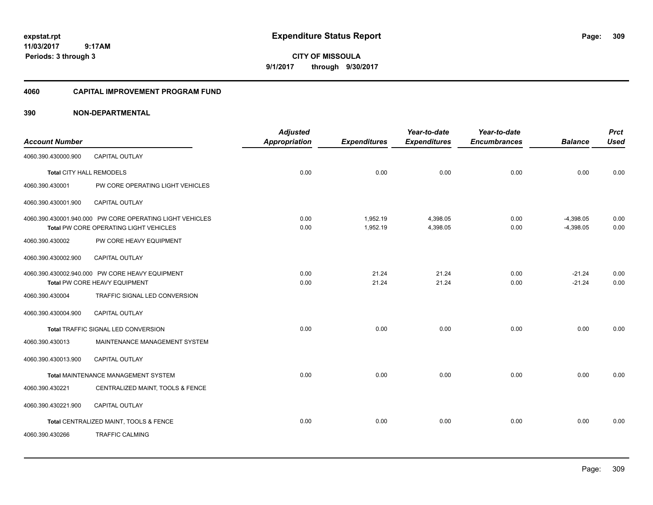**CITY OF MISSOULA 9/1/2017 through 9/30/2017**

### **4060 CAPITAL IMPROVEMENT PROGRAM FUND**

|                          |                                                          | <b>Adjusted</b>      |                     | Year-to-date        | Year-to-date        |                | <b>Prct</b> |
|--------------------------|----------------------------------------------------------|----------------------|---------------------|---------------------|---------------------|----------------|-------------|
| <b>Account Number</b>    |                                                          | <b>Appropriation</b> | <b>Expenditures</b> | <b>Expenditures</b> | <b>Encumbrances</b> | <b>Balance</b> | <b>Used</b> |
| 4060.390.430000.900      | <b>CAPITAL OUTLAY</b>                                    |                      |                     |                     |                     |                |             |
| Total CITY HALL REMODELS |                                                          | 0.00                 | 0.00                | 0.00                | 0.00                | 0.00           | 0.00        |
| 4060.390.430001          | PW CORE OPERATING LIGHT VEHICLES                         |                      |                     |                     |                     |                |             |
| 4060.390.430001.900      | CAPITAL OUTLAY                                           |                      |                     |                     |                     |                |             |
|                          | 4060.390.430001.940.000 PW CORE OPERATING LIGHT VEHICLES | 0.00                 | 1,952.19            | 4,398.05            | 0.00                | $-4,398.05$    | 0.00        |
|                          | Total PW CORE OPERATING LIGHT VEHICLES                   | 0.00                 | 1,952.19            | 4,398.05            | 0.00                | $-4,398.05$    | 0.00        |
| 4060.390.430002          | PW CORE HEAVY EQUIPMENT                                  |                      |                     |                     |                     |                |             |
| 4060.390.430002.900      | <b>CAPITAL OUTLAY</b>                                    |                      |                     |                     |                     |                |             |
|                          | 4060.390.430002.940.000 PW CORE HEAVY EQUIPMENT          | 0.00                 | 21.24               | 21.24               | 0.00                | $-21.24$       | 0.00        |
|                          | Total PW CORE HEAVY EQUIPMENT                            | 0.00                 | 21.24               | 21.24               | 0.00                | $-21.24$       | 0.00        |
| 4060.390.430004          | TRAFFIC SIGNAL LED CONVERSION                            |                      |                     |                     |                     |                |             |
| 4060.390.430004.900      | <b>CAPITAL OUTLAY</b>                                    |                      |                     |                     |                     |                |             |
|                          | Total TRAFFIC SIGNAL LED CONVERSION                      | 0.00                 | 0.00                | 0.00                | 0.00                | 0.00           | 0.00        |
| 4060.390.430013          | MAINTENANCE MANAGEMENT SYSTEM                            |                      |                     |                     |                     |                |             |
| 4060.390.430013.900      | <b>CAPITAL OUTLAY</b>                                    |                      |                     |                     |                     |                |             |
|                          | Total MAINTENANCE MANAGEMENT SYSTEM                      | 0.00                 | 0.00                | 0.00                | 0.00                | 0.00           | 0.00        |
| 4060.390.430221          | CENTRALIZED MAINT, TOOLS & FENCE                         |                      |                     |                     |                     |                |             |
| 4060.390.430221.900      | <b>CAPITAL OUTLAY</b>                                    |                      |                     |                     |                     |                |             |
|                          | Total CENTRALIZED MAINT, TOOLS & FENCE                   | 0.00                 | 0.00                | 0.00                | 0.00                | 0.00           | 0.00        |
| 4060.390.430266          | <b>TRAFFIC CALMING</b>                                   |                      |                     |                     |                     |                |             |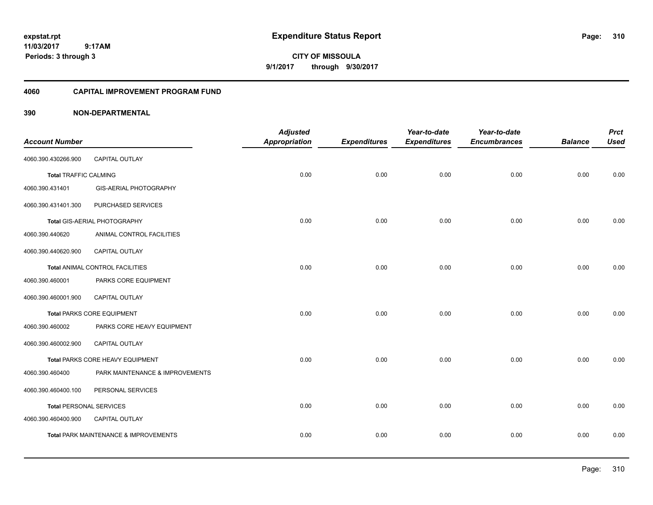**CITY OF MISSOULA 9/1/2017 through 9/30/2017**

### **4060 CAPITAL IMPROVEMENT PROGRAM FUND**

|                                |                                       | <b>Adjusted</b>      |                     | Year-to-date        | Year-to-date        |                | <b>Prct</b> |
|--------------------------------|---------------------------------------|----------------------|---------------------|---------------------|---------------------|----------------|-------------|
| <b>Account Number</b>          |                                       | <b>Appropriation</b> | <b>Expenditures</b> | <b>Expenditures</b> | <b>Encumbrances</b> | <b>Balance</b> | <b>Used</b> |
| 4060.390.430266.900            | <b>CAPITAL OUTLAY</b>                 |                      |                     |                     |                     |                |             |
| <b>Total TRAFFIC CALMING</b>   |                                       | 0.00                 | 0.00                | 0.00                | 0.00                | 0.00           | 0.00        |
| 4060.390.431401                | <b>GIS-AERIAL PHOTOGRAPHY</b>         |                      |                     |                     |                     |                |             |
| 4060.390.431401.300            | PURCHASED SERVICES                    |                      |                     |                     |                     |                |             |
|                                | Total GIS-AERIAL PHOTOGRAPHY          | 0.00                 | 0.00                | 0.00                | 0.00                | 0.00           | 0.00        |
| 4060.390.440620                | ANIMAL CONTROL FACILITIES             |                      |                     |                     |                     |                |             |
| 4060.390.440620.900            | CAPITAL OUTLAY                        |                      |                     |                     |                     |                |             |
|                                | Total ANIMAL CONTROL FACILITIES       | 0.00                 | 0.00                | 0.00                | 0.00                | 0.00           | 0.00        |
| 4060.390.460001                | PARKS CORE EQUIPMENT                  |                      |                     |                     |                     |                |             |
| 4060.390.460001.900            | CAPITAL OUTLAY                        |                      |                     |                     |                     |                |             |
|                                | <b>Total PARKS CORE EQUIPMENT</b>     | 0.00                 | 0.00                | 0.00                | 0.00                | 0.00           | 0.00        |
| 4060.390.460002                | PARKS CORE HEAVY EQUIPMENT            |                      |                     |                     |                     |                |             |
| 4060.390.460002.900            | CAPITAL OUTLAY                        |                      |                     |                     |                     |                |             |
|                                | Total PARKS CORE HEAVY EQUIPMENT      | 0.00                 | 0.00                | 0.00                | 0.00                | 0.00           | 0.00        |
| 4060.390.460400                | PARK MAINTENANCE & IMPROVEMENTS       |                      |                     |                     |                     |                |             |
| 4060.390.460400.100            | PERSONAL SERVICES                     |                      |                     |                     |                     |                |             |
| <b>Total PERSONAL SERVICES</b> |                                       | 0.00                 | 0.00                | 0.00                | 0.00                | 0.00           | 0.00        |
| 4060.390.460400.900            | CAPITAL OUTLAY                        |                      |                     |                     |                     |                |             |
|                                | Total PARK MAINTENANCE & IMPROVEMENTS | 0.00                 | 0.00                | 0.00                | 0.00                | 0.00           | 0.00        |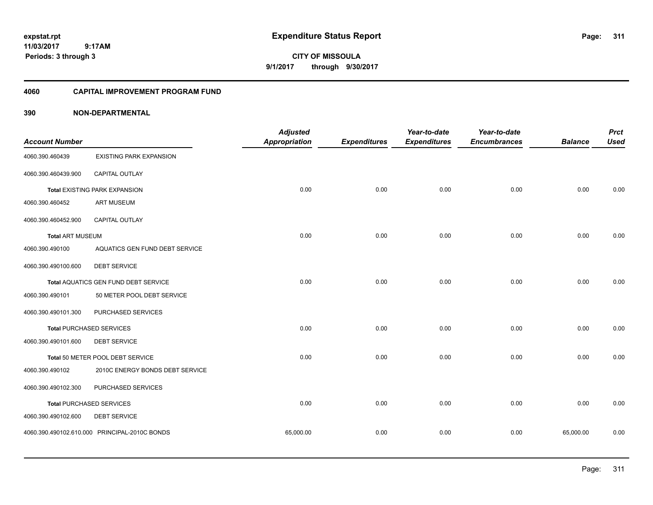**CITY OF MISSOULA 9/1/2017 through 9/30/2017**

### **4060 CAPITAL IMPROVEMENT PROGRAM FUND**

| <b>Account Number</b>   |                                               | <b>Adjusted</b><br><b>Appropriation</b> | <b>Expenditures</b> | Year-to-date<br><b>Expenditures</b> | Year-to-date<br><b>Encumbrances</b> | <b>Balance</b> | <b>Prct</b><br><b>Used</b> |
|-------------------------|-----------------------------------------------|-----------------------------------------|---------------------|-------------------------------------|-------------------------------------|----------------|----------------------------|
| 4060.390.460439         | <b>EXISTING PARK EXPANSION</b>                |                                         |                     |                                     |                                     |                |                            |
| 4060.390.460439.900     | CAPITAL OUTLAY                                |                                         |                     |                                     |                                     |                |                            |
|                         | <b>Total EXISTING PARK EXPANSION</b>          | 0.00                                    | 0.00                | 0.00                                | 0.00                                | 0.00           | 0.00                       |
| 4060.390.460452         | <b>ART MUSEUM</b>                             |                                         |                     |                                     |                                     |                |                            |
| 4060.390.460452.900     | <b>CAPITAL OUTLAY</b>                         |                                         |                     |                                     |                                     |                |                            |
| <b>Total ART MUSEUM</b> |                                               | 0.00                                    | 0.00                | 0.00                                | 0.00                                | 0.00           | 0.00                       |
| 4060.390.490100         | AQUATICS GEN FUND DEBT SERVICE                |                                         |                     |                                     |                                     |                |                            |
| 4060.390.490100.600     | <b>DEBT SERVICE</b>                           |                                         |                     |                                     |                                     |                |                            |
|                         | Total AQUATICS GEN FUND DEBT SERVICE          | 0.00                                    | 0.00                | 0.00                                | 0.00                                | 0.00           | 0.00                       |
| 4060.390.490101         | 50 METER POOL DEBT SERVICE                    |                                         |                     |                                     |                                     |                |                            |
| 4060.390.490101.300     | PURCHASED SERVICES                            |                                         |                     |                                     |                                     |                |                            |
|                         | <b>Total PURCHASED SERVICES</b>               | 0.00                                    | 0.00                | 0.00                                | 0.00                                | 0.00           | 0.00                       |
| 4060.390.490101.600     | <b>DEBT SERVICE</b>                           |                                         |                     |                                     |                                     |                |                            |
|                         | Total 50 METER POOL DEBT SERVICE              | 0.00                                    | 0.00                | 0.00                                | 0.00                                | 0.00           | 0.00                       |
| 4060.390.490102         | 2010C ENERGY BONDS DEBT SERVICE               |                                         |                     |                                     |                                     |                |                            |
| 4060.390.490102.300     | PURCHASED SERVICES                            |                                         |                     |                                     |                                     |                |                            |
|                         | <b>Total PURCHASED SERVICES</b>               | 0.00                                    | 0.00                | 0.00                                | 0.00                                | 0.00           | 0.00                       |
| 4060.390.490102.600     | <b>DEBT SERVICE</b>                           |                                         |                     |                                     |                                     |                |                            |
|                         | 4060.390.490102.610.000 PRINCIPAL-2010C BONDS | 65,000.00                               | 0.00                | 0.00                                | 0.00                                | 65,000.00      | 0.00                       |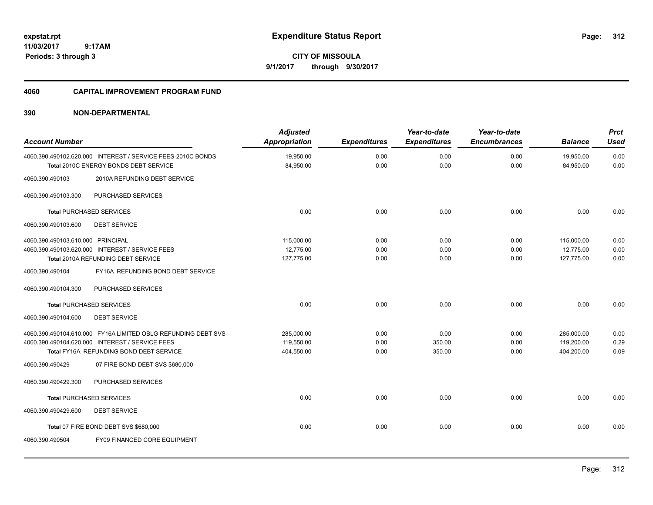**CITY OF MISSOULA 9/1/2017 through 9/30/2017**

### **4060 CAPITAL IMPROVEMENT PROGRAM FUND**

| <b>Account Number</b>             |                                                                                                                                                             | <b>Adjusted</b><br><b>Appropriation</b> | <b>Expenditures</b>  | Year-to-date<br><b>Expenditures</b> | Year-to-date<br><b>Encumbrances</b> | <b>Balance</b>                         | <b>Prct</b><br><b>Used</b> |
|-----------------------------------|-------------------------------------------------------------------------------------------------------------------------------------------------------------|-----------------------------------------|----------------------|-------------------------------------|-------------------------------------|----------------------------------------|----------------------------|
|                                   | 4060.390.490102.620.000 INTEREST / SERVICE FEES-2010C BONDS<br>Total 2010C ENERGY BONDS DEBT SERVICE                                                        | 19,950.00<br>84,950.00                  | 0.00<br>0.00         | 0.00<br>0.00                        | 0.00<br>0.00                        | 19,950.00<br>84,950.00                 | 0.00<br>0.00               |
| 4060.390.490103                   | 2010A REFUNDING DEBT SERVICE                                                                                                                                |                                         |                      |                                     |                                     |                                        |                            |
| 4060.390.490103.300               | PURCHASED SERVICES                                                                                                                                          |                                         |                      |                                     |                                     |                                        |                            |
|                                   | <b>Total PURCHASED SERVICES</b>                                                                                                                             | 0.00                                    | 0.00                 | 0.00                                | 0.00                                | 0.00                                   | 0.00                       |
| 4060.390.490103.600               | <b>DEBT SERVICE</b>                                                                                                                                         |                                         |                      |                                     |                                     |                                        |                            |
| 4060.390.490103.610.000 PRINCIPAL | 4060.390.490103.620.000 INTEREST / SERVICE FEES<br>Total 2010A REFUNDING DEBT SERVICE                                                                       | 115,000.00<br>12,775.00<br>127,775.00   | 0.00<br>0.00<br>0.00 | 0.00<br>0.00<br>0.00                | 0.00<br>0.00<br>0.00                | 115,000.00<br>12,775.00<br>127,775.00  | 0.00<br>0.00<br>0.00       |
| 4060.390.490104                   | FY16A REFUNDING BOND DEBT SERVICE                                                                                                                           |                                         |                      |                                     |                                     |                                        |                            |
| 4060.390.490104.300               | PURCHASED SERVICES                                                                                                                                          |                                         |                      |                                     |                                     |                                        |                            |
|                                   | <b>Total PURCHASED SERVICES</b>                                                                                                                             | 0.00                                    | 0.00                 | 0.00                                | 0.00                                | 0.00                                   | 0.00                       |
| 4060.390.490104.600               | <b>DEBT SERVICE</b>                                                                                                                                         |                                         |                      |                                     |                                     |                                        |                            |
|                                   | 4060.390.490104.610.000 FY16A LIMITED OBLG REFUNDING DEBT SVS<br>4060.390.490104.620.000 INTEREST / SERVICE FEES<br>Total FY16A REFUNDING BOND DEBT SERVICE | 285,000.00<br>119,550.00<br>404,550.00  | 0.00<br>0.00<br>0.00 | 0.00<br>350.00<br>350.00            | 0.00<br>0.00<br>0.00                | 285,000.00<br>119,200.00<br>404,200.00 | 0.00<br>0.29<br>0.09       |
| 4060.390.490429                   | 07 FIRE BOND DEBT SVS \$680,000                                                                                                                             |                                         |                      |                                     |                                     |                                        |                            |
| 4060.390.490429.300               | PURCHASED SERVICES                                                                                                                                          |                                         |                      |                                     |                                     |                                        |                            |
|                                   | <b>Total PURCHASED SERVICES</b>                                                                                                                             | 0.00                                    | 0.00                 | 0.00                                | 0.00                                | 0.00                                   | 0.00                       |
| 4060.390.490429.600               | <b>DEBT SERVICE</b>                                                                                                                                         |                                         |                      |                                     |                                     |                                        |                            |
|                                   | Total 07 FIRE BOND DEBT SVS \$680,000                                                                                                                       | 0.00                                    | 0.00                 | 0.00                                | 0.00                                | 0.00                                   | 0.00                       |
| 4060.390.490504                   | FY09 FINANCED CORE EQUIPMENT                                                                                                                                |                                         |                      |                                     |                                     |                                        |                            |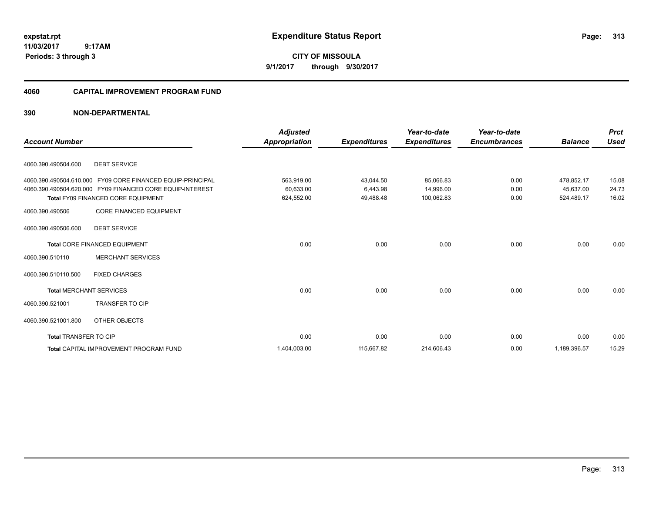**CITY OF MISSOULA 9/1/2017 through 9/30/2017**

### **4060 CAPITAL IMPROVEMENT PROGRAM FUND**

| <b>Account Number</b>          |                                                            | <b>Adjusted</b><br>Appropriation | <b>Expenditures</b> | Year-to-date<br><b>Expenditures</b> | Year-to-date<br><b>Encumbrances</b> | <b>Balance</b> | <b>Prct</b><br><b>Used</b> |
|--------------------------------|------------------------------------------------------------|----------------------------------|---------------------|-------------------------------------|-------------------------------------|----------------|----------------------------|
|                                |                                                            |                                  |                     |                                     |                                     |                |                            |
| 4060.390.490504.600            | <b>DEBT SERVICE</b>                                        |                                  |                     |                                     |                                     |                |                            |
|                                | 4060.390.490504.610.000 FY09 CORE FINANCED EQUIP-PRINCIPAL | 563,919.00                       | 43,044.50           | 85,066.83                           | 0.00                                | 478,852.17     | 15.08                      |
|                                | 4060.390.490504.620.000 FY09 FINANCED CORE EQUIP-INTEREST  | 60,633.00                        | 6,443.98            | 14,996.00                           | 0.00                                | 45,637.00      | 24.73                      |
|                                | <b>Total FY09 FINANCED CORE EQUIPMENT</b>                  | 624,552.00                       | 49,488.48           | 100,062.83                          | 0.00                                | 524,489.17     | 16.02                      |
| 4060.390.490506                | <b>CORE FINANCED EQUIPMENT</b>                             |                                  |                     |                                     |                                     |                |                            |
| 4060.390.490506.600            | <b>DEBT SERVICE</b>                                        |                                  |                     |                                     |                                     |                |                            |
|                                | Total CORE FINANCED EQUIPMENT                              | 0.00                             | 0.00                | 0.00                                | 0.00                                | 0.00           | 0.00                       |
| 4060.390.510110                | <b>MERCHANT SERVICES</b>                                   |                                  |                     |                                     |                                     |                |                            |
| 4060.390.510110.500            | <b>FIXED CHARGES</b>                                       |                                  |                     |                                     |                                     |                |                            |
| <b>Total MERCHANT SERVICES</b> |                                                            | 0.00                             | 0.00                | 0.00                                | 0.00                                | 0.00           | 0.00                       |
| 4060.390.521001                | <b>TRANSFER TO CIP</b>                                     |                                  |                     |                                     |                                     |                |                            |
| 4060.390.521001.800            | OTHER OBJECTS                                              |                                  |                     |                                     |                                     |                |                            |
| <b>Total TRANSFER TO CIP</b>   |                                                            | 0.00                             | 0.00                | 0.00                                | 0.00                                | 0.00           | 0.00                       |
|                                | <b>Total CAPITAL IMPROVEMENT PROGRAM FUND</b>              | 1,404,003.00                     | 115,667.82          | 214,606.43                          | 0.00                                | 1,189,396.57   | 15.29                      |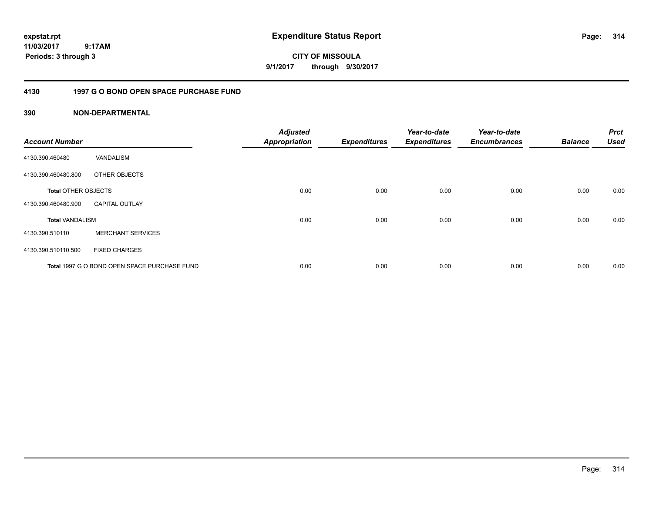**CITY OF MISSOULA 9/1/2017 through 9/30/2017**

## **4130 1997 G O BOND OPEN SPACE PURCHASE FUND**

| <b>Account Number</b>      |                                              | <b>Adjusted</b><br><b>Appropriation</b> | <b>Expenditures</b> | Year-to-date<br><b>Expenditures</b> | Year-to-date<br><b>Encumbrances</b> | <b>Balance</b> | <b>Prct</b><br><b>Used</b> |
|----------------------------|----------------------------------------------|-----------------------------------------|---------------------|-------------------------------------|-------------------------------------|----------------|----------------------------|
| 4130.390.460480            | VANDALISM                                    |                                         |                     |                                     |                                     |                |                            |
| 4130.390.460480.800        | OTHER OBJECTS                                |                                         |                     |                                     |                                     |                |                            |
| <b>Total OTHER OBJECTS</b> |                                              | 0.00                                    | 0.00                | 0.00                                | 0.00                                | 0.00           | 0.00                       |
| 4130.390.460480.900        | <b>CAPITAL OUTLAY</b>                        |                                         |                     |                                     |                                     |                |                            |
| <b>Total VANDALISM</b>     |                                              | 0.00                                    | 0.00                | 0.00                                | 0.00                                | 0.00           | 0.00                       |
| 4130.390.510110            | <b>MERCHANT SERVICES</b>                     |                                         |                     |                                     |                                     |                |                            |
| 4130.390.510110.500        | <b>FIXED CHARGES</b>                         |                                         |                     |                                     |                                     |                |                            |
|                            | Total 1997 G O BOND OPEN SPACE PURCHASE FUND | 0.00                                    | 0.00                | 0.00                                | 0.00                                | 0.00           | 0.00                       |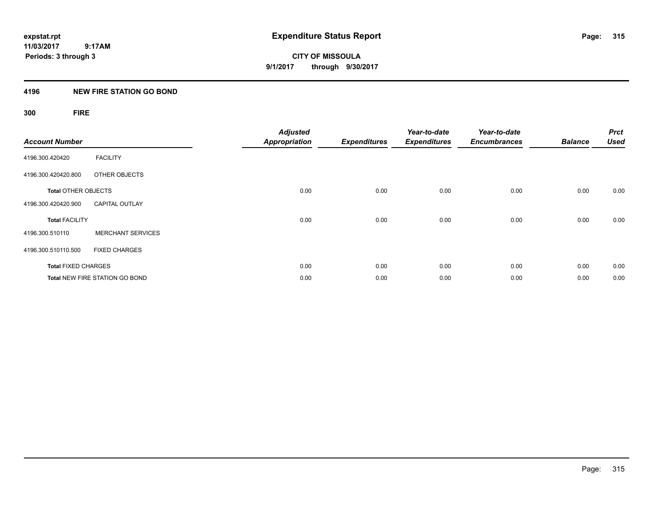# **4196 NEW FIRE STATION GO BOND**

# **300 FIRE**

| <b>Account Number</b>      |                                       | <b>Adjusted</b><br><b>Appropriation</b> | <b>Expenditures</b> | Year-to-date<br><b>Expenditures</b> | Year-to-date<br><b>Encumbrances</b> | <b>Balance</b> | <b>Prct</b><br><b>Used</b> |
|----------------------------|---------------------------------------|-----------------------------------------|---------------------|-------------------------------------|-------------------------------------|----------------|----------------------------|
| 4196.300.420420            | <b>FACILITY</b>                       |                                         |                     |                                     |                                     |                |                            |
| 4196.300.420420.800        | OTHER OBJECTS                         |                                         |                     |                                     |                                     |                |                            |
| <b>Total OTHER OBJECTS</b> |                                       | 0.00                                    | 0.00                | 0.00                                | 0.00                                | 0.00           | 0.00                       |
| 4196.300.420420.900        | <b>CAPITAL OUTLAY</b>                 |                                         |                     |                                     |                                     |                |                            |
| <b>Total FACILITY</b>      |                                       | 0.00                                    | 0.00                | 0.00                                | 0.00                                | 0.00           | 0.00                       |
| 4196.300.510110            | <b>MERCHANT SERVICES</b>              |                                         |                     |                                     |                                     |                |                            |
| 4196.300.510110.500        | <b>FIXED CHARGES</b>                  |                                         |                     |                                     |                                     |                |                            |
| <b>Total FIXED CHARGES</b> |                                       | 0.00                                    | 0.00                | 0.00                                | 0.00                                | 0.00           | 0.00                       |
|                            | <b>Total NEW FIRE STATION GO BOND</b> | 0.00                                    | 0.00                | 0.00                                | 0.00                                | 0.00           | 0.00                       |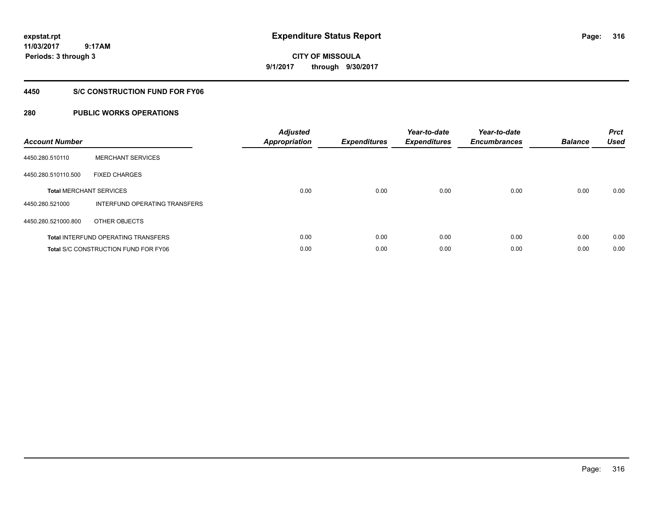**CITY OF MISSOULA 9/1/2017 through 9/30/2017**

## **4450 S/C CONSTRUCTION FUND FOR FY06**

# **280 PUBLIC WORKS OPERATIONS**

| <b>Account Number</b> |                                             | <b>Adjusted</b><br>Appropriation | <b>Expenditures</b> | Year-to-date<br><b>Expenditures</b> | Year-to-date<br><b>Encumbrances</b> | <b>Balance</b> | <b>Prct</b><br><b>Used</b> |
|-----------------------|---------------------------------------------|----------------------------------|---------------------|-------------------------------------|-------------------------------------|----------------|----------------------------|
| 4450.280.510110       | <b>MERCHANT SERVICES</b>                    |                                  |                     |                                     |                                     |                |                            |
| 4450.280.510110.500   | <b>FIXED CHARGES</b>                        |                                  |                     |                                     |                                     |                |                            |
|                       | <b>Total MERCHANT SERVICES</b>              | 0.00                             | 0.00                | 0.00                                | 0.00                                | 0.00           | 0.00                       |
| 4450.280.521000       | INTERFUND OPERATING TRANSFERS               |                                  |                     |                                     |                                     |                |                            |
| 4450.280.521000.800   | OTHER OBJECTS                               |                                  |                     |                                     |                                     |                |                            |
|                       | <b>Total INTERFUND OPERATING TRANSFERS</b>  | 0.00                             | 0.00                | 0.00                                | 0.00                                | 0.00           | 0.00                       |
|                       | <b>Total S/C CONSTRUCTION FUND FOR FY06</b> | 0.00                             | 0.00                | 0.00                                | 0.00                                | 0.00           | 0.00                       |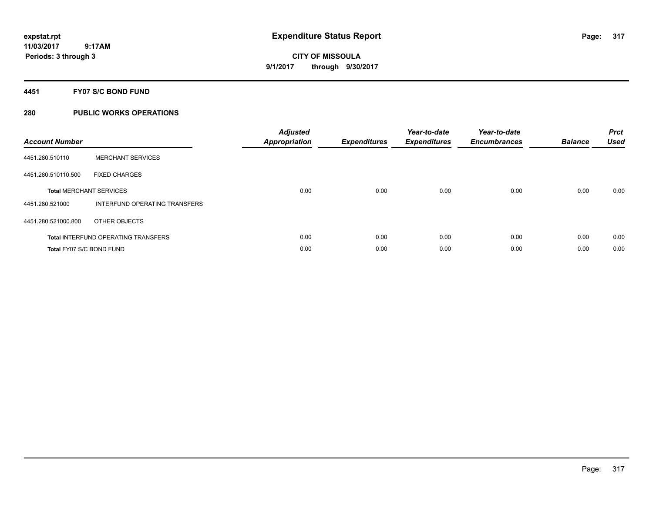**Periods: 3 through 3**

**CITY OF MISSOULA 9/1/2017 through 9/30/2017**

**4451 FY07 S/C BOND FUND**

# **280 PUBLIC WORKS OPERATIONS**

 **9:17AM**

| <b>Account Number</b>    |                                            | <b>Adjusted</b><br><b>Appropriation</b> | <b>Expenditures</b> | Year-to-date<br><b>Expenditures</b> | Year-to-date<br><b>Encumbrances</b> | <b>Balance</b> | <b>Prct</b><br><b>Used</b> |
|--------------------------|--------------------------------------------|-----------------------------------------|---------------------|-------------------------------------|-------------------------------------|----------------|----------------------------|
| 4451.280.510110          | <b>MERCHANT SERVICES</b>                   |                                         |                     |                                     |                                     |                |                            |
| 4451.280.510110.500      | <b>FIXED CHARGES</b>                       |                                         |                     |                                     |                                     |                |                            |
|                          | <b>Total MERCHANT SERVICES</b>             | 0.00                                    | 0.00                | 0.00                                | 0.00                                | 0.00           | 0.00                       |
| 4451.280.521000          | INTERFUND OPERATING TRANSFERS              |                                         |                     |                                     |                                     |                |                            |
| 4451.280.521000.800      | OTHER OBJECTS                              |                                         |                     |                                     |                                     |                |                            |
|                          | <b>Total INTERFUND OPERATING TRANSFERS</b> | 0.00                                    | 0.00                | 0.00                                | 0.00                                | 0.00           | 0.00                       |
| Total FY07 S/C BOND FUND |                                            | 0.00                                    | 0.00                | 0.00                                | 0.00                                | 0.00           | 0.00                       |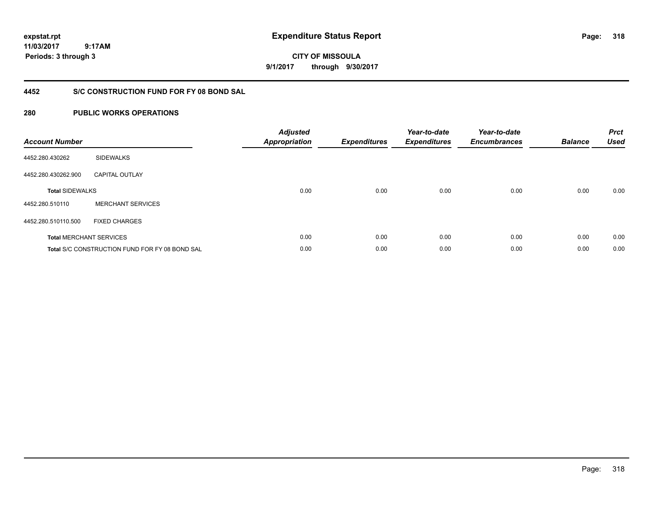# **CITY OF MISSOULA 9/1/2017 through 9/30/2017**

# **4452 S/C CONSTRUCTION FUND FOR FY 08 BOND SAL**

# **280 PUBLIC WORKS OPERATIONS**

| <b>Account Number</b>  |                                                       | <b>Adjusted</b><br><b>Appropriation</b> | <b>Expenditures</b> | Year-to-date<br><b>Expenditures</b> | Year-to-date<br><b>Encumbrances</b> | <b>Balance</b> | <b>Prct</b><br><b>Used</b> |
|------------------------|-------------------------------------------------------|-----------------------------------------|---------------------|-------------------------------------|-------------------------------------|----------------|----------------------------|
| 4452.280.430262        | <b>SIDEWALKS</b>                                      |                                         |                     |                                     |                                     |                |                            |
| 4452.280.430262.900    | <b>CAPITAL OUTLAY</b>                                 |                                         |                     |                                     |                                     |                |                            |
| <b>Total SIDEWALKS</b> |                                                       | 0.00                                    | 0.00                | 0.00                                | 0.00                                | 0.00           | 0.00                       |
| 4452.280.510110        | <b>MERCHANT SERVICES</b>                              |                                         |                     |                                     |                                     |                |                            |
| 4452.280.510110.500    | <b>FIXED CHARGES</b>                                  |                                         |                     |                                     |                                     |                |                            |
|                        | <b>Total MERCHANT SERVICES</b>                        | 0.00                                    | 0.00                | 0.00                                | 0.00                                | 0.00           | 0.00                       |
|                        | <b>Total S/C CONSTRUCTION FUND FOR FY 08 BOND SAL</b> | 0.00                                    | 0.00                | 0.00                                | 0.00                                | 0.00           | 0.00                       |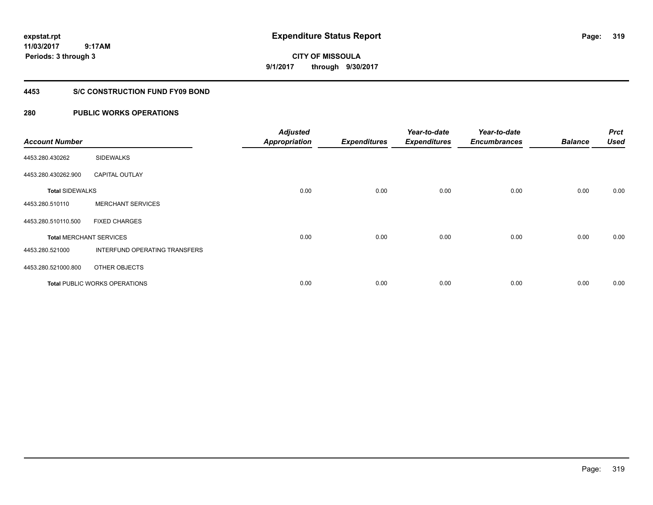**CITY OF MISSOULA 9/1/2017 through 9/30/2017**

### **4453 S/C CONSTRUCTION FUND FY09 BOND**

# **280 PUBLIC WORKS OPERATIONS**

| <b>Account Number</b>  |                                      | <b>Adjusted</b><br><b>Appropriation</b> | <b>Expenditures</b> | Year-to-date<br><b>Expenditures</b> | Year-to-date<br><b>Encumbrances</b> | <b>Balance</b> | <b>Prct</b><br><b>Used</b> |
|------------------------|--------------------------------------|-----------------------------------------|---------------------|-------------------------------------|-------------------------------------|----------------|----------------------------|
| 4453.280.430262        | <b>SIDEWALKS</b>                     |                                         |                     |                                     |                                     |                |                            |
| 4453.280.430262.900    | <b>CAPITAL OUTLAY</b>                |                                         |                     |                                     |                                     |                |                            |
| <b>Total SIDEWALKS</b> |                                      | 0.00                                    | 0.00                | 0.00                                | 0.00                                | 0.00           | 0.00                       |
| 4453.280.510110        | <b>MERCHANT SERVICES</b>             |                                         |                     |                                     |                                     |                |                            |
| 4453.280.510110.500    | <b>FIXED CHARGES</b>                 |                                         |                     |                                     |                                     |                |                            |
|                        | <b>Total MERCHANT SERVICES</b>       | 0.00                                    | 0.00                | 0.00                                | 0.00                                | 0.00           | 0.00                       |
| 4453.280.521000        | INTERFUND OPERATING TRANSFERS        |                                         |                     |                                     |                                     |                |                            |
| 4453.280.521000.800    | OTHER OBJECTS                        |                                         |                     |                                     |                                     |                |                            |
|                        | <b>Total PUBLIC WORKS OPERATIONS</b> | 0.00                                    | 0.00                | 0.00                                | 0.00                                | 0.00           | 0.00                       |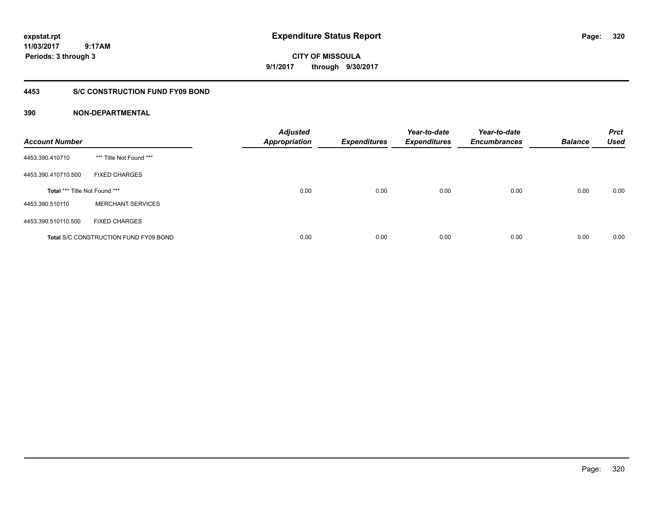# **CITY OF MISSOULA 9/1/2017 through 9/30/2017**

## **4453 S/C CONSTRUCTION FUND FY09 BOND**

| <b>Account Number</b>         |                                              | <b>Adjusted</b><br><b>Appropriation</b> | <b>Expenditures</b> | Year-to-date<br><b>Expenditures</b> | Year-to-date<br><b>Encumbrances</b> | <b>Balance</b> | <b>Prct</b><br><b>Used</b> |
|-------------------------------|----------------------------------------------|-----------------------------------------|---------------------|-------------------------------------|-------------------------------------|----------------|----------------------------|
| 4453.390.410710               | *** Title Not Found ***                      |                                         |                     |                                     |                                     |                |                            |
| 4453.390.410710.500           | <b>FIXED CHARGES</b>                         |                                         |                     |                                     |                                     |                |                            |
| Total *** Title Not Found *** |                                              | 0.00                                    | 0.00                | 0.00                                | 0.00                                | 0.00           | 0.00                       |
| 4453.390.510110               | <b>MERCHANT SERVICES</b>                     |                                         |                     |                                     |                                     |                |                            |
| 4453.390.510110.500           | <b>FIXED CHARGES</b>                         |                                         |                     |                                     |                                     |                |                            |
|                               | <b>Total S/C CONSTRUCTION FUND FY09 BOND</b> | 0.00                                    | 0.00                | 0.00                                | 0.00                                | 0.00           | 0.00                       |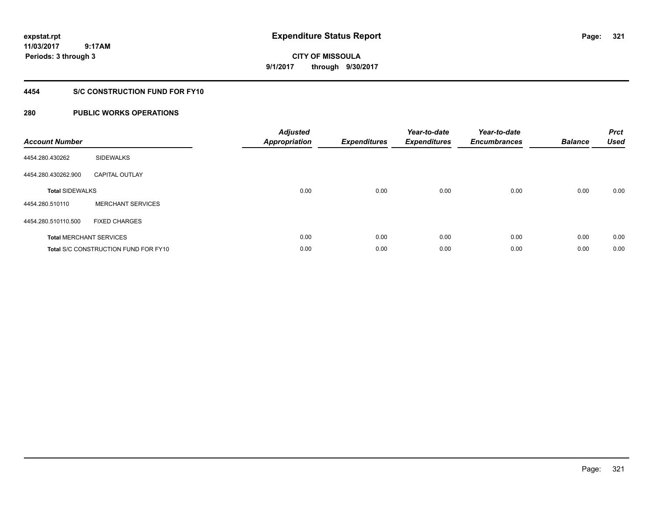# **CITY OF MISSOULA 9/1/2017 through 9/30/2017**

# **4454 S/C CONSTRUCTION FUND FOR FY10**

# **280 PUBLIC WORKS OPERATIONS**

| <b>Account Number</b>          |                                             | <b>Adjusted</b><br><b>Appropriation</b> | <b>Expenditures</b> | Year-to-date<br><b>Expenditures</b> | Year-to-date<br><b>Encumbrances</b> | <b>Balance</b> | <b>Prct</b><br><b>Used</b> |
|--------------------------------|---------------------------------------------|-----------------------------------------|---------------------|-------------------------------------|-------------------------------------|----------------|----------------------------|
| 4454.280.430262                | <b>SIDEWALKS</b>                            |                                         |                     |                                     |                                     |                |                            |
| 4454.280.430262.900            | <b>CAPITAL OUTLAY</b>                       |                                         |                     |                                     |                                     |                |                            |
| <b>Total SIDEWALKS</b>         |                                             | 0.00                                    | 0.00                | 0.00                                | 0.00                                | 0.00           | 0.00                       |
| 4454.280.510110                | <b>MERCHANT SERVICES</b>                    |                                         |                     |                                     |                                     |                |                            |
| 4454.280.510110.500            | <b>FIXED CHARGES</b>                        |                                         |                     |                                     |                                     |                |                            |
| <b>Total MERCHANT SERVICES</b> |                                             | 0.00                                    | 0.00                | 0.00                                | 0.00                                | 0.00           | 0.00                       |
|                                | <b>Total S/C CONSTRUCTION FUND FOR FY10</b> | 0.00                                    | 0.00                | 0.00                                | 0.00                                | 0.00           | 0.00                       |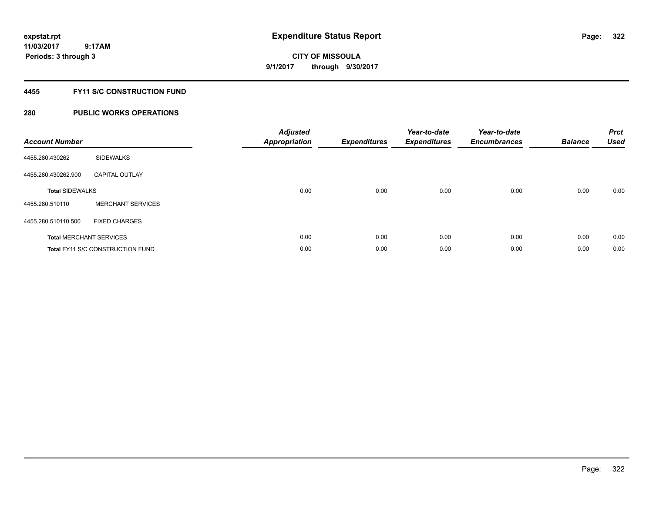# **CITY OF MISSOULA 9/1/2017 through 9/30/2017**

## **4455 FY11 S/C CONSTRUCTION FUND**

# **280 PUBLIC WORKS OPERATIONS**

| <b>Account Number</b>          |                                         | <b>Adjusted</b><br><b>Appropriation</b> | <b>Expenditures</b> | Year-to-date<br><b>Expenditures</b> | Year-to-date<br><b>Encumbrances</b> | <b>Balance</b> | <b>Prct</b><br><b>Used</b> |
|--------------------------------|-----------------------------------------|-----------------------------------------|---------------------|-------------------------------------|-------------------------------------|----------------|----------------------------|
| 4455.280.430262                | <b>SIDEWALKS</b>                        |                                         |                     |                                     |                                     |                |                            |
| 4455.280.430262.900            | <b>CAPITAL OUTLAY</b>                   |                                         |                     |                                     |                                     |                |                            |
| <b>Total SIDEWALKS</b>         |                                         | 0.00                                    | 0.00                | 0.00                                | 0.00                                | 0.00           | 0.00                       |
| 4455.280.510110                | <b>MERCHANT SERVICES</b>                |                                         |                     |                                     |                                     |                |                            |
| 4455.280.510110.500            | <b>FIXED CHARGES</b>                    |                                         |                     |                                     |                                     |                |                            |
| <b>Total MERCHANT SERVICES</b> |                                         | 0.00                                    | 0.00                | 0.00                                | 0.00                                | 0.00           | 0.00                       |
|                                | <b>Total FY11 S/C CONSTRUCTION FUND</b> | 0.00                                    | 0.00                | 0.00                                | 0.00                                | 0.00           | 0.00                       |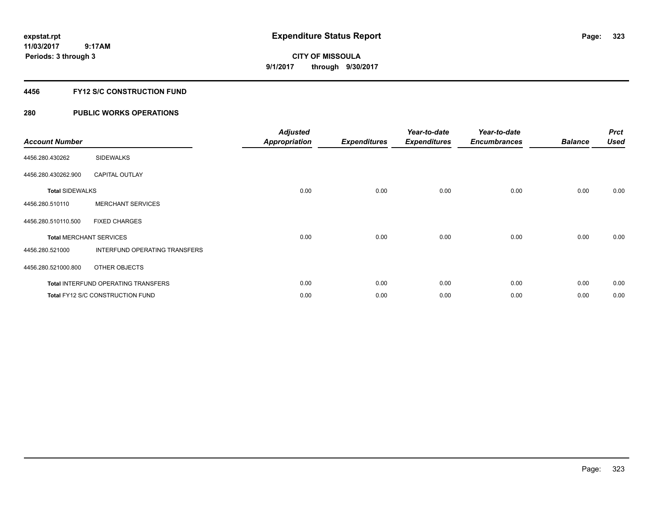**Periods: 3 through 3**

**CITY OF MISSOULA 9/1/2017 through 9/30/2017**

### **4456 FY12 S/C CONSTRUCTION FUND**

# **280 PUBLIC WORKS OPERATIONS**

 **9:17AM**

| <b>Account Number</b>          |                                            | <b>Adjusted</b><br>Appropriation | <b>Expenditures</b> | Year-to-date<br><b>Expenditures</b> | Year-to-date<br><b>Encumbrances</b> | <b>Balance</b> | <b>Prct</b><br><b>Used</b> |
|--------------------------------|--------------------------------------------|----------------------------------|---------------------|-------------------------------------|-------------------------------------|----------------|----------------------------|
| 4456.280.430262                | <b>SIDEWALKS</b>                           |                                  |                     |                                     |                                     |                |                            |
| 4456.280.430262.900            | <b>CAPITAL OUTLAY</b>                      |                                  |                     |                                     |                                     |                |                            |
| <b>Total SIDEWALKS</b>         |                                            | 0.00                             | 0.00                | 0.00                                | 0.00                                | 0.00           | 0.00                       |
| 4456.280.510110                | <b>MERCHANT SERVICES</b>                   |                                  |                     |                                     |                                     |                |                            |
| 4456.280.510110.500            | <b>FIXED CHARGES</b>                       |                                  |                     |                                     |                                     |                |                            |
| <b>Total MERCHANT SERVICES</b> |                                            | 0.00                             | 0.00                | 0.00                                | 0.00                                | 0.00           | 0.00                       |
| 4456.280.521000                | INTERFUND OPERATING TRANSFERS              |                                  |                     |                                     |                                     |                |                            |
| 4456.280.521000.800            | OTHER OBJECTS                              |                                  |                     |                                     |                                     |                |                            |
|                                | <b>Total INTERFUND OPERATING TRANSFERS</b> | 0.00                             | 0.00                | 0.00                                | 0.00                                | 0.00           | 0.00                       |
|                                | <b>Total FY12 S/C CONSTRUCTION FUND</b>    | 0.00                             | 0.00                | 0.00                                | 0.00                                | 0.00           | 0.00                       |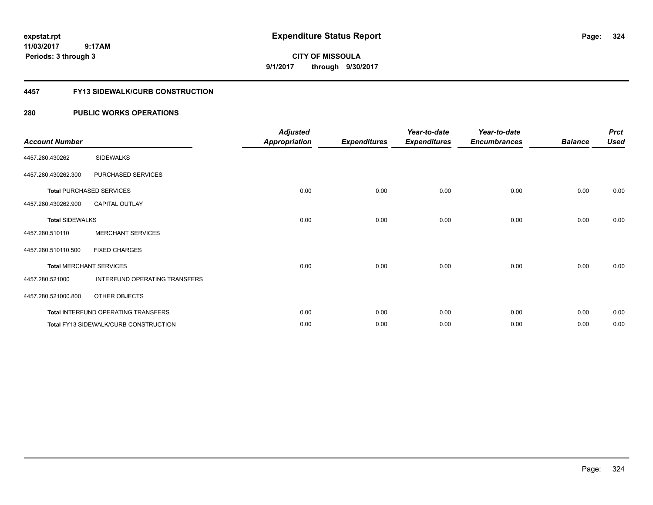**CITY OF MISSOULA 9/1/2017 through 9/30/2017**

### **4457 FY13 SIDEWALK/CURB CONSTRUCTION**

# **280 PUBLIC WORKS OPERATIONS**

| <b>Account Number</b>  |                                              | <b>Adjusted</b><br><b>Appropriation</b> | <b>Expenditures</b> | Year-to-date<br><b>Expenditures</b> | Year-to-date<br><b>Encumbrances</b> | <b>Balance</b> | <b>Prct</b><br><b>Used</b> |
|------------------------|----------------------------------------------|-----------------------------------------|---------------------|-------------------------------------|-------------------------------------|----------------|----------------------------|
| 4457.280.430262        | <b>SIDEWALKS</b>                             |                                         |                     |                                     |                                     |                |                            |
| 4457.280.430262.300    | PURCHASED SERVICES                           |                                         |                     |                                     |                                     |                |                            |
|                        | <b>Total PURCHASED SERVICES</b>              | 0.00                                    | 0.00                | 0.00                                | 0.00                                | 0.00           | 0.00                       |
| 4457.280.430262.900    | <b>CAPITAL OUTLAY</b>                        |                                         |                     |                                     |                                     |                |                            |
| <b>Total SIDEWALKS</b> |                                              | 0.00                                    | 0.00                | 0.00                                | 0.00                                | 0.00           | 0.00                       |
| 4457.280.510110        | <b>MERCHANT SERVICES</b>                     |                                         |                     |                                     |                                     |                |                            |
| 4457.280.510110.500    | <b>FIXED CHARGES</b>                         |                                         |                     |                                     |                                     |                |                            |
|                        | <b>Total MERCHANT SERVICES</b>               | 0.00                                    | 0.00                | 0.00                                | 0.00                                | 0.00           | 0.00                       |
| 4457.280.521000        | INTERFUND OPERATING TRANSFERS                |                                         |                     |                                     |                                     |                |                            |
| 4457.280.521000.800    | OTHER OBJECTS                                |                                         |                     |                                     |                                     |                |                            |
|                        | Total INTERFUND OPERATING TRANSFERS          | 0.00                                    | 0.00                | 0.00                                | 0.00                                | 0.00           | 0.00                       |
|                        | <b>Total FY13 SIDEWALK/CURB CONSTRUCTION</b> | 0.00                                    | 0.00                | 0.00                                | 0.00                                | 0.00           | 0.00                       |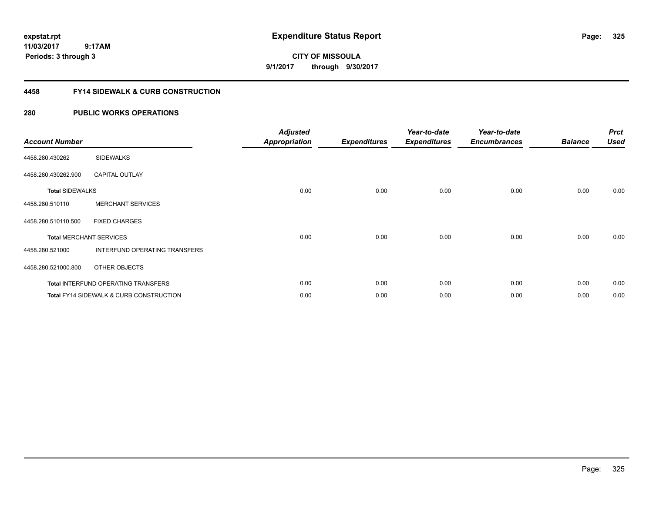**CITY OF MISSOULA 9/1/2017 through 9/30/2017**

## **4458 FY14 SIDEWALK & CURB CONSTRUCTION**

| <b>Account Number</b>  |                                                    | <b>Adjusted</b><br><b>Appropriation</b> | <b>Expenditures</b> | Year-to-date<br><b>Expenditures</b> | Year-to-date<br><b>Encumbrances</b> | <b>Balance</b> | <b>Prct</b><br><b>Used</b> |
|------------------------|----------------------------------------------------|-----------------------------------------|---------------------|-------------------------------------|-------------------------------------|----------------|----------------------------|
| 4458.280.430262        | <b>SIDEWALKS</b>                                   |                                         |                     |                                     |                                     |                |                            |
| 4458.280.430262.900    | <b>CAPITAL OUTLAY</b>                              |                                         |                     |                                     |                                     |                |                            |
| <b>Total SIDEWALKS</b> |                                                    | 0.00                                    | 0.00                | 0.00                                | 0.00                                | 0.00           | 0.00                       |
| 4458.280.510110        | <b>MERCHANT SERVICES</b>                           |                                         |                     |                                     |                                     |                |                            |
| 4458.280.510110.500    | <b>FIXED CHARGES</b>                               |                                         |                     |                                     |                                     |                |                            |
|                        | <b>Total MERCHANT SERVICES</b>                     | 0.00                                    | 0.00                | 0.00                                | 0.00                                | 0.00           | 0.00                       |
| 4458.280.521000        | INTERFUND OPERATING TRANSFERS                      |                                         |                     |                                     |                                     |                |                            |
| 4458.280.521000.800    | OTHER OBJECTS                                      |                                         |                     |                                     |                                     |                |                            |
|                        | <b>Total INTERFUND OPERATING TRANSFERS</b>         | 0.00                                    | 0.00                | 0.00                                | 0.00                                | 0.00           | 0.00                       |
|                        | <b>Total FY14 SIDEWALK &amp; CURB CONSTRUCTION</b> | 0.00                                    | 0.00                | 0.00                                | 0.00                                | 0.00           | 0.00                       |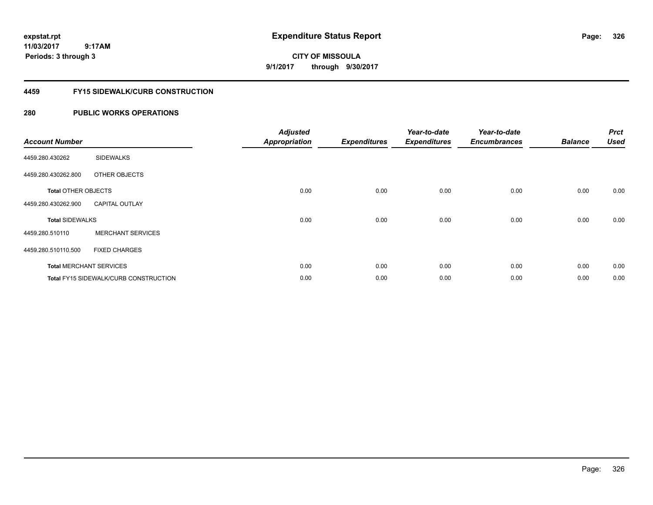**CITY OF MISSOULA 9/1/2017 through 9/30/2017**

## **4459 FY15 SIDEWALK/CURB CONSTRUCTION**

| <b>Account Number</b>      |                                       | <b>Adjusted</b><br><b>Appropriation</b> | <b>Expenditures</b> | Year-to-date<br><b>Expenditures</b> | Year-to-date<br><b>Encumbrances</b> | <b>Balance</b> | <b>Prct</b><br><b>Used</b> |
|----------------------------|---------------------------------------|-----------------------------------------|---------------------|-------------------------------------|-------------------------------------|----------------|----------------------------|
| 4459.280.430262            | <b>SIDEWALKS</b>                      |                                         |                     |                                     |                                     |                |                            |
| 4459.280.430262.800        | OTHER OBJECTS                         |                                         |                     |                                     |                                     |                |                            |
| <b>Total OTHER OBJECTS</b> |                                       | 0.00                                    | 0.00                | 0.00                                | 0.00                                | 0.00           | 0.00                       |
| 4459.280.430262.900        | <b>CAPITAL OUTLAY</b>                 |                                         |                     |                                     |                                     |                |                            |
| <b>Total SIDEWALKS</b>     |                                       | 0.00                                    | 0.00                | 0.00                                | 0.00                                | 0.00           | 0.00                       |
| 4459.280.510110            | <b>MERCHANT SERVICES</b>              |                                         |                     |                                     |                                     |                |                            |
| 4459.280.510110.500        | <b>FIXED CHARGES</b>                  |                                         |                     |                                     |                                     |                |                            |
|                            | <b>Total MERCHANT SERVICES</b>        | 0.00                                    | 0.00                | 0.00                                | 0.00                                | 0.00           | 0.00                       |
|                            | Total FY15 SIDEWALK/CURB CONSTRUCTION | 0.00                                    | 0.00                | 0.00                                | 0.00                                | 0.00           | 0.00                       |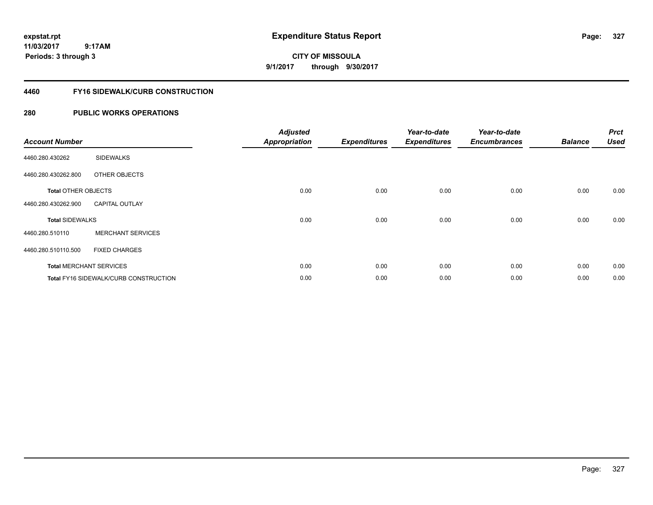# **CITY OF MISSOULA 9/1/2017 through 9/30/2017**

## **4460 FY16 SIDEWALK/CURB CONSTRUCTION**

| <b>Account Number</b>      |                                       | <b>Adjusted</b><br><b>Appropriation</b> | <b>Expenditures</b> | Year-to-date<br><b>Expenditures</b> | Year-to-date<br><b>Encumbrances</b> | <b>Balance</b> | <b>Prct</b><br><b>Used</b> |
|----------------------------|---------------------------------------|-----------------------------------------|---------------------|-------------------------------------|-------------------------------------|----------------|----------------------------|
| 4460.280.430262            | <b>SIDEWALKS</b>                      |                                         |                     |                                     |                                     |                |                            |
| 4460.280.430262.800        | OTHER OBJECTS                         |                                         |                     |                                     |                                     |                |                            |
| <b>Total OTHER OBJECTS</b> |                                       | 0.00                                    | 0.00                | 0.00                                | 0.00                                | 0.00           | 0.00                       |
| 4460.280.430262.900        | <b>CAPITAL OUTLAY</b>                 |                                         |                     |                                     |                                     |                |                            |
| <b>Total SIDEWALKS</b>     |                                       | 0.00                                    | 0.00                | 0.00                                | 0.00                                | 0.00           | 0.00                       |
| 4460.280.510110            | <b>MERCHANT SERVICES</b>              |                                         |                     |                                     |                                     |                |                            |
| 4460.280.510110.500        | <b>FIXED CHARGES</b>                  |                                         |                     |                                     |                                     |                |                            |
|                            | <b>Total MERCHANT SERVICES</b>        | 0.00                                    | 0.00                | 0.00                                | 0.00                                | 0.00           | 0.00                       |
|                            | Total FY16 SIDEWALK/CURB CONSTRUCTION | 0.00                                    | 0.00                | 0.00                                | 0.00                                | 0.00           | 0.00                       |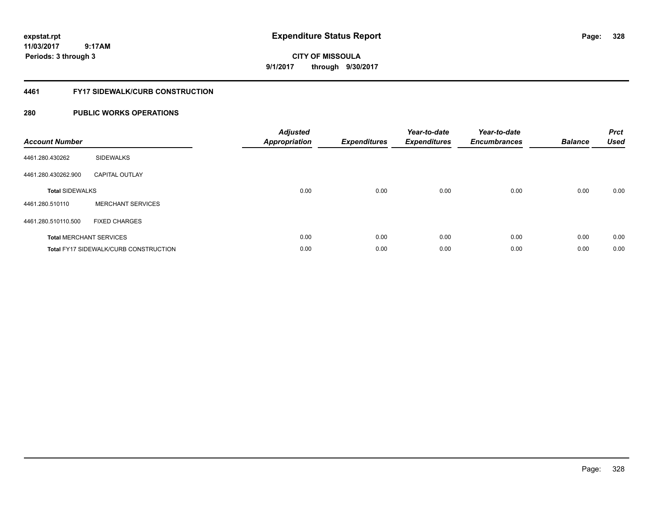# **CITY OF MISSOULA 9/1/2017 through 9/30/2017**

## **4461 FY17 SIDEWALK/CURB CONSTRUCTION**

| <b>Account Number</b>          |                                              | <b>Adjusted</b><br><b>Appropriation</b> | <b>Expenditures</b> | Year-to-date<br><b>Expenditures</b> | Year-to-date<br><b>Encumbrances</b> | <b>Balance</b> | <b>Prct</b><br><b>Used</b> |
|--------------------------------|----------------------------------------------|-----------------------------------------|---------------------|-------------------------------------|-------------------------------------|----------------|----------------------------|
| 4461.280.430262                | <b>SIDEWALKS</b>                             |                                         |                     |                                     |                                     |                |                            |
| 4461.280.430262.900            | <b>CAPITAL OUTLAY</b>                        |                                         |                     |                                     |                                     |                |                            |
| <b>Total SIDEWALKS</b>         |                                              | 0.00                                    | 0.00                | 0.00                                | 0.00                                | 0.00           | 0.00                       |
| 4461.280.510110                | <b>MERCHANT SERVICES</b>                     |                                         |                     |                                     |                                     |                |                            |
| 4461.280.510110.500            | <b>FIXED CHARGES</b>                         |                                         |                     |                                     |                                     |                |                            |
| <b>Total MERCHANT SERVICES</b> |                                              | 0.00                                    | 0.00                | 0.00                                | 0.00                                | 0.00           | 0.00                       |
|                                | <b>Total FY17 SIDEWALK/CURB CONSTRUCTION</b> | 0.00                                    | 0.00                | 0.00                                | 0.00                                | 0.00           | 0.00                       |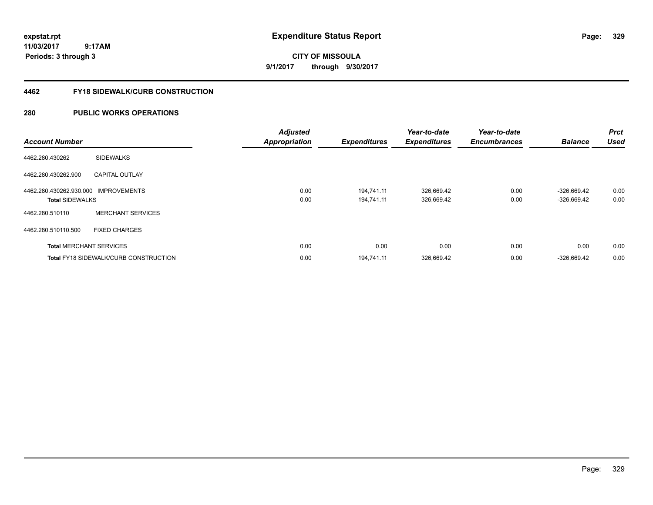# **CITY OF MISSOULA 9/1/2017 through 9/30/2017**

## **4462 FY18 SIDEWALK/CURB CONSTRUCTION**

| <b>Account Number</b>                                          |                                              | <b>Adjusted</b><br><b>Appropriation</b> | <b>Expenditures</b>      | Year-to-date<br><b>Expenditures</b> | Year-to-date<br><b>Encumbrances</b> | <b>Balance</b>                 | <b>Prct</b><br><b>Used</b> |
|----------------------------------------------------------------|----------------------------------------------|-----------------------------------------|--------------------------|-------------------------------------|-------------------------------------|--------------------------------|----------------------------|
| 4462.280.430262                                                | <b>SIDEWALKS</b>                             |                                         |                          |                                     |                                     |                                |                            |
| 4462.280.430262.900                                            | <b>CAPITAL OUTLAY</b>                        |                                         |                          |                                     |                                     |                                |                            |
| 4462.280.430262.930.000 IMPROVEMENTS<br><b>Total SIDEWALKS</b> |                                              | 0.00<br>0.00                            | 194.741.11<br>194.741.11 | 326,669.42<br>326,669.42            | 0.00<br>0.00                        | $-326,669.42$<br>$-326,669.42$ | 0.00<br>0.00               |
| 4462.280.510110                                                | <b>MERCHANT SERVICES</b>                     |                                         |                          |                                     |                                     |                                |                            |
| 4462.280.510110.500                                            | <b>FIXED CHARGES</b>                         |                                         |                          |                                     |                                     |                                |                            |
|                                                                | <b>Total MERCHANT SERVICES</b>               | 0.00                                    | 0.00                     | 0.00                                | 0.00                                | 0.00                           | 0.00                       |
|                                                                | <b>Total FY18 SIDEWALK/CURB CONSTRUCTION</b> | 0.00                                    | 194,741.11               | 326,669.42                          | 0.00                                | $-326,669.42$                  | 0.00                       |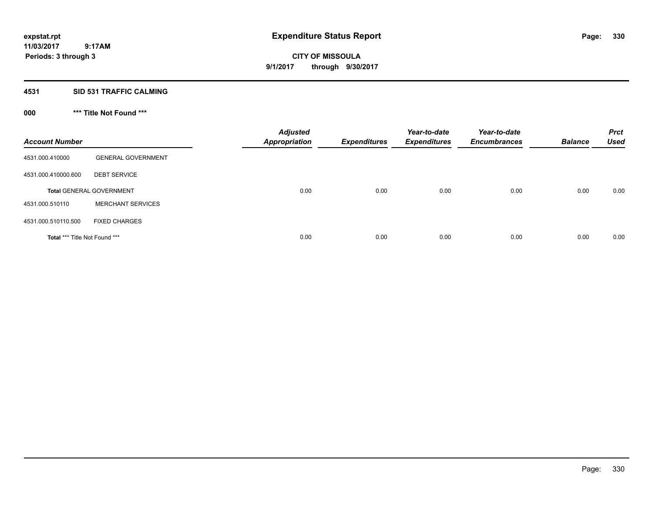**CITY OF MISSOULA 9/1/2017 through 9/30/2017**

## **4531 SID 531 TRAFFIC CALMING**

# **000 \*\*\* Title Not Found \*\*\***

| <b>Account Number</b>         |                                 | <b>Adjusted</b><br>Appropriation | <b>Expenditures</b> | Year-to-date<br><b>Expenditures</b> | Year-to-date<br><b>Encumbrances</b> | <b>Balance</b> | <b>Prct</b><br><b>Used</b> |
|-------------------------------|---------------------------------|----------------------------------|---------------------|-------------------------------------|-------------------------------------|----------------|----------------------------|
| 4531.000.410000               | <b>GENERAL GOVERNMENT</b>       |                                  |                     |                                     |                                     |                |                            |
| 4531.000.410000.600           | <b>DEBT SERVICE</b>             |                                  |                     |                                     |                                     |                |                            |
|                               | <b>Total GENERAL GOVERNMENT</b> | 0.00                             | 0.00                | 0.00                                | 0.00                                | 0.00           | 0.00                       |
| 4531.000.510110               | <b>MERCHANT SERVICES</b>        |                                  |                     |                                     |                                     |                |                            |
| 4531.000.510110.500           | <b>FIXED CHARGES</b>            |                                  |                     |                                     |                                     |                |                            |
| Total *** Title Not Found *** |                                 | 0.00                             | 0.00                | 0.00                                | 0.00                                | 0.00           | 0.00                       |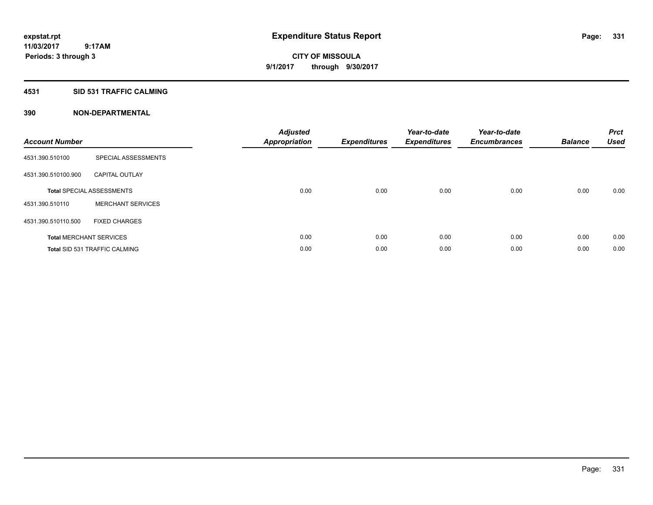# **CITY OF MISSOULA 9/1/2017 through 9/30/2017**

## **4531 SID 531 TRAFFIC CALMING**

| <b>Account Number</b> |                                      | <b>Adjusted</b><br>Appropriation | <b>Expenditures</b> | Year-to-date<br><b>Expenditures</b> | Year-to-date<br><b>Encumbrances</b> | <b>Balance</b> | <b>Prct</b><br><b>Used</b> |
|-----------------------|--------------------------------------|----------------------------------|---------------------|-------------------------------------|-------------------------------------|----------------|----------------------------|
| 4531.390.510100       | SPECIAL ASSESSMENTS                  |                                  |                     |                                     |                                     |                |                            |
| 4531.390.510100.900   | <b>CAPITAL OUTLAY</b>                |                                  |                     |                                     |                                     |                |                            |
|                       | <b>Total SPECIAL ASSESSMENTS</b>     | 0.00                             | 0.00                | 0.00                                | 0.00                                | 0.00           | 0.00                       |
| 4531.390.510110       | <b>MERCHANT SERVICES</b>             |                                  |                     |                                     |                                     |                |                            |
| 4531.390.510110.500   | <b>FIXED CHARGES</b>                 |                                  |                     |                                     |                                     |                |                            |
|                       | <b>Total MERCHANT SERVICES</b>       | 0.00                             | 0.00                | 0.00                                | 0.00                                | 0.00           | 0.00                       |
|                       | <b>Total SID 531 TRAFFIC CALMING</b> | 0.00                             | 0.00                | 0.00                                | 0.00                                | 0.00           | 0.00                       |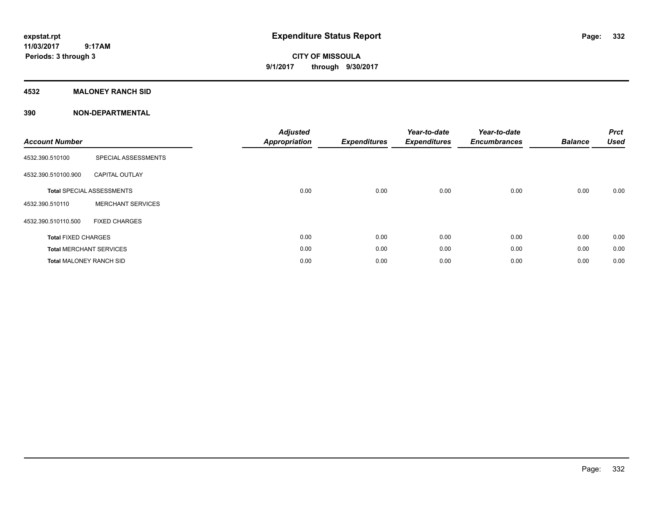**CITY OF MISSOULA 9/1/2017 through 9/30/2017**

## **4532 MALONEY RANCH SID**

| <b>Account Number</b>          |                                  | <b>Adjusted</b><br><b>Appropriation</b> | <b>Expenditures</b> | Year-to-date<br><b>Expenditures</b> | Year-to-date<br><b>Encumbrances</b> | <b>Balance</b> | <b>Prct</b><br><b>Used</b> |
|--------------------------------|----------------------------------|-----------------------------------------|---------------------|-------------------------------------|-------------------------------------|----------------|----------------------------|
| 4532.390.510100                | SPECIAL ASSESSMENTS              |                                         |                     |                                     |                                     |                |                            |
| 4532.390.510100.900            | <b>CAPITAL OUTLAY</b>            |                                         |                     |                                     |                                     |                |                            |
|                                | <b>Total SPECIAL ASSESSMENTS</b> | 0.00                                    | 0.00                | 0.00                                | 0.00                                | 0.00           | 0.00                       |
| 4532.390.510110                | <b>MERCHANT SERVICES</b>         |                                         |                     |                                     |                                     |                |                            |
| 4532.390.510110.500            | <b>FIXED CHARGES</b>             |                                         |                     |                                     |                                     |                |                            |
| <b>Total FIXED CHARGES</b>     |                                  | 0.00                                    | 0.00                | 0.00                                | 0.00                                | 0.00           | 0.00                       |
|                                | <b>Total MERCHANT SERVICES</b>   | 0.00                                    | 0.00                | 0.00                                | 0.00                                | 0.00           | 0.00                       |
| <b>Total MALONEY RANCH SID</b> |                                  | 0.00                                    | 0.00                | 0.00                                | 0.00                                | 0.00           | 0.00                       |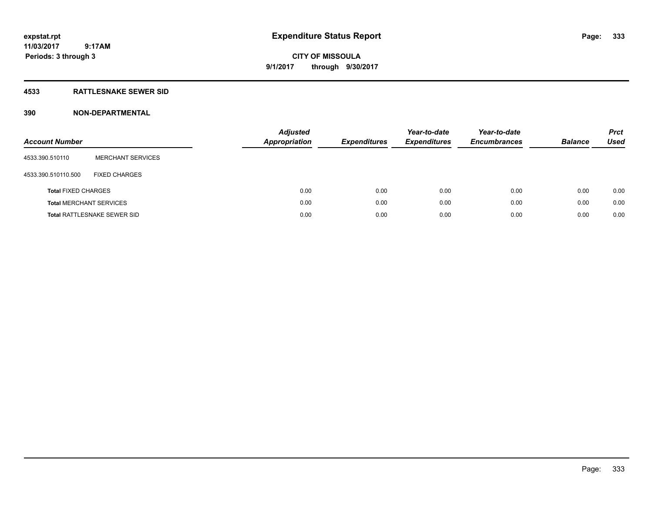**CITY OF MISSOULA 9/1/2017 through 9/30/2017**

## **4533 RATTLESNAKE SEWER SID**

| <b>Account Number</b>          |                                    | <b>Adjusted</b><br>Appropriation | <b>Expenditures</b> | Year-to-date<br><b>Expenditures</b> | Year-to-date<br><b>Encumbrances</b> | <b>Balance</b> | <b>Prct</b><br><b>Used</b> |
|--------------------------------|------------------------------------|----------------------------------|---------------------|-------------------------------------|-------------------------------------|----------------|----------------------------|
| 4533.390.510110                | <b>MERCHANT SERVICES</b>           |                                  |                     |                                     |                                     |                |                            |
| 4533.390.510110.500            | <b>FIXED CHARGES</b>               |                                  |                     |                                     |                                     |                |                            |
| <b>Total FIXED CHARGES</b>     |                                    | 0.00                             | 0.00                | 0.00                                | 0.00                                | 0.00           | 0.00                       |
| <b>Total MERCHANT SERVICES</b> |                                    | 0.00                             | 0.00                | 0.00                                | 0.00                                | 0.00           | 0.00                       |
|                                | <b>Total RATTLESNAKE SEWER SID</b> | 0.00                             | 0.00                | 0.00                                | 0.00                                | 0.00           | 0.00                       |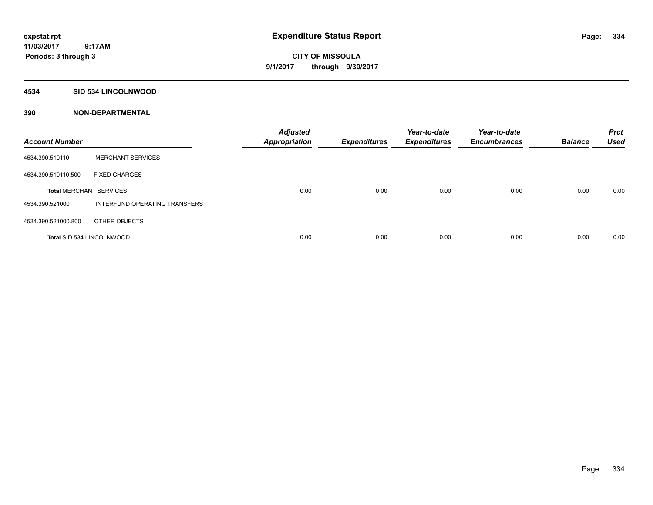**CITY OF MISSOULA 9/1/2017 through 9/30/2017**

### **4534 SID 534 LINCOLNWOOD**

| <b>Account Number</b>            |                               | <b>Adjusted</b><br><b>Appropriation</b> | <b>Expenditures</b> | Year-to-date<br><b>Expenditures</b> | Year-to-date<br><b>Encumbrances</b> | <b>Balance</b> | <b>Prct</b><br><b>Used</b> |
|----------------------------------|-------------------------------|-----------------------------------------|---------------------|-------------------------------------|-------------------------------------|----------------|----------------------------|
| 4534.390.510110                  | <b>MERCHANT SERVICES</b>      |                                         |                     |                                     |                                     |                |                            |
| 4534.390.510110.500              | <b>FIXED CHARGES</b>          |                                         |                     |                                     |                                     |                |                            |
| <b>Total MERCHANT SERVICES</b>   |                               | 0.00                                    | 0.00                | 0.00                                | 0.00                                | 0.00           | 0.00                       |
| 4534.390.521000                  | INTERFUND OPERATING TRANSFERS |                                         |                     |                                     |                                     |                |                            |
| 4534.390.521000.800              | OTHER OBJECTS                 |                                         |                     |                                     |                                     |                |                            |
| <b>Total SID 534 LINCOLNWOOD</b> |                               | 0.00                                    | 0.00                | 0.00                                | 0.00                                | 0.00           | 0.00                       |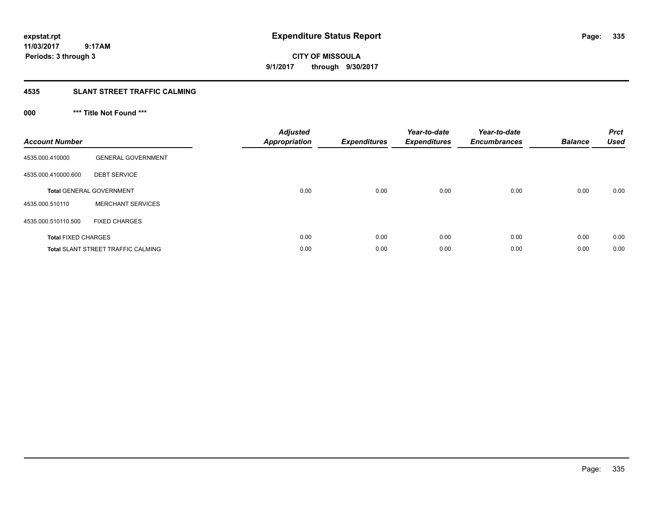**CITY OF MISSOULA 9/1/2017 through 9/30/2017**

## **4535 SLANT STREET TRAFFIC CALMING**

# **000 \*\*\* Title Not Found \*\*\***

| <b>Account Number</b>      |                                           | <b>Adjusted</b><br>Appropriation | <b>Expenditures</b> | Year-to-date<br><b>Expenditures</b> | Year-to-date<br><b>Encumbrances</b> | <b>Balance</b> | <b>Prct</b><br><b>Used</b> |
|----------------------------|-------------------------------------------|----------------------------------|---------------------|-------------------------------------|-------------------------------------|----------------|----------------------------|
| 4535.000.410000            | <b>GENERAL GOVERNMENT</b>                 |                                  |                     |                                     |                                     |                |                            |
| 4535.000.410000.600        | <b>DEBT SERVICE</b>                       |                                  |                     |                                     |                                     |                |                            |
|                            | <b>Total GENERAL GOVERNMENT</b>           | 0.00                             | 0.00                | 0.00                                | 0.00                                | 0.00           | 0.00                       |
| 4535.000.510110            | <b>MERCHANT SERVICES</b>                  |                                  |                     |                                     |                                     |                |                            |
| 4535.000.510110.500        | <b>FIXED CHARGES</b>                      |                                  |                     |                                     |                                     |                |                            |
| <b>Total FIXED CHARGES</b> |                                           | 0.00                             | 0.00                | 0.00                                | 0.00                                | 0.00           | 0.00                       |
|                            | <b>Total SLANT STREET TRAFFIC CALMING</b> | 0.00                             | 0.00                | 0.00                                | 0.00                                | 0.00           | 0.00                       |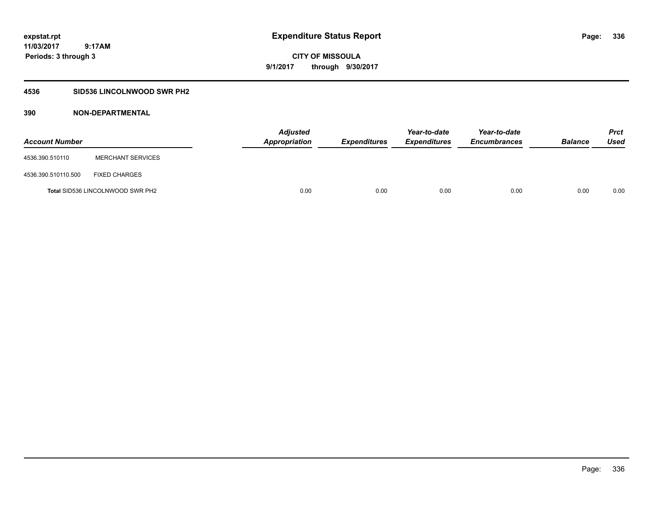**Periods: 3 through 3**

**CITY OF MISSOULA 9/1/2017 through 9/30/2017**

## **4536 SID536 LINCOLNWOOD SWR PH2**

 **9:17AM**

| <b>Account Number</b> |                                         | <b>Adjusted</b><br>Appropriation | <b>Expenditures</b> | Year-to-date<br><i><b>Expenditures</b></i> | Year-to-date<br><b>Encumbrances</b> | <b>Balance</b> | <b>Prct</b><br>Used |
|-----------------------|-----------------------------------------|----------------------------------|---------------------|--------------------------------------------|-------------------------------------|----------------|---------------------|
| 4536.390.510110       | <b>MERCHANT SERVICES</b>                |                                  |                     |                                            |                                     |                |                     |
| 4536.390.510110.500   | <b>FIXED CHARGES</b>                    |                                  |                     |                                            |                                     |                |                     |
|                       | <b>Total SID536 LINCOLNWOOD SWR PH2</b> | 0.00                             | 0.00                | 0.00                                       | 0.00                                | 0.00           | 0.00                |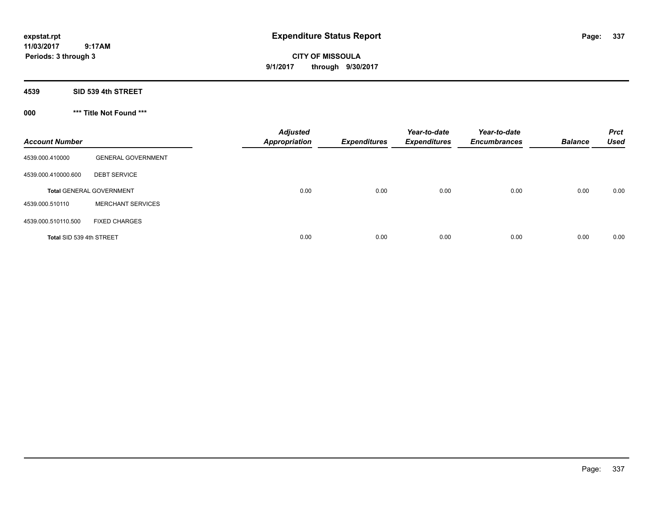**CITY OF MISSOULA 9/1/2017 through 9/30/2017**

**4539 SID 539 4th STREET**

**000 \*\*\* Title Not Found \*\*\***

| <b>Account Number</b>    |                                 | <b>Adjusted</b><br><b>Appropriation</b> | <b>Expenditures</b> | Year-to-date<br><b>Expenditures</b> | Year-to-date<br><b>Encumbrances</b> | <b>Balance</b> | <b>Prct</b><br><b>Used</b> |
|--------------------------|---------------------------------|-----------------------------------------|---------------------|-------------------------------------|-------------------------------------|----------------|----------------------------|
| 4539.000.410000          | <b>GENERAL GOVERNMENT</b>       |                                         |                     |                                     |                                     |                |                            |
| 4539.000.410000.600      | <b>DEBT SERVICE</b>             |                                         |                     |                                     |                                     |                |                            |
|                          | <b>Total GENERAL GOVERNMENT</b> | 0.00                                    | 0.00                | 0.00                                | 0.00                                | 0.00           | 0.00                       |
| 4539.000.510110          | <b>MERCHANT SERVICES</b>        |                                         |                     |                                     |                                     |                |                            |
| 4539.000.510110.500      | <b>FIXED CHARGES</b>            |                                         |                     |                                     |                                     |                |                            |
| Total SID 539 4th STREET |                                 | 0.00                                    | 0.00                | 0.00                                | 0.00                                | 0.00           | 0.00                       |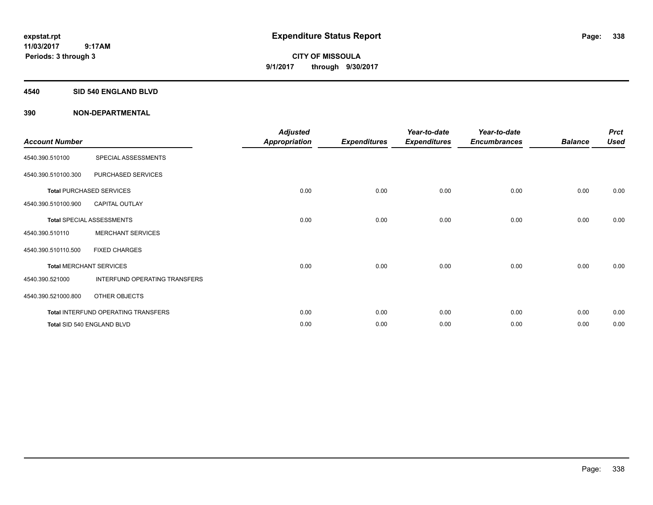**CITY OF MISSOULA 9/1/2017 through 9/30/2017**

### **4540 SID 540 ENGLAND BLVD**

| <b>Account Number</b> |                                     | <b>Adjusted</b><br><b>Appropriation</b> | <b>Expenditures</b> | Year-to-date<br><b>Expenditures</b> | Year-to-date<br><b>Encumbrances</b> | <b>Balance</b> | <b>Prct</b><br><b>Used</b> |
|-----------------------|-------------------------------------|-----------------------------------------|---------------------|-------------------------------------|-------------------------------------|----------------|----------------------------|
| 4540.390.510100       | SPECIAL ASSESSMENTS                 |                                         |                     |                                     |                                     |                |                            |
| 4540.390.510100.300   | PURCHASED SERVICES                  |                                         |                     |                                     |                                     |                |                            |
|                       | <b>Total PURCHASED SERVICES</b>     | 0.00                                    | 0.00                | 0.00                                | 0.00                                | 0.00           | 0.00                       |
| 4540.390.510100.900   | <b>CAPITAL OUTLAY</b>               |                                         |                     |                                     |                                     |                |                            |
|                       | Total SPECIAL ASSESSMENTS           | 0.00                                    | 0.00                | 0.00                                | 0.00                                | 0.00           | 0.00                       |
| 4540.390.510110       | <b>MERCHANT SERVICES</b>            |                                         |                     |                                     |                                     |                |                            |
| 4540.390.510110.500   | <b>FIXED CHARGES</b>                |                                         |                     |                                     |                                     |                |                            |
|                       | <b>Total MERCHANT SERVICES</b>      | 0.00                                    | 0.00                | 0.00                                | 0.00                                | 0.00           | 0.00                       |
| 4540.390.521000       | INTERFUND OPERATING TRANSFERS       |                                         |                     |                                     |                                     |                |                            |
| 4540.390.521000.800   | OTHER OBJECTS                       |                                         |                     |                                     |                                     |                |                            |
|                       | Total INTERFUND OPERATING TRANSFERS | 0.00                                    | 0.00                | 0.00                                | 0.00                                | 0.00           | 0.00                       |
|                       | Total SID 540 ENGLAND BLVD          | 0.00                                    | 0.00                | 0.00                                | 0.00                                | 0.00           | 0.00                       |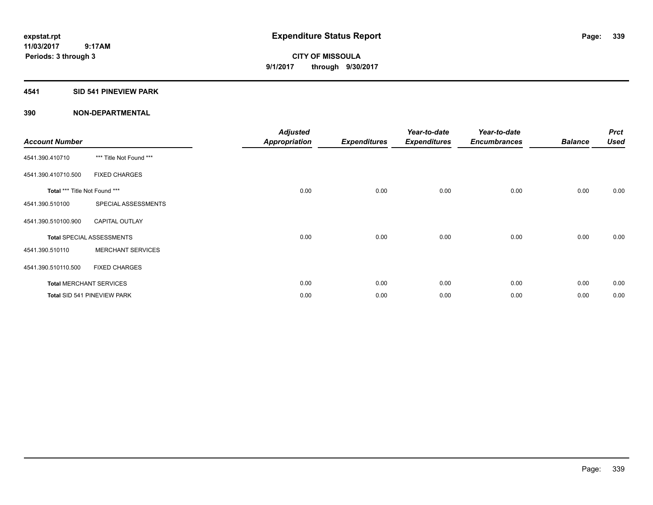**Periods: 3 through 3**

**CITY OF MISSOULA 9/1/2017 through 9/30/2017**

## **4541 SID 541 PINEVIEW PARK**

| <b>Account Number</b>         |                                  | <b>Adjusted</b><br><b>Appropriation</b> | <b>Expenditures</b> | Year-to-date<br><b>Expenditures</b> | Year-to-date<br><b>Encumbrances</b> | <b>Balance</b> | <b>Prct</b><br><b>Used</b> |
|-------------------------------|----------------------------------|-----------------------------------------|---------------------|-------------------------------------|-------------------------------------|----------------|----------------------------|
| 4541.390.410710               | *** Title Not Found ***          |                                         |                     |                                     |                                     |                |                            |
| 4541.390.410710.500           | <b>FIXED CHARGES</b>             |                                         |                     |                                     |                                     |                |                            |
| Total *** Title Not Found *** |                                  | 0.00                                    | 0.00                | 0.00                                | 0.00                                | 0.00           | 0.00                       |
| 4541.390.510100               | SPECIAL ASSESSMENTS              |                                         |                     |                                     |                                     |                |                            |
| 4541.390.510100.900           | <b>CAPITAL OUTLAY</b>            |                                         |                     |                                     |                                     |                |                            |
|                               | <b>Total SPECIAL ASSESSMENTS</b> | 0.00                                    | 0.00                | 0.00                                | 0.00                                | 0.00           | 0.00                       |
| 4541.390.510110               | <b>MERCHANT SERVICES</b>         |                                         |                     |                                     |                                     |                |                            |
| 4541.390.510110.500           | <b>FIXED CHARGES</b>             |                                         |                     |                                     |                                     |                |                            |
|                               | <b>Total MERCHANT SERVICES</b>   | 0.00                                    | 0.00                | 0.00                                | 0.00                                | 0.00           | 0.00                       |
|                               | Total SID 541 PINEVIEW PARK      | 0.00                                    | 0.00                | 0.00                                | 0.00                                | 0.00           | 0.00                       |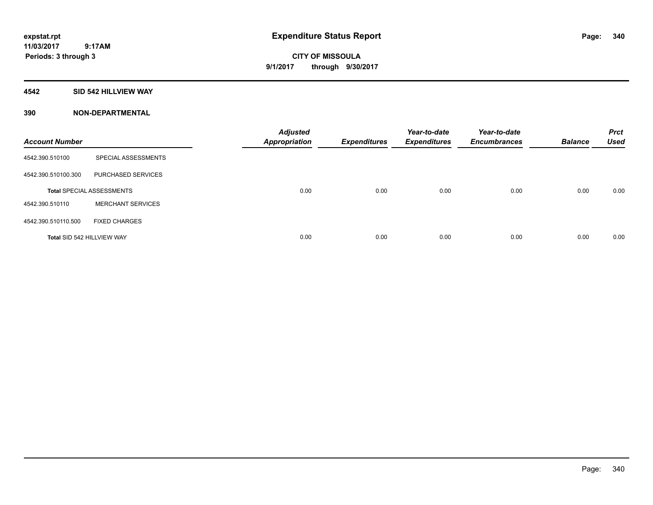**CITY OF MISSOULA 9/1/2017 through 9/30/2017**

### **4542 SID 542 HILLVIEW WAY**

| <b>Account Number</b>      |                                  | <b>Adjusted</b><br><b>Appropriation</b> | <b>Expenditures</b> | Year-to-date<br><b>Expenditures</b> | Year-to-date<br><b>Encumbrances</b> | <b>Balance</b> | <b>Prct</b><br><b>Used</b> |
|----------------------------|----------------------------------|-----------------------------------------|---------------------|-------------------------------------|-------------------------------------|----------------|----------------------------|
| 4542.390.510100            | SPECIAL ASSESSMENTS              |                                         |                     |                                     |                                     |                |                            |
| 4542.390.510100.300        | PURCHASED SERVICES               |                                         |                     |                                     |                                     |                |                            |
|                            | <b>Total SPECIAL ASSESSMENTS</b> | 0.00                                    | 0.00                | 0.00                                | 0.00                                | 0.00           | 0.00                       |
| 4542.390.510110            | <b>MERCHANT SERVICES</b>         |                                         |                     |                                     |                                     |                |                            |
| 4542.390.510110.500        | <b>FIXED CHARGES</b>             |                                         |                     |                                     |                                     |                |                            |
| Total SID 542 HILLVIEW WAY |                                  | 0.00                                    | 0.00                | 0.00                                | 0.00                                | 0.00           | 0.00                       |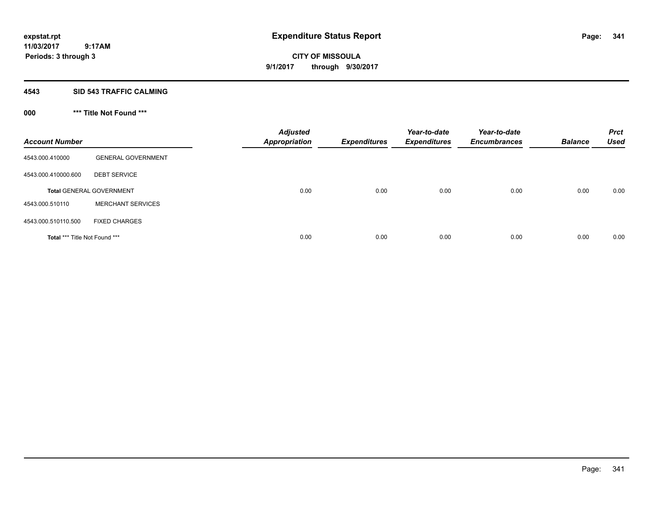**CITY OF MISSOULA 9/1/2017 through 9/30/2017**

### **4543 SID 543 TRAFFIC CALMING**

# **000 \*\*\* Title Not Found \*\*\***

| <b>Account Number</b>         |                                 | <b>Adjusted</b><br><b>Appropriation</b> | <b>Expenditures</b> | Year-to-date<br><b>Expenditures</b> | Year-to-date<br><b>Encumbrances</b> | <b>Balance</b> | <b>Prct</b><br><b>Used</b> |
|-------------------------------|---------------------------------|-----------------------------------------|---------------------|-------------------------------------|-------------------------------------|----------------|----------------------------|
| 4543.000.410000               | <b>GENERAL GOVERNMENT</b>       |                                         |                     |                                     |                                     |                |                            |
| 4543.000.410000.600           | <b>DEBT SERVICE</b>             |                                         |                     |                                     |                                     |                |                            |
|                               | <b>Total GENERAL GOVERNMENT</b> | 0.00                                    | 0.00                | 0.00                                | 0.00                                | 0.00           | 0.00                       |
| 4543.000.510110               | <b>MERCHANT SERVICES</b>        |                                         |                     |                                     |                                     |                |                            |
| 4543.000.510110.500           | <b>FIXED CHARGES</b>            |                                         |                     |                                     |                                     |                |                            |
| Total *** Title Not Found *** |                                 | 0.00                                    | 0.00                | 0.00                                | 0.00                                | 0.00           | 0.00                       |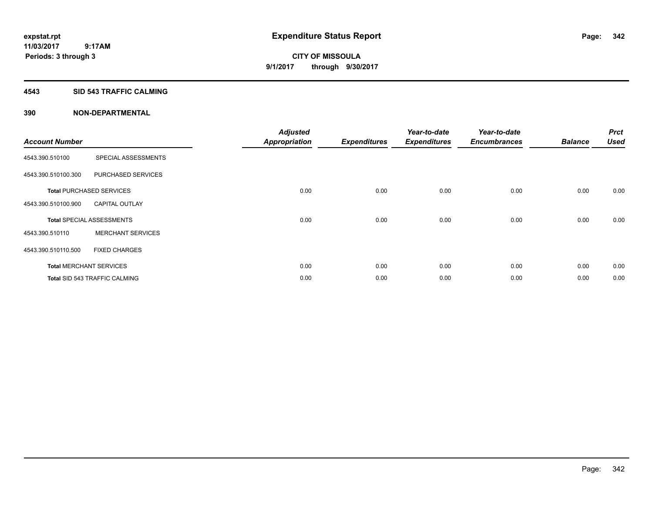**Periods: 3 through 3**

**CITY OF MISSOULA 9/1/2017 through 9/30/2017**

### **4543 SID 543 TRAFFIC CALMING**

 **9:17AM**

| <b>Account Number</b> |                                      | <b>Adjusted</b><br><b>Appropriation</b> | <b>Expenditures</b> | Year-to-date<br><b>Expenditures</b> | Year-to-date<br><b>Encumbrances</b> | <b>Balance</b> | <b>Prct</b><br><b>Used</b> |
|-----------------------|--------------------------------------|-----------------------------------------|---------------------|-------------------------------------|-------------------------------------|----------------|----------------------------|
| 4543.390.510100       | SPECIAL ASSESSMENTS                  |                                         |                     |                                     |                                     |                |                            |
| 4543.390.510100.300   | PURCHASED SERVICES                   |                                         |                     |                                     |                                     |                |                            |
|                       | <b>Total PURCHASED SERVICES</b>      | 0.00                                    | 0.00                | 0.00                                | 0.00                                | 0.00           | 0.00                       |
| 4543.390.510100.900   | <b>CAPITAL OUTLAY</b>                |                                         |                     |                                     |                                     |                |                            |
|                       | <b>Total SPECIAL ASSESSMENTS</b>     | 0.00                                    | 0.00                | 0.00                                | 0.00                                | 0.00           | 0.00                       |
| 4543.390.510110       | <b>MERCHANT SERVICES</b>             |                                         |                     |                                     |                                     |                |                            |
| 4543.390.510110.500   | <b>FIXED CHARGES</b>                 |                                         |                     |                                     |                                     |                |                            |
|                       | <b>Total MERCHANT SERVICES</b>       | 0.00                                    | 0.00                | 0.00                                | 0.00                                | 0.00           | 0.00                       |
|                       | <b>Total SID 543 TRAFFIC CALMING</b> | 0.00                                    | 0.00                | 0.00                                | 0.00                                | 0.00           | 0.00                       |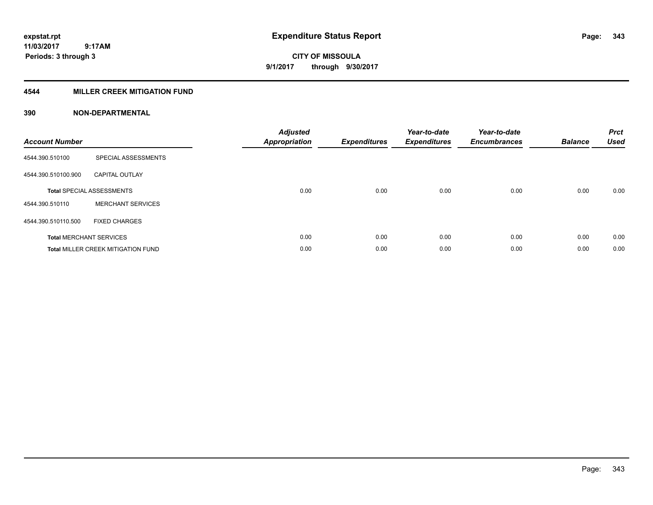# **CITY OF MISSOULA 9/1/2017 through 9/30/2017**

## **4544 MILLER CREEK MITIGATION FUND**

| <b>Account Number</b> |                                           | <b>Adjusted</b><br>Appropriation | <b>Expenditures</b> | Year-to-date<br><b>Expenditures</b> | Year-to-date<br><b>Encumbrances</b> | <b>Balance</b> | <b>Prct</b><br><b>Used</b> |
|-----------------------|-------------------------------------------|----------------------------------|---------------------|-------------------------------------|-------------------------------------|----------------|----------------------------|
| 4544.390.510100       | SPECIAL ASSESSMENTS                       |                                  |                     |                                     |                                     |                |                            |
| 4544.390.510100.900   | <b>CAPITAL OUTLAY</b>                     |                                  |                     |                                     |                                     |                |                            |
|                       | <b>Total SPECIAL ASSESSMENTS</b>          | 0.00                             | 0.00                | 0.00                                | 0.00                                | 0.00           | 0.00                       |
| 4544.390.510110       | <b>MERCHANT SERVICES</b>                  |                                  |                     |                                     |                                     |                |                            |
| 4544.390.510110.500   | <b>FIXED CHARGES</b>                      |                                  |                     |                                     |                                     |                |                            |
|                       | <b>Total MERCHANT SERVICES</b>            | 0.00                             | 0.00                | 0.00                                | 0.00                                | 0.00           | 0.00                       |
|                       | <b>Total MILLER CREEK MITIGATION FUND</b> | 0.00                             | 0.00                | 0.00                                | 0.00                                | 0.00           | 0.00                       |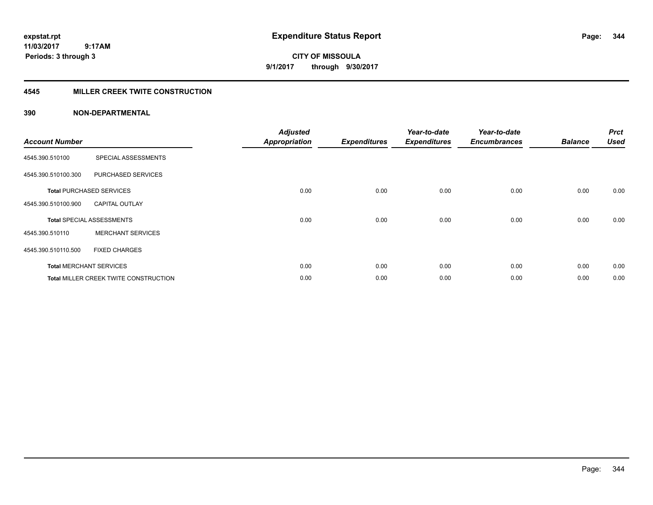**CITY OF MISSOULA 9/1/2017 through 9/30/2017**

## **4545 MILLER CREEK TWITE CONSTRUCTION**

| <b>Account Number</b> |                                       | <b>Adjusted</b><br><b>Appropriation</b> | <b>Expenditures</b> | Year-to-date<br><b>Expenditures</b> | Year-to-date<br><b>Encumbrances</b> | <b>Balance</b> | <b>Prct</b><br><b>Used</b> |
|-----------------------|---------------------------------------|-----------------------------------------|---------------------|-------------------------------------|-------------------------------------|----------------|----------------------------|
| 4545.390.510100       | SPECIAL ASSESSMENTS                   |                                         |                     |                                     |                                     |                |                            |
| 4545.390.510100.300   | PURCHASED SERVICES                    |                                         |                     |                                     |                                     |                |                            |
|                       | <b>Total PURCHASED SERVICES</b>       | 0.00                                    | 0.00                | 0.00                                | 0.00                                | 0.00           | 0.00                       |
| 4545.390.510100.900   | <b>CAPITAL OUTLAY</b>                 |                                         |                     |                                     |                                     |                |                            |
|                       | <b>Total SPECIAL ASSESSMENTS</b>      | 0.00                                    | 0.00                | 0.00                                | 0.00                                | 0.00           | 0.00                       |
| 4545.390.510110       | <b>MERCHANT SERVICES</b>              |                                         |                     |                                     |                                     |                |                            |
| 4545.390.510110.500   | <b>FIXED CHARGES</b>                  |                                         |                     |                                     |                                     |                |                            |
|                       | <b>Total MERCHANT SERVICES</b>        | 0.00                                    | 0.00                | 0.00                                | 0.00                                | 0.00           | 0.00                       |
|                       | Total MILLER CREEK TWITE CONSTRUCTION | 0.00                                    | 0.00                | 0.00                                | 0.00                                | 0.00           | 0.00                       |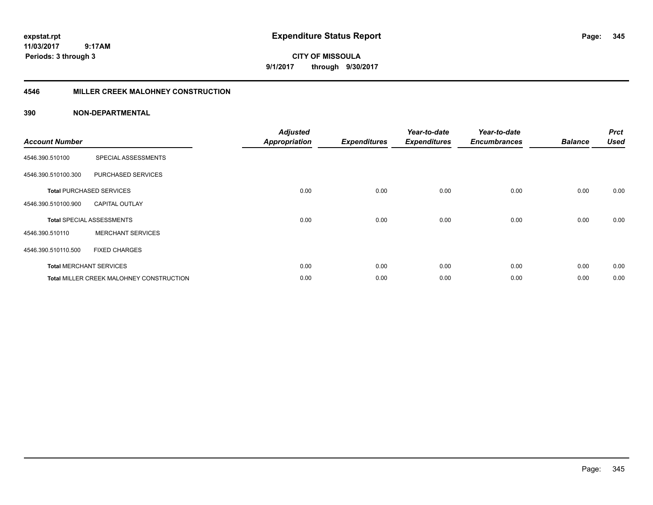**CITY OF MISSOULA 9/1/2017 through 9/30/2017**

## **4546 MILLER CREEK MALOHNEY CONSTRUCTION**

| <b>Account Number</b> |                                          | <b>Adjusted</b><br><b>Appropriation</b> | <b>Expenditures</b> | Year-to-date<br><b>Expenditures</b> | Year-to-date<br><b>Encumbrances</b> | <b>Balance</b> | <b>Prct</b><br><b>Used</b> |
|-----------------------|------------------------------------------|-----------------------------------------|---------------------|-------------------------------------|-------------------------------------|----------------|----------------------------|
| 4546.390.510100       | SPECIAL ASSESSMENTS                      |                                         |                     |                                     |                                     |                |                            |
| 4546.390.510100.300   | PURCHASED SERVICES                       |                                         |                     |                                     |                                     |                |                            |
|                       | <b>Total PURCHASED SERVICES</b>          | 0.00                                    | 0.00                | 0.00                                | 0.00                                | 0.00           | 0.00                       |
| 4546.390.510100.900   | <b>CAPITAL OUTLAY</b>                    |                                         |                     |                                     |                                     |                |                            |
|                       | <b>Total SPECIAL ASSESSMENTS</b>         | 0.00                                    | 0.00                | 0.00                                | 0.00                                | 0.00           | 0.00                       |
| 4546.390.510110       | <b>MERCHANT SERVICES</b>                 |                                         |                     |                                     |                                     |                |                            |
| 4546.390.510110.500   | <b>FIXED CHARGES</b>                     |                                         |                     |                                     |                                     |                |                            |
|                       | <b>Total MERCHANT SERVICES</b>           | 0.00                                    | 0.00                | 0.00                                | 0.00                                | 0.00           | 0.00                       |
|                       | Total MILLER CREEK MALOHNEY CONSTRUCTION | 0.00                                    | 0.00                | 0.00                                | 0.00                                | 0.00           | 0.00                       |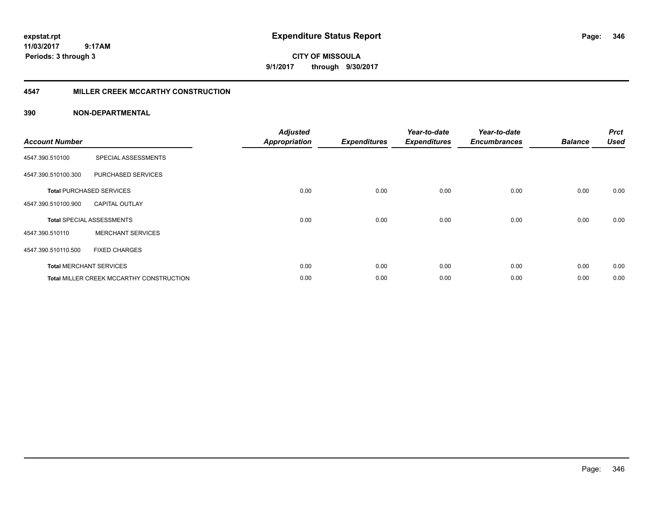**CITY OF MISSOULA 9/1/2017 through 9/30/2017**

## **4547 MILLER CREEK MCCARTHY CONSTRUCTION**

| <b>Account Number</b> |                                          | <b>Adjusted</b><br><b>Appropriation</b> | <b>Expenditures</b> | Year-to-date<br><b>Expenditures</b> | Year-to-date<br><b>Encumbrances</b> | <b>Balance</b> | <b>Prct</b><br><b>Used</b> |
|-----------------------|------------------------------------------|-----------------------------------------|---------------------|-------------------------------------|-------------------------------------|----------------|----------------------------|
| 4547.390.510100       | SPECIAL ASSESSMENTS                      |                                         |                     |                                     |                                     |                |                            |
| 4547.390.510100.300   | PURCHASED SERVICES                       |                                         |                     |                                     |                                     |                |                            |
|                       | <b>Total PURCHASED SERVICES</b>          | 0.00                                    | 0.00                | 0.00                                | 0.00                                | 0.00           | 0.00                       |
| 4547.390.510100.900   | <b>CAPITAL OUTLAY</b>                    |                                         |                     |                                     |                                     |                |                            |
|                       | <b>Total SPECIAL ASSESSMENTS</b>         | 0.00                                    | 0.00                | 0.00                                | 0.00                                | 0.00           | 0.00                       |
| 4547.390.510110       | <b>MERCHANT SERVICES</b>                 |                                         |                     |                                     |                                     |                |                            |
| 4547.390.510110.500   | <b>FIXED CHARGES</b>                     |                                         |                     |                                     |                                     |                |                            |
|                       | <b>Total MERCHANT SERVICES</b>           | 0.00                                    | 0.00                | 0.00                                | 0.00                                | 0.00           | 0.00                       |
|                       | Total MILLER CREEK MCCARTHY CONSTRUCTION | 0.00                                    | 0.00                | 0.00                                | 0.00                                | 0.00           | 0.00                       |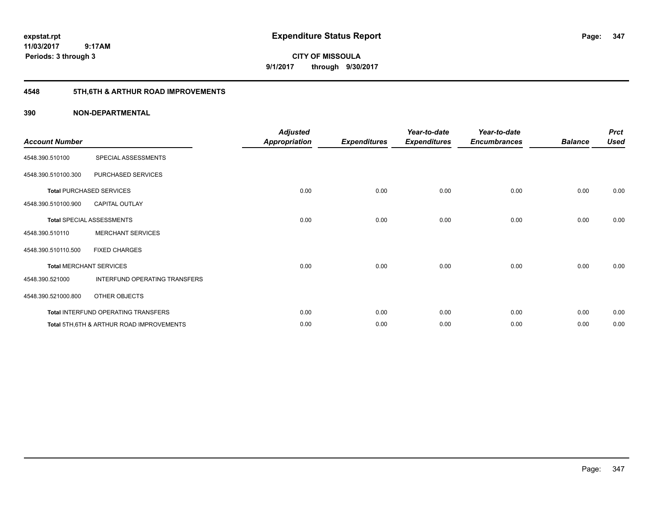**expstat.rpt Expenditure Status Report** 

**11/03/2017 9:17AM Periods: 3 through 3**

**CITY OF MISSOULA 9/1/2017 through 9/30/2017**

# **4548 5TH,6TH & ARTHUR ROAD IMPROVEMENTS**

| <b>Account Number</b> |                                                     | <b>Adjusted</b><br><b>Appropriation</b> | <b>Expenditures</b> | Year-to-date<br><b>Expenditures</b> | Year-to-date<br><b>Encumbrances</b> | <b>Balance</b> | <b>Prct</b><br><b>Used</b> |
|-----------------------|-----------------------------------------------------|-----------------------------------------|---------------------|-------------------------------------|-------------------------------------|----------------|----------------------------|
| 4548.390.510100       | SPECIAL ASSESSMENTS                                 |                                         |                     |                                     |                                     |                |                            |
| 4548.390.510100.300   | PURCHASED SERVICES                                  |                                         |                     |                                     |                                     |                |                            |
|                       | <b>Total PURCHASED SERVICES</b>                     | 0.00                                    | 0.00                | 0.00                                | 0.00                                | 0.00           | 0.00                       |
| 4548.390.510100.900   | <b>CAPITAL OUTLAY</b>                               |                                         |                     |                                     |                                     |                |                            |
|                       | <b>Total SPECIAL ASSESSMENTS</b>                    | 0.00                                    | 0.00                | 0.00                                | 0.00                                | 0.00           | 0.00                       |
| 4548.390.510110       | <b>MERCHANT SERVICES</b>                            |                                         |                     |                                     |                                     |                |                            |
| 4548.390.510110.500   | <b>FIXED CHARGES</b>                                |                                         |                     |                                     |                                     |                |                            |
|                       | <b>Total MERCHANT SERVICES</b>                      | 0.00                                    | 0.00                | 0.00                                | 0.00                                | 0.00           | 0.00                       |
| 4548.390.521000       | INTERFUND OPERATING TRANSFERS                       |                                         |                     |                                     |                                     |                |                            |
| 4548.390.521000.800   | OTHER OBJECTS                                       |                                         |                     |                                     |                                     |                |                            |
|                       | Total INTERFUND OPERATING TRANSFERS                 | 0.00                                    | 0.00                | 0.00                                | 0.00                                | 0.00           | 0.00                       |
|                       | <b>Total 5TH.6TH &amp; ARTHUR ROAD IMPROVEMENTS</b> | 0.00                                    | 0.00                | 0.00                                | 0.00                                | 0.00           | 0.00                       |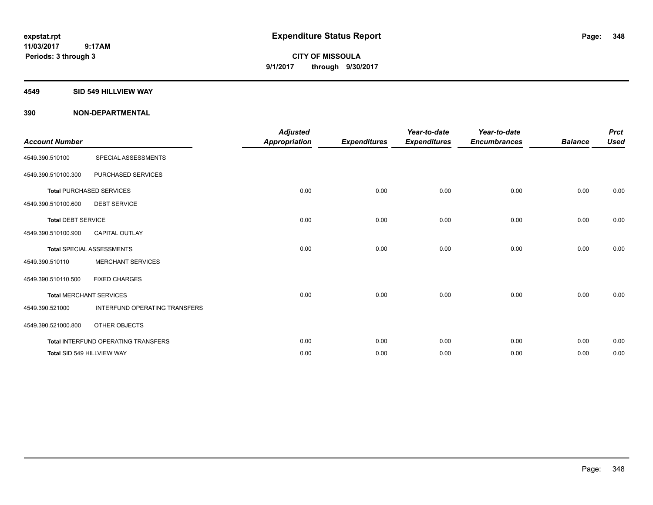**CITY OF MISSOULA 9/1/2017 through 9/30/2017**

### **4549 SID 549 HILLVIEW WAY**

| <b>Account Number</b>     |                                      | <b>Adjusted</b><br><b>Appropriation</b> | <b>Expenditures</b> | Year-to-date<br><b>Expenditures</b> | Year-to-date<br><b>Encumbrances</b> | <b>Balance</b> | <b>Prct</b><br><b>Used</b> |
|---------------------------|--------------------------------------|-----------------------------------------|---------------------|-------------------------------------|-------------------------------------|----------------|----------------------------|
| 4549.390.510100           | SPECIAL ASSESSMENTS                  |                                         |                     |                                     |                                     |                |                            |
| 4549.390.510100.300       | PURCHASED SERVICES                   |                                         |                     |                                     |                                     |                |                            |
|                           | <b>Total PURCHASED SERVICES</b>      | 0.00                                    | 0.00                | 0.00                                | 0.00                                | 0.00           | 0.00                       |
| 4549.390.510100.600       | <b>DEBT SERVICE</b>                  |                                         |                     |                                     |                                     |                |                            |
| <b>Total DEBT SERVICE</b> |                                      | 0.00                                    | 0.00                | 0.00                                | 0.00                                | 0.00           | 0.00                       |
| 4549.390.510100.900       | <b>CAPITAL OUTLAY</b>                |                                         |                     |                                     |                                     |                |                            |
|                           | <b>Total SPECIAL ASSESSMENTS</b>     | 0.00                                    | 0.00                | 0.00                                | 0.00                                | 0.00           | 0.00                       |
| 4549.390.510110           | <b>MERCHANT SERVICES</b>             |                                         |                     |                                     |                                     |                |                            |
| 4549.390.510110.500       | <b>FIXED CHARGES</b>                 |                                         |                     |                                     |                                     |                |                            |
|                           | <b>Total MERCHANT SERVICES</b>       | 0.00                                    | 0.00                | 0.00                                | 0.00                                | 0.00           | 0.00                       |
| 4549.390.521000           | <b>INTERFUND OPERATING TRANSFERS</b> |                                         |                     |                                     |                                     |                |                            |
| 4549.390.521000.800       | OTHER OBJECTS                        |                                         |                     |                                     |                                     |                |                            |
|                           | Total INTERFUND OPERATING TRANSFERS  | 0.00                                    | 0.00                | 0.00                                | 0.00                                | 0.00           | 0.00                       |
|                           | Total SID 549 HILLVIEW WAY           | 0.00                                    | 0.00                | 0.00                                | 0.00                                | 0.00           | 0.00                       |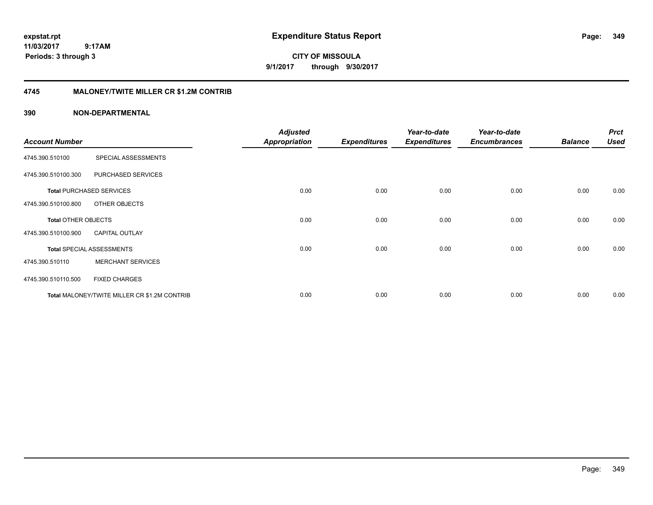**expstat.rpt Expenditure Status Report Page:**

**11/03/2017 9:17AM Periods: 3 through 3**

**CITY OF MISSOULA 9/1/2017 through 9/30/2017**

## **4745 MALONEY/TWITE MILLER CR \$1.2M CONTRIB**

|                            |                                              | <b>Adjusted</b>      |                     | Year-to-date        | Year-to-date        |                | <b>Prct</b> |
|----------------------------|----------------------------------------------|----------------------|---------------------|---------------------|---------------------|----------------|-------------|
| <b>Account Number</b>      |                                              | <b>Appropriation</b> | <b>Expenditures</b> | <b>Expenditures</b> | <b>Encumbrances</b> | <b>Balance</b> | <b>Used</b> |
| 4745.390.510100            | SPECIAL ASSESSMENTS                          |                      |                     |                     |                     |                |             |
| 4745.390.510100.300        | PURCHASED SERVICES                           |                      |                     |                     |                     |                |             |
|                            | <b>Total PURCHASED SERVICES</b>              | 0.00                 | 0.00                | 0.00                | 0.00                | 0.00           | 0.00        |
| 4745.390.510100.800        | OTHER OBJECTS                                |                      |                     |                     |                     |                |             |
| <b>Total OTHER OBJECTS</b> |                                              | 0.00                 | 0.00                | 0.00                | 0.00                | 0.00           | 0.00        |
| 4745.390.510100.900        | <b>CAPITAL OUTLAY</b>                        |                      |                     |                     |                     |                |             |
|                            | <b>Total SPECIAL ASSESSMENTS</b>             | 0.00                 | 0.00                | 0.00                | 0.00                | 0.00           | 0.00        |
| 4745.390.510110            | <b>MERCHANT SERVICES</b>                     |                      |                     |                     |                     |                |             |
| 4745.390.510110.500        | <b>FIXED CHARGES</b>                         |                      |                     |                     |                     |                |             |
|                            | Total MALONEY/TWITE MILLER CR \$1.2M CONTRIB | 0.00                 | 0.00                | 0.00                | 0.00                | 0.00           | 0.00        |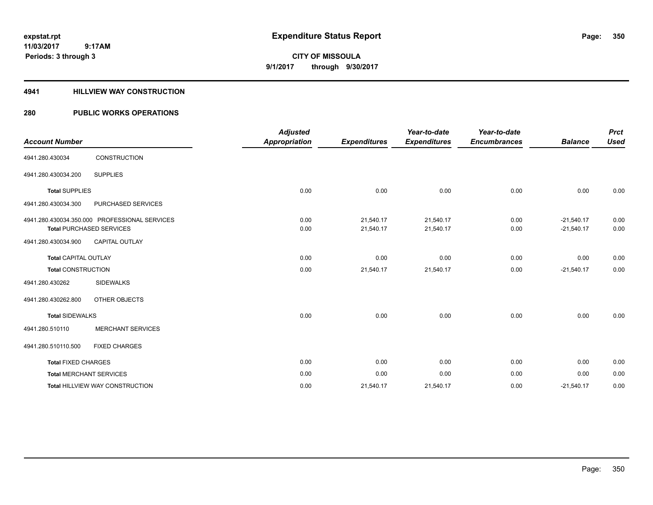# **CITY OF MISSOULA 9/1/2017 through 9/30/2017**

### **4941 HILLVIEW WAY CONSTRUCTION**

| <b>Account Number</b>       |                                                                                  | <b>Adjusted</b><br><b>Appropriation</b> | <b>Expenditures</b>    | Year-to-date<br><b>Expenditures</b> | Year-to-date<br><b>Encumbrances</b> | <b>Balance</b>               | <b>Prct</b><br><b>Used</b> |
|-----------------------------|----------------------------------------------------------------------------------|-----------------------------------------|------------------------|-------------------------------------|-------------------------------------|------------------------------|----------------------------|
| 4941.280.430034             | <b>CONSTRUCTION</b>                                                              |                                         |                        |                                     |                                     |                              |                            |
| 4941.280.430034.200         | <b>SUPPLIES</b>                                                                  |                                         |                        |                                     |                                     |                              |                            |
| <b>Total SUPPLIES</b>       |                                                                                  | 0.00                                    | 0.00                   | 0.00                                | 0.00                                | 0.00                         | 0.00                       |
| 4941.280.430034.300         | PURCHASED SERVICES                                                               |                                         |                        |                                     |                                     |                              |                            |
|                             | 4941.280.430034.350.000 PROFESSIONAL SERVICES<br><b>Total PURCHASED SERVICES</b> | 0.00<br>0.00                            | 21,540.17<br>21,540.17 | 21,540.17<br>21,540.17              | 0.00<br>0.00                        | $-21,540.17$<br>$-21,540.17$ | 0.00<br>0.00               |
| 4941.280.430034.900         | <b>CAPITAL OUTLAY</b>                                                            |                                         |                        |                                     |                                     |                              |                            |
| <b>Total CAPITAL OUTLAY</b> |                                                                                  | 0.00                                    | 0.00                   | 0.00                                | 0.00                                | 0.00                         | 0.00                       |
| <b>Total CONSTRUCTION</b>   |                                                                                  | 0.00                                    | 21,540.17              | 21,540.17                           | 0.00                                | $-21,540.17$                 | 0.00                       |
| 4941.280.430262             | <b>SIDEWALKS</b>                                                                 |                                         |                        |                                     |                                     |                              |                            |
| 4941.280.430262.800         | OTHER OBJECTS                                                                    |                                         |                        |                                     |                                     |                              |                            |
| <b>Total SIDEWALKS</b>      |                                                                                  | 0.00                                    | 0.00                   | 0.00                                | 0.00                                | 0.00                         | 0.00                       |
| 4941.280.510110             | <b>MERCHANT SERVICES</b>                                                         |                                         |                        |                                     |                                     |                              |                            |
| 4941.280.510110.500         | <b>FIXED CHARGES</b>                                                             |                                         |                        |                                     |                                     |                              |                            |
| <b>Total FIXED CHARGES</b>  |                                                                                  | 0.00                                    | 0.00                   | 0.00                                | 0.00                                | 0.00                         | 0.00                       |
|                             | <b>Total MERCHANT SERVICES</b>                                                   | 0.00                                    | 0.00                   | 0.00                                | 0.00                                | 0.00                         | 0.00                       |
|                             | Total HILLVIEW WAY CONSTRUCTION                                                  | 0.00                                    | 21,540.17              | 21,540.17                           | 0.00                                | $-21,540.17$                 | 0.00                       |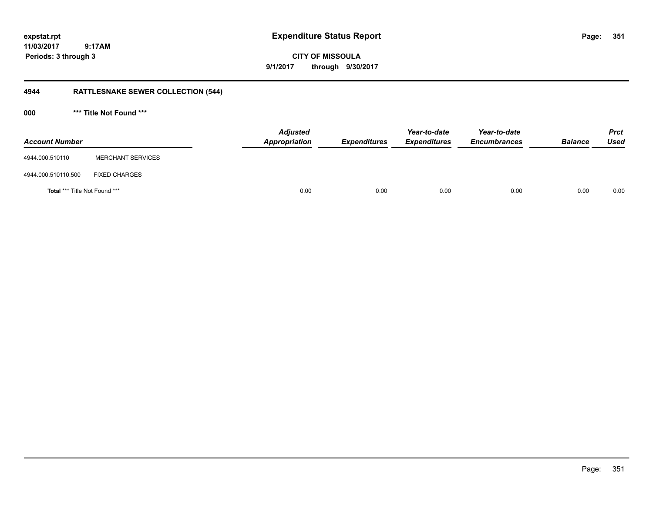**CITY OF MISSOULA 9/1/2017 through 9/30/2017**

# **4944 RATTLESNAKE SEWER COLLECTION (544)**

**000 \*\*\* Title Not Found \*\*\***

| <b>Account Number</b>                |                          | <b>Adjusted</b><br>Appropriation | <b>Expenditures</b> | Year-to-date<br><b>Expenditures</b> | Year-to-date<br><b>Encumbrances</b> | <b>Balance</b> | Prct<br><b>Used</b> |
|--------------------------------------|--------------------------|----------------------------------|---------------------|-------------------------------------|-------------------------------------|----------------|---------------------|
| 4944.000.510110                      | <b>MERCHANT SERVICES</b> |                                  |                     |                                     |                                     |                |                     |
| 4944.000.510110.500                  | <b>FIXED CHARGES</b>     |                                  |                     |                                     |                                     |                |                     |
| <b>Total *** Title Not Found ***</b> |                          | 0.00                             | 0.00                | 0.00                                | 0.00                                | 0.00           | 0.00                |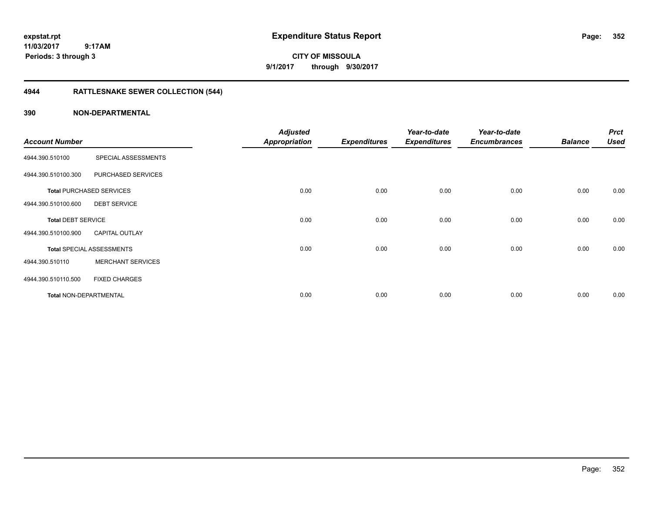**CITY OF MISSOULA 9/1/2017 through 9/30/2017**

# **4944 RATTLESNAKE SEWER COLLECTION (544)**

| <b>Account Number</b>     |                                  | <b>Adjusted</b><br><b>Appropriation</b> | <b>Expenditures</b> | Year-to-date<br><b>Expenditures</b> | Year-to-date<br><b>Encumbrances</b> | <b>Balance</b> | <b>Prct</b><br><b>Used</b> |
|---------------------------|----------------------------------|-----------------------------------------|---------------------|-------------------------------------|-------------------------------------|----------------|----------------------------|
|                           |                                  |                                         |                     |                                     |                                     |                |                            |
| 4944.390.510100           | SPECIAL ASSESSMENTS              |                                         |                     |                                     |                                     |                |                            |
| 4944.390.510100.300       | PURCHASED SERVICES               |                                         |                     |                                     |                                     |                |                            |
|                           | <b>Total PURCHASED SERVICES</b>  | 0.00                                    | 0.00                | 0.00                                | 0.00                                | 0.00           | 0.00                       |
| 4944.390.510100.600       | <b>DEBT SERVICE</b>              |                                         |                     |                                     |                                     |                |                            |
| <b>Total DEBT SERVICE</b> |                                  | 0.00                                    | 0.00                | 0.00                                | 0.00                                | 0.00           | 0.00                       |
| 4944.390.510100.900       | <b>CAPITAL OUTLAY</b>            |                                         |                     |                                     |                                     |                |                            |
|                           | <b>Total SPECIAL ASSESSMENTS</b> | 0.00                                    | 0.00                | 0.00                                | 0.00                                | 0.00           | 0.00                       |
| 4944.390.510110           | <b>MERCHANT SERVICES</b>         |                                         |                     |                                     |                                     |                |                            |
| 4944.390.510110.500       | <b>FIXED CHARGES</b>             |                                         |                     |                                     |                                     |                |                            |
| Total NON-DEPARTMENTAL    |                                  | 0.00                                    | 0.00                | 0.00                                | 0.00                                | 0.00           | 0.00                       |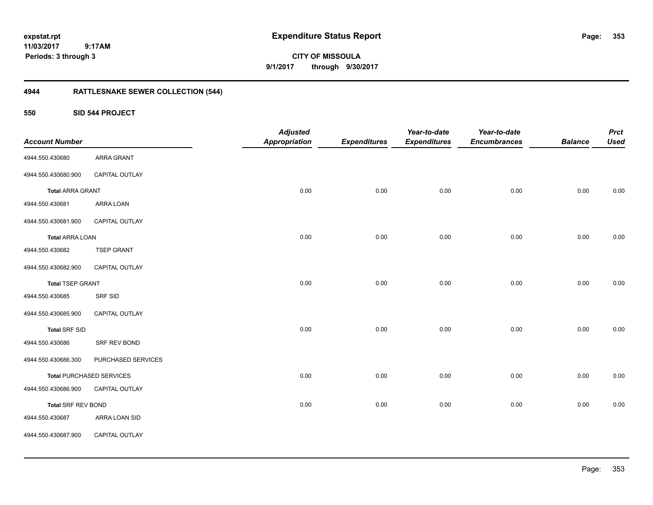**CITY OF MISSOULA 9/1/2017 through 9/30/2017**

# **4944 RATTLESNAKE SEWER COLLECTION (544)**

**550 SID 544 PROJECT**

| <b>Account Number</b>     |                                 | <b>Adjusted</b><br><b>Appropriation</b> | <b>Expenditures</b> | Year-to-date<br><b>Expenditures</b> | Year-to-date<br><b>Encumbrances</b> | <b>Balance</b> | <b>Prct</b><br><b>Used</b> |
|---------------------------|---------------------------------|-----------------------------------------|---------------------|-------------------------------------|-------------------------------------|----------------|----------------------------|
| 4944.550.430680           | <b>ARRA GRANT</b>               |                                         |                     |                                     |                                     |                |                            |
| 4944.550.430680.900       | CAPITAL OUTLAY                  |                                         |                     |                                     |                                     |                |                            |
| <b>Total ARRA GRANT</b>   |                                 | 0.00                                    | 0.00                | 0.00                                | 0.00                                | 0.00           | 0.00                       |
| 4944.550.430681           | ARRA LOAN                       |                                         |                     |                                     |                                     |                |                            |
| 4944.550.430681.900       | CAPITAL OUTLAY                  |                                         |                     |                                     |                                     |                |                            |
| <b>Total ARRA LOAN</b>    |                                 | 0.00                                    | 0.00                | 0.00                                | 0.00                                | 0.00           | 0.00                       |
| 4944.550.430682           | <b>TSEP GRANT</b>               |                                         |                     |                                     |                                     |                |                            |
| 4944.550.430682.900       | CAPITAL OUTLAY                  |                                         |                     |                                     |                                     |                |                            |
| <b>Total TSEP GRANT</b>   |                                 | 0.00                                    | 0.00                | 0.00                                | 0.00                                | 0.00           | 0.00                       |
| 4944.550.430685           | <b>SRF SID</b>                  |                                         |                     |                                     |                                     |                |                            |
| 4944.550.430685.900       | CAPITAL OUTLAY                  |                                         |                     |                                     |                                     |                |                            |
| <b>Total SRF SID</b>      |                                 | 0.00                                    | 0.00                | 0.00                                | 0.00                                | 0.00           | 0.00                       |
| 4944.550.430686           | SRF REV BOND                    |                                         |                     |                                     |                                     |                |                            |
| 4944.550.430686.300       | PURCHASED SERVICES              |                                         |                     |                                     |                                     |                |                            |
|                           | <b>Total PURCHASED SERVICES</b> | 0.00                                    | 0.00                | 0.00                                | 0.00                                | 0.00           | 0.00                       |
| 4944.550.430686.900       | CAPITAL OUTLAY                  |                                         |                     |                                     |                                     |                |                            |
| <b>Total SRF REV BOND</b> |                                 | 0.00                                    | 0.00                | 0.00                                | 0.00                                | 0.00           | 0.00                       |
| 4944.550.430687           | ARRA LOAN SID                   |                                         |                     |                                     |                                     |                |                            |
| 4944.550.430687.900       | CAPITAL OUTLAY                  |                                         |                     |                                     |                                     |                |                            |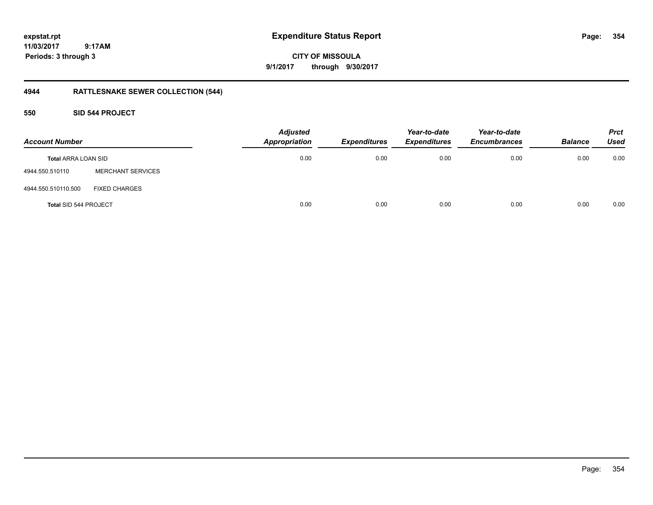**expstat.rpt Expenditure Status Report Page:**

**11/03/2017 9:17AM Periods: 3 through 3**

# **4944 RATTLESNAKE SEWER COLLECTION (544)**

## **550 SID 544 PROJECT**

| <b>Account Number</b>      |                          | <b>Adjusted</b><br><b>Appropriation</b> | <b>Expenditures</b> | Year-to-date<br><b>Expenditures</b> | Year-to-date<br><b>Encumbrances</b> | <b>Balance</b> | <b>Prct</b><br>Used |
|----------------------------|--------------------------|-----------------------------------------|---------------------|-------------------------------------|-------------------------------------|----------------|---------------------|
| <b>Total ARRA LOAN SID</b> |                          | 0.00                                    | 0.00                | 0.00                                | 0.00                                | 0.00           | 0.00                |
| 4944.550.510110            | <b>MERCHANT SERVICES</b> |                                         |                     |                                     |                                     |                |                     |
| 4944.550.510110.500        | <b>FIXED CHARGES</b>     |                                         |                     |                                     |                                     |                |                     |
| Total SID 544 PROJECT      |                          | 0.00                                    | 0.00                | 0.00                                | 0.00                                | 0.00           | 0.00                |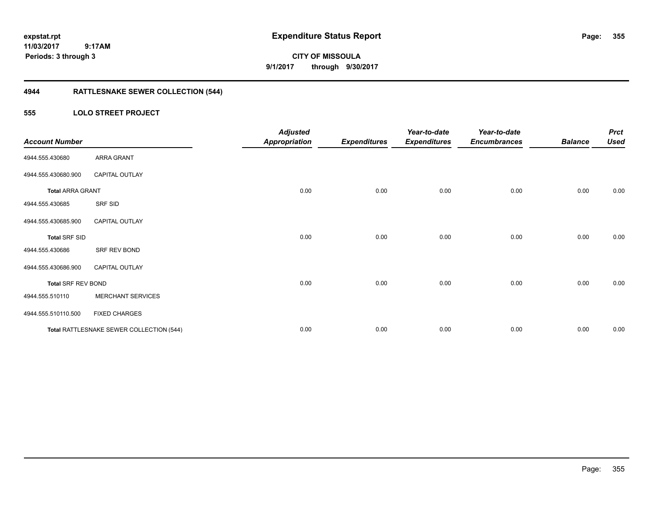# **CITY OF MISSOULA 9/1/2017 through 9/30/2017**

# **4944 RATTLESNAKE SEWER COLLECTION (544)**

## **555 LOLO STREET PROJECT**

| <b>Account Number</b>     |                                          | <b>Adjusted</b><br><b>Appropriation</b> | <b>Expenditures</b> | Year-to-date<br><b>Expenditures</b> | Year-to-date<br><b>Encumbrances</b> | <b>Balance</b> | <b>Prct</b><br><b>Used</b> |
|---------------------------|------------------------------------------|-----------------------------------------|---------------------|-------------------------------------|-------------------------------------|----------------|----------------------------|
| 4944.555.430680           | ARRA GRANT                               |                                         |                     |                                     |                                     |                |                            |
| 4944.555.430680.900       | <b>CAPITAL OUTLAY</b>                    |                                         |                     |                                     |                                     |                |                            |
| <b>Total ARRA GRANT</b>   |                                          | 0.00                                    | 0.00                | 0.00                                | 0.00                                | 0.00           | 0.00                       |
| 4944.555.430685           | SRF SID                                  |                                         |                     |                                     |                                     |                |                            |
| 4944.555.430685.900       | <b>CAPITAL OUTLAY</b>                    |                                         |                     |                                     |                                     |                |                            |
| <b>Total SRF SID</b>      |                                          | 0.00                                    | 0.00                | 0.00                                | 0.00                                | 0.00           | 0.00                       |
| 4944.555.430686           | SRF REV BOND                             |                                         |                     |                                     |                                     |                |                            |
| 4944.555.430686.900       | <b>CAPITAL OUTLAY</b>                    |                                         |                     |                                     |                                     |                |                            |
| <b>Total SRF REV BOND</b> |                                          | 0.00                                    | 0.00                | 0.00                                | 0.00                                | 0.00           | 0.00                       |
| 4944.555.510110           | <b>MERCHANT SERVICES</b>                 |                                         |                     |                                     |                                     |                |                            |
| 4944.555.510110.500       | <b>FIXED CHARGES</b>                     |                                         |                     |                                     |                                     |                |                            |
|                           | Total RATTLESNAKE SEWER COLLECTION (544) | 0.00                                    | 0.00                | 0.00                                | 0.00                                | 0.00           | 0.00                       |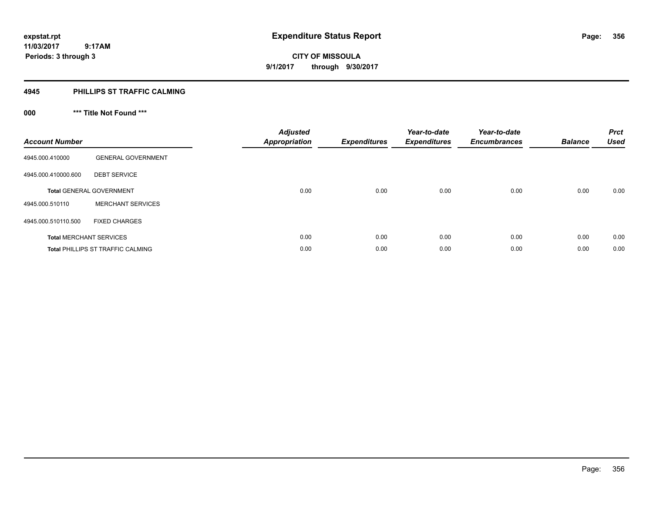**356**

**11/03/2017 9:17AM Periods: 3 through 3**

### **4945 PHILLIPS ST TRAFFIC CALMING**

# **000 \*\*\* Title Not Found \*\*\***

| <b>Account Number</b> |                                          | <b>Adjusted</b><br><b>Appropriation</b> | <b>Expenditures</b> | Year-to-date<br><b>Expenditures</b> | Year-to-date<br><b>Encumbrances</b> | <b>Balance</b> | <b>Prct</b><br><b>Used</b> |
|-----------------------|------------------------------------------|-----------------------------------------|---------------------|-------------------------------------|-------------------------------------|----------------|----------------------------|
| 4945.000.410000       | <b>GENERAL GOVERNMENT</b>                |                                         |                     |                                     |                                     |                |                            |
| 4945.000.410000.600   | <b>DEBT SERVICE</b>                      |                                         |                     |                                     |                                     |                |                            |
|                       | <b>Total GENERAL GOVERNMENT</b>          | 0.00                                    | 0.00                | 0.00                                | 0.00                                | 0.00           | 0.00                       |
| 4945.000.510110       | <b>MERCHANT SERVICES</b>                 |                                         |                     |                                     |                                     |                |                            |
| 4945.000.510110.500   | <b>FIXED CHARGES</b>                     |                                         |                     |                                     |                                     |                |                            |
|                       | <b>Total MERCHANT SERVICES</b>           | 0.00                                    | 0.00                | 0.00                                | 0.00                                | 0.00           | 0.00                       |
|                       | <b>Total PHILLIPS ST TRAFFIC CALMING</b> | 0.00                                    | 0.00                | 0.00                                | 0.00                                | 0.00           | 0.00                       |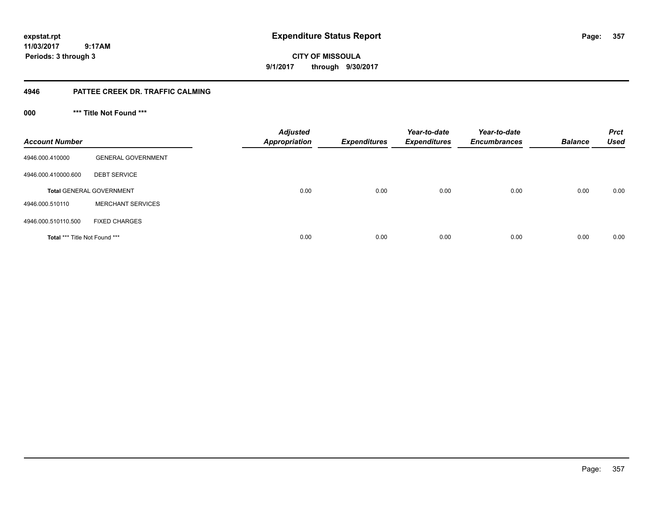**CITY OF MISSOULA 9/1/2017 through 9/30/2017**

## **4946 PATTEE CREEK DR. TRAFFIC CALMING**

**000 \*\*\* Title Not Found \*\*\***

| <b>Account Number</b>         |                                 | <b>Adjusted</b><br><b>Appropriation</b> | <b>Expenditures</b> | Year-to-date<br><b>Expenditures</b> | Year-to-date<br><b>Encumbrances</b> | <b>Balance</b> | <b>Prct</b><br><b>Used</b> |
|-------------------------------|---------------------------------|-----------------------------------------|---------------------|-------------------------------------|-------------------------------------|----------------|----------------------------|
| 4946.000.410000               | <b>GENERAL GOVERNMENT</b>       |                                         |                     |                                     |                                     |                |                            |
| 4946.000.410000.600           | <b>DEBT SERVICE</b>             |                                         |                     |                                     |                                     |                |                            |
|                               | <b>Total GENERAL GOVERNMENT</b> | 0.00                                    | 0.00                | 0.00                                | 0.00                                | 0.00           | 0.00                       |
| 4946.000.510110               | <b>MERCHANT SERVICES</b>        |                                         |                     |                                     |                                     |                |                            |
| 4946.000.510110.500           | <b>FIXED CHARGES</b>            |                                         |                     |                                     |                                     |                |                            |
| Total *** Title Not Found *** |                                 | 0.00                                    | 0.00                | 0.00                                | 0.00                                | 0.00           | 0.00                       |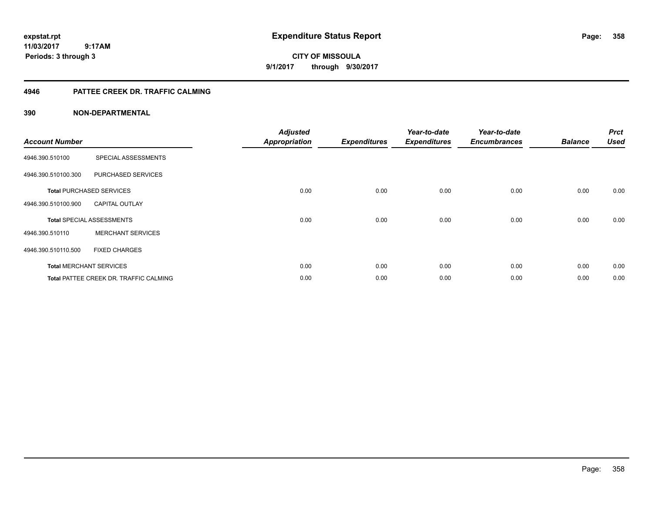**CITY OF MISSOULA 9/1/2017 through 9/30/2017**

## **4946 PATTEE CREEK DR. TRAFFIC CALMING**

| <b>Account Number</b> |                                               | <b>Adjusted</b><br><b>Appropriation</b> | <b>Expenditures</b> | Year-to-date<br><b>Expenditures</b> | Year-to-date<br><b>Encumbrances</b> | <b>Balance</b> | <b>Prct</b><br><b>Used</b> |
|-----------------------|-----------------------------------------------|-----------------------------------------|---------------------|-------------------------------------|-------------------------------------|----------------|----------------------------|
| 4946.390.510100       | SPECIAL ASSESSMENTS                           |                                         |                     |                                     |                                     |                |                            |
| 4946.390.510100.300   | PURCHASED SERVICES                            |                                         |                     |                                     |                                     |                |                            |
|                       | <b>Total PURCHASED SERVICES</b>               | 0.00                                    | 0.00                | 0.00                                | 0.00                                | 0.00           | 0.00                       |
| 4946.390.510100.900   | <b>CAPITAL OUTLAY</b>                         |                                         |                     |                                     |                                     |                |                            |
|                       | <b>Total SPECIAL ASSESSMENTS</b>              | 0.00                                    | 0.00                | 0.00                                | 0.00                                | 0.00           | 0.00                       |
| 4946.390.510110       | <b>MERCHANT SERVICES</b>                      |                                         |                     |                                     |                                     |                |                            |
| 4946.390.510110.500   | <b>FIXED CHARGES</b>                          |                                         |                     |                                     |                                     |                |                            |
|                       | <b>Total MERCHANT SERVICES</b>                | 0.00                                    | 0.00                | 0.00                                | 0.00                                | 0.00           | 0.00                       |
|                       | <b>Total PATTEE CREEK DR. TRAFFIC CALMING</b> | 0.00                                    | 0.00                | 0.00                                | 0.00                                | 0.00           | 0.00                       |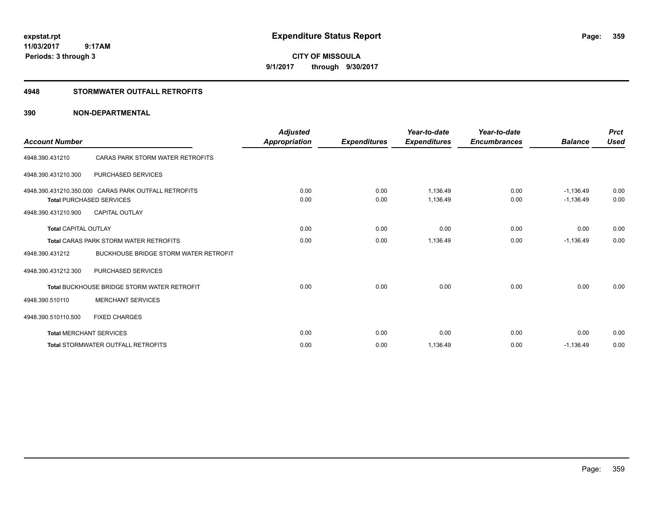**CITY OF MISSOULA 9/1/2017 through 9/30/2017**

## **4948 STORMWATER OUTFALL RETROFITS**

| <b>Account Number</b>       |                                                                                         | <b>Adjusted</b><br>Appropriation | <b>Expenditures</b> | Year-to-date<br><b>Expenditures</b> | Year-to-date<br><b>Encumbrances</b> | <b>Balance</b>             | <b>Prct</b><br><b>Used</b> |
|-----------------------------|-----------------------------------------------------------------------------------------|----------------------------------|---------------------|-------------------------------------|-------------------------------------|----------------------------|----------------------------|
| 4948.390.431210             | CARAS PARK STORM WATER RETROFITS                                                        |                                  |                     |                                     |                                     |                            |                            |
| 4948.390.431210.300         | <b>PURCHASED SERVICES</b>                                                               |                                  |                     |                                     |                                     |                            |                            |
|                             | 4948.390.431210.350.000 CARAS PARK OUTFALL RETROFITS<br><b>Total PURCHASED SERVICES</b> | 0.00<br>0.00                     | 0.00<br>0.00        | 1.136.49<br>1,136.49                | 0.00<br>0.00                        | $-1.136.49$<br>$-1,136.49$ | 0.00<br>0.00               |
| 4948.390.431210.900         | <b>CAPITAL OUTLAY</b>                                                                   |                                  |                     |                                     |                                     |                            |                            |
| <b>Total CAPITAL OUTLAY</b> |                                                                                         | 0.00                             | 0.00                | 0.00                                | 0.00                                | 0.00                       | 0.00                       |
|                             | <b>Total CARAS PARK STORM WATER RETROFITS</b>                                           | 0.00                             | 0.00                | 1,136.49                            | 0.00                                | $-1,136.49$                | 0.00                       |
| 4948.390.431212             | <b>BUCKHOUSE BRIDGE STORM WATER RETROFIT</b>                                            |                                  |                     |                                     |                                     |                            |                            |
| 4948.390.431212.300         | PURCHASED SERVICES                                                                      |                                  |                     |                                     |                                     |                            |                            |
|                             | <b>Total BUCKHOUSE BRIDGE STORM WATER RETROFIT</b>                                      | 0.00                             | 0.00                | 0.00                                | 0.00                                | 0.00                       | 0.00                       |
| 4948.390.510110             | <b>MERCHANT SERVICES</b>                                                                |                                  |                     |                                     |                                     |                            |                            |
| 4948.390.510110.500         | <b>FIXED CHARGES</b>                                                                    |                                  |                     |                                     |                                     |                            |                            |
|                             | <b>Total MERCHANT SERVICES</b>                                                          | 0.00                             | 0.00                | 0.00                                | 0.00                                | 0.00                       | 0.00                       |
|                             | <b>Total STORMWATER OUTFALL RETROFITS</b>                                               | 0.00                             | 0.00                | 1,136.49                            | 0.00                                | $-1,136.49$                | 0.00                       |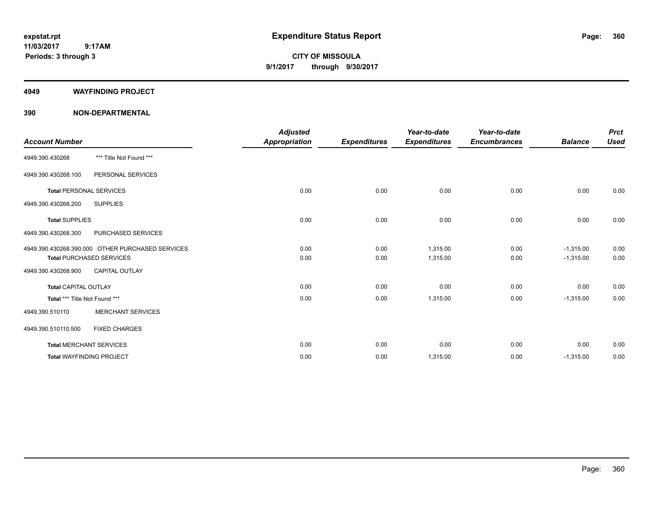**CITY OF MISSOULA 9/1/2017 through 9/30/2017**

### **4949 WAYFINDING PROJECT**

|                                |                                                  | <b>Adjusted</b>      |                     | Year-to-date        | Year-to-date        |                | <b>Prct</b> |
|--------------------------------|--------------------------------------------------|----------------------|---------------------|---------------------|---------------------|----------------|-------------|
| <b>Account Number</b>          |                                                  | <b>Appropriation</b> | <b>Expenditures</b> | <b>Expenditures</b> | <b>Encumbrances</b> | <b>Balance</b> | <b>Used</b> |
| 4949.390.430268                | *** Title Not Found ***                          |                      |                     |                     |                     |                |             |
| 4949.390.430268.100            | PERSONAL SERVICES                                |                      |                     |                     |                     |                |             |
| <b>Total PERSONAL SERVICES</b> |                                                  | 0.00                 | 0.00                | 0.00                | 0.00                | 0.00           | 0.00        |
| 4949.390.430268.200            | <b>SUPPLIES</b>                                  |                      |                     |                     |                     |                |             |
| <b>Total SUPPLIES</b>          |                                                  | 0.00                 | 0.00                | 0.00                | 0.00                | 0.00           | 0.00        |
| 4949.390.430268.300            | <b>PURCHASED SERVICES</b>                        |                      |                     |                     |                     |                |             |
|                                | 4949.390.430268.390.000 OTHER PURCHASED SERVICES | 0.00                 | 0.00                | 1,315.00            | 0.00                | $-1,315.00$    | 0.00        |
|                                | <b>Total PURCHASED SERVICES</b>                  | 0.00                 | 0.00                | 1,315.00            | 0.00                | $-1,315.00$    | 0.00        |
| 4949.390.430268.900            | <b>CAPITAL OUTLAY</b>                            |                      |                     |                     |                     |                |             |
| <b>Total CAPITAL OUTLAY</b>    |                                                  | 0.00                 | 0.00                | 0.00                | 0.00                | 0.00           | 0.00        |
| Total *** Title Not Found ***  |                                                  | 0.00                 | 0.00                | 1,315.00            | 0.00                | $-1,315.00$    | 0.00        |
| 4949.390.510110                | <b>MERCHANT SERVICES</b>                         |                      |                     |                     |                     |                |             |
| 4949.390.510110.500            | <b>FIXED CHARGES</b>                             |                      |                     |                     |                     |                |             |
|                                | <b>Total MERCHANT SERVICES</b>                   | 0.00                 | 0.00                | 0.00                | 0.00                | 0.00           | 0.00        |
|                                | <b>Total WAYFINDING PROJECT</b>                  | 0.00                 | 0.00                | 1,315.00            | 0.00                | $-1,315.00$    | 0.00        |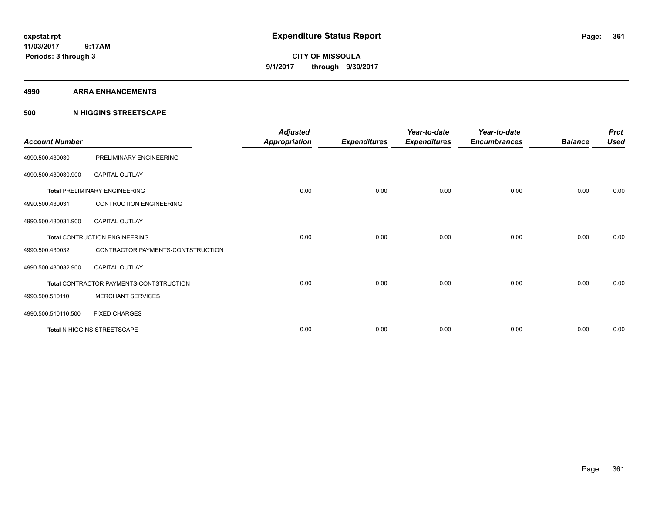**CITY OF MISSOULA 9/1/2017 through 9/30/2017**

### **4990 ARRA ENHANCEMENTS**

# **500 N HIGGINS STREETSCAPE**

| <b>Account Number</b> |                                         | <b>Adjusted</b><br><b>Appropriation</b> | <b>Expenditures</b> | Year-to-date<br><b>Expenditures</b> | Year-to-date<br><b>Encumbrances</b> | <b>Balance</b> | <b>Prct</b><br><b>Used</b> |
|-----------------------|-----------------------------------------|-----------------------------------------|---------------------|-------------------------------------|-------------------------------------|----------------|----------------------------|
| 4990.500.430030       | PRELIMINARY ENGINEERING                 |                                         |                     |                                     |                                     |                |                            |
| 4990.500.430030.900   | <b>CAPITAL OUTLAY</b>                   |                                         |                     |                                     |                                     |                |                            |
|                       | <b>Total PRELIMINARY ENGINEERING</b>    | 0.00                                    | 0.00                | 0.00                                | 0.00                                | 0.00           | 0.00                       |
| 4990.500.430031       | <b>CONTRUCTION ENGINEERING</b>          |                                         |                     |                                     |                                     |                |                            |
| 4990.500.430031.900   | <b>CAPITAL OUTLAY</b>                   |                                         |                     |                                     |                                     |                |                            |
|                       | <b>Total CONTRUCTION ENGINEERING</b>    | 0.00                                    | 0.00                | 0.00                                | 0.00                                | 0.00           | 0.00                       |
| 4990.500.430032       | CONTRACTOR PAYMENTS-CONTSTRUCTION       |                                         |                     |                                     |                                     |                |                            |
| 4990.500.430032.900   | <b>CAPITAL OUTLAY</b>                   |                                         |                     |                                     |                                     |                |                            |
|                       | Total CONTRACTOR PAYMENTS-CONTSTRUCTION | 0.00                                    | 0.00                | 0.00                                | 0.00                                | 0.00           | 0.00                       |
| 4990.500.510110       | <b>MERCHANT SERVICES</b>                |                                         |                     |                                     |                                     |                |                            |
| 4990.500.510110.500   | <b>FIXED CHARGES</b>                    |                                         |                     |                                     |                                     |                |                            |
|                       | Total N HIGGINS STREETSCAPE             | 0.00                                    | 0.00                | 0.00                                | 0.00                                | 0.00           | 0.00                       |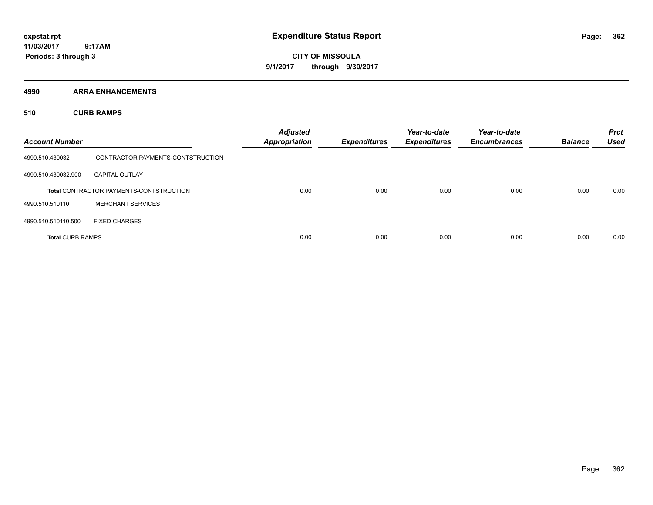**CITY OF MISSOULA 9/1/2017 through 9/30/2017**

**4990 ARRA ENHANCEMENTS**

**510 CURB RAMPS**

| <b>Account Number</b>   |                                                | <b>Adjusted</b><br><b>Appropriation</b> | <b>Expenditures</b> | Year-to-date<br><b>Expenditures</b> | Year-to-date<br><b>Encumbrances</b> | <b>Balance</b> | <b>Prct</b><br><b>Used</b> |
|-------------------------|------------------------------------------------|-----------------------------------------|---------------------|-------------------------------------|-------------------------------------|----------------|----------------------------|
| 4990.510.430032         | CONTRACTOR PAYMENTS-CONTSTRUCTION              |                                         |                     |                                     |                                     |                |                            |
| 4990.510.430032.900     | <b>CAPITAL OUTLAY</b>                          |                                         |                     |                                     |                                     |                |                            |
|                         | <b>Total CONTRACTOR PAYMENTS-CONTSTRUCTION</b> | 0.00                                    | 0.00                | 0.00                                | 0.00                                | 0.00           | 0.00                       |
| 4990.510.510110         | <b>MERCHANT SERVICES</b>                       |                                         |                     |                                     |                                     |                |                            |
| 4990.510.510110.500     | <b>FIXED CHARGES</b>                           |                                         |                     |                                     |                                     |                |                            |
| <b>Total CURB RAMPS</b> |                                                | 0.00                                    | 0.00                | 0.00                                | 0.00                                | 0.00           | 0.00                       |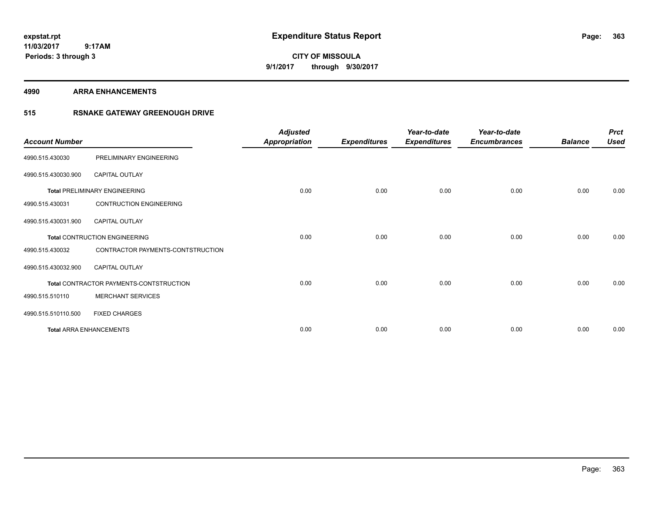**363**

**11/03/2017 9:17AM Periods: 3 through 3**

**CITY OF MISSOULA 9/1/2017 through 9/30/2017**

**4990 ARRA ENHANCEMENTS**

# **515 RSNAKE GATEWAY GREENOUGH DRIVE**

| <b>Account Number</b> |                                         | <b>Adjusted</b><br>Appropriation | <b>Expenditures</b> | Year-to-date<br><b>Expenditures</b> | Year-to-date<br><b>Encumbrances</b> | <b>Balance</b> | <b>Prct</b><br><b>Used</b> |
|-----------------------|-----------------------------------------|----------------------------------|---------------------|-------------------------------------|-------------------------------------|----------------|----------------------------|
| 4990.515.430030       | PRELIMINARY ENGINEERING                 |                                  |                     |                                     |                                     |                |                            |
| 4990.515.430030.900   | CAPITAL OUTLAY                          |                                  |                     |                                     |                                     |                |                            |
|                       | <b>Total PRELIMINARY ENGINEERING</b>    | 0.00                             | 0.00                | 0.00                                | 0.00                                | 0.00           | 0.00                       |
| 4990.515.430031       | <b>CONTRUCTION ENGINEERING</b>          |                                  |                     |                                     |                                     |                |                            |
| 4990.515.430031.900   | <b>CAPITAL OUTLAY</b>                   |                                  |                     |                                     |                                     |                |                            |
|                       | <b>Total CONTRUCTION ENGINEERING</b>    | 0.00                             | 0.00                | 0.00                                | 0.00                                | 0.00           | 0.00                       |
| 4990.515.430032       | CONTRACTOR PAYMENTS-CONTSTRUCTION       |                                  |                     |                                     |                                     |                |                            |
| 4990.515.430032.900   | <b>CAPITAL OUTLAY</b>                   |                                  |                     |                                     |                                     |                |                            |
|                       | Total CONTRACTOR PAYMENTS-CONTSTRUCTION | 0.00                             | 0.00                | 0.00                                | 0.00                                | 0.00           | 0.00                       |
| 4990.515.510110       | <b>MERCHANT SERVICES</b>                |                                  |                     |                                     |                                     |                |                            |
| 4990.515.510110.500   | <b>FIXED CHARGES</b>                    |                                  |                     |                                     |                                     |                |                            |
|                       | <b>Total ARRA ENHANCEMENTS</b>          | 0.00                             | 0.00                | 0.00                                | 0.00                                | 0.00           | 0.00                       |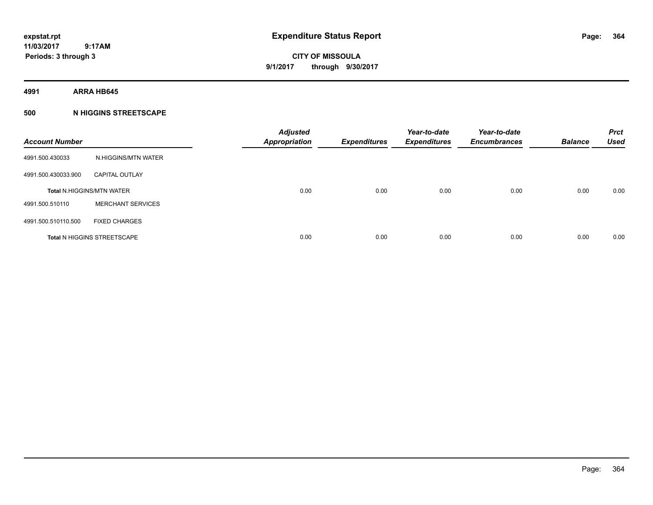**CITY OF MISSOULA 9/1/2017 through 9/30/2017**

**4991 ARRA HB645**

# **500 N HIGGINS STREETSCAPE**

| <b>Account Number</b> |                                    | <b>Adjusted</b><br><b>Appropriation</b> | <b>Expenditures</b> | Year-to-date<br><b>Expenditures</b> | Year-to-date<br><b>Encumbrances</b> | <b>Balance</b> | <b>Prct</b><br><b>Used</b> |
|-----------------------|------------------------------------|-----------------------------------------|---------------------|-------------------------------------|-------------------------------------|----------------|----------------------------|
| 4991.500.430033       | N.HIGGINS/MTN WATER                |                                         |                     |                                     |                                     |                |                            |
| 4991.500.430033.900   | <b>CAPITAL OUTLAY</b>              |                                         |                     |                                     |                                     |                |                            |
|                       | <b>Total N.HIGGINS/MTN WATER</b>   | 0.00                                    | 0.00                | 0.00                                | 0.00                                | 0.00           | 0.00                       |
| 4991.500.510110       | <b>MERCHANT SERVICES</b>           |                                         |                     |                                     |                                     |                |                            |
| 4991.500.510110.500   | <b>FIXED CHARGES</b>               |                                         |                     |                                     |                                     |                |                            |
|                       | <b>Total N HIGGINS STREETSCAPE</b> | 0.00                                    | 0.00                | 0.00                                | 0.00                                | 0.00           | 0.00                       |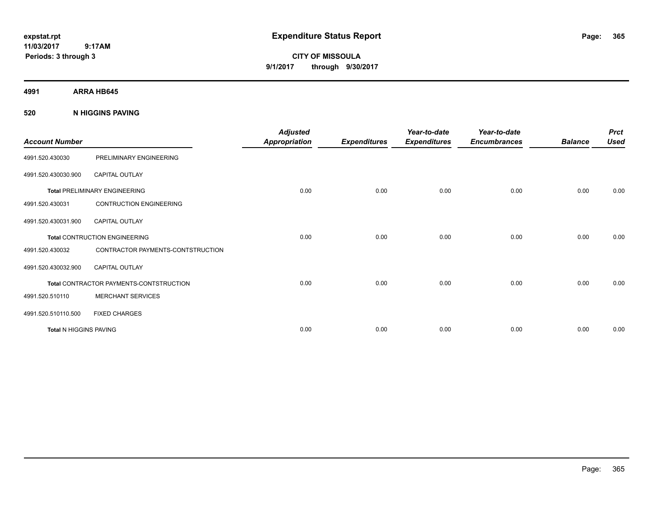**CITY OF MISSOULA 9/1/2017 through 9/30/2017**

**4991 ARRA HB645**

**520 N HIGGINS PAVING**

| <b>Account Number</b>         |                                         | <b>Adjusted</b><br><b>Appropriation</b> | <b>Expenditures</b> | Year-to-date<br><b>Expenditures</b> | Year-to-date<br><b>Encumbrances</b> | <b>Balance</b> | <b>Prct</b><br><b>Used</b> |
|-------------------------------|-----------------------------------------|-----------------------------------------|---------------------|-------------------------------------|-------------------------------------|----------------|----------------------------|
| 4991.520.430030               | PRELIMINARY ENGINEERING                 |                                         |                     |                                     |                                     |                |                            |
| 4991.520.430030.900           | <b>CAPITAL OUTLAY</b>                   |                                         |                     |                                     |                                     |                |                            |
|                               | <b>Total PRELIMINARY ENGINEERING</b>    | 0.00                                    | 0.00                | 0.00                                | 0.00                                | 0.00           | 0.00                       |
| 4991.520.430031               | <b>CONTRUCTION ENGINEERING</b>          |                                         |                     |                                     |                                     |                |                            |
| 4991.520.430031.900           | <b>CAPITAL OUTLAY</b>                   |                                         |                     |                                     |                                     |                |                            |
|                               | <b>Total CONTRUCTION ENGINEERING</b>    | 0.00                                    | 0.00                | 0.00                                | 0.00                                | 0.00           | 0.00                       |
| 4991.520.430032               | CONTRACTOR PAYMENTS-CONTSTRUCTION       |                                         |                     |                                     |                                     |                |                            |
| 4991.520.430032.900           | <b>CAPITAL OUTLAY</b>                   |                                         |                     |                                     |                                     |                |                            |
|                               | Total CONTRACTOR PAYMENTS-CONTSTRUCTION | 0.00                                    | 0.00                | 0.00                                | 0.00                                | 0.00           | 0.00                       |
| 4991.520.510110               | <b>MERCHANT SERVICES</b>                |                                         |                     |                                     |                                     |                |                            |
| 4991.520.510110.500           | <b>FIXED CHARGES</b>                    |                                         |                     |                                     |                                     |                |                            |
| <b>Total N HIGGINS PAVING</b> |                                         | 0.00                                    | 0.00                | 0.00                                | 0.00                                | 0.00           | 0.00                       |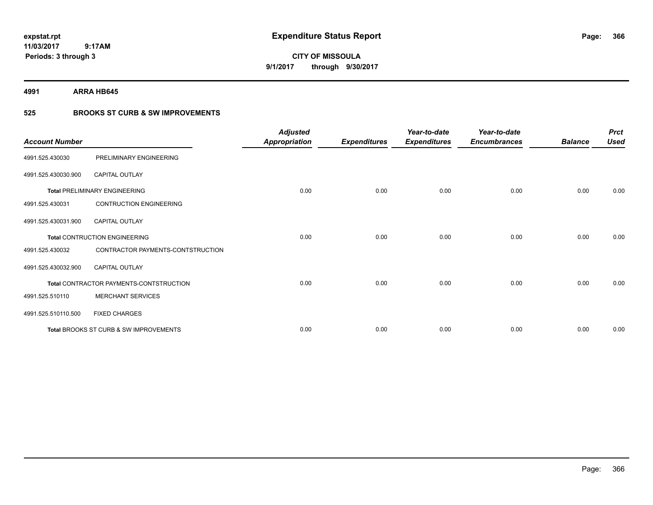**CITY OF MISSOULA 9/1/2017 through 9/30/2017**

**4991 ARRA HB645**

# **525 BROOKS ST CURB & SW IMPROVEMENTS**

| <b>Account Number</b> |                                         | <b>Adjusted</b><br><b>Appropriation</b> | <b>Expenditures</b> | Year-to-date<br><b>Expenditures</b> | Year-to-date<br><b>Encumbrances</b> | <b>Balance</b> | <b>Prct</b><br><b>Used</b> |
|-----------------------|-----------------------------------------|-----------------------------------------|---------------------|-------------------------------------|-------------------------------------|----------------|----------------------------|
| 4991.525.430030       | PRELIMINARY ENGINEERING                 |                                         |                     |                                     |                                     |                |                            |
| 4991.525.430030.900   | <b>CAPITAL OUTLAY</b>                   |                                         |                     |                                     |                                     |                |                            |
|                       | <b>Total PRELIMINARY ENGINEERING</b>    | 0.00                                    | 0.00                | 0.00                                | 0.00                                | 0.00           | 0.00                       |
| 4991.525.430031       | <b>CONTRUCTION ENGINEERING</b>          |                                         |                     |                                     |                                     |                |                            |
| 4991.525.430031.900   | <b>CAPITAL OUTLAY</b>                   |                                         |                     |                                     |                                     |                |                            |
|                       | <b>Total CONTRUCTION ENGINEERING</b>    | 0.00                                    | 0.00                | 0.00                                | 0.00                                | 0.00           | 0.00                       |
| 4991.525.430032       | CONTRACTOR PAYMENTS-CONTSTRUCTION       |                                         |                     |                                     |                                     |                |                            |
| 4991.525.430032.900   | <b>CAPITAL OUTLAY</b>                   |                                         |                     |                                     |                                     |                |                            |
|                       | Total CONTRACTOR PAYMENTS-CONTSTRUCTION | 0.00                                    | 0.00                | 0.00                                | 0.00                                | 0.00           | 0.00                       |
| 4991.525.510110       | <b>MERCHANT SERVICES</b>                |                                         |                     |                                     |                                     |                |                            |
| 4991.525.510110.500   | <b>FIXED CHARGES</b>                    |                                         |                     |                                     |                                     |                |                            |
|                       | Total BROOKS ST CURB & SW IMPROVEMENTS  | 0.00                                    | 0.00                | 0.00                                | 0.00                                | 0.00           | 0.00                       |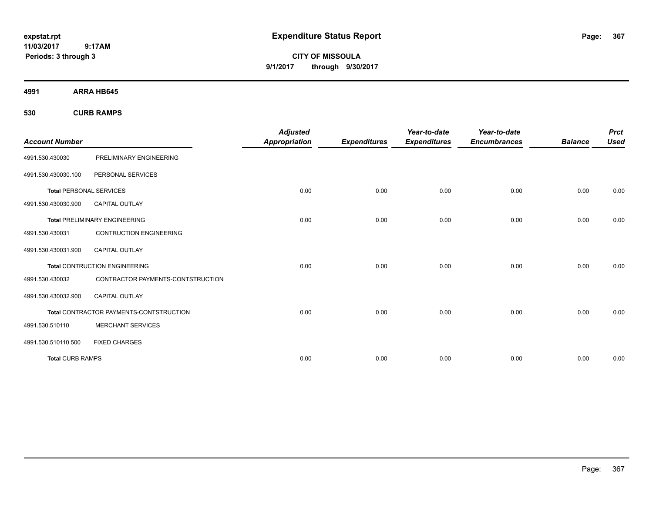**CITY OF MISSOULA 9/1/2017 through 9/30/2017**

**4991 ARRA HB645**

**530 CURB RAMPS**

| <b>Account Number</b>          |                                                | <b>Adjusted</b><br><b>Appropriation</b> | <b>Expenditures</b> | Year-to-date<br><b>Expenditures</b> | Year-to-date<br><b>Encumbrances</b> | <b>Balance</b> | <b>Prct</b><br><b>Used</b> |
|--------------------------------|------------------------------------------------|-----------------------------------------|---------------------|-------------------------------------|-------------------------------------|----------------|----------------------------|
| 4991.530.430030                | PRELIMINARY ENGINEERING                        |                                         |                     |                                     |                                     |                |                            |
| 4991.530.430030.100            | PERSONAL SERVICES                              |                                         |                     |                                     |                                     |                |                            |
| <b>Total PERSONAL SERVICES</b> |                                                | 0.00                                    | 0.00                | 0.00                                | 0.00                                | 0.00           | 0.00                       |
| 4991.530.430030.900            | <b>CAPITAL OUTLAY</b>                          |                                         |                     |                                     |                                     |                |                            |
|                                | <b>Total PRELIMINARY ENGINEERING</b>           | 0.00                                    | 0.00                | 0.00                                | 0.00                                | 0.00           | 0.00                       |
| 4991.530.430031                | <b>CONTRUCTION ENGINEERING</b>                 |                                         |                     |                                     |                                     |                |                            |
| 4991.530.430031.900            | <b>CAPITAL OUTLAY</b>                          |                                         |                     |                                     |                                     |                |                            |
|                                | <b>Total CONTRUCTION ENGINEERING</b>           | 0.00                                    | 0.00                | 0.00                                | 0.00                                | 0.00           | 0.00                       |
| 4991.530.430032                | CONTRACTOR PAYMENTS-CONTSTRUCTION              |                                         |                     |                                     |                                     |                |                            |
| 4991.530.430032.900            | <b>CAPITAL OUTLAY</b>                          |                                         |                     |                                     |                                     |                |                            |
|                                | <b>Total CONTRACTOR PAYMENTS-CONTSTRUCTION</b> | 0.00                                    | 0.00                | 0.00                                | 0.00                                | 0.00           | 0.00                       |
| 4991.530.510110                | <b>MERCHANT SERVICES</b>                       |                                         |                     |                                     |                                     |                |                            |
| 4991.530.510110.500            | <b>FIXED CHARGES</b>                           |                                         |                     |                                     |                                     |                |                            |
| <b>Total CURB RAMPS</b>        |                                                | 0.00                                    | 0.00                | 0.00                                | 0.00                                | 0.00           | 0.00                       |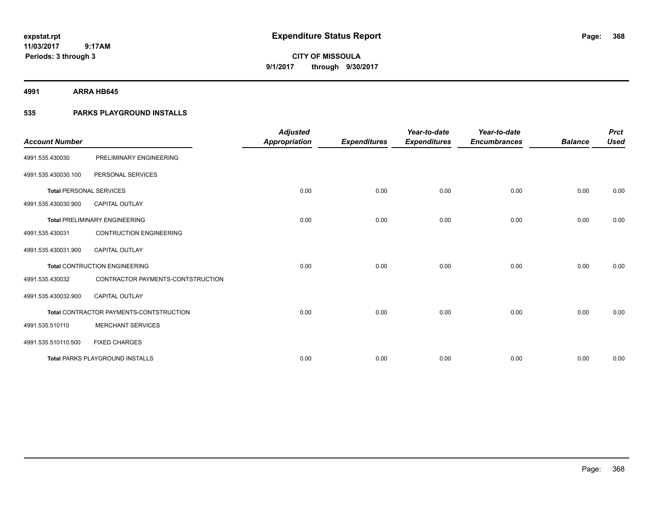**CITY OF MISSOULA 9/1/2017 through 9/30/2017**

**4991 ARRA HB645**

**Periods: 3 through 3**

# **535 PARKS PLAYGROUND INSTALLS**

 **9:17AM**

| <b>Account Number</b>          |                                         | <b>Adjusted</b><br><b>Appropriation</b> | <b>Expenditures</b> | Year-to-date<br><b>Expenditures</b> | Year-to-date<br><b>Encumbrances</b> | <b>Balance</b> | <b>Prct</b><br><b>Used</b> |
|--------------------------------|-----------------------------------------|-----------------------------------------|---------------------|-------------------------------------|-------------------------------------|----------------|----------------------------|
| 4991.535.430030                | PRELIMINARY ENGINEERING                 |                                         |                     |                                     |                                     |                |                            |
| 4991.535.430030.100            | PERSONAL SERVICES                       |                                         |                     |                                     |                                     |                |                            |
| <b>Total PERSONAL SERVICES</b> |                                         | 0.00                                    | 0.00                | 0.00                                | 0.00                                | 0.00           | 0.00                       |
| 4991.535.430030.900            | <b>CAPITAL OUTLAY</b>                   |                                         |                     |                                     |                                     |                |                            |
|                                | <b>Total PRELIMINARY ENGINEERING</b>    | 0.00                                    | 0.00                | 0.00                                | 0.00                                | 0.00           | 0.00                       |
| 4991.535.430031                | <b>CONTRUCTION ENGINEERING</b>          |                                         |                     |                                     |                                     |                |                            |
| 4991.535.430031.900            | <b>CAPITAL OUTLAY</b>                   |                                         |                     |                                     |                                     |                |                            |
|                                | <b>Total CONTRUCTION ENGINEERING</b>    | 0.00                                    | 0.00                | 0.00                                | 0.00                                | 0.00           | 0.00                       |
| 4991.535.430032                | CONTRACTOR PAYMENTS-CONTSTRUCTION       |                                         |                     |                                     |                                     |                |                            |
| 4991.535.430032.900            | <b>CAPITAL OUTLAY</b>                   |                                         |                     |                                     |                                     |                |                            |
|                                | Total CONTRACTOR PAYMENTS-CONTSTRUCTION | 0.00                                    | 0.00                | 0.00                                | 0.00                                | 0.00           | 0.00                       |
| 4991.535.510110                | <b>MERCHANT SERVICES</b>                |                                         |                     |                                     |                                     |                |                            |
| 4991.535.510110.500            | <b>FIXED CHARGES</b>                    |                                         |                     |                                     |                                     |                |                            |
|                                | <b>Total PARKS PLAYGROUND INSTALLS</b>  | 0.00                                    | 0.00                | 0.00                                | 0.00                                | 0.00           | 0.00                       |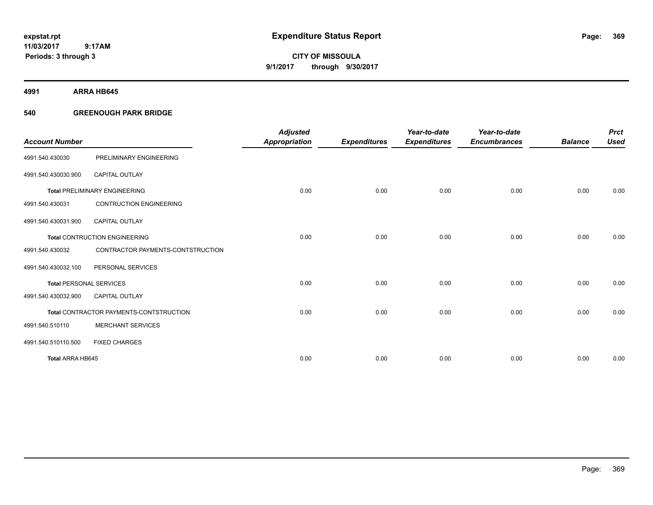# **CITY OF MISSOULA 9/1/2017 through 9/30/2017**

**4991 ARRA HB645**

# **540 GREENOUGH PARK BRIDGE**

|                                |                                         | <b>Adjusted</b> |                     | Year-to-date        | Year-to-date        |                | <b>Prct</b> |
|--------------------------------|-----------------------------------------|-----------------|---------------------|---------------------|---------------------|----------------|-------------|
| <b>Account Number</b>          |                                         | Appropriation   | <b>Expenditures</b> | <b>Expenditures</b> | <b>Encumbrances</b> | <b>Balance</b> | <b>Used</b> |
| 4991.540.430030                | PRELIMINARY ENGINEERING                 |                 |                     |                     |                     |                |             |
| 4991.540.430030.900            | <b>CAPITAL OUTLAY</b>                   |                 |                     |                     |                     |                |             |
|                                | <b>Total PRELIMINARY ENGINEERING</b>    | 0.00            | 0.00                | 0.00                | 0.00                | 0.00           | 0.00        |
| 4991.540.430031                | <b>CONTRUCTION ENGINEERING</b>          |                 |                     |                     |                     |                |             |
| 4991.540.430031.900            | <b>CAPITAL OUTLAY</b>                   |                 |                     |                     |                     |                |             |
|                                | <b>Total CONTRUCTION ENGINEERING</b>    | 0.00            | 0.00                | 0.00                | 0.00                | 0.00           | 0.00        |
| 4991.540.430032                | CONTRACTOR PAYMENTS-CONTSTRUCTION       |                 |                     |                     |                     |                |             |
| 4991.540.430032.100            | PERSONAL SERVICES                       |                 |                     |                     |                     |                |             |
| <b>Total PERSONAL SERVICES</b> |                                         | 0.00            | 0.00                | 0.00                | 0.00                | 0.00           | 0.00        |
| 4991.540.430032.900            | <b>CAPITAL OUTLAY</b>                   |                 |                     |                     |                     |                |             |
|                                | Total CONTRACTOR PAYMENTS-CONTSTRUCTION | 0.00            | 0.00                | 0.00                | 0.00                | 0.00           | 0.00        |
| 4991.540.510110                | <b>MERCHANT SERVICES</b>                |                 |                     |                     |                     |                |             |
| 4991.540.510110.500            | <b>FIXED CHARGES</b>                    |                 |                     |                     |                     |                |             |
| Total ARRA HB645               |                                         | 0.00            | 0.00                | 0.00                | 0.00                | 0.00           | 0.00        |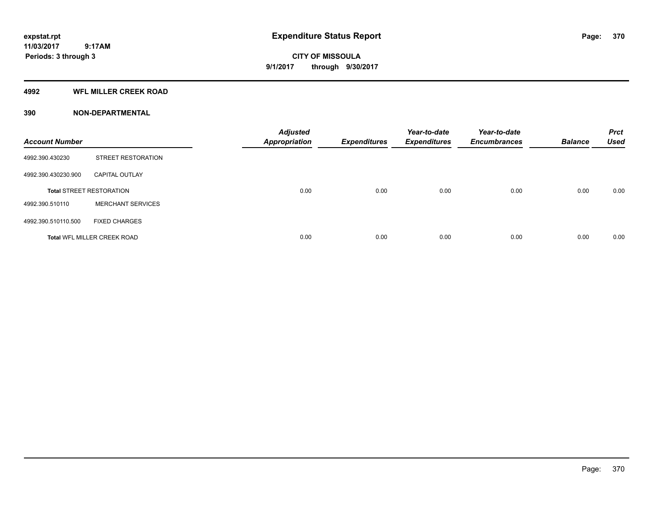**Periods: 3 through 3**

**CITY OF MISSOULA 9/1/2017 through 9/30/2017**

### **4992 WFL MILLER CREEK ROAD**

 **9:17AM**

# **390 NON-DEPARTMENTAL**

| <b>Account Number</b> |                                    | <b>Adjusted</b><br><b>Appropriation</b> | <b>Expenditures</b> | Year-to-date<br><b>Expenditures</b> | Year-to-date<br><b>Encumbrances</b> | <b>Balance</b> | <b>Prct</b><br><b>Used</b> |
|-----------------------|------------------------------------|-----------------------------------------|---------------------|-------------------------------------|-------------------------------------|----------------|----------------------------|
| 4992.390.430230       | STREET RESTORATION                 |                                         |                     |                                     |                                     |                |                            |
| 4992.390.430230.900   | <b>CAPITAL OUTLAY</b>              |                                         |                     |                                     |                                     |                |                            |
|                       | <b>Total STREET RESTORATION</b>    | 0.00                                    | 0.00                | 0.00                                | 0.00                                | 0.00           | 0.00                       |
| 4992.390.510110       | <b>MERCHANT SERVICES</b>           |                                         |                     |                                     |                                     |                |                            |
| 4992.390.510110.500   | <b>FIXED CHARGES</b>               |                                         |                     |                                     |                                     |                |                            |
|                       | <b>Total WFL MILLER CREEK ROAD</b> | 0.00                                    | 0.00                | 0.00                                | 0.00                                | 0.00           | 0.00                       |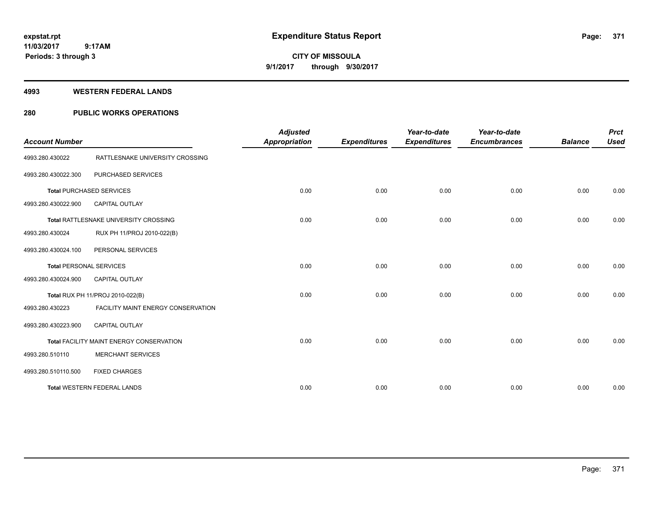# **CITY OF MISSOULA 9/1/2017 through 9/30/2017**

### **4993 WESTERN FEDERAL LANDS**

# **280 PUBLIC WORKS OPERATIONS**

| <b>Account Number</b>          |                                          | <b>Adjusted</b><br><b>Appropriation</b> | <b>Expenditures</b> | Year-to-date<br><b>Expenditures</b> | Year-to-date<br><b>Encumbrances</b> | <b>Balance</b> | <b>Prct</b><br><b>Used</b> |
|--------------------------------|------------------------------------------|-----------------------------------------|---------------------|-------------------------------------|-------------------------------------|----------------|----------------------------|
| 4993.280.430022                | RATTLESNAKE UNIVERSITY CROSSING          |                                         |                     |                                     |                                     |                |                            |
| 4993.280.430022.300            | PURCHASED SERVICES                       |                                         |                     |                                     |                                     |                |                            |
|                                | <b>Total PURCHASED SERVICES</b>          | 0.00                                    | 0.00                | 0.00                                | 0.00                                | 0.00           | 0.00                       |
| 4993.280.430022.900            | <b>CAPITAL OUTLAY</b>                    |                                         |                     |                                     |                                     |                |                            |
|                                | Total RATTLESNAKE UNIVERSITY CROSSING    | 0.00                                    | 0.00                | 0.00                                | 0.00                                | 0.00           | 0.00                       |
| 4993.280.430024                | RUX PH 11/PROJ 2010-022(B)               |                                         |                     |                                     |                                     |                |                            |
| 4993.280.430024.100            | PERSONAL SERVICES                        |                                         |                     |                                     |                                     |                |                            |
| <b>Total PERSONAL SERVICES</b> |                                          | 0.00                                    | 0.00                | 0.00                                | 0.00                                | 0.00           | 0.00                       |
| 4993.280.430024.900            | <b>CAPITAL OUTLAY</b>                    |                                         |                     |                                     |                                     |                |                            |
|                                | Total RUX PH 11/PROJ 2010-022(B)         | 0.00                                    | 0.00                | 0.00                                | 0.00                                | 0.00           | 0.00                       |
| 4993.280.430223                | FACILITY MAINT ENERGY CONSERVATION       |                                         |                     |                                     |                                     |                |                            |
| 4993.280.430223.900            | <b>CAPITAL OUTLAY</b>                    |                                         |                     |                                     |                                     |                |                            |
|                                | Total FACILITY MAINT ENERGY CONSERVATION | 0.00                                    | 0.00                | 0.00                                | 0.00                                | 0.00           | 0.00                       |
| 4993.280.510110                | <b>MERCHANT SERVICES</b>                 |                                         |                     |                                     |                                     |                |                            |
| 4993.280.510110.500            | <b>FIXED CHARGES</b>                     |                                         |                     |                                     |                                     |                |                            |
|                                | <b>Total WESTERN FEDERAL LANDS</b>       | 0.00                                    | 0.00                | 0.00                                | 0.00                                | 0.00           | 0.00                       |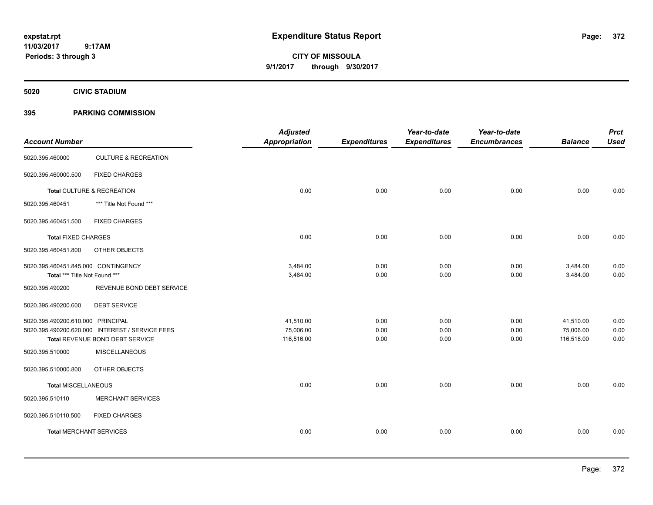**CITY OF MISSOULA 9/1/2017 through 9/30/2017**

**5020 CIVIC STADIUM**

# **395 PARKING COMMISSION**

|                                     |                                                 | <b>Adjusted</b>      |                     | Year-to-date        | Year-to-date        |                | <b>Prct</b> |
|-------------------------------------|-------------------------------------------------|----------------------|---------------------|---------------------|---------------------|----------------|-------------|
| <b>Account Number</b>               |                                                 | <b>Appropriation</b> | <b>Expenditures</b> | <b>Expenditures</b> | <b>Encumbrances</b> | <b>Balance</b> | <b>Used</b> |
| 5020.395.460000                     | <b>CULTURE &amp; RECREATION</b>                 |                      |                     |                     |                     |                |             |
| 5020.395.460000.500                 | <b>FIXED CHARGES</b>                            |                      |                     |                     |                     |                |             |
|                                     | Total CULTURE & RECREATION                      | 0.00                 | 0.00                | 0.00                | 0.00                | 0.00           | 0.00        |
| 5020.395.460451                     | *** Title Not Found ***                         |                      |                     |                     |                     |                |             |
| 5020.395.460451.500                 | <b>FIXED CHARGES</b>                            |                      |                     |                     |                     |                |             |
| <b>Total FIXED CHARGES</b>          |                                                 | 0.00                 | 0.00                | 0.00                | 0.00                | 0.00           | 0.00        |
| 5020.395.460451.800                 | OTHER OBJECTS                                   |                      |                     |                     |                     |                |             |
| 5020.395.460451.845.000 CONTINGENCY |                                                 | 3,484.00             | 0.00                | 0.00                | 0.00                | 3,484.00       | 0.00        |
| Total *** Title Not Found ***       |                                                 | 3,484.00             | 0.00                | 0.00                | 0.00                | 3,484.00       | 0.00        |
| 5020.395.490200                     | REVENUE BOND DEBT SERVICE                       |                      |                     |                     |                     |                |             |
| 5020.395.490200.600                 | <b>DEBT SERVICE</b>                             |                      |                     |                     |                     |                |             |
| 5020.395.490200.610.000 PRINCIPAL   |                                                 | 41,510.00            | 0.00                | 0.00                | 0.00                | 41,510.00      | 0.00        |
|                                     | 5020.395.490200.620.000 INTEREST / SERVICE FEES | 75,006.00            | 0.00                | 0.00                | 0.00                | 75,006.00      | 0.00        |
|                                     | Total REVENUE BOND DEBT SERVICE                 | 116,516.00           | 0.00                | 0.00                | 0.00                | 116,516.00     | 0.00        |
| 5020.395.510000                     | <b>MISCELLANEOUS</b>                            |                      |                     |                     |                     |                |             |
| 5020.395.510000.800                 | OTHER OBJECTS                                   |                      |                     |                     |                     |                |             |
| <b>Total MISCELLANEOUS</b>          |                                                 | 0.00                 | 0.00                | 0.00                | 0.00                | 0.00           | 0.00        |
| 5020.395.510110                     | <b>MERCHANT SERVICES</b>                        |                      |                     |                     |                     |                |             |
| 5020.395.510110.500                 | <b>FIXED CHARGES</b>                            |                      |                     |                     |                     |                |             |
| <b>Total MERCHANT SERVICES</b>      |                                                 | 0.00                 | 0.00                | 0.00                | 0.00                | 0.00           | 0.00        |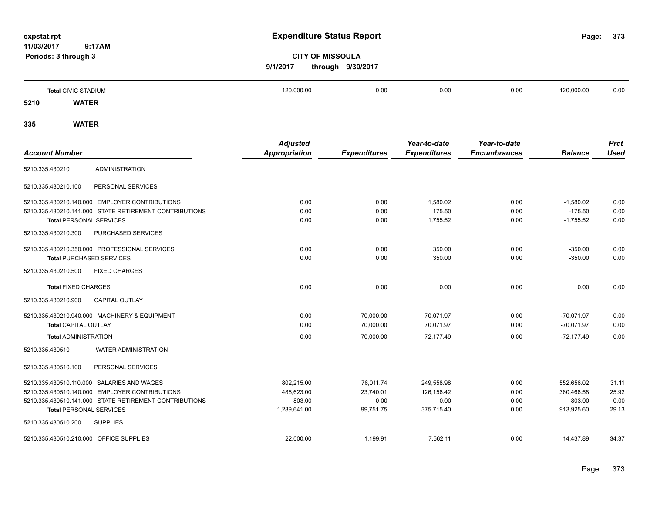**373**

# **CITY OF MISSOULA 9/1/2017 through 9/30/2017**

|      | <b>Total CIVIC STADIUM</b> | 120,000.00 | 0.00 | 0.00 | 0.00 | 120,000.00 | 0.00 |
|------|----------------------------|------------|------|------|------|------------|------|
| 5210 | <b>WATER</b>               |            |      |      |      |            |      |
|      |                            |            |      |      |      |            |      |

|                                                        | <b>Adjusted</b> |                     | Year-to-date        | Year-to-date        |                | <b>Prct</b> |
|--------------------------------------------------------|-----------------|---------------------|---------------------|---------------------|----------------|-------------|
| <b>Account Number</b>                                  | Appropriation   | <b>Expenditures</b> | <b>Expenditures</b> | <b>Encumbrances</b> | <b>Balance</b> | <b>Used</b> |
| <b>ADMINISTRATION</b><br>5210.335.430210               |                 |                     |                     |                     |                |             |
| PERSONAL SERVICES<br>5210.335.430210.100               |                 |                     |                     |                     |                |             |
| 5210.335.430210.140.000 EMPLOYER CONTRIBUTIONS         | 0.00            | 0.00                | 1,580.02            | 0.00                | $-1,580.02$    | 0.00        |
| 5210.335.430210.141.000 STATE RETIREMENT CONTRIBUTIONS | 0.00            | 0.00                | 175.50              | 0.00                | $-175.50$      | 0.00        |
| <b>Total PERSONAL SERVICES</b>                         | 0.00            | 0.00                | 1,755.52            | 0.00                | $-1,755.52$    | 0.00        |
| 5210.335.430210.300<br>PURCHASED SERVICES              |                 |                     |                     |                     |                |             |
| 5210.335.430210.350.000 PROFESSIONAL SERVICES          | 0.00            | 0.00                | 350.00              | 0.00                | $-350.00$      | 0.00        |
| <b>Total PURCHASED SERVICES</b>                        | 0.00            | 0.00                | 350.00              | 0.00                | $-350.00$      | 0.00        |
| <b>FIXED CHARGES</b><br>5210.335.430210.500            |                 |                     |                     |                     |                |             |
| <b>Total FIXED CHARGES</b>                             | 0.00            | 0.00                | 0.00                | 0.00                | 0.00           | 0.00        |
| 5210.335.430210.900<br>CAPITAL OUTLAY                  |                 |                     |                     |                     |                |             |
| 5210.335.430210.940.000 MACHINERY & EQUIPMENT          | 0.00            | 70,000.00           | 70,071.97           | 0.00                | $-70,071.97$   | 0.00        |
| <b>Total CAPITAL OUTLAY</b>                            | 0.00            | 70,000.00           | 70,071.97           | 0.00                | $-70,071.97$   | 0.00        |
| <b>Total ADMINISTRATION</b>                            | 0.00            | 70,000.00           | 72,177.49           | 0.00                | $-72,177.49$   | 0.00        |
| <b>WATER ADMINISTRATION</b><br>5210.335.430510         |                 |                     |                     |                     |                |             |
| PERSONAL SERVICES<br>5210.335.430510.100               |                 |                     |                     |                     |                |             |
| 5210.335.430510.110.000 SALARIES AND WAGES             | 802,215.00      | 76,011.74           | 249,558.98          | 0.00                | 552,656.02     | 31.11       |
| 5210.335.430510.140.000 EMPLOYER CONTRIBUTIONS         | 486,623.00      | 23,740.01           | 126,156.42          | 0.00                | 360,466.58     | 25.92       |
| 5210.335.430510.141.000 STATE RETIREMENT CONTRIBUTIONS | 803.00          | 0.00                | 0.00                | 0.00                | 803.00         | 0.00        |
| <b>Total PERSONAL SERVICES</b>                         | 1,289,641.00    | 99,751.75           | 375,715.40          | 0.00                | 913,925.60     | 29.13       |
| 5210.335.430510.200<br><b>SUPPLIES</b>                 |                 |                     |                     |                     |                |             |
| 5210.335.430510.210.000 OFFICE SUPPLIES                | 22,000.00       | 1.199.91            | 7.562.11            | 0.00                | 14.437.89      | 34.37       |
|                                                        |                 |                     |                     |                     |                |             |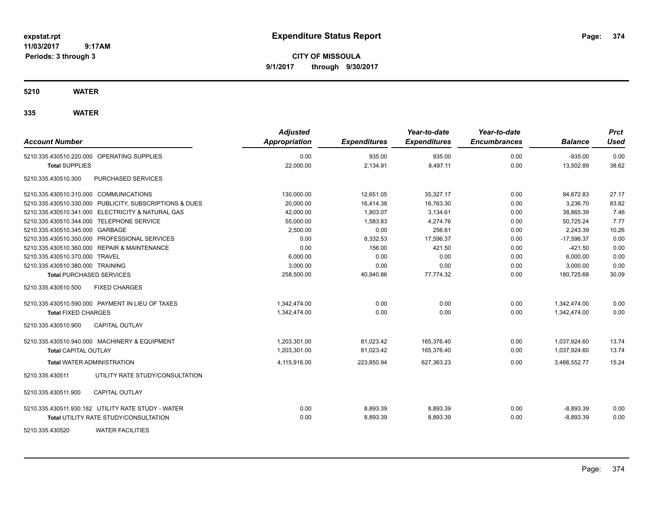**CITY OF MISSOULA 9/1/2017 through 9/30/2017**

**5210 WATER**

| <b>Account Number</b>                                   | <b>Adjusted</b><br><b>Appropriation</b> | <b>Expenditures</b> | Year-to-date<br><b>Expenditures</b> | Year-to-date<br><b>Encumbrances</b> | <b>Balance</b> | <b>Prct</b><br>Used |
|---------------------------------------------------------|-----------------------------------------|---------------------|-------------------------------------|-------------------------------------|----------------|---------------------|
| 5210.335.430510.220.000 OPERATING SUPPLIES              | 0.00                                    | 935.00              | 935.00                              | 0.00                                | $-935.00$      | 0.00                |
| <b>Total SUPPLIES</b>                                   | 22,000.00                               | 2,134.91            | 8,497.11                            | 0.00                                | 13,502.89      | 38.62               |
| PURCHASED SERVICES<br>5210.335.430510.300               |                                         |                     |                                     |                                     |                |                     |
| 5210.335.430510.310.000 COMMUNICATIONS                  | 130,000.00                              | 12,651.05           | 35,327.17                           | 0.00                                | 94,672.83      | 27.17               |
| 5210.335.430510.330.000 PUBLICITY, SUBSCRIPTIONS & DUES | 20,000.00                               | 16,414.38           | 16,763.30                           | 0.00                                | 3.236.70       | 83.82               |
| 5210.335.430510.341.000 ELECTRICITY & NATURAL GAS       | 42,000.00                               | 1,803.07            | 3,134.61                            | 0.00                                | 38,865.39      | 7.46                |
| 5210.335.430510.344.000 TELEPHONE SERVICE               | 55,000.00                               | 1,583.83            | 4,274.76                            | 0.00                                | 50,725.24      | 7.77                |
| 5210.335.430510.345.000 GARBAGE                         | 2,500.00                                | 0.00                | 256.61                              | 0.00                                | 2,243.39       | 10.26               |
| 5210.335.430510.350.000 PROFESSIONAL SERVICES           | 0.00                                    | 8,332.53            | 17,596.37                           | 0.00                                | $-17,596.37$   | 0.00                |
| 5210.335.430510.360.000 REPAIR & MAINTENANCE            | 0.00                                    | 156.00              | 421.50                              | 0.00                                | $-421.50$      | 0.00                |
| 5210.335.430510.370.000 TRAVEL                          | 6,000.00                                | 0.00                | 0.00                                | 0.00                                | 6,000.00       | 0.00                |
| 5210.335.430510.380.000 TRAINING                        | 3,000.00                                | 0.00                | 0.00                                | 0.00                                | 3,000.00       | 0.00                |
| <b>Total PURCHASED SERVICES</b>                         | 258,500.00                              | 40,940.86           | 77,774.32                           | 0.00                                | 180,725.68     | 30.09               |
| 5210.335.430510.500<br><b>FIXED CHARGES</b>             |                                         |                     |                                     |                                     |                |                     |
| 5210.335.430510.590.000 PAYMENT IN LIEU OF TAXES        | 1,342,474.00                            | 0.00                | 0.00                                | 0.00                                | 1,342,474.00   | 0.00                |
| <b>Total FIXED CHARGES</b>                              | 1,342,474.00                            | 0.00                | 0.00                                | 0.00                                | 1,342,474.00   | 0.00                |
| 5210.335.430510.900<br><b>CAPITAL OUTLAY</b>            |                                         |                     |                                     |                                     |                |                     |
| 5210.335.430510.940.000 MACHINERY & EQUIPMENT           | 1,203,301.00                            | 81,023.42           | 165,376.40                          | 0.00                                | 1,037,924.60   | 13.74               |
| <b>Total CAPITAL OUTLAY</b>                             | 1.203.301.00                            | 81,023.42           | 165.376.40                          | 0.00                                | 1,037,924.60   | 13.74               |
| <b>Total WATER ADMINISTRATION</b>                       | 4,115,916.00                            | 223,850.94          | 627,363.23                          | 0.00                                | 3,488,552.77   | 15.24               |
| 5210.335.430511<br>UTILITY RATE STUDY/CONSULTATION      |                                         |                     |                                     |                                     |                |                     |
| 5210.335.430511.900<br><b>CAPITAL OUTLAY</b>            |                                         |                     |                                     |                                     |                |                     |
| 5210.335.430511.930.182 UTILITY RATE STUDY - WATER      | 0.00                                    | 8,893.39            | 8,893.39                            | 0.00                                | $-8,893.39$    | 0.00                |
| <b>Total UTILITY RATE STUDY/CONSULTATION</b>            | 0.00                                    | 8,893.39            | 8,893.39                            | 0.00                                | $-8,893.39$    | 0.00                |
| <b>WATER FACILITIES</b><br>5210.335.430520              |                                         |                     |                                     |                                     |                |                     |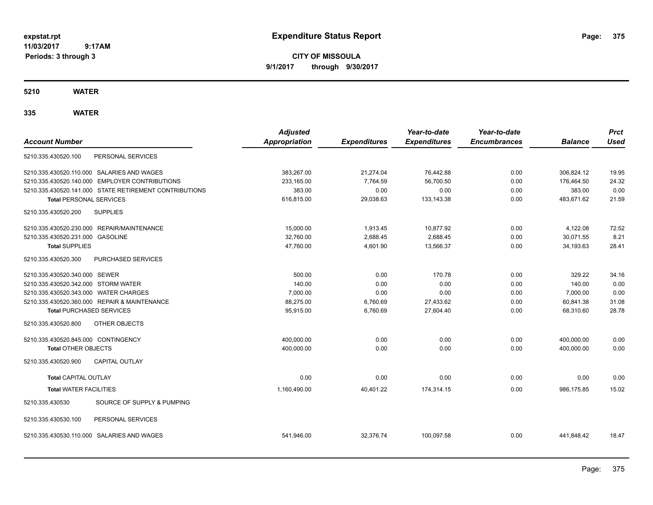**CITY OF MISSOULA 9/1/2017 through 9/30/2017**

**5210 WATER**

|                                       |                                                        | <b>Adjusted</b>      |                     | Year-to-date        | Year-to-date        |                | <b>Prct</b> |
|---------------------------------------|--------------------------------------------------------|----------------------|---------------------|---------------------|---------------------|----------------|-------------|
| <b>Account Number</b>                 |                                                        | <b>Appropriation</b> | <b>Expenditures</b> | <b>Expenditures</b> | <b>Encumbrances</b> | <b>Balance</b> | <b>Used</b> |
| 5210.335.430520.100                   | PERSONAL SERVICES                                      |                      |                     |                     |                     |                |             |
|                                       | 5210.335.430520.110.000 SALARIES AND WAGES             | 383,267.00           | 21,274.04           | 76,442.88           | 0.00                | 306,824.12     | 19.95       |
|                                       | 5210.335.430520.140.000 EMPLOYER CONTRIBUTIONS         | 233,165.00           | 7.764.59            | 56.700.50           | 0.00                | 176,464.50     | 24.32       |
|                                       | 5210.335.430520.141.000 STATE RETIREMENT CONTRIBUTIONS | 383.00               | 0.00                | 0.00                | 0.00                | 383.00         | 0.00        |
| <b>Total PERSONAL SERVICES</b>        |                                                        | 616,815.00           | 29,038.63           | 133,143.38          | 0.00                | 483,671.62     | 21.59       |
| 5210.335.430520.200                   | <b>SUPPLIES</b>                                        |                      |                     |                     |                     |                |             |
|                                       | 5210.335.430520.230.000 REPAIR/MAINTENANCE             | 15,000.00            | 1,913.45            | 10,877.92           | 0.00                | 4,122.08       | 72.52       |
| 5210.335.430520.231.000 GASOLINE      |                                                        | 32,760.00            | 2,688.45            | 2,688.45            | 0.00                | 30,071.55      | 8.21        |
| <b>Total SUPPLIES</b>                 |                                                        | 47,760.00            | 4,601.90            | 13,566.37           | 0.00                | 34,193.63      | 28.41       |
| 5210.335.430520.300                   | PURCHASED SERVICES                                     |                      |                     |                     |                     |                |             |
| 5210.335.430520.340.000 SEWER         |                                                        | 500.00               | 0.00                | 170.78              | 0.00                | 329.22         | 34.16       |
| 5210.335.430520.342.000 STORM WATER   |                                                        | 140.00               | 0.00                | 0.00                | 0.00                | 140.00         | 0.00        |
| 5210.335.430520.343.000 WATER CHARGES |                                                        | 7.000.00             | 0.00                | 0.00                | 0.00                | 7.000.00       | 0.00        |
|                                       | 5210.335.430520.360.000 REPAIR & MAINTENANCE           | 88,275.00            | 6,760.69            | 27,433.62           | 0.00                | 60,841.38      | 31.08       |
| <b>Total PURCHASED SERVICES</b>       |                                                        | 95,915.00            | 6,760.69            | 27,604.40           | 0.00                | 68,310.60      | 28.78       |
| 5210.335.430520.800                   | OTHER OBJECTS                                          |                      |                     |                     |                     |                |             |
| 5210.335.430520.845.000 CONTINGENCY   |                                                        | 400,000.00           | 0.00                | 0.00                | 0.00                | 400,000.00     | 0.00        |
| <b>Total OTHER OBJECTS</b>            |                                                        | 400,000.00           | 0.00                | 0.00                | 0.00                | 400,000.00     | 0.00        |
| 5210.335.430520.900                   | <b>CAPITAL OUTLAY</b>                                  |                      |                     |                     |                     |                |             |
| <b>Total CAPITAL OUTLAY</b>           |                                                        | 0.00                 | 0.00                | 0.00                | 0.00                | 0.00           | 0.00        |
| <b>Total WATER FACILITIES</b>         |                                                        | 1,160,490.00         | 40,401.22           | 174,314.15          | 0.00                | 986,175.85     | 15.02       |
| 5210.335.430530                       | SOURCE OF SUPPLY & PUMPING                             |                      |                     |                     |                     |                |             |
| 5210.335.430530.100                   | PERSONAL SERVICES                                      |                      |                     |                     |                     |                |             |
|                                       | 5210.335.430530.110.000 SALARIES AND WAGES             | 541,946.00           | 32,376.74           | 100.097.58          | 0.00                | 441,848.42     | 18.47       |
|                                       |                                                        |                      |                     |                     |                     |                |             |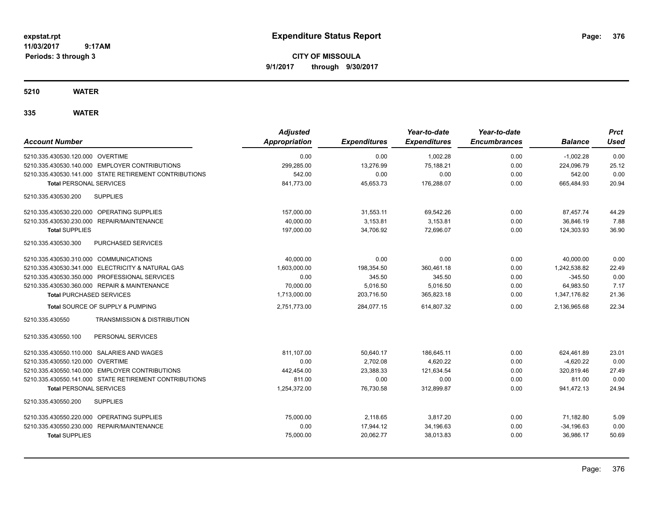**CITY OF MISSOULA 9/1/2017 through 9/30/2017**

# **5210 WATER**

| <b>Account Number</b>                                     | <b>Adjusted</b><br>Appropriation | <b>Expenditures</b> | Year-to-date<br><b>Expenditures</b> | Year-to-date<br><b>Encumbrances</b> | <b>Balance</b> | <b>Prct</b><br><b>Used</b> |
|-----------------------------------------------------------|----------------------------------|---------------------|-------------------------------------|-------------------------------------|----------------|----------------------------|
| 5210.335.430530.120.000 OVERTIME                          | 0.00                             | 0.00                | 1,002.28                            | 0.00                                | $-1,002.28$    | 0.00                       |
| 5210.335.430530.140.000 EMPLOYER CONTRIBUTIONS            | 299,285.00                       | 13,276.99           | 75,188.21                           | 0.00                                | 224,096.79     | 25.12                      |
| 5210.335.430530.141.000 STATE RETIREMENT CONTRIBUTIONS    | 542.00                           | 0.00                | 0.00                                | 0.00                                | 542.00         | 0.00                       |
| <b>Total PERSONAL SERVICES</b>                            | 841,773.00                       | 45,653.73           | 176,288.07                          | 0.00                                | 665,484.93     | 20.94                      |
| 5210.335.430530.200<br><b>SUPPLIES</b>                    |                                  |                     |                                     |                                     |                |                            |
| 5210.335.430530.220.000 OPERATING SUPPLIES                | 157,000.00                       | 31,553.11           | 69,542.26                           | 0.00                                | 87,457.74      | 44.29                      |
| 5210.335.430530.230.000 REPAIR/MAINTENANCE                | 40,000.00                        | 3,153.81            | 3,153.81                            | 0.00                                | 36,846.19      | 7.88                       |
| <b>Total SUPPLIES</b>                                     | 197,000.00                       | 34,706.92           | 72,696.07                           | 0.00                                | 124,303.93     | 36.90                      |
| 5210.335.430530.300<br>PURCHASED SERVICES                 |                                  |                     |                                     |                                     |                |                            |
| 5210.335.430530.310.000 COMMUNICATIONS                    | 40,000.00                        | 0.00                | 0.00                                | 0.00                                | 40,000.00      | 0.00                       |
| 5210.335.430530.341.000 ELECTRICITY & NATURAL GAS         | 1,603,000.00                     | 198,354.50          | 360.461.18                          | 0.00                                | 1,242,538.82   | 22.49                      |
| 5210.335.430530.350.000 PROFESSIONAL SERVICES             | 0.00                             | 345.50              | 345.50                              | 0.00                                | $-345.50$      | 0.00                       |
| 5210.335.430530.360.000 REPAIR & MAINTENANCE              | 70,000.00                        | 5,016.50            | 5,016.50                            | 0.00                                | 64,983.50      | 7.17                       |
| <b>Total PURCHASED SERVICES</b>                           | 1,713,000.00                     | 203,716.50          | 365,823.18                          | 0.00                                | 1,347,176.82   | 21.36                      |
| Total SOURCE OF SUPPLY & PUMPING                          | 2,751,773.00                     | 284,077.15          | 614,807.32                          | 0.00                                | 2,136,965.68   | 22.34                      |
| 5210.335.430550<br><b>TRANSMISSION &amp; DISTRIBUTION</b> |                                  |                     |                                     |                                     |                |                            |
| PERSONAL SERVICES<br>5210.335.430550.100                  |                                  |                     |                                     |                                     |                |                            |
| 5210.335.430550.110.000 SALARIES AND WAGES                | 811,107.00                       | 50,640.17           | 186,645.11                          | 0.00                                | 624,461.89     | 23.01                      |
| 5210.335.430550.120.000 OVERTIME                          | 0.00                             | 2,702.08            | 4,620.22                            | 0.00                                | $-4,620.22$    | 0.00                       |
| 5210.335.430550.140.000 EMPLOYER CONTRIBUTIONS            | 442,454.00                       | 23,388.33           | 121.634.54                          | 0.00                                | 320.819.46     | 27.49                      |
| 5210.335.430550.141.000 STATE RETIREMENT CONTRIBUTIONS    | 811.00                           | 0.00                | 0.00                                | 0.00                                | 811.00         | 0.00                       |
| <b>Total PERSONAL SERVICES</b>                            | 1,254,372.00                     | 76,730.58           | 312,899.87                          | 0.00                                | 941,472.13     | 24.94                      |
| 5210.335.430550.200<br><b>SUPPLIES</b>                    |                                  |                     |                                     |                                     |                |                            |
| 5210.335.430550.220.000 OPERATING SUPPLIES                | 75,000.00                        | 2,118.65            | 3,817.20                            | 0.00                                | 71,182.80      | 5.09                       |
| 5210.335.430550.230.000 REPAIR/MAINTENANCE                | 0.00                             | 17,944.12           | 34,196.63                           | 0.00                                | $-34,196.63$   | 0.00                       |
| <b>Total SUPPLIES</b>                                     | 75,000.00                        | 20.062.77           | 38.013.83                           | 0.00                                | 36.986.17      | 50.69                      |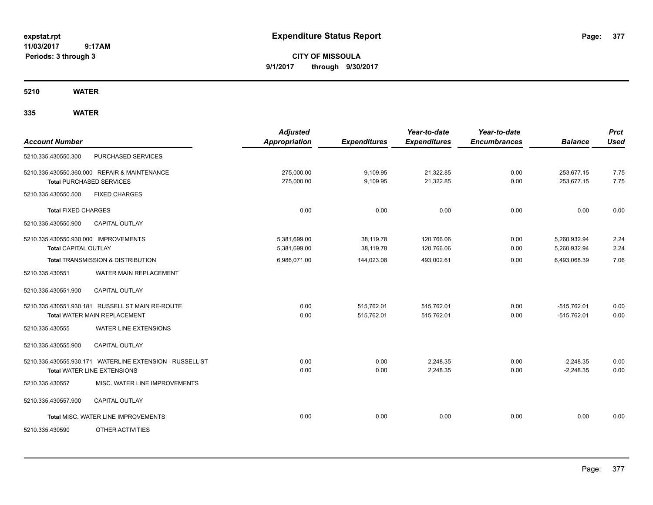**CITY OF MISSOULA 9/1/2017 through 9/30/2017**

**5210 WATER**

| <b>Account Number</b>                                               |                                                                                                | <b>Adjusted</b><br><b>Appropriation</b> | <b>Expenditures</b>      | Year-to-date<br><b>Expenditures</b> | Year-to-date<br><b>Encumbrances</b> | <b>Balance</b>                 | <b>Prct</b><br><b>Used</b> |
|---------------------------------------------------------------------|------------------------------------------------------------------------------------------------|-----------------------------------------|--------------------------|-------------------------------------|-------------------------------------|--------------------------------|----------------------------|
| 5210.335.430550.300                                                 | PURCHASED SERVICES                                                                             |                                         |                          |                                     |                                     |                                |                            |
|                                                                     | 5210.335.430550.360.000 REPAIR & MAINTENANCE<br><b>Total PURCHASED SERVICES</b>                | 275,000.00<br>275,000.00                | 9,109.95<br>9,109.95     | 21,322.85<br>21,322.85              | 0.00<br>0.00                        | 253,677.15<br>253,677.15       | 7.75<br>7.75               |
| 5210.335.430550.500                                                 | <b>FIXED CHARGES</b>                                                                           |                                         |                          |                                     |                                     |                                |                            |
| <b>Total FIXED CHARGES</b>                                          |                                                                                                | 0.00                                    | 0.00                     | 0.00                                | 0.00                                | 0.00                           | 0.00                       |
| 5210.335.430550.900                                                 | <b>CAPITAL OUTLAY</b>                                                                          |                                         |                          |                                     |                                     |                                |                            |
| 5210.335.430550.930.000 IMPROVEMENTS<br><b>Total CAPITAL OUTLAY</b> |                                                                                                | 5,381,699.00<br>5,381,699.00            | 38,119.78<br>38,119.78   | 120,766.06<br>120,766.06            | 0.00<br>0.00                        | 5,260,932.94<br>5,260,932.94   | 2.24<br>2.24               |
|                                                                     | Total TRANSMISSION & DISTRIBUTION                                                              | 6,986,071.00                            | 144,023.08               | 493,002.61                          | 0.00                                | 6,493,068.39                   | 7.06                       |
| 5210.335.430551                                                     | WATER MAIN REPLACEMENT                                                                         |                                         |                          |                                     |                                     |                                |                            |
| 5210.335.430551.900                                                 | <b>CAPITAL OUTLAY</b>                                                                          |                                         |                          |                                     |                                     |                                |                            |
|                                                                     | 5210.335.430551.930.181 RUSSELL ST MAIN RE-ROUTE<br>Total WATER MAIN REPLACEMENT               | 0.00<br>0.00                            | 515,762.01<br>515,762.01 | 515,762.01<br>515,762.01            | 0.00<br>0.00                        | $-515,762.01$<br>$-515,762.01$ | 0.00<br>0.00               |
| 5210.335.430555                                                     | <b>WATER LINE EXTENSIONS</b>                                                                   |                                         |                          |                                     |                                     |                                |                            |
| 5210.335.430555.900                                                 | <b>CAPITAL OUTLAY</b>                                                                          |                                         |                          |                                     |                                     |                                |                            |
|                                                                     | 5210.335.430555.930.171 WATERLINE EXTENSION - RUSSELL ST<br><b>Total WATER LINE EXTENSIONS</b> | 0.00<br>0.00                            | 0.00<br>0.00             | 2.248.35<br>2,248.35                | 0.00<br>0.00                        | $-2,248.35$<br>$-2,248.35$     | 0.00<br>0.00               |
| 5210.335.430557                                                     | MISC. WATER LINE IMPROVEMENTS                                                                  |                                         |                          |                                     |                                     |                                |                            |
| 5210.335.430557.900                                                 | <b>CAPITAL OUTLAY</b>                                                                          |                                         |                          |                                     |                                     |                                |                            |
|                                                                     | Total MISC. WATER LINE IMPROVEMENTS                                                            | 0.00                                    | 0.00                     | 0.00                                | 0.00                                | 0.00                           | 0.00                       |
| 5210.335.430590                                                     | OTHER ACTIVITIES                                                                               |                                         |                          |                                     |                                     |                                |                            |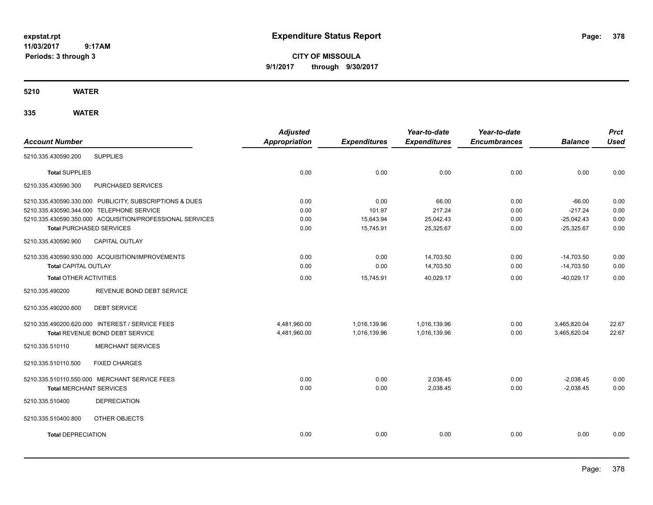**CITY OF MISSOULA 9/1/2017 through 9/30/2017**

**5210 WATER**

| <b>Account Number</b>                                     | <b>Adjusted</b><br><b>Appropriation</b> | <b>Expenditures</b> | Year-to-date<br><b>Expenditures</b> | Year-to-date<br><b>Encumbrances</b> | <b>Balance</b> | <b>Prct</b><br><b>Used</b> |
|-----------------------------------------------------------|-----------------------------------------|---------------------|-------------------------------------|-------------------------------------|----------------|----------------------------|
| 5210.335.430590.200<br><b>SUPPLIES</b>                    |                                         |                     |                                     |                                     |                |                            |
| <b>Total SUPPLIES</b>                                     | 0.00                                    | 0.00                | 0.00                                | 0.00                                | 0.00           | 0.00                       |
| PURCHASED SERVICES<br>5210.335.430590.300                 |                                         |                     |                                     |                                     |                |                            |
| 5210.335.430590.330.000 PUBLICITY, SUBSCRIPTIONS & DUES   | 0.00                                    | 0.00                | 66.00                               | 0.00                                | $-66.00$       | 0.00                       |
| 5210.335.430590.344.000 TELEPHONE SERVICE                 | 0.00                                    | 101.97              | 217.24                              | 0.00                                | $-217.24$      | 0.00                       |
| 5210.335.430590.350.000 ACQUISITION/PROFESSIONAL SERVICES | 0.00                                    | 15,643.94           | 25,042.43                           | 0.00                                | $-25,042.43$   | 0.00                       |
| <b>Total PURCHASED SERVICES</b>                           | 0.00                                    | 15,745.91           | 25,325.67                           | 0.00                                | $-25,325.67$   | 0.00                       |
| 5210.335.430590.900<br><b>CAPITAL OUTLAY</b>              |                                         |                     |                                     |                                     |                |                            |
| 5210.335.430590.930.000 ACQUISITION/IMPROVEMENTS          | 0.00                                    | 0.00                | 14,703.50                           | 0.00                                | $-14,703.50$   | 0.00                       |
| <b>Total CAPITAL OUTLAY</b>                               | 0.00                                    | 0.00                | 14,703.50                           | 0.00                                | $-14,703.50$   | 0.00                       |
| <b>Total OTHER ACTIVITIES</b>                             | 0.00                                    | 15,745.91           | 40,029.17                           | 0.00                                | $-40,029.17$   | 0.00                       |
| 5210.335.490200<br>REVENUE BOND DEBT SERVICE              |                                         |                     |                                     |                                     |                |                            |
| 5210.335.490200.600<br><b>DEBT SERVICE</b>                |                                         |                     |                                     |                                     |                |                            |
| 5210.335.490200.620.000 INTEREST / SERVICE FEES           | 4,481,960.00                            | 1,016,139.96        | 1,016,139.96                        | 0.00                                | 3,465,820.04   | 22.67                      |
| Total REVENUE BOND DEBT SERVICE                           | 4,481,960.00                            | 1,016,139.96        | 1,016,139.96                        | 0.00                                | 3,465,820.04   | 22.67                      |
| <b>MERCHANT SERVICES</b><br>5210.335.510110               |                                         |                     |                                     |                                     |                |                            |
| <b>FIXED CHARGES</b><br>5210.335.510110.500               |                                         |                     |                                     |                                     |                |                            |
| 5210.335.510110.550.000 MERCHANT SERVICE FEES             | 0.00                                    | 0.00                | 2,038.45                            | 0.00                                | $-2,038.45$    | 0.00                       |
| <b>Total MERCHANT SERVICES</b>                            | 0.00                                    | 0.00                | 2,038.45                            | 0.00                                | $-2,038.45$    | 0.00                       |
| <b>DEPRECIATION</b><br>5210.335.510400                    |                                         |                     |                                     |                                     |                |                            |
| 5210.335.510400.800<br>OTHER OBJECTS                      |                                         |                     |                                     |                                     |                |                            |
| <b>Total DEPRECIATION</b>                                 | 0.00                                    | 0.00                | 0.00                                | 0.00                                | 0.00           | 0.00                       |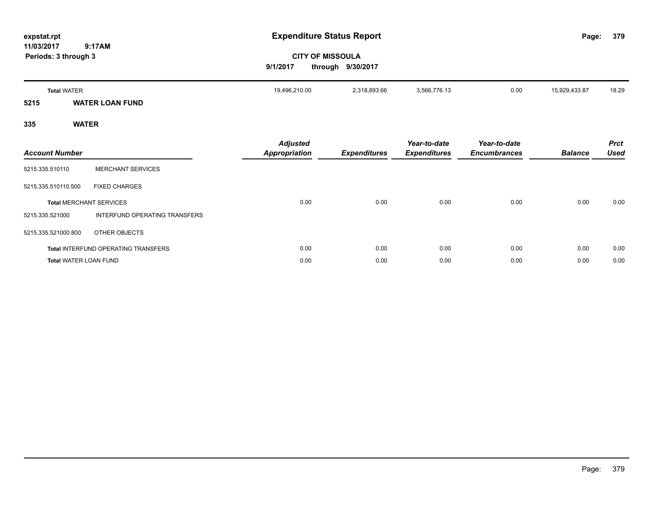| expstat.rpt<br>11/03/2017<br>Periods: 3 through 3 | 9:17AM                         | 9/1/2017                                | <b>Expenditure Status Report</b><br><b>CITY OF MISSOULA</b><br>through 9/30/2017 |                                     |                                     | Page:          | 379                        |
|---------------------------------------------------|--------------------------------|-----------------------------------------|----------------------------------------------------------------------------------|-------------------------------------|-------------------------------------|----------------|----------------------------|
| <b>Total WATER</b>                                |                                | 19,496,210.00                           | 2,318,893.66                                                                     | 3,566,776.13                        | 0.00                                | 15,929,433.87  | 18.29                      |
| 5215                                              | <b>WATER LOAN FUND</b>         |                                         |                                                                                  |                                     |                                     |                |                            |
| 335                                               | <b>WATER</b>                   |                                         |                                                                                  |                                     |                                     |                |                            |
| <b>Account Number</b>                             |                                | <b>Adjusted</b><br><b>Appropriation</b> | <b>Expenditures</b>                                                              | Year-to-date<br><b>Expenditures</b> | Year-to-date<br><b>Encumbrances</b> | <b>Balance</b> | <b>Prct</b><br><b>Used</b> |
| 5215.335.510110                                   | <b>MERCHANT SERVICES</b>       |                                         |                                                                                  |                                     |                                     |                |                            |
| 5215.335.510110.500                               | <b>FIXED CHARGES</b>           |                                         |                                                                                  |                                     |                                     |                |                            |
|                                                   | <b>Total MERCHANT SERVICES</b> | 0.00                                    | 0.00                                                                             | 0.00                                | 0.00                                | 0.00           | 0.00                       |

**Total** INTERFUND OPERATING TRANSFERS 0.00 0.00 0.00 0.00 0.00 0.00 **Total** WATER LOAN FUND 0.00 0.00 0.00 0.00 0.00 0.00

5215.335.521000 INTERFUND OPERATING TRANSFERS

5215.335.521000.800 OTHER OBJECTS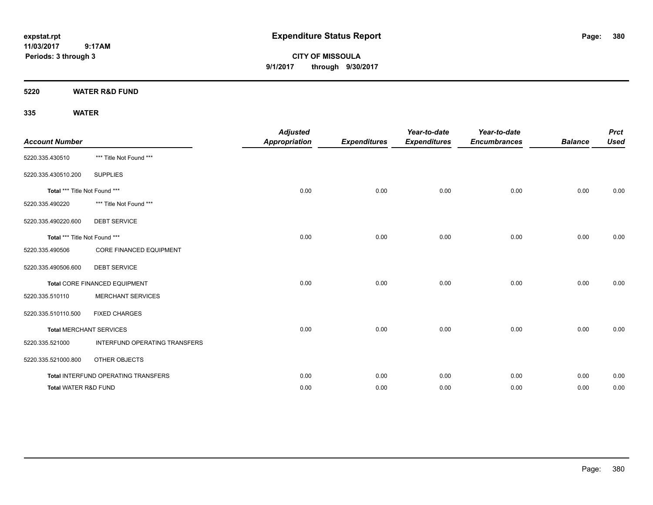**CITY OF MISSOULA 9/1/2017 through 9/30/2017**

**5220 WATER R&D FUND**

| <b>Account Number</b>         |                                     | <b>Adjusted</b><br><b>Appropriation</b> | <b>Expenditures</b> | Year-to-date<br><b>Expenditures</b> | Year-to-date<br><b>Encumbrances</b> | <b>Balance</b> | <b>Prct</b><br><b>Used</b> |
|-------------------------------|-------------------------------------|-----------------------------------------|---------------------|-------------------------------------|-------------------------------------|----------------|----------------------------|
| 5220.335.430510               | *** Title Not Found ***             |                                         |                     |                                     |                                     |                |                            |
| 5220.335.430510.200           | <b>SUPPLIES</b>                     |                                         |                     |                                     |                                     |                |                            |
| Total *** Title Not Found *** |                                     | 0.00                                    | 0.00                | 0.00                                | 0.00                                | 0.00           | 0.00                       |
| 5220.335.490220               | *** Title Not Found ***             |                                         |                     |                                     |                                     |                |                            |
| 5220.335.490220.600           | <b>DEBT SERVICE</b>                 |                                         |                     |                                     |                                     |                |                            |
| Total *** Title Not Found *** |                                     | 0.00                                    | 0.00                | 0.00                                | 0.00                                | 0.00           | 0.00                       |
| 5220.335.490506               | <b>CORE FINANCED EQUIPMENT</b>      |                                         |                     |                                     |                                     |                |                            |
| 5220.335.490506.600           | <b>DEBT SERVICE</b>                 |                                         |                     |                                     |                                     |                |                            |
|                               | Total CORE FINANCED EQUIPMENT       | 0.00                                    | 0.00                | 0.00                                | 0.00                                | 0.00           | 0.00                       |
| 5220.335.510110               | <b>MERCHANT SERVICES</b>            |                                         |                     |                                     |                                     |                |                            |
| 5220.335.510110.500           | <b>FIXED CHARGES</b>                |                                         |                     |                                     |                                     |                |                            |
|                               | <b>Total MERCHANT SERVICES</b>      | 0.00                                    | 0.00                | 0.00                                | 0.00                                | 0.00           | 0.00                       |
| 5220.335.521000               | INTERFUND OPERATING TRANSFERS       |                                         |                     |                                     |                                     |                |                            |
| 5220.335.521000.800           | OTHER OBJECTS                       |                                         |                     |                                     |                                     |                |                            |
|                               | Total INTERFUND OPERATING TRANSFERS | 0.00                                    | 0.00                | 0.00                                | 0.00                                | 0.00           | 0.00                       |
| Total WATER R&D FUND          |                                     | 0.00                                    | 0.00                | 0.00                                | 0.00                                | 0.00           | 0.00                       |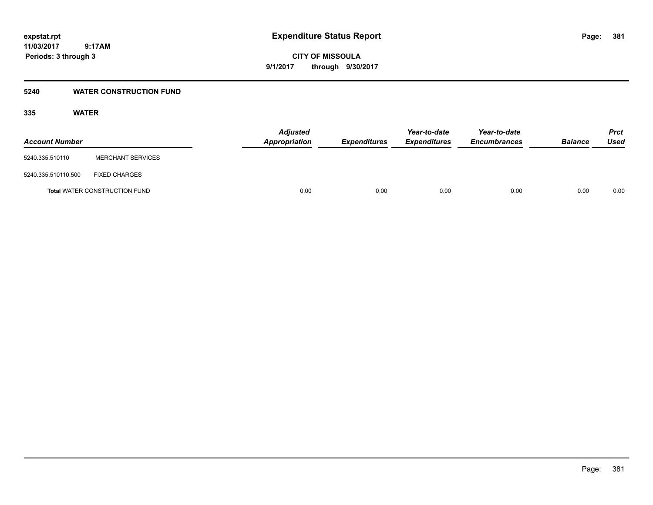**CITY OF MISSOULA 9/1/2017 through 9/30/2017**

# **5240 WATER CONSTRUCTION FUND**

| <b>Account Number</b>                |                          | <b>Adjusted</b><br>Appropriation | <b>Expenditures</b> | Year-to-date<br><i><b>Expenditures</b></i> | Year-to-date<br><b>Encumbrances</b> | <b>Balance</b> | <b>Prct</b><br>Used |
|--------------------------------------|--------------------------|----------------------------------|---------------------|--------------------------------------------|-------------------------------------|----------------|---------------------|
| 5240.335.510110                      | <b>MERCHANT SERVICES</b> |                                  |                     |                                            |                                     |                |                     |
| 5240.335.510110.500                  | <b>FIXED CHARGES</b>     |                                  |                     |                                            |                                     |                |                     |
| <b>Total WATER CONSTRUCTION FUND</b> |                          | 0.00                             | 0.00                | 0.00                                       | 0.00                                | 0.00           | 0.00                |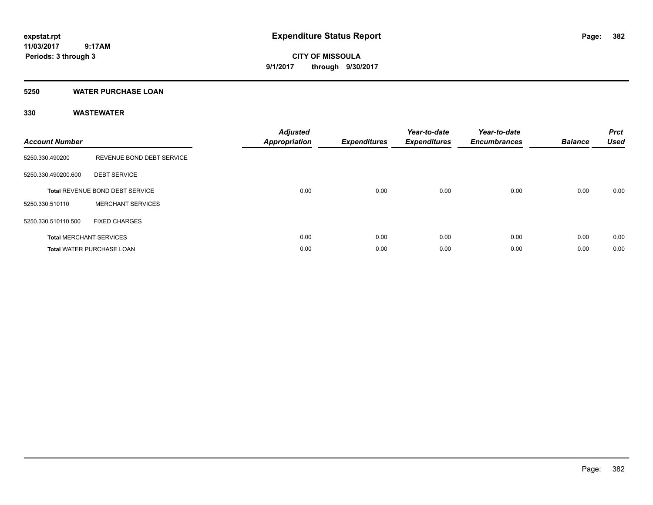**CITY OF MISSOULA 9/1/2017 through 9/30/2017**

# **5250 WATER PURCHASE LOAN**

| <b>Account Number</b>           |                                  | <b>Adjusted</b><br><b>Appropriation</b> | <b>Expenditures</b> | Year-to-date<br><b>Expenditures</b> | Year-to-date<br><b>Encumbrances</b> | <b>Balance</b> | <b>Prct</b><br><b>Used</b> |
|---------------------------------|----------------------------------|-----------------------------------------|---------------------|-------------------------------------|-------------------------------------|----------------|----------------------------|
| 5250.330.490200                 | REVENUE BOND DEBT SERVICE        |                                         |                     |                                     |                                     |                |                            |
| 5250.330.490200.600             | <b>DEBT SERVICE</b>              |                                         |                     |                                     |                                     |                |                            |
| Total REVENUE BOND DEBT SERVICE |                                  | 0.00                                    | 0.00                | 0.00                                | 0.00                                | 0.00           | 0.00                       |
| 5250.330.510110                 | <b>MERCHANT SERVICES</b>         |                                         |                     |                                     |                                     |                |                            |
| 5250.330.510110.500             | <b>FIXED CHARGES</b>             |                                         |                     |                                     |                                     |                |                            |
|                                 | <b>Total MERCHANT SERVICES</b>   | 0.00                                    | 0.00                | 0.00                                | 0.00                                | 0.00           | 0.00                       |
|                                 | <b>Total WATER PURCHASE LOAN</b> | 0.00                                    | 0.00                | 0.00                                | 0.00                                | 0.00           | 0.00                       |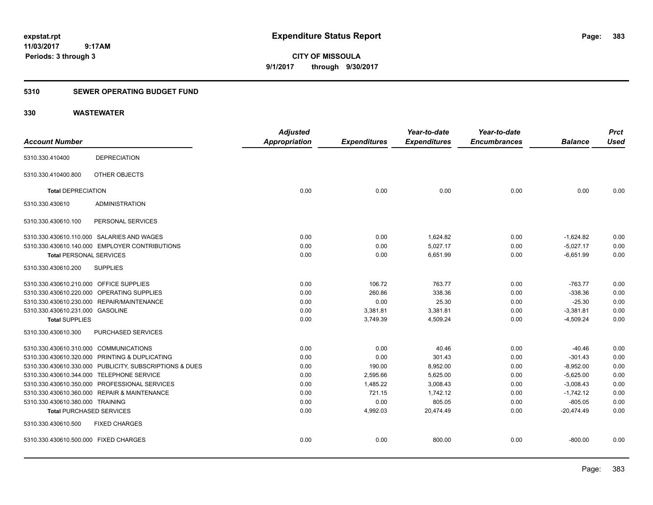**CITY OF MISSOULA 9/1/2017 through 9/30/2017**

# **5310 SEWER OPERATING BUDGET FUND**

|                                           |                                                         | <b>Adjusted</b> |                     | Year-to-date        | Year-to-date        |                | <b>Prct</b> |
|-------------------------------------------|---------------------------------------------------------|-----------------|---------------------|---------------------|---------------------|----------------|-------------|
| <b>Account Number</b>                     |                                                         | Appropriation   | <b>Expenditures</b> | <b>Expenditures</b> | <b>Encumbrances</b> | <b>Balance</b> | <b>Used</b> |
| 5310.330.410400                           | <b>DEPRECIATION</b>                                     |                 |                     |                     |                     |                |             |
| 5310.330.410400.800                       | OTHER OBJECTS                                           |                 |                     |                     |                     |                |             |
| <b>Total DEPRECIATION</b>                 |                                                         | 0.00            | 0.00                | 0.00                | 0.00                | 0.00           | 0.00        |
| 5310.330.430610                           | <b>ADMINISTRATION</b>                                   |                 |                     |                     |                     |                |             |
| 5310.330.430610.100                       | PERSONAL SERVICES                                       |                 |                     |                     |                     |                |             |
|                                           | 5310.330.430610.110.000 SALARIES AND WAGES              | 0.00            | 0.00                | 1,624.82            | 0.00                | $-1,624.82$    | 0.00        |
|                                           | 5310.330.430610.140.000 EMPLOYER CONTRIBUTIONS          | 0.00            | 0.00                | 5,027.17            | 0.00                | $-5,027.17$    | 0.00        |
| <b>Total PERSONAL SERVICES</b>            |                                                         | 0.00            | 0.00                | 6,651.99            | 0.00                | $-6,651.99$    | 0.00        |
| 5310.330.430610.200                       | <b>SUPPLIES</b>                                         |                 |                     |                     |                     |                |             |
| 5310.330.430610.210.000 OFFICE SUPPLIES   |                                                         | 0.00            | 106.72              | 763.77              | 0.00                | $-763.77$      | 0.00        |
|                                           | 5310.330.430610.220.000 OPERATING SUPPLIES              | 0.00            | 260.86              | 338.36              | 0.00                | $-338.36$      | 0.00        |
|                                           | 5310.330.430610.230.000 REPAIR/MAINTENANCE              | 0.00            | 0.00                | 25.30               | 0.00                | $-25.30$       | 0.00        |
| 5310.330.430610.231.000 GASOLINE          |                                                         | 0.00            | 3,381.81            | 3,381.81            | 0.00                | $-3,381.81$    | 0.00        |
| <b>Total SUPPLIES</b>                     |                                                         | 0.00            | 3,749.39            | 4,509.24            | 0.00                | $-4,509.24$    | 0.00        |
| 5310.330.430610.300                       | PURCHASED SERVICES                                      |                 |                     |                     |                     |                |             |
| 5310.330.430610.310.000 COMMUNICATIONS    |                                                         | 0.00            | 0.00                | 40.46               | 0.00                | $-40.46$       | 0.00        |
|                                           | 5310.330.430610.320.000 PRINTING & DUPLICATING          | 0.00            | 0.00                | 301.43              | 0.00                | $-301.43$      | 0.00        |
|                                           | 5310.330.430610.330.000 PUBLICITY, SUBSCRIPTIONS & DUES | 0.00            | 190.00              | 8,952.00            | 0.00                | $-8,952.00$    | 0.00        |
| 5310.330.430610.344.000 TELEPHONE SERVICE |                                                         | 0.00            | 2,595.66            | 5,625.00            | 0.00                | $-5,625.00$    | 0.00        |
|                                           | 5310.330.430610.350.000 PROFESSIONAL SERVICES           | 0.00            | 1,485.22            | 3,008.43            | 0.00                | $-3,008.43$    | 0.00        |
|                                           | 5310.330.430610.360.000 REPAIR & MAINTENANCE            | 0.00            | 721.15              | 1,742.12            | 0.00                | $-1,742.12$    | 0.00        |
| 5310.330.430610.380.000 TRAINING          |                                                         | 0.00            | 0.00                | 805.05              | 0.00                | $-805.05$      | 0.00        |
| <b>Total PURCHASED SERVICES</b>           |                                                         | 0.00            | 4,992.03            | 20,474.49           | 0.00                | $-20,474.49$   | 0.00        |
| 5310.330.430610.500                       | <b>FIXED CHARGES</b>                                    |                 |                     |                     |                     |                |             |
| 5310.330.430610.500.000 FIXED CHARGES     |                                                         | 0.00            | 0.00                | 800.00              | 0.00                | $-800.00$      | 0.00        |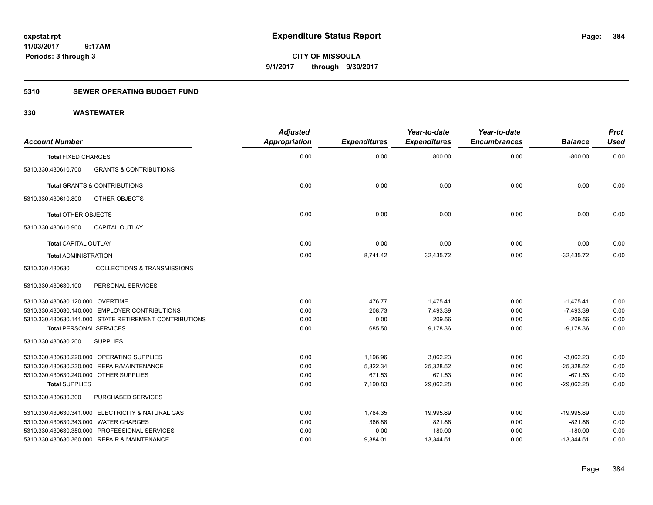**CITY OF MISSOULA 9/1/2017 through 9/30/2017**

# **5310 SEWER OPERATING BUDGET FUND**

| <b>Account Number</b>                  |                                                        | <b>Adjusted</b><br><b>Appropriation</b> | <b>Expenditures</b> | Year-to-date<br><b>Expenditures</b> | Year-to-date<br><b>Encumbrances</b> | <b>Balance</b> | <b>Prct</b><br><b>Used</b> |
|----------------------------------------|--------------------------------------------------------|-----------------------------------------|---------------------|-------------------------------------|-------------------------------------|----------------|----------------------------|
| <b>Total FIXED CHARGES</b>             |                                                        | 0.00                                    | 0.00                | 800.00                              | 0.00                                | $-800.00$      | 0.00                       |
| 5310.330.430610.700                    | <b>GRANTS &amp; CONTRIBUTIONS</b>                      |                                         |                     |                                     |                                     |                |                            |
|                                        | <b>Total GRANTS &amp; CONTRIBUTIONS</b>                | 0.00                                    | 0.00                | 0.00                                | 0.00                                | 0.00           | 0.00                       |
| 5310.330.430610.800                    | OTHER OBJECTS                                          |                                         |                     |                                     |                                     |                |                            |
| <b>Total OTHER OBJECTS</b>             |                                                        | 0.00                                    | 0.00                | 0.00                                | 0.00                                | 0.00           | 0.00                       |
| 5310.330.430610.900                    | <b>CAPITAL OUTLAY</b>                                  |                                         |                     |                                     |                                     |                |                            |
| <b>Total CAPITAL OUTLAY</b>            |                                                        | 0.00                                    | 0.00                | 0.00                                | 0.00                                | 0.00           | 0.00                       |
| <b>Total ADMINISTRATION</b>            |                                                        | 0.00                                    | 8,741.42            | 32.435.72                           | 0.00                                | $-32.435.72$   | 0.00                       |
| 5310.330.430630                        | <b>COLLECTIONS &amp; TRANSMISSIONS</b>                 |                                         |                     |                                     |                                     |                |                            |
| 5310.330.430630.100                    | PERSONAL SERVICES                                      |                                         |                     |                                     |                                     |                |                            |
| 5310.330.430630.120.000 OVERTIME       |                                                        | 0.00                                    | 476.77              | 1,475.41                            | 0.00                                | $-1,475.41$    | 0.00                       |
|                                        | 5310.330.430630.140.000 EMPLOYER CONTRIBUTIONS         | 0.00                                    | 208.73              | 7.493.39                            | 0.00                                | $-7,493.39$    | 0.00                       |
|                                        | 5310.330.430630.141.000 STATE RETIREMENT CONTRIBUTIONS | 0.00                                    | 0.00                | 209.56                              | 0.00                                | $-209.56$      | 0.00                       |
| <b>Total PERSONAL SERVICES</b>         |                                                        | 0.00                                    | 685.50              | 9,178.36                            | 0.00                                | $-9,178.36$    | 0.00                       |
| 5310.330.430630.200                    | <b>SUPPLIES</b>                                        |                                         |                     |                                     |                                     |                |                            |
|                                        | 5310.330.430630.220.000 OPERATING SUPPLIES             | 0.00                                    | 1,196.96            | 3,062.23                            | 0.00                                | $-3,062.23$    | 0.00                       |
|                                        | 5310.330.430630.230.000 REPAIR/MAINTENANCE             | 0.00                                    | 5,322.34            | 25,328.52                           | 0.00                                | $-25,328.52$   | 0.00                       |
| 5310.330.430630.240.000 OTHER SUPPLIES |                                                        | 0.00                                    | 671.53              | 671.53                              | 0.00                                | $-671.53$      | 0.00                       |
| <b>Total SUPPLIES</b>                  |                                                        | 0.00                                    | 7,190.83            | 29,062.28                           | 0.00                                | $-29,062.28$   | 0.00                       |
| 5310.330.430630.300                    | <b>PURCHASED SERVICES</b>                              |                                         |                     |                                     |                                     |                |                            |
|                                        | 5310.330.430630.341.000 ELECTRICITY & NATURAL GAS      | 0.00                                    | 1,784.35            | 19,995.89                           | 0.00                                | $-19,995.89$   | 0.00                       |
| 5310.330.430630.343.000 WATER CHARGES  |                                                        | 0.00                                    | 366.88              | 821.88                              | 0.00                                | $-821.88$      | 0.00                       |
|                                        | 5310.330.430630.350.000 PROFESSIONAL SERVICES          | 0.00                                    | 0.00                | 180.00                              | 0.00                                | $-180.00$      | 0.00                       |
|                                        | 5310.330.430630.360.000 REPAIR & MAINTENANCE           | 0.00                                    | 9,384.01            | 13,344.51                           | 0.00                                | $-13,344.51$   | 0.00                       |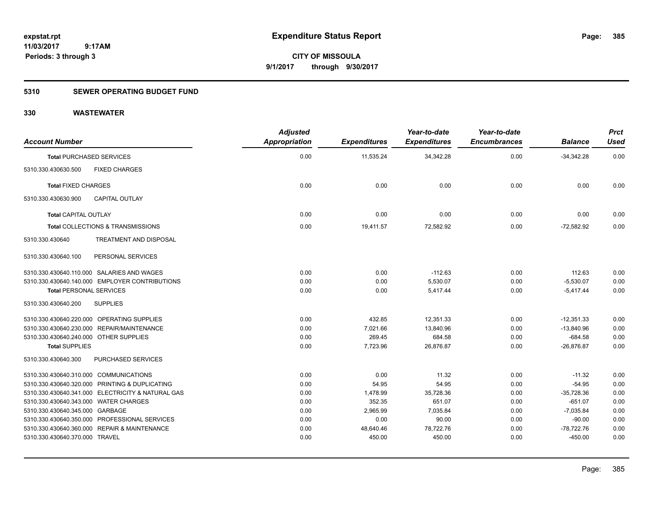**CITY OF MISSOULA 9/1/2017 through 9/30/2017**

# **5310 SEWER OPERATING BUDGET FUND**

| <b>Account Number</b>                             | <b>Adjusted</b><br><b>Appropriation</b> | <b>Expenditures</b> | Year-to-date<br><b>Expenditures</b> | Year-to-date<br><b>Encumbrances</b> | <b>Balance</b> | <b>Prct</b><br><b>Used</b> |
|---------------------------------------------------|-----------------------------------------|---------------------|-------------------------------------|-------------------------------------|----------------|----------------------------|
| <b>Total PURCHASED SERVICES</b>                   | 0.00                                    | 11,535.24           | 34,342.28                           | 0.00                                | $-34,342.28$   | 0.00                       |
| 5310.330.430630.500<br><b>FIXED CHARGES</b>       |                                         |                     |                                     |                                     |                |                            |
| <b>Total FIXED CHARGES</b>                        | 0.00                                    | 0.00                | 0.00                                | 0.00                                | 0.00           | 0.00                       |
| 5310.330.430630.900<br><b>CAPITAL OUTLAY</b>      |                                         |                     |                                     |                                     |                |                            |
| <b>Total CAPITAL OUTLAY</b>                       | 0.00                                    | 0.00                | 0.00                                | 0.00                                | 0.00           | 0.00                       |
| Total COLLECTIONS & TRANSMISSIONS                 | 0.00                                    | 19,411.57           | 72,582.92                           | 0.00                                | $-72,582.92$   | 0.00                       |
| <b>TREATMENT AND DISPOSAL</b><br>5310.330.430640  |                                         |                     |                                     |                                     |                |                            |
| PERSONAL SERVICES<br>5310.330.430640.100          |                                         |                     |                                     |                                     |                |                            |
| 5310.330.430640.110.000 SALARIES AND WAGES        | 0.00                                    | 0.00                | $-112.63$                           | 0.00                                | 112.63         | 0.00                       |
| 5310.330.430640.140.000 EMPLOYER CONTRIBUTIONS    | 0.00                                    | 0.00                | 5,530.07                            | 0.00                                | $-5,530.07$    | 0.00                       |
| <b>Total PERSONAL SERVICES</b>                    | 0.00                                    | 0.00                | 5,417.44                            | 0.00                                | $-5,417.44$    | 0.00                       |
| <b>SUPPLIES</b><br>5310.330.430640.200            |                                         |                     |                                     |                                     |                |                            |
| 5310.330.430640.220.000 OPERATING SUPPLIES        | 0.00                                    | 432.85              | 12,351.33                           | 0.00                                | $-12.351.33$   | 0.00                       |
| 5310.330.430640.230.000 REPAIR/MAINTENANCE        | 0.00                                    | 7,021.66            | 13,840.96                           | 0.00                                | $-13,840.96$   | 0.00                       |
| 5310.330.430640.240.000 OTHER SUPPLIES            | 0.00                                    | 269.45              | 684.58                              | 0.00                                | $-684.58$      | 0.00                       |
| <b>Total SUPPLIES</b>                             | 0.00                                    | 7,723.96            | 26,876.87                           | 0.00                                | $-26,876.87$   | 0.00                       |
| PURCHASED SERVICES<br>5310.330.430640.300         |                                         |                     |                                     |                                     |                |                            |
| 5310.330.430640.310.000 COMMUNICATIONS            | 0.00                                    | 0.00                | 11.32                               | 0.00                                | $-11.32$       | 0.00                       |
| 5310.330.430640.320.000 PRINTING & DUPLICATING    | 0.00                                    | 54.95               | 54.95                               | 0.00                                | $-54.95$       | 0.00                       |
| 5310.330.430640.341.000 ELECTRICITY & NATURAL GAS | 0.00                                    | 1,478.99            | 35,728.36                           | 0.00                                | $-35,728.36$   | 0.00                       |
| 5310.330.430640.343.000 WATER CHARGES             | 0.00                                    | 352.35              | 651.07                              | 0.00                                | $-651.07$      | 0.00                       |
| 5310.330.430640.345.000 GARBAGE                   | 0.00                                    | 2,965.99            | 7,035.84                            | 0.00                                | $-7,035.84$    | 0.00                       |
| 5310.330.430640.350.000 PROFESSIONAL SERVICES     | 0.00                                    | 0.00                | 90.00                               | 0.00                                | $-90.00$       | 0.00                       |
| 5310.330.430640.360.000 REPAIR & MAINTENANCE      | 0.00                                    | 48,640.46           | 78,722.76                           | 0.00                                | $-78,722.76$   | 0.00                       |
| 5310.330.430640.370.000 TRAVEL                    | 0.00                                    | 450.00              | 450.00                              | 0.00                                | $-450.00$      | 0.00                       |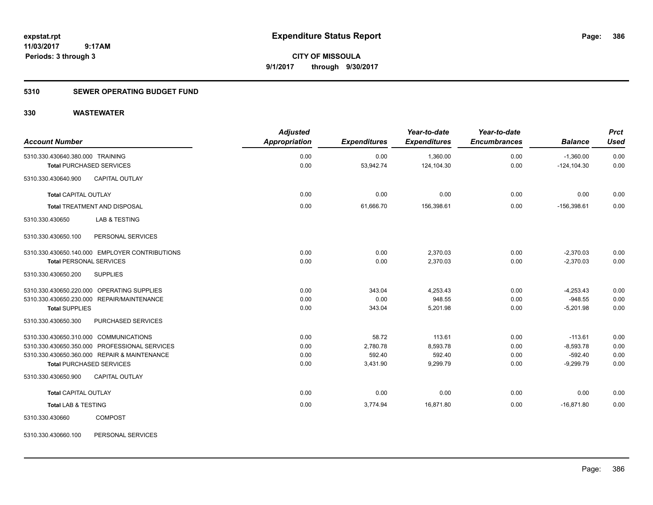**CITY OF MISSOULA 9/1/2017 through 9/30/2017**

# **5310 SEWER OPERATING BUDGET FUND**

# **330 WASTEWATER**

| <b>Account Number</b>                                                     |                                                                                               | <b>Adjusted</b><br><b>Appropriation</b> | <b>Expenditures</b>                     | Year-to-date<br><b>Expenditures</b>      | Year-to-date<br><b>Encumbrances</b> | <b>Balance</b>                                       | <b>Prct</b><br><b>Used</b>   |
|---------------------------------------------------------------------------|-----------------------------------------------------------------------------------------------|-----------------------------------------|-----------------------------------------|------------------------------------------|-------------------------------------|------------------------------------------------------|------------------------------|
| 5310.330.430640.380.000 TRAINING<br><b>Total PURCHASED SERVICES</b>       |                                                                                               | 0.00<br>0.00                            | 0.00<br>53,942.74                       | 1,360.00<br>124,104.30                   | 0.00<br>0.00                        | $-1,360.00$<br>$-124, 104.30$                        | 0.00<br>0.00                 |
| 5310.330.430640.900                                                       | <b>CAPITAL OUTLAY</b>                                                                         |                                         |                                         |                                          |                                     |                                                      |                              |
| <b>Total CAPITAL OUTLAY</b>                                               |                                                                                               | 0.00                                    | 0.00                                    | 0.00                                     | 0.00                                | 0.00                                                 | 0.00                         |
|                                                                           | <b>Total TREATMENT AND DISPOSAL</b>                                                           | 0.00                                    | 61,666.70                               | 156,398.61                               | 0.00                                | $-156.398.61$                                        | 0.00                         |
| 5310.330.430650                                                           | <b>LAB &amp; TESTING</b>                                                                      |                                         |                                         |                                          |                                     |                                                      |                              |
| 5310.330.430650.100                                                       | PERSONAL SERVICES                                                                             |                                         |                                         |                                          |                                     |                                                      |                              |
| <b>Total PERSONAL SERVICES</b>                                            | 5310.330.430650.140.000 EMPLOYER CONTRIBUTIONS                                                | 0.00<br>0.00                            | 0.00<br>0.00                            | 2,370.03<br>2,370.03                     | 0.00<br>0.00                        | $-2,370.03$<br>$-2,370.03$                           | 0.00<br>0.00                 |
| 5310.330.430650.200                                                       | <b>SUPPLIES</b>                                                                               |                                         |                                         |                                          |                                     |                                                      |                              |
| <b>Total SUPPLIES</b>                                                     | 5310.330.430650.220.000 OPERATING SUPPLIES<br>5310.330.430650.230.000 REPAIR/MAINTENANCE      | 0.00<br>0.00<br>0.00                    | 343.04<br>0.00<br>343.04                | 4.253.43<br>948.55<br>5,201.98           | 0.00<br>0.00<br>0.00                | $-4,253.43$<br>$-948.55$<br>$-5,201.98$              | 0.00<br>0.00<br>0.00         |
| 5310.330.430650.300                                                       | PURCHASED SERVICES                                                                            |                                         |                                         |                                          |                                     |                                                      |                              |
| 5310.330.430650.310.000 COMMUNICATIONS<br><b>Total PURCHASED SERVICES</b> | 5310.330.430650.350.000 PROFESSIONAL SERVICES<br>5310.330.430650.360.000 REPAIR & MAINTENANCE | 0.00<br>0.00<br>0.00<br>0.00            | 58.72<br>2,780.78<br>592.40<br>3,431.90 | 113.61<br>8,593.78<br>592.40<br>9,299.79 | 0.00<br>0.00<br>0.00<br>0.00        | $-113.61$<br>$-8,593.78$<br>$-592.40$<br>$-9,299.79$ | 0.00<br>0.00<br>0.00<br>0.00 |
| 5310.330.430650.900                                                       | <b>CAPITAL OUTLAY</b>                                                                         |                                         |                                         |                                          |                                     |                                                      |                              |
| <b>Total CAPITAL OUTLAY</b>                                               |                                                                                               | 0.00                                    | 0.00                                    | 0.00                                     | 0.00                                | 0.00                                                 | 0.00                         |
| <b>Total LAB &amp; TESTING</b>                                            |                                                                                               | 0.00                                    | 3,774.94                                | 16,871.80                                | 0.00                                | $-16,871.80$                                         | 0.00                         |
| 5310.330.430660                                                           | <b>COMPOST</b>                                                                                |                                         |                                         |                                          |                                     |                                                      |                              |

5310.330.430660.100 PERSONAL SERVICES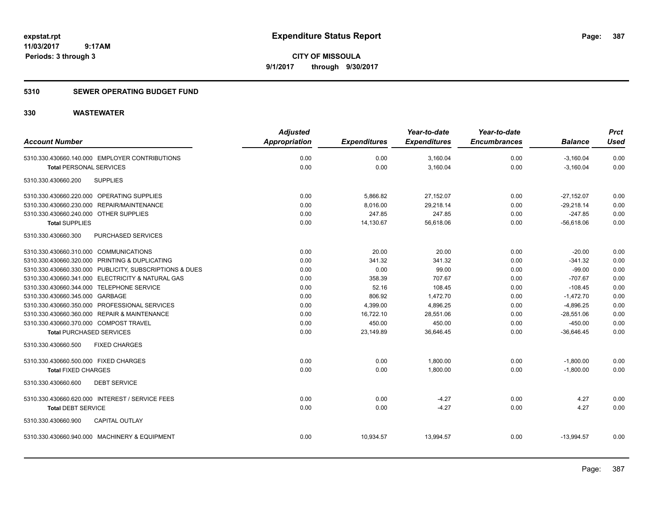**CITY OF MISSOULA 9/1/2017 through 9/30/2017**

# **5310 SEWER OPERATING BUDGET FUND**

|                                                         | <b>Adjusted</b>      |                     | Year-to-date        | Year-to-date        |                | <b>Prct</b> |
|---------------------------------------------------------|----------------------|---------------------|---------------------|---------------------|----------------|-------------|
| <b>Account Number</b>                                   | <b>Appropriation</b> | <b>Expenditures</b> | <b>Expenditures</b> | <b>Encumbrances</b> | <b>Balance</b> | <b>Used</b> |
| 5310.330.430660.140.000 EMPLOYER CONTRIBUTIONS          | 0.00                 | 0.00                | 3,160.04            | 0.00                | $-3,160.04$    | 0.00        |
| <b>Total PERSONAL SERVICES</b>                          | 0.00                 | 0.00                | 3,160.04            | 0.00                | $-3,160.04$    | 0.00        |
| <b>SUPPLIES</b><br>5310.330.430660.200                  |                      |                     |                     |                     |                |             |
| 5310.330.430660.220.000 OPERATING SUPPLIES              | 0.00                 | 5,866.82            | 27,152.07           | 0.00                | $-27,152.07$   | 0.00        |
| 5310.330.430660.230.000 REPAIR/MAINTENANCE              | 0.00                 | 8,016.00            | 29,218.14           | 0.00                | $-29,218.14$   | 0.00        |
| 5310.330.430660.240.000 OTHER SUPPLIES                  | 0.00                 | 247.85              | 247.85              | 0.00                | $-247.85$      | 0.00        |
| <b>Total SUPPLIES</b>                                   | 0.00                 | 14,130.67           | 56,618.06           | 0.00                | $-56,618.06$   | 0.00        |
| 5310.330.430660.300<br>PURCHASED SERVICES               |                      |                     |                     |                     |                |             |
| 5310.330.430660.310.000 COMMUNICATIONS                  | 0.00                 | 20.00               | 20.00               | 0.00                | $-20.00$       | 0.00        |
| 5310.330.430660.320.000 PRINTING & DUPLICATING          | 0.00                 | 341.32              | 341.32              | 0.00                | $-341.32$      | 0.00        |
| 5310.330.430660.330.000 PUBLICITY, SUBSCRIPTIONS & DUES | 0.00                 | 0.00                | 99.00               | 0.00                | $-99.00$       | 0.00        |
| 5310.330.430660.341.000 ELECTRICITY & NATURAL GAS       | 0.00                 | 358.39              | 707.67              | 0.00                | $-707.67$      | 0.00        |
| 5310.330.430660.344.000 TELEPHONE SERVICE               | 0.00                 | 52.16               | 108.45              | 0.00                | $-108.45$      | 0.00        |
| 5310.330.430660.345.000 GARBAGE                         | 0.00                 | 806.92              | 1,472.70            | 0.00                | $-1,472.70$    | 0.00        |
| 5310.330.430660.350.000 PROFESSIONAL SERVICES           | 0.00                 | 4,399.00            | 4,896.25            | 0.00                | $-4,896.25$    | 0.00        |
| 5310.330.430660.360.000 REPAIR & MAINTENANCE            | 0.00                 | 16,722.10           | 28,551.06           | 0.00                | $-28,551.06$   | 0.00        |
| 5310.330.430660.370.000 COMPOST TRAVEL                  | 0.00                 | 450.00              | 450.00              | 0.00                | $-450.00$      | 0.00        |
| <b>Total PURCHASED SERVICES</b>                         | 0.00                 | 23,149.89           | 36,646.45           | 0.00                | $-36,646.45$   | 0.00        |
| <b>FIXED CHARGES</b><br>5310.330.430660.500             |                      |                     |                     |                     |                |             |
| 5310.330.430660.500.000 FIXED CHARGES                   | 0.00                 | 0.00                | 1,800.00            | 0.00                | $-1,800.00$    | 0.00        |
| <b>Total FIXED CHARGES</b>                              | 0.00                 | 0.00                | 1,800.00            | 0.00                | $-1,800.00$    | 0.00        |
| <b>DEBT SERVICE</b><br>5310.330.430660.600              |                      |                     |                     |                     |                |             |
| 5310.330.430660.620.000 INTEREST / SERVICE FEES         | 0.00                 | 0.00                | $-4.27$             | 0.00                | 4.27           | 0.00        |
| <b>Total DEBT SERVICE</b>                               | 0.00                 | 0.00                | $-4.27$             | 0.00                | 4.27           | 0.00        |
| <b>CAPITAL OUTLAY</b><br>5310.330.430660.900            |                      |                     |                     |                     |                |             |
| 5310.330.430660.940.000 MACHINERY & EQUIPMENT           | 0.00                 | 10,934.57           | 13,994.57           | 0.00                | $-13,994.57$   | 0.00        |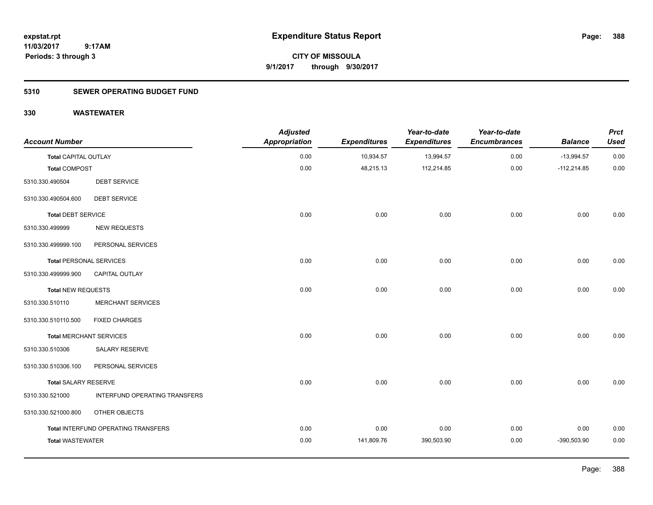**CITY OF MISSOULA 9/1/2017 through 9/30/2017**

# **5310 SEWER OPERATING BUDGET FUND**

| <b>Account Number</b>          |                                     | <b>Adjusted</b><br><b>Appropriation</b> | <b>Expenditures</b> | Year-to-date<br><b>Expenditures</b> | Year-to-date<br><b>Encumbrances</b> | <b>Balance</b> | <b>Prct</b><br><b>Used</b> |
|--------------------------------|-------------------------------------|-----------------------------------------|---------------------|-------------------------------------|-------------------------------------|----------------|----------------------------|
| <b>Total CAPITAL OUTLAY</b>    |                                     | 0.00                                    | 10,934.57           | 13,994.57                           | 0.00                                | $-13,994.57$   | 0.00                       |
| <b>Total COMPOST</b>           |                                     | 0.00                                    | 48,215.13           | 112,214.85                          | 0.00                                | $-112,214.85$  | 0.00                       |
| 5310.330.490504                | <b>DEBT SERVICE</b>                 |                                         |                     |                                     |                                     |                |                            |
| 5310.330.490504.600            | <b>DEBT SERVICE</b>                 |                                         |                     |                                     |                                     |                |                            |
| <b>Total DEBT SERVICE</b>      |                                     | 0.00                                    | 0.00                | 0.00                                | 0.00                                | 0.00           | 0.00                       |
| 5310.330.499999                | <b>NEW REQUESTS</b>                 |                                         |                     |                                     |                                     |                |                            |
| 5310.330.499999.100            | PERSONAL SERVICES                   |                                         |                     |                                     |                                     |                |                            |
| <b>Total PERSONAL SERVICES</b> |                                     | 0.00                                    | 0.00                | 0.00                                | 0.00                                | 0.00           | 0.00                       |
| 5310.330.499999.900            | <b>CAPITAL OUTLAY</b>               |                                         |                     |                                     |                                     |                |                            |
| Total NEW REQUESTS             |                                     | 0.00                                    | 0.00                | 0.00                                | 0.00                                | 0.00           | 0.00                       |
| 5310.330.510110                | <b>MERCHANT SERVICES</b>            |                                         |                     |                                     |                                     |                |                            |
| 5310.330.510110.500            | <b>FIXED CHARGES</b>                |                                         |                     |                                     |                                     |                |                            |
| <b>Total MERCHANT SERVICES</b> |                                     | 0.00                                    | 0.00                | 0.00                                | 0.00                                | 0.00           | 0.00                       |
| 5310.330.510306                | SALARY RESERVE                      |                                         |                     |                                     |                                     |                |                            |
| 5310.330.510306.100            | PERSONAL SERVICES                   |                                         |                     |                                     |                                     |                |                            |
| <b>Total SALARY RESERVE</b>    |                                     | 0.00                                    | 0.00                | 0.00                                | 0.00                                | 0.00           | 0.00                       |
| 5310.330.521000                | INTERFUND OPERATING TRANSFERS       |                                         |                     |                                     |                                     |                |                            |
| 5310.330.521000.800            | OTHER OBJECTS                       |                                         |                     |                                     |                                     |                |                            |
|                                | Total INTERFUND OPERATING TRANSFERS | 0.00                                    | 0.00                | 0.00                                | 0.00                                | 0.00           | 0.00                       |
| <b>Total WASTEWATER</b>        |                                     | 0.00                                    | 141,809.76          | 390,503.90                          | 0.00                                | $-390,503.90$  | 0.00                       |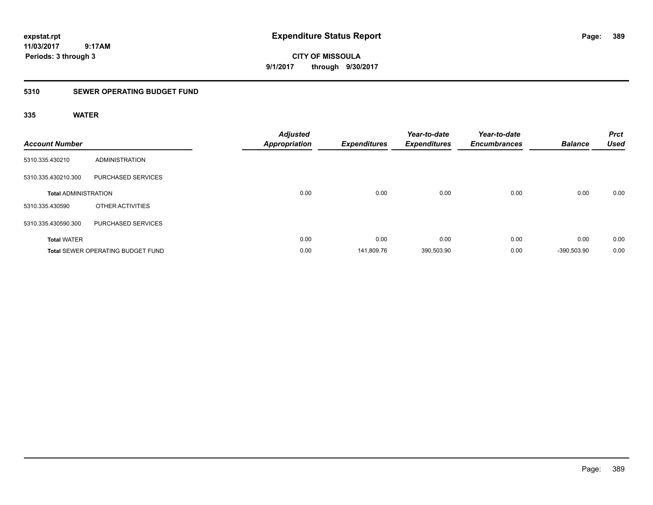**CITY OF MISSOULA 9/1/2017 through 9/30/2017**

# **5310 SEWER OPERATING BUDGET FUND**

| <b>Account Number</b>       |                                          | <b>Appropriation</b> | <b>Adjusted</b> | <b>Expenditures</b> | Year-to-date<br><b>Expenditures</b> | Year-to-date<br><b>Encumbrances</b> | <b>Balance</b> | <b>Prct</b><br><b>Used</b> |
|-----------------------------|------------------------------------------|----------------------|-----------------|---------------------|-------------------------------------|-------------------------------------|----------------|----------------------------|
| 5310.335.430210             | ADMINISTRATION                           |                      |                 |                     |                                     |                                     |                |                            |
| 5310.335.430210.300         | PURCHASED SERVICES                       |                      |                 |                     |                                     |                                     |                |                            |
| <b>Total ADMINISTRATION</b> |                                          |                      | 0.00            | 0.00                | 0.00                                | 0.00                                | 0.00           | 0.00                       |
| 5310.335.430590             | OTHER ACTIVITIES                         |                      |                 |                     |                                     |                                     |                |                            |
| 5310.335.430590.300         | PURCHASED SERVICES                       |                      |                 |                     |                                     |                                     |                |                            |
| <b>Total WATER</b>          |                                          |                      | 0.00            | 0.00                | 0.00                                | 0.00                                | 0.00           | 0.00                       |
|                             | <b>Total SEWER OPERATING BUDGET FUND</b> |                      | 0.00            | 141,809.76          | 390,503.90                          | 0.00                                | -390.503.90    | 0.00                       |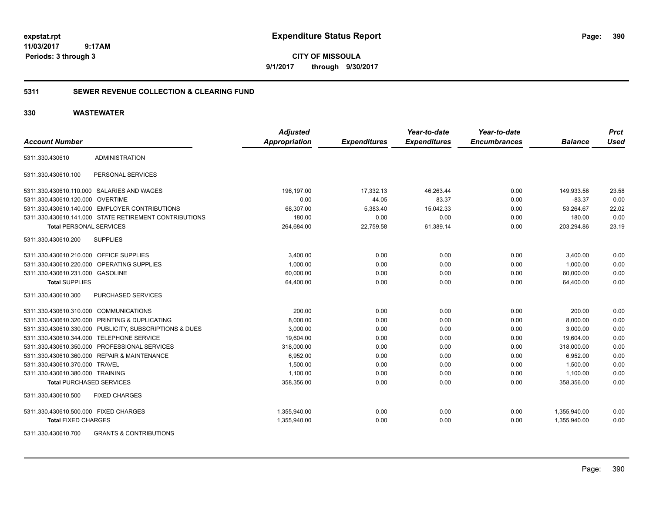**CITY OF MISSOULA 9/1/2017 through 9/30/2017**

# **5311 SEWER REVENUE COLLECTION & CLEARING FUND**

# **330 WASTEWATER**

|                                         |                                                         | <b>Adjusted</b>      |                     | Year-to-date        | Year-to-date        |                | <b>Prct</b> |
|-----------------------------------------|---------------------------------------------------------|----------------------|---------------------|---------------------|---------------------|----------------|-------------|
| <b>Account Number</b>                   |                                                         | <b>Appropriation</b> | <b>Expenditures</b> | <b>Expenditures</b> | <b>Encumbrances</b> | <b>Balance</b> | <b>Used</b> |
| 5311.330.430610                         | <b>ADMINISTRATION</b>                                   |                      |                     |                     |                     |                |             |
| 5311.330.430610.100                     | PERSONAL SERVICES                                       |                      |                     |                     |                     |                |             |
|                                         | 5311.330.430610.110.000 SALARIES AND WAGES              | 196,197.00           | 17,332.13           | 46,263.44           | 0.00                | 149,933.56     | 23.58       |
| 5311.330.430610.120.000 OVERTIME        |                                                         | 0.00                 | 44.05               | 83.37               | 0.00                | $-83.37$       | 0.00        |
|                                         | 5311.330.430610.140.000 EMPLOYER CONTRIBUTIONS          | 68,307.00            | 5,383.40            | 15,042.33           | 0.00                | 53,264.67      | 22.02       |
|                                         | 5311.330.430610.141.000 STATE RETIREMENT CONTRIBUTIONS  | 180.00               | 0.00                | 0.00                | 0.00                | 180.00         | 0.00        |
| <b>Total PERSONAL SERVICES</b>          |                                                         | 264,684.00           | 22,759.58           | 61,389.14           | 0.00                | 203,294.86     | 23.19       |
| 5311.330.430610.200                     | <b>SUPPLIES</b>                                         |                      |                     |                     |                     |                |             |
| 5311.330.430610.210.000 OFFICE SUPPLIES |                                                         | 3,400.00             | 0.00                | 0.00                | 0.00                | 3,400.00       | 0.00        |
|                                         | 5311.330.430610.220.000 OPERATING SUPPLIES              | 1,000.00             | 0.00                | 0.00                | 0.00                | 1,000.00       | 0.00        |
| 5311.330.430610.231.000 GASOLINE        |                                                         | 60,000.00            | 0.00                | 0.00                | 0.00                | 60,000.00      | 0.00        |
| <b>Total SUPPLIES</b>                   |                                                         | 64,400.00            | 0.00                | 0.00                | 0.00                | 64.400.00      | 0.00        |
| 5311.330.430610.300                     | <b>PURCHASED SERVICES</b>                               |                      |                     |                     |                     |                |             |
| 5311.330.430610.310.000 COMMUNICATIONS  |                                                         | 200.00               | 0.00                | 0.00                | 0.00                | 200.00         | 0.00        |
|                                         | 5311.330.430610.320.000 PRINTING & DUPLICATING          | 8,000.00             | 0.00                | 0.00                | 0.00                | 8,000.00       | 0.00        |
|                                         | 5311.330.430610.330.000 PUBLICITY, SUBSCRIPTIONS & DUES | 3,000.00             | 0.00                | 0.00                | 0.00                | 3,000.00       | 0.00        |
|                                         | 5311.330.430610.344.000 TELEPHONE SERVICE               | 19,604.00            | 0.00                | 0.00                | 0.00                | 19,604.00      | 0.00        |
|                                         | 5311.330.430610.350.000 PROFESSIONAL SERVICES           | 318,000.00           | 0.00                | 0.00                | 0.00                | 318,000.00     | 0.00        |
|                                         | 5311.330.430610.360.000 REPAIR & MAINTENANCE            | 6,952.00             | 0.00                | 0.00                | 0.00                | 6,952.00       | 0.00        |
| 5311.330.430610.370.000 TRAVEL          |                                                         | 1,500.00             | 0.00                | 0.00                | 0.00                | 1,500.00       | 0.00        |
| 5311.330.430610.380.000 TRAINING        |                                                         | 1,100.00             | 0.00                | 0.00                | 0.00                | 1,100.00       | 0.00        |
| <b>Total PURCHASED SERVICES</b>         |                                                         | 358,356.00           | 0.00                | 0.00                | 0.00                | 358,356.00     | 0.00        |
| 5311.330.430610.500                     | <b>FIXED CHARGES</b>                                    |                      |                     |                     |                     |                |             |
| 5311.330.430610.500.000 FIXED CHARGES   |                                                         | 1,355,940.00         | 0.00                | 0.00                | 0.00                | 1,355,940.00   | 0.00        |
| <b>Total FIXED CHARGES</b>              |                                                         | 1,355,940.00         | 0.00                | 0.00                | 0.00                | 1,355,940.00   | 0.00        |
| EQAA QQQ AQQQAQ 700                     | CRANTO & CONTRIBUTIONS                                  |                      |                     |                     |                     |                |             |

5311.330.430610.700 GRANTS & CONTRIBUTIONS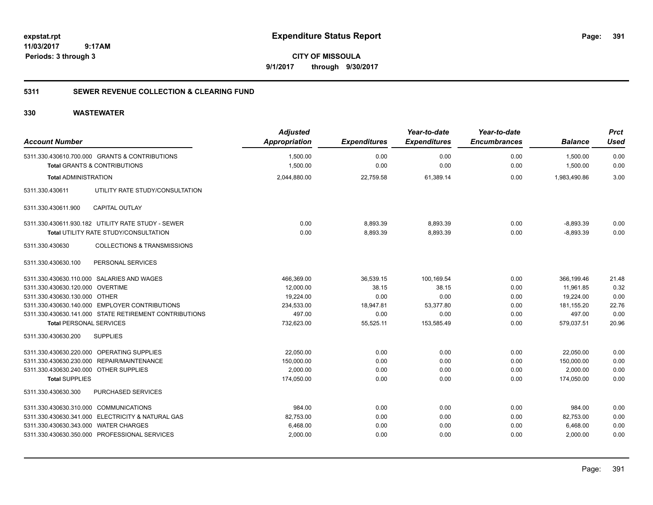**CITY OF MISSOULA 9/1/2017 through 9/30/2017**

# **5311 SEWER REVENUE COLLECTION & CLEARING FUND**

| <b>Account Number</b>                  |                                                                                           | <b>Adjusted</b><br>Appropriation | <b>Expenditures</b> | Year-to-date<br><b>Expenditures</b> | Year-to-date<br><b>Encumbrances</b> | <b>Balance</b>       | <b>Prct</b><br><b>Used</b> |
|----------------------------------------|-------------------------------------------------------------------------------------------|----------------------------------|---------------------|-------------------------------------|-------------------------------------|----------------------|----------------------------|
|                                        | 5311.330.430610.700.000 GRANTS & CONTRIBUTIONS<br><b>Total GRANTS &amp; CONTRIBUTIONS</b> | 1,500.00<br>1,500.00             | 0.00<br>0.00        | 0.00<br>0.00                        | 0.00<br>0.00                        | 1,500.00<br>1,500.00 | 0.00<br>0.00               |
| <b>Total ADMINISTRATION</b>            |                                                                                           | 2,044,880.00                     | 22,759.58           | 61,389.14                           | 0.00                                | 1,983,490.86         | 3.00                       |
| 5311.330.430611                        | UTILITY RATE STUDY/CONSULTATION                                                           |                                  |                     |                                     |                                     |                      |                            |
| 5311.330.430611.900                    | <b>CAPITAL OUTLAY</b>                                                                     |                                  |                     |                                     |                                     |                      |                            |
|                                        | 5311.330.430611.930.182 UTILITY RATE STUDY - SEWER                                        | 0.00                             | 8,893.39            | 8,893.39                            | 0.00                                | $-8,893.39$          | 0.00                       |
|                                        | Total UTILITY RATE STUDY/CONSULTATION                                                     | 0.00                             | 8,893.39            | 8,893.39                            | 0.00                                | $-8,893.39$          | 0.00                       |
| 5311.330.430630                        | <b>COLLECTIONS &amp; TRANSMISSIONS</b>                                                    |                                  |                     |                                     |                                     |                      |                            |
| 5311.330.430630.100                    | PERSONAL SERVICES                                                                         |                                  |                     |                                     |                                     |                      |                            |
|                                        | 5311.330.430630.110.000 SALARIES AND WAGES                                                | 466,369.00                       | 36,539.15           | 100,169.54                          | 0.00                                | 366,199.46           | 21.48                      |
| 5311.330.430630.120.000 OVERTIME       |                                                                                           | 12,000.00                        | 38.15               | 38.15                               | 0.00                                | 11,961.85            | 0.32                       |
| 5311.330.430630.130.000 OTHER          |                                                                                           | 19,224.00                        | 0.00                | 0.00                                | 0.00                                | 19,224.00            | 0.00                       |
|                                        | 5311.330.430630.140.000 EMPLOYER CONTRIBUTIONS                                            | 234,533.00                       | 18,947.81           | 53,377.80                           | 0.00                                | 181, 155.20          | 22.76                      |
|                                        | 5311.330.430630.141.000 STATE RETIREMENT CONTRIBUTIONS                                    | 497.00                           | 0.00                | 0.00                                | 0.00                                | 497.00               | 0.00                       |
| <b>Total PERSONAL SERVICES</b>         |                                                                                           | 732,623.00                       | 55,525.11           | 153,585.49                          | 0.00                                | 579,037.51           | 20.96                      |
| 5311.330.430630.200                    | <b>SUPPLIES</b>                                                                           |                                  |                     |                                     |                                     |                      |                            |
|                                        | 5311.330.430630.220.000 OPERATING SUPPLIES                                                | 22,050.00                        | 0.00                | 0.00                                | 0.00                                | 22,050.00            | 0.00                       |
| 5311.330.430630.230.000                | REPAIR/MAINTENANCE                                                                        | 150,000.00                       | 0.00                | 0.00                                | 0.00                                | 150,000.00           | 0.00                       |
| 5311.330.430630.240.000                | <b>OTHER SUPPLIES</b>                                                                     | 2.000.00                         | 0.00                | 0.00                                | 0.00                                | 2,000.00             | 0.00                       |
| <b>Total SUPPLIES</b>                  |                                                                                           | 174,050.00                       | 0.00                | 0.00                                | 0.00                                | 174,050.00           | 0.00                       |
| 5311.330.430630.300                    | PURCHASED SERVICES                                                                        |                                  |                     |                                     |                                     |                      |                            |
| 5311.330.430630.310.000 COMMUNICATIONS |                                                                                           | 984.00                           | 0.00                | 0.00                                | 0.00                                | 984.00               | 0.00                       |
|                                        | 5311.330.430630.341.000 ELECTRICITY & NATURAL GAS                                         | 82,753.00                        | 0.00                | 0.00                                | 0.00                                | 82,753.00            | 0.00                       |
| 5311.330.430630.343.000 WATER CHARGES  |                                                                                           | 6,468.00                         | 0.00                | 0.00                                | 0.00                                | 6,468.00             | 0.00                       |
|                                        | 5311.330.430630.350.000 PROFESSIONAL SERVICES                                             | 2,000.00                         | 0.00                | 0.00                                | 0.00                                | 2,000.00             | 0.00                       |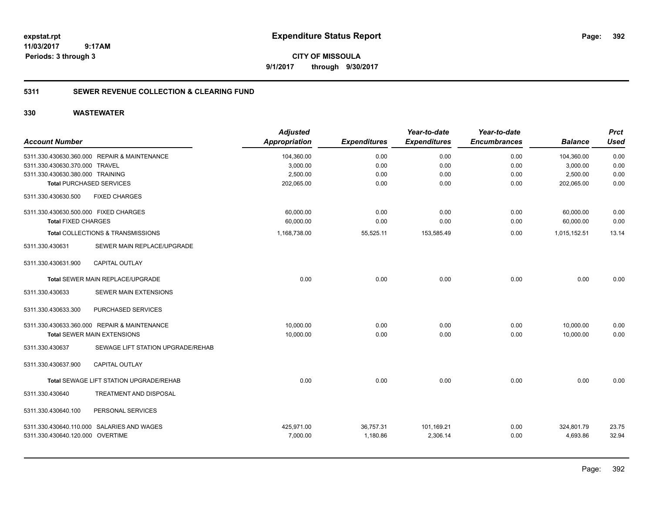**CITY OF MISSOULA 9/1/2017 through 9/30/2017**

# **5311 SEWER REVENUE COLLECTION & CLEARING FUND**

| <b>Account Number</b>                 |                                              | <b>Adjusted</b><br><b>Appropriation</b> | <b>Expenditures</b> | Year-to-date<br><b>Expenditures</b> | Year-to-date<br><b>Encumbrances</b> | <b>Balance</b> | <b>Prct</b><br><b>Used</b> |
|---------------------------------------|----------------------------------------------|-----------------------------------------|---------------------|-------------------------------------|-------------------------------------|----------------|----------------------------|
|                                       | 5311.330.430630.360.000 REPAIR & MAINTENANCE | 104,360.00                              | 0.00                | 0.00                                | 0.00                                | 104,360.00     | 0.00                       |
| 5311.330.430630.370.000 TRAVEL        |                                              | 3,000.00                                | 0.00                | 0.00                                | 0.00                                | 3,000.00       | 0.00                       |
| 5311.330.430630.380.000 TRAINING      |                                              | 2,500.00                                | 0.00                | 0.00                                | 0.00                                | 2,500.00       | 0.00                       |
| <b>Total PURCHASED SERVICES</b>       |                                              | 202,065.00                              | 0.00                | 0.00                                | 0.00                                | 202,065.00     | 0.00                       |
| 5311.330.430630.500                   | <b>FIXED CHARGES</b>                         |                                         |                     |                                     |                                     |                |                            |
| 5311.330.430630.500.000 FIXED CHARGES |                                              | 60,000.00                               | 0.00                | 0.00                                | 0.00                                | 60.000.00      | 0.00                       |
| <b>Total FIXED CHARGES</b>            |                                              | 60,000.00                               | 0.00                | 0.00                                | 0.00                                | 60,000.00      | 0.00                       |
|                                       | Total COLLECTIONS & TRANSMISSIONS            | 1,168,738.00                            | 55,525.11           | 153,585.49                          | 0.00                                | 1,015,152.51   | 13.14                      |
| 5311.330.430631                       | SEWER MAIN REPLACE/UPGRADE                   |                                         |                     |                                     |                                     |                |                            |
| 5311.330.430631.900                   | <b>CAPITAL OUTLAY</b>                        |                                         |                     |                                     |                                     |                |                            |
|                                       | Total SEWER MAIN REPLACE/UPGRADE             | 0.00                                    | 0.00                | 0.00                                | 0.00                                | 0.00           | 0.00                       |
| 5311.330.430633                       | SEWER MAIN EXTENSIONS                        |                                         |                     |                                     |                                     |                |                            |
| 5311.330.430633.300                   | PURCHASED SERVICES                           |                                         |                     |                                     |                                     |                |                            |
|                                       | 5311.330.430633.360.000 REPAIR & MAINTENANCE | 10,000.00                               | 0.00                | 0.00                                | 0.00                                | 10,000.00      | 0.00                       |
|                                       | Total SEWER MAIN EXTENSIONS                  | 10,000.00                               | 0.00                | 0.00                                | 0.00                                | 10.000.00      | 0.00                       |
| 5311.330.430637                       | SEWAGE LIFT STATION UPGRADE/REHAB            |                                         |                     |                                     |                                     |                |                            |
| 5311.330.430637.900                   | <b>CAPITAL OUTLAY</b>                        |                                         |                     |                                     |                                     |                |                            |
|                                       | Total SEWAGE LIFT STATION UPGRADE/REHAB      | 0.00                                    | 0.00                | 0.00                                | 0.00                                | 0.00           | 0.00                       |
| 5311.330.430640                       | TREATMENT AND DISPOSAL                       |                                         |                     |                                     |                                     |                |                            |
| 5311.330.430640.100                   | PERSONAL SERVICES                            |                                         |                     |                                     |                                     |                |                            |
|                                       | 5311.330.430640.110.000 SALARIES AND WAGES   | 425,971.00                              | 36,757.31           | 101,169.21                          | 0.00                                | 324,801.79     | 23.75                      |
| 5311.330.430640.120.000 OVERTIME      |                                              | 7,000.00                                | 1,180.86            | 2,306.14                            | 0.00                                | 4,693.86       | 32.94                      |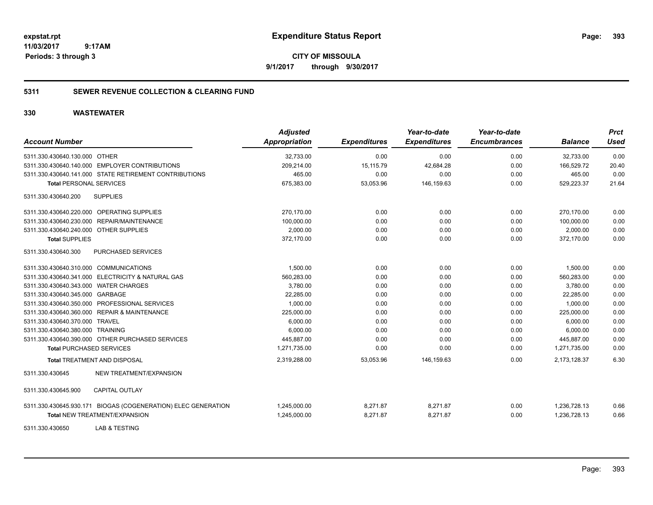**CITY OF MISSOULA 9/1/2017 through 9/30/2017**

# **5311 SEWER REVENUE COLLECTION & CLEARING FUND**

| <b>Account Number</b>                                         | <b>Adjusted</b><br><b>Appropriation</b> | <b>Expenditures</b> | Year-to-date<br><b>Expenditures</b> | Year-to-date<br><b>Encumbrances</b> | <b>Balance</b> | <b>Prct</b><br><b>Used</b> |
|---------------------------------------------------------------|-----------------------------------------|---------------------|-------------------------------------|-------------------------------------|----------------|----------------------------|
| 5311.330.430640.130.000 OTHER                                 | 32,733.00                               | 0.00                | 0.00                                | 0.00                                | 32,733.00      | 0.00                       |
| 5311.330.430640.140.000 EMPLOYER CONTRIBUTIONS                | 209.214.00                              | 15,115.79           | 42,684.28                           | 0.00                                | 166.529.72     | 20.40                      |
| 5311.330.430640.141.000 STATE RETIREMENT CONTRIBUTIONS        | 465.00                                  | 0.00                | 0.00                                | 0.00                                | 465.00         | 0.00                       |
| <b>Total PERSONAL SERVICES</b>                                | 675,383.00                              | 53,053.96           | 146,159.63                          | 0.00                                | 529,223.37     | 21.64                      |
| 5311.330.430640.200<br><b>SUPPLIES</b>                        |                                         |                     |                                     |                                     |                |                            |
| 5311.330.430640.220.000 OPERATING SUPPLIES                    | 270,170.00                              | 0.00                | 0.00                                | 0.00                                | 270,170.00     | 0.00                       |
| 5311.330.430640.230.000 REPAIR/MAINTENANCE                    | 100,000.00                              | 0.00                | 0.00                                | 0.00                                | 100,000.00     | 0.00                       |
| 5311.330.430640.240.000 OTHER SUPPLIES                        | 2.000.00                                | 0.00                | 0.00                                | 0.00                                | 2.000.00       | 0.00                       |
| <b>Total SUPPLIES</b>                                         | 372,170.00                              | 0.00                | 0.00                                | 0.00                                | 372,170.00     | 0.00                       |
| 5311.330.430640.300<br>PURCHASED SERVICES                     |                                         |                     |                                     |                                     |                |                            |
| 5311.330.430640.310.000 COMMUNICATIONS                        | 1.500.00                                | 0.00                | 0.00                                | 0.00                                | 1.500.00       | 0.00                       |
| 5311.330.430640.341.000 ELECTRICITY & NATURAL GAS             | 560,283.00                              | 0.00                | 0.00                                | 0.00                                | 560,283.00     | 0.00                       |
| 5311.330.430640.343.000 WATER CHARGES                         | 3,780.00                                | 0.00                | 0.00                                | 0.00                                | 3,780.00       | 0.00                       |
| 5311.330.430640.345.000 GARBAGE                               | 22,285.00                               | 0.00                | 0.00                                | 0.00                                | 22,285.00      | 0.00                       |
| 5311.330.430640.350.000 PROFESSIONAL SERVICES                 | 1.000.00                                | 0.00                | 0.00                                | 0.00                                | 1.000.00       | 0.00                       |
| 5311.330.430640.360.000 REPAIR & MAINTENANCE                  | 225,000.00                              | 0.00                | 0.00                                | 0.00                                | 225,000.00     | 0.00                       |
| 5311.330.430640.370.000 TRAVEL                                | 6,000.00                                | 0.00                | 0.00                                | 0.00                                | 6,000.00       | 0.00                       |
| 5311.330.430640.380.000 TRAINING                              | 6,000.00                                | 0.00                | 0.00                                | 0.00                                | 6,000.00       | 0.00                       |
| 5311.330.430640.390.000 OTHER PURCHASED SERVICES              | 445,887.00                              | 0.00                | 0.00                                | 0.00                                | 445,887.00     | 0.00                       |
| <b>Total PURCHASED SERVICES</b>                               | 1,271,735.00                            | 0.00                | 0.00                                | 0.00                                | 1,271,735.00   | 0.00                       |
| <b>Total TREATMENT AND DISPOSAL</b>                           | 2,319,288.00                            | 53,053.96           | 146,159.63                          | 0.00                                | 2,173,128.37   | 6.30                       |
| NEW TREATMENT/EXPANSION<br>5311.330.430645                    |                                         |                     |                                     |                                     |                |                            |
| 5311.330.430645.900<br><b>CAPITAL OUTLAY</b>                  |                                         |                     |                                     |                                     |                |                            |
| 5311.330.430645.930.171 BIOGAS (COGENERATION) ELEC GENERATION | 1,245,000.00                            | 8,271.87            | 8,271.87                            | 0.00                                | 1,236,728.13   | 0.66                       |
| <b>Total NEW TREATMENT/EXPANSION</b>                          | 1,245,000.00                            | 8,271.87            | 8,271.87                            | 0.00                                | 1,236,728.13   | 0.66                       |
| 5311.330.430650<br><b>LAB &amp; TESTING</b>                   |                                         |                     |                                     |                                     |                |                            |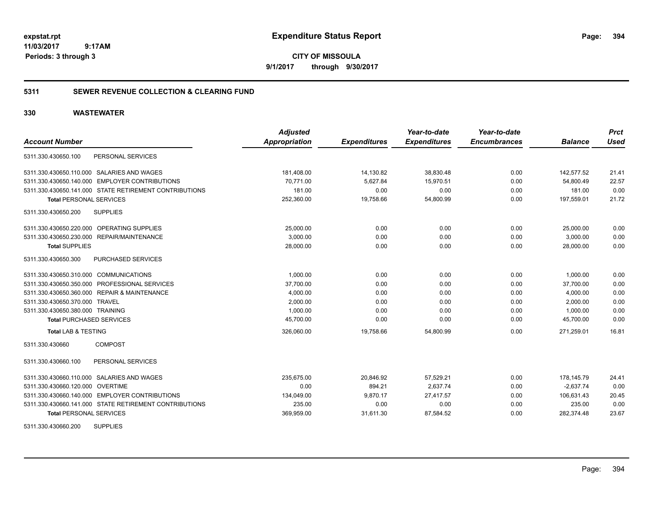**CITY OF MISSOULA 9/1/2017 through 9/30/2017**

# **5311 SEWER REVENUE COLLECTION & CLEARING FUND**

# **330 WASTEWATER**

| <b>Account Number</b>                                  | <b>Adjusted</b><br><b>Appropriation</b> | <b>Expenditures</b> | Year-to-date<br><b>Expenditures</b> | Year-to-date<br><b>Encumbrances</b> | <b>Balance</b> | <b>Prct</b><br><b>Used</b> |
|--------------------------------------------------------|-----------------------------------------|---------------------|-------------------------------------|-------------------------------------|----------------|----------------------------|
| PERSONAL SERVICES<br>5311.330.430650.100               |                                         |                     |                                     |                                     |                |                            |
|                                                        |                                         |                     |                                     |                                     |                |                            |
| 5311.330.430650.110.000 SALARIES AND WAGES             | 181,408.00                              | 14,130.82           | 38,830.48                           | 0.00                                | 142,577.52     | 21.41                      |
| 5311.330.430650.140.000 EMPLOYER CONTRIBUTIONS         | 70,771.00                               | 5,627.84            | 15,970.51                           | 0.00                                | 54,800.49      | 22.57                      |
| 5311.330.430650.141.000 STATE RETIREMENT CONTRIBUTIONS | 181.00                                  | 0.00                | 0.00                                | 0.00                                | 181.00         | 0.00                       |
| <b>Total PERSONAL SERVICES</b>                         | 252,360.00                              | 19,758.66           | 54,800.99                           | 0.00                                | 197,559.01     | 21.72                      |
| 5311.330.430650.200<br><b>SUPPLIES</b>                 |                                         |                     |                                     |                                     |                |                            |
| 5311.330.430650.220.000 OPERATING SUPPLIES             | 25,000.00                               | 0.00                | 0.00                                | 0.00                                | 25,000.00      | 0.00                       |
| 5311.330.430650.230.000 REPAIR/MAINTENANCE             | 3,000.00                                | 0.00                | 0.00                                | 0.00                                | 3,000.00       | 0.00                       |
| <b>Total SUPPLIES</b>                                  | 28,000.00                               | 0.00                | 0.00                                | 0.00                                | 28.000.00      | 0.00                       |
| 5311.330.430650.300<br>PURCHASED SERVICES              |                                         |                     |                                     |                                     |                |                            |
| 5311.330.430650.310.000 COMMUNICATIONS                 | 1,000.00                                | 0.00                | 0.00                                | 0.00                                | 1,000.00       | 0.00                       |
| 5311.330.430650.350.000 PROFESSIONAL SERVICES          | 37,700.00                               | 0.00                | 0.00                                | 0.00                                | 37,700.00      | 0.00                       |
| 5311.330.430650.360.000 REPAIR & MAINTENANCE           | 4,000.00                                | 0.00                | 0.00                                | 0.00                                | 4,000.00       | 0.00                       |
| 5311.330.430650.370.000 TRAVEL                         | 2,000.00                                | 0.00                | 0.00                                | 0.00                                | 2,000.00       | 0.00                       |
| 5311.330.430650.380.000 TRAINING                       | 1.000.00                                | 0.00                | 0.00                                | 0.00                                | 1.000.00       | 0.00                       |
| <b>Total PURCHASED SERVICES</b>                        | 45,700.00                               | 0.00                | 0.00                                | 0.00                                | 45,700.00      | 0.00                       |
| <b>Total LAB &amp; TESTING</b>                         | 326,060.00                              | 19,758.66           | 54,800.99                           | 0.00                                | 271,259.01     | 16.81                      |
| <b>COMPOST</b><br>5311.330.430660                      |                                         |                     |                                     |                                     |                |                            |
| PERSONAL SERVICES<br>5311.330.430660.100               |                                         |                     |                                     |                                     |                |                            |
| 5311.330.430660.110.000 SALARIES AND WAGES             | 235,675.00                              | 20,846.92           | 57,529.21                           | 0.00                                | 178,145.79     | 24.41                      |
| 5311.330.430660.120.000 OVERTIME                       | 0.00                                    | 894.21              | 2,637.74                            | 0.00                                | $-2,637.74$    | 0.00                       |
| 5311.330.430660.140.000 EMPLOYER CONTRIBUTIONS         | 134,049.00                              | 9,870.17            | 27,417.57                           | 0.00                                | 106,631.43     | 20.45                      |
| 5311.330.430660.141.000 STATE RETIREMENT CONTRIBUTIONS | 235.00                                  | 0.00                | 0.00                                | 0.00                                | 235.00         | 0.00                       |
| <b>Total PERSONAL SERVICES</b>                         | 369,959.00                              | 31,611.30           | 87,584.52                           | 0.00                                | 282,374.48     | 23.67                      |
| <b>SUPPLIES</b><br>5311.330.430660.200                 |                                         |                     |                                     |                                     |                |                            |

Page: 394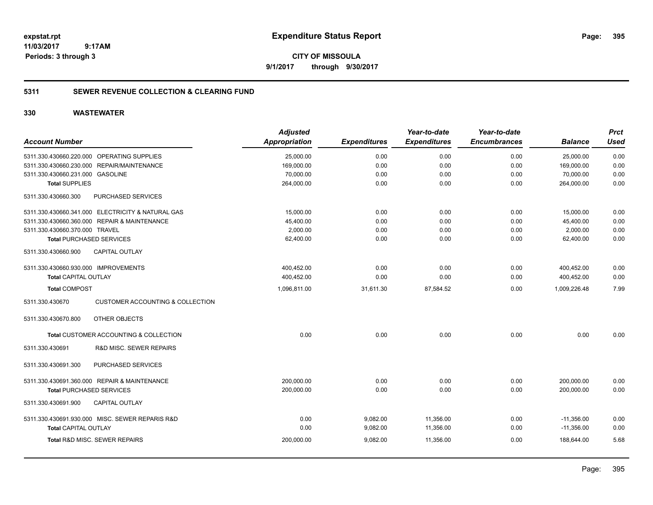**CITY OF MISSOULA 9/1/2017 through 9/30/2017**

# **5311 SEWER REVENUE COLLECTION & CLEARING FUND**

|                                                                | <b>Adjusted</b>      |                     | Year-to-date        | Year-to-date        |                | <b>Prct</b> |
|----------------------------------------------------------------|----------------------|---------------------|---------------------|---------------------|----------------|-------------|
| <b>Account Number</b>                                          | <b>Appropriation</b> | <b>Expenditures</b> | <b>Expenditures</b> | <b>Encumbrances</b> | <b>Balance</b> | <b>Used</b> |
| 5311.330.430660.220.000 OPERATING SUPPLIES                     | 25,000.00            | 0.00                | 0.00                | 0.00                | 25,000.00      | 0.00        |
| REPAIR/MAINTENANCE<br>5311.330.430660.230.000                  | 169,000.00           | 0.00                | 0.00                | 0.00                | 169,000.00     | 0.00        |
| 5311.330.430660.231.000 GASOLINE                               | 70,000.00            | 0.00                | 0.00                | 0.00                | 70,000.00      | 0.00        |
| <b>Total SUPPLIES</b>                                          | 264,000.00           | 0.00                | 0.00                | 0.00                | 264,000.00     | 0.00        |
| 5311.330.430660.300<br>PURCHASED SERVICES                      |                      |                     |                     |                     |                |             |
| 5311.330.430660.341.000 ELECTRICITY & NATURAL GAS              | 15.000.00            | 0.00                | 0.00                | 0.00                | 15,000.00      | 0.00        |
| 5311.330.430660.360.000 REPAIR & MAINTENANCE                   | 45,400.00            | 0.00                | 0.00                | 0.00                | 45,400.00      | 0.00        |
| 5311.330.430660.370.000 TRAVEL                                 | 2,000.00             | 0.00                | 0.00                | 0.00                | 2,000.00       | 0.00        |
| <b>Total PURCHASED SERVICES</b>                                | 62,400.00            | 0.00                | 0.00                | 0.00                | 62,400.00      | 0.00        |
| <b>CAPITAL OUTLAY</b><br>5311.330.430660.900                   |                      |                     |                     |                     |                |             |
| 5311.330.430660.930.000 IMPROVEMENTS                           | 400,452.00           | 0.00                | 0.00                | 0.00                | 400,452.00     | 0.00        |
| <b>Total CAPITAL OUTLAY</b>                                    | 400,452.00           | 0.00                | 0.00                | 0.00                | 400,452.00     | 0.00        |
| <b>Total COMPOST</b>                                           | 1,096,811.00         | 31,611.30           | 87,584.52           | 0.00                | 1,009,226.48   | 7.99        |
| <b>CUSTOMER ACCOUNTING &amp; COLLECTION</b><br>5311.330.430670 |                      |                     |                     |                     |                |             |
| 5311.330.430670.800<br>OTHER OBJECTS                           |                      |                     |                     |                     |                |             |
| Total CUSTOMER ACCOUNTING & COLLECTION                         | 0.00                 | 0.00                | 0.00                | 0.00                | 0.00           | 0.00        |
| <b>R&amp;D MISC. SEWER REPAIRS</b><br>5311.330.430691          |                      |                     |                     |                     |                |             |
| 5311.330.430691.300<br>PURCHASED SERVICES                      |                      |                     |                     |                     |                |             |
| 5311.330.430691.360.000 REPAIR & MAINTENANCE                   | 200,000.00           | 0.00                | 0.00                | 0.00                | 200,000.00     | 0.00        |
| <b>Total PURCHASED SERVICES</b>                                | 200,000.00           | 0.00                | 0.00                | 0.00                | 200,000.00     | 0.00        |
| 5311.330.430691.900<br><b>CAPITAL OUTLAY</b>                   |                      |                     |                     |                     |                |             |
| 5311.330.430691.930.000 MISC. SEWER REPARIS R&D                | 0.00                 | 9,082.00            | 11,356.00           | 0.00                | $-11,356.00$   | 0.00        |
| <b>Total CAPITAL OUTLAY</b>                                    | 0.00                 | 9,082.00            | 11,356.00           | 0.00                | $-11,356.00$   | 0.00        |
| <b>Total R&amp;D MISC, SEWER REPAIRS</b>                       | 200,000.00           | 9,082.00            | 11,356.00           | 0.00                | 188.644.00     | 5.68        |
|                                                                |                      |                     |                     |                     |                |             |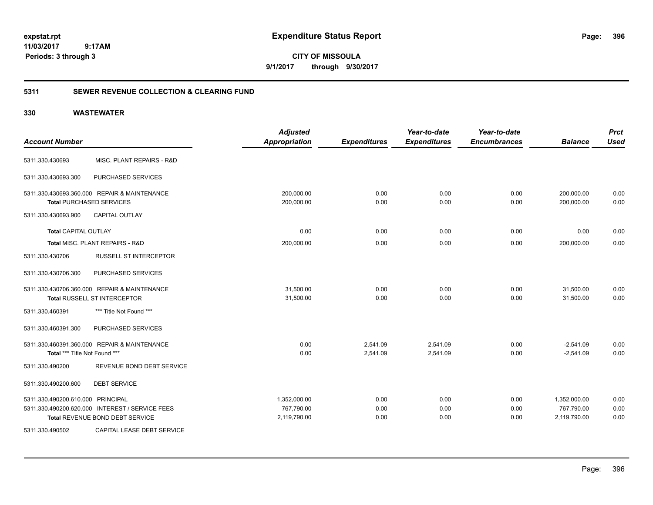**CITY OF MISSOULA 9/1/2017 through 9/30/2017**

# **5311 SEWER REVENUE COLLECTION & CLEARING FUND**

| <b>Account Number</b>                                                           | <b>Adjusted</b><br><b>Appropriation</b> | <b>Expenditures</b> | Year-to-date<br><b>Expenditures</b> | Year-to-date<br><b>Encumbrances</b> | <b>Balance</b>           | <b>Prct</b><br><b>Used</b> |
|---------------------------------------------------------------------------------|-----------------------------------------|---------------------|-------------------------------------|-------------------------------------|--------------------------|----------------------------|
| MISC. PLANT REPAIRS - R&D<br>5311.330.430693                                    |                                         |                     |                                     |                                     |                          |                            |
| PURCHASED SERVICES<br>5311.330.430693.300                                       |                                         |                     |                                     |                                     |                          |                            |
| 5311.330.430693.360.000 REPAIR & MAINTENANCE<br><b>Total PURCHASED SERVICES</b> | 200,000.00<br>200,000.00                | 0.00<br>0.00        | 0.00<br>0.00                        | 0.00<br>0.00                        | 200,000.00<br>200,000.00 | 0.00<br>0.00               |
| CAPITAL OUTLAY<br>5311.330.430693.900                                           |                                         |                     |                                     |                                     |                          |                            |
| <b>Total CAPITAL OUTLAY</b>                                                     | 0.00                                    | 0.00                | 0.00                                | 0.00                                | 0.00                     | 0.00                       |
| Total MISC. PLANT REPAIRS - R&D                                                 | 200,000.00                              | 0.00                | 0.00                                | 0.00                                | 200,000.00               | 0.00                       |
| RUSSELL ST INTERCEPTOR<br>5311.330.430706                                       |                                         |                     |                                     |                                     |                          |                            |
| PURCHASED SERVICES<br>5311.330.430706.300                                       |                                         |                     |                                     |                                     |                          |                            |
| 5311.330.430706.360.000 REPAIR & MAINTENANCE                                    | 31,500.00                               | 0.00                | 0.00                                | 0.00                                | 31,500.00                | 0.00                       |
| <b>Total RUSSELL ST INTERCEPTOR</b>                                             | 31,500.00                               | 0.00                | 0.00                                | 0.00                                | 31,500.00                | 0.00                       |
| *** Title Not Found ***<br>5311.330.460391                                      |                                         |                     |                                     |                                     |                          |                            |
| 5311.330.460391.300<br>PURCHASED SERVICES                                       |                                         |                     |                                     |                                     |                          |                            |
| 5311.330.460391.360.000 REPAIR & MAINTENANCE                                    | 0.00                                    | 2,541.09            | 2,541.09                            | 0.00                                | $-2,541.09$              | 0.00                       |
| Total *** Title Not Found ***                                                   | 0.00                                    | 2,541.09            | 2,541.09                            | 0.00                                | $-2,541.09$              | 0.00                       |
| REVENUE BOND DEBT SERVICE<br>5311.330.490200                                    |                                         |                     |                                     |                                     |                          |                            |
| <b>DEBT SERVICE</b><br>5311.330.490200.600                                      |                                         |                     |                                     |                                     |                          |                            |
| 5311.330.490200.610.000 PRINCIPAL                                               | 1,352,000.00                            | 0.00                | 0.00                                | 0.00                                | 1,352,000.00             | 0.00                       |
| 5311.330.490200.620.000 INTEREST / SERVICE FEES                                 | 767,790.00                              | 0.00                | 0.00                                | 0.00                                | 767,790.00               | 0.00                       |
| <b>Total REVENUE BOND DEBT SERVICE</b>                                          | 2,119,790.00                            | 0.00                | 0.00                                | 0.00                                | 2,119,790.00             | 0.00                       |
| CAPITAL LEASE DEBT SERVICE<br>5311.330.490502                                   |                                         |                     |                                     |                                     |                          |                            |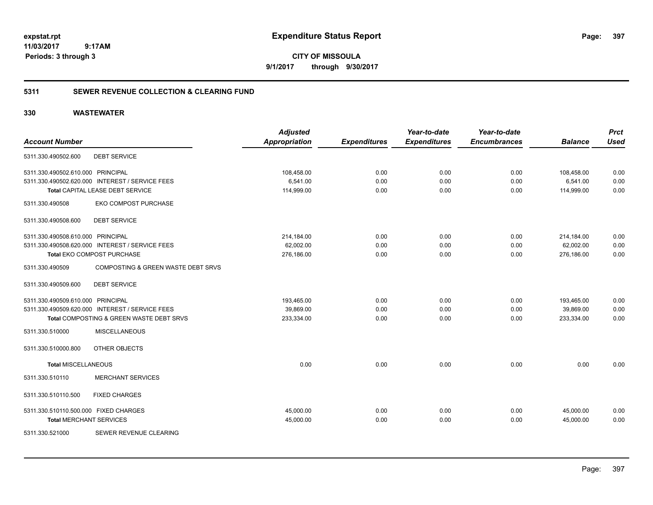**CITY OF MISSOULA 9/1/2017 through 9/30/2017**

### **5311 SEWER REVENUE COLLECTION & CLEARING FUND**

| <b>Account Number</b>                 |                                                 | <b>Adjusted</b><br><b>Appropriation</b> | <b>Expenditures</b> | Year-to-date<br><b>Expenditures</b> | Year-to-date<br><b>Encumbrances</b> | <b>Balance</b> | <b>Prct</b><br><b>Used</b> |
|---------------------------------------|-------------------------------------------------|-----------------------------------------|---------------------|-------------------------------------|-------------------------------------|----------------|----------------------------|
| 5311.330.490502.600                   | <b>DEBT SERVICE</b>                             |                                         |                     |                                     |                                     |                |                            |
| 5311.330.490502.610.000 PRINCIPAL     |                                                 | 108,458.00                              | 0.00                | 0.00                                | 0.00                                | 108,458.00     | 0.00                       |
|                                       | 5311.330.490502.620.000 INTEREST / SERVICE FEES | 6,541.00                                | 0.00                | 0.00                                | 0.00                                | 6,541.00       | 0.00                       |
|                                       | Total CAPITAL LEASE DEBT SERVICE                | 114,999.00                              | 0.00                | 0.00                                | 0.00                                | 114,999.00     | 0.00                       |
| 5311.330.490508                       | EKO COMPOST PURCHASE                            |                                         |                     |                                     |                                     |                |                            |
| 5311.330.490508.600                   | <b>DEBT SERVICE</b>                             |                                         |                     |                                     |                                     |                |                            |
| 5311.330.490508.610.000 PRINCIPAL     |                                                 | 214,184.00                              | 0.00                | 0.00                                | 0.00                                | 214,184.00     | 0.00                       |
|                                       | 5311.330.490508.620.000 INTEREST / SERVICE FEES | 62,002.00                               | 0.00                | 0.00                                | 0.00                                | 62,002.00      | 0.00                       |
|                                       | Total EKO COMPOST PURCHASE                      | 276,186.00                              | 0.00                | 0.00                                | 0.00                                | 276,186.00     | 0.00                       |
| 5311.330.490509                       | COMPOSTING & GREEN WASTE DEBT SRVS              |                                         |                     |                                     |                                     |                |                            |
| 5311.330.490509.600                   | <b>DEBT SERVICE</b>                             |                                         |                     |                                     |                                     |                |                            |
| 5311.330.490509.610.000 PRINCIPAL     |                                                 | 193,465.00                              | 0.00                | 0.00                                | 0.00                                | 193,465.00     | 0.00                       |
|                                       | 5311.330.490509.620.000 INTEREST / SERVICE FEES | 39,869.00                               | 0.00                | 0.00                                | 0.00                                | 39,869.00      | 0.00                       |
|                                       | Total COMPOSTING & GREEN WASTE DEBT SRVS        | 233,334.00                              | 0.00                | 0.00                                | 0.00                                | 233,334.00     | 0.00                       |
| 5311.330.510000                       | <b>MISCELLANEOUS</b>                            |                                         |                     |                                     |                                     |                |                            |
| 5311.330.510000.800                   | <b>OTHER OBJECTS</b>                            |                                         |                     |                                     |                                     |                |                            |
| <b>Total MISCELLANEOUS</b>            |                                                 | 0.00                                    | 0.00                | 0.00                                | 0.00                                | 0.00           | 0.00                       |
| 5311.330.510110                       | <b>MERCHANT SERVICES</b>                        |                                         |                     |                                     |                                     |                |                            |
| 5311.330.510110.500                   | <b>FIXED CHARGES</b>                            |                                         |                     |                                     |                                     |                |                            |
| 5311.330.510110.500.000 FIXED CHARGES |                                                 | 45,000.00                               | 0.00                | 0.00                                | 0.00                                | 45,000.00      | 0.00                       |
| <b>Total MERCHANT SERVICES</b>        |                                                 | 45,000.00                               | 0.00                | 0.00                                | 0.00                                | 45,000.00      | 0.00                       |
| 5311.330.521000                       | SEWER REVENUE CLEARING                          |                                         |                     |                                     |                                     |                |                            |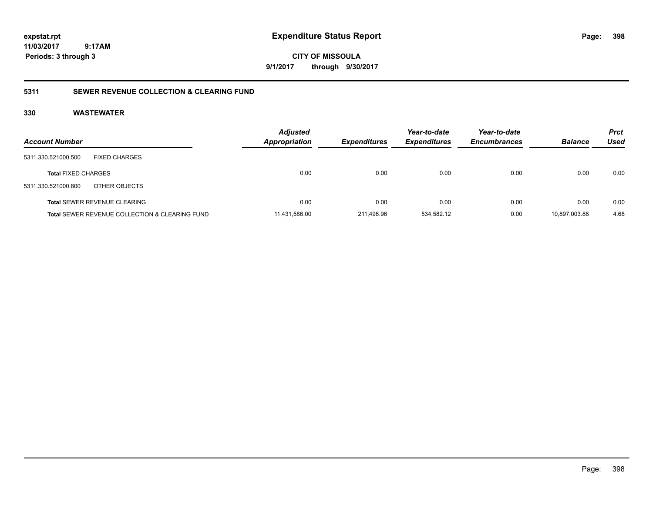**CITY OF MISSOULA 9/1/2017 through 9/30/2017**

### **5311 SEWER REVENUE COLLECTION & CLEARING FUND**

| <b>Account Number</b>               |                                                           | <b>Adjusted</b><br>Appropriation | <b>Expenditures</b> | Year-to-date<br><b>Expenditures</b> | Year-to-date<br><b>Encumbrances</b> | <b>Balance</b> | Prct<br>Used |
|-------------------------------------|-----------------------------------------------------------|----------------------------------|---------------------|-------------------------------------|-------------------------------------|----------------|--------------|
| 5311.330.521000.500                 | <b>FIXED CHARGES</b>                                      |                                  |                     |                                     |                                     |                |              |
| <b>Total FIXED CHARGES</b>          |                                                           | 0.00                             | 0.00                | 0.00                                | 0.00                                | 0.00           | 0.00         |
| 5311.330.521000.800                 | OTHER OBJECTS                                             |                                  |                     |                                     |                                     |                |              |
| <b>Total SEWER REVENUE CLEARING</b> |                                                           | 0.00                             | 0.00                | 0.00                                | 0.00                                | 0.00           | 0.00         |
|                                     | <b>Total SEWER REVENUE COLLECTION &amp; CLEARING FUND</b> | 11,431,586.00                    | 211,496.96          | 534,582.12                          | 0.00                                | 10.897.003.88  | 4.68         |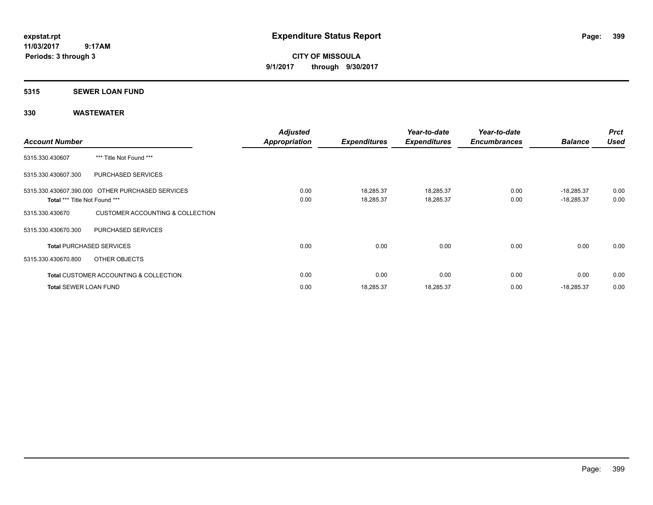**CITY OF MISSOULA 9/1/2017 through 9/30/2017**

### **5315 SEWER LOAN FUND**

| <b>Account Number</b>         |                                                   | <b>Adjusted</b><br><b>Appropriation</b> | <b>Expenditures</b>    | Year-to-date<br><b>Expenditures</b> | Year-to-date<br><b>Encumbrances</b> | <b>Balance</b>               | <b>Prct</b><br><b>Used</b> |
|-------------------------------|---------------------------------------------------|-----------------------------------------|------------------------|-------------------------------------|-------------------------------------|------------------------------|----------------------------|
| 5315.330.430607               | *** Title Not Found ***                           |                                         |                        |                                     |                                     |                              |                            |
| 5315.330.430607.300           | <b>PURCHASED SERVICES</b>                         |                                         |                        |                                     |                                     |                              |                            |
| Total *** Title Not Found *** | 5315.330.430607.390.000 OTHER PURCHASED SERVICES  | 0.00<br>0.00                            | 18,285.37<br>18,285.37 | 18,285.37<br>18,285.37              | 0.00<br>0.00                        | $-18,285.37$<br>$-18,285.37$ | 0.00<br>0.00               |
| 5315.330.430670               | CUSTOMER ACCOUNTING & COLLECTION                  |                                         |                        |                                     |                                     |                              |                            |
| 5315.330.430670.300           | <b>PURCHASED SERVICES</b>                         |                                         |                        |                                     |                                     |                              |                            |
|                               | <b>Total PURCHASED SERVICES</b>                   | 0.00                                    | 0.00                   | 0.00                                | 0.00                                | 0.00                         | 0.00                       |
| 5315.330.430670.800           | OTHER OBJECTS                                     |                                         |                        |                                     |                                     |                              |                            |
|                               | <b>Total CUSTOMER ACCOUNTING &amp; COLLECTION</b> | 0.00                                    | 0.00                   | 0.00                                | 0.00                                | 0.00                         | 0.00                       |
| <b>Total SEWER LOAN FUND</b>  |                                                   | 0.00                                    | 18,285.37              | 18,285.37                           | 0.00                                | $-18,285.37$                 | 0.00                       |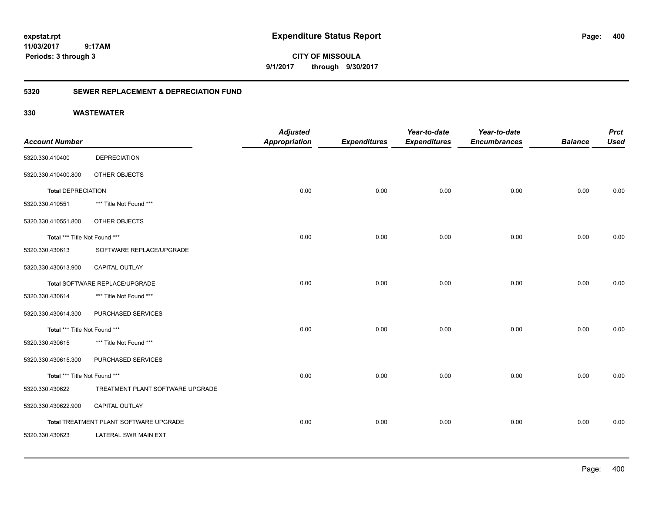**CITY OF MISSOULA 9/1/2017 through 9/30/2017**

### **5320 SEWER REPLACEMENT & DEPRECIATION FUND**

| <b>Account Number</b>         |                                        | <b>Adjusted</b><br><b>Appropriation</b> | <b>Expenditures</b> | Year-to-date<br><b>Expenditures</b> | Year-to-date<br><b>Encumbrances</b> | <b>Balance</b> | <b>Prct</b><br><b>Used</b> |
|-------------------------------|----------------------------------------|-----------------------------------------|---------------------|-------------------------------------|-------------------------------------|----------------|----------------------------|
| 5320.330.410400               | <b>DEPRECIATION</b>                    |                                         |                     |                                     |                                     |                |                            |
| 5320.330.410400.800           | OTHER OBJECTS                          |                                         |                     |                                     |                                     |                |                            |
| <b>Total DEPRECIATION</b>     |                                        | 0.00                                    | 0.00                | 0.00                                | 0.00                                | 0.00           | 0.00                       |
| 5320.330.410551               | *** Title Not Found ***                |                                         |                     |                                     |                                     |                |                            |
| 5320.330.410551.800           | OTHER OBJECTS                          |                                         |                     |                                     |                                     |                |                            |
| Total *** Title Not Found *** |                                        | 0.00                                    | 0.00                | 0.00                                | 0.00                                | 0.00           | 0.00                       |
| 5320.330.430613               | SOFTWARE REPLACE/UPGRADE               |                                         |                     |                                     |                                     |                |                            |
| 5320.330.430613.900           | CAPITAL OUTLAY                         |                                         |                     |                                     |                                     |                |                            |
|                               | Total SOFTWARE REPLACE/UPGRADE         | 0.00                                    | 0.00                | 0.00                                | 0.00                                | 0.00           | 0.00                       |
| 5320.330.430614               | *** Title Not Found ***                |                                         |                     |                                     |                                     |                |                            |
| 5320.330.430614.300           | PURCHASED SERVICES                     |                                         |                     |                                     |                                     |                |                            |
| Total *** Title Not Found *** |                                        | 0.00                                    | 0.00                | 0.00                                | 0.00                                | 0.00           | 0.00                       |
| 5320.330.430615               | *** Title Not Found ***                |                                         |                     |                                     |                                     |                |                            |
| 5320.330.430615.300           | PURCHASED SERVICES                     |                                         |                     |                                     |                                     |                |                            |
| Total *** Title Not Found *** |                                        | 0.00                                    | 0.00                | 0.00                                | 0.00                                | 0.00           | 0.00                       |
| 5320.330.430622               | TREATMENT PLANT SOFTWARE UPGRADE       |                                         |                     |                                     |                                     |                |                            |
| 5320.330.430622.900           | CAPITAL OUTLAY                         |                                         |                     |                                     |                                     |                |                            |
|                               | Total TREATMENT PLANT SOFTWARE UPGRADE | 0.00                                    | 0.00                | 0.00                                | 0.00                                | 0.00           | 0.00                       |
| 5320.330.430623               | LATERAL SWR MAIN EXT                   |                                         |                     |                                     |                                     |                |                            |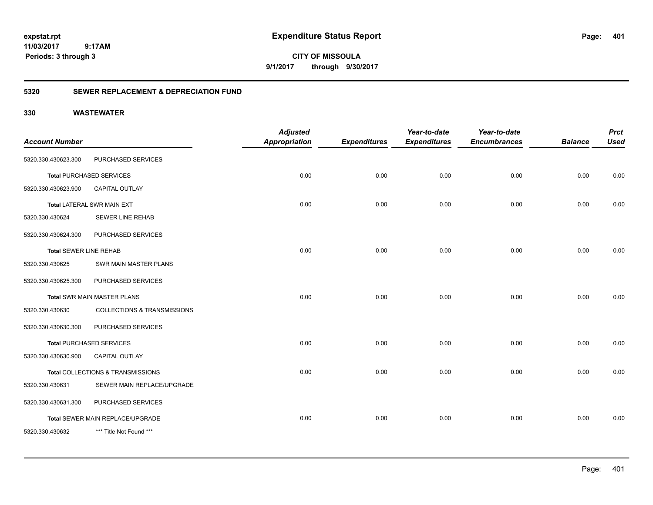**CITY OF MISSOULA 9/1/2017 through 9/30/2017**

### **5320 SEWER REPLACEMENT & DEPRECIATION FUND**

| <b>Account Number</b>         |                                    | <b>Adjusted</b><br><b>Appropriation</b> | <b>Expenditures</b> | Year-to-date<br><b>Expenditures</b> | Year-to-date<br><b>Encumbrances</b> | <b>Balance</b> | <b>Prct</b><br><b>Used</b> |
|-------------------------------|------------------------------------|-----------------------------------------|---------------------|-------------------------------------|-------------------------------------|----------------|----------------------------|
|                               |                                    |                                         |                     |                                     |                                     |                |                            |
| 5320.330.430623.300           | PURCHASED SERVICES                 |                                         |                     |                                     |                                     |                |                            |
|                               | <b>Total PURCHASED SERVICES</b>    | 0.00                                    | 0.00                | 0.00                                | 0.00                                | 0.00           | 0.00                       |
| 5320.330.430623.900           | <b>CAPITAL OUTLAY</b>              |                                         |                     |                                     |                                     |                |                            |
|                               | <b>Total LATERAL SWR MAIN EXT</b>  | 0.00                                    | 0.00                | 0.00                                | 0.00                                | 0.00           | 0.00                       |
| 5320.330.430624               | <b>SEWER LINE REHAB</b>            |                                         |                     |                                     |                                     |                |                            |
| 5320.330.430624.300           | PURCHASED SERVICES                 |                                         |                     |                                     |                                     |                |                            |
| <b>Total SEWER LINE REHAB</b> |                                    | 0.00                                    | 0.00                | 0.00                                | 0.00                                | 0.00           | 0.00                       |
| 5320.330.430625               | SWR MAIN MASTER PLANS              |                                         |                     |                                     |                                     |                |                            |
| 5320.330.430625.300           | PURCHASED SERVICES                 |                                         |                     |                                     |                                     |                |                            |
|                               | <b>Total SWR MAIN MASTER PLANS</b> | 0.00                                    | 0.00                | 0.00                                | 0.00                                | 0.00           | 0.00                       |
| 5320.330.430630               | COLLECTIONS & TRANSMISSIONS        |                                         |                     |                                     |                                     |                |                            |
| 5320.330.430630.300           | PURCHASED SERVICES                 |                                         |                     |                                     |                                     |                |                            |
|                               | <b>Total PURCHASED SERVICES</b>    | 0.00                                    | 0.00                | 0.00                                | 0.00                                | 0.00           | 0.00                       |
| 5320.330.430630.900           | <b>CAPITAL OUTLAY</b>              |                                         |                     |                                     |                                     |                |                            |
|                               | Total COLLECTIONS & TRANSMISSIONS  | 0.00                                    | 0.00                | 0.00                                | 0.00                                | 0.00           | 0.00                       |
| 5320.330.430631               | SEWER MAIN REPLACE/UPGRADE         |                                         |                     |                                     |                                     |                |                            |
| 5320.330.430631.300           | PURCHASED SERVICES                 |                                         |                     |                                     |                                     |                |                            |
|                               | Total SEWER MAIN REPLACE/UPGRADE   | 0.00                                    | 0.00                | 0.00                                | 0.00                                | 0.00           | 0.00                       |
| 5320.330.430632               | *** Title Not Found ***            |                                         |                     |                                     |                                     |                |                            |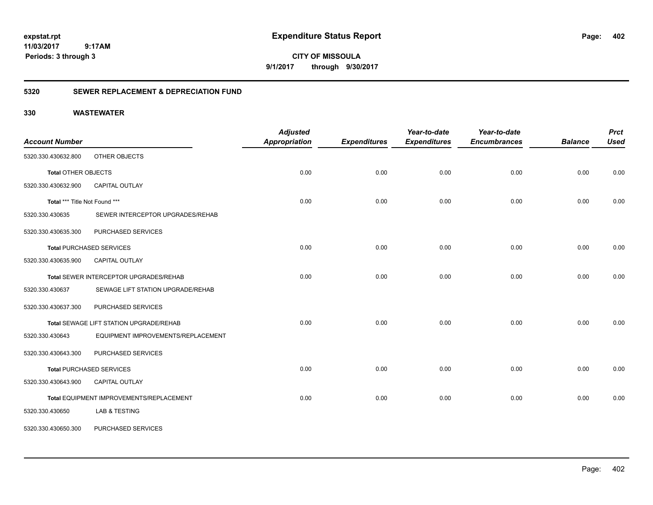**CITY OF MISSOULA 9/1/2017 through 9/30/2017**

### **5320 SEWER REPLACEMENT & DEPRECIATION FUND**

| <b>Account Number</b>         |                                          | <b>Adjusted</b><br><b>Appropriation</b> | <b>Expenditures</b> | Year-to-date<br><b>Expenditures</b> | Year-to-date<br><b>Encumbrances</b> | <b>Balance</b> | <b>Prct</b><br><b>Used</b> |
|-------------------------------|------------------------------------------|-----------------------------------------|---------------------|-------------------------------------|-------------------------------------|----------------|----------------------------|
| 5320.330.430632.800           | OTHER OBJECTS                            |                                         |                     |                                     |                                     |                |                            |
| <b>Total OTHER OBJECTS</b>    |                                          | 0.00                                    | 0.00                | 0.00                                | 0.00                                | 0.00           | 0.00                       |
| 5320.330.430632.900           | CAPITAL OUTLAY                           |                                         |                     |                                     |                                     |                |                            |
| Total *** Title Not Found *** |                                          | 0.00                                    | 0.00                | 0.00                                | 0.00                                | 0.00           | 0.00                       |
| 5320.330.430635               | SEWER INTERCEPTOR UPGRADES/REHAB         |                                         |                     |                                     |                                     |                |                            |
| 5320.330.430635.300           | PURCHASED SERVICES                       |                                         |                     |                                     |                                     |                |                            |
|                               | <b>Total PURCHASED SERVICES</b>          | 0.00                                    | 0.00                | 0.00                                | 0.00                                | 0.00           | 0.00                       |
| 5320.330.430635.900           | <b>CAPITAL OUTLAY</b>                    |                                         |                     |                                     |                                     |                |                            |
|                               | Total SEWER INTERCEPTOR UPGRADES/REHAB   | 0.00                                    | 0.00                | 0.00                                | 0.00                                | 0.00           | 0.00                       |
| 5320.330.430637               | SEWAGE LIFT STATION UPGRADE/REHAB        |                                         |                     |                                     |                                     |                |                            |
| 5320.330.430637.300           | PURCHASED SERVICES                       |                                         |                     |                                     |                                     |                |                            |
|                               | Total SEWAGE LIFT STATION UPGRADE/REHAB  | 0.00                                    | 0.00                | 0.00                                | 0.00                                | 0.00           | 0.00                       |
| 5320.330.430643               | EQUIPMENT IMPROVEMENTS/REPLACEMENT       |                                         |                     |                                     |                                     |                |                            |
| 5320.330.430643.300           | PURCHASED SERVICES                       |                                         |                     |                                     |                                     |                |                            |
|                               | <b>Total PURCHASED SERVICES</b>          | 0.00                                    | 0.00                | 0.00                                | 0.00                                | 0.00           | 0.00                       |
| 5320.330.430643.900           | CAPITAL OUTLAY                           |                                         |                     |                                     |                                     |                |                            |
|                               | Total EQUIPMENT IMPROVEMENTS/REPLACEMENT | 0.00                                    | 0.00                | 0.00                                | 0.00                                | 0.00           | 0.00                       |
| 5320.330.430650               | <b>LAB &amp; TESTING</b>                 |                                         |                     |                                     |                                     |                |                            |
| 5320.330.430650.300           | PURCHASED SERVICES                       |                                         |                     |                                     |                                     |                |                            |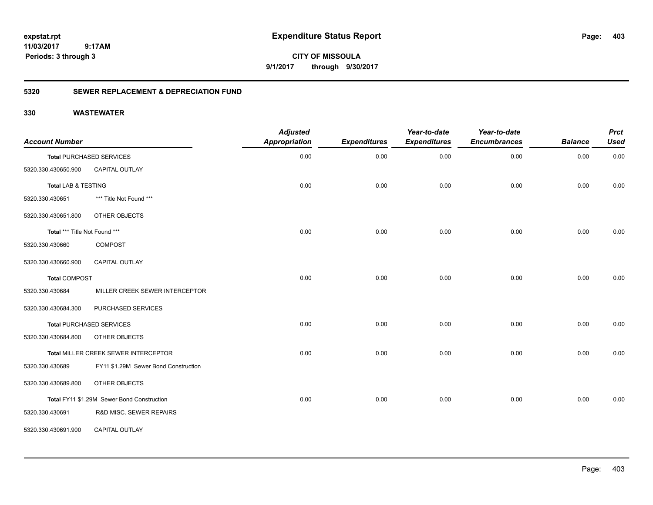**CITY OF MISSOULA 9/1/2017 through 9/30/2017**

### **5320 SEWER REPLACEMENT & DEPRECIATION FUND**

| <b>Account Number</b>         |                                            | <b>Adjusted</b><br><b>Appropriation</b> | <b>Expenditures</b> | Year-to-date<br><b>Expenditures</b> | Year-to-date<br><b>Encumbrances</b> | <b>Balance</b> | <b>Prct</b><br><b>Used</b> |
|-------------------------------|--------------------------------------------|-----------------------------------------|---------------------|-------------------------------------|-------------------------------------|----------------|----------------------------|
|                               | <b>Total PURCHASED SERVICES</b>            | 0.00                                    | 0.00                | 0.00                                | 0.00                                | 0.00           | 0.00                       |
| 5320.330.430650.900           | CAPITAL OUTLAY                             |                                         |                     |                                     |                                     |                |                            |
| Total LAB & TESTING           |                                            | 0.00                                    | 0.00                | 0.00                                | 0.00                                | 0.00           | 0.00                       |
| 5320.330.430651               | *** Title Not Found ***                    |                                         |                     |                                     |                                     |                |                            |
| 5320.330.430651.800           | OTHER OBJECTS                              |                                         |                     |                                     |                                     |                |                            |
| Total *** Title Not Found *** |                                            | 0.00                                    | 0.00                | 0.00                                | 0.00                                | 0.00           | 0.00                       |
| 5320.330.430660               | COMPOST                                    |                                         |                     |                                     |                                     |                |                            |
| 5320.330.430660.900           | CAPITAL OUTLAY                             |                                         |                     |                                     |                                     |                |                            |
| <b>Total COMPOST</b>          |                                            | 0.00                                    | 0.00                | 0.00                                | 0.00                                | 0.00           | 0.00                       |
| 5320.330.430684               | MILLER CREEK SEWER INTERCEPTOR             |                                         |                     |                                     |                                     |                |                            |
| 5320.330.430684.300           | PURCHASED SERVICES                         |                                         |                     |                                     |                                     |                |                            |
|                               | <b>Total PURCHASED SERVICES</b>            | 0.00                                    | 0.00                | 0.00                                | 0.00                                | 0.00           | 0.00                       |
| 5320.330.430684.800           | OTHER OBJECTS                              |                                         |                     |                                     |                                     |                |                            |
|                               | Total MILLER CREEK SEWER INTERCEPTOR       | 0.00                                    | 0.00                | 0.00                                | 0.00                                | 0.00           | 0.00                       |
| 5320.330.430689               | FY11 \$1.29M Sewer Bond Construction       |                                         |                     |                                     |                                     |                |                            |
| 5320.330.430689.800           | OTHER OBJECTS                              |                                         |                     |                                     |                                     |                |                            |
|                               | Total FY11 \$1.29M Sewer Bond Construction | 0.00                                    | 0.00                | 0.00                                | 0.00                                | 0.00           | 0.00                       |
| 5320.330.430691               | R&D MISC. SEWER REPAIRS                    |                                         |                     |                                     |                                     |                |                            |
| 5320.330.430691.900           | <b>CAPITAL OUTLAY</b>                      |                                         |                     |                                     |                                     |                |                            |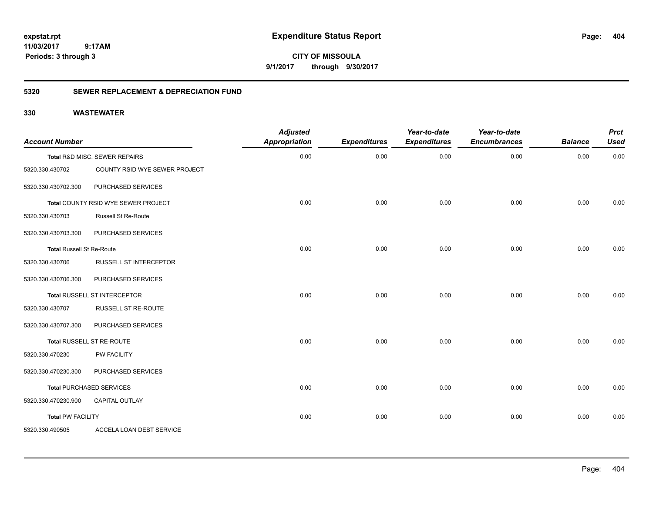**CITY OF MISSOULA 9/1/2017 through 9/30/2017**

### **5320 SEWER REPLACEMENT & DEPRECIATION FUND**

| <b>Account Number</b>            |                                     | <b>Adjusted</b><br><b>Appropriation</b> | <b>Expenditures</b> | Year-to-date<br><b>Expenditures</b> | Year-to-date<br><b>Encumbrances</b> | <b>Balance</b> | <b>Prct</b><br><b>Used</b> |
|----------------------------------|-------------------------------------|-----------------------------------------|---------------------|-------------------------------------|-------------------------------------|----------------|----------------------------|
|                                  | Total R&D MISC. SEWER REPAIRS       | 0.00                                    | 0.00                | 0.00                                | 0.00                                | 0.00           | 0.00                       |
| 5320.330.430702                  | COUNTY RSID WYE SEWER PROJECT       |                                         |                     |                                     |                                     |                |                            |
| 5320.330.430702.300              | PURCHASED SERVICES                  |                                         |                     |                                     |                                     |                |                            |
|                                  | Total COUNTY RSID WYE SEWER PROJECT | 0.00                                    | 0.00                | 0.00                                | 0.00                                | 0.00           | 0.00                       |
| 5320.330.430703                  | <b>Russell St Re-Route</b>          |                                         |                     |                                     |                                     |                |                            |
| 5320.330.430703.300              | PURCHASED SERVICES                  |                                         |                     |                                     |                                     |                |                            |
| <b>Total Russell St Re-Route</b> |                                     | 0.00                                    | 0.00                | 0.00                                | 0.00                                | 0.00           | 0.00                       |
| 5320.330.430706                  | <b>RUSSELL ST INTERCEPTOR</b>       |                                         |                     |                                     |                                     |                |                            |
| 5320.330.430706.300              | PURCHASED SERVICES                  |                                         |                     |                                     |                                     |                |                            |
|                                  | Total RUSSELL ST INTERCEPTOR        | 0.00                                    | 0.00                | 0.00                                | 0.00                                | 0.00           | 0.00                       |
| 5320.330.430707                  | <b>RUSSELL ST RE-ROUTE</b>          |                                         |                     |                                     |                                     |                |                            |
| 5320.330.430707.300              | PURCHASED SERVICES                  |                                         |                     |                                     |                                     |                |                            |
|                                  | Total RUSSELL ST RE-ROUTE           | 0.00                                    | 0.00                | 0.00                                | 0.00                                | 0.00           | 0.00                       |
| 5320.330.470230                  | <b>PW FACILITY</b>                  |                                         |                     |                                     |                                     |                |                            |
| 5320.330.470230.300              | PURCHASED SERVICES                  |                                         |                     |                                     |                                     |                |                            |
|                                  | <b>Total PURCHASED SERVICES</b>     | 0.00                                    | 0.00                | 0.00                                | 0.00                                | 0.00           | 0.00                       |
| 5320.330.470230.900              | CAPITAL OUTLAY                      |                                         |                     |                                     |                                     |                |                            |
| <b>Total PW FACILITY</b>         |                                     | 0.00                                    | 0.00                | 0.00                                | 0.00                                | 0.00           | 0.00                       |
| 5320.330.490505                  | ACCELA LOAN DEBT SERVICE            |                                         |                     |                                     |                                     |                |                            |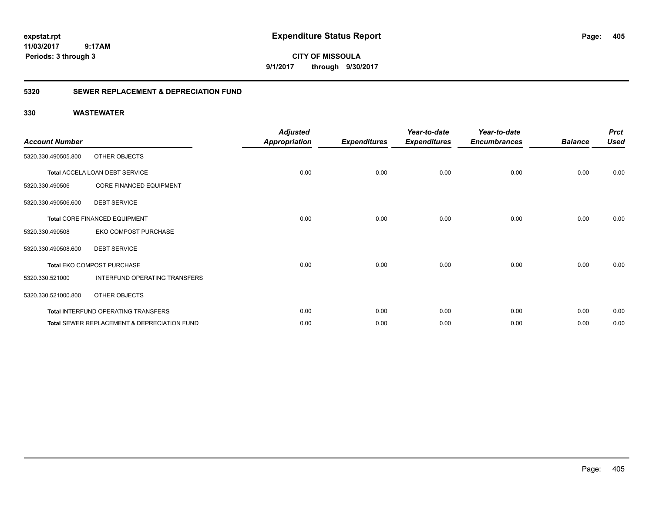**CITY OF MISSOULA 9/1/2017 through 9/30/2017**

### **5320 SEWER REPLACEMENT & DEPRECIATION FUND**

| <b>Account Number</b> |                                             | <b>Adjusted</b><br><b>Appropriation</b> | <b>Expenditures</b> | Year-to-date<br><b>Expenditures</b> | Year-to-date<br><b>Encumbrances</b> | <b>Balance</b> | <b>Prct</b><br><b>Used</b> |
|-----------------------|---------------------------------------------|-----------------------------------------|---------------------|-------------------------------------|-------------------------------------|----------------|----------------------------|
| 5320.330.490505.800   | OTHER OBJECTS                               |                                         |                     |                                     |                                     |                |                            |
|                       | Total ACCELA LOAN DEBT SERVICE              | 0.00                                    | 0.00                | 0.00                                | 0.00                                | 0.00           | 0.00                       |
| 5320.330.490506       | <b>CORE FINANCED EQUIPMENT</b>              |                                         |                     |                                     |                                     |                |                            |
| 5320.330.490506.600   | <b>DEBT SERVICE</b>                         |                                         |                     |                                     |                                     |                |                            |
|                       | <b>Total CORE FINANCED EQUIPMENT</b>        | 0.00                                    | 0.00                | 0.00                                | 0.00                                | 0.00           | 0.00                       |
| 5320.330.490508       | EKO COMPOST PURCHASE                        |                                         |                     |                                     |                                     |                |                            |
| 5320.330.490508.600   | <b>DEBT SERVICE</b>                         |                                         |                     |                                     |                                     |                |                            |
|                       | Total EKO COMPOST PURCHASE                  | 0.00                                    | 0.00                | 0.00                                | 0.00                                | 0.00           | 0.00                       |
| 5320.330.521000       | INTERFUND OPERATING TRANSFERS               |                                         |                     |                                     |                                     |                |                            |
| 5320.330.521000.800   | OTHER OBJECTS                               |                                         |                     |                                     |                                     |                |                            |
|                       | Total INTERFUND OPERATING TRANSFERS         | 0.00                                    | 0.00                | 0.00                                | 0.00                                | 0.00           | 0.00                       |
|                       | Total SEWER REPLACEMENT & DEPRECIATION FUND | 0.00                                    | 0.00                | 0.00                                | 0.00                                | 0.00           | 0.00                       |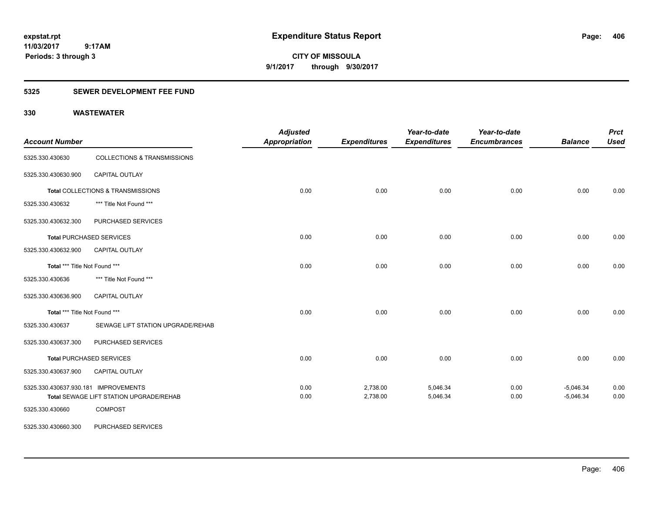**CITY OF MISSOULA 9/1/2017 through 9/30/2017**

### **5325 SEWER DEVELOPMENT FEE FUND**

| <b>Account Number</b>                |                                         | <b>Adjusted</b><br><b>Appropriation</b> | <b>Expenditures</b> | Year-to-date<br><b>Expenditures</b> | Year-to-date<br><b>Encumbrances</b> | <b>Balance</b> | <b>Prct</b><br><b>Used</b> |
|--------------------------------------|-----------------------------------------|-----------------------------------------|---------------------|-------------------------------------|-------------------------------------|----------------|----------------------------|
| 5325.330.430630                      | <b>COLLECTIONS &amp; TRANSMISSIONS</b>  |                                         |                     |                                     |                                     |                |                            |
| 5325.330.430630.900                  | CAPITAL OUTLAY                          |                                         |                     |                                     |                                     |                |                            |
|                                      | Total COLLECTIONS & TRANSMISSIONS       | 0.00                                    | 0.00                | 0.00                                | 0.00                                | 0.00           | 0.00                       |
| 5325.330.430632                      | *** Title Not Found ***                 |                                         |                     |                                     |                                     |                |                            |
| 5325.330.430632.300                  | PURCHASED SERVICES                      |                                         |                     |                                     |                                     |                |                            |
|                                      | <b>Total PURCHASED SERVICES</b>         | 0.00                                    | 0.00                | 0.00                                | 0.00                                | 0.00           | 0.00                       |
| 5325.330.430632.900                  | CAPITAL OUTLAY                          |                                         |                     |                                     |                                     |                |                            |
| Total *** Title Not Found ***        |                                         | 0.00                                    | 0.00                | 0.00                                | 0.00                                | 0.00           | 0.00                       |
| 5325.330.430636                      | *** Title Not Found ***                 |                                         |                     |                                     |                                     |                |                            |
| 5325.330.430636.900                  | <b>CAPITAL OUTLAY</b>                   |                                         |                     |                                     |                                     |                |                            |
| Total *** Title Not Found ***        |                                         | 0.00                                    | 0.00                | 0.00                                | 0.00                                | 0.00           | 0.00                       |
| 5325.330.430637                      | SEWAGE LIFT STATION UPGRADE/REHAB       |                                         |                     |                                     |                                     |                |                            |
| 5325.330.430637.300                  | PURCHASED SERVICES                      |                                         |                     |                                     |                                     |                |                            |
|                                      | <b>Total PURCHASED SERVICES</b>         | 0.00                                    | 0.00                | 0.00                                | 0.00                                | 0.00           | 0.00                       |
| 5325.330.430637.900                  | <b>CAPITAL OUTLAY</b>                   |                                         |                     |                                     |                                     |                |                            |
| 5325.330.430637.930.181 IMPROVEMENTS |                                         | 0.00                                    | 2,738.00            | 5,046.34                            | 0.00                                | $-5,046.34$    | 0.00                       |
|                                      | Total SEWAGE LIFT STATION UPGRADE/REHAB | 0.00                                    | 2,738.00            | 5,046.34                            | 0.00                                | $-5,046.34$    | 0.00                       |
| 5325.330.430660                      | <b>COMPOST</b>                          |                                         |                     |                                     |                                     |                |                            |
| 5325.330.430660.300                  | PURCHASED SERVICES                      |                                         |                     |                                     |                                     |                |                            |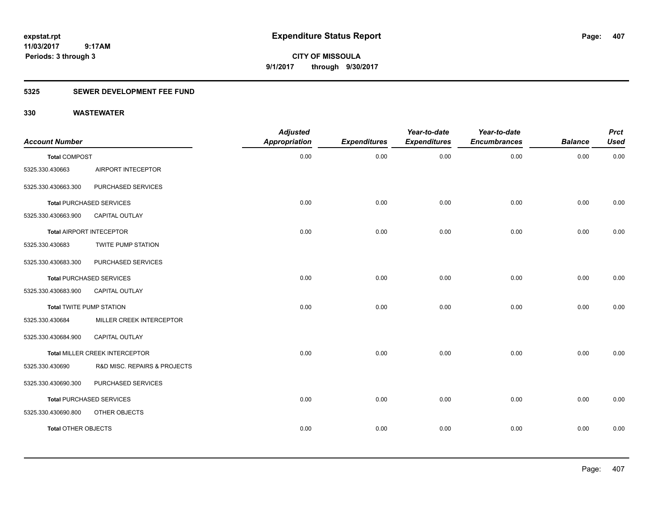**CITY OF MISSOULA 9/1/2017 through 9/30/2017**

## **5325 SEWER DEVELOPMENT FEE FUND**

| <b>Account Number</b>           |                                 | <b>Adjusted</b><br>Appropriation | <b>Expenditures</b> | Year-to-date<br><b>Expenditures</b> | Year-to-date<br><b>Encumbrances</b> | <b>Balance</b> | <b>Prct</b><br><b>Used</b> |
|---------------------------------|---------------------------------|----------------------------------|---------------------|-------------------------------------|-------------------------------------|----------------|----------------------------|
| <b>Total COMPOST</b>            |                                 | 0.00                             | 0.00                | 0.00                                | 0.00                                | 0.00           | 0.00                       |
| 5325.330.430663                 | AIRPORT INTECEPTOR              |                                  |                     |                                     |                                     |                |                            |
| 5325.330.430663.300             | PURCHASED SERVICES              |                                  |                     |                                     |                                     |                |                            |
|                                 | <b>Total PURCHASED SERVICES</b> | 0.00                             | 0.00                | 0.00                                | 0.00                                | 0.00           | 0.00                       |
| 5325.330.430663.900             | CAPITAL OUTLAY                  |                                  |                     |                                     |                                     |                |                            |
|                                 | Total AIRPORT INTECEPTOR        | 0.00                             | 0.00                | 0.00                                | 0.00                                | 0.00           | 0.00                       |
| 5325.330.430683                 | <b>TWITE PUMP STATION</b>       |                                  |                     |                                     |                                     |                |                            |
| 5325.330.430683.300             | PURCHASED SERVICES              |                                  |                     |                                     |                                     |                |                            |
|                                 | <b>Total PURCHASED SERVICES</b> | 0.00                             | 0.00                | 0.00                                | 0.00                                | 0.00           | 0.00                       |
| 5325.330.430683.900             | <b>CAPITAL OUTLAY</b>           |                                  |                     |                                     |                                     |                |                            |
| <b>Total TWITE PUMP STATION</b> |                                 | 0.00                             | 0.00                | 0.00                                | 0.00                                | 0.00           | 0.00                       |
| 5325.330.430684                 | MILLER CREEK INTERCEPTOR        |                                  |                     |                                     |                                     |                |                            |
| 5325.330.430684.900             | <b>CAPITAL OUTLAY</b>           |                                  |                     |                                     |                                     |                |                            |
|                                 | Total MILLER CREEK INTERCEPTOR  | 0.00                             | 0.00                | 0.00                                | 0.00                                | 0.00           | 0.00                       |
| 5325.330.430690                 | R&D MISC. REPAIRS & PROJECTS    |                                  |                     |                                     |                                     |                |                            |
| 5325.330.430690.300             | PURCHASED SERVICES              |                                  |                     |                                     |                                     |                |                            |
|                                 | <b>Total PURCHASED SERVICES</b> | 0.00                             | 0.00                | 0.00                                | 0.00                                | 0.00           | 0.00                       |
| 5325.330.430690.800             | OTHER OBJECTS                   |                                  |                     |                                     |                                     |                |                            |
| <b>Total OTHER OBJECTS</b>      |                                 | 0.00                             | 0.00                | 0.00                                | 0.00                                | 0.00           | 0.00                       |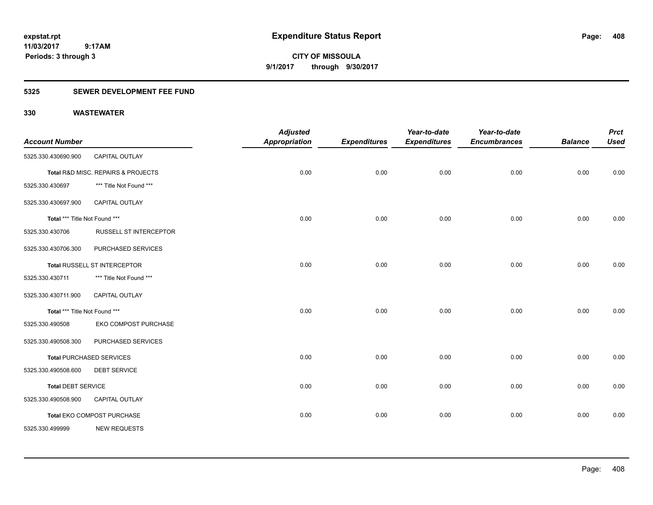**CITY OF MISSOULA 9/1/2017 through 9/30/2017**

### **5325 SEWER DEVELOPMENT FEE FUND**

|                               |                                    | <b>Adjusted</b>      |                     | Year-to-date        | Year-to-date        |                | <b>Prct</b> |
|-------------------------------|------------------------------------|----------------------|---------------------|---------------------|---------------------|----------------|-------------|
| <b>Account Number</b>         |                                    | <b>Appropriation</b> | <b>Expenditures</b> | <b>Expenditures</b> | <b>Encumbrances</b> | <b>Balance</b> | <b>Used</b> |
| 5325.330.430690.900           | <b>CAPITAL OUTLAY</b>              |                      |                     |                     |                     |                |             |
|                               | Total R&D MISC. REPAIRS & PROJECTS | 0.00                 | 0.00                | 0.00                | 0.00                | 0.00           | 0.00        |
| 5325.330.430697               | *** Title Not Found ***            |                      |                     |                     |                     |                |             |
| 5325.330.430697.900           | <b>CAPITAL OUTLAY</b>              |                      |                     |                     |                     |                |             |
| Total *** Title Not Found *** |                                    | 0.00                 | 0.00                | 0.00                | 0.00                | 0.00           | 0.00        |
| 5325.330.430706               | <b>RUSSELL ST INTERCEPTOR</b>      |                      |                     |                     |                     |                |             |
| 5325.330.430706.300           | PURCHASED SERVICES                 |                      |                     |                     |                     |                |             |
|                               | Total RUSSELL ST INTERCEPTOR       | 0.00                 | 0.00                | 0.00                | 0.00                | 0.00           | 0.00        |
| 5325.330.430711               | *** Title Not Found ***            |                      |                     |                     |                     |                |             |
| 5325.330.430711.900           | CAPITAL OUTLAY                     |                      |                     |                     |                     |                |             |
| Total *** Title Not Found *** |                                    | 0.00                 | 0.00                | 0.00                | 0.00                | 0.00           | 0.00        |
| 5325.330.490508               | EKO COMPOST PURCHASE               |                      |                     |                     |                     |                |             |
| 5325.330.490508.300           | PURCHASED SERVICES                 |                      |                     |                     |                     |                |             |
|                               | <b>Total PURCHASED SERVICES</b>    | 0.00                 | 0.00                | 0.00                | 0.00                | 0.00           | 0.00        |
| 5325.330.490508.600           | <b>DEBT SERVICE</b>                |                      |                     |                     |                     |                |             |
| <b>Total DEBT SERVICE</b>     |                                    | 0.00                 | 0.00                | 0.00                | 0.00                | 0.00           | 0.00        |
| 5325.330.490508.900           | <b>CAPITAL OUTLAY</b>              |                      |                     |                     |                     |                |             |
|                               | Total EKO COMPOST PURCHASE         | 0.00                 | 0.00                | 0.00                | 0.00                | 0.00           | 0.00        |
| 5325.330.499999               | <b>NEW REQUESTS</b>                |                      |                     |                     |                     |                |             |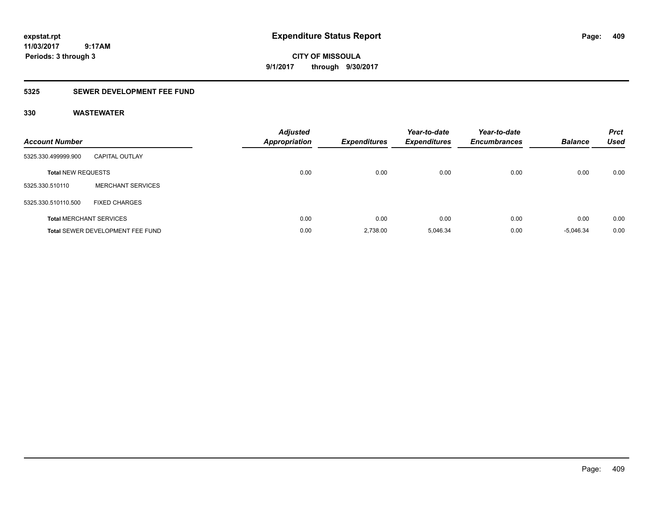**CITY OF MISSOULA 9/1/2017 through 9/30/2017**

### **5325 SEWER DEVELOPMENT FEE FUND**

| <b>Account Number</b>     |                                         | <b>Adjusted</b><br>Appropriation | <b>Expenditures</b> | Year-to-date<br><b>Expenditures</b> | Year-to-date<br><b>Encumbrances</b> | <b>Balance</b> | <b>Prct</b><br><b>Used</b> |
|---------------------------|-----------------------------------------|----------------------------------|---------------------|-------------------------------------|-------------------------------------|----------------|----------------------------|
| 5325.330.499999.900       | <b>CAPITAL OUTLAY</b>                   |                                  |                     |                                     |                                     |                |                            |
| <b>Total NEW REQUESTS</b> |                                         | 0.00                             | 0.00                | 0.00                                | 0.00                                | 0.00           | 0.00                       |
| 5325.330.510110           | <b>MERCHANT SERVICES</b>                |                                  |                     |                                     |                                     |                |                            |
| 5325.330.510110.500       | <b>FIXED CHARGES</b>                    |                                  |                     |                                     |                                     |                |                            |
|                           | <b>Total MERCHANT SERVICES</b>          | 0.00                             | 0.00                | 0.00                                | 0.00                                | 0.00           | 0.00                       |
|                           | <b>Total SEWER DEVELOPMENT FEE FUND</b> | 0.00                             | 2,738.00            | 5.046.34                            | 0.00                                | $-5.046.34$    | 0.00                       |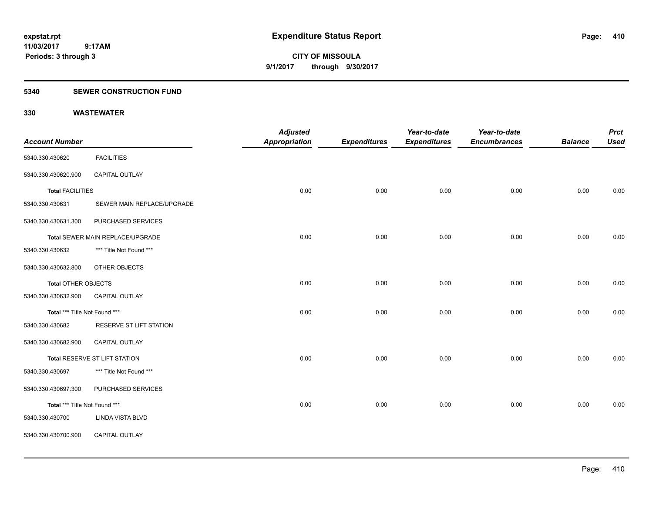**CITY OF MISSOULA 9/1/2017 through 9/30/2017**

### **5340 SEWER CONSTRUCTION FUND**

| <b>Account Number</b>         |                                  | <b>Adjusted</b><br>Appropriation | <b>Expenditures</b> | Year-to-date<br><b>Expenditures</b> | Year-to-date<br><b>Encumbrances</b> | <b>Balance</b> | <b>Prct</b><br><b>Used</b> |
|-------------------------------|----------------------------------|----------------------------------|---------------------|-------------------------------------|-------------------------------------|----------------|----------------------------|
| 5340.330.430620               | <b>FACILITIES</b>                |                                  |                     |                                     |                                     |                |                            |
| 5340.330.430620.900           | <b>CAPITAL OUTLAY</b>            |                                  |                     |                                     |                                     |                |                            |
| <b>Total FACILITIES</b>       |                                  | 0.00                             | 0.00                | 0.00                                | 0.00                                | 0.00           | 0.00                       |
| 5340.330.430631               | SEWER MAIN REPLACE/UPGRADE       |                                  |                     |                                     |                                     |                |                            |
| 5340.330.430631.300           | PURCHASED SERVICES               |                                  |                     |                                     |                                     |                |                            |
|                               | Total SEWER MAIN REPLACE/UPGRADE | 0.00                             | 0.00                | 0.00                                | 0.00                                | 0.00           | 0.00                       |
| 5340.330.430632               | *** Title Not Found ***          |                                  |                     |                                     |                                     |                |                            |
| 5340.330.430632.800           | OTHER OBJECTS                    |                                  |                     |                                     |                                     |                |                            |
| <b>Total OTHER OBJECTS</b>    |                                  | 0.00                             | 0.00                | 0.00                                | 0.00                                | 0.00           | 0.00                       |
| 5340.330.430632.900           | <b>CAPITAL OUTLAY</b>            |                                  |                     |                                     |                                     |                |                            |
| Total *** Title Not Found *** |                                  | 0.00                             | 0.00                | 0.00                                | 0.00                                | 0.00           | 0.00                       |
| 5340.330.430682               | RESERVE ST LIFT STATION          |                                  |                     |                                     |                                     |                |                            |
| 5340.330.430682.900           | CAPITAL OUTLAY                   |                                  |                     |                                     |                                     |                |                            |
|                               | Total RESERVE ST LIFT STATION    | 0.00                             | 0.00                | 0.00                                | 0.00                                | 0.00           | 0.00                       |
| 5340.330.430697               | *** Title Not Found ***          |                                  |                     |                                     |                                     |                |                            |
| 5340.330.430697.300           | PURCHASED SERVICES               |                                  |                     |                                     |                                     |                |                            |
| Total *** Title Not Found *** |                                  | 0.00                             | 0.00                | 0.00                                | 0.00                                | 0.00           | 0.00                       |
| 5340.330.430700               | <b>LINDA VISTA BLVD</b>          |                                  |                     |                                     |                                     |                |                            |
| 5340.330.430700.900           | CAPITAL OUTLAY                   |                                  |                     |                                     |                                     |                |                            |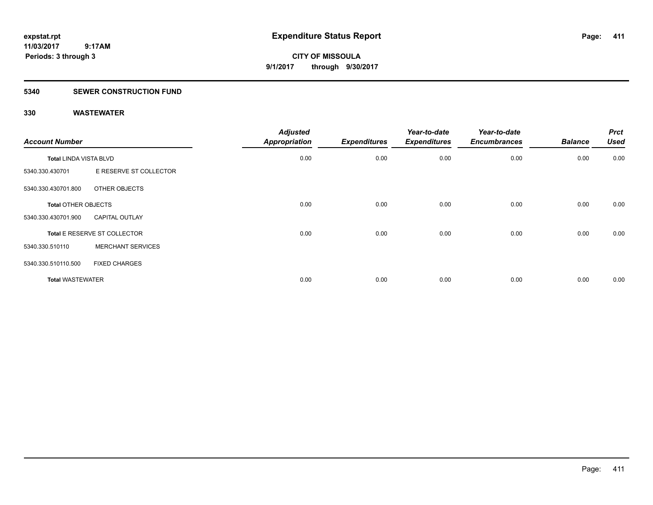**CITY OF MISSOULA 9/1/2017 through 9/30/2017**

### **5340 SEWER CONSTRUCTION FUND**

| <b>Account Number</b>         |                              | <b>Adjusted</b><br><b>Appropriation</b> | <b>Expenditures</b> | Year-to-date<br><b>Expenditures</b> | Year-to-date<br><b>Encumbrances</b> | <b>Balance</b> | <b>Prct</b><br><b>Used</b> |
|-------------------------------|------------------------------|-----------------------------------------|---------------------|-------------------------------------|-------------------------------------|----------------|----------------------------|
| <b>Total LINDA VISTA BLVD</b> |                              | 0.00                                    | 0.00                | 0.00                                | 0.00                                | 0.00           | 0.00                       |
| 5340.330.430701               | E RESERVE ST COLLECTOR       |                                         |                     |                                     |                                     |                |                            |
| 5340.330.430701.800           | OTHER OBJECTS                |                                         |                     |                                     |                                     |                |                            |
| <b>Total OTHER OBJECTS</b>    |                              | 0.00                                    | 0.00                | 0.00                                | 0.00                                | 0.00           | 0.00                       |
| 5340.330.430701.900           | <b>CAPITAL OUTLAY</b>        |                                         |                     |                                     |                                     |                |                            |
|                               | Total E RESERVE ST COLLECTOR | 0.00                                    | 0.00                | 0.00                                | 0.00                                | 0.00           | 0.00                       |
| 5340.330.510110               | <b>MERCHANT SERVICES</b>     |                                         |                     |                                     |                                     |                |                            |
| 5340.330.510110.500           | <b>FIXED CHARGES</b>         |                                         |                     |                                     |                                     |                |                            |
| <b>Total WASTEWATER</b>       |                              | 0.00                                    | 0.00                | 0.00                                | 0.00                                | 0.00           | 0.00                       |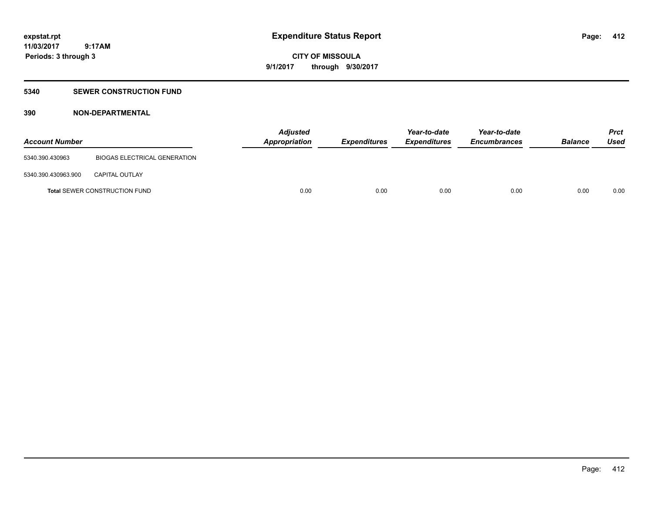**412**

**11/03/2017 9:17AM Periods: 3 through 3**

**CITY OF MISSOULA 9/1/2017 through 9/30/2017**

### **5340 SEWER CONSTRUCTION FUND**

### **390 NON-DEPARTMENTAL**

| <b>Account Number</b> |                                      | <b>Adjusted</b><br><b>Appropriation</b> | Expenditures | Year-to-date<br><b>Expenditures</b> | Year-to-date<br><b>Encumbrances</b> | <b>Balance</b> | <b>Prct</b><br>Used |
|-----------------------|--------------------------------------|-----------------------------------------|--------------|-------------------------------------|-------------------------------------|----------------|---------------------|
| 5340.390.430963       | BIOGAS ELECTRICAL GENERATION         |                                         |              |                                     |                                     |                |                     |
| 5340.390.430963.900   | <b>CAPITAL OUTLAY</b>                |                                         |              |                                     |                                     |                |                     |
|                       | <b>Total SEWER CONSTRUCTION FUND</b> | 0.00                                    | 0.00         | 0.00                                | 0.00                                | 0.00           | 0.00                |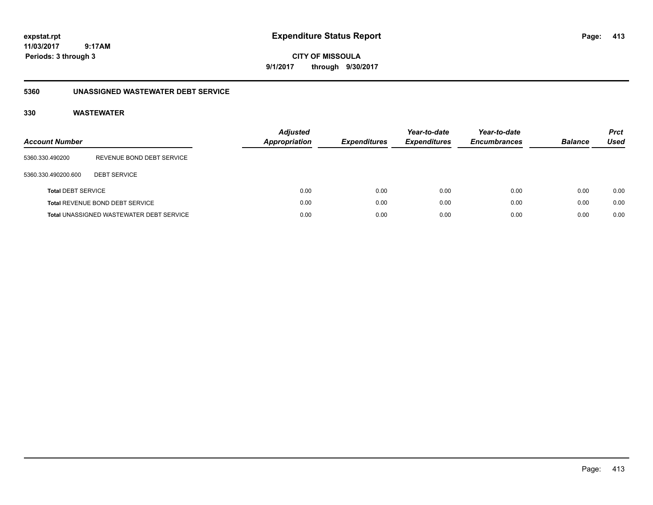**CITY OF MISSOULA 9/1/2017 through 9/30/2017**

### **5360 UNASSIGNED WASTEWATER DEBT SERVICE**

| Account Number            |                                                 | <b>Adjusted</b><br><b>Appropriation</b> | <i><b>Expenditures</b></i> | Year-to-date<br><b>Expenditures</b> | Year-to-date<br><b>Encumbrances</b> | <b>Balance</b> | <b>Prct</b><br>Used |
|---------------------------|-------------------------------------------------|-----------------------------------------|----------------------------|-------------------------------------|-------------------------------------|----------------|---------------------|
| 5360.330.490200           | REVENUE BOND DEBT SERVICE                       |                                         |                            |                                     |                                     |                |                     |
| 5360.330.490200.600       | <b>DEBT SERVICE</b>                             |                                         |                            |                                     |                                     |                |                     |
| <b>Total DEBT SERVICE</b> |                                                 | 0.00                                    | 0.00                       | 0.00                                | 0.00                                | 0.00           | 0.00                |
|                           | Total REVENUE BOND DEBT SERVICE                 | 0.00                                    | 0.00                       | 0.00                                | 0.00                                | 0.00           | 0.00                |
|                           | <b>Total UNASSIGNED WASTEWATER DEBT SERVICE</b> | 0.00                                    | 0.00                       | 0.00                                | 0.00                                | 0.00           | 0.00                |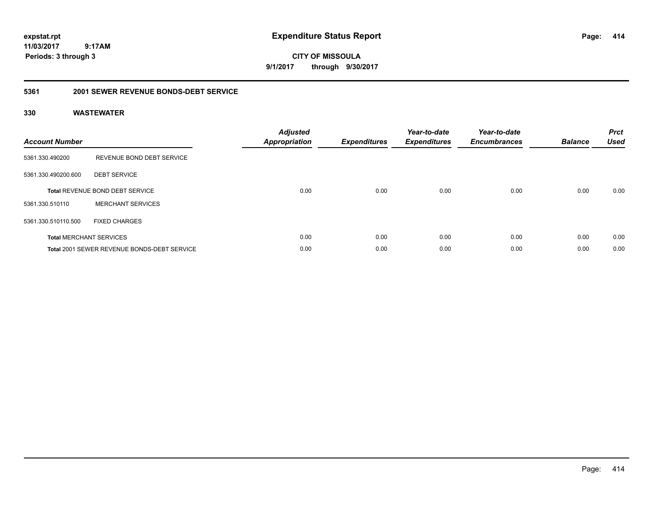**CITY OF MISSOULA 9/1/2017 through 9/30/2017**

### **5361 2001 SEWER REVENUE BONDS-DEBT SERVICE**

| <b>Account Number</b> |                                                    | <b>Adjusted</b><br>Appropriation | <b>Expenditures</b> | Year-to-date<br><b>Expenditures</b> | Year-to-date<br><b>Encumbrances</b> | <b>Balance</b> | <b>Prct</b><br><b>Used</b> |
|-----------------------|----------------------------------------------------|----------------------------------|---------------------|-------------------------------------|-------------------------------------|----------------|----------------------------|
| 5361.330.490200       | REVENUE BOND DEBT SERVICE                          |                                  |                     |                                     |                                     |                |                            |
| 5361.330.490200.600   | <b>DEBT SERVICE</b>                                |                                  |                     |                                     |                                     |                |                            |
|                       | <b>Total REVENUE BOND DEBT SERVICE</b>             | 0.00                             | 0.00                | 0.00                                | 0.00                                | 0.00           | 0.00                       |
| 5361.330.510110       | <b>MERCHANT SERVICES</b>                           |                                  |                     |                                     |                                     |                |                            |
| 5361.330.510110.500   | <b>FIXED CHARGES</b>                               |                                  |                     |                                     |                                     |                |                            |
|                       | <b>Total MERCHANT SERVICES</b>                     | 0.00                             | 0.00                | 0.00                                | 0.00                                | 0.00           | 0.00                       |
|                       | <b>Total 2001 SEWER REVENUE BONDS-DEBT SERVICE</b> | 0.00                             | 0.00                | 0.00                                | 0.00                                | 0.00           | 0.00                       |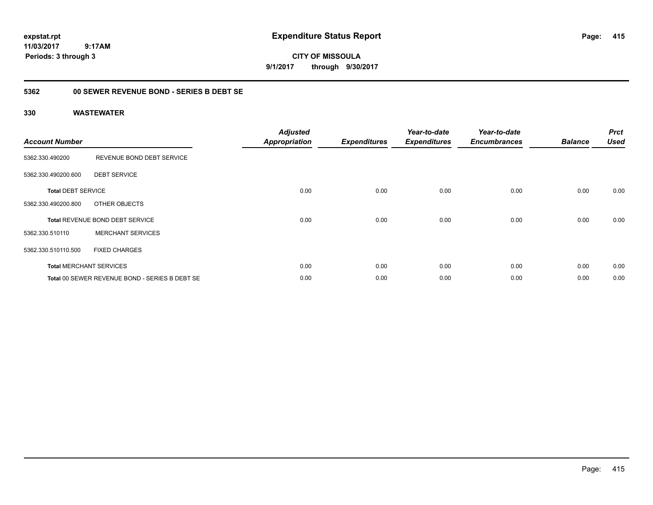**CITY OF MISSOULA 9/1/2017 through 9/30/2017**

### **5362 00 SEWER REVENUE BOND - SERIES B DEBT SE**

| <b>Account Number</b>     |                                                | <b>Adjusted</b><br><b>Appropriation</b> | <b>Expenditures</b> | Year-to-date<br><b>Expenditures</b> | Year-to-date<br><b>Encumbrances</b> | <b>Balance</b> | <b>Prct</b><br><b>Used</b> |
|---------------------------|------------------------------------------------|-----------------------------------------|---------------------|-------------------------------------|-------------------------------------|----------------|----------------------------|
| 5362.330.490200           | REVENUE BOND DEBT SERVICE                      |                                         |                     |                                     |                                     |                |                            |
| 5362.330.490200.600       | <b>DEBT SERVICE</b>                            |                                         |                     |                                     |                                     |                |                            |
| <b>Total DEBT SERVICE</b> |                                                | 0.00                                    | 0.00                | 0.00                                | 0.00                                | 0.00           | 0.00                       |
| 5362.330.490200.800       | OTHER OBJECTS                                  |                                         |                     |                                     |                                     |                |                            |
|                           | <b>Total REVENUE BOND DEBT SERVICE</b>         | 0.00                                    | 0.00                | 0.00                                | 0.00                                | 0.00           | 0.00                       |
| 5362.330.510110           | <b>MERCHANT SERVICES</b>                       |                                         |                     |                                     |                                     |                |                            |
| 5362.330.510110.500       | <b>FIXED CHARGES</b>                           |                                         |                     |                                     |                                     |                |                            |
|                           | <b>Total MERCHANT SERVICES</b>                 | 0.00                                    | 0.00                | 0.00                                | 0.00                                | 0.00           | 0.00                       |
|                           | Total 00 SEWER REVENUE BOND - SERIES B DEBT SE | 0.00                                    | 0.00                | 0.00                                | 0.00                                | 0.00           | 0.00                       |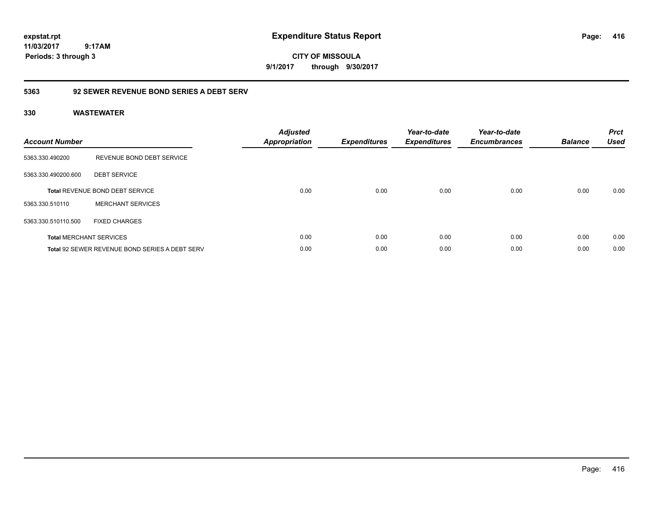**CITY OF MISSOULA 9/1/2017 through 9/30/2017**

### **5363 92 SEWER REVENUE BOND SERIES A DEBT SERV**

| <b>Account Number</b> |                                                       | <b>Adjusted</b><br><b>Appropriation</b> | <b>Expenditures</b> | Year-to-date<br><b>Expenditures</b> | Year-to-date<br><b>Encumbrances</b> | <b>Balance</b> | <b>Prct</b><br><b>Used</b> |
|-----------------------|-------------------------------------------------------|-----------------------------------------|---------------------|-------------------------------------|-------------------------------------|----------------|----------------------------|
| 5363.330.490200       | REVENUE BOND DEBT SERVICE                             |                                         |                     |                                     |                                     |                |                            |
| 5363.330.490200.600   | <b>DEBT SERVICE</b>                                   |                                         |                     |                                     |                                     |                |                            |
|                       | <b>Total REVENUE BOND DEBT SERVICE</b>                | 0.00                                    | 0.00                | 0.00                                | 0.00                                | 0.00           | 0.00                       |
| 5363.330.510110       | <b>MERCHANT SERVICES</b>                              |                                         |                     |                                     |                                     |                |                            |
| 5363.330.510110.500   | <b>FIXED CHARGES</b>                                  |                                         |                     |                                     |                                     |                |                            |
|                       | <b>Total MERCHANT SERVICES</b>                        | 0.00                                    | 0.00                | 0.00                                | 0.00                                | 0.00           | 0.00                       |
|                       | <b>Total 92 SEWER REVENUE BOND SERIES A DEBT SERV</b> | 0.00                                    | 0.00                | 0.00                                | 0.00                                | 0.00           | 0.00                       |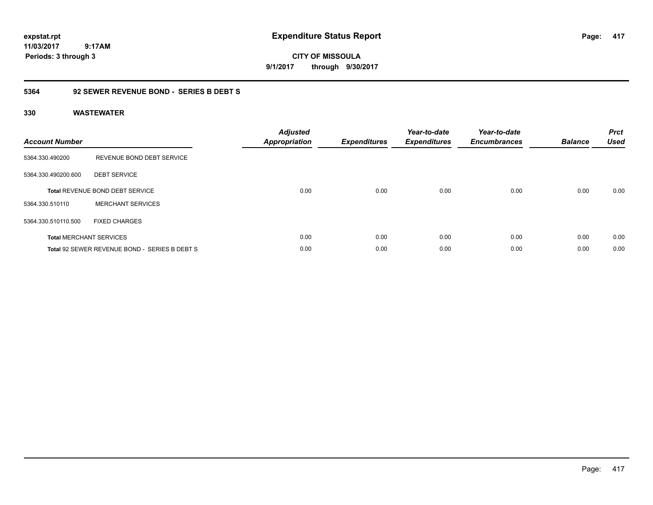**CITY OF MISSOULA 9/1/2017 through 9/30/2017**

### **5364 92 SEWER REVENUE BOND - SERIES B DEBT S**

| <b>Account Number</b> |                                               | <b>Adjusted</b><br>Appropriation | <b>Expenditures</b> | Year-to-date<br><b>Expenditures</b> | Year-to-date<br><b>Encumbrances</b> | <b>Balance</b> | <b>Prct</b><br><b>Used</b> |
|-----------------------|-----------------------------------------------|----------------------------------|---------------------|-------------------------------------|-------------------------------------|----------------|----------------------------|
| 5364.330.490200       | REVENUE BOND DEBT SERVICE                     |                                  |                     |                                     |                                     |                |                            |
| 5364.330.490200.600   | <b>DEBT SERVICE</b>                           |                                  |                     |                                     |                                     |                |                            |
|                       | Total REVENUE BOND DEBT SERVICE               | 0.00                             | 0.00                | 0.00                                | 0.00                                | 0.00           | 0.00                       |
| 5364.330.510110       | <b>MERCHANT SERVICES</b>                      |                                  |                     |                                     |                                     |                |                            |
| 5364.330.510110.500   | <b>FIXED CHARGES</b>                          |                                  |                     |                                     |                                     |                |                            |
|                       | <b>Total MERCHANT SERVICES</b>                | 0.00                             | 0.00                | 0.00                                | 0.00                                | 0.00           | 0.00                       |
|                       | Total 92 SEWER REVENUE BOND - SERIES B DEBT S | 0.00                             | 0.00                | 0.00                                | 0.00                                | 0.00           | 0.00                       |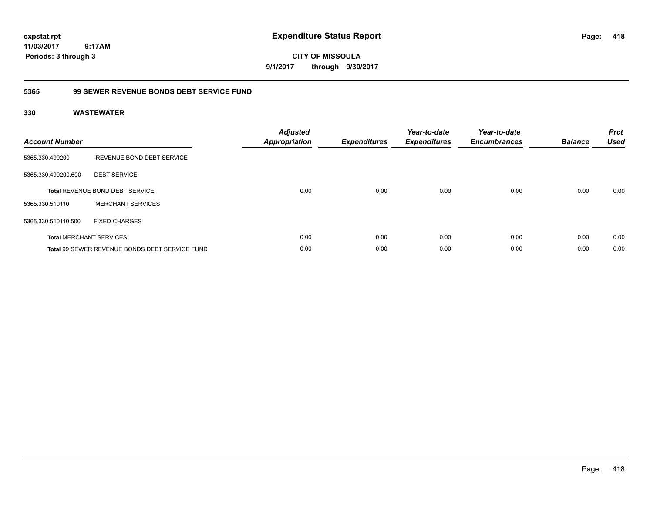**CITY OF MISSOULA 9/1/2017 through 9/30/2017**

### **5365 99 SEWER REVENUE BONDS DEBT SERVICE FUND**

| <b>Account Number</b> |                                                | <b>Adjusted</b><br>Appropriation | <b>Expenditures</b> | Year-to-date<br><b>Expenditures</b> | Year-to-date<br><b>Encumbrances</b> | <b>Balance</b> | <b>Prct</b><br><b>Used</b> |
|-----------------------|------------------------------------------------|----------------------------------|---------------------|-------------------------------------|-------------------------------------|----------------|----------------------------|
| 5365.330.490200       | REVENUE BOND DEBT SERVICE                      |                                  |                     |                                     |                                     |                |                            |
| 5365.330.490200.600   | <b>DEBT SERVICE</b>                            |                                  |                     |                                     |                                     |                |                            |
|                       | Total REVENUE BOND DEBT SERVICE                | 0.00                             | 0.00                | 0.00                                | 0.00                                | 0.00           | 0.00                       |
| 5365.330.510110       | <b>MERCHANT SERVICES</b>                       |                                  |                     |                                     |                                     |                |                            |
| 5365.330.510110.500   | <b>FIXED CHARGES</b>                           |                                  |                     |                                     |                                     |                |                            |
|                       | <b>Total MERCHANT SERVICES</b>                 | 0.00                             | 0.00                | 0.00                                | 0.00                                | 0.00           | 0.00                       |
|                       | Total 99 SEWER REVENUE BONDS DEBT SERVICE FUND | 0.00                             | 0.00                | 0.00                                | 0.00                                | 0.00           | 0.00                       |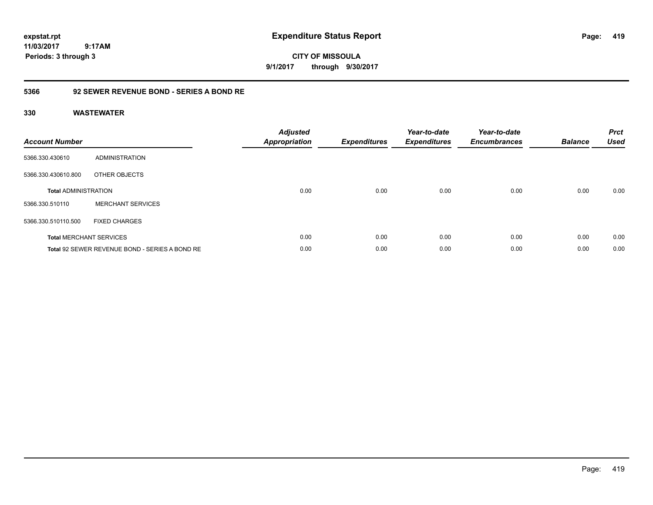**CITY OF MISSOULA 9/1/2017 through 9/30/2017**

### **5366 92 SEWER REVENUE BOND - SERIES A BOND RE**

| <b>Account Number</b>       |                                                | <b>Adjusted</b><br>Appropriation | <b>Expenditures</b> | Year-to-date<br><b>Expenditures</b> | Year-to-date<br><b>Encumbrances</b> | <b>Balance</b> | <b>Prct</b><br><b>Used</b> |
|-----------------------------|------------------------------------------------|----------------------------------|---------------------|-------------------------------------|-------------------------------------|----------------|----------------------------|
| 5366.330.430610             | <b>ADMINISTRATION</b>                          |                                  |                     |                                     |                                     |                |                            |
| 5366.330.430610.800         | OTHER OBJECTS                                  |                                  |                     |                                     |                                     |                |                            |
| <b>Total ADMINISTRATION</b> |                                                | 0.00                             | 0.00                | 0.00                                | 0.00                                | 0.00           | 0.00                       |
| 5366.330.510110             | <b>MERCHANT SERVICES</b>                       |                                  |                     |                                     |                                     |                |                            |
| 5366.330.510110.500         | <b>FIXED CHARGES</b>                           |                                  |                     |                                     |                                     |                |                            |
|                             | <b>Total MERCHANT SERVICES</b>                 | 0.00                             | 0.00                | 0.00                                | 0.00                                | 0.00           | 0.00                       |
|                             | Total 92 SEWER REVENUE BOND - SERIES A BOND RE | 0.00                             | 0.00                | 0.00                                | 0.00                                | 0.00           | 0.00                       |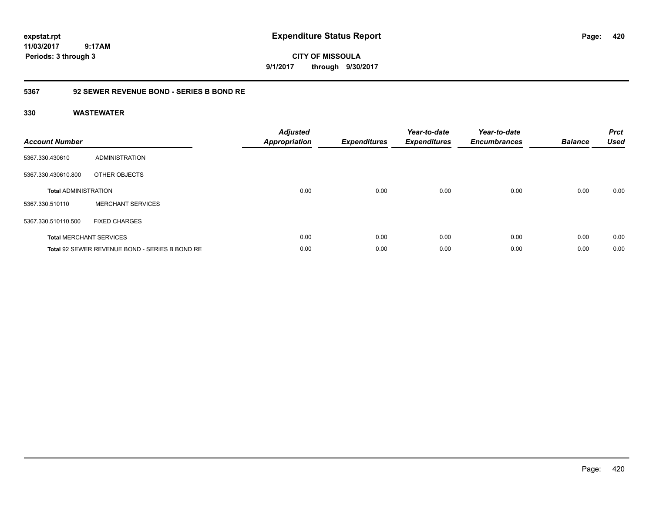**CITY OF MISSOULA 9/1/2017 through 9/30/2017**

### **5367 92 SEWER REVENUE BOND - SERIES B BOND RE**

| <b>Account Number</b>       |                                                | <b>Adjusted</b><br><b>Appropriation</b> | <b>Expenditures</b> | Year-to-date<br><b>Expenditures</b> | Year-to-date<br><b>Encumbrances</b> | <b>Balance</b> | <b>Prct</b><br><b>Used</b> |
|-----------------------------|------------------------------------------------|-----------------------------------------|---------------------|-------------------------------------|-------------------------------------|----------------|----------------------------|
| 5367.330.430610             | ADMINISTRATION                                 |                                         |                     |                                     |                                     |                |                            |
| 5367.330.430610.800         | OTHER OBJECTS                                  |                                         |                     |                                     |                                     |                |                            |
| <b>Total ADMINISTRATION</b> |                                                | 0.00                                    | 0.00                | 0.00                                | 0.00                                | 0.00           | 0.00                       |
| 5367.330.510110             | <b>MERCHANT SERVICES</b>                       |                                         |                     |                                     |                                     |                |                            |
| 5367.330.510110.500         | <b>FIXED CHARGES</b>                           |                                         |                     |                                     |                                     |                |                            |
|                             | <b>Total MERCHANT SERVICES</b>                 | 0.00                                    | 0.00                | 0.00                                | 0.00                                | 0.00           | 0.00                       |
|                             | Total 92 SEWER REVENUE BOND - SERIES B BOND RE | 0.00                                    | 0.00                | 0.00                                | 0.00                                | 0.00           | 0.00                       |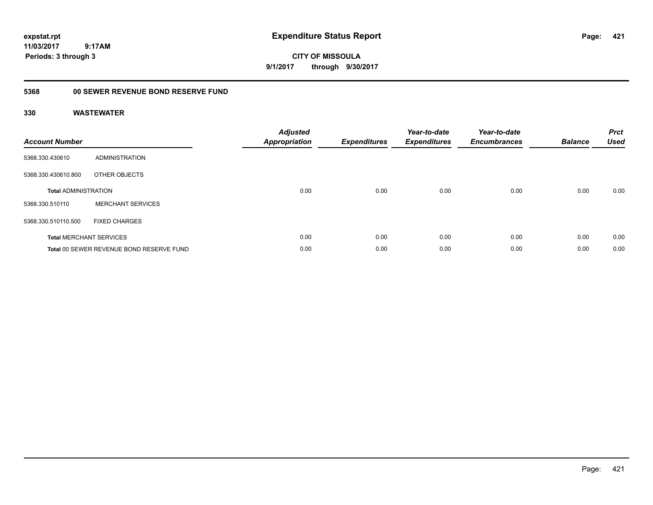**CITY OF MISSOULA 9/1/2017 through 9/30/2017**

# **5368 00 SEWER REVENUE BOND RESERVE FUND**

| <b>Account Number</b>       |                                          | <b>Adjusted</b><br><b>Appropriation</b> | <b>Expenditures</b> | Year-to-date<br><b>Expenditures</b> | Year-to-date<br><b>Encumbrances</b> | <b>Balance</b> | <b>Prct</b><br><b>Used</b> |
|-----------------------------|------------------------------------------|-----------------------------------------|---------------------|-------------------------------------|-------------------------------------|----------------|----------------------------|
| 5368.330.430610             | ADMINISTRATION                           |                                         |                     |                                     |                                     |                |                            |
| 5368.330.430610.800         | OTHER OBJECTS                            |                                         |                     |                                     |                                     |                |                            |
| <b>Total ADMINISTRATION</b> |                                          | 0.00                                    | 0.00                | 0.00                                | 0.00                                | 0.00           | 0.00                       |
| 5368.330.510110             | <b>MERCHANT SERVICES</b>                 |                                         |                     |                                     |                                     |                |                            |
| 5368.330.510110.500         | <b>FIXED CHARGES</b>                     |                                         |                     |                                     |                                     |                |                            |
|                             | <b>Total MERCHANT SERVICES</b>           | 0.00                                    | 0.00                | 0.00                                | 0.00                                | 0.00           | 0.00                       |
|                             | Total 00 SEWER REVENUE BOND RESERVE FUND | 0.00                                    | 0.00                | 0.00                                | 0.00                                | 0.00           | 0.00                       |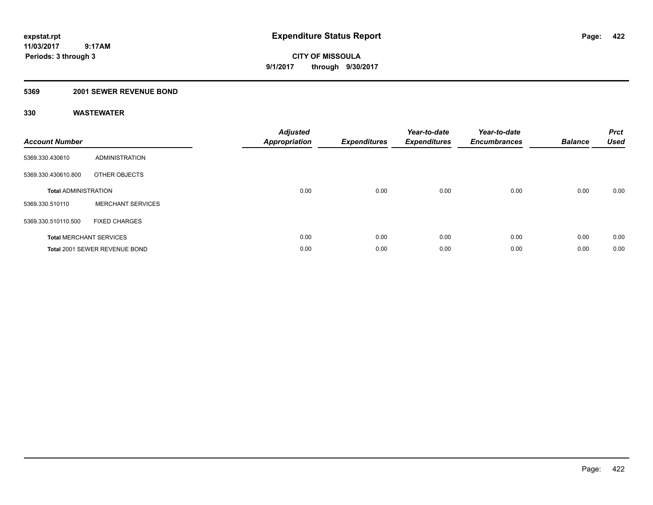**CITY OF MISSOULA 9/1/2017 through 9/30/2017**

## **5369 2001 SEWER REVENUE BOND**

| <b>Account Number</b>       |                                | <b>Adjusted</b><br>Appropriation | <b>Expenditures</b> | Year-to-date<br><b>Expenditures</b> | Year-to-date<br><b>Encumbrances</b> | <b>Balance</b> | <b>Prct</b><br><b>Used</b> |
|-----------------------------|--------------------------------|----------------------------------|---------------------|-------------------------------------|-------------------------------------|----------------|----------------------------|
| 5369.330.430610             | ADMINISTRATION                 |                                  |                     |                                     |                                     |                |                            |
| 5369.330.430610.800         | OTHER OBJECTS                  |                                  |                     |                                     |                                     |                |                            |
| <b>Total ADMINISTRATION</b> |                                | 0.00                             | 0.00                | 0.00                                | 0.00                                | 0.00           | 0.00                       |
| 5369.330.510110             | <b>MERCHANT SERVICES</b>       |                                  |                     |                                     |                                     |                |                            |
| 5369.330.510110.500         | <b>FIXED CHARGES</b>           |                                  |                     |                                     |                                     |                |                            |
|                             | <b>Total MERCHANT SERVICES</b> | 0.00                             | 0.00                | 0.00                                | 0.00                                | 0.00           | 0.00                       |
|                             | Total 2001 SEWER REVENUE BOND  | 0.00                             | 0.00                | 0.00                                | 0.00                                | 0.00           | 0.00                       |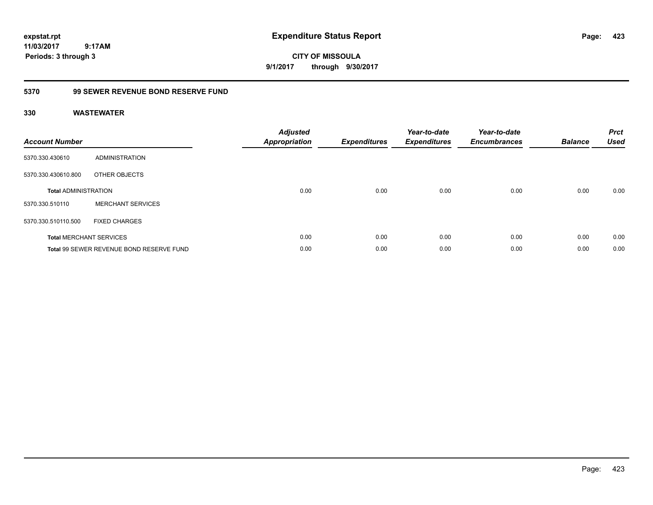**CITY OF MISSOULA 9/1/2017 through 9/30/2017**

### **5370 99 SEWER REVENUE BOND RESERVE FUND**

| <b>Account Number</b>       |                                          | <b>Adjusted</b><br><b>Appropriation</b> | <b>Expenditures</b> | Year-to-date<br><b>Expenditures</b> | Year-to-date<br><b>Encumbrances</b> | <b>Balance</b> | <b>Prct</b><br><b>Used</b> |
|-----------------------------|------------------------------------------|-----------------------------------------|---------------------|-------------------------------------|-------------------------------------|----------------|----------------------------|
| 5370.330.430610             | ADMINISTRATION                           |                                         |                     |                                     |                                     |                |                            |
| 5370.330.430610.800         | OTHER OBJECTS                            |                                         |                     |                                     |                                     |                |                            |
| <b>Total ADMINISTRATION</b> |                                          | 0.00                                    | 0.00                | 0.00                                | 0.00                                | 0.00           | 0.00                       |
| 5370.330.510110             | <b>MERCHANT SERVICES</b>                 |                                         |                     |                                     |                                     |                |                            |
| 5370.330.510110.500         | <b>FIXED CHARGES</b>                     |                                         |                     |                                     |                                     |                |                            |
|                             | <b>Total MERCHANT SERVICES</b>           | 0.00                                    | 0.00                | 0.00                                | 0.00                                | 0.00           | 0.00                       |
|                             | Total 99 SEWER REVENUE BOND RESERVE FUND | 0.00                                    | 0.00                | 0.00                                | 0.00                                | 0.00           | 0.00                       |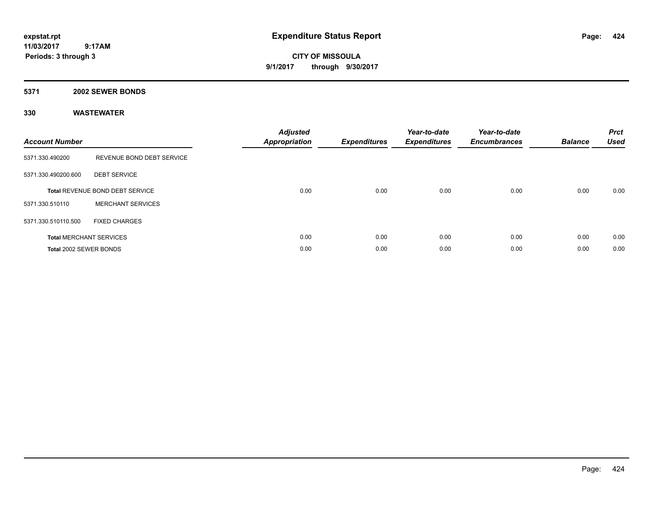**CITY OF MISSOULA 9/1/2017 through 9/30/2017**

# **5371 2002 SEWER BONDS**

| <b>Account Number</b>  |                                 | <b>Adjusted</b><br><b>Appropriation</b> | <b>Expenditures</b> | Year-to-date<br><b>Expenditures</b> | Year-to-date<br><b>Encumbrances</b> | <b>Balance</b> | <b>Prct</b><br><b>Used</b> |
|------------------------|---------------------------------|-----------------------------------------|---------------------|-------------------------------------|-------------------------------------|----------------|----------------------------|
| 5371.330.490200        | REVENUE BOND DEBT SERVICE       |                                         |                     |                                     |                                     |                |                            |
| 5371.330.490200.600    | <b>DEBT SERVICE</b>             |                                         |                     |                                     |                                     |                |                            |
|                        | Total REVENUE BOND DEBT SERVICE | 0.00                                    | 0.00                | 0.00                                | 0.00                                | 0.00           | 0.00                       |
| 5371.330.510110        | <b>MERCHANT SERVICES</b>        |                                         |                     |                                     |                                     |                |                            |
| 5371.330.510110.500    | <b>FIXED CHARGES</b>            |                                         |                     |                                     |                                     |                |                            |
|                        | <b>Total MERCHANT SERVICES</b>  | 0.00                                    | 0.00                | 0.00                                | 0.00                                | 0.00           | 0.00                       |
| Total 2002 SEWER BONDS |                                 | 0.00                                    | 0.00                | 0.00                                | 0.00                                | 0.00           | 0.00                       |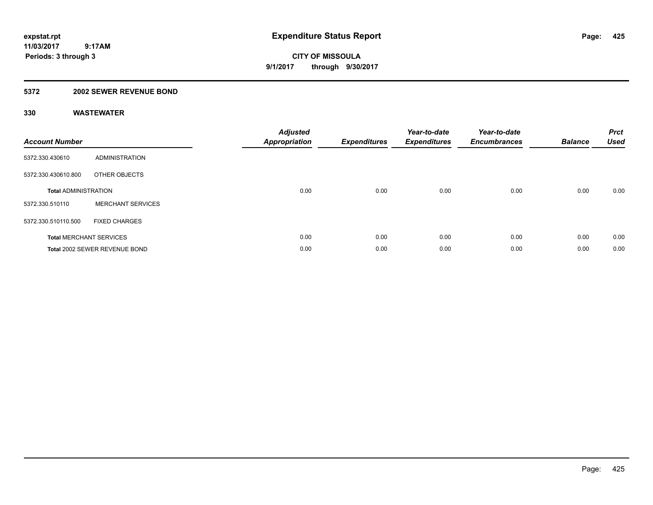**CITY OF MISSOULA 9/1/2017 through 9/30/2017**

### **5372 2002 SEWER REVENUE BOND**

| <b>Account Number</b>       |                                | <b>Adjusted</b><br><b>Appropriation</b> | <b>Expenditures</b> | Year-to-date<br><b>Expenditures</b> | Year-to-date<br><b>Encumbrances</b> | <b>Balance</b> | <b>Prct</b><br><b>Used</b> |
|-----------------------------|--------------------------------|-----------------------------------------|---------------------|-------------------------------------|-------------------------------------|----------------|----------------------------|
| 5372.330.430610             | ADMINISTRATION                 |                                         |                     |                                     |                                     |                |                            |
| 5372.330.430610.800         | OTHER OBJECTS                  |                                         |                     |                                     |                                     |                |                            |
| <b>Total ADMINISTRATION</b> |                                | 0.00                                    | 0.00                | 0.00                                | 0.00                                | 0.00           | 0.00                       |
| 5372.330.510110             | <b>MERCHANT SERVICES</b>       |                                         |                     |                                     |                                     |                |                            |
| 5372.330.510110.500         | <b>FIXED CHARGES</b>           |                                         |                     |                                     |                                     |                |                            |
|                             | <b>Total MERCHANT SERVICES</b> | 0.00                                    | 0.00                | 0.00                                | 0.00                                | 0.00           | 0.00                       |
|                             | Total 2002 SEWER REVENUE BOND  | 0.00                                    | 0.00                | 0.00                                | 0.00                                | 0.00           | 0.00                       |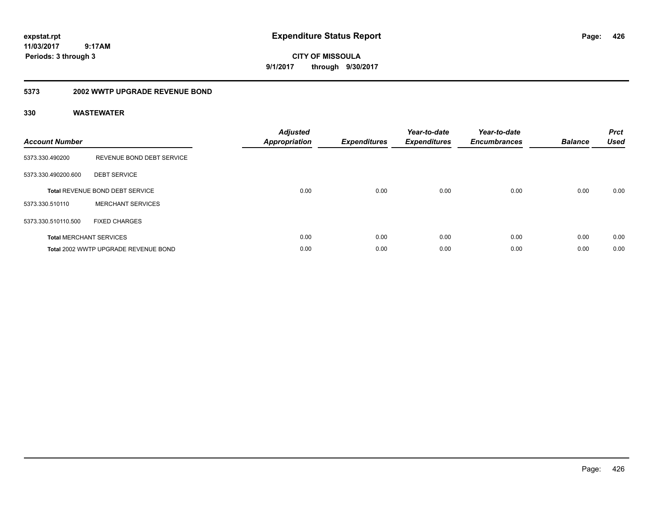**CITY OF MISSOULA 9/1/2017 through 9/30/2017**

#### **5373 2002 WWTP UPGRADE REVENUE BOND**

| <b>Account Number</b> |                                        | <b>Adjusted</b><br>Appropriation | <b>Expenditures</b> | Year-to-date<br><b>Expenditures</b> | Year-to-date<br><b>Encumbrances</b> | <b>Balance</b> | <b>Prct</b><br><b>Used</b> |
|-----------------------|----------------------------------------|----------------------------------|---------------------|-------------------------------------|-------------------------------------|----------------|----------------------------|
| 5373.330.490200       | REVENUE BOND DEBT SERVICE              |                                  |                     |                                     |                                     |                |                            |
| 5373.330.490200.600   | <b>DEBT SERVICE</b>                    |                                  |                     |                                     |                                     |                |                            |
|                       | <b>Total REVENUE BOND DEBT SERVICE</b> | 0.00                             | 0.00                | 0.00                                | 0.00                                | 0.00           | 0.00                       |
| 5373.330.510110       | <b>MERCHANT SERVICES</b>               |                                  |                     |                                     |                                     |                |                            |
| 5373.330.510110.500   | <b>FIXED CHARGES</b>                   |                                  |                     |                                     |                                     |                |                            |
|                       | <b>Total MERCHANT SERVICES</b>         | 0.00                             | 0.00                | 0.00                                | 0.00                                | 0.00           | 0.00                       |
|                       | Total 2002 WWTP UPGRADE REVENUE BOND   | 0.00                             | 0.00                | 0.00                                | 0.00                                | 0.00           | 0.00                       |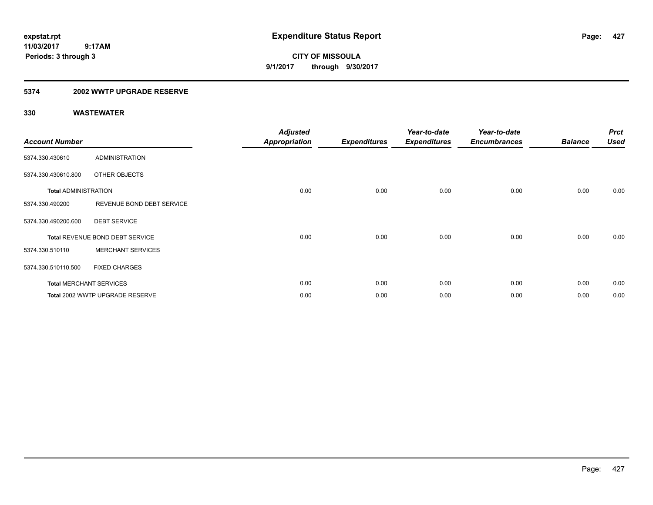**CITY OF MISSOULA 9/1/2017 through 9/30/2017**

### **5374 2002 WWTP UPGRADE RESERVE**

| <b>Account Number</b>       |                                 | <b>Adjusted</b><br><b>Appropriation</b> | <b>Expenditures</b> | Year-to-date<br><b>Expenditures</b> | Year-to-date<br><b>Encumbrances</b> | <b>Balance</b> | <b>Prct</b><br><b>Used</b> |
|-----------------------------|---------------------------------|-----------------------------------------|---------------------|-------------------------------------|-------------------------------------|----------------|----------------------------|
| 5374.330.430610             | <b>ADMINISTRATION</b>           |                                         |                     |                                     |                                     |                |                            |
| 5374.330.430610.800         | <b>OTHER OBJECTS</b>            |                                         |                     |                                     |                                     |                |                            |
| <b>Total ADMINISTRATION</b> |                                 | 0.00                                    | 0.00                | 0.00                                | 0.00                                | 0.00           | 0.00                       |
| 5374.330.490200             | REVENUE BOND DEBT SERVICE       |                                         |                     |                                     |                                     |                |                            |
| 5374.330.490200.600         | <b>DEBT SERVICE</b>             |                                         |                     |                                     |                                     |                |                            |
|                             | Total REVENUE BOND DEBT SERVICE | 0.00                                    | 0.00                | 0.00                                | 0.00                                | 0.00           | 0.00                       |
| 5374.330.510110             | <b>MERCHANT SERVICES</b>        |                                         |                     |                                     |                                     |                |                            |
| 5374.330.510110.500         | <b>FIXED CHARGES</b>            |                                         |                     |                                     |                                     |                |                            |
|                             | <b>Total MERCHANT SERVICES</b>  | 0.00                                    | 0.00                | 0.00                                | 0.00                                | 0.00           | 0.00                       |
|                             | Total 2002 WWTP UPGRADE RESERVE | 0.00                                    | 0.00                | 0.00                                | 0.00                                | 0.00           | 0.00                       |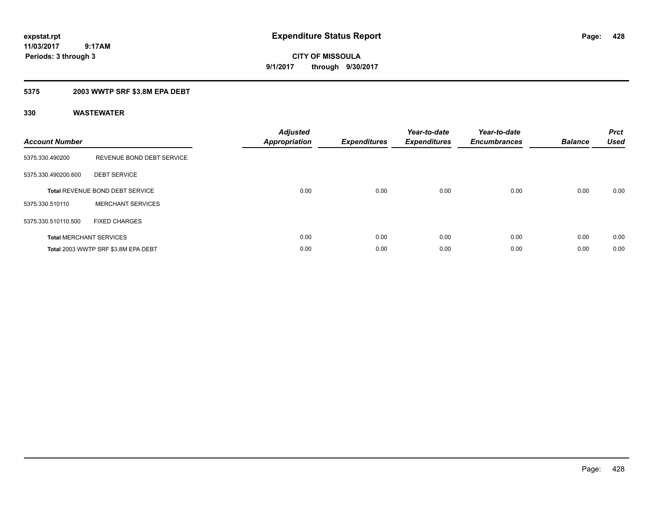**CITY OF MISSOULA 9/1/2017 through 9/30/2017**

## **5375 2003 WWTP SRF \$3.8M EPA DEBT**

| <b>Account Number</b> |                                        | <b>Adjusted</b><br><b>Appropriation</b> | <b>Expenditures</b> | Year-to-date<br><b>Expenditures</b> | Year-to-date<br><b>Encumbrances</b> | <b>Balance</b> | <b>Prct</b><br><b>Used</b> |
|-----------------------|----------------------------------------|-----------------------------------------|---------------------|-------------------------------------|-------------------------------------|----------------|----------------------------|
| 5375.330.490200       | REVENUE BOND DEBT SERVICE              |                                         |                     |                                     |                                     |                |                            |
| 5375.330.490200.600   | <b>DEBT SERVICE</b>                    |                                         |                     |                                     |                                     |                |                            |
|                       | <b>Total REVENUE BOND DEBT SERVICE</b> | 0.00                                    | 0.00                | 0.00                                | 0.00                                | 0.00           | 0.00                       |
| 5375.330.510110       | <b>MERCHANT SERVICES</b>               |                                         |                     |                                     |                                     |                |                            |
| 5375.330.510110.500   | <b>FIXED CHARGES</b>                   |                                         |                     |                                     |                                     |                |                            |
|                       | <b>Total MERCHANT SERVICES</b>         | 0.00                                    | 0.00                | 0.00                                | 0.00                                | 0.00           | 0.00                       |
|                       | Total 2003 WWTP SRF \$3.8M EPA DEBT    | 0.00                                    | 0.00                | 0.00                                | 0.00                                | 0.00           | 0.00                       |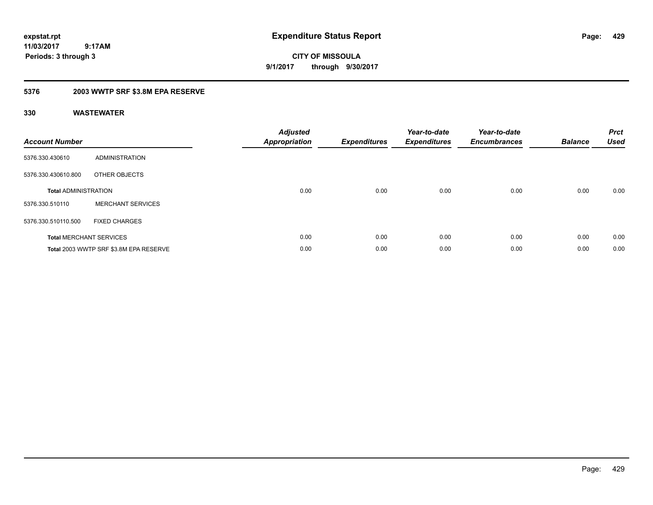**CITY OF MISSOULA 9/1/2017 through 9/30/2017**

## **5376 2003 WWTP SRF \$3.8M EPA RESERVE**

| <b>Account Number</b>       |                                        | Adjusted<br><b>Appropriation</b> | <b>Expenditures</b> | Year-to-date<br><b>Expenditures</b> | Year-to-date<br><b>Encumbrances</b> | <b>Balance</b> | <b>Prct</b><br><b>Used</b> |
|-----------------------------|----------------------------------------|----------------------------------|---------------------|-------------------------------------|-------------------------------------|----------------|----------------------------|
| 5376.330.430610             | <b>ADMINISTRATION</b>                  |                                  |                     |                                     |                                     |                |                            |
| 5376.330.430610.800         | OTHER OBJECTS                          |                                  |                     |                                     |                                     |                |                            |
| <b>Total ADMINISTRATION</b> |                                        | 0.00                             | 0.00                | 0.00                                | 0.00                                | 0.00           | 0.00                       |
| 5376.330.510110             | <b>MERCHANT SERVICES</b>               |                                  |                     |                                     |                                     |                |                            |
| 5376.330.510110.500         | <b>FIXED CHARGES</b>                   |                                  |                     |                                     |                                     |                |                            |
|                             | <b>Total MERCHANT SERVICES</b>         | 0.00                             | 0.00                | 0.00                                | 0.00                                | 0.00           | 0.00                       |
|                             | Total 2003 WWTP SRF \$3.8M EPA RESERVE | 0.00                             | 0.00                | 0.00                                | 0.00                                | 0.00           | 0.00                       |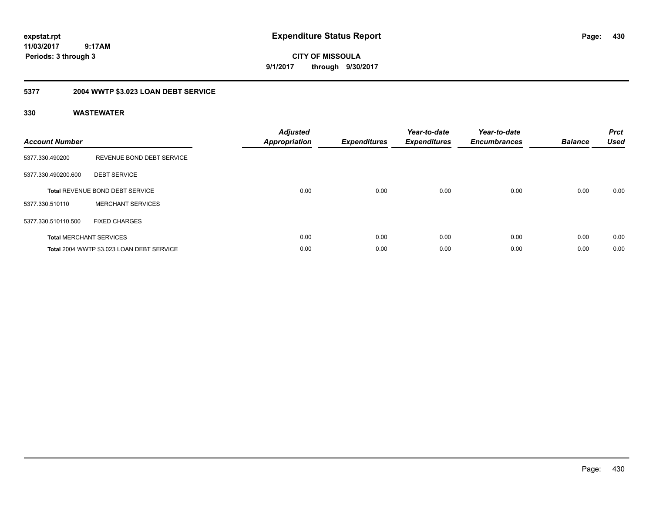**CITY OF MISSOULA 9/1/2017 through 9/30/2017**

# **5377 2004 WWTP \$3.023 LOAN DEBT SERVICE**

| <b>Account Number</b> |                                           | <b>Adjusted</b><br>Appropriation | <b>Expenditures</b> | Year-to-date<br><b>Expenditures</b> | Year-to-date<br><b>Encumbrances</b> | <b>Balance</b> | <b>Prct</b><br><b>Used</b> |
|-----------------------|-------------------------------------------|----------------------------------|---------------------|-------------------------------------|-------------------------------------|----------------|----------------------------|
| 5377.330.490200       | REVENUE BOND DEBT SERVICE                 |                                  |                     |                                     |                                     |                |                            |
| 5377.330.490200.600   | <b>DEBT SERVICE</b>                       |                                  |                     |                                     |                                     |                |                            |
|                       | <b>Total REVENUE BOND DEBT SERVICE</b>    | 0.00                             | 0.00                | 0.00                                | 0.00                                | 0.00           | 0.00                       |
| 5377.330.510110       | <b>MERCHANT SERVICES</b>                  |                                  |                     |                                     |                                     |                |                            |
| 5377.330.510110.500   | <b>FIXED CHARGES</b>                      |                                  |                     |                                     |                                     |                |                            |
|                       | <b>Total MERCHANT SERVICES</b>            | 0.00                             | 0.00                | 0.00                                | 0.00                                | 0.00           | 0.00                       |
|                       | Total 2004 WWTP \$3.023 LOAN DEBT SERVICE | 0.00                             | 0.00                | 0.00                                | 0.00                                | 0.00           | 0.00                       |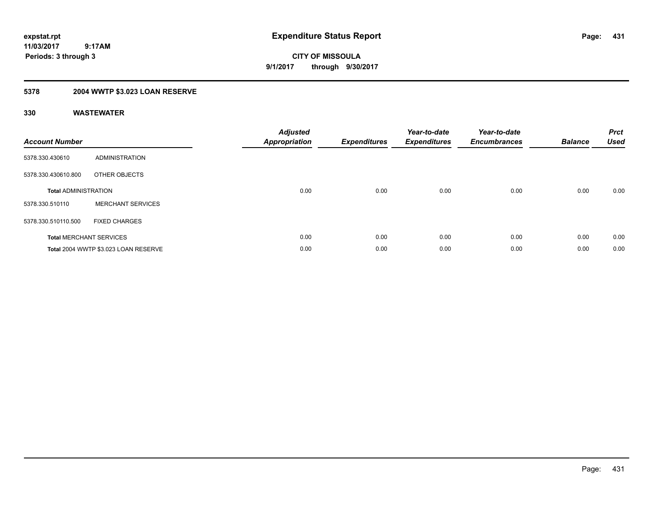**CITY OF MISSOULA 9/1/2017 through 9/30/2017**

# **5378 2004 WWTP \$3.023 LOAN RESERVE**

| <b>Account Number</b>       |                                      | <b>Adjusted</b><br>Appropriation | <b>Expenditures</b> | Year-to-date<br><b>Expenditures</b> | Year-to-date<br><b>Encumbrances</b> | <b>Balance</b> | <b>Prct</b><br><b>Used</b> |
|-----------------------------|--------------------------------------|----------------------------------|---------------------|-------------------------------------|-------------------------------------|----------------|----------------------------|
| 5378.330.430610             | ADMINISTRATION                       |                                  |                     |                                     |                                     |                |                            |
| 5378.330.430610.800         | OTHER OBJECTS                        |                                  |                     |                                     |                                     |                |                            |
| <b>Total ADMINISTRATION</b> |                                      | 0.00                             | 0.00                | 0.00                                | 0.00                                | 0.00           | 0.00                       |
| 5378.330.510110             | <b>MERCHANT SERVICES</b>             |                                  |                     |                                     |                                     |                |                            |
| 5378.330.510110.500         | <b>FIXED CHARGES</b>                 |                                  |                     |                                     |                                     |                |                            |
|                             | <b>Total MERCHANT SERVICES</b>       | 0.00                             | 0.00                | 0.00                                | 0.00                                | 0.00           | 0.00                       |
|                             | Total 2004 WWTP \$3.023 LOAN RESERVE | 0.00                             | 0.00                | 0.00                                | 0.00                                | 0.00           | 0.00                       |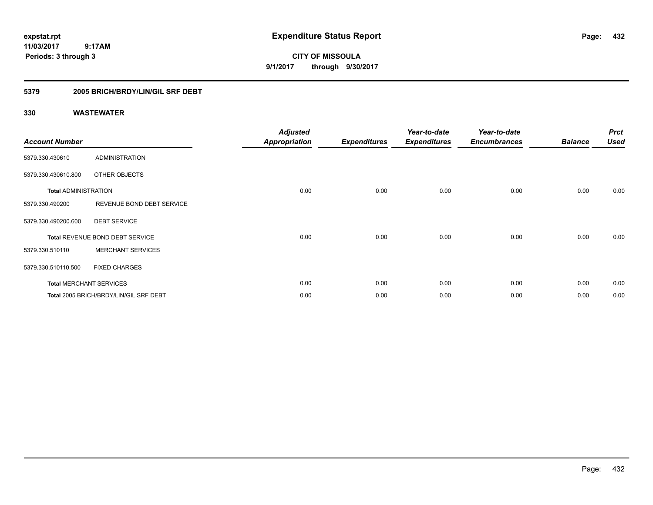**CITY OF MISSOULA 9/1/2017 through 9/30/2017**

## **5379 2005 BRICH/BRDY/LIN/GIL SRF DEBT**

| <b>Account Number</b>       |                                        | <b>Adjusted</b><br><b>Appropriation</b> | <b>Expenditures</b> | Year-to-date<br><b>Expenditures</b> | Year-to-date<br><b>Encumbrances</b> | <b>Balance</b> | <b>Prct</b><br><b>Used</b> |
|-----------------------------|----------------------------------------|-----------------------------------------|---------------------|-------------------------------------|-------------------------------------|----------------|----------------------------|
| 5379.330.430610             | <b>ADMINISTRATION</b>                  |                                         |                     |                                     |                                     |                |                            |
| 5379.330.430610.800         | OTHER OBJECTS                          |                                         |                     |                                     |                                     |                |                            |
| <b>Total ADMINISTRATION</b> |                                        | 0.00                                    | 0.00                | 0.00                                | 0.00                                | 0.00           | 0.00                       |
| 5379.330.490200             | REVENUE BOND DEBT SERVICE              |                                         |                     |                                     |                                     |                |                            |
| 5379.330.490200.600         | <b>DEBT SERVICE</b>                    |                                         |                     |                                     |                                     |                |                            |
|                             | Total REVENUE BOND DEBT SERVICE        | 0.00                                    | 0.00                | 0.00                                | 0.00                                | 0.00           | 0.00                       |
| 5379.330.510110             | <b>MERCHANT SERVICES</b>               |                                         |                     |                                     |                                     |                |                            |
| 5379.330.510110.500         | <b>FIXED CHARGES</b>                   |                                         |                     |                                     |                                     |                |                            |
|                             | <b>Total MERCHANT SERVICES</b>         | 0.00                                    | 0.00                | 0.00                                | 0.00                                | 0.00           | 0.00                       |
|                             | Total 2005 BRICH/BRDY/LIN/GIL SRF DEBT | 0.00                                    | 0.00                | 0.00                                | 0.00                                | 0.00           | 0.00                       |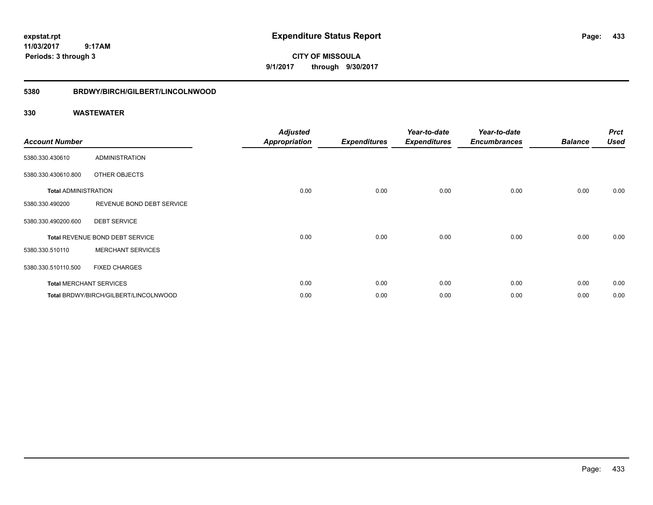**CITY OF MISSOULA 9/1/2017 through 9/30/2017**

### **5380 BRDWY/BIRCH/GILBERT/LINCOLNWOOD**

| <b>Account Number</b>       |                                       | <b>Adjusted</b><br><b>Appropriation</b> | <b>Expenditures</b> | Year-to-date<br><b>Expenditures</b> | Year-to-date<br><b>Encumbrances</b> | <b>Balance</b> | <b>Prct</b><br><b>Used</b> |
|-----------------------------|---------------------------------------|-----------------------------------------|---------------------|-------------------------------------|-------------------------------------|----------------|----------------------------|
| 5380.330.430610             | <b>ADMINISTRATION</b>                 |                                         |                     |                                     |                                     |                |                            |
| 5380.330.430610.800         | OTHER OBJECTS                         |                                         |                     |                                     |                                     |                |                            |
| <b>Total ADMINISTRATION</b> |                                       | 0.00                                    | 0.00                | 0.00                                | 0.00                                | 0.00           | 0.00                       |
| 5380.330.490200             | REVENUE BOND DEBT SERVICE             |                                         |                     |                                     |                                     |                |                            |
| 5380.330.490200.600         | <b>DEBT SERVICE</b>                   |                                         |                     |                                     |                                     |                |                            |
|                             | Total REVENUE BOND DEBT SERVICE       | 0.00                                    | 0.00                | 0.00                                | 0.00                                | 0.00           | 0.00                       |
| 5380.330.510110             | <b>MERCHANT SERVICES</b>              |                                         |                     |                                     |                                     |                |                            |
| 5380.330.510110.500         | <b>FIXED CHARGES</b>                  |                                         |                     |                                     |                                     |                |                            |
|                             | <b>Total MERCHANT SERVICES</b>        | 0.00                                    | 0.00                | 0.00                                | 0.00                                | 0.00           | 0.00                       |
|                             | Total BRDWY/BIRCH/GILBERT/LINCOLNWOOD | 0.00                                    | 0.00                | 0.00                                | 0.00                                | 0.00           | 0.00                       |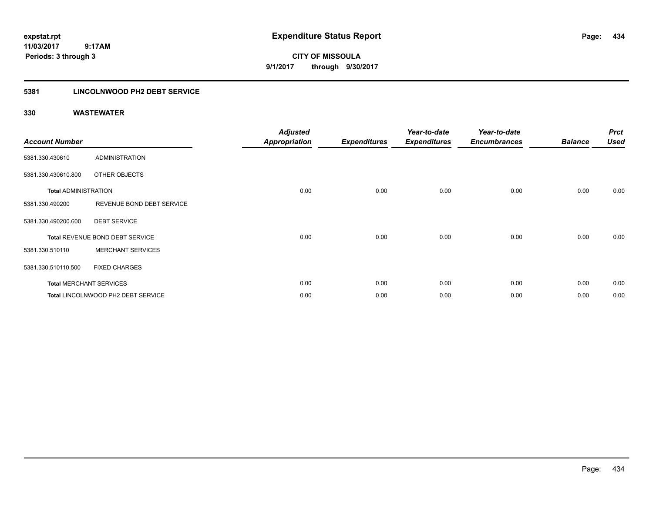**CITY OF MISSOULA 9/1/2017 through 9/30/2017**

### **5381 LINCOLNWOOD PH2 DEBT SERVICE**

| <b>Account Number</b>       |                                    | <b>Adjusted</b><br><b>Appropriation</b> | <b>Expenditures</b> | Year-to-date<br><b>Expenditures</b> | Year-to-date<br><b>Encumbrances</b> | <b>Balance</b> | <b>Prct</b><br><b>Used</b> |
|-----------------------------|------------------------------------|-----------------------------------------|---------------------|-------------------------------------|-------------------------------------|----------------|----------------------------|
| 5381.330.430610             | <b>ADMINISTRATION</b>              |                                         |                     |                                     |                                     |                |                            |
| 5381.330.430610.800         | OTHER OBJECTS                      |                                         |                     |                                     |                                     |                |                            |
| <b>Total ADMINISTRATION</b> |                                    | 0.00                                    | 0.00                | 0.00                                | 0.00                                | 0.00           | 0.00                       |
| 5381.330.490200             | REVENUE BOND DEBT SERVICE          |                                         |                     |                                     |                                     |                |                            |
| 5381.330.490200.600         | <b>DEBT SERVICE</b>                |                                         |                     |                                     |                                     |                |                            |
|                             | Total REVENUE BOND DEBT SERVICE    | 0.00                                    | 0.00                | 0.00                                | 0.00                                | 0.00           | 0.00                       |
| 5381.330.510110             | <b>MERCHANT SERVICES</b>           |                                         |                     |                                     |                                     |                |                            |
| 5381.330.510110.500         | <b>FIXED CHARGES</b>               |                                         |                     |                                     |                                     |                |                            |
|                             | <b>Total MERCHANT SERVICES</b>     | 0.00                                    | 0.00                | 0.00                                | 0.00                                | 0.00           | 0.00                       |
|                             | Total LINCOLNWOOD PH2 DEBT SERVICE | 0.00                                    | 0.00                | 0.00                                | 0.00                                | 0.00           | 0.00                       |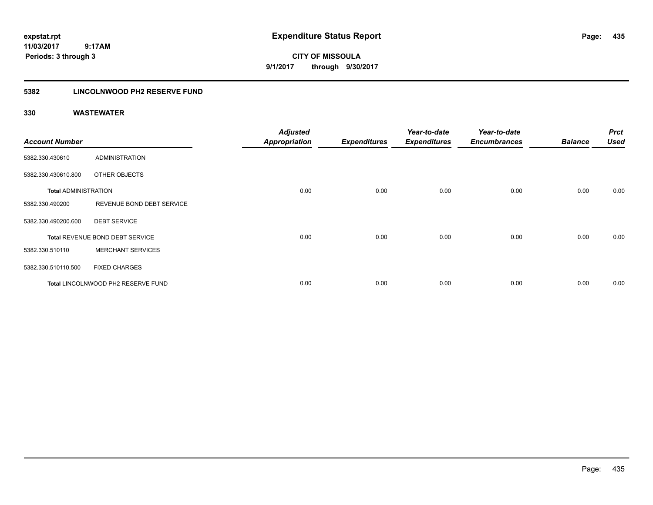**CITY OF MISSOULA 9/1/2017 through 9/30/2017**

### **5382 LINCOLNWOOD PH2 RESERVE FUND**

| <b>Account Number</b>       |                                    | <b>Adjusted</b><br><b>Appropriation</b> | <b>Expenditures</b> | Year-to-date<br><b>Expenditures</b> | Year-to-date<br><b>Encumbrances</b> | <b>Balance</b> | <b>Prct</b><br><b>Used</b> |
|-----------------------------|------------------------------------|-----------------------------------------|---------------------|-------------------------------------|-------------------------------------|----------------|----------------------------|
| 5382.330.430610             | <b>ADMINISTRATION</b>              |                                         |                     |                                     |                                     |                |                            |
| 5382.330.430610.800         | OTHER OBJECTS                      |                                         |                     |                                     |                                     |                |                            |
| <b>Total ADMINISTRATION</b> |                                    | 0.00                                    | 0.00                | 0.00                                | 0.00                                | 0.00           | 0.00                       |
| 5382.330.490200             | REVENUE BOND DEBT SERVICE          |                                         |                     |                                     |                                     |                |                            |
| 5382.330.490200.600         | <b>DEBT SERVICE</b>                |                                         |                     |                                     |                                     |                |                            |
|                             | Total REVENUE BOND DEBT SERVICE    | 0.00                                    | 0.00                | 0.00                                | 0.00                                | 0.00           | 0.00                       |
| 5382.330.510110             | <b>MERCHANT SERVICES</b>           |                                         |                     |                                     |                                     |                |                            |
| 5382.330.510110.500         | <b>FIXED CHARGES</b>               |                                         |                     |                                     |                                     |                |                            |
|                             | Total LINCOLNWOOD PH2 RESERVE FUND | 0.00                                    | 0.00                | 0.00                                | 0.00                                | 0.00           | 0.00                       |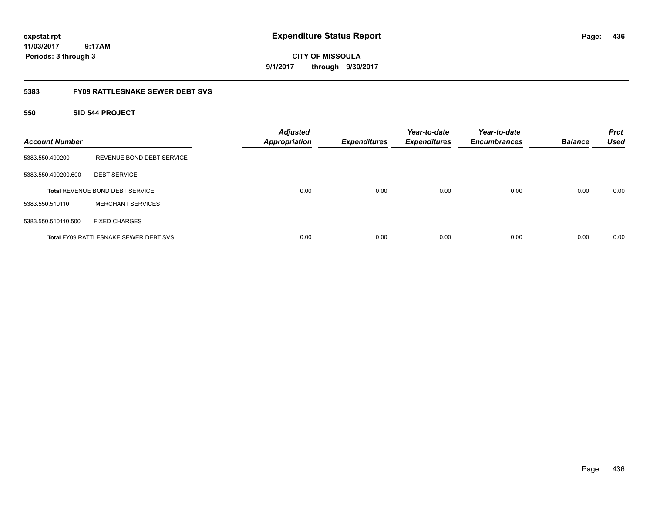**CITY OF MISSOULA 9/1/2017 through 9/30/2017**

### **5383 FY09 RATTLESNAKE SEWER DEBT SVS**

### **550 SID 544 PROJECT**

| <b>Account Number</b> |                                              | <b>Adjusted</b><br><b>Appropriation</b> | <b>Expenditures</b> | Year-to-date<br><b>Expenditures</b> | Year-to-date<br><b>Encumbrances</b> | <b>Balance</b> | <b>Prct</b><br><b>Used</b> |
|-----------------------|----------------------------------------------|-----------------------------------------|---------------------|-------------------------------------|-------------------------------------|----------------|----------------------------|
| 5383.550.490200       | REVENUE BOND DEBT SERVICE                    |                                         |                     |                                     |                                     |                |                            |
| 5383.550.490200.600   | <b>DEBT SERVICE</b>                          |                                         |                     |                                     |                                     |                |                            |
|                       | <b>Total REVENUE BOND DEBT SERVICE</b>       | 0.00                                    | 0.00                | 0.00                                | 0.00                                | 0.00           | 0.00                       |
| 5383.550.510110       | <b>MERCHANT SERVICES</b>                     |                                         |                     |                                     |                                     |                |                            |
| 5383.550.510110.500   | <b>FIXED CHARGES</b>                         |                                         |                     |                                     |                                     |                |                            |
|                       | <b>Total FY09 RATTLESNAKE SEWER DEBT SVS</b> | 0.00                                    | 0.00                | 0.00                                | 0.00                                | 0.00           | 0.00                       |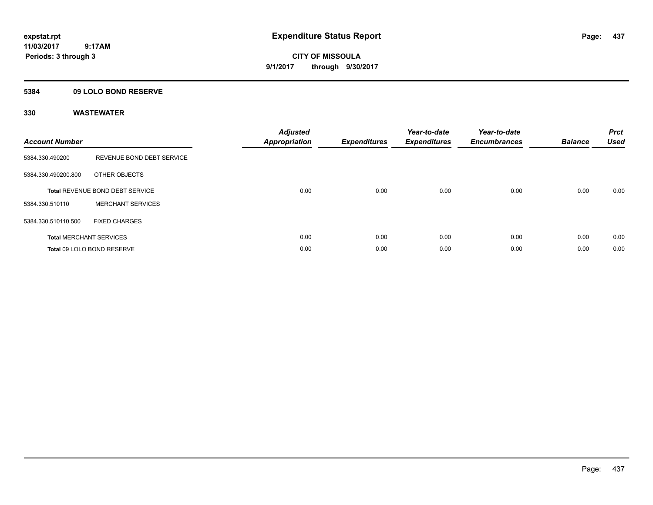**CITY OF MISSOULA 9/1/2017 through 9/30/2017**

### **5384 09 LOLO BOND RESERVE**

| <b>Account Number</b> |                                        | <b>Adjusted</b><br>Appropriation | <b>Expenditures</b> | Year-to-date<br><b>Expenditures</b> | Year-to-date<br><b>Encumbrances</b> | <b>Balance</b> | <b>Prct</b><br><b>Used</b> |
|-----------------------|----------------------------------------|----------------------------------|---------------------|-------------------------------------|-------------------------------------|----------------|----------------------------|
| 5384.330.490200       | REVENUE BOND DEBT SERVICE              |                                  |                     |                                     |                                     |                |                            |
| 5384.330.490200.800   | OTHER OBJECTS                          |                                  |                     |                                     |                                     |                |                            |
|                       | <b>Total REVENUE BOND DEBT SERVICE</b> | 0.00                             | 0.00                | 0.00                                | 0.00                                | 0.00           | 0.00                       |
| 5384.330.510110       | <b>MERCHANT SERVICES</b>               |                                  |                     |                                     |                                     |                |                            |
| 5384.330.510110.500   | <b>FIXED CHARGES</b>                   |                                  |                     |                                     |                                     |                |                            |
|                       | <b>Total MERCHANT SERVICES</b>         | 0.00                             | 0.00                | 0.00                                | 0.00                                | 0.00           | 0.00                       |
|                       | Total 09 LOLO BOND RESERVE             | 0.00                             | 0.00                | 0.00                                | 0.00                                | 0.00           | 0.00                       |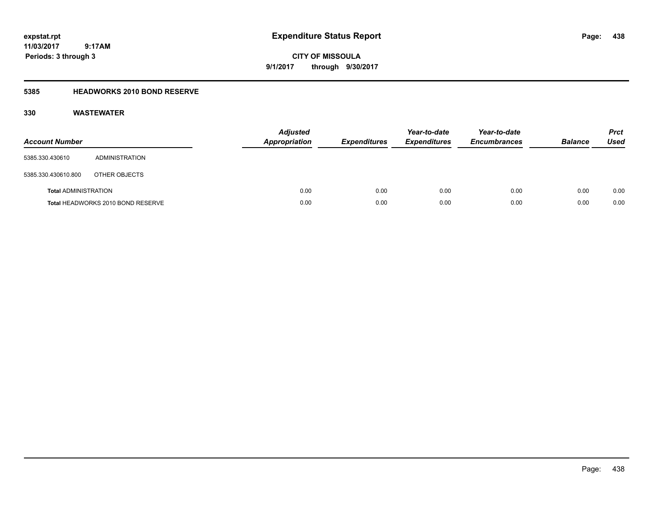**CITY OF MISSOULA 9/1/2017 through 9/30/2017**

### **5385 HEADWORKS 2010 BOND RESERVE**

| <b>Account Number</b>       |                                   | <b>Adjusted</b><br><b>Appropriation</b> | <b>Expenditures</b> | Year-to-date<br><b>Expenditures</b> | Year-to-date<br><b>Encumbrances</b> | <b>Balance</b> | <b>Prct</b><br><b>Used</b> |
|-----------------------------|-----------------------------------|-----------------------------------------|---------------------|-------------------------------------|-------------------------------------|----------------|----------------------------|
| 5385.330.430610             | ADMINISTRATION                    |                                         |                     |                                     |                                     |                |                            |
| 5385.330.430610.800         | OTHER OBJECTS                     |                                         |                     |                                     |                                     |                |                            |
| <b>Total ADMINISTRATION</b> |                                   | 0.00                                    | 0.00                | 0.00                                | 0.00                                | 0.00           | 0.00                       |
|                             | Total HEADWORKS 2010 BOND RESERVE | 0.00                                    | 0.00                | 0.00                                | 0.00                                | 0.00           | 0.00                       |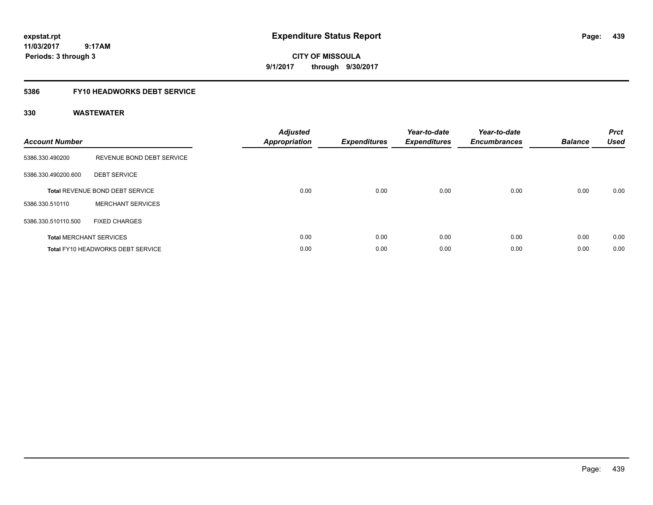**CITY OF MISSOULA 9/1/2017 through 9/30/2017**

### **5386 FY10 HEADWORKS DEBT SERVICE**

| <b>Account Number</b> |                                   | <b>Adjusted</b><br>Appropriation | <b>Expenditures</b> | Year-to-date<br><b>Expenditures</b> | Year-to-date<br><b>Encumbrances</b> | <b>Balance</b> | <b>Prct</b><br><b>Used</b> |
|-----------------------|-----------------------------------|----------------------------------|---------------------|-------------------------------------|-------------------------------------|----------------|----------------------------|
| 5386.330.490200       | REVENUE BOND DEBT SERVICE         |                                  |                     |                                     |                                     |                |                            |
| 5386.330.490200.600   | <b>DEBT SERVICE</b>               |                                  |                     |                                     |                                     |                |                            |
|                       | Total REVENUE BOND DEBT SERVICE   | 0.00                             | 0.00                | 0.00                                | 0.00                                | 0.00           | 0.00                       |
| 5386.330.510110       | <b>MERCHANT SERVICES</b>          |                                  |                     |                                     |                                     |                |                            |
| 5386.330.510110.500   | <b>FIXED CHARGES</b>              |                                  |                     |                                     |                                     |                |                            |
|                       | <b>Total MERCHANT SERVICES</b>    | 0.00                             | 0.00                | 0.00                                | 0.00                                | 0.00           | 0.00                       |
|                       | Total FY10 HEADWORKS DEBT SERVICE | 0.00                             | 0.00                | 0.00                                | 0.00                                | 0.00           | 0.00                       |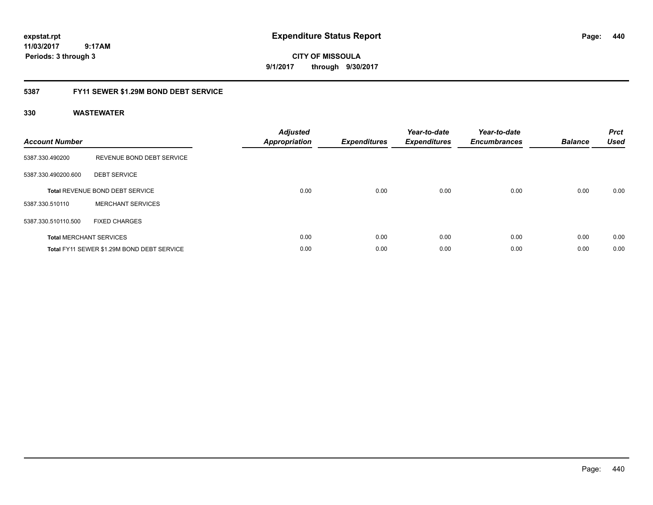**CITY OF MISSOULA 9/1/2017 through 9/30/2017**

### **5387 FY11 SEWER \$1.29M BOND DEBT SERVICE**

| <b>Account Number</b> |                                            | <b>Adjusted</b><br>Appropriation | <b>Expenditures</b> | Year-to-date<br><b>Expenditures</b> | Year-to-date<br><b>Encumbrances</b> | <b>Balance</b> | <b>Prct</b><br><b>Used</b> |
|-----------------------|--------------------------------------------|----------------------------------|---------------------|-------------------------------------|-------------------------------------|----------------|----------------------------|
| 5387.330.490200       | REVENUE BOND DEBT SERVICE                  |                                  |                     |                                     |                                     |                |                            |
| 5387.330.490200.600   | <b>DEBT SERVICE</b>                        |                                  |                     |                                     |                                     |                |                            |
|                       | Total REVENUE BOND DEBT SERVICE            | 0.00                             | 0.00                | 0.00                                | 0.00                                | 0.00           | 0.00                       |
| 5387.330.510110       | <b>MERCHANT SERVICES</b>                   |                                  |                     |                                     |                                     |                |                            |
| 5387.330.510110.500   | <b>FIXED CHARGES</b>                       |                                  |                     |                                     |                                     |                |                            |
|                       | <b>Total MERCHANT SERVICES</b>             | 0.00                             | 0.00                | 0.00                                | 0.00                                | 0.00           | 0.00                       |
|                       | Total FY11 SEWER \$1.29M BOND DEBT SERVICE | 0.00                             | 0.00                | 0.00                                | 0.00                                | 0.00           | 0.00                       |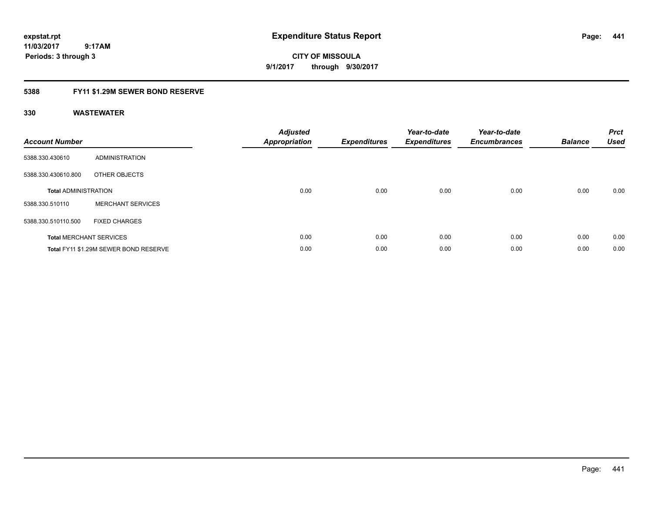**CITY OF MISSOULA 9/1/2017 through 9/30/2017**

### **5388 FY11 \$1.29M SEWER BOND RESERVE**

| <b>Account Number</b>       |                                       | <b>Adjusted</b><br>Appropriation | <b>Expenditures</b> | Year-to-date<br><b>Expenditures</b> | Year-to-date<br><b>Encumbrances</b> | <b>Balance</b> | <b>Prct</b><br><b>Used</b> |
|-----------------------------|---------------------------------------|----------------------------------|---------------------|-------------------------------------|-------------------------------------|----------------|----------------------------|
| 5388.330.430610             | ADMINISTRATION                        |                                  |                     |                                     |                                     |                |                            |
| 5388.330.430610.800         | OTHER OBJECTS                         |                                  |                     |                                     |                                     |                |                            |
| <b>Total ADMINISTRATION</b> |                                       | 0.00                             | 0.00                | 0.00                                | 0.00                                | 0.00           | 0.00                       |
| 5388.330.510110             | <b>MERCHANT SERVICES</b>              |                                  |                     |                                     |                                     |                |                            |
| 5388.330.510110.500         | <b>FIXED CHARGES</b>                  |                                  |                     |                                     |                                     |                |                            |
|                             | <b>Total MERCHANT SERVICES</b>        | 0.00                             | 0.00                | 0.00                                | 0.00                                | 0.00           | 0.00                       |
|                             | Total FY11 \$1.29M SEWER BOND RESERVE | 0.00                             | 0.00                | 0.00                                | 0.00                                | 0.00           | 0.00                       |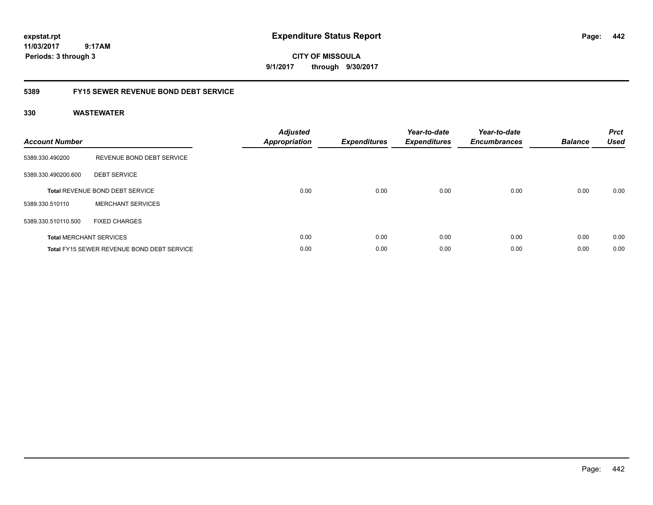**CITY OF MISSOULA 9/1/2017 through 9/30/2017**

### **5389 FY15 SEWER REVENUE BOND DEBT SERVICE**

| <b>Account Number</b> |                                                   | <b>Adjusted</b><br>Appropriation | <b>Expenditures</b> | Year-to-date<br><b>Expenditures</b> | Year-to-date<br><b>Encumbrances</b> | <b>Balance</b> | <b>Prct</b><br><b>Used</b> |
|-----------------------|---------------------------------------------------|----------------------------------|---------------------|-------------------------------------|-------------------------------------|----------------|----------------------------|
| 5389.330.490200       | REVENUE BOND DEBT SERVICE                         |                                  |                     |                                     |                                     |                |                            |
| 5389.330.490200.600   | <b>DEBT SERVICE</b>                               |                                  |                     |                                     |                                     |                |                            |
|                       | Total REVENUE BOND DEBT SERVICE                   | 0.00                             | 0.00                | 0.00                                | 0.00                                | 0.00           | 0.00                       |
| 5389.330.510110       | <b>MERCHANT SERVICES</b>                          |                                  |                     |                                     |                                     |                |                            |
| 5389.330.510110.500   | <b>FIXED CHARGES</b>                              |                                  |                     |                                     |                                     |                |                            |
|                       | <b>Total MERCHANT SERVICES</b>                    | 0.00                             | 0.00                | 0.00                                | 0.00                                | 0.00           | 0.00                       |
|                       | <b>Total FY15 SEWER REVENUE BOND DEBT SERVICE</b> | 0.00                             | 0.00                | 0.00                                | 0.00                                | 0.00           | 0.00                       |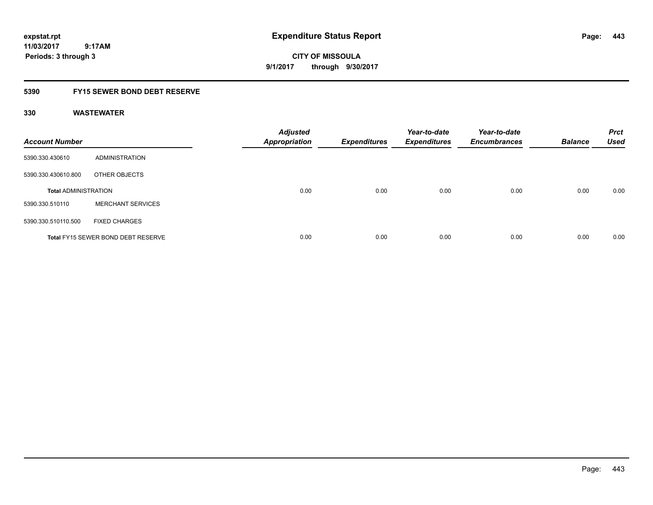**CITY OF MISSOULA 9/1/2017 through 9/30/2017**

### **5390 FY15 SEWER BOND DEBT RESERVE**

| <b>Account Number</b>       |                                           | <b>Adjusted</b><br><b>Appropriation</b> | <b>Expenditures</b> | Year-to-date<br><b>Expenditures</b> | Year-to-date<br><b>Encumbrances</b> | <b>Balance</b> | <b>Prct</b><br><b>Used</b> |
|-----------------------------|-------------------------------------------|-----------------------------------------|---------------------|-------------------------------------|-------------------------------------|----------------|----------------------------|
| 5390.330.430610             | ADMINISTRATION                            |                                         |                     |                                     |                                     |                |                            |
| 5390.330.430610.800         | OTHER OBJECTS                             |                                         |                     |                                     |                                     |                |                            |
| <b>Total ADMINISTRATION</b> |                                           | 0.00                                    | 0.00                | 0.00                                | 0.00                                | 0.00           | 0.00                       |
| 5390.330.510110             | <b>MERCHANT SERVICES</b>                  |                                         |                     |                                     |                                     |                |                            |
| 5390.330.510110.500         | <b>FIXED CHARGES</b>                      |                                         |                     |                                     |                                     |                |                            |
|                             | <b>Total FY15 SEWER BOND DEBT RESERVE</b> | 0.00                                    | 0.00                | 0.00                                | 0.00                                | 0.00           | 0.00                       |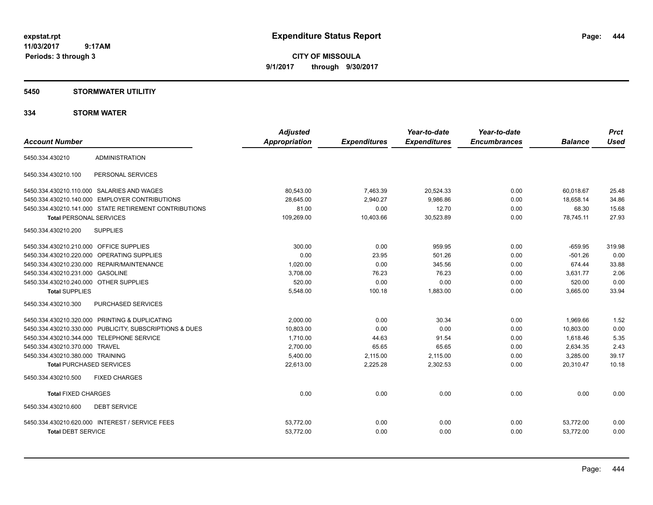**CITY OF MISSOULA 9/1/2017 through 9/30/2017**

### **5450 STORMWATER UTILITIY**

|                                         |                                                         | <b>Adjusted</b>      |                     | Year-to-date        | Year-to-date<br><b>Encumbrances</b> |                | <b>Prct</b><br><b>Used</b> |
|-----------------------------------------|---------------------------------------------------------|----------------------|---------------------|---------------------|-------------------------------------|----------------|----------------------------|
| <b>Account Number</b>                   |                                                         | <b>Appropriation</b> | <b>Expenditures</b> | <b>Expenditures</b> |                                     | <b>Balance</b> |                            |
| 5450.334.430210                         | <b>ADMINISTRATION</b>                                   |                      |                     |                     |                                     |                |                            |
| 5450.334.430210.100                     | PERSONAL SERVICES                                       |                      |                     |                     |                                     |                |                            |
|                                         | 5450.334.430210.110.000 SALARIES AND WAGES              | 80,543.00            | 7,463.39            | 20,524.33           | 0.00                                | 60,018.67      | 25.48                      |
|                                         | 5450.334.430210.140.000 EMPLOYER CONTRIBUTIONS          | 28.645.00            | 2,940.27            | 9.986.86            | 0.00                                | 18.658.14      | 34.86                      |
|                                         | 5450.334.430210.141.000 STATE RETIREMENT CONTRIBUTIONS  | 81.00                | 0.00                | 12.70               | 0.00                                | 68.30          | 15.68                      |
| <b>Total PERSONAL SERVICES</b>          |                                                         | 109,269.00           | 10,403.66           | 30,523.89           | 0.00                                | 78,745.11      | 27.93                      |
| 5450.334.430210.200                     | <b>SUPPLIES</b>                                         |                      |                     |                     |                                     |                |                            |
| 5450.334.430210.210.000 OFFICE SUPPLIES |                                                         | 300.00               | 0.00                | 959.95              | 0.00                                | $-659.95$      | 319.98                     |
|                                         | 5450.334.430210.220.000 OPERATING SUPPLIES              | 0.00                 | 23.95               | 501.26              | 0.00                                | $-501.26$      | 0.00                       |
|                                         | 5450.334.430210.230.000 REPAIR/MAINTENANCE              | 1,020.00             | 0.00                | 345.56              | 0.00                                | 674.44         | 33.88                      |
| 5450.334.430210.231.000 GASOLINE        |                                                         | 3,708.00             | 76.23               | 76.23               | 0.00                                | 3,631.77       | 2.06                       |
| 5450.334.430210.240.000 OTHER SUPPLIES  |                                                         | 520.00               | 0.00                | 0.00                | 0.00                                | 520.00         | 0.00                       |
| <b>Total SUPPLIES</b>                   |                                                         | 5,548.00             | 100.18              | 1,883.00            | 0.00                                | 3,665.00       | 33.94                      |
| 5450.334.430210.300                     | <b>PURCHASED SERVICES</b>                               |                      |                     |                     |                                     |                |                            |
|                                         | 5450.334.430210.320.000 PRINTING & DUPLICATING          | 2,000.00             | 0.00                | 30.34               | 0.00                                | 1,969.66       | 1.52                       |
|                                         | 5450.334.430210.330.000 PUBLICITY, SUBSCRIPTIONS & DUES | 10,803.00            | 0.00                | 0.00                | 0.00                                | 10,803.00      | 0.00                       |
|                                         | 5450.334.430210.344.000 TELEPHONE SERVICE               | 1,710.00             | 44.63               | 91.54               | 0.00                                | 1,618.46       | 5.35                       |
| 5450.334.430210.370.000 TRAVEL          |                                                         | 2,700.00             | 65.65               | 65.65               | 0.00                                | 2,634.35       | 2.43                       |
| 5450.334.430210.380.000 TRAINING        |                                                         | 5,400.00             | 2,115.00            | 2,115.00            | 0.00                                | 3,285.00       | 39.17                      |
| <b>Total PURCHASED SERVICES</b>         |                                                         | 22,613.00            | 2,225.28            | 2,302.53            | 0.00                                | 20,310.47      | 10.18                      |
| 5450.334.430210.500                     | <b>FIXED CHARGES</b>                                    |                      |                     |                     |                                     |                |                            |
| <b>Total FIXED CHARGES</b>              |                                                         | 0.00                 | 0.00                | 0.00                | 0.00                                | 0.00           | 0.00                       |
| 5450.334.430210.600                     | <b>DEBT SERVICE</b>                                     |                      |                     |                     |                                     |                |                            |
|                                         | 5450.334.430210.620.000 INTEREST / SERVICE FEES         | 53,772.00            | 0.00                | 0.00                | 0.00                                | 53,772.00      | 0.00                       |
| <b>Total DEBT SERVICE</b>               |                                                         | 53,772.00            | 0.00                | 0.00                | 0.00                                | 53,772.00      | 0.00                       |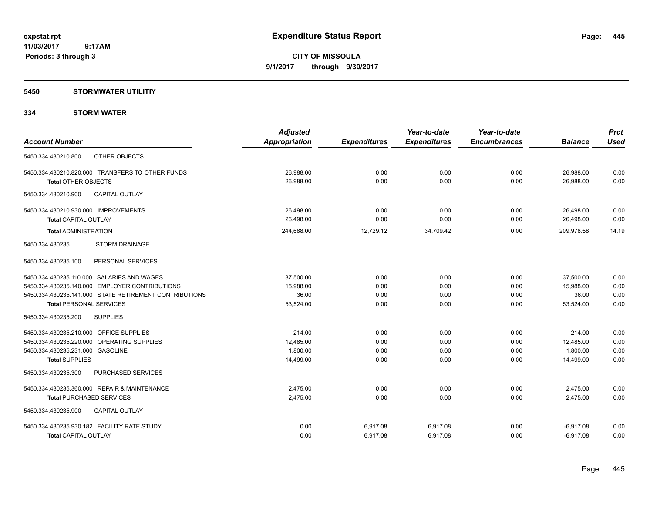**Periods: 3 through 3**

**CITY OF MISSOULA 9/1/2017 through 9/30/2017**

### **5450 STORMWATER UTILITIY**

 **9:17AM**

|                                                        | <b>Adjusted</b>      |                     | Year-to-date        | Year-to-date        |                | <b>Prct</b> |
|--------------------------------------------------------|----------------------|---------------------|---------------------|---------------------|----------------|-------------|
| <b>Account Number</b>                                  | <b>Appropriation</b> | <b>Expenditures</b> | <b>Expenditures</b> | <b>Encumbrances</b> | <b>Balance</b> | <b>Used</b> |
| OTHER OBJECTS<br>5450.334.430210.800                   |                      |                     |                     |                     |                |             |
| 5450.334.430210.820.000 TRANSFERS TO OTHER FUNDS       | 26.988.00            | 0.00                | 0.00                | 0.00                | 26,988.00      | 0.00        |
| <b>Total OTHER OBJECTS</b>                             | 26,988.00            | 0.00                | 0.00                | 0.00                | 26,988.00      | 0.00        |
| 5450.334.430210.900<br><b>CAPITAL OUTLAY</b>           |                      |                     |                     |                     |                |             |
| 5450.334.430210.930.000 IMPROVEMENTS                   | 26,498.00            | 0.00                | 0.00                | 0.00                | 26,498.00      | 0.00        |
| <b>Total CAPITAL OUTLAY</b>                            | 26,498.00            | 0.00                | 0.00                | 0.00                | 26,498.00      | 0.00        |
| <b>Total ADMINISTRATION</b>                            | 244,688.00           | 12,729.12           | 34,709.42           | 0.00                | 209,978.58     | 14.19       |
| 5450.334.430235<br><b>STORM DRAINAGE</b>               |                      |                     |                     |                     |                |             |
| 5450.334.430235.100<br>PERSONAL SERVICES               |                      |                     |                     |                     |                |             |
| 5450.334.430235.110.000 SALARIES AND WAGES             | 37,500.00            | 0.00                | 0.00                | 0.00                | 37,500.00      | 0.00        |
| 5450.334.430235.140.000 EMPLOYER CONTRIBUTIONS         | 15,988.00            | 0.00                | 0.00                | 0.00                | 15,988.00      | 0.00        |
| 5450.334.430235.141.000 STATE RETIREMENT CONTRIBUTIONS | 36.00                | 0.00                | 0.00                | 0.00                | 36.00          | 0.00        |
| <b>Total PERSONAL SERVICES</b>                         | 53,524.00            | 0.00                | 0.00                | 0.00                | 53,524.00      | 0.00        |
| 5450.334.430235.200<br><b>SUPPLIES</b>                 |                      |                     |                     |                     |                |             |
| 5450.334.430235.210.000 OFFICE SUPPLIES                | 214.00               | 0.00                | 0.00                | 0.00                | 214.00         | 0.00        |
| 5450.334.430235.220.000 OPERATING SUPPLIES             | 12,485.00            | 0.00                | 0.00                | 0.00                | 12,485.00      | 0.00        |
| 5450.334.430235.231.000 GASOLINE                       | 1,800.00             | 0.00                | 0.00                | 0.00                | 1,800.00       | 0.00        |
| <b>Total SUPPLIES</b>                                  | 14,499.00            | 0.00                | 0.00                | 0.00                | 14,499.00      | 0.00        |
| 5450.334.430235.300<br>PURCHASED SERVICES              |                      |                     |                     |                     |                |             |
| 5450.334.430235.360.000 REPAIR & MAINTENANCE           | 2,475.00             | 0.00                | 0.00                | 0.00                | 2,475.00       | 0.00        |
| <b>Total PURCHASED SERVICES</b>                        | 2,475.00             | 0.00                | 0.00                | 0.00                | 2,475.00       | 0.00        |
| 5450.334.430235.900<br>CAPITAL OUTLAY                  |                      |                     |                     |                     |                |             |
| 5450.334.430235.930.182 FACILITY RATE STUDY            | 0.00                 | 6,917.08            | 6,917.08            | 0.00                | $-6,917.08$    | 0.00        |
| <b>Total CAPITAL OUTLAY</b>                            | 0.00                 | 6,917.08            | 6,917.08            | 0.00                | $-6,917.08$    | 0.00        |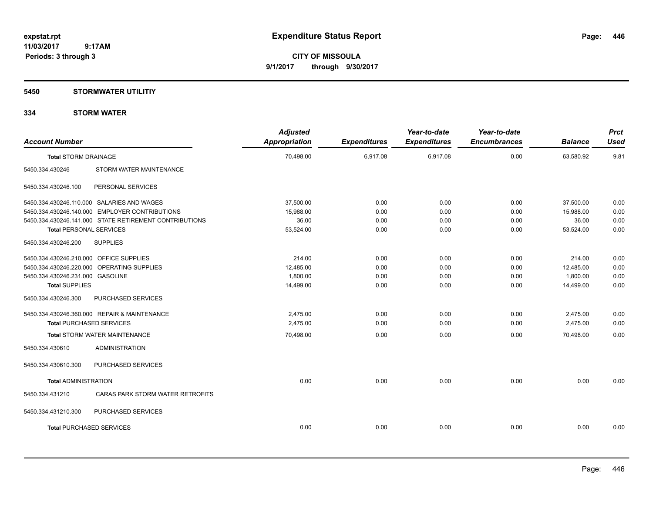**CITY OF MISSOULA 9/1/2017 through 9/30/2017**

### **5450 STORMWATER UTILITIY**

| <b>Account Number</b>                   |                                                        | <b>Adjusted</b><br>Appropriation | <b>Expenditures</b> | Year-to-date<br><b>Expenditures</b> | Year-to-date<br><b>Encumbrances</b> | <b>Balance</b> | <b>Prct</b><br><b>Used</b> |
|-----------------------------------------|--------------------------------------------------------|----------------------------------|---------------------|-------------------------------------|-------------------------------------|----------------|----------------------------|
| <b>Total STORM DRAINAGE</b>             |                                                        | 70,498.00                        | 6,917.08            | 6,917.08                            | 0.00                                | 63,580.92      | 9.81                       |
| 5450.334.430246                         | STORM WATER MAINTENANCE                                |                                  |                     |                                     |                                     |                |                            |
| 5450.334.430246.100                     | PERSONAL SERVICES                                      |                                  |                     |                                     |                                     |                |                            |
|                                         | 5450.334.430246.110.000 SALARIES AND WAGES             | 37,500.00                        | 0.00                | 0.00                                | 0.00                                | 37,500.00      | 0.00                       |
|                                         | 5450.334.430246.140.000 EMPLOYER CONTRIBUTIONS         | 15,988.00                        | 0.00                | 0.00                                | 0.00                                | 15,988.00      | 0.00                       |
|                                         | 5450.334.430246.141.000 STATE RETIREMENT CONTRIBUTIONS | 36.00                            | 0.00                | 0.00                                | 0.00                                | 36.00          | 0.00                       |
| <b>Total PERSONAL SERVICES</b>          |                                                        | 53,524.00                        | 0.00                | 0.00                                | 0.00                                | 53,524.00      | 0.00                       |
| 5450.334.430246.200                     | <b>SUPPLIES</b>                                        |                                  |                     |                                     |                                     |                |                            |
| 5450.334.430246.210.000 OFFICE SUPPLIES |                                                        | 214.00                           | 0.00                | 0.00                                | 0.00                                | 214.00         | 0.00                       |
|                                         | 5450.334.430246.220.000 OPERATING SUPPLIES             | 12,485.00                        | 0.00                | 0.00                                | 0.00                                | 12,485.00      | 0.00                       |
| 5450.334.430246.231.000 GASOLINE        |                                                        | 1,800.00                         | 0.00                | 0.00                                | 0.00                                | 1,800.00       | 0.00                       |
| <b>Total SUPPLIES</b>                   |                                                        | 14,499.00                        | 0.00                | 0.00                                | 0.00                                | 14,499.00      | 0.00                       |
| 5450.334.430246.300                     | PURCHASED SERVICES                                     |                                  |                     |                                     |                                     |                |                            |
|                                         | 5450.334.430246.360.000 REPAIR & MAINTENANCE           | 2,475.00                         | 0.00                | 0.00                                | 0.00                                | 2,475.00       | 0.00                       |
| <b>Total PURCHASED SERVICES</b>         |                                                        | 2,475.00                         | 0.00                | 0.00                                | 0.00                                | 2,475.00       | 0.00                       |
|                                         | <b>Total STORM WATER MAINTENANCE</b>                   | 70,498.00                        | 0.00                | 0.00                                | 0.00                                | 70,498.00      | 0.00                       |
| 5450.334.430610                         | <b>ADMINISTRATION</b>                                  |                                  |                     |                                     |                                     |                |                            |
| 5450.334.430610.300                     | PURCHASED SERVICES                                     |                                  |                     |                                     |                                     |                |                            |
| <b>Total ADMINISTRATION</b>             |                                                        | 0.00                             | 0.00                | 0.00                                | 0.00                                | 0.00           | 0.00                       |
| 5450.334.431210                         | CARAS PARK STORM WATER RETROFITS                       |                                  |                     |                                     |                                     |                |                            |
| 5450.334.431210.300                     | <b>PURCHASED SERVICES</b>                              |                                  |                     |                                     |                                     |                |                            |
| <b>Total PURCHASED SERVICES</b>         |                                                        | 0.00                             | 0.00                | 0.00                                | 0.00                                | 0.00           | 0.00                       |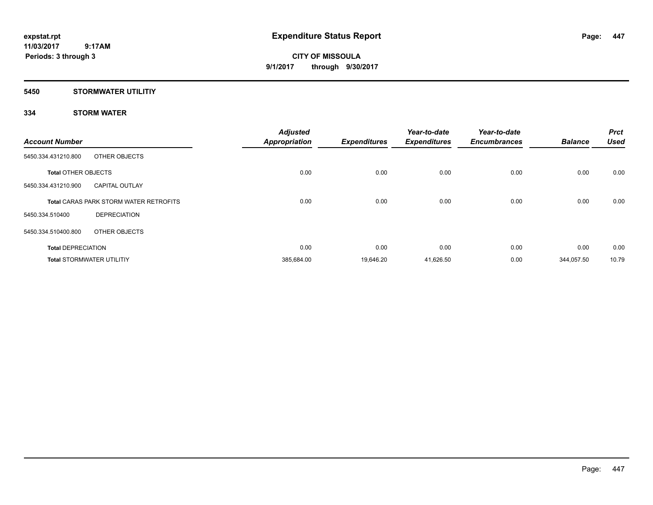**Periods: 3 through 3**

**CITY OF MISSOULA 9/1/2017 through 9/30/2017**

### **5450 STORMWATER UTILITIY**

| <b>Account Number</b>      |                                               | <b>Adjusted</b><br><b>Appropriation</b> | <b>Expenditures</b> | Year-to-date<br><b>Expenditures</b> | Year-to-date<br><b>Encumbrances</b> | <b>Balance</b> | <b>Prct</b><br><b>Used</b> |
|----------------------------|-----------------------------------------------|-----------------------------------------|---------------------|-------------------------------------|-------------------------------------|----------------|----------------------------|
| 5450.334.431210.800        | OTHER OBJECTS                                 |                                         |                     |                                     |                                     |                |                            |
| <b>Total OTHER OBJECTS</b> |                                               | 0.00                                    | 0.00                | 0.00                                | 0.00                                | 0.00           | 0.00                       |
| 5450.334.431210.900        | <b>CAPITAL OUTLAY</b>                         |                                         |                     |                                     |                                     |                |                            |
|                            | <b>Total CARAS PARK STORM WATER RETROFITS</b> | 0.00                                    | 0.00                | 0.00                                | 0.00                                | 0.00           | 0.00                       |
| 5450.334.510400            | <b>DEPRECIATION</b>                           |                                         |                     |                                     |                                     |                |                            |
| 5450.334.510400.800        | OTHER OBJECTS                                 |                                         |                     |                                     |                                     |                |                            |
| <b>Total DEPRECIATION</b>  |                                               | 0.00                                    | 0.00                | 0.00                                | 0.00                                | 0.00           | 0.00                       |
|                            | <b>Total STORMWATER UTILITIY</b>              | 385,684.00                              | 19,646.20           | 41,626.50                           | 0.00                                | 344,057.50     | 10.79                      |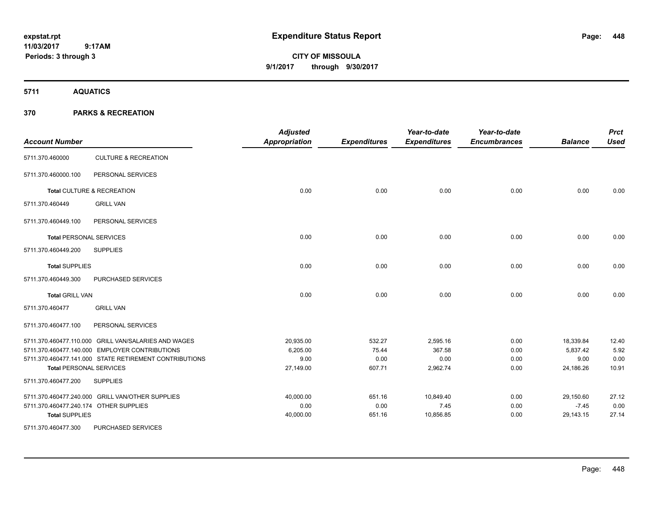# **CITY OF MISSOULA 9/1/2017 through 9/30/2017**

**5711 AQUATICS**

| <b>Account Number</b>  |                                                        | <b>Adjusted</b><br>Appropriation | <b>Expenditures</b> | Year-to-date<br><b>Expenditures</b> | Year-to-date<br><b>Encumbrances</b> | <b>Balance</b> | <b>Prct</b><br><b>Used</b> |
|------------------------|--------------------------------------------------------|----------------------------------|---------------------|-------------------------------------|-------------------------------------|----------------|----------------------------|
| 5711.370.460000        | <b>CULTURE &amp; RECREATION</b>                        |                                  |                     |                                     |                                     |                |                            |
| 5711.370.460000.100    | PERSONAL SERVICES                                      |                                  |                     |                                     |                                     |                |                            |
|                        | Total CULTURE & RECREATION                             | 0.00                             | 0.00                | 0.00                                | 0.00                                | 0.00           | 0.00                       |
| 5711.370.460449        | <b>GRILL VAN</b>                                       |                                  |                     |                                     |                                     |                |                            |
| 5711.370.460449.100    | PERSONAL SERVICES                                      |                                  |                     |                                     |                                     |                |                            |
|                        | <b>Total PERSONAL SERVICES</b>                         | 0.00                             | 0.00                | 0.00                                | 0.00                                | 0.00           | 0.00                       |
| 5711.370.460449.200    | <b>SUPPLIES</b>                                        |                                  |                     |                                     |                                     |                |                            |
| <b>Total SUPPLIES</b>  |                                                        | 0.00                             | 0.00                | 0.00                                | 0.00                                | 0.00           | 0.00                       |
| 5711.370.460449.300    | PURCHASED SERVICES                                     |                                  |                     |                                     |                                     |                |                            |
| <b>Total GRILL VAN</b> |                                                        | 0.00                             | 0.00                | 0.00                                | 0.00                                | 0.00           | 0.00                       |
| 5711.370.460477        | <b>GRILL VAN</b>                                       |                                  |                     |                                     |                                     |                |                            |
| 5711.370.460477.100    | PERSONAL SERVICES                                      |                                  |                     |                                     |                                     |                |                            |
|                        | 5711.370.460477.110.000 GRILL VAN/SALARIES AND WAGES   | 20,935.00                        | 532.27              | 2,595.16                            | 0.00                                | 18,339.84      | 12.40                      |
|                        | 5711.370.460477.140.000 EMPLOYER CONTRIBUTIONS         | 6,205.00                         | 75.44               | 367.58                              | 0.00                                | 5,837.42       | 5.92                       |
|                        | 5711.370.460477.141.000 STATE RETIREMENT CONTRIBUTIONS | 9.00                             | 0.00                | 0.00                                | 0.00                                | 9.00           | 0.00                       |
|                        | <b>Total PERSONAL SERVICES</b>                         | 27,149.00                        | 607.71              | 2,962.74                            | 0.00                                | 24,186.26      | 10.91                      |
| 5711.370.460477.200    | <b>SUPPLIES</b>                                        |                                  |                     |                                     |                                     |                |                            |
|                        | 5711.370.460477.240.000 GRILL VAN/OTHER SUPPLIES       | 40,000.00                        | 651.16              | 10,849.40                           | 0.00                                | 29,150.60      | 27.12                      |
|                        | 5711.370.460477.240.174 OTHER SUPPLIES                 | 0.00                             | 0.00                | 7.45                                | 0.00                                | $-7.45$        | 0.00                       |
| <b>Total SUPPLIES</b>  |                                                        | 40,000.00                        | 651.16              | 10,856.85                           | 0.00                                | 29,143.15      | 27.14                      |
| 5711.370.460477.300    | PURCHASED SERVICES                                     |                                  |                     |                                     |                                     |                |                            |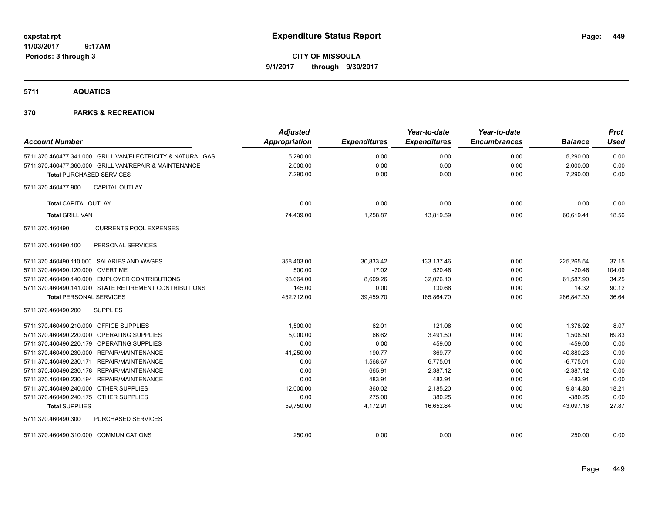# **CITY OF MISSOULA 9/1/2017 through 9/30/2017**

**5711 AQUATICS**

|                                         |                                                             | <b>Adjusted</b>      |                     | Year-to-date        | Year-to-date        |                | <b>Prct</b> |
|-----------------------------------------|-------------------------------------------------------------|----------------------|---------------------|---------------------|---------------------|----------------|-------------|
| <b>Account Number</b>                   |                                                             | <b>Appropriation</b> | <b>Expenditures</b> | <b>Expenditures</b> | <b>Encumbrances</b> | <b>Balance</b> | Used        |
|                                         | 5711.370.460477.341.000 GRILL VAN/ELECTRICITY & NATURAL GAS | 5,290.00             | 0.00                | 0.00                | 0.00                | 5,290.00       | 0.00        |
|                                         | 5711.370.460477.360.000 GRILL VAN/REPAIR & MAINTENANCE      | 2,000.00             | 0.00                | 0.00                | 0.00                | 2,000.00       | 0.00        |
| <b>Total PURCHASED SERVICES</b>         |                                                             | 7,290.00             | 0.00                | 0.00                | 0.00                | 7,290.00       | 0.00        |
| 5711.370.460477.900                     | <b>CAPITAL OUTLAY</b>                                       |                      |                     |                     |                     |                |             |
| <b>Total CAPITAL OUTLAY</b>             |                                                             | 0.00                 | 0.00                | 0.00                | 0.00                | 0.00           | 0.00        |
| <b>Total GRILL VAN</b>                  |                                                             | 74,439.00            | 1,258.87            | 13,819.59           | 0.00                | 60,619.41      | 18.56       |
| 5711.370.460490                         | <b>CURRENTS POOL EXPENSES</b>                               |                      |                     |                     |                     |                |             |
| 5711.370.460490.100                     | PERSONAL SERVICES                                           |                      |                     |                     |                     |                |             |
|                                         | 5711.370.460490.110.000 SALARIES AND WAGES                  | 358,403.00           | 30,833.42           | 133,137.46          | 0.00                | 225,265.54     | 37.15       |
| 5711.370.460490.120.000 OVERTIME        |                                                             | 500.00               | 17.02               | 520.46              | 0.00                | $-20.46$       | 104.09      |
|                                         | 5711.370.460490.140.000 EMPLOYER CONTRIBUTIONS              | 93,664.00            | 8,609.26            | 32,076.10           | 0.00                | 61,587.90      | 34.25       |
|                                         | 5711.370.460490.141.000 STATE RETIREMENT CONTRIBUTIONS      | 145.00               | 0.00                | 130.68              | 0.00                | 14.32          | 90.12       |
| <b>Total PERSONAL SERVICES</b>          |                                                             | 452,712.00           | 39,459.70           | 165,864.70          | 0.00                | 286,847.30     | 36.64       |
| 5711.370.460490.200                     | <b>SUPPLIES</b>                                             |                      |                     |                     |                     |                |             |
| 5711.370.460490.210.000 OFFICE SUPPLIES |                                                             | 1,500.00             | 62.01               | 121.08              | 0.00                | 1,378.92       | 8.07        |
|                                         | 5711.370.460490.220.000 OPERATING SUPPLIES                  | 5,000.00             | 66.62               | 3,491.50            | 0.00                | 1,508.50       | 69.83       |
|                                         | 5711.370.460490.220.179 OPERATING SUPPLIES                  | 0.00                 | 0.00                | 459.00              | 0.00                | $-459.00$      | 0.00        |
|                                         | 5711.370.460490.230.000 REPAIR/MAINTENANCE                  | 41,250.00            | 190.77              | 369.77              | 0.00                | 40,880.23      | 0.90        |
|                                         | 5711.370.460490.230.171 REPAIR/MAINTENANCE                  | 0.00                 | 1,568.67            | 6,775.01            | 0.00                | $-6,775.01$    | 0.00        |
|                                         | 5711.370.460490.230.178 REPAIR/MAINTENANCE                  | 0.00                 | 665.91              | 2,387.12            | 0.00                | $-2,387.12$    | 0.00        |
|                                         | 5711.370.460490.230.194 REPAIR/MAINTENANCE                  | 0.00                 | 483.91              | 483.91              | 0.00                | $-483.91$      | 0.00        |
| 5711.370.460490.240.000 OTHER SUPPLIES  |                                                             | 12,000.00            | 860.02              | 2,185.20            | 0.00                | 9,814.80       | 18.21       |
| 5711.370.460490.240.175 OTHER SUPPLIES  |                                                             | 0.00                 | 275.00              | 380.25              | 0.00                | $-380.25$      | 0.00        |
| <b>Total SUPPLIES</b>                   |                                                             | 59,750.00            | 4,172.91            | 16,652.84           | 0.00                | 43,097.16      | 27.87       |
| 5711.370.460490.300                     | <b>PURCHASED SERVICES</b>                                   |                      |                     |                     |                     |                |             |
| 5711.370.460490.310.000 COMMUNICATIONS  |                                                             | 250.00               | 0.00                | 0.00                | 0.00                | 250.00         | 0.00        |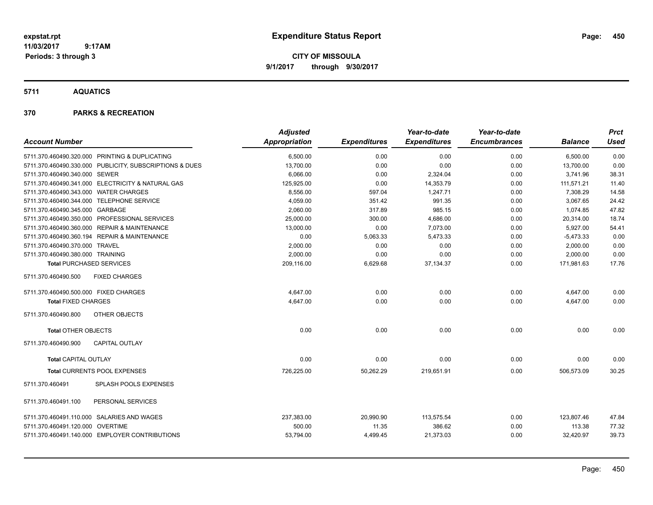**CITY OF MISSOULA 9/1/2017 through 9/30/2017**

**5711 AQUATICS**

|                                                         | <b>Adjusted</b>      |                     | Year-to-date        | Year-to-date        |                | <b>Prct</b> |
|---------------------------------------------------------|----------------------|---------------------|---------------------|---------------------|----------------|-------------|
| <b>Account Number</b>                                   | <b>Appropriation</b> | <b>Expenditures</b> | <b>Expenditures</b> | <b>Encumbrances</b> | <b>Balance</b> | <b>Used</b> |
| 5711.370.460490.320.000 PRINTING & DUPLICATING          | 6,500.00             | 0.00                | 0.00                | 0.00                | 6,500.00       | 0.00        |
| 5711.370.460490.330.000 PUBLICITY, SUBSCRIPTIONS & DUES | 13,700.00            | 0.00                | 0.00                | 0.00                | 13,700.00      | 0.00        |
| 5711.370.460490.340.000 SEWER                           | 6,066.00             | 0.00                | 2,324.04            | 0.00                | 3,741.96       | 38.31       |
| 5711.370.460490.341.000 ELECTRICITY & NATURAL GAS       | 125,925.00           | 0.00                | 14,353.79           | 0.00                | 111,571.21     | 11.40       |
| 5711.370.460490.343.000 WATER CHARGES                   | 8,556.00             | 597.04              | 1.247.71            | 0.00                | 7,308.29       | 14.58       |
| 5711.370.460490.344.000 TELEPHONE SERVICE               | 4,059.00             | 351.42              | 991.35              | 0.00                | 3,067.65       | 24.42       |
| 5711.370.460490.345.000 GARBAGE                         | 2,060.00             | 317.89              | 985.15              | 0.00                | 1,074.85       | 47.82       |
| 5711.370.460490.350.000 PROFESSIONAL SERVICES           | 25,000.00            | 300.00              | 4,686.00            | 0.00                | 20,314.00      | 18.74       |
| 5711.370.460490.360.000 REPAIR & MAINTENANCE            | 13,000.00            | 0.00                | 7,073.00            | 0.00                | 5,927.00       | 54.41       |
| 5711.370.460490.360.194 REPAIR & MAINTENANCE            | 0.00                 | 5,063.33            | 5,473.33            | 0.00                | $-5,473.33$    | 0.00        |
| 5711.370.460490.370.000 TRAVEL                          | 2,000.00             | 0.00                | 0.00                | 0.00                | 2,000.00       | 0.00        |
| 5711.370.460490.380.000 TRAINING                        | 2,000.00             | 0.00                | 0.00                | 0.00                | 2,000.00       | 0.00        |
| <b>Total PURCHASED SERVICES</b>                         | 209,116.00           | 6,629.68            | 37, 134. 37         | 0.00                | 171,981.63     | 17.76       |
| 5711.370.460490.500<br><b>FIXED CHARGES</b>             |                      |                     |                     |                     |                |             |
| 5711.370.460490.500.000 FIXED CHARGES                   | 4,647.00             | 0.00                | 0.00                | 0.00                | 4,647.00       | 0.00        |
| <b>Total FIXED CHARGES</b>                              | 4,647.00             | 0.00                | 0.00                | 0.00                | 4,647.00       | 0.00        |
| 5711.370.460490.800<br>OTHER OBJECTS                    |                      |                     |                     |                     |                |             |
| <b>Total OTHER OBJECTS</b>                              | 0.00                 | 0.00                | 0.00                | 0.00                | 0.00           | 0.00        |
| 5711.370.460490.900<br><b>CAPITAL OUTLAY</b>            |                      |                     |                     |                     |                |             |
| <b>Total CAPITAL OUTLAY</b>                             | 0.00                 | 0.00                | 0.00                | 0.00                | 0.00           | 0.00        |
| Total CURRENTS POOL EXPENSES                            | 726,225.00           | 50,262.29           | 219,651.91          | 0.00                | 506,573.09     | 30.25       |
| <b>SPLASH POOLS EXPENSES</b><br>5711.370.460491         |                      |                     |                     |                     |                |             |
| PERSONAL SERVICES<br>5711.370.460491.100                |                      |                     |                     |                     |                |             |
| 5711.370.460491.110.000 SALARIES AND WAGES              | 237,383.00           | 20,990.90           | 113,575.54          | 0.00                | 123,807.46     | 47.84       |
| 5711.370.460491.120.000 OVERTIME                        | 500.00               | 11.35               | 386.62              | 0.00                | 113.38         | 77.32       |
| 5711.370.460491.140.000 EMPLOYER CONTRIBUTIONS          | 53,794.00            | 4,499.45            | 21,373.03           | 0.00                | 32,420.97      | 39.73       |
|                                                         |                      |                     |                     |                     |                |             |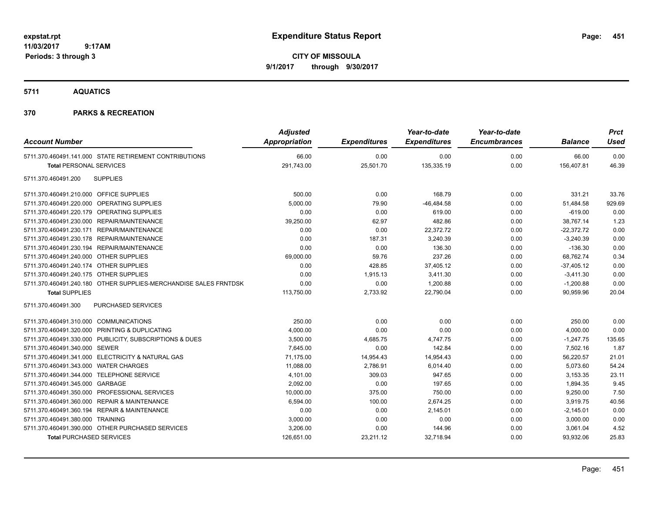**CITY OF MISSOULA 9/1/2017 through 9/30/2017**

**5711 AQUATICS**

| <b>Account Number</b>                                            | <b>Adjusted</b><br>Appropriation | <b>Expenditures</b> | Year-to-date<br><b>Expenditures</b> | Year-to-date<br><b>Encumbrances</b> | <b>Balance</b> | <b>Prct</b><br><b>Used</b> |
|------------------------------------------------------------------|----------------------------------|---------------------|-------------------------------------|-------------------------------------|----------------|----------------------------|
| 5711.370.460491.141.000 STATE RETIREMENT CONTRIBUTIONS           | 66.00                            | 0.00                | 0.00                                | 0.00                                | 66.00          | 0.00                       |
| <b>Total PERSONAL SERVICES</b>                                   | 291,743.00                       | 25,501.70           | 135,335.19                          | 0.00                                | 156,407.81     | 46.39                      |
| <b>SUPPLIES</b><br>5711.370.460491.200                           |                                  |                     |                                     |                                     |                |                            |
| 5711.370.460491.210.000 OFFICE SUPPLIES                          | 500.00                           | 0.00                | 168.79                              | 0.00                                | 331.21         | 33.76                      |
| 5711.370.460491.220.000 OPERATING SUPPLIES                       | 5,000.00                         | 79.90               | $-46,484.58$                        | 0.00                                | 51,484.58      | 929.69                     |
| 5711.370.460491.220.179 OPERATING SUPPLIES                       | 0.00                             | 0.00                | 619.00                              | 0.00                                | $-619.00$      | 0.00                       |
| 5711.370.460491.230.000 REPAIR/MAINTENANCE                       | 39,250.00                        | 62.97               | 482.86                              | 0.00                                | 38,767.14      | 1.23                       |
| 5711.370.460491.230.171 REPAIR/MAINTENANCE                       | 0.00                             | 0.00                | 22,372.72                           | 0.00                                | $-22,372.72$   | 0.00                       |
| 5711.370.460491.230.178 REPAIR/MAINTENANCE                       | 0.00                             | 187.31              | 3,240.39                            | 0.00                                | $-3,240.39$    | 0.00                       |
| 5711.370.460491.230.194 REPAIR/MAINTENANCE                       | 0.00                             | 0.00                | 136.30                              | 0.00                                | $-136.30$      | 0.00                       |
| 5711.370.460491.240.000 OTHER SUPPLIES                           | 69,000.00                        | 59.76               | 237.26                              | 0.00                                | 68,762.74      | 0.34                       |
| 5711.370.460491.240.174 OTHER SUPPLIES                           | 0.00                             | 428.85              | 37,405.12                           | 0.00                                | $-37,405.12$   | 0.00                       |
| 5711.370.460491.240.175 OTHER SUPPLIES                           | 0.00                             | 1,915.13            | 3,411.30                            | 0.00                                | $-3,411.30$    | 0.00                       |
| 5711.370.460491.240.180 OTHER SUPPLIES-MERCHANDISE SALES FRNTDSK | 0.00                             | 0.00                | 1,200.88                            | 0.00                                | $-1,200.88$    | 0.00                       |
| <b>Total SUPPLIES</b>                                            | 113,750.00                       | 2,733.92            | 22,790.04                           | 0.00                                | 90,959.96      | 20.04                      |
| 5711.370.460491.300<br>PURCHASED SERVICES                        |                                  |                     |                                     |                                     |                |                            |
| 5711.370.460491.310.000 COMMUNICATIONS                           | 250.00                           | 0.00                | 0.00                                | 0.00                                | 250.00         | 0.00                       |
| 5711.370.460491.320.000 PRINTING & DUPLICATING                   | 4,000.00                         | 0.00                | 0.00                                | 0.00                                | 4,000.00       | 0.00                       |
| 5711.370.460491.330.000 PUBLICITY, SUBSCRIPTIONS & DUES          | 3,500.00                         | 4,685.75            | 4,747.75                            | 0.00                                | $-1,247.75$    | 135.65                     |
| 5711.370.460491.340.000 SEWER                                    | 7,645.00                         | 0.00                | 142.84                              | 0.00                                | 7,502.16       | 1.87                       |
| 5711.370.460491.341.000 ELECTRICITY & NATURAL GAS                | 71,175.00                        | 14,954.43           | 14,954.43                           | 0.00                                | 56,220.57      | 21.01                      |
| 5711.370.460491.343.000 WATER CHARGES                            | 11,088.00                        | 2,786.91            | 6,014.40                            | 0.00                                | 5,073.60       | 54.24                      |
| 5711.370.460491.344.000 TELEPHONE SERVICE                        | 4,101.00                         | 309.03              | 947.65                              | 0.00                                | 3,153.35       | 23.11                      |
| 5711.370.460491.345.000 GARBAGE                                  | 2,092.00                         | 0.00                | 197.65                              | 0.00                                | 1,894.35       | 9.45                       |
| 5711.370.460491.350.000 PROFESSIONAL SERVICES                    | 10,000.00                        | 375.00              | 750.00                              | 0.00                                | 9,250.00       | 7.50                       |
| 5711.370.460491.360.000 REPAIR & MAINTENANCE                     | 6,594.00                         | 100.00              | 2,674.25                            | 0.00                                | 3,919.75       | 40.56                      |
| 5711.370.460491.360.194 REPAIR & MAINTENANCE                     | 0.00                             | 0.00                | 2,145.01                            | 0.00                                | $-2,145.01$    | 0.00                       |
| 5711.370.460491.380.000 TRAINING                                 | 3,000.00                         | 0.00                | 0.00                                | 0.00                                | 3,000.00       | 0.00                       |
| 5711.370.460491.390.000 OTHER PURCHASED SERVICES                 | 3,206.00                         | 0.00                | 144.96                              | 0.00                                | 3,061.04       | 4.52                       |
| <b>Total PURCHASED SERVICES</b>                                  | 126,651.00                       | 23,211.12           | 32,718.94                           | 0.00                                | 93,932.06      | 25.83                      |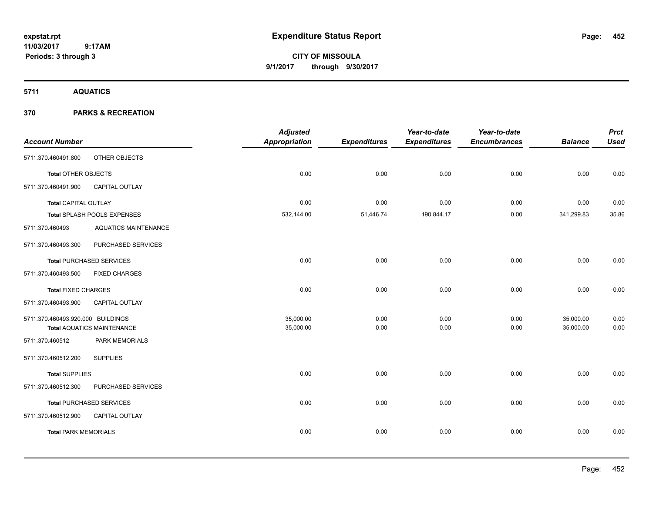**CITY OF MISSOULA 9/1/2017 through 9/30/2017**

**5711 AQUATICS**

|                                   |                                   | <b>Adjusted</b>      |                     | Year-to-date        | Year-to-date        |                | <b>Prct</b> |
|-----------------------------------|-----------------------------------|----------------------|---------------------|---------------------|---------------------|----------------|-------------|
| <b>Account Number</b>             |                                   | <b>Appropriation</b> | <b>Expenditures</b> | <b>Expenditures</b> | <b>Encumbrances</b> | <b>Balance</b> | <b>Used</b> |
| 5711.370.460491.800               | OTHER OBJECTS                     |                      |                     |                     |                     |                |             |
| <b>Total OTHER OBJECTS</b>        |                                   | 0.00                 | 0.00                | 0.00                | 0.00                | 0.00           | 0.00        |
| 5711.370.460491.900               | CAPITAL OUTLAY                    |                      |                     |                     |                     |                |             |
| <b>Total CAPITAL OUTLAY</b>       |                                   | 0.00                 | 0.00                | 0.00                | 0.00                | 0.00           | 0.00        |
|                                   | Total SPLASH POOLS EXPENSES       | 532,144.00           | 51,446.74           | 190,844.17          | 0.00                | 341,299.83     | 35.86       |
| 5711.370.460493                   | <b>AQUATICS MAINTENANCE</b>       |                      |                     |                     |                     |                |             |
| 5711.370.460493.300               | PURCHASED SERVICES                |                      |                     |                     |                     |                |             |
|                                   | <b>Total PURCHASED SERVICES</b>   | 0.00                 | 0.00                | 0.00                | 0.00                | 0.00           | 0.00        |
| 5711.370.460493.500               | <b>FIXED CHARGES</b>              |                      |                     |                     |                     |                |             |
| <b>Total FIXED CHARGES</b>        |                                   | 0.00                 | 0.00                | 0.00                | 0.00                | 0.00           | 0.00        |
| 5711.370.460493.900               | <b>CAPITAL OUTLAY</b>             |                      |                     |                     |                     |                |             |
| 5711.370.460493.920.000 BUILDINGS |                                   | 35,000.00            | 0.00                | 0.00                | 0.00                | 35,000.00      | 0.00        |
|                                   | <b>Total AQUATICS MAINTENANCE</b> | 35,000.00            | 0.00                | 0.00                | 0.00                | 35,000.00      | 0.00        |
| 5711.370.460512                   | PARK MEMORIALS                    |                      |                     |                     |                     |                |             |
| 5711.370.460512.200               | <b>SUPPLIES</b>                   |                      |                     |                     |                     |                |             |
| <b>Total SUPPLIES</b>             |                                   | 0.00                 | 0.00                | 0.00                | 0.00                | 0.00           | 0.00        |
| 5711.370.460512.300               | PURCHASED SERVICES                |                      |                     |                     |                     |                |             |
|                                   | <b>Total PURCHASED SERVICES</b>   | 0.00                 | 0.00                | 0.00                | 0.00                | 0.00           | 0.00        |
| 5711.370.460512.900               | CAPITAL OUTLAY                    |                      |                     |                     |                     |                |             |
| <b>Total PARK MEMORIALS</b>       |                                   | 0.00                 | 0.00                | 0.00                | 0.00                | 0.00           | 0.00        |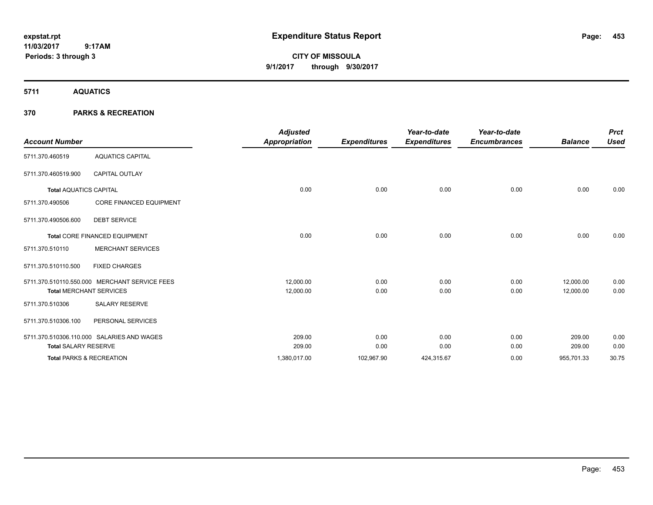# **CITY OF MISSOULA 9/1/2017 through 9/30/2017**

**5711 AQUATICS**

|                                     |                                               | <b>Adjusted</b> |                     | Year-to-date        | Year-to-date        |                | <b>Prct</b> |
|-------------------------------------|-----------------------------------------------|-----------------|---------------------|---------------------|---------------------|----------------|-------------|
| <b>Account Number</b>               |                                               | Appropriation   | <b>Expenditures</b> | <b>Expenditures</b> | <b>Encumbrances</b> | <b>Balance</b> | <b>Used</b> |
| 5711.370.460519                     | <b>AQUATICS CAPITAL</b>                       |                 |                     |                     |                     |                |             |
| 5711.370.460519.900                 | <b>CAPITAL OUTLAY</b>                         |                 |                     |                     |                     |                |             |
| <b>Total AQUATICS CAPITAL</b>       |                                               | 0.00            | 0.00                | 0.00                | 0.00                | 0.00           | 0.00        |
| 5711.370.490506                     | CORE FINANCED EQUIPMENT                       |                 |                     |                     |                     |                |             |
| 5711.370.490506.600                 | <b>DEBT SERVICE</b>                           |                 |                     |                     |                     |                |             |
|                                     | Total CORE FINANCED EQUIPMENT                 | 0.00            | 0.00                | 0.00                | 0.00                | 0.00           | 0.00        |
| 5711.370.510110                     | <b>MERCHANT SERVICES</b>                      |                 |                     |                     |                     |                |             |
| 5711.370.510110.500                 | <b>FIXED CHARGES</b>                          |                 |                     |                     |                     |                |             |
|                                     | 5711.370.510110.550.000 MERCHANT SERVICE FEES | 12,000.00       | 0.00                | 0.00                | 0.00                | 12,000.00      | 0.00        |
| <b>Total MERCHANT SERVICES</b>      |                                               | 12,000.00       | 0.00                | 0.00                | 0.00                | 12,000.00      | 0.00        |
| 5711.370.510306                     | <b>SALARY RESERVE</b>                         |                 |                     |                     |                     |                |             |
| 5711.370.510306.100                 | PERSONAL SERVICES                             |                 |                     |                     |                     |                |             |
|                                     | 5711.370.510306.110.000 SALARIES AND WAGES    | 209.00          | 0.00                | 0.00                | 0.00                | 209.00         | 0.00        |
| <b>Total SALARY RESERVE</b>         |                                               | 209.00          | 0.00                | 0.00                | 0.00                | 209.00         | 0.00        |
| <b>Total PARKS &amp; RECREATION</b> |                                               | 1,380,017.00    | 102,967.90          | 424,315.67          | 0.00                | 955,701.33     | 30.75       |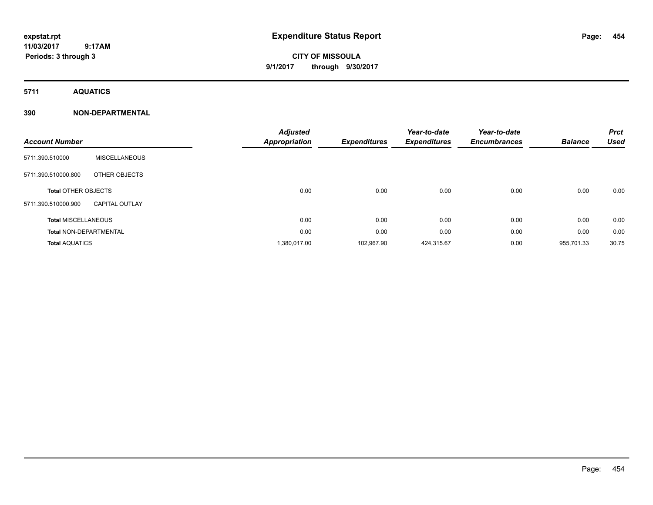# **CITY OF MISSOULA 9/1/2017 through 9/30/2017**

**5711 AQUATICS**

### **390 NON-DEPARTMENTAL**

| <b>Account Number</b>         |                       | <b>Adjusted</b><br><b>Appropriation</b> | <b>Expenditures</b> | Year-to-date<br><b>Expenditures</b> | Year-to-date<br><b>Encumbrances</b> | <b>Balance</b> | <b>Prct</b><br><b>Used</b> |
|-------------------------------|-----------------------|-----------------------------------------|---------------------|-------------------------------------|-------------------------------------|----------------|----------------------------|
| 5711.390.510000               | <b>MISCELLANEOUS</b>  |                                         |                     |                                     |                                     |                |                            |
| 5711.390.510000.800           | OTHER OBJECTS         |                                         |                     |                                     |                                     |                |                            |
| <b>Total OTHER OBJECTS</b>    |                       | 0.00                                    | 0.00                | 0.00                                | 0.00                                | 0.00           | 0.00                       |
| 5711.390.510000.900           | <b>CAPITAL OUTLAY</b> |                                         |                     |                                     |                                     |                |                            |
| <b>Total MISCELLANEOUS</b>    |                       | 0.00                                    | 0.00                | 0.00                                | 0.00                                | 0.00           | 0.00                       |
| <b>Total NON-DEPARTMENTAL</b> |                       | 0.00                                    | 0.00                | 0.00                                | 0.00                                | 0.00           | 0.00                       |
| <b>Total AQUATICS</b>         |                       | 1,380,017.00                            | 102,967.90          | 424,315.67                          | 0.00                                | 955,701.33     | 30.75                      |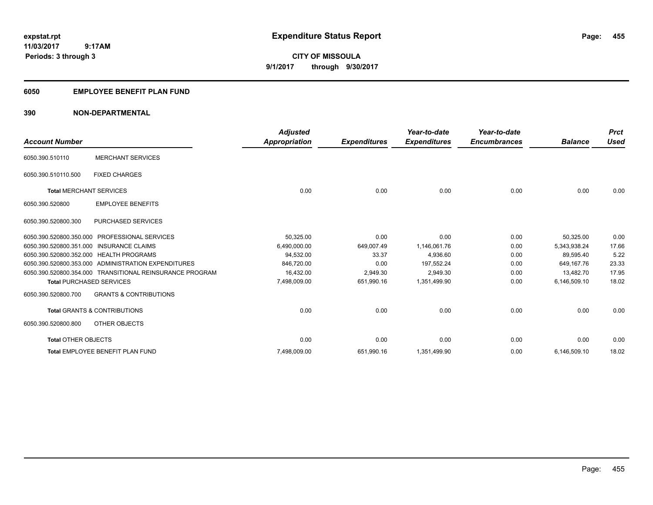**CITY OF MISSOULA 9/1/2017 through 9/30/2017**

### **6050 EMPLOYEE BENEFIT PLAN FUND**

### **390 NON-DEPARTMENTAL**

| <b>Account Number</b>                   |                                                          | <b>Adjusted</b><br><b>Appropriation</b> | <b>Expenditures</b> | Year-to-date<br><b>Expenditures</b> | Year-to-date<br><b>Encumbrances</b> | <b>Balance</b> | <b>Prct</b><br><b>Used</b> |
|-----------------------------------------|----------------------------------------------------------|-----------------------------------------|---------------------|-------------------------------------|-------------------------------------|----------------|----------------------------|
| 6050.390.510110                         | <b>MERCHANT SERVICES</b>                                 |                                         |                     |                                     |                                     |                |                            |
| 6050.390.510110.500                     | <b>FIXED CHARGES</b>                                     |                                         |                     |                                     |                                     |                |                            |
| <b>Total MERCHANT SERVICES</b>          |                                                          | 0.00                                    | 0.00                | 0.00                                | 0.00                                | 0.00           | 0.00                       |
| 6050.390.520800                         | <b>EMPLOYEE BENEFITS</b>                                 |                                         |                     |                                     |                                     |                |                            |
| 6050.390.520800.300                     | <b>PURCHASED SERVICES</b>                                |                                         |                     |                                     |                                     |                |                            |
| 6050.390.520800.350.000                 | <b>PROFESSIONAL SERVICES</b>                             | 50,325.00                               | 0.00                | 0.00                                | 0.00                                | 50,325.00      | 0.00                       |
| 6050.390.520800.351.000                 | <b>INSURANCE CLAIMS</b>                                  | 6,490,000.00                            | 649,007.49          | 1,146,061.76                        | 0.00                                | 5,343,938.24   | 17.66                      |
| 6050.390.520800.352.000 HEALTH PROGRAMS |                                                          | 94,532.00                               | 33.37               | 4,936.60                            | 0.00                                | 89,595.40      | 5.22                       |
|                                         | 6050.390.520800.353.000 ADMINISTRATION EXPENDITURES      | 846,720.00                              | 0.00                | 197.552.24                          | 0.00                                | 649.167.76     | 23.33                      |
|                                         | 6050.390.520800.354.000 TRANSITIONAL REINSURANCE PROGRAM | 16,432.00                               | 2,949.30            | 2,949.30                            | 0.00                                | 13.482.70      | 17.95                      |
| <b>Total PURCHASED SERVICES</b>         |                                                          | 7,498,009.00                            | 651,990.16          | 1,351,499.90                        | 0.00                                | 6,146,509.10   | 18.02                      |
| 6050.390.520800.700                     | <b>GRANTS &amp; CONTRIBUTIONS</b>                        |                                         |                     |                                     |                                     |                |                            |
|                                         | <b>Total GRANTS &amp; CONTRIBUTIONS</b>                  | 0.00                                    | 0.00                | 0.00                                | 0.00                                | 0.00           | 0.00                       |
| 6050.390.520800.800                     | OTHER OBJECTS                                            |                                         |                     |                                     |                                     |                |                            |
| <b>Total OTHER OBJECTS</b>              |                                                          | 0.00                                    | 0.00                | 0.00                                | 0.00                                | 0.00           | 0.00                       |
|                                         | Total EMPLOYEE BENEFIT PLAN FUND                         | 7,498,009.00                            | 651,990.16          | 1,351,499.90                        | 0.00                                | 6,146,509.10   | 18.02                      |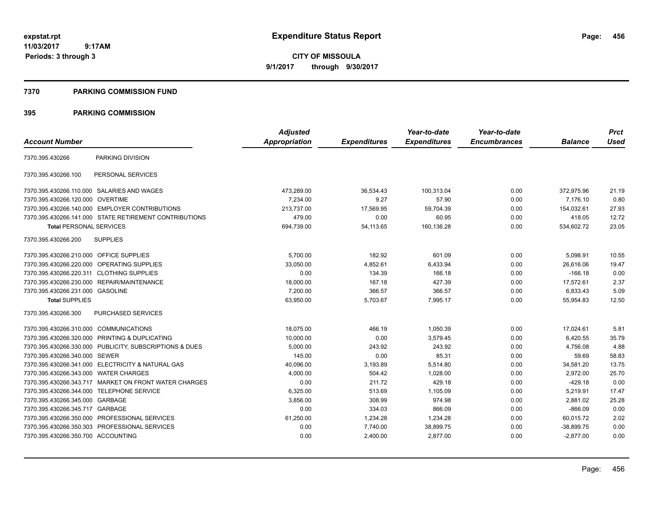**CITY OF MISSOULA 9/1/2017 through 9/30/2017**

#### **7370 PARKING COMMISSION FUND**

|                                           |                                                         | <b>Adjusted</b>      |                     | Year-to-date        | Year-to-date        |                | <b>Prct</b> |
|-------------------------------------------|---------------------------------------------------------|----------------------|---------------------|---------------------|---------------------|----------------|-------------|
| <b>Account Number</b>                     |                                                         | <b>Appropriation</b> | <b>Expenditures</b> | <b>Expenditures</b> | <b>Encumbrances</b> | <b>Balance</b> | <b>Used</b> |
| 7370.395.430266                           | PARKING DIVISION                                        |                      |                     |                     |                     |                |             |
| 7370.395.430266.100                       | PERSONAL SERVICES                                       |                      |                     |                     |                     |                |             |
|                                           | 7370.395.430266.110.000 SALARIES AND WAGES              | 473,289.00           | 36,534.43           | 100,313.04          | 0.00                | 372,975.96     | 21.19       |
| 7370.395.430266.120.000                   | <b>OVERTIME</b>                                         | 7,234.00             | 9.27                | 57.90               | 0.00                | 7,176.10       | 0.80        |
|                                           | 7370.395.430266.140.000 EMPLOYER CONTRIBUTIONS          | 213.737.00           | 17.569.95           | 59.704.39           | 0.00                | 154.032.61     | 27.93       |
|                                           | 7370.395.430266.141.000 STATE RETIREMENT CONTRIBUTIONS  | 479.00               | 0.00                | 60.95               | 0.00                | 418.05         | 12.72       |
| <b>Total PERSONAL SERVICES</b>            |                                                         | 694,739.00           | 54,113.65           | 160,136.28          | 0.00                | 534,602.72     | 23.05       |
| 7370.395.430266.200                       | <b>SUPPLIES</b>                                         |                      |                     |                     |                     |                |             |
| 7370.395.430266.210.000 OFFICE SUPPLIES   |                                                         | 5,700.00             | 182.92              | 601.09              | 0.00                | 5,098.91       | 10.55       |
|                                           | 7370.395.430266.220.000 OPERATING SUPPLIES              | 33,050.00            | 4,852.61            | 6,433.94            | 0.00                | 26,616.06      | 19.47       |
| 7370.395.430266.220.311 CLOTHING SUPPLIES |                                                         | 0.00                 | 134.39              | 166.18              | 0.00                | $-166.18$      | 0.00        |
|                                           | 7370.395.430266.230.000 REPAIR/MAINTENANCE              | 18,000.00            | 167.18              | 427.39              | 0.00                | 17,572.61      | 2.37        |
| 7370.395.430266.231.000 GASOLINE          |                                                         | 7,200.00             | 366.57              | 366.57              | 0.00                | 6,833.43       | 5.09        |
| <b>Total SUPPLIES</b>                     |                                                         | 63,950.00            | 5,703.67            | 7,995.17            | 0.00                | 55,954.83      | 12.50       |
| 7370.395.430266.300                       | <b>PURCHASED SERVICES</b>                               |                      |                     |                     |                     |                |             |
| 7370.395.430266.310.000 COMMUNICATIONS    |                                                         | 18,075.00            | 466.19              | 1,050.39            | 0.00                | 17,024.61      | 5.81        |
|                                           | 7370.395.430266.320.000 PRINTING & DUPLICATING          | 10,000.00            | 0.00                | 3,579.45            | 0.00                | 6,420.55       | 35.79       |
|                                           | 7370.395.430266.330.000 PUBLICITY, SUBSCRIPTIONS & DUES | 5,000.00             | 243.92              | 243.92              | 0.00                | 4.756.08       | 4.88        |
| 7370.395.430266.340.000 SEWER             |                                                         | 145.00               | 0.00                | 85.31               | 0.00                | 59.69          | 58.83       |
|                                           | 7370.395.430266.341.000 ELECTRICITY & NATURAL GAS       | 40,096.00            | 3,193.89            | 5,514.80            | 0.00                | 34,581.20      | 13.75       |
| 7370.395.430266.343.000 WATER CHARGES     |                                                         | 4,000.00             | 504.42              | 1,028.00            | 0.00                | 2,972.00       | 25.70       |
|                                           | 7370.395.430266.343.717 MARKET ON FRONT WATER CHARGES   | 0.00                 | 211.72              | 429.18              | 0.00                | $-429.18$      | 0.00        |
| 7370.395.430266.344.000 TELEPHONE SERVICE |                                                         | 6,325.00             | 513.69              | 1,105.09            | 0.00                | 5,219.91       | 17.47       |
| 7370.395.430266.345.000 GARBAGE           |                                                         | 3,856.00             | 308.99              | 974.98              | 0.00                | 2,881.02       | 25.28       |
| 7370.395.430266.345.717 GARBAGE           |                                                         | 0.00                 | 334.03              | 866.09              | 0.00                | $-866.09$      | 0.00        |
|                                           | 7370.395.430266.350.000 PROFESSIONAL SERVICES           | 61,250.00            | 1,234.28            | 1,234.28            | 0.00                | 60,015.72      | 2.02        |
|                                           | 7370.395.430266.350.303 PROFESSIONAL SERVICES           | 0.00                 | 7,740.00            | 38,899.75           | 0.00                | $-38,899.75$   | 0.00        |
| 7370.395.430266.350.700 ACCOUNTING        |                                                         | 0.00                 | 2,400.00            | 2,877.00            | 0.00                | $-2,877.00$    | 0.00        |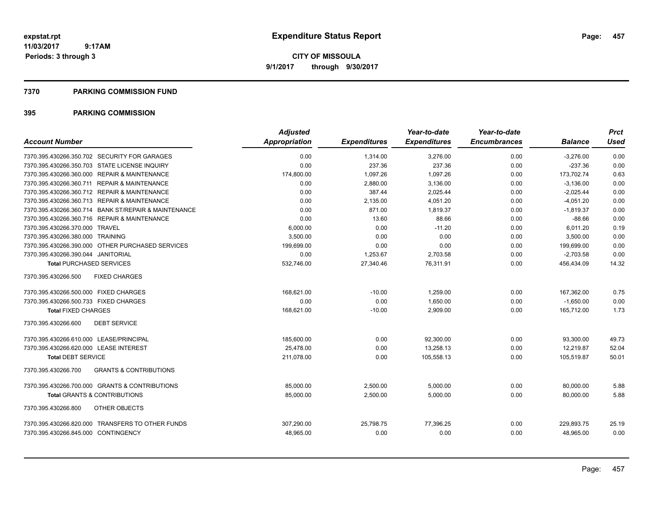**CITY OF MISSOULA 9/1/2017 through 9/30/2017**

#### **7370 PARKING COMMISSION FUND**

| <b>Account Number</b>                                    | <b>Adjusted</b><br>Appropriation | <b>Expenditures</b> | Year-to-date<br><b>Expenditures</b> | Year-to-date<br><b>Encumbrances</b> | <b>Balance</b> | <b>Prct</b><br>Used |
|----------------------------------------------------------|----------------------------------|---------------------|-------------------------------------|-------------------------------------|----------------|---------------------|
| 7370.395.430266.350.702 SECURITY FOR GARAGES             | 0.00                             | 1,314.00            | 3,276.00                            | 0.00                                | $-3,276.00$    | 0.00                |
| 7370.395.430266.350.703 STATE LICENSE INQUIRY            | 0.00                             | 237.36              | 237.36                              | 0.00                                | $-237.36$      | 0.00                |
| 7370.395.430266.360.000 REPAIR & MAINTENANCE             | 174,800.00                       | 1,097.26            | 1,097.26                            | 0.00                                | 173,702.74     | 0.63                |
| 7370.395.430266.360.711 REPAIR & MAINTENANCE             | 0.00                             | 2,880.00            | 3,136.00                            | 0.00                                | $-3,136.00$    | 0.00                |
| 7370.395.430266.360.712 REPAIR & MAINTENANCE             | 0.00                             | 387.44              | 2,025.44                            | 0.00                                | $-2,025.44$    | 0.00                |
| 7370.395.430266.360.713 REPAIR & MAINTENANCE             | 0.00                             | 2,135.00            | 4,051.20                            | 0.00                                | $-4,051.20$    | 0.00                |
| 7370.395.430266.360.714 BANK ST/REPAIR & MAINTENANCE     | 0.00                             | 871.00              | 1,819.37                            | 0.00                                | $-1,819.37$    | 0.00                |
| 7370.395.430266.360.716 REPAIR & MAINTENANCE             | 0.00                             | 13.60               | 88.66                               | 0.00                                | $-88.66$       | 0.00                |
| 7370.395.430266.370.000 TRAVEL                           | 6,000.00                         | 0.00                | $-11.20$                            | 0.00                                | 6,011.20       | 0.19                |
| 7370.395.430266.380.000 TRAINING                         | 3,500.00                         | 0.00                | 0.00                                | 0.00                                | 3,500.00       | 0.00                |
| 7370.395.430266.390.000 OTHER PURCHASED SERVICES         | 199,699.00                       | 0.00                | 0.00                                | 0.00                                | 199,699.00     | 0.00                |
| 7370.395.430266.390.044 JANITORIAL                       | 0.00                             | 1,253.67            | 2,703.58                            | 0.00                                | $-2,703.58$    | 0.00                |
| <b>Total PURCHASED SERVICES</b>                          | 532,746.00                       | 27,340.46           | 76,311.91                           | 0.00                                | 456,434.09     | 14.32               |
| 7370.395.430266.500<br><b>FIXED CHARGES</b>              |                                  |                     |                                     |                                     |                |                     |
| 7370.395.430266.500.000 FIXED CHARGES                    | 168,621.00                       | $-10.00$            | 1,259.00                            | 0.00                                | 167,362.00     | 0.75                |
| 7370.395.430266.500.733 FIXED CHARGES                    | 0.00                             | 0.00                | 1.650.00                            | 0.00                                | $-1.650.00$    | 0.00                |
| <b>Total FIXED CHARGES</b>                               | 168,621.00                       | $-10.00$            | 2,909.00                            | 0.00                                | 165.712.00     | 1.73                |
| 7370.395.430266.600<br><b>DEBT SERVICE</b>               |                                  |                     |                                     |                                     |                |                     |
| 7370.395.430266.610.000 LEASE/PRINCIPAL                  | 185,600.00                       | 0.00                | 92,300.00                           | 0.00                                | 93,300.00      | 49.73               |
| 7370.395.430266.620.000 LEASE INTEREST                   | 25.478.00                        | 0.00                | 13,258.13                           | 0.00                                | 12,219.87      | 52.04               |
| <b>Total DEBT SERVICE</b>                                | 211,078.00                       | 0.00                | 105,558.13                          | 0.00                                | 105,519.87     | 50.01               |
| <b>GRANTS &amp; CONTRIBUTIONS</b><br>7370.395.430266.700 |                                  |                     |                                     |                                     |                |                     |
| 7370.395.430266.700.000 GRANTS & CONTRIBUTIONS           | 85,000.00                        | 2,500.00            | 5,000.00                            | 0.00                                | 80,000.00      | 5.88                |
| <b>Total GRANTS &amp; CONTRIBUTIONS</b>                  | 85,000.00                        | 2,500.00            | 5,000.00                            | 0.00                                | 80.000.00      | 5.88                |
| 7370.395.430266.800<br>OTHER OBJECTS                     |                                  |                     |                                     |                                     |                |                     |
| 7370.395.430266.820.000 TRANSFERS TO OTHER FUNDS         | 307,290.00                       | 25,798.75           | 77,396.25                           | 0.00                                | 229,893.75     | 25.19               |
| 7370.395.430266.845.000 CONTINGENCY                      | 48,965.00                        | 0.00                | 0.00                                | 0.00                                | 48,965.00      | 0.00                |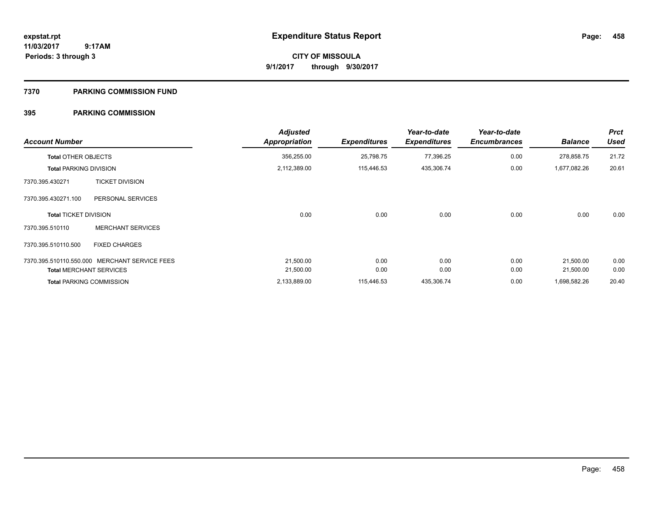**CITY OF MISSOULA 9/1/2017 through 9/30/2017**

### **7370 PARKING COMMISSION FUND**

| <b>Account Number</b>         |                                 | <b>Adjusted</b><br>Appropriation | <b>Expenditures</b> | Year-to-date<br><b>Expenditures</b> | Year-to-date<br><b>Encumbrances</b> | <b>Balance</b> | <b>Prct</b><br><b>Used</b> |
|-------------------------------|---------------------------------|----------------------------------|---------------------|-------------------------------------|-------------------------------------|----------------|----------------------------|
| <b>Total OTHER OBJECTS</b>    |                                 | 356,255.00                       | 25,798.75           | 77,396.25                           | 0.00                                | 278,858.75     | 21.72                      |
| <b>Total PARKING DIVISION</b> |                                 | 2,112,389.00                     | 115,446.53          | 435,306.74                          | 0.00                                | 1,677,082.26   | 20.61                      |
| 7370.395.430271               | <b>TICKET DIVISION</b>          |                                  |                     |                                     |                                     |                |                            |
| 7370.395.430271.100           | PERSONAL SERVICES               |                                  |                     |                                     |                                     |                |                            |
| <b>Total TICKET DIVISION</b>  |                                 | 0.00                             | 0.00                | 0.00                                | 0.00                                | 0.00           | 0.00                       |
| 7370.395.510110               | <b>MERCHANT SERVICES</b>        |                                  |                     |                                     |                                     |                |                            |
| 7370.395.510110.500           | <b>FIXED CHARGES</b>            |                                  |                     |                                     |                                     |                |                            |
| 7370.395.510110.550.000       | <b>MERCHANT SERVICE FEES</b>    | 21,500.00                        | 0.00                | 0.00                                | 0.00                                | 21,500.00      | 0.00                       |
|                               | <b>Total MERCHANT SERVICES</b>  | 21,500.00                        | 0.00                | 0.00                                | 0.00                                | 21,500.00      | 0.00                       |
|                               | <b>Total PARKING COMMISSION</b> | 2,133,889.00                     | 115,446.53          | 435,306.74                          | 0.00                                | 1,698,582.26   | 20.40                      |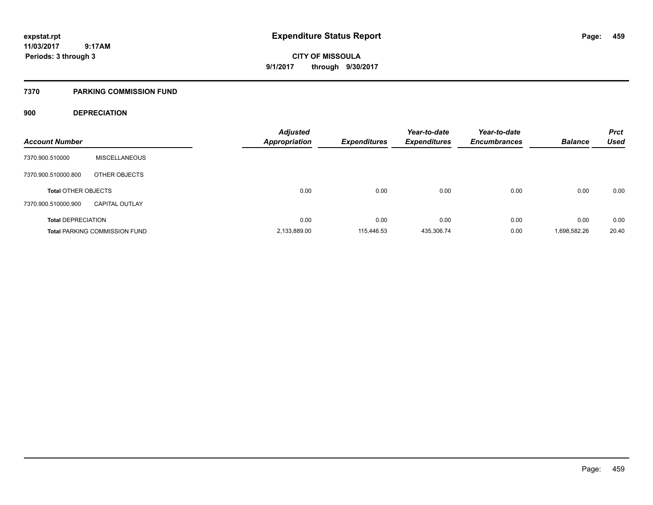**CITY OF MISSOULA 9/1/2017 through 9/30/2017**

### **7370 PARKING COMMISSION FUND**

### **900 DEPRECIATION**

| <b>Account Number</b>      |                                      | <b>Adjusted</b><br><b>Appropriation</b> | <b>Expenditures</b> | Year-to-date<br><b>Expenditures</b> | Year-to-date<br><b>Encumbrances</b> | <b>Balance</b> | <b>Prct</b><br><b>Used</b> |
|----------------------------|--------------------------------------|-----------------------------------------|---------------------|-------------------------------------|-------------------------------------|----------------|----------------------------|
|                            |                                      |                                         |                     |                                     |                                     |                |                            |
| 7370.900.510000            | <b>MISCELLANEOUS</b>                 |                                         |                     |                                     |                                     |                |                            |
| 7370.900.510000.800        | OTHER OBJECTS                        |                                         |                     |                                     |                                     |                |                            |
| <b>Total OTHER OBJECTS</b> |                                      | 0.00                                    | 0.00                | 0.00                                | 0.00                                | 0.00           | 0.00                       |
|                            |                                      |                                         |                     |                                     |                                     |                |                            |
| 7370.900.510000.900        | <b>CAPITAL OUTLAY</b>                |                                         |                     |                                     |                                     |                |                            |
| <b>Total DEPRECIATION</b>  |                                      | 0.00                                    | 0.00                | 0.00                                | 0.00                                | 0.00           | 0.00                       |
|                            | <b>Total PARKING COMMISSION FUND</b> | 2,133,889.00                            | 115.446.53          | 435,306.74                          | 0.00                                | 1,698,582.26   | 20.40                      |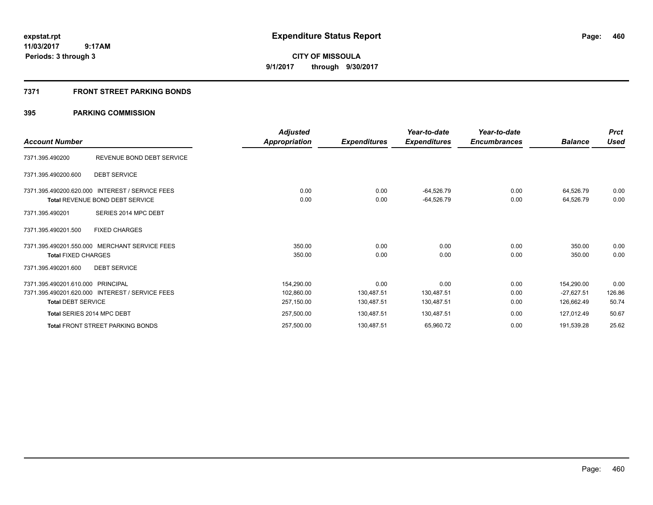**CITY OF MISSOULA 9/1/2017 through 9/30/2017**

### **7371 FRONT STREET PARKING BONDS**

| <b>Account Number</b>                                          |                                                                   | <b>Adjusted</b><br>Appropriation       | <b>Expenditures</b>              | Year-to-date<br><b>Expenditures</b> | Year-to-date<br><b>Encumbrances</b> | <b>Balance</b>                           | <b>Prct</b><br><b>Used</b> |
|----------------------------------------------------------------|-------------------------------------------------------------------|----------------------------------------|----------------------------------|-------------------------------------|-------------------------------------|------------------------------------------|----------------------------|
| 7371.395.490200                                                | REVENUE BOND DEBT SERVICE                                         |                                        |                                  |                                     |                                     |                                          |                            |
| 7371.395.490200.600                                            | <b>DEBT SERVICE</b>                                               |                                        |                                  |                                     |                                     |                                          |                            |
| 7371.395.490200.620.000                                        | <b>INTEREST / SERVICE FEES</b><br>Total REVENUE BOND DEBT SERVICE | 0.00<br>0.00                           | 0.00<br>0.00                     | -64,526.79<br>-64,526.79            | 0.00<br>0.00                        | 64,526.79<br>64,526.79                   | 0.00<br>0.00               |
| 7371.395.490201<br>7371.395.490201.500                         | SERIES 2014 MPC DEBT<br><b>FIXED CHARGES</b>                      |                                        |                                  |                                     |                                     |                                          |                            |
| <b>Total FIXED CHARGES</b>                                     | 7371.395.490201.550.000 MERCHANT SERVICE FEES                     | 350.00<br>350.00                       | 0.00<br>0.00                     | 0.00<br>0.00                        | 0.00<br>0.00                        | 350.00<br>350.00                         | 0.00<br>0.00               |
| 7371.395.490201.600                                            | <b>DEBT SERVICE</b>                                               |                                        |                                  |                                     |                                     |                                          |                            |
| 7371.395.490201.610.000 PRINCIPAL<br><b>Total DEBT SERVICE</b> | 7371.395.490201.620.000 INTEREST / SERVICE FEES                   | 154,290.00<br>102,860.00<br>257,150.00 | 0.00<br>130,487.51<br>130,487.51 | 0.00<br>130,487.51<br>130,487.51    | 0.00<br>0.00<br>0.00                | 154,290.00<br>$-27,627.51$<br>126,662.49 | 0.00<br>126.86<br>50.74    |
|                                                                | Total SERIES 2014 MPC DEBT                                        | 257,500.00                             | 130,487.51                       | 130,487.51                          | 0.00                                | 127,012.49                               | 50.67                      |
|                                                                | <b>Total FRONT STREET PARKING BONDS</b>                           | 257,500.00                             | 130,487.51                       | 65,960.72                           | 0.00                                | 191,539.28                               | 25.62                      |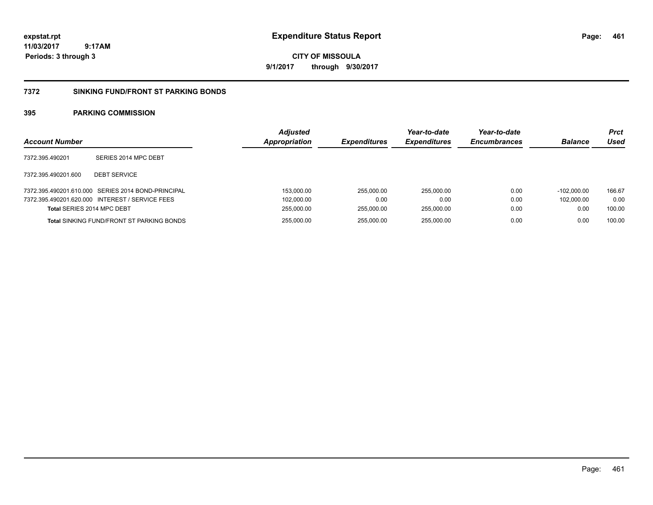**CITY OF MISSOULA 9/1/2017 through 9/30/2017**

#### **7372 SINKING FUND/FRONT ST PARKING BONDS**

| <b>Account Number</b>      |                                                    | <b>Adjusted</b><br>Appropriation | <b>Expenditures</b> | Year-to-date<br><b>Expenditures</b> | Year-to-date<br><b>Encumbrances</b> | <b>Balance</b> | <b>Prct</b><br>Used |
|----------------------------|----------------------------------------------------|----------------------------------|---------------------|-------------------------------------|-------------------------------------|----------------|---------------------|
| 7372.395.490201            | SERIES 2014 MPC DEBT                               |                                  |                     |                                     |                                     |                |                     |
| 7372.395.490201.600        | <b>DEBT SERVICE</b>                                |                                  |                     |                                     |                                     |                |                     |
|                            | 7372.395.490201.610.000 SERIES 2014 BOND-PRINCIPAL | 153,000.00                       | 255.000.00          | 255.000.00                          | 0.00                                | $-102.000.00$  | 166.67              |
|                            | 7372.395.490201.620.000 INTEREST / SERVICE FEES    | 102,000.00                       | 0.00                | 0.00                                | 0.00                                | 102.000.00     | 0.00                |
| Total SERIES 2014 MPC DEBT |                                                    | 255,000.00                       | 255.000.00          | 255.000.00                          | 0.00                                | 0.00           | 100.00              |
|                            | <b>Total SINKING FUND/FRONT ST PARKING BONDS</b>   | 255,000.00                       | 255.000.00          | 255.000.00                          | 0.00                                | 0.00           | 100.00              |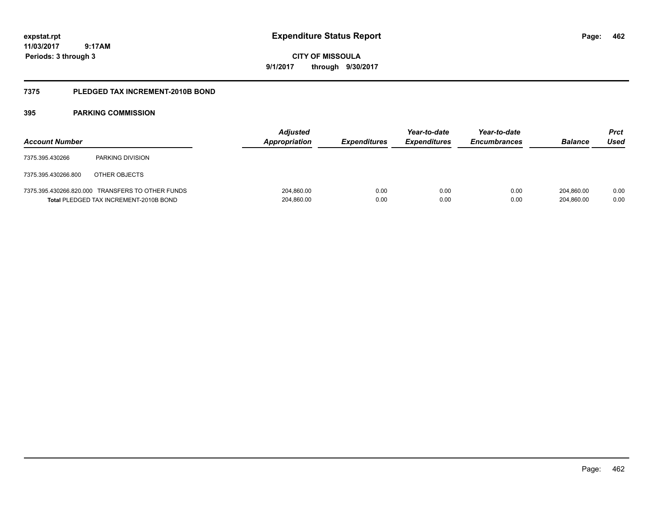# **CITY OF MISSOULA 9/1/2017 through 9/30/2017**

### **7375 PLEDGED TAX INCREMENT-2010B BOND**

| <b>Account Number</b> |                                                                                            | <b>Adjusted</b><br>Appropriation | <b>Expenditures</b> | Year-to-date<br><b>Expenditures</b> | Year-to-date<br><b>Encumbrances</b> | <b>Balance</b>           | <b>Prct</b><br>Used |
|-----------------------|--------------------------------------------------------------------------------------------|----------------------------------|---------------------|-------------------------------------|-------------------------------------|--------------------------|---------------------|
| 7375.395.430266       | <b>PARKING DIVISION</b>                                                                    |                                  |                     |                                     |                                     |                          |                     |
| 7375.395.430266.800   | OTHER OBJECTS                                                                              |                                  |                     |                                     |                                     |                          |                     |
|                       | 7375.395.430266.820.000 TRANSFERS TO OTHER FUNDS<br>Total PLEDGED TAX INCREMENT-2010B BOND | 204,860.00<br>204,860.00         | 0.00<br>0.00        | 0.00<br>0.00                        | 0.00<br>0.00                        | 204.860.00<br>204,860.00 | 0.00<br>0.00        |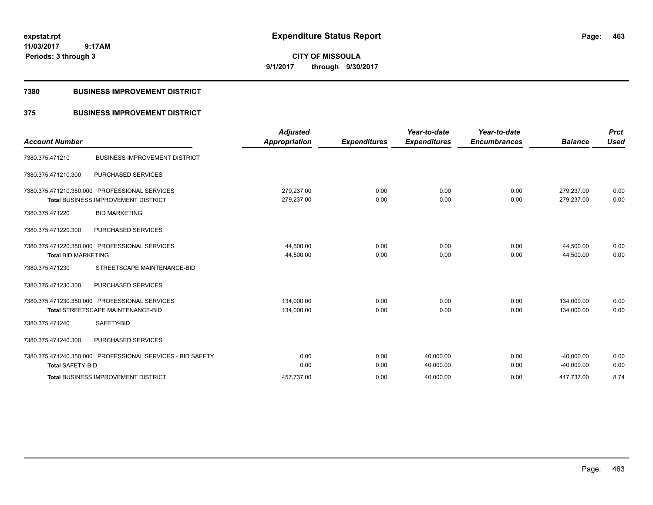**CITY OF MISSOULA 9/1/2017 through 9/30/2017**

### **7380 BUSINESS IMPROVEMENT DISTRICT**

### **375 BUSINESS IMPROVEMENT DISTRICT**

| <b>Account Number</b>      |                                                                            | <b>Adjusted</b><br><b>Appropriation</b> | <b>Expenditures</b> | Year-to-date<br><b>Expenditures</b> | Year-to-date<br><b>Encumbrances</b> | <b>Balance</b>           | <b>Prct</b><br><b>Used</b> |
|----------------------------|----------------------------------------------------------------------------|-----------------------------------------|---------------------|-------------------------------------|-------------------------------------|--------------------------|----------------------------|
| 7380.375.471210            | <b>BUSINESS IMPROVEMENT DISTRICT</b>                                       |                                         |                     |                                     |                                     |                          |                            |
| 7380.375.471210.300        | PURCHASED SERVICES                                                         |                                         |                     |                                     |                                     |                          |                            |
| 7380.375.471210.350.000    | <b>PROFESSIONAL SERVICES</b><br><b>Total BUSINESS IMPROVEMENT DISTRICT</b> | 279,237.00<br>279,237.00                | 0.00<br>0.00        | 0.00<br>0.00                        | 0.00<br>0.00                        | 279,237.00<br>279,237.00 | 0.00<br>0.00               |
| 7380.375.471220            | <b>BID MARKETING</b>                                                       |                                         |                     |                                     |                                     |                          |                            |
| 7380.375.471220.300        | <b>PURCHASED SERVICES</b>                                                  |                                         |                     |                                     |                                     |                          |                            |
|                            | 7380.375.471220.350.000 PROFESSIONAL SERVICES                              | 44,500.00                               | 0.00                | 0.00                                | 0.00                                | 44.500.00                | 0.00                       |
| <b>Total BID MARKETING</b> |                                                                            | 44,500.00                               | 0.00                | 0.00                                | 0.00                                | 44.500.00                | 0.00                       |
| 7380.375.471230            | STREETSCAPE MAINTENANCE-BID                                                |                                         |                     |                                     |                                     |                          |                            |
| 7380.375.471230.300        | <b>PURCHASED SERVICES</b>                                                  |                                         |                     |                                     |                                     |                          |                            |
|                            | 7380.375.471230.350.000 PROFESSIONAL SERVICES                              | 134.000.00                              | 0.00                | 0.00                                | 0.00                                | 134.000.00               | 0.00                       |
|                            | <b>Total STREETSCAPE MAINTENANCE-BID</b>                                   | 134,000.00                              | 0.00                | 0.00                                | 0.00                                | 134,000.00               | 0.00                       |
| 7380.375.471240            | SAFETY-BID                                                                 |                                         |                     |                                     |                                     |                          |                            |
| 7380.375.471240.300        | PURCHASED SERVICES                                                         |                                         |                     |                                     |                                     |                          |                            |
|                            | 7380.375.471240.350.000 PROFESSIONAL SERVICES - BID SAFETY                 | 0.00                                    | 0.00                | 40,000.00                           | 0.00                                | $-40,000.00$             | 0.00                       |
| <b>Total SAFETY-BID</b>    |                                                                            | 0.00                                    | 0.00                | 40,000.00                           | 0.00                                | $-40,000.00$             | 0.00                       |
|                            | <b>Total BUSINESS IMPROVEMENT DISTRICT</b>                                 | 457.737.00                              | 0.00                | 40,000.00                           | 0.00                                | 417.737.00               | 8.74                       |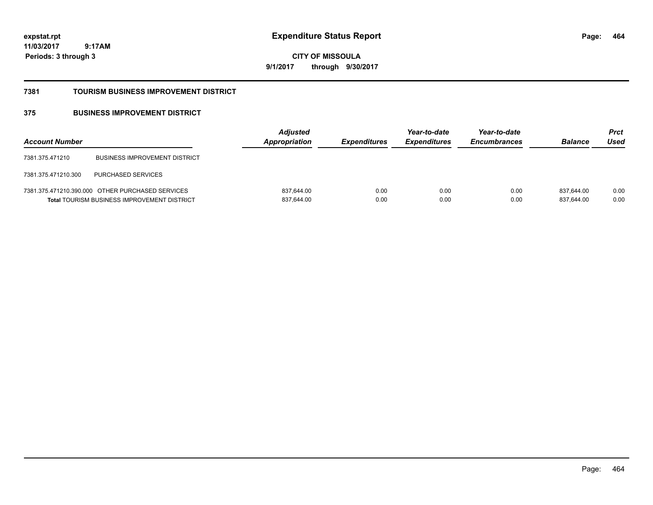**CITY OF MISSOULA 9/1/2017 through 9/30/2017**

#### **7381 TOURISM BUSINESS IMPROVEMENT DISTRICT**

### **375 BUSINESS IMPROVEMENT DISTRICT**

| <b>Account Number</b> |                                                                                                        | <b>Adjusted</b><br><b>Appropriation</b> | <i><b>Expenditures</b></i> | Year-to-date<br><i><b>Expenditures</b></i> | Year-to-date<br><b>Encumbrances</b> | <b>Balance</b>           | <b>Prct</b><br>Used |
|-----------------------|--------------------------------------------------------------------------------------------------------|-----------------------------------------|----------------------------|--------------------------------------------|-------------------------------------|--------------------------|---------------------|
| 7381.375.471210       | <b>BUSINESS IMPROVEMENT DISTRICT</b>                                                                   |                                         |                            |                                            |                                     |                          |                     |
| 7381.375.471210.300   | <b>PURCHASED SERVICES</b>                                                                              |                                         |                            |                                            |                                     |                          |                     |
|                       | 7381.375.471210.390.000 OTHER PURCHASED SERVICES<br><b>Total TOURISM BUSINESS IMPROVEMENT DISTRICT</b> | 837,644.00<br>837,644.00                | 0.00<br>0.00               | 0.00<br>0.00                               | 0.00<br>0.00                        | 837.644.00<br>837,644.00 | 0.00<br>0.00        |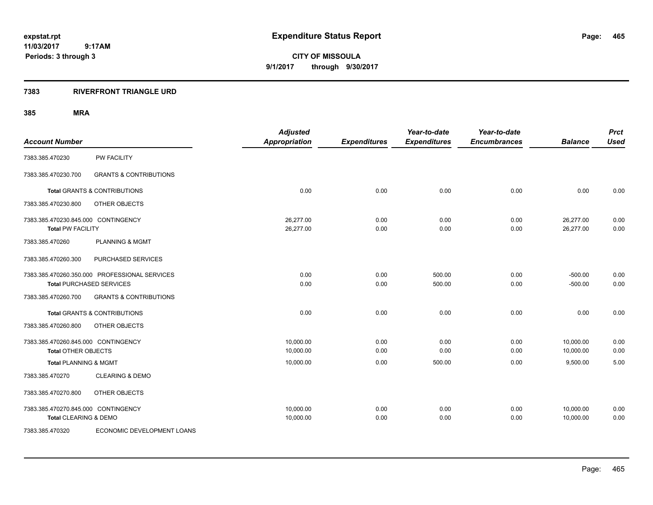**CITY OF MISSOULA 9/1/2017 through 9/30/2017**

### **7383 RIVERFRONT TRIANGLE URD**

| <b>Account Number</b>                                             |                                                                                  | <b>Adjusted</b><br><b>Appropriation</b> | <b>Expenditures</b> | Year-to-date<br><b>Expenditures</b> | Year-to-date<br><b>Encumbrances</b> | <b>Balance</b>         | <b>Prct</b><br><b>Used</b> |
|-------------------------------------------------------------------|----------------------------------------------------------------------------------|-----------------------------------------|---------------------|-------------------------------------|-------------------------------------|------------------------|----------------------------|
| 7383.385.470230                                                   | <b>PW FACILITY</b>                                                               |                                         |                     |                                     |                                     |                        |                            |
| 7383.385.470230.700                                               | <b>GRANTS &amp; CONTRIBUTIONS</b>                                                |                                         |                     |                                     |                                     |                        |                            |
|                                                                   | <b>Total GRANTS &amp; CONTRIBUTIONS</b>                                          | 0.00                                    | 0.00                | 0.00                                | 0.00                                | 0.00                   | 0.00                       |
| 7383.385.470230.800                                               | OTHER OBJECTS                                                                    |                                         |                     |                                     |                                     |                        |                            |
| 7383.385.470230.845.000 CONTINGENCY<br><b>Total PW FACILITY</b>   |                                                                                  | 26,277.00<br>26,277.00                  | 0.00<br>0.00        | 0.00<br>0.00                        | 0.00<br>0.00                        | 26,277.00<br>26,277.00 | 0.00<br>0.00               |
| 7383.385.470260                                                   | <b>PLANNING &amp; MGMT</b>                                                       |                                         |                     |                                     |                                     |                        |                            |
| 7383.385.470260.300                                               | PURCHASED SERVICES                                                               |                                         |                     |                                     |                                     |                        |                            |
|                                                                   | 7383.385.470260.350.000 PROFESSIONAL SERVICES<br><b>Total PURCHASED SERVICES</b> | 0.00<br>0.00                            | 0.00<br>0.00        | 500.00<br>500.00                    | 0.00<br>0.00                        | $-500.00$<br>$-500.00$ | 0.00<br>0.00               |
| 7383.385.470260.700                                               | <b>GRANTS &amp; CONTRIBUTIONS</b>                                                |                                         |                     |                                     |                                     |                        |                            |
|                                                                   | <b>Total GRANTS &amp; CONTRIBUTIONS</b>                                          | 0.00                                    | 0.00                | 0.00                                | 0.00                                | 0.00                   | 0.00                       |
| 7383.385.470260.800                                               | OTHER OBJECTS                                                                    |                                         |                     |                                     |                                     |                        |                            |
| 7383.385.470260.845.000 CONTINGENCY<br><b>Total OTHER OBJECTS</b> |                                                                                  | 10,000.00<br>10,000.00                  | 0.00<br>0.00        | 0.00<br>0.00                        | 0.00<br>0.00                        | 10,000.00<br>10,000.00 | 0.00<br>0.00               |
| <b>Total PLANNING &amp; MGMT</b>                                  |                                                                                  | 10,000.00                               | 0.00                | 500.00                              | 0.00                                | 9,500.00               | 5.00                       |
| 7383.385.470270                                                   | <b>CLEARING &amp; DEMO</b>                                                       |                                         |                     |                                     |                                     |                        |                            |
| 7383.385.470270.800                                               | OTHER OBJECTS                                                                    |                                         |                     |                                     |                                     |                        |                            |
| 7383.385.470270.845.000 CONTINGENCY<br>Total CLEARING & DEMO      |                                                                                  | 10,000.00<br>10,000.00                  | 0.00<br>0.00        | 0.00<br>0.00                        | 0.00<br>0.00                        | 10,000.00<br>10,000.00 | 0.00<br>0.00               |
| 7383.385.470320                                                   | ECONOMIC DEVELOPMENT LOANS                                                       |                                         |                     |                                     |                                     |                        |                            |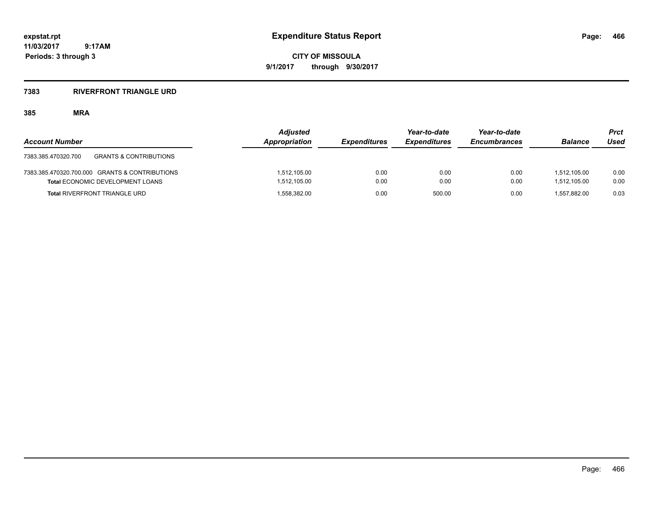**CITY OF MISSOULA 9/1/2017 through 9/30/2017**

### **7383 RIVERFRONT TRIANGLE URD**

| <b>Account Number</b>                                    | <b>Adjusted</b><br><b>Appropriation</b> | <b>Expenditures</b> | Year-to-date<br><i><b>Expenditures</b></i> | Year-to-date<br><b>Encumbrances</b> | <b>Balance</b> | Prct<br>Used |
|----------------------------------------------------------|-----------------------------------------|---------------------|--------------------------------------------|-------------------------------------|----------------|--------------|
| <b>GRANTS &amp; CONTRIBUTIONS</b><br>7383.385.470320.700 |                                         |                     |                                            |                                     |                |              |
| 7383.385.470320.700.000 GRANTS & CONTRIBUTIONS           | 1.512.105.00                            | 0.00                | 0.00                                       | 0.00                                | 1.512.105.00   | 0.00         |
| <b>Total ECONOMIC DEVELOPMENT LOANS</b>                  | 1,512,105.00                            | 0.00                | 0.00                                       | 0.00                                | 1.512.105.00   | 0.00         |
| <b>Total RIVERFRONT TRIANGLE URD</b>                     | 1,558,382.00                            | 0.00                | 500.00                                     | 0.00                                | 1.557.882.00   | 0.03         |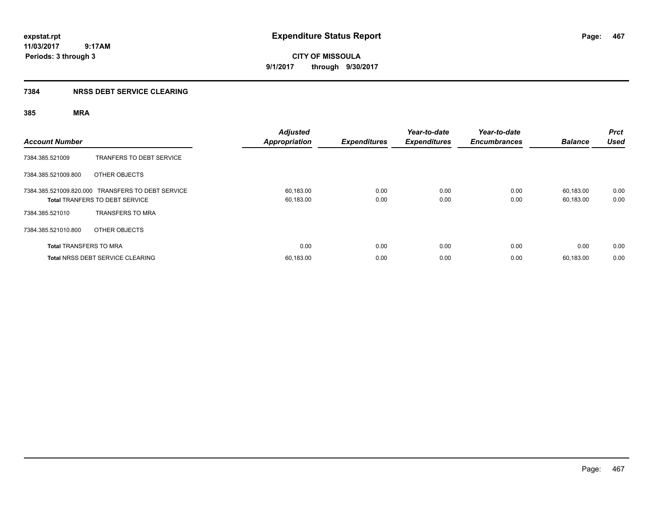**CITY OF MISSOULA 9/1/2017 through 9/30/2017**

### **7384 NRSS DEBT SERVICE CLEARING**

| <b>Account Number</b>         |                                                                                            | <b>Adjusted</b><br>Appropriation | <b>Expenditures</b> | Year-to-date<br><b>Expenditures</b> | Year-to-date<br><b>Encumbrances</b> | <b>Balance</b>         | <b>Prct</b><br><b>Used</b> |
|-------------------------------|--------------------------------------------------------------------------------------------|----------------------------------|---------------------|-------------------------------------|-------------------------------------|------------------------|----------------------------|
| 7384.385.521009               | TRANFERS TO DEBT SERVICE                                                                   |                                  |                     |                                     |                                     |                        |                            |
| 7384.385.521009.800           | OTHER OBJECTS                                                                              |                                  |                     |                                     |                                     |                        |                            |
|                               | 7384.385.521009.820.000 TRANSFERS TO DEBT SERVICE<br><b>Total TRANFERS TO DEBT SERVICE</b> | 60,183.00<br>60,183.00           | 0.00<br>0.00        | 0.00<br>0.00                        | 0.00<br>0.00                        | 60,183.00<br>60,183.00 | 0.00<br>0.00               |
| 7384.385.521010               | <b>TRANSFERS TO MRA</b>                                                                    |                                  |                     |                                     |                                     |                        |                            |
| 7384.385.521010.800           | OTHER OBJECTS                                                                              |                                  |                     |                                     |                                     |                        |                            |
| <b>Total TRANSFERS TO MRA</b> |                                                                                            | 0.00                             | 0.00                | 0.00                                | 0.00                                | 0.00                   | 0.00                       |
|                               | <b>Total NRSS DEBT SERVICE CLEARING</b>                                                    | 60,183.00                        | 0.00                | 0.00                                | 0.00                                | 60.183.00              | 0.00                       |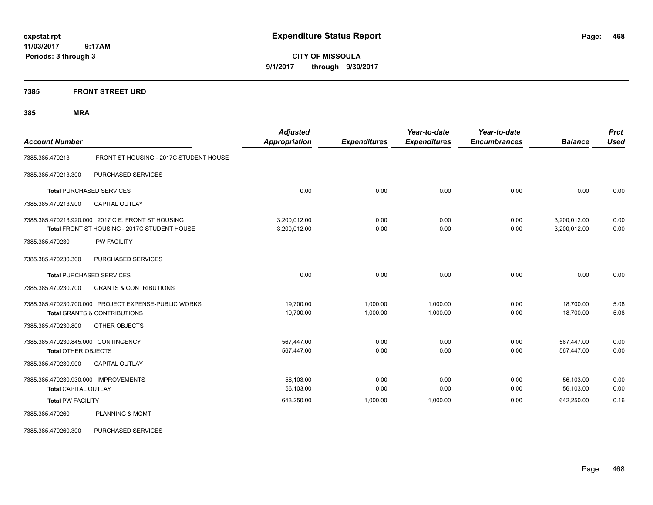**CITY OF MISSOULA 9/1/2017 through 9/30/2017**

**7385 FRONT STREET URD**

| <b>Account Number</b>                                               |                                                                                                    | <b>Adjusted</b><br><b>Appropriation</b> | <b>Expenditures</b>  | Year-to-date<br><b>Expenditures</b> | Year-to-date<br><b>Encumbrances</b> | <b>Balance</b>               | <b>Prct</b><br><b>Used</b> |
|---------------------------------------------------------------------|----------------------------------------------------------------------------------------------------|-----------------------------------------|----------------------|-------------------------------------|-------------------------------------|------------------------------|----------------------------|
| 7385.385.470213                                                     | FRONT ST HOUSING - 2017C STUDENT HOUSE                                                             |                                         |                      |                                     |                                     |                              |                            |
| 7385.385.470213.300                                                 | PURCHASED SERVICES                                                                                 |                                         |                      |                                     |                                     |                              |                            |
|                                                                     | <b>Total PURCHASED SERVICES</b>                                                                    | 0.00                                    | 0.00                 | 0.00                                | 0.00                                | 0.00                         | 0.00                       |
| 7385.385.470213.900                                                 | <b>CAPITAL OUTLAY</b>                                                                              |                                         |                      |                                     |                                     |                              |                            |
|                                                                     | 7385.385.470213.920.000 2017 C E. FRONT ST HOUSING<br>Total FRONT ST HOUSING - 2017C STUDENT HOUSE | 3,200,012.00<br>3,200,012.00            | 0.00<br>0.00         | 0.00<br>0.00                        | 0.00<br>0.00                        | 3,200,012.00<br>3,200,012.00 | 0.00<br>0.00               |
| 7385.385.470230                                                     | <b>PW FACILITY</b>                                                                                 |                                         |                      |                                     |                                     |                              |                            |
| 7385.385.470230.300                                                 | PURCHASED SERVICES                                                                                 |                                         |                      |                                     |                                     |                              |                            |
|                                                                     | <b>Total PURCHASED SERVICES</b>                                                                    | 0.00                                    | 0.00                 | 0.00                                | 0.00                                | 0.00                         | 0.00                       |
| 7385.385.470230.700                                                 | <b>GRANTS &amp; CONTRIBUTIONS</b>                                                                  |                                         |                      |                                     |                                     |                              |                            |
|                                                                     | 7385.385.470230.700.000 PROJECT EXPENSE-PUBLIC WORKS<br><b>Total GRANTS &amp; CONTRIBUTIONS</b>    | 19,700.00<br>19,700.00                  | 1,000.00<br>1,000.00 | 1,000.00<br>1,000.00                | 0.00<br>0.00                        | 18,700.00<br>18,700.00       | 5.08<br>5.08               |
| 7385.385.470230.800                                                 | OTHER OBJECTS                                                                                      |                                         |                      |                                     |                                     |                              |                            |
| 7385.385.470230.845.000 CONTINGENCY<br><b>Total OTHER OBJECTS</b>   |                                                                                                    | 567,447.00<br>567,447.00                | 0.00<br>0.00         | 0.00<br>0.00                        | 0.00<br>0.00                        | 567,447.00<br>567,447.00     | 0.00<br>0.00               |
| 7385.385.470230.900                                                 | <b>CAPITAL OUTLAY</b>                                                                              |                                         |                      |                                     |                                     |                              |                            |
| 7385.385.470230.930.000 IMPROVEMENTS<br><b>Total CAPITAL OUTLAY</b> |                                                                                                    | 56,103.00<br>56,103.00                  | 0.00<br>0.00         | 0.00<br>0.00                        | 0.00<br>0.00                        | 56,103.00<br>56,103.00       | 0.00<br>0.00               |
| <b>Total PW FACILITY</b>                                            |                                                                                                    | 643,250.00                              | 1,000.00             | 1,000.00                            | 0.00                                | 642,250.00                   | 0.16                       |
| 7385.385.470260                                                     | <b>PLANNING &amp; MGMT</b>                                                                         |                                         |                      |                                     |                                     |                              |                            |
| 7385.385.470260.300                                                 | PURCHASED SERVICES                                                                                 |                                         |                      |                                     |                                     |                              |                            |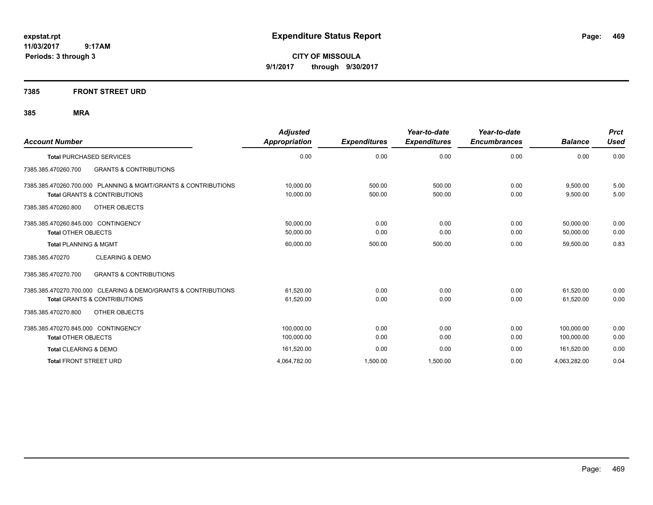**CITY OF MISSOULA 9/1/2017 through 9/30/2017**

### **7385 FRONT STREET URD**

| <b>Account Number</b>                                          | <b>Adjusted</b><br>Appropriation | <b>Expenditures</b> | Year-to-date<br><b>Expenditures</b> | Year-to-date<br><b>Encumbrances</b> | <b>Balance</b> | <b>Prct</b><br><b>Used</b> |
|----------------------------------------------------------------|----------------------------------|---------------------|-------------------------------------|-------------------------------------|----------------|----------------------------|
| <b>Total PURCHASED SERVICES</b>                                | 0.00                             | 0.00                | 0.00                                | 0.00                                | 0.00           | 0.00                       |
| 7385.385.470260.700<br><b>GRANTS &amp; CONTRIBUTIONS</b>       |                                  |                     |                                     |                                     |                |                            |
| 7385.385.470260.700.000 PLANNING & MGMT/GRANTS & CONTRIBUTIONS | 10,000.00                        | 500.00              | 500.00                              | 0.00                                | 9,500.00       | 5.00                       |
| <b>Total GRANTS &amp; CONTRIBUTIONS</b>                        | 10,000.00                        | 500.00              | 500.00                              | 0.00                                | 9,500.00       | 5.00                       |
| 7385.385.470260.800<br>OTHER OBJECTS                           |                                  |                     |                                     |                                     |                |                            |
| 7385.385.470260.845.000 CONTINGENCY                            | 50,000.00                        | 0.00                | 0.00                                | 0.00                                | 50,000.00      | 0.00                       |
| <b>Total OTHER OBJECTS</b>                                     | 50,000.00                        | 0.00                | 0.00                                | 0.00                                | 50,000.00      | 0.00                       |
| <b>Total PLANNING &amp; MGMT</b>                               | 60,000.00                        | 500.00              | 500.00                              | 0.00                                | 59,500.00      | 0.83                       |
| 7385.385.470270<br><b>CLEARING &amp; DEMO</b>                  |                                  |                     |                                     |                                     |                |                            |
| 7385.385.470270.700<br><b>GRANTS &amp; CONTRIBUTIONS</b>       |                                  |                     |                                     |                                     |                |                            |
| 7385.385.470270.700.000 CLEARING & DEMO/GRANTS & CONTRIBUTIONS | 61.520.00                        | 0.00                | 0.00                                | 0.00                                | 61.520.00      | 0.00                       |
| <b>Total GRANTS &amp; CONTRIBUTIONS</b>                        | 61,520.00                        | 0.00                | 0.00                                | 0.00                                | 61.520.00      | 0.00                       |
| 7385.385.470270.800<br>OTHER OBJECTS                           |                                  |                     |                                     |                                     |                |                            |
| 7385.385.470270.845.000 CONTINGENCY                            | 100.000.00                       | 0.00                | 0.00                                | 0.00                                | 100.000.00     | 0.00                       |
| <b>Total OTHER OBJECTS</b>                                     | 100,000.00                       | 0.00                | 0.00                                | 0.00                                | 100.000.00     | 0.00                       |
| Total CLEARING & DEMO                                          | 161,520.00                       | 0.00                | 0.00                                | 0.00                                | 161,520.00     | 0.00                       |
| <b>Total FRONT STREET URD</b>                                  | 4,064,782.00                     | 1,500.00            | 1,500.00                            | 0.00                                | 4,063,282.00   | 0.04                       |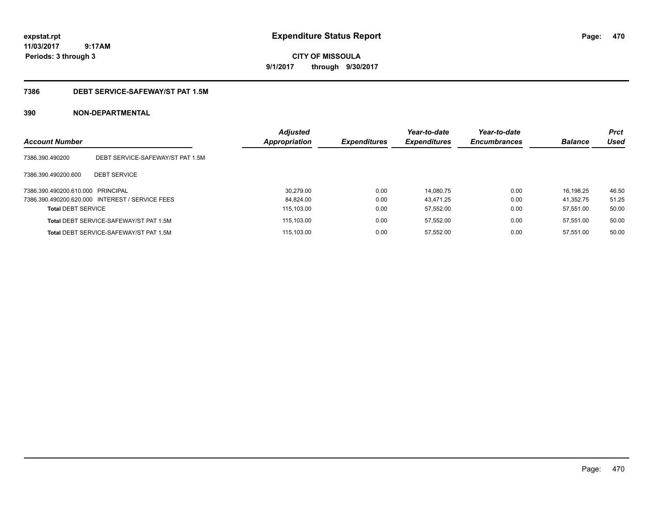# **CITY OF MISSOULA 9/1/2017 through 9/30/2017**

### **7386 DEBT SERVICE-SAFEWAY/ST PAT 1.5M**

| <b>Account Number</b>             |                                                 | <b>Adjusted</b><br><b>Appropriation</b> | <b>Expenditures</b> | Year-to-date<br><b>Expenditures</b> | Year-to-date<br><b>Encumbrances</b> | <b>Balance</b> | <b>Prct</b><br>Used |
|-----------------------------------|-------------------------------------------------|-----------------------------------------|---------------------|-------------------------------------|-------------------------------------|----------------|---------------------|
| 7386.390.490200                   | DEBT SERVICE-SAFEWAY/ST PAT 1.5M                |                                         |                     |                                     |                                     |                |                     |
| 7386.390.490200.600               | <b>DEBT SERVICE</b>                             |                                         |                     |                                     |                                     |                |                     |
| 7386.390.490200.610.000 PRINCIPAL |                                                 | 30.279.00                               | 0.00                | 14.080.75                           | 0.00                                | 16.198.25      | 46.50               |
|                                   | 7386.390.490200.620.000 INTEREST / SERVICE FEES | 84.824.00                               | 0.00                | 43.471.25                           | 0.00                                | 41.352.75      | 51.25               |
| <b>Total DEBT SERVICE</b>         |                                                 | 115.103.00                              | 0.00                | 57.552.00                           | 0.00                                | 57.551.00      | 50.00               |
|                                   | Total DEBT SERVICE-SAFEWAY/ST PAT 1.5M          | 115.103.00                              | 0.00                | 57.552.00                           | 0.00                                | 57.551.00      | 50.00               |
|                                   | Total DEBT SERVICE-SAFEWAY/ST PAT 1.5M          | 115.103.00                              | 0.00                | 57.552.00                           | 0.00                                | 57.551.00      | 50.00               |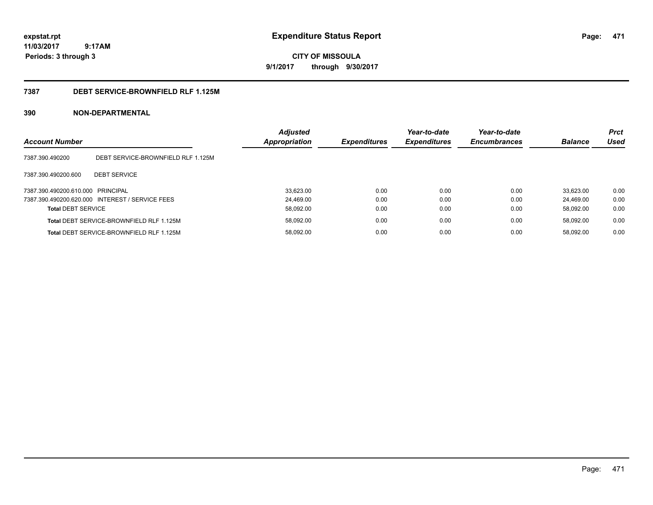**CITY OF MISSOULA 9/1/2017 through 9/30/2017**

### **7387 DEBT SERVICE-BROWNFIELD RLF 1.125M**

| <b>Account Number</b>             |                                                 | <b>Adjusted</b><br>Appropriation | <b>Expenditures</b> | Year-to-date<br><b>Expenditures</b> | Year-to-date<br><b>Encumbrances</b> | <b>Balance</b> | <b>Prct</b><br>Used |
|-----------------------------------|-------------------------------------------------|----------------------------------|---------------------|-------------------------------------|-------------------------------------|----------------|---------------------|
| 7387.390.490200                   | DEBT SERVICE-BROWNFIELD RLF 1.125M              |                                  |                     |                                     |                                     |                |                     |
| 7387.390.490200.600               | <b>DEBT SERVICE</b>                             |                                  |                     |                                     |                                     |                |                     |
| 7387.390.490200.610.000 PRINCIPAL |                                                 | 33,623.00                        | 0.00                | 0.00                                | 0.00                                | 33.623.00      | 0.00                |
|                                   | 7387.390.490200.620.000 INTEREST / SERVICE FEES | 24.469.00                        | 0.00                | 0.00                                | 0.00                                | 24.469.00      | 0.00                |
| <b>Total DEBT SERVICE</b>         |                                                 | 58,092.00                        | 0.00                | 0.00                                | 0.00                                | 58.092.00      | 0.00                |
|                                   | Total DEBT SERVICE-BROWNFIELD RLF 1.125M        | 58,092.00                        | 0.00                | 0.00                                | 0.00                                | 58.092.00      | 0.00                |
|                                   | Total DEBT SERVICE-BROWNFIELD RLF 1.125M        | 58,092.00                        | 0.00                | 0.00                                | 0.00                                | 58.092.00      | 0.00                |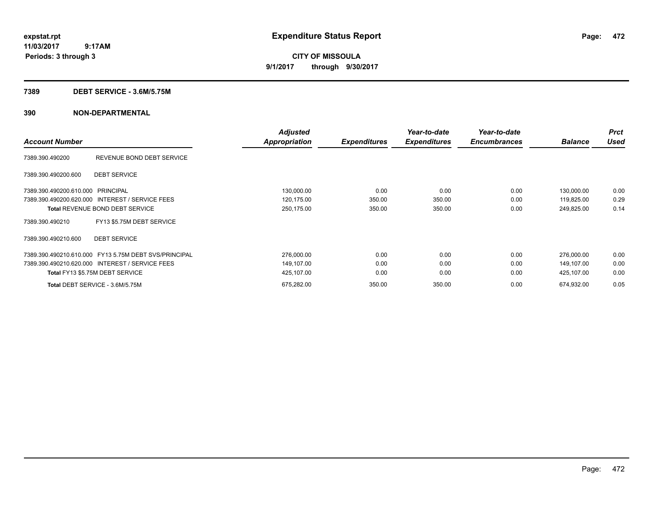**CITY OF MISSOULA 9/1/2017 through 9/30/2017**

### **7389 DEBT SERVICE - 3.6M/5.75M**

| <b>Account Number</b>             |                                                 | <b>Adjusted</b><br><b>Appropriation</b> | <b>Expenditures</b> | Year-to-date<br><b>Expenditures</b> | Year-to-date<br><b>Encumbrances</b> | <b>Balance</b> | <b>Prct</b><br><b>Used</b> |
|-----------------------------------|-------------------------------------------------|-----------------------------------------|---------------------|-------------------------------------|-------------------------------------|----------------|----------------------------|
|                                   |                                                 |                                         |                     |                                     |                                     |                |                            |
| 7389.390.490200                   | REVENUE BOND DEBT SERVICE                       |                                         |                     |                                     |                                     |                |                            |
| 7389.390.490200.600               | <b>DEBT SERVICE</b>                             |                                         |                     |                                     |                                     |                |                            |
| 7389.390.490200.610.000 PRINCIPAL |                                                 | 130,000.00                              | 0.00                | 0.00                                | 0.00                                | 130,000.00     | 0.00                       |
|                                   | 7389.390.490200.620.000 INTEREST / SERVICE FEES | 120,175.00                              | 350.00              | 350.00                              | 0.00                                | 119,825.00     | 0.29                       |
|                                   | <b>Total REVENUE BOND DEBT SERVICE</b>          | 250,175.00                              | 350.00              | 350.00                              | 0.00                                | 249,825.00     | 0.14                       |
| 7389.390.490210                   | FY13 \$5.75M DEBT SERVICE                       |                                         |                     |                                     |                                     |                |                            |
| 7389.390.490210.600               | <b>DEBT SERVICE</b>                             |                                         |                     |                                     |                                     |                |                            |
| 7389.390.490210.610.000           | FY13 5.75M DEBT SVS/PRINCIPAL                   | 276,000.00                              | 0.00                | 0.00                                | 0.00                                | 276,000.00     | 0.00                       |
|                                   | 7389.390.490210.620.000 INTEREST / SERVICE FEES | 149,107.00                              | 0.00                | 0.00                                | 0.00                                | 149.107.00     | 0.00                       |
|                                   | Total FY13 \$5.75M DEBT SERVICE                 | 425,107.00                              | 0.00                | 0.00                                | 0.00                                | 425,107.00     | 0.00                       |
|                                   | Total DEBT SERVICE - 3.6M/5.75M                 | 675,282.00                              | 350.00              | 350.00                              | 0.00                                | 674,932.00     | 0.05                       |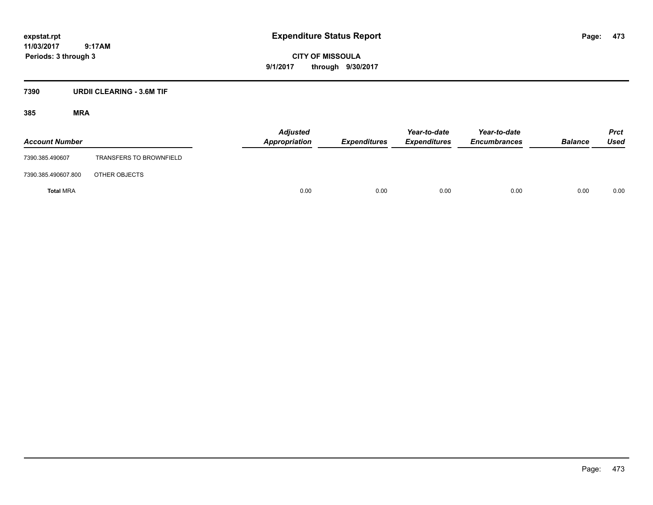**CITY OF MISSOULA 9/1/2017 through 9/30/2017**

### **7390 URDII CLEARING - 3.6M TIF**

| <b>Account Number</b> |                                | <b>Adjusted</b><br>Appropriation | <b>Expenditures</b> | Year-to-date<br><b>Expenditures</b> | Year-to-date<br><b>Encumbrances</b> | <b>Balance</b> | <b>Prct</b><br>Used |
|-----------------------|--------------------------------|----------------------------------|---------------------|-------------------------------------|-------------------------------------|----------------|---------------------|
| 7390.385.490607       | <b>TRANSFERS TO BROWNFIELD</b> |                                  |                     |                                     |                                     |                |                     |
| 7390.385.490607.800   | OTHER OBJECTS                  |                                  |                     |                                     |                                     |                |                     |
| <b>Total MRA</b>      |                                | 0.00                             | 0.00                | 0.00                                | 0.00                                | 0.00           | 0.00                |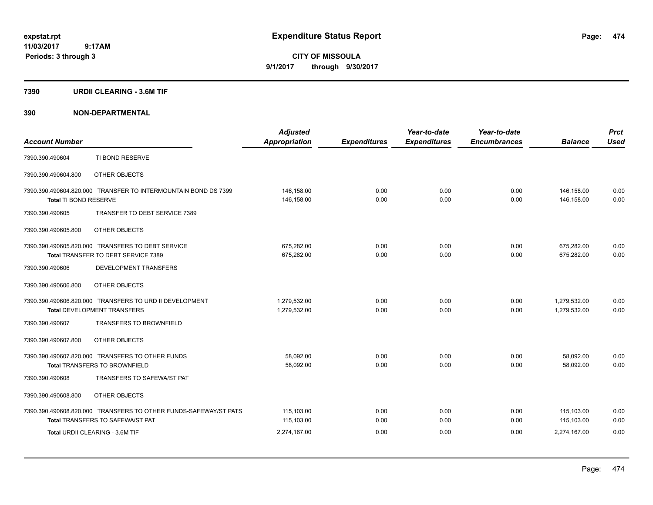**CITY OF MISSOULA 9/1/2017 through 9/30/2017**

### **7390 URDII CLEARING - 3.6M TIF**

| <b>Account Number</b> |                                                                                                                                                | <b>Adjusted</b><br><b>Appropriation</b>  | <b>Expenditures</b>  | Year-to-date<br><b>Expenditures</b> | Year-to-date<br><b>Encumbrances</b> | <b>Balance</b>                           | <b>Prct</b><br><b>Used</b> |
|-----------------------|------------------------------------------------------------------------------------------------------------------------------------------------|------------------------------------------|----------------------|-------------------------------------|-------------------------------------|------------------------------------------|----------------------------|
| 7390.390.490604       | TI BOND RESERVE                                                                                                                                |                                          |                      |                                     |                                     |                                          |                            |
| 7390.390.490604.800   | OTHER OBJECTS                                                                                                                                  |                                          |                      |                                     |                                     |                                          |                            |
| Total TI BOND RESERVE | 7390.390.490604.820.000 TRANSFER TO INTERMOUNTAIN BOND DS 7399                                                                                 | 146,158.00<br>146,158.00                 | 0.00<br>0.00         | 0.00<br>0.00                        | 0.00<br>0.00                        | 146,158.00<br>146,158.00                 | 0.00<br>0.00               |
| 7390.390.490605       | TRANSFER TO DEBT SERVICE 7389                                                                                                                  |                                          |                      |                                     |                                     |                                          |                            |
| 7390.390.490605.800   | OTHER OBJECTS                                                                                                                                  |                                          |                      |                                     |                                     |                                          |                            |
|                       | 7390.390.490605.820.000 TRANSFERS TO DEBT SERVICE<br>Total TRANSFER TO DEBT SERVICE 7389                                                       | 675,282.00<br>675,282.00                 | 0.00<br>0.00         | 0.00<br>0.00                        | 0.00<br>0.00                        | 675,282.00<br>675,282.00                 | 0.00<br>0.00               |
| 7390.390.490606       | DEVELOPMENT TRANSFERS                                                                                                                          |                                          |                      |                                     |                                     |                                          |                            |
| 7390.390.490606.800   | OTHER OBJECTS                                                                                                                                  |                                          |                      |                                     |                                     |                                          |                            |
|                       | 7390.390.490606.820.000 TRANSFERS TO URD II DEVELOPMENT<br><b>Total DEVELOPMENT TRANSFERS</b>                                                  | 1,279,532.00<br>1,279,532.00             | 0.00<br>0.00         | 0.00<br>0.00                        | 0.00<br>0.00                        | 1,279,532.00<br>1,279,532.00             | 0.00<br>0.00               |
| 7390.390.490607       | <b>TRANSFERS TO BROWNFIELD</b>                                                                                                                 |                                          |                      |                                     |                                     |                                          |                            |
| 7390.390.490607.800   | OTHER OBJECTS                                                                                                                                  |                                          |                      |                                     |                                     |                                          |                            |
|                       | 7390.390.490607.820.000 TRANSFERS TO OTHER FUNDS<br><b>Total TRANSFERS TO BROWNFIELD</b>                                                       | 58,092.00<br>58,092.00                   | 0.00<br>0.00         | 0.00<br>0.00                        | 0.00<br>0.00                        | 58,092.00<br>58,092.00                   | 0.00<br>0.00               |
| 7390.390.490608       | TRANSFERS TO SAFEWA/ST PAT                                                                                                                     |                                          |                      |                                     |                                     |                                          |                            |
| 7390.390.490608.800   | OTHER OBJECTS                                                                                                                                  |                                          |                      |                                     |                                     |                                          |                            |
|                       | 7390.390.490608.820.000 TRANSFERS TO OTHER FUNDS-SAFEWAY/ST PATS<br><b>Total TRANSFERS TO SAFEWA/ST PAT</b><br>Total URDII CLEARING - 3.6M TIF | 115,103.00<br>115,103.00<br>2,274,167.00 | 0.00<br>0.00<br>0.00 | 0.00<br>0.00<br>0.00                | 0.00<br>0.00<br>0.00                | 115,103.00<br>115.103.00<br>2.274.167.00 | 0.00<br>0.00<br>0.00       |
|                       |                                                                                                                                                |                                          |                      |                                     |                                     |                                          |                            |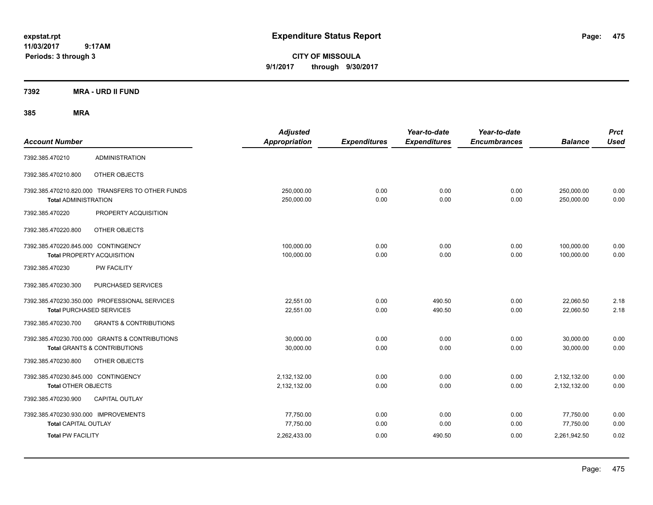**CITY OF MISSOULA 9/1/2017 through 9/30/2017**

**7392 MRA - URD II FUND**

| <b>Account Number</b>                                                    |                                                                                           | <b>Adjusted</b><br><b>Appropriation</b> | <b>Expenditures</b> | Year-to-date<br><b>Expenditures</b> | Year-to-date<br><b>Encumbrances</b> | <b>Balance</b>               | <b>Prct</b><br><b>Used</b> |
|--------------------------------------------------------------------------|-------------------------------------------------------------------------------------------|-----------------------------------------|---------------------|-------------------------------------|-------------------------------------|------------------------------|----------------------------|
| 7392.385.470210                                                          | <b>ADMINISTRATION</b>                                                                     |                                         |                     |                                     |                                     |                              |                            |
| 7392.385.470210.800                                                      | OTHER OBJECTS                                                                             |                                         |                     |                                     |                                     |                              |                            |
| <b>Total ADMINISTRATION</b>                                              | 7392.385.470210.820.000 TRANSFERS TO OTHER FUNDS                                          | 250,000.00<br>250,000.00                | 0.00<br>0.00        | 0.00<br>0.00                        | 0.00<br>0.00                        | 250,000.00<br>250,000.00     | 0.00<br>0.00               |
| 7392.385.470220                                                          | PROPERTY ACQUISITION                                                                      |                                         |                     |                                     |                                     |                              |                            |
| 7392.385.470220.800                                                      | OTHER OBJECTS                                                                             |                                         |                     |                                     |                                     |                              |                            |
| 7392.385.470220.845.000 CONTINGENCY<br><b>Total PROPERTY ACQUISITION</b> |                                                                                           | 100,000.00<br>100,000.00                | 0.00<br>0.00        | 0.00<br>0.00                        | 0.00<br>0.00                        | 100,000.00<br>100,000.00     | 0.00<br>0.00               |
| 7392.385.470230                                                          | <b>PW FACILITY</b>                                                                        |                                         |                     |                                     |                                     |                              |                            |
| 7392.385.470230.300                                                      | PURCHASED SERVICES                                                                        |                                         |                     |                                     |                                     |                              |                            |
| <b>Total PURCHASED SERVICES</b>                                          | 7392.385.470230.350.000 PROFESSIONAL SERVICES                                             | 22,551.00<br>22,551.00                  | 0.00<br>0.00        | 490.50<br>490.50                    | 0.00<br>0.00                        | 22,060.50<br>22,060.50       | 2.18<br>2.18               |
| 7392.385.470230.700                                                      | <b>GRANTS &amp; CONTRIBUTIONS</b>                                                         |                                         |                     |                                     |                                     |                              |                            |
|                                                                          | 7392.385.470230.700.000 GRANTS & CONTRIBUTIONS<br><b>Total GRANTS &amp; CONTRIBUTIONS</b> | 30.000.00<br>30,000.00                  | 0.00<br>0.00        | 0.00<br>0.00                        | 0.00<br>0.00                        | 30,000.00<br>30,000.00       | 0.00<br>0.00               |
| 7392.385.470230.800                                                      | OTHER OBJECTS                                                                             |                                         |                     |                                     |                                     |                              |                            |
| 7392.385.470230.845.000 CONTINGENCY<br><b>Total OTHER OBJECTS</b>        |                                                                                           | 2,132,132.00<br>2,132,132.00            | 0.00<br>0.00        | 0.00<br>0.00                        | 0.00<br>0.00                        | 2,132,132.00<br>2,132,132.00 | 0.00<br>0.00               |
| 7392.385.470230.900                                                      | <b>CAPITAL OUTLAY</b>                                                                     |                                         |                     |                                     |                                     |                              |                            |
| 7392.385.470230.930.000 IMPROVEMENTS<br><b>Total CAPITAL OUTLAY</b>      |                                                                                           | 77,750.00<br>77,750.00                  | 0.00<br>0.00        | 0.00<br>0.00                        | 0.00<br>0.00                        | 77,750.00<br>77,750.00       | 0.00<br>0.00               |
| <b>Total PW FACILITY</b>                                                 |                                                                                           | 2,262,433.00                            | 0.00                | 490.50                              | 0.00                                | 2,261,942.50                 | 0.02                       |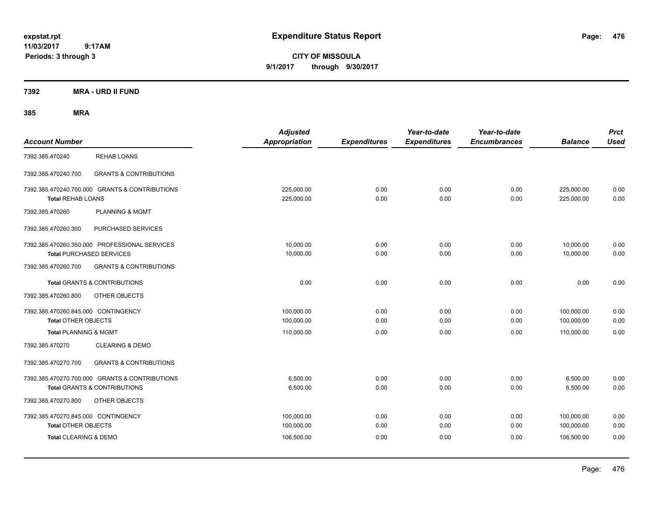**CITY OF MISSOULA 9/1/2017 through 9/30/2017**

**7392 MRA - URD II FUND**

| <b>Account Number</b>                                             |                                                                                           | <b>Adjusted</b><br>Appropriation | <b>Expenditures</b> | Year-to-date<br><b>Expenditures</b> | Year-to-date<br><b>Encumbrances</b> | <b>Balance</b>           | <b>Prct</b><br><b>Used</b> |
|-------------------------------------------------------------------|-------------------------------------------------------------------------------------------|----------------------------------|---------------------|-------------------------------------|-------------------------------------|--------------------------|----------------------------|
| 7392.385.470240                                                   | <b>REHAB LOANS</b>                                                                        |                                  |                     |                                     |                                     |                          |                            |
| 7392.385.470240.700                                               | <b>GRANTS &amp; CONTRIBUTIONS</b>                                                         |                                  |                     |                                     |                                     |                          |                            |
| <b>Total REHAB LOANS</b>                                          | 7392.385.470240.700.000 GRANTS & CONTRIBUTIONS                                            | 225,000.00<br>225,000.00         | 0.00<br>0.00        | 0.00<br>0.00                        | 0.00<br>0.00                        | 225,000.00<br>225,000.00 | 0.00<br>0.00               |
| 7392.385.470260                                                   | <b>PLANNING &amp; MGMT</b>                                                                |                                  |                     |                                     |                                     |                          |                            |
| 7392.385.470260.300                                               | PURCHASED SERVICES                                                                        |                                  |                     |                                     |                                     |                          |                            |
| <b>Total PURCHASED SERVICES</b>                                   | 7392.385.470260.350.000 PROFESSIONAL SERVICES                                             | 10,000.00<br>10,000.00           | 0.00<br>0.00        | 0.00<br>0.00                        | 0.00<br>0.00                        | 10,000.00<br>10,000.00   | 0.00<br>0.00               |
| 7392.385.470260.700                                               | <b>GRANTS &amp; CONTRIBUTIONS</b>                                                         |                                  |                     |                                     |                                     |                          |                            |
|                                                                   | Total GRANTS & CONTRIBUTIONS                                                              | 0.00                             | 0.00                | 0.00                                | 0.00                                | 0.00                     | 0.00                       |
| 7392.385.470260.800                                               | OTHER OBJECTS                                                                             |                                  |                     |                                     |                                     |                          |                            |
| 7392.385.470260.845.000 CONTINGENCY<br><b>Total OTHER OBJECTS</b> |                                                                                           | 100,000.00<br>100,000.00         | 0.00<br>0.00        | 0.00<br>0.00                        | 0.00<br>0.00                        | 100,000.00<br>100,000.00 | 0.00<br>0.00               |
| <b>Total PLANNING &amp; MGMT</b>                                  |                                                                                           | 110,000.00                       | 0.00                | 0.00                                | 0.00                                | 110,000.00               | 0.00                       |
| 7392.385.470270                                                   | <b>CLEARING &amp; DEMO</b>                                                                |                                  |                     |                                     |                                     |                          |                            |
| 7392.385.470270.700                                               | <b>GRANTS &amp; CONTRIBUTIONS</b>                                                         |                                  |                     |                                     |                                     |                          |                            |
|                                                                   | 7392.385.470270.700.000 GRANTS & CONTRIBUTIONS<br><b>Total GRANTS &amp; CONTRIBUTIONS</b> | 6,500.00<br>6,500.00             | 0.00<br>0.00        | 0.00<br>0.00                        | 0.00<br>0.00                        | 6,500.00<br>6,500.00     | 0.00<br>0.00               |
| 7392.385.470270.800                                               | OTHER OBJECTS                                                                             |                                  |                     |                                     |                                     |                          |                            |
| 7392.385.470270.845.000 CONTINGENCY<br><b>Total OTHER OBJECTS</b> |                                                                                           | 100,000.00<br>100,000.00         | 0.00<br>0.00        | 0.00<br>0.00                        | 0.00<br>0.00                        | 100,000.00<br>100,000.00 | 0.00<br>0.00               |
| Total CLEARING & DEMO                                             |                                                                                           | 106,500.00                       | 0.00                | 0.00                                | 0.00                                | 106.500.00               | 0.00                       |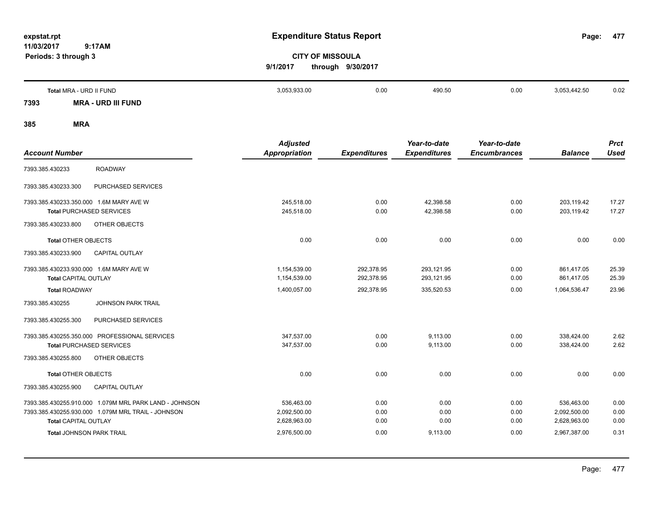**477**

# **CITY OF MISSOULA 9/1/2017 through 9/30/2017**

|      | Total MRA - URD II FUND      | 3,053,933.00 | 0.00 | 490.50 | 0.00 | 3.053.442.50 | 0.02 |
|------|------------------------------|--------------|------|--------|------|--------------|------|
| 7393 | <b>MRA</b><br>- URD III FUND |              |      |        |      |              |      |

|                                                        | <b>Adjusted</b>      |                     | Year-to-date        | Year-to-date        |                | <b>Prct</b> |
|--------------------------------------------------------|----------------------|---------------------|---------------------|---------------------|----------------|-------------|
| <b>Account Number</b>                                  | <b>Appropriation</b> | <b>Expenditures</b> | <b>Expenditures</b> | <b>Encumbrances</b> | <b>Balance</b> | <b>Used</b> |
| <b>ROADWAY</b><br>7393.385.430233                      |                      |                     |                     |                     |                |             |
| PURCHASED SERVICES<br>7393.385.430233.300              |                      |                     |                     |                     |                |             |
| 7393.385.430233.350.000 1.6M MARY AVE W                | 245.518.00           | 0.00                | 42,398.58           | 0.00                | 203,119.42     | 17.27       |
| <b>Total PURCHASED SERVICES</b>                        | 245,518.00           | 0.00                | 42,398.58           | 0.00                | 203,119.42     | 17.27       |
| OTHER OBJECTS<br>7393.385.430233.800                   |                      |                     |                     |                     |                |             |
| <b>Total OTHER OBJECTS</b>                             | 0.00                 | 0.00                | 0.00                | 0.00                | 0.00           | 0.00        |
| <b>CAPITAL OUTLAY</b><br>7393.385.430233.900           |                      |                     |                     |                     |                |             |
| 7393.385.430233.930.000 1.6M MARY AVE W                | 1,154,539.00         | 292,378.95          | 293,121.95          | 0.00                | 861,417.05     | 25.39       |
| <b>Total CAPITAL OUTLAY</b>                            | 1,154,539.00         | 292,378.95          | 293,121.95          | 0.00                | 861,417.05     | 25.39       |
| <b>Total ROADWAY</b>                                   | 1,400,057.00         | 292,378.95          | 335,520.53          | 0.00                | 1,064,536.47   | 23.96       |
| <b>JOHNSON PARK TRAIL</b><br>7393.385.430255           |                      |                     |                     |                     |                |             |
| PURCHASED SERVICES<br>7393.385.430255.300              |                      |                     |                     |                     |                |             |
| 7393.385.430255.350.000 PROFESSIONAL SERVICES          | 347.537.00           | 0.00                | 9.113.00            | 0.00                | 338.424.00     | 2.62        |
| <b>Total PURCHASED SERVICES</b>                        | 347,537.00           | 0.00                | 9,113.00            | 0.00                | 338,424.00     | 2.62        |
| 7393.385.430255.800<br>OTHER OBJECTS                   |                      |                     |                     |                     |                |             |
| <b>Total OTHER OBJECTS</b>                             | 0.00                 | 0.00                | 0.00                | 0.00                | 0.00           | 0.00        |
| 7393.385.430255.900<br><b>CAPITAL OUTLAY</b>           |                      |                     |                     |                     |                |             |
| 7393.385.430255.910.000 1.079M MRL PARK LAND - JOHNSON | 536,463.00           | 0.00                | 0.00                | 0.00                | 536,463.00     | 0.00        |
| 7393.385.430255.930.000 1.079M MRL TRAIL - JOHNSON     | 2,092,500.00         | 0.00                | 0.00                | 0.00                | 2,092,500.00   | 0.00        |
| <b>Total CAPITAL OUTLAY</b>                            | 2,628,963.00         | 0.00                | 0.00                | 0.00                | 2,628,963.00   | 0.00        |
| <b>Total JOHNSON PARK TRAIL</b>                        | 2,976,500.00         | 0.00                | 9,113.00            | 0.00                | 2,967,387.00   | 0.31        |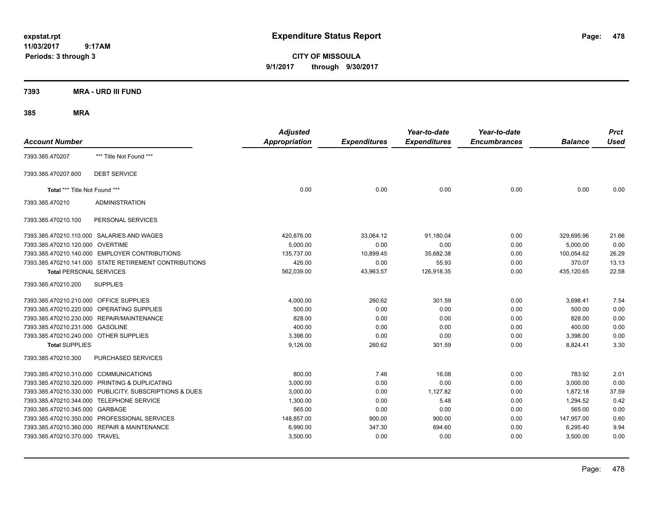**CITY OF MISSOULA 9/1/2017 through 9/30/2017**

### **7393 MRA - URD III FUND**

| <b>Account Number</b>                   |                                                         | <b>Adjusted</b><br><b>Appropriation</b> | <b>Expenditures</b> | Year-to-date<br><b>Expenditures</b> | Year-to-date<br><b>Encumbrances</b> | <b>Balance</b> | <b>Prct</b><br><b>Used</b> |
|-----------------------------------------|---------------------------------------------------------|-----------------------------------------|---------------------|-------------------------------------|-------------------------------------|----------------|----------------------------|
| 7393.385.470207                         | *** Title Not Found ***                                 |                                         |                     |                                     |                                     |                |                            |
| 7393.385.470207.600                     | <b>DEBT SERVICE</b>                                     |                                         |                     |                                     |                                     |                |                            |
| Total *** Title Not Found ***           |                                                         | 0.00                                    | 0.00                | 0.00                                | 0.00                                | 0.00           | 0.00                       |
| 7393.385.470210                         | <b>ADMINISTRATION</b>                                   |                                         |                     |                                     |                                     |                |                            |
| 7393.385.470210.100                     | PERSONAL SERVICES                                       |                                         |                     |                                     |                                     |                |                            |
|                                         | 7393.385.470210.110.000 SALARIES AND WAGES              | 420,876.00                              | 33,064.12           | 91,180.04                           | 0.00                                | 329,695.96     | 21.66                      |
| 7393.385.470210.120.000                 | <b>OVERTIME</b>                                         | 5.000.00                                | 0.00                | 0.00                                | 0.00                                | 5,000.00       | 0.00                       |
|                                         | 7393.385.470210.140.000 EMPLOYER CONTRIBUTIONS          | 135,737.00                              | 10,899.45           | 35,682.38                           | 0.00                                | 100,054.62     | 26.29                      |
|                                         | 7393.385.470210.141.000 STATE RETIREMENT CONTRIBUTIONS  | 426.00                                  | 0.00                | 55.93                               | 0.00                                | 370.07         | 13.13                      |
| <b>Total PERSONAL SERVICES</b>          |                                                         | 562,039.00                              | 43,963.57           | 126,918.35                          | 0.00                                | 435,120.65     | 22.58                      |
| 7393.385.470210.200                     | <b>SUPPLIES</b>                                         |                                         |                     |                                     |                                     |                |                            |
| 7393.385.470210.210.000 OFFICE SUPPLIES |                                                         | 4,000.00                                | 260.62              | 301.59                              | 0.00                                | 3,698.41       | 7.54                       |
| 7393.385.470210.220.000                 | OPERATING SUPPLIES                                      | 500.00                                  | 0.00                | 0.00                                | 0.00                                | 500.00         | 0.00                       |
| 7393.385.470210.230.000                 | REPAIR/MAINTENANCE                                      | 828.00                                  | 0.00                | 0.00                                | 0.00                                | 828.00         | 0.00                       |
| 7393.385.470210.231.000                 | <b>GASOLINE</b>                                         | 400.00                                  | 0.00                | 0.00                                | 0.00                                | 400.00         | 0.00                       |
| 7393.385.470210.240.000 OTHER SUPPLIES  |                                                         | 3,398.00                                | 0.00                | 0.00                                | 0.00                                | 3,398.00       | 0.00                       |
| <b>Total SUPPLIES</b>                   |                                                         | 9,126.00                                | 260.62              | 301.59                              | 0.00                                | 8,824.41       | 3.30                       |
| 7393.385.470210.300                     | <b>PURCHASED SERVICES</b>                               |                                         |                     |                                     |                                     |                |                            |
| 7393.385.470210.310.000                 | <b>COMMUNICATIONS</b>                                   | 800.00                                  | 7.46                | 16.08                               | 0.00                                | 783.92         | 2.01                       |
|                                         | 7393.385.470210.320.000 PRINTING & DUPLICATING          | 3,000.00                                | 0.00                | 0.00                                | 0.00                                | 3,000.00       | 0.00                       |
|                                         | 7393.385.470210.330.000 PUBLICITY, SUBSCRIPTIONS & DUES | 3,000.00                                | 0.00                | 1,127.82                            | 0.00                                | 1,872.18       | 37.59                      |
|                                         | 7393.385.470210.344.000 TELEPHONE SERVICE               | 1,300.00                                | 0.00                | 5.48                                | 0.00                                | 1,294.52       | 0.42                       |
| 7393.385.470210.345.000                 | GARBAGE                                                 | 565.00                                  | 0.00                | 0.00                                | 0.00                                | 565.00         | 0.00                       |
|                                         | 7393.385.470210.350.000 PROFESSIONAL SERVICES           | 148,857.00                              | 900.00              | 900.00                              | 0.00                                | 147,957.00     | 0.60                       |
|                                         | 7393.385.470210.360.000 REPAIR & MAINTENANCE            | 6,990.00                                | 347.30              | 694.60                              | 0.00                                | 6,295.40       | 9.94                       |
| 7393.385.470210.370.000 TRAVEL          |                                                         | 3,500.00                                | 0.00                | 0.00                                | 0.00                                | 3,500.00       | 0.00                       |
|                                         |                                                         |                                         |                     |                                     |                                     |                |                            |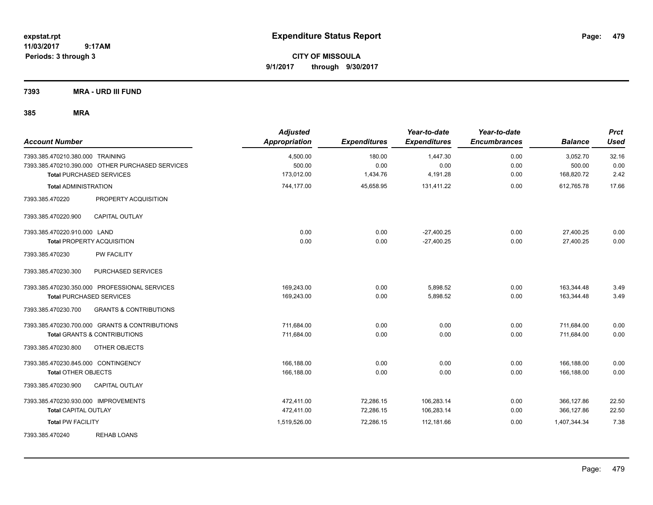**CITY OF MISSOULA 9/1/2017 through 9/30/2017**

**7393 MRA - URD III FUND**

| <b>Account Number</b>                                                                | <b>Adjusted</b><br><b>Appropriation</b> | <b>Expenditures</b> | Year-to-date<br><b>Expenditures</b> | Year-to-date<br><b>Encumbrances</b> | <b>Balance</b>     | <b>Prct</b><br><b>Used</b> |
|--------------------------------------------------------------------------------------|-----------------------------------------|---------------------|-------------------------------------|-------------------------------------|--------------------|----------------------------|
| 7393.385.470210.380.000 TRAINING<br>7393.385.470210.390.000 OTHER PURCHASED SERVICES | 4,500.00<br>500.00                      | 180.00<br>0.00      | 1,447.30<br>0.00                    | 0.00<br>0.00                        | 3,052.70<br>500.00 | 32.16<br>0.00              |
| <b>Total PURCHASED SERVICES</b>                                                      | 173,012.00                              | 1,434.76            | 4,191.28                            | 0.00                                | 168,820.72         | 2.42                       |
| <b>Total ADMINISTRATION</b>                                                          | 744,177.00                              | 45,658.95           | 131,411.22                          | 0.00                                | 612,765.78         | 17.66                      |
| 7393.385.470220<br>PROPERTY ACQUISITION                                              |                                         |                     |                                     |                                     |                    |                            |
| 7393.385.470220.900<br><b>CAPITAL OUTLAY</b>                                         |                                         |                     |                                     |                                     |                    |                            |
| 7393.385.470220.910.000 LAND                                                         | 0.00                                    | 0.00                | $-27,400.25$                        | 0.00                                | 27,400.25          | 0.00                       |
| <b>Total PROPERTY ACQUISITION</b>                                                    | 0.00                                    | 0.00                | $-27,400.25$                        | 0.00                                | 27,400.25          | 0.00                       |
| 7393.385.470230<br><b>PW FACILITY</b>                                                |                                         |                     |                                     |                                     |                    |                            |
| PURCHASED SERVICES<br>7393.385.470230.300                                            |                                         |                     |                                     |                                     |                    |                            |
| 7393.385.470230.350.000 PROFESSIONAL SERVICES                                        | 169,243.00                              | 0.00                | 5,898.52                            | 0.00                                | 163,344.48         | 3.49                       |
| <b>Total PURCHASED SERVICES</b>                                                      | 169,243.00                              | 0.00                | 5,898.52                            | 0.00                                | 163,344.48         | 3.49                       |
| 7393.385.470230.700<br><b>GRANTS &amp; CONTRIBUTIONS</b>                             |                                         |                     |                                     |                                     |                    |                            |
| 7393.385.470230.700.000 GRANTS & CONTRIBUTIONS                                       | 711,684.00                              | 0.00                | 0.00                                | 0.00                                | 711,684.00         | 0.00                       |
| <b>Total GRANTS &amp; CONTRIBUTIONS</b>                                              | 711,684.00                              | 0.00                | 0.00                                | 0.00                                | 711,684.00         | 0.00                       |
| 7393.385.470230.800<br>OTHER OBJECTS                                                 |                                         |                     |                                     |                                     |                    |                            |
| 7393.385.470230.845.000 CONTINGENCY                                                  | 166,188.00                              | 0.00                | 0.00                                | 0.00                                | 166,188.00         | 0.00                       |
| <b>Total OTHER OBJECTS</b>                                                           | 166,188.00                              | 0.00                | 0.00                                | 0.00                                | 166,188.00         | 0.00                       |
| CAPITAL OUTLAY<br>7393.385.470230.900                                                |                                         |                     |                                     |                                     |                    |                            |
| 7393.385.470230.930.000 IMPROVEMENTS                                                 | 472.411.00                              | 72,286.15           | 106,283.14                          | 0.00                                | 366,127.86         | 22.50                      |
| <b>Total CAPITAL OUTLAY</b>                                                          | 472,411.00                              | 72,286.15           | 106,283.14                          | 0.00                                | 366,127.86         | 22.50                      |
| <b>Total PW FACILITY</b>                                                             | 1,519,526.00                            | 72,286.15           | 112,181.66                          | 0.00                                | 1,407,344.34       | 7.38                       |
| <b>REHAB LOANS</b><br>7393.385.470240                                                |                                         |                     |                                     |                                     |                    |                            |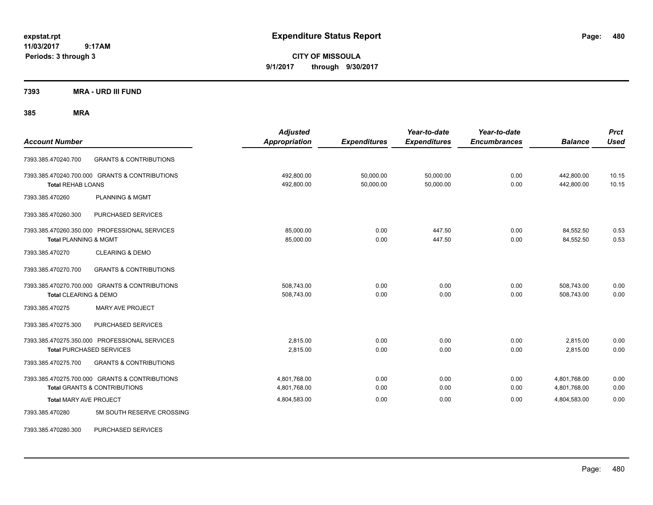**CITY OF MISSOULA 9/1/2017 through 9/30/2017**

**7393 MRA - URD III FUND**

| <b>Account Number</b>                                                                     | <b>Adjusted</b><br><b>Appropriation</b> | <b>Expenditures</b>    | Year-to-date<br><b>Expenditures</b> | Year-to-date<br><b>Encumbrances</b> | <b>Balance</b>               | <b>Prct</b><br><b>Used</b> |
|-------------------------------------------------------------------------------------------|-----------------------------------------|------------------------|-------------------------------------|-------------------------------------|------------------------------|----------------------------|
| <b>GRANTS &amp; CONTRIBUTIONS</b><br>7393.385.470240.700                                  |                                         |                        |                                     |                                     |                              |                            |
| 7393.385.470240.700.000 GRANTS & CONTRIBUTIONS<br><b>Total REHAB LOANS</b>                | 492,800.00<br>492,800.00                | 50,000.00<br>50,000.00 | 50,000.00<br>50,000.00              | 0.00<br>0.00                        | 442,800.00<br>442.800.00     | 10.15<br>10.15             |
| PLANNING & MGMT<br>7393.385.470260                                                        |                                         |                        |                                     |                                     |                              |                            |
| 7393.385.470260.300<br>PURCHASED SERVICES                                                 |                                         |                        |                                     |                                     |                              |                            |
| 7393.385.470260.350.000 PROFESSIONAL SERVICES<br><b>Total PLANNING &amp; MGMT</b>         | 85,000.00<br>85,000.00                  | 0.00<br>0.00           | 447.50<br>447.50                    | 0.00<br>0.00                        | 84,552.50<br>84,552.50       | 0.53<br>0.53               |
| <b>CLEARING &amp; DEMO</b><br>7393.385.470270                                             |                                         |                        |                                     |                                     |                              |                            |
| <b>GRANTS &amp; CONTRIBUTIONS</b><br>7393.385.470270.700                                  |                                         |                        |                                     |                                     |                              |                            |
| 7393.385.470270.700.000 GRANTS & CONTRIBUTIONS<br>Total CLEARING & DEMO                   | 508,743.00<br>508,743.00                | 0.00<br>0.00           | 0.00<br>0.00                        | 0.00<br>0.00                        | 508,743.00<br>508,743.00     | 0.00<br>0.00               |
| <b>MARY AVE PROJECT</b><br>7393.385.470275                                                |                                         |                        |                                     |                                     |                              |                            |
| 7393.385.470275.300<br>PURCHASED SERVICES                                                 |                                         |                        |                                     |                                     |                              |                            |
| 7393.385.470275.350.000 PROFESSIONAL SERVICES<br><b>Total PURCHASED SERVICES</b>          | 2,815.00<br>2,815.00                    | 0.00<br>0.00           | 0.00<br>0.00                        | 0.00<br>0.00                        | 2,815.00<br>2,815.00         | 0.00<br>0.00               |
| 7393.385.470275.700<br><b>GRANTS &amp; CONTRIBUTIONS</b>                                  |                                         |                        |                                     |                                     |                              |                            |
| 7393.385.470275.700.000 GRANTS & CONTRIBUTIONS<br><b>Total GRANTS &amp; CONTRIBUTIONS</b> | 4,801,768.00<br>4,801,768.00            | 0.00<br>0.00           | 0.00<br>0.00                        | 0.00<br>0.00                        | 4,801,768.00<br>4,801,768.00 | 0.00<br>0.00               |
| <b>Total MARY AVE PROJECT</b>                                                             | 4,804,583.00                            | 0.00                   | 0.00                                | 0.00                                | 4,804,583.00                 | 0.00                       |
| 5M SOUTH RESERVE CROSSING<br>7393.385.470280                                              |                                         |                        |                                     |                                     |                              |                            |
| 7393.385.470280.300<br>PURCHASED SERVICES                                                 |                                         |                        |                                     |                                     |                              |                            |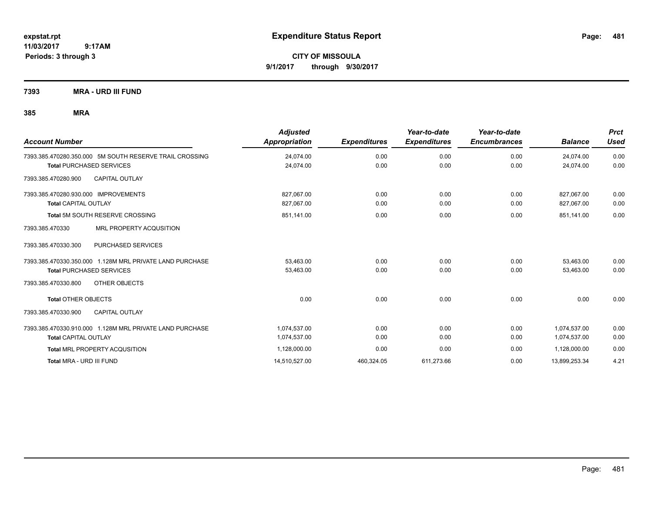**CITY OF MISSOULA 9/1/2017 through 9/30/2017**

**7393 MRA - URD III FUND**

| <b>Account Number</b>                                    | <b>Adjusted</b><br>Appropriation | <b>Expenditures</b> | Year-to-date<br><b>Expenditures</b> | Year-to-date<br><b>Encumbrances</b> | <b>Balance</b> | <b>Prct</b><br><b>Used</b> |
|----------------------------------------------------------|----------------------------------|---------------------|-------------------------------------|-------------------------------------|----------------|----------------------------|
| 7393.385.470280.350.000 5M SOUTH RESERVE TRAIL CROSSING  | 24,074.00                        | 0.00                | 0.00                                | 0.00                                | 24,074.00      | 0.00                       |
| <b>Total PURCHASED SERVICES</b>                          | 24,074.00                        | 0.00                | 0.00                                | 0.00                                | 24,074.00      | 0.00                       |
| <b>CAPITAL OUTLAY</b><br>7393.385.470280.900             |                                  |                     |                                     |                                     |                |                            |
| 7393.385.470280.930.000 IMPROVEMENTS                     | 827,067.00                       | 0.00                | 0.00                                | 0.00                                | 827.067.00     | 0.00                       |
| <b>Total CAPITAL OUTLAY</b>                              | 827,067.00                       | 0.00                | 0.00                                | 0.00                                | 827,067.00     | 0.00                       |
| Total 5M SOUTH RESERVE CROSSING                          | 851,141.00                       | 0.00                | 0.00                                | 0.00                                | 851.141.00     | 0.00                       |
| MRL PROPERTY ACQUSITION<br>7393.385.470330               |                                  |                     |                                     |                                     |                |                            |
| 7393.385.470330.300<br>PURCHASED SERVICES                |                                  |                     |                                     |                                     |                |                            |
| 7393.385.470330.350.000 1.128M MRL PRIVATE LAND PURCHASE | 53,463.00                        | 0.00                | 0.00                                | 0.00                                | 53,463.00      | 0.00                       |
| <b>Total PURCHASED SERVICES</b>                          | 53,463.00                        | 0.00                | 0.00                                | 0.00                                | 53,463.00      | 0.00                       |
| OTHER OBJECTS<br>7393.385.470330.800                     |                                  |                     |                                     |                                     |                |                            |
| <b>Total OTHER OBJECTS</b>                               | 0.00                             | 0.00                | 0.00                                | 0.00                                | 0.00           | 0.00                       |
| <b>CAPITAL OUTLAY</b><br>7393.385.470330.900             |                                  |                     |                                     |                                     |                |                            |
| 7393.385.470330.910.000 1.128M MRL PRIVATE LAND PURCHASE | 1.074.537.00                     | 0.00                | 0.00                                | 0.00                                | 1,074,537.00   | 0.00                       |
| <b>Total CAPITAL OUTLAY</b>                              | 1,074,537.00                     | 0.00                | 0.00                                | 0.00                                | 1,074,537.00   | 0.00                       |
| <b>Total MRL PROPERTY ACQUSITION</b>                     | 1,128,000.00                     | 0.00                | 0.00                                | 0.00                                | 1,128,000.00   | 0.00                       |
| Total MRA - URD III FUND                                 | 14,510,527.00                    | 460,324.05          | 611,273.66                          | 0.00                                | 13,899,253.34  | 4.21                       |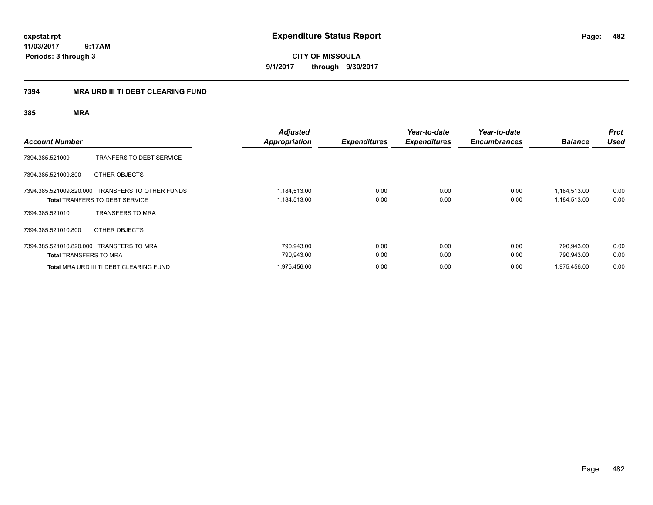**CITY OF MISSOULA 9/1/2017 through 9/30/2017**

### **7394 MRA URD III TI DEBT CLEARING FUND**

| <b>Account Number</b>         |                                                                                           | <b>Adjusted</b><br><b>Appropriation</b> | <b>Expenditures</b> | Year-to-date<br><b>Expenditures</b> | Year-to-date<br><b>Encumbrances</b> | <b>Balance</b>               | <b>Prct</b><br><b>Used</b> |
|-------------------------------|-------------------------------------------------------------------------------------------|-----------------------------------------|---------------------|-------------------------------------|-------------------------------------|------------------------------|----------------------------|
| 7394.385.521009               | <b>TRANFERS TO DEBT SERVICE</b>                                                           |                                         |                     |                                     |                                     |                              |                            |
| 7394.385.521009.800           | OTHER OBJECTS                                                                             |                                         |                     |                                     |                                     |                              |                            |
|                               | 7394.385.521009.820.000 TRANSFERS TO OTHER FUNDS<br><b>Total TRANFERS TO DEBT SERVICE</b> | 1,184,513.00<br>1,184,513.00            | 0.00<br>0.00        | 0.00<br>0.00                        | 0.00<br>0.00                        | 1,184,513.00<br>1,184,513.00 | 0.00<br>0.00               |
| 7394.385.521010               | <b>TRANSFERS TO MRA</b>                                                                   |                                         |                     |                                     |                                     |                              |                            |
| 7394.385.521010.800           | OTHER OBJECTS                                                                             |                                         |                     |                                     |                                     |                              |                            |
| <b>Total TRANSFERS TO MRA</b> | 7394.385.521010.820.000 TRANSFERS TO MRA                                                  | 790,943.00<br>790,943.00                | 0.00<br>0.00        | 0.00<br>0.00                        | 0.00<br>0.00                        | 790,943.00<br>790.943.00     | 0.00<br>0.00               |
|                               | Total MRA URD III TI DEBT CLEARING FUND                                                   | 1,975,456.00                            | 0.00                | 0.00                                | 0.00                                | 1,975,456.00                 | 0.00                       |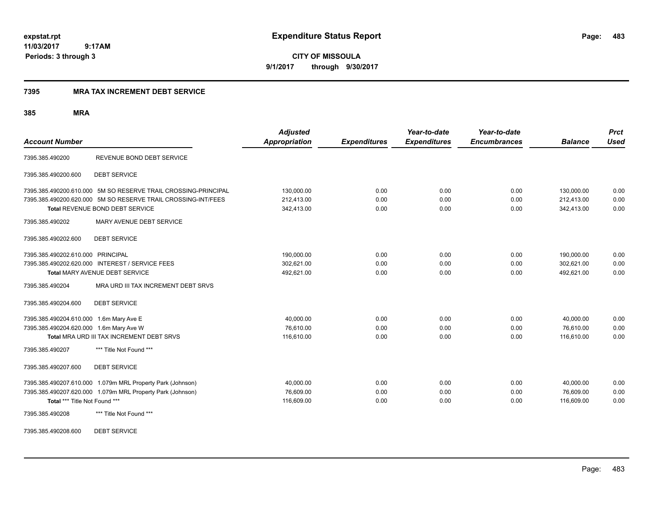**CITY OF MISSOULA 9/1/2017 through 9/30/2017**

### **7395 MRA TAX INCREMENT DEBT SERVICE**

### **385 MRA**

| <b>Account Number</b>                                                                                 |                                                                                                                                                                    | <b>Adjusted</b><br><b>Appropriation</b> | <b>Expenditures</b>  | Year-to-date<br><b>Expenditures</b> | Year-to-date<br><b>Encumbrances</b> | <b>Balance</b>                         | <b>Prct</b><br><b>Used</b> |
|-------------------------------------------------------------------------------------------------------|--------------------------------------------------------------------------------------------------------------------------------------------------------------------|-----------------------------------------|----------------------|-------------------------------------|-------------------------------------|----------------------------------------|----------------------------|
| 7395.385.490200                                                                                       | REVENUE BOND DEBT SERVICE                                                                                                                                          |                                         |                      |                                     |                                     |                                        |                            |
| 7395.385.490200.600                                                                                   | <b>DEBT SERVICE</b>                                                                                                                                                |                                         |                      |                                     |                                     |                                        |                            |
|                                                                                                       | 7395.385.490200.610.000 5M SO RESERVE TRAIL CROSSING-PRINCIPAL<br>7395.385.490200.620.000 5M SO RESERVE TRAIL CROSSING-INT/FEES<br>Total REVENUE BOND DEBT SERVICE | 130,000.00<br>212,413.00<br>342,413.00  | 0.00<br>0.00<br>0.00 | 0.00<br>0.00<br>0.00                | 0.00<br>0.00<br>0.00                | 130,000.00<br>212,413.00<br>342,413.00 | 0.00<br>0.00<br>0.00       |
| 7395.385.490202                                                                                       | MARY AVENUE DEBT SERVICE                                                                                                                                           |                                         |                      |                                     |                                     |                                        |                            |
| 7395.385.490202.600                                                                                   | <b>DEBT SERVICE</b>                                                                                                                                                |                                         |                      |                                     |                                     |                                        |                            |
| 7395.385.490202.610.000 PRINCIPAL                                                                     | 7395.385.490202.620.000 INTEREST / SERVICE FEES<br>Total MARY AVENUE DEBT SERVICE                                                                                  | 190,000.00<br>302,621.00<br>492,621.00  | 0.00<br>0.00<br>0.00 | 0.00<br>0.00<br>0.00                | 0.00<br>0.00<br>0.00                | 190,000.00<br>302,621.00<br>492,621.00 | 0.00<br>0.00<br>0.00       |
| 7395.385.490204                                                                                       | MRA URD III TAX INCREMENT DEBT SRVS                                                                                                                                |                                         |                      |                                     |                                     |                                        |                            |
| 7395.385.490204.600                                                                                   | <b>DEBT SERVICE</b>                                                                                                                                                |                                         |                      |                                     |                                     |                                        |                            |
| 7395.385.490204.610.000 1.6m Mary Ave E<br>7395.385.490204.620.000 1.6m Mary Ave W<br>7395.385.490207 | Total MRA URD III TAX INCREMENT DEBT SRVS<br>*** Title Not Found ***                                                                                               | 40,000.00<br>76,610.00<br>116,610.00    | 0.00<br>0.00<br>0.00 | 0.00<br>0.00<br>0.00                | 0.00<br>0.00<br>0.00                | 40,000.00<br>76,610.00<br>116,610.00   | 0.00<br>0.00<br>0.00       |
| 7395.385.490207.600                                                                                   | <b>DEBT SERVICE</b>                                                                                                                                                |                                         |                      |                                     |                                     |                                        |                            |
| Total *** Title Not Found ***<br>7395.385.490208                                                      | 7395.385.490207.610.000 1.079m MRL Property Park (Johnson)<br>7395.385.490207.620.000 1.079m MRL Property Park (Johnson)<br>*** Title Not Found ***                | 40,000.00<br>76,609.00<br>116,609.00    | 0.00<br>0.00<br>0.00 | 0.00<br>0.00<br>0.00                | 0.00<br>0.00<br>0.00                | 40,000.00<br>76,609.00<br>116,609.00   | 0.00<br>0.00<br>0.00       |

7395.385.490208.600 DEBT SERVICE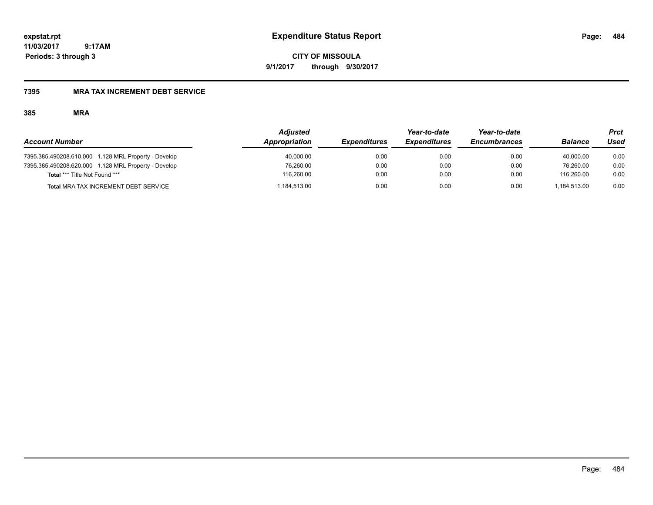**CITY OF MISSOULA 9/1/2017 through 9/30/2017**

### **7395 MRA TAX INCREMENT DEBT SERVICE**

|                                                      | <b>Adjusted</b> |                     | Year-to-date        | Year-to-date        |                | Prct |
|------------------------------------------------------|-----------------|---------------------|---------------------|---------------------|----------------|------|
| <b>Account Number</b>                                | Appropriation   | <b>Expenditures</b> | <b>Expenditures</b> | <b>Encumbrances</b> | <b>Balance</b> | Used |
| 7395.385.490208.610.000 1.128 MRL Property - Develop | 40,000.00       | 0.00                | 0.00                | 0.00                | 40.000.00      | 0.00 |
| 7395.385.490208.620.000 1.128 MRL Property - Develop | 76,260.00       | 0.00                | 0.00                | 0.00                | 76.260.00      | 0.00 |
| Total *** Title Not Found ***                        | 116.260.00      | 0.00                | 0.00                | 0.00                | 116.260.00     | 0.00 |
| <b>Total MRA TAX INCREMENT DEBT SERVICE</b>          | 184,513.00      | 0.00                | 0.00                | 0.00                | 1.184.513.00   | 0.00 |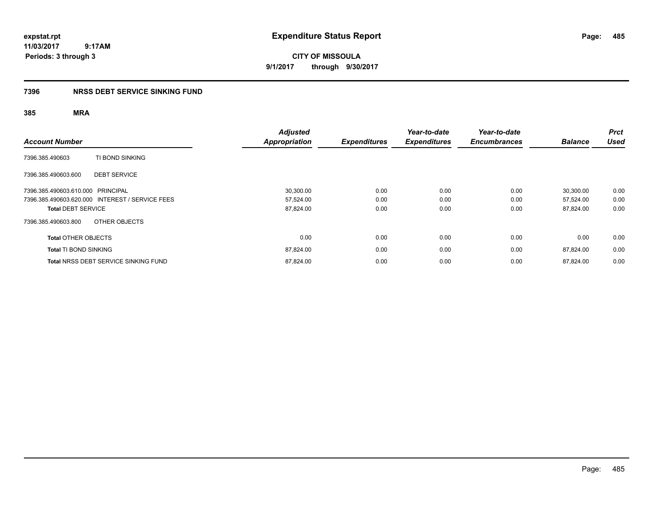**CITY OF MISSOULA 9/1/2017 through 9/30/2017**

### **7396 NRSS DEBT SERVICE SINKING FUND**

| <b>Account Number</b>                           | <b>Adjusted</b><br><b>Appropriation</b> | <b>Expenditures</b> | Year-to-date<br><b>Expenditures</b> | Year-to-date<br><b>Encumbrances</b> | <b>Balance</b> | <b>Prct</b><br><b>Used</b> |
|-------------------------------------------------|-----------------------------------------|---------------------|-------------------------------------|-------------------------------------|----------------|----------------------------|
| TI BOND SINKING<br>7396.385.490603              |                                         |                     |                                     |                                     |                |                            |
| 7396.385.490603.600<br><b>DEBT SERVICE</b>      |                                         |                     |                                     |                                     |                |                            |
| 7396.385.490603.610.000 PRINCIPAL               | 30,300.00                               | 0.00                | 0.00                                | 0.00                                | 30,300.00      | 0.00                       |
| 7396.385.490603.620.000 INTEREST / SERVICE FEES | 57,524.00                               | 0.00                | 0.00                                | 0.00                                | 57,524.00      | 0.00                       |
| <b>Total DEBT SERVICE</b>                       | 87,824.00                               | 0.00                | 0.00                                | 0.00                                | 87,824.00      | 0.00                       |
| OTHER OBJECTS<br>7396.385.490603.800            |                                         |                     |                                     |                                     |                |                            |
| <b>Total OTHER OBJECTS</b>                      | 0.00                                    | 0.00                | 0.00                                | 0.00                                | 0.00           | 0.00                       |
| <b>Total TI BOND SINKING</b>                    | 87,824.00                               | 0.00                | 0.00                                | 0.00                                | 87.824.00      | 0.00                       |
| <b>Total NRSS DEBT SERVICE SINKING FUND</b>     | 87,824.00                               | 0.00                | 0.00                                | 0.00                                | 87.824.00      | 0.00                       |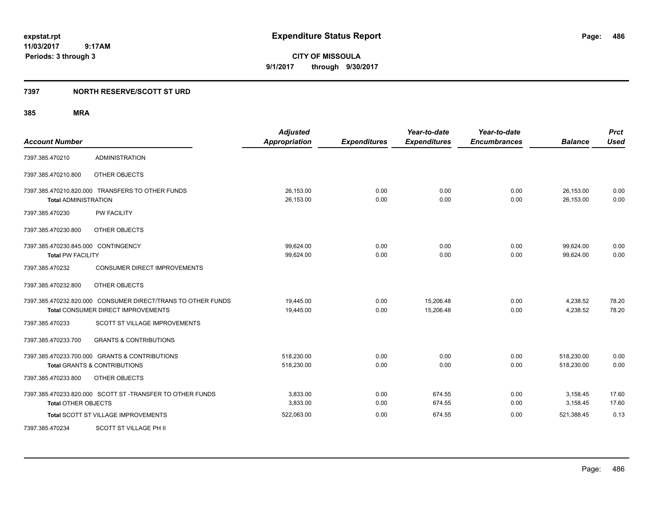**CITY OF MISSOULA 9/1/2017 through 9/30/2017**

### **7397 NORTH RESERVE/SCOTT ST URD**

| <b>Account Number</b>                                           |                                                                                                           | <b>Adjusted</b><br><b>Appropriation</b> | <b>Expenditures</b> | Year-to-date<br><b>Expenditures</b> | Year-to-date<br><b>Encumbrances</b> | <b>Balance</b>           | <b>Prct</b><br><b>Used</b> |
|-----------------------------------------------------------------|-----------------------------------------------------------------------------------------------------------|-----------------------------------------|---------------------|-------------------------------------|-------------------------------------|--------------------------|----------------------------|
| 7397.385.470210                                                 | <b>ADMINISTRATION</b>                                                                                     |                                         |                     |                                     |                                     |                          |                            |
| 7397.385.470210.800                                             | OTHER OBJECTS                                                                                             |                                         |                     |                                     |                                     |                          |                            |
| <b>Total ADMINISTRATION</b>                                     | 7397.385.470210.820.000 TRANSFERS TO OTHER FUNDS                                                          | 26,153.00<br>26,153.00                  | 0.00<br>0.00        | 0.00<br>0.00                        | 0.00<br>0.00                        | 26,153.00<br>26,153.00   | 0.00<br>0.00               |
| 7397.385.470230                                                 | <b>PW FACILITY</b>                                                                                        |                                         |                     |                                     |                                     |                          |                            |
| 7397.385.470230.800                                             | OTHER OBJECTS                                                                                             |                                         |                     |                                     |                                     |                          |                            |
| 7397.385.470230.845.000 CONTINGENCY<br><b>Total PW FACILITY</b> |                                                                                                           | 99,624.00<br>99.624.00                  | 0.00<br>0.00        | 0.00<br>0.00                        | 0.00<br>0.00                        | 99,624.00<br>99.624.00   | 0.00<br>0.00               |
| 7397.385.470232                                                 | <b>CONSUMER DIRECT IMPROVEMENTS</b>                                                                       |                                         |                     |                                     |                                     |                          |                            |
| 7397.385.470232.800                                             | OTHER OBJECTS                                                                                             |                                         |                     |                                     |                                     |                          |                            |
|                                                                 | 7397.385.470232.820.000 CONSUMER DIRECT/TRANS TO OTHER FUNDS<br><b>Total CONSUMER DIRECT IMPROVEMENTS</b> | 19,445.00<br>19,445.00                  | 0.00<br>0.00        | 15,206.48<br>15,206.48              | 0.00<br>0.00                        | 4,238.52<br>4,238.52     | 78.20<br>78.20             |
| 7397.385.470233                                                 | SCOTT ST VILLAGE IMPROVEMENTS                                                                             |                                         |                     |                                     |                                     |                          |                            |
| 7397.385.470233.700                                             | <b>GRANTS &amp; CONTRIBUTIONS</b>                                                                         |                                         |                     |                                     |                                     |                          |                            |
|                                                                 | 7397.385.470233.700.000 GRANTS & CONTRIBUTIONS<br><b>Total GRANTS &amp; CONTRIBUTIONS</b>                 | 518,230.00<br>518,230.00                | 0.00<br>0.00        | 0.00<br>0.00                        | 0.00<br>0.00                        | 518,230.00<br>518,230.00 | 0.00<br>0.00               |
| 7397.385.470233.800                                             | OTHER OBJECTS                                                                                             |                                         |                     |                                     |                                     |                          |                            |
| <b>Total OTHER OBJECTS</b>                                      | 7397.385.470233.820.000 SCOTT ST -TRANSFER TO OTHER FUNDS                                                 | 3,833.00<br>3,833.00                    | 0.00<br>0.00        | 674.55<br>674.55                    | 0.00<br>0.00                        | 3,158.45<br>3,158.45     | 17.60<br>17.60             |
|                                                                 | <b>Total SCOTT ST VILLAGE IMPROVEMENTS</b>                                                                | 522,063.00                              | 0.00                | 674.55                              | 0.00                                | 521,388.45               | 0.13                       |
| 7397.385.470234                                                 | SCOTT ST VILLAGE PH II                                                                                    |                                         |                     |                                     |                                     |                          |                            |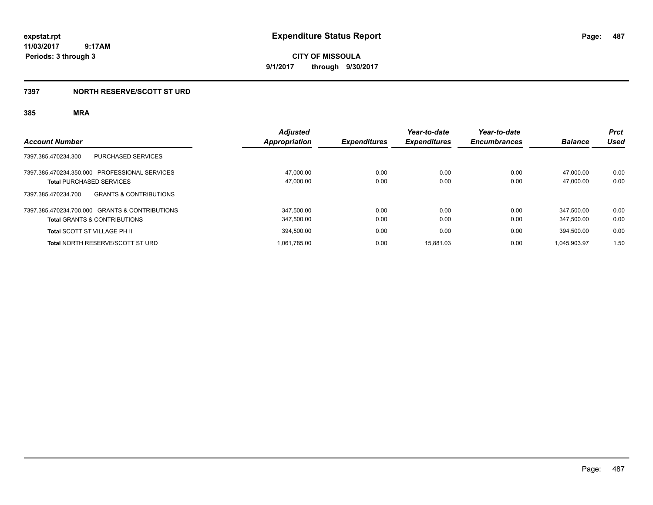**CITY OF MISSOULA 9/1/2017 through 9/30/2017**

### **7397 NORTH RESERVE/SCOTT ST URD**

|                                                          | <b>Adjusted</b>      |                            | Year-to-date        | Year-to-date        |                | <b>Prct</b> |
|----------------------------------------------------------|----------------------|----------------------------|---------------------|---------------------|----------------|-------------|
| <b>Account Number</b>                                    | <b>Appropriation</b> | <i><b>Expenditures</b></i> | <b>Expenditures</b> | <b>Encumbrances</b> | <b>Balance</b> | Used        |
| <b>PURCHASED SERVICES</b><br>7397.385.470234.300         |                      |                            |                     |                     |                |             |
| 7397.385.470234.350.000 PROFESSIONAL SERVICES            | 47.000.00            | 0.00                       | 0.00                | 0.00                | 47.000.00      | 0.00        |
| <b>Total PURCHASED SERVICES</b>                          | 47,000.00            | 0.00                       | 0.00                | 0.00                | 47.000.00      | 0.00        |
| <b>GRANTS &amp; CONTRIBUTIONS</b><br>7397.385.470234.700 |                      |                            |                     |                     |                |             |
| 7397.385.470234.700.000 GRANTS & CONTRIBUTIONS           | 347.500.00           | 0.00                       | 0.00                | 0.00                | 347.500.00     | 0.00        |
| <b>Total GRANTS &amp; CONTRIBUTIONS</b>                  | 347.500.00           | 0.00                       | 0.00                | 0.00                | 347.500.00     | 0.00        |
| <b>Total SCOTT ST VILLAGE PH II</b>                      | 394.500.00           | 0.00                       | 0.00                | 0.00                | 394.500.00     | 0.00        |
| <b>Total NORTH RESERVE/SCOTT ST URD</b>                  | 1.061.785.00         | 0.00                       | 15.881.03           | 0.00                | 1.045.903.97   | 1.50        |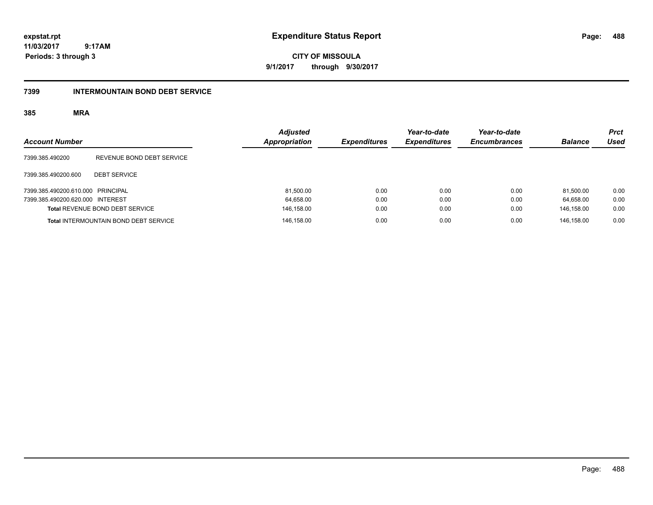**CITY OF MISSOULA 9/1/2017 through 9/30/2017**

### **7399 INTERMOUNTAIN BOND DEBT SERVICE**

| <b>Account Number</b>             |                                              | <b>Adjusted</b><br>Appropriation | <b>Expenditures</b> | Year-to-date<br><b>Expenditures</b> | Year-to-date<br><b>Encumbrances</b> | <b>Balance</b> | Prct<br>Used |
|-----------------------------------|----------------------------------------------|----------------------------------|---------------------|-------------------------------------|-------------------------------------|----------------|--------------|
| 7399.385.490200                   | REVENUE BOND DEBT SERVICE                    |                                  |                     |                                     |                                     |                |              |
| 7399.385.490200.600               | <b>DEBT SERVICE</b>                          |                                  |                     |                                     |                                     |                |              |
| 7399.385.490200.610.000 PRINCIPAL |                                              | 81,500.00                        | 0.00                | 0.00                                | 0.00                                | 81.500.00      | 0.00         |
| 7399.385.490200.620.000 INTEREST  |                                              | 64,658.00                        | 0.00                | 0.00                                | 0.00                                | 64.658.00      | 0.00         |
|                                   | Total REVENUE BOND DEBT SERVICE              | 146,158.00                       | 0.00                | 0.00                                | 0.00                                | 146.158.00     | 0.00         |
|                                   | <b>Total INTERMOUNTAIN BOND DEBT SERVICE</b> | 146,158.00                       | 0.00                | 0.00                                | 0.00                                | 146.158.00     | 0.00         |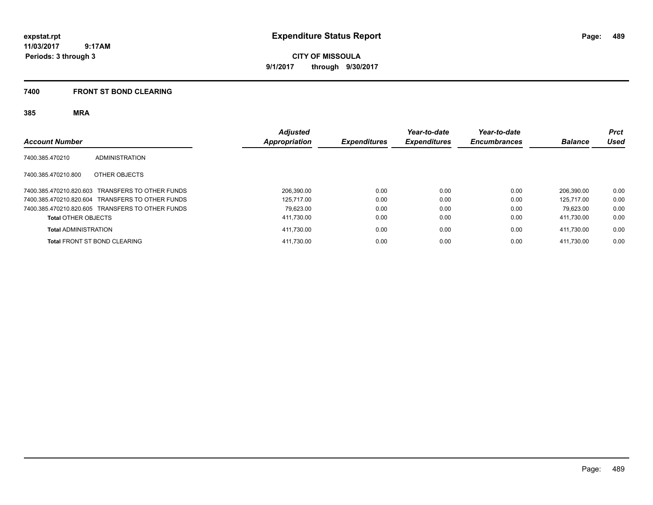**CITY OF MISSOULA 9/1/2017 through 9/30/2017**

### **7400 FRONT ST BOND CLEARING**

| <b>Account Number</b>                            | <b>Adjusted</b><br><b>Appropriation</b> | <b>Expenditures</b> | Year-to-date<br><b>Expenditures</b> | Year-to-date<br><b>Encumbrances</b> | <b>Balance</b> | <b>Prct</b><br>Used |
|--------------------------------------------------|-----------------------------------------|---------------------|-------------------------------------|-------------------------------------|----------------|---------------------|
| 7400.385.470210<br>ADMINISTRATION                |                                         |                     |                                     |                                     |                |                     |
| OTHER OBJECTS<br>7400.385.470210.800             |                                         |                     |                                     |                                     |                |                     |
| 7400.385.470210.820.603 TRANSFERS TO OTHER FUNDS | 206.390.00                              | 0.00                | 0.00                                | 0.00                                | 206.390.00     | 0.00                |
| 7400.385.470210.820.604 TRANSFERS TO OTHER FUNDS | 125.717.00                              | 0.00                | 0.00                                | 0.00                                | 125.717.00     | 0.00                |
| 7400.385.470210.820.605 TRANSFERS TO OTHER FUNDS | 79.623.00                               | 0.00                | 0.00                                | 0.00                                | 79.623.00      | 0.00                |
| <b>Total OTHER OBJECTS</b>                       | 411,730.00                              | 0.00                | 0.00                                | 0.00                                | 411,730.00     | 0.00                |
| <b>Total ADMINISTRATION</b>                      | 411,730.00                              | 0.00                | 0.00                                | 0.00                                | 411.730.00     | 0.00                |
| <b>Total FRONT ST BOND CLEARING</b>              | 411,730.00                              | 0.00                | 0.00                                | 0.00                                | 411.730.00     | 0.00                |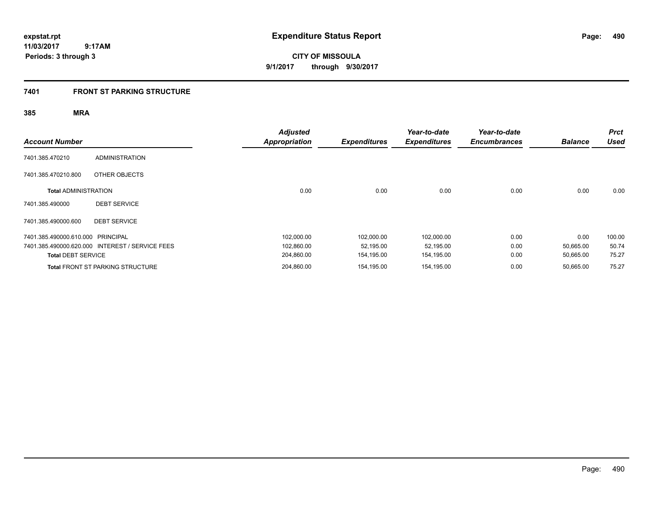**CITY OF MISSOULA 9/1/2017 through 9/30/2017**

### **7401 FRONT ST PARKING STRUCTURE**

| <b>Account Number</b>             |                                                 | <b>Adjusted</b><br><b>Appropriation</b> | <b>Expenditures</b> | Year-to-date<br><b>Expenditures</b> | Year-to-date<br><b>Encumbrances</b> | <b>Balance</b> | <b>Prct</b><br><b>Used</b> |
|-----------------------------------|-------------------------------------------------|-----------------------------------------|---------------------|-------------------------------------|-------------------------------------|----------------|----------------------------|
| 7401.385.470210                   | <b>ADMINISTRATION</b>                           |                                         |                     |                                     |                                     |                |                            |
| 7401.385.470210.800               | OTHER OBJECTS                                   |                                         |                     |                                     |                                     |                |                            |
| <b>Total ADMINISTRATION</b>       |                                                 | 0.00                                    | 0.00                | 0.00                                | 0.00                                | 0.00           | 0.00                       |
| 7401.385.490000                   | <b>DEBT SERVICE</b>                             |                                         |                     |                                     |                                     |                |                            |
| 7401.385.490000.600               | <b>DEBT SERVICE</b>                             |                                         |                     |                                     |                                     |                |                            |
| 7401.385.490000.610.000 PRINCIPAL |                                                 | 102,000.00                              | 102,000.00          | 102,000.00                          | 0.00                                | 0.00           | 100.00                     |
|                                   | 7401.385.490000.620.000 INTEREST / SERVICE FEES | 102,860.00                              | 52,195.00           | 52,195.00                           | 0.00                                | 50,665.00      | 50.74                      |
| <b>Total DEBT SERVICE</b>         |                                                 | 204,860.00                              | 154,195.00          | 154,195.00                          | 0.00                                | 50,665.00      | 75.27                      |
|                                   | <b>Total FRONT ST PARKING STRUCTURE</b>         | 204,860.00                              | 154,195.00          | 154,195.00                          | 0.00                                | 50,665.00      | 75.27                      |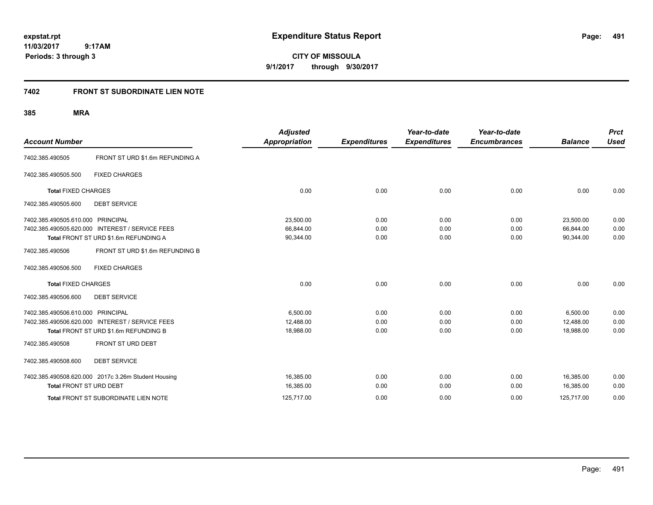**CITY OF MISSOULA 9/1/2017 through 9/30/2017**

# **7402 FRONT ST SUBORDINATE LIEN NOTE**

| <b>Account Number</b>             |                                                                                                              | <b>Adjusted</b><br><b>Appropriation</b> | <b>Expenditures</b>  | Year-to-date<br><b>Expenditures</b> | Year-to-date<br><b>Encumbrances</b> | <b>Balance</b>                       | <b>Prct</b><br><b>Used</b> |
|-----------------------------------|--------------------------------------------------------------------------------------------------------------|-----------------------------------------|----------------------|-------------------------------------|-------------------------------------|--------------------------------------|----------------------------|
| 7402.385.490505                   | FRONT ST URD \$1.6m REFUNDING A                                                                              |                                         |                      |                                     |                                     |                                      |                            |
| 7402.385.490505.500               | <b>FIXED CHARGES</b>                                                                                         |                                         |                      |                                     |                                     |                                      |                            |
| <b>Total FIXED CHARGES</b>        |                                                                                                              | 0.00                                    | 0.00                 | 0.00                                | 0.00                                | 0.00                                 | 0.00                       |
| 7402.385.490505.600               | <b>DEBT SERVICE</b>                                                                                          |                                         |                      |                                     |                                     |                                      |                            |
| 7402.385.490505.610.000           | <b>PRINCIPAL</b><br>7402.385.490505.620.000 INTEREST / SERVICE FEES<br>Total FRONT ST URD \$1.6m REFUNDING A | 23,500.00<br>66,844.00<br>90,344.00     | 0.00<br>0.00<br>0.00 | 0.00<br>0.00<br>0.00                | 0.00<br>0.00<br>0.00                | 23,500.00<br>66.844.00<br>90,344.00  | 0.00<br>0.00<br>0.00       |
| 7402.385.490506                   | FRONT ST URD \$1.6m REFUNDING B                                                                              |                                         |                      |                                     |                                     |                                      |                            |
| 7402.385.490506.500               | <b>FIXED CHARGES</b>                                                                                         |                                         |                      |                                     |                                     |                                      |                            |
| <b>Total FIXED CHARGES</b>        |                                                                                                              | 0.00                                    | 0.00                 | 0.00                                | 0.00                                | 0.00                                 | 0.00                       |
| 7402.385.490506.600               | <b>DEBT SERVICE</b>                                                                                          |                                         |                      |                                     |                                     |                                      |                            |
| 7402.385.490506.610.000 PRINCIPAL | 7402.385.490506.620.000 INTEREST / SERVICE FEES<br>Total FRONT ST URD \$1.6m REFUNDING B                     | 6,500.00<br>12.488.00<br>18,988.00      | 0.00<br>0.00<br>0.00 | 0.00<br>0.00<br>0.00                | 0.00<br>0.00<br>0.00                | 6,500.00<br>12.488.00<br>18,988.00   | 0.00<br>0.00<br>0.00       |
| 7402.385.490508                   | FRONT ST URD DEBT                                                                                            |                                         |                      |                                     |                                     |                                      |                            |
| 7402.385.490508.600               | <b>DEBT SERVICE</b>                                                                                          |                                         |                      |                                     |                                     |                                      |                            |
| Total FRONT ST URD DEBT           | 7402.385.490508.620.000 2017c 3.26m Student Housing<br>Total FRONT ST SUBORDINATE LIEN NOTE                  | 16.385.00<br>16,385.00<br>125,717.00    | 0.00<br>0.00<br>0.00 | 0.00<br>0.00<br>0.00                | 0.00<br>0.00<br>0.00                | 16.385.00<br>16,385.00<br>125,717.00 | 0.00<br>0.00<br>0.00       |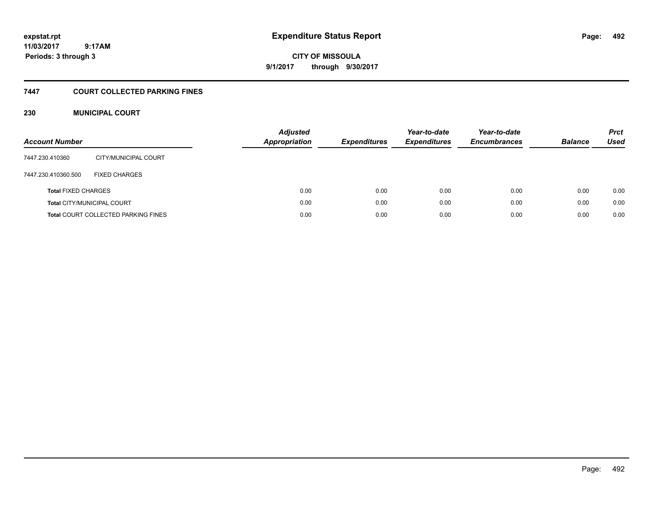# **CITY OF MISSOULA 9/1/2017 through 9/30/2017**

### **7447 COURT COLLECTED PARKING FINES**

### **230 MUNICIPAL COURT**

| <b>Account Number</b>                      |                      | <b>Adjusted</b><br><b>Appropriation</b> | <b>Expenditures</b> | Year-to-date<br><b>Expenditures</b> | Year-to-date<br><b>Encumbrances</b> | <b>Balance</b> | <b>Prct</b><br><b>Used</b> |
|--------------------------------------------|----------------------|-----------------------------------------|---------------------|-------------------------------------|-------------------------------------|----------------|----------------------------|
| 7447.230.410360                            | CITY/MUNICIPAL COURT |                                         |                     |                                     |                                     |                |                            |
| 7447.230.410360.500                        | <b>FIXED CHARGES</b> |                                         |                     |                                     |                                     |                |                            |
| <b>Total FIXED CHARGES</b>                 |                      | 0.00                                    | 0.00                | 0.00                                | 0.00                                | 0.00           | 0.00                       |
| <b>Total CITY/MUNICIPAL COURT</b>          |                      | 0.00                                    | 0.00                | 0.00                                | 0.00                                | 0.00           | 0.00                       |
| <b>Total COURT COLLECTED PARKING FINES</b> |                      | 0.00                                    | 0.00                | 0.00                                | 0.00                                | 0.00           | 0.00                       |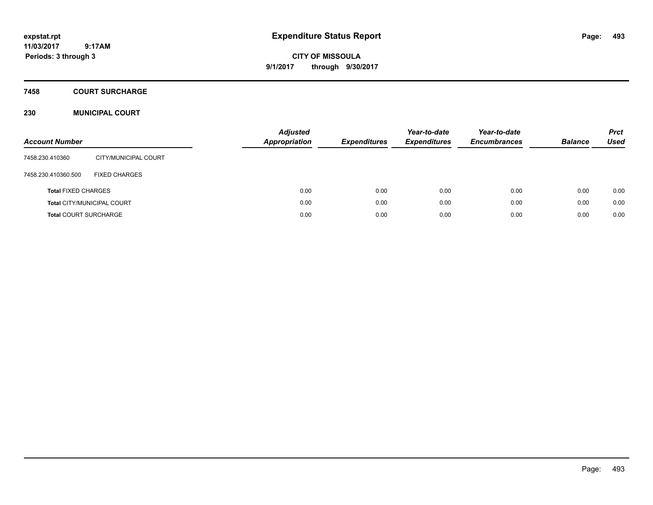# **CITY OF MISSOULA 9/1/2017 through 9/30/2017**

## **7458 COURT SURCHARGE**

### **230 MUNICIPAL COURT**

| <b>Account Number</b>             |                      | <b>Adjusted</b><br>Appropriation | <b>Expenditures</b> | Year-to-date<br><b>Expenditures</b> | Year-to-date<br><b>Encumbrances</b> | <b>Balance</b> | <b>Prct</b><br><b>Used</b> |
|-----------------------------------|----------------------|----------------------------------|---------------------|-------------------------------------|-------------------------------------|----------------|----------------------------|
| 7458.230.410360                   | CITY/MUNICIPAL COURT |                                  |                     |                                     |                                     |                |                            |
| 7458.230.410360.500               | <b>FIXED CHARGES</b> |                                  |                     |                                     |                                     |                |                            |
| <b>Total FIXED CHARGES</b>        |                      | 0.00                             | 0.00                | 0.00                                | 0.00                                | 0.00           | 0.00                       |
| <b>Total CITY/MUNICIPAL COURT</b> |                      | 0.00                             | 0.00                | 0.00                                | 0.00                                | 0.00           | 0.00                       |
| <b>Total COURT SURCHARGE</b>      |                      | 0.00                             | 0.00                | 0.00                                | 0.00                                | 0.00           | 0.00                       |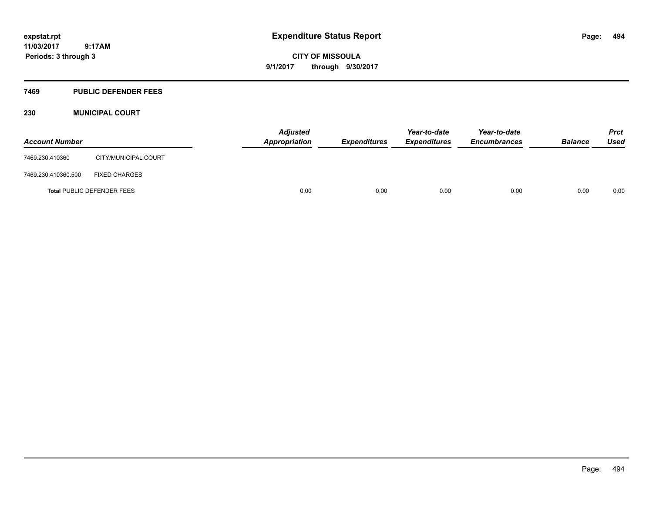**CITY OF MISSOULA 9/1/2017 through 9/30/2017**

### **7469 PUBLIC DEFENDER FEES**

### **230 MUNICIPAL COURT**

| <b>Account Number</b>             |                      | <b>Adjusted</b><br>Appropriation | <b>Expenditures</b> | Year-to-date<br><b>Expenditures</b> | Year-to-date<br><b>Encumbrances</b> | <b>Balance</b> | <b>Prct</b><br>Used |
|-----------------------------------|----------------------|----------------------------------|---------------------|-------------------------------------|-------------------------------------|----------------|---------------------|
| 7469.230.410360                   | CITY/MUNICIPAL COURT |                                  |                     |                                     |                                     |                |                     |
| 7469.230.410360.500               | <b>FIXED CHARGES</b> |                                  |                     |                                     |                                     |                |                     |
| <b>Total PUBLIC DEFENDER FEES</b> |                      | 0.00                             | 0.00                | 0.00                                | 0.00                                | 0.00           | 0.00                |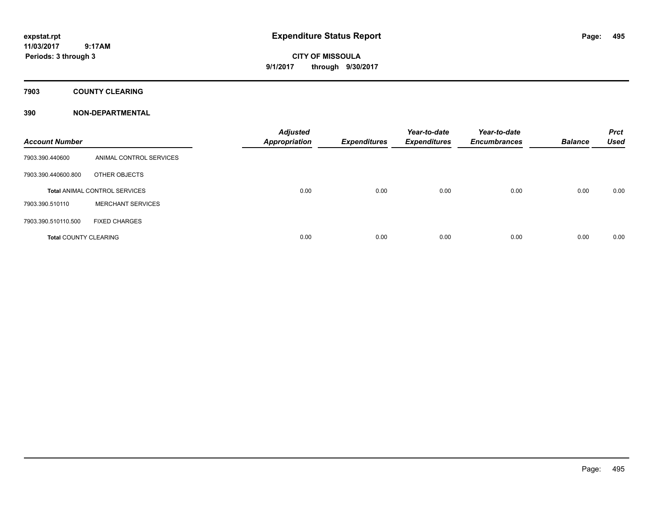**CITY OF MISSOULA 9/1/2017 through 9/30/2017**

**7903 COUNTY CLEARING**

| <b>Account Number</b>                |                          | <b>Adjusted</b><br><b>Appropriation</b> | <b>Expenditures</b> | Year-to-date<br><b>Expenditures</b> | Year-to-date<br><b>Encumbrances</b> | <b>Balance</b> | <b>Prct</b><br><b>Used</b> |
|--------------------------------------|--------------------------|-----------------------------------------|---------------------|-------------------------------------|-------------------------------------|----------------|----------------------------|
| 7903.390.440600                      | ANIMAL CONTROL SERVICES  |                                         |                     |                                     |                                     |                |                            |
| 7903.390.440600.800                  | OTHER OBJECTS            |                                         |                     |                                     |                                     |                |                            |
| <b>Total ANIMAL CONTROL SERVICES</b> |                          | 0.00                                    | 0.00                | 0.00                                | 0.00                                | 0.00           | 0.00                       |
| 7903.390.510110                      | <b>MERCHANT SERVICES</b> |                                         |                     |                                     |                                     |                |                            |
| 7903.390.510110.500                  | <b>FIXED CHARGES</b>     |                                         |                     |                                     |                                     |                |                            |
| <b>Total COUNTY CLEARING</b>         |                          | 0.00                                    | 0.00                | 0.00                                | 0.00                                | 0.00           | 0.00                       |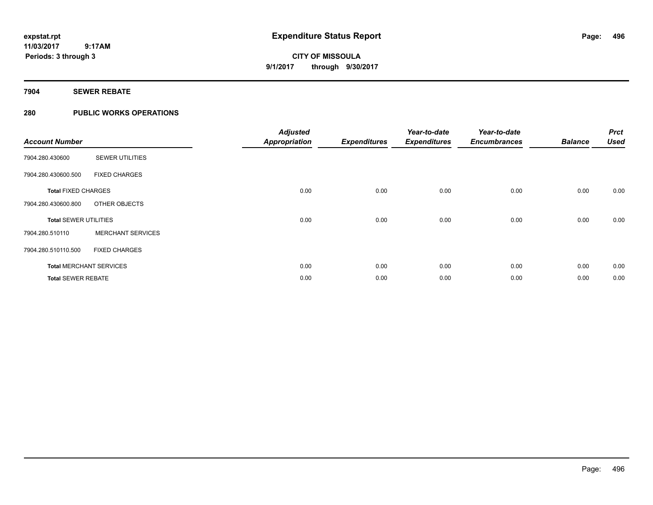# **CITY OF MISSOULA 9/1/2017 through 9/30/2017**

### **7904 SEWER REBATE**

### **280 PUBLIC WORKS OPERATIONS**

| <b>Account Number</b>        |                                | <b>Adjusted</b><br><b>Appropriation</b> | <b>Expenditures</b> | Year-to-date<br><b>Expenditures</b> | Year-to-date<br><b>Encumbrances</b> | <b>Balance</b> | <b>Prct</b><br><b>Used</b> |
|------------------------------|--------------------------------|-----------------------------------------|---------------------|-------------------------------------|-------------------------------------|----------------|----------------------------|
| 7904.280.430600              | <b>SEWER UTILITIES</b>         |                                         |                     |                                     |                                     |                |                            |
| 7904.280.430600.500          | <b>FIXED CHARGES</b>           |                                         |                     |                                     |                                     |                |                            |
| <b>Total FIXED CHARGES</b>   |                                | 0.00                                    | 0.00                | 0.00                                | 0.00                                | 0.00           | 0.00                       |
| 7904.280.430600.800          | OTHER OBJECTS                  |                                         |                     |                                     |                                     |                |                            |
| <b>Total SEWER UTILITIES</b> |                                | 0.00                                    | 0.00                | 0.00                                | 0.00                                | 0.00           | 0.00                       |
| 7904.280.510110              | <b>MERCHANT SERVICES</b>       |                                         |                     |                                     |                                     |                |                            |
| 7904.280.510110.500          | <b>FIXED CHARGES</b>           |                                         |                     |                                     |                                     |                |                            |
|                              | <b>Total MERCHANT SERVICES</b> | 0.00                                    | 0.00                | 0.00                                | 0.00                                | 0.00           | 0.00                       |
| <b>Total SEWER REBATE</b>    |                                | 0.00                                    | 0.00                | 0.00                                | 0.00                                | 0.00           | 0.00                       |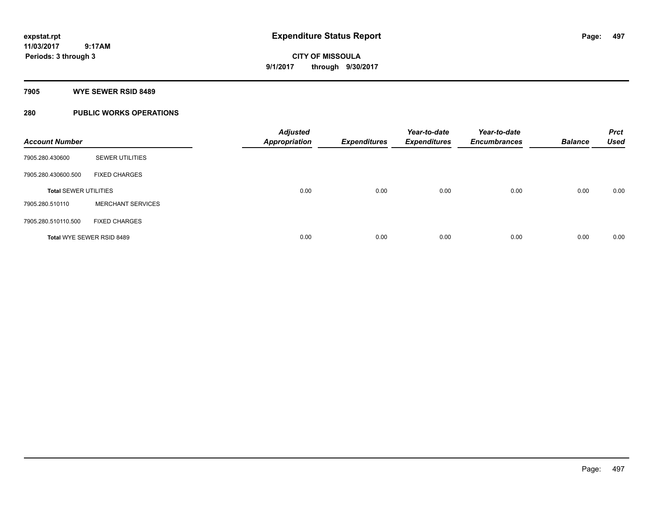**Periods: 3 through 3**

**CITY OF MISSOULA 9/1/2017 through 9/30/2017**

**7905 WYE SEWER RSID 8489**

 **9:17AM**

### **280 PUBLIC WORKS OPERATIONS**

| <b>Account Number</b>        |                          | <b>Adjusted</b><br><b>Appropriation</b> | <b>Expenditures</b> | Year-to-date<br><b>Expenditures</b> | Year-to-date<br><b>Encumbrances</b> | <b>Balance</b> | <b>Prct</b><br><b>Used</b> |
|------------------------------|--------------------------|-----------------------------------------|---------------------|-------------------------------------|-------------------------------------|----------------|----------------------------|
| 7905.280.430600              | <b>SEWER UTILITIES</b>   |                                         |                     |                                     |                                     |                |                            |
| 7905.280.430600.500          | <b>FIXED CHARGES</b>     |                                         |                     |                                     |                                     |                |                            |
| <b>Total SEWER UTILITIES</b> |                          | 0.00                                    | 0.00                | 0.00                                | 0.00                                | 0.00           | 0.00                       |
| 7905.280.510110              | <b>MERCHANT SERVICES</b> |                                         |                     |                                     |                                     |                |                            |
| 7905.280.510110.500          | <b>FIXED CHARGES</b>     |                                         |                     |                                     |                                     |                |                            |
| Total WYE SEWER RSID 8489    |                          | 0.00                                    | 0.00                | 0.00                                | 0.00                                | 0.00           | 0.00                       |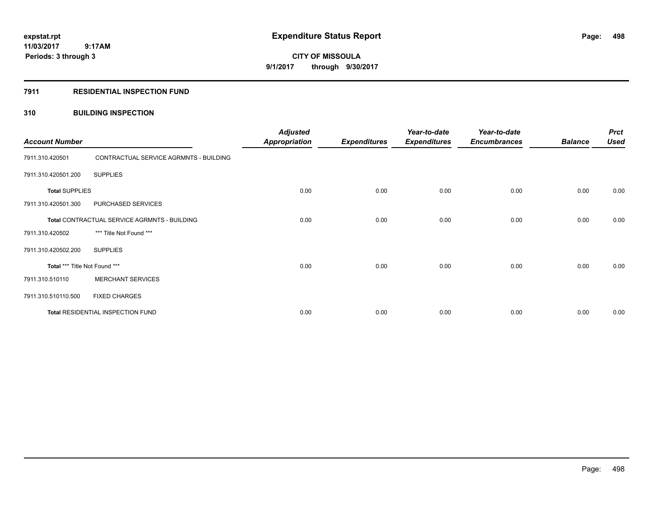**Periods: 3 through 3**

**CITY OF MISSOULA 9/1/2017 through 9/30/2017**

### **7911 RESIDENTIAL INSPECTION FUND**

 **9:17AM**

### **310 BUILDING INSPECTION**

| <b>Account Number</b>                        |                                        | <b>Adjusted</b><br><b>Appropriation</b> | <b>Expenditures</b> | Year-to-date<br><b>Expenditures</b> | Year-to-date<br><b>Encumbrances</b> | <b>Balance</b> | <b>Prct</b><br><b>Used</b> |
|----------------------------------------------|----------------------------------------|-----------------------------------------|---------------------|-------------------------------------|-------------------------------------|----------------|----------------------------|
| 7911.310.420501                              | CONTRACTUAL SERVICE AGRMNTS - BUILDING |                                         |                     |                                     |                                     |                |                            |
| 7911.310.420501.200                          | <b>SUPPLIES</b>                        |                                         |                     |                                     |                                     |                |                            |
| <b>Total SUPPLIES</b>                        |                                        | 0.00                                    | 0.00                | 0.00                                | 0.00                                | 0.00           | 0.00                       |
| 7911.310.420501.300                          | PURCHASED SERVICES                     |                                         |                     |                                     |                                     |                |                            |
| Total CONTRACTUAL SERVICE AGRMNTS - BUILDING |                                        | 0.00                                    | 0.00                | 0.00                                | 0.00                                | 0.00           | 0.00                       |
| 7911.310.420502                              | *** Title Not Found ***                |                                         |                     |                                     |                                     |                |                            |
| 7911.310.420502.200                          | <b>SUPPLIES</b>                        |                                         |                     |                                     |                                     |                |                            |
| Total *** Title Not Found ***                |                                        | 0.00                                    | 0.00                | 0.00                                | 0.00                                | 0.00           | 0.00                       |
| 7911.310.510110                              | <b>MERCHANT SERVICES</b>               |                                         |                     |                                     |                                     |                |                            |
| 7911.310.510110.500                          | <b>FIXED CHARGES</b>                   |                                         |                     |                                     |                                     |                |                            |
|                                              | Total RESIDENTIAL INSPECTION FUND      | 0.00                                    | 0.00                | 0.00                                | 0.00                                | 0.00           | 0.00                       |